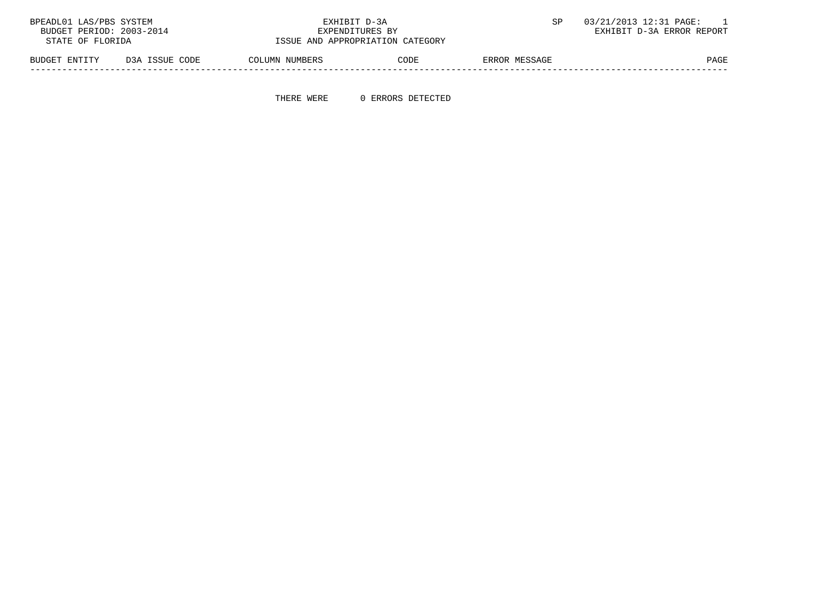| BPEADL01 LAS/PBS SYSTEM  |                | EXHIBIT D-3A                     |      | 03/21/2013 12:31 PAGE: |                           |
|--------------------------|----------------|----------------------------------|------|------------------------|---------------------------|
| BUDGET PERIOD: 2003-2014 |                | EXPENDITURES BY                  |      |                        | EXHIBIT D-3A ERROR REPORT |
| STATE OF FLORIDA         |                | ISSUE AND APPROPRIATION CATEGORY |      |                        |                           |
| BUDGET ENTITY            | D3A ISSUE CODE | COLUMN NUMBERS                   | CODE | ERROR MESSAGE          | PAGE                      |

-----------------------------------------------------------------------------------------------------------------------------------

THERE WERE 0 ERRORS DETECTED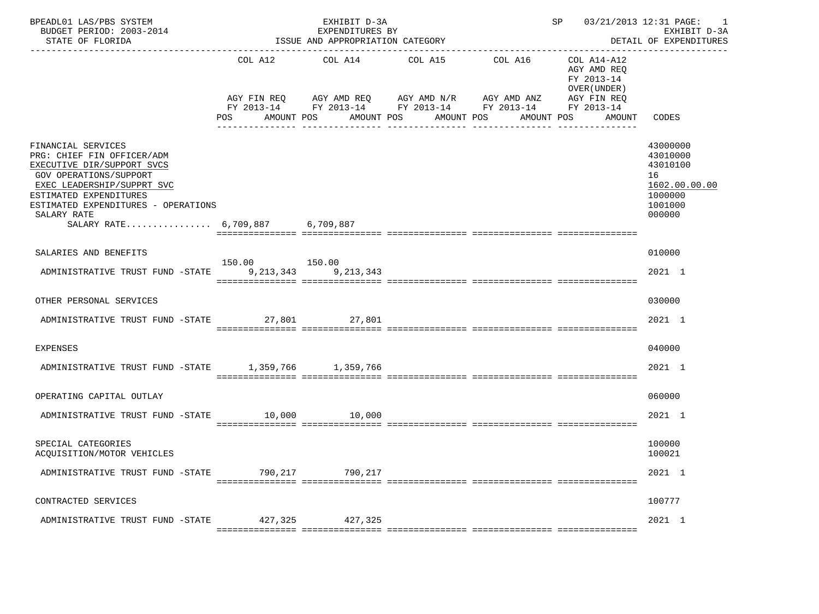| BPEADL01 LAS/PBS SYSTEM<br>BUDGET PERIOD: 2003-2014<br>STATE OF FLORIDA                                                                                                                                                                                          | ------------------------     | EXHIBIT D-3A<br>EXPENDITURES BY<br>ISSUE AND APPROPRIATION CATEGORY                                                                            |                       |                                   | SP 03/21/2013 12:31 PAGE: 1                          | EXHIBIT D-3A<br>DETAIL OF EXPENDITURES                                                  |
|------------------------------------------------------------------------------------------------------------------------------------------------------------------------------------------------------------------------------------------------------------------|------------------------------|------------------------------------------------------------------------------------------------------------------------------------------------|-----------------------|-----------------------------------|------------------------------------------------------|-----------------------------------------------------------------------------------------|
|                                                                                                                                                                                                                                                                  | COL A12<br>AMOUNT POS<br>POS | COL A14<br>AGY FIN REQ AGY AMD REQ AGY AMD N/R AGY AMD ANZ AGY FIN REQ<br>FY 2013-14 FY 2013-14 FY 2013-14 FY 2013-14 FY 2013-14<br>AMOUNT POS | COL A15<br>AMOUNT POS | COL A16 COL A14-A12<br>AMOUNT POS | AGY AMD REO<br>FY 2013-14<br>OVER (UNDER )<br>AMOUNT | CODES                                                                                   |
| FINANCIAL SERVICES<br>PRG: CHIEF FIN OFFICER/ADM<br>EXECUTIVE DIR/SUPPORT SVCS<br><b>GOV OPERATIONS/SUPPORT</b><br>EXEC LEADERSHIP/SUPPRT SVC<br>ESTIMATED EXPENDITURES<br>ESTIMATED EXPENDITURES - OPERATIONS<br>SALARY RATE<br>SALARY RATE 6,709,887 6,709,887 |                              |                                                                                                                                                |                       |                                   |                                                      | 43000000<br>43010000<br>43010100<br>16<br>1602.00.00.00<br>1000000<br>1001000<br>000000 |
| SALARIES AND BENEFITS                                                                                                                                                                                                                                            |                              |                                                                                                                                                |                       |                                   |                                                      | 010000                                                                                  |
|                                                                                                                                                                                                                                                                  | 150.00   150.00              |                                                                                                                                                |                       |                                   |                                                      |                                                                                         |
| ADMINISTRATIVE TRUST FUND -STATE 9, 213, 343 9, 213, 343                                                                                                                                                                                                         |                              |                                                                                                                                                |                       |                                   |                                                      | 2021 1                                                                                  |
| OTHER PERSONAL SERVICES                                                                                                                                                                                                                                          |                              |                                                                                                                                                |                       |                                   |                                                      | 030000                                                                                  |
| ADMINISTRATIVE TRUST FUND -STATE 27,801 27,801                                                                                                                                                                                                                   |                              |                                                                                                                                                |                       |                                   |                                                      | 2021 1                                                                                  |
|                                                                                                                                                                                                                                                                  |                              |                                                                                                                                                |                       |                                   |                                                      |                                                                                         |
| <b>EXPENSES</b>                                                                                                                                                                                                                                                  |                              |                                                                                                                                                |                       |                                   |                                                      | 040000                                                                                  |
| ADMINISTRATIVE TRUST FUND -STATE 1,359,766 1,359,766                                                                                                                                                                                                             |                              |                                                                                                                                                |                       |                                   |                                                      | $2021$ 1                                                                                |
|                                                                                                                                                                                                                                                                  |                              |                                                                                                                                                |                       |                                   |                                                      |                                                                                         |
| OPERATING CAPITAL OUTLAY                                                                                                                                                                                                                                         |                              |                                                                                                                                                |                       |                                   |                                                      | 060000                                                                                  |
| ADMINISTRATIVE TRUST FUND -STATE 10,000 10,000                                                                                                                                                                                                                   |                              |                                                                                                                                                |                       |                                   |                                                      | $2021$ 1                                                                                |
| SPECIAL CATEGORIES<br>ACOUISITION/MOTOR VEHICLES                                                                                                                                                                                                                 |                              |                                                                                                                                                |                       |                                   |                                                      | 100000<br>100021                                                                        |
| ADMINISTRATIVE TRUST FUND -STATE 790,217 790,217                                                                                                                                                                                                                 |                              |                                                                                                                                                |                       |                                   |                                                      | 2021 1                                                                                  |
|                                                                                                                                                                                                                                                                  |                              |                                                                                                                                                |                       |                                   |                                                      |                                                                                         |
| CONTRACTED SERVICES                                                                                                                                                                                                                                              |                              |                                                                                                                                                |                       |                                   |                                                      | 100777                                                                                  |
| ADMINISTRATIVE TRUST FUND -STATE 427,325 427,325                                                                                                                                                                                                                 |                              |                                                                                                                                                |                       |                                   |                                                      | 2021 1                                                                                  |
|                                                                                                                                                                                                                                                                  |                              |                                                                                                                                                |                       |                                   |                                                      |                                                                                         |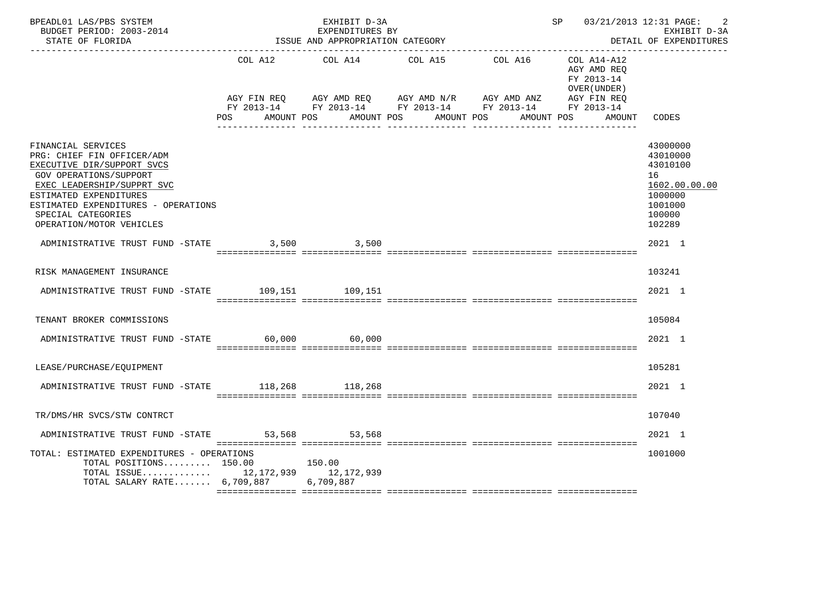| BPEADL01 LAS/PBS SYSTEM<br>BUDGET PERIOD: 2003-2014<br>STATE OF FLORIDA                                                                                                                                                                                          |         | EXHIBIT D-3A<br>EXPENDITURES BY<br>ISSUE AND APPROPRIATION CATEGORY |                                                                                                                                                   | SP 03/21/2013 12:31 PAGE:                                | -2<br>EXHIBIT D-3A<br>DETAIL OF EXPENDITURES                                                      |
|------------------------------------------------------------------------------------------------------------------------------------------------------------------------------------------------------------------------------------------------------------------|---------|---------------------------------------------------------------------|---------------------------------------------------------------------------------------------------------------------------------------------------|----------------------------------------------------------|---------------------------------------------------------------------------------------------------|
|                                                                                                                                                                                                                                                                  | COL A12 | COL A14                                                             | COL A15<br>COL A16                                                                                                                                | COL A14-A12<br>AGY AMD REO<br>FY 2013-14<br>OVER (UNDER) |                                                                                                   |
|                                                                                                                                                                                                                                                                  | POS FOR | AMOUNT POS                                                          | AGY FIN REQ AGY AMD REQ AGY AMD N/R AGY AMD ANZ AGY FIN REQ<br>FY 2013-14 FY 2013-14 FY 2013-14 FY 2013-14 FY 2013-14<br>AMOUNT POS<br>AMOUNT POS | AMOUNT POS<br>AMOUNT                                     | CODES                                                                                             |
|                                                                                                                                                                                                                                                                  |         |                                                                     |                                                                                                                                                   |                                                          |                                                                                                   |
| FINANCIAL SERVICES<br>PRG: CHIEF FIN OFFICER/ADM<br>EXECUTIVE DIR/SUPPORT SVCS<br><b>GOV OPERATIONS/SUPPORT</b><br>EXEC LEADERSHIP/SUPPRT SVC<br>ESTIMATED EXPENDITURES<br>ESTIMATED EXPENDITURES - OPERATIONS<br>SPECIAL CATEGORIES<br>OPERATION/MOTOR VEHICLES |         |                                                                     |                                                                                                                                                   |                                                          | 43000000<br>43010000<br>43010100<br>16<br>1602.00.00.00<br>1000000<br>1001000<br>100000<br>102289 |
| ADMINISTRATIVE TRUST FUND -STATE                                                                                                                                                                                                                                 |         | 3,500 3,500                                                         |                                                                                                                                                   |                                                          | 2021 1                                                                                            |
| RISK MANAGEMENT INSURANCE                                                                                                                                                                                                                                        |         |                                                                     |                                                                                                                                                   |                                                          | 103241                                                                                            |
| ADMINISTRATIVE TRUST FUND -STATE 109,151 109,151                                                                                                                                                                                                                 |         |                                                                     |                                                                                                                                                   |                                                          | $2021$ 1                                                                                          |
| TENANT BROKER COMMISSIONS                                                                                                                                                                                                                                        |         |                                                                     |                                                                                                                                                   |                                                          | 105084                                                                                            |
| ADMINISTRATIVE TRUST FUND -STATE 60,000 60,000                                                                                                                                                                                                                   |         |                                                                     |                                                                                                                                                   |                                                          | 2021 1                                                                                            |
| LEASE/PURCHASE/EQUIPMENT                                                                                                                                                                                                                                         |         |                                                                     |                                                                                                                                                   |                                                          | 105281                                                                                            |
| ADMINISTRATIVE TRUST FUND -STATE 118,268 118,268                                                                                                                                                                                                                 |         |                                                                     |                                                                                                                                                   |                                                          | 2021 1                                                                                            |
| TR/DMS/HR SVCS/STW CONTRCT                                                                                                                                                                                                                                       |         |                                                                     |                                                                                                                                                   |                                                          | 107040                                                                                            |
| ADMINISTRATIVE TRUST FUND -STATE 53,568 53,568                                                                                                                                                                                                                   |         |                                                                     |                                                                                                                                                   |                                                          | 2021 1                                                                                            |
| TOTAL: ESTIMATED EXPENDITURES - OPERATIONS<br>TOTAL POSITIONS 150.00<br>TOTAL ISSUE 12,172,939 12,172,939<br>TOTAL SALARY RATE $6,709,887$                                                                                                                       |         | 150.00<br>6,709,887                                                 |                                                                                                                                                   |                                                          | 1001000                                                                                           |
|                                                                                                                                                                                                                                                                  |         |                                                                     |                                                                                                                                                   |                                                          |                                                                                                   |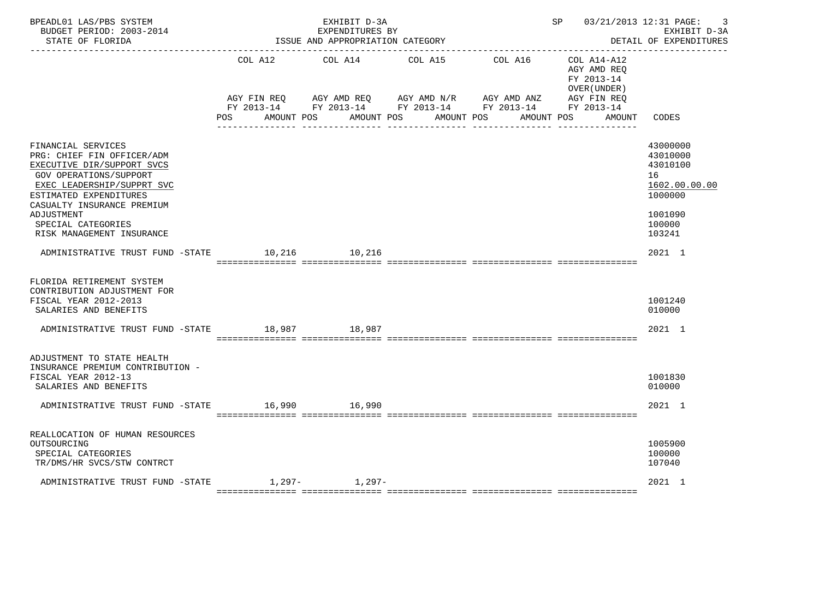| BPEADL01 LAS/PBS SYSTEM<br>BUDGET PERIOD: 2003-2014<br>STATE OF FLORIDA<br><u> - - - - - - - - - - - - - -</u>                                                                                                                                                         |            | EXHIBIT D-3A<br>EXPENDITURES BY<br>ISSUE AND APPROPRIATION CATEGORY |            | SP and the set of the set of the set of the set of the set of the set of the set of the set of the set of the s                     | 03/21/2013 12:31 PAGE:<br>3<br>EXHIBIT D-3A<br>DETAIL OF EXPENDITURES                             |
|------------------------------------------------------------------------------------------------------------------------------------------------------------------------------------------------------------------------------------------------------------------------|------------|---------------------------------------------------------------------|------------|-------------------------------------------------------------------------------------------------------------------------------------|---------------------------------------------------------------------------------------------------|
|                                                                                                                                                                                                                                                                        | COL A12    | COL A14                                                             | COL A15    | COL A16<br>COL A14-A12<br>AGY AMD REQ<br>FY 2013-14<br>OVER (UNDER)                                                                 |                                                                                                   |
|                                                                                                                                                                                                                                                                        | <b>POS</b> | AMOUNT POS<br>AMOUNT POS                                            | AMOUNT POS | AGY FIN REQ AGY AMD REQ AGY AMD N/R AGY AMD ANZ AGY FIN REQ<br>FY 2013-14 FY 2013-14 FY 2013-14 FY 2013-14 FY 2013-14<br>AMOUNT POS | CODES<br>AMOUNT                                                                                   |
| FINANCIAL SERVICES<br>PRG: CHIEF FIN OFFICER/ADM<br>EXECUTIVE DIR/SUPPORT SVCS<br><b>GOV OPERATIONS/SUPPORT</b><br>EXEC LEADERSHIP/SUPPRT SVC<br>ESTIMATED EXPENDITURES<br>CASUALTY INSURANCE PREMIUM<br>ADJUSTMENT<br>SPECIAL CATEGORIES<br>RISK MANAGEMENT INSURANCE |            |                                                                     |            |                                                                                                                                     | 43000000<br>43010000<br>43010100<br>16<br>1602.00.00.00<br>1000000<br>1001090<br>100000<br>103241 |
| ADMINISTRATIVE TRUST FUND -STATE                                                                                                                                                                                                                                       |            | 10,216 10,216                                                       |            |                                                                                                                                     | 2021 1                                                                                            |
| FLORIDA RETIREMENT SYSTEM<br>CONTRIBUTION ADJUSTMENT FOR<br>FISCAL YEAR 2012-2013<br>SALARIES AND BENEFITS                                                                                                                                                             |            |                                                                     |            |                                                                                                                                     | 1001240<br>010000                                                                                 |
| ADMINISTRATIVE TRUST FUND -STATE 18,987 18,987                                                                                                                                                                                                                         |            |                                                                     |            |                                                                                                                                     | 2021 1                                                                                            |
| ADJUSTMENT TO STATE HEALTH<br>INSURANCE PREMIUM CONTRIBUTION -<br>FISCAL YEAR 2012-13<br>SALARIES AND BENEFITS<br>ADMINISTRATIVE TRUST FUND -STATE                                                                                                                     |            | 16,990 16,990                                                       |            |                                                                                                                                     | 1001830<br>010000<br>$2021$ 1                                                                     |
| REALLOCATION OF HUMAN RESOURCES<br>OUTSOURCING<br>SPECIAL CATEGORIES<br>TR/DMS/HR SVCS/STW CONTRCT                                                                                                                                                                     |            |                                                                     |            |                                                                                                                                     | 1005900<br>100000<br>107040                                                                       |
| ADMINISTRATIVE TRUST FUND -STATE                                                                                                                                                                                                                                       |            | $1.297 - 1.297 -$                                                   |            |                                                                                                                                     | 2021 1                                                                                            |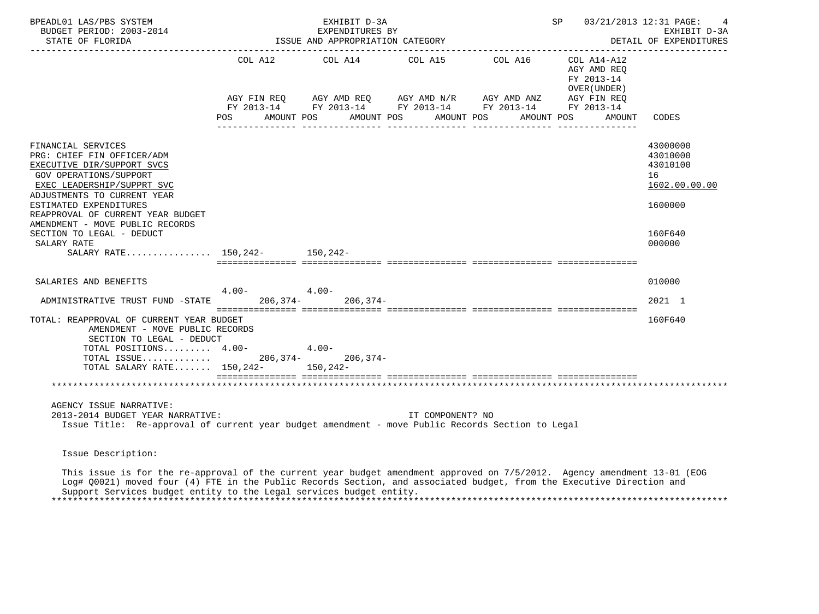| BPEADL01 LAS/PBS SYSTEM<br>BUDGET PERIOD: 2003-2014<br>STATE OF FLORIDA                                                                                                                                                                                                                                                                              | EXHIBIT D-3A<br>EXPENDITURES BY<br>ISSUE AND APPROPRIATION CATEGORY |              |         |            |  |                                                                                                                                                            |  |            |                            | SP 03/21/2013 12:31 PAGE:<br>EXHIBIT D-3A<br>DETAIL OF EXPENDITURES |                                                                                         |
|------------------------------------------------------------------------------------------------------------------------------------------------------------------------------------------------------------------------------------------------------------------------------------------------------------------------------------------------------|---------------------------------------------------------------------|--------------|---------|------------|--|------------------------------------------------------------------------------------------------------------------------------------------------------------|--|------------|----------------------------|---------------------------------------------------------------------|-----------------------------------------------------------------------------------------|
|                                                                                                                                                                                                                                                                                                                                                      | POS FOR                                                             | AMOUNT POS   |         | AMOUNT POS |  | COL A12 COL A14 COL A15 COL A16<br>AGY FIN REQ AGY AMD REQ AGY AMD N/R AGY AMD ANZ<br>FY 2013-14 FY 2013-14 FY 2013-14 FY 2013-14 FY 2013-14<br>AMOUNT POS |  | AMOUNT POS | FY 2013-14<br>OVER (UNDER) | COL A14-A12<br>AGY AMD REO<br>AGY FIN REQ<br>AMOUNT                 | <b>CODES</b>                                                                            |
| FINANCIAL SERVICES<br>PRG: CHIEF FIN OFFICER/ADM<br>EXECUTIVE DIR/SUPPORT SVCS<br>GOV OPERATIONS/SUPPORT<br>EXEC LEADERSHIP/SUPPRT SVC<br>ADJUSTMENTS TO CURRENT YEAR<br>ESTIMATED EXPENDITURES<br>REAPPROVAL OF CURRENT YEAR BUDGET<br>AMENDMENT - MOVE PUBLIC RECORDS<br>SECTION TO LEGAL - DEDUCT<br>SALARY RATE<br>SALARY RATE 150,242- 150,242- |                                                                     |              |         |            |  |                                                                                                                                                            |  |            |                            |                                                                     | 43000000<br>43010000<br>43010100<br>16<br>1602.00.00.00<br>1600000<br>160F640<br>000000 |
| SALARIES AND BENEFITS                                                                                                                                                                                                                                                                                                                                |                                                                     | $4.00 4.00-$ |         |            |  |                                                                                                                                                            |  |            |                            |                                                                     | 010000                                                                                  |
| ADMINISTRATIVE TRUST FUND -STATE 206,374-206,374-                                                                                                                                                                                                                                                                                                    |                                                                     |              |         |            |  |                                                                                                                                                            |  |            |                            |                                                                     | 2021 1                                                                                  |
| TOTAL: REAPPROVAL OF CURRENT YEAR BUDGET<br>AMENDMENT - MOVE PUBLIC RECORDS<br>SECTION TO LEGAL - DEDUCT<br>TOTAL POSITIONS 4.00-                                                                                                                                                                                                                    |                                                                     |              | $4.00-$ |            |  |                                                                                                                                                            |  |            |                            |                                                                     | 160F640                                                                                 |
| TOTAL ISSUE 206,374- 206,374-<br>TOTAL SALARY RATE 150,242- 150,242-                                                                                                                                                                                                                                                                                 |                                                                     |              |         |            |  |                                                                                                                                                            |  |            |                            |                                                                     |                                                                                         |
| AGENCY ISSUE NARRATIVE:<br>2013-2014 BUDGET YEAR NARRATIVE:<br>Issue Title: Re-approval of current year budget amendment - move Public Records Section to Legal                                                                                                                                                                                      |                                                                     |              |         |            |  | IT COMPONENT? NO                                                                                                                                           |  |            |                            |                                                                     |                                                                                         |
| Issue Description:                                                                                                                                                                                                                                                                                                                                   |                                                                     |              |         |            |  |                                                                                                                                                            |  |            |                            |                                                                     |                                                                                         |

 This issue is for the re-approval of the current year budget amendment approved on 7/5/2012. Agency amendment 13-01 (EOG Log# Q0021) moved four (4) FTE in the Public Records Section, and associated budget, from the Executive Direction and Support Services budget entity to the Legal services budget entity. \*\*\*\*\*\*\*\*\*\*\*\*\*\*\*\*\*\*\*\*\*\*\*\*\*\*\*\*\*\*\*\*\*\*\*\*\*\*\*\*\*\*\*\*\*\*\*\*\*\*\*\*\*\*\*\*\*\*\*\*\*\*\*\*\*\*\*\*\*\*\*\*\*\*\*\*\*\*\*\*\*\*\*\*\*\*\*\*\*\*\*\*\*\*\*\*\*\*\*\*\*\*\*\*\*\*\*\*\*\*\*\*\*\*\*\*\*\*\*\*\*\*\*\*\*\*\*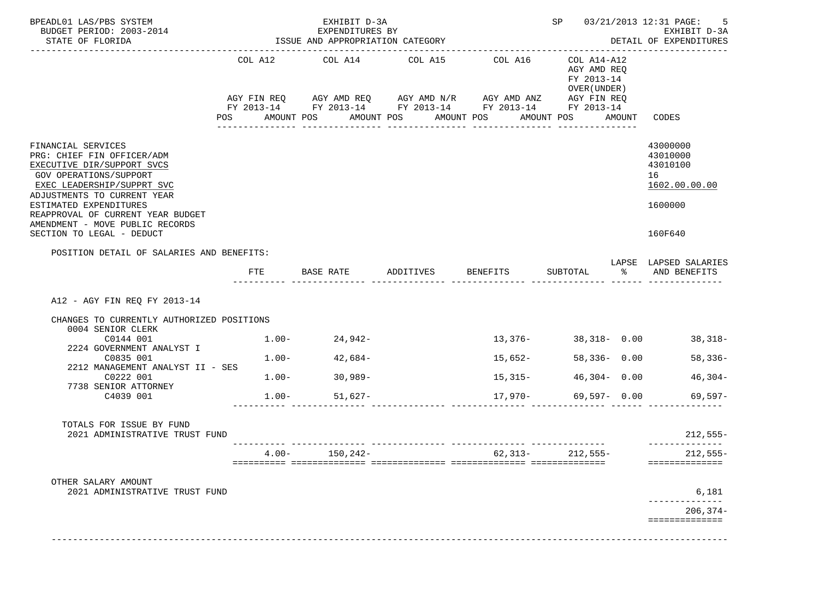| BPEADL01 LAS/PBS SYSTEM<br>BUDGET PERIOD: 2003-2014<br>STATE OF FLORIDA                                                                                                                                                                                                                              |            | EXHIBIT D-3A<br>EXPENDITURES BY<br>ISSUE AND APPROPRIATION CATEGORY |                                                                                                                                                                                   |                   |                                                                        |       | SP 03/21/2013 12:31 PAGE:<br>5<br>EXHIBIT D-3A<br>DETAIL OF EXPENDITURES      |
|------------------------------------------------------------------------------------------------------------------------------------------------------------------------------------------------------------------------------------------------------------------------------------------------------|------------|---------------------------------------------------------------------|-----------------------------------------------------------------------------------------------------------------------------------------------------------------------------------|-------------------|------------------------------------------------------------------------|-------|-------------------------------------------------------------------------------|
|                                                                                                                                                                                                                                                                                                      | <b>POS</b> | AMOUNT POS                                                          | COL A12 COL A14 COL A15 COL A16<br>AGY FIN REQ AGY AMD REQ AGY AMD N/R AGY AMD ANZ AGY FIN REQ<br>FY 2013-14 FY 2013-14 FY 2013-14 FY 2013-14 FY 2013-14<br>AMOUNT POS AMOUNT POS |                   | COL A14-A12<br>AGY AMD REQ<br>FY 2013-14<br>OVER (UNDER)<br>AMOUNT POS |       | AMOUNT CODES                                                                  |
| FINANCIAL SERVICES<br>PRG: CHIEF FIN OFFICER/ADM<br>EXECUTIVE DIR/SUPPORT SVCS<br>GOV OPERATIONS/SUPPORT<br>EXEC LEADERSHIP/SUPPRT SVC<br>ADJUSTMENTS TO CURRENT YEAR<br>ESTIMATED EXPENDITURES<br>REAPPROVAL OF CURRENT YEAR BUDGET<br>AMENDMENT - MOVE PUBLIC RECORDS<br>SECTION TO LEGAL - DEDUCT |            |                                                                     |                                                                                                                                                                                   |                   |                                                                        |       | 43000000<br>43010000<br>43010100<br>16<br>1602.00.00.00<br>1600000<br>160F640 |
| POSITION DETAIL OF SALARIES AND BENEFITS:                                                                                                                                                                                                                                                            | FTE        |                                                                     |                                                                                                                                                                                   |                   |                                                                        | ႜႜႜႜ႙ | LAPSE LAPSED SALARIES<br>AND BENEFITS                                         |
| A12 - AGY FIN REQ FY 2013-14<br>CHANGES TO CURRENTLY AUTHORIZED POSITIONS<br>0004 SENIOR CLERK                                                                                                                                                                                                       |            |                                                                     |                                                                                                                                                                                   |                   |                                                                        |       |                                                                               |
| C0144 001<br>2224 GOVERNMENT ANALYST I                                                                                                                                                                                                                                                               | $1.00-$    | 24,942-                                                             |                                                                                                                                                                                   |                   | $13,376 - 38,318 - 0.00$                                               |       | 38,318-                                                                       |
| C0835 001<br>2212 MANAGEMENT ANALYST II - SES<br>C0222 001                                                                                                                                                                                                                                           | $1.00 -$   | $42,684-$                                                           |                                                                                                                                                                                   | 15,652-           | $58,336 - 0.00$<br>$46,304 - 0.00$                                     |       | $58,336-$                                                                     |
| 7738 SENIOR ATTORNEY                                                                                                                                                                                                                                                                                 |            | $1.00 - 30,989 -$                                                   |                                                                                                                                                                                   | $15,315-$         |                                                                        |       | $46,304-$                                                                     |
| C4039 001                                                                                                                                                                                                                                                                                            |            | $1.00 -$<br>51,627-                                                 |                                                                                                                                                                                   | $17,970-$         | 69,597- 0.00                                                           |       | 69,597-                                                                       |
| TOTALS FOR ISSUE BY FUND<br>2021 ADMINISTRATIVE TRUST FUND                                                                                                                                                                                                                                           |            |                                                                     |                                                                                                                                                                                   |                   |                                                                        |       | $212,555-$                                                                    |
|                                                                                                                                                                                                                                                                                                      |            | $4.00 - 150,242 -$                                                  |                                                                                                                                                                                   | $62,313-212,555-$ |                                                                        |       | $212,555-$<br>==============                                                  |
| OTHER SALARY AMOUNT<br>2021 ADMINISTRATIVE TRUST FUND                                                                                                                                                                                                                                                |            |                                                                     |                                                                                                                                                                                   |                   |                                                                        |       | 6,181                                                                         |
|                                                                                                                                                                                                                                                                                                      |            |                                                                     |                                                                                                                                                                                   |                   |                                                                        |       | $206, 374-$<br>==============                                                 |
|                                                                                                                                                                                                                                                                                                      |            |                                                                     |                                                                                                                                                                                   |                   |                                                                        |       |                                                                               |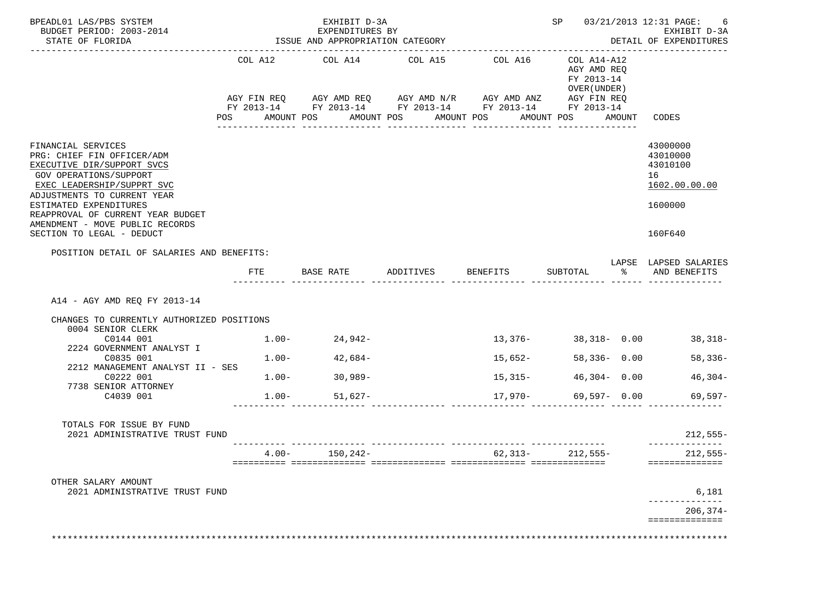| BPEADL01 LAS/PBS SYSTEM<br>BUDGET PERIOD: 2003-2014<br>STATE OF FLORIDA                                                                                                                                                                                                                              |            | EXHIBIT D-3A<br>EXPENDITURES BY<br>ISSUE AND APPROPRIATION CATEGORY |                                                                                                                                                                                   |                   |                                                                        |       | SP 03/21/2013 12:31 PAGE:<br>-6<br>EXHIBIT D-3A<br>DETAIL OF EXPENDITURES     |
|------------------------------------------------------------------------------------------------------------------------------------------------------------------------------------------------------------------------------------------------------------------------------------------------------|------------|---------------------------------------------------------------------|-----------------------------------------------------------------------------------------------------------------------------------------------------------------------------------|-------------------|------------------------------------------------------------------------|-------|-------------------------------------------------------------------------------|
|                                                                                                                                                                                                                                                                                                      | <b>POS</b> | AMOUNT POS                                                          | COL A12 COL A14 COL A15 COL A16<br>AGY FIN REQ AGY AMD REQ AGY AMD N/R AGY AMD ANZ AGY FIN REQ<br>FY 2013-14 FY 2013-14 FY 2013-14 FY 2013-14 FY 2013-14<br>AMOUNT POS AMOUNT POS |                   | COL A14-A12<br>AGY AMD REQ<br>FY 2013-14<br>OVER (UNDER)<br>AMOUNT POS |       | AMOUNT CODES                                                                  |
| FINANCIAL SERVICES<br>PRG: CHIEF FIN OFFICER/ADM<br>EXECUTIVE DIR/SUPPORT SVCS<br>GOV OPERATIONS/SUPPORT<br>EXEC LEADERSHIP/SUPPRT SVC<br>ADJUSTMENTS TO CURRENT YEAR<br>ESTIMATED EXPENDITURES<br>REAPPROVAL OF CURRENT YEAR BUDGET<br>AMENDMENT - MOVE PUBLIC RECORDS<br>SECTION TO LEGAL - DEDUCT |            |                                                                     |                                                                                                                                                                                   |                   |                                                                        |       | 43000000<br>43010000<br>43010100<br>16<br>1602.00.00.00<br>1600000<br>160F640 |
| POSITION DETAIL OF SALARIES AND BENEFITS:                                                                                                                                                                                                                                                            | FTE        |                                                                     |                                                                                                                                                                                   |                   |                                                                        | ႜႜႜႜႜ | LAPSE LAPSED SALARIES<br>AND BENEFITS                                         |
| A14 - AGY AMD REQ FY 2013-14<br>CHANGES TO CURRENTLY AUTHORIZED POSITIONS<br>0004 SENIOR CLERK                                                                                                                                                                                                       |            |                                                                     |                                                                                                                                                                                   |                   |                                                                        |       |                                                                               |
| C0144 001<br>2224 GOVERNMENT ANALYST I                                                                                                                                                                                                                                                               | $1.00-$    | 24,942-                                                             |                                                                                                                                                                                   |                   | $13,376 - 38,318 - 0.00$                                               |       | 38,318-                                                                       |
| C0835 001                                                                                                                                                                                                                                                                                            | $1.00 -$   | $42,684-$                                                           |                                                                                                                                                                                   | 15,652-           | $58,336 - 0.00$                                                        |       | $58,336-$                                                                     |
| 2212 MANAGEMENT ANALYST II - SES<br>C0222 001                                                                                                                                                                                                                                                        |            | $1.00 - 30.989 -$                                                   |                                                                                                                                                                                   | $15,315-$         | $46,304 - 0.00$                                                        |       | $46,304-$                                                                     |
| 7738 SENIOR ATTORNEY<br>C4039 001                                                                                                                                                                                                                                                                    |            | $1.00 -$<br>51,627-                                                 |                                                                                                                                                                                   | $17,970-$         | 69,597- 0.00                                                           |       | 69,597-                                                                       |
| TOTALS FOR ISSUE BY FUND<br>2021 ADMINISTRATIVE TRUST FUND                                                                                                                                                                                                                                           |            |                                                                     |                                                                                                                                                                                   |                   |                                                                        |       | $212,555-$                                                                    |
|                                                                                                                                                                                                                                                                                                      |            | $4.00 - 150,242 -$                                                  |                                                                                                                                                                                   | $62,313-212,555-$ |                                                                        |       | $212,555-$<br>==============                                                  |
| OTHER SALARY AMOUNT<br>2021 ADMINISTRATIVE TRUST FUND                                                                                                                                                                                                                                                |            |                                                                     |                                                                                                                                                                                   |                   |                                                                        |       | 6,181                                                                         |
|                                                                                                                                                                                                                                                                                                      |            |                                                                     |                                                                                                                                                                                   |                   |                                                                        |       | $206, 374-$                                                                   |
|                                                                                                                                                                                                                                                                                                      |            |                                                                     |                                                                                                                                                                                   |                   |                                                                        |       | ==============                                                                |
|                                                                                                                                                                                                                                                                                                      |            |                                                                     |                                                                                                                                                                                   |                   |                                                                        |       |                                                                               |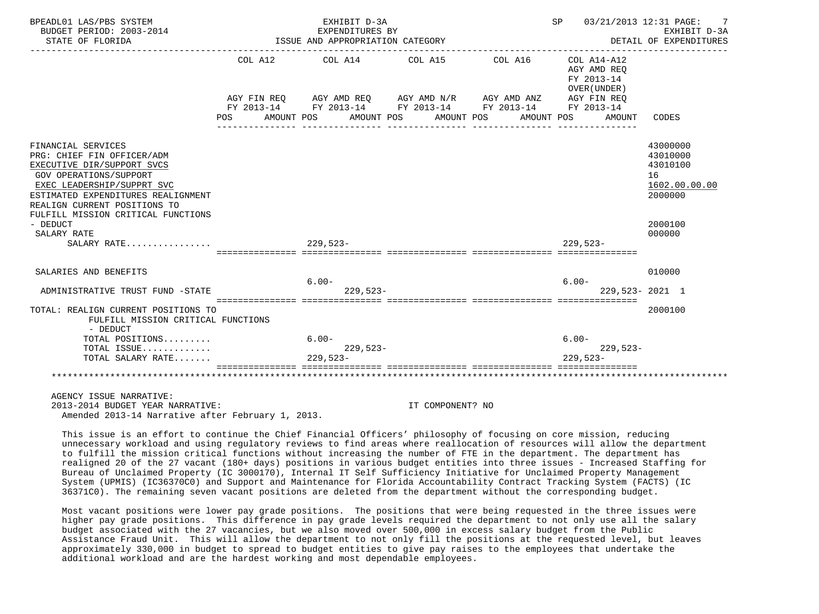| BPEADL01 LAS/PBS SYSTEM<br>BUDGET PERIOD: 2003-2014                                                                                                                                                                                                       |                                                                                                                             |                                  | EXHIBIT D-3A<br>EXPENDITURES BY |  |                                  |  |                     |             |                                                                    | SP 03/21/2013 12:31 PAGE:<br>EXHIBIT D-3A                          |
|-----------------------------------------------------------------------------------------------------------------------------------------------------------------------------------------------------------------------------------------------------------|-----------------------------------------------------------------------------------------------------------------------------|----------------------------------|---------------------------------|--|----------------------------------|--|---------------------|-------------|--------------------------------------------------------------------|--------------------------------------------------------------------|
| STATE OF FLORIDA                                                                                                                                                                                                                                          |                                                                                                                             | ISSUE AND APPROPRIATION CATEGORY |                                 |  |                                  |  |                     |             |                                                                    | DETAIL OF EXPENDITURES                                             |
|                                                                                                                                                                                                                                                           | COL A12<br>AGY FIN REQ AGY AMD REQ AGY AMD N/R AGY AMD ANZ<br>FY 2013-14 FY 2013-14 FY 2013-14 FY 2013-14 FY 2013-14<br>POS | COL A14<br>AMOUNT POS            |                                 |  | COL A15<br>AMOUNT POS AMOUNT POS |  | COL A16 COL A14-A12 | AMOUNT POS  | AGY AMD REO<br>FY 2013-14<br>OVER (UNDER)<br>AGY FIN REO<br>AMOUNT | CODES                                                              |
|                                                                                                                                                                                                                                                           |                                                                                                                             |                                  |                                 |  |                                  |  |                     |             |                                                                    |                                                                    |
| FINANCIAL SERVICES<br>PRG: CHIEF FIN OFFICER/ADM<br>EXECUTIVE DIR/SUPPORT SVCS<br><b>GOV OPERATIONS/SUPPORT</b><br>EXEC LEADERSHIP/SUPPRT SVC<br>ESTIMATED EXPENDITURES REALIGNMENT<br>REALIGN CURRENT POSITIONS TO<br>FULFILL MISSION CRITICAL FUNCTIONS |                                                                                                                             |                                  |                                 |  |                                  |  |                     |             |                                                                    | 43000000<br>43010000<br>43010100<br>16<br>1602.00.00.00<br>2000000 |
| - DEDUCT                                                                                                                                                                                                                                                  |                                                                                                                             |                                  |                                 |  |                                  |  |                     |             |                                                                    | 2000100                                                            |
| SALARY RATE<br>SALARY RATE                                                                                                                                                                                                                                |                                                                                                                             | $229.523-$                       |                                 |  |                                  |  |                     | $229.523 -$ |                                                                    | 000000                                                             |
| SALARIES AND BENEFITS                                                                                                                                                                                                                                     |                                                                                                                             |                                  |                                 |  |                                  |  |                     |             |                                                                    | 010000                                                             |
|                                                                                                                                                                                                                                                           |                                                                                                                             | $6.00 -$                         |                                 |  |                                  |  |                     | $6.00 -$    |                                                                    |                                                                    |
| ADMINISTRATIVE TRUST FUND -STATE                                                                                                                                                                                                                          |                                                                                                                             |                                  | $229.523-$                      |  |                                  |  |                     |             | 229,523-2021 1                                                     |                                                                    |
| TOTAL: REALIGN CURRENT POSITIONS TO<br>FULFILL MISSION CRITICAL FUNCTIONS<br>- DEDUCT                                                                                                                                                                     |                                                                                                                             |                                  |                                 |  |                                  |  |                     |             |                                                                    | 2000100                                                            |
| TOTAL POSITIONS                                                                                                                                                                                                                                           |                                                                                                                             | $6.00 -$                         |                                 |  |                                  |  |                     | $6.00 -$    |                                                                    |                                                                    |
| TOTAL ISSUE<br>TOTAL SALARY RATE                                                                                                                                                                                                                          |                                                                                                                             | $229,523-$                       | $229,523-$                      |  |                                  |  |                     | $229.523-$  | $229,523-$                                                         |                                                                    |
|                                                                                                                                                                                                                                                           |                                                                                                                             |                                  |                                 |  |                                  |  |                     |             |                                                                    |                                                                    |
| AGENCY ISSUE NARRATIVE:<br>2013-2014 BUDGET YEAR NARRATIVE:                                                                                                                                                                                               |                                                                                                                             |                                  |                                 |  | TT COMPONENT? NO                 |  |                     |             |                                                                    |                                                                    |

Amended 2013-14 Narrative after February 1, 2013.

 This issue is an effort to continue the Chief Financial Officers' philosophy of focusing on core mission, reducing unnecessary workload and using regulatory reviews to find areas where reallocation of resources will allow the department to fulfill the mission critical functions without increasing the number of FTE in the department. The department has realigned 20 of the 27 vacant (180+ days) positions in various budget entities into three issues - Increased Staffing for Bureau of Unclaimed Property (IC 3000170), Internal IT Self Sufficiency Initiative for Unclaimed Property Management System (UPMIS) (IC36370C0) and Support and Maintenance for Florida Accountability Contract Tracking System (FACTS) (IC 36371C0). The remaining seven vacant positions are deleted from the department without the corresponding budget.

 Most vacant positions were lower pay grade positions. The positions that were being requested in the three issues were higher pay grade positions. This difference in pay grade levels required the department to not only use all the salary budget associated with the 27 vacancies, but we also moved over 500,000 in excess salary budget from the Public Assistance Fraud Unit. This will allow the department to not only fill the positions at the requested level, but leaves approximately 330,000 in budget to spread to budget entities to give pay raises to the employees that undertake the additional workload and are the hardest working and most dependable employees.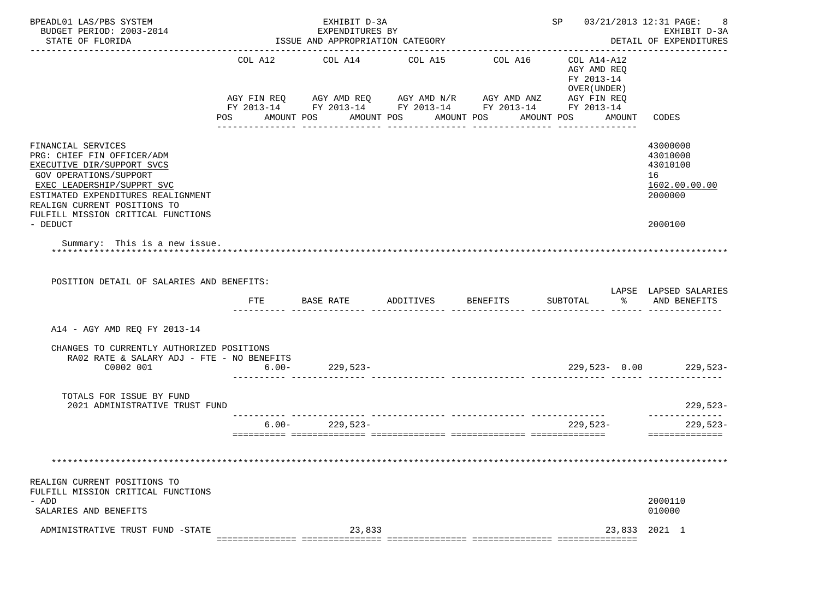| BPEADL01 LAS/PBS SYSTEM<br>BUDGET PERIOD: 2003-2014<br>STATE OF FLORIDA                                                                                                                                                                                   |          | EXHIBIT D-3A<br>EXPENDITURES BY<br>ISSUE AND APPROPRIATION CATEGORY |                                                 |                                                                                                                                  | SP 03/21/2013 12:31 PAGE:                                                     | -8<br>EXHIBIT D-3A<br>DETAIL OF EXPENDITURES                       |
|-----------------------------------------------------------------------------------------------------------------------------------------------------------------------------------------------------------------------------------------------------------|----------|---------------------------------------------------------------------|-------------------------------------------------|----------------------------------------------------------------------------------------------------------------------------------|-------------------------------------------------------------------------------|--------------------------------------------------------------------|
|                                                                                                                                                                                                                                                           | COL A12  | COL A14                                                             | COL A15<br>POS AMOUNT POS AMOUNT POS AMOUNT POS | COL A16<br>AGY FIN REQ AGY AMD REQ AGY AMD N/R AGY AMD ANZ AGY FIN REQ<br>FY 2013-14 FY 2013-14 FY 2013-14 FY 2013-14 FY 2013-14 | COL A14-A12<br>AGY AMD REO<br>FY 2013-14<br>OVER (UNDER)<br>AMOUNT POS AMOUNT | CODES                                                              |
|                                                                                                                                                                                                                                                           |          |                                                                     |                                                 |                                                                                                                                  |                                                                               |                                                                    |
| FINANCIAL SERVICES<br>PRG: CHIEF FIN OFFICER/ADM<br>EXECUTIVE DIR/SUPPORT SVCS<br><b>GOV OPERATIONS/SUPPORT</b><br>EXEC LEADERSHIP/SUPPRT SVC<br>ESTIMATED EXPENDITURES REALIGNMENT<br>REALIGN CURRENT POSITIONS TO<br>FULFILL MISSION CRITICAL FUNCTIONS |          |                                                                     |                                                 |                                                                                                                                  |                                                                               | 43000000<br>43010000<br>43010100<br>16<br>1602.00.00.00<br>2000000 |
| - DEDUCT                                                                                                                                                                                                                                                  |          |                                                                     |                                                 |                                                                                                                                  |                                                                               | 2000100                                                            |
| Summary: This is a new issue.                                                                                                                                                                                                                             |          |                                                                     |                                                 |                                                                                                                                  |                                                                               |                                                                    |
| POSITION DETAIL OF SALARIES AND BENEFITS:                                                                                                                                                                                                                 | FTE      | BASE RATE                                                           | ADDITIVES                                       | BENEFITS                                                                                                                         | SUBTOTAL                                                                      | LAPSE LAPSED SALARIES<br>8 AND BENEFITS                            |
| A14 - AGY AMD REQ FY 2013-14                                                                                                                                                                                                                              |          |                                                                     |                                                 |                                                                                                                                  |                                                                               |                                                                    |
| CHANGES TO CURRENTLY AUTHORIZED POSITIONS<br>RA02 RATE & SALARY ADJ - FTE - NO BENEFITS<br>C0002 001                                                                                                                                                      |          | $6.00 - 229,523 -$                                                  |                                                 |                                                                                                                                  |                                                                               | $229,523 - 0.00$ 229,523-                                          |
| TOTALS FOR ISSUE BY FUND<br>2021 ADMINISTRATIVE TRUST FUND                                                                                                                                                                                                |          |                                                                     |                                                 |                                                                                                                                  |                                                                               | $229,523-$                                                         |
|                                                                                                                                                                                                                                                           | $6.00 -$ | $229,523-$                                                          |                                                 |                                                                                                                                  | $229.523-$                                                                    | $229,523-$<br>==============                                       |
|                                                                                                                                                                                                                                                           |          |                                                                     |                                                 |                                                                                                                                  |                                                                               |                                                                    |
|                                                                                                                                                                                                                                                           |          |                                                                     |                                                 |                                                                                                                                  |                                                                               |                                                                    |
| REALIGN CURRENT POSITIONS TO<br>FULFILL MISSION CRITICAL FUNCTIONS<br>- ADD                                                                                                                                                                               |          |                                                                     |                                                 |                                                                                                                                  |                                                                               | 2000110                                                            |
| SALARIES AND BENEFITS                                                                                                                                                                                                                                     |          |                                                                     |                                                 |                                                                                                                                  |                                                                               | 010000                                                             |
| ADMINISTRATIVE TRUST FUND -STATE                                                                                                                                                                                                                          |          | 23,833                                                              |                                                 |                                                                                                                                  | 23,833                                                                        | 2021 1                                                             |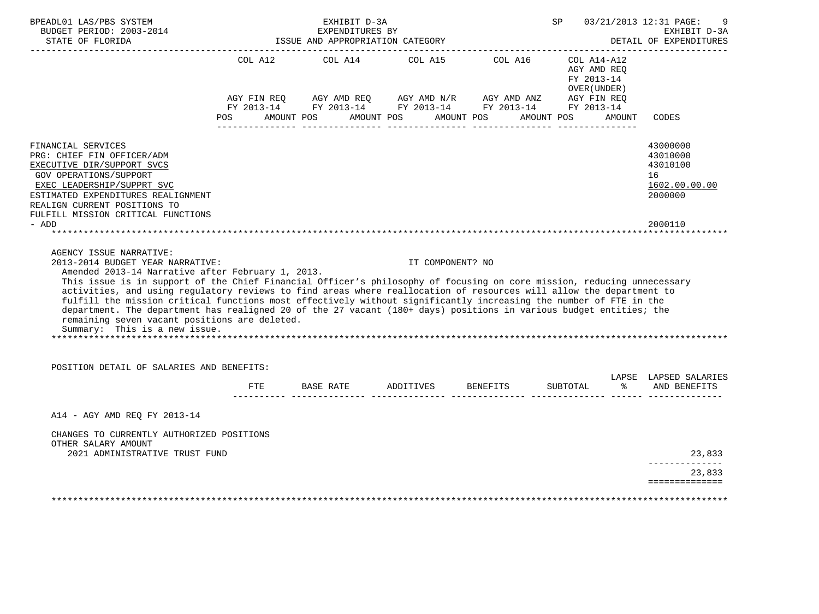| BUDGET PERIOD: 2003-2014<br>STATE OF FLORIDA<br>STATE OF FLORIDA<br>--------------------                                                                                                                                                                                                                                                                                                                                                                                                                                                                                                                                                                            |     | EXHIBIT D-3A<br>EXPENDITURES BY<br>ISSUE AND APPROPRIATION CATEGORY                                                                                                                                                                                                                                                                                                                                                                                                                            |                  |                             | SP 11                                      |               | 03/21/2013 12:31 PAGE:<br>EXHIBIT D-3A<br>DETAIL OF EXPENDITURES   |
|---------------------------------------------------------------------------------------------------------------------------------------------------------------------------------------------------------------------------------------------------------------------------------------------------------------------------------------------------------------------------------------------------------------------------------------------------------------------------------------------------------------------------------------------------------------------------------------------------------------------------------------------------------------------|-----|------------------------------------------------------------------------------------------------------------------------------------------------------------------------------------------------------------------------------------------------------------------------------------------------------------------------------------------------------------------------------------------------------------------------------------------------------------------------------------------------|------------------|-----------------------------|--------------------------------------------|---------------|--------------------------------------------------------------------|
|                                                                                                                                                                                                                                                                                                                                                                                                                                                                                                                                                                                                                                                                     |     | COL A12 COL A14<br>$\begin{array}{lllllll} \textsc{AGY} & \textsc{FIN} & \textsc{REG} & \textsc{AGY} & \textsc{AND} & \textsc{NN} \textsc{N} / \textsc{R} & \textsc{AGY} & \textsc{AND} & \textsc{ANZ} & \textsc{AGY} & \textsc{FIN} & \textsc{REG} \\ \textsc{FY} & 2013\text{--}14 & \textsc{FY} & 2013\text{--}14 & \textsc{FY} & 2013\text{--}14 & \textsc{FY} & 2013\text{--}14 & \textsc{FY} & 2013\text{--}14 \\ \end{array}$<br>POS AMOUNT POS AMOUNT POS AMOUNT POS AMOUNT POS AMOUNT |                  | COL A15 COL A16 COL A14-A12 | AGY AMD REQ<br>FY 2013-14<br>OVER (UNDER ) |               | CODES                                                              |
|                                                                                                                                                                                                                                                                                                                                                                                                                                                                                                                                                                                                                                                                     |     |                                                                                                                                                                                                                                                                                                                                                                                                                                                                                                |                  |                             |                                            |               |                                                                    |
| FINANCIAL SERVICES<br>PRG: CHIEF FIN OFFICER/ADM<br>EXECUTIVE DIR/SUPPORT SVCS<br><b>GOV OPERATIONS/SUPPORT</b><br>EXEC LEADERSHIP/SUPPRT SVC<br>ESTIMATED EXPENDITURES REALIGNMENT<br>REALIGN CURRENT POSITIONS TO<br>FULFILL MISSION CRITICAL FUNCTIONS                                                                                                                                                                                                                                                                                                                                                                                                           |     |                                                                                                                                                                                                                                                                                                                                                                                                                                                                                                |                  |                             |                                            |               | 43000000<br>43010000<br>43010100<br>16<br>1602.00.00.00<br>2000000 |
| - ADD                                                                                                                                                                                                                                                                                                                                                                                                                                                                                                                                                                                                                                                               |     |                                                                                                                                                                                                                                                                                                                                                                                                                                                                                                |                  |                             |                                            |               | 2000110                                                            |
|                                                                                                                                                                                                                                                                                                                                                                                                                                                                                                                                                                                                                                                                     |     |                                                                                                                                                                                                                                                                                                                                                                                                                                                                                                |                  |                             |                                            |               |                                                                    |
| AGENCY ISSUE NARRATIVE:                                                                                                                                                                                                                                                                                                                                                                                                                                                                                                                                                                                                                                             |     |                                                                                                                                                                                                                                                                                                                                                                                                                                                                                                |                  |                             |                                            |               |                                                                    |
| 2013-2014 BUDGET YEAR NARRATIVE:<br>Amended 2013-14 Narrative after February 1, 2013.<br>This issue is in support of the Chief Financial Officer's philosophy of focusing on core mission, reducing unnecessary<br>activities, and using regulatory reviews to find areas where reallocation of resources will allow the department to<br>fulfill the mission critical functions most effectively without significantly increasing the number of FTE in the<br>department. The department has realigned 20 of the 27 vacant (180+ days) positions in various budget entities; the<br>remaining seven vacant positions are deleted.<br>Summary: This is a new issue. |     |                                                                                                                                                                                                                                                                                                                                                                                                                                                                                                | IT COMPONENT? NO |                             |                                            |               |                                                                    |
| POSITION DETAIL OF SALARIES AND BENEFITS:                                                                                                                                                                                                                                                                                                                                                                                                                                                                                                                                                                                                                           |     |                                                                                                                                                                                                                                                                                                                                                                                                                                                                                                |                  |                             |                                            |               |                                                                    |
|                                                                                                                                                                                                                                                                                                                                                                                                                                                                                                                                                                                                                                                                     | FTE | BASE RATE ADDITIVES BENEFITS                                                                                                                                                                                                                                                                                                                                                                                                                                                                   |                  |                             | SUBTOTAL                                   | $\frac{1}{6}$ | LAPSE LAPSED SALARIES<br>AND BENEFITS                              |
| A14 - AGY AMD REO FY 2013-14                                                                                                                                                                                                                                                                                                                                                                                                                                                                                                                                                                                                                                        |     |                                                                                                                                                                                                                                                                                                                                                                                                                                                                                                |                  |                             |                                            |               |                                                                    |
| CHANGES TO CURRENTLY AUTHORIZED POSITIONS<br>OTHER SALARY AMOUNT                                                                                                                                                                                                                                                                                                                                                                                                                                                                                                                                                                                                    |     |                                                                                                                                                                                                                                                                                                                                                                                                                                                                                                |                  |                             |                                            |               |                                                                    |
| 2021 ADMINISTRATIVE TRUST FUND                                                                                                                                                                                                                                                                                                                                                                                                                                                                                                                                                                                                                                      |     |                                                                                                                                                                                                                                                                                                                                                                                                                                                                                                |                  |                             |                                            |               | 23,833<br>23,833                                                   |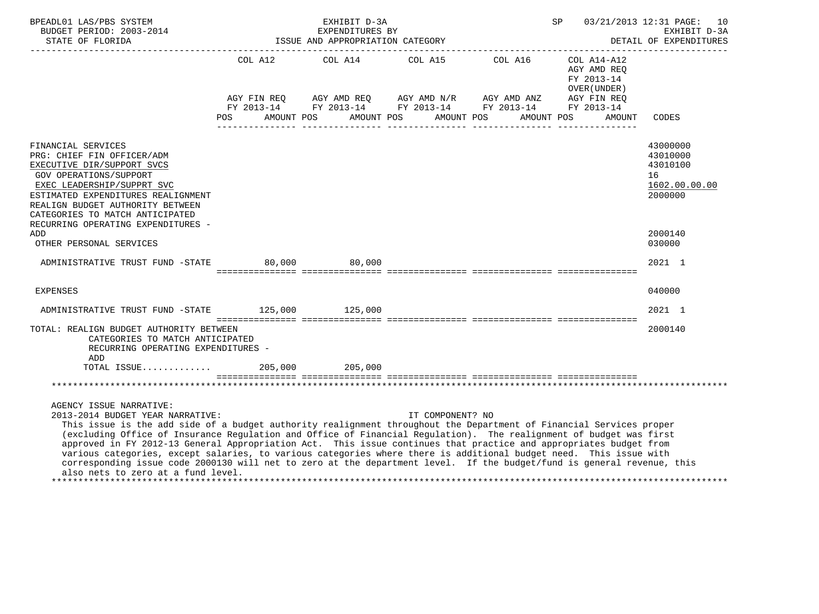| BPEADL01 LAS/PBS SYSTEM<br>BUDGET PERIOD: 2003-2014<br>STATE OF FLORIDA<br>-----------------------                                                                                                                                                                                                                                                                                                                                                                                                                                                 | EXHIBIT D-3A<br>EXPENDITURES BY<br>ISSUE AND APPROPRIATION CATEGORY |  |  |                                                        |  |                  |         | 03/21/2013 12:31 PAGE:<br>SP<br>10<br>EXHIBIT D-3A<br>DETAIL OF EXPENDITURES |  |                                                                         |                                                                    |
|----------------------------------------------------------------------------------------------------------------------------------------------------------------------------------------------------------------------------------------------------------------------------------------------------------------------------------------------------------------------------------------------------------------------------------------------------------------------------------------------------------------------------------------------------|---------------------------------------------------------------------|--|--|--------------------------------------------------------|--|------------------|---------|------------------------------------------------------------------------------|--|-------------------------------------------------------------------------|--------------------------------------------------------------------|
|                                                                                                                                                                                                                                                                                                                                                                                                                                                                                                                                                    | COL A12<br>AGY FIN REO AGY AMD REO AGY AMD N/R AGY AMD ANZ          |  |  | COL A14 COL A15                                        |  |                  | COL A16 |                                                                              |  | COL A14-A12<br>AGY AMD REQ<br>FY 2013-14<br>OVER (UNDER)<br>AGY FIN REO |                                                                    |
|                                                                                                                                                                                                                                                                                                                                                                                                                                                                                                                                                    |                                                                     |  |  | FY 2013-14 FY 2013-14 FY 2013-14 FY 2013-14 FY 2013-14 |  |                  |         |                                                                              |  |                                                                         |                                                                    |
|                                                                                                                                                                                                                                                                                                                                                                                                                                                                                                                                                    | <b>POS</b>                                                          |  |  | AMOUNT POS AMOUNT POS AMOUNT POS                       |  |                  |         | AMOUNT POS                                                                   |  | AMOUNT                                                                  | CODES                                                              |
| FINANCIAL SERVICES<br>PRG: CHIEF FIN OFFICER/ADM<br>EXECUTIVE DIR/SUPPORT SVCS<br><b>GOV OPERATIONS/SUPPORT</b><br>EXEC LEADERSHIP/SUPPRT SVC<br>ESTIMATED EXPENDITURES REALIGNMENT<br>REALIGN BUDGET AUTHORITY BETWEEN<br>CATEGORIES TO MATCH ANTICIPATED<br>RECURRING OPERATING EXPENDITURES -                                                                                                                                                                                                                                                   |                                                                     |  |  |                                                        |  |                  |         |                                                                              |  |                                                                         | 43000000<br>43010000<br>43010100<br>16<br>1602.00.00.00<br>2000000 |
| ADD<br>OTHER PERSONAL SERVICES                                                                                                                                                                                                                                                                                                                                                                                                                                                                                                                     |                                                                     |  |  |                                                        |  |                  |         |                                                                              |  |                                                                         | 2000140<br>030000                                                  |
| ADMINISTRATIVE TRUST FUND -STATE 80,000 80,000                                                                                                                                                                                                                                                                                                                                                                                                                                                                                                     |                                                                     |  |  |                                                        |  |                  |         |                                                                              |  |                                                                         | 2021 1                                                             |
| <b>EXPENSES</b>                                                                                                                                                                                                                                                                                                                                                                                                                                                                                                                                    |                                                                     |  |  |                                                        |  |                  |         |                                                                              |  |                                                                         | 040000                                                             |
| ADMINISTRATIVE TRUST FUND -STATE 125,000 125,000                                                                                                                                                                                                                                                                                                                                                                                                                                                                                                   |                                                                     |  |  |                                                        |  |                  |         |                                                                              |  |                                                                         | $2021$ 1                                                           |
| TOTAL: REALIGN BUDGET AUTHORITY BETWEEN<br>CATEGORIES TO MATCH ANTICIPATED<br>RECURRING OPERATING EXPENDITURES -<br>ADD                                                                                                                                                                                                                                                                                                                                                                                                                            |                                                                     |  |  |                                                        |  |                  |         |                                                                              |  |                                                                         | 2000140                                                            |
| TOTAL ISSUE                                                                                                                                                                                                                                                                                                                                                                                                                                                                                                                                        |                                                                     |  |  | 205,000 205,000                                        |  |                  |         |                                                                              |  |                                                                         |                                                                    |
|                                                                                                                                                                                                                                                                                                                                                                                                                                                                                                                                                    |                                                                     |  |  |                                                        |  |                  |         |                                                                              |  |                                                                         |                                                                    |
| AGENCY ISSUE NARRATIVE:<br>2013-2014 BUDGET YEAR NARRATIVE:<br>This issue is the add side of a budget authority realignment throughout the Department of Financial Services proper<br>(excluding Office of Insurance Regulation and Office of Financial Regulation). The realignment of budget was first<br>approved in FY 2012-13 General Appropriation Act. This issue continues that practice and appropriates budget from<br>various categories, except salaries, to various categories where there is additional budget need. This issue with |                                                                     |  |  |                                                        |  | IT COMPONENT? NO |         |                                                                              |  |                                                                         |                                                                    |
| corresponding issue code 2000130 will net to zero at the department level. If the budget/fund is general revenue, this<br>also nets to zero at a fund level.                                                                                                                                                                                                                                                                                                                                                                                       |                                                                     |  |  |                                                        |  |                  |         |                                                                              |  |                                                                         |                                                                    |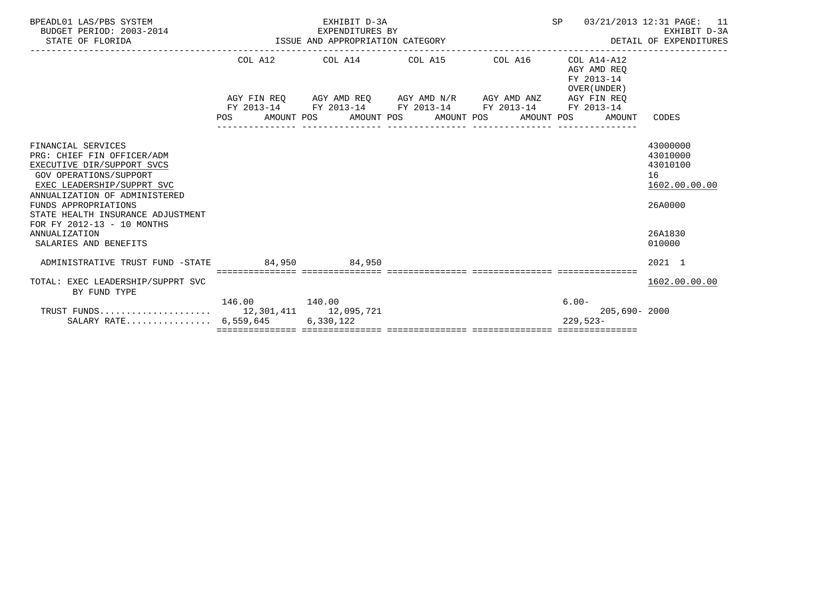| BPEADL01 LAS/PBS SYSTEM<br>BUDGET PERIOD: 2003-2014<br>STATE OF FLORIDA | ISSUE AND APPROPRIATION CATEGORY | EXHIBIT D-3A<br>EXPENDITURES BY                             | SP                    | 03/21/2013 12:31 PAGE: 11<br>EXHIBIT D-3A<br>DETAIL OF EXPENDITURES |                                                          |               |
|-------------------------------------------------------------------------|----------------------------------|-------------------------------------------------------------|-----------------------|---------------------------------------------------------------------|----------------------------------------------------------|---------------|
|                                                                         |                                  | COL A12 COL A14 COL A15 COL A16                             |                       |                                                                     | COL A14-A12<br>AGY AMD REO<br>FY 2013-14<br>OVER (UNDER) |               |
|                                                                         |                                  | AGY FIN REQ AGY AMD REQ AGY AMD N/R AGY AMD ANZ AGY FIN REQ |                       |                                                                     |                                                          |               |
|                                                                         |                                  | FY 2013-14 FY 2013-14 FY 2013-14 FY 2013-14 FY 2013-14      |                       |                                                                     |                                                          |               |
|                                                                         | AMOUNT POS<br>POS                | _______________                                             | AMOUNT POS AMOUNT POS |                                                                     | AMOUNT POS<br>AMOUNT                                     | CODES         |
|                                                                         |                                  |                                                             |                       |                                                                     |                                                          |               |
| FINANCIAL SERVICES                                                      |                                  |                                                             |                       |                                                                     |                                                          | 43000000      |
| PRG: CHIEF FIN OFFICER/ADM                                              |                                  |                                                             |                       |                                                                     |                                                          | 43010000      |
| EXECUTIVE DIR/SUPPORT SVCS                                              |                                  |                                                             |                       |                                                                     |                                                          | 43010100      |
| <b>GOV OPERATIONS/SUPPORT</b>                                           |                                  |                                                             |                       |                                                                     |                                                          | 16            |
| EXEC LEADERSHIP/SUPPRT SVC                                              |                                  |                                                             |                       |                                                                     |                                                          | 1602.00.00.00 |
| ANNUALIZATION OF ADMINISTERED                                           |                                  |                                                             |                       |                                                                     |                                                          |               |
| FUNDS APPROPRIATIONS                                                    |                                  |                                                             |                       |                                                                     |                                                          | 26A0000       |
| STATE HEALTH INSURANCE ADJUSTMENT                                       |                                  |                                                             |                       |                                                                     |                                                          |               |
| FOR FY 2012-13 - 10 MONTHS<br>ANNUALIZATION                             |                                  |                                                             |                       |                                                                     |                                                          | 26A1830       |
| SALARIES AND BENEFITS                                                   |                                  |                                                             |                       |                                                                     |                                                          | 010000        |
|                                                                         |                                  |                                                             |                       |                                                                     |                                                          |               |
| ADMINISTRATIVE TRUST FUND -STATE                                        |                                  | 84,950 84,950                                               |                       |                                                                     |                                                          | 2021 1        |
|                                                                         |                                  | =================================                           |                       |                                                                     |                                                          |               |
| TOTAL: EXEC LEADERSHIP/SUPPRT SVC<br>BY FUND TYPE                       |                                  |                                                             |                       |                                                                     |                                                          | 1602.00.00.00 |
|                                                                         |                                  |                                                             |                       |                                                                     | $6.00 -$                                                 |               |
|                                                                         |                                  |                                                             |                       |                                                                     | $205.690 - 2000$                                         |               |
| SALARY RATE $6,559,645$                                                 |                                  | 6,330,122                                                   |                       |                                                                     | $229,523-$                                               |               |
|                                                                         |                                  |                                                             |                       |                                                                     |                                                          |               |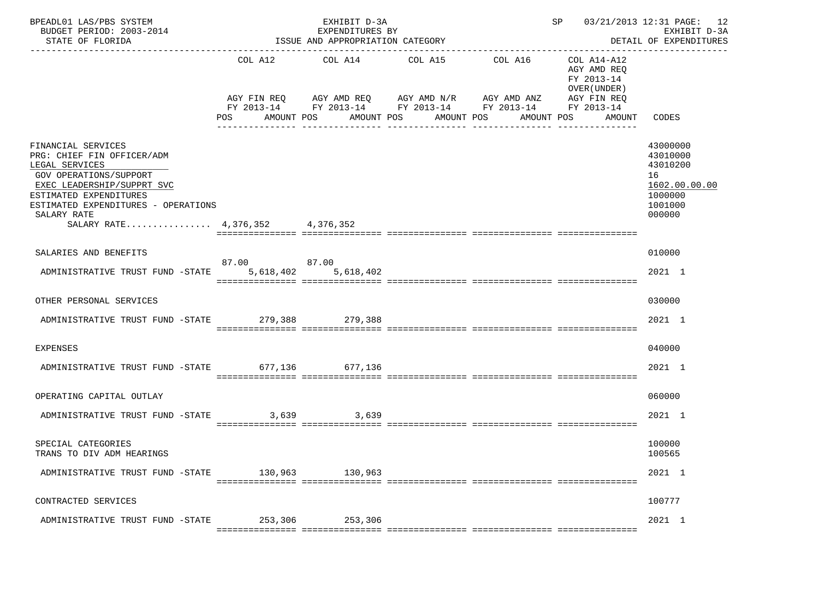| BPEADL01 LAS/PBS SYSTEM<br>BUDGET PERIOD: 2003-2014<br>STATE OF FLORIDA                                                                                                                                                                       |                              | EXHIBIT D-3A<br>EXPENDITURES BY<br>ISSUE AND APPROPRIATION CATEGORY                                                                            |                       |                                   | SP 03/21/2013 12:31 PAGE: 12                         | EXHIBIT D-3A<br>DETAIL OF EXPENDITURES                                                  |
|-----------------------------------------------------------------------------------------------------------------------------------------------------------------------------------------------------------------------------------------------|------------------------------|------------------------------------------------------------------------------------------------------------------------------------------------|-----------------------|-----------------------------------|------------------------------------------------------|-----------------------------------------------------------------------------------------|
|                                                                                                                                                                                                                                               | COL A12<br>POS<br>AMOUNT POS | COL A14<br>AGY FIN REQ AGY AMD REQ AGY AMD N/R AGY AMD ANZ AGY FIN REQ<br>FY 2013-14 FY 2013-14 FY 2013-14 FY 2013-14 FY 2013-14<br>AMOUNT POS | COL A15<br>AMOUNT POS | COL A16 COL A14-A12<br>AMOUNT POS | AGY AMD REO<br>FY 2013-14<br>OVER (UNDER )<br>AMOUNT | CODES                                                                                   |
| FINANCIAL SERVICES<br>PRG: CHIEF FIN OFFICER/ADM<br>LEGAL SERVICES<br>GOV OPERATIONS/SUPPORT<br>EXEC LEADERSHIP/SUPPRT SVC<br>ESTIMATED EXPENDITURES<br>ESTIMATED EXPENDITURES - OPERATIONS<br>SALARY RATE<br>SALARY RATE 4,376,352 4,376,352 |                              |                                                                                                                                                |                       |                                   |                                                      | 43000000<br>43010000<br>43010200<br>16<br>1602.00.00.00<br>1000000<br>1001000<br>000000 |
| SALARIES AND BENEFITS                                                                                                                                                                                                                         |                              |                                                                                                                                                |                       |                                   |                                                      | 010000                                                                                  |
| ADMINISTRATIVE TRUST FUND -STATE 5,618,402 5,618,402                                                                                                                                                                                          | 87.00 87.00                  |                                                                                                                                                |                       |                                   |                                                      | 2021 1                                                                                  |
| OTHER PERSONAL SERVICES                                                                                                                                                                                                                       |                              |                                                                                                                                                |                       |                                   |                                                      | 030000                                                                                  |
| ADMINISTRATIVE TRUST FUND -STATE 279,388 279,388                                                                                                                                                                                              |                              |                                                                                                                                                |                       |                                   |                                                      | $2021$ 1                                                                                |
| <b>EXPENSES</b>                                                                                                                                                                                                                               |                              |                                                                                                                                                |                       |                                   |                                                      | 040000                                                                                  |
| ADMINISTRATIVE TRUST FUND -STATE 677,136 677,136                                                                                                                                                                                              |                              |                                                                                                                                                |                       |                                   |                                                      | 2021 1                                                                                  |
| OPERATING CAPITAL OUTLAY                                                                                                                                                                                                                      |                              |                                                                                                                                                |                       |                                   |                                                      | 060000                                                                                  |
| ADMINISTRATIVE TRUST FUND -STATE                                                                                                                                                                                                              | 3,639                        | 3,639                                                                                                                                          |                       |                                   |                                                      | 2021 1                                                                                  |
| SPECIAL CATEGORIES<br>TRANS TO DIV ADM HEARINGS                                                                                                                                                                                               |                              |                                                                                                                                                |                       |                                   |                                                      | 100000<br>100565                                                                        |
| ADMINISTRATIVE TRUST FUND -STATE 130,963 130,963                                                                                                                                                                                              |                              |                                                                                                                                                |                       |                                   |                                                      | 2021 1                                                                                  |
| CONTRACTED SERVICES                                                                                                                                                                                                                           |                              |                                                                                                                                                |                       |                                   |                                                      | 100777                                                                                  |
| ADMINISTRATIVE TRUST FUND -STATE 253,306 253,306                                                                                                                                                                                              |                              |                                                                                                                                                |                       |                                   |                                                      | 2021 1                                                                                  |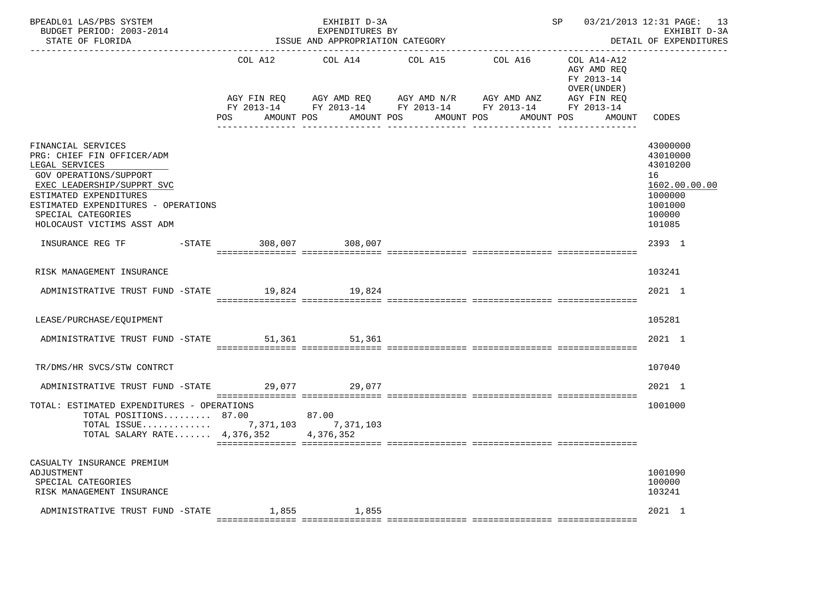| BPEADL01 LAS/PBS SYSTEM<br>BUDGET PERIOD: 2003-2014<br>STATE OF FLORIDA                                                                                                                                                                         |                                           | EXHIBIT D-3A<br>EXPENDITURES BY<br>ISSUE AND APPROPRIATION CATEGORY | --------------------------------                                                                                                     | SP                                                                                                      | 03/21/2013 12:31 PAGE: 13<br>EXHIBIT D-3A<br>DETAIL OF EXPENDITURES                               |
|-------------------------------------------------------------------------------------------------------------------------------------------------------------------------------------------------------------------------------------------------|-------------------------------------------|---------------------------------------------------------------------|--------------------------------------------------------------------------------------------------------------------------------------|---------------------------------------------------------------------------------------------------------|---------------------------------------------------------------------------------------------------|
|                                                                                                                                                                                                                                                 | COL A12 COL A14<br>AGY FIN REQ<br>POS FOR | AMOUNT POS                                                          | COL A15<br>AGY AMD REQ AGY AMD N/R AGY AMD ANZ<br>FY 2013-14 FY 2013-14 FY 2013-14 FY 2013-14 FY 2013-14<br>AMOUNT POS<br>AMOUNT POS | COL A16 COL A14-A12<br>AGY AMD REO<br>FY 2013-14<br>OVER (UNDER)<br>AGY FIN REQ<br>AMOUNT POS<br>AMOUNT | CODES                                                                                             |
| FINANCIAL SERVICES<br>PRG: CHIEF FIN OFFICER/ADM<br>LEGAL SERVICES<br>GOV OPERATIONS/SUPPORT<br>EXEC LEADERSHIP/SUPPRT SVC<br>ESTIMATED EXPENDITURES<br>ESTIMATED EXPENDITURES - OPERATIONS<br>SPECIAL CATEGORIES<br>HOLOCAUST VICTIMS ASST ADM |                                           |                                                                     |                                                                                                                                      |                                                                                                         | 43000000<br>43010000<br>43010200<br>16<br>1602.00.00.00<br>1000000<br>1001000<br>100000<br>101085 |
| INSURANCE REG TF                                                                                                                                                                                                                                | -STATE 308,007 308,007                    |                                                                     |                                                                                                                                      |                                                                                                         | 2393 1                                                                                            |
| RISK MANAGEMENT INSURANCE                                                                                                                                                                                                                       |                                           |                                                                     |                                                                                                                                      |                                                                                                         | 103241                                                                                            |
| ADMINISTRATIVE TRUST FUND -STATE 19,824 19,824                                                                                                                                                                                                  |                                           |                                                                     |                                                                                                                                      |                                                                                                         | 2021 1                                                                                            |
| LEASE/PURCHASE/EQUIPMENT                                                                                                                                                                                                                        |                                           |                                                                     |                                                                                                                                      |                                                                                                         | 105281                                                                                            |
| ADMINISTRATIVE TRUST FUND -STATE 51,361 51,361                                                                                                                                                                                                  |                                           |                                                                     |                                                                                                                                      |                                                                                                         | 2021 1                                                                                            |
| TR/DMS/HR SVCS/STW CONTRCT                                                                                                                                                                                                                      |                                           |                                                                     |                                                                                                                                      |                                                                                                         | 107040                                                                                            |
| ADMINISTRATIVE TRUST FUND -STATE 29,077 29,077                                                                                                                                                                                                  |                                           |                                                                     |                                                                                                                                      |                                                                                                         | 2021 1                                                                                            |
| TOTAL: ESTIMATED EXPENDITURES - OPERATIONS<br>TOTAL POSITIONS 87.00 87.00<br>TOTAL ISSUE 7,371,103 7,371,103<br>TOTAL SALARY RATE $4,376,352$                                                                                                   |                                           | 4,376,352                                                           |                                                                                                                                      |                                                                                                         | 1001000                                                                                           |
| CASUALTY INSURANCE PREMIUM<br>ADJUSTMENT<br>SPECIAL CATEGORIES<br>RISK MANAGEMENT INSURANCE                                                                                                                                                     |                                           |                                                                     |                                                                                                                                      |                                                                                                         | 1001090<br>100000<br>103241                                                                       |
| ADMINISTRATIVE TRUST FUND -STATE 1,855 1,855                                                                                                                                                                                                    |                                           |                                                                     |                                                                                                                                      |                                                                                                         | 2021 1                                                                                            |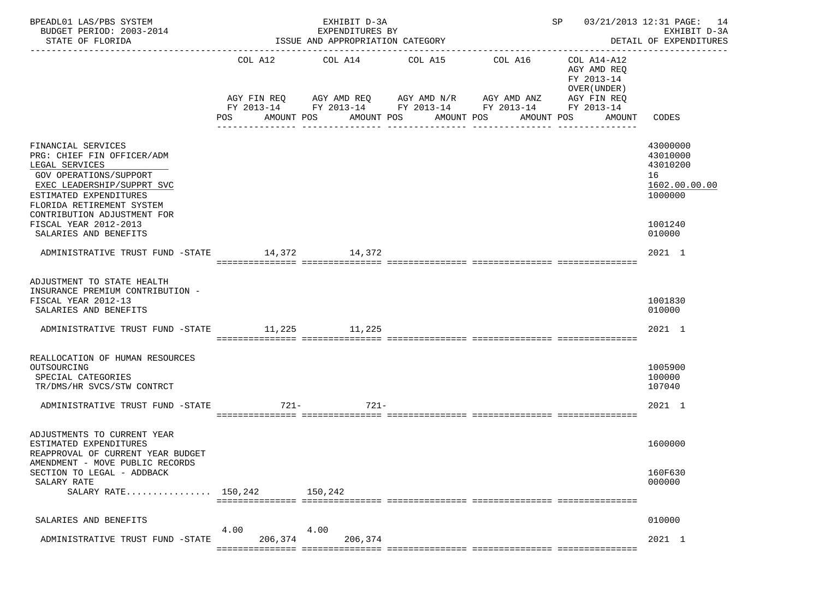| BPEADL01 LAS/PBS SYSTEM<br>BUDGET PERIOD: 2003-2014<br>STATE OF FLORIDA                                                                                                                                                                                            |         | EXHIBIT D-3A<br>EXPENDITURES BY<br>ISSUE AND APPROPRIATION CATEGORY |                                                                                                                                                                               |         | ---------------------                                                            | SP 03/21/2013 12:31 PAGE: 14<br>EXHIBIT D-3A<br>DETAIL OF EXPENDITURES                  |
|--------------------------------------------------------------------------------------------------------------------------------------------------------------------------------------------------------------------------------------------------------------------|---------|---------------------------------------------------------------------|-------------------------------------------------------------------------------------------------------------------------------------------------------------------------------|---------|----------------------------------------------------------------------------------|-----------------------------------------------------------------------------------------|
|                                                                                                                                                                                                                                                                    | POS     | COL A12 COL A14<br>AMOUNT POS                                       | COL A15<br>AGY FIN REQ AGY AMD REQ AGY AMD N/R AGY AMD ANZ AGY FIN REQ<br>FY 2013-14 FY 2013-14 FY 2013-14 FY 2013-14 FY 2013-14<br>AMOUNT POS<br>AMOUNT POS<br>------------- | COL A16 | COL A14-A12<br>AGY AMD REQ<br>FY 2013-14<br>OVER (UNDER)<br>AMOUNT POS<br>AMOUNT | -----------------<br>CODES                                                              |
| FINANCIAL SERVICES<br>PRG: CHIEF FIN OFFICER/ADM<br>LEGAL SERVICES<br>GOV OPERATIONS/SUPPORT<br>EXEC LEADERSHIP/SUPPRT SVC<br>ESTIMATED EXPENDITURES<br>FLORIDA RETIREMENT SYSTEM<br>CONTRIBUTION ADJUSTMENT FOR<br>FISCAL YEAR 2012-2013<br>SALARIES AND BENEFITS |         |                                                                     |                                                                                                                                                                               |         |                                                                                  | 43000000<br>43010000<br>43010200<br>16<br>1602.00.00.00<br>1000000<br>1001240<br>010000 |
| ADMINISTRATIVE TRUST FUND -STATE 14,372 14,372                                                                                                                                                                                                                     |         |                                                                     |                                                                                                                                                                               |         |                                                                                  | 2021 1                                                                                  |
| ADJUSTMENT TO STATE HEALTH<br>INSURANCE PREMIUM CONTRIBUTION -<br>FISCAL YEAR 2012-13<br>SALARIES AND BENEFITS<br>ADMINISTRATIVE TRUST FUND -STATE 11,225 11,225                                                                                                   |         |                                                                     |                                                                                                                                                                               |         |                                                                                  | 1001830<br>010000<br>2021 1                                                             |
| REALLOCATION OF HUMAN RESOURCES<br>OUTSOURCING<br>SPECIAL CATEGORIES<br>TR/DMS/HR SVCS/STW CONTRCT<br>ADMINISTRATIVE TRUST FUND -STATE                                                                                                                             | 721-    | 721-                                                                |                                                                                                                                                                               |         |                                                                                  | 1005900<br>100000<br>107040<br>2021 1                                                   |
| ADJUSTMENTS TO CURRENT YEAR<br>ESTIMATED EXPENDITURES<br>REAPPROVAL OF CURRENT YEAR BUDGET<br>AMENDMENT - MOVE PUBLIC RECORDS<br>SECTION TO LEGAL - ADDBACK<br>SALARY RATE<br>SALARY RATE $150,242$                                                                |         | 150,242                                                             |                                                                                                                                                                               |         |                                                                                  | 1600000<br>160F630<br>000000                                                            |
| SALARIES AND BENEFITS                                                                                                                                                                                                                                              | 4.00    | 4.00                                                                |                                                                                                                                                                               |         |                                                                                  | 010000                                                                                  |
| ADMINISTRATIVE TRUST FUND -STATE                                                                                                                                                                                                                                   | 206,374 | 206,374                                                             |                                                                                                                                                                               |         |                                                                                  | 2021 1                                                                                  |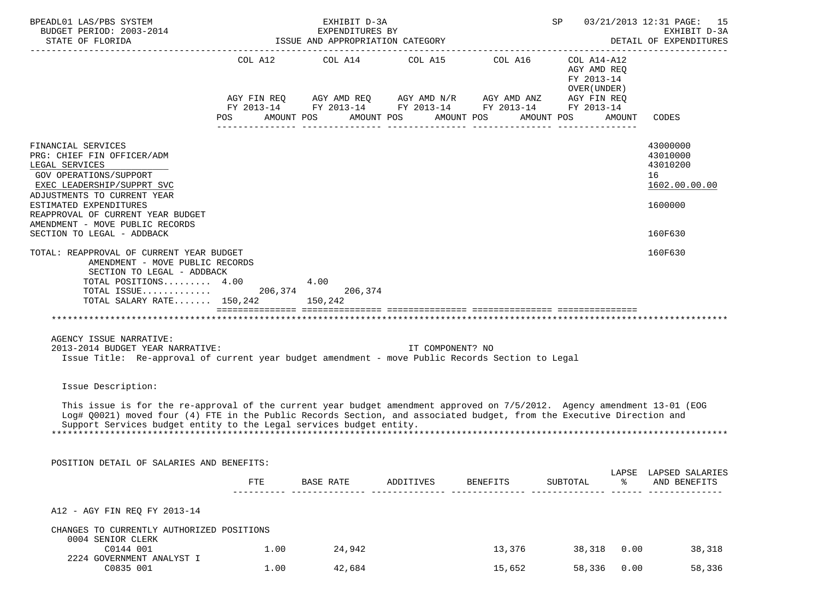| BPEADL01 LAS/PBS SYSTEM<br>BUDGET PERIOD: 2003-2014<br>STATE OF FLORIDA                                                                                                                                                                                                                                                                        |            |              |            | EXHIBIT D-3A<br>EXPENDITURES BY<br>ISSUE AND APPROPRIATION CATEGORY |            |                  |                  | SP |                                                                                                                                                                                                 |              | 03/21/2013 12:31 PAGE: 15<br>EXHIBIT D-3A<br>DETAIL OF EXPENDITURES                      |
|------------------------------------------------------------------------------------------------------------------------------------------------------------------------------------------------------------------------------------------------------------------------------------------------------------------------------------------------|------------|--------------|------------|---------------------------------------------------------------------|------------|------------------|------------------|----|-------------------------------------------------------------------------------------------------------------------------------------------------------------------------------------------------|--------------|------------------------------------------------------------------------------------------|
|                                                                                                                                                                                                                                                                                                                                                | POS        |              | AMOUNT POS | COL A12 COL A14 COL A15 COL A16                                     | AMOUNT POS |                  | AMOUNT POS       |    | COL A14-A12<br>AGY AMD REQ<br>FY 2013-14<br>OVER (UNDER)<br>AGY FIN REQ AGY AMD REQ AGY AMD N/R AGY AMD ANZ AGY FIN REQ<br>FY 2013-14 FY 2013-14 FY 2013-14 FY 2013-14 FY 2013-14<br>AMOUNT POS | AMOUNT       | CODES                                                                                    |
| FINANCIAL SERVICES<br>PRG: CHIEF FIN OFFICER/ADM<br>LEGAL SERVICES<br>GOV OPERATIONS/SUPPORT<br>EXEC LEADERSHIP/SUPPRT SVC<br>ADJUSTMENTS TO CURRENT YEAR<br>ESTIMATED EXPENDITURES<br>REAPPROVAL OF CURRENT YEAR BUDGET<br>AMENDMENT - MOVE PUBLIC RECORDS<br>SECTION TO LEGAL - ADDBACK<br>TOTAL: REAPPROVAL OF CURRENT YEAR BUDGET          |            |              |            |                                                                     |            |                  |                  |    |                                                                                                                                                                                                 |              | 43000000<br>43010000<br>43010200<br>16<br>1602.00.00.00<br>1600000<br>160F630<br>160F630 |
| AMENDMENT - MOVE PUBLIC RECORDS<br>SECTION TO LEGAL - ADDBACK<br>TOTAL POSITIONS 4.00<br>TOTAL SALARY RATE 150,242 150,242                                                                                                                                                                                                                     |            |              | 4.00       |                                                                     |            |                  |                  |    |                                                                                                                                                                                                 |              |                                                                                          |
| AGENCY ISSUE NARRATIVE:<br>2013-2014 BUDGET YEAR NARRATIVE:<br>Issue Title: Re-approval of current year budget amendment - move Public Records Section to Legal                                                                                                                                                                                |            |              |            |                                                                     |            | IT COMPONENT? NO |                  |    |                                                                                                                                                                                                 |              |                                                                                          |
| Issue Description:<br>This issue is for the re-approval of the current year budget amendment approved on 7/5/2012. Agency amendment 13-01 (EOG<br>Log# Q0021) moved four (4) FTE in the Public Records Section, and associated budget, from the Executive Direction and<br>Support Services budget entity to the Legal services budget entity. |            |              |            |                                                                     |            |                  |                  |    |                                                                                                                                                                                                 |              |                                                                                          |
| POSITION DETAIL OF SALARIES AND BENEFITS:                                                                                                                                                                                                                                                                                                      |            |              |            |                                                                     |            |                  |                  |    |                                                                                                                                                                                                 |              | LAPSE LAPSED SALARIES                                                                    |
|                                                                                                                                                                                                                                                                                                                                                | <b>FTE</b> |              | BASE RATE  |                                                                     | ADDITIVES  |                  | BENEFITS         |    | <b>SUBTOTAL</b>                                                                                                                                                                                 |              | AND BENEFITS                                                                             |
| A12 - AGY FIN REQ FY 2013-14                                                                                                                                                                                                                                                                                                                   |            |              |            |                                                                     |            |                  |                  |    |                                                                                                                                                                                                 |              |                                                                                          |
| CHANGES TO CURRENTLY AUTHORIZED POSITIONS<br>0004 SENIOR CLERK                                                                                                                                                                                                                                                                                 |            |              |            |                                                                     |            |                  |                  |    |                                                                                                                                                                                                 |              |                                                                                          |
| C0144 001<br>2224 GOVERNMENT ANALYST I<br>C0835 001                                                                                                                                                                                                                                                                                            |            | 1.00<br>1.00 |            | 24,942<br>42,684                                                    |            |                  | 13,376<br>15,652 |    | 38,318<br>58,336                                                                                                                                                                                | 0.00<br>0.00 | 38,318<br>58,336                                                                         |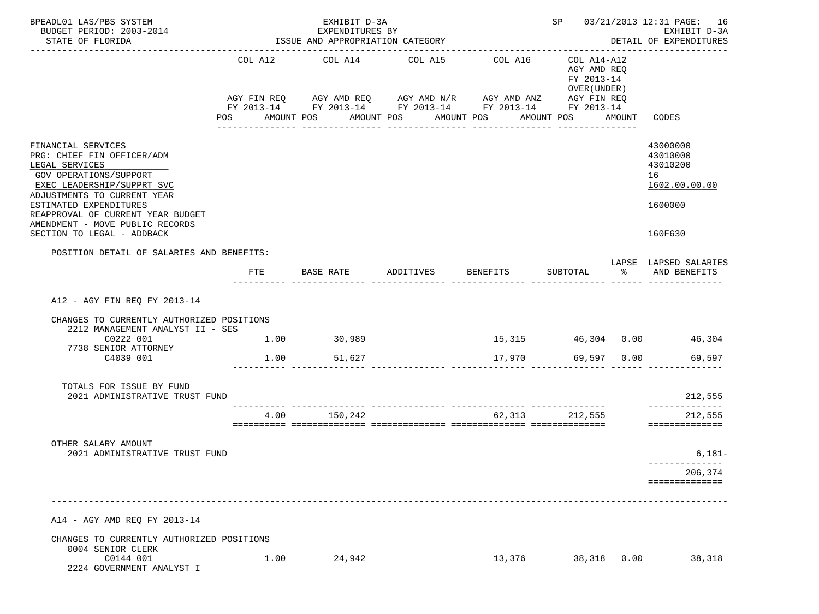| BPEADL01 LAS/PBS SYSTEM                                                                                                                                                                                                                                                                   |            | EXHIBIT D-3A                                        |                                                                                                                                                           |                             |                                                                        |        | SP 03/21/2013 12:31 PAGE: 16                                                  |
|-------------------------------------------------------------------------------------------------------------------------------------------------------------------------------------------------------------------------------------------------------------------------------------------|------------|-----------------------------------------------------|-----------------------------------------------------------------------------------------------------------------------------------------------------------|-----------------------------|------------------------------------------------------------------------|--------|-------------------------------------------------------------------------------|
| BUDGET PERIOD: 2003-2014<br>STATE OF FLORIDA                                                                                                                                                                                                                                              |            | EXPENDITURES BY<br>ISSUE AND APPROPRIATION CATEGORY |                                                                                                                                                           |                             |                                                                        |        | EXHIBIT D-3A<br>DETAIL OF EXPENDITURES                                        |
|                                                                                                                                                                                                                                                                                           | <b>POS</b> | COL A12 COL A14<br>AMOUNT POS                       | COL A15<br>AGY FIN REQ AGY AMD REQ AGY AMD N/R AGY AMD ANZ AGY FIN REQ<br>FY 2013-14 FY 2013-14 FY 2013-14 FY 2013-14 FY 2013-14<br>AMOUNT POS AMOUNT POS | COL A16<br>---------------- | COL A14-A12<br>AGY AMD REQ<br>FY 2013-14<br>OVER (UNDER)<br>AMOUNT POS | AMOUNT | CODES                                                                         |
| FINANCIAL SERVICES<br>PRG: CHIEF FIN OFFICER/ADM<br>LEGAL SERVICES<br>GOV OPERATIONS/SUPPORT<br>EXEC LEADERSHIP/SUPPRT SVC<br>ADJUSTMENTS TO CURRENT YEAR<br>ESTIMATED EXPENDITURES<br>REAPPROVAL OF CURRENT YEAR BUDGET<br>AMENDMENT - MOVE PUBLIC RECORDS<br>SECTION TO LEGAL - ADDBACK |            |                                                     |                                                                                                                                                           |                             |                                                                        |        | 43000000<br>43010000<br>43010200<br>16<br>1602.00.00.00<br>1600000<br>160F630 |
| POSITION DETAIL OF SALARIES AND BENEFITS:                                                                                                                                                                                                                                                 | FTE        | BASE RATE                                           | ADDITIVES                                                                                                                                                 | BENEFITS SUBTOTAL           | -------- --------------- ------                                        | ႜ      | LAPSE LAPSED SALARIES<br>AND BENEFITS                                         |
| A12 - AGY FIN REO FY 2013-14<br>CHANGES TO CURRENTLY AUTHORIZED POSITIONS<br>2212 MANAGEMENT ANALYST II - SES<br>C0222 001                                                                                                                                                                |            | $1.00$ 30,989                                       |                                                                                                                                                           |                             |                                                                        |        | 15,315 46,304 0.00 46,304                                                     |
| 7738 SENIOR ATTORNEY<br>C4039 001                                                                                                                                                                                                                                                         | 1.00       | 51,627                                              |                                                                                                                                                           | 17,970                      | 69,597 0.00                                                            |        | 69,597                                                                        |
| TOTALS FOR ISSUE BY FUND<br>2021 ADMINISTRATIVE TRUST FUND                                                                                                                                                                                                                                |            |                                                     |                                                                                                                                                           |                             |                                                                        |        | 212,555                                                                       |
|                                                                                                                                                                                                                                                                                           | 4.00       | 150,242                                             |                                                                                                                                                           |                             | 62,313 212,555                                                         |        | ______________<br>212,555<br>==============                                   |
| OTHER SALARY AMOUNT<br>2021 ADMINISTRATIVE TRUST FUND                                                                                                                                                                                                                                     |            |                                                     |                                                                                                                                                           |                             |                                                                        |        | $6,181-$                                                                      |
|                                                                                                                                                                                                                                                                                           |            |                                                     |                                                                                                                                                           |                             |                                                                        |        | 206,374<br>==============                                                     |
| A14 - AGY AMD REQ FY 2013-14                                                                                                                                                                                                                                                              |            |                                                     |                                                                                                                                                           |                             |                                                                        |        |                                                                               |
| CHANGES TO CURRENTLY AUTHORIZED POSITIONS<br>0004 SENIOR CLERK                                                                                                                                                                                                                            |            |                                                     |                                                                                                                                                           |                             |                                                                        |        |                                                                               |
| C0144 001<br>2224 GOVERNMENT ANALYST I                                                                                                                                                                                                                                                    | 1.00       | 24,942                                              |                                                                                                                                                           | 13,376                      | 38,318                                                                 | 0.00   | 38,318                                                                        |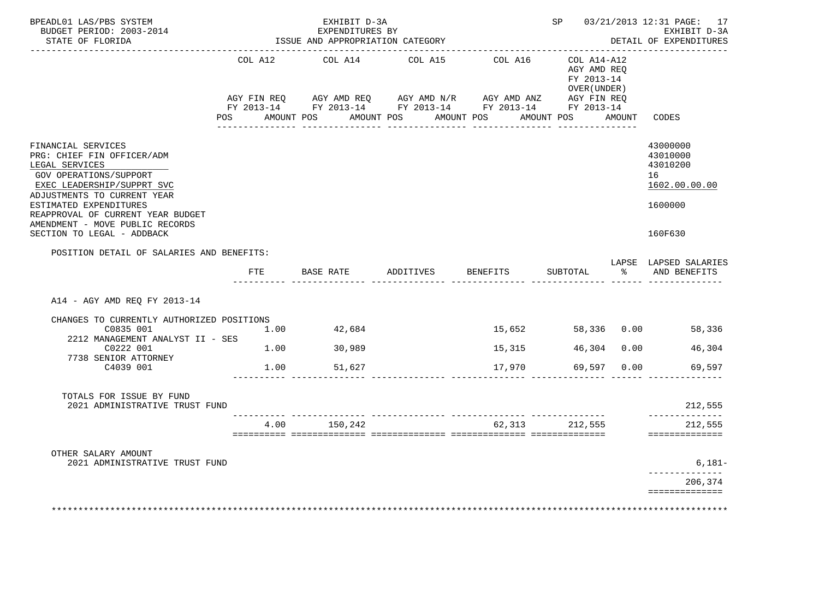| BPEADL01 LAS/PBS SYSTEM<br>BUDGET PERIOD: 2003-2014                                                                                                                                                                                                                                       |                        | EXHIBIT D-3A<br>EXPENDITURES BY |                                      |                                                                           | SP <sub>3</sub>                                          |      | 03/21/2013 12:31 PAGE: 17<br>EXHIBIT D-3A                                     |
|-------------------------------------------------------------------------------------------------------------------------------------------------------------------------------------------------------------------------------------------------------------------------------------------|------------------------|---------------------------------|--------------------------------------|---------------------------------------------------------------------------|----------------------------------------------------------|------|-------------------------------------------------------------------------------|
| STATE OF FLORIDA                                                                                                                                                                                                                                                                          |                        |                                 | ISSUE AND APPROPRIATION CATEGORY     |                                                                           |                                                          |      | DETAIL OF EXPENDITURES                                                        |
|                                                                                                                                                                                                                                                                                           | COL A12<br>AGY FIN REQ | COL A14                         | COL A15                              | COL A16<br>AGY AMD REQ      AGY AMD N/R      AGY AMD ANZ      AGY FIN REQ | COL A14-A12<br>AGY AMD REO<br>FY 2013-14<br>OVER (UNDER) |      |                                                                               |
|                                                                                                                                                                                                                                                                                           |                        |                                 | POS AMOUNT POS AMOUNT POS AMOUNT POS | FY 2013-14 FY 2013-14 FY 2013-14 FY 2013-14 FY 2013-14                    | AMOUNT POS AMOUNT                                        |      | CODES                                                                         |
| FINANCIAL SERVICES<br>PRG: CHIEF FIN OFFICER/ADM<br>LEGAL SERVICES<br>GOV OPERATIONS/SUPPORT<br>EXEC LEADERSHIP/SUPPRT SVC<br>ADJUSTMENTS TO CURRENT YEAR<br>ESTIMATED EXPENDITURES<br>REAPPROVAL OF CURRENT YEAR BUDGET<br>AMENDMENT - MOVE PUBLIC RECORDS<br>SECTION TO LEGAL - ADDBACK |                        |                                 |                                      |                                                                           |                                                          |      | 43000000<br>43010000<br>43010200<br>16<br>1602.00.00.00<br>1600000<br>160F630 |
| POSITION DETAIL OF SALARIES AND BENEFITS:                                                                                                                                                                                                                                                 |                        |                                 |                                      |                                                                           |                                                          |      | LAPSE LAPSED SALARIES                                                         |
|                                                                                                                                                                                                                                                                                           | FTE                    |                                 | BASE RATE ADDITIVES                  | BENEFITS                                                                  | SUBTOTAL                                                 |      | % AND BENEFITS                                                                |
| A14 - AGY AMD REQ FY 2013-14                                                                                                                                                                                                                                                              |                        |                                 |                                      |                                                                           |                                                          |      |                                                                               |
| CHANGES TO CURRENTLY AUTHORIZED POSITIONS<br>C0835 001<br>2212 MANAGEMENT ANALYST II - SES                                                                                                                                                                                                | 1.00                   | 42,684                          |                                      | 15,652                                                                    |                                                          |      | 58,336 0.00 58,336                                                            |
| C0222 001<br>7738 SENIOR ATTORNEY                                                                                                                                                                                                                                                         | 1.00                   | 30,989                          |                                      | 15,315                                                                    | 46,304                                                   | 0.00 | 46,304                                                                        |
| C4039 001                                                                                                                                                                                                                                                                                 |                        | 1.00 51,627                     |                                      | 17,970                                                                    | 69,597                                                   | 0.00 | 69,597                                                                        |
| TOTALS FOR ISSUE BY FUND<br>2021 ADMINISTRATIVE TRUST FUND                                                                                                                                                                                                                                |                        |                                 |                                      |                                                                           |                                                          |      | 212,555<br>______________                                                     |
|                                                                                                                                                                                                                                                                                           |                        | 4.00 150,242                    |                                      |                                                                           | 62, 313 212, 555                                         |      | 212,555<br>==============                                                     |
|                                                                                                                                                                                                                                                                                           |                        |                                 |                                      |                                                                           |                                                          |      |                                                                               |
| OTHER SALARY AMOUNT                                                                                                                                                                                                                                                                       |                        |                                 |                                      |                                                                           |                                                          |      |                                                                               |
| 2021 ADMINISTRATIVE TRUST FUND                                                                                                                                                                                                                                                            |                        |                                 |                                      |                                                                           |                                                          |      | $6,181-$<br>-----------<br>206,374                                            |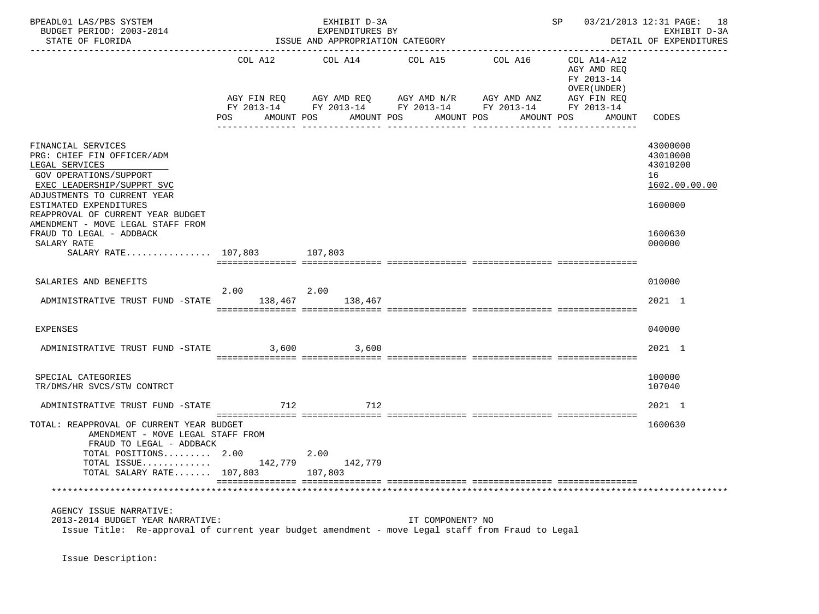| BPEADL01 LAS/PBS SYSTEM<br>BUDGET PERIOD: 2003-2014<br>STATE OF FLORIDA                                                                                                                                                                                       |         | EXHIBIT D-3A<br>EXPENDITURES BY<br>ISSUE AND APPROPRIATION CATEGORY                                                                                |                                             |         | SP 03/21/2013 12:31 PAGE: 18                                                                    | EXHIBIT D-3A<br>DETAIL OF EXPENDITURES<br>______________           |
|---------------------------------------------------------------------------------------------------------------------------------------------------------------------------------------------------------------------------------------------------------------|---------|----------------------------------------------------------------------------------------------------------------------------------------------------|---------------------------------------------|---------|-------------------------------------------------------------------------------------------------|--------------------------------------------------------------------|
|                                                                                                                                                                                                                                                               | POS     | COL A12 COL A14 COL A15<br>AGY FIN REQ AGY AMD REQ AGY AMD N/R AGY AMD ANZ<br>FY 2013-14 FY 2013-14 FY 2013-14 FY 2013-14 FY 2013-14<br>AMOUNT POS | AMOUNT POS<br>AMOUNT POS<br>_______________ | COL A16 | COL A14-A12<br>AGY AMD REQ<br>FY 2013-14<br>OVER (UNDER)<br>AGY FIN REQ<br>AMOUNT POS<br>AMOUNT | CODES                                                              |
| FINANCIAL SERVICES<br>PRG: CHIEF FIN OFFICER/ADM<br>LEGAL SERVICES<br>GOV OPERATIONS/SUPPORT<br>EXEC LEADERSHIP/SUPPRT SVC<br>ADJUSTMENTS TO CURRENT YEAR<br>ESTIMATED EXPENDITURES<br>REAPPROVAL OF CURRENT YEAR BUDGET<br>AMENDMENT - MOVE LEGAL STAFF FROM |         |                                                                                                                                                    |                                             |         |                                                                                                 | 43000000<br>43010000<br>43010200<br>16<br>1602.00.00.00<br>1600000 |
| FRAUD TO LEGAL - ADDBACK<br>SALARY RATE<br>SALARY RATE 107,803 107,803                                                                                                                                                                                        |         |                                                                                                                                                    |                                             |         |                                                                                                 | 1600630<br>000000                                                  |
| SALARIES AND BENEFITS<br>ADMINISTRATIVE TRUST FUND -STATE 138,467 138,467                                                                                                                                                                                     | 2.00    | 2.00                                                                                                                                               |                                             |         |                                                                                                 | 010000<br>2021 1                                                   |
| <b>EXPENSES</b><br>ADMINISTRATIVE TRUST FUND -STATE 3,600 3,600                                                                                                                                                                                               |         |                                                                                                                                                    |                                             |         |                                                                                                 | 040000<br>2021 1                                                   |
| SPECIAL CATEGORIES<br>TR/DMS/HR SVCS/STW CONTRCT                                                                                                                                                                                                              |         |                                                                                                                                                    |                                             |         |                                                                                                 | 100000<br>107040                                                   |
| ADMINISTRATIVE TRUST FUND -STATE<br>TOTAL: REAPPROVAL OF CURRENT YEAR BUDGET<br>AMENDMENT - MOVE LEGAL STAFF FROM<br>FRAUD TO LEGAL - ADDBACK<br>TOTAL POSITIONS 2.00                                                                                         | 712     | 712<br>2.00                                                                                                                                        |                                             |         |                                                                                                 | 2021 1<br>1600630                                                  |
| TOTAL ISSUE<br>TOTAL SALARY RATE 107,803                                                                                                                                                                                                                      | 142,779 | 142,779<br>107,803                                                                                                                                 |                                             |         |                                                                                                 |                                                                    |
| AGENCY ISSUE NARRATIVE:<br>2013-2014 BUDGET YEAR NARRATIVE:<br>Issue Title: Re-approval of current year budget amendment - move Legal staff from Fraud to Legal                                                                                               |         |                                                                                                                                                    | IT COMPONENT? NO                            |         |                                                                                                 |                                                                    |

Issue Description: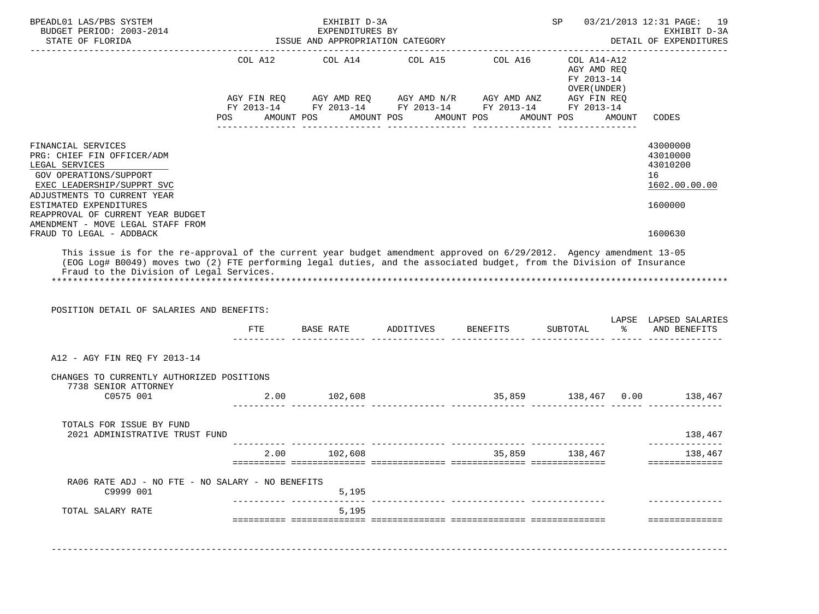| FINANCIAL SERVICES<br>PRG: CHIEF FIN OFFICER/ADM<br>LEGAL SERVICES<br>GOV OPERATIONS/SUPPORT<br>EXEC LEADERSHIP/SUPPRT SVC<br>ADJUSTMENTS TO CURRENT YEAR<br>ESTIMATED EXPENDITURES<br>REAPPROVAL OF CURRENT YEAR BUDGET<br>AMENDMENT - MOVE LEGAL STAFF FROM<br>FRAUD TO LEGAL - ADDBACK<br>This issue is for the re-approval of the current year budget amendment approved on 6/29/2012. Agency amendment 13-05<br>(EOG Log# B0049) moves two (2) FTE performing legal duties, and the associated budget, from the Division of Insurance<br>Fraud to the Division of Legal Services. | POS | COL A12 COL A14<br>AGY FIN REQ AGY AMD REQ AGY AMD N/R AGY AMD ANZ AGY FIN REQ<br>FY 2013-14 FY 2013-14 FY 2013-14 FY 2013-14 FY 2013-14<br>AMOUNT POS | AMOUNT POS | COL A15 COL A16<br>AMOUNT POS | ------------------------------------<br>COL A14-A12<br>AGY AMD REQ<br>FY 2013-14<br>OVER (UNDER)<br>AMOUNT POS | AMOUNT | CODES<br>43000000<br>43010000<br>43010200<br>16<br>1602.00.00.00<br>1600000 |
|----------------------------------------------------------------------------------------------------------------------------------------------------------------------------------------------------------------------------------------------------------------------------------------------------------------------------------------------------------------------------------------------------------------------------------------------------------------------------------------------------------------------------------------------------------------------------------------|-----|--------------------------------------------------------------------------------------------------------------------------------------------------------|------------|-------------------------------|----------------------------------------------------------------------------------------------------------------|--------|-----------------------------------------------------------------------------|
|                                                                                                                                                                                                                                                                                                                                                                                                                                                                                                                                                                                        |     |                                                                                                                                                        |            |                               |                                                                                                                |        |                                                                             |
|                                                                                                                                                                                                                                                                                                                                                                                                                                                                                                                                                                                        |     |                                                                                                                                                        |            |                               |                                                                                                                |        |                                                                             |
|                                                                                                                                                                                                                                                                                                                                                                                                                                                                                                                                                                                        |     |                                                                                                                                                        |            |                               |                                                                                                                |        |                                                                             |
|                                                                                                                                                                                                                                                                                                                                                                                                                                                                                                                                                                                        |     |                                                                                                                                                        |            |                               |                                                                                                                |        | 1600630                                                                     |
| POSITION DETAIL OF SALARIES AND BENEFITS:                                                                                                                                                                                                                                                                                                                                                                                                                                                                                                                                              |     | FTE BASE RATE                                                                                                                                          | ADDITIVES  | <b>BENEFITS</b>               | SUBTOTAL                                                                                                       | ိ      | LAPSE LAPSED SALARIES<br>AND BENEFITS                                       |
|                                                                                                                                                                                                                                                                                                                                                                                                                                                                                                                                                                                        |     |                                                                                                                                                        |            |                               |                                                                                                                |        |                                                                             |
| A12 - AGY FIN REQ FY 2013-14                                                                                                                                                                                                                                                                                                                                                                                                                                                                                                                                                           |     |                                                                                                                                                        |            |                               |                                                                                                                |        |                                                                             |
| CHANGES TO CURRENTLY AUTHORIZED POSITIONS<br>7738 SENIOR ATTORNEY                                                                                                                                                                                                                                                                                                                                                                                                                                                                                                                      |     |                                                                                                                                                        |            |                               |                                                                                                                |        |                                                                             |
| C0575 001                                                                                                                                                                                                                                                                                                                                                                                                                                                                                                                                                                              |     | 2.00 102,608                                                                                                                                           |            |                               |                                                                                                                |        | 35,859 138,467 0.00 138,467                                                 |
| TOTALS FOR ISSUE BY FUND<br>2021 ADMINISTRATIVE TRUST FUND                                                                                                                                                                                                                                                                                                                                                                                                                                                                                                                             |     |                                                                                                                                                        |            |                               |                                                                                                                |        | 138,467<br>______________                                                   |
|                                                                                                                                                                                                                                                                                                                                                                                                                                                                                                                                                                                        |     | 2.00 102,608                                                                                                                                           |            |                               | 35,859 138,467                                                                                                 |        | 138,467<br>==============                                                   |
|                                                                                                                                                                                                                                                                                                                                                                                                                                                                                                                                                                                        |     |                                                                                                                                                        |            |                               |                                                                                                                |        |                                                                             |
| RA06 RATE ADJ - NO FTE - NO SALARY - NO BENEFITS<br>C9999 001                                                                                                                                                                                                                                                                                                                                                                                                                                                                                                                          |     | 5,195                                                                                                                                                  |            |                               |                                                                                                                |        |                                                                             |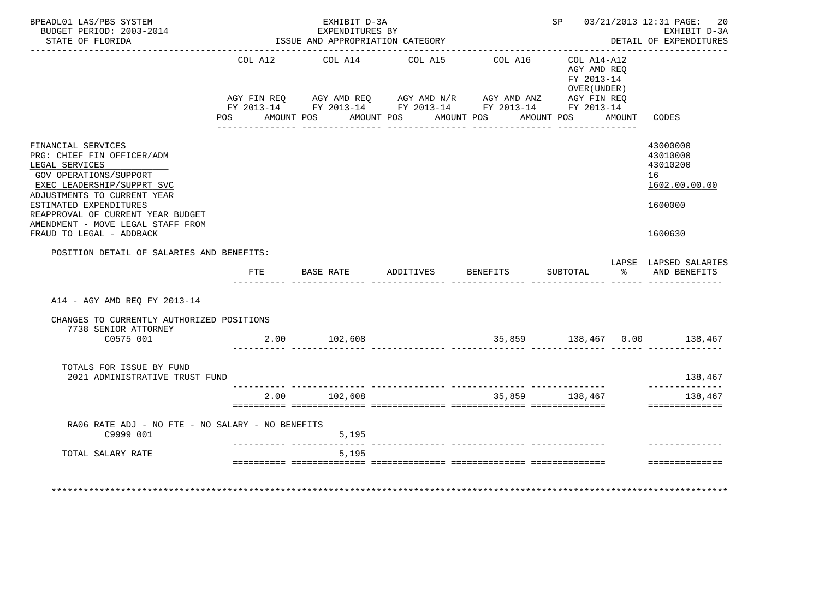|     |                                                                                                                          |                 |                                                                                                                                     |         |                                                       |                                                          |                        | DETAIL OF EXPENDITURES                                                                                                                                                           |
|-----|--------------------------------------------------------------------------------------------------------------------------|-----------------|-------------------------------------------------------------------------------------------------------------------------------------|---------|-------------------------------------------------------|----------------------------------------------------------|------------------------|----------------------------------------------------------------------------------------------------------------------------------------------------------------------------------|
|     |                                                                                                                          | COL A12 COL A14 | COL A15                                                                                                                             | COL A16 |                                                       | COL A14-A12<br>AGY AMD REQ<br>FY 2013-14<br>OVER (UNDER) |                        | CODES                                                                                                                                                                            |
|     |                                                                                                                          |                 |                                                                                                                                     |         |                                                       |                                                          |                        | 43000000<br>43010000<br>43010200<br>16<br>1602.00.00.00<br>1600000<br>1600630                                                                                                    |
| FTE |                                                                                                                          |                 |                                                                                                                                     |         |                                                       |                                                          |                        | LAPSE LAPSED SALARIES<br>% AND BENEFITS                                                                                                                                          |
|     |                                                                                                                          |                 |                                                                                                                                     |         |                                                       |                                                          |                        |                                                                                                                                                                                  |
|     |                                                                                                                          |                 |                                                                                                                                     |         |                                                       |                                                          |                        |                                                                                                                                                                                  |
|     |                                                                                                                          |                 |                                                                                                                                     |         |                                                       |                                                          |                        | 138,467                                                                                                                                                                          |
|     |                                                                                                                          |                 |                                                                                                                                     |         |                                                       |                                                          |                        | ______________<br>138,467<br>==============                                                                                                                                      |
|     |                                                                                                                          | 5,195           |                                                                                                                                     |         |                                                       |                                                          |                        |                                                                                                                                                                                  |
|     |                                                                                                                          | 5,195           |                                                                                                                                     |         |                                                       |                                                          |                        | ==============                                                                                                                                                                   |
|     | POSITION DETAIL OF SALARIES AND BENEFITS:<br>CHANGES TO CURRENTLY AUTHORIZED POSITIONS<br>2021 ADMINISTRATIVE TRUST FUND |                 | POS AMOUNT POS<br>2.00 102,608<br>2.00 102,608<br>RA06 RATE ADJ - NO FTE - NO SALARY - NO BENEFITS<br>_____________________________ |         | AMOUNT POS AMOUNT POS<br>BASE RATE ADDITIVES BENEFITS |                                                          | AMOUNT POS<br>SUBTOTAL | AGY FIN REQ AGY AMD REQ AGY AMD N/R AGY AMD ANZ AGY FIN REQ<br>FY 2013-14 FY 2013-14 FY 2013-14 FY 2013-14 FY 2013-14<br>AMOUNT<br>35,859 138,467 0.00 138,467<br>35,859 138,467 |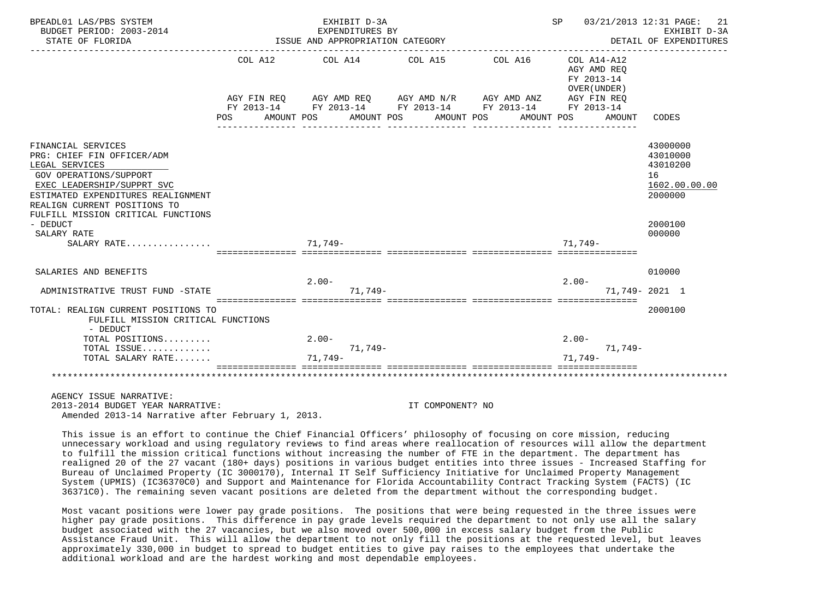| BPEADL01 LAS/PBS SYSTEM<br>BUDGET PERIOD: 2003-2014                                                                                                                                                                                                |                       | EXHIBIT D-3A<br>EXPENDITURES BY                                                                                                            |                          |                       | SP 03/21/2013 12:31 PAGE:                                                             | 21<br>EXHIBIT D-3A                                                            |
|----------------------------------------------------------------------------------------------------------------------------------------------------------------------------------------------------------------------------------------------------|-----------------------|--------------------------------------------------------------------------------------------------------------------------------------------|--------------------------|-----------------------|---------------------------------------------------------------------------------------|-------------------------------------------------------------------------------|
| STATE OF FLORIDA                                                                                                                                                                                                                                   |                       | ISSUE AND APPROPRIATION CATEGORY                                                                                                           |                          |                       |                                                                                       | DETAIL OF EXPENDITURES                                                        |
|                                                                                                                                                                                                                                                    | COL A12<br><b>POS</b> | COL A14 COL A15<br>AGY FIN REQ AGY AMD REQ AGY AMD N/R AGY AMD ANZ<br>FY 2013-14 FY 2013-14 FY 2013-14 FY 2013-14 FY 2013-14<br>AMOUNT POS | AMOUNT POS<br>AMOUNT POS | COL A16<br>AMOUNT POS | $COL A14 - A12$<br>AGY AMD REO<br>FY 2013-14<br>OVER (UNDER)<br>AGY FIN REO<br>AMOUNT | CODES                                                                         |
|                                                                                                                                                                                                                                                    |                       |                                                                                                                                            |                          |                       |                                                                                       |                                                                               |
| FINANCIAL SERVICES<br>PRG: CHIEF FIN OFFICER/ADM<br>LEGAL SERVICES<br>GOV OPERATIONS/SUPPORT<br>EXEC LEADERSHIP/SUPPRT SVC<br>ESTIMATED EXPENDITURES REALIGNMENT<br>REALIGN CURRENT POSITIONS TO<br>FULFILL MISSION CRITICAL FUNCTIONS<br>- DEDUCT |                       |                                                                                                                                            |                          |                       |                                                                                       | 43000000<br>43010000<br>43010200<br>16<br>1602.00.00.00<br>2000000<br>2000100 |
| SALARY RATE<br>SALARY RATE                                                                                                                                                                                                                         |                       | 71,749-                                                                                                                                    |                          |                       | $71.749-$                                                                             | 000000                                                                        |
| SALARIES AND BENEFITS                                                                                                                                                                                                                              |                       |                                                                                                                                            |                          |                       |                                                                                       | 010000                                                                        |
|                                                                                                                                                                                                                                                    |                       | $2.00 -$                                                                                                                                   |                          |                       | $2.00-$                                                                               |                                                                               |
| ADMINISTRATIVE TRUST FUND -STATE                                                                                                                                                                                                                   |                       | 71,749-                                                                                                                                    |                          |                       |                                                                                       | 71,749-2021 1                                                                 |
| TOTAL: REALIGN CURRENT POSITIONS TO<br>FULFILL MISSION CRITICAL FUNCTIONS<br>- DEDUCT                                                                                                                                                              |                       | sicicicicici intricticici intrictici interestici intricticiali interestici                                                                 |                          |                       |                                                                                       | 2000100                                                                       |
| TOTAL POSITIONS                                                                                                                                                                                                                                    |                       | $2.00 -$                                                                                                                                   |                          |                       | $2.00 -$                                                                              |                                                                               |
| TOTAL ISSUE<br>TOTAL SALARY RATE                                                                                                                                                                                                                   |                       | $71.749-$<br>$71.749-$                                                                                                                     |                          |                       | 71,749-<br>$71.749-$                                                                  |                                                                               |
|                                                                                                                                                                                                                                                    |                       |                                                                                                                                            |                          |                       |                                                                                       |                                                                               |
| AGENCY ISSUE NARRATIVE:                                                                                                                                                                                                                            |                       |                                                                                                                                            |                          |                       |                                                                                       |                                                                               |
| 2013-2014 BUDGET YEAR NARRATIVE:                                                                                                                                                                                                                   |                       |                                                                                                                                            | IT COMPONENT? NO         |                       |                                                                                       |                                                                               |

Amended 2013-14 Narrative after February 1, 2013.

 This issue is an effort to continue the Chief Financial Officers' philosophy of focusing on core mission, reducing unnecessary workload and using regulatory reviews to find areas where reallocation of resources will allow the department to fulfill the mission critical functions without increasing the number of FTE in the department. The department has realigned 20 of the 27 vacant (180+ days) positions in various budget entities into three issues - Increased Staffing for Bureau of Unclaimed Property (IC 3000170), Internal IT Self Sufficiency Initiative for Unclaimed Property Management System (UPMIS) (IC36370C0) and Support and Maintenance for Florida Accountability Contract Tracking System (FACTS) (IC 36371C0). The remaining seven vacant positions are deleted from the department without the corresponding budget.

 Most vacant positions were lower pay grade positions. The positions that were being requested in the three issues were higher pay grade positions. This difference in pay grade levels required the department to not only use all the salary budget associated with the 27 vacancies, but we also moved over 500,000 in excess salary budget from the Public Assistance Fraud Unit. This will allow the department to not only fill the positions at the requested level, but leaves approximately 330,000 in budget to spread to budget entities to give pay raises to the employees that undertake the additional workload and are the hardest working and most dependable employees.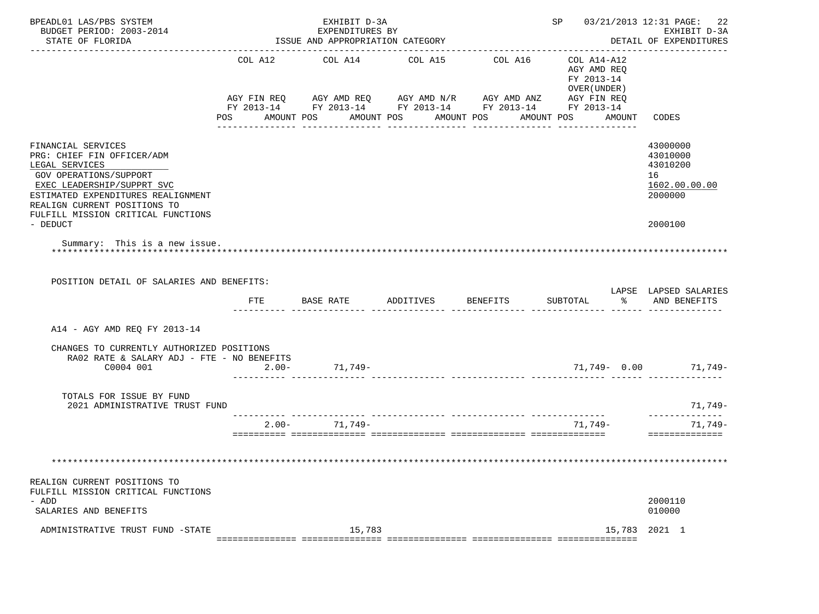| BPEADL01 LAS/PBS SYSTEM<br>BUDGET PERIOD: 2003-2014<br>STATE OF FLORIDA                                                                                                                                                                                                             |                           | EXHIBIT D-3A<br>EXPENDITURES BY<br>ISSUE AND APPROPRIATION CATEGORY |                                                                                                                                                           |                 | SP 03/21/2013 12:31 PAGE: 22                                                  | EXHIBIT D-3A<br>DETAIL OF EXPENDITURES                                        |
|-------------------------------------------------------------------------------------------------------------------------------------------------------------------------------------------------------------------------------------------------------------------------------------|---------------------------|---------------------------------------------------------------------|-----------------------------------------------------------------------------------------------------------------------------------------------------------|-----------------|-------------------------------------------------------------------------------|-------------------------------------------------------------------------------|
|                                                                                                                                                                                                                                                                                     | COL A12<br>POS AMOUNT POS | COL A14                                                             | COL A15<br>AGY FIN REQ AGY AMD REQ AGY AMD N/R AGY AMD ANZ AGY FIN REQ<br>FY 2013-14 FY 2013-14 FY 2013-14 FY 2013-14 FY 2013-14<br>AMOUNT POS AMOUNT POS | COL A16         | COL A14-A12<br>AGY AMD REO<br>FY 2013-14<br>OVER (UNDER)<br>AMOUNT POS AMOUNT | CODES                                                                         |
| FINANCIAL SERVICES<br>PRG: CHIEF FIN OFFICER/ADM<br>LEGAL SERVICES<br>GOV OPERATIONS/SUPPORT<br>EXEC LEADERSHIP/SUPPRT SVC<br>ESTIMATED EXPENDITURES REALIGNMENT<br>REALIGN CURRENT POSITIONS TO<br>FULFILL MISSION CRITICAL FUNCTIONS<br>- DEDUCT<br>Summary: This is a new issue. |                           |                                                                     |                                                                                                                                                           |                 |                                                                               | 43000000<br>43010000<br>43010200<br>16<br>1602.00.00.00<br>2000000<br>2000100 |
| POSITION DETAIL OF SALARIES AND BENEFITS:                                                                                                                                                                                                                                           | FTE                       | BASE RATE                                                           | ADDITIVES                                                                                                                                                 | <b>BENEFITS</b> | SUBTOTAL                                                                      | LAPSE LAPSED SALARIES<br>% AND BENEFITS                                       |
| A14 - AGY AMD REQ FY 2013-14                                                                                                                                                                                                                                                        |                           |                                                                     |                                                                                                                                                           |                 |                                                                               |                                                                               |
| CHANGES TO CURRENTLY AUTHORIZED POSITIONS<br>RA02 RATE & SALARY ADJ - FTE - NO BENEFITS<br>C0004 001                                                                                                                                                                                | $2.00 -$                  |                                                                     |                                                                                                                                                           |                 |                                                                               | 71,749- 0.00 71,749-                                                          |
| TOTALS FOR ISSUE BY FUND<br>2021 ADMINISTRATIVE TRUST FUND                                                                                                                                                                                                                          |                           |                                                                     |                                                                                                                                                           |                 |                                                                               | 71,749-<br>______________                                                     |
|                                                                                                                                                                                                                                                                                     | $2.00 -$                  | 71,749-                                                             |                                                                                                                                                           |                 | 71,749-                                                                       | 71,749-<br>==============                                                     |
|                                                                                                                                                                                                                                                                                     |                           |                                                                     |                                                                                                                                                           |                 |                                                                               |                                                                               |
| REALIGN CURRENT POSITIONS TO<br>FULFILL MISSION CRITICAL FUNCTIONS<br>- ADD<br>SALARIES AND BENEFITS                                                                                                                                                                                |                           |                                                                     |                                                                                                                                                           |                 |                                                                               | 2000110<br>010000                                                             |
| ADMINISTRATIVE TRUST FUND -STATE                                                                                                                                                                                                                                                    |                           | 15,783                                                              |                                                                                                                                                           |                 | 15,783                                                                        | 2021 1                                                                        |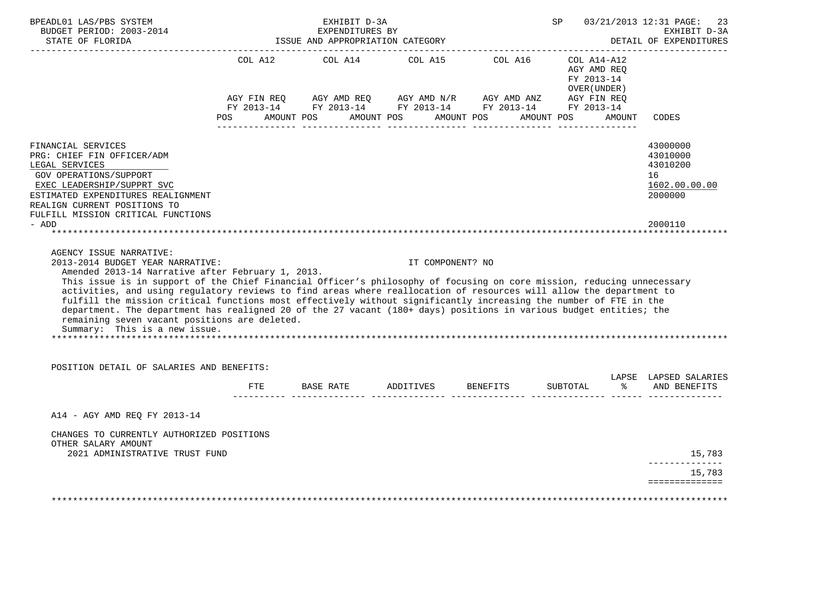| BUDGET PERIOD: 2003-2014<br>STATE OF FLORIDA                                                                                                                                                                                                                                                                                                                                                                                                                                                                                                                                                                                                                                                   |     | EXHIBIT D-3A<br>EXPENDITURES BY<br>ISSUE AND APPROPRIATION CATEGORY       |                  |                             | SP                                        |               | 03/21/2013 12:31 PAGE: 23<br>EXHIBIT D-3A<br>DETAIL OF EXPENDITURES |
|------------------------------------------------------------------------------------------------------------------------------------------------------------------------------------------------------------------------------------------------------------------------------------------------------------------------------------------------------------------------------------------------------------------------------------------------------------------------------------------------------------------------------------------------------------------------------------------------------------------------------------------------------------------------------------------------|-----|---------------------------------------------------------------------------|------------------|-----------------------------|-------------------------------------------|---------------|---------------------------------------------------------------------|
|                                                                                                                                                                                                                                                                                                                                                                                                                                                                                                                                                                                                                                                                                                |     | COL A12 COL A14<br>POS AMOUNT POS AMOUNT POS AMOUNT POS AMOUNT POS AMOUNT |                  | COL A15 COL A16 COL A14-A12 | AGY AMD REO<br>FY 2013-14<br>OVER (UNDER) |               | CODES                                                               |
|                                                                                                                                                                                                                                                                                                                                                                                                                                                                                                                                                                                                                                                                                                |     |                                                                           |                  |                             |                                           |               |                                                                     |
| FINANCIAL SERVICES<br>PRG: CHIEF FIN OFFICER/ADM<br>LEGAL SERVICES<br>GOV OPERATIONS/SUPPORT<br>EXEC LEADERSHIP/SUPPRT SVC<br>ESTIMATED EXPENDITURES REALIGNMENT<br>REALIGN CURRENT POSITIONS TO<br>FULFILL MISSION CRITICAL FUNCTIONS                                                                                                                                                                                                                                                                                                                                                                                                                                                         |     |                                                                           |                  |                             |                                           |               | 43000000<br>43010000<br>43010200<br>16<br>1602.00.00.00<br>2000000  |
| - ADD                                                                                                                                                                                                                                                                                                                                                                                                                                                                                                                                                                                                                                                                                          |     |                                                                           |                  |                             |                                           |               | 2000110                                                             |
|                                                                                                                                                                                                                                                                                                                                                                                                                                                                                                                                                                                                                                                                                                |     |                                                                           |                  |                             |                                           |               |                                                                     |
|                                                                                                                                                                                                                                                                                                                                                                                                                                                                                                                                                                                                                                                                                                |     |                                                                           |                  |                             |                                           |               |                                                                     |
| AGENCY ISSUE NARRATIVE:<br>2013-2014 BUDGET YEAR NARRATIVE:<br>Amended 2013-14 Narrative after February 1, 2013.<br>This issue is in support of the Chief Financial Officer's philosophy of focusing on core mission, reducing unnecessary<br>activities, and using regulatory reviews to find areas where reallocation of resources will allow the department to<br>fulfill the mission critical functions most effectively without significantly increasing the number of FTE in the<br>department. The department has realigned 20 of the 27 vacant (180+ days) positions in various budget entities; the<br>remaining seven vacant positions are deleted.<br>Summary: This is a new issue. |     |                                                                           | IT COMPONENT? NO |                             |                                           |               |                                                                     |
|                                                                                                                                                                                                                                                                                                                                                                                                                                                                                                                                                                                                                                                                                                |     |                                                                           |                  |                             |                                           |               |                                                                     |
| POSITION DETAIL OF SALARIES AND BENEFITS:                                                                                                                                                                                                                                                                                                                                                                                                                                                                                                                                                                                                                                                      | FTE | BASE RATE ADDITIVES BENEFITS                                              |                  |                             | SUBTOTAL                                  | $\frac{1}{6}$ | LAPSE LAPSED SALARIES<br>AND BENEFITS                               |
| A14 - AGY AMD REQ FY 2013-14                                                                                                                                                                                                                                                                                                                                                                                                                                                                                                                                                                                                                                                                   |     |                                                                           |                  |                             |                                           |               |                                                                     |
| CHANGES TO CURRENTLY AUTHORIZED POSITIONS<br>OTHER SALARY AMOUNT                                                                                                                                                                                                                                                                                                                                                                                                                                                                                                                                                                                                                               |     |                                                                           |                  |                             |                                           |               |                                                                     |
| 2021 ADMINISTRATIVE TRUST FUND                                                                                                                                                                                                                                                                                                                                                                                                                                                                                                                                                                                                                                                                 |     |                                                                           |                  |                             |                                           |               | 15,783<br>______________                                            |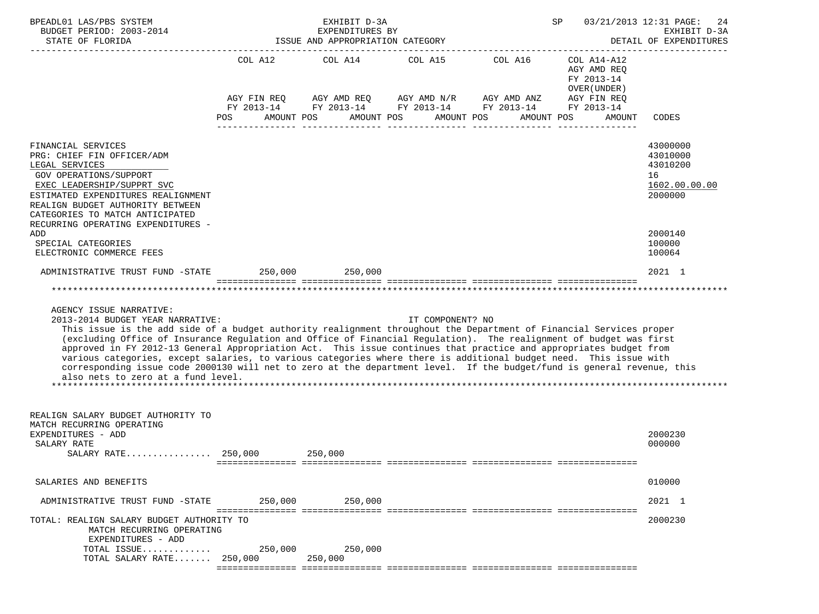| BPEADL01 LAS/PBS SYSTEM<br>BUDGET PERIOD: 2003-2014                                                                                                                                                                                                                                                                                                                                                                                                                                                                                                                                                                                                                                                                |             | EXHIBIT D-3A<br>EXPENDITURES BY                                        |                          |            | SP                                                                      | 03/21/2013 12:31 PAGE:<br>24<br>EXHIBIT D-3A                       |  |
|--------------------------------------------------------------------------------------------------------------------------------------------------------------------------------------------------------------------------------------------------------------------------------------------------------------------------------------------------------------------------------------------------------------------------------------------------------------------------------------------------------------------------------------------------------------------------------------------------------------------------------------------------------------------------------------------------------------------|-------------|------------------------------------------------------------------------|--------------------------|------------|-------------------------------------------------------------------------|--------------------------------------------------------------------|--|
| STATE OF FLORIDA                                                                                                                                                                                                                                                                                                                                                                                                                                                                                                                                                                                                                                                                                                   |             | ISSUE AND APPROPRIATION CATEGORY                                       |                          |            | DETAIL OF EXPENDITURES                                                  |                                                                    |  |
|                                                                                                                                                                                                                                                                                                                                                                                                                                                                                                                                                                                                                                                                                                                    | AGY FIN REQ | COL A12 COL A14 COL A15 COL A16<br>AGY AMD REQ AGY AMD N/R AGY AMD ANZ |                          |            | COL A14-A12<br>AGY AMD REO<br>FY 2013-14<br>OVER (UNDER)<br>AGY FIN REQ |                                                                    |  |
|                                                                                                                                                                                                                                                                                                                                                                                                                                                                                                                                                                                                                                                                                                                    | POS         | FY 2013-14 FY 2013-14 FY 2013-14 FY 2013-14<br>AMOUNT POS              | AMOUNT POS<br>AMOUNT POS | AMOUNT POS | FY 2013-14<br>AMOUNT                                                    | CODES                                                              |  |
|                                                                                                                                                                                                                                                                                                                                                                                                                                                                                                                                                                                                                                                                                                                    |             |                                                                        |                          |            |                                                                         |                                                                    |  |
| FINANCIAL SERVICES<br>PRG: CHIEF FIN OFFICER/ADM<br>LEGAL SERVICES<br>GOV OPERATIONS/SUPPORT<br>EXEC LEADERSHIP/SUPPRT SVC<br>ESTIMATED EXPENDITURES REALIGNMENT<br>REALIGN BUDGET AUTHORITY BETWEEN                                                                                                                                                                                                                                                                                                                                                                                                                                                                                                               |             |                                                                        |                          |            |                                                                         | 43000000<br>43010000<br>43010200<br>16<br>1602.00.00.00<br>2000000 |  |
| CATEGORIES TO MATCH ANTICIPATED<br>RECURRING OPERATING EXPENDITURES -                                                                                                                                                                                                                                                                                                                                                                                                                                                                                                                                                                                                                                              |             |                                                                        |                          |            |                                                                         |                                                                    |  |
| ADD<br>SPECIAL CATEGORIES<br>ELECTRONIC COMMERCE FEES                                                                                                                                                                                                                                                                                                                                                                                                                                                                                                                                                                                                                                                              |             |                                                                        |                          |            |                                                                         | 2000140<br>100000<br>100064                                        |  |
| ADMINISTRATIVE TRUST FUND -STATE 250,000 250,000                                                                                                                                                                                                                                                                                                                                                                                                                                                                                                                                                                                                                                                                   |             |                                                                        |                          |            |                                                                         | 2021 1                                                             |  |
|                                                                                                                                                                                                                                                                                                                                                                                                                                                                                                                                                                                                                                                                                                                    |             |                                                                        |                          |            |                                                                         |                                                                    |  |
| AGENCY ISSUE NARRATIVE:<br>2013-2014 BUDGET YEAR NARRATIVE:<br>This issue is the add side of a budget authority realignment throughout the Department of Financial Services proper<br>(excluding Office of Insurance Regulation and Office of Financial Regulation). The realignment of budget was first<br>approved in FY 2012-13 General Appropriation Act. This issue continues that practice and appropriates budget from<br>various categories, except salaries, to various categories where there is additional budget need. This issue with<br>corresponding issue code 2000130 will net to zero at the department level. If the budget/fund is general revenue, this<br>also nets to zero at a fund level. |             |                                                                        | IT COMPONENT? NO         |            |                                                                         |                                                                    |  |
| REALIGN SALARY BUDGET AUTHORITY TO<br>MATCH RECURRING OPERATING<br>EXPENDITURES - ADD<br>SALARY RATE<br>SALARY RATE 250,000                                                                                                                                                                                                                                                                                                                                                                                                                                                                                                                                                                                        |             | 250,000                                                                |                          |            |                                                                         | 2000230<br>000000                                                  |  |
| SALARIES AND BENEFITS                                                                                                                                                                                                                                                                                                                                                                                                                                                                                                                                                                                                                                                                                              |             |                                                                        |                          |            |                                                                         | 010000                                                             |  |
| ADMINISTRATIVE TRUST FUND -STATE                                                                                                                                                                                                                                                                                                                                                                                                                                                                                                                                                                                                                                                                                   | 250,000     | 250,000                                                                |                          |            |                                                                         | 2021 1                                                             |  |
| TOTAL: REALIGN SALARY BUDGET AUTHORITY TO<br>MATCH RECURRING OPERATING<br>EXPENDITURES - ADD                                                                                                                                                                                                                                                                                                                                                                                                                                                                                                                                                                                                                       |             |                                                                        |                          |            |                                                                         | 2000230                                                            |  |
| TOTAL ISSUE 250,000 250,000<br>TOTAL SALARY RATE 250,000                                                                                                                                                                                                                                                                                                                                                                                                                                                                                                                                                                                                                                                           |             | 250,000                                                                |                          |            |                                                                         |                                                                    |  |
|                                                                                                                                                                                                                                                                                                                                                                                                                                                                                                                                                                                                                                                                                                                    |             |                                                                        |                          |            |                                                                         |                                                                    |  |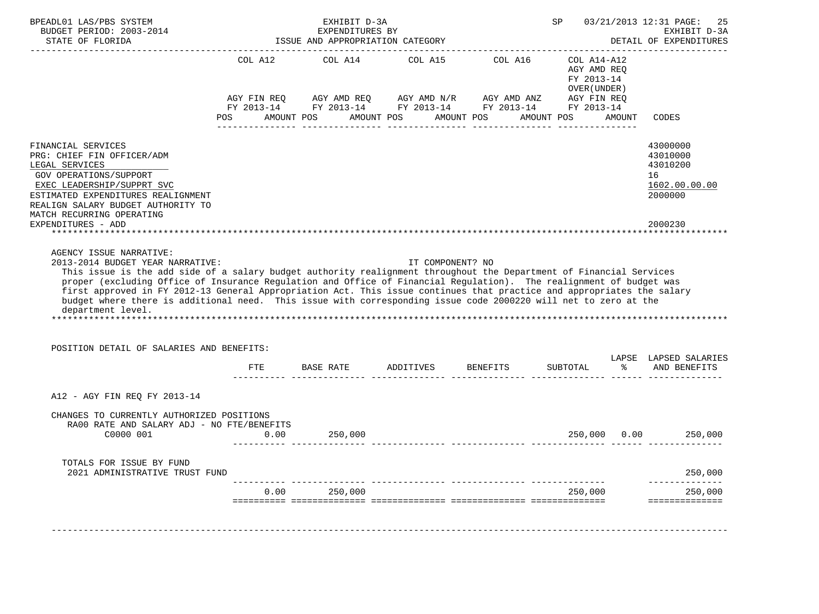| BPEADL01 LAS/PBS SYSTEM<br>BUDGET PERIOD: 2003-2014                                                                                                                                                                                                                                                                                                                                                                                                                                                                                                       | EXHIBIT D-3A<br>EXPENDITURES BY             |                                                                                                                          |           |                               | SP                                                                                    | 03/21/2013 12:31 PAGE:<br>25<br>EXHIBIT D-3A |                                                                    |  |
|-----------------------------------------------------------------------------------------------------------------------------------------------------------------------------------------------------------------------------------------------------------------------------------------------------------------------------------------------------------------------------------------------------------------------------------------------------------------------------------------------------------------------------------------------------------|---------------------------------------------|--------------------------------------------------------------------------------------------------------------------------|-----------|-------------------------------|---------------------------------------------------------------------------------------|----------------------------------------------|--------------------------------------------------------------------|--|
| STATE OF FLORIDA                                                                                                                                                                                                                                                                                                                                                                                                                                                                                                                                          |                                             | ISSUE AND APPROPRIATION CATEGORY                                                                                         |           |                               |                                                                                       |                                              | DETAIL OF EXPENDITURES                                             |  |
|                                                                                                                                                                                                                                                                                                                                                                                                                                                                                                                                                           | COL A12<br>AGY FIN REQ<br>POS<br>AMOUNT POS | COL A14<br>AGY AMD REQ AGY AMD $N/R$ AGY AMD ANZ<br>FY 2013-14 FY 2013-14 FY 2013-14 FY 2013-14 FY 2013-14<br>AMOUNT POS |           | COL A15 COL A16<br>AMOUNT POS | COL A14-A12<br>AGY AMD REQ<br>FY 2013-14<br>OVER (UNDER)<br>AGY FIN REQ<br>AMOUNT POS | <b>AMOUNT</b>                                | CODES                                                              |  |
| FINANCIAL SERVICES<br>PRG: CHIEF FIN OFFICER/ADM<br>LEGAL SERVICES<br>GOV OPERATIONS/SUPPORT<br>EXEC LEADERSHIP/SUPPRT SVC<br>ESTIMATED EXPENDITURES REALIGNMENT<br>REALIGN SALARY BUDGET AUTHORITY TO<br>MATCH RECURRING OPERATING                                                                                                                                                                                                                                                                                                                       |                                             |                                                                                                                          |           |                               |                                                                                       |                                              | 43000000<br>43010000<br>43010200<br>16<br>1602.00.00.00<br>2000000 |  |
| EXPENDITURES - ADD                                                                                                                                                                                                                                                                                                                                                                                                                                                                                                                                        |                                             |                                                                                                                          |           |                               |                                                                                       |                                              | 2000230                                                            |  |
| This issue is the add side of a salary budget authority realignment throughout the Department of Financial Services<br>proper (excluding Office of Insurance Regulation and Office of Financial Regulation). The realignment of budget was<br>first approved in FY 2012-13 General Appropriation Act. This issue continues that practice and appropriates the salary<br>budget where there is additional need. This issue with corresponding issue code 2000220 will net to zero at the<br>department level.<br>POSITION DETAIL OF SALARIES AND BENEFITS: |                                             |                                                                                                                          |           |                               |                                                                                       |                                              |                                                                    |  |
|                                                                                                                                                                                                                                                                                                                                                                                                                                                                                                                                                           | FTE                                         |                                                                                                                          | ADDITIVES | <b>BENEFITS</b>               |                                                                                       | $\approx$                                    | LAPSE LAPSED SALARIES<br>AND BENEFITS                              |  |
|                                                                                                                                                                                                                                                                                                                                                                                                                                                                                                                                                           |                                             | BASE RATE                                                                                                                |           |                               | SUBTOTAL                                                                              |                                              |                                                                    |  |
| A12 - AGY FIN REQ FY 2013-14                                                                                                                                                                                                                                                                                                                                                                                                                                                                                                                              |                                             |                                                                                                                          |           |                               |                                                                                       |                                              |                                                                    |  |
| CHANGES TO CURRENTLY AUTHORIZED POSITIONS<br>RA00 RATE AND SALARY ADJ - NO FTE/BENEFITS<br>C0000 001                                                                                                                                                                                                                                                                                                                                                                                                                                                      | 0.00                                        | 250,000                                                                                                                  |           |                               |                                                                                       |                                              | 250,000 0.00 250,000                                               |  |
| TOTALS FOR ISSUE BY FUND<br>2021 ADMINISTRATIVE TRUST FUND                                                                                                                                                                                                                                                                                                                                                                                                                                                                                                |                                             |                                                                                                                          |           |                               |                                                                                       |                                              |                                                                    |  |
|                                                                                                                                                                                                                                                                                                                                                                                                                                                                                                                                                           |                                             |                                                                                                                          |           |                               |                                                                                       |                                              | 250,000                                                            |  |
|                                                                                                                                                                                                                                                                                                                                                                                                                                                                                                                                                           | 0.00                                        | 250,000                                                                                                                  |           |                               | 250,000                                                                               |                                              | --------------<br>250,000<br>==============                        |  |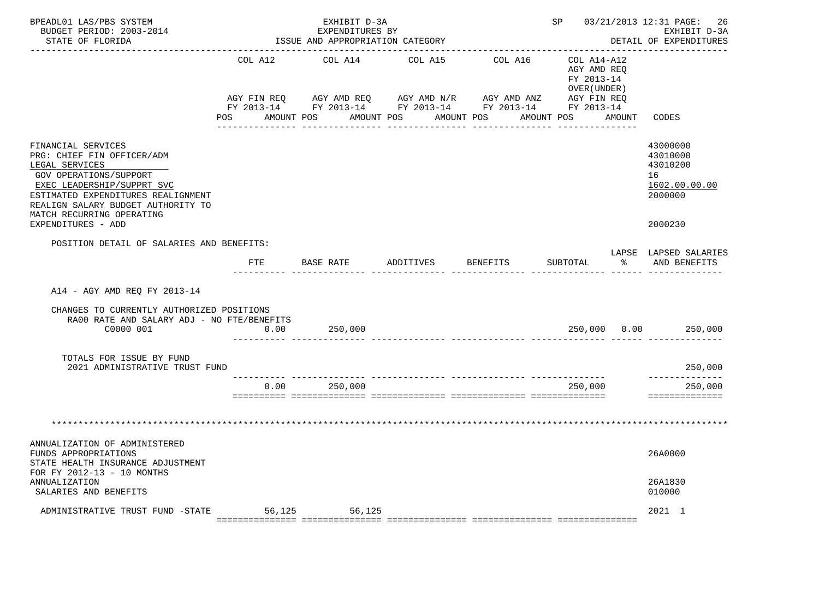| BPEADL01 LAS/PBS SYSTEM<br>BUDGET PERIOD: 2003-2014<br>STATE OF FLORIDA                                                                                                                                                                                   |             | EXHIBIT D-3A<br>EXPENDITURES BY<br>ISSUE AND APPROPRIATION CATEGORY |           |                                                                                                           | SP 03/21/2013 12:31 PAGE: 26                                 | EXHIBIT D-3A<br>DETAIL OF EXPENDITURES                                        |
|-----------------------------------------------------------------------------------------------------------------------------------------------------------------------------------------------------------------------------------------------------------|-------------|---------------------------------------------------------------------|-----------|-----------------------------------------------------------------------------------------------------------|--------------------------------------------------------------|-------------------------------------------------------------------------------|
|                                                                                                                                                                                                                                                           |             | COL A12 COL A14                                                     | COL A15   | COL A16                                                                                                   | COL A14-A12<br>AGY AMD REO<br>FY 2013-14<br>OVER ( UNDER )   |                                                                               |
|                                                                                                                                                                                                                                                           | AGY FIN REQ |                                                                     |           | AGY AMD REQ AGY AMD N/R AGY AMD ANZ AGY FIN REQ<br>FY 2013-14 FY 2013-14 FY 2013-14 FY 2013-14 FY 2013-14 | POS AMOUNT POS AMOUNT POS AMOUNT POS AMOUNT POS AMOUNT CODES |                                                                               |
| FINANCIAL SERVICES<br>PRG: CHIEF FIN OFFICER/ADM<br>LEGAL SERVICES<br>GOV OPERATIONS/SUPPORT<br>EXEC LEADERSHIP/SUPPRT SVC<br>ESTIMATED EXPENDITURES REALIGNMENT<br>REALIGN SALARY BUDGET AUTHORITY TO<br>MATCH RECURRING OPERATING<br>EXPENDITURES - ADD |             |                                                                     |           |                                                                                                           |                                                              | 43000000<br>43010000<br>43010200<br>16<br>1602.00.00.00<br>2000000<br>2000230 |
| POSITION DETAIL OF SALARIES AND BENEFITS:                                                                                                                                                                                                                 |             |                                                                     |           |                                                                                                           |                                                              | LAPSE LAPSED SALARIES                                                         |
|                                                                                                                                                                                                                                                           | FTE         | BASE RATE                                                           | ADDITIVES | BENEFITS                                                                                                  | SUBTOTAL<br>$\sim$ $\sim$                                    | AND BENEFITS                                                                  |
| A14 - AGY AMD REQ FY 2013-14                                                                                                                                                                                                                              |             |                                                                     |           |                                                                                                           |                                                              |                                                                               |
| CHANGES TO CURRENTLY AUTHORIZED POSITIONS<br>RA00 RATE AND SALARY ADJ - NO FTE/BENEFITS<br>C0000 001                                                                                                                                                      | 0.00        | 250,000                                                             |           |                                                                                                           | 250,000 0.00 250,000                                         |                                                                               |
| TOTALS FOR ISSUE BY FUND<br>2021 ADMINISTRATIVE TRUST FUND                                                                                                                                                                                                |             |                                                                     |           |                                                                                                           |                                                              | 250,000                                                                       |
|                                                                                                                                                                                                                                                           | 0.00        | 250,000                                                             |           |                                                                                                           | 250,000                                                      | --------------<br>250,000<br>==============                                   |
|                                                                                                                                                                                                                                                           |             |                                                                     |           |                                                                                                           |                                                              |                                                                               |
| ANNUALIZATION OF ADMINISTERED<br>FUNDS APPROPRIATIONS<br>STATE HEALTH INSURANCE ADJUSTMENT                                                                                                                                                                |             |                                                                     |           |                                                                                                           |                                                              | 26A0000                                                                       |
| FOR FY 2012-13 - 10 MONTHS<br>ANNUALIZATION<br>SALARIES AND BENEFITS                                                                                                                                                                                      |             |                                                                     |           |                                                                                                           |                                                              | 26A1830<br>010000                                                             |
| ADMINISTRATIVE TRUST FUND -STATE 56,125 56,125                                                                                                                                                                                                            |             |                                                                     |           |                                                                                                           |                                                              | 2021 1                                                                        |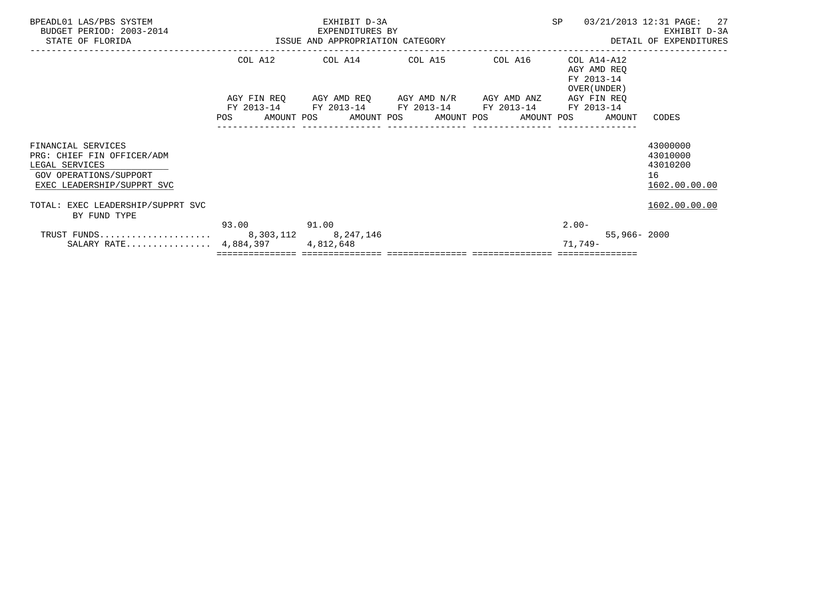| BPEADL01 LAS/PBS SYSTEM<br>BUDGET PERIOD: 2003-2014<br>STATE OF FLORIDA                                                    | EXHIBIT D-3A<br>EXPENDITURES BY<br>ISSUE AND APPROPRIATION CATEGORY |                                                                                                                                             |  |  | <b>SP</b>                                                |                 | 03/21/2013 12:31 PAGE: 27<br>EXHIBIT D-3A<br>DETAIL OF EXPENDITURES |
|----------------------------------------------------------------------------------------------------------------------------|---------------------------------------------------------------------|---------------------------------------------------------------------------------------------------------------------------------------------|--|--|----------------------------------------------------------|-----------------|---------------------------------------------------------------------|
|                                                                                                                            |                                                                     | COL A12 COL A14 COL A15 COL A16                                                                                                             |  |  | COL A14-A12<br>AGY AMD REO<br>FY 2013-14<br>OVER (UNDER) |                 |                                                                     |
|                                                                                                                            | POS                                                                 | AGY FIN REQ AGY AMD REQ AGY AMD N/R AGY AMD ANZ<br>FY 2013-14 FY 2013-14 FY 2013-14 FY 2013-14<br>AMOUNT POS      AMOUNT POS     AMOUNT POS |  |  | AGY FIN REQ<br>FY 2013-14<br>AMOUNT POS                  | AMOUNT          | CODES                                                               |
| FINANCIAL SERVICES<br>PRG: CHIEF FIN OFFICER/ADM<br>LEGAL SERVICES<br>GOV OPERATIONS/SUPPORT<br>EXEC LEADERSHIP/SUPPRT SVC |                                                                     |                                                                                                                                             |  |  |                                                          |                 | 43000000<br>43010000<br>43010200<br>16<br>1602.00.00.00             |
| TOTAL: EXEC LEADERSHIP/SUPPRT SVC<br>BY FUND TYPE                                                                          |                                                                     |                                                                                                                                             |  |  |                                                          |                 | 1602.00.00.00                                                       |
| SALARY RATE $4,884,397$                                                                                                    | 93.00 91.00                                                         | 4,812,648                                                                                                                                   |  |  | $2.00-$<br>71,749-                                       | $55,966 - 2000$ |                                                                     |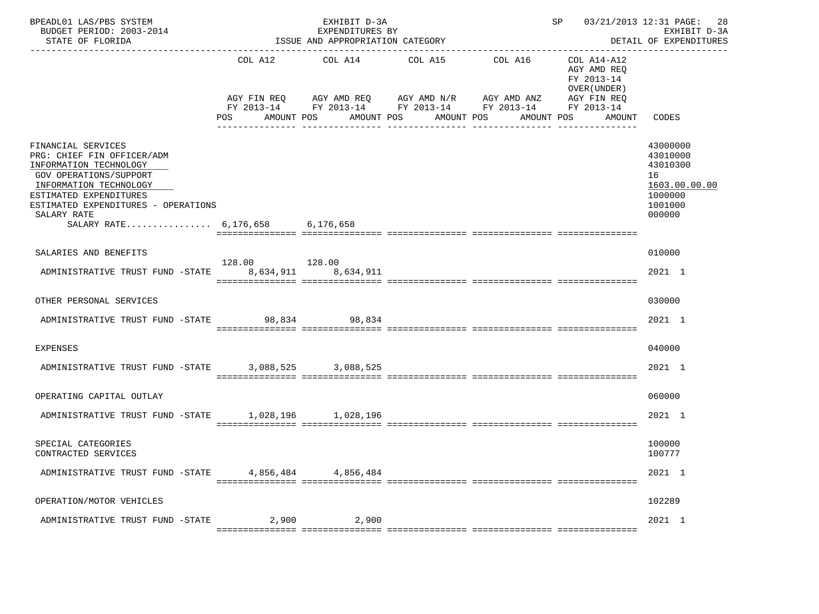| BPEADL01 LAS/PBS SYSTEM<br>BUDGET PERIOD: 2003-2014<br>STATE OF FLORIDA                                                                                                                                                                           |                              | EXHIBIT D-3A<br>EXPENDITURES BY<br>ISSUE AND APPROPRIATION CATEGORY | ____________________________________                                                                                                                 | SP 03/21/2013 12:31 PAGE:<br>28<br>EXHIBIT D-3A<br>DETAIL OF EXPENDITURES<br>-------------- |                                                                                                 |                                                                                         |
|---------------------------------------------------------------------------------------------------------------------------------------------------------------------------------------------------------------------------------------------------|------------------------------|---------------------------------------------------------------------|------------------------------------------------------------------------------------------------------------------------------------------------------|---------------------------------------------------------------------------------------------|-------------------------------------------------------------------------------------------------|-----------------------------------------------------------------------------------------|
|                                                                                                                                                                                                                                                   | COL A12<br>POS<br>AMOUNT POS | COL A14                                                             | COL A15<br>AGY FIN REQ AGY AMD REQ AGY AMD N/R AGY AMD ANZ<br>FY 2013-14 FY 2013-14 FY 2013-14 FY 2013-14<br>AMOUNT POS<br>AMOUNT POS<br>----------- | COL A16<br>AMOUNT POS                                                                       | COL A14-A12<br>AGY AMD REQ<br>FY 2013-14<br>OVER (UNDER)<br>AGY FIN REQ<br>FY 2013-14<br>AMOUNT | CODES                                                                                   |
| FINANCIAL SERVICES<br>PRG: CHIEF FIN OFFICER/ADM<br>INFORMATION TECHNOLOGY<br>GOV OPERATIONS/SUPPORT<br>INFORMATION TECHNOLOGY<br>ESTIMATED EXPENDITURES<br>ESTIMATED EXPENDITURES - OPERATIONS<br>SALARY RATE<br>SALARY RATE 6,176,658 6,176,658 |                              |                                                                     |                                                                                                                                                      |                                                                                             |                                                                                                 | 43000000<br>43010000<br>43010300<br>16<br>1603.00.00.00<br>1000000<br>1001000<br>000000 |
| SALARIES AND BENEFITS                                                                                                                                                                                                                             |                              |                                                                     |                                                                                                                                                      |                                                                                             |                                                                                                 | 010000                                                                                  |
| ADMINISTRATIVE TRUST FUND -STATE                                                                                                                                                                                                                  | 128.00 128.00<br>8,634,911   | 8,634,911                                                           |                                                                                                                                                      |                                                                                             |                                                                                                 | 2021 1                                                                                  |
| OTHER PERSONAL SERVICES                                                                                                                                                                                                                           |                              |                                                                     |                                                                                                                                                      |                                                                                             |                                                                                                 | 030000                                                                                  |
| ADMINISTRATIVE TRUST FUND -STATE                                                                                                                                                                                                                  | 98,834                       | 98,834                                                              |                                                                                                                                                      |                                                                                             |                                                                                                 | 2021 1                                                                                  |
| <b>EXPENSES</b>                                                                                                                                                                                                                                   |                              |                                                                     |                                                                                                                                                      |                                                                                             |                                                                                                 | 040000                                                                                  |
| ADMINISTRATIVE TRUST FUND -STATE                                                                                                                                                                                                                  |                              | 3,088,525 3,088,525                                                 |                                                                                                                                                      |                                                                                             |                                                                                                 | 2021 1                                                                                  |
| OPERATING CAPITAL OUTLAY                                                                                                                                                                                                                          |                              |                                                                     |                                                                                                                                                      |                                                                                             |                                                                                                 | 060000                                                                                  |
| ADMINISTRATIVE TRUST FUND -STATE 1,028,196 1,028,196                                                                                                                                                                                              |                              |                                                                     |                                                                                                                                                      |                                                                                             |                                                                                                 | 2021 1                                                                                  |
| SPECIAL CATEGORIES<br>CONTRACTED SERVICES                                                                                                                                                                                                         |                              |                                                                     |                                                                                                                                                      |                                                                                             |                                                                                                 | 100000<br>100777                                                                        |
| ADMINISTRATIVE TRUST FUND -STATE                                                                                                                                                                                                                  | 4,856,484                    | 4,856,484                                                           |                                                                                                                                                      |                                                                                             |                                                                                                 | 2021 1                                                                                  |
| OPERATION/MOTOR VEHICLES                                                                                                                                                                                                                          |                              |                                                                     |                                                                                                                                                      |                                                                                             |                                                                                                 | 102289                                                                                  |
| ADMINISTRATIVE TRUST FUND -STATE                                                                                                                                                                                                                  | 2,900                        | 2,900                                                               |                                                                                                                                                      |                                                                                             |                                                                                                 | 2021 1                                                                                  |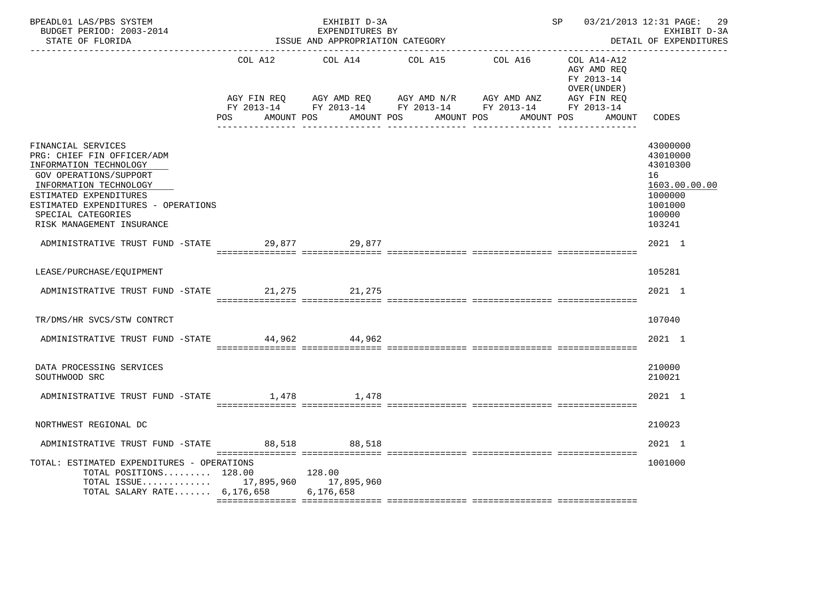| BPEADL01 LAS/PBS SYSTEM<br>BUDGET PERIOD: 2003-2014<br>STATE OF FLORIDA                                                                                                                                                                            |     | EXHIBIT D-3A<br>EXPENDITURES BY<br>ISSUE AND APPROPRIATION CATEGORY | SP 03/21/2013 12:31 PAGE: 29                                                                                                                                 | EXHIBIT D-3A<br>DETAIL OF EXPENDITURES |                                           |                                                                                                   |
|----------------------------------------------------------------------------------------------------------------------------------------------------------------------------------------------------------------------------------------------------|-----|---------------------------------------------------------------------|--------------------------------------------------------------------------------------------------------------------------------------------------------------|----------------------------------------|-------------------------------------------|---------------------------------------------------------------------------------------------------|
|                                                                                                                                                                                                                                                    |     | COL A12 COL A14                                                     | COL A15                                                                                                                                                      | COL A16 COL A14-A12                    | AGY AMD REO<br>FY 2013-14<br>OVER (UNDER) |                                                                                                   |
|                                                                                                                                                                                                                                                    | POS | AMOUNT POS                                                          | AGY FIN REQ AGY AMD REQ AGY AMD N/R AGY AMD ANZ AGY FIN REQ<br>FY 2013-14 FY 2013-14 FY 2013-14 FY 2013-14 FY 2013-14<br>AMOUNT POS AMOUNT POS<br>---------- |                                        | AMOUNT POS<br>AMOUNT                      | CODES                                                                                             |
| FINANCIAL SERVICES<br>PRG: CHIEF FIN OFFICER/ADM<br>INFORMATION TECHNOLOGY<br>GOV OPERATIONS/SUPPORT<br>INFORMATION TECHNOLOGY<br>ESTIMATED EXPENDITURES<br>ESTIMATED EXPENDITURES - OPERATIONS<br>SPECIAL CATEGORIES<br>RISK MANAGEMENT INSURANCE |     |                                                                     |                                                                                                                                                              |                                        |                                           | 43000000<br>43010000<br>43010300<br>16<br>1603.00.00.00<br>1000000<br>1001000<br>100000<br>103241 |
| ADMINISTRATIVE TRUST FUND -STATE 29,877 29,877                                                                                                                                                                                                     |     |                                                                     |                                                                                                                                                              |                                        |                                           | 2021 1                                                                                            |
| LEASE/PURCHASE/EQUIPMENT                                                                                                                                                                                                                           |     |                                                                     |                                                                                                                                                              |                                        |                                           | 105281                                                                                            |
| ADMINISTRATIVE TRUST FUND -STATE 21,275 21,275                                                                                                                                                                                                     |     |                                                                     |                                                                                                                                                              |                                        |                                           | 2021 1                                                                                            |
| TR/DMS/HR SVCS/STW CONTRCT                                                                                                                                                                                                                         |     |                                                                     |                                                                                                                                                              |                                        |                                           | 107040                                                                                            |
| ADMINISTRATIVE TRUST FUND -STATE 44,962                                                                                                                                                                                                            |     | 44,962                                                              |                                                                                                                                                              |                                        |                                           | 2021 1                                                                                            |
| DATA PROCESSING SERVICES<br>SOUTHWOOD SRC                                                                                                                                                                                                          |     |                                                                     |                                                                                                                                                              |                                        |                                           | 210000<br>210021                                                                                  |
| ADMINISTRATIVE TRUST FUND -STATE 1,478                                                                                                                                                                                                             |     | 1,478                                                               |                                                                                                                                                              |                                        |                                           | 2021 1                                                                                            |
| NORTHWEST REGIONAL DC                                                                                                                                                                                                                              |     |                                                                     |                                                                                                                                                              |                                        |                                           | 210023                                                                                            |
| ADMINISTRATIVE TRUST FUND -STATE 88,518                                                                                                                                                                                                            |     | 88,518                                                              |                                                                                                                                                              |                                        |                                           | 2021 1                                                                                            |
| TOTAL: ESTIMATED EXPENDITURES - OPERATIONS<br>TOTAL POSITIONS 128.00<br>TOTAL ISSUE 17,895,960 17,895,960<br>TOTAL SALARY RATE 6,176,658 6,176,658                                                                                                 |     | 128.00                                                              |                                                                                                                                                              |                                        |                                           | 1001000                                                                                           |
|                                                                                                                                                                                                                                                    |     |                                                                     |                                                                                                                                                              |                                        |                                           |                                                                                                   |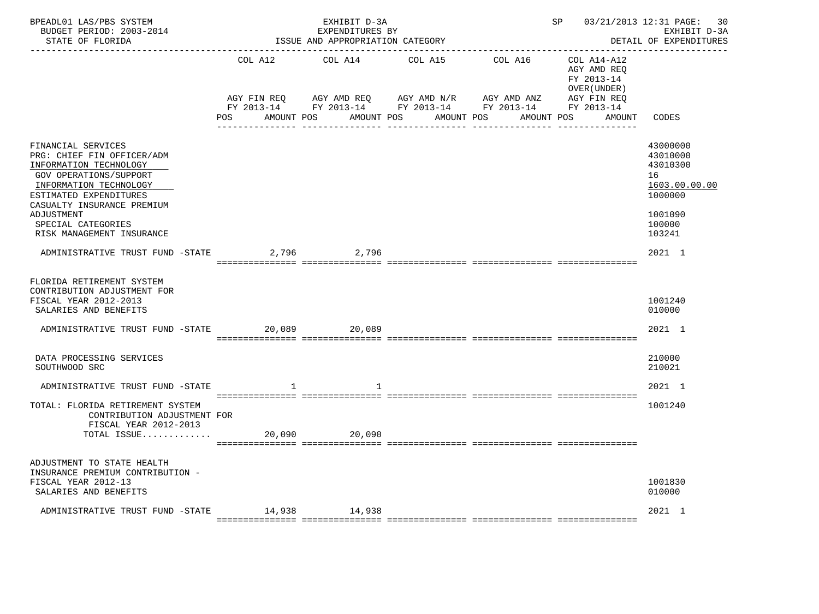| BPEADL01 LAS/PBS SYSTEM<br>BUDGET PERIOD: 2003-2014<br>STATE OF FLORIDA                                                                                                                       |                                  | EXHIBIT D-3A<br>EXPENDITURES BY<br>ISSUE AND APPROPRIATION CATEGORY | 03/21/2013 12:31 PAGE: 30<br>SP<br>EXHIBIT D-3A<br>DETAIL OF EXPENDITURES                  |                                    |                                                                                        |                                                                    |
|-----------------------------------------------------------------------------------------------------------------------------------------------------------------------------------------------|----------------------------------|---------------------------------------------------------------------|--------------------------------------------------------------------------------------------|------------------------------------|----------------------------------------------------------------------------------------|--------------------------------------------------------------------|
|                                                                                                                                                                                               | COL A12<br>AGY FIN REO<br>POS DO | COL A14<br>AGY AMD REQ AGY AMD N/R<br>AMOUNT POS                    | COL A15<br>FY 2013-14 FY 2013-14 FY 2013-14 FY 2013-14 FY 2013-14<br>AMOUNT POS AMOUNT POS | COL A16 COL A14-A12<br>AGY AMD ANZ | AGY AMD REO<br>FY 2013-14<br>OVER (UNDER)<br>AGY FIN REO<br>AMOUNT CODES<br>AMOUNT POS |                                                                    |
|                                                                                                                                                                                               |                                  |                                                                     |                                                                                            |                                    |                                                                                        |                                                                    |
| FINANCIAL SERVICES<br>PRG: CHIEF FIN OFFICER/ADM<br>INFORMATION TECHNOLOGY<br><b>GOV OPERATIONS/SUPPORT</b><br>INFORMATION TECHNOLOGY<br>ESTIMATED EXPENDITURES<br>CASUALTY INSURANCE PREMIUM |                                  |                                                                     |                                                                                            |                                    |                                                                                        | 43000000<br>43010000<br>43010300<br>16<br>1603.00.00.00<br>1000000 |
| ADJUSTMENT<br>SPECIAL CATEGORIES<br>RISK MANAGEMENT INSURANCE                                                                                                                                 |                                  |                                                                     |                                                                                            |                                    |                                                                                        | 1001090<br>100000<br>103241                                        |
| ADMINISTRATIVE TRUST FUND -STATE                                                                                                                                                              |                                  | 2,796 2,796                                                         |                                                                                            |                                    |                                                                                        | 2021 1                                                             |
| FLORIDA RETIREMENT SYSTEM<br>CONTRIBUTION ADJUSTMENT FOR<br>FISCAL YEAR 2012-2013<br>SALARIES AND BENEFITS                                                                                    |                                  |                                                                     |                                                                                            |                                    |                                                                                        | 1001240<br>010000                                                  |
| ADMINISTRATIVE TRUST FUND -STATE                                                                                                                                                              |                                  | 20,089                                                              |                                                                                            |                                    |                                                                                        | 2021 1                                                             |
| DATA PROCESSING SERVICES<br>SOUTHWOOD SRC                                                                                                                                                     |                                  |                                                                     |                                                                                            |                                    |                                                                                        | 210000<br>210021                                                   |
| ADMINISTRATIVE TRUST FUND -STATE                                                                                                                                                              | 1                                |                                                                     |                                                                                            |                                    |                                                                                        | 2021 1                                                             |
| TOTAL: FLORIDA RETIREMENT SYSTEM<br>CONTRIBUTION ADJUSTMENT FOR<br>FISCAL YEAR 2012-2013<br>TOTAL ISSUE                                                                                       | 20,090                           | 20,090                                                              |                                                                                            |                                    |                                                                                        | 1001240                                                            |
| ADJUSTMENT TO STATE HEALTH                                                                                                                                                                    |                                  |                                                                     |                                                                                            |                                    |                                                                                        |                                                                    |
| INSURANCE PREMIUM CONTRIBUTION -<br>FISCAL YEAR 2012-13<br>SALARIES AND BENEFITS                                                                                                              |                                  |                                                                     |                                                                                            |                                    |                                                                                        | 1001830<br>010000                                                  |
| ADMINISTRATIVE TRUST FUND -STATE 14,938 14,938                                                                                                                                                |                                  |                                                                     |                                                                                            |                                    |                                                                                        | 2021 1                                                             |
|                                                                                                                                                                                               |                                  |                                                                     |                                                                                            |                                    |                                                                                        |                                                                    |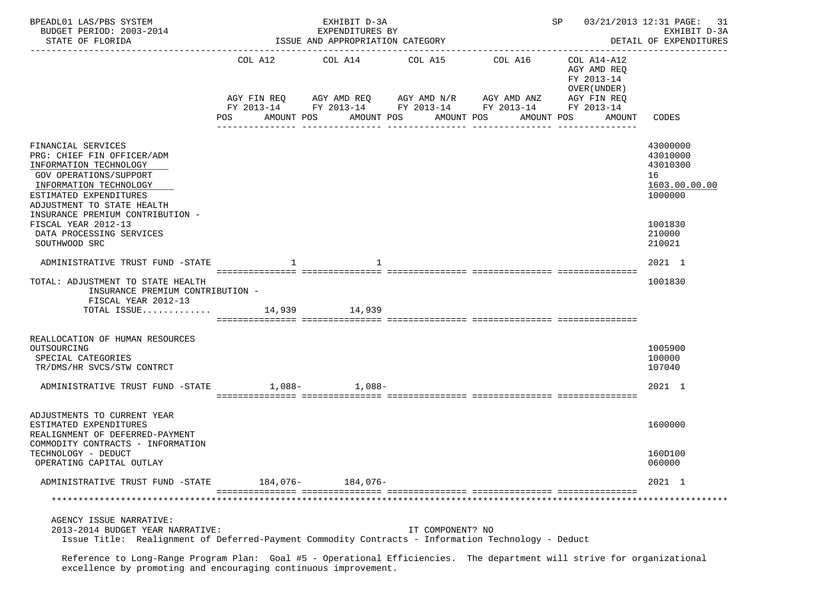| BPEADL01 LAS/PBS SYSTEM<br>BUDGET PERIOD: 2003-2014<br>STATE OF FLORIDA                                                                                                                                                                                                                        | ISSUE AND APPROPRIATION CATEGORY |                                       | 03/21/2013 12:31 PAGE:<br>SP<br>31<br>EXHIBIT D-3A<br>DETAIL OF EXPENDITURES |                                                                                 |                                                                                   |                                                                                                   |
|------------------------------------------------------------------------------------------------------------------------------------------------------------------------------------------------------------------------------------------------------------------------------------------------|----------------------------------|---------------------------------------|------------------------------------------------------------------------------|---------------------------------------------------------------------------------|-----------------------------------------------------------------------------------|---------------------------------------------------------------------------------------------------|
|                                                                                                                                                                                                                                                                                                | POS                              | COL A12 COL A14 COL A15<br>AMOUNT POS | AGY FIN REQ AGY AMD REQ AGY AMD N/R AGY AMD ANZ<br>AMOUNT POS AMOUNT POS     | COL A16<br>FY 2013-14 FY 2013-14 FY 2013-14 FY 2013-14 FY 2013-14<br>AMOUNT POS | COL A14-A12<br>AGY AMD REQ<br>FY 2013-14<br>OVER (UNDER)<br>AGY FIN REQ<br>AMOUNT | CODES                                                                                             |
| FINANCIAL SERVICES<br>PRG: CHIEF FIN OFFICER/ADM<br>INFORMATION TECHNOLOGY<br>GOV OPERATIONS/SUPPORT<br>INFORMATION TECHNOLOGY<br>ESTIMATED EXPENDITURES<br>ADJUSTMENT TO STATE HEALTH<br>INSURANCE PREMIUM CONTRIBUTION -<br>FISCAL YEAR 2012-13<br>DATA PROCESSING SERVICES<br>SOUTHWOOD SRC |                                  |                                       |                                                                              |                                                                                 |                                                                                   | 43000000<br>43010000<br>43010300<br>16<br>1603.00.00.00<br>1000000<br>1001830<br>210000<br>210021 |
| ADMINISTRATIVE TRUST FUND -STATE                                                                                                                                                                                                                                                               |                                  |                                       |                                                                              |                                                                                 |                                                                                   | 2021 1                                                                                            |
| TOTAL: ADJUSTMENT TO STATE HEALTH<br>INSURANCE PREMIUM CONTRIBUTION -<br>FISCAL YEAR 2012-13<br>TOTAL ISSUE 14,939 14,939                                                                                                                                                                      |                                  |                                       |                                                                              |                                                                                 |                                                                                   | 1001830                                                                                           |
| REALLOCATION OF HUMAN RESOURCES<br>OUTSOURCING<br>SPECIAL CATEGORIES<br>TR/DMS/HR SVCS/STW CONTRCT                                                                                                                                                                                             |                                  |                                       |                                                                              |                                                                                 |                                                                                   | 1005900<br>100000<br>107040                                                                       |
| ADMINISTRATIVE TRUST FUND -STATE 1,088-<br>1,088-                                                                                                                                                                                                                                              |                                  |                                       |                                                                              |                                                                                 |                                                                                   | 2021 1                                                                                            |
| ADJUSTMENTS TO CURRENT YEAR<br>ESTIMATED EXPENDITURES<br>REALIGNMENT OF DEFERRED-PAYMENT<br>COMMODITY CONTRACTS - INFORMATION                                                                                                                                                                  |                                  |                                       |                                                                              |                                                                                 |                                                                                   | 1600000                                                                                           |
| TECHNOLOGY - DEDUCT<br>OPERATING CAPITAL OUTLAY                                                                                                                                                                                                                                                |                                  |                                       |                                                                              |                                                                                 |                                                                                   | 160D100<br>060000                                                                                 |
| ADMINISTRATIVE TRUST FUND -STATE                                                                                                                                                                                                                                                               |                                  | 184,076- 184,076-                     |                                                                              |                                                                                 |                                                                                   | 2021 1                                                                                            |
|                                                                                                                                                                                                                                                                                                |                                  |                                       |                                                                              |                                                                                 |                                                                                   |                                                                                                   |
| AGENCY ISSUE NARRATIVE:<br>2013-2014 BUDGET YEAR NARRATIVE:<br>Issue Title: Realignment of Deferred-Payment Commodity Contracts - Information Technology - Deduct                                                                                                                              |                                  |                                       | IT COMPONENT? NO                                                             |                                                                                 |                                                                                   |                                                                                                   |

 Reference to Long-Range Program Plan: Goal #5 - Operational Efficiencies. The department will strive for organizational excellence by promoting and encouraging continuous improvement.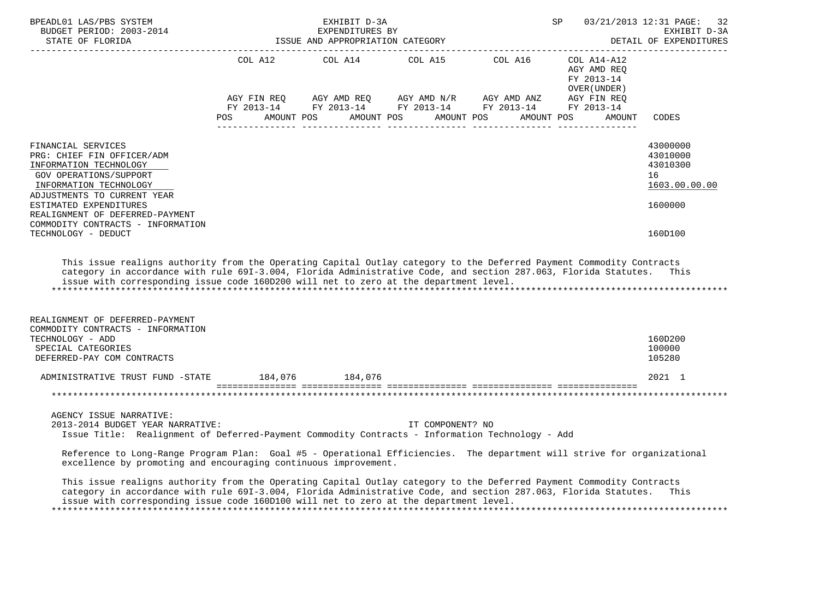| BPEADL01 LAS/PBS SYSTEM<br>______________________                                                                                                                                                                                                                                                                                                       |                                                 | EXHIBIT D-3A | SP               |                                                                                                                                                                                                                                                                                                                                                                                                                   | 03/21/2013 12:31 PAGE: 32<br>EXHIBIT D-3A<br>DETAIL OF EXPENDITURES |                                                                    |
|---------------------------------------------------------------------------------------------------------------------------------------------------------------------------------------------------------------------------------------------------------------------------------------------------------------------------------------------------------|-------------------------------------------------|--------------|------------------|-------------------------------------------------------------------------------------------------------------------------------------------------------------------------------------------------------------------------------------------------------------------------------------------------------------------------------------------------------------------------------------------------------------------|---------------------------------------------------------------------|--------------------------------------------------------------------|
|                                                                                                                                                                                                                                                                                                                                                         |                                                 |              |                  | COL A12 $\qquad$ COL A14 $\qquad$ COL A15 $\qquad$ COL A16 $\qquad$ COL A14-A12                                                                                                                                                                                                                                                                                                                                   | AGY AMD REO<br>FY 2013-14<br>OVER (UNDER )                          |                                                                    |
|                                                                                                                                                                                                                                                                                                                                                         | POS AMOUNT POS AMOUNT POS AMOUNT POS AMOUNT POS |              |                  | $\begin{array}{lllllll} \textsc{AGY} & \textsc{FIN} & \textsc{REG} & \textsc{AGY} & \textsc{AND} & \textsc{NN} \textsc{N} / \textsc{R} & \textsc{AGY} & \textsc{AND} & \textsc{ANZ} & \textsc{AGY} & \textsc{FIN} & \textsc{REG} \\ \textsc{FY} & 2013\text{--}14 & \textsc{FY} & 2013\text{--}14 & \textsc{FY} & 2013\text{--}14 & \textsc{FY} & 2013\text{--}14 & \textsc{FY} & 2013\text{--}14 \\ \end{array}$ | AMOUNT                                                              | CODES                                                              |
| FINANCIAL SERVICES<br>PRG: CHIEF FIN OFFICER/ADM<br>INFORMATION TECHNOLOGY<br><b>GOV OPERATIONS/SUPPORT</b><br>INFORMATION TECHNOLOGY<br>ADJUSTMENTS TO CURRENT YEAR<br>ESTIMATED EXPENDITURES<br>REALIGNMENT OF DEFERRED-PAYMENT<br>COMMODITY CONTRACTS - INFORMATION                                                                                  |                                                 |              |                  |                                                                                                                                                                                                                                                                                                                                                                                                                   |                                                                     | 43000000<br>43010000<br>43010300<br>16<br>1603.00.00.00<br>1600000 |
| TECHNOLOGY - DEDUCT<br>This issue realigns authority from the Operating Capital Outlay category to the Deferred Payment Commodity Contracts<br>category in accordance with rule 691-3.004, Florida Administrative Code, and section 287.063, Florida Statutes.<br>issue with corresponding issue code 160D200 will net to zero at the department level. |                                                 |              |                  |                                                                                                                                                                                                                                                                                                                                                                                                                   |                                                                     | 160D100<br>This                                                    |
| REALIGNMENT OF DEFERRED-PAYMENT<br>COMMODITY CONTRACTS - INFORMATION<br>TECHNOLOGY - ADD<br>SPECIAL CATEGORIES<br>DEFERRED-PAY COM CONTRACTS                                                                                                                                                                                                            |                                                 |              |                  |                                                                                                                                                                                                                                                                                                                                                                                                                   |                                                                     | 160D200<br>100000<br>105280                                        |
| ADMINISTRATIVE TRUST FUND -STATE 184,076 184,076                                                                                                                                                                                                                                                                                                        |                                                 |              |                  |                                                                                                                                                                                                                                                                                                                                                                                                                   |                                                                     | 2021 1                                                             |
|                                                                                                                                                                                                                                                                                                                                                         |                                                 |              |                  |                                                                                                                                                                                                                                                                                                                                                                                                                   |                                                                     |                                                                    |
| AGENCY ISSUE NARRATIVE:<br>2013-2014 BUDGET YEAR NARRATIVE:<br>Issue Title: Realignment of Deferred-Payment Commodity Contracts - Information Technology - Add                                                                                                                                                                                          |                                                 |              | IT COMPONENT? NO |                                                                                                                                                                                                                                                                                                                                                                                                                   |                                                                     |                                                                    |
| Reference to Long-Range Program Plan: Goal #5 - Operational Efficiencies. The department will strive for organizational<br>excellence by promoting and encouraging continuous improvement.                                                                                                                                                              |                                                 |              |                  |                                                                                                                                                                                                                                                                                                                                                                                                                   |                                                                     |                                                                    |
| This issue realigns authority from the Operating Capital Outlay category to the Deferred Payment Commodity Contracts<br>category in accordance with rule 691-3.004, Florida Administrative Code, and section 287.063, Florida Statutes.<br>issue with corresponding issue code 160D100 will net to zero at the department level.                        |                                                 |              |                  |                                                                                                                                                                                                                                                                                                                                                                                                                   |                                                                     | This                                                               |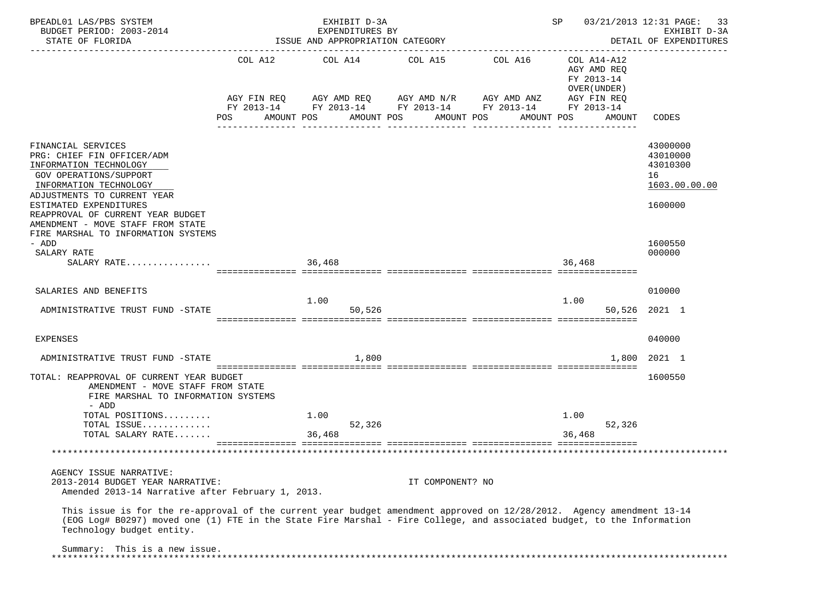| BPEADL01 LAS/PBS SYSTEM                                                                                                                                                                                                                                                      |     | EXHIBIT D-3A                     |                                                 |                                                        | SP                                       | 03/21/2013 12:31 PAGE:<br>33                            |
|------------------------------------------------------------------------------------------------------------------------------------------------------------------------------------------------------------------------------------------------------------------------------|-----|----------------------------------|-------------------------------------------------|--------------------------------------------------------|------------------------------------------|---------------------------------------------------------|
| BUDGET PERIOD: 2003-2014                                                                                                                                                                                                                                                     |     | EXPENDITURES BY                  |                                                 |                                                        |                                          | EXHIBIT D-3A                                            |
| STATE OF FLORIDA                                                                                                                                                                                                                                                             |     | ISSUE AND APPROPRIATION CATEGORY |                                                 |                                                        |                                          | DETAIL OF EXPENDITURES                                  |
|                                                                                                                                                                                                                                                                              |     |                                  | COL A12 COL A14 COL A15 COL A16                 |                                                        | COL A14-A12<br>AGY AMD REQ<br>FY 2013-14 |                                                         |
|                                                                                                                                                                                                                                                                              |     |                                  | AGY FIN REQ AGY AMD REQ AGY AMD N/R AGY AMD ANZ | FY 2013-14 FY 2013-14 FY 2013-14 FY 2013-14 FY 2013-14 | OVER (UNDER)<br>AGY FIN REQ              |                                                         |
|                                                                                                                                                                                                                                                                              | POS | AMOUNT POS                       | AMOUNT POS<br>AMOUNT POS                        | AMOUNT POS                                             | AMOUNT                                   | CODES                                                   |
| FINANCIAL SERVICES<br>PRG: CHIEF FIN OFFICER/ADM<br>INFORMATION TECHNOLOGY<br>GOV OPERATIONS/SUPPORT<br>INFORMATION TECHNOLOGY<br>ADJUSTMENTS TO CURRENT YEAR                                                                                                                |     |                                  |                                                 |                                                        |                                          | 43000000<br>43010000<br>43010300<br>16<br>1603.00.00.00 |
| ESTIMATED EXPENDITURES<br>REAPPROVAL OF CURRENT YEAR BUDGET<br>AMENDMENT - MOVE STAFF FROM STATE<br>FIRE MARSHAL TO INFORMATION SYSTEMS                                                                                                                                      |     |                                  |                                                 |                                                        |                                          | 1600000                                                 |
| - ADD<br>SALARY RATE<br>SALARY RATE                                                                                                                                                                                                                                          |     | 36,468                           |                                                 |                                                        | 36,468                                   | 1600550<br>000000                                       |
| SALARIES AND BENEFITS                                                                                                                                                                                                                                                        |     |                                  |                                                 |                                                        |                                          | 010000                                                  |
| ADMINISTRATIVE TRUST FUND -STATE                                                                                                                                                                                                                                             |     | 1.00<br>50,526                   |                                                 |                                                        | 1.00                                     | 50,526 2021 1                                           |
| EXPENSES                                                                                                                                                                                                                                                                     |     |                                  |                                                 |                                                        |                                          | 040000                                                  |
| ADMINISTRATIVE TRUST FUND -STATE                                                                                                                                                                                                                                             |     | 1,800                            |                                                 |                                                        | 1,800                                    | 2021 1                                                  |
| TOTAL: REAPPROVAL OF CURRENT YEAR BUDGET<br>AMENDMENT - MOVE STAFF FROM STATE<br>FIRE MARSHAL TO INFORMATION SYSTEMS<br>- ADD                                                                                                                                                |     |                                  |                                                 |                                                        |                                          | 1600550                                                 |
| TOTAL POSITIONS                                                                                                                                                                                                                                                              |     | 1.00                             |                                                 |                                                        | 1.00                                     |                                                         |
| TOTAL ISSUE                                                                                                                                                                                                                                                                  |     | 52,326                           |                                                 |                                                        | 52,326                                   |                                                         |
| TOTAL SALARY RATE                                                                                                                                                                                                                                                            |     | 36,468                           |                                                 |                                                        | 36,468                                   |                                                         |
|                                                                                                                                                                                                                                                                              |     |                                  |                                                 |                                                        |                                          |                                                         |
| AGENCY ISSUE NARRATIVE:<br>2013-2014 BUDGET YEAR NARRATIVE:                                                                                                                                                                                                                  |     |                                  | IT COMPONENT? NO                                |                                                        |                                          |                                                         |
| Amended 2013-14 Narrative after February 1, 2013.                                                                                                                                                                                                                            |     |                                  |                                                 |                                                        |                                          |                                                         |
| This issue is for the re-approval of the current year budget amendment approved on 12/28/2012. Agency amendment 13-14<br>(EOG Log# B0297) moved one (1) FTE in the State Fire Marshal - Fire College, and associated budget, to the Information<br>Technology budget entity. |     |                                  |                                                 |                                                        |                                          |                                                         |
| Summary: This is a new issue.                                                                                                                                                                                                                                                |     |                                  |                                                 |                                                        |                                          |                                                         |
|                                                                                                                                                                                                                                                                              |     |                                  |                                                 |                                                        |                                          |                                                         |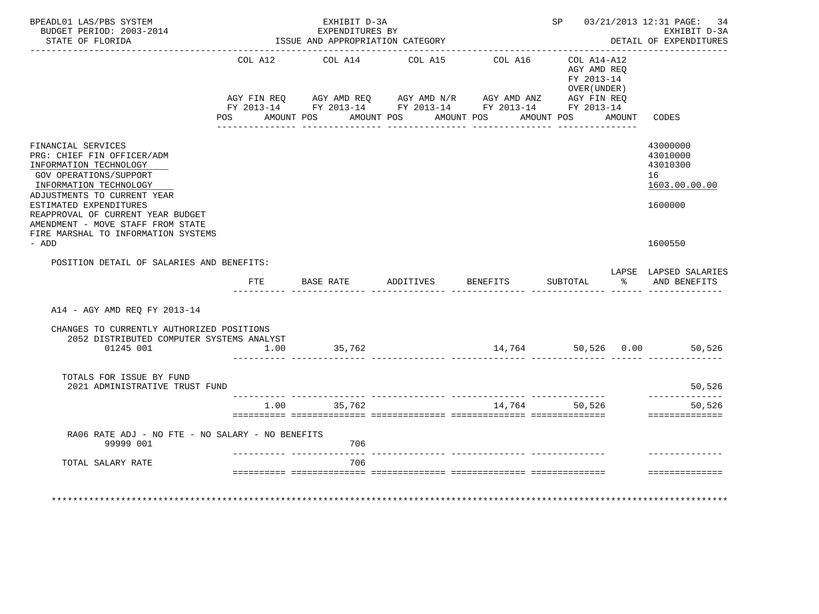| BPEADL01 LAS/PBS SYSTEM<br>BUDGET PERIOD: 2003-2014<br>STATE OF FLORIDA                                                                                                                                                                                                                                  |                    | EXHIBIT D-3A<br>EXPENDITURES BY<br>ISSUE AND APPROPRIATION CATEGORY |                       |                                                                                                                                                |                                                                        |        | SP 03/21/2013 12:31 PAGE: 34<br>EXHIBIT D-3A<br>DETAIL OF EXPENDITURES |
|----------------------------------------------------------------------------------------------------------------------------------------------------------------------------------------------------------------------------------------------------------------------------------------------------------|--------------------|---------------------------------------------------------------------|-----------------------|------------------------------------------------------------------------------------------------------------------------------------------------|------------------------------------------------------------------------|--------|------------------------------------------------------------------------|
|                                                                                                                                                                                                                                                                                                          | COL A12<br>POS FOR | COL A14<br>AMOUNT POS                                               | COL A15<br>AMOUNT POS | COL A16<br>AGY FIN REQ AGY AMD REQ AGY AMD N/R AGY AMD ANZ AGY FIN REQ<br>FY 2013-14 FY 2013-14 FY 2013-14 FY 2013-14 FY 2013-14<br>AMOUNT POS | COL A14-A12<br>AGY AMD REO<br>FY 2013-14<br>OVER (UNDER)<br>AMOUNT POS | AMOUNT | CODES                                                                  |
| FINANCIAL SERVICES<br>PRG: CHIEF FIN OFFICER/ADM<br>INFORMATION TECHNOLOGY<br>GOV OPERATIONS/SUPPORT<br>INFORMATION TECHNOLOGY<br>ADJUSTMENTS TO CURRENT YEAR<br>ESTIMATED EXPENDITURES<br>REAPPROVAL OF CURRENT YEAR BUDGET<br>AMENDMENT - MOVE STAFF FROM STATE<br>FIRE MARSHAL TO INFORMATION SYSTEMS |                    |                                                                     |                       |                                                                                                                                                |                                                                        |        | 43000000<br>43010000<br>43010300<br>16<br>1603.00.00.00<br>1600000     |
| - ADD                                                                                                                                                                                                                                                                                                    |                    |                                                                     |                       |                                                                                                                                                |                                                                        |        | 1600550                                                                |
| POSITION DETAIL OF SALARIES AND BENEFITS:                                                                                                                                                                                                                                                                | FTE                | BASE RATE                                                           | ADDITIVES BENEFITS    |                                                                                                                                                | SUBTOTAL                                                               |        | LAPSE LAPSED SALARIES<br>% AND BENEFITS                                |
| A14 - AGY AMD REO FY 2013-14                                                                                                                                                                                                                                                                             |                    |                                                                     |                       |                                                                                                                                                |                                                                        |        |                                                                        |
| CHANGES TO CURRENTLY AUTHORIZED POSITIONS<br>2052 DISTRIBUTED COMPUTER SYSTEMS ANALYST<br>01245 001                                                                                                                                                                                                      | 1.00               | 35,762                                                              |                       |                                                                                                                                                |                                                                        |        | 14,764 50,526 0.00 50,526                                              |
| TOTALS FOR ISSUE BY FUND<br>2021 ADMINISTRATIVE TRUST FUND                                                                                                                                                                                                                                               |                    |                                                                     |                       |                                                                                                                                                |                                                                        |        | 50,526                                                                 |
|                                                                                                                                                                                                                                                                                                          |                    | 1.00 35,762                                                         |                       | 14,764 50,526                                                                                                                                  |                                                                        |        | _________<br>50,526<br>==============                                  |
| RA06 RATE ADJ - NO FTE - NO SALARY - NO BENEFITS<br>99999 001                                                                                                                                                                                                                                            |                    | 706                                                                 |                       |                                                                                                                                                |                                                                        |        |                                                                        |
| TOTAL SALARY RATE                                                                                                                                                                                                                                                                                        |                    | 706                                                                 |                       |                                                                                                                                                |                                                                        |        | ==============                                                         |
| **************************                                                                                                                                                                                                                                                                               |                    |                                                                     |                       |                                                                                                                                                |                                                                        |        |                                                                        |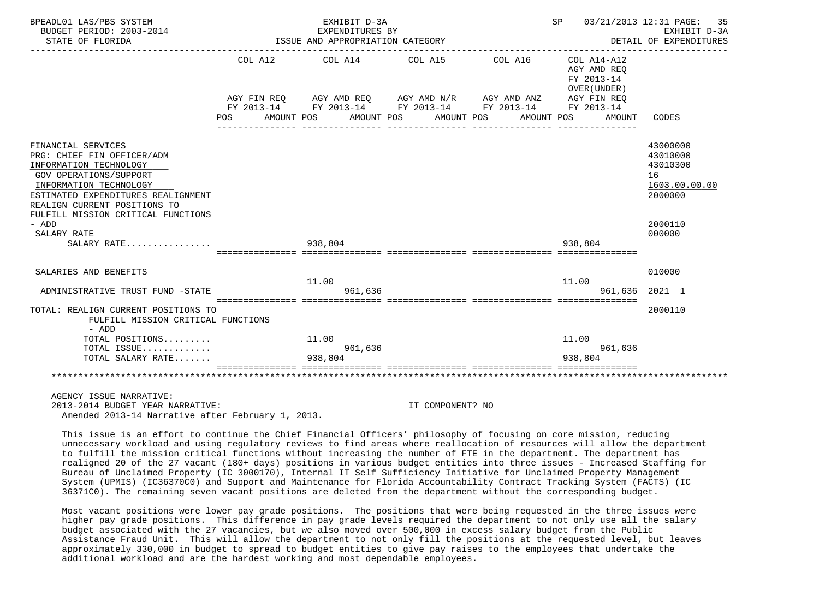| BPEADL01 LAS/PBS SYSTEM<br>BUDGET PERIOD: 2003-2014<br>STATE OF FLORIDA                                                                                                                                                                                    | EXHIBIT D-3A<br>EXPENDITURES BY<br>ISSUE AND APPROPRIATION CATEGORY |                       |         |                                  |                                                                                                                                                | SP 03/21/2013 12:31 PAGE: 35<br>EXHIBIT D-3A<br>DETAIL OF EXPENDITURES |                                       |                                                                               |
|------------------------------------------------------------------------------------------------------------------------------------------------------------------------------------------------------------------------------------------------------------|---------------------------------------------------------------------|-----------------------|---------|----------------------------------|------------------------------------------------------------------------------------------------------------------------------------------------|------------------------------------------------------------------------|---------------------------------------|-------------------------------------------------------------------------------|
|                                                                                                                                                                                                                                                            | COL A12<br>POS.                                                     | COL A14<br>AMOUNT POS |         | COL A15<br>AMOUNT POS AMOUNT POS | COL A16<br>AGY FIN REQ AGY AMD REQ AGY AMD N/R AGY AMD ANZ AGY FIN REQ<br>FY 2013-14 FY 2013-14 FY 2013-14 FY 2013-14 FY 2013-14<br>AMOUNT POS | COL A14-A12<br>FY 2013-14                                              | AGY AMD REO<br>OVER (UNDER)<br>AMOUNT | CODES                                                                         |
| FINANCIAL SERVICES<br>PRG: CHIEF FIN OFFICER/ADM<br>INFORMATION TECHNOLOGY<br><b>GOV OPERATIONS/SUPPORT</b><br>INFORMATION TECHNOLOGY<br>ESTIMATED EXPENDITURES REALIGNMENT<br>REALIGN CURRENT POSITIONS TO<br>FULFILL MISSION CRITICAL FUNCTIONS<br>- ADD |                                                                     |                       |         |                                  |                                                                                                                                                |                                                                        |                                       | 43000000<br>43010000<br>43010300<br>16<br>1603.00.00.00<br>2000000<br>2000110 |
| SALARY RATE<br>SALARY RATE                                                                                                                                                                                                                                 |                                                                     | 938,804               |         |                                  |                                                                                                                                                | 938,804                                                                |                                       | 000000                                                                        |
| SALARIES AND BENEFITS<br>ADMINISTRATIVE TRUST FUND -STATE                                                                                                                                                                                                  |                                                                     | 11.00                 | 961,636 |                                  |                                                                                                                                                | 11.00                                                                  |                                       | 010000<br>961,636 2021 1                                                      |
| TOTAL: REALIGN CURRENT POSITIONS TO<br>FULFILL MISSION CRITICAL FUNCTIONS<br>- ADD                                                                                                                                                                         |                                                                     |                       |         |                                  |                                                                                                                                                |                                                                        |                                       | 2000110                                                                       |
| TOTAL POSITIONS<br>TOTAL ISSUE<br>TOTAL SALARY RATE                                                                                                                                                                                                        |                                                                     | 11.00<br>938,804      | 961,636 |                                  |                                                                                                                                                | 11.00<br>938,804                                                       | 961,636                               |                                                                               |
|                                                                                                                                                                                                                                                            |                                                                     |                       |         |                                  |                                                                                                                                                |                                                                        |                                       |                                                                               |
| AGENCY ISSUE NARRATIVE:<br>2013-2014 BUDGET YEAR NARRATIVE:                                                                                                                                                                                                |                                                                     |                       |         | IT COMPONENT? NO                 |                                                                                                                                                |                                                                        |                                       |                                                                               |

Amended 2013-14 Narrative after February 1, 2013.

 This issue is an effort to continue the Chief Financial Officers' philosophy of focusing on core mission, reducing unnecessary workload and using regulatory reviews to find areas where reallocation of resources will allow the department to fulfill the mission critical functions without increasing the number of FTE in the department. The department has realigned 20 of the 27 vacant (180+ days) positions in various budget entities into three issues - Increased Staffing for Bureau of Unclaimed Property (IC 3000170), Internal IT Self Sufficiency Initiative for Unclaimed Property Management System (UPMIS) (IC36370C0) and Support and Maintenance for Florida Accountability Contract Tracking System (FACTS) (IC 36371C0). The remaining seven vacant positions are deleted from the department without the corresponding budget.

 Most vacant positions were lower pay grade positions. The positions that were being requested in the three issues were higher pay grade positions. This difference in pay grade levels required the department to not only use all the salary budget associated with the 27 vacancies, but we also moved over 500,000 in excess salary budget from the Public Assistance Fraud Unit. This will allow the department to not only fill the positions at the requested level, but leaves approximately 330,000 in budget to spread to budget entities to give pay raises to the employees that undertake the additional workload and are the hardest working and most dependable employees.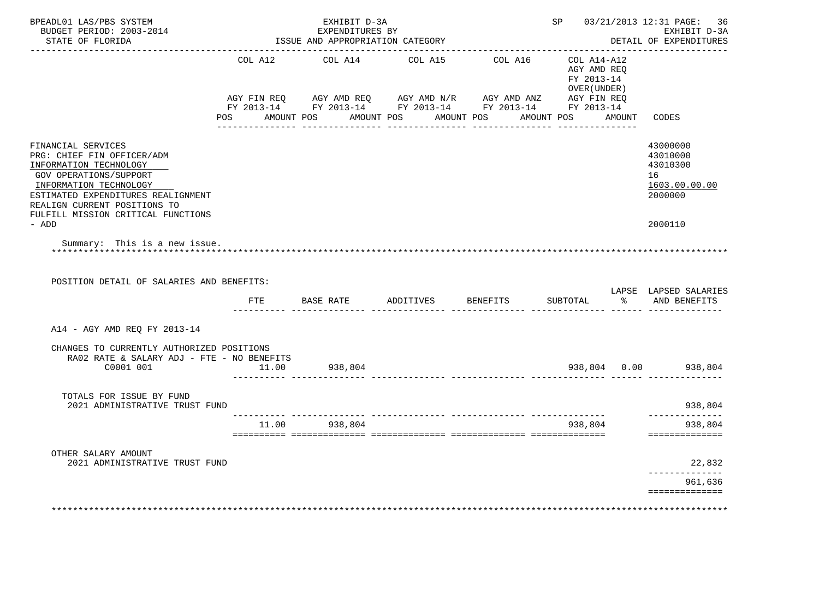| BPEADL01 LAS/PBS SYSTEM<br>BUDGET PERIOD: 2003-2014<br>STATE OF FLORIDA                                                                                                                                                                    |         | EXHIBIT D-3A<br>EXPENDITURES BY<br>ISSUE AND APPROPRIATION CATEGORY |         |                                                                                                                    |                                                          | SP 03/21/2013 12:31 PAGE:<br>36<br>EXHIBIT D-3A<br>DETAIL OF EXPENDITURES |
|--------------------------------------------------------------------------------------------------------------------------------------------------------------------------------------------------------------------------------------------|---------|---------------------------------------------------------------------|---------|--------------------------------------------------------------------------------------------------------------------|----------------------------------------------------------|---------------------------------------------------------------------------|
|                                                                                                                                                                                                                                            | COL A12 | COL A14                                                             | COL A15 | COL A16<br>AGY FIN REQ AGY AMD REQ AGY AMD N/R AGY AMD ANZ AGY FIN REQ FIN REQ AGY AMD N/R AGY AMD ANZ AGY FIN REQ | COL A14-A12<br>AGY AMD REQ<br>FY 2013-14<br>OVER (UNDER) |                                                                           |
|                                                                                                                                                                                                                                            |         | POS AMOUNT POS AMOUNT POS AMOUNT POS                                |         |                                                                                                                    | AMOUNT POS AMOUNT                                        | CODES                                                                     |
| FINANCIAL SERVICES<br>PRG: CHIEF FIN OFFICER/ADM<br>INFORMATION TECHNOLOGY<br>GOV OPERATIONS/SUPPORT<br>INFORMATION TECHNOLOGY<br>ESTIMATED EXPENDITURES REALIGNMENT<br>REALIGN CURRENT POSITIONS TO<br>FULFILL MISSION CRITICAL FUNCTIONS |         |                                                                     |         |                                                                                                                    |                                                          | 43000000<br>43010000<br>43010300<br>16<br>1603.00.00.00<br>2000000        |
| - ADD                                                                                                                                                                                                                                      |         |                                                                     |         |                                                                                                                    |                                                          | 2000110                                                                   |
|                                                                                                                                                                                                                                            |         |                                                                     |         |                                                                                                                    |                                                          |                                                                           |
| Summary: This is a new issue.<br>POSITION DETAIL OF SALARIES AND BENEFITS:                                                                                                                                                                 |         | FTE BASE RATE ADDITIVES BENEFITS                                    |         |                                                                                                                    | SUBTOTAL                                                 | LAPSE LAPSED SALARIES<br>% AND BENEFITS                                   |
| A14 - AGY AMD REQ FY 2013-14                                                                                                                                                                                                               |         |                                                                     |         |                                                                                                                    |                                                          |                                                                           |
| CHANGES TO CURRENTLY AUTHORIZED POSITIONS<br>RA02 RATE & SALARY ADJ - FTE - NO BENEFITS<br>C0001 001                                                                                                                                       | 11.00   | 938,804                                                             |         |                                                                                                                    |                                                          | 938,804 0.00 938,804                                                      |
| TOTALS FOR ISSUE BY FUND<br>2021 ADMINISTRATIVE TRUST FUND                                                                                                                                                                                 |         |                                                                     |         |                                                                                                                    |                                                          | 938,804                                                                   |
|                                                                                                                                                                                                                                            |         | 11.00 938,804                                                       |         |                                                                                                                    | 938,804                                                  | ______________<br>938,804<br>==============                               |
| OTHER SALARY AMOUNT                                                                                                                                                                                                                        |         |                                                                     |         |                                                                                                                    |                                                          |                                                                           |
| 2021 ADMINISTRATIVE TRUST FUND                                                                                                                                                                                                             |         |                                                                     |         |                                                                                                                    |                                                          | 22,832<br>___________                                                     |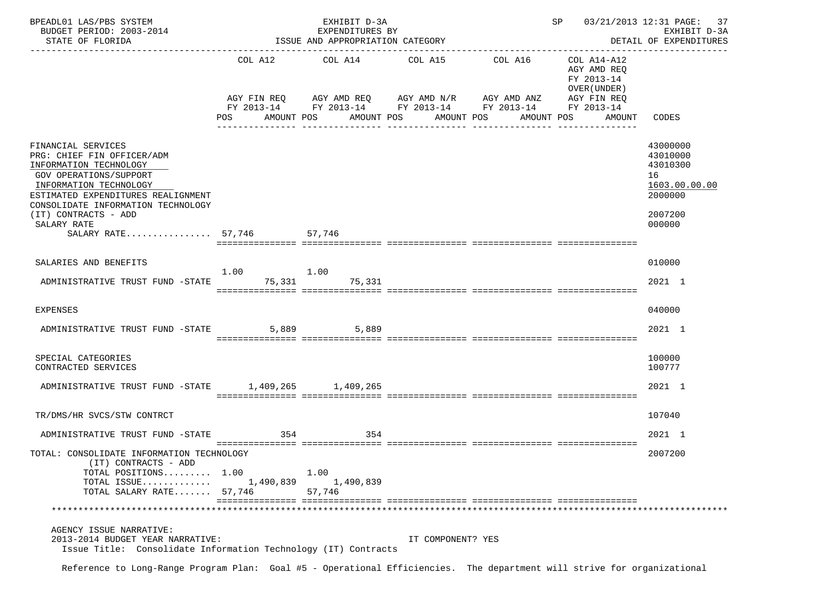| BPEADL01 LAS/PBS SYSTEM<br>BUDGET PERIOD: 2003-2014<br>STATE OF FLORIDA                                                                                                                                                            |                                | EXHIBIT D-3A<br>EXPENDITURES BY<br>ISSUE AND APPROPRIATION CATEGORY |                                                                            |                                                                   | SP                                                                      | 03/21/2013 12:31 PAGE:<br>37<br>EXHIBIT D-3A<br>DETAIL OF EXPENDITURES        |
|------------------------------------------------------------------------------------------------------------------------------------------------------------------------------------------------------------------------------------|--------------------------------|---------------------------------------------------------------------|----------------------------------------------------------------------------|-------------------------------------------------------------------|-------------------------------------------------------------------------|-------------------------------------------------------------------------------|
|                                                                                                                                                                                                                                    |                                |                                                                     | COL A12 COL A14 COL A15<br>AGY FIN REQ AGY AMD REQ AGY AMD N/R AGY AMD ANZ | COL A16<br>FY 2013-14 FY 2013-14 FY 2013-14 FY 2013-14 FY 2013-14 | COL A14-A12<br>AGY AMD REQ<br>FY 2013-14<br>OVER (UNDER)<br>AGY FIN REQ |                                                                               |
|                                                                                                                                                                                                                                    | POS FOR THE POST OF THE STREET | AMOUNT POS                                                          | AMOUNT POS<br>AMOUNT POS                                                   | AMOUNT POS                                                        | AMOUNT CODES                                                            |                                                                               |
| FINANCIAL SERVICES<br>PRG: CHIEF FIN OFFICER/ADM<br>INFORMATION TECHNOLOGY<br>GOV OPERATIONS/SUPPORT<br>INFORMATION TECHNOLOGY<br>ESTIMATED EXPENDITURES REALIGNMENT<br>CONSOLIDATE INFORMATION TECHNOLOGY<br>(IT) CONTRACTS - ADD |                                |                                                                     |                                                                            |                                                                   |                                                                         | 43000000<br>43010000<br>43010300<br>16<br>1603.00.00.00<br>2000000<br>2007200 |
| SALARY RATE                                                                                                                                                                                                                        |                                | 57.746                                                              |                                                                            |                                                                   |                                                                         | 000000                                                                        |
| SALARY RATE $57,746$                                                                                                                                                                                                               |                                |                                                                     |                                                                            |                                                                   |                                                                         |                                                                               |
| SALARIES AND BENEFITS                                                                                                                                                                                                              |                                |                                                                     |                                                                            |                                                                   |                                                                         | 010000                                                                        |
| ADMINISTRATIVE TRUST FUND -STATE 75,331 75,331                                                                                                                                                                                     | 1.00                           | 1.00                                                                |                                                                            |                                                                   |                                                                         | 2021 1                                                                        |
| <b>EXPENSES</b>                                                                                                                                                                                                                    |                                |                                                                     |                                                                            |                                                                   |                                                                         | 040000                                                                        |
| ADMINISTRATIVE TRUST FUND -STATE                                                                                                                                                                                                   |                                | 5,889 5,889                                                         |                                                                            |                                                                   |                                                                         | 2021 1                                                                        |
| SPECIAL CATEGORIES<br>CONTRACTED SERVICES                                                                                                                                                                                          |                                |                                                                     |                                                                            |                                                                   |                                                                         | 100000<br>100777                                                              |
| ADMINISTRATIVE TRUST FUND -STATE 1,409,265 1,409,265                                                                                                                                                                               |                                |                                                                     |                                                                            |                                                                   |                                                                         | 2021 1                                                                        |
| TR/DMS/HR SVCS/STW CONTRCT                                                                                                                                                                                                         |                                |                                                                     |                                                                            |                                                                   |                                                                         | 107040                                                                        |
| ADMINISTRATIVE TRUST FUND -STATE                                                                                                                                                                                                   | 354                            | 354                                                                 |                                                                            |                                                                   |                                                                         | 2021 1                                                                        |
| TOTAL: CONSOLIDATE INFORMATION TECHNOLOGY<br>(IT) CONTRACTS - ADD<br>TOTAL POSITIONS 1.00<br>TOTAL ISSUE<br>TOTAL SALARY RATE 57,746                                                                                               | 1,490,839                      | 1.00<br>1,490,839<br>57,746                                         |                                                                            |                                                                   |                                                                         | 2007200                                                                       |
|                                                                                                                                                                                                                                    |                                |                                                                     |                                                                            |                                                                   |                                                                         |                                                                               |
| AGENCY ISSUE NARRATIVE:<br>2013-2014 BUDGET YEAR NARRATIVE:<br>Issue Title: Consolidate Information Technology (IT) Contracts                                                                                                      |                                |                                                                     | IT COMPONENT? YES                                                          |                                                                   |                                                                         |                                                                               |
| Reference to Long-Range Program Plan: Goal #5 - Operational Efficiencies. The department will strive for organizational                                                                                                            |                                |                                                                     |                                                                            |                                                                   |                                                                         |                                                                               |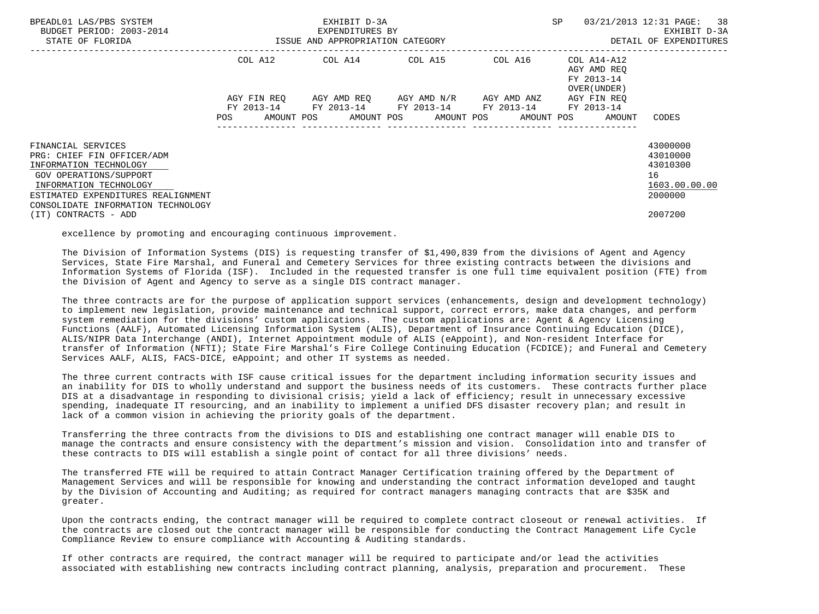| BPEADL01 LAS/PBS SYSTEM<br>BUDGET PERIOD: 2003-2014<br>STATE OF FLORIDA  | EXHIBIT D-3A<br>EXPENDITURES BY<br>ISSUE AND APPROPRIATION CATEGORY |  |                                                 |         | <b>SP</b>                                                        | 03/21/2013 12:31 PAGE: 38<br>EXHIBIT D-3A<br>DETAIL OF EXPENDITURES |
|--------------------------------------------------------------------------|---------------------------------------------------------------------|--|-------------------------------------------------|---------|------------------------------------------------------------------|---------------------------------------------------------------------|
|                                                                          |                                                                     |  | COL A12 COL A14 COL A15                         | COL A16 | COL A14-A12<br>AGY AMD REO<br>FY 2013-14<br>OVER (UNDER)         |                                                                     |
|                                                                          |                                                                     |  | AGY FIN REO AGY AMD REO AGY AMD N/R AGY AMD ANZ |         | AGY FIN REO                                                      |                                                                     |
|                                                                          | POS                                                                 |  | FY 2013-14 FY 2013-14 FY 2013-14 FY 2013-14     |         | FY 2013-14<br>AMOUNT POS AMOUNT POS AMOUNT POS AMOUNT POS AMOUNT | CODES                                                               |
| FINANCIAL SERVICES                                                       |                                                                     |  |                                                 |         |                                                                  | 43000000                                                            |
| PRG: CHIEF FIN OFFICER/ADM                                               |                                                                     |  |                                                 |         |                                                                  | 43010000                                                            |
| INFORMATION TECHNOLOGY<br>GOV OPERATIONS/SUPPORT                         |                                                                     |  |                                                 |         |                                                                  | 43010300<br>16                                                      |
| INFORMATION TECHNOLOGY                                                   |                                                                     |  |                                                 |         |                                                                  | 1603.00.00.00                                                       |
| ESTIMATED EXPENDITURES REALIGNMENT<br>CONSOLIDATE INFORMATION TECHNOLOGY |                                                                     |  |                                                 |         |                                                                  | 2000000                                                             |
| (IT) CONTRACTS - ADD                                                     |                                                                     |  |                                                 |         |                                                                  | 2007200                                                             |

excellence by promoting and encouraging continuous improvement.

 The Division of Information Systems (DIS) is requesting transfer of \$1,490,839 from the divisions of Agent and Agency Services, State Fire Marshal, and Funeral and Cemetery Services for three existing contracts between the divisions and Information Systems of Florida (ISF). Included in the requested transfer is one full time equivalent position (FTE) from the Division of Agent and Agency to serve as a single DIS contract manager.

 The three contracts are for the purpose of application support services (enhancements, design and development technology) to implement new legislation, provide maintenance and technical support, correct errors, make data changes, and perform system remediation for the divisions' custom applications. The custom applications are: Agent & Agency Licensing Functions (AALF), Automated Licensing Information System (ALIS), Department of Insurance Continuing Education (DICE), ALIS/NIPR Data Interchange (ANDI), Internet Appointment module of ALIS (eAppoint), and Non-resident Interface for transfer of Information (NFTI); State Fire Marshal's Fire College Continuing Education (FCDICE); and Funeral and Cemetery Services AALF, ALIS, FACS-DICE, eAppoint; and other IT systems as needed.

 The three current contracts with ISF cause critical issues for the department including information security issues and an inability for DIS to wholly understand and support the business needs of its customers. These contracts further place DIS at a disadvantage in responding to divisional crisis; yield a lack of efficiency; result in unnecessary excessive spending, inadequate IT resourcing, and an inability to implement a unified DFS disaster recovery plan; and result in lack of a common vision in achieving the priority goals of the department.

 Transferring the three contracts from the divisions to DIS and establishing one contract manager will enable DIS to manage the contracts and ensure consistency with the department's mission and vision. Consolidation into and transfer of these contracts to DIS will establish a single point of contact for all three divisions' needs.

 The transferred FTE will be required to attain Contract Manager Certification training offered by the Department of Management Services and will be responsible for knowing and understanding the contract information developed and taught by the Division of Accounting and Auditing; as required for contract managers managing contracts that are \$35K and greater.

 Upon the contracts ending, the contract manager will be required to complete contract closeout or renewal activities. If the contracts are closed out the contract manager will be responsible for conducting the Contract Management Life Cycle Compliance Review to ensure compliance with Accounting & Auditing standards.

 If other contracts are required, the contract manager will be required to participate and/or lead the activities associated with establishing new contracts including contract planning, analysis, preparation and procurement. These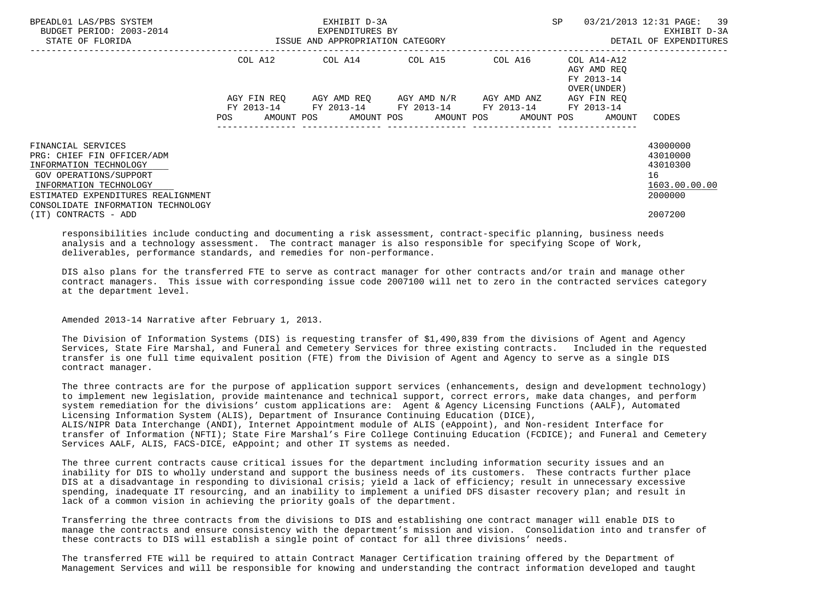| BPEADL01 LAS/PBS SYSTEM<br>BUDGET PERIOD: 2003-2014<br>STATE OF FLORIDA | EXHIBIT D-3A<br>EXPENDITURES BY<br>ISSUE AND APPROPRIATION CATEGORY |             |  |         | SP                                  |         |  | 03/21/2013 12:31 PAGE: 39<br>EXHIBIT D-3A<br>DETAIL OF EXPENDITURES |                     |
|-------------------------------------------------------------------------|---------------------------------------------------------------------|-------------|--|---------|-------------------------------------|---------|--|---------------------------------------------------------------------|---------------------|
|                                                                         |                                                                     | COL A12     |  | COL A14 | COL A15                             | COL A16 |  | COL A14-A12<br>AGY AMD REO<br>FY 2013-14<br>OVER (UNDER)            |                     |
|                                                                         |                                                                     | AGY FIN REO |  |         | AGY AMD REO AGY AMD N/R AGY AMD ANZ |         |  | AGY FIN REO                                                         |                     |
|                                                                         | POS                                                                 | FY 2013-14  |  |         | FY 2013-14 FY 2013-14 FY 2013-14    |         |  | FY 2013-14<br>AMOUNT POS AMOUNT POS AMOUNT POS AMOUNT POS AMOUNT    | CODES               |
| FINANCIAL SERVICES                                                      |                                                                     |             |  |         |                                     |         |  |                                                                     | 43000000            |
| PRG: CHIEF FIN OFFICER/ADM                                              |                                                                     |             |  |         |                                     |         |  |                                                                     | 43010000            |
| INFORMATION TECHNOLOGY                                                  |                                                                     |             |  |         |                                     |         |  |                                                                     | 43010300            |
| GOV OPERATIONS/SUPPORT<br>INFORMATION TECHNOLOGY                        |                                                                     |             |  |         |                                     |         |  |                                                                     | 16<br>1603.00.00.00 |
| ESTIMATED EXPENDITURES REALIGNMENT                                      |                                                                     |             |  |         |                                     |         |  |                                                                     | 2000000             |
| CONSOLIDATE INFORMATION TECHNOLOGY                                      |                                                                     |             |  |         |                                     |         |  |                                                                     |                     |
| (IT) CONTRACTS - ADD                                                    |                                                                     |             |  |         |                                     |         |  |                                                                     | 2007200             |

 responsibilities include conducting and documenting a risk assessment, contract-specific planning, business needs analysis and a technology assessment. The contract manager is also responsible for specifying Scope of Work, deliverables, performance standards, and remedies for non-performance.

 DIS also plans for the transferred FTE to serve as contract manager for other contracts and/or train and manage other contract managers. This issue with corresponding issue code 2007100 will net to zero in the contracted services category at the department level.

Amended 2013-14 Narrative after February 1, 2013.

 The Division of Information Systems (DIS) is requesting transfer of \$1,490,839 from the divisions of Agent and Agency Services, State Fire Marshal, and Funeral and Cemetery Services for three existing contracts. Included in the requested transfer is one full time equivalent position (FTE) from the Division of Agent and Agency to serve as a single DIS contract manager.

 The three contracts are for the purpose of application support services (enhancements, design and development technology) to implement new legislation, provide maintenance and technical support, correct errors, make data changes, and perform system remediation for the divisions' custom applications are: Agent & Agency Licensing Functions (AALF), Automated Licensing Information System (ALIS), Department of Insurance Continuing Education (DICE), ALIS/NIPR Data Interchange (ANDI), Internet Appointment module of ALIS (eAppoint), and Non-resident Interface for transfer of Information (NFTI); State Fire Marshal's Fire College Continuing Education (FCDICE); and Funeral and Cemetery Services AALF, ALIS, FACS-DICE, eAppoint; and other IT systems as needed.

 The three current contracts cause critical issues for the department including information security issues and an inability for DIS to wholly understand and support the business needs of its customers. These contracts further place DIS at a disadvantage in responding to divisional crisis; yield a lack of efficiency; result in unnecessary excessive spending, inadequate IT resourcing, and an inability to implement a unified DFS disaster recovery plan; and result in lack of a common vision in achieving the priority goals of the department.

 Transferring the three contracts from the divisions to DIS and establishing one contract manager will enable DIS to manage the contracts and ensure consistency with the department's mission and vision. Consolidation into and transfer of these contracts to DIS will establish a single point of contact for all three divisions' needs.

 The transferred FTE will be required to attain Contract Manager Certification training offered by the Department of Management Services and will be responsible for knowing and understanding the contract information developed and taught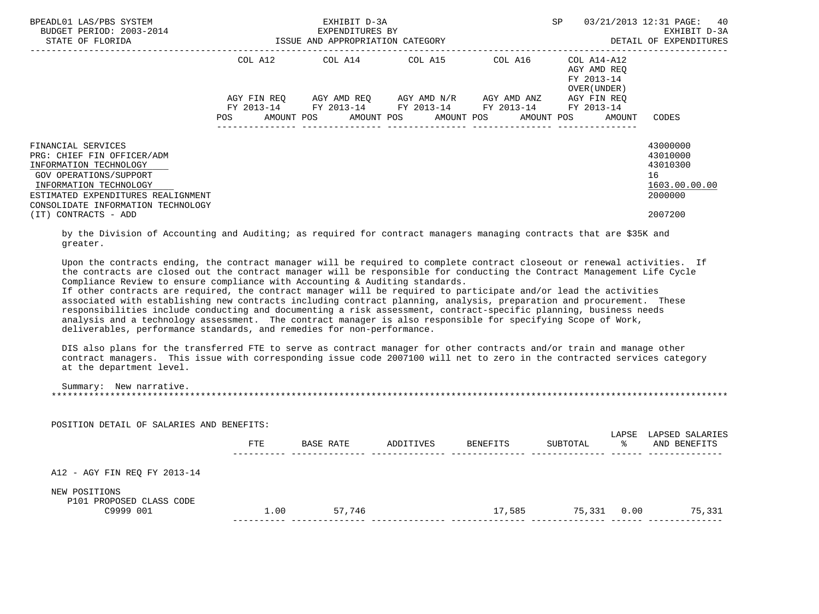| BPEADL01 LAS/PBS SYSTEM<br>BUDGET PERIOD: 2003-2014<br>STATE OF FLORIDA                                                                                                                                                            |                                  | EXHIBIT D-3A<br>EXPENDITURES BY<br>ISSUE AND APPROPRIATION CATEGORY |                           |                                         | 40<br>03/21/2013 12:31 PAGE:<br>SP<br>EXHIBIT D-3A<br>DETAIL OF EXPENDITURES |                                                                               |  |
|------------------------------------------------------------------------------------------------------------------------------------------------------------------------------------------------------------------------------------|----------------------------------|---------------------------------------------------------------------|---------------------------|-----------------------------------------|------------------------------------------------------------------------------|-------------------------------------------------------------------------------|--|
|                                                                                                                                                                                                                                    | COL A12                          |                                                                     |                           | COL A14 COL A15 COL A16                 | COL A14-A12<br>AGY AMD REO<br>FY 2013-14<br>OVER (UNDER )                    |                                                                               |  |
|                                                                                                                                                                                                                                    | AGY FIN REO<br>FY 2013-14<br>POS | AGY AMD REO<br>FY 2013-14<br>AMOUNT POS AMOUNT POS AMOUNT POS       | AGY AMD N/R<br>FY 2013-14 | AGY AMD ANZ<br>FY 2013-14<br>AMOUNT POS | AGY FIN REO<br>FY 2013-14<br>AMOUNT                                          | CODES                                                                         |  |
| FINANCIAL SERVICES<br>PRG: CHIEF FIN OFFICER/ADM<br>INFORMATION TECHNOLOGY<br>GOV OPERATIONS/SUPPORT<br>INFORMATION TECHNOLOGY<br>ESTIMATED EXPENDITURES REALIGNMENT<br>CONSOLIDATE INFORMATION TECHNOLOGY<br>(IT) CONTRACTS - ADD |                                  |                                                                     |                           |                                         |                                                                              | 43000000<br>43010000<br>43010300<br>16<br>1603.00.00.00<br>2000000<br>2007200 |  |

 by the Division of Accounting and Auditing; as required for contract managers managing contracts that are \$35K and greater.

 Upon the contracts ending, the contract manager will be required to complete contract closeout or renewal activities. If the contracts are closed out the contract manager will be responsible for conducting the Contract Management Life Cycle Compliance Review to ensure compliance with Accounting & Auditing standards.

 If other contracts are required, the contract manager will be required to participate and/or lead the activities associated with establishing new contracts including contract planning, analysis, preparation and procurement. These responsibilities include conducting and documenting a risk assessment, contract-specific planning, business needs analysis and a technology assessment. The contract manager is also responsible for specifying Scope of Work, deliverables, performance standards, and remedies for non-performance.

POSITION DETAIL OF SALARIES AND BENEFITS:

 DIS also plans for the transferred FTE to serve as contract manager for other contracts and/or train and manage other contract managers. This issue with corresponding issue code 2007100 will net to zero in the contracted services category at the department level.

| Summary: New narrative. |  |
|-------------------------|--|
|                         |  |

| POSITION DETAIL OF SALARIES AND BENEFITS: | <b>FTE</b> | BASE RATE | ADDITIVES | BENEFITS | SUBTOTAL | LAPSE<br>°≈ | LAPSED SALARIES<br>AND BENEFITS |
|-------------------------------------------|------------|-----------|-----------|----------|----------|-------------|---------------------------------|
| A12 - AGY FIN REQ FY 2013-14              |            |           |           |          |          |             |                                 |
| NEW POSITIONS<br>P101 PROPOSED CLASS CODE |            |           |           |          |          |             |                                 |
| C9999 001                                 | 1.00       | 57,746    |           | 17,585   | 75,331   | 0.00        | 75,331                          |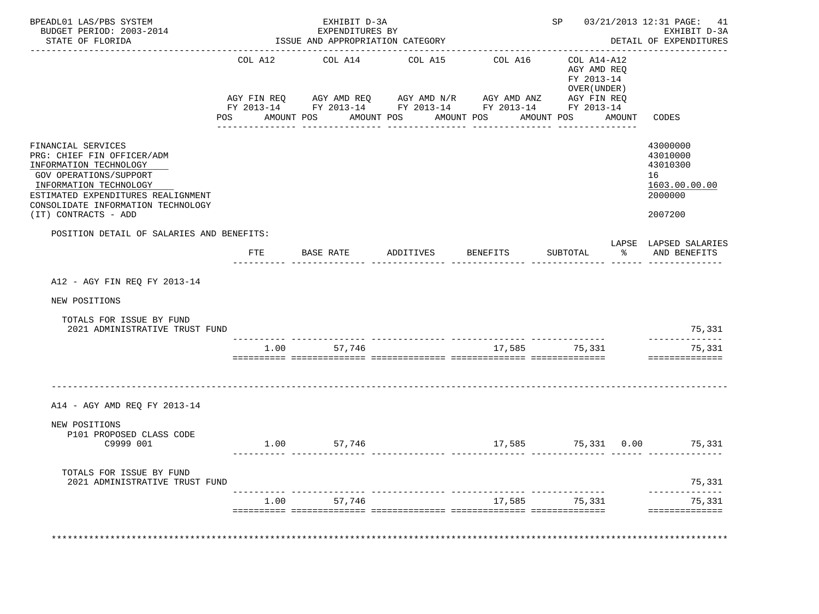| STATE OF FLORIDA                                                                                                                                                                                                                   |                                   | EXHIBIT D-3A<br>EXPENDITURES BY<br>ISSUE AND APPROPRIATION CATEGORY                                                                 |                       |                                                         |                      | SP 03/21/2013 12:31 PAGE: 41<br>EXHIBIT D-3A<br>DETAIL OF EXPENDITURES            |
|------------------------------------------------------------------------------------------------------------------------------------------------------------------------------------------------------------------------------------|-----------------------------------|-------------------------------------------------------------------------------------------------------------------------------------|-----------------------|---------------------------------------------------------|----------------------|-----------------------------------------------------------------------------------|
|                                                                                                                                                                                                                                    | _________________________________ | COL A12 COL A14 COL A15 COL A16                                                                                                     |                       | COL A14-A12                                             |                      |                                                                                   |
|                                                                                                                                                                                                                                    | <b>POS</b>                        | AGY FIN REQ AGY AMD REQ AGY AMD N/R AGY AMD ANZ AGY FIN REQ<br>FY 2013-14 FY 2013-14 FY 2013-14 FY 2013-14 FY 2013-14<br>AMOUNT POS | AMOUNT POS AMOUNT POS | AGY AMD REQ<br>FY 2013-14<br>OVER (UNDER)<br>AMOUNT POS |                      | AMOUNT CODES                                                                      |
| FINANCIAL SERVICES<br>PRG: CHIEF FIN OFFICER/ADM<br>INFORMATION TECHNOLOGY<br>GOV OPERATIONS/SUPPORT<br>INFORMATION TECHNOLOGY<br>ESTIMATED EXPENDITURES REALIGNMENT<br>CONSOLIDATE INFORMATION TECHNOLOGY<br>(IT) CONTRACTS - ADD |                                   |                                                                                                                                     |                       |                                                         |                      | 43000000<br>43010000<br>43010300<br>16<br>1603.00.00.00<br>2000000<br>2007200     |
| POSITION DETAIL OF SALARIES AND BENEFITS:                                                                                                                                                                                          | FTE                               | BASE RATE ADDITIVES BENEFITS                                                                                                        |                       | SUBTOTAL                                                | $\sim$ $\sim$ $\sim$ | LAPSE LAPSED SALARIES<br>AND BENEFITS                                             |
| A12 - AGY FIN REQ FY 2013-14                                                                                                                                                                                                       |                                   |                                                                                                                                     |                       |                                                         |                      |                                                                                   |
|                                                                                                                                                                                                                                    |                                   |                                                                                                                                     |                       |                                                         |                      |                                                                                   |
| NEW POSITIONS                                                                                                                                                                                                                      |                                   |                                                                                                                                     |                       |                                                         |                      |                                                                                   |
| TOTALS FOR ISSUE BY FUND<br>2021 ADMINISTRATIVE TRUST FUND                                                                                                                                                                         |                                   |                                                                                                                                     |                       |                                                         |                      |                                                                                   |
|                                                                                                                                                                                                                                    |                                   | 1.00 57,746                                                                                                                         |                       | 17,585 75,331                                           |                      | --------------                                                                    |
| A14 - AGY AMD REO FY 2013-14                                                                                                                                                                                                       |                                   |                                                                                                                                     |                       |                                                         |                      |                                                                                   |
| NEW POSITIONS<br>P101 PROPOSED CLASS CODE<br>C9999 001                                                                                                                                                                             |                                   | 1.00 57,746                                                                                                                         |                       |                                                         |                      |                                                                                   |
| TOTALS FOR ISSUE BY FUND<br>2021 ADMINISTRATIVE TRUST FUND                                                                                                                                                                         |                                   |                                                                                                                                     |                       |                                                         |                      | 75,331<br>75,331<br>==============<br>$17,585$ $75,331$ $0.00$ $75,331$<br>75,331 |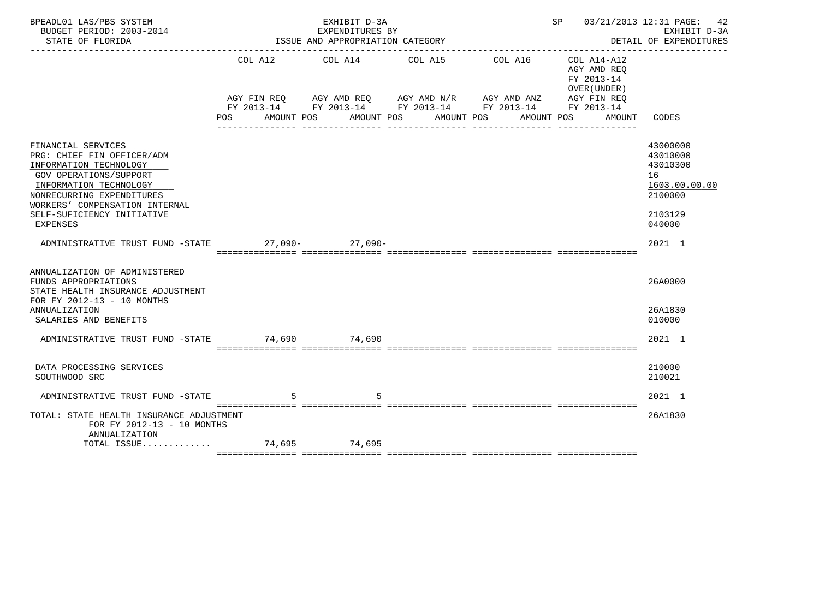| BPEADL01 LAS/PBS SYSTEM<br>BUDGET PERIOD: 2003-2014<br>STATE OF FLORIDA                                                                                                                                                                 |                       | EXHIBIT D-3A<br>EXPENDITURES BY<br>ISSUE AND APPROPRIATION CATEGORY |                       |                                                                                                                                                | SP 03/21/2013 12:31 PAGE:                                              | 42<br>EXHIBIT D-3A<br>DETAIL OF EXPENDITURES                                            |
|-----------------------------------------------------------------------------------------------------------------------------------------------------------------------------------------------------------------------------------------|-----------------------|---------------------------------------------------------------------|-----------------------|------------------------------------------------------------------------------------------------------------------------------------------------|------------------------------------------------------------------------|-----------------------------------------------------------------------------------------|
|                                                                                                                                                                                                                                         | COL A12<br><b>POS</b> | COL A14<br>AMOUNT POS                                               | COL A15<br>AMOUNT POS | COL A16<br>AGY FIN REQ AGY AMD REQ AGY AMD N/R AGY AMD ANZ AGY FIN REQ<br>FY 2013-14 FY 2013-14 FY 2013-14 FY 2013-14 FY 2013-14<br>AMOUNT POS | COL A14-A12<br>AGY AMD REO<br>FY 2013-14<br>OVER (UNDER)<br>AMOUNT POS | AMOUNT CODES                                                                            |
| FINANCIAL SERVICES<br>PRG: CHIEF FIN OFFICER/ADM<br>INFORMATION TECHNOLOGY<br>GOV OPERATIONS/SUPPORT<br>INFORMATION TECHNOLOGY<br>NONRECURRING EXPENDITURES<br>WORKERS' COMPENSATION INTERNAL<br>SELF-SUFICIENCY INITIATIVE<br>EXPENSES |                       |                                                                     |                       |                                                                                                                                                |                                                                        | 43000000<br>43010000<br>43010300<br>16<br>1603.00.00.00<br>2100000<br>2103129<br>040000 |
| ADMINISTRATIVE TRUST FUND -STATE 27,090- 27,090-                                                                                                                                                                                        |                       |                                                                     |                       |                                                                                                                                                |                                                                        | $2021$ 1                                                                                |
| ANNUALIZATION OF ADMINISTERED<br>FUNDS APPROPRIATIONS<br>STATE HEALTH INSURANCE ADJUSTMENT<br>FOR FY 2012-13 - 10 MONTHS<br>ANNUALIZATION                                                                                               |                       |                                                                     |                       |                                                                                                                                                |                                                                        | 26A0000<br>26A1830                                                                      |
| SALARIES AND BENEFITS<br>ADMINISTRATIVE TRUST FUND -STATE 74,690 74,690                                                                                                                                                                 |                       |                                                                     |                       |                                                                                                                                                |                                                                        | 010000<br>2021 1                                                                        |
|                                                                                                                                                                                                                                         |                       |                                                                     |                       |                                                                                                                                                |                                                                        |                                                                                         |
| DATA PROCESSING SERVICES<br>SOUTHWOOD SRC                                                                                                                                                                                               |                       |                                                                     |                       |                                                                                                                                                |                                                                        | 210000<br>210021                                                                        |
| ADMINISTRATIVE TRUST FUND -STATE                                                                                                                                                                                                        |                       | 5                                                                   |                       |                                                                                                                                                |                                                                        | 2021 1                                                                                  |
| TOTAL: STATE HEALTH INSURANCE ADJUSTMENT<br>FOR FY 2012-13 - 10 MONTHS<br>ANNUALIZATION                                                                                                                                                 |                       |                                                                     |                       |                                                                                                                                                |                                                                        | 26A1830                                                                                 |
| TOTAL ISSUE 74,695 74,695                                                                                                                                                                                                               |                       |                                                                     |                       |                                                                                                                                                |                                                                        |                                                                                         |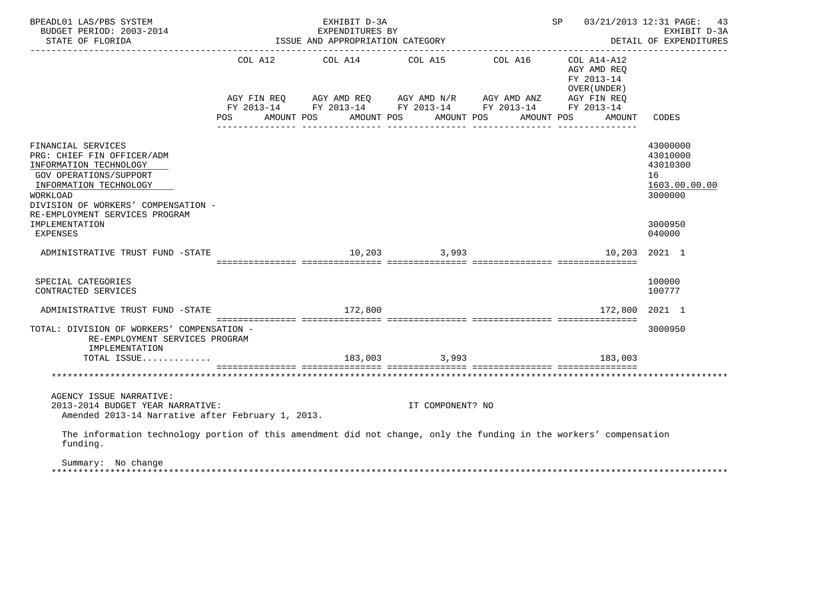| BPEADL01 LAS/PBS SYSTEM<br>BUDGET PERIOD: 2003-2014<br>STATE OF FLORIDA                                                                                                                                                               | EXHIBIT D-3A<br>EXPENDITURES BY<br>ISSUE AND APPROPRIATION CATEGORY                                                                                                                              |                  | SP 03/21/2013 12:31 PAGE: 43                                                                                                       | EXHIBIT D-3A<br>DETAIL OF EXPENDITURES                                        |
|---------------------------------------------------------------------------------------------------------------------------------------------------------------------------------------------------------------------------------------|--------------------------------------------------------------------------------------------------------------------------------------------------------------------------------------------------|------------------|------------------------------------------------------------------------------------------------------------------------------------|-------------------------------------------------------------------------------|
|                                                                                                                                                                                                                                       | COL A12 COL A14 COL A15 COL A16<br>AGY FIN REQ AGY AMD REQ AGY AMD N/R AGY AMD ANZ AGY FIN REQ<br>FY 2013-14 FY 2013-14 FY 2013-14 FY 2013-14 FY 2013-14<br>POS AMOUNT POS AMOUNT POS AMOUNT POS |                  | COL A14-A12<br>AGY AMD REO<br>FY 2013-14<br>OVER (UNDER)<br>AMOUNT POS<br>AMOUNT CODES                                             |                                                                               |
| FINANCIAL SERVICES<br>PRG: CHIEF FIN OFFICER/ADM<br>INFORMATION TECHNOLOGY<br>GOV OPERATIONS/SUPPORT<br>INFORMATION TECHNOLOGY<br>WORKLOAD<br>DIVISION OF WORKERS' COMPENSATION -<br>RE-EMPLOYMENT SERVICES PROGRAM<br>IMPLEMENTATION |                                                                                                                                                                                                  |                  |                                                                                                                                    | 43000000<br>43010000<br>43010300<br>16<br>1603.00.00.00<br>3000000<br>3000950 |
| EXPENSES<br>ADMINISTRATIVE TRUST FUND -STATE                                                                                                                                                                                          |                                                                                                                                                                                                  | 10,203 3,993     |                                                                                                                                    | 040000<br>10,203 2021 1                                                       |
|                                                                                                                                                                                                                                       |                                                                                                                                                                                                  |                  |                                                                                                                                    |                                                                               |
| SPECIAL CATEGORIES<br>CONTRACTED SERVICES                                                                                                                                                                                             |                                                                                                                                                                                                  |                  |                                                                                                                                    | 100000<br>100777                                                              |
| ADMINISTRATIVE TRUST FUND -STATE                                                                                                                                                                                                      | 172,800                                                                                                                                                                                          |                  | 172,800 2021 1<br>. CONFIDENTIAL CONTRACT CONTRACT DESCRIPTION OF THE CONTRACT CONTRACT CONTRACT OF THE CONTRACT OF THE CONTRACT O |                                                                               |
| TOTAL: DIVISION OF WORKERS' COMPENSATION -<br>RE-EMPLOYMENT SERVICES PROGRAM<br>IMPLEMENTATION                                                                                                                                        |                                                                                                                                                                                                  |                  |                                                                                                                                    | 3000950                                                                       |
| TOTAL ISSUE                                                                                                                                                                                                                           |                                                                                                                                                                                                  | 183,003 3,993    | 183,003                                                                                                                            |                                                                               |
|                                                                                                                                                                                                                                       |                                                                                                                                                                                                  |                  |                                                                                                                                    |                                                                               |
| AGENCY ISSUE NARRATIVE:<br>2013-2014 BUDGET YEAR NARRATIVE:<br>Amended 2013-14 Narrative after February 1, 2013.                                                                                                                      |                                                                                                                                                                                                  | IT COMPONENT? NO |                                                                                                                                    |                                                                               |
| The information technology portion of this amendment did not change, only the funding in the workers' compensation<br>funding.                                                                                                        |                                                                                                                                                                                                  |                  |                                                                                                                                    |                                                                               |

 Summary: No change \*\*\*\*\*\*\*\*\*\*\*\*\*\*\*\*\*\*\*\*\*\*\*\*\*\*\*\*\*\*\*\*\*\*\*\*\*\*\*\*\*\*\*\*\*\*\*\*\*\*\*\*\*\*\*\*\*\*\*\*\*\*\*\*\*\*\*\*\*\*\*\*\*\*\*\*\*\*\*\*\*\*\*\*\*\*\*\*\*\*\*\*\*\*\*\*\*\*\*\*\*\*\*\*\*\*\*\*\*\*\*\*\*\*\*\*\*\*\*\*\*\*\*\*\*\*\*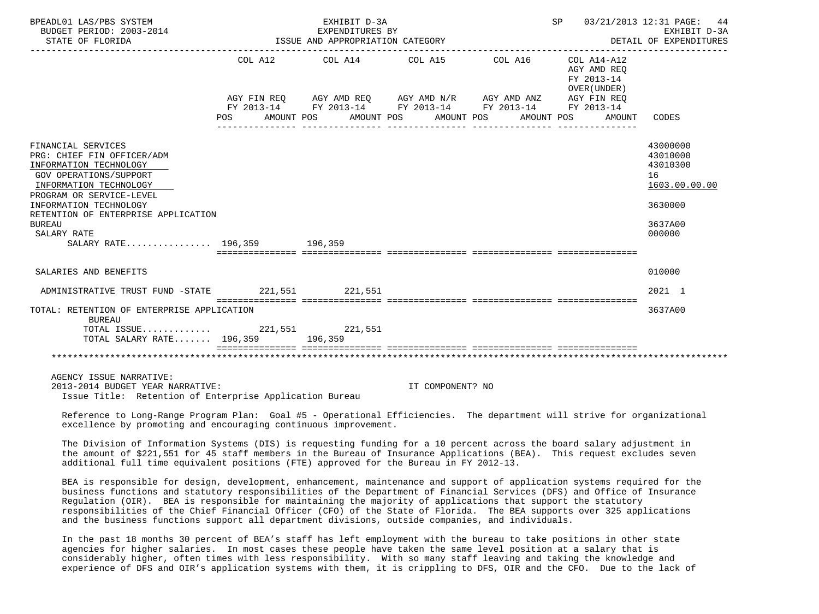| BPEADL01 LAS/PBS SYSTEM<br>BUDGET PERIOD: 2003-2014<br>STATE OF FLORIDA                                                                                                                                                                                                                           |                | EXHIBIT D-3A<br>EXPENDITURES BY<br>ISSUE AND APPROPRIATION CATEGORY                                                                                       |                          |                       | SP 03/21/2013 12:31 PAGE: 44                                                      | EXHIBIT D-3A<br>DETAIL OF EXPENDITURES                                                  |
|---------------------------------------------------------------------------------------------------------------------------------------------------------------------------------------------------------------------------------------------------------------------------------------------------|----------------|-----------------------------------------------------------------------------------------------------------------------------------------------------------|--------------------------|-----------------------|-----------------------------------------------------------------------------------|-----------------------------------------------------------------------------------------|
|                                                                                                                                                                                                                                                                                                   | COL A12<br>POS | COL A14 COL A15<br>AGY FIN REQ      AGY AMD REQ      AGY AMD N/R      AGY AMD ANZ<br>FY 2013-14 FY 2013-14 FY 2013-14 FY 2013-14 FY 2013-14<br>AMOUNT POS | AMOUNT POS<br>AMOUNT POS | COL A16<br>AMOUNT POS | COL A14-A12<br>AGY AMD REO<br>FY 2013-14<br>OVER (UNDER)<br>AGY FIN REO<br>AMOUNT | CODES                                                                                   |
| FINANCIAL SERVICES<br>PRG: CHIEF FIN OFFICER/ADM<br>INFORMATION TECHNOLOGY<br><b>GOV OPERATIONS/SUPPORT</b><br>INFORMATION TECHNOLOGY<br>PROGRAM OR SERVICE-LEVEL<br>INFORMATION TECHNOLOGY<br>RETENTION OF ENTERPRISE APPLICATION<br><b>BUREAU</b><br>SALARY RATE<br>SALARY RATE 196,359 196,359 |                |                                                                                                                                                           |                          |                       |                                                                                   | 43000000<br>43010000<br>43010300<br>16<br>1603.00.00.00<br>3630000<br>3637A00<br>000000 |
| SALARIES AND BENEFITS                                                                                                                                                                                                                                                                             |                |                                                                                                                                                           |                          |                       |                                                                                   | 010000                                                                                  |
| ADMINISTRATIVE TRUST FUND -STATE 221,551 221,551                                                                                                                                                                                                                                                  |                |                                                                                                                                                           |                          |                       |                                                                                   | 2021 1                                                                                  |
| TOTAL: RETENTION OF ENTERPRISE APPLICATION<br><b>BUREAU</b><br>$\texttt{TOTAL}$ $\texttt{ISSUE} \dots \dots \dots \dots \dots$ 221,551<br>TOTAL SALARY RATE 196,359 196,359                                                                                                                       |                | 221,551                                                                                                                                                   |                          |                       |                                                                                   | 3637A00                                                                                 |
| AGENCY ISSUE NARRATIVE:<br>2013-2014 BUDGET YEAR NARRATIVE:<br>Issue Title: Retention of Enterprise Application Bureau                                                                                                                                                                            |                |                                                                                                                                                           | IT COMPONENT? NO         |                       |                                                                                   |                                                                                         |

 Reference to Long-Range Program Plan: Goal #5 - Operational Efficiencies. The department will strive for organizational excellence by promoting and encouraging continuous improvement.

 The Division of Information Systems (DIS) is requesting funding for a 10 percent across the board salary adjustment in the amount of \$221,551 for 45 staff members in the Bureau of Insurance Applications (BEA). This request excludes seven additional full time equivalent positions (FTE) approved for the Bureau in FY 2012-13.

 BEA is responsible for design, development, enhancement, maintenance and support of application systems required for the business functions and statutory responsibilities of the Department of Financial Services (DFS) and Office of Insurance Regulation (OIR). BEA is responsible for maintaining the majority of applications that support the statutory responsibilities of the Chief Financial Officer (CFO) of the State of Florida. The BEA supports over 325 applications and the business functions support all department divisions, outside companies, and individuals.

 In the past 18 months 30 percent of BEA's staff has left employment with the bureau to take positions in other state agencies for higher salaries. In most cases these people have taken the same level position at a salary that is considerably higher, often times with less responsibility. With so many staff leaving and taking the knowledge and experience of DFS and OIR's application systems with them, it is crippling to DFS, OIR and the CFO. Due to the lack of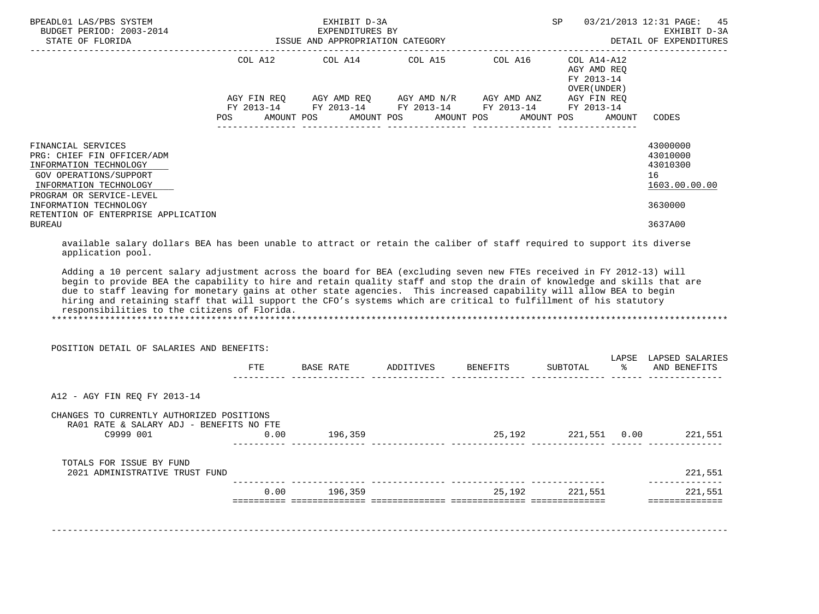| BPEADL01 LAS/PBS SYSTEM<br>BUDGET PERIOD: $2003-2014$<br>STATE OF FLORIDA                                                                                                                                                                                                                                                                                                                                                                                                                                                                                         |            | EXHIBIT D-3A<br>EXPENDITURES BY<br>ISSUE AND APPROPRIATION CATEGORY |                                                                           |                                                               |           | SP 03/21/2013 12:31 PAGE:<br>45<br>EXHIBIT D-3A<br>DETAIL OF EXPENDITURES<br>-------------------------- |
|-------------------------------------------------------------------------------------------------------------------------------------------------------------------------------------------------------------------------------------------------------------------------------------------------------------------------------------------------------------------------------------------------------------------------------------------------------------------------------------------------------------------------------------------------------------------|------------|---------------------------------------------------------------------|---------------------------------------------------------------------------|---------------------------------------------------------------|-----------|---------------------------------------------------------------------------------------------------------|
|                                                                                                                                                                                                                                                                                                                                                                                                                                                                                                                                                                   |            | COL A12 COL A14                                                     | COL A15 COL A16<br>POS AMOUNT POS AMOUNT POS AMOUNT POS AMOUNT POS AMOUNT | $COL A14 - A12$<br>AGY AMD REO<br>FY 2013-14<br>OVER (UNDER ) |           | CODES                                                                                                   |
| FINANCIAL SERVICES<br>PRG: CHIEF FIN OFFICER/ADM<br>INFORMATION TECHNOLOGY<br>GOV OPERATIONS/SUPPORT<br>INFORMATION TECHNOLOGY<br>PROGRAM OR SERVICE-LEVEL<br>INFORMATION TECHNOLOGY                                                                                                                                                                                                                                                                                                                                                                              |            |                                                                     |                                                                           |                                                               |           | 43000000<br>43010000<br>43010300<br>16<br>1603.00.00.00<br>3630000                                      |
| RETENTION OF ENTERPRISE APPLICATION<br><b>BUREAU</b>                                                                                                                                                                                                                                                                                                                                                                                                                                                                                                              |            |                                                                     |                                                                           |                                                               |           | 3637A00                                                                                                 |
| application pool.<br>Adding a 10 percent salary adjustment across the board for BEA (excluding seven new FTEs received in FY 2012-13) will<br>begin to provide BEA the capability to hire and retain quality staff and stop the drain of knowledge and skills that are<br>due to staff leaving for monetary gains at other state agencies. This increased capability will allow BEA to begin<br>hiring and retaining staff that will support the CFO's systems which are critical to fulfillment of his statutory<br>responsibilities to the citizens of Florida. |            |                                                                     |                                                                           |                                                               |           |                                                                                                         |
| POSITION DETAIL OF SALARIES AND BENEFITS:                                                                                                                                                                                                                                                                                                                                                                                                                                                                                                                         |            |                                                                     |                                                                           |                                                               |           | LAPSE LAPSED SALARIES                                                                                   |
|                                                                                                                                                                                                                                                                                                                                                                                                                                                                                                                                                                   | <b>FTE</b> |                                                                     | BASE RATE ADDITIVES BENEFITS                                              | SUBTOTAL                                                      | $\approx$ | AND BENEFITS                                                                                            |
| A12 - AGY FIN REO FY 2013-14                                                                                                                                                                                                                                                                                                                                                                                                                                                                                                                                      |            |                                                                     |                                                                           |                                                               |           |                                                                                                         |
| CHANGES TO CURRENTLY AUTHORIZED POSITIONS<br>RA01 RATE & SALARY ADJ - BENEFITS NO FTE<br>C9999 001 0.00                                                                                                                                                                                                                                                                                                                                                                                                                                                           |            | 196,359                                                             |                                                                           |                                                               |           | 25,192 221,551 0.00 221,551                                                                             |
| TOTALS FOR ISSUE BY FUND<br>2021 ADMINISTRATIVE TRUST FUND                                                                                                                                                                                                                                                                                                                                                                                                                                                                                                        |            |                                                                     |                                                                           |                                                               |           | 221,551                                                                                                 |
|                                                                                                                                                                                                                                                                                                                                                                                                                                                                                                                                                                   |            | $0.00$ 196.359                                                      |                                                                           | 25,192 221,551                                                |           | ______________<br>221,551                                                                               |
|                                                                                                                                                                                                                                                                                                                                                                                                                                                                                                                                                                   |            |                                                                     |                                                                           |                                                               |           | ==============                                                                                          |

-------------------------------------------------------------------------------------------------------------------------------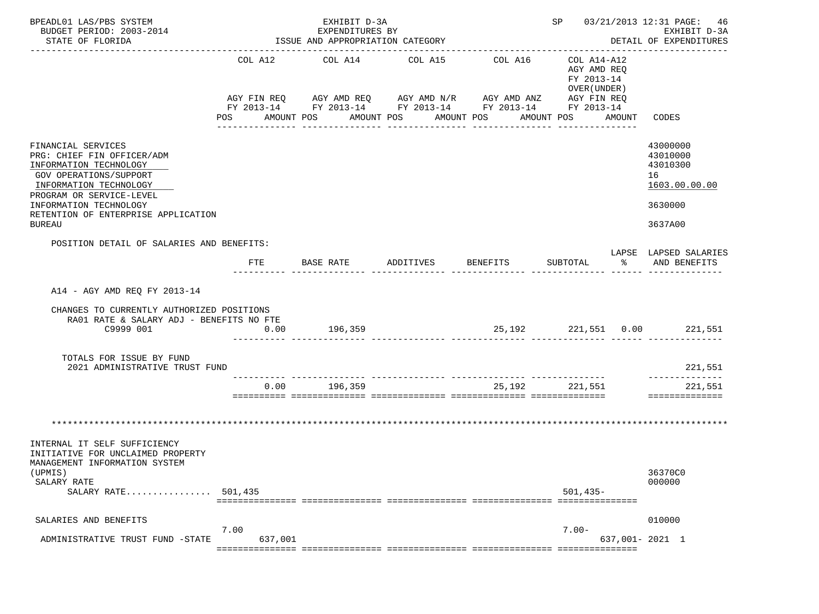| BPEADL01 LAS/PBS SYSTEM<br>BUDGET PERIOD: 2003-2014<br>STATE OF FLORIDA                                       |                | EXHIBIT D-3A<br>EXPENDITURES BY<br>ISSUE AND APPROPRIATION CATEGORY |                       |                                                                        | SP 03/21/2013 12:31 PAGE: 46                             | EXHIBIT D-3A<br>DETAIL OF EXPENDITURES |
|---------------------------------------------------------------------------------------------------------------|----------------|---------------------------------------------------------------------|-----------------------|------------------------------------------------------------------------|----------------------------------------------------------|----------------------------------------|
|                                                                                                               |                |                                                                     |                       |                                                                        |                                                          |                                        |
|                                                                                                               | COL A12        | COL A14                                                             | COL A15               | COL A16<br>AGY FIN REQ AGY AMD REQ AGY AMD N/R AGY AMD ANZ AGY FIN REQ | COL A14-A12<br>AGY AMD REO<br>FY 2013-14<br>OVER (UNDER) |                                        |
|                                                                                                               |                |                                                                     |                       | FY 2013-14 FY 2013-14 FY 2013-14 FY 2013-14 FY 2013-14                 |                                                          |                                        |
|                                                                                                               | POS AMOUNT POS |                                                                     | AMOUNT POS AMOUNT POS | ---------------                                                        | AMOUNT POS<br>AMOUNT<br>---------------                  | CODES                                  |
| FINANCIAL SERVICES<br>PRG: CHIEF FIN OFFICER/ADM<br>INFORMATION TECHNOLOGY<br>GOV OPERATIONS/SUPPORT          |                |                                                                     |                       |                                                                        |                                                          | 43000000<br>43010000<br>43010300<br>16 |
| INFORMATION TECHNOLOGY                                                                                        |                |                                                                     |                       |                                                                        |                                                          | 1603.00.00.00                          |
| PROGRAM OR SERVICE-LEVEL<br>INFORMATION TECHNOLOGY<br>RETENTION OF ENTERPRISE APPLICATION<br><b>BUREAU</b>    |                |                                                                     |                       |                                                                        |                                                          | 3630000<br>3637A00                     |
| POSITION DETAIL OF SALARIES AND BENEFITS:                                                                     |                |                                                                     |                       |                                                                        |                                                          |                                        |
|                                                                                                               | FTE            | BASE RATE                                                           | ADDITIVES             | <b>BENEFITS</b>                                                        | SUBTOTAL<br>ႜ                                            | LAPSE LAPSED SALARIES<br>AND BENEFITS  |
| A14 - AGY AMD REQ FY 2013-14                                                                                  |                |                                                                     |                       |                                                                        |                                                          |                                        |
| CHANGES TO CURRENTLY AUTHORIZED POSITIONS<br>RA01 RATE & SALARY ADJ - BENEFITS NO FTE                         |                |                                                                     |                       |                                                                        |                                                          |                                        |
| C9999 001                                                                                                     | 0.00           | 196,359                                                             |                       |                                                                        | 25,192 221,551 0.00 221,551                              |                                        |
| TOTALS FOR ISSUE BY FUND<br>2021 ADMINISTRATIVE TRUST FUND                                                    |                |                                                                     |                       |                                                                        |                                                          | 221,551                                |
|                                                                                                               |                | ----- ---------------<br>$0.00$ 196,359                             |                       | 25,192                                                                 | 221,551                                                  | 221,551                                |
|                                                                                                               |                |                                                                     |                       |                                                                        |                                                          | ==============                         |
|                                                                                                               |                |                                                                     |                       |                                                                        |                                                          |                                        |
| INTERNAL IT SELF SUFFICIENCY<br>INITIATIVE FOR UNCLAIMED PROPERTY<br>MANAGEMENT INFORMATION SYSTEM<br>(UPMIS) |                |                                                                     |                       |                                                                        |                                                          | 36370C0                                |
| SALARY RATE<br>SALARY RATE                                                                                    | 501,435        |                                                                     |                       |                                                                        | $501,435-$                                               | 000000                                 |
| SALARIES AND BENEFITS                                                                                         |                |                                                                     |                       |                                                                        |                                                          | 010000                                 |
|                                                                                                               | 7.00           |                                                                     |                       |                                                                        | $7.00 -$                                                 |                                        |
| ADMINISTRATIVE TRUST FUND -STATE                                                                              | 637,001        | ================================                                    |                       |                                                                        |                                                          | 637,001- 2021 1                        |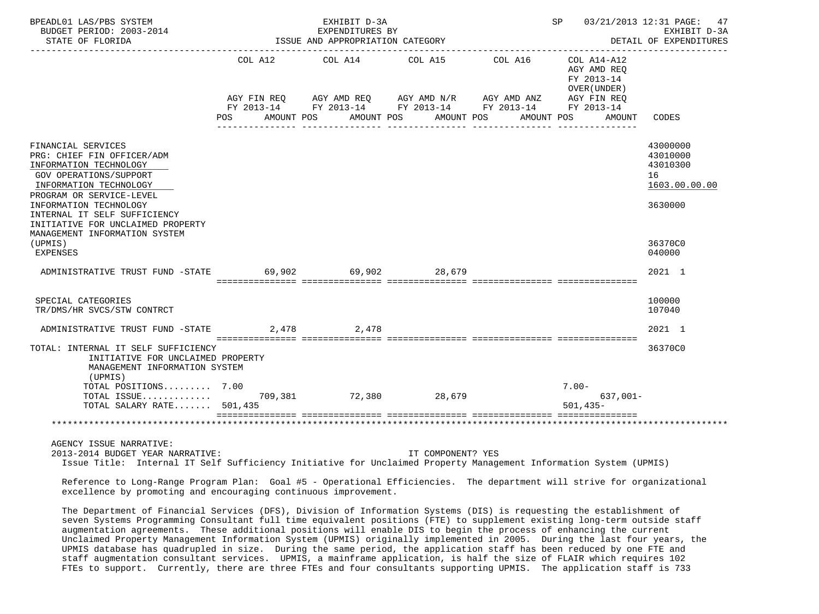| BPEADL01 LAS/PBS SYSTEM<br>BUDGET PERIOD: 2003-2014<br>STATE OF FLORIDA                                                                                                                                                                                                                    |            | EXHIBIT D-3A<br>EXPENDITURES BY<br>ISSUE AND APPROPRIATION CATEGORY | SP 03/21/2013 12:31 PAGE: 47<br>EXHIBIT D-3A<br>DETAIL OF EXPENDITURES |                                                                                                                       |                                                          |                                                                    |
|--------------------------------------------------------------------------------------------------------------------------------------------------------------------------------------------------------------------------------------------------------------------------------------------|------------|---------------------------------------------------------------------|------------------------------------------------------------------------|-----------------------------------------------------------------------------------------------------------------------|----------------------------------------------------------|--------------------------------------------------------------------|
|                                                                                                                                                                                                                                                                                            |            | COL A12 COL A14 COL A15                                             |                                                                        | COL A16                                                                                                               | COL A14-A12<br>AGY AMD REO<br>FY 2013-14<br>OVER (UNDER) |                                                                    |
|                                                                                                                                                                                                                                                                                            |            |                                                                     |                                                                        | AGY FIN REQ AGY AMD REQ AGY AMD N/R AGY AMD ANZ AGY FIN REQ<br>FY 2013-14 FY 2013-14 FY 2013-14 FY 2013-14 FY 2013-14 |                                                          |                                                                    |
|                                                                                                                                                                                                                                                                                            | <b>POS</b> | AMOUNT POS AMOUNT POS                                               |                                                                        | AMOUNT POS                                                                                                            | AMOUNT POS<br>AMOUNT                                     | CODES                                                              |
| FINANCIAL SERVICES<br>PRG: CHIEF FIN OFFICER/ADM<br>INFORMATION TECHNOLOGY<br>GOV OPERATIONS/SUPPORT<br>INFORMATION TECHNOLOGY<br>PROGRAM OR SERVICE-LEVEL<br>INFORMATION TECHNOLOGY<br>INTERNAL IT SELF SUFFICIENCY<br>INITIATIVE FOR UNCLAIMED PROPERTY<br>MANAGEMENT INFORMATION SYSTEM |            |                                                                     |                                                                        |                                                                                                                       |                                                          | 43000000<br>43010000<br>43010300<br>16<br>1603.00.00.00<br>3630000 |
| (UPMIS)<br><b>EXPENSES</b>                                                                                                                                                                                                                                                                 |            |                                                                     |                                                                        |                                                                                                                       |                                                          | 36370C0<br>040000                                                  |
| ADMINISTRATIVE TRUST FUND -STATE 69,902 69,902 28,679                                                                                                                                                                                                                                      |            |                                                                     |                                                                        |                                                                                                                       |                                                          | 2021 1                                                             |
| SPECIAL CATEGORIES<br>TR/DMS/HR SVCS/STW CONTRCT                                                                                                                                                                                                                                           |            |                                                                     |                                                                        |                                                                                                                       |                                                          | 100000<br>107040                                                   |
| ADMINISTRATIVE TRUST FUND -STATE                                                                                                                                                                                                                                                           |            | 2,478 2,478                                                         |                                                                        |                                                                                                                       |                                                          | 2021 1                                                             |
| TOTAL: INTERNAL IT SELF SUFFICIENCY<br>INITIATIVE FOR UNCLAIMED PROPERTY<br>MANAGEMENT INFORMATION SYSTEM<br>(UPMIS)                                                                                                                                                                       |            |                                                                     |                                                                        |                                                                                                                       |                                                          | 36370C0                                                            |
| TOTAL POSITIONS 7.00<br>TOTAL SALARY RATE 501,435                                                                                                                                                                                                                                          |            |                                                                     |                                                                        |                                                                                                                       | $7.00 -$<br>$637,001 -$<br>$501.435 -$                   |                                                                    |
|                                                                                                                                                                                                                                                                                            |            |                                                                     |                                                                        |                                                                                                                       |                                                          |                                                                    |
| AGENCY ISSUE NARRATIVE:<br>2013-2014 BUDGET YEAR NARRATIVE:<br>Issue Title: Internal IT Self Sufficiency Initiative for Unclaimed Property Management Information System (UPMIS)                                                                                                           |            |                                                                     | IT COMPONENT? YES                                                      |                                                                                                                       |                                                          |                                                                    |
| Reference to Long-Range Program Plan: Goal #5 - Operational Efficiencies. The department will strive for organizational<br>excellence by promoting and encouraging continuous improvement.                                                                                                 |            |                                                                     |                                                                        |                                                                                                                       |                                                          |                                                                    |

 The Department of Financial Services (DFS), Division of Information Systems (DIS) is requesting the establishment of seven Systems Programming Consultant full time equivalent positions (FTE) to supplement existing long-term outside staff augmentation agreements. These additional positions will enable DIS to begin the process of enhancing the current Unclaimed Property Management Information System (UPMIS) originally implemented in 2005. During the last four years, the UPMIS database has quadrupled in size. During the same period, the application staff has been reduced by one FTE and staff augmentation consultant services. UPMIS, a mainframe application, is half the size of FLAIR which requires 102 FTEs to support. Currently, there are three FTEs and four consultants supporting UPMIS. The application staff is 733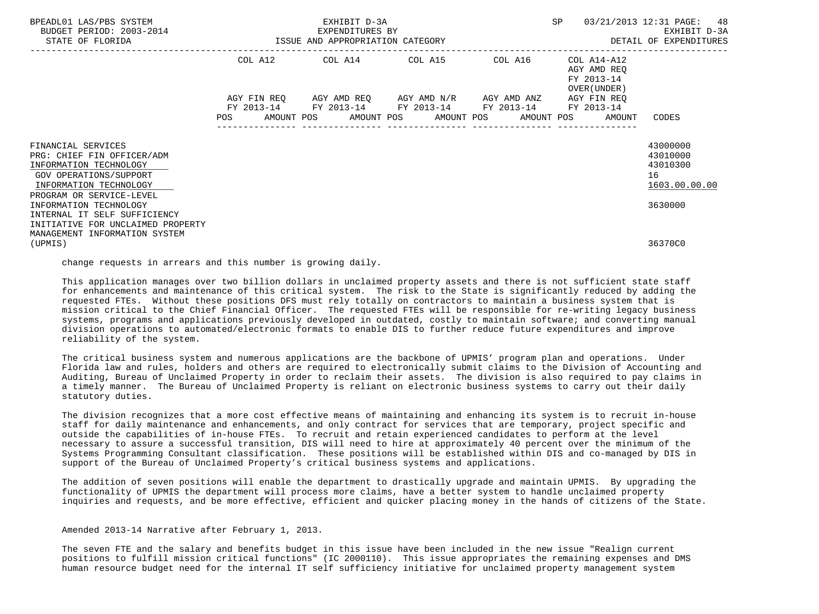| BPEADL01 LAS/PBS SYSTEM<br>BUDGET PERIOD: 2003-2014<br>STATE OF FLORIDA                                                                                  | EXHIBIT D-3A<br>EXPENDITURES BY<br>ISSUE AND APPROPRIATION CATEGORY |  |                         |                  |  |                                                                                                                                                                 | SP |                                                          | 03/21/2013 12:31 PAGE: 48<br>EXHIBIT D-3A<br>DETAIL OF EXPENDITURES |
|----------------------------------------------------------------------------------------------------------------------------------------------------------|---------------------------------------------------------------------|--|-------------------------|------------------|--|-----------------------------------------------------------------------------------------------------------------------------------------------------------------|----|----------------------------------------------------------|---------------------------------------------------------------------|
|                                                                                                                                                          |                                                                     |  | COL A12 COL A14 COL A15 |                  |  | COL A16                                                                                                                                                         |    | COL A14-A12<br>AGY AMD REO<br>FY 2013-14<br>OVER (UNDER) |                                                                     |
|                                                                                                                                                          | <b>POS</b>                                                          |  |                         | ---------------- |  | AGY FIN REO AGY AMD REO AGY AMD N/R AGY AMD ANZ<br>FY 2013-14 FY 2013-14 FY 2013-14 FY 2013-14 FY 2013-14<br>AMOUNT POS AMOUNT POS AMOUNT POS AMOUNT POS AMOUNT |    | AGY FIN REO                                              | CODES                                                               |
| FINANCIAL SERVICES<br>PRG: CHIEF FIN OFFICER/ADM<br>INFORMATION TECHNOLOGY<br>GOV OPERATIONS/SUPPORT<br>INFORMATION TECHNOLOGY                           |                                                                     |  |                         |                  |  |                                                                                                                                                                 |    |                                                          | 43000000<br>43010000<br>43010300<br>16<br>1603.00.00.00             |
| PROGRAM OR SERVICE-LEVEL<br>INFORMATION TECHNOLOGY<br>INTERNAL IT SELF SUFFICIENCY<br>INITIATIVE FOR UNCLAIMED PROPERTY<br>MANAGEMENT INFORMATION SYSTEM |                                                                     |  |                         |                  |  |                                                                                                                                                                 |    |                                                          | 3630000                                                             |
| (UPMIS)                                                                                                                                                  |                                                                     |  |                         |                  |  |                                                                                                                                                                 |    |                                                          | 36370C0                                                             |

change requests in arrears and this number is growing daily.

 This application manages over two billion dollars in unclaimed property assets and there is not sufficient state staff for enhancements and maintenance of this critical system. The risk to the State is significantly reduced by adding the requested FTEs. Without these positions DFS must rely totally on contractors to maintain a business system that is mission critical to the Chief Financial Officer. The requested FTEs will be responsible for re-writing legacy business systems, programs and applications previously developed in outdated, costly to maintain software; and converting manual division operations to automated/electronic formats to enable DIS to further reduce future expenditures and improve reliability of the system.

 The critical business system and numerous applications are the backbone of UPMIS' program plan and operations. Under Florida law and rules, holders and others are required to electronically submit claims to the Division of Accounting and Auditing, Bureau of Unclaimed Property in order to reclaim their assets. The division is also required to pay claims in a timely manner. The Bureau of Unclaimed Property is reliant on electronic business systems to carry out their daily statutory duties.

 The division recognizes that a more cost effective means of maintaining and enhancing its system is to recruit in-house staff for daily maintenance and enhancements, and only contract for services that are temporary, project specific and outside the capabilities of in-house FTEs. To recruit and retain experienced candidates to perform at the level necessary to assure a successful transition, DIS will need to hire at approximately 40 percent over the minimum of the Systems Programming Consultant classification. These positions will be established within DIS and co-managed by DIS in support of the Bureau of Unclaimed Property's critical business systems and applications.

 The addition of seven positions will enable the department to drastically upgrade and maintain UPMIS. By upgrading the functionality of UPMIS the department will process more claims, have a better system to handle unclaimed property inquiries and requests, and be more effective, efficient and quicker placing money in the hands of citizens of the State.

Amended 2013-14 Narrative after February 1, 2013.

 The seven FTE and the salary and benefits budget in this issue have been included in the new issue "Realign current positions to fulfill mission critical functions" (IC 2000110). This issue appropriates the remaining expenses and DMS human resource budget need for the internal IT self sufficiency initiative for unclaimed property management system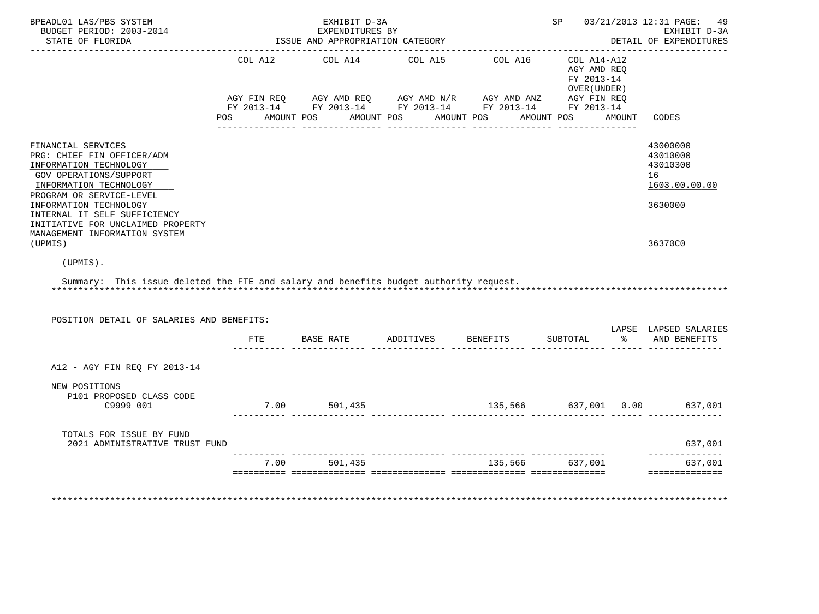| STATE OF FLORIDA                                                                                                                                                                                                                                                                           |     | EXHIBIT D-3A<br>EXPENDITURES BY<br>ISSUE AND APPROPRIATION CATEGORY |                                                                                                                                                                                                                                                                                                            |                      | SP 03/21/2013 12:31 PAGE:<br>49<br>EXHIBIT D-3A<br>DETAIL OF EXPENDITURES |        |                                                                    |
|--------------------------------------------------------------------------------------------------------------------------------------------------------------------------------------------------------------------------------------------------------------------------------------------|-----|---------------------------------------------------------------------|------------------------------------------------------------------------------------------------------------------------------------------------------------------------------------------------------------------------------------------------------------------------------------------------------------|----------------------|---------------------------------------------------------------------------|--------|--------------------------------------------------------------------|
|                                                                                                                                                                                                                                                                                            |     |                                                                     | COL A12 COL A14 COL A15 COL A16 COL A14-A12<br>$\begin{array}{lllllll} {\sf AGY} & {\sf FIN REQ} & {\sf AGY AMD REQ} & {\sf AGY AMD N/R} & {\sf AGY AMD ANZ} & {\sf AGY FIN REQ} \\ {\sf FY} & {\sf 2013-14} & {\sf FY} & {\sf 2013-14} & {\sf FY} & {\sf 2013-14} & {\sf FY} & {\sf 2013-14} \end{array}$ |                      | AGY AMD REO<br>FY 2013-14<br>OVER (UNDER)                                 |        |                                                                    |
|                                                                                                                                                                                                                                                                                            |     |                                                                     | POS AMOUNT POS AMOUNT POS AMOUNT POS AMOUNT POS                                                                                                                                                                                                                                                            |                      |                                                                           | AMOUNT | CODES                                                              |
| FINANCIAL SERVICES<br>PRG: CHIEF FIN OFFICER/ADM<br>INFORMATION TECHNOLOGY<br>GOV OPERATIONS/SUPPORT<br>INFORMATION TECHNOLOGY<br>PROGRAM OR SERVICE-LEVEL<br>INFORMATION TECHNOLOGY<br>INTERNAL IT SELF SUFFICIENCY<br>INITIATIVE FOR UNCLAIMED PROPERTY<br>MANAGEMENT INFORMATION SYSTEM |     |                                                                     |                                                                                                                                                                                                                                                                                                            |                      |                                                                           |        | 43000000<br>43010000<br>43010300<br>16<br>1603.00.00.00<br>3630000 |
| (UPMIS)                                                                                                                                                                                                                                                                                    |     |                                                                     |                                                                                                                                                                                                                                                                                                            |                      |                                                                           |        | 36370C0                                                            |
| (UPMIS).                                                                                                                                                                                                                                                                                   |     |                                                                     |                                                                                                                                                                                                                                                                                                            |                      |                                                                           |        |                                                                    |
| Summary: This issue deleted the FTE and salary and benefits budget authority request.                                                                                                                                                                                                      |     |                                                                     |                                                                                                                                                                                                                                                                                                            |                      |                                                                           |        |                                                                    |
|                                                                                                                                                                                                                                                                                            |     |                                                                     |                                                                                                                                                                                                                                                                                                            |                      |                                                                           |        |                                                                    |
| POSITION DETAIL OF SALARIES AND BENEFITS:                                                                                                                                                                                                                                                  | FTE |                                                                     | BASE RATE ADDITIVES BENEFITS                                                                                                                                                                                                                                                                               |                      | SUBTOTAL                                                                  |        | LAPSE LAPSED SALARIES<br>% AND BENEFITS                            |
| A12 - AGY FIN REQ FY 2013-14                                                                                                                                                                                                                                                               |     |                                                                     |                                                                                                                                                                                                                                                                                                            |                      |                                                                           |        |                                                                    |
| NEW POSITIONS<br>P101 PROPOSED CLASS CODE<br>C9999 001                                                                                                                                                                                                                                     |     | 7.00 501,435                                                        |                                                                                                                                                                                                                                                                                                            | 135,566 637,001 0.00 |                                                                           |        | 637,001                                                            |
| TOTALS FOR ISSUE BY FUND<br>2021 ADMINISTRATIVE TRUST FUND                                                                                                                                                                                                                                 |     |                                                                     |                                                                                                                                                                                                                                                                                                            |                      |                                                                           |        | 637,001                                                            |
|                                                                                                                                                                                                                                                                                            |     | 7.00 501,435                                                        | 135,566 637,001                                                                                                                                                                                                                                                                                            |                      |                                                                           |        | _____________<br>637,001<br>==============                         |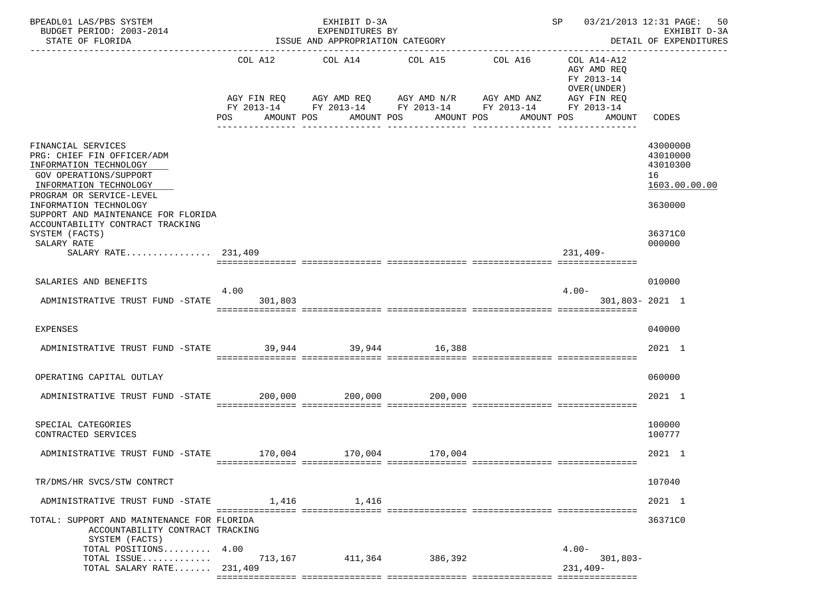| BPEADL01 LAS/PBS SYSTEM<br>BUDGET PERIOD: 2003-2014<br>STATE OF FLORIDA                                                                                                                                                                                                                          |                               | EXHIBIT D-3A<br>EXPENDITURES BY<br>ISSUE AND APPROPRIATION CATEGORY                                                 | SP 03/21/2013 12:31 PAGE:<br>EXHIBIT D-3A<br>DETAIL OF EXPENDITURES<br>------------- |                       |                                                                                                 |                                                                                         |
|--------------------------------------------------------------------------------------------------------------------------------------------------------------------------------------------------------------------------------------------------------------------------------------------------|-------------------------------|---------------------------------------------------------------------------------------------------------------------|--------------------------------------------------------------------------------------|-----------------------|-------------------------------------------------------------------------------------------------|-----------------------------------------------------------------------------------------|
|                                                                                                                                                                                                                                                                                                  | COL A12<br>AGY FIN REQ<br>POS | COL A14 COL A15<br>AGY AMD REQ AGY AMD N/R AGY AMD ANZ<br>FY 2013-14 FY 2013-14 FY 2013-14 FY 2013-14<br>AMOUNT POS | AMOUNT POS<br>AMOUNT POS<br>_______________                                          | COL A16<br>AMOUNT POS | COL A14-A12<br>AGY AMD REQ<br>FY 2013-14<br>OVER (UNDER)<br>AGY FIN REQ<br>FY 2013-14<br>AMOUNT | CODES                                                                                   |
| FINANCIAL SERVICES<br>PRG: CHIEF FIN OFFICER/ADM<br>INFORMATION TECHNOLOGY<br>GOV OPERATIONS/SUPPORT<br>INFORMATION TECHNOLOGY<br>PROGRAM OR SERVICE-LEVEL<br>INFORMATION TECHNOLOGY<br>SUPPORT AND MAINTENANCE FOR FLORIDA<br>ACCOUNTABILITY CONTRACT TRACKING<br>SYSTEM (FACTS)<br>SALARY RATE |                               |                                                                                                                     |                                                                                      |                       |                                                                                                 | 43000000<br>43010000<br>43010300<br>16<br>1603.00.00.00<br>3630000<br>36371C0<br>000000 |
| SALARY RATE 231,409                                                                                                                                                                                                                                                                              |                               |                                                                                                                     |                                                                                      |                       | $231,409-$                                                                                      |                                                                                         |
| SALARIES AND BENEFITS                                                                                                                                                                                                                                                                            | 4.00                          |                                                                                                                     |                                                                                      |                       | $4.00 -$                                                                                        | 010000                                                                                  |
| ADMINISTRATIVE TRUST FUND -STATE 301,803                                                                                                                                                                                                                                                         |                               |                                                                                                                     |                                                                                      |                       | 301,803-2021 1                                                                                  |                                                                                         |
| <b>EXPENSES</b>                                                                                                                                                                                                                                                                                  |                               |                                                                                                                     |                                                                                      |                       |                                                                                                 | 040000                                                                                  |
| ADMINISTRATIVE TRUST FUND -STATE 39,944 39,944 39,944 16,388                                                                                                                                                                                                                                     |                               |                                                                                                                     |                                                                                      |                       |                                                                                                 | 2021 1                                                                                  |
| OPERATING CAPITAL OUTLAY                                                                                                                                                                                                                                                                         |                               |                                                                                                                     |                                                                                      |                       |                                                                                                 | 060000                                                                                  |
| ADMINISTRATIVE TRUST FUND -STATE 200,000 200,000 200,000 200,000                                                                                                                                                                                                                                 |                               |                                                                                                                     |                                                                                      |                       |                                                                                                 | 2021 1                                                                                  |
| SPECIAL CATEGORIES<br>CONTRACTED SERVICES                                                                                                                                                                                                                                                        |                               |                                                                                                                     |                                                                                      |                       |                                                                                                 | 100000<br>100777                                                                        |
| ADMINISTRATIVE TRUST FUND -STATE 170,004 170,004 170,004                                                                                                                                                                                                                                         |                               |                                                                                                                     |                                                                                      |                       |                                                                                                 | 2021 1                                                                                  |
| TR/DMS/HR SVCS/STW CONTRCT                                                                                                                                                                                                                                                                       |                               |                                                                                                                     |                                                                                      |                       |                                                                                                 | 107040                                                                                  |
| ADMINISTRATIVE TRUST FUND -STATE                                                                                                                                                                                                                                                                 |                               | 1,416<br>1,416                                                                                                      |                                                                                      |                       |                                                                                                 | 2021 1                                                                                  |
| TOTAL: SUPPORT AND MAINTENANCE FOR FLORIDA<br>ACCOUNTABILITY CONTRACT TRACKING<br>SYSTEM (FACTS)                                                                                                                                                                                                 |                               |                                                                                                                     |                                                                                      |                       |                                                                                                 | 36371C0                                                                                 |
| TOTAL POSITIONS<br>TOTAL ISSUE                                                                                                                                                                                                                                                                   | 4.00<br>713,167               |                                                                                                                     | 411,364 386,392                                                                      |                       | $4.00 -$<br>$301,803-$                                                                          |                                                                                         |
| TOTAL SALARY RATE 231,409                                                                                                                                                                                                                                                                        |                               |                                                                                                                     |                                                                                      |                       | $231,409-$                                                                                      |                                                                                         |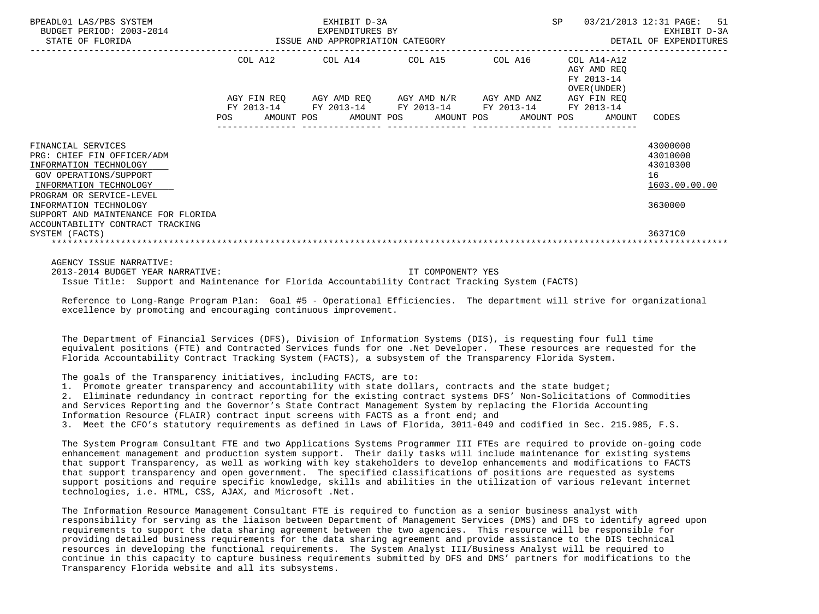| BPEADL01 LAS/PBS SYSTEM<br>BUDGET PERIOD: 2003-2014<br>STATE OF FLORIDA                                                        | EXHIBIT D-3A<br>EXPENDITURES BY<br>EXPENDITURES BY EXPERIMENTION CATEGORY |  |  |                                                                                                |  |  | SP         |  | 03/21/2013 12:31 PAGE: 51<br>EXHIBIT D-3A<br>DETAIL OF EXPENDITURES |                                                         |
|--------------------------------------------------------------------------------------------------------------------------------|---------------------------------------------------------------------------|--|--|------------------------------------------------------------------------------------------------|--|--|------------|--|---------------------------------------------------------------------|---------------------------------------------------------|
|                                                                                                                                |                                                                           |  |  | COL A12 COL A14 COL A15 COL A16 COL A14-A12                                                    |  |  |            |  | AGY AMD REO<br>FY 2013-14<br>OVER (UNDER )                          |                                                         |
|                                                                                                                                |                                                                           |  |  | AGY FIN REQ AGY AMD REQ AGY AMD N/R AGY AMD ANZ AGY FIN REQ                                    |  |  |            |  |                                                                     |                                                         |
|                                                                                                                                |                                                                           |  |  | FY 2013-14 FY 2013-14 FY 2013-14 FY 2013-14 FY 2013-14<br>POS AMOUNT POS AMOUNT POS AMOUNT POS |  |  | AMOUNT POS |  | AMOUNT                                                              | CODES                                                   |
| FINANCIAL SERVICES<br>PRG: CHIEF FIN OFFICER/ADM<br>INFORMATION TECHNOLOGY<br>GOV OPERATIONS/SUPPORT<br>INFORMATION TECHNOLOGY |                                                                           |  |  |                                                                                                |  |  |            |  |                                                                     | 43000000<br>43010000<br>43010300<br>16<br>1603.00.00.00 |
| PROGRAM OR SERVICE-LEVEL<br>INFORMATION TECHNOLOGY<br>SUPPORT AND MAINTENANCE FOR FLORIDA<br>ACCOUNTABILITY CONTRACT TRACKING  |                                                                           |  |  |                                                                                                |  |  |            |  |                                                                     | 3630000                                                 |
| SYSTEM (FACTS)                                                                                                                 |                                                                           |  |  |                                                                                                |  |  |            |  |                                                                     | 36371C0                                                 |
| AGENCY ISSUE NARRATIVE:                                                                                                        |                                                                           |  |  |                                                                                                |  |  |            |  |                                                                     |                                                         |

 2013-2014 BUDGET YEAR NARRATIVE: IT COMPONENT? YES Issue Title: Support and Maintenance for Florida Accountability Contract Tracking System (FACTS)

 Reference to Long-Range Program Plan: Goal #5 - Operational Efficiencies. The department will strive for organizational excellence by promoting and encouraging continuous improvement.

 The Department of Financial Services (DFS), Division of Information Systems (DIS), is requesting four full time equivalent positions (FTE) and Contracted Services funds for one .Net Developer. These resources are requested for the Florida Accountability Contract Tracking System (FACTS), a subsystem of the Transparency Florida System.

The goals of the Transparency initiatives, including FACTS, are to:

1. Promote greater transparency and accountability with state dollars, contracts and the state budget;

 2. Eliminate redundancy in contract reporting for the existing contract systems DFS' Non-Solicitations of Commodities and Services Reporting and the Governor's State Contract Management System by replacing the Florida Accounting Information Resource (FLAIR) contract input screens with FACTS as a front end; and 3. Meet the CFO's statutory requirements as defined in Laws of Florida, 3011-049 and codified in Sec. 215.985, F.S.

 The System Program Consultant FTE and two Applications Systems Programmer III FTEs are required to provide on-going code enhancement management and production system support. Their daily tasks will include maintenance for existing systems that support Transparency, as well as working with key stakeholders to develop enhancements and modifications to FACTS that support transparency and open government. The specified classifications of positions are requested as systems support positions and require specific knowledge, skills and abilities in the utilization of various relevant internet technologies, i.e. HTML, CSS, AJAX, and Microsoft .Net.

 The Information Resource Management Consultant FTE is required to function as a senior business analyst with responsibility for serving as the liaison between Department of Management Services (DMS) and DFS to identify agreed upon requirements to support the data sharing agreement between the two agencies. This resource will be responsible for providing detailed business requirements for the data sharing agreement and provide assistance to the DIS technical resources in developing the functional requirements. The System Analyst III/Business Analyst will be required to continue in this capacity to capture business requirements submitted by DFS and DMS' partners for modifications to the Transparency Florida website and all its subsystems.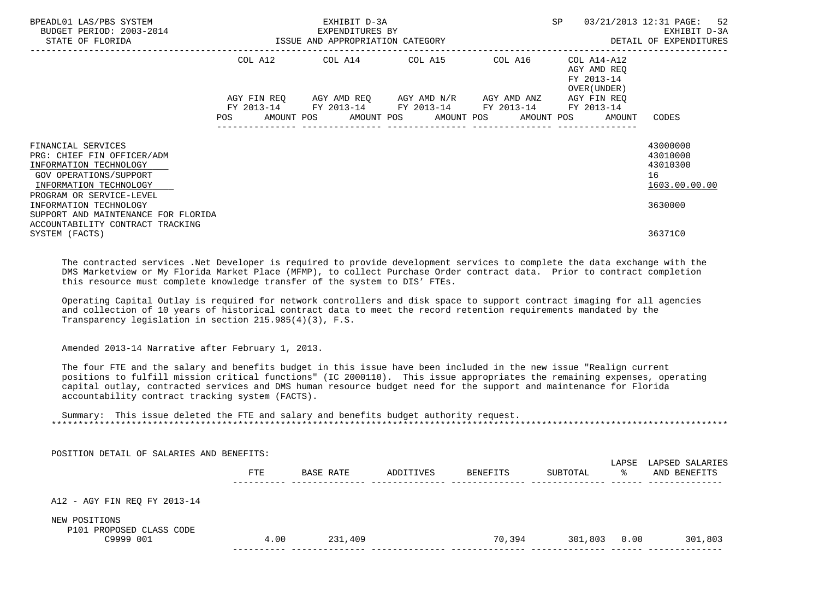| BPEADL01 LAS/PBS SYSTEM<br>BUDGET PERIOD: 2003-2014<br>STATE OF FLORIDA                                                                                    | EXHIBIT D-3A<br>EXPENDITURES BY<br>ISSUE AND APPROPRIATION CATEGORY |            |  |  |  |                                                                                                                                    | SP      |  | 03/21/2013 12:31 PAGE: 52<br>EXHIBIT D-3A<br>DETAIL OF EXPENDITURES |                                                         |
|------------------------------------------------------------------------------------------------------------------------------------------------------------|---------------------------------------------------------------------|------------|--|--|--|------------------------------------------------------------------------------------------------------------------------------------|---------|--|---------------------------------------------------------------------|---------------------------------------------------------|
|                                                                                                                                                            |                                                                     |            |  |  |  | COL A12 COL A14 COL A15                                                                                                            | COL A16 |  | COL A14-A12<br>AGY AMD REO<br>FY 2013-14<br>OVER (UNDER)            |                                                         |
|                                                                                                                                                            | <b>POS</b>                                                          | FY 2013-14 |  |  |  | AGY FIN REQ AGY AMD REQ AGY AMD N/R AGY AMD ANZ<br>FY 2013-14 FY 2013-14 FY 2013-14<br>AMOUNT POS AMOUNT POS AMOUNT POS AMOUNT POS |         |  | AGY FIN REO<br>FY 2013-14<br>AMOUNT                                 | CODES                                                   |
| FINANCIAL SERVICES<br>PRG: CHIEF FIN OFFICER/ADM<br>INFORMATION TECHNOLOGY<br>GOV OPERATIONS/SUPPORT<br>INFORMATION TECHNOLOGY<br>PROGRAM OR SERVICE-LEVEL |                                                                     |            |  |  |  |                                                                                                                                    |         |  |                                                                     | 43000000<br>43010000<br>43010300<br>16<br>1603.00.00.00 |
| INFORMATION TECHNOLOGY<br>SUPPORT AND MAINTENANCE FOR FLORIDA<br>ACCOUNTABILITY CONTRACT TRACKING<br>SYSTEM (FACTS)                                        |                                                                     |            |  |  |  |                                                                                                                                    |         |  |                                                                     | 3630000<br>36371C0                                      |

 The contracted services .Net Developer is required to provide development services to complete the data exchange with the DMS Marketview or My Florida Market Place (MFMP), to collect Purchase Order contract data. Prior to contract completion this resource must complete knowledge transfer of the system to DIS' FTEs.

 Operating Capital Outlay is required for network controllers and disk space to support contract imaging for all agencies and collection of 10 years of historical contract data to meet the record retention requirements mandated by the Transparency legislation in section 215.985(4)(3), F.S.

Amended 2013-14 Narrative after February 1, 2013.

 The four FTE and the salary and benefits budget in this issue have been included in the new issue "Realign current positions to fulfill mission critical functions" (IC 2000110). This issue appropriates the remaining expenses, operating capital outlay, contracted services and DMS human resource budget need for the support and maintenance for Florida accountability contract tracking system (FACTS).

 Summary: This issue deleted the FTE and salary and benefits budget authority request. \*\*\*\*\*\*\*\*\*\*\*\*\*\*\*\*\*\*\*\*\*\*\*\*\*\*\*\*\*\*\*\*\*\*\*\*\*\*\*\*\*\*\*\*\*\*\*\*\*\*\*\*\*\*\*\*\*\*\*\*\*\*\*\*\*\*\*\*\*\*\*\*\*\*\*\*\*\*\*\*\*\*\*\*\*\*\*\*\*\*\*\*\*\*\*\*\*\*\*\*\*\*\*\*\*\*\*\*\*\*\*\*\*\*\*\*\*\*\*\*\*\*\*\*\*\*\*

 POSITION DETAIL OF SALARIES AND BENEFITS: LAPSE LAPSED SALARIES FTE BASE RATE ADDITIVES BENEFITS SUBTOTAL % AND BENEFITS ---------- -------------- -------------- -------------- -------------- ------ -------------- A12 - AGY FIN REQ FY 2013-14 NEW POSITIONS P101 PROPOSED CLASS CODE<br>C9999 001 C9999 001 4.00 231,409 70,394 301,803 0.00 301,803 ---------- -------------- -------------- -------------- -------------- ------ --------------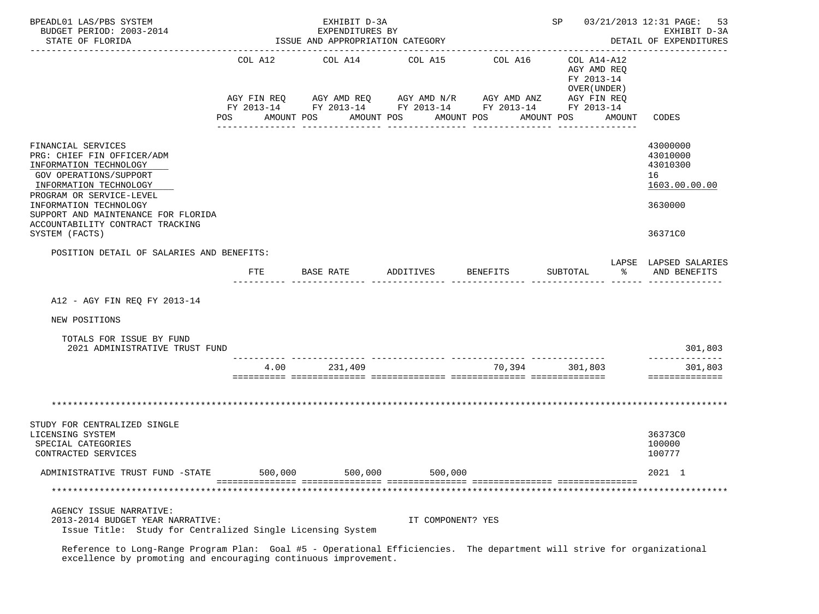| BPEADL01 LAS/PBS SYSTEM<br>BUDGET PERIOD: 2003-2014<br>STATE OF FLORIDA                                                                                                                                                                                                                  |                               | EXHIBIT D-3A<br>EXPENDITURES BY<br>ISSUE AND APPROPRIATION CATEGORY                                           | SP 03/21/2013 12:31 PAGE:<br>53<br>EXHIBIT D-3A<br>DETAIL OF EXPENDITURES |                                                    |                                                                                                                    |                                                                               |
|------------------------------------------------------------------------------------------------------------------------------------------------------------------------------------------------------------------------------------------------------------------------------------------|-------------------------------|---------------------------------------------------------------------------------------------------------------|---------------------------------------------------------------------------|----------------------------------------------------|--------------------------------------------------------------------------------------------------------------------|-------------------------------------------------------------------------------|
|                                                                                                                                                                                                                                                                                          | COL A12<br>AGY FIN REQ<br>POS | COL A14<br>AGY AMD REQ AGY AMD N/R<br>FY 2013-14 FY 2013-14 FY 2013-14 FY 2013-14<br>AMOUNT POS<br>AMOUNT POS | COL A15<br>AMOUNT POS<br>------------                                     | COL A16<br>AGY AMD ANZ<br>AMOUNT POS<br>---------- | COL A14-A12<br>AGY AMD REQ<br>FY 2013-14<br>OVER (UNDER)<br>AGY FIN REQ<br>FY 2013-14<br>AMOUNT<br>--------------- | CODES                                                                         |
| FINANCIAL SERVICES<br>PRG: CHIEF FIN OFFICER/ADM<br>INFORMATION TECHNOLOGY<br><b>GOV OPERATIONS/SUPPORT</b><br>INFORMATION TECHNOLOGY<br>PROGRAM OR SERVICE-LEVEL<br>INFORMATION TECHNOLOGY<br>SUPPORT AND MAINTENANCE FOR FLORIDA<br>ACCOUNTABILITY CONTRACT TRACKING<br>SYSTEM (FACTS) |                               |                                                                                                               |                                                                           |                                                    |                                                                                                                    | 43000000<br>43010000<br>43010300<br>16<br>1603.00.00.00<br>3630000<br>36371C0 |
| POSITION DETAIL OF SALARIES AND BENEFITS:                                                                                                                                                                                                                                                |                               |                                                                                                               |                                                                           |                                                    |                                                                                                                    | LAPSE LAPSED SALARIES                                                         |
|                                                                                                                                                                                                                                                                                          | <b>FTE</b>                    | BASE RATE                                                                                                     | ADDITIVES                                                                 | <b>BENEFITS</b>                                    | SUBTOTAL<br>ిన                                                                                                     | AND BENEFITS                                                                  |
| A12 - AGY FIN REO FY 2013-14                                                                                                                                                                                                                                                             |                               |                                                                                                               |                                                                           |                                                    |                                                                                                                    |                                                                               |
| NEW POSITIONS                                                                                                                                                                                                                                                                            |                               |                                                                                                               |                                                                           |                                                    |                                                                                                                    |                                                                               |
| TOTALS FOR ISSUE BY FUND<br>2021 ADMINISTRATIVE TRUST FUND                                                                                                                                                                                                                               |                               |                                                                                                               |                                                                           |                                                    |                                                                                                                    | 301,803                                                                       |
|                                                                                                                                                                                                                                                                                          | 4.00                          | 231,409                                                                                                       |                                                                           | 70,394 301,803                                     |                                                                                                                    | --------------<br>301,803<br>==============                                   |
|                                                                                                                                                                                                                                                                                          |                               |                                                                                                               |                                                                           |                                                    |                                                                                                                    |                                                                               |
| STUDY FOR CENTRALIZED SINGLE<br>LICENSING SYSTEM<br>SPECIAL CATEGORIES<br>CONTRACTED SERVICES                                                                                                                                                                                            |                               |                                                                                                               |                                                                           |                                                    |                                                                                                                    | 36373C0<br>100000<br>100777                                                   |
| ADMINISTRATIVE TRUST FUND -STATE                                                                                                                                                                                                                                                         | 500,000                       | 500,000                                                                                                       | 500,000                                                                   |                                                    |                                                                                                                    | 2021 1                                                                        |
|                                                                                                                                                                                                                                                                                          |                               |                                                                                                               |                                                                           |                                                    |                                                                                                                    |                                                                               |
| AGENCY ISSUE NARRATIVE:<br>2013-2014 BUDGET YEAR NARRATIVE:<br>Issue Title: Study for Centralized Single Licensing System                                                                                                                                                                |                               |                                                                                                               | IT COMPONENT? YES                                                         |                                                    |                                                                                                                    |                                                                               |

 Reference to Long-Range Program Plan: Goal #5 - Operational Efficiencies. The department will strive for organizational excellence by promoting and encouraging continuous improvement.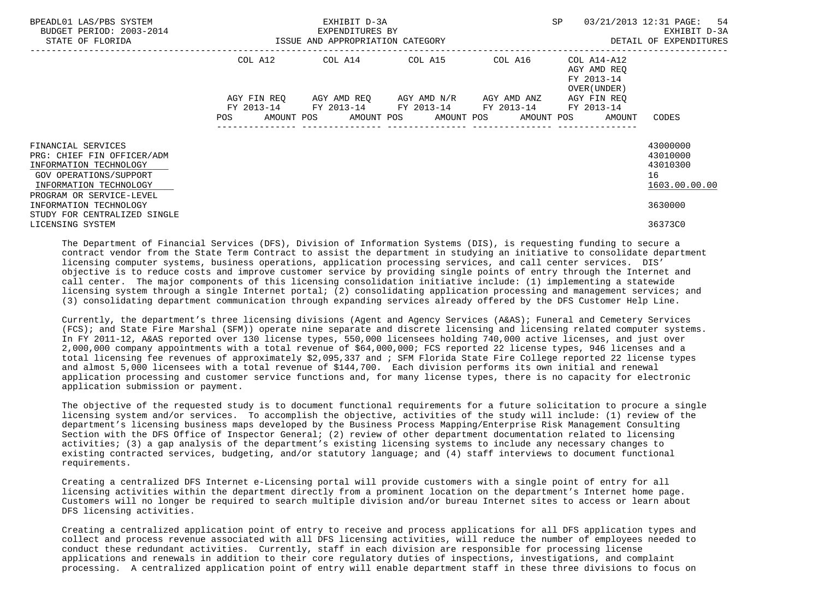| BPEADL01 LAS/PBS SYSTEM<br>BUDGET PERIOD: 2003-2014<br>STATE OF FLORIDA                                                                                                                                                                  | ISSUE AND APPROPRIATION CATEGORY | EXHIBIT D-3A<br>EXPENDITURES BY             | <b>SP</b>               | 03/21/2013 12:31 PAGE: 54<br>EXHIBIT D-3A<br>DETAIL OF EXPENDITURES |                                                                                 |                                                                               |
|------------------------------------------------------------------------------------------------------------------------------------------------------------------------------------------------------------------------------------------|----------------------------------|---------------------------------------------|-------------------------|---------------------------------------------------------------------|---------------------------------------------------------------------------------|-------------------------------------------------------------------------------|
|                                                                                                                                                                                                                                          |                                  | COL A12 COL A14 COL A15 COL A16             |                         |                                                                     | COL A14-A12<br>AGY AMD REO<br>FY 2013-14<br>OVER (UNDER)                        |                                                                               |
|                                                                                                                                                                                                                                          | AGY FIN REO<br>POS               | FY 2013-14 FY 2013-14 FY 2013-14 FY 2013-14 | AGY AMD REO AGY AMD N/R | AGY AMD ANZ                                                         | AGY FIN REO<br>FY 2013-14<br>AMOUNT POS AMOUNT POS AMOUNT POS AMOUNT POS AMOUNT | CODES                                                                         |
| FINANCIAL SERVICES<br>PRG: CHIEF FIN OFFICER/ADM<br>INFORMATION TECHNOLOGY<br>GOV OPERATIONS/SUPPORT<br>INFORMATION TECHNOLOGY<br>PROGRAM OR SERVICE-LEVEL<br>INFORMATION TECHNOLOGY<br>STUDY FOR CENTRALIZED SINGLE<br>LICENSING SYSTEM |                                  |                                             |                         |                                                                     |                                                                                 | 43000000<br>43010000<br>43010300<br>16<br>1603.00.00.00<br>3630000<br>36373C0 |

 The Department of Financial Services (DFS), Division of Information Systems (DIS), is requesting funding to secure a contract vendor from the State Term Contract to assist the department in studying an initiative to consolidate department licensing computer systems, business operations, application processing services, and call center services. DIS' objective is to reduce costs and improve customer service by providing single points of entry through the Internet and call center. The major components of this licensing consolidation initiative include: (1) implementing a statewide licensing system through a single Internet portal; (2) consolidating application processing and management services; and (3) consolidating department communication through expanding services already offered by the DFS Customer Help Line.

 Currently, the department's three licensing divisions (Agent and Agency Services (A&AS); Funeral and Cemetery Services (FCS); and State Fire Marshal (SFM)) operate nine separate and discrete licensing and licensing related computer systems. In FY 2011-12, A&AS reported over 130 license types, 550,000 licensees holding 740,000 active licenses, and just over 2,000,000 company appointments with a total revenue of \$64,000,000; FCS reported 22 license types, 946 licenses and a total licensing fee revenues of approximately \$2,095,337 and ; SFM Florida State Fire College reported 22 license types and almost 5,000 licensees with a total revenue of \$144,700. Each division performs its own initial and renewal application processing and customer service functions and, for many license types, there is no capacity for electronic application submission or payment.

 The objective of the requested study is to document functional requirements for a future solicitation to procure a single licensing system and/or services. To accomplish the objective, activities of the study will include: (1) review of the department's licensing business maps developed by the Business Process Mapping/Enterprise Risk Management Consulting Section with the DFS Office of Inspector General; (2) review of other department documentation related to licensing activities; (3) a gap analysis of the department's existing licensing systems to include any necessary changes to existing contracted services, budgeting, and/or statutory language; and (4) staff interviews to document functional requirements.

 Creating a centralized DFS Internet e-Licensing portal will provide customers with a single point of entry for all licensing activities within the department directly from a prominent location on the department's Internet home page. Customers will no longer be required to search multiple division and/or bureau Internet sites to access or learn about DFS licensing activities.

 Creating a centralized application point of entry to receive and process applications for all DFS application types and collect and process revenue associated with all DFS licensing activities, will reduce the number of employees needed to conduct these redundant activities. Currently, staff in each division are responsible for processing license applications and renewals in addition to their core regulatory duties of inspections, investigations, and complaint processing. A centralized application point of entry will enable department staff in these three divisions to focus on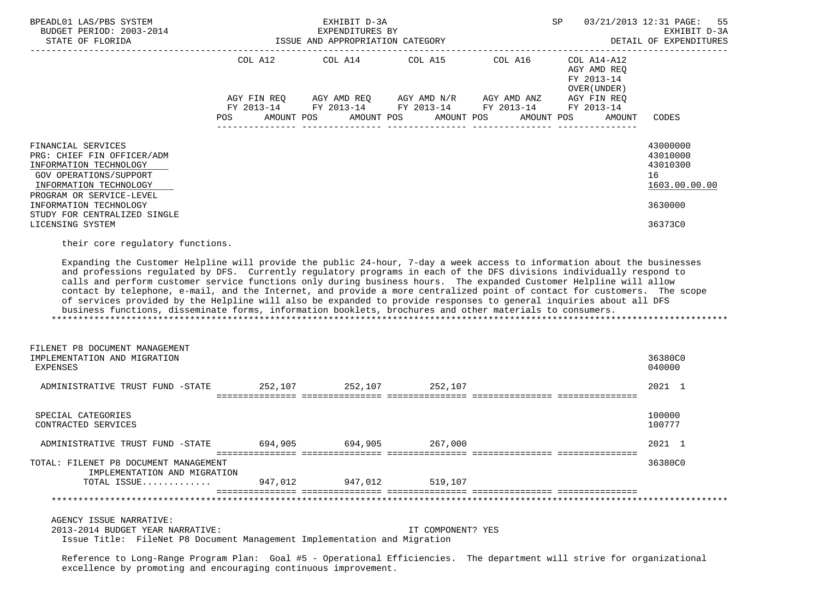| BPEADL01 LAS/PBS SYSTEM<br>BUDGET PERIOD: 2003-2014<br>STATE OF FLORIDA                                                                                                                                                                                                                                                                                                                                                                                                                                                                                                                                                                                                                                                                                                                                            | SP<br>03/21/2013 12:31 PAGE:<br>EXHIBIT D-3A<br>EXPENDITURES BY<br>ISSUE AND APPROPRIATION CATEGORY<br>DETAIL OF EXPENDITURES |                         |                   |                                                                                                                                                              |                                                                                    |                                                                               |  |
|--------------------------------------------------------------------------------------------------------------------------------------------------------------------------------------------------------------------------------------------------------------------------------------------------------------------------------------------------------------------------------------------------------------------------------------------------------------------------------------------------------------------------------------------------------------------------------------------------------------------------------------------------------------------------------------------------------------------------------------------------------------------------------------------------------------------|-------------------------------------------------------------------------------------------------------------------------------|-------------------------|-------------------|--------------------------------------------------------------------------------------------------------------------------------------------------------------|------------------------------------------------------------------------------------|-------------------------------------------------------------------------------|--|
|                                                                                                                                                                                                                                                                                                                                                                                                                                                                                                                                                                                                                                                                                                                                                                                                                    | AGY FIN REQ<br>AMOUNT POS<br><b>POS</b>                                                                                       |                         | AMOUNT POS        | COL A12 COL A14 COL A15 COL A16<br>AGY AMD REQ AGY AMD N/R AGY AMD ANZ<br>FY 2013-14 FY 2013-14 FY 2013-14 FY 2013-14 FY 2013-14<br>AMOUNT POS<br>AMOUNT POS | COL A14-A12<br>AGY AMD REQ<br>FY 2013-14<br>OVER (UNDER )<br>AGY FIN REQ<br>AMOUNT | CODES                                                                         |  |
| FINANCIAL SERVICES<br>PRG: CHIEF FIN OFFICER/ADM<br>INFORMATION TECHNOLOGY<br><b>GOV OPERATIONS/SUPPORT</b><br>INFORMATION TECHNOLOGY<br>PROGRAM OR SERVICE-LEVEL<br>INFORMATION TECHNOLOGY<br>STUDY FOR CENTRALIZED SINGLE<br>LICENSING SYSTEM                                                                                                                                                                                                                                                                                                                                                                                                                                                                                                                                                                    |                                                                                                                               |                         |                   |                                                                                                                                                              |                                                                                    | 43000000<br>43010000<br>43010300<br>16<br>1603.00.00.00<br>3630000<br>36373C0 |  |
| Expanding the Customer Helpline will provide the public 24-hour, 7-day a week access to information about the businesses<br>and professions regulated by DFS. Currently regulatory programs in each of the DFS divisions individually respond to<br>calls and perform customer service functions only during business hours. The expanded Customer Helpline will allow<br>contact by telephone, e-mail, and the Internet, and provide a more centralized point of contact for customers. The scope<br>of services provided by the Helpline will also be expanded to provide responses to general inquiries about all DFS<br>business functions, disseminate forms, information booklets, brochures and other materials to consumers.<br>FILENET P8 DOCUMENT MANAGEMENT<br>IMPLEMENTATION AND MIGRATION<br>EXPENSES |                                                                                                                               |                         |                   |                                                                                                                                                              |                                                                                    | 36380C0<br>040000                                                             |  |
| ADMINISTRATIVE TRUST FUND -STATE 252,107 252,107 252,107 252,107                                                                                                                                                                                                                                                                                                                                                                                                                                                                                                                                                                                                                                                                                                                                                   |                                                                                                                               |                         |                   |                                                                                                                                                              |                                                                                    | 2021 1                                                                        |  |
| SPECIAL CATEGORIES<br>CONTRACTED SERVICES<br>ADMINISTRATIVE TRUST FUND -STATE 694,905 694,905 694,905 267,000                                                                                                                                                                                                                                                                                                                                                                                                                                                                                                                                                                                                                                                                                                      |                                                                                                                               |                         |                   |                                                                                                                                                              |                                                                                    | 100000<br>100777<br>2021 1                                                    |  |
| TOTAL: FILENET P8 DOCUMENT MANAGEMENT<br>IMPLEMENTATION AND MIGRATION<br>TOTAL ISSUE                                                                                                                                                                                                                                                                                                                                                                                                                                                                                                                                                                                                                                                                                                                               |                                                                                                                               | 947,012 947,012 519,107 |                   |                                                                                                                                                              |                                                                                    | 36380C0                                                                       |  |
| AGENCY ISSUE NARRATIVE:<br>2013-2014 BUDGET YEAR NARRATIVE:<br>Issue Title: FileNet P8 Document Management Implementation and Migration<br>Reference to Long-Range Program Plan: Goal #5 - Operational Efficiencies. The department will strive for organizational                                                                                                                                                                                                                                                                                                                                                                                                                                                                                                                                                 |                                                                                                                               |                         | IT COMPONENT? YES |                                                                                                                                                              |                                                                                    |                                                                               |  |

excellence by promoting and encouraging continuous improvement.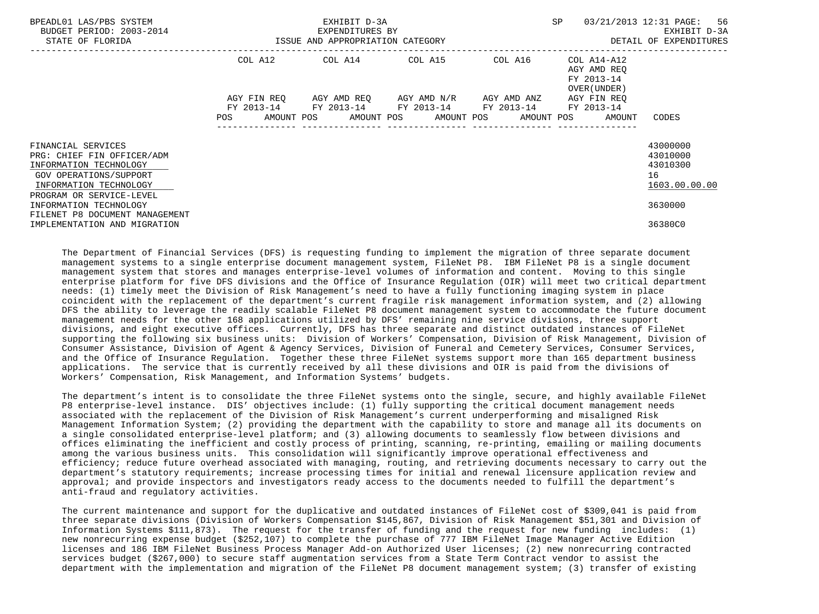| BPEADL01 LAS/PBS SYSTEM<br>BUDGET PERIOD: 2003-2014                                                                                                        | ISSUE AND APPROPRIATION CATEGORY | EXHIBIT D-3A<br>EXPENDITURES BY                        |                                     | SP | 03/21/2013 12:31 PAGE: 56<br>EXHIBIT D-3A                             |                                                         |
|------------------------------------------------------------------------------------------------------------------------------------------------------------|----------------------------------|--------------------------------------------------------|-------------------------------------|----|-----------------------------------------------------------------------|---------------------------------------------------------|
| STATE OF FLORIDA                                                                                                                                           |                                  |                                                        | DETAIL OF EXPENDITURES              |    |                                                                       |                                                         |
|                                                                                                                                                            |                                  | COL A12 COL A14 COL A15 COL A16                        |                                     |    | COL A14-A12<br>AGY AMD REO<br>FY 2013-14<br>OVER (UNDER )             |                                                         |
|                                                                                                                                                            | AGY FIN REO                      | FY 2013-14 FY 2013-14 FY 2013-14 FY 2013-14 FY 2013-14 | AGY AMD REO AGY AMD N/R AGY AMD ANZ |    | AGY FIN REO<br>POS AMOUNT POS AMOUNT POS AMOUNT POS AMOUNT POS AMOUNT | CODES                                                   |
|                                                                                                                                                            |                                  |                                                        |                                     |    |                                                                       |                                                         |
| FINANCIAL SERVICES<br>PRG: CHIEF FIN OFFICER/ADM<br>INFORMATION TECHNOLOGY<br>GOV OPERATIONS/SUPPORT<br>INFORMATION TECHNOLOGY<br>PROGRAM OR SERVICE-LEVEL |                                  |                                                        |                                     |    |                                                                       | 43000000<br>43010000<br>43010300<br>16<br>1603.00.00.00 |
| INFORMATION TECHNOLOGY                                                                                                                                     |                                  |                                                        |                                     |    |                                                                       | 3630000                                                 |
| FILENET P8 DOCUMENT MANAGEMENT<br>IMPLEMENTATION AND MIGRATION                                                                                             |                                  |                                                        |                                     |    |                                                                       | 36380C0                                                 |

 The Department of Financial Services (DFS) is requesting funding to implement the migration of three separate document management systems to a single enterprise document management system, FileNet P8. IBM FileNet P8 is a single document management system that stores and manages enterprise-level volumes of information and content. Moving to this single enterprise platform for five DFS divisions and the Office of Insurance Regulation (OIR) will meet two critical department needs: (1) timely meet the Division of Risk Management's need to have a fully functioning imaging system in place coincident with the replacement of the department's current fragile risk management information system, and (2) allowing DFS the ability to leverage the readily scalable FileNet P8 document management system to accommodate the future document management needs for the other 168 applications utilized by DFS' remaining nine service divisions, three support divisions, and eight executive offices. Currently, DFS has three separate and distinct outdated instances of FileNet supporting the following six business units: Division of Workers' Compensation, Division of Risk Management, Division of Consumer Assistance, Division of Agent & Agency Services, Division of Funeral and Cemetery Services, Consumer Services, and the Office of Insurance Regulation. Together these three FileNet systems support more than 165 department business applications. The service that is currently received by all these divisions and OIR is paid from the divisions of Workers' Compensation, Risk Management, and Information Systems' budgets.

 The department's intent is to consolidate the three FileNet systems onto the single, secure, and highly available FileNet P8 enterprise-level instance. DIS' objectives include: (1) fully supporting the critical document management needs associated with the replacement of the Division of Risk Management's current underperforming and misaligned Risk Management Information System; (2) providing the department with the capability to store and manage all its documents on a single consolidated enterprise-level platform; and (3) allowing documents to seamlessly flow between divisions and offices eliminating the inefficient and costly process of printing, scanning, re-printing, emailing or mailing documents among the various business units. This consolidation will significantly improve operational effectiveness and efficiency; reduce future overhead associated with managing, routing, and retrieving documents necessary to carry out the department's statutory requirements; increase processing times for initial and renewal licensure application review and approval; and provide inspectors and investigators ready access to the documents needed to fulfill the department's anti-fraud and regulatory activities.

 The current maintenance and support for the duplicative and outdated instances of FileNet cost of \$309,041 is paid from three separate divisions (Division of Workers Compensation \$145,867, Division of Risk Management \$51,301 and Division of Information Systems \$111,873). The request for the transfer of funding and the request for new funding includes: (1) new nonrecurring expense budget (\$252,107) to complete the purchase of 777 IBM FileNet Image Manager Active Edition licenses and 186 IBM FileNet Business Process Manager Add-on Authorized User licenses; (2) new nonrecurring contracted services budget (\$267,000) to secure staff augmentation services from a State Term Contract vendor to assist the department with the implementation and migration of the FileNet P8 document management system; (3) transfer of existing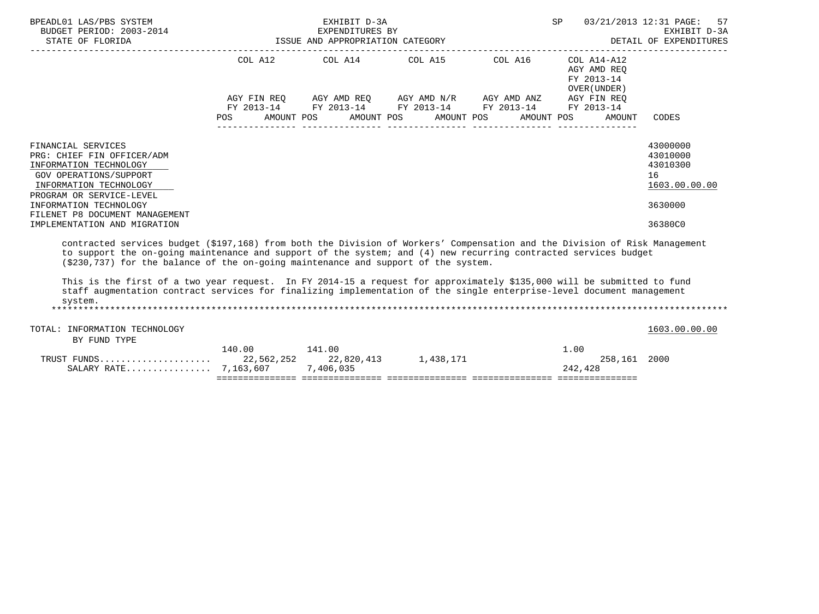| BPEADL01 LAS/PBS SYSTEM<br>BUDGET PERIOD: 2003-2014<br>STATE OF FLORIDA                                                                                    | -2014 EXPENDITURES BY<br>ISSUE AND APPROPRIATION CATEGORY | EXHIBIT D-3A<br>EXPENDITURES BY                                                                                                               | SP | 03/21/2013 12:31 PAGE: 57<br>EXHIBIT D-3A<br>DETAIL OF EXPENDITURES |                                                         |
|------------------------------------------------------------------------------------------------------------------------------------------------------------|-----------------------------------------------------------|-----------------------------------------------------------------------------------------------------------------------------------------------|----|---------------------------------------------------------------------|---------------------------------------------------------|
|                                                                                                                                                            |                                                           | COL A12 COL A14 COL A15 COL A16                                                                                                               |    | COL A14-A12<br>AGY AMD REO<br>FY 2013-14<br>OVER (UNDER)            |                                                         |
|                                                                                                                                                            | POS                                                       | AGY FIN REO AGY AMD REO AGY AMD N/R AGY AMD ANZ<br>FY 2013-14 FY 2013-14 FY 2013-14 FY 2013-14<br>AMOUNT POS AMOUNT POS AMOUNT POS AMOUNT POS |    | AGY FIN REO<br>FY 2013-14<br>AMOUNT                                 | CODES                                                   |
| FINANCIAL SERVICES<br>PRG: CHIEF FIN OFFICER/ADM<br>INFORMATION TECHNOLOGY<br>GOV OPERATIONS/SUPPORT<br>INFORMATION TECHNOLOGY<br>PROGRAM OR SERVICE-LEVEL |                                                           |                                                                                                                                               |    |                                                                     | 43000000<br>43010000<br>43010300<br>16<br>1603.00.00.00 |
| INFORMATION TECHNOLOGY<br>FILENET P8 DOCUMENT MANAGEMENT<br>IMPLEMENTATION AND MIGRATION                                                                   |                                                           |                                                                                                                                               |    |                                                                     | 3630000<br>36380C0                                      |
| contracted services budget (\$197,168) from both the Division of Workers' Compensation and the Division of Risk Management                                 |                                                           |                                                                                                                                               |    |                                                                     |                                                         |

 to support the on-going maintenance and support of the system; and (4) new recurring contracted services budget (\$230,737) for the balance of the on-going maintenance and support of the system.

 This is the first of a two year request. In FY 2014-15 a request for approximately \$135,000 will be submitted to fund staff augmentation contract services for finalizing implementation of the single enterprise-level document management system. \*\*\*\*\*\*\*\*\*\*\*\*\*\*\*\*\*\*\*\*\*\*\*\*\*\*\*\*\*\*\*\*\*\*\*\*\*\*\*\*\*\*\*\*\*\*\*\*\*\*\*\*\*\*\*\*\*\*\*\*\*\*\*\*\*\*\*\*\*\*\*\*\*\*\*\*\*\*\*\*\*\*\*\*\*\*\*\*\*\*\*\*\*\*\*\*\*\*\*\*\*\*\*\*\*\*\*\*\*\*\*\*\*\*\*\*\*\*\*\*\*\*\*\*\*\*\*

| TOTAL: INFORMATION TECHNOLOGY<br>BY FUND TYPE |        |        |           |                            | 1603.00.00.00 |
|-----------------------------------------------|--------|--------|-----------|----------------------------|---------------|
| SALARY RATE 7,163,607 7,406,035               | 140.00 | 141.00 | 1,438,171 | 1.00<br>258,161<br>242,428 | 2000          |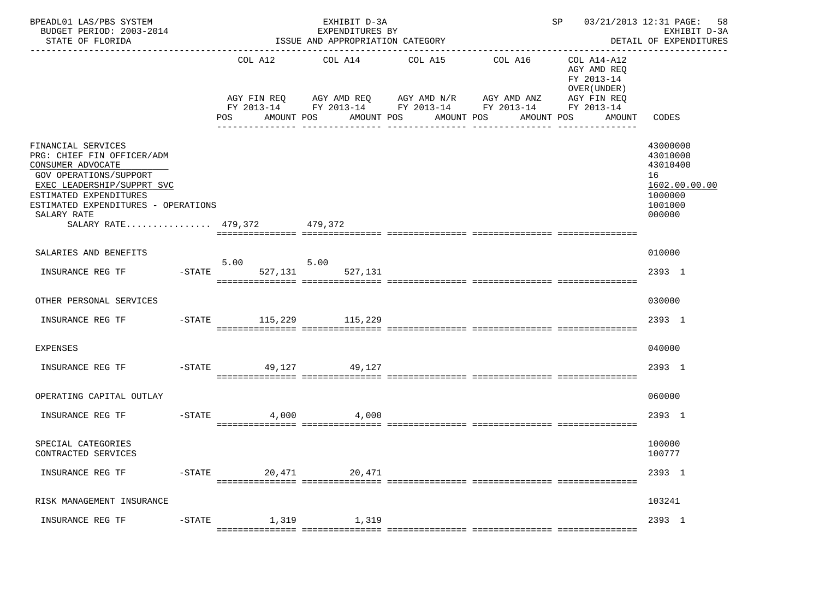| BPEADL01 LAS/PBS SYSTEM<br>BUDGET PERIOD: 2003-2014<br>STATE OF FLORIDA                                                                                                                                                                      |                |                              | EXHIBIT D-3A<br>EXPENDITURES BY<br>ISSUE AND APPROPRIATION CATEGORY<br>------------------------- |                                                                                                                                        | ----------------------------------- | SP 03/21/2013 12:31 PAGE:                                                                       | 58<br>EXHIBIT D-3A<br>DETAIL OF EXPENDITURES                                            |
|----------------------------------------------------------------------------------------------------------------------------------------------------------------------------------------------------------------------------------------------|----------------|------------------------------|--------------------------------------------------------------------------------------------------|----------------------------------------------------------------------------------------------------------------------------------------|-------------------------------------|-------------------------------------------------------------------------------------------------|-----------------------------------------------------------------------------------------|
|                                                                                                                                                                                                                                              |                | COL A12<br>POS<br>AMOUNT POS | COL A14<br>AMOUNT POS                                                                            | COL A15<br>AGY FIN REQ AGY AMD REQ AGY AMD N/R AGY AMD ANZ<br>FY 2013-14 FY 2013-14 FY 2013-14 FY 2013-14<br>AMOUNT POS<br>----------- | COL A16<br>AMOUNT POS               | COL A14-A12<br>AGY AMD REQ<br>FY 2013-14<br>OVER (UNDER)<br>AGY FIN REQ<br>FY 2013-14<br>AMOUNT | CODES                                                                                   |
| FINANCIAL SERVICES<br>PRG: CHIEF FIN OFFICER/ADM<br>CONSUMER ADVOCATE<br>GOV OPERATIONS/SUPPORT<br>EXEC LEADERSHIP/SUPPRT SVC<br>ESTIMATED EXPENDITURES<br>ESTIMATED EXPENDITURES - OPERATIONS<br>SALARY RATE<br>SALARY RATE 479,372 479,372 |                |                              |                                                                                                  |                                                                                                                                        |                                     |                                                                                                 | 43000000<br>43010000<br>43010400<br>16<br>1602.00.00.00<br>1000000<br>1001000<br>000000 |
| SALARIES AND BENEFITS                                                                                                                                                                                                                        |                |                              |                                                                                                  |                                                                                                                                        |                                     |                                                                                                 | 010000                                                                                  |
| INSURANCE REG TF                                                                                                                                                                                                                             | $-$ STATE      | 5.00<br>527,131              | 5.00<br>527,131                                                                                  |                                                                                                                                        |                                     |                                                                                                 | 2393 1                                                                                  |
| OTHER PERSONAL SERVICES                                                                                                                                                                                                                      |                |                              |                                                                                                  |                                                                                                                                        |                                     |                                                                                                 | 030000                                                                                  |
| INSURANCE REG TF                                                                                                                                                                                                                             |                | -STATE 115,229 115,229       |                                                                                                  |                                                                                                                                        |                                     |                                                                                                 | 2393 1                                                                                  |
| <b>EXPENSES</b>                                                                                                                                                                                                                              |                |                              |                                                                                                  |                                                                                                                                        |                                     |                                                                                                 | 040000                                                                                  |
| INSURANCE REG TF                                                                                                                                                                                                                             | $-$ STATE      | 49,127                       | 49,127                                                                                           |                                                                                                                                        |                                     |                                                                                                 | 2393 1                                                                                  |
| OPERATING CAPITAL OUTLAY                                                                                                                                                                                                                     |                |                              |                                                                                                  |                                                                                                                                        |                                     |                                                                                                 | 060000                                                                                  |
| INSURANCE REG TF                                                                                                                                                                                                                             | $-$ STATE      | 4,000                        | 4,000                                                                                            |                                                                                                                                        |                                     |                                                                                                 | 2393 1                                                                                  |
| SPECIAL CATEGORIES<br>CONTRACTED SERVICES                                                                                                                                                                                                    |                |                              |                                                                                                  |                                                                                                                                        |                                     |                                                                                                 | 100000<br>100777                                                                        |
| INSURANCE REG TF                                                                                                                                                                                                                             | $-$ STATE      | 20,471                       | 20,471                                                                                           |                                                                                                                                        |                                     |                                                                                                 | 2393 1                                                                                  |
| RISK MANAGEMENT INSURANCE                                                                                                                                                                                                                    |                |                              |                                                                                                  |                                                                                                                                        |                                     |                                                                                                 | 103241                                                                                  |
| INSURANCE REG TF                                                                                                                                                                                                                             | $-{\rm STATE}$ | 1,319                        | 1,319                                                                                            |                                                                                                                                        |                                     |                                                                                                 | 2393 1                                                                                  |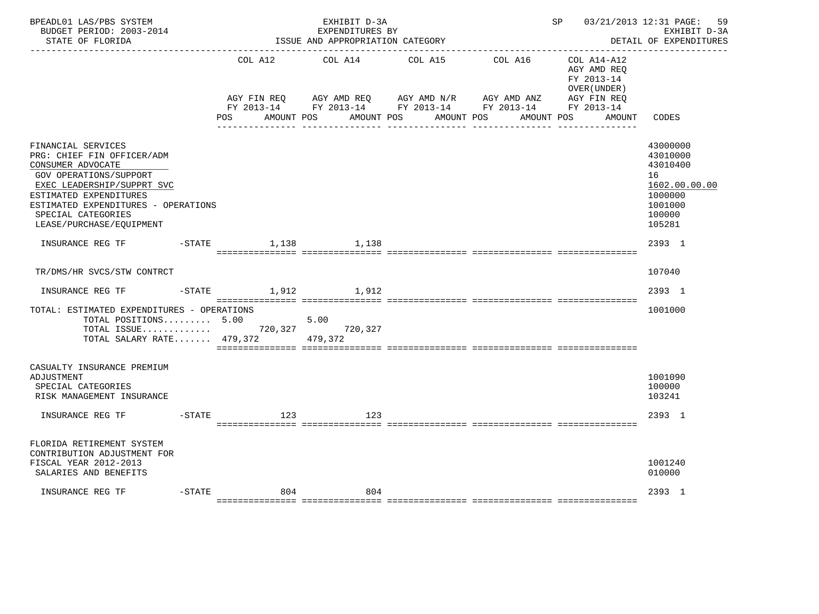| BPEADL01 LAS/PBS SYSTEM<br>BUDGET PERIOD: 2003-2014<br>STATE OF FLORIDA                                                                                                                                                                          |                        | EXHIBIT D-3A<br>EXPENDITURES BY<br>ISSUE AND APPROPRIATION CATEGORY |                                                                                                          |         | SP and the set of the set of the set of the set of the set of the set of the set of the set of the set of the set of the set of the set of the set of the set of the set of the set of the set of the set of the set of the se | 03/21/2013 12:31 PAGE:<br>59<br>EXHIBIT D-3A<br>DETAIL OF EXPENDITURES                            |
|--------------------------------------------------------------------------------------------------------------------------------------------------------------------------------------------------------------------------------------------------|------------------------|---------------------------------------------------------------------|----------------------------------------------------------------------------------------------------------|---------|--------------------------------------------------------------------------------------------------------------------------------------------------------------------------------------------------------------------------------|---------------------------------------------------------------------------------------------------|
|                                                                                                                                                                                                                                                  | COL A12<br>AGY FIN REO | COL A14                                                             | COL A15<br>AGY AMD REQ AGY AMD N/R AGY AMD ANZ<br>FY 2013-14 FY 2013-14 FY 2013-14 FY 2013-14 FY 2013-14 | COL A16 | COL A14-A12<br>AGY AMD REO<br>FY 2013-14<br>OVER (UNDER)<br>AGY FIN REO                                                                                                                                                        |                                                                                                   |
|                                                                                                                                                                                                                                                  | POS                    | AMOUNT POS                                                          | AMOUNT POS AMOUNT POS                                                                                    |         | AMOUNT POS<br>AMOUNT                                                                                                                                                                                                           | CODES                                                                                             |
| FINANCIAL SERVICES<br>PRG: CHIEF FIN OFFICER/ADM<br>CONSUMER ADVOCATE<br>GOV OPERATIONS/SUPPORT<br>EXEC LEADERSHIP/SUPPRT SVC<br>ESTIMATED EXPENDITURES<br>ESTIMATED EXPENDITURES - OPERATIONS<br>SPECIAL CATEGORIES<br>LEASE/PURCHASE/EQUIPMENT |                        |                                                                     |                                                                                                          |         |                                                                                                                                                                                                                                | 43000000<br>43010000<br>43010400<br>16<br>1602.00.00.00<br>1000000<br>1001000<br>100000<br>105281 |
| INSURANCE REG TF    -STATE    1.138    1.138                                                                                                                                                                                                     |                        |                                                                     |                                                                                                          |         |                                                                                                                                                                                                                                | 2393 1                                                                                            |
| TR/DMS/HR SVCS/STW CONTRCT                                                                                                                                                                                                                       |                        |                                                                     |                                                                                                          |         |                                                                                                                                                                                                                                | 107040                                                                                            |
| INSURANCE REG TF                                                                                                                                                                                                                                 | $-STATE$               | 1,912 1,912                                                         |                                                                                                          |         |                                                                                                                                                                                                                                | 2393 1                                                                                            |
| TOTAL: ESTIMATED EXPENDITURES - OPERATIONS<br>TOTAL POSITIONS 5.00<br>TOTAL ISSUE 720,327<br>TOTAL SALARY RATE 479,372 479,372                                                                                                                   |                        | 5.00<br>720,327                                                     |                                                                                                          |         |                                                                                                                                                                                                                                | 1001000                                                                                           |
| CASUALTY INSURANCE PREMIUM<br>ADJUSTMENT<br>SPECIAL CATEGORIES<br>RISK MANAGEMENT INSURANCE                                                                                                                                                      |                        |                                                                     |                                                                                                          |         |                                                                                                                                                                                                                                | 1001090<br>100000<br>103241                                                                       |
| $-$ STATE<br>INSURANCE REG TF                                                                                                                                                                                                                    | 123                    | 123                                                                 |                                                                                                          |         |                                                                                                                                                                                                                                | 2393 1                                                                                            |
| FLORIDA RETIREMENT SYSTEM<br>CONTRIBUTION ADJUSTMENT FOR<br>FISCAL YEAR 2012-2013<br>SALARIES AND BENEFITS                                                                                                                                       |                        |                                                                     |                                                                                                          |         |                                                                                                                                                                                                                                | 1001240<br>010000                                                                                 |
| $-$ STATE<br>INSURANCE REG TF                                                                                                                                                                                                                    | 804                    | 804                                                                 |                                                                                                          |         |                                                                                                                                                                                                                                | 2393 1                                                                                            |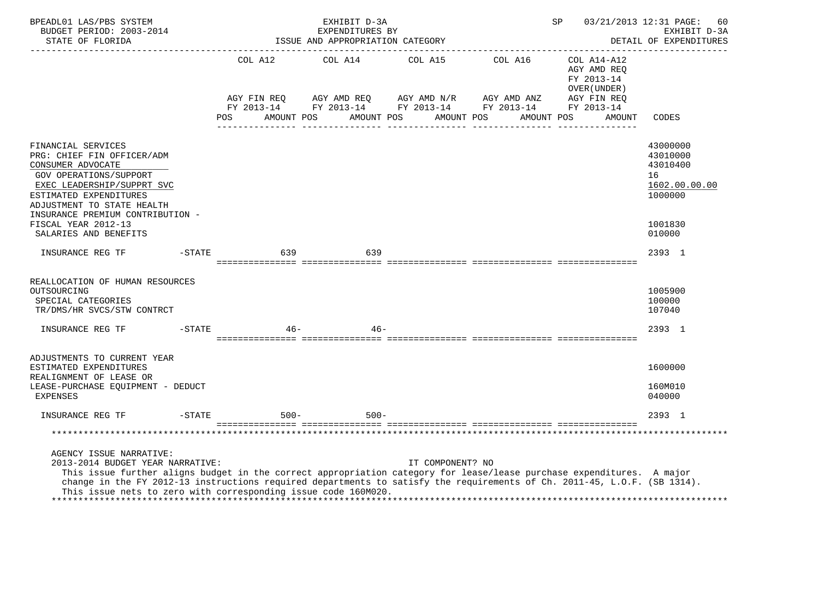| BPEADL01 LAS/PBS SYSTEM<br>BUDGET PERIOD: 2003-2014<br>STATE OF FLORIDA<br>_____________________                                                                                                                                                                                                                                                                                   |           |             | EXHIBIT D-3A<br>EXPENDITURES BY<br>ISSUE AND APPROPRIATION CATEGORY |                                                                                                                                     | SP                                                       | 03/21/2013 12:31 PAGE:<br>60<br>EXHIBIT D-3A<br>DETAIL OF EXPENDITURES                  |
|------------------------------------------------------------------------------------------------------------------------------------------------------------------------------------------------------------------------------------------------------------------------------------------------------------------------------------------------------------------------------------|-----------|-------------|---------------------------------------------------------------------|-------------------------------------------------------------------------------------------------------------------------------------|----------------------------------------------------------|-----------------------------------------------------------------------------------------|
|                                                                                                                                                                                                                                                                                                                                                                                    |           | AGY FIN REQ |                                                                     | COL A12 COL A14 COL A15 COL A16                                                                                                     | COL A14-A12<br>AGY AMD REO<br>FY 2013-14<br>OVER (UNDER) |                                                                                         |
|                                                                                                                                                                                                                                                                                                                                                                                    |           | <b>POS</b>  |                                                                     | AGY AMD REQ AGY AMD $N/R$ AGY AMD ANZ<br>FY 2013-14 FY 2013-14 FY 2013-14 FY 2013-14 FY 2013-14<br>AMOUNT POS AMOUNT POS AMOUNT POS | AGY FIN REQ<br>AMOUNT POS<br>AMOUNT                      | CODES                                                                                   |
| FINANCIAL SERVICES<br>PRG: CHIEF FIN OFFICER/ADM<br>CONSUMER ADVOCATE<br><b>GOV OPERATIONS/SUPPORT</b><br>EXEC LEADERSHIP/SUPPRT SVC<br>ESTIMATED EXPENDITURES<br>ADJUSTMENT TO STATE HEALTH<br>INSURANCE PREMIUM CONTRIBUTION -<br>FISCAL YEAR 2012-13<br>SALARIES AND BENEFITS                                                                                                   |           |             |                                                                     |                                                                                                                                     |                                                          | 43000000<br>43010000<br>43010400<br>16<br>1602.00.00.00<br>1000000<br>1001830<br>010000 |
| INSURANCE REG TF                                                                                                                                                                                                                                                                                                                                                                   | $-$ STATE | 639         | 639                                                                 |                                                                                                                                     |                                                          | 2393 1                                                                                  |
| REALLOCATION OF HUMAN RESOURCES<br>OUTSOURCING<br>SPECIAL CATEGORIES<br>TR/DMS/HR SVCS/STW CONTRCT                                                                                                                                                                                                                                                                                 |           |             |                                                                     |                                                                                                                                     |                                                          | 1005900<br>100000<br>107040                                                             |
| INSURANCE REG TF                                                                                                                                                                                                                                                                                                                                                                   | $-$ STATE | 46-         | $46 -$                                                              |                                                                                                                                     |                                                          | 2393 1                                                                                  |
| ADJUSTMENTS TO CURRENT YEAR<br>ESTIMATED EXPENDITURES<br>REALIGNMENT OF LEASE OR<br>LEASE-PURCHASE EQUIPMENT - DEDUCT<br><b>EXPENSES</b>                                                                                                                                                                                                                                           |           |             |                                                                     |                                                                                                                                     |                                                          | 1600000<br>160M010<br>040000                                                            |
| INSURANCE REG TF                                                                                                                                                                                                                                                                                                                                                                   | $-$ STATE | $500 -$     | $500 -$                                                             |                                                                                                                                     |                                                          | 2393 1                                                                                  |
|                                                                                                                                                                                                                                                                                                                                                                                    |           |             |                                                                     |                                                                                                                                     |                                                          |                                                                                         |
| AGENCY ISSUE NARRATIVE:<br>2013-2014 BUDGET YEAR NARRATIVE:<br>This issue further aligns budget in the correct appropriation category for lease/lease purchase expenditures. A major<br>change in the FY 2012-13 instructions required departments to satisfy the requirements of Ch. 2011-45, L.O.F. (SB 1314).<br>This issue nets to zero with corresponding issue code 160M020. |           |             |                                                                     | IT COMPONENT? NO                                                                                                                    |                                                          |                                                                                         |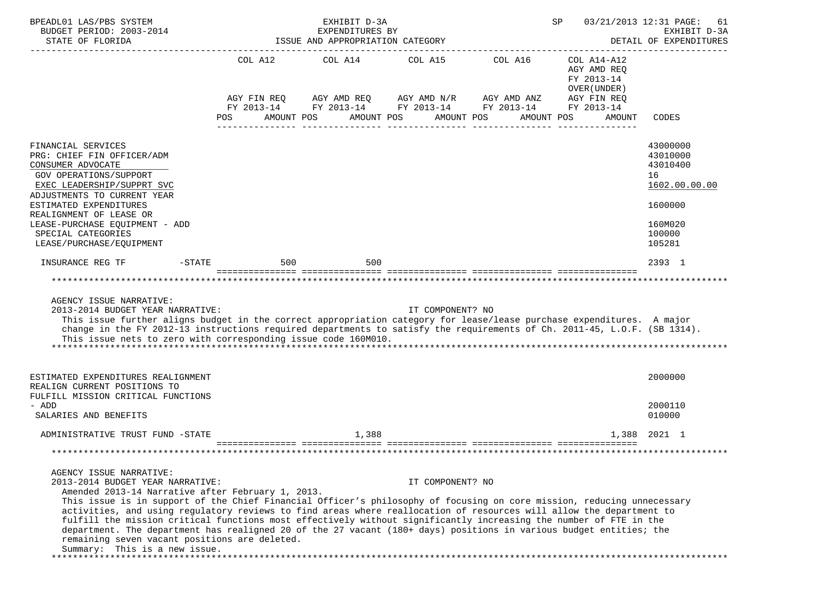| BPEADL01 LAS/PBS SYSTEM<br>BUDGET PERIOD: 2003-2014<br>STATE OF FLORIDA<br>______________________                                                                                                                                                                                                                                                                                                                                                                                                                                                                                                                                                                   |                                             | EXHIBIT D-3A<br>EXPENDITURES BY<br>ISSUE AND APPROPRIATION CATEGORY |                                             |                                                           | SP                                                                                              | 03/21/2013 12:31 PAGE:<br>61<br>EXHIBIT D-3A<br>DETAIL OF EXPENDITURES                            |
|---------------------------------------------------------------------------------------------------------------------------------------------------------------------------------------------------------------------------------------------------------------------------------------------------------------------------------------------------------------------------------------------------------------------------------------------------------------------------------------------------------------------------------------------------------------------------------------------------------------------------------------------------------------------|---------------------------------------------|---------------------------------------------------------------------|---------------------------------------------|-----------------------------------------------------------|-------------------------------------------------------------------------------------------------|---------------------------------------------------------------------------------------------------|
|                                                                                                                                                                                                                                                                                                                                                                                                                                                                                                                                                                                                                                                                     | COL A12<br>AGY FIN REQ<br>POS<br>AMOUNT POS | COL A14<br>AGY AMD REQ AGY AMD N/R AGY AMD ANZ                      | COL A15 COL A16<br>AMOUNT POS<br>AMOUNT POS | FY 2013-14 FY 2013-14 FY 2013-14 FY 2013-14<br>AMOUNT POS | COL A14-A12<br>AGY AMD REQ<br>FY 2013-14<br>OVER (UNDER)<br>AGY FIN REQ<br>FY 2013-14<br>AMOUNT | CODES                                                                                             |
| FINANCIAL SERVICES<br>PRG: CHIEF FIN OFFICER/ADM<br>CONSUMER ADVOCATE<br><b>GOV OPERATIONS/SUPPORT</b><br>EXEC LEADERSHIP/SUPPRT SVC<br>ADJUSTMENTS TO CURRENT YEAR<br>ESTIMATED EXPENDITURES<br>REALIGNMENT OF LEASE OR<br>LEASE-PURCHASE EQUIPMENT - ADD<br>SPECIAL CATEGORIES<br>LEASE/PURCHASE/EQUIPMENT                                                                                                                                                                                                                                                                                                                                                        |                                             |                                                                     |                                             |                                                           |                                                                                                 | 43000000<br>43010000<br>43010400<br>16<br>1602.00.00.00<br>1600000<br>160M020<br>100000<br>105281 |
| INSURANCE REG TF<br>$-STATE$                                                                                                                                                                                                                                                                                                                                                                                                                                                                                                                                                                                                                                        | 500                                         | 500                                                                 |                                             |                                                           |                                                                                                 | 2393 1                                                                                            |
| AGENCY ISSUE NARRATIVE:<br>2013-2014 BUDGET YEAR NARRATIVE:<br>This issue further aligns budget in the correct appropriation category for lease/lease purchase expenditures. A major<br>change in the FY 2012-13 instructions required departments to satisfy the requirements of Ch. 2011-45, L.O.F. (SB 1314).<br>This issue nets to zero with corresponding issue code 160M010.                                                                                                                                                                                                                                                                                  |                                             |                                                                     | IT COMPONENT? NO                            |                                                           |                                                                                                 |                                                                                                   |
| ESTIMATED EXPENDITURES REALIGNMENT<br>REALIGN CURRENT POSITIONS TO<br>FULFILL MISSION CRITICAL FUNCTIONS<br>- ADD                                                                                                                                                                                                                                                                                                                                                                                                                                                                                                                                                   |                                             |                                                                     |                                             |                                                           |                                                                                                 | 2000000<br>2000110                                                                                |
| SALARIES AND BENEFITS                                                                                                                                                                                                                                                                                                                                                                                                                                                                                                                                                                                                                                               |                                             |                                                                     |                                             |                                                           |                                                                                                 | 010000                                                                                            |
| ADMINISTRATIVE TRUST FUND -STATE                                                                                                                                                                                                                                                                                                                                                                                                                                                                                                                                                                                                                                    |                                             | 1,388                                                               |                                             |                                                           | 1,388                                                                                           | 2021 1                                                                                            |
| AGENCY ISSUE NARRATIVE:                                                                                                                                                                                                                                                                                                                                                                                                                                                                                                                                                                                                                                             |                                             |                                                                     |                                             |                                                           |                                                                                                 |                                                                                                   |
| 2013-2014 BUDGET YEAR NARRATIVE:<br>Amended 2013-14 Narrative after February 1, 2013.<br>This issue is in support of the Chief Financial Officer's philosophy of focusing on core mission, reducing unnecessary<br>activities, and using regulatory reviews to find areas where reallocation of resources will allow the department to<br>fulfill the mission critical functions most effectively without significantly increasing the number of FTE in the<br>department. The department has realigned 20 of the 27 vacant (180+ days) positions in various budget entities; the<br>remaining seven vacant positions are deleted.<br>Summary: This is a new issue. |                                             |                                                                     | IT COMPONENT? NO                            |                                                           |                                                                                                 |                                                                                                   |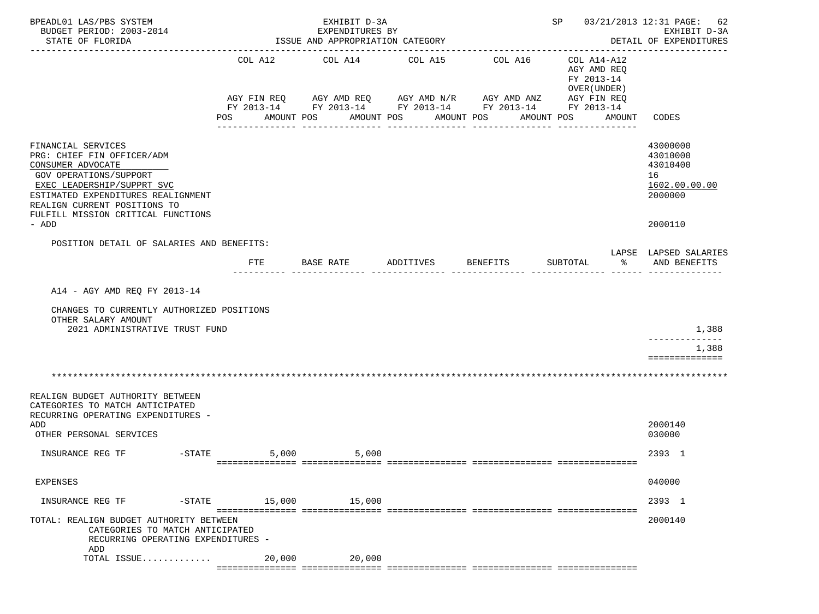| BPEADL01 LAS/PBS SYSTEM<br>BUDGET PERIOD: 2003-2014<br>STATE OF FLORIDA                                                                                                                                                                            |                                             | EXHIBIT D-3A<br>EXPENDITURES BY<br>ISSUE AND APPROPRIATION CATEGORY |                                                                       |                                                                                                                  | SP 03/21/2013 12:31 PAGE:                                                         | 62<br>EXHIBIT D-3A<br>DETAIL OF EXPENDITURES<br>-------------                 |
|----------------------------------------------------------------------------------------------------------------------------------------------------------------------------------------------------------------------------------------------------|---------------------------------------------|---------------------------------------------------------------------|-----------------------------------------------------------------------|------------------------------------------------------------------------------------------------------------------|-----------------------------------------------------------------------------------|-------------------------------------------------------------------------------|
|                                                                                                                                                                                                                                                    | COL A12<br>AGY FIN REQ<br>POS<br>AMOUNT POS | COL A14                                                             | COL A15<br>AGY AMD REQ      AGY AMD N/R     AGY AMD ANZ<br>AMOUNT POS | COL A16<br>FY 2013-14 FY 2013-14 FY 2013-14 FY 2013-14 FY 2013-14<br>AMOUNT POS<br>AMOUNT POS<br>--------------- | COL A14-A12<br>AGY AMD REQ<br>FY 2013-14<br>OVER (UNDER)<br>AGY FIN REQ<br>AMOUNT | CODES                                                                         |
| FINANCIAL SERVICES<br>PRG: CHIEF FIN OFFICER/ADM<br>CONSUMER ADVOCATE<br>GOV OPERATIONS/SUPPORT<br>EXEC LEADERSHIP/SUPPRT SVC<br>ESTIMATED EXPENDITURES REALIGNMENT<br>REALIGN CURRENT POSITIONS TO<br>FULFILL MISSION CRITICAL FUNCTIONS<br>- ADD |                                             |                                                                     |                                                                       |                                                                                                                  |                                                                                   | 43000000<br>43010000<br>43010400<br>16<br>1602.00.00.00<br>2000000<br>2000110 |
| POSITION DETAIL OF SALARIES AND BENEFITS:                                                                                                                                                                                                          |                                             |                                                                     |                                                                       |                                                                                                                  |                                                                                   |                                                                               |
|                                                                                                                                                                                                                                                    | <b>FTE</b>                                  | BASE RATE                                                           | ADDITIVES                                                             | BENEFITS                                                                                                         | SUBTOTAL<br>ႜೢ                                                                    | LAPSE LAPSED SALARIES<br>AND BENEFITS                                         |
| A14 - AGY AMD REQ FY 2013-14<br>CHANGES TO CURRENTLY AUTHORIZED POSITIONS<br>OTHER SALARY AMOUNT<br>2021 ADMINISTRATIVE TRUST FUND                                                                                                                 |                                             |                                                                     |                                                                       |                                                                                                                  |                                                                                   | 1,388<br>. _ _ _ _ _ _ _ _ _ _ _ _ _<br>1,388<br>==============               |
|                                                                                                                                                                                                                                                    |                                             |                                                                     |                                                                       |                                                                                                                  |                                                                                   |                                                                               |
| REALIGN BUDGET AUTHORITY BETWEEN<br>CATEGORIES TO MATCH ANTICIPATED<br>RECURRING OPERATING EXPENDITURES -<br>ADD<br>OTHER PERSONAL SERVICES                                                                                                        |                                             |                                                                     |                                                                       |                                                                                                                  |                                                                                   | 2000140<br>030000                                                             |
| $-STATE$<br>INSURANCE REG TF                                                                                                                                                                                                                       | 5,000                                       | 5,000                                                               |                                                                       |                                                                                                                  |                                                                                   | 2393 1                                                                        |
| EXPENSES                                                                                                                                                                                                                                           |                                             |                                                                     |                                                                       |                                                                                                                  |                                                                                   | 040000                                                                        |
| INSURANCE REG TF                                                                                                                                                                                                                                   | -STATE 15,000 15,000                        |                                                                     |                                                                       |                                                                                                                  |                                                                                   | 2393 1                                                                        |
| TOTAL: REALIGN BUDGET AUTHORITY BETWEEN<br>CATEGORIES TO MATCH ANTICIPATED<br>RECURRING OPERATING EXPENDITURES -                                                                                                                                   |                                             |                                                                     |                                                                       |                                                                                                                  |                                                                                   | 2000140                                                                       |
| ADD<br>TOTAL ISSUE                                                                                                                                                                                                                                 |                                             | 20,000 20,000                                                       |                                                                       |                                                                                                                  |                                                                                   |                                                                               |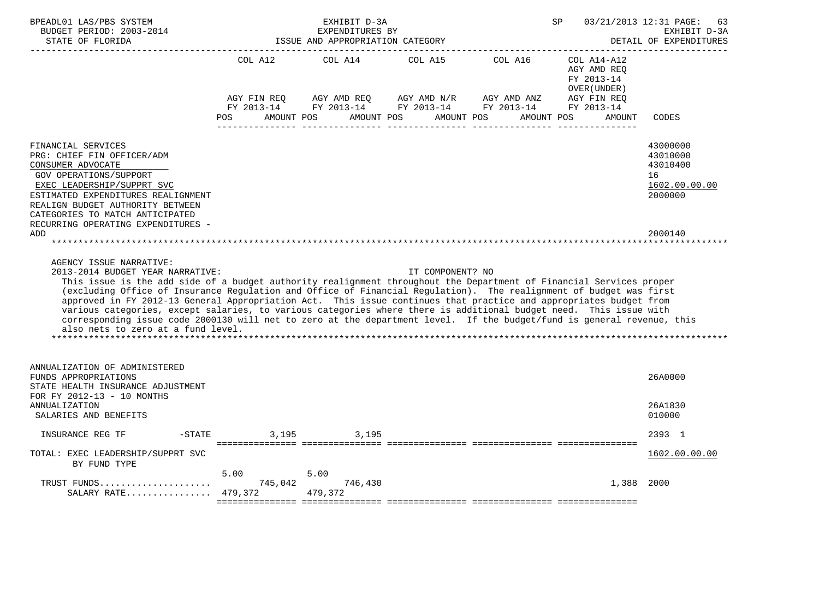| BPEADL01 LAS/PBS SYSTEM<br>BUDGET PERIOD: 2003-2014<br>STATE OF FLORIDA                                                                                                                                                                                                                                                                                                                                                                                                                                                                                                                                                                                                                                                                                                                                                                                                                                                                                                                                       |                                             | EXHIBIT D-3A<br>EXPENDITURES BY<br>ISSUE AND APPROPRIATION CATEGORY |                       | ___________________________________                                                                            | SP                                                                                              | 03/21/2013 12:31 PAGE:<br>63<br>EXHIBIT D-3A<br>DETAIL OF EXPENDITURES        |
|---------------------------------------------------------------------------------------------------------------------------------------------------------------------------------------------------------------------------------------------------------------------------------------------------------------------------------------------------------------------------------------------------------------------------------------------------------------------------------------------------------------------------------------------------------------------------------------------------------------------------------------------------------------------------------------------------------------------------------------------------------------------------------------------------------------------------------------------------------------------------------------------------------------------------------------------------------------------------------------------------------------|---------------------------------------------|---------------------------------------------------------------------|-----------------------|----------------------------------------------------------------------------------------------------------------|-------------------------------------------------------------------------------------------------|-------------------------------------------------------------------------------|
|                                                                                                                                                                                                                                                                                                                                                                                                                                                                                                                                                                                                                                                                                                                                                                                                                                                                                                                                                                                                               | COL A12<br>AGY FIN REO<br>FY 2013-14<br>POS | COL A14<br>AMOUNT POS                                               | COL A15<br>AMOUNT POS | COL A16<br>AGY AMD REQ AGY AMD N/R AGY AMD ANZ<br>FY 2013-14 FY 2013-14 FY 2013-14<br>AMOUNT POS<br>AMOUNT POS | COL A14-A12<br>AGY AMD REO<br>FY 2013-14<br>OVER (UNDER)<br>AGY FIN REO<br>FY 2013-14<br>AMOUNT | CODES                                                                         |
| FINANCIAL SERVICES<br>PRG: CHIEF FIN OFFICER/ADM<br>CONSUMER ADVOCATE<br>GOV OPERATIONS/SUPPORT<br>EXEC LEADERSHIP/SUPPRT SVC<br>ESTIMATED EXPENDITURES REALIGNMENT<br>REALIGN BUDGET AUTHORITY BETWEEN<br>CATEGORIES TO MATCH ANTICIPATED<br>RECURRING OPERATING EXPENDITURES -<br>ADD<br>AGENCY ISSUE NARRATIVE:<br>2013-2014 BUDGET YEAR NARRATIVE:<br>This issue is the add side of a budget authority realignment throughout the Department of Financial Services proper<br>(excluding Office of Insurance Regulation and Office of Financial Regulation). The realignment of budget was first<br>approved in FY 2012-13 General Appropriation Act. This issue continues that practice and appropriates budget from<br>various categories, except salaries, to various categories where there is additional budget need. This issue with<br>corresponding issue code 2000130 will net to zero at the department level. If the budget/fund is general revenue, this<br>also nets to zero at a fund level. |                                             |                                                                     | IT COMPONENT? NO      |                                                                                                                |                                                                                                 | 43000000<br>43010000<br>43010400<br>16<br>1602.00.00.00<br>2000000<br>2000140 |
|                                                                                                                                                                                                                                                                                                                                                                                                                                                                                                                                                                                                                                                                                                                                                                                                                                                                                                                                                                                                               |                                             |                                                                     |                       |                                                                                                                |                                                                                                 |                                                                               |
| ANNUALIZATION OF ADMINISTERED<br>FUNDS APPROPRIATIONS<br>STATE HEALTH INSURANCE ADJUSTMENT<br>FOR FY 2012-13 - 10 MONTHS                                                                                                                                                                                                                                                                                                                                                                                                                                                                                                                                                                                                                                                                                                                                                                                                                                                                                      |                                             |                                                                     |                       |                                                                                                                |                                                                                                 | 26A0000                                                                       |
| <b>ANNUALIZATION</b><br>SALARIES AND BENEFITS                                                                                                                                                                                                                                                                                                                                                                                                                                                                                                                                                                                                                                                                                                                                                                                                                                                                                                                                                                 |                                             |                                                                     |                       |                                                                                                                |                                                                                                 | 26A1830<br>010000                                                             |
| INSURANCE REG TF<br>$-$ STATE                                                                                                                                                                                                                                                                                                                                                                                                                                                                                                                                                                                                                                                                                                                                                                                                                                                                                                                                                                                 | 3,195                                       | 3,195                                                               |                       |                                                                                                                |                                                                                                 | 2393 1                                                                        |
| TOTAL: EXEC LEADERSHIP/SUPPRT SVC<br>BY FUND TYPE                                                                                                                                                                                                                                                                                                                                                                                                                                                                                                                                                                                                                                                                                                                                                                                                                                                                                                                                                             |                                             |                                                                     |                       |                                                                                                                |                                                                                                 | 1602.00.00.00                                                                 |
| TRUST FUNDS<br>SALARY RATE $479,372$                                                                                                                                                                                                                                                                                                                                                                                                                                                                                                                                                                                                                                                                                                                                                                                                                                                                                                                                                                          | 5.00<br>745,042                             | 5.00<br>746,430<br>479.372                                          |                       |                                                                                                                | 1,388                                                                                           | 2000                                                                          |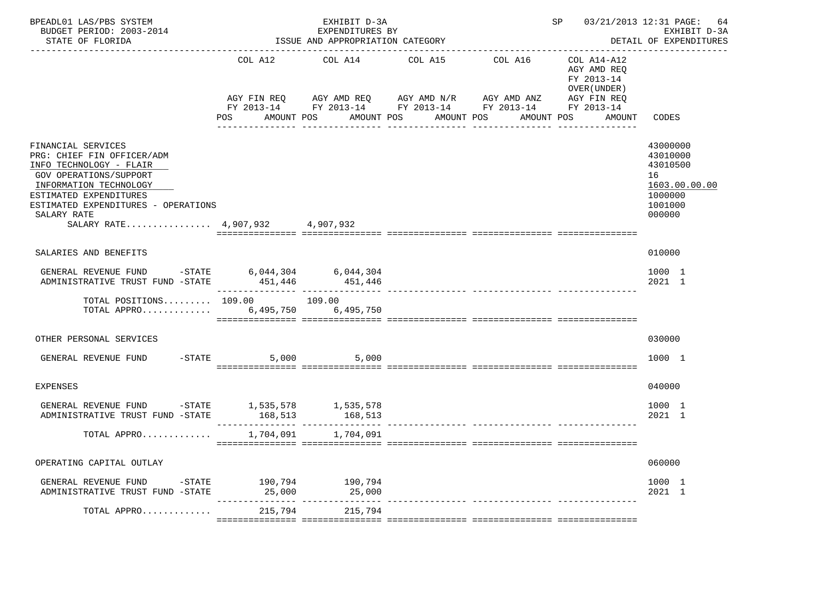| BPEADL01 LAS/PBS SYSTEM<br>BUDGET PERIOD: 2003-2014<br>STATE OF FLORIDA                                                                                                                                                                                   | EXHIBIT D-3A<br>EXPENDITURES BY<br>ISSUE AND APPROPRIATION CATEGORY<br>----------------------- |                 |                                                                                                                                      |                       | 03/21/2013 12:31 PAGE:<br>SP<br>64<br>EXHIBIT D-3A<br>DETAIL OF EXPENDITURES      |                                                                                         |  |
|-----------------------------------------------------------------------------------------------------------------------------------------------------------------------------------------------------------------------------------------------------------|------------------------------------------------------------------------------------------------|-----------------|--------------------------------------------------------------------------------------------------------------------------------------|-----------------------|-----------------------------------------------------------------------------------|-----------------------------------------------------------------------------------------|--|
|                                                                                                                                                                                                                                                           | COL A12<br>AGY FIN REQ<br>POS FOR<br>AMOUNT POS                                                | COL A14         | COL A15<br>AGY AMD REQ AGY AMD N/R AGY AMD ANZ<br>FY 2013-14 FY 2013-14 FY 2013-14 FY 2013-14 FY 2013-14<br>AMOUNT POS<br>AMOUNT POS | COL A16<br>AMOUNT POS | COL A14-A12<br>AGY AMD REO<br>FY 2013-14<br>OVER (UNDER)<br>AGY FIN REQ<br>AMOUNT | CODES                                                                                   |  |
| FINANCIAL SERVICES<br>PRG: CHIEF FIN OFFICER/ADM<br>INFO TECHNOLOGY - FLAIR<br><b>GOV OPERATIONS/SUPPORT</b><br>INFORMATION TECHNOLOGY<br>ESTIMATED EXPENDITURES<br>ESTIMATED EXPENDITURES - OPERATIONS<br>SALARY RATE<br>SALARY RATE 4,907,932 4,907,932 |                                                                                                |                 |                                                                                                                                      |                       |                                                                                   | 43000000<br>43010000<br>43010500<br>16<br>1603.00.00.00<br>1000000<br>1001000<br>000000 |  |
| SALARIES AND BENEFITS                                                                                                                                                                                                                                     |                                                                                                |                 |                                                                                                                                      |                       |                                                                                   | 010000                                                                                  |  |
| GENERAL REVENUE FUND -STATE 6,044,304 6,044,304<br>ADMINISTRATIVE TRUST FUND -STATE                                                                                                                                                                       |                                                                                                | 451,446 451,446 |                                                                                                                                      |                       |                                                                                   | 1000 1<br>2021 1                                                                        |  |
| TOTAL POSITIONS 109.00 109.00<br>TOTAL APPRO 6,495,750 6,495,750                                                                                                                                                                                          |                                                                                                |                 |                                                                                                                                      |                       |                                                                                   |                                                                                         |  |
| OTHER PERSONAL SERVICES                                                                                                                                                                                                                                   |                                                                                                |                 |                                                                                                                                      |                       |                                                                                   | 030000                                                                                  |  |
| GENERAL REVENUE FUND                                                                                                                                                                                                                                      | $-$ STATE 5,000 5,000                                                                          |                 |                                                                                                                                      |                       |                                                                                   | 1000 1                                                                                  |  |
| <b>EXPENSES</b>                                                                                                                                                                                                                                           |                                                                                                |                 |                                                                                                                                      |                       |                                                                                   | 040000                                                                                  |  |
| GENERAL REVENUE FUND $-$ STATE 1,535,578 1,535,578<br>ADMINISTRATIVE TRUST FUND -STATE                                                                                                                                                                    | 168,513                                                                                        | 168,513         |                                                                                                                                      |                       |                                                                                   | 1000 1<br>$2021$ 1                                                                      |  |
| TOTAL APPRO                                                                                                                                                                                                                                               | 1,704,091                                                                                      | 1,704,091       |                                                                                                                                      |                       |                                                                                   |                                                                                         |  |
| OPERATING CAPITAL OUTLAY                                                                                                                                                                                                                                  |                                                                                                |                 |                                                                                                                                      |                       |                                                                                   | 060000                                                                                  |  |
| GENERAL REVENUE FUND -STATE 190,794 190,794<br>ADMINISTRATIVE TRUST FUND -STATE                                                                                                                                                                           |                                                                                                |                 |                                                                                                                                      |                       |                                                                                   | 1000 1<br>2021 1                                                                        |  |
| TOTAL APPRO                                                                                                                                                                                                                                               | 215,794                                                                                        | 215,794         |                                                                                                                                      |                       |                                                                                   |                                                                                         |  |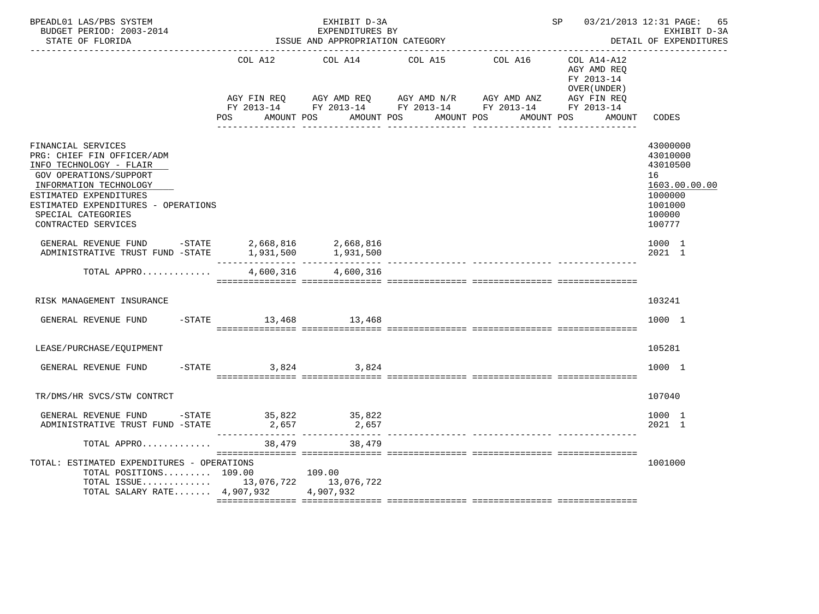| BPEADL01 LAS/PBS SYSTEM<br>BUDGET PERIOD: 2003-2014<br>STATE OF FLORIDA                                                                                                                                                                              | EXHIBIT D-3A<br>EXPENDITURES BY<br>ISSUE AND APPROPRIATION CATEGORY<br>----------------------------- |                                                                                                                    |                       |         | SP 03/21/2013 12:31 PAGE:<br>65<br>EXHIBIT D-3A<br>DETAIL OF EXPENDITURES |                                                                                                   |  |
|------------------------------------------------------------------------------------------------------------------------------------------------------------------------------------------------------------------------------------------------------|------------------------------------------------------------------------------------------------------|--------------------------------------------------------------------------------------------------------------------|-----------------------|---------|---------------------------------------------------------------------------|---------------------------------------------------------------------------------------------------|--|
|                                                                                                                                                                                                                                                      | COL A12                                                                                              | COL A14<br>AGY FIN REQ AGY AMD REQ AGY AMD N/R AGY AMD ANZ AGY FIN REQ FY 2013-14 FY 2013-14 FY 2013-14 FY 2013-14 | COL A15               | COL A16 | COL A14-A12<br>AGY AMD REO<br>FY 2013-14<br>OVER (UNDER)<br>AGY FIN REQ   |                                                                                                   |  |
|                                                                                                                                                                                                                                                      | POS                                                                                                  | AMOUNT POS                                                                                                         | AMOUNT POS AMOUNT POS |         | AMOUNT POS<br>AMOUNT                                                      | CODES                                                                                             |  |
| FINANCIAL SERVICES<br>PRG: CHIEF FIN OFFICER/ADM<br>INFO TECHNOLOGY - FLAIR<br><b>GOV OPERATIONS/SUPPORT</b><br>INFORMATION TECHNOLOGY<br>ESTIMATED EXPENDITURES<br>ESTIMATED EXPENDITURES - OPERATIONS<br>SPECIAL CATEGORIES<br>CONTRACTED SERVICES |                                                                                                      |                                                                                                                    |                       |         |                                                                           | 43000000<br>43010000<br>43010500<br>16<br>1603.00.00.00<br>1000000<br>1001000<br>100000<br>100777 |  |
| GENERAL REVENUE FUND -STATE 2,668,816 2,668,816<br>ADMINISTRATIVE TRUST FUND -STATE                                                                                                                                                                  | 1,931,500                                                                                            | 1,931,500                                                                                                          |                       |         |                                                                           | 1000 1<br>2021 1                                                                                  |  |
| TOTAL APPRO                                                                                                                                                                                                                                          | 4,600,316                                                                                            | 4,600,316                                                                                                          |                       |         |                                                                           |                                                                                                   |  |
| RISK MANAGEMENT INSURANCE                                                                                                                                                                                                                            |                                                                                                      |                                                                                                                    |                       |         |                                                                           | 103241                                                                                            |  |
| GENERAL REVENUE FUND                                                                                                                                                                                                                                 | -STATE 13,468 13,468                                                                                 |                                                                                                                    |                       |         |                                                                           | 1000 1                                                                                            |  |
| LEASE/PURCHASE/EQUIPMENT                                                                                                                                                                                                                             |                                                                                                      |                                                                                                                    |                       |         |                                                                           | 105281                                                                                            |  |
| GENERAL REVENUE FUND                                                                                                                                                                                                                                 | $-STATE$<br>3,824                                                                                    | 3,824                                                                                                              |                       |         |                                                                           | 1000 1                                                                                            |  |
| TR/DMS/HR SVCS/STW CONTRCT                                                                                                                                                                                                                           |                                                                                                      |                                                                                                                    |                       |         |                                                                           | 107040                                                                                            |  |
| GENERAL REVENUE FUND -STATE 35,822 35,822<br>ADMINISTRATIVE TRUST FUND -STATE                                                                                                                                                                        |                                                                                                      | 2,657                                                                                                              |                       |         |                                                                           | 1000 1<br>2021 1                                                                                  |  |
| TOTAL APPRO                                                                                                                                                                                                                                          | 38,479                                                                                               | 38,479                                                                                                             |                       |         |                                                                           |                                                                                                   |  |
| TOTAL: ESTIMATED EXPENDITURES - OPERATIONS<br>TOTAL POSITIONS 109.00<br>TOTAL ISSUE 13,076,722 13,076,722<br>TOTAL SALARY RATE $4,907,932$                                                                                                           |                                                                                                      | 109.00<br>4,907,932                                                                                                |                       |         |                                                                           | 1001000                                                                                           |  |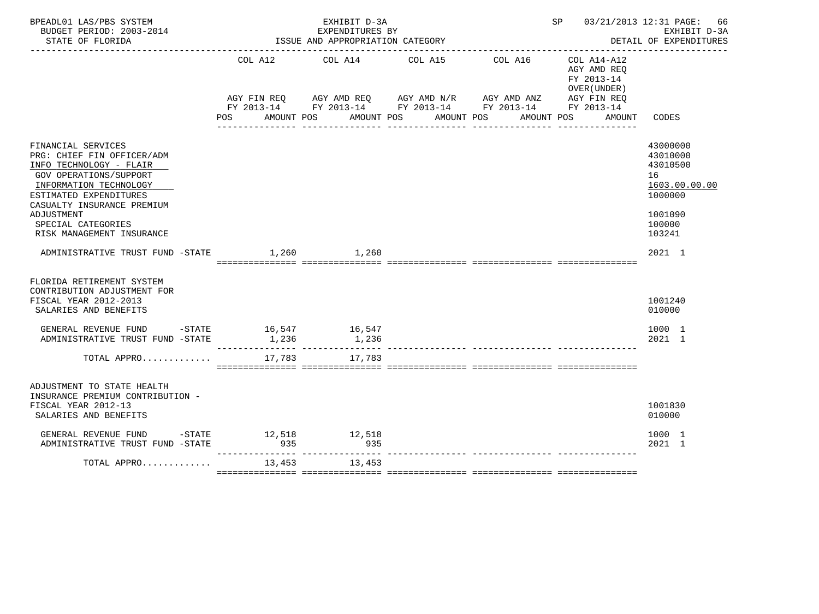| BPEADL01 LAS/PBS SYSTEM<br>BUDGET PERIOD: 2003-2014<br>STATE OF FLORIDA                                                                                                                                                                                         |        | EXHIBIT D-3A<br>EXPENDITURES BY<br>ISSUE AND APPROPRIATION CATEGORY |                                             | SP 03/21/2013 12:31 PAGE: 66                                                          | EXHIBIT D-3A<br>DETAIL OF EXPENDITURES                                                            |
|-----------------------------------------------------------------------------------------------------------------------------------------------------------------------------------------------------------------------------------------------------------------|--------|---------------------------------------------------------------------|---------------------------------------------|---------------------------------------------------------------------------------------|---------------------------------------------------------------------------------------------------|
|                                                                                                                                                                                                                                                                 | POS    | COL A12 COL A14 COL A15                                             | COL A16<br>AMOUNT POS AMOUNT POS AMOUNT POS | $COL A14 - A12$<br>AGY AMD REQ<br>FY 2013-14<br>OVER (UNDER )<br>AMOUNT POS<br>AMOUNT | CODES                                                                                             |
| FINANCIAL SERVICES<br>PRG: CHIEF FIN OFFICER/ADM<br>INFO TECHNOLOGY - FLAIR<br><b>GOV OPERATIONS/SUPPORT</b><br>INFORMATION TECHNOLOGY<br>ESTIMATED EXPENDITURES<br>CASUALTY INSURANCE PREMIUM<br>ADJUSTMENT<br>SPECIAL CATEGORIES<br>RISK MANAGEMENT INSURANCE |        |                                                                     |                                             |                                                                                       | 43000000<br>43010000<br>43010500<br>16<br>1603.00.00.00<br>1000000<br>1001090<br>100000<br>103241 |
| ADMINISTRATIVE TRUST FUND -STATE 1,260 1,260                                                                                                                                                                                                                    |        |                                                                     |                                             |                                                                                       | $2021$ 1                                                                                          |
| FLORIDA RETIREMENT SYSTEM<br>CONTRIBUTION ADJUSTMENT FOR<br>FISCAL YEAR 2012-2013<br>SALARIES AND BENEFITS                                                                                                                                                      |        |                                                                     |                                             |                                                                                       | 1001240<br>010000                                                                                 |
| GENERAL REVENUE FUND -STATE 16,547 16,547<br>ADMINISTRATIVE TRUST FUND -STATE                                                                                                                                                                                   | 1,236  | 1,236                                                               |                                             |                                                                                       | 1000 1<br>2021 1                                                                                  |
| TOTAL APPRO                                                                                                                                                                                                                                                     | 17,783 | 17,783                                                              |                                             |                                                                                       |                                                                                                   |
| ADJUSTMENT TO STATE HEALTH<br>INSURANCE PREMIUM CONTRIBUTION -<br>FISCAL YEAR 2012-13<br>SALARIES AND BENEFITS                                                                                                                                                  |        |                                                                     |                                             |                                                                                       | 1001830<br>010000                                                                                 |
| GENERAL REVENUE FUND -STATE 12,518<br>ADMINISTRATIVE TRUST FUND -STATE                                                                                                                                                                                          | 935    | 12,518<br>935                                                       |                                             |                                                                                       | 1000 1<br>2021 1                                                                                  |
| TOTAL APPRO $\dots\dots\dots\dots$                                                                                                                                                                                                                              |        |                                                                     |                                             |                                                                                       |                                                                                                   |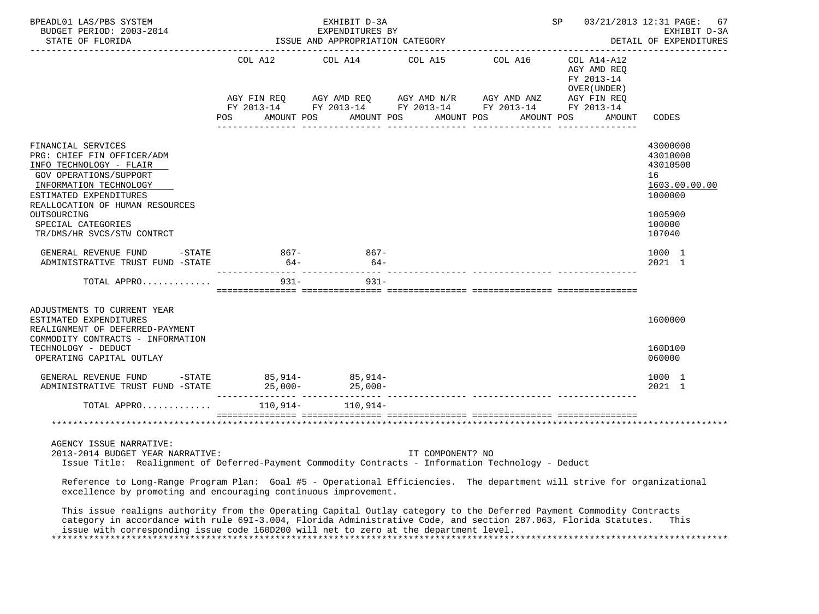| BPEADL01 LAS/PBS SYSTEM<br>BUDGET PERIOD: 2003-2014<br>STATE OF FLORIDA                                                                                                                                                                                                                                                                                                                                                                                                                 | -2014 EAPENDITION CATEGORY<br>ISSUE AND APPROPRIATION CATEGORY | EXHIBIT D-3A<br>EXPENDITURES BY |                       |                                                                                                                                                                                                                                                                                                                                                                                                                                            | SP                                                   | 03/21/2013 12:31 PAGE: 67<br>EXHIBIT D-3A<br>DETAIL OF EXPENDITURES                               |
|-----------------------------------------------------------------------------------------------------------------------------------------------------------------------------------------------------------------------------------------------------------------------------------------------------------------------------------------------------------------------------------------------------------------------------------------------------------------------------------------|----------------------------------------------------------------|---------------------------------|-----------------------|--------------------------------------------------------------------------------------------------------------------------------------------------------------------------------------------------------------------------------------------------------------------------------------------------------------------------------------------------------------------------------------------------------------------------------------------|------------------------------------------------------|---------------------------------------------------------------------------------------------------|
|                                                                                                                                                                                                                                                                                                                                                                                                                                                                                         | AMOUNT POS<br>POS                                              |                                 | AMOUNT POS AMOUNT POS | COL A12 COL A14 COL A15 COL A16 COL A14-A12<br>$\begin{array}{lllllll} \text{AGY}\ \text{FIN}\ \text{REQ} & \text{AGY}\ \text{AMD}\ \text{REQ} & \text{AGY}\ \text{AMD}\ \text{N/R} & \text{AGY}\ \text{AMD}\ \text{ANZ} & \text{AGY}\ \text{FIN}\ \text{REQ} \\ \text{FY}\ 2013\text{--}14 & \text{FY}\ 2013\text{--}14 & \text{FY}\ 2013\text{--}14 & \text{FY}\ 2013\text{--}14 & \text{FY}\ 2013\text{--}14 \end{array}$<br>AMOUNT POS | AGY AMD REQ<br>FY 2013-14<br>OVER (UNDER )<br>AMOUNT | CODES                                                                                             |
| FINANCIAL SERVICES<br>PRG: CHIEF FIN OFFICER/ADM<br>INFO TECHNOLOGY - FLAIR<br>GOV OPERATIONS/SUPPORT<br>INFORMATION TECHNOLOGY<br>ESTIMATED EXPENDITURES<br>REALLOCATION OF HUMAN RESOURCES<br>OUTSOURCING<br>SPECIAL CATEGORIES<br>TR/DMS/HR SVCS/STW CONTRCT                                                                                                                                                                                                                         |                                                                |                                 |                       |                                                                                                                                                                                                                                                                                                                                                                                                                                            |                                                      | 43000000<br>43010000<br>43010500<br>16<br>1603.00.00.00<br>1000000<br>1005900<br>100000<br>107040 |
| GENERAL REVENUE FUND -STATE<br>ADMINISTRATIVE TRUST FUND -STATE 64-                                                                                                                                                                                                                                                                                                                                                                                                                     | $867 -$                                                        | $867-$<br>$64-$                 |                       |                                                                                                                                                                                                                                                                                                                                                                                                                                            |                                                      | 1000 1<br>2021 1                                                                                  |
| TOTAL APPRO                                                                                                                                                                                                                                                                                                                                                                                                                                                                             |                                                                | $931  931 -$                    |                       |                                                                                                                                                                                                                                                                                                                                                                                                                                            |                                                      |                                                                                                   |
| ADJUSTMENTS TO CURRENT YEAR<br>ESTIMATED EXPENDITURES<br>REALIGNMENT OF DEFERRED-PAYMENT<br>COMMODITY CONTRACTS - INFORMATION<br>TECHNOLOGY - DEDUCT<br>OPERATING CAPITAL OUTLAY                                                                                                                                                                                                                                                                                                        |                                                                |                                 |                       |                                                                                                                                                                                                                                                                                                                                                                                                                                            |                                                      | 1600000<br>160D100<br>060000                                                                      |
| GENERAL REVENUE FUND -STATE 85,914- 85,914-                                                                                                                                                                                                                                                                                                                                                                                                                                             |                                                                |                                 |                       |                                                                                                                                                                                                                                                                                                                                                                                                                                            |                                                      | 1000 1<br>2021 1                                                                                  |
| TOTAL APPRO 110,914- 110,914-                                                                                                                                                                                                                                                                                                                                                                                                                                                           | $\blacksquare$                                                 |                                 |                       |                                                                                                                                                                                                                                                                                                                                                                                                                                            |                                                      |                                                                                                   |
| AGENCY ISSUE NARRATIVE:<br>2013-2014 BUDGET YEAR NARRATIVE:<br>Issue Title: Realignment of Deferred-Payment Commodity Contracts - Information Technology - Deduct<br>Reference to Long-Range Program Plan: Goal #5 - Operational Efficiencies. The department will strive for organizational<br>excellence by promoting and encouraging continuous improvement.<br>This issue realigns authority from the Operating Capital Outlay category to the Deferred Payment Commodity Contracts |                                                                |                                 | IT COMPONENT? NO      |                                                                                                                                                                                                                                                                                                                                                                                                                                            |                                                      |                                                                                                   |
| category in accordance with rule 691-3.004, Florida Administrative Code, and section 287.063, Florida Statutes. This<br>issue with corresponding issue code 160D200 will net to zero at the department level.                                                                                                                                                                                                                                                                           |                                                                |                                 |                       |                                                                                                                                                                                                                                                                                                                                                                                                                                            |                                                      |                                                                                                   |

\*\*\*\*\*\*\*\*\*\*\*\*\*\*\*\*\*\*\*\*\*\*\*\*\*\*\*\*\*\*\*\*\*\*\*\*\*\*\*\*\*\*\*\*\*\*\*\*\*\*\*\*\*\*\*\*\*\*\*\*\*\*\*\*\*\*\*\*\*\*\*\*\*\*\*\*\*\*\*\*\*\*\*\*\*\*\*\*\*\*\*\*\*\*\*\*\*\*\*\*\*\*\*\*\*\*\*\*\*\*\*\*\*\*\*\*\*\*\*\*\*\*\*\*\*\*\*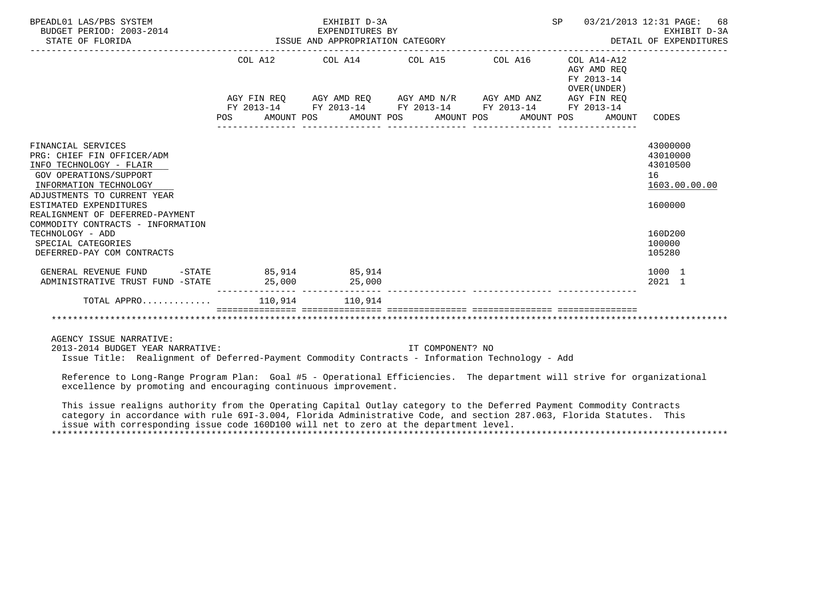| BPEADL01 LAS/PBS SYSTEM<br>BUDGET PERIOD: 2003-2014<br>STATE OF FLORIDA                                                                                                                                                                                                                                                                  | EXHIBIT D-3A<br>EXPENDITURES BY<br>ISSUE AND APPROPRIATION CATEGORY |                                                                                                                                                          |                       |  | SP 03/21/2013 12:31 PAGE:<br>68<br>EXHIBIT D-3A<br>DETAIL OF EXPENDITURES<br>__________________________________ |                                                                                                   |  |
|------------------------------------------------------------------------------------------------------------------------------------------------------------------------------------------------------------------------------------------------------------------------------------------------------------------------------------------|---------------------------------------------------------------------|----------------------------------------------------------------------------------------------------------------------------------------------------------|-----------------------|--|-----------------------------------------------------------------------------------------------------------------|---------------------------------------------------------------------------------------------------|--|
|                                                                                                                                                                                                                                                                                                                                          | AMOUNT POS<br>POS FOR                                               | COL A12 COL A14 COL A15 COL A16<br>AGY FIN REQ AGY AMD REQ AGY AMD N/R AGY AMD ANZ AGY FIN REQ<br>FY 2013-14 FY 2013-14 FY 2013-14 FY 2013-14 FY 2013-14 | AMOUNT POS AMOUNT POS |  | COL A14-A12<br>AGY AMD REO<br>FY 2013-14<br>OVER (UNDER)<br>AMOUNT POS<br>AMOUNT                                | CODES                                                                                             |  |
| FINANCIAL SERVICES<br>PRG: CHIEF FIN OFFICER/ADM<br>INFO TECHNOLOGY - FLAIR<br>GOV OPERATIONS/SUPPORT<br>INFORMATION TECHNOLOGY<br>ADJUSTMENTS TO CURRENT YEAR<br>ESTIMATED EXPENDITURES<br>REALIGNMENT OF DEFERRED-PAYMENT<br>COMMODITY CONTRACTS - INFORMATION<br>TECHNOLOGY - ADD<br>SPECIAL CATEGORIES<br>DEFERRED-PAY COM CONTRACTS |                                                                     |                                                                                                                                                          |                       |  |                                                                                                                 | 43000000<br>43010000<br>43010500<br>16<br>1603.00.00.00<br>1600000<br>160D200<br>100000<br>105280 |  |
| GENERAL REVENUE FUND<br>ADMINISTRATIVE TRUST FUND -STATE                                                                                                                                                                                                                                                                                 | $-$ STATE 85,914 85,914                                             | 25,000 25,000                                                                                                                                            |                       |  |                                                                                                                 | 1000 1<br>2021 1                                                                                  |  |
| TOTAL APPRO                                                                                                                                                                                                                                                                                                                              |                                                                     | 110.914 110.914                                                                                                                                          |                       |  |                                                                                                                 |                                                                                                   |  |
| AGENCY ISSUE NARRATIVE:                                                                                                                                                                                                                                                                                                                  |                                                                     |                                                                                                                                                          |                       |  |                                                                                                                 |                                                                                                   |  |
| 2013-2014 BUDGET YEAR NARRATIVE:<br>Issue Title: Realignment of Deferred-Payment Commodity Contracts - Information Technology - Add                                                                                                                                                                                                      |                                                                     |                                                                                                                                                          | IT COMPONENT? NO      |  |                                                                                                                 |                                                                                                   |  |

 Reference to Long-Range Program Plan: Goal #5 - Operational Efficiencies. The department will strive for organizational excellence by promoting and encouraging continuous improvement.

 This issue realigns authority from the Operating Capital Outlay category to the Deferred Payment Commodity Contracts category in accordance with rule 69I-3.004, Florida Administrative Code, and section 287.063, Florida Statutes. This issue with corresponding issue code 160D100 will net to zero at the department level. \*\*\*\*\*\*\*\*\*\*\*\*\*\*\*\*\*\*\*\*\*\*\*\*\*\*\*\*\*\*\*\*\*\*\*\*\*\*\*\*\*\*\*\*\*\*\*\*\*\*\*\*\*\*\*\*\*\*\*\*\*\*\*\*\*\*\*\*\*\*\*\*\*\*\*\*\*\*\*\*\*\*\*\*\*\*\*\*\*\*\*\*\*\*\*\*\*\*\*\*\*\*\*\*\*\*\*\*\*\*\*\*\*\*\*\*\*\*\*\*\*\*\*\*\*\*\*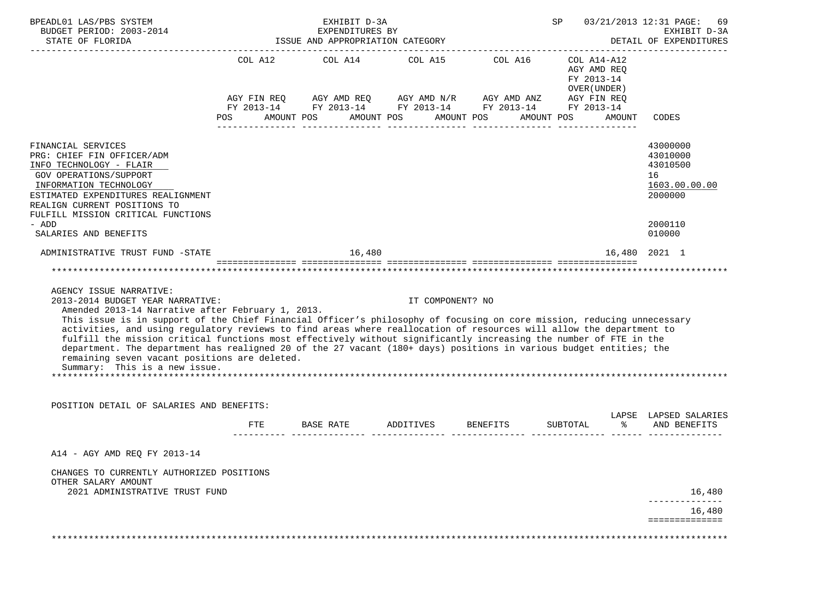| BPEADL01 LAS/PBS SYSTEM<br>BUDGET PERIOD: 2003-2014                                                                                                                                                                                                                                                                                                                                                                                                                                                                                                                                                                                                                                                                                         | EXHIBIT D-3A<br>EXPENDITURES BY  |                                               |                       |                                                                                                                       | 03/21/2013 12:31 PAGE:<br>SP<br>69<br>EXHIBIT D-3A                               |                                                                                         |  |
|---------------------------------------------------------------------------------------------------------------------------------------------------------------------------------------------------------------------------------------------------------------------------------------------------------------------------------------------------------------------------------------------------------------------------------------------------------------------------------------------------------------------------------------------------------------------------------------------------------------------------------------------------------------------------------------------------------------------------------------------|----------------------------------|-----------------------------------------------|-----------------------|-----------------------------------------------------------------------------------------------------------------------|----------------------------------------------------------------------------------|-----------------------------------------------------------------------------------------|--|
| STATE OF FLORIDA                                                                                                                                                                                                                                                                                                                                                                                                                                                                                                                                                                                                                                                                                                                            | ISSUE AND APPROPRIATION CATEGORY |                                               |                       |                                                                                                                       |                                                                                  | DETAIL OF EXPENDITURES                                                                  |  |
|                                                                                                                                                                                                                                                                                                                                                                                                                                                                                                                                                                                                                                                                                                                                             | POS                              | COL A12 COL A14 COL A15 COL A16<br>AMOUNT POS | AMOUNT POS AMOUNT POS | AGY FIN REQ AGY AMD REQ AGY AMD N/R AGY AMD ANZ AGY FIN REQ<br>FY 2013-14 FY 2013-14 FY 2013-14 FY 2013-14 FY 2013-14 | COL A14-A12<br>AGY AMD REQ<br>FY 2013-14<br>OVER (UNDER)<br>AMOUNT POS<br>AMOUNT | CODES                                                                                   |  |
| FINANCIAL SERVICES<br>PRG: CHIEF FIN OFFICER/ADM<br>INFO TECHNOLOGY - FLAIR<br>GOV OPERATIONS/SUPPORT<br>INFORMATION TECHNOLOGY<br>ESTIMATED EXPENDITURES REALIGNMENT<br>REALIGN CURRENT POSITIONS TO<br>FULFILL MISSION CRITICAL FUNCTIONS<br>- ADD<br>SALARIES AND BENEFITS                                                                                                                                                                                                                                                                                                                                                                                                                                                               |                                  |                                               |                       |                                                                                                                       |                                                                                  | 43000000<br>43010000<br>43010500<br>16<br>1603.00.00.00<br>2000000<br>2000110<br>010000 |  |
| ADMINISTRATIVE TRUST FUND -STATE                                                                                                                                                                                                                                                                                                                                                                                                                                                                                                                                                                                                                                                                                                            |                                  | 16,480                                        |                       |                                                                                                                       |                                                                                  | 16,480 2021 1                                                                           |  |
| AGENCY ISSUE NARRATIVE:<br>2013-2014 BUDGET YEAR NARRATIVE:<br>Amended 2013-14 Narrative after February 1, 2013.<br>This issue is in support of the Chief Financial Officer's philosophy of focusing on core mission, reducing unnecessary<br>activities, and using regulatory reviews to find areas where reallocation of resources will allow the department to<br>fulfill the mission critical functions most effectively without significantly increasing the number of FTE in the<br>department. The department has realigned 20 of the 27 vacant (180+ days) positions in various budget entities; the<br>remaining seven vacant positions are deleted.<br>Summary: This is a new issue.<br>POSITION DETAIL OF SALARIES AND BENEFITS: |                                  | *************************************         | IT COMPONENT? NO      |                                                                                                                       |                                                                                  |                                                                                         |  |
|                                                                                                                                                                                                                                                                                                                                                                                                                                                                                                                                                                                                                                                                                                                                             |                                  | FTE BASE RATE ADDITIVES BENEFITS              |                       |                                                                                                                       | SUBTOTAL<br>ော ေ                                                                 | LAPSE LAPSED SALARIES<br>AND BENEFITS                                                   |  |
| A14 - AGY AMD REO FY 2013-14                                                                                                                                                                                                                                                                                                                                                                                                                                                                                                                                                                                                                                                                                                                |                                  |                                               |                       |                                                                                                                       |                                                                                  |                                                                                         |  |
| CHANGES TO CURRENTLY AUTHORIZED POSITIONS<br>OTHER SALARY AMOUNT<br>2021 ADMINISTRATIVE TRUST FUND                                                                                                                                                                                                                                                                                                                                                                                                                                                                                                                                                                                                                                          |                                  |                                               |                       |                                                                                                                       |                                                                                  | 16,480<br>16,480<br>==============                                                      |  |
|                                                                                                                                                                                                                                                                                                                                                                                                                                                                                                                                                                                                                                                                                                                                             |                                  |                                               |                       |                                                                                                                       |                                                                                  |                                                                                         |  |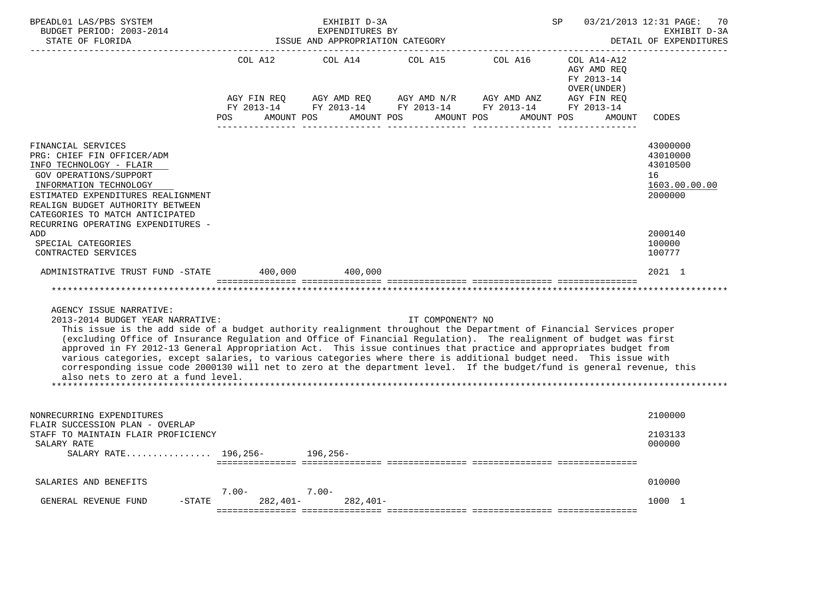| BPEADL01 LAS/PBS SYSTEM<br>BUDGET PERIOD: 2003-2014<br>STATE OF FLORIDA                                                                                                                                                                                                                                                                                                                                                                                                                                                                                                                                                                                                                                            |                                                            | EXHIBIT D-3A<br>EXPENDITURES BY<br>ISSUE AND APPROPRIATION CATEGORY |                                      | SP                                                                       | 03/21/2013 12:31 PAGE:                                                                          | 70<br>EXHIBIT D-3A<br>DETAIL OF EXPENDITURES                       |
|--------------------------------------------------------------------------------------------------------------------------------------------------------------------------------------------------------------------------------------------------------------------------------------------------------------------------------------------------------------------------------------------------------------------------------------------------------------------------------------------------------------------------------------------------------------------------------------------------------------------------------------------------------------------------------------------------------------------|------------------------------------------------------------|---------------------------------------------------------------------|--------------------------------------|--------------------------------------------------------------------------|-------------------------------------------------------------------------------------------------|--------------------------------------------------------------------|
|                                                                                                                                                                                                                                                                                                                                                                                                                                                                                                                                                                                                                                                                                                                    | COL A12<br>AGY FIN REQ<br>FY 2013-14<br>AMOUNT POS<br>POS. | COL A14<br>AGY AMD REQ<br>AMOUNT POS                                | COL A15<br>AGY AMD N/R<br>AMOUNT POS | COL A16<br>AGY AMD ANZ<br>FY 2013-14 FY 2013-14 FY 2013-14<br>AMOUNT POS | COL A14-A12<br>AGY AMD REO<br>FY 2013-14<br>OVER (UNDER)<br>AGY FIN REQ<br>FY 2013-14<br>AMOUNT | CODES                                                              |
| FINANCIAL SERVICES<br>PRG: CHIEF FIN OFFICER/ADM<br>INFO TECHNOLOGY - FLAIR<br><b>GOV OPERATIONS/SUPPORT</b><br>INFORMATION TECHNOLOGY<br>ESTIMATED EXPENDITURES REALIGNMENT<br>REALIGN BUDGET AUTHORITY BETWEEN<br>CATEGORIES TO MATCH ANTICIPATED<br>RECURRING OPERATING EXPENDITURES -                                                                                                                                                                                                                                                                                                                                                                                                                          |                                                            |                                                                     |                                      |                                                                          |                                                                                                 | 43000000<br>43010000<br>43010500<br>16<br>1603.00.00.00<br>2000000 |
| ADD<br>SPECIAL CATEGORIES<br>CONTRACTED SERVICES                                                                                                                                                                                                                                                                                                                                                                                                                                                                                                                                                                                                                                                                   |                                                            |                                                                     |                                      |                                                                          |                                                                                                 | 2000140<br>100000<br>100777                                        |
| ADMINISTRATIVE TRUST FUND -STATE                                                                                                                                                                                                                                                                                                                                                                                                                                                                                                                                                                                                                                                                                   | 400,000                                                    | 400,000                                                             |                                      |                                                                          |                                                                                                 | 2021 1                                                             |
|                                                                                                                                                                                                                                                                                                                                                                                                                                                                                                                                                                                                                                                                                                                    |                                                            |                                                                     |                                      |                                                                          |                                                                                                 |                                                                    |
| AGENCY ISSUE NARRATIVE:<br>2013-2014 BUDGET YEAR NARRATIVE:<br>This issue is the add side of a budget authority realignment throughout the Department of Financial Services proper<br>(excluding Office of Insurance Regulation and Office of Financial Regulation). The realignment of budget was first<br>approved in FY 2012-13 General Appropriation Act. This issue continues that practice and appropriates budget from<br>various categories, except salaries, to various categories where there is additional budget need. This issue with<br>corresponding issue code 2000130 will net to zero at the department level. If the budget/fund is general revenue, this<br>also nets to zero at a fund level. |                                                            |                                                                     | IT COMPONENT? NO                     |                                                                          |                                                                                                 |                                                                    |
| NONRECURRING EXPENDITURES<br>FLAIR SUCCESSION PLAN - OVERLAP                                                                                                                                                                                                                                                                                                                                                                                                                                                                                                                                                                                                                                                       |                                                            |                                                                     |                                      |                                                                          |                                                                                                 | 2100000                                                            |
| STAFF TO MAINTAIN FLAIR PROFICIENCY<br>SALARY RATE<br>SALARY RATE 196,256- 196,256-                                                                                                                                                                                                                                                                                                                                                                                                                                                                                                                                                                                                                                |                                                            |                                                                     |                                      |                                                                          |                                                                                                 | 2103133<br>000000                                                  |
| SALARIES AND BENEFITS                                                                                                                                                                                                                                                                                                                                                                                                                                                                                                                                                                                                                                                                                              |                                                            |                                                                     |                                      |                                                                          |                                                                                                 | 010000                                                             |
| GENERAL REVENUE FUND<br>$-$ STATE                                                                                                                                                                                                                                                                                                                                                                                                                                                                                                                                                                                                                                                                                  | $7.00 -$<br>282,401-                                       | $7.00 -$<br>$282,401-$                                              |                                      |                                                                          |                                                                                                 | 1000 1                                                             |
|                                                                                                                                                                                                                                                                                                                                                                                                                                                                                                                                                                                                                                                                                                                    |                                                            |                                                                     |                                      |                                                                          |                                                                                                 |                                                                    |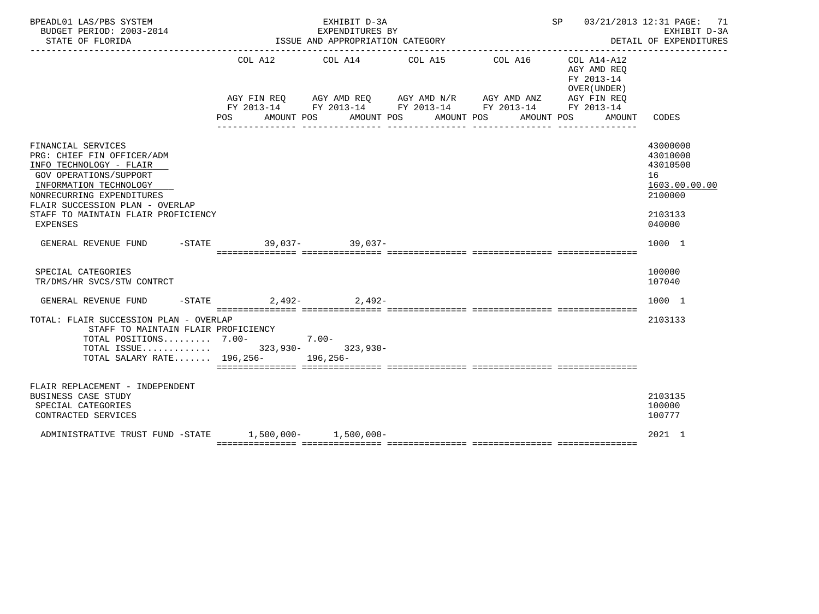| BPEADL01 LAS/PBS SYSTEM<br>BUDGET PERIOD: 2003-2014<br>STATE OF FLORIDA                                                                                                                                                                                          |                                                                                     | EXHIBIT D-3A<br>EXPENDITURES BY<br>ISSUE AND APPROPRIATION CATEGORY |                                  | ______________________________________                            | SP 03/21/2013 12:31 PAGE: 71                                                                    | EXHIBIT D-3A<br>DETAIL OF EXPENDITURES                                                  |
|------------------------------------------------------------------------------------------------------------------------------------------------------------------------------------------------------------------------------------------------------------------|-------------------------------------------------------------------------------------|---------------------------------------------------------------------|----------------------------------|-------------------------------------------------------------------|-------------------------------------------------------------------------------------------------|-----------------------------------------------------------------------------------------|
|                                                                                                                                                                                                                                                                  | COL A12<br>AGY FIN REQ AGY AMD REQ AGY AMD N/R AGY AMD ANZ<br>POS FOR<br>AMOUNT POS | COL A14                                                             | COL A15<br>AMOUNT POS AMOUNT POS | COL A16<br>FY 2013-14 FY 2013-14 FY 2013-14 FY 2013-14 FY 2013-14 | COL A14-A12<br>AGY AMD REO<br>FY 2013-14<br>OVER (UNDER)<br>AGY FIN REO<br>AMOUNT POS<br>AMOUNT | CODES                                                                                   |
| FINANCIAL SERVICES<br>PRG: CHIEF FIN OFFICER/ADM<br>INFO TECHNOLOGY - FLAIR<br><b>GOV OPERATIONS/SUPPORT</b><br>INFORMATION TECHNOLOGY<br>NONRECURRING EXPENDITURES<br>FLAIR SUCCESSION PLAN - OVERLAP<br>STAFF TO MAINTAIN FLAIR PROFICIENCY<br><b>EXPENSES</b> |                                                                                     |                                                                     |                                  |                                                                   |                                                                                                 | 43000000<br>43010000<br>43010500<br>16<br>1603.00.00.00<br>2100000<br>2103133<br>040000 |
| GENERAL REVENUE FUND                                                                                                                                                                                                                                             | -STATE 39.037- 39.037-                                                              |                                                                     |                                  |                                                                   |                                                                                                 | 1000 1                                                                                  |
| SPECIAL CATEGORIES<br>TR/DMS/HR SVCS/STW CONTRCT                                                                                                                                                                                                                 |                                                                                     |                                                                     |                                  |                                                                   |                                                                                                 | 100000<br>107040                                                                        |
| GENERAL REVENUE FUND                                                                                                                                                                                                                                             | $-STATE$                                                                            | $2.492 - 2.492 -$                                                   |                                  |                                                                   |                                                                                                 | 1000 1                                                                                  |
| TOTAL: FLAIR SUCCESSION PLAN - OVERLAP<br>STAFF TO MAINTAIN FLAIR PROFICIENCY<br>TOTAL POSITIONS 7.00-<br>TOTAL ISSUE 323,930- 323,930-<br>TOTAL SALARY RATE 196,256- 196,256-                                                                                   |                                                                                     | $7.00 -$                                                            |                                  |                                                                   |                                                                                                 | 2103133                                                                                 |
| FLAIR REPLACEMENT - INDEPENDENT<br><b>BUSINESS CASE STUDY</b><br>SPECIAL CATEGORIES<br>CONTRACTED SERVICES                                                                                                                                                       |                                                                                     |                                                                     |                                  |                                                                   |                                                                                                 | 2103135<br>100000<br>100777                                                             |
| ADMINISTRATIVE TRUST FUND -STATE 1.500.000- 1.500.000-                                                                                                                                                                                                           |                                                                                     |                                                                     |                                  |                                                                   |                                                                                                 | 2021 1                                                                                  |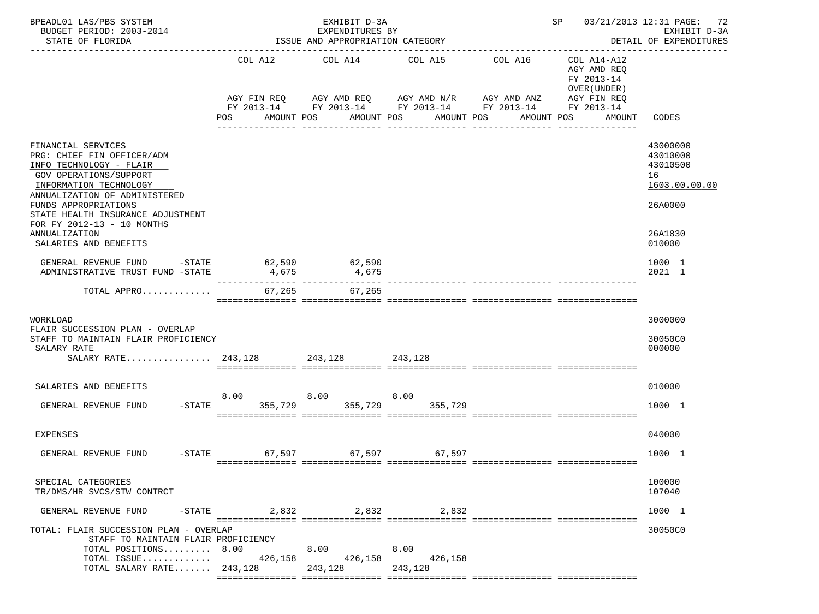| BPEADL01 LAS/PBS SYSTEM<br>BUDGET PERIOD: 2003-2014<br>STATE OF FLORIDA                                                                                          |                        | EXHIBIT D-3A<br>EXPENDITURES BY<br>ISSUE AND APPROPRIATION CATEGORY |                                              | SP 03/21/2013 12:31 PAGE: 72<br>EXHIBIT D-3A<br>DETAIL OF EXPENDITURES<br>------------- |                                                                         |  |
|------------------------------------------------------------------------------------------------------------------------------------------------------------------|------------------------|---------------------------------------------------------------------|----------------------------------------------|-----------------------------------------------------------------------------------------|-------------------------------------------------------------------------|--|
|                                                                                                                                                                  | AGY FIN REQ            | COL A12 COL A14 COL A15<br>AGY AMD REQ AGY AMD N/R AGY AMD ANZ      |                                              | COL A16                                                                                 | COL A14-A12<br>AGY AMD REQ<br>FY 2013-14<br>OVER (UNDER)<br>AGY FIN REQ |  |
|                                                                                                                                                                  | POS                    | AMOUNT POS<br>----------------                                      | AMOUNT POS<br>AMOUNT POS<br>________________ | FY 2013-14 FY 2013-14 FY 2013-14 FY 2013-14<br>AMOUNT POS                               | FY 2013-14<br>AMOUNT<br>CODES                                           |  |
| FINANCIAL SERVICES<br>PRG: CHIEF FIN OFFICER/ADM<br>INFO TECHNOLOGY - FLAIR<br>GOV OPERATIONS/SUPPORT<br>INFORMATION TECHNOLOGY<br>ANNUALIZATION OF ADMINISTERED |                        |                                                                     |                                              |                                                                                         | 43000000<br>43010000<br>43010500<br>16<br>1603.00.00.00                 |  |
| FUNDS APPROPRIATIONS<br>STATE HEALTH INSURANCE ADJUSTMENT<br>FOR FY 2012-13 - 10 MONTHS<br>ANNUALIZATION<br>SALARIES AND BENEFITS                                |                        |                                                                     |                                              |                                                                                         | 26A0000<br>26A1830<br>010000                                            |  |
| GENERAL REVENUE FUND<br>$-$ STATE<br>ADMINISTRATIVE TRUST FUND -STATE                                                                                            | 62,590<br>4,675        | 62,590<br>4,675                                                     |                                              |                                                                                         | 1000 1<br>2021 1                                                        |  |
| TOTAL APPRO 67,265 67,265                                                                                                                                        |                        |                                                                     |                                              |                                                                                         |                                                                         |  |
| WORKLOAD<br>FLAIR SUCCESSION PLAN - OVERLAP<br>STAFF TO MAINTAIN FLAIR PROFICIENCY<br>SALARY RATE                                                                |                        |                                                                     |                                              |                                                                                         | 3000000<br>30050C0<br>000000                                            |  |
| SALARIES AND BENEFITS<br>GENERAL REVENUE FUND                                                                                                                    | 8.00<br>-STATE 355,729 | 8.00                                                                | 8.00<br>355,729 355,729                      |                                                                                         | 010000<br>1000 1                                                        |  |
| <b>EXPENSES</b>                                                                                                                                                  |                        |                                                                     |                                              |                                                                                         | 040000                                                                  |  |
| GENERAL REVENUE FUND                                                                                                                                             |                        | -STATE 67,597 67,597 67,597                                         |                                              |                                                                                         | 1000 1                                                                  |  |
| SPECIAL CATEGORIES<br>TR/DMS/HR SVCS/STW CONTRCT                                                                                                                 |                        |                                                                     |                                              |                                                                                         | 100000<br>107040                                                        |  |
| GENERAL REVENUE FUND<br>$-$ STATE                                                                                                                                | 2,832                  | 2,832                                                               | 2,832                                        |                                                                                         | 1000 1                                                                  |  |
| TOTAL: FLAIR SUCCESSION PLAN - OVERLAP<br>STAFF TO MAINTAIN FLAIR PROFICIENCY<br>TOTAL POSITIONS 8.00<br>TOTAL ISSUE<br>TOTAL SALARY RATE 243,128                | 426,158                | 8.00<br>426,158<br>243,128                                          | 8.00<br>426,158<br>243,128                   |                                                                                         | 30050C0                                                                 |  |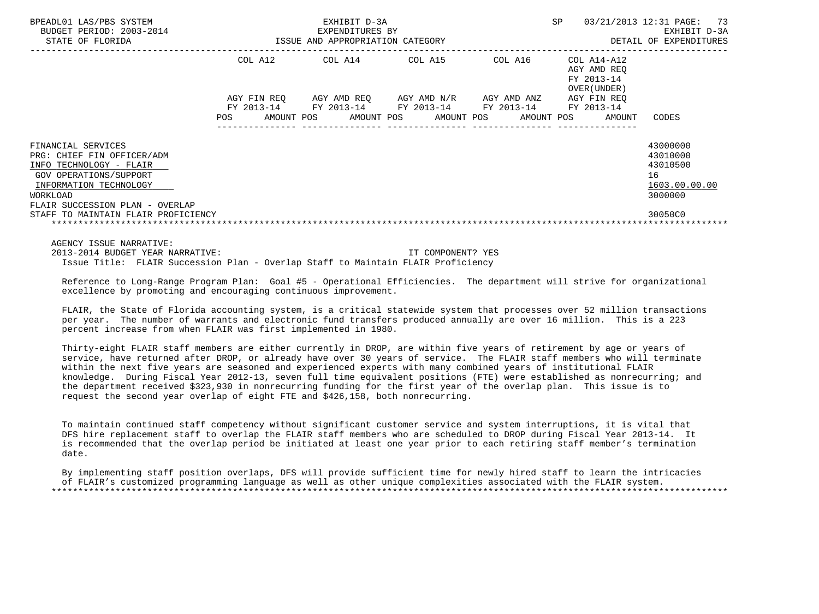| BPEADL01 LAS/PBS SYSTEM<br>BUDGET PERIOD: 2003-2014<br>STATE OF FLORIDA                                                                                                                                               |                        | EXHIBIT D-3A<br>EXPENDITURES BY<br>ISSUE AND APPROPRIATION CATEGORY | <b>SP</b>                                                                      | 03/21/2013 12:31 PAGE:<br>73<br>EXHIBIT D-3A<br>DETAIL OF EXPENDITURES |                                                                                       |                                                                                        |
|-----------------------------------------------------------------------------------------------------------------------------------------------------------------------------------------------------------------------|------------------------|---------------------------------------------------------------------|--------------------------------------------------------------------------------|------------------------------------------------------------------------|---------------------------------------------------------------------------------------|----------------------------------------------------------------------------------------|
|                                                                                                                                                                                                                       | COL A12<br>AGY FIN REO |                                                                     | COL A14 COL A15<br>AGY AMD REO AGY AMD N/R<br>FY 2013-14 FY 2013-14 FY 2013-14 | COL A16<br>AGY AMD ANZ<br>FY 2013-14                                   | COL A14-A12<br>AGY AMD REO<br>FY 2013-14<br>OVER (UNDER)<br>AGY FIN REO<br>FY 2013-14 |                                                                                        |
| FINANCIAL SERVICES<br>PRG: CHIEF FIN OFFICER/ADM<br>INFO TECHNOLOGY - FLAIR<br>GOV OPERATIONS/SUPPORT<br>INFORMATION TECHNOLOGY<br>WORKLOAD<br>FLAIR SUCCESSION PLAN - OVERLAP<br>STAFF TO MAINTAIN FLAIR PROFICIENCY | AMOUNT POS<br>POS      |                                                                     | AMOUNT POS                                                                     | AMOUNT POS<br>AMOUNT POS                                               | AMOUNT                                                                                | CODES<br>43000000<br>43010000<br>43010500<br>16<br>1603.00.00.00<br>3000000<br>30050C0 |
|                                                                                                                                                                                                                       |                        |                                                                     |                                                                                |                                                                        |                                                                                       |                                                                                        |

AGENCY ISSUE NARRATIVE:

 2013-2014 BUDGET YEAR NARRATIVE: IT COMPONENT? YES Issue Title: FLAIR Succession Plan - Overlap Staff to Maintain FLAIR Proficiency

 Reference to Long-Range Program Plan: Goal #5 - Operational Efficiencies. The department will strive for organizational excellence by promoting and encouraging continuous improvement.

 FLAIR, the State of Florida accounting system, is a critical statewide system that processes over 52 million transactions per year. The number of warrants and electronic fund transfers produced annually are over 16 million. This is a 223 percent increase from when FLAIR was first implemented in 1980.

 Thirty-eight FLAIR staff members are either currently in DROP, are within five years of retirement by age or years of service, have returned after DROP, or already have over 30 years of service. The FLAIR staff members who will terminate within the next five years are seasoned and experienced experts with many combined years of institutional FLAIR knowledge. During Fiscal Year 2012-13, seven full time equivalent positions (FTE) were established as nonrecurring; and the department received \$323,930 in nonrecurring funding for the first year of the overlap plan. This issue is to request the second year overlap of eight FTE and \$426,158, both nonrecurring.

 To maintain continued staff competency without significant customer service and system interruptions, it is vital that DFS hire replacement staff to overlap the FLAIR staff members who are scheduled to DROP during Fiscal Year 2013-14. It is recommended that the overlap period be initiated at least one year prior to each retiring staff member's termination date.

 By implementing staff position overlaps, DFS will provide sufficient time for newly hired staff to learn the intricacies of FLAIR's customized programming language as well as other unique complexities associated with the FLAIR system. \*\*\*\*\*\*\*\*\*\*\*\*\*\*\*\*\*\*\*\*\*\*\*\*\*\*\*\*\*\*\*\*\*\*\*\*\*\*\*\*\*\*\*\*\*\*\*\*\*\*\*\*\*\*\*\*\*\*\*\*\*\*\*\*\*\*\*\*\*\*\*\*\*\*\*\*\*\*\*\*\*\*\*\*\*\*\*\*\*\*\*\*\*\*\*\*\*\*\*\*\*\*\*\*\*\*\*\*\*\*\*\*\*\*\*\*\*\*\*\*\*\*\*\*\*\*\*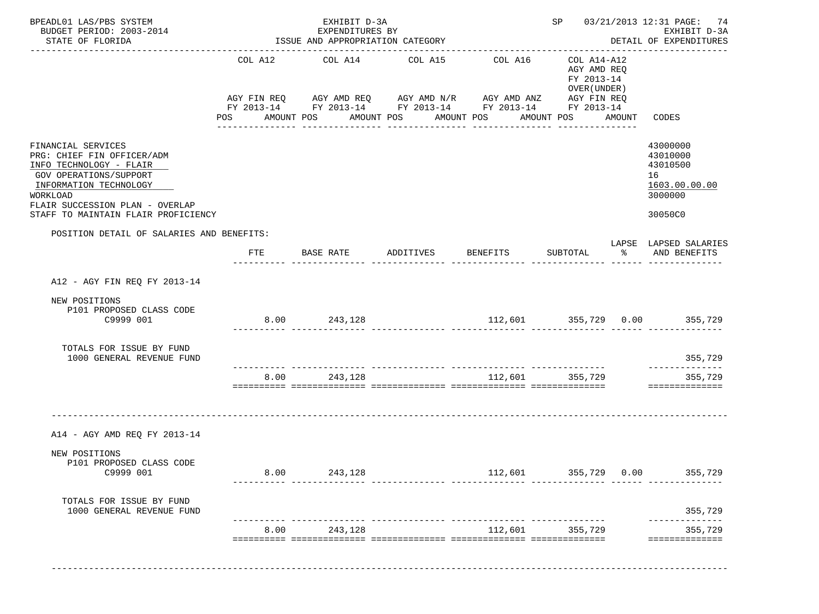| BPEADL01 LAS/PBS SYSTEM<br>BUDGET PERIOD: 2003-2014<br>STATE OF FLORIDA                                                                                                                                               |                       | EXHIBIT D-3A<br>EXPENDITURES BY<br>ISSUE AND APPROPRIATION CATEGORY | SP 03/21/2013 12:31 PAGE: 74<br>EXHIBIT D-3A<br>DETAIL OF EXPENDITURES<br>------------------------------------                                                               |                                                |                                                          |        |                                                                               |
|-----------------------------------------------------------------------------------------------------------------------------------------------------------------------------------------------------------------------|-----------------------|---------------------------------------------------------------------|------------------------------------------------------------------------------------------------------------------------------------------------------------------------------|------------------------------------------------|----------------------------------------------------------|--------|-------------------------------------------------------------------------------|
|                                                                                                                                                                                                                       | COL A12<br><b>POS</b> | COL A14<br>AMOUNT POS                                               | COL A15<br>AGY FIN REQ AGY AMD REQ AGY AMD N/R AGY AMD ANZ AGY FIN REQ<br>FY 2013-14 FY 2013-14 FY 2013-14 FY 2013-14 FY 2013-14<br>AMOUNT POS AMOUNT POS<br>_______________ | COL A16<br>AMOUNT POS<br>---------------       | COL A14-A12<br>AGY AMD REQ<br>FY 2013-14<br>OVER (UNDER) | AMOUNT | CODES                                                                         |
| FINANCIAL SERVICES<br>PRG: CHIEF FIN OFFICER/ADM<br>INFO TECHNOLOGY - FLAIR<br>GOV OPERATIONS/SUPPORT<br>INFORMATION TECHNOLOGY<br>WORKLOAD<br>FLAIR SUCCESSION PLAN - OVERLAP<br>STAFF TO MAINTAIN FLAIR PROFICIENCY |                       |                                                                     |                                                                                                                                                                              |                                                |                                                          |        | 43000000<br>43010000<br>43010500<br>16<br>1603.00.00.00<br>3000000<br>30050C0 |
| POSITION DETAIL OF SALARIES AND BENEFITS:                                                                                                                                                                             | FTE                   | BASE RATE                                                           | ADDITIVES                                                                                                                                                                    | <b>BENEFITS</b>                                | SUBTOTAL                                                 | ော ေ   | LAPSE LAPSED SALARIES<br>AND BENEFITS                                         |
|                                                                                                                                                                                                                       |                       |                                                                     |                                                                                                                                                                              |                                                |                                                          |        |                                                                               |
| A12 - AGY FIN REQ FY 2013-14                                                                                                                                                                                          |                       |                                                                     |                                                                                                                                                                              |                                                |                                                          |        |                                                                               |
| NEW POSITIONS<br>P101 PROPOSED CLASS CODE<br>C9999 001                                                                                                                                                                |                       | 8.00 243,128                                                        |                                                                                                                                                                              | $112,601$ $355,729$ 0.00 $355,729$             |                                                          |        |                                                                               |
| TOTALS FOR ISSUE BY FUND<br>1000 GENERAL REVENUE FUND                                                                                                                                                                 |                       |                                                                     |                                                                                                                                                                              |                                                |                                                          |        | 355,729<br>--------------                                                     |
|                                                                                                                                                                                                                       | 8.00                  | 243,128                                                             |                                                                                                                                                                              | 112,601                                        | 355,729                                                  |        | 355,729<br>==============                                                     |
| A14 - AGY AMD REQ FY 2013-14                                                                                                                                                                                          |                       |                                                                     |                                                                                                                                                                              |                                                |                                                          |        |                                                                               |
| NEW POSITIONS<br>P101 PROPOSED CLASS CODE<br>C9999 001                                                                                                                                                                | 8.00                  | 243,128                                                             |                                                                                                                                                                              | 112,601<br>____________ _______________ ______ | 355,729 0.00                                             |        | 355,729                                                                       |
| TOTALS FOR ISSUE BY FUND<br>1000 GENERAL REVENUE FUND                                                                                                                                                                 |                       |                                                                     |                                                                                                                                                                              |                                                |                                                          |        | 355,729                                                                       |
|                                                                                                                                                                                                                       | 8.00                  | 243,128                                                             | ------------- ---------                                                                                                                                                      | 112,601                                        | 355,729                                                  |        | 355,729                                                                       |
|                                                                                                                                                                                                                       |                       |                                                                     |                                                                                                                                                                              |                                                |                                                          |        | ==============                                                                |

-------------------------------------------------------------------------------------------------------------------------------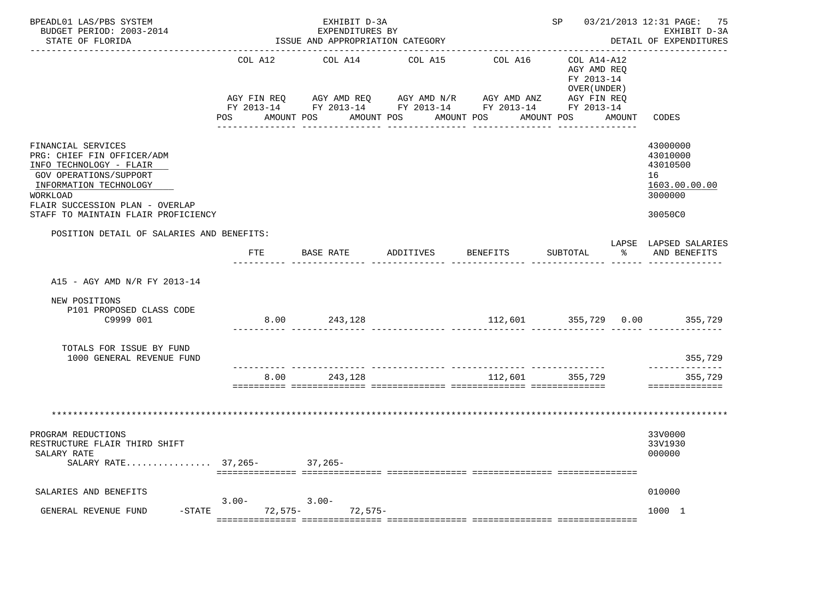| BPEADL01 LAS/PBS SYSTEM<br>BUDGET PERIOD: 2003-2014<br>STATE OF FLORIDA                                                                                                                                               |                        | EXHIBIT D-3A<br>EXPENDITURES BY<br>ISSUE AND APPROPRIATION CATEGORY |                                                                   | SP 03/21/2013 12:31 PAGE: 75<br>EXHIBIT D-3A<br>DETAIL OF EXPENDITURES |                                                                         |                                                                               |
|-----------------------------------------------------------------------------------------------------------------------------------------------------------------------------------------------------------------------|------------------------|---------------------------------------------------------------------|-------------------------------------------------------------------|------------------------------------------------------------------------|-------------------------------------------------------------------------|-------------------------------------------------------------------------------|
|                                                                                                                                                                                                                       | COL A12<br>AGY FIN REO | COL A14<br>AGY AMD REQ AGY AMD N/R                                  | COL A15<br>FY 2013-14 FY 2013-14 FY 2013-14 FY 2013-14 FY 2013-14 | COL A16<br>AGY AMD ANZ                                                 | COL A14-A12<br>AGY AMD REO<br>FY 2013-14<br>OVER (UNDER)<br>AGY FIN REO |                                                                               |
|                                                                                                                                                                                                                       | POS AMOUNT POS         |                                                                     | AMOUNT POS AMOUNT POS                                             |                                                                        | AMOUNT POS AMOUNT                                                       | CODES                                                                         |
| FINANCIAL SERVICES<br>PRG: CHIEF FIN OFFICER/ADM<br>INFO TECHNOLOGY - FLAIR<br>GOV OPERATIONS/SUPPORT<br>INFORMATION TECHNOLOGY<br>WORKLOAD<br>FLAIR SUCCESSION PLAN - OVERLAP<br>STAFF TO MAINTAIN FLAIR PROFICIENCY |                        |                                                                     |                                                                   |                                                                        |                                                                         | 43000000<br>43010000<br>43010500<br>16<br>1603.00.00.00<br>3000000<br>30050C0 |
| POSITION DETAIL OF SALARIES AND BENEFITS:                                                                                                                                                                             |                        |                                                                     |                                                                   |                                                                        |                                                                         | LAPSE LAPSED SALARIES                                                         |
|                                                                                                                                                                                                                       | FTE                    | BASE RATE                                                           | ADDITIVES                                                         | BENEFITS                                                               | SUBTOTAL<br>$\approx$                                                   | AND BENEFITS                                                                  |
| A15 - AGY AMD N/R FY 2013-14<br>NEW POSITIONS<br>P101 PROPOSED CLASS CODE                                                                                                                                             |                        |                                                                     |                                                                   |                                                                        |                                                                         |                                                                               |
| C9999 001                                                                                                                                                                                                             |                        | 8.00 243,128                                                        |                                                                   |                                                                        |                                                                         | 112,601 355,729 0.00 355,729                                                  |
| TOTALS FOR ISSUE BY FUND<br>1000 GENERAL REVENUE FUND                                                                                                                                                                 |                        |                                                                     |                                                                   |                                                                        |                                                                         | 355,729                                                                       |
|                                                                                                                                                                                                                       | 8.00                   | 243,128                                                             |                                                                   | 112,601                                                                | 355,729                                                                 | . _ _ _ _ _ _ _ _ _ _ _ _ _<br>355,729<br>==============                      |
|                                                                                                                                                                                                                       |                        |                                                                     |                                                                   |                                                                        |                                                                         |                                                                               |
| PROGRAM REDUCTIONS<br>RESTRUCTURE FLAIR THIRD SHIFT<br>SALARY RATE<br>SALARY RATE 37,265- 37,265-                                                                                                                     |                        |                                                                     |                                                                   |                                                                        |                                                                         | 33V0000<br>33V1930<br>000000                                                  |
| SALARIES AND BENEFITS                                                                                                                                                                                                 |                        |                                                                     |                                                                   |                                                                        |                                                                         | 010000                                                                        |
| GENERAL REVENUE FUND                                                                                                                                                                                                  | $3.00 -$               | $3.00 -$<br>-STATE 72,575- 72,575-                                  |                                                                   |                                                                        |                                                                         | 1000 1                                                                        |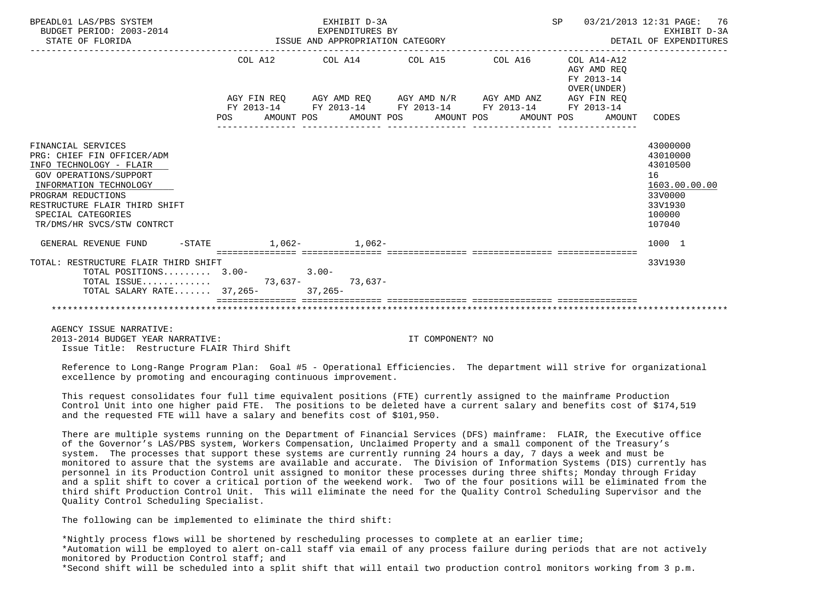| BPEADL01 LAS/PBS SYSTEM              | EXHIBIT D-3A                                                | SP<br>03/21/2013 12:31 PAGE: 76<br>EXHIBIT D-3A<br>DETAIL OF EXPENDITURES |                                                          |               |  |
|--------------------------------------|-------------------------------------------------------------|---------------------------------------------------------------------------|----------------------------------------------------------|---------------|--|
|                                      | COL A12 COL A14 COL A15 COL A16                             |                                                                           | COL A14-A12<br>AGY AMD REO<br>FY 2013-14<br>OVER (UNDER) |               |  |
|                                      | AGY FIN REQ AGY AMD REQ AGY AMD N/R AGY AMD ANZ AGY FIN REQ |                                                                           |                                                          |               |  |
|                                      | FY 2013-14 FY 2013-14 FY 2013-14 FY 2013-14                 |                                                                           | FY 2013-14                                               |               |  |
|                                      | POS AMOUNT POS AMOUNT POS AMOUNT POS AMOUNT POS AMOUNT      |                                                                           |                                                          | CODES         |  |
| FINANCIAL SERVICES                   |                                                             |                                                                           |                                                          | 43000000      |  |
| PRG: CHIEF FIN OFFICER/ADM           |                                                             |                                                                           |                                                          | 43010000      |  |
| INFO TECHNOLOGY - FLAIR              |                                                             |                                                                           |                                                          | 43010500      |  |
| <b>GOV OPERATIONS/SUPPORT</b>        |                                                             |                                                                           |                                                          | 16            |  |
| INFORMATION TECHNOLOGY               |                                                             |                                                                           |                                                          | 1603.00.00.00 |  |
| PROGRAM REDUCTIONS                   |                                                             |                                                                           |                                                          | 33V0000       |  |
| RESTRUCTURE FLAIR THIRD SHIFT        |                                                             |                                                                           |                                                          | 33V1930       |  |
| SPECIAL CATEGORIES                   |                                                             |                                                                           |                                                          | 100000        |  |
| TR/DMS/HR SVCS/STW CONTRCT           |                                                             |                                                                           |                                                          | 107040        |  |
| GENERAL REVENUE FUND                 | $-$ STATE 1.062- 1.062-                                     |                                                                           |                                                          | 1000 1        |  |
| TOTAL: RESTRUCTURE FLAIR THIRD SHIFT |                                                             |                                                                           |                                                          | 33V1930       |  |
| TOTAL POSITIONS $3.00-3.00-$         |                                                             |                                                                           |                                                          |               |  |
| TOTAL ISSUE 73,637- 73,637-          |                                                             |                                                                           |                                                          |               |  |
| TOTAL SALARY RATE 37,265- 37,265-    |                                                             |                                                                           |                                                          |               |  |
|                                      |                                                             |                                                                           |                                                          |               |  |

 AGENCY ISSUE NARRATIVE: 2013-2014 BUDGET YEAR NARRATIVE: IT COMPONENT? NO Issue Title: Restructure FLAIR Third Shift

 Reference to Long-Range Program Plan: Goal #5 - Operational Efficiencies. The department will strive for organizational excellence by promoting and encouraging continuous improvement.

 This request consolidates four full time equivalent positions (FTE) currently assigned to the mainframe Production Control Unit into one higher paid FTE. The positions to be deleted have a current salary and benefits cost of \$174,519 and the requested FTE will have a salary and benefits cost of \$101,950.

 There are multiple systems running on the Department of Financial Services (DFS) mainframe: FLAIR, the Executive office of the Governor's LAS/PBS system, Workers Compensation, Unclaimed Property and a small component of the Treasury's system. The processes that support these systems are currently running 24 hours a day, 7 days a week and must be monitored to assure that the systems are available and accurate. The Division of Information Systems (DIS) currently has personnel in its Production Control unit assigned to monitor these processes during three shifts; Monday through Friday and a split shift to cover a critical portion of the weekend work. Two of the four positions will be eliminated from the third shift Production Control Unit. This will eliminate the need for the Quality Control Scheduling Supervisor and the Quality Control Scheduling Specialist.

The following can be implemented to eliminate the third shift:

 \*Nightly process flows will be shortened by rescheduling processes to complete at an earlier time; \*Automation will be employed to alert on-call staff via email of any process failure during periods that are not actively monitored by Production Control staff; and \*Second shift will be scheduled into a split shift that will entail two production control monitors working from 3 p.m.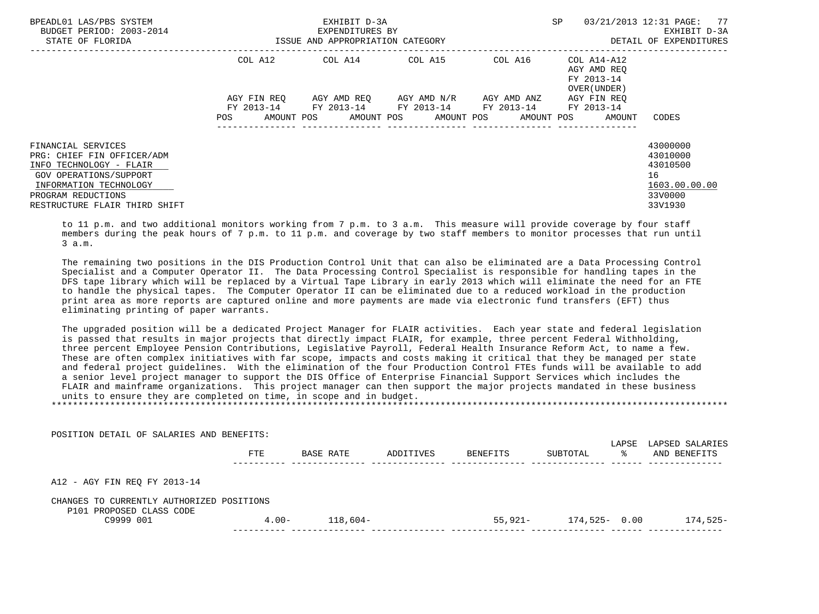| BPEADL01 LAS/PBS SYSTEM<br>BUDGET PERIOD: 2003-2014<br>STATE OF FLORIDA                                                                                                                |                                             | EXHIBIT D-3A<br>EXPENDITURES BY<br>ISSUE AND APPROPRIATION CATEGORY       | SP                                                                     | 03/21/2013 12:31 PAGE: 77<br>EXHIBIT D-3A<br>DETAIL OF EXPENDITURES                                     |                                                                               |
|----------------------------------------------------------------------------------------------------------------------------------------------------------------------------------------|---------------------------------------------|---------------------------------------------------------------------------|------------------------------------------------------------------------|---------------------------------------------------------------------------------------------------------|-------------------------------------------------------------------------------|
|                                                                                                                                                                                        | COL A12<br>AGY FIN REO<br>AMOUNT POS<br>POS | COL A14 COL A15<br>FY 2013-14 FY 2013-14 FY 2013-14 FY 2013-14 FY 2013-14 | AGY AMD REO      AGY AMD N/R      AGY AMD ANZ<br>AMOUNT POS AMOUNT POS | COL A16 COL A14-A12<br>AGY AMD REO<br>FY 2013-14<br>OVER (UNDER)<br>AGY FIN REO<br>AMOUNT POS<br>AMOUNT | CODES                                                                         |
| FINANCIAL SERVICES<br>PRG: CHIEF FIN OFFICER/ADM<br>INFO TECHNOLOGY - FLAIR<br>GOV OPERATIONS/SUPPORT<br>INFORMATION TECHNOLOGY<br>PROGRAM REDUCTIONS<br>RESTRUCTURE FLAIR THIRD SHIFT |                                             |                                                                           |                                                                        |                                                                                                         | 43000000<br>43010000<br>43010500<br>16<br>1603.00.00.00<br>33V0000<br>33V1930 |

 to 11 p.m. and two additional monitors working from 7 p.m. to 3 a.m. This measure will provide coverage by four staff members during the peak hours of 7 p.m. to 11 p.m. and coverage by two staff members to monitor processes that run until 3 a.m.

 The remaining two positions in the DIS Production Control Unit that can also be eliminated are a Data Processing Control Specialist and a Computer Operator II. The Data Processing Control Specialist is responsible for handling tapes in the DFS tape library which will be replaced by a Virtual Tape Library in early 2013 which will eliminate the need for an FTE to handle the physical tapes. The Computer Operator II can be eliminated due to a reduced workload in the production print area as more reports are captured online and more payments are made via electronic fund transfers (EFT) thus eliminating printing of paper warrants.

 The upgraded position will be a dedicated Project Manager for FLAIR activities. Each year state and federal legislation is passed that results in major projects that directly impact FLAIR, for example, three percent Federal Withholding, three percent Employee Pension Contributions, Legislative Payroll, Federal Health Insurance Reform Act, to name a few. These are often complex initiatives with far scope, impacts and costs making it critical that they be managed per state and federal project guidelines. With the elimination of the four Production Control FTEs funds will be available to add a senior level project manager to support the DIS Office of Enterprise Financial Support Services which includes the FLAIR and mainframe organizations. This project manager can then support the major projects mandated in these business units to ensure they are completed on time, in scope and in budget. \*\*\*\*\*\*\*\*\*\*\*\*\*\*\*\*\*\*\*\*\*\*\*\*\*\*\*\*\*\*\*\*\*\*\*\*\*\*\*\*\*\*\*\*\*\*\*\*\*\*\*\*\*\*\*\*\*\*\*\*\*\*\*\*\*\*\*\*\*\*\*\*\*\*\*\*\*\*\*\*\*\*\*\*\*\*\*\*\*\*\*\*\*\*\*\*\*\*\*\*\*\*\*\*\*\*\*\*\*\*\*\*\*\*\*\*\*\*\*\*\*\*\*\*\*\*\*

 POSITION DETAIL OF SALARIES AND BENEFITS: LAPSE LAPSED SALARIES FTE BASE RATE ADDITIVES BENEFITS SUBTOTAL % AND BENEFITS ---------- -------------- -------------- -------------- -------------- ------ -------------- A12 - AGY FIN REQ FY 2013-14 CHANGES TO CURRENTLY AUTHORIZED POSITIONS P101 PROPOSED CLASS CODE<br>C9999 001 4.00- 118,604- 55,921- 174,525- 0.00 174,525----------- -------------- -------------- -------------- -------------- ------ --------------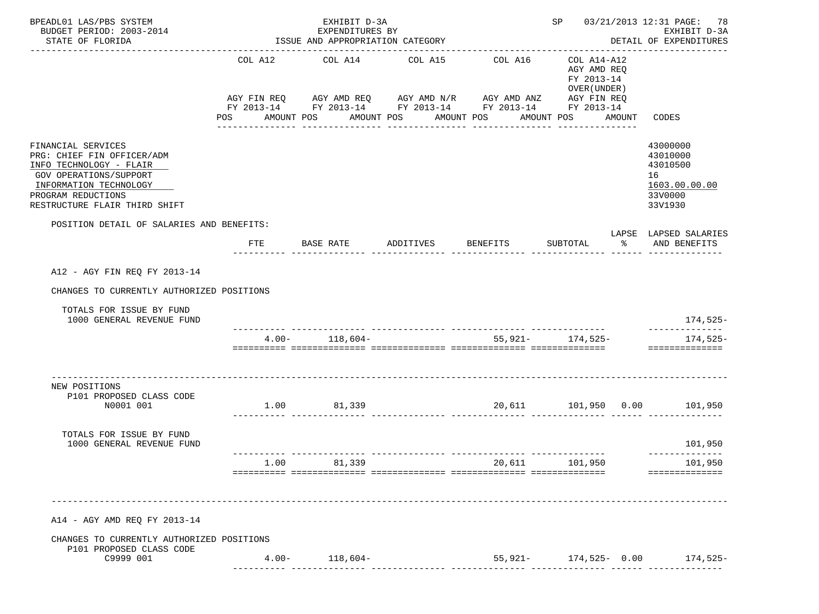| BPEADL01 LAS/PBS SYSTEM<br>BUDGET PERIOD: 2003-2014<br>STATE OF FLORIDA                                                                                                                |                | EXHIBIT D-3A<br>EXPENDITURES BY<br>ISSUE AND APPROPRIATION CATEGORY                                                                              |                                     | SP 03/21/2013 12:31 PAGE: 78<br>EXHIBIT D-3A<br>DETAIL OF EXPENDITURES |                                                                                            |        |                                                                               |
|----------------------------------------------------------------------------------------------------------------------------------------------------------------------------------------|----------------|--------------------------------------------------------------------------------------------------------------------------------------------------|-------------------------------------|------------------------------------------------------------------------|--------------------------------------------------------------------------------------------|--------|-------------------------------------------------------------------------------|
|                                                                                                                                                                                        | POS AMOUNT POS | COL A12 COL A14 COL A15<br>AGY FIN REQ AGY AMD REQ AGY AMD N/R AGY AMD ANZ AGY FIN REQ<br>FY 2013-14 FY 2013-14 FY 2013-14 FY 2013-14 FY 2013-14 | AMOUNT POS AMOUNT POS               | COL A16                                                                | COL A14-A12<br>AGY AMD REO<br>FY 2013-14<br>OVER (UNDER)<br>AMOUNT POS<br>________________ | AMOUNT | CODES                                                                         |
| FINANCIAL SERVICES<br>PRG: CHIEF FIN OFFICER/ADM<br>INFO TECHNOLOGY - FLAIR<br>GOV OPERATIONS/SUPPORT<br>INFORMATION TECHNOLOGY<br>PROGRAM REDUCTIONS<br>RESTRUCTURE FLAIR THIRD SHIFT |                |                                                                                                                                                  |                                     |                                                                        |                                                                                            |        | 43000000<br>43010000<br>43010500<br>16<br>1603.00.00.00<br>33V0000<br>33V1930 |
| POSITION DETAIL OF SALARIES AND BENEFITS:                                                                                                                                              | FTE            | BASE RATE                                                                                                                                        | ADDITIVES                           | BENEFITS                                                               | SUBTOTAL                                                                                   | ာ အော  | LAPSE LAPSED SALARIES<br>AND BENEFITS                                         |
| A12 - AGY FIN REQ FY 2013-14<br>CHANGES TO CURRENTLY AUTHORIZED POSITIONS<br>TOTALS FOR ISSUE BY FUND<br>1000 GENERAL REVENUE FUND                                                     |                | $4.00 - 118,604 -$                                                                                                                               |                                     | $55,921 - 174,525 -$                                                   |                                                                                            |        | 174,525-<br>174,525-<br>==============                                        |
| NEW POSITIONS<br>P101 PROPOSED CLASS CODE<br>N0001 001                                                                                                                                 |                | 1.00 81,339                                                                                                                                      | $20,611$ $101,950$ $0.00$ $101,950$ |                                                                        |                                                                                            |        |                                                                               |
| TOTALS FOR ISSUE BY FUND<br>1000 GENERAL REVENUE FUND                                                                                                                                  |                |                                                                                                                                                  |                                     |                                                                        |                                                                                            |        | 101,950                                                                       |
|                                                                                                                                                                                        | 1.00           | 81,339                                                                                                                                           |                                     |                                                                        |                                                                                            |        | 20,611 101,950 101,950<br>seesseesseesse                                      |
| A14 - AGY AMD REQ FY 2013-14<br>CHANGES TO CURRENTLY AUTHORIZED POSITIONS<br>P101 PROPOSED CLASS CODE<br>C9999 001                                                                     |                | $4.00 - 118,604 -$                                                                                                                               |                                     |                                                                        |                                                                                            |        | 55,921- 174,525- 0.00 174,525-                                                |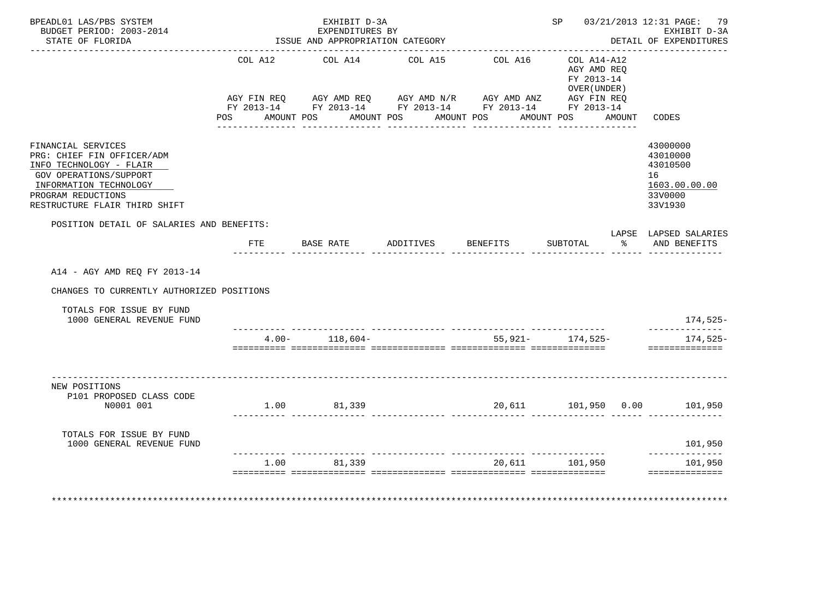| BPEADL01 LAS/PBS SYSTEM<br>BUDGET PERIOD: 2003-2014<br>STATE OF FLORIDA |            | EXHIBIT D-3A<br>EXPENDITURES BY<br>ISSUE AND APPROPRIATION CATEGORY                                                                                                                                                                                                                                                                                                                                                                                                  |                       |         |                                                          |        | SP 03/21/2013 12:31 PAGE: 79<br>EXHIBIT D-3A<br>DETAIL OF EXPENDITURES |
|-------------------------------------------------------------------------|------------|----------------------------------------------------------------------------------------------------------------------------------------------------------------------------------------------------------------------------------------------------------------------------------------------------------------------------------------------------------------------------------------------------------------------------------------------------------------------|-----------------------|---------|----------------------------------------------------------|--------|------------------------------------------------------------------------|
|                                                                         | COL A12    | COL A14                                                                                                                                                                                                                                                                                                                                                                                                                                                              | COL A15               | COL A16 | COL A14-A12<br>AGY AMD REO<br>FY 2013-14<br>OVER (UNDER) |        |                                                                        |
|                                                                         |            | $\verb AGY FIN REQ  \qquad \verb AGY AMD REQ  \qquad \verb AGY AMD N/R  \qquad \verb AGY AMD ANZ  \qquad \verb AGY FIN REQ  \qquad \verb AGY SNR0  \qquad \verb AGY IN REQ  \qquad \verb AGY AMD ANZ  \qquad \verb AGY FIN REQ  \qquad \verb AGY AMD ANZ  \qquad \verb AGY EN REC  \qquad \verb AGY AMD ANZ  \qquad \verb AGY EN REC  \qquad \verb AGY AMD ANZ  \qquad \verb AGY EN REC  \qquad \verb AGY AMD ANZ  \qquad \verb AGY EN REC  \qquad \verb AGY AMD AN$ |                       |         |                                                          |        |                                                                        |
|                                                                         | <b>POS</b> | FY 2013-14 FY 2013-14 FY 2013-14 FY 2013-14 FY 2013-14<br>AMOUNT POS                                                                                                                                                                                                                                                                                                                                                                                                 | AMOUNT POS AMOUNT POS |         | AMOUNT POS                                               | AMOUNT | CODES                                                                  |
| FINANCIAL SERVICES                                                      |            |                                                                                                                                                                                                                                                                                                                                                                                                                                                                      |                       |         |                                                          |        | 43000000                                                               |
| PRG: CHIEF FIN OFFICER/ADM                                              |            |                                                                                                                                                                                                                                                                                                                                                                                                                                                                      |                       |         |                                                          |        | 43010000                                                               |
| INFO TECHNOLOGY - FLAIR<br>GOV OPERATIONS/SUPPORT                       |            |                                                                                                                                                                                                                                                                                                                                                                                                                                                                      |                       |         |                                                          |        | 43010500<br>16                                                         |
| INFORMATION TECHNOLOGY                                                  |            |                                                                                                                                                                                                                                                                                                                                                                                                                                                                      |                       |         |                                                          |        | 1603.00.00.00                                                          |
| PROGRAM REDUCTIONS                                                      |            |                                                                                                                                                                                                                                                                                                                                                                                                                                                                      |                       |         |                                                          |        | 33V0000                                                                |
| RESTRUCTURE FLAIR THIRD SHIFT                                           |            |                                                                                                                                                                                                                                                                                                                                                                                                                                                                      |                       |         |                                                          |        | 33V1930                                                                |
| POSITION DETAIL OF SALARIES AND BENEFITS:                               |            |                                                                                                                                                                                                                                                                                                                                                                                                                                                                      |                       |         |                                                          |        |                                                                        |
|                                                                         |            |                                                                                                                                                                                                                                                                                                                                                                                                                                                                      |                       |         |                                                          |        | LAPSE LAPSED SALARIES                                                  |
|                                                                         | FTE        |                                                                                                                                                                                                                                                                                                                                                                                                                                                                      |                       |         |                                                          | ႜ      | AND BENEFITS                                                           |
| A14 - AGY AMD REQ FY 2013-14                                            |            |                                                                                                                                                                                                                                                                                                                                                                                                                                                                      |                       |         |                                                          |        |                                                                        |
| CHANGES TO CURRENTLY AUTHORIZED POSITIONS                               |            |                                                                                                                                                                                                                                                                                                                                                                                                                                                                      |                       |         |                                                          |        |                                                                        |
| TOTALS FOR ISSUE BY FUND<br>1000 GENERAL REVENUE FUND                   |            |                                                                                                                                                                                                                                                                                                                                                                                                                                                                      |                       |         |                                                          |        | 174,525-                                                               |
|                                                                         |            |                                                                                                                                                                                                                                                                                                                                                                                                                                                                      |                       |         |                                                          |        | ______________                                                         |
|                                                                         |            | $4.00 - 118,604 -$                                                                                                                                                                                                                                                                                                                                                                                                                                                   |                       |         | 55,921- 174,525-                                         |        | $174,525-$<br>==============                                           |
| NEW POSITIONS                                                           |            |                                                                                                                                                                                                                                                                                                                                                                                                                                                                      |                       |         |                                                          |        |                                                                        |
| P101 PROPOSED CLASS CODE                                                |            |                                                                                                                                                                                                                                                                                                                                                                                                                                                                      |                       |         |                                                          |        |                                                                        |
| N0001 001                                                               |            | 1.00 81,339                                                                                                                                                                                                                                                                                                                                                                                                                                                          |                       |         |                                                          |        | 20,611   101,950   0.00   101,950                                      |
| TOTALS FOR ISSUE BY FUND<br>1000 GENERAL REVENUE FUND                   |            |                                                                                                                                                                                                                                                                                                                                                                                                                                                                      |                       |         |                                                          |        | 101,950                                                                |
|                                                                         | 1.00       | 81,339                                                                                                                                                                                                                                                                                                                                                                                                                                                               |                       | 20,611  | 101,950                                                  |        | --------------<br>101,950                                              |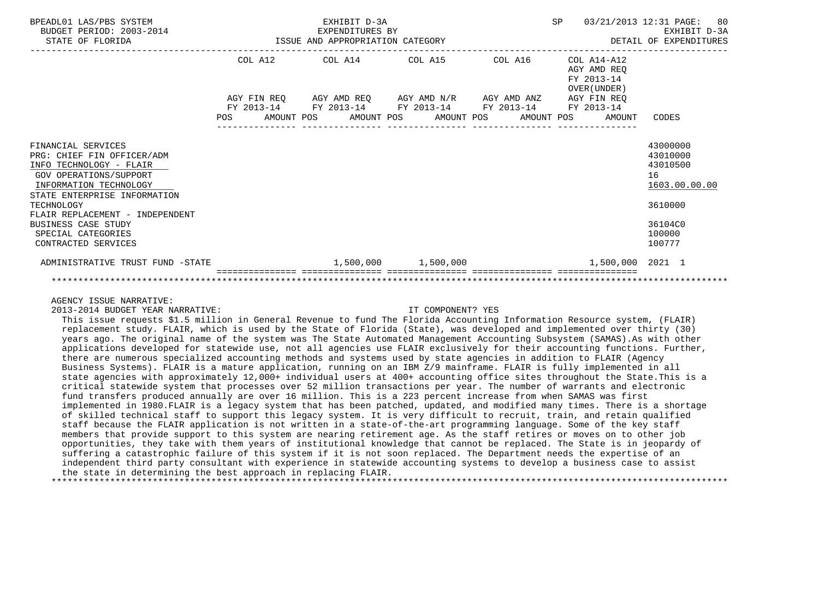| BPEADL01 LAS/PBS SYSTEM<br>BUDGET PERIOD: 2003-2014<br>STATE OF FLORIDA                                                                                         |  |  |                                 | EXHIBIT D-3A |  | SP<br>03/21/2013 12:31 PAGE:<br>80<br>EXHIBIT D-3A<br>EXPENDITURES BY<br>ISSUE AND APPROPRIATION CATEGORY<br>DETAIL OF EXPENDITURES |  |  |  |                                                              |                                                         |
|-----------------------------------------------------------------------------------------------------------------------------------------------------------------|--|--|---------------------------------|--------------|--|-------------------------------------------------------------------------------------------------------------------------------------|--|--|--|--------------------------------------------------------------|---------------------------------------------------------|
|                                                                                                                                                                 |  |  | COL A12 COL A14 COL A15 COL A16 |              |  |                                                                                                                                     |  |  |  | COL A14-A12<br>AGY AMD REO<br>FY 2013-14<br>OVER (UNDER)     |                                                         |
|                                                                                                                                                                 |  |  |                                 |              |  | AGY FIN REQ AGY AMD REQ AGY AMD N/R AGY AMD ANZ AGY FIN REQ                                                                         |  |  |  |                                                              |                                                         |
|                                                                                                                                                                 |  |  |                                 |              |  | FY 2013-14 FY 2013-14 FY 2013-14 FY 2013-14 FY 2013-14                                                                              |  |  |  | POS AMOUNT POS AMOUNT POS AMOUNT POS AMOUNT POS AMOUNT CODES |                                                         |
| FINANCIAL SERVICES<br>PRG: CHIEF FIN OFFICER/ADM<br>INFO TECHNOLOGY - FLAIR<br>GOV OPERATIONS/SUPPORT<br>INFORMATION TECHNOLOGY<br>STATE ENTERPRISE INFORMATION |  |  |                                 |              |  |                                                                                                                                     |  |  |  |                                                              | 43000000<br>43010000<br>43010500<br>16<br>1603.00.00.00 |
| TECHNOLOGY<br>FLAIR REPLACEMENT - INDEPENDENT                                                                                                                   |  |  |                                 |              |  |                                                                                                                                     |  |  |  |                                                              | 3610000                                                 |
| <b>BUSINESS CASE STUDY</b><br>SPECIAL CATEGORIES<br>CONTRACTED SERVICES                                                                                         |  |  |                                 |              |  |                                                                                                                                     |  |  |  |                                                              | 36104C0<br>100000<br>100777                             |
| ADMINISTRATIVE TRUST FUND -STATE                                                                                                                                |  |  |                                 |              |  | $1,500,000$ $1,500,000$                                                                                                             |  |  |  | $1.500.000$ 2021 1                                           |                                                         |
|                                                                                                                                                                 |  |  |                                 |              |  |                                                                                                                                     |  |  |  |                                                              |                                                         |

AGENCY ISSUE NARRATIVE:

2013-2014 BUDGET YEAR NARRATIVE: IT COMPONENT? YES

 This issue requests \$1.5 million in General Revenue to fund The Florida Accounting Information Resource system, (FLAIR) replacement study. FLAIR, which is used by the State of Florida (State), was developed and implemented over thirty (30) years ago. The original name of the system was The State Automated Management Accounting Subsystem (SAMAS).As with other applications developed for statewide use, not all agencies use FLAIR exclusively for their accounting functions. Further, there are numerous specialized accounting methods and systems used by state agencies in addition to FLAIR (Agency Business Systems). FLAIR is a mature application, running on an IBM Z/9 mainframe. FLAIR is fully implemented in all state agencies with approximately 12,000+ individual users at 400+ accounting office sites throughout the State.This is a critical statewide system that processes over 52 million transactions per year. The number of warrants and electronic fund transfers produced annually are over 16 million. This is a 223 percent increase from when SAMAS was first implemented in 1980.FLAIR is a legacy system that has been patched, updated, and modified many times. There is a shortage of skilled technical staff to support this legacy system. It is very difficult to recruit, train, and retain qualified staff because the FLAIR application is not written in a state-of-the-art programming language. Some of the key staff members that provide support to this system are nearing retirement age. As the staff retires or moves on to other job opportunities, they take with them years of institutional knowledge that cannot be replaced. The State is in jeopardy of suffering a catastrophic failure of this system if it is not soon replaced. The Department needs the expertise of an independent third party consultant with experience in statewide accounting systems to develop a business case to assist the state in determining the best approach in replacing FLAIR. \*\*\*\*\*\*\*\*\*\*\*\*\*\*\*\*\*\*\*\*\*\*\*\*\*\*\*\*\*\*\*\*\*\*\*\*\*\*\*\*\*\*\*\*\*\*\*\*\*\*\*\*\*\*\*\*\*\*\*\*\*\*\*\*\*\*\*\*\*\*\*\*\*\*\*\*\*\*\*\*\*\*\*\*\*\*\*\*\*\*\*\*\*\*\*\*\*\*\*\*\*\*\*\*\*\*\*\*\*\*\*\*\*\*\*\*\*\*\*\*\*\*\*\*\*\*\*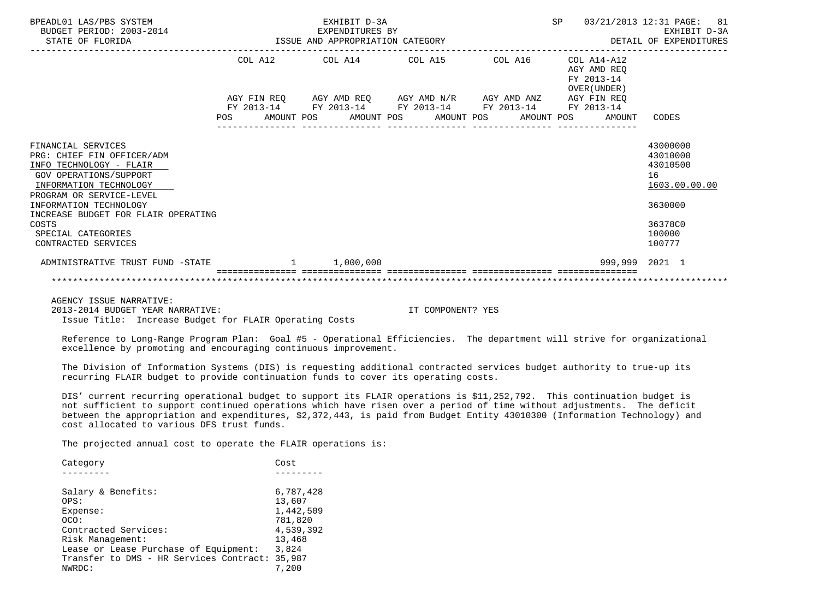| BPEADL01 LAS/PBS SYSTEM<br>BUDGET PERIOD: 2003-2014<br>STATE OF FLORIDA | EXHIBIT D-3A<br>EXPENDITURES BY<br>EXPENDITURES BY<br>ISSUE AND APPROPRIATION CATEGORY |  |  |                                                                                                           |                                                             |                                             |  |  | SP |                                           | 03/21/2013 12:31 PAGE: 81<br>EXHIBIT D-3A<br>DETAIL OF EXPENDITURES |  |
|-------------------------------------------------------------------------|----------------------------------------------------------------------------------------|--|--|-----------------------------------------------------------------------------------------------------------|-------------------------------------------------------------|---------------------------------------------|--|--|----|-------------------------------------------|---------------------------------------------------------------------|--|
|                                                                         |                                                                                        |  |  |                                                                                                           |                                                             | COL A12 COL A14 COL A15 COL A16 COL A14-A12 |  |  |    | AGY AMD REO<br>FY 2013-14<br>OVER (UNDER) |                                                                     |  |
|                                                                         |                                                                                        |  |  |                                                                                                           | AGY FIN REQ AGY AMD REQ AGY AMD N/R AGY AMD ANZ AGY FIN REQ |                                             |  |  |    |                                           |                                                                     |  |
|                                                                         |                                                                                        |  |  | FY 2013-14 FY 2013-14 FY 2013-14 FY 2013-14 FY 2013-14<br>POS AMOUNT POS AMOUNT POS AMOUNT POS AMOUNT POS |                                                             |                                             |  |  |    | AMOUNT                                    | CODES                                                               |  |
| FINANCIAL SERVICES                                                      |                                                                                        |  |  |                                                                                                           |                                                             |                                             |  |  |    |                                           | 43000000                                                            |  |
| PRG: CHIEF FIN OFFICER/ADM                                              |                                                                                        |  |  |                                                                                                           |                                                             |                                             |  |  |    |                                           | 43010000                                                            |  |
| INFO TECHNOLOGY - FLAIR<br>GOV OPERATIONS/SUPPORT                       |                                                                                        |  |  |                                                                                                           |                                                             |                                             |  |  |    |                                           | 43010500<br>16                                                      |  |
| INFORMATION TECHNOLOGY                                                  |                                                                                        |  |  |                                                                                                           |                                                             |                                             |  |  |    |                                           | 1603.00.00.00                                                       |  |
| PROGRAM OR SERVICE-LEVEL                                                |                                                                                        |  |  |                                                                                                           |                                                             |                                             |  |  |    |                                           |                                                                     |  |
| INFORMATION TECHNOLOGY                                                  |                                                                                        |  |  |                                                                                                           |                                                             |                                             |  |  |    |                                           | 3630000                                                             |  |
| INCREASE BUDGET FOR FLAIR OPERATING<br>COSTS                            |                                                                                        |  |  |                                                                                                           |                                                             |                                             |  |  |    |                                           | 36378C0                                                             |  |
| SPECIAL CATEGORIES                                                      |                                                                                        |  |  |                                                                                                           |                                                             |                                             |  |  |    |                                           | 100000                                                              |  |
| CONTRACTED SERVICES                                                     |                                                                                        |  |  |                                                                                                           |                                                             |                                             |  |  |    |                                           | 100777                                                              |  |
| ADMINISTRATIVE TRUST FUND -STATE 1 1,000,000                            |                                                                                        |  |  |                                                                                                           |                                                             |                                             |  |  |    | 999.999 2021 1                            |                                                                     |  |
|                                                                         |                                                                                        |  |  |                                                                                                           |                                                             |                                             |  |  |    |                                           |                                                                     |  |
| AGENCY ISSUE NARRATIVE:                                                 |                                                                                        |  |  |                                                                                                           |                                                             |                                             |  |  |    |                                           |                                                                     |  |

2013-2014 BUDGET YEAR NARRATIVE: IT COMPONENT? YES

Issue Title: Increase Budget for FLAIR Operating Costs

 Reference to Long-Range Program Plan: Goal #5 - Operational Efficiencies. The department will strive for organizational excellence by promoting and encouraging continuous improvement.

 The Division of Information Systems (DIS) is requesting additional contracted services budget authority to true-up its recurring FLAIR budget to provide continuation funds to cover its operating costs.

 DIS' current recurring operational budget to support its FLAIR operations is \$11,252,792. This continuation budget is not sufficient to support continued operations which have risen over a period of time without adjustments. The deficit between the appropriation and expenditures, \$2,372,443, is paid from Budget Entity 43010300 (Information Technology) and cost allocated to various DFS trust funds.

The projected annual cost to operate the FLAIR operations is:

| Category                                | Cost      |
|-----------------------------------------|-----------|
|                                         |           |
| Salary & Benefits:                      | 6,787,428 |
| OPS:                                    | 13,607    |
| Expense:                                | 1,442,509 |
| OCO:                                    | 781,820   |
| Contracted Services:                    | 4,539,392 |
| Risk Management:                        | 13,468    |
| Lease or Lease Purchase of Equipment:   | 3,824     |
| Transfer to DMS - HR Services Contract: | 35,987    |
| NWRDC:                                  | 7.200     |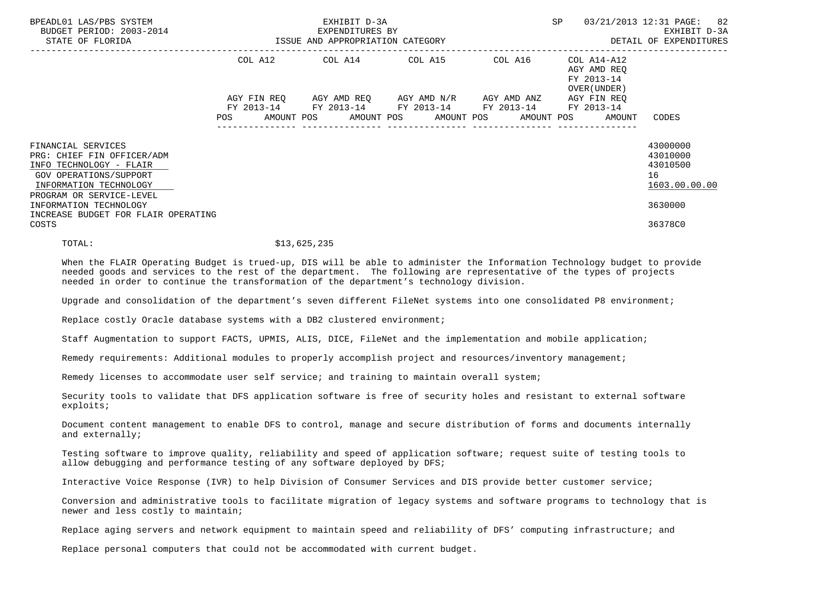| BPEADL01 LAS/PBS SYSTEM<br>BUDGET PERIOD: 2003-2014<br>STATE OF FLORIDA                                                                                                               |                    | EXHIBIT D-3A<br>EXPENDITURES BY<br>ISSUE AND APPROPRIATION CATEGORY |                                                                                                                        |         | 03/21/2013 12:31 PAGE: 82<br>SP<br>EXHIBIT D-3A<br>DETAIL OF EXPENDITURES |                                                                    |  |  |
|---------------------------------------------------------------------------------------------------------------------------------------------------------------------------------------|--------------------|---------------------------------------------------------------------|------------------------------------------------------------------------------------------------------------------------|---------|---------------------------------------------------------------------------|--------------------------------------------------------------------|--|--|
|                                                                                                                                                                                       |                    |                                                                     | COL A12 COL A14 COL A15                                                                                                | COL A16 | COL A14-A12<br>AGY AMD REO<br>FY 2013-14<br>OVER (UNDER)                  |                                                                    |  |  |
|                                                                                                                                                                                       | AGY FIN REO<br>POS |                                                                     | AGY AMD REQ AGY AMD N/R AGY AMD ANZ<br>FY 2013-14 FY 2013-14 FY 2013-14 FY 2013-14<br>AMOUNT POS AMOUNT POS AMOUNT POS |         | AGY FIN REQ<br>FY 2013-14<br>AMOUNT POS<br>AMOUNT                         | CODES                                                              |  |  |
| FINANCIAL SERVICES<br>PRG: CHIEF FIN OFFICER/ADM<br>INFO TECHNOLOGY - FLAIR<br>GOV OPERATIONS/SUPPORT<br>INFORMATION TECHNOLOGY<br>PROGRAM OR SERVICE-LEVEL<br>INFORMATION TECHNOLOGY |                    |                                                                     |                                                                                                                        |         |                                                                           | 43000000<br>43010000<br>43010500<br>16<br>1603.00.00.00<br>3630000 |  |  |
| INCREASE BUDGET FOR FLAIR OPERATING<br>COSTS                                                                                                                                          |                    |                                                                     |                                                                                                                        |         |                                                                           | 36378C0                                                            |  |  |

TOTAL: \$13,625,235

 When the FLAIR Operating Budget is trued-up, DIS will be able to administer the Information Technology budget to provide needed goods and services to the rest of the department. The following are representative of the types of projects needed in order to continue the transformation of the department's technology division.

Upgrade and consolidation of the department's seven different FileNet systems into one consolidated P8 environment;

Replace costly Oracle database systems with a DB2 clustered environment;

Staff Augmentation to support FACTS, UPMIS, ALIS, DICE, FileNet and the implementation and mobile application;

Remedy requirements: Additional modules to properly accomplish project and resources/inventory management;

Remedy licenses to accommodate user self service; and training to maintain overall system;

 Security tools to validate that DFS application software is free of security holes and resistant to external software exploits;

 Document content management to enable DFS to control, manage and secure distribution of forms and documents internally and externally;

 Testing software to improve quality, reliability and speed of application software; request suite of testing tools to allow debugging and performance testing of any software deployed by DFS;

Interactive Voice Response (IVR) to help Division of Consumer Services and DIS provide better customer service;

 Conversion and administrative tools to facilitate migration of legacy systems and software programs to technology that is newer and less costly to maintain;

Replace aging servers and network equipment to maintain speed and reliability of DFS' computing infrastructure; and

Replace personal computers that could not be accommodated with current budget.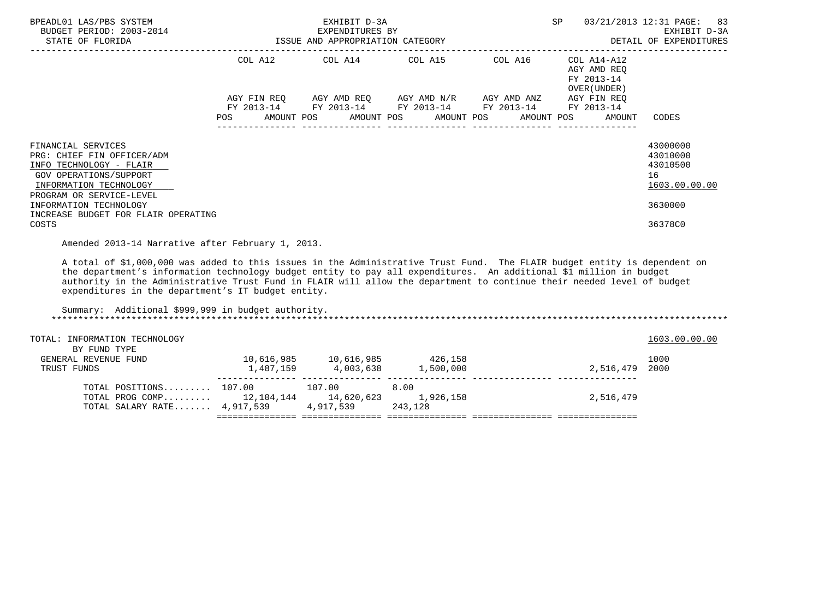| BPEADL01 LAS/PBS SYSTEM<br>BUDGET PERIOD: 2003-2014<br>STATE OF FLORIDA                                                                                     | EXHIBIT D-3A<br>EXPENDITURES BY<br>-2014 EXPENDITURES BY<br>ISSUE AND APPROPRIATION CATEGORY |  |  |  |  | 03/21/2013 12:31 PAGE: 83<br>SP<br>EXHIBIT D-3A<br>DETAIL OF EXPENDITURES |                                                                                                                                               |  |                                                           |                                                         |
|-------------------------------------------------------------------------------------------------------------------------------------------------------------|----------------------------------------------------------------------------------------------|--|--|--|--|---------------------------------------------------------------------------|-----------------------------------------------------------------------------------------------------------------------------------------------|--|-----------------------------------------------------------|---------------------------------------------------------|
|                                                                                                                                                             |                                                                                              |  |  |  |  |                                                                           | COL A12 COL A14 COL A15 COL A16                                                                                                               |  | COL A14-A12<br>AGY AMD REO<br>FY 2013-14<br>OVER (UNDER ) |                                                         |
|                                                                                                                                                             | <b>POS</b>                                                                                   |  |  |  |  |                                                                           | AGY FIN REO AGY AMD REO AGY AMD N/R AGY AMD ANZ<br>FY 2013-14 FY 2013-14 FY 2013-14 FY 2013-14<br>AMOUNT POS AMOUNT POS AMOUNT POS AMOUNT POS |  | AGY FIN REO<br>FY 2013-14<br>AMOUNT                       | CODES                                                   |
| FINANCIAL SERVICES<br>PRG: CHIEF FIN OFFICER/ADM<br>INFO TECHNOLOGY - FLAIR<br>GOV OPERATIONS/SUPPORT<br>INFORMATION TECHNOLOGY<br>PROGRAM OR SERVICE-LEVEL |                                                                                              |  |  |  |  |                                                                           |                                                                                                                                               |  |                                                           | 43000000<br>43010000<br>43010500<br>16<br>1603.00.00.00 |
| INFORMATION TECHNOLOGY<br>INCREASE BUDGET FOR FLAIR OPERATING<br>COSTS                                                                                      |                                                                                              |  |  |  |  |                                                                           |                                                                                                                                               |  |                                                           | 3630000<br>36378C0                                      |
| Amended 2013-14 Narrative after February 1, 2013.                                                                                                           |                                                                                              |  |  |  |  |                                                                           |                                                                                                                                               |  |                                                           |                                                         |

 A total of \$1,000,000 was added to this issues in the Administrative Trust Fund. The FLAIR budget entity is dependent on the department's information technology budget entity to pay all expenditures. An additional \$1 million in budget authority in the Administrative Trust Fund in FLAIR will allow the department to continue their needed level of budget expenditures in the department's IT budget entity.

| Summary: Additional \$999,999 in budget authority. |            |            |           |           |               |
|----------------------------------------------------|------------|------------|-----------|-----------|---------------|
| TOTAL: INFORMATION TECHNOLOGY                      |            |            |           |           | 1603.00.00.00 |
| BY FUND TYPE                                       |            |            |           |           |               |
| GENERAL REVENUE FUND                               | 10,616,985 | 10,616,985 | 426,158   |           | 1000          |
| TRUST FUNDS                                        | 1,487,159  | 4,003,638  | 1,500,000 | 2,516,479 | 2000          |
| TOTAL POSITIONS 107.00                             |            | 107.00     | 8.00      |           |               |
| TOTAL PROG COMP                                    | 12,104,144 | 14,620,623 | 1,926,158 | 2,516,479 |               |
| TOTAL SALARY RATE 4,917,539                        |            | 4,917,539  | 243,128   |           |               |
|                                                    |            |            |           |           |               |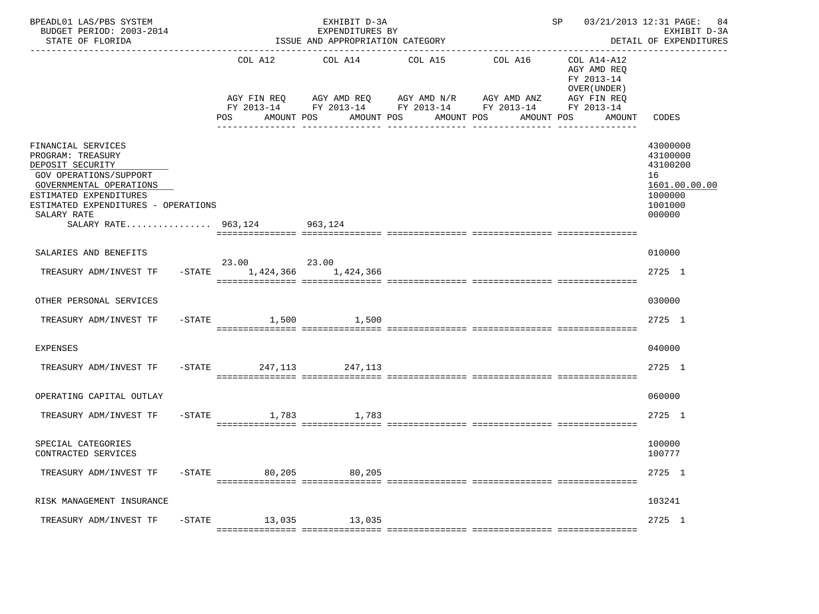| BPEADL01 LAS/PBS SYSTEM<br>BUDGET PERIOD: 2003-2014<br>STATE OF FLORIDA                                                                                                                                                         |                   |                              | EXHIBIT D-3A<br>EXPENDITURES BY<br>ISSUE AND APPROPRIATION CATEGORY<br>___________________________ |                                                                                                                                        | ____________________________________ | SP 03/21/2013 12:31 PAGE:                                                                       | 84<br>EXHIBIT D-3A<br>DETAIL OF EXPENDITURES                                            |
|---------------------------------------------------------------------------------------------------------------------------------------------------------------------------------------------------------------------------------|-------------------|------------------------------|----------------------------------------------------------------------------------------------------|----------------------------------------------------------------------------------------------------------------------------------------|--------------------------------------|-------------------------------------------------------------------------------------------------|-----------------------------------------------------------------------------------------|
|                                                                                                                                                                                                                                 |                   | COL A12<br>POS<br>AMOUNT POS | COL A14<br>AMOUNT POS                                                                              | COL A15<br>AGY FIN REQ AGY AMD REQ AGY AMD N/R AGY AMD ANZ<br>FY 2013-14 FY 2013-14 FY 2013-14 FY 2013-14<br>AMOUNT POS<br>----------- | COL A16<br>AMOUNT POS                | COL A14-A12<br>AGY AMD REQ<br>FY 2013-14<br>OVER (UNDER)<br>AGY FIN REQ<br>FY 2013-14<br>AMOUNT | CODES                                                                                   |
| FINANCIAL SERVICES<br>PROGRAM: TREASURY<br>DEPOSIT SECURITY<br>GOV OPERATIONS/SUPPORT<br>GOVERNMENTAL OPERATIONS<br>ESTIMATED EXPENDITURES<br>ESTIMATED EXPENDITURES - OPERATIONS<br>SALARY RATE<br>SALARY RATE 963,124 963,124 |                   |                              |                                                                                                    |                                                                                                                                        |                                      |                                                                                                 | 43000000<br>43100000<br>43100200<br>16<br>1601.00.00.00<br>1000000<br>1001000<br>000000 |
| SALARIES AND BENEFITS                                                                                                                                                                                                           |                   |                              |                                                                                                    |                                                                                                                                        |                                      |                                                                                                 | 010000                                                                                  |
| TREASURY ADM/INVEST TF                                                                                                                                                                                                          | $-$ STATE         | 23.00 23.00<br>1,424,366     | 1,424,366                                                                                          |                                                                                                                                        |                                      |                                                                                                 | 2725 1                                                                                  |
| OTHER PERSONAL SERVICES                                                                                                                                                                                                         |                   |                              |                                                                                                    |                                                                                                                                        |                                      |                                                                                                 | 030000                                                                                  |
| TREASURY ADM/INVEST TF                                                                                                                                                                                                          | $-$ STATE         |                              | 1,500 1,500                                                                                        |                                                                                                                                        |                                      |                                                                                                 | 2725 1                                                                                  |
| <b>EXPENSES</b>                                                                                                                                                                                                                 |                   |                              |                                                                                                    |                                                                                                                                        |                                      |                                                                                                 | 040000                                                                                  |
| TREASURY ADM/INVEST TF                                                                                                                                                                                                          |                   | -STATE 247, 113 247, 113     |                                                                                                    |                                                                                                                                        |                                      |                                                                                                 | 2725 1                                                                                  |
| OPERATING CAPITAL OUTLAY                                                                                                                                                                                                        |                   |                              |                                                                                                    |                                                                                                                                        |                                      |                                                                                                 | 060000                                                                                  |
| TREASURY ADM/INVEST TF                                                                                                                                                                                                          | $-$ STATE         | 1,783                        | 1,783                                                                                              |                                                                                                                                        |                                      |                                                                                                 | 2725 1                                                                                  |
| SPECIAL CATEGORIES<br>CONTRACTED SERVICES                                                                                                                                                                                       |                   |                              |                                                                                                    |                                                                                                                                        |                                      |                                                                                                 | 100000<br>100777                                                                        |
| TREASURY ADM/INVEST TF                                                                                                                                                                                                          | $-\mathtt{STATE}$ | 80,205                       | 80,205                                                                                             |                                                                                                                                        |                                      |                                                                                                 | 2725 1                                                                                  |
| RISK MANAGEMENT INSURANCE                                                                                                                                                                                                       |                   |                              |                                                                                                    |                                                                                                                                        |                                      |                                                                                                 | 103241                                                                                  |
| TREASURY ADM/INVEST TF                                                                                                                                                                                                          | $-{\rm STATE}$    | 13,035                       | 13,035                                                                                             |                                                                                                                                        |                                      |                                                                                                 | 2725 1                                                                                  |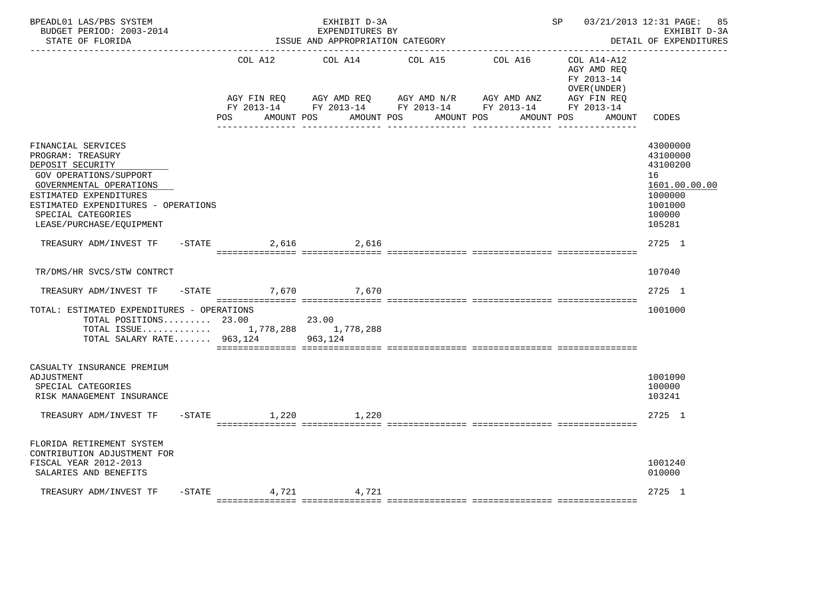| BPEADL01 LAS/PBS SYSTEM<br>BUDGET PERIOD: 2003-2014<br>STATE OF FLORIDA                                                                                                                                                             |           |                                  | EXHIBIT D-3A<br>EXPENDITURES BY<br>ISSUE AND APPROPRIATION CATEGORY                                       |                       |         | SP 03/21/2013 12:31 PAGE:                                | 85<br>EXHIBIT D-3A<br>DETAIL OF EXPENDITURES                                                      |
|-------------------------------------------------------------------------------------------------------------------------------------------------------------------------------------------------------------------------------------|-----------|----------------------------------|-----------------------------------------------------------------------------------------------------------|-----------------------|---------|----------------------------------------------------------|---------------------------------------------------------------------------------------------------|
|                                                                                                                                                                                                                                     |           | COL A12                          | COL A14                                                                                                   | COL A15               | COL A16 | COL A14-A12<br>AGY AMD REQ<br>FY 2013-14<br>OVER (UNDER) |                                                                                                   |
|                                                                                                                                                                                                                                     |           | AGY FIN REQ<br>AMOUNT POS<br>POS | AGY AMD REQ AGY AMD N/R AGY AMD ANZ AGY FIN REQ<br>FY 2013-14 FY 2013-14 FY 2013-14 FY 2013-14 FY 2013-14 | AMOUNT POS AMOUNT POS |         | AMOUNT POS<br>AMOUNT                                     | CODES                                                                                             |
| FINANCIAL SERVICES<br>PROGRAM: TREASURY<br>DEPOSIT SECURITY<br>GOV OPERATIONS/SUPPORT<br>GOVERNMENTAL OPERATIONS<br>ESTIMATED EXPENDITURES<br>ESTIMATED EXPENDITURES - OPERATIONS<br>SPECIAL CATEGORIES<br>LEASE/PURCHASE/EQUIPMENT |           |                                  |                                                                                                           |                       |         |                                                          | 43000000<br>43100000<br>43100200<br>16<br>1601.00.00.00<br>1000000<br>1001000<br>100000<br>105281 |
| TREASURY ADM/INVEST TF -STATE 2,616 2,616                                                                                                                                                                                           |           |                                  |                                                                                                           |                       |         |                                                          | 2725 1                                                                                            |
| TR/DMS/HR SVCS/STW CONTRCT                                                                                                                                                                                                          |           |                                  |                                                                                                           |                       |         |                                                          | 107040                                                                                            |
| TREASURY ADM/INVEST TF                                                                                                                                                                                                              | $-$ STATE |                                  | 7.670 7.670                                                                                               |                       |         |                                                          | $2725$ 1                                                                                          |
| TOTAL: ESTIMATED EXPENDITURES - OPERATIONS<br>TOTAL POSITIONS 23.00 23.00<br>TOTAL ISSUE 1,778,288 1,778,288<br>TOTAL SALARY RATE 963,124 963,124                                                                                   |           |                                  |                                                                                                           |                       |         |                                                          | 1001000                                                                                           |
| CASUALTY INSURANCE PREMIUM<br>ADJUSTMENT<br>SPECIAL CATEGORIES<br>RISK MANAGEMENT INSURANCE                                                                                                                                         |           |                                  |                                                                                                           |                       |         |                                                          | 1001090<br>100000<br>103241                                                                       |
| TREASURY ADM/INVEST TF                                                                                                                                                                                                              |           | -STATE 1,220 1,220               |                                                                                                           |                       |         |                                                          | 2725 1                                                                                            |
| FLORIDA RETIREMENT SYSTEM<br>CONTRIBUTION ADJUSTMENT FOR<br>FISCAL YEAR 2012-2013<br>SALARIES AND BENEFITS                                                                                                                          |           |                                  |                                                                                                           |                       |         |                                                          | 1001240<br>010000                                                                                 |
| TREASURY ADM/INVEST TF                                                                                                                                                                                                              |           |                                  | $-$ STATE 4,721 4,721                                                                                     |                       |         |                                                          | 2725 1                                                                                            |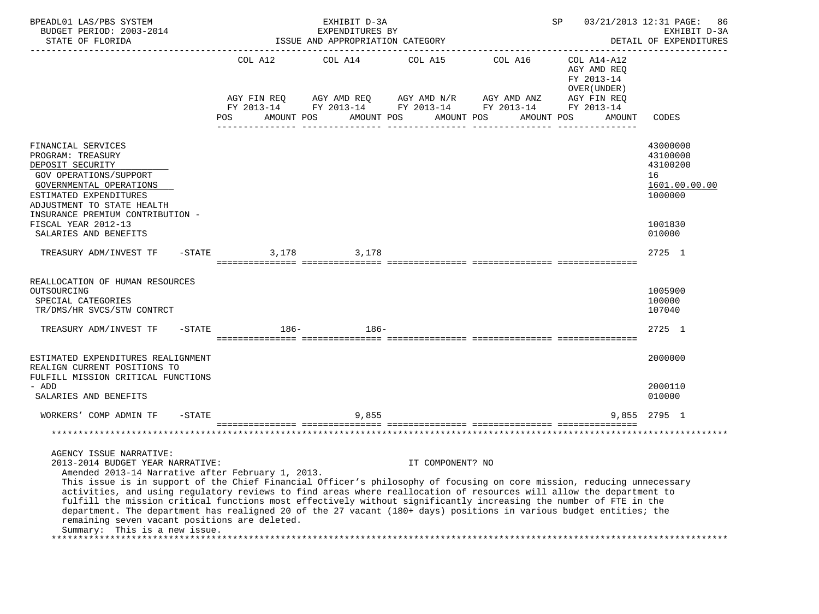| BPEADL01 LAS/PBS SYSTEM<br>BUDGET PERIOD: 2003-2014<br>STATE OF FLORIDA                                                                                                                                                                                                                                                                                                                                                                                                                                                                                                                                                                                                                        |                                      | EXHIBIT D-3A<br>EXPENDITURES BY<br>ISSUE AND APPROPRIATION CATEGORY                  |                       |                                                                      | SP                                                                                               | 03/21/2013 12:31 PAGE:<br>86<br>EXHIBIT D-3A<br>DETAIL OF EXPENDITURES |
|------------------------------------------------------------------------------------------------------------------------------------------------------------------------------------------------------------------------------------------------------------------------------------------------------------------------------------------------------------------------------------------------------------------------------------------------------------------------------------------------------------------------------------------------------------------------------------------------------------------------------------------------------------------------------------------------|--------------------------------------|--------------------------------------------------------------------------------------|-----------------------|----------------------------------------------------------------------|--------------------------------------------------------------------------------------------------|------------------------------------------------------------------------|
|                                                                                                                                                                                                                                                                                                                                                                                                                                                                                                                                                                                                                                                                                                | COL A12<br>AGY FIN REO<br><b>POS</b> | COL A14<br>AGY AMD REQ      AGY AMD N/R      AGY AMD ANZ<br>AMOUNT POS<br>AMOUNT POS | COL A15<br>AMOUNT POS | COL A16<br>FY 2013-14 FY 2013-14 FY 2013-14 FY 2013-14<br>AMOUNT POS | COL A14-A12<br>AGY AMD REQ<br>FY 2013-14<br>OVER (UNDER )<br>AGY FIN REO<br>FY 2013-14<br>AMOUNT | CODES                                                                  |
| FINANCIAL SERVICES<br>PROGRAM: TREASURY<br>DEPOSIT SECURITY<br>GOV OPERATIONS/SUPPORT<br>GOVERNMENTAL OPERATIONS<br>ESTIMATED EXPENDITURES<br>ADJUSTMENT TO STATE HEALTH<br>INSURANCE PREMIUM CONTRIBUTION -                                                                                                                                                                                                                                                                                                                                                                                                                                                                                   |                                      |                                                                                      |                       |                                                                      |                                                                                                  | 43000000<br>43100000<br>43100200<br>16<br>1601.00.00.00<br>1000000     |
| FISCAL YEAR 2012-13<br>SALARIES AND BENEFITS                                                                                                                                                                                                                                                                                                                                                                                                                                                                                                                                                                                                                                                   |                                      |                                                                                      |                       |                                                                      |                                                                                                  | 1001830<br>010000                                                      |
| TREASURY ADM/INVEST TF<br>$-$ STATE                                                                                                                                                                                                                                                                                                                                                                                                                                                                                                                                                                                                                                                            | 3,178                                | 3,178                                                                                |                       |                                                                      |                                                                                                  | 2725 1                                                                 |
| REALLOCATION OF HUMAN RESOURCES<br>OUTSOURCING<br>SPECIAL CATEGORIES<br>TR/DMS/HR SVCS/STW CONTRCT<br>TREASURY ADM/INVEST TF -STATE                                                                                                                                                                                                                                                                                                                                                                                                                                                                                                                                                            | $186-$                               | 186-                                                                                 |                       |                                                                      |                                                                                                  | 1005900<br>100000<br>107040<br>2725 1                                  |
|                                                                                                                                                                                                                                                                                                                                                                                                                                                                                                                                                                                                                                                                                                |                                      |                                                                                      |                       |                                                                      |                                                                                                  |                                                                        |
| ESTIMATED EXPENDITURES REALIGNMENT<br>REALIGN CURRENT POSITIONS TO<br>FULFILL MISSION CRITICAL FUNCTIONS                                                                                                                                                                                                                                                                                                                                                                                                                                                                                                                                                                                       |                                      |                                                                                      |                       |                                                                      |                                                                                                  | 2000000                                                                |
| - ADD<br>SALARIES AND BENEFITS                                                                                                                                                                                                                                                                                                                                                                                                                                                                                                                                                                                                                                                                 |                                      |                                                                                      |                       |                                                                      |                                                                                                  | 2000110<br>010000                                                      |
| $-$ STATE<br>WORKERS' COMP ADMIN TF                                                                                                                                                                                                                                                                                                                                                                                                                                                                                                                                                                                                                                                            |                                      | 9,855                                                                                |                       |                                                                      |                                                                                                  | 9.855 2795 1                                                           |
|                                                                                                                                                                                                                                                                                                                                                                                                                                                                                                                                                                                                                                                                                                |                                      |                                                                                      |                       |                                                                      |                                                                                                  |                                                                        |
|                                                                                                                                                                                                                                                                                                                                                                                                                                                                                                                                                                                                                                                                                                |                                      |                                                                                      |                       |                                                                      |                                                                                                  |                                                                        |
| AGENCY ISSUE NARRATIVE:<br>2013-2014 BUDGET YEAR NARRATIVE:<br>Amended 2013-14 Narrative after February 1, 2013.<br>This issue is in support of the Chief Financial Officer's philosophy of focusing on core mission, reducing unnecessary<br>activities, and using regulatory reviews to find areas where reallocation of resources will allow the department to<br>fulfill the mission critical functions most effectively without significantly increasing the number of FTE in the<br>department. The department has realigned 20 of the 27 vacant (180+ days) positions in various budget entities; the<br>remaining seven vacant positions are deleted.<br>Summary: This is a new issue. |                                      |                                                                                      | IT COMPONENT? NO      |                                                                      |                                                                                                  |                                                                        |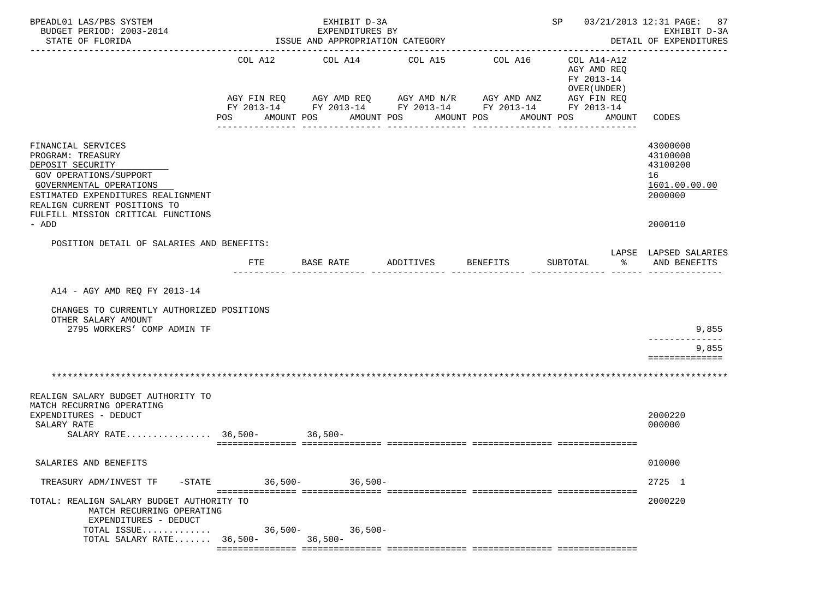| BPEADL01 LAS/PBS SYSTEM<br>BUDGET PERIOD: 2003-2014                                                                                                                                                                                   |                | EXHIBIT D-3A<br>EXPENDITURES BY                                            |                                                   |                                                                                                                                  | SP 03/21/2013 12:31 PAGE: 87                                                     | EXHIBIT D-3A                                                                  |
|---------------------------------------------------------------------------------------------------------------------------------------------------------------------------------------------------------------------------------------|----------------|----------------------------------------------------------------------------|---------------------------------------------------|----------------------------------------------------------------------------------------------------------------------------------|----------------------------------------------------------------------------------|-------------------------------------------------------------------------------|
| STATE OF FLORIDA                                                                                                                                                                                                                      |                | ISSUE AND APPROPRIATION CATEGORY<br>-------------------------------------- |                                                   |                                                                                                                                  |                                                                                  | DETAIL OF EXPENDITURES                                                        |
|                                                                                                                                                                                                                                       | COL A12<br>POS | COL A14<br>AMOUNT POS                                                      | COL A15<br>AMOUNT POS AMOUNT POS<br>------------- | COL A16<br>AGY FIN REQ AGY AMD REQ AGY AMD N/R AGY AMD ANZ AGY FIN REQ<br>FY 2013-14 FY 2013-14 FY 2013-14 FY 2013-14 FY 2013-14 | COL A14-A12<br>AGY AMD REQ<br>FY 2013-14<br>OVER (UNDER)<br>AMOUNT POS<br>AMOUNT | CODES                                                                         |
| FINANCIAL SERVICES<br>PROGRAM: TREASURY<br>DEPOSIT SECURITY<br>GOV OPERATIONS/SUPPORT<br>GOVERNMENTAL OPERATIONS<br>ESTIMATED EXPENDITURES REALIGNMENT<br>REALIGN CURRENT POSITIONS TO<br>FULFILL MISSION CRITICAL FUNCTIONS<br>- ADD |                |                                                                            |                                                   |                                                                                                                                  |                                                                                  | 43000000<br>43100000<br>43100200<br>16<br>1601.00.00.00<br>2000000<br>2000110 |
| POSITION DETAIL OF SALARIES AND BENEFITS:                                                                                                                                                                                             | <b>FTE</b>     | BASE RATE                                                                  | ADDITIVES                                         | BENEFITS                                                                                                                         | SUBTOTAL<br>ిన                                                                   | LAPSE LAPSED SALARIES<br>AND BENEFITS                                         |
| A14 - AGY AMD REQ FY 2013-14<br>CHANGES TO CURRENTLY AUTHORIZED POSITIONS<br>OTHER SALARY AMOUNT<br>2795 WORKERS' COMP ADMIN TF                                                                                                       |                |                                                                            |                                                   |                                                                                                                                  |                                                                                  | 9,855<br>9,855                                                                |
|                                                                                                                                                                                                                                       |                |                                                                            |                                                   |                                                                                                                                  |                                                                                  | ==============                                                                |
| REALIGN SALARY BUDGET AUTHORITY TO<br>MATCH RECURRING OPERATING<br>EXPENDITURES - DEDUCT<br>SALARY RATE<br>SALARY RATE $36,500-$                                                                                                      |                | $36,500-$                                                                  |                                                   |                                                                                                                                  |                                                                                  | 2000220<br>000000                                                             |
| SALARIES AND BENEFITS                                                                                                                                                                                                                 |                |                                                                            |                                                   |                                                                                                                                  |                                                                                  | 010000                                                                        |
| $-$ STATE<br>TREASURY ADM/INVEST TF                                                                                                                                                                                                   | 36,500-        | $36,500-$                                                                  |                                                   |                                                                                                                                  |                                                                                  | 2725 1                                                                        |
| TOTAL: REALIGN SALARY BUDGET AUTHORITY TO<br>MATCH RECURRING OPERATING<br>EXPENDITURES - DEDUCT<br>TOTAL ISSUE                                                                                                                        |                | $36,500-$<br>$36,500-$                                                     |                                                   |                                                                                                                                  |                                                                                  | 2000220                                                                       |
| TOTAL SALARY RATE $36,500-$                                                                                                                                                                                                           |                | $36,500-$                                                                  |                                                   |                                                                                                                                  |                                                                                  |                                                                               |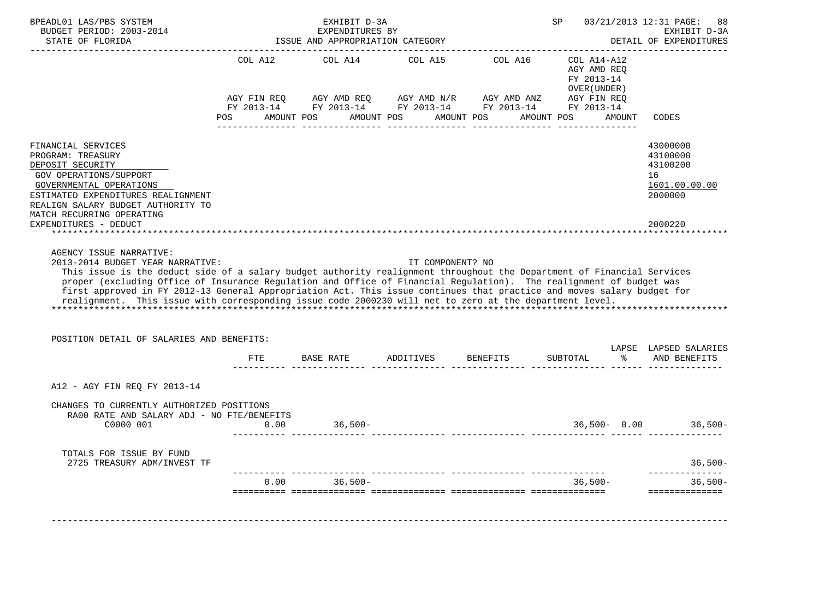| BUDGET PERIOD: 2003-2014<br>STATE OF FLORIDA                                                                                                                                                                                                                                                                                                                                                                                                                                       |                                         | EXHIBIT D-3A<br>EXPENDITURES BY<br>ISSUE AND APPROPRIATION CATEGORY |                          |                                                                                       | SP                                                          |        | 03/21/2013 12:31 PAGE:<br>88<br>EXHIBIT D-3A<br>DETAIL OF EXPENDITURES<br>__________________ |
|------------------------------------------------------------------------------------------------------------------------------------------------------------------------------------------------------------------------------------------------------------------------------------------------------------------------------------------------------------------------------------------------------------------------------------------------------------------------------------|-----------------------------------------|---------------------------------------------------------------------|--------------------------|---------------------------------------------------------------------------------------|-------------------------------------------------------------|--------|----------------------------------------------------------------------------------------------|
|                                                                                                                                                                                                                                                                                                                                                                                                                                                                                    | COL A12                                 | COL A14                                                             | COL A15                  | COL A16                                                                               | $COL A14- A12$<br>AGY AMD REO<br>FY 2013-14<br>OVER (UNDER) |        |                                                                                              |
|                                                                                                                                                                                                                                                                                                                                                                                                                                                                                    | AGY FIN REQ<br>FY 2013-14<br><b>POS</b> | AMOUNT POS                                                          | AMOUNT POS<br>AMOUNT POS | AGY AMD REQ AGY AMD N/R AGY AMD ANZ<br>FY 2013-14 FY 2013-14 FY 2013-14<br>AMOUNT POS | AGY FIN REQ<br>FY 2013-14                                   | AMOUNT | CODES                                                                                        |
| FINANCIAL SERVICES<br>PROGRAM: TREASURY<br>DEPOSIT SECURITY<br><b>GOV OPERATIONS/SUPPORT</b><br>GOVERNMENTAL OPERATIONS<br>ESTIMATED EXPENDITURES REALIGNMENT<br>REALIGN SALARY BUDGET AUTHORITY TO<br>MATCH RECURRING OPERATING                                                                                                                                                                                                                                                   |                                         |                                                                     |                          |                                                                                       |                                                             |        | 43000000<br>43100000<br>43100200<br>16<br>1601.00.00.00<br>2000000                           |
|                                                                                                                                                                                                                                                                                                                                                                                                                                                                                    |                                         |                                                                     |                          |                                                                                       |                                                             |        | 2000220                                                                                      |
| EXPENDITURES - DEDUCT<br>AGENCY ISSUE NARRATIVE:<br>2013-2014 BUDGET YEAR NARRATIVE:                                                                                                                                                                                                                                                                                                                                                                                               |                                         |                                                                     | IT COMPONENT? NO         |                                                                                       |                                                             |        |                                                                                              |
| This issue is the deduct side of a salary budget authority realignment throughout the Department of Financial Services<br>proper (excluding Office of Insurance Regulation and Office of Financial Regulation). The realignment of budget was<br>first approved in FY 2012-13 General Appropriation Act. This issue continues that practice and moves salary budget for<br>realignment. This issue with corresponding issue code 2000230 will net to zero at the department level. |                                         |                                                                     |                          |                                                                                       |                                                             |        |                                                                                              |
| POSITION DETAIL OF SALARIES AND BENEFITS:                                                                                                                                                                                                                                                                                                                                                                                                                                          | FTE                                     | BASE RATE                                                           | ADDITIVES                | BENEFITS                                                                              | SUBTOTAL                                                    | န္     | LAPSE LAPSED SALARIES<br>AND BENEFITS                                                        |
| A12 - AGY FIN REQ FY 2013-14                                                                                                                                                                                                                                                                                                                                                                                                                                                       |                                         |                                                                     |                          |                                                                                       |                                                             |        |                                                                                              |
| CHANGES TO CURRENTLY AUTHORIZED POSITIONS<br>RA00 RATE AND SALARY ADJ - NO FTE/BENEFITS<br>C0000 001                                                                                                                                                                                                                                                                                                                                                                               | 0.00                                    | $36,500-$                                                           |                          |                                                                                       | $36,500 - 0.00$                                             |        |                                                                                              |
| TOTALS FOR ISSUE BY FUND<br>2725 TREASURY ADM/INVEST TF                                                                                                                                                                                                                                                                                                                                                                                                                            |                                         |                                                                     |                          |                                                                                       |                                                             |        | $36,500-$<br>$36,500-$                                                                       |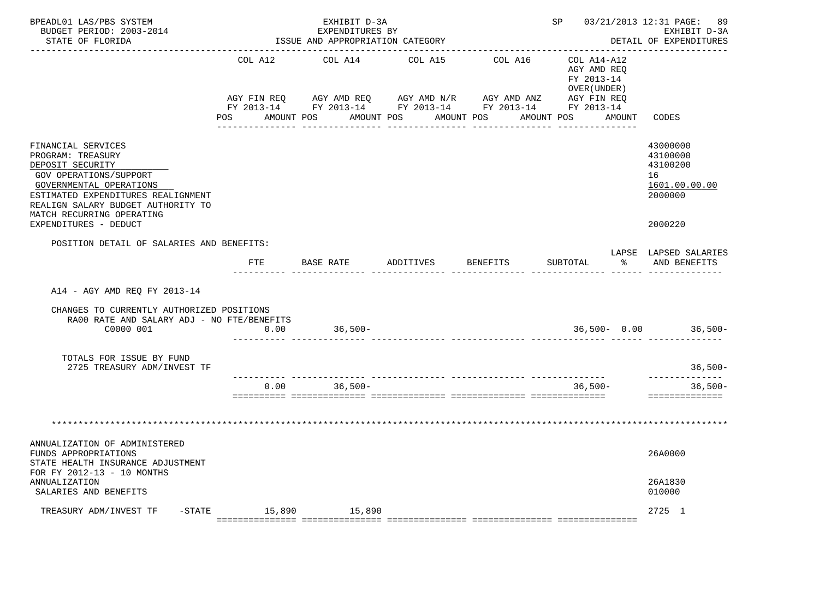| BPEADL01 LAS/PBS SYSTEM<br>BUDGET PERIOD: 2003-2014<br>STATE OF FLORIDA                                                                                                                                                                            |             | EXHIBIT D-3A<br>EXPENDITURES BY<br>ISSUE AND APPROPRIATION CATEGORY |                                      |                                                                                                           | SP 03/21/2013 12:31 PAGE:                  | 89<br>EXHIBIT D-3A<br>DETAIL OF EXPENDITURES                                  |
|----------------------------------------------------------------------------------------------------------------------------------------------------------------------------------------------------------------------------------------------------|-------------|---------------------------------------------------------------------|--------------------------------------|-----------------------------------------------------------------------------------------------------------|--------------------------------------------|-------------------------------------------------------------------------------|
|                                                                                                                                                                                                                                                    | COL A12     | COL A14                                                             | COL A15                              | COL A16 COL A14-A12                                                                                       | AGY AMD REO<br>FY 2013-14<br>OVER (UNDER ) |                                                                               |
|                                                                                                                                                                                                                                                    | AGY FIN REQ |                                                                     | POS AMOUNT POS AMOUNT POS AMOUNT POS | AGY AMD REQ AGY AMD N/R AGY AMD ANZ AGY FIN REQ<br>FY 2013-14 FY 2013-14 FY 2013-14 FY 2013-14 FY 2013-14 | AMOUNT POS AMOUNT CODES                    |                                                                               |
| FINANCIAL SERVICES<br>PROGRAM: TREASURY<br>DEPOSIT SECURITY<br>GOV OPERATIONS/SUPPORT<br>GOVERNMENTAL OPERATIONS<br>ESTIMATED EXPENDITURES REALIGNMENT<br>REALIGN SALARY BUDGET AUTHORITY TO<br>MATCH RECURRING OPERATING<br>EXPENDITURES - DEDUCT |             |                                                                     |                                      |                                                                                                           |                                            | 43000000<br>43100000<br>43100200<br>16<br>1601.00.00.00<br>2000000<br>2000220 |
| POSITION DETAIL OF SALARIES AND BENEFITS:                                                                                                                                                                                                          | FTE         | BASE RATE ADDITIVES                                                 |                                      | <b>BENEFITS</b>                                                                                           | SUBTOTAL<br>ိ                              | LAPSE LAPSED SALARIES<br>AND BENEFITS                                         |
| A14 - AGY AMD REO FY 2013-14<br>CHANGES TO CURRENTLY AUTHORIZED POSITIONS<br>RA00 RATE AND SALARY ADJ - NO FTE/BENEFITS<br>C0000 001                                                                                                               | 0.00        | $36,500-$                                                           |                                      |                                                                                                           | $36,500 - 0.00$ 36,500-                    |                                                                               |
| TOTALS FOR ISSUE BY FUND<br>2725 TREASURY ADM/INVEST TF                                                                                                                                                                                            |             |                                                                     |                                      |                                                                                                           |                                            | $36,500-$                                                                     |
|                                                                                                                                                                                                                                                    | 0.00        | $36,500-$                                                           |                                      |                                                                                                           | $36.500 -$                                 | ______________<br>$36,500-$<br><b>BEBBEBBBBBBBBB</b>                          |
|                                                                                                                                                                                                                                                    |             |                                                                     |                                      |                                                                                                           |                                            |                                                                               |
| ANNUALIZATION OF ADMINISTERED<br>FUNDS APPROPRIATIONS<br>STATE HEALTH INSURANCE ADJUSTMENT<br>FOR FY 2012-13 - 10 MONTHS                                                                                                                           |             |                                                                     |                                      |                                                                                                           |                                            | 26A0000<br>26A1830                                                            |
| ANNUALIZATION<br>SALARIES AND BENEFITS                                                                                                                                                                                                             |             |                                                                     |                                      |                                                                                                           |                                            | 010000                                                                        |
| TREASURY ADM/INVEST TF - STATE 15,890 15,890                                                                                                                                                                                                       |             |                                                                     |                                      |                                                                                                           |                                            | 2725 1                                                                        |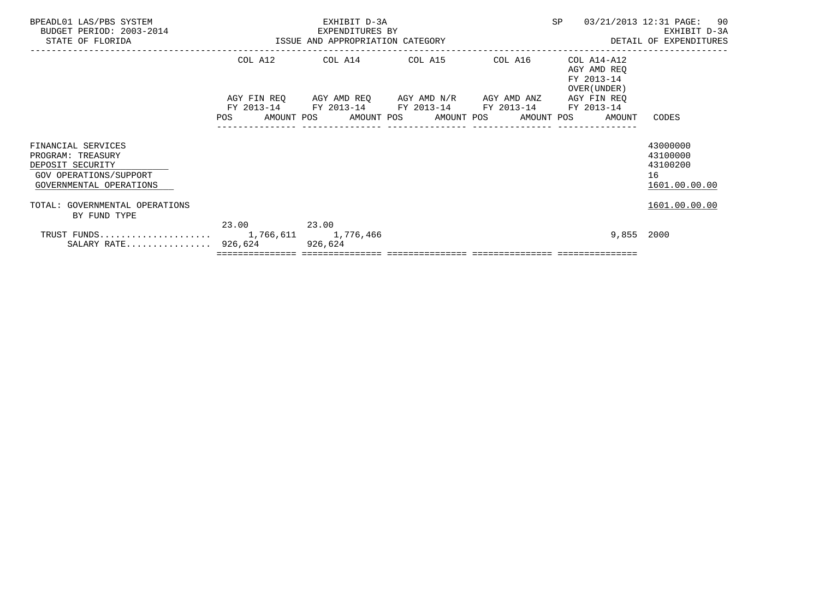|            |       |                                      |                                                                                                                            |                                                          | 03/21/2013 12:31 PAGE: 90<br>EXHIBIT D-3A<br>DETAIL OF EXPENDITURES                                         |
|------------|-------|--------------------------------------|----------------------------------------------------------------------------------------------------------------------------|----------------------------------------------------------|-------------------------------------------------------------------------------------------------------------|
|            |       |                                      |                                                                                                                            | COL A14-A12<br>AGY AMD REO<br>FY 2013-14<br>OVER (UNDER) |                                                                                                             |
| FY 2013-14 |       |                                      |                                                                                                                            | AGY FIN REO<br>FY 2013-14                                |                                                                                                             |
|            |       |                                      |                                                                                                                            |                                                          | CODES                                                                                                       |
|            |       |                                      |                                                                                                                            |                                                          | 43000000<br>43100000<br>43100200<br>16<br>1601.00.00.00                                                     |
|            |       |                                      |                                                                                                                            |                                                          | 1601.00.00.00                                                                                               |
|            | 23.00 |                                      |                                                                                                                            | 9,855 2000                                               |                                                                                                             |
|            |       | 23.00<br>SALARY RATE 926,624 926,624 | EXHIBIT D-3A<br>EXPENDITURES BY<br>ISSUE AND APPROPRIATION CATEGORY<br>------------------------<br>COL A12 COL A14 COL A15 | AGY FIN REQ AGY AMD REQ AGY AMD N/R AGY AMD ANZ          | SP<br>COL A16<br>FY 2013-14 FY 2013-14 FY 2013-14<br>POS AMOUNT POS AMOUNT POS AMOUNT POS AMOUNT POS AMOUNT |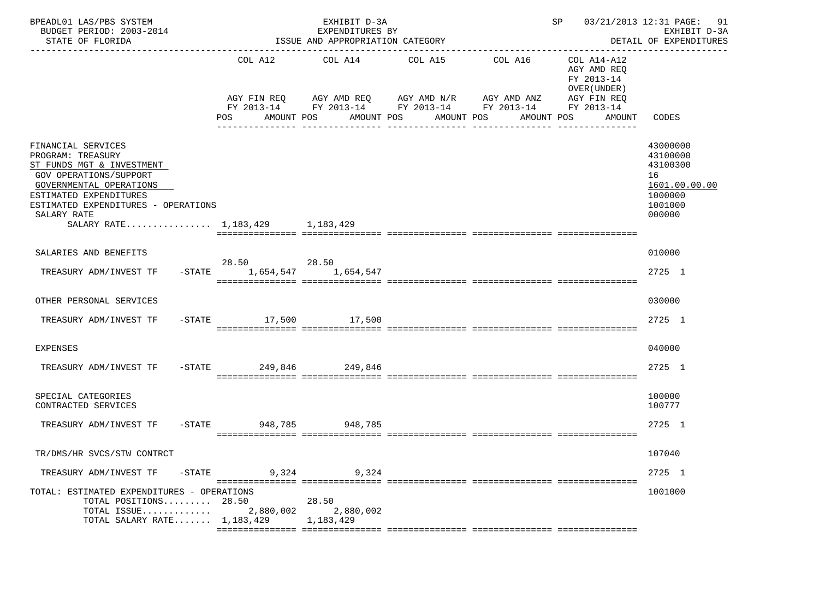| BPEADL01 LAS/PBS SYSTEM<br>BUDGET PERIOD: 2003-2014<br>STATE OF FLORIDA                                                                                                                                                                             |                              | EXHIBIT D-3A<br>EXPENDITURES BY<br>ISSUE AND APPROPRIATION CATEGORY |                                                                                                                         |                       | SP                                                                                              | 03/21/2013 12:31 PAGE:<br>91<br>EXHIBIT D-3A<br>DETAIL OF EXPENDITURES                  |
|-----------------------------------------------------------------------------------------------------------------------------------------------------------------------------------------------------------------------------------------------------|------------------------------|---------------------------------------------------------------------|-------------------------------------------------------------------------------------------------------------------------|-----------------------|-------------------------------------------------------------------------------------------------|-----------------------------------------------------------------------------------------|
|                                                                                                                                                                                                                                                     | COL A12<br>POS<br>AMOUNT POS | COL A14<br>AMOUNT POS                                               | COL A15<br>AGY FIN REQ AGY AMD REQ AGY AMD N/R AGY AMD ANZ<br>FY 2013-14 FY 2013-14 FY 2013-14 FY 2013-14<br>AMOUNT POS | COL A16<br>AMOUNT POS | COL A14-A12<br>AGY AMD REQ<br>FY 2013-14<br>OVER (UNDER)<br>AGY FIN REQ<br>FY 2013-14<br>AMOUNT | CODES                                                                                   |
| FINANCIAL SERVICES<br>PROGRAM: TREASURY<br>ST FUNDS MGT & INVESTMENT<br><b>GOV OPERATIONS/SUPPORT</b><br>GOVERNMENTAL OPERATIONS<br>ESTIMATED EXPENDITURES<br>ESTIMATED EXPENDITURES - OPERATIONS<br>SALARY RATE<br>SALARY RATE 1,183,429 1,183,429 |                              |                                                                     |                                                                                                                         |                       |                                                                                                 | 43000000<br>43100000<br>43100300<br>16<br>1601.00.00.00<br>1000000<br>1001000<br>000000 |
| SALARIES AND BENEFITS<br>TREASURY ADM/INVEST TF<br>$-$ STATE                                                                                                                                                                                        | 28.50<br>1,654,547           | 28.50<br>1,654,547                                                  |                                                                                                                         |                       |                                                                                                 | 010000<br>2725 1                                                                        |
| OTHER PERSONAL SERVICES<br>TREASURY ADM/INVEST TF                                                                                                                                                                                                   | -STATE 17,500 17,500         |                                                                     |                                                                                                                         |                       |                                                                                                 | 030000<br>2725 1                                                                        |
| <b>EXPENSES</b>                                                                                                                                                                                                                                     |                              |                                                                     |                                                                                                                         |                       |                                                                                                 | 040000                                                                                  |
| TREASURY ADM/INVEST TF                                                                                                                                                                                                                              | -STATE 249,846 249,846       |                                                                     |                                                                                                                         |                       |                                                                                                 | 2725 1                                                                                  |
| SPECIAL CATEGORIES<br>CONTRACTED SERVICES                                                                                                                                                                                                           |                              |                                                                     |                                                                                                                         |                       |                                                                                                 | 100000<br>100777                                                                        |
| TREASURY ADM/INVEST TF                                                                                                                                                                                                                              | $-$ STATE                    | 948,785<br>948,785                                                  |                                                                                                                         |                       |                                                                                                 | 2725 1                                                                                  |
| TR/DMS/HR SVCS/STW CONTRCT                                                                                                                                                                                                                          |                              |                                                                     |                                                                                                                         |                       |                                                                                                 | 107040                                                                                  |
| TREASURY ADM/INVEST TF<br>-STATE                                                                                                                                                                                                                    | 9,324                        | 9,324                                                               |                                                                                                                         |                       |                                                                                                 | 2725 1                                                                                  |
| TOTAL: ESTIMATED EXPENDITURES - OPERATIONS<br>TOTAL POSITIONS 28.50<br>TOTAL ISSUE<br>TOTAL SALARY RATE $1,183,429$                                                                                                                                 | 2,880,002                    | 28.50<br>2,880,002<br>1,183,429                                     |                                                                                                                         |                       |                                                                                                 | 1001000                                                                                 |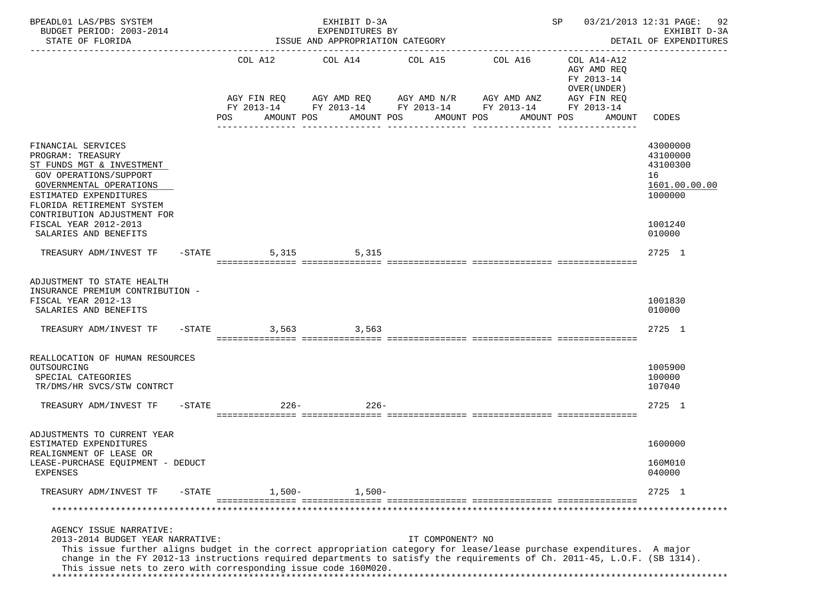| BPEADL01 LAS/PBS SYSTEM<br>BUDGET PERIOD: 2003-2014<br>STATE OF FLORIDA                                                                                                                                                                                                                                                                                                            |           |                     | EXHIBIT D-3A<br>EXPENDITURES BY<br>ISSUE AND APPROPRIATION CATEGORY |                                       |                                                                                                                                        | SP                                                                               | 03/21/2013 12:31 PAGE: 92<br>EXHIBIT D-3A<br>DETAIL OF EXPENDITURES<br>--------------- |
|------------------------------------------------------------------------------------------------------------------------------------------------------------------------------------------------------------------------------------------------------------------------------------------------------------------------------------------------------------------------------------|-----------|---------------------|---------------------------------------------------------------------|---------------------------------------|----------------------------------------------------------------------------------------------------------------------------------------|----------------------------------------------------------------------------------|----------------------------------------------------------------------------------------|
|                                                                                                                                                                                                                                                                                                                                                                                    |           | COL A12<br>POS      | AMOUNT POS                                                          | COL A14 COL A15 COL A16<br>AMOUNT POS | AGY FIN REQ AGY AMD REQ AGY AMD N/R AGY AMD ANZ AGY FIN REQ<br>FY 2013-14 FY 2013-14 FY 2013-14 FY 2013-14<br>AMOUNT POS<br>AMOUNT POS | COL A14-A12<br>AGY AMD REO<br>FY 2013-14<br>OVER (UNDER)<br>FY 2013-14<br>AMOUNT | CODES                                                                                  |
|                                                                                                                                                                                                                                                                                                                                                                                    |           |                     |                                                                     | ----------------                      | ---------------                                                                                                                        |                                                                                  |                                                                                        |
| FINANCIAL SERVICES<br>PROGRAM: TREASURY<br>ST FUNDS MGT & INVESTMENT<br>GOV OPERATIONS/SUPPORT<br>GOVERNMENTAL OPERATIONS<br>ESTIMATED EXPENDITURES<br>FLORIDA RETIREMENT SYSTEM                                                                                                                                                                                                   |           |                     |                                                                     |                                       |                                                                                                                                        |                                                                                  | 43000000<br>43100000<br>43100300<br>16<br>1601.00.00.00<br>1000000                     |
| CONTRIBUTION ADJUSTMENT FOR<br>FISCAL YEAR 2012-2013<br>SALARIES AND BENEFITS                                                                                                                                                                                                                                                                                                      |           |                     |                                                                     |                                       |                                                                                                                                        |                                                                                  | 1001240<br>010000                                                                      |
| TREASURY ADM/INVEST TF                                                                                                                                                                                                                                                                                                                                                             |           | $-STATE$            | 5,315 5,315                                                         |                                       |                                                                                                                                        |                                                                                  | 2725 1                                                                                 |
| ADJUSTMENT TO STATE HEALTH<br>INSURANCE PREMIUM CONTRIBUTION -<br>FISCAL YEAR 2012-13<br>SALARIES AND BENEFITS                                                                                                                                                                                                                                                                     |           |                     |                                                                     |                                       |                                                                                                                                        |                                                                                  | 1001830<br>010000                                                                      |
| TREASURY ADM/INVEST TF -STATE                                                                                                                                                                                                                                                                                                                                                      |           |                     | 3,563 3,563                                                         |                                       |                                                                                                                                        |                                                                                  | 2725 1                                                                                 |
| REALLOCATION OF HUMAN RESOURCES<br>OUTSOURCING<br>SPECIAL CATEGORIES<br>TR/DMS/HR SVCS/STW CONTRCT                                                                                                                                                                                                                                                                                 |           |                     |                                                                     |                                       |                                                                                                                                        |                                                                                  | 1005900<br>100000<br>107040                                                            |
| TREASURY ADM/INVEST TF                                                                                                                                                                                                                                                                                                                                                             |           | $-STATE$<br>$226 -$ | $226 -$                                                             |                                       |                                                                                                                                        |                                                                                  | 2725 1                                                                                 |
| ADJUSTMENTS TO CURRENT YEAR<br>ESTIMATED EXPENDITURES                                                                                                                                                                                                                                                                                                                              |           |                     |                                                                     |                                       |                                                                                                                                        |                                                                                  | 1600000                                                                                |
| REALIGNMENT OF LEASE OR<br>LEASE-PURCHASE EQUIPMENT - DEDUCT<br><b>EXPENSES</b>                                                                                                                                                                                                                                                                                                    |           |                     |                                                                     |                                       |                                                                                                                                        |                                                                                  | 160M010<br>040000                                                                      |
| TREASURY ADM/INVEST TF                                                                                                                                                                                                                                                                                                                                                             | $-$ STATE | $1,500-$            | $1,500-$                                                            |                                       |                                                                                                                                        |                                                                                  | 2725 1                                                                                 |
|                                                                                                                                                                                                                                                                                                                                                                                    |           |                     |                                                                     |                                       |                                                                                                                                        |                                                                                  | *****************                                                                      |
| AGENCY ISSUE NARRATIVE:<br>2013-2014 BUDGET YEAR NARRATIVE:<br>This issue further aligns budget in the correct appropriation category for lease/lease purchase expenditures. A major<br>change in the FY 2012-13 instructions required departments to satisfy the requirements of Ch. 2011-45, L.O.F. (SB 1314).<br>This issue nets to zero with corresponding issue code 160M020. |           |                     |                                                                     | IT COMPONENT? NO                      |                                                                                                                                        |                                                                                  |                                                                                        |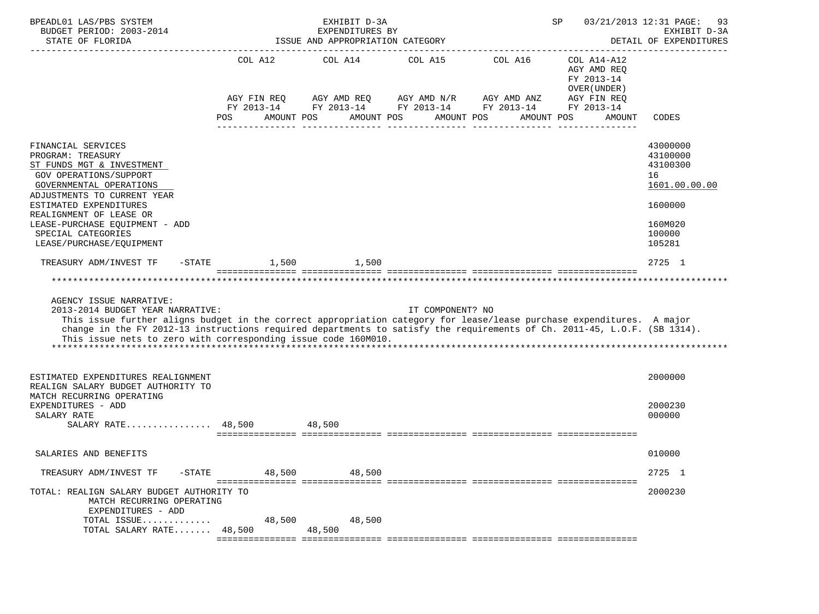| BPEADL01 LAS/PBS SYSTEM<br>BUDGET PERIOD: 2003-2014<br>STATE OF FLORIDA                                                                                                                                                                                                                                                                                                            |                                             | EXHIBIT D-3A<br>EXPENDITURES BY<br>ISSUE AND APPROPRIATION CATEGORY |                                                                                            |                                                           | SP                                                                                              | 03/21/2013 12:31 PAGE:<br>93<br>EXHIBIT D-3A<br>DETAIL OF EXPENDITURES                            |
|------------------------------------------------------------------------------------------------------------------------------------------------------------------------------------------------------------------------------------------------------------------------------------------------------------------------------------------------------------------------------------|---------------------------------------------|---------------------------------------------------------------------|--------------------------------------------------------------------------------------------|-----------------------------------------------------------|-------------------------------------------------------------------------------------------------|---------------------------------------------------------------------------------------------------|
|                                                                                                                                                                                                                                                                                                                                                                                    | COL A12<br>AGY FIN REQ<br>POS<br>AMOUNT POS |                                                                     | COL A14 COL A15 COL A16<br>AGY AMD REQ AGY AMD N/R AGY AMD ANZ<br>AMOUNT POS<br>AMOUNT POS | FY 2013-14 FY 2013-14 FY 2013-14 FY 2013-14<br>AMOUNT POS | COL A14-A12<br>AGY AMD REQ<br>FY 2013-14<br>OVER (UNDER)<br>AGY FIN REQ<br>FY 2013-14<br>AMOUNT | CODES                                                                                             |
| FINANCIAL SERVICES<br>PROGRAM: TREASURY<br>ST FUNDS MGT & INVESTMENT<br><b>GOV OPERATIONS/SUPPORT</b><br>GOVERNMENTAL OPERATIONS<br>ADJUSTMENTS TO CURRENT YEAR<br>ESTIMATED EXPENDITURES<br>REALIGNMENT OF LEASE OR<br>LEASE-PURCHASE EQUIPMENT - ADD<br>SPECIAL CATEGORIES<br>LEASE/PURCHASE/EQUIPMENT                                                                           |                                             |                                                                     |                                                                                            |                                                           |                                                                                                 | 43000000<br>43100000<br>43100300<br>16<br>1601.00.00.00<br>1600000<br>160M020<br>100000<br>105281 |
| TREASURY ADM/INVEST TF<br>$-$ STATE                                                                                                                                                                                                                                                                                                                                                | 1,500                                       | 1,500                                                               |                                                                                            |                                                           |                                                                                                 | 2725 1                                                                                            |
| AGENCY ISSUE NARRATIVE:<br>2013-2014 BUDGET YEAR NARRATIVE:<br>This issue further aligns budget in the correct appropriation category for lease/lease purchase expenditures. A major<br>change in the FY 2012-13 instructions required departments to satisfy the requirements of Ch. 2011-45, L.O.F. (SB 1314).<br>This issue nets to zero with corresponding issue code 160M010. |                                             |                                                                     | IT COMPONENT? NO                                                                           |                                                           |                                                                                                 |                                                                                                   |
| ESTIMATED EXPENDITURES REALIGNMENT<br>REALIGN SALARY BUDGET AUTHORITY TO<br>MATCH RECURRING OPERATING<br>EXPENDITURES - ADD<br>SALARY RATE<br>SALARY RATE $48,500$                                                                                                                                                                                                                 |                                             | 48,500                                                              |                                                                                            |                                                           |                                                                                                 | 2000000<br>2000230<br>000000                                                                      |
|                                                                                                                                                                                                                                                                                                                                                                                    |                                             |                                                                     |                                                                                            |                                                           |                                                                                                 |                                                                                                   |
| SALARIES AND BENEFITS                                                                                                                                                                                                                                                                                                                                                              |                                             |                                                                     |                                                                                            |                                                           |                                                                                                 | 010000                                                                                            |
| TREASURY ADM/INVEST TF -STATE                                                                                                                                                                                                                                                                                                                                                      | 48,500                                      | 48,500                                                              |                                                                                            |                                                           |                                                                                                 | 2725 1                                                                                            |
| TOTAL: REALIGN SALARY BUDGET AUTHORITY TO<br>MATCH RECURRING OPERATING<br>EXPENDITURES - ADD                                                                                                                                                                                                                                                                                       |                                             |                                                                     |                                                                                            |                                                           |                                                                                                 | 2000230                                                                                           |
| TOTAL ISSUE<br>TOTAL SALARY RATE 48,500                                                                                                                                                                                                                                                                                                                                            | 48,500                                      | 48,500<br>48,500                                                    |                                                                                            |                                                           |                                                                                                 |                                                                                                   |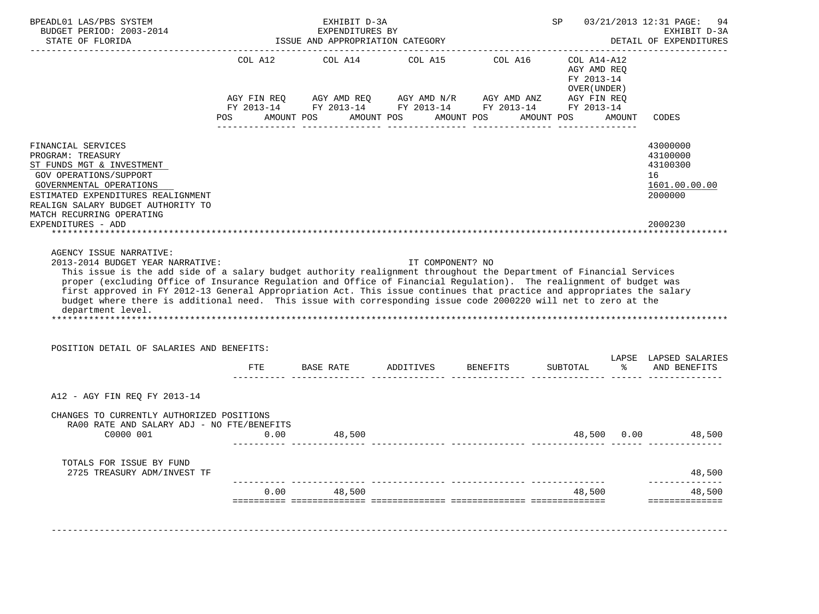| BUDGET PERIOD: 2003-2014                                                                                                                                                                                                                                                                                                                                                                                                                                                               |      | EXHIBIT D-3A | EXPENDITURES BY<br>ISSUE AND APPROPRIATION CATEGORY |                                                                                                                                                          | SP 03/21/2013 12:31 PAGE:                                 |        | 94<br>EXHIBIT D-3A<br>DETAIL OF EXPENDITURES                       |
|----------------------------------------------------------------------------------------------------------------------------------------------------------------------------------------------------------------------------------------------------------------------------------------------------------------------------------------------------------------------------------------------------------------------------------------------------------------------------------------|------|--------------|-----------------------------------------------------|----------------------------------------------------------------------------------------------------------------------------------------------------------|-----------------------------------------------------------|--------|--------------------------------------------------------------------|
|                                                                                                                                                                                                                                                                                                                                                                                                                                                                                        |      |              |                                                     | COL A12 COL A14 COL A15 COL A16<br>AGY FIN REQ AGY AMD REQ AGY AMD N/R AGY AMD ANZ AGY FIN REQ<br>FY 2013-14 FY 2013-14 FY 2013-14 FY 2013-14 FY 2013-14 | COL A14-A12<br>AGY AMD REO<br>FY 2013-14<br>OVER (UNDER ) |        |                                                                    |
|                                                                                                                                                                                                                                                                                                                                                                                                                                                                                        |      |              |                                                     | POS AMOUNT POS AMOUNT POS AMOUNT POS AMOUNT POS                                                                                                          |                                                           | AMOUNT | CODES                                                              |
| FINANCIAL SERVICES<br>PROGRAM: TREASURY<br>ST FUNDS MGT & INVESTMENT<br>GOV OPERATIONS/SUPPORT<br>GOVERNMENTAL OPERATIONS<br>ESTIMATED EXPENDITURES REALIGNMENT<br>REALIGN SALARY BUDGET AUTHORITY TO                                                                                                                                                                                                                                                                                  |      |              |                                                     |                                                                                                                                                          |                                                           |        | 43000000<br>43100000<br>43100300<br>16<br>1601.00.00.00<br>2000000 |
|                                                                                                                                                                                                                                                                                                                                                                                                                                                                                        |      |              |                                                     |                                                                                                                                                          |                                                           |        |                                                                    |
| MATCH RECURRING OPERATING<br>EXPENDITURES - ADD<br>AGENCY ISSUE NARRATIVE:<br>2013-2014 BUDGET YEAR NARRATIVE:<br>This issue is the add side of a salary budget authority realignment throughout the Department of Financial Services<br>proper (excluding Office of Insurance Regulation and Office of Financial Regulation). The realignment of budget was<br>first approved in FY 2012-13 General Appropriation Act. This issue continues that practice and appropriates the salary |      |              | IT COMPONENT? NO                                    |                                                                                                                                                          |                                                           |        | 2000230                                                            |
| budget where there is additional need. This issue with corresponding issue code 2000220 will net to zero at the<br>department level.                                                                                                                                                                                                                                                                                                                                                   |      |              |                                                     |                                                                                                                                                          |                                                           |        |                                                                    |
| POSITION DETAIL OF SALARIES AND BENEFITS:                                                                                                                                                                                                                                                                                                                                                                                                                                              |      |              |                                                     |                                                                                                                                                          |                                                           |        |                                                                    |
|                                                                                                                                                                                                                                                                                                                                                                                                                                                                                        | FTE  |              | BASE RATE ADDITIVES BENEFITS                        |                                                                                                                                                          |                                                           |        | LAPSE LAPSED SALARIES<br>SUBTOTAL % AND BENEFITS                   |
| A12 - AGY FIN REQ FY 2013-14                                                                                                                                                                                                                                                                                                                                                                                                                                                           |      |              |                                                     |                                                                                                                                                          |                                                           |        |                                                                    |
| CHANGES TO CURRENTLY AUTHORIZED POSITIONS<br>RA00 RATE AND SALARY ADJ - NO FTE/BENEFITS<br>C0000 001                                                                                                                                                                                                                                                                                                                                                                                   | 0.00 | 48,500       |                                                     |                                                                                                                                                          | 48,500                                                    |        | $0.00$ 48,500                                                      |
| TOTALS FOR ISSUE BY FUND<br>2725 TREASURY ADM/INVEST TF                                                                                                                                                                                                                                                                                                                                                                                                                                |      |              |                                                     |                                                                                                                                                          |                                                           |        | 48,500                                                             |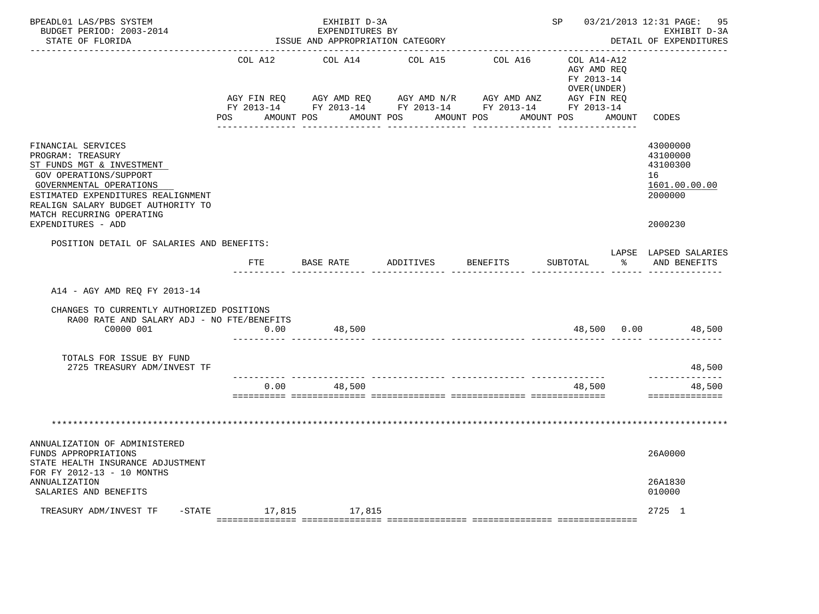| BPEADL01 LAS/PBS SYSTEM<br>BUDGET PERIOD: 2003-2014<br>STATE OF FLORIDA                                                                                                                                                                                  |             | EXHIBIT D-3A<br>EXPENDITURES BY<br>ISSUE AND APPROPRIATION CATEGORY |                                                                                                                                                   |                     | SP 03/21/2013 12:31 PAGE:                  | 95<br>EXHIBIT D-3A<br>DETAIL OF EXPENDITURES                                  |
|----------------------------------------------------------------------------------------------------------------------------------------------------------------------------------------------------------------------------------------------------------|-------------|---------------------------------------------------------------------|---------------------------------------------------------------------------------------------------------------------------------------------------|---------------------|--------------------------------------------|-------------------------------------------------------------------------------|
|                                                                                                                                                                                                                                                          | COL A12     | COL A14                                                             | COL A15                                                                                                                                           | COL A16 COL A14-A12 | AGY AMD REO<br>FY 2013-14<br>OVER (UNDER ) |                                                                               |
|                                                                                                                                                                                                                                                          | AGY FIN REQ |                                                                     | AGY AMD REQ AGY AMD N/R AGY AMD ANZ AGY FIN REQ<br>FY 2013-14 FY 2013-14 FY 2013-14 FY 2013-14 FY 2013-14<br>POS AMOUNT POS AMOUNT POS AMOUNT POS |                     | AMOUNT POS AMOUNT CODES                    |                                                                               |
| FINANCIAL SERVICES<br>PROGRAM: TREASURY<br>ST FUNDS MGT & INVESTMENT<br>GOV OPERATIONS/SUPPORT<br>GOVERNMENTAL OPERATIONS<br>ESTIMATED EXPENDITURES REALIGNMENT<br>REALIGN SALARY BUDGET AUTHORITY TO<br>MATCH RECURRING OPERATING<br>EXPENDITURES - ADD |             |                                                                     |                                                                                                                                                   |                     |                                            | 43000000<br>43100000<br>43100300<br>16<br>1601.00.00.00<br>2000000<br>2000230 |
| POSITION DETAIL OF SALARIES AND BENEFITS:                                                                                                                                                                                                                |             |                                                                     |                                                                                                                                                   |                     |                                            | LAPSE LAPSED SALARIES                                                         |
|                                                                                                                                                                                                                                                          | FTE         | BASE RATE ADDITIVES                                                 |                                                                                                                                                   | <b>BENEFITS</b>     | SUBTOTAL<br>$\frac{8}{6}$                  | AND BENEFITS                                                                  |
| A14 - AGY AMD REO FY 2013-14                                                                                                                                                                                                                             |             |                                                                     |                                                                                                                                                   |                     |                                            |                                                                               |
| CHANGES TO CURRENTLY AUTHORIZED POSITIONS<br>RA00 RATE AND SALARY ADJ - NO FTE/BENEFITS<br>C0000 001                                                                                                                                                     | 0.00        | 48,500                                                              |                                                                                                                                                   |                     |                                            | 48,500 0.00 48,500                                                            |
| TOTALS FOR ISSUE BY FUND<br>2725 TREASURY ADM/INVEST TF                                                                                                                                                                                                  |             |                                                                     |                                                                                                                                                   |                     |                                            | 48,500<br>______________                                                      |
|                                                                                                                                                                                                                                                          | 0.00        | 48,500                                                              |                                                                                                                                                   |                     | 48,500                                     | 48,500<br>==============                                                      |
|                                                                                                                                                                                                                                                          |             |                                                                     |                                                                                                                                                   |                     |                                            |                                                                               |
| ANNUALIZATION OF ADMINISTERED<br>FUNDS APPROPRIATIONS<br>STATE HEALTH INSURANCE ADJUSTMENT                                                                                                                                                               |             |                                                                     |                                                                                                                                                   |                     |                                            | 26A0000                                                                       |
| FOR FY 2012-13 - 10 MONTHS<br>ANNUALIZATION<br>SALARIES AND BENEFITS                                                                                                                                                                                     |             |                                                                     |                                                                                                                                                   |                     |                                            | 26A1830<br>010000                                                             |
| TREASURY ADM/INVEST TF - STATE 17,815 17,815                                                                                                                                                                                                             |             |                                                                     |                                                                                                                                                   |                     |                                            | 2725 1                                                                        |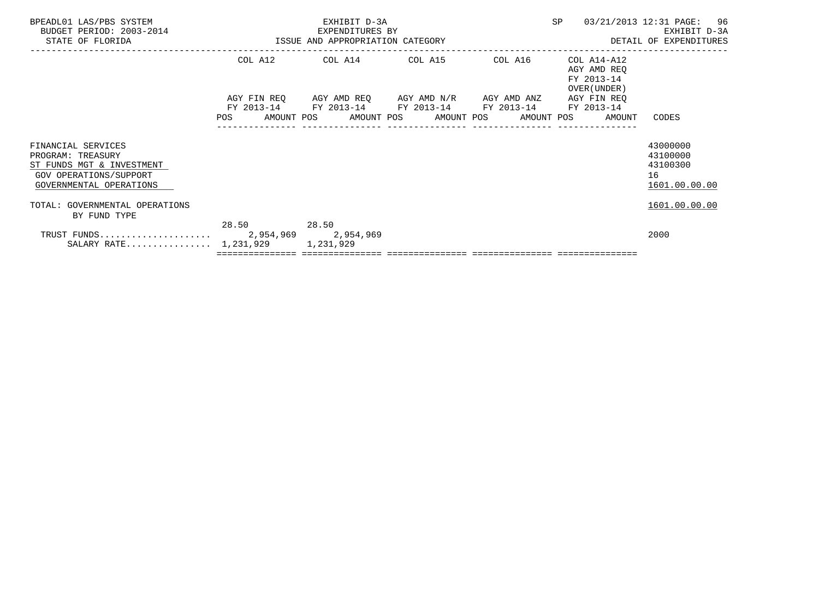| BPEADL01 LAS/PBS SYSTEM<br>BUDGET PERIOD: 2003-2014<br>STATE OF FLORIDA                                                   |       | EXHIBIT D-3A<br>EXPENDITURES BY<br>ISSUE AND APPROPRIATION CATEGORY                            |  | SP                                                       | 03/21/2013 12:31 PAGE: 96<br>EXHIBIT D-3A<br>DETAIL OF EXPENDITURES |
|---------------------------------------------------------------------------------------------------------------------------|-------|------------------------------------------------------------------------------------------------|--|----------------------------------------------------------|---------------------------------------------------------------------|
|                                                                                                                           |       | COL A12 COL A14 COL A15 COL A16                                                                |  | COL A14-A12<br>AGY AMD REO<br>FY 2013-14<br>OVER (UNDER) |                                                                     |
|                                                                                                                           |       | AGY FIN REQ 6GY AMD REQ 6GY AMD N/R 6GY AMD ANZ<br>FY 2013-14 FY 2013-14 FY 2013-14 FY 2013-14 |  | AGY FIN REO<br>FY 2013-14                                |                                                                     |
|                                                                                                                           |       |                                                                                                |  | POS AMOUNT POS AMOUNT POS AMOUNT POS AMOUNT POS AMOUNT   | CODES                                                               |
| FINANCIAL SERVICES<br>PROGRAM: TREASURY<br>ST FUNDS MGT & INVESTMENT<br>GOV OPERATIONS/SUPPORT<br>GOVERNMENTAL OPERATIONS |       |                                                                                                |  |                                                          | 43000000<br>43100000<br>43100300<br>16<br>1601.00.00.00             |
| TOTAL: GOVERNMENTAL OPERATIONS<br>BY FUND TYPE                                                                            |       |                                                                                                |  |                                                          | 1601.00.00.00                                                       |
| SALARY RATE 1,231,929 1,231,929                                                                                           | 28.50 | 28.50                                                                                          |  |                                                          | 2000                                                                |
|                                                                                                                           |       |                                                                                                |  |                                                          |                                                                     |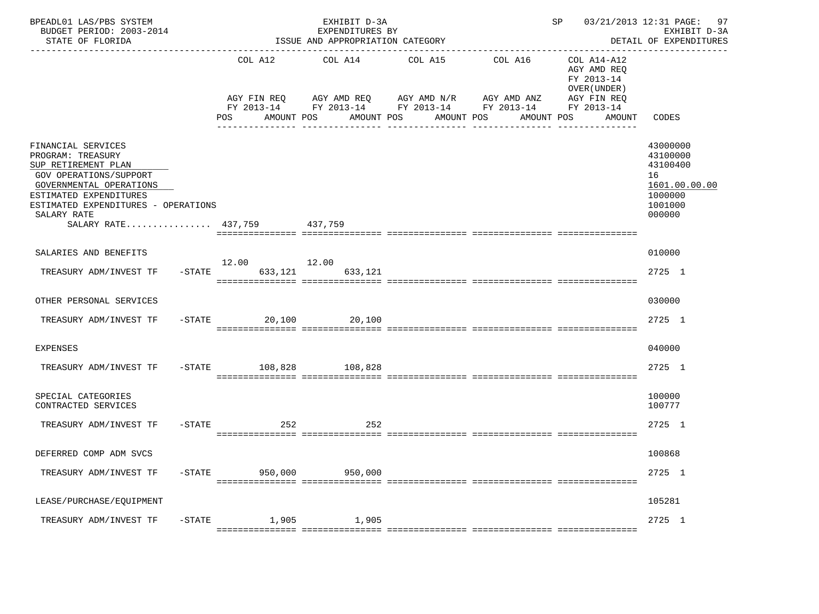| BPEADL01 LAS/PBS SYSTEM<br>BUDGET PERIOD: 2003-2014<br>STATE OF FLORIDA                                                                                                                                                            |           |                                             | EXHIBIT D-3A<br>EXPENDITURES BY<br>ISSUE AND APPROPRIATION CATEGORY<br>------------------------- |                                                                                                             | ----------------------------------- | SP                                                                                              | 03/21/2013 12:31 PAGE:<br>97<br>EXHIBIT D-3A<br>DETAIL OF EXPENDITURES<br>------------- |
|------------------------------------------------------------------------------------------------------------------------------------------------------------------------------------------------------------------------------------|-----------|---------------------------------------------|--------------------------------------------------------------------------------------------------|-------------------------------------------------------------------------------------------------------------|-------------------------------------|-------------------------------------------------------------------------------------------------|-----------------------------------------------------------------------------------------|
|                                                                                                                                                                                                                                    |           | COL A12<br>AGY FIN REQ<br>POS<br>AMOUNT POS | COL A14<br>AMOUNT POS                                                                            | COL A15<br>AGY AMD REQ AGY AMD N/R AGY AMD ANZ<br>FY 2013-14 FY 2013-14 FY 2013-14 FY 2013-14<br>AMOUNT POS | COL A16<br>AMOUNT POS               | COL A14-A12<br>AGY AMD REQ<br>FY 2013-14<br>OVER (UNDER)<br>AGY FIN REQ<br>FY 2013-14<br>AMOUNT | CODES                                                                                   |
| FINANCIAL SERVICES<br>PROGRAM: TREASURY<br>SUP RETIREMENT PLAN<br>GOV OPERATIONS/SUPPORT<br>GOVERNMENTAL OPERATIONS<br>ESTIMATED EXPENDITURES<br>ESTIMATED EXPENDITURES - OPERATIONS<br>SALARY RATE<br>SALARY RATE 437,759 437,759 |           |                                             |                                                                                                  |                                                                                                             |                                     |                                                                                                 | 43000000<br>43100000<br>43100400<br>16<br>1601.00.00.00<br>1000000<br>1001000<br>000000 |
| SALARIES AND BENEFITS                                                                                                                                                                                                              |           |                                             |                                                                                                  |                                                                                                             |                                     |                                                                                                 | 010000                                                                                  |
|                                                                                                                                                                                                                                    |           | 12.00 12.00                                 |                                                                                                  |                                                                                                             |                                     |                                                                                                 | 2725 1                                                                                  |
| TREASURY ADM/INVEST TF                                                                                                                                                                                                             | $-$ STATE | 633,121                                     | 633,121                                                                                          |                                                                                                             |                                     |                                                                                                 |                                                                                         |
| OTHER PERSONAL SERVICES                                                                                                                                                                                                            |           |                                             |                                                                                                  |                                                                                                             |                                     |                                                                                                 | 030000                                                                                  |
| TREASURY ADM/INVEST TF                                                                                                                                                                                                             |           | $-$ STATE<br>20,100                         | 20,100                                                                                           |                                                                                                             |                                     |                                                                                                 | 2725 1                                                                                  |
| <b>EXPENSES</b>                                                                                                                                                                                                                    |           |                                             |                                                                                                  |                                                                                                             |                                     |                                                                                                 | 040000                                                                                  |
| TREASURY ADM/INVEST TF                                                                                                                                                                                                             |           | -STATE 108,828                              | 108,828                                                                                          |                                                                                                             |                                     |                                                                                                 | 2725 1                                                                                  |
| SPECIAL CATEGORIES<br>CONTRACTED SERVICES                                                                                                                                                                                          |           |                                             |                                                                                                  |                                                                                                             |                                     |                                                                                                 | 100000<br>100777                                                                        |
| TREASURY ADM/INVEST TF                                                                                                                                                                                                             | $-$ STATE | 252                                         | 252                                                                                              |                                                                                                             |                                     |                                                                                                 | 2725 1                                                                                  |
| DEFERRED COMP ADM SVCS                                                                                                                                                                                                             |           |                                             |                                                                                                  |                                                                                                             |                                     |                                                                                                 | 100868                                                                                  |
| TREASURY ADM/INVEST TF                                                                                                                                                                                                             | $-$ STATE | 950,000                                     | 950,000                                                                                          |                                                                                                             |                                     |                                                                                                 | 2725 1                                                                                  |
| LEASE/PURCHASE/EQUIPMENT                                                                                                                                                                                                           |           |                                             |                                                                                                  |                                                                                                             |                                     |                                                                                                 | 105281                                                                                  |
| TREASURY ADM/INVEST TF                                                                                                                                                                                                             | $-$ STATE | 1,905                                       | 1,905                                                                                            |                                                                                                             |                                     |                                                                                                 | 2725 1                                                                                  |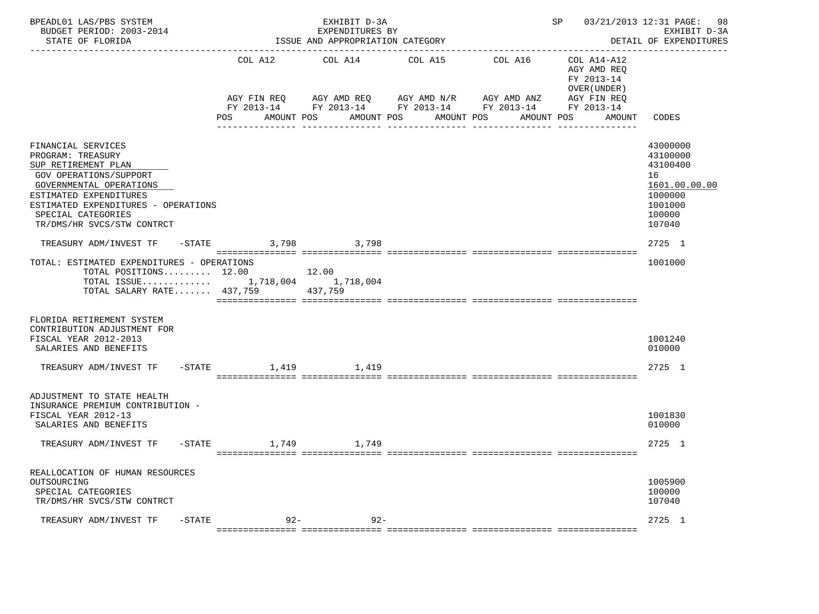| BPEADL01 LAS/PBS SYSTEM<br>BUDGET PERIOD: 2003-2014<br>STATE OF FLORIDA                                                                                                                                                                  |                   |                | EXHIBIT D-3A<br>EXPENDITURES BY<br>ISSUE AND APPROPRIATION CATEGORY |                                                                                                                                                              | 03/21/2013 12:31 PAGE:<br>SP and the set of the set of the set of the set of the set of the set of the set of the set of the set of the set of the set of the set of the set of the set of the set of the set of the set of the set of the set of the se<br>98<br>EXHIBIT D-3A<br>DETAIL OF EXPENDITURES |                                                                     |                                                                                                   |
|------------------------------------------------------------------------------------------------------------------------------------------------------------------------------------------------------------------------------------------|-------------------|----------------|---------------------------------------------------------------------|--------------------------------------------------------------------------------------------------------------------------------------------------------------|----------------------------------------------------------------------------------------------------------------------------------------------------------------------------------------------------------------------------------------------------------------------------------------------------------|---------------------------------------------------------------------|---------------------------------------------------------------------------------------------------|
|                                                                                                                                                                                                                                          |                   | COL A12<br>POS | COL A14<br>AMOUNT POS                                               | COL A15<br>AGY FIN REQ AGY AMD REQ AGY AMD N/R AGY AMD ANZ AGY FIN REQ<br>FY 2013-14 FY 2013-14 FY 2013-14 FY 2013-14 FY 2013-14<br>AMOUNT POS<br>AMOUNT POS | COL A16<br>AMOUNT POS                                                                                                                                                                                                                                                                                    | COL A14-A12<br>AGY AMD REQ<br>FY 2013-14<br>OVER (UNDER )<br>AMOUNT | CODES                                                                                             |
| FINANCIAL SERVICES<br>PROGRAM: TREASURY<br>SUP RETIREMENT PLAN<br>GOV OPERATIONS/SUPPORT<br>GOVERNMENTAL OPERATIONS<br>ESTIMATED EXPENDITURES<br>ESTIMATED EXPENDITURES - OPERATIONS<br>SPECIAL CATEGORIES<br>TR/DMS/HR SVCS/STW CONTRCT |                   |                |                                                                     |                                                                                                                                                              |                                                                                                                                                                                                                                                                                                          |                                                                     | 43000000<br>43100000<br>43100400<br>16<br>1601.00.00.00<br>1000000<br>1001000<br>100000<br>107040 |
| TREASURY ADM/INVEST TF -STATE 3,798 3,798                                                                                                                                                                                                |                   |                |                                                                     |                                                                                                                                                              |                                                                                                                                                                                                                                                                                                          |                                                                     | 2725 1                                                                                            |
| TOTAL: ESTIMATED EXPENDITURES - OPERATIONS<br>TOTAL POSITIONS $12.00$ 12.00<br>TOTAL ISSUE 1,718,004 1,718,004<br>TOTAL SALARY RATE 437,759 437,759                                                                                      |                   |                |                                                                     |                                                                                                                                                              |                                                                                                                                                                                                                                                                                                          |                                                                     | 1001000                                                                                           |
| FLORIDA RETIREMENT SYSTEM<br>CONTRIBUTION ADJUSTMENT FOR<br>FISCAL YEAR 2012-2013<br>SALARIES AND BENEFITS                                                                                                                               |                   |                |                                                                     |                                                                                                                                                              |                                                                                                                                                                                                                                                                                                          |                                                                     | 1001240<br>010000                                                                                 |
| TREASURY ADM/INVEST TF $-$ -STATE 1,419 $1,419$                                                                                                                                                                                          |                   |                |                                                                     |                                                                                                                                                              |                                                                                                                                                                                                                                                                                                          |                                                                     | 2725 1                                                                                            |
| ADJUSTMENT TO STATE HEALTH<br>INSURANCE PREMIUM CONTRIBUTION -<br>FISCAL YEAR 2012-13<br>SALARIES AND BENEFITS<br>TREASURY ADM/INVEST TF - STATE 1,749 1,749                                                                             |                   |                |                                                                     |                                                                                                                                                              |                                                                                                                                                                                                                                                                                                          |                                                                     | 1001830<br>010000<br>2725 1                                                                       |
|                                                                                                                                                                                                                                          |                   |                |                                                                     |                                                                                                                                                              |                                                                                                                                                                                                                                                                                                          |                                                                     |                                                                                                   |
| REALLOCATION OF HUMAN RESOURCES<br>OUTSOURCING<br>SPECIAL CATEGORIES<br>TR/DMS/HR SVCS/STW CONTRCT                                                                                                                                       |                   |                |                                                                     |                                                                                                                                                              |                                                                                                                                                                                                                                                                                                          |                                                                     | 1005900<br>100000<br>107040                                                                       |
| TREASURY ADM/INVEST TF                                                                                                                                                                                                                   | $-\mathtt{STATE}$ |                | $92  92 -$                                                          |                                                                                                                                                              |                                                                                                                                                                                                                                                                                                          |                                                                     | 2725 1                                                                                            |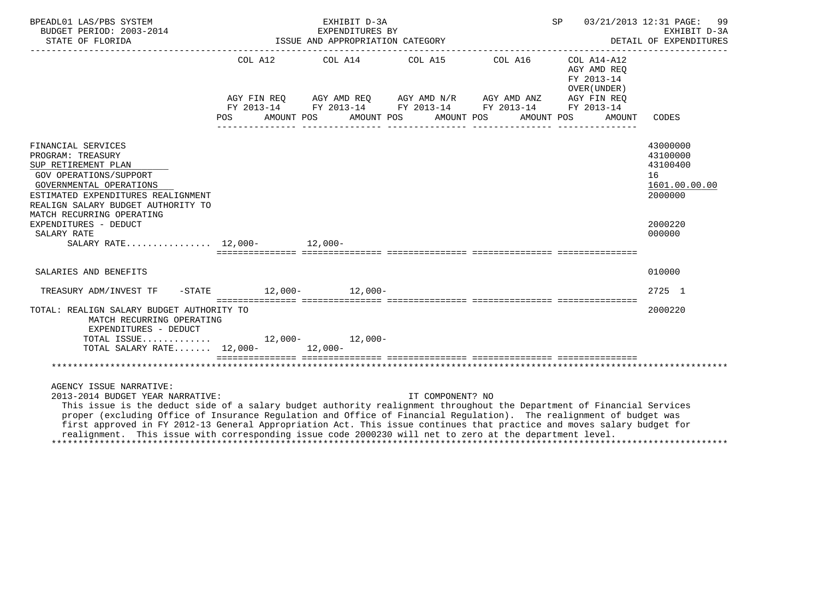| BPEADL01 LAS/PBS SYSTEM<br>BUDGET PERIOD: 2003-2014                                                                                                                                                                                                                                                                                                                                                                                                                                                                                               |            |  | EXHIBIT D-3A<br>EXPENDITURES BY                                                                                                                                     |                  |            | SP |                                                                                   | 03/21/2013 12:31 PAGE:<br>99<br>EXHIBIT D-3A<br>DETAIL OF EXPENDITURES |
|---------------------------------------------------------------------------------------------------------------------------------------------------------------------------------------------------------------------------------------------------------------------------------------------------------------------------------------------------------------------------------------------------------------------------------------------------------------------------------------------------------------------------------------------------|------------|--|---------------------------------------------------------------------------------------------------------------------------------------------------------------------|------------------|------------|----|-----------------------------------------------------------------------------------|------------------------------------------------------------------------|
|                                                                                                                                                                                                                                                                                                                                                                                                                                                                                                                                                   | <b>POS</b> |  | COL A12 COL A14 COL A15 COL A16<br>AGY FIN REQ AGY AMD REQ AGY AMD N/R AGY AMD ANZ AGY FIN REQ FY 2013-14 FY 2013-14 FY 2013-14<br>AMOUNT POS AMOUNT POS AMOUNT POS |                  | AMOUNT POS |    | COL A14-A12<br>AGY AMD REO<br>FY 2013-14<br>OVER (UNDER)<br>AGY FIN REO<br>AMOUNT | CODES                                                                  |
|                                                                                                                                                                                                                                                                                                                                                                                                                                                                                                                                                   |            |  |                                                                                                                                                                     |                  |            |    |                                                                                   |                                                                        |
| FINANCIAL SERVICES<br>PROGRAM: TREASURY<br>SUP RETIREMENT PLAN<br><b>GOV OPERATIONS/SUPPORT</b><br>GOVERNMENTAL OPERATIONS<br>ESTIMATED EXPENDITURES REALIGNMENT<br>REALIGN SALARY BUDGET AUTHORITY TO<br>MATCH RECURRING OPERATING                                                                                                                                                                                                                                                                                                               |            |  |                                                                                                                                                                     |                  |            |    |                                                                                   | 43000000<br>43100000<br>43100400<br>16<br>1601.00.00.00<br>2000000     |
| EXPENDITURES - DEDUCT<br>SALARY RATE<br>SALARY RATE 12,000- 12,000-                                                                                                                                                                                                                                                                                                                                                                                                                                                                               |            |  |                                                                                                                                                                     |                  |            |    | stationalisest sooraalisesta asteisestatest osaalisestates osaalisestates         | 2000220<br>000000                                                      |
| SALARIES AND BENEFITS                                                                                                                                                                                                                                                                                                                                                                                                                                                                                                                             |            |  |                                                                                                                                                                     |                  |            |    |                                                                                   | 010000                                                                 |
|                                                                                                                                                                                                                                                                                                                                                                                                                                                                                                                                                   |            |  | $12,000-12,000-$                                                                                                                                                    |                  |            |    |                                                                                   | 2725 1                                                                 |
| $-$ STATE<br>TREASURY ADM/INVEST TF                                                                                                                                                                                                                                                                                                                                                                                                                                                                                                               |            |  |                                                                                                                                                                     |                  |            |    | stationalisest sooraalisesta asteisestatest osaalisestates osaalisestates         |                                                                        |
| TOTAL: REALIGN SALARY BUDGET AUTHORITY TO<br>MATCH RECURRING OPERATING<br>EXPENDITURES - DEDUCT                                                                                                                                                                                                                                                                                                                                                                                                                                                   |            |  |                                                                                                                                                                     |                  |            |    |                                                                                   | 2000220                                                                |
| TOTAL ISSUE 12,000- 12,000-<br>TOTAL SALARY RATE 12,000- 12,000-                                                                                                                                                                                                                                                                                                                                                                                                                                                                                  |            |  |                                                                                                                                                                     |                  |            |    |                                                                                   |                                                                        |
|                                                                                                                                                                                                                                                                                                                                                                                                                                                                                                                                                   |            |  |                                                                                                                                                                     |                  |            |    |                                                                                   |                                                                        |
| AGENCY ISSUE NARRATIVE:<br>2013-2014 BUDGET YEAR NARRATIVE:<br>This issue is the deduct side of a salary budget authority realignment throughout the Department of Financial Services<br>proper (excluding Office of Insurance Regulation and Office of Financial Regulation). The realignment of budget was<br>first approved in FY 2012-13 General Appropriation Act. This issue continues that practice and moves salary budget for<br>realignment. This issue with corresponding issue code 2000230 will net to zero at the department level. |            |  |                                                                                                                                                                     | IT COMPONENT? NO |            |    |                                                                                   |                                                                        |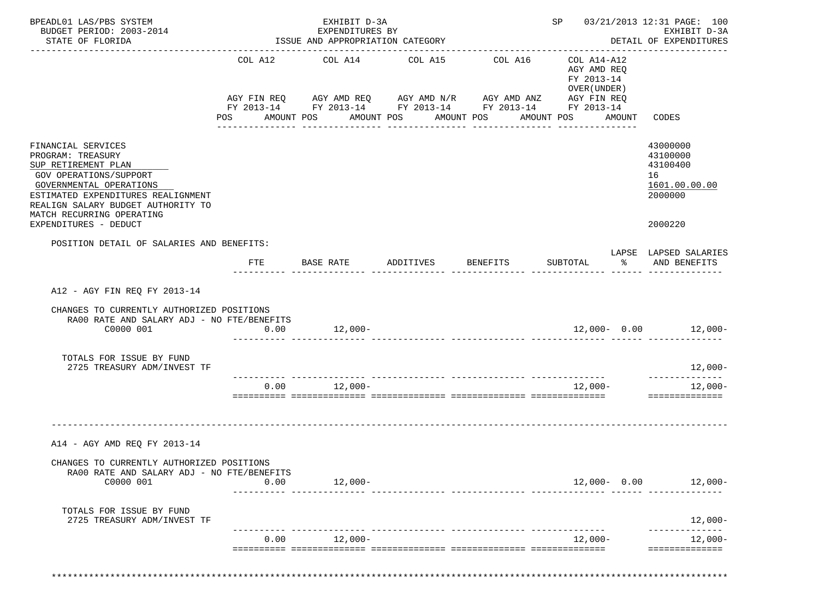| ISSUE AND APPROPRIATION CATEGORY                                                                                                                                                                                                                       |                                                                              |                  |                                                                           | EXHIBIT D-3A<br>DETAIL OF EXPENDITURES                                                                                                                |
|--------------------------------------------------------------------------------------------------------------------------------------------------------------------------------------------------------------------------------------------------------|------------------------------------------------------------------------------|------------------|---------------------------------------------------------------------------|-------------------------------------------------------------------------------------------------------------------------------------------------------|
| COL A12 COL A14                                                                                                                                                                                                                                        | COL A15                                                                      | COL A16          | COL A14-A12<br>AGY AMD REQ                                                |                                                                                                                                                       |
|                                                                                                                                                                                                                                                        |                                                                              |                  | FY 2013-14<br>OVER (UNDER)                                                |                                                                                                                                                       |
|                                                                                                                                                                                                                                                        |                                                                              | ---------------- |                                                                           | AMOUNT CODES                                                                                                                                          |
|                                                                                                                                                                                                                                                        |                                                                              |                  |                                                                           | 43000000<br>43100000<br>43100400<br>16<br>1601.00.00.00<br>2000000                                                                                    |
|                                                                                                                                                                                                                                                        |                                                                              |                  |                                                                           | 2000220                                                                                                                                               |
|                                                                                                                                                                                                                                                        |                                                                              |                  |                                                                           | LAPSE LAPSED SALARIES<br>AND BENEFITS                                                                                                                 |
|                                                                                                                                                                                                                                                        |                                                                              |                  |                                                                           |                                                                                                                                                       |
| $12,000-$                                                                                                                                                                                                                                              |                                                                              |                  |                                                                           | $12,000 - 0.00$ 12,000-                                                                                                                               |
|                                                                                                                                                                                                                                                        |                                                                              |                  |                                                                           | 12,000-                                                                                                                                               |
|                                                                                                                                                                                                                                                        |                                                                              |                  | 12,000-                                                                   | 12,000-<br>==============                                                                                                                             |
|                                                                                                                                                                                                                                                        |                                                                              |                  |                                                                           |                                                                                                                                                       |
|                                                                                                                                                                                                                                                        |                                                                              |                  |                                                                           |                                                                                                                                                       |
|                                                                                                                                                                                                                                                        |                                                                              |                  |                                                                           | $12,000 - 0.00$ 12,000-                                                                                                                               |
|                                                                                                                                                                                                                                                        |                                                                              |                  |                                                                           |                                                                                                                                                       |
|                                                                                                                                                                                                                                                        |                                                                              |                  |                                                                           | $12,000-$                                                                                                                                             |
| POSITION DETAIL OF SALARIES AND BENEFITS:<br>FTE<br>CHANGES TO CURRENTLY AUTHORIZED POSITIONS<br>RA00 RATE AND SALARY ADJ - NO FTE/BENEFITS<br>0.00<br>CHANGES TO CURRENTLY AUTHORIZED POSITIONS<br>RA00 RATE AND SALARY ADJ - NO FTE/BENEFITS<br>0.00 | POS AMOUNT POS<br>_________ _______________<br>$0.00$ $12,000-$<br>$12,000-$ |                  | AMOUNT POS AMOUNT POS<br>________________<br>BASE RATE ADDITIVES BENEFITS | AGY FIN REQ AGY AMD REQ AGY AMD N/R AGY AMD ANZ AGY FIN REQ<br>FY 2013-14 FY 2013-14 FY 2013-14 FY 2013-14 FY 2013-14<br>AMOUNT POS<br>SUBTOTAL<br>ႜೢ |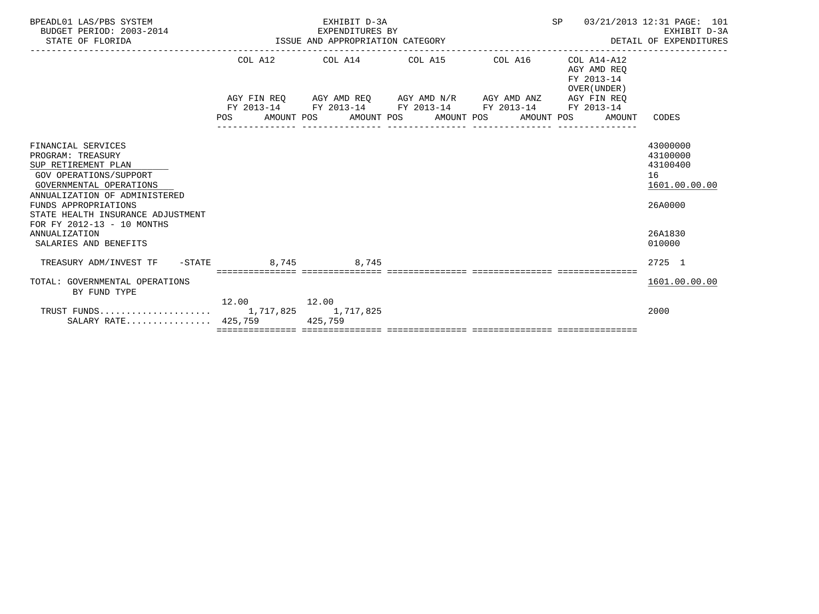| BPEADL01 LAS/PBS SYSTEM<br>BUDGET PERIOD: 2003-2014<br>STATE OF FLORIDA |             | EXHIBIT D-3A<br>EXPENDITURES BY<br>EXPENDITURES BY<br>ISSUE AND APPROPRIATION CATEGORY | SP | 03/21/2013 12:31 PAGE: 101<br>EXHIBIT D-3A<br>DETAIL OF EXPENDITURES |               |
|-------------------------------------------------------------------------|-------------|----------------------------------------------------------------------------------------|----|----------------------------------------------------------------------|---------------|
|                                                                         |             | COL A12 COL A14 COL A15 COL A16                                                        |    | $COL A14 - A12$<br>AGY AMD REO<br>FY 2013-14<br>OVER (UNDER)         |               |
|                                                                         |             | AGY FIN REQ AGY AMD REQ AGY AMD N/R AGY AMD ANZ AGY FIN REQ                            |    |                                                                      |               |
|                                                                         |             | FY 2013-14 FY 2013-14 FY 2013-14 FY 2013-14 FY 2013-14                                 |    |                                                                      |               |
|                                                                         |             | POS AMOUNT POS AMOUNT POS AMOUNT POS                                                   |    | AMOUNT POS AMOUNT                                                    | CODES         |
|                                                                         |             |                                                                                        |    |                                                                      |               |
| FINANCIAL SERVICES                                                      |             |                                                                                        |    |                                                                      | 43000000      |
| PROGRAM: TREASURY                                                       |             |                                                                                        |    |                                                                      | 43100000      |
| SUP RETIREMENT PLAN                                                     |             |                                                                                        |    |                                                                      | 43100400      |
| GOV OPERATIONS/SUPPORT                                                  |             |                                                                                        |    |                                                                      | 16            |
| GOVERNMENTAL OPERATIONS                                                 |             |                                                                                        |    |                                                                      | 1601.00.00.00 |
| ANNUALIZATION OF ADMINISTERED                                           |             |                                                                                        |    |                                                                      |               |
| FUNDS APPROPRIATIONS                                                    |             |                                                                                        |    |                                                                      | 26A0000       |
| STATE HEALTH INSURANCE ADJUSTMENT                                       |             |                                                                                        |    |                                                                      |               |
| FOR FY 2012-13 - 10 MONTHS<br><b>ANNUALIZATION</b>                      |             |                                                                                        |    |                                                                      | 26A1830       |
| SALARIES AND BENEFITS                                                   |             |                                                                                        |    |                                                                      | 010000        |
|                                                                         |             |                                                                                        |    |                                                                      |               |
| TREASURY ADM/INVEST TF -STATE 8,745 8,745                               |             |                                                                                        |    |                                                                      | 2725 1        |
|                                                                         |             |                                                                                        |    |                                                                      |               |
| TOTAL: GOVERNMENTAL OPERATIONS<br>BY FUND TYPE                          |             |                                                                                        |    |                                                                      | 1601.00.00.00 |
|                                                                         | 12.00 12.00 |                                                                                        |    |                                                                      |               |
|                                                                         |             |                                                                                        |    |                                                                      | 2000          |
| SALARY RATE 425,759 425,759                                             |             |                                                                                        |    |                                                                      |               |
|                                                                         |             |                                                                                        |    |                                                                      |               |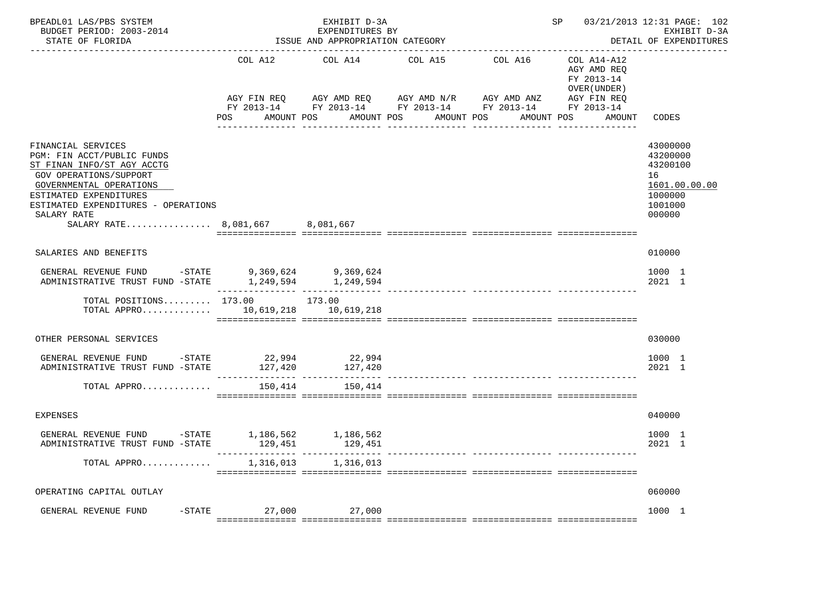| BPEADL01 LAS/PBS SYSTEM<br>BUDGET PERIOD: 2003-2014<br>STATE OF FLORIDA                                                                                                                                                                                       |                                                 | EXHIBIT D-3A<br>EXPENDITURES BY<br>ISSUE AND APPROPRIATION CATEGORY |                                                                                                              |                                      | SP 5                                                                              | 03/21/2013 12:31 PAGE: 102<br>EXHIBIT D-3A<br>DETAIL OF EXPENDITURES                    |
|---------------------------------------------------------------------------------------------------------------------------------------------------------------------------------------------------------------------------------------------------------------|-------------------------------------------------|---------------------------------------------------------------------|--------------------------------------------------------------------------------------------------------------|--------------------------------------|-----------------------------------------------------------------------------------|-----------------------------------------------------------------------------------------|
|                                                                                                                                                                                                                                                               | COL A12<br>AGY FIN REO<br>POS FOR<br>AMOUNT POS | COL A14<br>AGY AMD REQ                                              | COL A15<br>AGY AMD N/R<br>FY 2013-14 FY 2013-14 FY 2013-14 FY 2013-14 FY 2013-14<br>AMOUNT POS<br>AMOUNT POS | COL A16<br>AGY AMD ANZ<br>AMOUNT POS | COL A14-A12<br>AGY AMD REO<br>FY 2013-14<br>OVER (UNDER)<br>AGY FIN REO<br>AMOUNT | CODES                                                                                   |
| FINANCIAL SERVICES<br>PGM: FIN ACCT/PUBLIC FUNDS<br>ST FINAN INFO/ST AGY ACCTG<br><b>GOV OPERATIONS/SUPPORT</b><br>GOVERNMENTAL OPERATIONS<br>ESTIMATED EXPENDITURES<br>ESTIMATED EXPENDITURES - OPERATIONS<br>SALARY RATE<br>SALARY RATE 8,081,667 8,081,667 |                                                 |                                                                     |                                                                                                              |                                      |                                                                                   | 43000000<br>43200000<br>43200100<br>16<br>1601.00.00.00<br>1000000<br>1001000<br>000000 |
| SALARIES AND BENEFITS                                                                                                                                                                                                                                         |                                                 |                                                                     |                                                                                                              |                                      |                                                                                   | 010000                                                                                  |
| GENERAL REVENUE FUND<br>$-$ STATE<br>ADMINISTRATIVE TRUST FUND -STATE                                                                                                                                                                                         | 9,369,624                                       | 9,369,624<br>1, 249, 594 1, 249, 594                                |                                                                                                              |                                      |                                                                                   | 1000 1<br>2021 1                                                                        |
| TOTAL POSITIONS 173.00 173.00<br>TOTAL APPRO                                                                                                                                                                                                                  |                                                 | 10,619,218    10,619,218                                            |                                                                                                              |                                      |                                                                                   |                                                                                         |
| OTHER PERSONAL SERVICES                                                                                                                                                                                                                                       |                                                 |                                                                     |                                                                                                              |                                      |                                                                                   | 030000                                                                                  |
| GENERAL REVENUE FUND -STATE<br>ADMINISTRATIVE TRUST FUND -STATE                                                                                                                                                                                               |                                                 | $22,994$<br>$127,420$<br>$127,420$<br>$127,420$                     |                                                                                                              |                                      |                                                                                   | 1000 1<br>2021 1                                                                        |
| TOTAL APPRO                                                                                                                                                                                                                                                   | 150,414                                         | 150,414                                                             |                                                                                                              | ------------- --------------- ---    |                                                                                   |                                                                                         |
| <b>EXPENSES</b>                                                                                                                                                                                                                                               |                                                 |                                                                     |                                                                                                              |                                      |                                                                                   | 040000                                                                                  |
| GENERAL REVENUE FUND -STATE 1,186,562<br>ADMINISTRATIVE TRUST FUND -STATE                                                                                                                                                                                     | 129,451                                         | 1,186,562<br>129,451                                                |                                                                                                              |                                      |                                                                                   | 1000 1<br>2021 1                                                                        |
| TOTAL APPRO                                                                                                                                                                                                                                                   | 1,316,013                                       | 1,316,013                                                           |                                                                                                              |                                      |                                                                                   |                                                                                         |
| OPERATING CAPITAL OUTLAY                                                                                                                                                                                                                                      |                                                 |                                                                     |                                                                                                              |                                      |                                                                                   | 060000                                                                                  |
| GENERAL REVENUE FUND                                                                                                                                                                                                                                          | $-$ STATE 27,000 27,000                         |                                                                     |                                                                                                              |                                      |                                                                                   | 1000 1                                                                                  |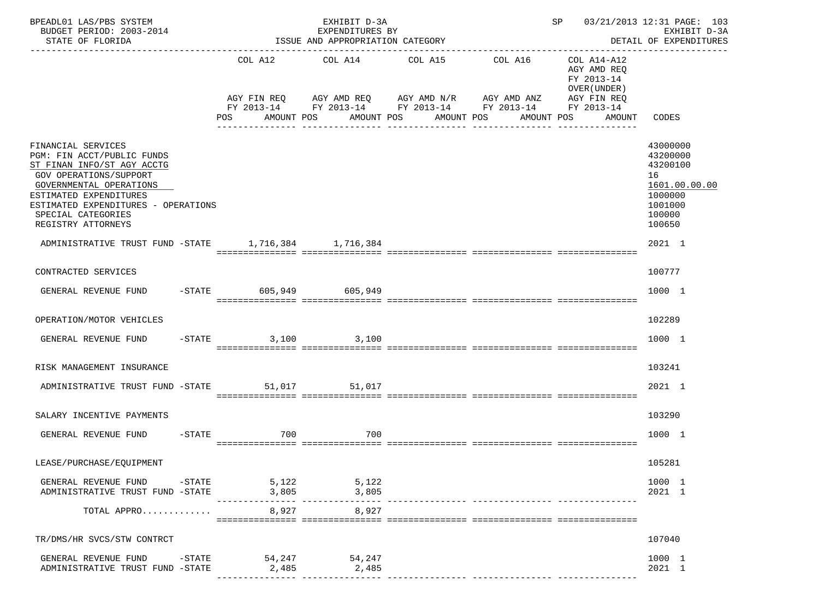| BPEADL01 LAS/PBS SYSTEM<br>BUDGET PERIOD: 2003-2014<br>STATE OF FLORIDA<br>---------------------                                                                                                                                                 |                        | EXHIBIT D-3A<br>EXPENDITURES BY<br>ISSUE AND APPROPRIATION CATEGORY |                                                                      |                                                          | SP 03/21/2013 12:31 PAGE: 103<br>EXHIBIT D-3A<br>DETAIL OF EXPENDITURES                           |
|--------------------------------------------------------------------------------------------------------------------------------------------------------------------------------------------------------------------------------------------------|------------------------|---------------------------------------------------------------------|----------------------------------------------------------------------|----------------------------------------------------------|---------------------------------------------------------------------------------------------------|
|                                                                                                                                                                                                                                                  |                        | COL A12 COL A14 COL A15 COL A16                                     | AGY FIN REQ AGY AMD REQ AGY AMD N/R AGY AMD ANZ AGY FIN REQ          | COL A14-A12<br>AGY AMD REQ<br>FY 2013-14<br>OVER (UNDER) |                                                                                                   |
|                                                                                                                                                                                                                                                  |                        | POS AMOUNT POS AMOUNT POS AMOUNT POS                                | FY 2013-14 FY 2013-14 FY 2013-14 FY 2013-14 FY 2013-14<br>AMOUNT POS |                                                          | AMOUNT CODES                                                                                      |
| FINANCIAL SERVICES<br>PGM: FIN ACCT/PUBLIC FUNDS<br>ST FINAN INFO/ST AGY ACCTG<br>GOV OPERATIONS/SUPPORT<br>GOVERNMENTAL OPERATIONS<br>ESTIMATED EXPENDITURES<br>ESTIMATED EXPENDITURES - OPERATIONS<br>SPECIAL CATEGORIES<br>REGISTRY ATTORNEYS |                        |                                                                     |                                                                      |                                                          | 43000000<br>43200000<br>43200100<br>16<br>1601.00.00.00<br>1000000<br>1001000<br>100000<br>100650 |
| ADMINISTRATIVE TRUST FUND -STATE 1,716,384 1,716,384                                                                                                                                                                                             |                        |                                                                     |                                                                      |                                                          | 2021 1                                                                                            |
| CONTRACTED SERVICES                                                                                                                                                                                                                              |                        |                                                                     |                                                                      |                                                          | 100777                                                                                            |
| GENERAL REVENUE FUND                                                                                                                                                                                                                             | -STATE 605,949 605,949 |                                                                     |                                                                      |                                                          | 1000 1                                                                                            |
| OPERATION/MOTOR VEHICLES                                                                                                                                                                                                                         |                        |                                                                     |                                                                      |                                                          | 102289                                                                                            |
| GENERAL REVENUE FUND                                                                                                                                                                                                                             | -STATE 3,100 3,100     |                                                                     |                                                                      |                                                          | 1000 1                                                                                            |
| RISK MANAGEMENT INSURANCE                                                                                                                                                                                                                        |                        |                                                                     |                                                                      |                                                          | 103241                                                                                            |
| ADMINISTRATIVE TRUST FUND -STATE 51,017 51,017                                                                                                                                                                                                   |                        |                                                                     |                                                                      |                                                          | 2021 1                                                                                            |
| SALARY INCENTIVE PAYMENTS                                                                                                                                                                                                                        |                        |                                                                     |                                                                      |                                                          | 103290                                                                                            |
| GENERAL REVENUE FUND                                                                                                                                                                                                                             | $-STATE$<br>700        | 700                                                                 |                                                                      |                                                          | 1000 1                                                                                            |
| LEASE/PURCHASE/EQUIPMENT                                                                                                                                                                                                                         |                        |                                                                     |                                                                      |                                                          | 105281                                                                                            |
| GENERAL REVENUE FUND -STATE 5,122 5,122<br>ADMINISTRATIVE TRUST FUND -STATE                                                                                                                                                                      | 3,805                  | 3,805                                                               |                                                                      |                                                          | 1000 1<br>2021 1                                                                                  |
| TOTAL APPRO                                                                                                                                                                                                                                      |                        | 8,927<br>8,927                                                      |                                                                      |                                                          |                                                                                                   |
| TR/DMS/HR SVCS/STW CONTRCT                                                                                                                                                                                                                       |                        |                                                                     |                                                                      |                                                          | 107040                                                                                            |
| GENERAL REVENUE FUND -STATE 54,247 54,247<br>ADMINISTRATIVE TRUST FUND -STATE                                                                                                                                                                    | 2,485                  | 2,485                                                               |                                                                      |                                                          | 1000 1<br>2021 1                                                                                  |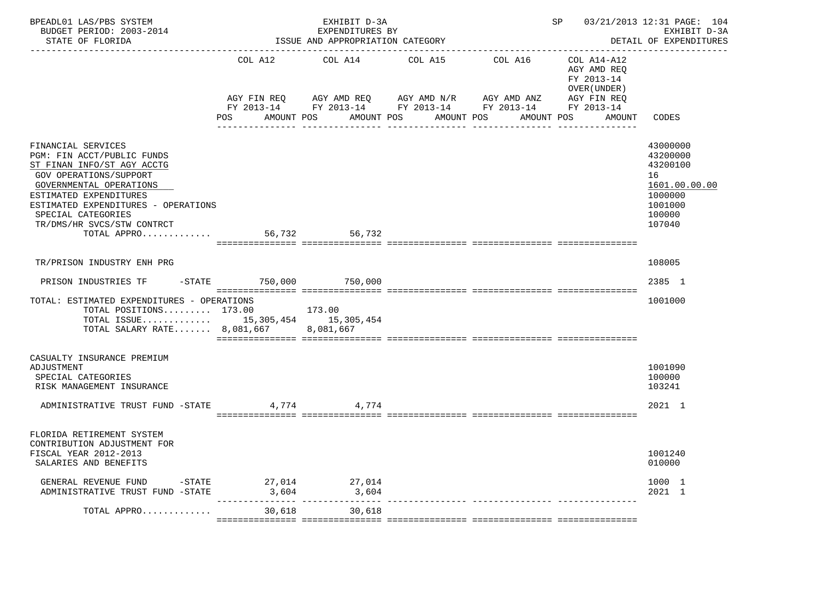|                                                                      | EXHIBIT D-3A |                                                                                                                                                                                                                                                            | 03/21/2013 12:31 PAGE: 104<br>SP<br>EXHIBIT D-3A<br>DETAIL OF EXPENDITURES                   |                                                      |                                                                                                            |
|----------------------------------------------------------------------|--------------|------------------------------------------------------------------------------------------------------------------------------------------------------------------------------------------------------------------------------------------------------------|----------------------------------------------------------------------------------------------|------------------------------------------------------|------------------------------------------------------------------------------------------------------------|
| COL A12<br>AGY FIN REQ<br>POS DO                                     | COL A14      | COL A15                                                                                                                                                                                                                                                    | AGY AMD ANZ                                                                                  | AGY AMD REO<br>FY 2013-14<br>OVER (UNDER )<br>AMOUNT | CODES                                                                                                      |
| ESTIMATED EXPENDITURES - OPERATIONS<br>TOTAL APPRO                   | 56,732       |                                                                                                                                                                                                                                                            |                                                                                              |                                                      | 43000000<br>43200000<br>43200100<br>16<br>1601.00.00.00<br>1000000<br>1001000<br>100000<br>107040          |
|                                                                      |              |                                                                                                                                                                                                                                                            |                                                                                              |                                                      | 108005                                                                                                     |
|                                                                      |              |                                                                                                                                                                                                                                                            |                                                                                              |                                                      | 2385 1                                                                                                     |
| TOTAL: ESTIMATED EXPENDITURES - OPERATIONS<br>TOTAL POSITIONS 173.00 |              |                                                                                                                                                                                                                                                            |                                                                                              |                                                      | 1001000                                                                                                    |
| ADMINISTRATIVE TRUST FUND -STATE                                     |              |                                                                                                                                                                                                                                                            |                                                                                              |                                                      | 1001090<br>100000<br>103241<br>2021 1                                                                      |
|                                                                      |              |                                                                                                                                                                                                                                                            |                                                                                              |                                                      | 1001240<br>010000                                                                                          |
| ADMINISTRATIVE TRUST FUND -STATE                                     | 3,604        |                                                                                                                                                                                                                                                            |                                                                                              |                                                      | 1000 1<br>2021 1                                                                                           |
| TOTAL APPRO                                                          | 30,618       |                                                                                                                                                                                                                                                            |                                                                                              |                                                      |                                                                                                            |
|                                                                      |              | AMOUNT POS<br>56,732<br>PRISON INDUSTRIES TF -STATE 750,000 750,000<br>173.00<br>TOTAL ISSUE 15,305,454 15,305,454<br>TOTAL SALARY RATE 8,081,667 8,081,667<br>4,774 4,774<br>GENERAL REVENUE FUND $$\tt -STATE$$ $27\,,014$ $27\,,014$<br>3,604<br>30,618 | EXPENDITURES BY<br>ISSUE AND APPROPRIATION CATEGORY<br>AGY AMD REQ AGY AMD N/R<br>AMOUNT POS | AMOUNT POS                                           | COL A16 COL A14-A12<br>AGY FIN REQ<br>FY 2013-14 FY 2013-14 FY 2013-14 FY 2013-14 FY 2013-14<br>AMOUNT POS |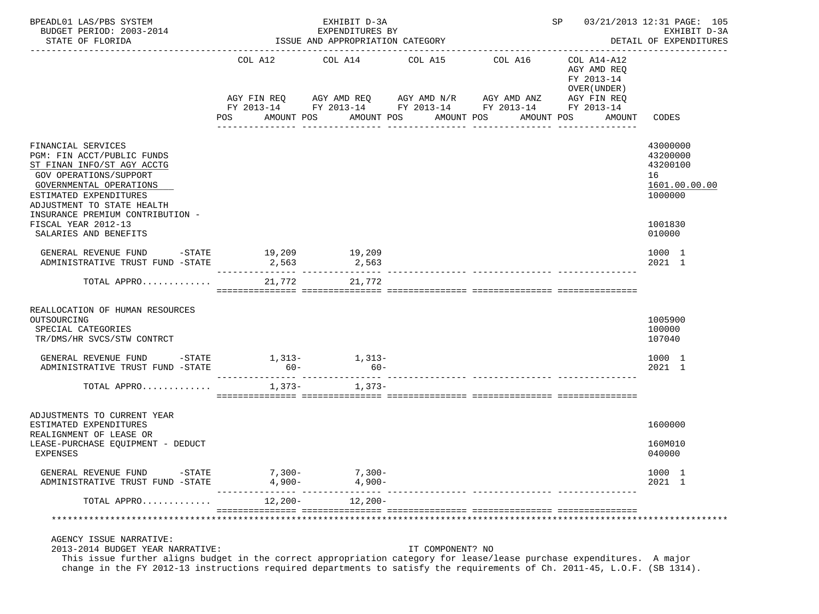| BPEADL01 LAS/PBS SYSTEM<br>BUDGET PERIOD: 2003-2014<br>STATE OF FLORIDA                                                                                                                                                                                |            | EXHIBIT D-3A<br>EXPENDITURES BY<br>ISSUE AND APPROPRIATION CATEGORY |                  | SP 03/21/2013 12:31 PAGE: 105<br>EXHIBIT D-3A<br>DETAIL OF EXPENDITURES                                                                                      |                                                                    |                                                                               |
|--------------------------------------------------------------------------------------------------------------------------------------------------------------------------------------------------------------------------------------------------------|------------|---------------------------------------------------------------------|------------------|--------------------------------------------------------------------------------------------------------------------------------------------------------------|--------------------------------------------------------------------|-------------------------------------------------------------------------------|
|                                                                                                                                                                                                                                                        | <b>POS</b> | COL A12 COL A14 COL A15<br>AMOUNT POS                               | AMOUNT POS       | COL A16<br>AGY FIN REQ AGY AMD REQ AGY AMD N/R AGY AMD ANZ AGY FIN REQ<br>FY 2013-14 FY 2013-14 FY 2013-14 FY 2013-14 FY 2013-14<br>AMOUNT POS<br>AMOUNT POS | COL A14-A12<br>AGY AMD REO<br>FY 2013-14<br>OVER (UNDER)<br>AMOUNT | CODES                                                                         |
| FINANCIAL SERVICES<br>PGM: FIN ACCT/PUBLIC FUNDS<br>ST FINAN INFO/ST AGY ACCTG<br>GOV OPERATIONS/SUPPORT<br>GOVERNMENTAL OPERATIONS<br>ESTIMATED EXPENDITURES<br>ADJUSTMENT TO STATE HEALTH<br>INSURANCE PREMIUM CONTRIBUTION -<br>FISCAL YEAR 2012-13 |            |                                                                     |                  |                                                                                                                                                              |                                                                    | 43000000<br>43200000<br>43200100<br>16<br>1601.00.00.00<br>1000000<br>1001830 |
| SALARIES AND BENEFITS                                                                                                                                                                                                                                  |            |                                                                     |                  |                                                                                                                                                              |                                                                    | 010000                                                                        |
| GENERAL REVENUE FUND -STATE 19,209<br>ADMINISTRATIVE TRUST FUND -STATE                                                                                                                                                                                 | 2,563      | 19,209<br>2,563                                                     |                  |                                                                                                                                                              |                                                                    | 1000 1<br>2021 1                                                              |
| TOTAL APPRO                                                                                                                                                                                                                                            | 21,772     | 21,772                                                              |                  |                                                                                                                                                              |                                                                    |                                                                               |
| REALLOCATION OF HUMAN RESOURCES<br>OUTSOURCING<br>SPECIAL CATEGORIES<br>TR/DMS/HR SVCS/STW CONTRCT                                                                                                                                                     |            |                                                                     |                  |                                                                                                                                                              |                                                                    | 1005900<br>100000<br>107040                                                   |
| GENERAL REVENUE FUND -STATE<br>ADMINISTRATIVE TRUST FUND -STATE                                                                                                                                                                                        | $60 -$     | $1,313-1,313-$<br>$60 -$                                            |                  |                                                                                                                                                              |                                                                    | 1000 1<br>2021 1                                                              |
| TOTAL APPRO                                                                                                                                                                                                                                            |            | $1,373-1,373-$                                                      |                  |                                                                                                                                                              |                                                                    |                                                                               |
| ADJUSTMENTS TO CURRENT YEAR                                                                                                                                                                                                                            |            |                                                                     |                  |                                                                                                                                                              |                                                                    |                                                                               |
| ESTIMATED EXPENDITURES<br>REALIGNMENT OF LEASE OR                                                                                                                                                                                                      |            |                                                                     |                  |                                                                                                                                                              |                                                                    | 1600000                                                                       |
| LEASE-PURCHASE EQUIPMENT - DEDUCT<br>EXPENSES                                                                                                                                                                                                          |            |                                                                     |                  |                                                                                                                                                              |                                                                    | 160M010<br>040000                                                             |
| GENERAL REVENUE FUND -STATE<br>ADMINISTRATIVE TRUST FUND -STATE                                                                                                                                                                                        |            | $7,300-7,300-$<br>$4,900 4,900-$                                    |                  |                                                                                                                                                              |                                                                    | 1000 1<br>2021 1                                                              |
| TOTAL APPRO                                                                                                                                                                                                                                            |            | $12,200-12,200-$                                                    |                  |                                                                                                                                                              |                                                                    |                                                                               |
|                                                                                                                                                                                                                                                        |            |                                                                     |                  |                                                                                                                                                              |                                                                    |                                                                               |
| AGENCY ISSUE NARRATIVE:<br>2013-2014 BUDGET YEAR NARRATIVE:<br>This issue further aligns budget in the correct appropriation category for lease/lease purchase expenditures. A major                                                                   |            |                                                                     | IT COMPONENT? NO |                                                                                                                                                              |                                                                    |                                                                               |

change in the FY 2012-13 instructions required departments to satisfy the requirements of Ch. 2011-45, L.O.F. (SB 1314).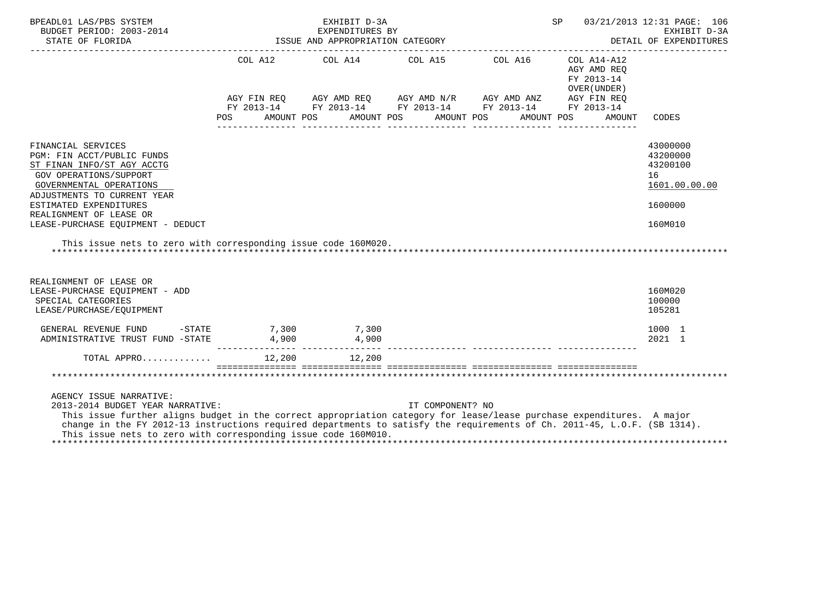| BPEADL01 LAS/PBS SYSTEM<br>BUDGET PERIOD: 2003-2014                                                                                                                                                                                                                                                                                                                                | EXHIBIT D-3A<br>EXPENDITURES BY |       |  |       |  |                                                                                                                                                                         |  |            | 03/21/2013 12:31 PAGE: 106<br>SP<br>EXHIBIT D-3A<br>DETAIL OF EXPENDITURES |                                                                    |                                                         |  |
|------------------------------------------------------------------------------------------------------------------------------------------------------------------------------------------------------------------------------------------------------------------------------------------------------------------------------------------------------------------------------------|---------------------------------|-------|--|-------|--|-------------------------------------------------------------------------------------------------------------------------------------------------------------------------|--|------------|----------------------------------------------------------------------------|--------------------------------------------------------------------|---------------------------------------------------------|--|
|                                                                                                                                                                                                                                                                                                                                                                                    |                                 |       |  |       |  | COL A12 COL A14 COL A15 COL A16<br>AGY FIN REQ AGY AMD REQ AGY AMD N/R AGY AMD ANZ AGY FIN REQ FY 2013-14 FY 2013-14 FY 2013-14<br>POS AMOUNT POS AMOUNT POS AMOUNT POS |  | AMOUNT POS |                                                                            | COL A14-A12<br>AGY AMD REO<br>FY 2013-14<br>OVER (UNDER)<br>AMOUNT | CODES                                                   |  |
| FINANCIAL SERVICES<br>PGM: FIN ACCT/PUBLIC FUNDS<br>ST FINAN INFO/ST AGY ACCTG<br><b>GOV OPERATIONS/SUPPORT</b><br>GOVERNMENTAL OPERATIONS<br>ADJUSTMENTS TO CURRENT YEAR                                                                                                                                                                                                          |                                 |       |  |       |  |                                                                                                                                                                         |  |            |                                                                            |                                                                    | 43000000<br>43200000<br>43200100<br>16<br>1601.00.00.00 |  |
| ESTIMATED EXPENDITURES<br>REALIGNMENT OF LEASE OR<br>LEASE-PURCHASE EQUIPMENT - DEDUCT                                                                                                                                                                                                                                                                                             |                                 |       |  |       |  |                                                                                                                                                                         |  |            |                                                                            |                                                                    | 1600000<br>160M010                                      |  |
| This issue nets to zero with corresponding issue code 160M020.                                                                                                                                                                                                                                                                                                                     |                                 |       |  |       |  |                                                                                                                                                                         |  |            |                                                                            |                                                                    |                                                         |  |
| REALIGNMENT OF LEASE OR<br>LEASE-PURCHASE EQUIPMENT - ADD<br>SPECIAL CATEGORIES<br>LEASE/PURCHASE/EQUIPMENT                                                                                                                                                                                                                                                                        |                                 |       |  |       |  |                                                                                                                                                                         |  |            |                                                                            |                                                                    | 160M020<br>100000<br>105281                             |  |
| $-STATE$ 7,300 7,300<br>GENERAL REVENUE FUND<br>ADMINISTRATIVE TRUST FUND -STATE                                                                                                                                                                                                                                                                                                   |                                 | 4,900 |  | 4,900 |  |                                                                                                                                                                         |  |            |                                                                            |                                                                    | 1000 1<br>2021 1                                        |  |
|                                                                                                                                                                                                                                                                                                                                                                                    |                                 |       |  |       |  |                                                                                                                                                                         |  |            |                                                                            |                                                                    |                                                         |  |
|                                                                                                                                                                                                                                                                                                                                                                                    |                                 |       |  |       |  |                                                                                                                                                                         |  |            |                                                                            |                                                                    |                                                         |  |
| AGENCY ISSUE NARRATIVE:<br>2013-2014 BUDGET YEAR NARRATIVE:<br>This issue further aligns budget in the correct appropriation category for lease/lease purchase expenditures. A major<br>change in the FY 2012-13 instructions required departments to satisfy the requirements of Ch. 2011-45, L.O.F. (SB 1314).<br>This issue nets to zero with corresponding issue code 160M010. |                                 |       |  |       |  | IT COMPONENT? NO                                                                                                                                                        |  |            |                                                                            |                                                                    |                                                         |  |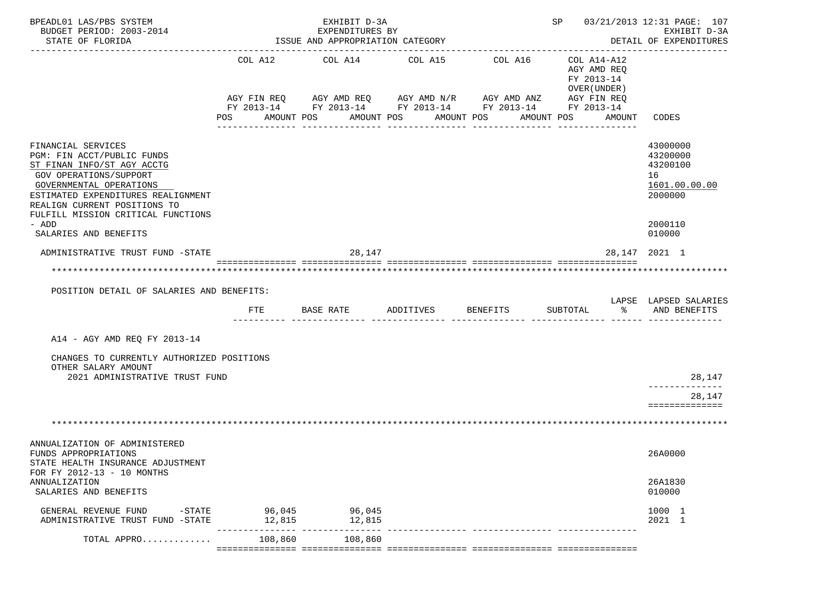| BPEADL01 LAS/PBS SYSTEM                                                                       |                                              | EXHIBIT D-3A                                           | SP 03/21/2013 12:31 PAGE: 107      |                                                        |                                           |                          |
|-----------------------------------------------------------------------------------------------|----------------------------------------------|--------------------------------------------------------|------------------------------------|--------------------------------------------------------|-------------------------------------------|--------------------------|
| BUDGET PERIOD: 2003-2014<br>STATE OF FLORIDA                                                  |                                              | EXPENDITURES BY<br>ISSUE AND APPROPRIATION CATEGORY    |                                    |                                                        | EXHIBIT D-3A<br>DETAIL OF EXPENDITURES    |                          |
|                                                                                               | COL A12                                      | COL A14                                                | COL A15                            | COL A16                                                | COL A14-A12                               | ----------------         |
|                                                                                               |                                              |                                                        |                                    |                                                        | AGY AMD REQ<br>FY 2013-14<br>OVER (UNDER) |                          |
|                                                                                               |                                              | AGY FIN REQ 6 AGY AMD REQ 6 AGY AMD N/R 66 AGY AMD ANZ |                                    | FY 2013-14 FY 2013-14 FY 2013-14 FY 2013-14 FY 2013-14 | AGY FIN REQ                               |                          |
|                                                                                               | POS                                          | AMOUNT POS                                             | AMOUNT POS                         | AMOUNT POS<br>AMOUNT POS                               | AMOUNT                                    | CODES                    |
| FINANCIAL SERVICES                                                                            |                                              |                                                        |                                    |                                                        |                                           | 43000000                 |
| PGM: FIN ACCT/PUBLIC FUNDS<br>ST FINAN INFO/ST AGY ACCTG                                      |                                              |                                                        |                                    |                                                        |                                           | 43200000<br>43200100     |
| GOV OPERATIONS/SUPPORT                                                                        |                                              |                                                        |                                    |                                                        |                                           | 16                       |
| GOVERNMENTAL OPERATIONS<br>ESTIMATED EXPENDITURES REALIGNMENT<br>REALIGN CURRENT POSITIONS TO |                                              |                                                        |                                    |                                                        |                                           | 1601.00.00.00<br>2000000 |
| FULFILL MISSION CRITICAL FUNCTIONS                                                            |                                              |                                                        |                                    |                                                        |                                           |                          |
| - ADD<br>SALARIES AND BENEFITS                                                                |                                              |                                                        |                                    |                                                        |                                           | 2000110<br>010000        |
| ADMINISTRATIVE TRUST FUND -STATE                                                              |                                              | 28,147                                                 |                                    |                                                        |                                           | 28, 147 2021 1           |
| ***********************************<br>POSITION DETAIL OF SALARIES AND BENEFITS:              |                                              |                                                        |                                    |                                                        | ************************************      | LAPSE LAPSED SALARIES    |
|                                                                                               | FTE                                          | BASE RATE                                              | ADDITIVES                          | <b>BENEFITS</b>                                        | $\sim$ $\sim$<br>SUBTOTAL                 | AND BENEFITS             |
| A14 - AGY AMD REQ FY 2013-14                                                                  |                                              |                                                        |                                    |                                                        |                                           |                          |
| CHANGES TO CURRENTLY AUTHORIZED POSITIONS<br>OTHER SALARY AMOUNT                              |                                              |                                                        |                                    |                                                        |                                           |                          |
| 2021 ADMINISTRATIVE TRUST FUND                                                                |                                              |                                                        |                                    |                                                        |                                           | 28,147<br>-----------    |
|                                                                                               |                                              |                                                        |                                    |                                                        |                                           | 28,147<br>============== |
|                                                                                               |                                              |                                                        |                                    |                                                        |                                           |                          |
| ANNUALIZATION OF ADMINISTERED<br>FUNDS APPROPRIATIONS<br>STATE HEALTH INSURANCE ADJUSTMENT    |                                              |                                                        |                                    |                                                        |                                           | 26A0000                  |
| FOR FY 2012-13 - 10 MONTHS<br><b>ANNUALIZATION</b><br>SALARIES AND BENEFITS                   |                                              |                                                        |                                    |                                                        |                                           | 26A1830<br>010000        |
| GENERAL REVENUE FUND<br>$-\mathtt{STATE}$<br>ADMINISTRATIVE TRUST FUND -STATE                 | 96,045                                       | 96,045                                                 |                                    |                                                        |                                           | 1000 1                   |
|                                                                                               | 12,815<br>__________________________________ | 12,815                                                 | __________________________________ |                                                        |                                           | 2021 1                   |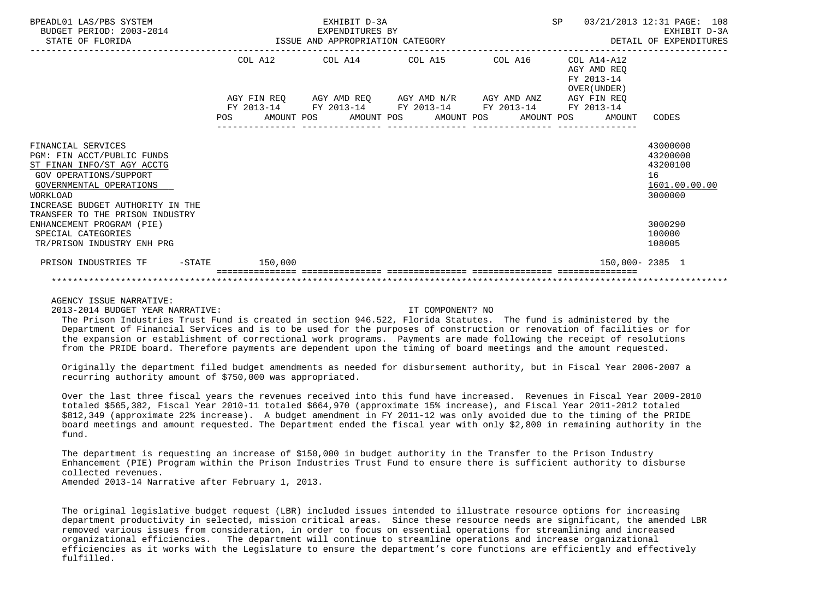| BPEADL01 LAS/PBS SYSTEM<br>BUDGET PERIOD: 2003-2014<br>STATE OF FLORIDA                                                                                                                    |                   | EXHIBIT D-3A<br>EXPENDITURES BY<br>ISSUE AND APPROPRIATION CATEGORY                            |                          |            | SP                                                       | 03/21/2013 12:31 PAGE: 108<br>EXHIBIT D-3A<br>DETAIL OF EXPENDITURES |
|--------------------------------------------------------------------------------------------------------------------------------------------------------------------------------------------|-------------------|------------------------------------------------------------------------------------------------|--------------------------|------------|----------------------------------------------------------|----------------------------------------------------------------------|
|                                                                                                                                                                                            |                   | COL A12 COL A14 COL A15                                                                        |                          | COL A16    | COL A14-A12<br>AGY AMD REO<br>FY 2013-14<br>OVER (UNDER) |                                                                      |
|                                                                                                                                                                                            | AMOUNT POS<br>POS | AGY FIN REO AGY AMD REO AGY AMD N/R AGY AMD ANZ<br>FY 2013-14 FY 2013-14 FY 2013-14 FY 2013-14 | AMOUNT POS<br>AMOUNT POS | AMOUNT POS | AGY FIN REO<br>FY 2013-14<br>AMOUNT                      | CODES                                                                |
| FINANCIAL SERVICES<br>PGM: FIN ACCT/PUBLIC FUNDS<br>ST FINAN INFO/ST AGY ACCTG<br><b>GOV OPERATIONS/SUPPORT</b><br>GOVERNMENTAL OPERATIONS<br>WORKLOAD<br>INCREASE BUDGET AUTHORITY IN THE |                   |                                                                                                |                          |            |                                                          | 43000000<br>43200000<br>43200100<br>16<br>1601.00.00.00<br>3000000   |
| TRANSFER TO THE PRISON INDUSTRY<br>ENHANCEMENT PROGRAM (PIE)<br>SPECIAL CATEGORIES<br>TR/PRISON INDUSTRY ENH PRG                                                                           |                   |                                                                                                |                          |            |                                                          | 3000290<br>100000<br>108005                                          |
| PRISON INDUSTRIES TF<br>$-\mathtt{STATE}$                                                                                                                                                  | 150,000           |                                                                                                |                          |            | 150,000-2385 1                                           |                                                                      |
|                                                                                                                                                                                            |                   |                                                                                                |                          |            |                                                          |                                                                      |

2013-2014 BUDGET YEAR NARRATIVE: IT COMPONENT? NO

 The Prison Industries Trust Fund is created in section 946.522, Florida Statutes. The fund is administered by the Department of Financial Services and is to be used for the purposes of construction or renovation of facilities or for the expansion or establishment of correctional work programs. Payments are made following the receipt of resolutions from the PRIDE board. Therefore payments are dependent upon the timing of board meetings and the amount requested.

 Originally the department filed budget amendments as needed for disbursement authority, but in Fiscal Year 2006-2007 a recurring authority amount of \$750,000 was appropriated.

 Over the last three fiscal years the revenues received into this fund have increased. Revenues in Fiscal Year 2009-2010 totaled \$565,382, Fiscal Year 2010-11 totaled \$664,970 (approximate 15% increase), and Fiscal Year 2011-2012 totaled \$812,349 (approximate 22% increase). A budget amendment in FY 2011-12 was only avoided due to the timing of the PRIDE board meetings and amount requested. The Department ended the fiscal year with only \$2,800 in remaining authority in the fund.

 The department is requesting an increase of \$150,000 in budget authority in the Transfer to the Prison Industry Enhancement (PIE) Program within the Prison Industries Trust Fund to ensure there is sufficient authority to disburse collected revenues.

Amended 2013-14 Narrative after February 1, 2013.

 The original legislative budget request (LBR) included issues intended to illustrate resource options for increasing department productivity in selected, mission critical areas. Since these resource needs are significant, the amended LBR removed various issues from consideration, in order to focus on essential operations for streamlining and increased organizational efficiencies. The department will continue to streamline operations and increase organizational efficiencies as it works with the Legislature to ensure the department's core functions are efficiently and effectively fulfilled.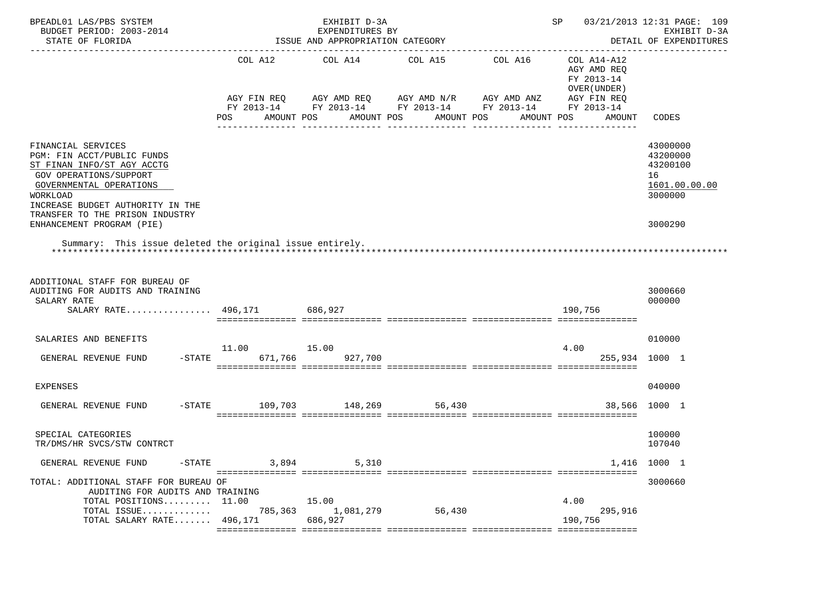| BPEADL01 LAS/PBS SYSTEM<br>BUDGET PERIOD: 2003-2014<br>STATE OF FLORIDA                                                                                                                                                                                                                                                |                                  | EXHIBIT D-3A<br>EXPENDITURES BY<br>ISSUE AND APPROPRIATION CATEGORY                                                                                        |                       |            | SP                                                                                | 03/21/2013 12:31 PAGE: 109<br>EXHIBIT D-3A<br>DETAIL OF EXPENDITURES          |
|------------------------------------------------------------------------------------------------------------------------------------------------------------------------------------------------------------------------------------------------------------------------------------------------------------------------|----------------------------------|------------------------------------------------------------------------------------------------------------------------------------------------------------|-----------------------|------------|-----------------------------------------------------------------------------------|-------------------------------------------------------------------------------|
|                                                                                                                                                                                                                                                                                                                        | POS                              | COL A12 COL A14 COL A15 COL A16<br>AGY FIN REQ AGY AMD REQ AGY AMD N/R AGY AMD ANZ<br>FY 2013-14 FY 2013-14 FY 2013-14 FY 2013-14 FY 2013-14<br>AMOUNT POS | AMOUNT POS AMOUNT POS | AMOUNT POS | COL A14-A12<br>AGY AMD REQ<br>FY 2013-14<br>OVER (UNDER)<br>AGY FIN REQ<br>AMOUNT | CODES                                                                         |
| FINANCIAL SERVICES<br>PGM: FIN ACCT/PUBLIC FUNDS<br>ST FINAN INFO/ST AGY ACCTG<br><b>GOV OPERATIONS/SUPPORT</b><br>GOVERNMENTAL OPERATIONS<br>WORKLOAD<br>INCREASE BUDGET AUTHORITY IN THE<br>TRANSFER TO THE PRISON INDUSTRY<br>ENHANCEMENT PROGRAM (PIE)<br>Summary: This issue deleted the original issue entirely. |                                  |                                                                                                                                                            |                       |            |                                                                                   | 43000000<br>43200000<br>43200100<br>16<br>1601.00.00.00<br>3000000<br>3000290 |
| ADDITIONAL STAFF FOR BUREAU OF<br>AUDITING FOR AUDITS AND TRAINING<br>SALARY RATE<br>SALARY RATE 496,171 686,927                                                                                                                                                                                                       |                                  |                                                                                                                                                            |                       |            | 190,756                                                                           | 3000660<br>000000                                                             |
| SALARIES AND BENEFITS<br>GENERAL REVENUE FUND                                                                                                                                                                                                                                                                          | 11.00 15.00<br>$-$ STATE 671,766 | 927,700                                                                                                                                                    |                       |            | 4.00<br>255,934 1000 1                                                            | 010000                                                                        |
| <b>EXPENSES</b><br>GENERAL REVENUE FUND                                                                                                                                                                                                                                                                                | -STATE 109,703 148,269 56,430    |                                                                                                                                                            |                       |            |                                                                                   | 040000<br>38,566 1000 1                                                       |
| SPECIAL CATEGORIES<br>TR/DMS/HR SVCS/STW CONTRCT                                                                                                                                                                                                                                                                       |                                  |                                                                                                                                                            |                       |            |                                                                                   | 100000<br>107040                                                              |
| GENERAL REVENUE FUND<br>-STATE                                                                                                                                                                                                                                                                                         | 3,894                            | 5,310                                                                                                                                                      |                       |            |                                                                                   | 1,416 1000 1                                                                  |
| TOTAL: ADDITIONAL STAFF FOR BUREAU OF<br>AUDITING FOR AUDITS AND TRAINING<br>TOTAL POSITIONS 11.00<br>TOTAL ISSUE<br>TOTAL SALARY RATE 496,171                                                                                                                                                                         | 785,363                          | 15.00<br>1,081,279<br>686,927                                                                                                                              | 56,430                |            | 4.00<br>295,916<br>190,756                                                        | 3000660                                                                       |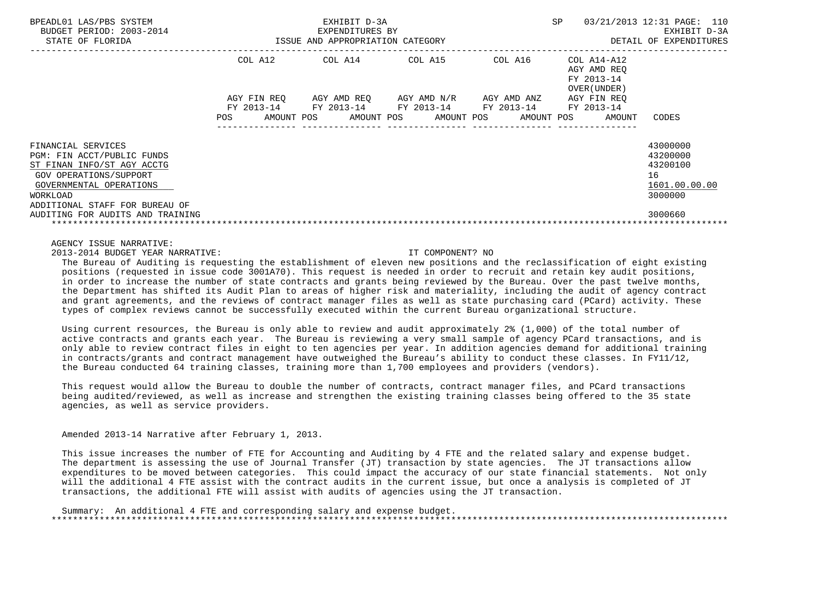| BPEADL01 LAS/PBS SYSTEM<br>BUDGET PERIOD: 2003-2014<br>STATE OF FLORIDA                                                                                                                                               |                                                | EXHIBIT D-3A<br>EXPENDITURES BY<br>ISSUE AND APPROPRIATION CATEGORY | SP.                                     | 03/21/2013 12:31 PAGE: 110<br>EXHIBIT D-3A<br>DETAIL OF EXPENDITURES |                                                          |                                                                               |
|-----------------------------------------------------------------------------------------------------------------------------------------------------------------------------------------------------------------------|------------------------------------------------|---------------------------------------------------------------------|-----------------------------------------|----------------------------------------------------------------------|----------------------------------------------------------|-------------------------------------------------------------------------------|
|                                                                                                                                                                                                                       | COL A12                                        | COL A14                                                             | COL A15                                 | COL A16                                                              | COL A14-A12<br>AGY AMD REO<br>FY 2013-14<br>OVER (UNDER) |                                                                               |
|                                                                                                                                                                                                                       | AGY FIN REO<br>FY 2013-14<br>POS<br>AMOUNT POS | AGY AMD REO<br>FY 2013-14<br>AMOUNT POS                             | AGY AMD N/R<br>FY 2013-14<br>AMOUNT POS | AGY AMD ANZ<br>FY 2013-14<br>AMOUNT POS                              | AGY FIN REO<br>FY 2013-14<br>AMOUNT                      | CODES                                                                         |
| FINANCIAL SERVICES<br>PGM: FIN ACCT/PUBLIC FUNDS<br>ST FINAN INFO/ST AGY ACCTG<br>GOV OPERATIONS/SUPPORT<br>GOVERNMENTAL OPERATIONS<br>WORKLOAD<br>ADDITIONAL STAFF FOR BUREAU OF<br>AUDITING FOR AUDITS AND TRAINING |                                                |                                                                     |                                         |                                                                      |                                                          | 43000000<br>43200000<br>43200100<br>16<br>1601.00.00.00<br>3000000<br>3000660 |
|                                                                                                                                                                                                                       |                                                |                                                                     |                                         |                                                                      |                                                          |                                                                               |

2013-2014 BUDGET YEAR NARRATIVE: IT COMPONENT? NO

 The Bureau of Auditing is requesting the establishment of eleven new positions and the reclassification of eight existing positions (requested in issue code 3001A70). This request is needed in order to recruit and retain key audit positions, in order to increase the number of state contracts and grants being reviewed by the Bureau. Over the past twelve months, the Department has shifted its Audit Plan to areas of higher risk and materiality, including the audit of agency contract and grant agreements, and the reviews of contract manager files as well as state purchasing card (PCard) activity. These types of complex reviews cannot be successfully executed within the current Bureau organizational structure.

 Using current resources, the Bureau is only able to review and audit approximately 2% (1,000) of the total number of active contracts and grants each year. The Bureau is reviewing a very small sample of agency PCard transactions, and is only able to review contract files in eight to ten agencies per year. In addition agencies demand for additional training in contracts/grants and contract management have outweighed the Bureau's ability to conduct these classes. In FY11/12, the Bureau conducted 64 training classes, training more than 1,700 employees and providers (vendors).

This request would allow the Bureau to double the number of contracts, contract manager files, and PCard transactions being audited/reviewed, as well as increase and strengthen the existing training classes being offered to the 35 state agencies, as well as service providers.

Amended 2013-14 Narrative after February 1, 2013.

 This issue increases the number of FTE for Accounting and Auditing by 4 FTE and the related salary and expense budget. The department is assessing the use of Journal Transfer (JT) transaction by state agencies. The JT transactions allow expenditures to be moved between categories. This could impact the accuracy of our state financial statements. Not only will the additional 4 FTE assist with the contract audits in the current issue, but once a analysis is completed of JT transactions, the additional FTE will assist with audits of agencies using the JT transaction.

 Summary: An additional 4 FTE and corresponding salary and expense budget. \*\*\*\*\*\*\*\*\*\*\*\*\*\*\*\*\*\*\*\*\*\*\*\*\*\*\*\*\*\*\*\*\*\*\*\*\*\*\*\*\*\*\*\*\*\*\*\*\*\*\*\*\*\*\*\*\*\*\*\*\*\*\*\*\*\*\*\*\*\*\*\*\*\*\*\*\*\*\*\*\*\*\*\*\*\*\*\*\*\*\*\*\*\*\*\*\*\*\*\*\*\*\*\*\*\*\*\*\*\*\*\*\*\*\*\*\*\*\*\*\*\*\*\*\*\*\*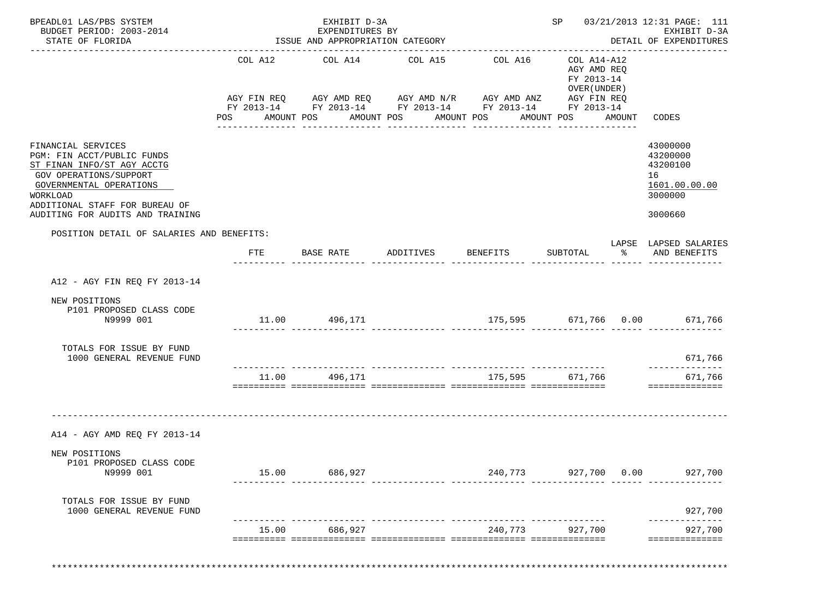| BPEADL01 LAS/PBS SYSTEM<br>BUDGET PERIOD: 2003-2014<br>STATE OF FLORIDA                                                                                                                                               |                       | EXHIBIT D-3A<br>EXPENDITURES BY<br>ISSUE AND APPROPRIATION CATEGORY<br>--------------------------------------                                  |                                  | ___________________________________ |                                                                                            |        | SP 03/21/2013 12:31 PAGE: 111<br>EXHIBIT D-3A<br>DETAIL OF EXPENDITURES<br>-------------- |
|-----------------------------------------------------------------------------------------------------------------------------------------------------------------------------------------------------------------------|-----------------------|------------------------------------------------------------------------------------------------------------------------------------------------|----------------------------------|-------------------------------------|--------------------------------------------------------------------------------------------|--------|-------------------------------------------------------------------------------------------|
|                                                                                                                                                                                                                       | COL A12<br><b>POS</b> | COL A14<br>AGY FIN REQ AGY AMD REQ AGY AMD N/R AGY AMD ANZ AGY FIN REQ<br>FY 2013-14 FY 2013-14 FY 2013-14 FY 2013-14 FY 2013-14<br>AMOUNT POS | COL A15<br>AMOUNT POS AMOUNT POS | COL A16<br>----------------         | COL A14-A12<br>AGY AMD REQ<br>FY 2013-14<br>OVER (UNDER )<br>AMOUNT POS<br>--------------- | AMOUNT | CODES                                                                                     |
| FINANCIAL SERVICES<br>PGM: FIN ACCT/PUBLIC FUNDS<br>ST FINAN INFO/ST AGY ACCTG<br>GOV OPERATIONS/SUPPORT<br>GOVERNMENTAL OPERATIONS<br>WORKLOAD<br>ADDITIONAL STAFF FOR BUREAU OF<br>AUDITING FOR AUDITS AND TRAINING |                       |                                                                                                                                                |                                  |                                     |                                                                                            |        | 43000000<br>43200000<br>43200100<br>16<br>1601.00.00.00<br>3000000<br>3000660             |
| POSITION DETAIL OF SALARIES AND BENEFITS:                                                                                                                                                                             |                       |                                                                                                                                                |                                  |                                     |                                                                                            |        |                                                                                           |
|                                                                                                                                                                                                                       | FTE                   | BASE RATE                                                                                                                                      | ADDITIVES                        | <b>BENEFITS</b>                     | SUBTOTAL                                                                                   |        | LAPSE LAPSED SALARIES<br>% AND BENEFITS                                                   |
| A12 - AGY FIN REO FY 2013-14                                                                                                                                                                                          |                       |                                                                                                                                                |                                  |                                     |                                                                                            |        |                                                                                           |
| NEW POSITIONS<br>P101 PROPOSED CLASS CODE<br>N9999 001                                                                                                                                                                |                       | 11.00 496,171                                                                                                                                  |                                  | 175,595 671,766 0.00 671,766        |                                                                                            |        |                                                                                           |
| TOTALS FOR ISSUE BY FUND<br>1000 GENERAL REVENUE FUND                                                                                                                                                                 |                       |                                                                                                                                                |                                  |                                     |                                                                                            |        | 671,766                                                                                   |
|                                                                                                                                                                                                                       | 11.00                 | 496,171                                                                                                                                        |                                  | 175,595                             | 671,766                                                                                    |        | ______________<br>671,766<br>==============                                               |
| A14 - AGY AMD REQ FY 2013-14                                                                                                                                                                                          |                       |                                                                                                                                                |                                  |                                     |                                                                                            |        |                                                                                           |
| NEW POSITIONS<br>P101 PROPOSED CLASS CODE<br>N9999 001                                                                                                                                                                |                       | 15.00 686,927                                                                                                                                  |                                  | 240,773 927,700 0.00                |                                                                                            |        | 927,700                                                                                   |
| TOTALS FOR ISSUE BY FUND<br>1000 GENERAL REVENUE FUND                                                                                                                                                                 |                       |                                                                                                                                                |                                  |                                     |                                                                                            |        | 927,700                                                                                   |
|                                                                                                                                                                                                                       | 15.00                 | 686,927                                                                                                                                        |                                  | 240,773                             | 927,700                                                                                    |        | 927,700                                                                                   |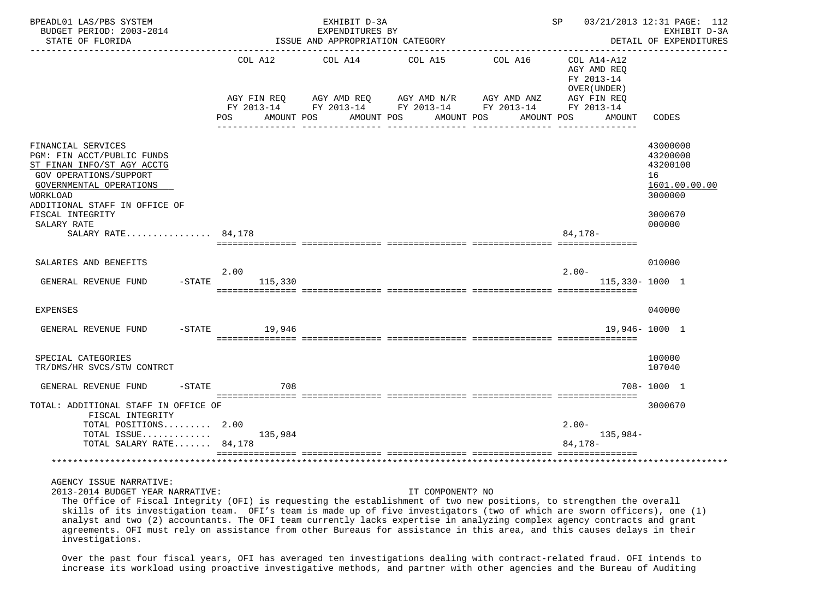| BPEADL01 LAS/PBS SYSTEM<br>BUDGET PERIOD: 2003-2014<br>STATE OF FLORIDA                                                                                                                                                                          |                                  | EXHIBIT D-3A<br>EXPENDITURES BY<br>ISSUE AND APPROPRIATION CATEGORY                                                                                                                | SP                                                                                          | 03/21/2013 12:31 PAGE: 112<br>EXHIBIT D-3A<br>DETAIL OF EXPENDITURES                    |
|--------------------------------------------------------------------------------------------------------------------------------------------------------------------------------------------------------------------------------------------------|----------------------------------|------------------------------------------------------------------------------------------------------------------------------------------------------------------------------------|---------------------------------------------------------------------------------------------|-----------------------------------------------------------------------------------------|
|                                                                                                                                                                                                                                                  | AGY FIN REO<br>AMOUNT POS<br>POS | COL A12 COL A14<br>COL A15<br>AGY AMD REQ      AGY AMD N/R      AGY AMD ANZ      AGY FIN REQ<br>FY 2013-14 FY 2013-14 FY 2013-14 FY 2013-14 FY 2013-14<br>AMOUNT POS<br>AMOUNT POS | COL A16<br>COL A14-A12<br>AGY AMD REO<br>FY 2013-14<br>OVER (UNDER)<br>AMOUNT POS<br>AMOUNT | CODES                                                                                   |
| FINANCIAL SERVICES<br>PGM: FIN ACCT/PUBLIC FUNDS<br>ST FINAN INFO/ST AGY ACCTG<br><b>GOV OPERATIONS/SUPPORT</b><br>GOVERNMENTAL OPERATIONS<br>WORKLOAD<br>ADDITIONAL STAFF IN OFFICE OF<br>FISCAL INTEGRITY<br>SALARY RATE<br>SALARY RATE 84,178 |                                  |                                                                                                                                                                                    | $84.178-$                                                                                   | 43000000<br>43200000<br>43200100<br>16<br>1601.00.00.00<br>3000000<br>3000670<br>000000 |
| SALARIES AND BENEFITS<br>$-$ STATE<br>GENERAL REVENUE FUND                                                                                                                                                                                       | 2.00<br>115,330                  |                                                                                                                                                                                    | $2.00 -$                                                                                    | 010000<br>115,330-1000 1                                                                |
| <b>EXPENSES</b>                                                                                                                                                                                                                                  |                                  |                                                                                                                                                                                    |                                                                                             | 040000                                                                                  |
| GENERAL REVENUE FUND<br>$-$ STATE                                                                                                                                                                                                                | 19,946                           |                                                                                                                                                                                    |                                                                                             | 19,946-1000 1                                                                           |
| SPECIAL CATEGORIES<br>TR/DMS/HR SVCS/STW CONTRCT                                                                                                                                                                                                 |                                  |                                                                                                                                                                                    |                                                                                             | 100000<br>107040                                                                        |
| GENERAL REVENUE FUND<br>$-$ STATE                                                                                                                                                                                                                | 708                              |                                                                                                                                                                                    |                                                                                             | 708-1000 1                                                                              |
| TOTAL: ADDITIONAL STAFF IN OFFICE OF<br>FISCAL INTEGRITY<br>TOTAL POSITIONS $2.00$<br>TOTAL ISSUE<br>TOTAL SALARY RATE 84,178                                                                                                                    | 135,984                          |                                                                                                                                                                                    | $2.00 -$<br>135,984-<br>84, 178-                                                            | 3000670                                                                                 |
|                                                                                                                                                                                                                                                  |                                  |                                                                                                                                                                                    |                                                                                             |                                                                                         |

2013-2014 BUDGET YEAR NARRATIVE: IT COMPONENT? NO

 The Office of Fiscal Integrity (OFI) is requesting the establishment of two new positions, to strengthen the overall skills of its investigation team. OFI's team is made up of five investigators (two of which are sworn officers), one (1) analyst and two (2) accountants. The OFI team currently lacks expertise in analyzing complex agency contracts and grant agreements. OFI must rely on assistance from other Bureaus for assistance in this area, and this causes delays in their investigations.

 Over the past four fiscal years, OFI has averaged ten investigations dealing with contract-related fraud. OFI intends to increase its workload using proactive investigative methods, and partner with other agencies and the Bureau of Auditing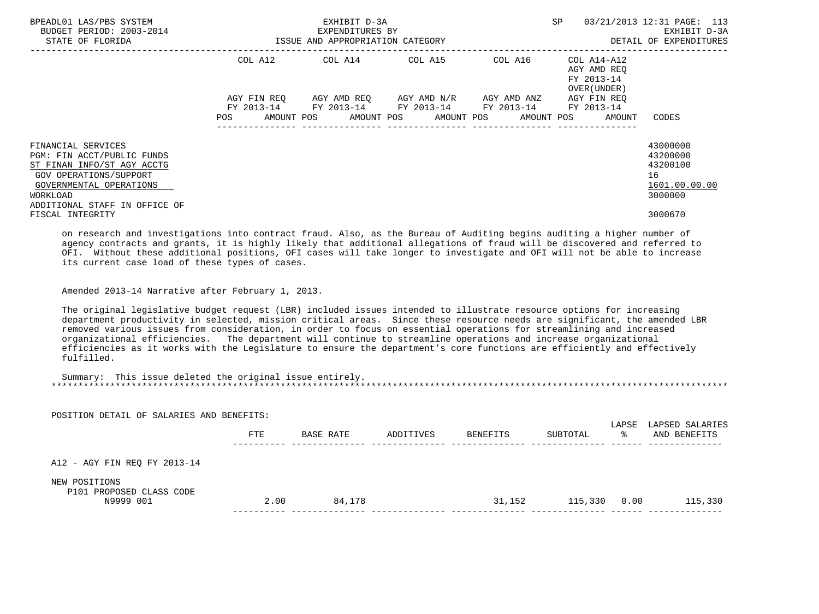| BPEADL01 LAS/PBS SYSTEM<br>BUDGET PERIOD: 2003-2014<br>STATE OF FLORIDA                                                                                                          | ISSUE AND APPROPRIATION CATEGORY | EXHIBIT D-3A<br>EXPENDITURES BY                                                                           |  | SP                                                                | 03/21/2013 12:31 PAGE: 113<br>EXHIBIT D-3A<br>DETAIL OF EXPENDITURES |
|----------------------------------------------------------------------------------------------------------------------------------------------------------------------------------|----------------------------------|-----------------------------------------------------------------------------------------------------------|--|-------------------------------------------------------------------|----------------------------------------------------------------------|
|                                                                                                                                                                                  |                                  | COL A12 COL A14 COL A15 COL A16                                                                           |  | COL A14-A12<br>AGY AMD REO<br>FY 2013-14<br>OVER (UNDER)          |                                                                      |
|                                                                                                                                                                                  | <b>POS</b>                       | AGY FIN REO AGY AMD REO AGY AMD N/R AGY AMD ANZ<br>FY 2013-14 FY 2013-14 FY 2013-14 FY 2013-14 FY 2013-14 |  | AGY FIN REO<br>AMOUNT POS AMOUNT POS AMOUNT POS AMOUNT POS AMOUNT | CODES                                                                |
| FINANCIAL SERVICES<br>PGM: FIN ACCT/PUBLIC FUNDS<br>ST FINAN INFO/ST AGY ACCTG<br>GOV OPERATIONS/SUPPORT<br>GOVERNMENTAL OPERATIONS<br>WORKLOAD<br>ADDITIONAL STAFF IN OFFICE OF |                                  |                                                                                                           |  |                                                                   | 43000000<br>43200000<br>43200100<br>16<br>1601.00.00.00<br>3000000   |
| FISCAL INTEGRITY                                                                                                                                                                 |                                  |                                                                                                           |  |                                                                   | 3000670                                                              |

 on research and investigations into contract fraud. Also, as the Bureau of Auditing begins auditing a higher number of agency contracts and grants, it is highly likely that additional allegations of fraud will be discovered and referred to OFI. Without these additional positions, OFI cases will take longer to investigate and OFI will not be able to increase its current case load of these types of cases.

Amended 2013-14 Narrative after February 1, 2013.

 The original legislative budget request (LBR) included issues intended to illustrate resource options for increasing department productivity in selected, mission critical areas. Since these resource needs are significant, the amended LBR removed various issues from consideration, in order to focus on essential operations for streamlining and increased organizational efficiencies. The department will continue to streamline operations and increase organizational efficiencies as it works with the Legislature to ensure the department's core functions are efficiently and effectively fulfilled.

| Summary | This issue deleted the original issue entirely. |  |
|---------|-------------------------------------------------|--|
|         |                                                 |  |

POSITION DETAIL OF SALARIES AND BENEFITS:

|                                                        | <b>FTE</b> | BASE RATE | ADDITIVES | BENEFITS | SUBTOTAL | LAPSE<br>°≈ | LAPSED SALARIES<br>AND BENEFITS |
|--------------------------------------------------------|------------|-----------|-----------|----------|----------|-------------|---------------------------------|
| A12 - AGY FIN REQ FY 2013-14                           |            |           |           |          |          |             |                                 |
| NEW POSITIONS<br>P101 PROPOSED CLASS CODE<br>N9999 001 | 2.00       | 84,178    |           | 31,152   | 115,330  | 0.00        | 115,330                         |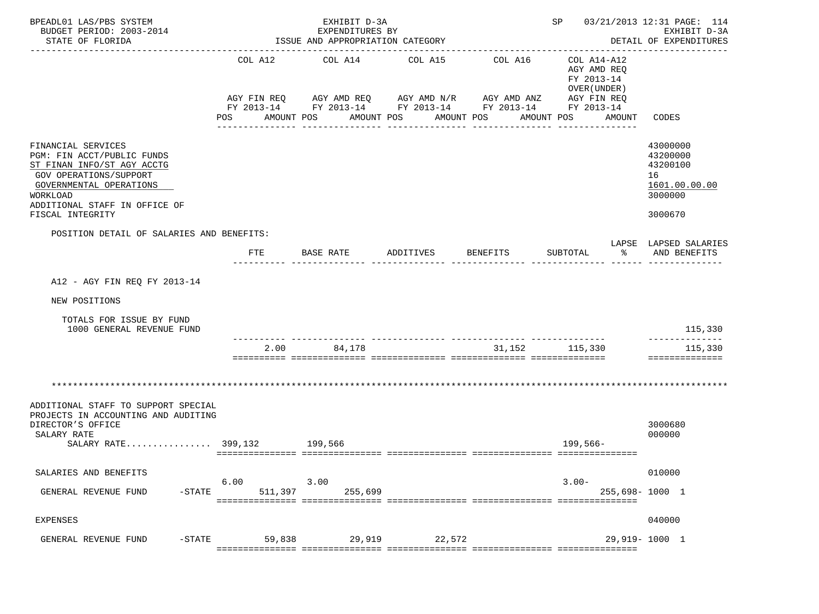| BPEADL01 LAS/PBS SYSTEM<br>BUDGET PERIOD: 2003-2014<br>STATE OF FLORIDA                                                                                                                              |                       | EXHIBIT D-3A<br>EXPENDITURES BY<br>ISSUE AND APPROPRIATION CATEGORY                                                                            |                       |                                          | SP 03/21/2013 12:31 PAGE: 114                                                                        | EXHIBIT D-3A<br>DETAIL OF EXPENDITURES<br>_____________                       |
|------------------------------------------------------------------------------------------------------------------------------------------------------------------------------------------------------|-----------------------|------------------------------------------------------------------------------------------------------------------------------------------------|-----------------------|------------------------------------------|------------------------------------------------------------------------------------------------------|-------------------------------------------------------------------------------|
|                                                                                                                                                                                                      | COL A12<br>POS        | COL A14<br>AGY FIN REQ AGY AMD REQ AGY AMD N/R AGY AMD ANZ AGY FIN REQ<br>FY 2013-14 FY 2013-14 FY 2013-14 FY 2013-14 FY 2013-14<br>AMOUNT POS | COL A15<br>AMOUNT POS | COL A16<br>AMOUNT POS<br>--------------- | COL A14-A12<br>AGY AMD REO<br>FY 2013-14<br>OVER (UNDER)<br>AMOUNT POS<br>AMOUNT<br>---------------- | CODES                                                                         |
| FINANCIAL SERVICES<br>PGM: FIN ACCT/PUBLIC FUNDS<br>ST FINAN INFO/ST AGY ACCTG<br>GOV OPERATIONS/SUPPORT<br>GOVERNMENTAL OPERATIONS<br>WORKLOAD<br>ADDITIONAL STAFF IN OFFICE OF<br>FISCAL INTEGRITY |                       |                                                                                                                                                |                       |                                          |                                                                                                      | 43000000<br>43200000<br>43200100<br>16<br>1601.00.00.00<br>3000000<br>3000670 |
| POSITION DETAIL OF SALARIES AND BENEFITS:                                                                                                                                                            | FTE                   | BASE RATE                                                                                                                                      | ADDITIVES             | BENEFITS                                 | SUBTOTAL<br>ႜೢ                                                                                       | LAPSE LAPSED SALARIES<br>AND BENEFITS                                         |
| A12 - AGY FIN REQ FY 2013-14                                                                                                                                                                         |                       |                                                                                                                                                |                       |                                          |                                                                                                      |                                                                               |
| NEW POSITIONS                                                                                                                                                                                        |                       |                                                                                                                                                |                       |                                          |                                                                                                      |                                                                               |
| TOTALS FOR ISSUE BY FUND<br>1000 GENERAL REVENUE FUND                                                                                                                                                |                       |                                                                                                                                                |                       |                                          |                                                                                                      | 115,330                                                                       |
|                                                                                                                                                                                                      | 2.00                  | 84,178                                                                                                                                         |                       |                                          | 31, 152 115, 330                                                                                     | 115,330<br>==============                                                     |
| ADDITIONAL STAFF TO SUPPORT SPECIAL<br>PROJECTS IN ACCOUNTING AND AUDITING<br>DIRECTOR'S OFFICE<br>SALARY RATE                                                                                       |                       |                                                                                                                                                |                       |                                          |                                                                                                      | 3000680<br>000000                                                             |
| SALARY RATE 399,132 199,566                                                                                                                                                                          |                       |                                                                                                                                                |                       |                                          | 199,566-                                                                                             |                                                                               |
| SALARIES AND BENEFITS<br>GENERAL REVENUE FUND<br>$-STATE$                                                                                                                                            | 6.00<br>511,397       | 3.00<br>255,699                                                                                                                                |                       |                                          | $3.00 -$<br>255,698-1000 1                                                                           | 010000                                                                        |
| EXPENSES                                                                                                                                                                                             |                       |                                                                                                                                                |                       |                                          |                                                                                                      | 040000                                                                        |
| $-STATE$<br>GENERAL REVENUE FUND                                                                                                                                                                     | 59,838<br>=========== | 29,919                                                                                                                                         | 22,572                |                                          |                                                                                                      | 29,919-1000 1                                                                 |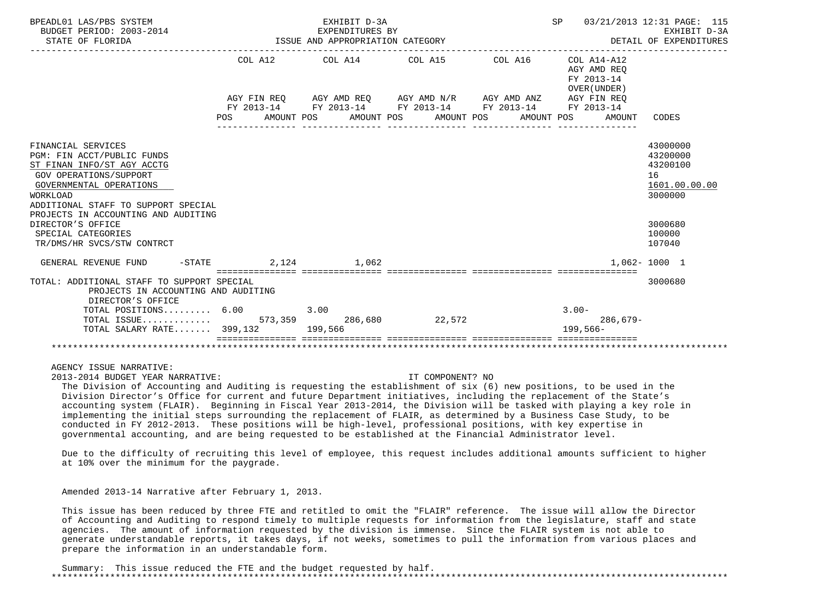| BPEADL01 LAS/PBS SYSTEM<br>BUDGET PERIOD: 2003-2014<br>STATE OF FLORIDA                                |                      | EXHIBIT D-3A<br>EXPENDITURES BY | ISSUE AND APPROPRIATION CATEGORY                                                    |            | SP                                        | 03/21/2013 12:31 PAGE: 115<br>EXHIBIT D-3A<br>DETAIL OF EXPENDITURES |
|--------------------------------------------------------------------------------------------------------|----------------------|---------------------------------|-------------------------------------------------------------------------------------|------------|-------------------------------------------|----------------------------------------------------------------------|
|                                                                                                        |                      |                                 | COL A12 COL A14 COL A15 COL A16 COL A14-A12                                         |            | AGY AMD REO<br>FY 2013-14<br>OVER (UNDER) |                                                                      |
|                                                                                                        |                      |                                 | AGY FIN REQ AGY AMD REQ AGY AMD N/R AGY AMD ANZ                                     |            | AGY FIN REO                               |                                                                      |
|                                                                                                        |                      |                                 | FY 2013-14 FY 2013-14 FY 2013-14 FY 2013-14<br>POS AMOUNT POS AMOUNT POS AMOUNT POS | AMOUNT POS | FY 2013-14<br>AMOUNT                      | CODES                                                                |
| FINANCIAL SERVICES                                                                                     |                      |                                 |                                                                                     |            |                                           | 43000000                                                             |
| PGM: FIN ACCT/PUBLIC FUNDS                                                                             |                      |                                 |                                                                                     |            |                                           | 43200000                                                             |
| ST FINAN INFO/ST AGY ACCTG                                                                             |                      |                                 |                                                                                     |            |                                           | 43200100                                                             |
| <b>GOV OPERATIONS/SUPPORT</b>                                                                          |                      |                                 |                                                                                     |            |                                           | 16                                                                   |
| GOVERNMENTAL OPERATIONS<br><b>WORKLOAD</b>                                                             |                      |                                 |                                                                                     |            |                                           | 1601.00.00.00<br>3000000                                             |
| ADDITIONAL STAFF TO SUPPORT SPECIAL                                                                    |                      |                                 |                                                                                     |            |                                           |                                                                      |
| PROJECTS IN ACCOUNTING AND AUDITING                                                                    |                      |                                 |                                                                                     |            |                                           |                                                                      |
| DIRECTOR'S OFFICE                                                                                      |                      |                                 |                                                                                     |            |                                           | 3000680                                                              |
| SPECIAL CATEGORIES                                                                                     |                      |                                 |                                                                                     |            |                                           | 100000                                                               |
| TR/DMS/HR SVCS/STW CONTRCT                                                                             |                      |                                 |                                                                                     |            |                                           | 107040                                                               |
| GENERAL REVENUE FUND                                                                                   | $-STATE$ 2,124 1,062 |                                 |                                                                                     |            | ------------- ----------------            | $1.062 - 1000$ 1                                                     |
| TOTAL: ADDITIONAL STAFF TO SUPPORT SPECIAL<br>PROJECTS IN ACCOUNTING AND AUDITING<br>DIRECTOR'S OFFICE |                      |                                 |                                                                                     |            |                                           | 3000680                                                              |
| TOTAL POSITIONS 6.00                                                                                   |                      | 3.00                            |                                                                                     |            | $3.00 -$                                  |                                                                      |
|                                                                                                        |                      |                                 | 22,572                                                                              |            | $286.679-$                                |                                                                      |
| TOTAL SALARY RATE 399,132 199,566                                                                      |                      |                                 |                                                                                     |            | $199.566 -$                               |                                                                      |
|                                                                                                        |                      |                                 |                                                                                     |            |                                           |                                                                      |
|                                                                                                        |                      |                                 |                                                                                     |            |                                           |                                                                      |
| AGENCY ISSUE NARRATIVE:                                                                                |                      |                                 |                                                                                     |            |                                           |                                                                      |

2013-2014 BUDGET YEAR NARRATIVE: IT COMPONENT? NO

 The Division of Accounting and Auditing is requesting the establishment of six (6) new positions, to be used in the Division Director's Office for current and future Department initiatives, including the replacement of the State's accounting system (FLAIR). Beginning in Fiscal Year 2013-2014, the Division will be tasked with playing a key role in implementing the initial steps surrounding the replacement of FLAIR, as determined by a Business Case Study, to be conducted in FY 2012-2013. These positions will be high-level, professional positions, with key expertise in governmental accounting, and are being requested to be established at the Financial Administrator level.

 Due to the difficulty of recruiting this level of employee, this request includes additional amounts sufficient to higher at 10% over the minimum for the paygrade.

Amended 2013-14 Narrative after February 1, 2013.

 This issue has been reduced by three FTE and retitled to omit the "FLAIR" reference. The issue will allow the Director of Accounting and Auditing to respond timely to multiple requests for information from the legislature, staff and state agencies. The amount of information requested by the division is immense. Since the FLAIR system is not able to generate understandable reports, it takes days, if not weeks, sometimes to pull the information from various places and prepare the information in an understandable form.

 Summary: This issue reduced the FTE and the budget requested by half. \*\*\*\*\*\*\*\*\*\*\*\*\*\*\*\*\*\*\*\*\*\*\*\*\*\*\*\*\*\*\*\*\*\*\*\*\*\*\*\*\*\*\*\*\*\*\*\*\*\*\*\*\*\*\*\*\*\*\*\*\*\*\*\*\*\*\*\*\*\*\*\*\*\*\*\*\*\*\*\*\*\*\*\*\*\*\*\*\*\*\*\*\*\*\*\*\*\*\*\*\*\*\*\*\*\*\*\*\*\*\*\*\*\*\*\*\*\*\*\*\*\*\*\*\*\*\*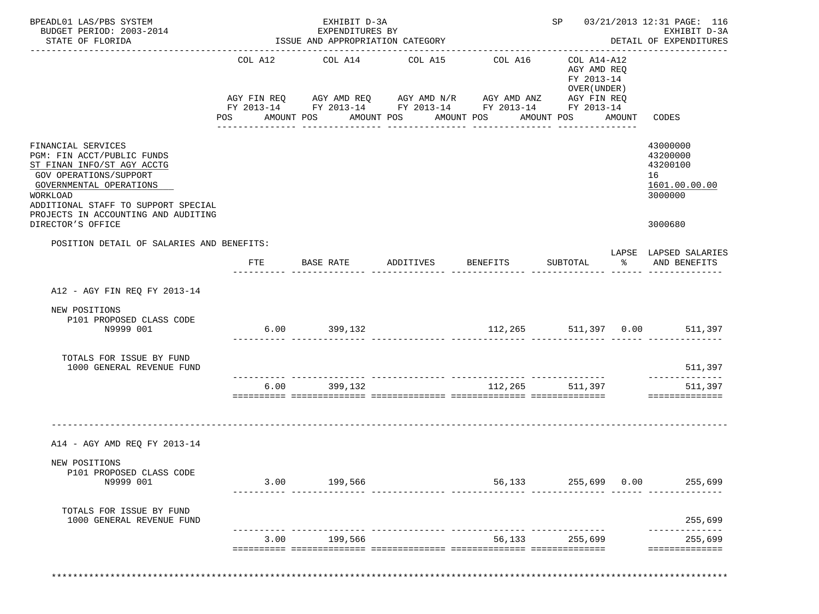| BPEADL01 LAS/PBS SYSTEM<br>BUDGET PERIOD: 2003-2014<br>STATE OF FLORIDA                                                                                                                                                       |                | EXHIBIT D-3A<br>EXPENDITURES BY<br>ISSUE AND APPROPRIATION CATEGORY                                                                      |                                          |                 |                                               |        | SP 03/21/2013 12:31 PAGE: 116<br>EXHIBIT D-3A<br>DETAIL OF EXPENDITURES |
|-------------------------------------------------------------------------------------------------------------------------------------------------------------------------------------------------------------------------------|----------------|------------------------------------------------------------------------------------------------------------------------------------------|------------------------------------------|-----------------|-----------------------------------------------|--------|-------------------------------------------------------------------------|
|                                                                                                                                                                                                                               |                | COL A12 COL A14                                                                                                                          | COL A15                                  | COL A16         | COL A14-A12<br>AGY AMD REQ<br>FY 2013-14      |        |                                                                         |
|                                                                                                                                                                                                                               | POS AMOUNT POS | AGY FIN REQ AGY AMD REQ AGY AMD N/R AGY AMD ANZ AGY FIN REQ<br>FY 2013-14 FY 2013-14 FY 2013-14 FY 2013-14 FY 2013-14<br>_______________ | AMOUNT POS AMOUNT POS<br>_______________ | --------------- | OVER (UNDER)<br>AMOUNT POS<br>--------------- | AMOUNT | CODES                                                                   |
| FINANCIAL SERVICES<br>PGM: FIN ACCT/PUBLIC FUNDS<br>ST FINAN INFO/ST AGY ACCTG<br>GOV OPERATIONS/SUPPORT<br>GOVERNMENTAL OPERATIONS<br>WORKLOAD<br>ADDITIONAL STAFF TO SUPPORT SPECIAL<br>PROJECTS IN ACCOUNTING AND AUDITING |                |                                                                                                                                          |                                          |                 |                                               |        | 43000000<br>43200000<br>43200100<br>16<br>1601.00.00.00<br>3000000      |
| DIRECTOR'S OFFICE<br>POSITION DETAIL OF SALARIES AND BENEFITS:                                                                                                                                                                |                |                                                                                                                                          |                                          |                 |                                               |        | 3000680                                                                 |
|                                                                                                                                                                                                                               | FTE            | BASE RATE ADDITIVES BENEFITS                                                                                                             |                                          |                 | SUBTOTAL                                      | ႜೢ     | LAPSE LAPSED SALARIES<br>AND BENEFITS                                   |
| A12 - AGY FIN REQ FY 2013-14                                                                                                                                                                                                  |                |                                                                                                                                          |                                          |                 |                                               |        |                                                                         |
| NEW POSITIONS<br>P101 PROPOSED CLASS CODE<br>N9999 001                                                                                                                                                                        |                | $6.00$ 399,132<br>.ii iliisiisiisii titatiisiisi titatiisiisi titatiisiisiisiisiisiisi titat titat                                       |                                          |                 |                                               |        | 112,265 511,397 0.00 511,397                                            |
| TOTALS FOR ISSUE BY FUND<br>1000 GENERAL REVENUE FUND                                                                                                                                                                         |                |                                                                                                                                          |                                          |                 |                                               |        | 511,397                                                                 |
|                                                                                                                                                                                                                               |                | 6.00 399,132                                                                                                                             |                                          |                 | 112,265 511,397                               |        | 511,397<br>==============                                               |
| A14 - AGY AMD REQ FY 2013-14                                                                                                                                                                                                  |                |                                                                                                                                          |                                          |                 |                                               |        |                                                                         |
| NEW POSITIONS<br>P101 PROPOSED CLASS CODE<br>N9999 001                                                                                                                                                                        |                | 3.00 199,566                                                                                                                             |                                          |                 | 56,133 255,699 0.00                           |        | 255,699                                                                 |
|                                                                                                                                                                                                                               |                |                                                                                                                                          |                                          |                 |                                               |        | 255,699                                                                 |
| TOTALS FOR ISSUE BY FUND<br>1000 GENERAL REVENUE FUND                                                                                                                                                                         |                |                                                                                                                                          |                                          |                 |                                               |        |                                                                         |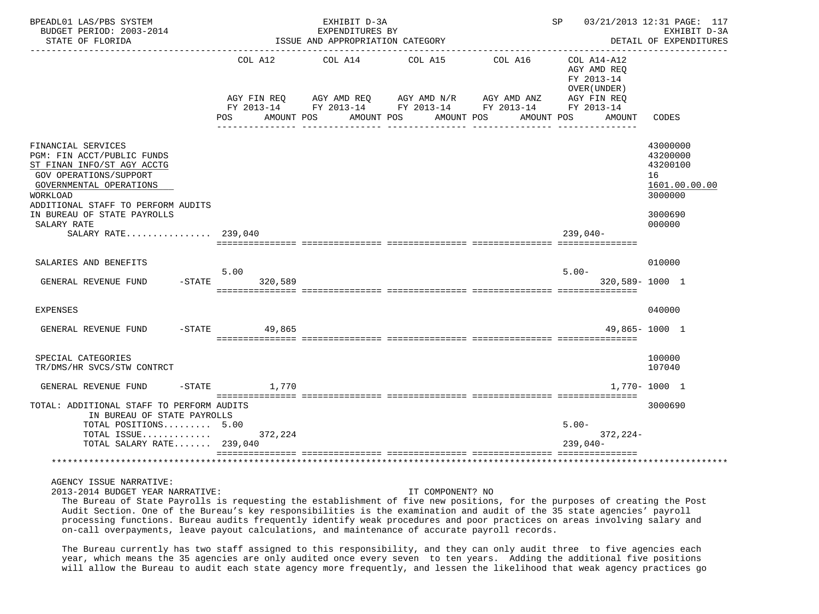| BPEADL01 LAS/PBS SYSTEM<br>BUDGET PERIOD: 2003-2014<br>STATE OF FLORIDA                                                                                                                                                                                             |                                         | EXHIBIT D-3A<br>EXPENDITURES BY<br>ISSUE AND APPROPRIATION CATEGORY                                                                    |            |                       | SP                                                                                | 03/21/2013 12:31 PAGE: 117<br>EXHIBIT D-3A<br>DETAIL OF EXPENDITURES                    |
|---------------------------------------------------------------------------------------------------------------------------------------------------------------------------------------------------------------------------------------------------------------------|-----------------------------------------|----------------------------------------------------------------------------------------------------------------------------------------|------------|-----------------------|-----------------------------------------------------------------------------------|-----------------------------------------------------------------------------------------|
|                                                                                                                                                                                                                                                                     | AGY FIN REQ<br>AMOUNT POS<br><b>POS</b> | COL A12 COL A14 COL A15<br>AGY AMD REQ AGY AMD N/R AGY AMD ANZ<br>FY 2013-14 FY 2013-14 FY 2013-14 FY 2013-14 FY 2013-14<br>AMOUNT POS | AMOUNT POS | COL A16<br>AMOUNT POS | COL A14-A12<br>AGY AMD REO<br>FY 2013-14<br>OVER (UNDER)<br>AGY FIN REQ<br>AMOUNT | CODES                                                                                   |
| FINANCIAL SERVICES<br>PGM: FIN ACCT/PUBLIC FUNDS<br>ST FINAN INFO/ST AGY ACCTG<br><b>GOV OPERATIONS/SUPPORT</b><br>GOVERNMENTAL OPERATIONS<br>WORKLOAD<br>ADDITIONAL STAFF TO PERFORM AUDITS<br>IN BUREAU OF STATE PAYROLLS<br>SALARY RATE<br>SALARY RATE $239.040$ |                                         |                                                                                                                                        |            |                       | $239.040-$                                                                        | 43000000<br>43200000<br>43200100<br>16<br>1601.00.00.00<br>3000000<br>3000690<br>000000 |
| SALARIES AND BENEFITS<br>GENERAL REVENUE FUND<br>$-$ STATE                                                                                                                                                                                                          | 5.00<br>320,589                         |                                                                                                                                        |            |                       | $5.00 -$<br>320,589-1000 1                                                        | 010000                                                                                  |
| <b>EXPENSES</b>                                                                                                                                                                                                                                                     |                                         |                                                                                                                                        |            |                       |                                                                                   | 040000                                                                                  |
| GENERAL REVENUE FUND                                                                                                                                                                                                                                                | -STATE 49,865                           |                                                                                                                                        |            |                       |                                                                                   | 49,865-1000 1                                                                           |
| SPECIAL CATEGORIES<br>TR/DMS/HR SVCS/STW CONTRCT                                                                                                                                                                                                                    |                                         |                                                                                                                                        |            |                       |                                                                                   | 100000<br>107040                                                                        |
| GENERAL REVENUE FUND                                                                                                                                                                                                                                                | $-STATE$<br>1,770                       |                                                                                                                                        |            |                       |                                                                                   | 1,770-1000 1                                                                            |
| TOTAL: ADDITIONAL STAFF TO PERFORM AUDITS<br>IN BUREAU OF STATE PAYROLLS<br>TOTAL POSITIONS 5.00<br>TOTAL ISSUE<br>TOTAL SALARY RATE 239,040                                                                                                                        | 372,224                                 |                                                                                                                                        |            |                       | $5.00 -$<br>$372, 224-$<br>$239.040-$                                             | 3000690                                                                                 |
|                                                                                                                                                                                                                                                                     |                                         |                                                                                                                                        |            |                       |                                                                                   |                                                                                         |

2013-2014 BUDGET YEAR NARRATIVE: IT COMPONENT? NO

 The Bureau of State Payrolls is requesting the establishment of five new positions, for the purposes of creating the Post Audit Section. One of the Bureau's key responsibilities is the examination and audit of the 35 state agencies' payroll processing functions. Bureau audits frequently identify weak procedures and poor practices on areas involving salary and on-call overpayments, leave payout calculations, and maintenance of accurate payroll records.

 The Bureau currently has two staff assigned to this responsibility, and they can only audit three to five agencies each year, which means the 35 agencies are only audited once every seven to ten years. Adding the additional five positions will allow the Bureau to audit each state agency more frequently, and lessen the likelihood that weak agency practices go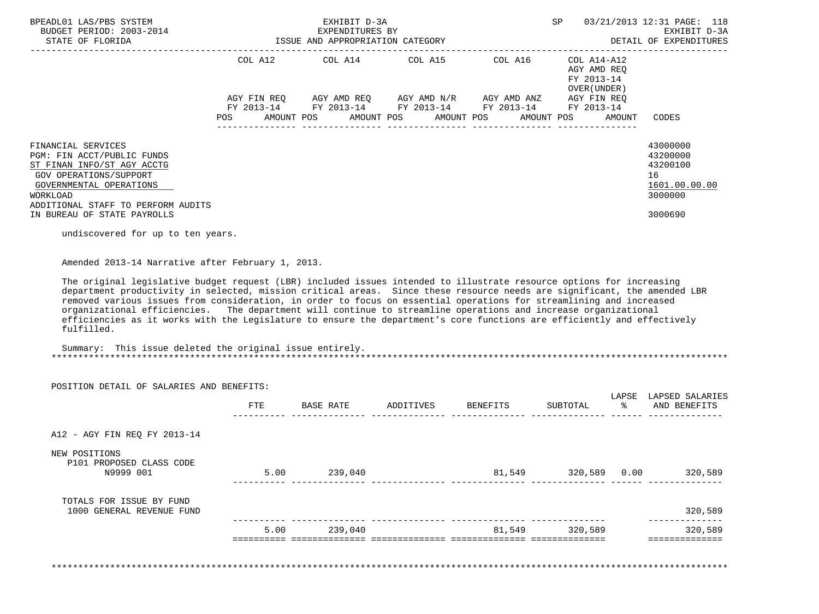| BPEADL01 LAS/PBS SYSTEM<br>BUDGET PERIOD: 2003-2014                                                                                                                                                                                                                                                                                                                                                                                                                                                                                                                                                                                                                                     | EXHIBIT D-3A<br>EXPENDITURES BY<br>ISSUE AND APPROPRIATION CATEGORY                      |  | SP 03/21/2013 12:31 PAGE: 118<br>EXHIBIT D-3A<br>DETAIL OF EXPENDITURES |                                                                                               |  |
|-----------------------------------------------------------------------------------------------------------------------------------------------------------------------------------------------------------------------------------------------------------------------------------------------------------------------------------------------------------------------------------------------------------------------------------------------------------------------------------------------------------------------------------------------------------------------------------------------------------------------------------------------------------------------------------------|------------------------------------------------------------------------------------------|--|-------------------------------------------------------------------------|-----------------------------------------------------------------------------------------------|--|
|                                                                                                                                                                                                                                                                                                                                                                                                                                                                                                                                                                                                                                                                                         | COL A12 COL A14 COL A15 COL A16 COL A14-A12<br>AGY AMD REQ<br>FY 2013-14<br>OVER (UNDER) |  |                                                                         |                                                                                               |  |
|                                                                                                                                                                                                                                                                                                                                                                                                                                                                                                                                                                                                                                                                                         | POS AMOUNT POS AMOUNT POS AMOUNT POS AMOUNT POS AMOUNT                                   |  |                                                                         | CODES                                                                                         |  |
| FINANCIAL SERVICES<br>PGM: FIN ACCT/PUBLIC FUNDS<br>ST FINAN INFO/ST AGY ACCTG<br>GOV OPERATIONS/SUPPORT<br>GOVERNMENTAL OPERATIONS<br>WORKLOAD<br>ADDITIONAL STAFF TO PERFORM AUDITS                                                                                                                                                                                                                                                                                                                                                                                                                                                                                                   |                                                                                          |  |                                                                         | 43000000<br>43200000<br>43200100<br>16<br>1601.00.00.00<br>3000000                            |  |
| IN BUREAU OF STATE PAYROLLS                                                                                                                                                                                                                                                                                                                                                                                                                                                                                                                                                                                                                                                             |                                                                                          |  |                                                                         | 3000690                                                                                       |  |
| undiscovered for up to ten years.                                                                                                                                                                                                                                                                                                                                                                                                                                                                                                                                                                                                                                                       |                                                                                          |  |                                                                         |                                                                                               |  |
| Amended 2013-14 Narrative after February 1, 2013.<br>The original legislative budget request (LBR) included issues intended to illustrate resource options for increasing<br>department productivity in selected, mission critical areas. Since these resource needs are significant, the amended LBR<br>removed various issues from consideration, in order to focus on essential operations for streamlining and increased<br>organizational efficiencies. The department will continue to streamline operations and increase organizational<br>efficiencies as it works with the Legislature to ensure the department's core functions are efficiently and effectively<br>fulfilled. |                                                                                          |  |                                                                         |                                                                                               |  |
| Summary: This issue deleted the original issue entirely.                                                                                                                                                                                                                                                                                                                                                                                                                                                                                                                                                                                                                                |                                                                                          |  |                                                                         |                                                                                               |  |
| POSITION DETAIL OF SALARIES AND BENEFITS:                                                                                                                                                                                                                                                                                                                                                                                                                                                                                                                                                                                                                                               |                                                                                          |  |                                                                         |                                                                                               |  |
|                                                                                                                                                                                                                                                                                                                                                                                                                                                                                                                                                                                                                                                                                         |                                                                                          |  |                                                                         | LAPSE LAPSED SALARIES<br>FTE BASE RATE ADDITIVES BENEFITS SUBTOTAL $\frac{1}{2}$ and benefits |  |
| A12 - AGY FIN REQ FY 2013-14                                                                                                                                                                                                                                                                                                                                                                                                                                                                                                                                                                                                                                                            |                                                                                          |  |                                                                         |                                                                                               |  |
| NEW POSITIONS<br>P101 PROPOSED CLASS CODE<br>N9999 001                                                                                                                                                                                                                                                                                                                                                                                                                                                                                                                                                                                                                                  | 5 00 239 040                                                                             |  |                                                                         |                                                                                               |  |

|                                                       | 5.00 | 239,040 | 81,549 | 320,589         | 320,589 |
|-------------------------------------------------------|------|---------|--------|-----------------|---------|
| TOTALS FOR ISSUE BY FUND<br>1000 GENERAL REVENUE FUND |      |         |        |                 | 320,589 |
|                                                       |      |         |        |                 |         |
| N9999 001                                             | 5.00 | 239,040 | 81,549 | 320,589<br>0.00 | 320,589 |

\*\*\*\*\*\*\*\*\*\*\*\*\*\*\*\*\*\*\*\*\*\*\*\*\*\*\*\*\*\*\*\*\*\*\*\*\*\*\*\*\*\*\*\*\*\*\*\*\*\*\*\*\*\*\*\*\*\*\*\*\*\*\*\*\*\*\*\*\*\*\*\*\*\*\*\*\*\*\*\*\*\*\*\*\*\*\*\*\*\*\*\*\*\*\*\*\*\*\*\*\*\*\*\*\*\*\*\*\*\*\*\*\*\*\*\*\*\*\*\*\*\*\*\*\*\*\*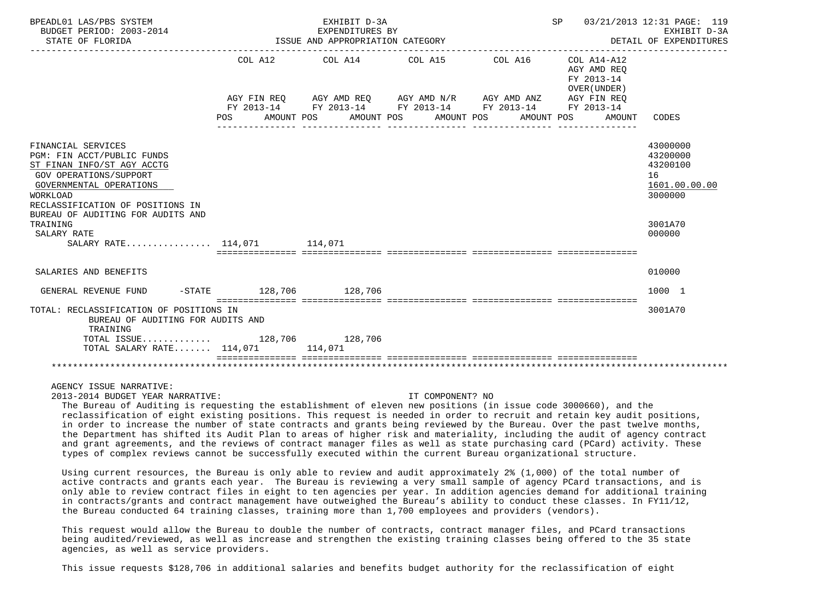| BPEADL01 LAS/PBS SYSTEM<br>BUDGET PERIOD: 2003-2014<br>STATE OF FLORIDA                                                                                                                                                                                                           | EXHIBIT D-3A<br>EXPENDITURES BY<br>ISSUE AND APPROPRIATION CATEGORY |                                                                                                           |                       |            | SP<br>03/21/2013 12:31 PAGE: 119<br>EXHIBIT D-3A<br>DETAIL OF EXPENDITURES |                                                                                         |  |
|-----------------------------------------------------------------------------------------------------------------------------------------------------------------------------------------------------------------------------------------------------------------------------------|---------------------------------------------------------------------|-----------------------------------------------------------------------------------------------------------|-----------------------|------------|----------------------------------------------------------------------------|-----------------------------------------------------------------------------------------|--|
|                                                                                                                                                                                                                                                                                   |                                                                     | COL A12 COL A14 COL A15 COL A16 COL A14-A12                                                               |                       |            | AGY AMD REO<br>FY 2013-14<br>OVER (UNDER)                                  |                                                                                         |  |
|                                                                                                                                                                                                                                                                                   |                                                                     | AGY FIN REQ AGY AMD REQ AGY AMD N/R AGY AMD ANZ<br>FY 2013-14 FY 2013-14 FY 2013-14 FY 2013-14 FY 2013-14 |                       |            | AGY FIN REQ                                                                |                                                                                         |  |
|                                                                                                                                                                                                                                                                                   | <b>POS</b>                                                          | AMOUNT POS                                                                                                | AMOUNT POS AMOUNT POS | AMOUNT POS | AMOUNT                                                                     | CODES                                                                                   |  |
| FINANCIAL SERVICES<br>PGM: FIN ACCT/PUBLIC FUNDS<br>ST FINAN INFO/ST AGY ACCTG<br><b>GOV OPERATIONS/SUPPORT</b><br>GOVERNMENTAL OPERATIONS<br>WORKLOAD<br>RECLASSIFICATION OF POSITIONS IN<br>BUREAU OF AUDITING FOR AUDITS AND<br>TRAINING<br>SALARY RATE<br>SALARY RATE 114.071 |                                                                     | 114,071                                                                                                   |                       |            |                                                                            | 43000000<br>43200000<br>43200100<br>16<br>1601.00.00.00<br>3000000<br>3001A70<br>000000 |  |
| SALARIES AND BENEFITS                                                                                                                                                                                                                                                             |                                                                     |                                                                                                           |                       |            |                                                                            | 010000                                                                                  |  |
| GENERAL REVENUE FUND                                                                                                                                                                                                                                                              | -STATE 128,706 128,706                                              |                                                                                                           |                       |            |                                                                            | 1000 1                                                                                  |  |
| TOTAL: RECLASSIFICATION OF POSITIONS IN<br>BUREAU OF AUDITING FOR AUDITS AND<br>TRAINING                                                                                                                                                                                          |                                                                     |                                                                                                           |                       |            |                                                                            | 3001A70                                                                                 |  |
| TOTAL ISSUE 128,706 128,706<br>TOTAL SALARY RATE 114,071 114,071                                                                                                                                                                                                                  |                                                                     |                                                                                                           |                       |            |                                                                            |                                                                                         |  |
|                                                                                                                                                                                                                                                                                   |                                                                     |                                                                                                           |                       |            |                                                                            |                                                                                         |  |

2013-2014 BUDGET YEAR NARRATIVE: IT COMPONENT? NO

 The Bureau of Auditing is requesting the establishment of eleven new positions (in issue code 3000660), and the reclassification of eight existing positions. This request is needed in order to recruit and retain key audit positions, in order to increase the number of state contracts and grants being reviewed by the Bureau. Over the past twelve months, the Department has shifted its Audit Plan to areas of higher risk and materiality, including the audit of agency contract and grant agreements, and the reviews of contract manager files as well as state purchasing card (PCard) activity. These types of complex reviews cannot be successfully executed within the current Bureau organizational structure.

 Using current resources, the Bureau is only able to review and audit approximately 2% (1,000) of the total number of active contracts and grants each year. The Bureau is reviewing a very small sample of agency PCard transactions, and is only able to review contract files in eight to ten agencies per year. In addition agencies demand for additional training in contracts/grants and contract management have outweighed the Bureau's ability to conduct these classes. In FY11/12, the Bureau conducted 64 training classes, training more than 1,700 employees and providers (vendors).

This request would allow the Bureau to double the number of contracts, contract manager files, and PCard transactions being audited/reviewed, as well as increase and strengthen the existing training classes being offered to the 35 state agencies, as well as service providers.

This issue requests \$128,706 in additional salaries and benefits budget authority for the reclassification of eight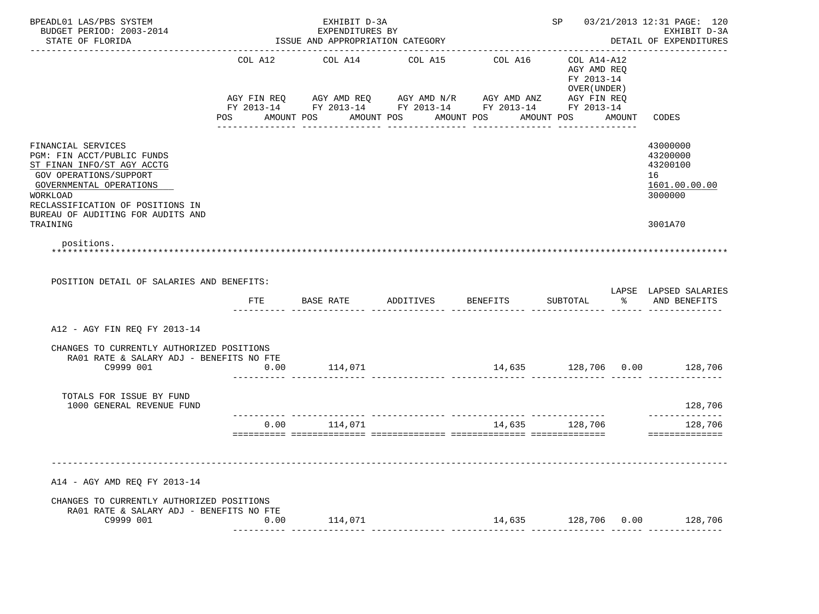| BPEADL01 LAS/PBS SYSTEM<br>BUDGET PERIOD: 2003-2014<br>STATE OF FLORIDA                                                                                                                                                              | EXHIBIT D-3A<br>EXPENDITURES BY<br>ISSUE AND APPROPRIATION CATEGORY |                       |                                                                                                                                                |                             | SP 03/21/2013 12:31 PAGE: 120<br>EXHIBIT D-3A<br>DETAIL OF EXPENDITURES  |        |                                                                               |
|--------------------------------------------------------------------------------------------------------------------------------------------------------------------------------------------------------------------------------------|---------------------------------------------------------------------|-----------------------|------------------------------------------------------------------------------------------------------------------------------------------------|-----------------------------|--------------------------------------------------------------------------|--------|-------------------------------------------------------------------------------|
|                                                                                                                                                                                                                                      |                                                                     |                       |                                                                                                                                                |                             |                                                                          |        |                                                                               |
|                                                                                                                                                                                                                                      | COL A12<br><b>POS</b>                                               | COL A14<br>AMOUNT POS | COL A15<br>AGY FIN REQ AGY AMD REQ AGY AMD N/R AGY AMD ANZ AGY FIN REQ<br>FY 2013-14 FY 2013-14 FY 2013-14 FY 2013-14 FY 2013-14<br>AMOUNT POS | COL A16<br>AMOUNT POS       | COL A14-A12<br>AGY AMD REQ<br>FY 2013-14<br>OVER ( UNDER )<br>AMOUNT POS | AMOUNT | CODES                                                                         |
| FINANCIAL SERVICES<br>PGM: FIN ACCT/PUBLIC FUNDS<br>ST FINAN INFO/ST AGY ACCTG<br>GOV OPERATIONS/SUPPORT<br>GOVERNMENTAL OPERATIONS<br>WORKLOAD<br>RECLASSIFICATION OF POSITIONS IN<br>BUREAU OF AUDITING FOR AUDITS AND<br>TRAINING |                                                                     |                       |                                                                                                                                                |                             |                                                                          |        | 43000000<br>43200000<br>43200100<br>16<br>1601.00.00.00<br>3000000<br>3001A70 |
| positions.                                                                                                                                                                                                                           |                                                                     |                       |                                                                                                                                                |                             |                                                                          |        |                                                                               |
| POSITION DETAIL OF SALARIES AND BENEFITS:                                                                                                                                                                                            | ETE                                                                 |                       |                                                                                                                                                |                             |                                                                          |        | LAPSE LAPSED SALARIES<br>% AND BENEFITS                                       |
| A12 - AGY FIN REO FY 2013-14                                                                                                                                                                                                         |                                                                     |                       |                                                                                                                                                |                             |                                                                          |        |                                                                               |
| CHANGES TO CURRENTLY AUTHORIZED POSITIONS<br>RA01 RATE & SALARY ADJ - BENEFITS NO FTE<br>C9999 001                                                                                                                                   | 0.00                                                                | 114,071               |                                                                                                                                                | 14,635 128,706 0.00 128,706 |                                                                          |        |                                                                               |
| TOTALS FOR ISSUE BY FUND<br>1000 GENERAL REVENUE FUND                                                                                                                                                                                |                                                                     |                       |                                                                                                                                                |                             |                                                                          |        | 128,706                                                                       |
|                                                                                                                                                                                                                                      | 0.00                                                                | 114,071               |                                                                                                                                                |                             | 14,635 128,706                                                           |        | ______________<br>128,706                                                     |
| A14 - AGY AMD REQ FY 2013-14<br>CHANGES TO CURRENTLY AUTHORIZED POSITIONS                                                                                                                                                            |                                                                     |                       |                                                                                                                                                |                             |                                                                          |        |                                                                               |
| RA01 RATE & SALARY ADJ - BENEFITS NO FTE<br>C9999 001                                                                                                                                                                                | $\sim$ 0.00                                                         | 114,071               |                                                                                                                                                | 14,635 128,706 0.00 128,706 |                                                                          |        |                                                                               |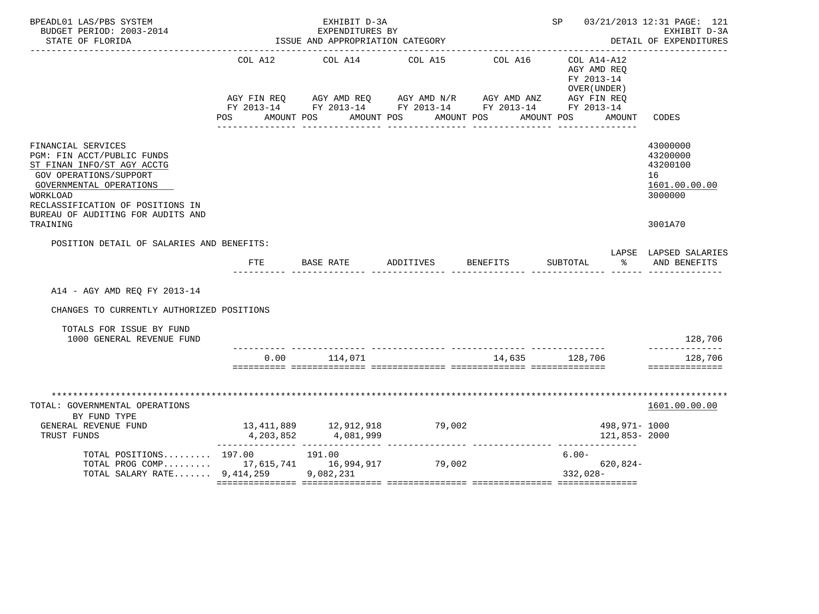| BPEADL01 LAS/PBS SYSTEM<br>BUDGET PERIOD: 2003-2014<br>STATE OF FLORIDA                                                                                                                                                         | EXHIBIT D-3A<br>EXPENDITURES BY<br>ISSUE AND APPROPRIATION CATEGORY |                         |                                                                                                                                  |                | SP 03/21/2013 12:31 PAGE: 121<br>EXHIBIT D-3A<br>DETAIL OF EXPENDITURES |                                                                    |  |
|---------------------------------------------------------------------------------------------------------------------------------------------------------------------------------------------------------------------------------|---------------------------------------------------------------------|-------------------------|----------------------------------------------------------------------------------------------------------------------------------|----------------|-------------------------------------------------------------------------|--------------------------------------------------------------------|--|
|                                                                                                                                                                                                                                 | COL A12                                                             | COL A14                 | COL A15<br>AGY FIN REQ AGY AMD REQ AGY AMD N/R AGY AMD ANZ AGY FIN REQ<br>FY 2013-14 FY 2013-14 FY 2013-14 FY 2013-14 FY 2013-14 | COL A16        | COL A14-A12<br>AGY AMD REQ<br>FY 2013-14<br>OVER (UNDER)                |                                                                    |  |
|                                                                                                                                                                                                                                 | POS AMOUNT POS AMOUNT POS                                           |                         |                                                                                                                                  | AMOUNT POS     | AMOUNT POS<br>AMOUNT                                                    | CODES                                                              |  |
| FINANCIAL SERVICES<br>PGM: FIN ACCT/PUBLIC FUNDS<br>ST FINAN INFO/ST AGY ACCTG<br><b>GOV OPERATIONS/SUPPORT</b><br>GOVERNMENTAL OPERATIONS<br>WORKLOAD<br>RECLASSIFICATION OF POSITIONS IN<br>BUREAU OF AUDITING FOR AUDITS AND |                                                                     |                         |                                                                                                                                  |                |                                                                         | 43000000<br>43200000<br>43200100<br>16<br>1601.00.00.00<br>3000000 |  |
| TRAINING                                                                                                                                                                                                                        |                                                                     |                         |                                                                                                                                  |                |                                                                         | 3001A70                                                            |  |
| POSITION DETAIL OF SALARIES AND BENEFITS:                                                                                                                                                                                       | FTE                                                                 |                         |                                                                                                                                  |                | $\sim$ $\sim$ $\sim$<br>________ _______________ ______ ____            | LAPSE LAPSED SALARIES<br>AND BENEFITS                              |  |
| A14 - AGY AMD REO FY 2013-14                                                                                                                                                                                                    |                                                                     |                         |                                                                                                                                  |                |                                                                         |                                                                    |  |
| CHANGES TO CURRENTLY AUTHORIZED POSITIONS                                                                                                                                                                                       |                                                                     |                         |                                                                                                                                  |                |                                                                         |                                                                    |  |
| TOTALS FOR ISSUE BY FUND<br>1000 GENERAL REVENUE FUND                                                                                                                                                                           |                                                                     |                         |                                                                                                                                  |                |                                                                         | 128,706                                                            |  |
|                                                                                                                                                                                                                                 |                                                                     | $0.00$ 114,071          |                                                                                                                                  | 14,635 128,706 |                                                                         | 128,706<br>==============                                          |  |
| TOTAL: GOVERNMENTAL OPERATIONS                                                                                                                                                                                                  |                                                                     |                         |                                                                                                                                  |                |                                                                         | *************************<br>1601.00.00.00                         |  |
| BY FUND TYPE<br>GENERAL REVENUE FUND<br>TRUST FUNDS                                                                                                                                                                             |                                                                     | 4, 203, 852 4, 081, 999 | 13,411,889 12,912,918 79,002                                                                                                     |                | 498,971- 1000<br>121,853- 2000                                          |                                                                    |  |
| TOTAL POSITIONS 197.00 191.00<br>TOTAL PROG COMP 17,615,741 16,994,917 79,002<br>TOTAL SALARY RATE 9,414,259 9,082,231                                                                                                          |                                                                     |                         |                                                                                                                                  |                | $6.00 -$<br>$620.824-$<br>$332,028-$                                    |                                                                    |  |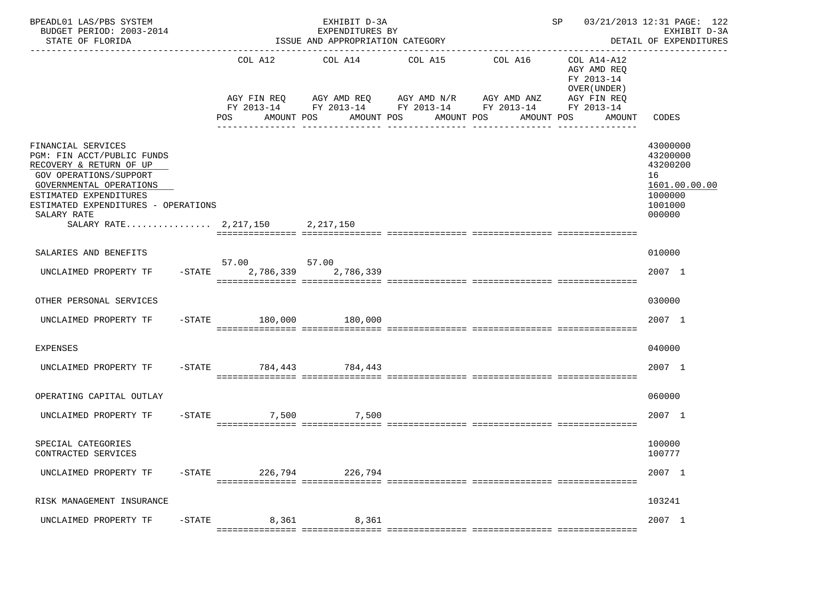| BPEADL01 LAS/PBS SYSTEM<br>BUDGET PERIOD: 2003-2014<br>STATE OF FLORIDA                                                                                                                                          | EXHIBIT D-3A<br>EXPENDITURES BY<br>ISSUE AND APPROPRIATION CATEGORY |                                                                                      |                       |                                                                      | 03/21/2013 12:31 PAGE: 122<br>SP<br>EXHIBIT D-3A<br>DETAIL OF EXPENDITURES |                                                                                         |  |
|------------------------------------------------------------------------------------------------------------------------------------------------------------------------------------------------------------------|---------------------------------------------------------------------|--------------------------------------------------------------------------------------|-----------------------|----------------------------------------------------------------------|----------------------------------------------------------------------------|-----------------------------------------------------------------------------------------|--|
|                                                                                                                                                                                                                  | COL A12<br>FY 2013-14<br>POS<br>AMOUNT POS                          | COL A14<br>AGY FIN REQ AGY AMD REQ AGY AMD N/R AGY AMD ANZ AGY FIN REQ<br>AMOUNT POS | COL A15<br>AMOUNT POS | COL A16<br>FY 2013-14 FY 2013-14 FY 2013-14 FY 2013-14<br>AMOUNT POS | COL A14-A12<br>AGY AMD REQ<br>FY 2013-14<br>OVER (UNDER )<br>AMOUNT        | CODES                                                                                   |  |
| FINANCIAL SERVICES<br>PGM: FIN ACCT/PUBLIC FUNDS<br>RECOVERY & RETURN OF UP<br>GOV OPERATIONS/SUPPORT<br>GOVERNMENTAL OPERATIONS<br>ESTIMATED EXPENDITURES<br>ESTIMATED EXPENDITURES - OPERATIONS<br>SALARY RATE |                                                                     | 2,217,150                                                                            |                       |                                                                      |                                                                            | 43000000<br>43200000<br>43200200<br>16<br>1601.00.00.00<br>1000000<br>1001000<br>000000 |  |
| SALARIES AND BENEFITS                                                                                                                                                                                            |                                                                     |                                                                                      |                       |                                                                      |                                                                            | 010000                                                                                  |  |
| UNCLAIMED PROPERTY TF                                                                                                                                                                                            | 57.00                                                               | 57.00<br>-STATE 2,786,339 2,786,339                                                  |                       |                                                                      |                                                                            | 2007 1                                                                                  |  |
| OTHER PERSONAL SERVICES                                                                                                                                                                                          |                                                                     |                                                                                      |                       |                                                                      |                                                                            | 030000                                                                                  |  |
| UNCLAIMED PROPERTY TF                                                                                                                                                                                            | -STATE 180,000 180,000                                              |                                                                                      |                       |                                                                      |                                                                            | 2007 1                                                                                  |  |
| <b>EXPENSES</b>                                                                                                                                                                                                  |                                                                     |                                                                                      |                       |                                                                      |                                                                            | 040000                                                                                  |  |
| UNCLAIMED PROPERTY TF -STATE 784,443 784,443                                                                                                                                                                     |                                                                     |                                                                                      |                       |                                                                      |                                                                            | 2007 1                                                                                  |  |
| OPERATING CAPITAL OUTLAY                                                                                                                                                                                         |                                                                     |                                                                                      |                       |                                                                      |                                                                            | 060000                                                                                  |  |
| UNCLAIMED PROPERTY TF                                                                                                                                                                                            | $-STATE$<br>7,500                                                   | 7,500                                                                                |                       |                                                                      |                                                                            | 2007 1                                                                                  |  |
| SPECIAL CATEGORIES<br>CONTRACTED SERVICES                                                                                                                                                                        |                                                                     |                                                                                      |                       |                                                                      |                                                                            | 100000<br>100777                                                                        |  |
| UNCLAIMED PROPERTY TF                                                                                                                                                                                            | -STATE 226,794 226,794                                              |                                                                                      |                       |                                                                      |                                                                            | 2007 1                                                                                  |  |
| RISK MANAGEMENT INSURANCE                                                                                                                                                                                        |                                                                     |                                                                                      |                       |                                                                      |                                                                            | 103241                                                                                  |  |
| UNCLAIMED PROPERTY TF                                                                                                                                                                                            |                                                                     | -STATE 8,361 8,361                                                                   |                       |                                                                      |                                                                            | 2007 1                                                                                  |  |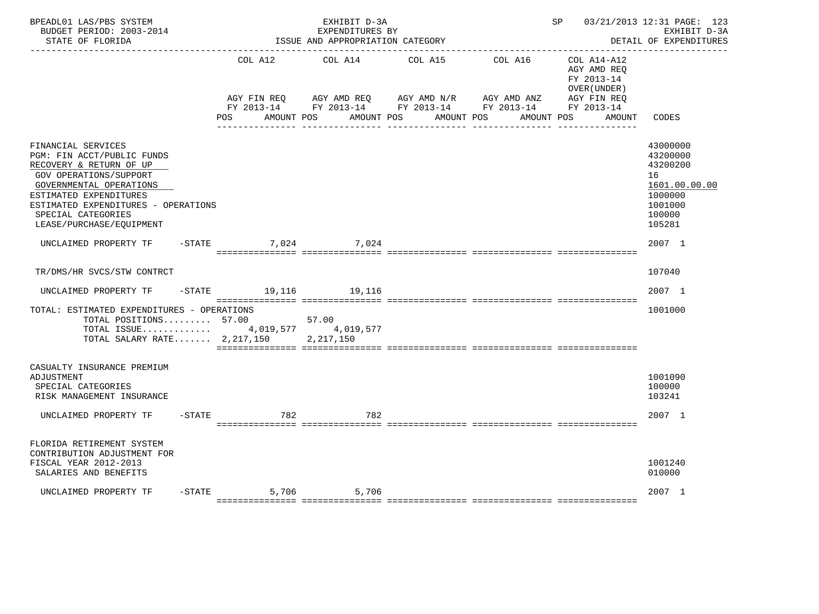| BPEADL01 LAS/PBS SYSTEM<br>BUDGET PERIOD: 2003-2014<br>STATE OF FLORIDA                                                                                                                                                                                    |                               | EXHIBIT D-3A<br>EXPENDITURES BY<br>ISSUE AND APPROPRIATION CATEGORY                                                    |                       | 03/21/2013 12:31 PAGE: 123<br>SP<br>EXHIBIT D-3A<br>DETAIL OF EXPENDITURES |                                                                                                         |                                                                                                   |
|------------------------------------------------------------------------------------------------------------------------------------------------------------------------------------------------------------------------------------------------------------|-------------------------------|------------------------------------------------------------------------------------------------------------------------|-----------------------|----------------------------------------------------------------------------|---------------------------------------------------------------------------------------------------------|---------------------------------------------------------------------------------------------------|
|                                                                                                                                                                                                                                                            | COL A12<br>AGY FIN REO<br>POS | COL A14<br>AGY AMD REQ AGY AMD N/R AGY AMD ANZ<br>FY 2013-14 FY 2013-14 FY 2013-14 FY 2013-14 FY 2013-14<br>AMOUNT POS | COL A15<br>AMOUNT POS | AMOUNT POS                                                                 | COL A16 COL A14-A12<br>AGY AMD REO<br>FY 2013-14<br>OVER (UNDER)<br>AGY FIN REO<br>AMOUNT POS<br>AMOUNT | CODES                                                                                             |
|                                                                                                                                                                                                                                                            |                               |                                                                                                                        |                       |                                                                            |                                                                                                         |                                                                                                   |
| FINANCIAL SERVICES<br>PGM: FIN ACCT/PUBLIC FUNDS<br>RECOVERY & RETURN OF UP<br><b>GOV OPERATIONS/SUPPORT</b><br>GOVERNMENTAL OPERATIONS<br>ESTIMATED EXPENDITURES<br>ESTIMATED EXPENDITURES - OPERATIONS<br>SPECIAL CATEGORIES<br>LEASE/PURCHASE/EQUIPMENT |                               |                                                                                                                        |                       |                                                                            |                                                                                                         | 43000000<br>43200000<br>43200200<br>16<br>1601.00.00.00<br>1000000<br>1001000<br>100000<br>105281 |
| UNCLAIMED PROPERTY TF -STATE 7,024 7,024                                                                                                                                                                                                                   |                               |                                                                                                                        |                       |                                                                            |                                                                                                         | 2007 1                                                                                            |
| TR/DMS/HR SVCS/STW CONTRCT                                                                                                                                                                                                                                 |                               |                                                                                                                        |                       |                                                                            |                                                                                                         | 107040                                                                                            |
| UNCLAIMED PROPERTY TF                                                                                                                                                                                                                                      | -STATE 19,116 19,116          |                                                                                                                        |                       |                                                                            |                                                                                                         | 2007 1                                                                                            |
| TOTAL: ESTIMATED EXPENDITURES - OPERATIONS<br>TOTAL POSITIONS 57.00<br>TOTAL ISSUE 4,019,577 4,019,577<br>TOTAL SALARY RATE $2,217,150$                                                                                                                    |                               | 57.00<br>2, 217, 150                                                                                                   |                       |                                                                            |                                                                                                         | 1001000                                                                                           |
| CASUALTY INSURANCE PREMIUM<br>ADJUSTMENT<br>SPECIAL CATEGORIES<br>RISK MANAGEMENT INSURANCE                                                                                                                                                                |                               |                                                                                                                        |                       |                                                                            |                                                                                                         | 1001090<br>100000<br>103241                                                                       |
| UNCLAIMED PROPERTY TF                                                                                                                                                                                                                                      | $-$ STATE<br>782              | 782                                                                                                                    |                       |                                                                            |                                                                                                         | 2007 1                                                                                            |
| FLORIDA RETIREMENT SYSTEM<br>CONTRIBUTION ADJUSTMENT FOR<br>FISCAL YEAR 2012-2013<br>SALARIES AND BENEFITS                                                                                                                                                 |                               |                                                                                                                        |                       |                                                                            |                                                                                                         | 1001240<br>010000                                                                                 |
| UNCLAIMED PROPERTY TF                                                                                                                                                                                                                                      | $-STATE$                      | 5,706 5,706                                                                                                            |                       |                                                                            |                                                                                                         | 2007 1                                                                                            |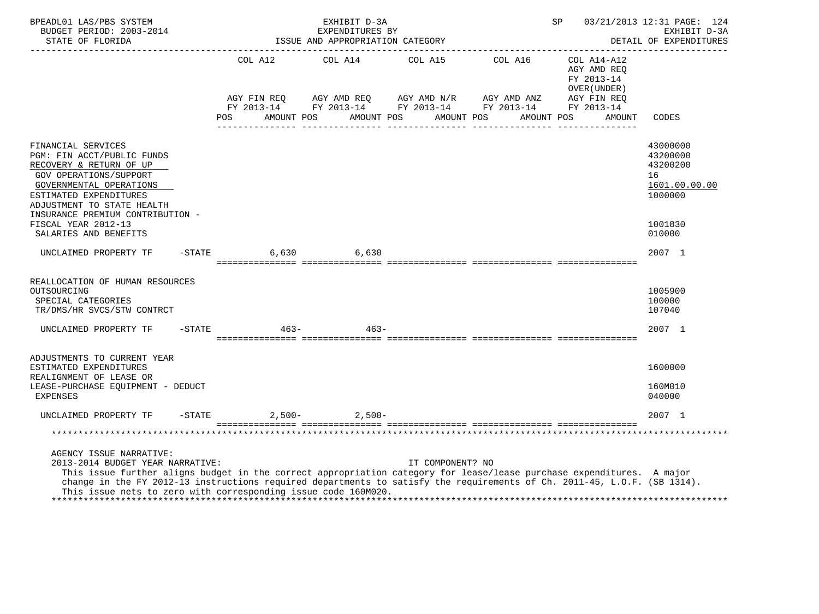| BPEADL01 LAS/PBS SYSTEM<br>BUDGET PERIOD: 2003-2014<br>STATE OF FLORIDA<br>---------------------                                                                                                                                                                                                                                                                                   |           |                           | EXHIBIT D-3A<br>EXPENDITURES BY<br>ISSUE AND APPROPRIATION CATEGORY                                                                 |                  | 03/21/2013 12:31 PAGE: 124<br>SP<br>EXHIBIT D-3A<br>DETAIL OF EXPENDITURES |                                                                                         |  |
|------------------------------------------------------------------------------------------------------------------------------------------------------------------------------------------------------------------------------------------------------------------------------------------------------------------------------------------------------------------------------------|-----------|---------------------------|-------------------------------------------------------------------------------------------------------------------------------------|------------------|----------------------------------------------------------------------------|-----------------------------------------------------------------------------------------|--|
|                                                                                                                                                                                                                                                                                                                                                                                    |           |                           | COL A12 COL A14 COL A15 COL A16                                                                                                     |                  | COL A14-A12<br>AGY AMD REO<br>FY 2013-14<br>OVER (UNDER)                   |                                                                                         |  |
|                                                                                                                                                                                                                                                                                                                                                                                    |           | AGY FIN REQ<br><b>POS</b> | AGY AMD REQ AGY AMD $N/R$ AGY AMD ANZ<br>FY 2013-14 FY 2013-14 FY 2013-14 FY 2013-14 FY 2013-14<br>AMOUNT POS AMOUNT POS AMOUNT POS |                  | AGY FIN REQ<br>AMOUNT POS<br>AMOUNT                                        | CODES                                                                                   |  |
| FINANCIAL SERVICES<br>PGM: FIN ACCT/PUBLIC FUNDS<br>RECOVERY & RETURN OF UP<br><b>GOV OPERATIONS/SUPPORT</b><br>GOVERNMENTAL OPERATIONS<br>ESTIMATED EXPENDITURES<br>ADJUSTMENT TO STATE HEALTH<br>INSURANCE PREMIUM CONTRIBUTION -<br>FISCAL YEAR 2012-13<br>SALARIES AND BENEFITS                                                                                                |           |                           |                                                                                                                                     |                  |                                                                            | 43000000<br>43200000<br>43200200<br>16<br>1601.00.00.00<br>1000000<br>1001830<br>010000 |  |
| UNCLAIMED PROPERTY TF                                                                                                                                                                                                                                                                                                                                                              |           | $-STATE$                  | 6,630 6,630                                                                                                                         |                  |                                                                            | 2007 1                                                                                  |  |
| REALLOCATION OF HUMAN RESOURCES<br>OUTSOURCING<br>SPECIAL CATEGORIES<br>TR/DMS/HR SVCS/STW CONTRCT                                                                                                                                                                                                                                                                                 |           |                           |                                                                                                                                     |                  |                                                                            | 1005900<br>100000<br>107040                                                             |  |
| UNCLAIMED PROPERTY TF                                                                                                                                                                                                                                                                                                                                                              | $-$ STATE | $463 -$                   | $463 -$                                                                                                                             |                  |                                                                            | 2007 1                                                                                  |  |
| ADJUSTMENTS TO CURRENT YEAR<br>ESTIMATED EXPENDITURES<br>REALIGNMENT OF LEASE OR<br>LEASE-PURCHASE EQUIPMENT - DEDUCT<br><b>EXPENSES</b>                                                                                                                                                                                                                                           |           |                           |                                                                                                                                     |                  |                                                                            | 1600000<br>160M010<br>040000                                                            |  |
| UNCLAIMED PROPERTY TF                                                                                                                                                                                                                                                                                                                                                              |           | $-STATE$                  | $2,500-2,500-$                                                                                                                      |                  |                                                                            | 2007 1                                                                                  |  |
|                                                                                                                                                                                                                                                                                                                                                                                    |           |                           |                                                                                                                                     |                  |                                                                            |                                                                                         |  |
| AGENCY ISSUE NARRATIVE:<br>2013-2014 BUDGET YEAR NARRATIVE:<br>This issue further aligns budget in the correct appropriation category for lease/lease purchase expenditures. A major<br>change in the FY 2012-13 instructions required departments to satisfy the requirements of Ch. 2011-45, L.O.F. (SB 1314).<br>This issue nets to zero with corresponding issue code 160M020. |           |                           |                                                                                                                                     | IT COMPONENT? NO |                                                                            |                                                                                         |  |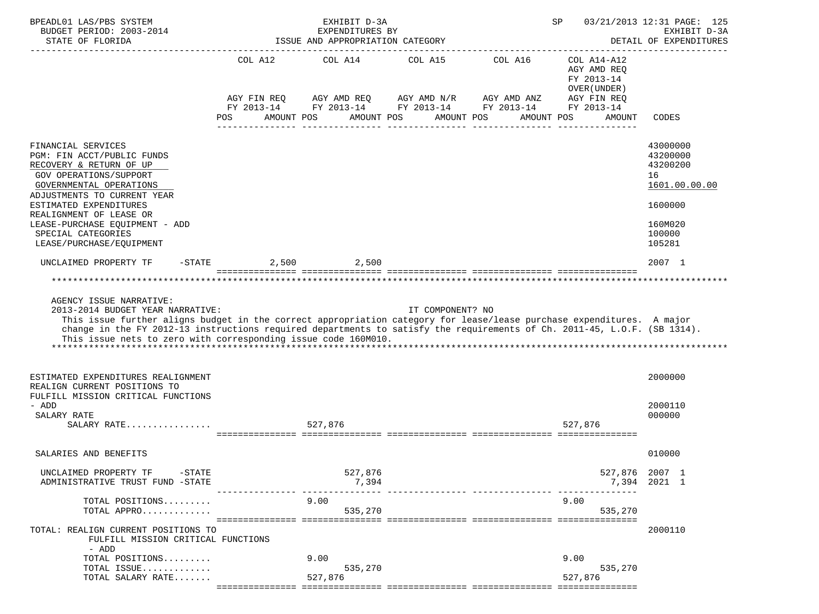| BPEADL01 LAS/PBS SYSTEM<br>BUDGET PERIOD: 2003-2014<br>STATE OF FLORIDA                                                                                                                                                                                                                                                                                 | EXHIBIT D-3A<br>SP<br>EXPENDITURES BY<br>ISSUE AND APPROPRIATION CATEGORY |                       |                                                                                                             |                       |                                                                                                 | 03/21/2013 12:31 PAGE: 125<br>EXHIBIT D-3A<br>DETAIL OF EXPENDITURES |
|---------------------------------------------------------------------------------------------------------------------------------------------------------------------------------------------------------------------------------------------------------------------------------------------------------------------------------------------------------|---------------------------------------------------------------------------|-----------------------|-------------------------------------------------------------------------------------------------------------|-----------------------|-------------------------------------------------------------------------------------------------|----------------------------------------------------------------------|
|                                                                                                                                                                                                                                                                                                                                                         | COL A12<br>AGY FIN REQ<br>AMOUNT POS<br>POS                               | COL A14<br>AMOUNT POS | COL A15<br>AGY AMD REQ AGY AMD N/R AGY AMD ANZ<br>FY 2013-14 FY 2013-14 FY 2013-14 FY 2013-14<br>AMOUNT POS | COL A16<br>AMOUNT POS | COL A14-A12<br>AGY AMD REO<br>FY 2013-14<br>OVER (UNDER)<br>AGY FIN REQ<br>FY 2013-14<br>AMOUNT | CODES                                                                |
|                                                                                                                                                                                                                                                                                                                                                         |                                                                           |                       |                                                                                                             | ________________      |                                                                                                 |                                                                      |
| FINANCIAL SERVICES<br>PGM: FIN ACCT/PUBLIC FUNDS<br>RECOVERY & RETURN OF UP<br><b>GOV OPERATIONS/SUPPORT</b><br>GOVERNMENTAL OPERATIONS<br>ADJUSTMENTS TO CURRENT YEAR<br>ESTIMATED EXPENDITURES                                                                                                                                                        |                                                                           |                       |                                                                                                             |                       |                                                                                                 | 43000000<br>43200000<br>43200200<br>16<br>1601.00.00.00<br>1600000   |
| REALIGNMENT OF LEASE OR<br>LEASE-PURCHASE EOUIPMENT - ADD<br>SPECIAL CATEGORIES<br>LEASE/PURCHASE/EQUIPMENT                                                                                                                                                                                                                                             |                                                                           |                       |                                                                                                             |                       |                                                                                                 | 160M020<br>100000<br>105281                                          |
| UNCLAIMED PROPERTY TF<br>$-$ STATE                                                                                                                                                                                                                                                                                                                      |                                                                           | 2,500 2,500           |                                                                                                             |                       |                                                                                                 | 2007 1                                                               |
| 2013-2014 BUDGET YEAR NARRATIVE:<br>This issue further aligns budget in the correct appropriation category for lease/lease purchase expenditures. A major<br>change in the FY 2012-13 instructions required departments to satisfy the requirements of Ch. 2011-45, L.O.F. (SB 1314).<br>This issue nets to zero with corresponding issue code 160M010. |                                                                           |                       | IT COMPONENT? NO                                                                                            |                       |                                                                                                 |                                                                      |
| ESTIMATED EXPENDITURES REALIGNMENT<br>REALIGN CURRENT POSITIONS TO<br>FULFILL MISSION CRITICAL FUNCTIONS<br>- ADD                                                                                                                                                                                                                                       |                                                                           |                       |                                                                                                             |                       |                                                                                                 | 2000000<br>2000110                                                   |
| SALARY RATE<br>SALARY RATE                                                                                                                                                                                                                                                                                                                              |                                                                           | 527,876               |                                                                                                             |                       | 527,876                                                                                         | 000000                                                               |
| SALARIES AND BENEFITS                                                                                                                                                                                                                                                                                                                                   |                                                                           |                       |                                                                                                             |                       |                                                                                                 | 010000                                                               |
| UNCLAIMED PROPERTY TF<br>$-$ STATE<br>ADMINISTRATIVE TRUST FUND -STATE                                                                                                                                                                                                                                                                                  |                                                                           | 527,876<br>7,394      |                                                                                                             |                       | 527,876 2007 1                                                                                  | 7,394 2021 1                                                         |
| TOTAL POSITIONS<br>TOTAL APPRO                                                                                                                                                                                                                                                                                                                          |                                                                           | 9.00<br>535,270       |                                                                                                             |                       | 9.00<br>535,270                                                                                 |                                                                      |
| TOTAL: REALIGN CURRENT POSITIONS TO<br>FULFILL MISSION CRITICAL FUNCTIONS<br>- ADD                                                                                                                                                                                                                                                                      |                                                                           |                       |                                                                                                             |                       |                                                                                                 | 2000110                                                              |
| TOTAL POSITIONS<br>TOTAL ISSUE                                                                                                                                                                                                                                                                                                                          |                                                                           | 9.00<br>535,270       |                                                                                                             |                       | 9.00<br>535,270                                                                                 |                                                                      |
| TOTAL SALARY RATE                                                                                                                                                                                                                                                                                                                                       |                                                                           | 527,876               |                                                                                                             |                       | 527,876                                                                                         |                                                                      |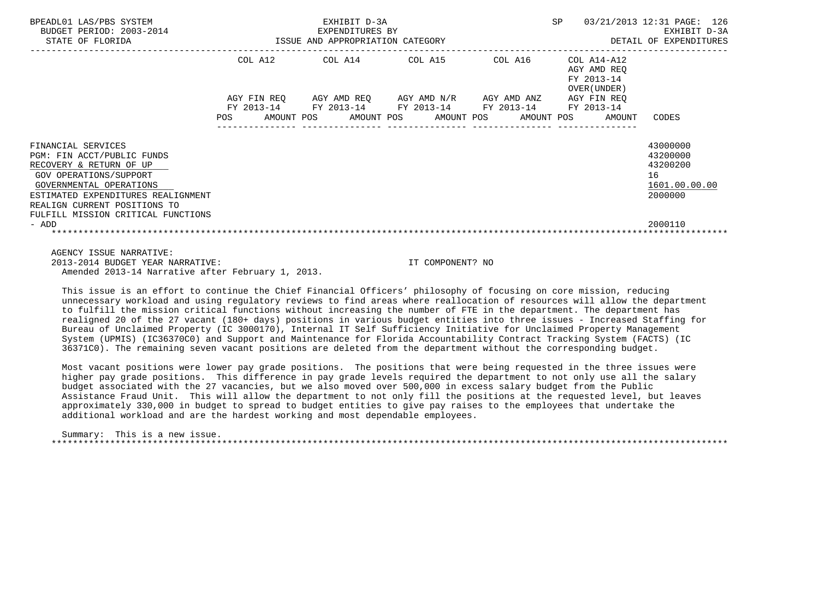| BPEADL01 LAS/PBS SYSTEM<br>BUDGET PERIOD: 2003-2014<br>STATE OF FLORIDA | EXHIBIT D-3A<br>EXPENDITURES BY<br>13-2014 ISSUE AND APPROPRIATION CATEGORY |                                                                                                |  |  | SP                                                                  | 03/21/2013 12:31 PAGE: 126<br>EXHIBIT D-3A<br>DETAIL OF EXPENDITURES |
|-------------------------------------------------------------------------|-----------------------------------------------------------------------------|------------------------------------------------------------------------------------------------|--|--|---------------------------------------------------------------------|----------------------------------------------------------------------|
|                                                                         |                                                                             | COL A12 COL A14 COL A15 COL A16                                                                |  |  | COL A14-A12<br>AGY AMD REO<br>FY 2013-14<br>OVER (UNDER )           |                                                                      |
|                                                                         |                                                                             | AGY FIN REO AGY AMD REO AGY AMD N/R AGY AMD ANZ<br>FY 2013-14 FY 2013-14 FY 2013-14 FY 2013-14 |  |  | AGY FIN REO<br>FY 2013-14                                           |                                                                      |
|                                                                         | POS                                                                         |                                                                                                |  |  | AMOUNT POS      AMOUNT POS     AMOUNT POS     AMOUNT POS     AMOUNT | CODES                                                                |
| FINANCIAL SERVICES                                                      |                                                                             |                                                                                                |  |  |                                                                     | 43000000                                                             |
| PGM: FIN ACCT/PUBLIC FUNDS<br>RECOVERY & RETURN OF UP                   |                                                                             |                                                                                                |  |  |                                                                     | 43200000<br>43200200                                                 |
| GOV OPERATIONS/SUPPORT                                                  |                                                                             |                                                                                                |  |  |                                                                     | 16                                                                   |
| GOVERNMENTAL OPERATIONS<br>ESTIMATED EXPENDITURES REALIGNMENT           |                                                                             |                                                                                                |  |  |                                                                     | 1601.00.00.00<br>2000000                                             |
| REALIGN CURRENT POSITIONS TO                                            |                                                                             |                                                                                                |  |  |                                                                     |                                                                      |
| FULFILL MISSION CRITICAL FUNCTIONS<br>- ADD                             |                                                                             |                                                                                                |  |  |                                                                     | 2000110                                                              |
|                                                                         |                                                                             |                                                                                                |  |  |                                                                     |                                                                      |
| AGENCY ISSUE NARRATIVE:                                                 |                                                                             |                                                                                                |  |  |                                                                     |                                                                      |

 2013-2014 BUDGET YEAR NARRATIVE: IT COMPONENT? NO Amended 2013-14 Narrative after February 1, 2013.

 This issue is an effort to continue the Chief Financial Officers' philosophy of focusing on core mission, reducing unnecessary workload and using regulatory reviews to find areas where reallocation of resources will allow the department to fulfill the mission critical functions without increasing the number of FTE in the department. The department has realigned 20 of the 27 vacant (180+ days) positions in various budget entities into three issues - Increased Staffing for Bureau of Unclaimed Property (IC 3000170), Internal IT Self Sufficiency Initiative for Unclaimed Property Management System (UPMIS) (IC36370C0) and Support and Maintenance for Florida Accountability Contract Tracking System (FACTS) (IC 36371C0). The remaining seven vacant positions are deleted from the department without the corresponding budget.

 Most vacant positions were lower pay grade positions. The positions that were being requested in the three issues were higher pay grade positions. This difference in pay grade levels required the department to not only use all the salary budget associated with the 27 vacancies, but we also moved over 500,000 in excess salary budget from the Public Assistance Fraud Unit. This will allow the department to not only fill the positions at the requested level, but leaves approximately 330,000 in budget to spread to budget entities to give pay raises to the employees that undertake the additional workload and are the hardest working and most dependable employees.

 Summary: This is a new issue. \*\*\*\*\*\*\*\*\*\*\*\*\*\*\*\*\*\*\*\*\*\*\*\*\*\*\*\*\*\*\*\*\*\*\*\*\*\*\*\*\*\*\*\*\*\*\*\*\*\*\*\*\*\*\*\*\*\*\*\*\*\*\*\*\*\*\*\*\*\*\*\*\*\*\*\*\*\*\*\*\*\*\*\*\*\*\*\*\*\*\*\*\*\*\*\*\*\*\*\*\*\*\*\*\*\*\*\*\*\*\*\*\*\*\*\*\*\*\*\*\*\*\*\*\*\*\*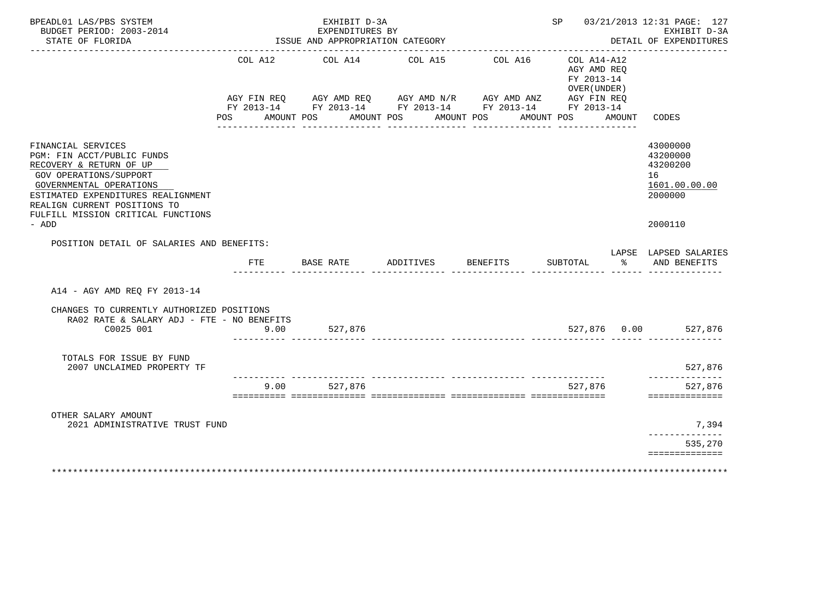| BPEADL01 LAS/PBS SYSTEM<br>BUDGET PERIOD: 2003-2014<br>STATE OF FLORIDA<br><u> - - - - - - - - - - - - - -</u>                                                                                                                                               |                                  | EXHIBIT D-3A<br>EXPENDITURES BY<br>ISSUE AND APPROPRIATION CATEGORY |                              |                                                                                                                                                                                                                                                                                                                                                                            | __________________________________                                         |        | SP 03/21/2013 12:31 PAGE: 127<br>EXHIBIT D-3A<br>DETAIL OF EXPENDITURES       |
|--------------------------------------------------------------------------------------------------------------------------------------------------------------------------------------------------------------------------------------------------------------|----------------------------------|---------------------------------------------------------------------|------------------------------|----------------------------------------------------------------------------------------------------------------------------------------------------------------------------------------------------------------------------------------------------------------------------------------------------------------------------------------------------------------------------|----------------------------------------------------------------------------|--------|-------------------------------------------------------------------------------|
|                                                                                                                                                                                                                                                              | AGY FIN REO<br>AMOUNT POS<br>POS | COL A12 COL A14 COL A15                                             | AMOUNT POS<br>AMOUNT POS     | COL A16<br>$\begin{array}{lllllll} {\text{AGY}} & {\text{FIN}} & {\text{REG}} & {\text{AGY}} & {\text{AMP}} & {\text{AGY}} & {\text{AMP}} & {\text{HU}} & {\text{HU}} & {\text{HU}} & {\text{HU}} & {\text{HU}} & {\text{HU}} \\ {\text{FY}} & 2013\text{--}14 & \text{FY}} & 2013\text{--}14 & \text{FY}} & 2013\text{--}14 & \text{FY}} & 2013\text{--}14 & \end{array}$ | $COL A14 - A12$<br>AGY AMD REO<br>FY 2013-14<br>OVER (UNDER)<br>AMOUNT POS | AMOUNT | CODES                                                                         |
| FINANCIAL SERVICES<br>PGM: FIN ACCT/PUBLIC FUNDS<br>RECOVERY & RETURN OF UP<br><b>GOV OPERATIONS/SUPPORT</b><br>GOVERNMENTAL OPERATIONS<br>ESTIMATED EXPENDITURES REALIGNMENT<br>REALIGN CURRENT POSITIONS TO<br>FULFILL MISSION CRITICAL FUNCTIONS<br>- ADD |                                  |                                                                     |                              |                                                                                                                                                                                                                                                                                                                                                                            |                                                                            |        | 43000000<br>43200000<br>43200200<br>16<br>1601.00.00.00<br>2000000<br>2000110 |
| POSITION DETAIL OF SALARIES AND BENEFITS:                                                                                                                                                                                                                    | FTE                              |                                                                     | BASE RATE ADDITIVES BENEFITS |                                                                                                                                                                                                                                                                                                                                                                            |                                                                            |        | LAPSE LAPSED SALARIES<br>SUBTOTAL % AND BENEFITS                              |
| A14 - AGY AMD REO FY 2013-14                                                                                                                                                                                                                                 |                                  |                                                                     |                              |                                                                                                                                                                                                                                                                                                                                                                            |                                                                            |        |                                                                               |
| CHANGES TO CURRENTLY AUTHORIZED POSITIONS<br>RA02 RATE & SALARY ADJ - FTE - NO BENEFITS<br>C0025 001                                                                                                                                                         | 9.00                             | 527,876                                                             |                              |                                                                                                                                                                                                                                                                                                                                                                            |                                                                            |        | 527.876 0.00 527.876                                                          |
| TOTALS FOR ISSUE BY FUND<br>2007 UNCLAIMED PROPERTY TF                                                                                                                                                                                                       |                                  |                                                                     |                              |                                                                                                                                                                                                                                                                                                                                                                            |                                                                            |        | 527,876                                                                       |
|                                                                                                                                                                                                                                                              | 9.00                             | --------- ---------------<br>527,876                                |                              |                                                                                                                                                                                                                                                                                                                                                                            | 527,876                                                                    |        | --------------<br>527,876<br>==============                                   |
| OTHER SALARY AMOUNT                                                                                                                                                                                                                                          |                                  |                                                                     |                              |                                                                                                                                                                                                                                                                                                                                                                            |                                                                            |        |                                                                               |
| 2021 ADMINISTRATIVE TRUST FUND                                                                                                                                                                                                                               |                                  |                                                                     |                              |                                                                                                                                                                                                                                                                                                                                                                            |                                                                            |        | 7,394<br>______________                                                       |
|                                                                                                                                                                                                                                                              |                                  |                                                                     |                              |                                                                                                                                                                                                                                                                                                                                                                            |                                                                            |        | 535,270<br>==============                                                     |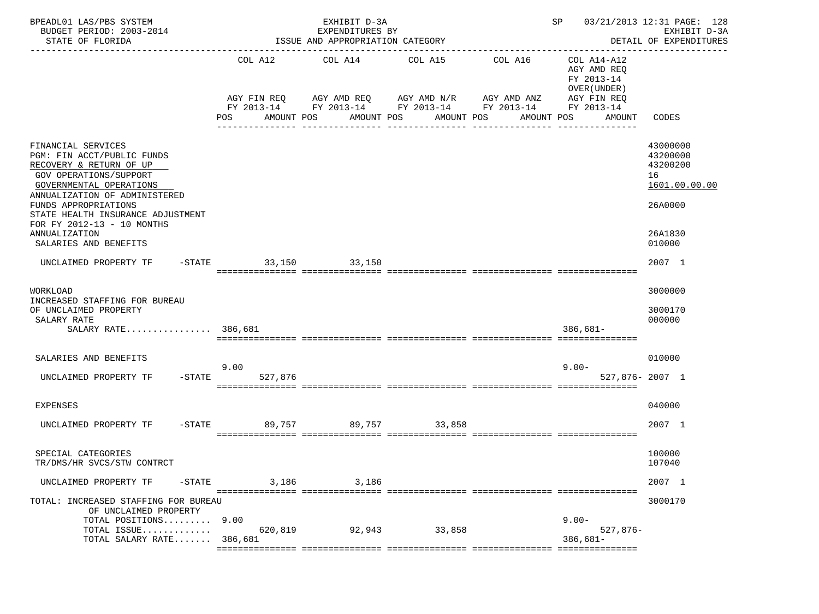| BPEADL01 LAS/PBS SYSTEM<br>BUDGET PERIOD: 2003-2014<br>STATE OF FLORIDA                                                                                                                                                                                                                                       | EXHIBIT D-3A<br>EXPENDITURES BY<br>ISSUE AND APPROPRIATION CATEGORY |                         |                                                                             |                                                                      | 03/21/2013 12:31 PAGE: 128<br>SP<br>EXHIBIT D-3A<br>DETAIL OF EXPENDITURES                      |                                                                               |  |
|---------------------------------------------------------------------------------------------------------------------------------------------------------------------------------------------------------------------------------------------------------------------------------------------------------------|---------------------------------------------------------------------|-------------------------|-----------------------------------------------------------------------------|----------------------------------------------------------------------|-------------------------------------------------------------------------------------------------|-------------------------------------------------------------------------------|--|
|                                                                                                                                                                                                                                                                                                               | POS<br>AMOUNT POS                                                   | COL A12 COL A14 COL A15 | AGY FIN REQ AGY AMD REQ AGY AMD N/R AGY AMD ANZ<br>AMOUNT POS<br>AMOUNT POS | COL A16<br>FY 2013-14 FY 2013-14 FY 2013-14 FY 2013-14<br>AMOUNT POS | COL A14-A12<br>AGY AMD REQ<br>FY 2013-14<br>OVER (UNDER)<br>AGY FIN REQ<br>FY 2013-14<br>AMOUNT | CODES                                                                         |  |
| FINANCIAL SERVICES<br>PGM: FIN ACCT/PUBLIC FUNDS<br>RECOVERY & RETURN OF UP<br><b>GOV OPERATIONS/SUPPORT</b><br>GOVERNMENTAL OPERATIONS<br>ANNUALIZATION OF ADMINISTERED<br>FUNDS APPROPRIATIONS<br>STATE HEALTH INSURANCE ADJUSTMENT<br>FOR FY 2012-13 - 10 MONTHS<br>ANNUALIZATION<br>SALARIES AND BENEFITS |                                                                     |                         |                                                                             |                                                                      |                                                                                                 | 43000000<br>43200000<br>43200200<br>16<br>1601.00.00.00<br>26A0000<br>26A1830 |  |
| $-STATE$<br>UNCLAIMED PROPERTY TF                                                                                                                                                                                                                                                                             |                                                                     | 33,150 33,150           |                                                                             |                                                                      |                                                                                                 | 010000<br>2007 1                                                              |  |
| WORKLOAD<br>INCREASED STAFFING FOR BUREAU<br>OF UNCLAIMED PROPERTY<br>SALARY RATE<br>SALARY RATE 386,681                                                                                                                                                                                                      |                                                                     |                         |                                                                             |                                                                      | $386,681-$                                                                                      | 3000000<br>3000170<br>000000                                                  |  |
| SALARIES AND BENEFITS<br>UNCLAIMED PROPERTY TF<br>$-$ STATE                                                                                                                                                                                                                                                   | 9.00<br>527,876                                                     |                         |                                                                             |                                                                      | $9.00 -$<br>$527,876 - 2007$ 1                                                                  | 010000                                                                        |  |
| EXPENSES                                                                                                                                                                                                                                                                                                      |                                                                     |                         |                                                                             |                                                                      |                                                                                                 | 040000                                                                        |  |
| -STATE<br>UNCLAIMED PROPERTY TF                                                                                                                                                                                                                                                                               | 89,757                                                              | 89,757                  | 33,858                                                                      |                                                                      |                                                                                                 | 2007 1                                                                        |  |
| SPECIAL CATEGORIES<br>TR/DMS/HR SVCS/STW CONTRCT                                                                                                                                                                                                                                                              |                                                                     |                         |                                                                             |                                                                      |                                                                                                 | 100000<br>107040                                                              |  |
| UNCLAIMED PROPERTY TF<br>$-$ STATE                                                                                                                                                                                                                                                                            | 3,186                                                               | 3,186                   |                                                                             |                                                                      |                                                                                                 | 2007 1                                                                        |  |
| TOTAL: INCREASED STAFFING FOR BUREAU<br>OF UNCLAIMED PROPERTY<br>TOTAL POSITIONS<br>TOTAL ISSUE<br>TOTAL SALARY RATE                                                                                                                                                                                          | 9.00<br>620,819<br>386,681                                          | 92,943                  | 33,858                                                                      |                                                                      | $9.00 -$<br>527,876-<br>$386,681-$                                                              | 3000170                                                                       |  |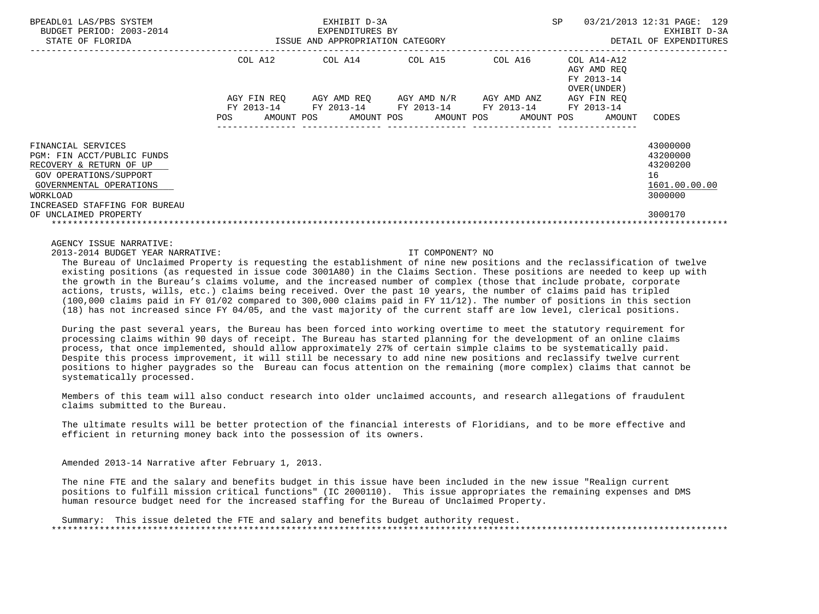| BPEADL01 LAS/PBS SYSTEM<br>BUDGET PERIOD: 2003-2014<br>STATE OF FLORIDA                                                                                                                                |                                                       | EXHIBIT D-3A<br>EXPENDITURES BY<br>ISSUE AND APPROPRIATION CATEGORY | SP                                                             | 03/21/2013 12:31 PAGE: 129<br>EXHIBIT D-3A<br>DETAIL OF EXPENDITURES |                                                          |                                                                               |
|--------------------------------------------------------------------------------------------------------------------------------------------------------------------------------------------------------|-------------------------------------------------------|---------------------------------------------------------------------|----------------------------------------------------------------|----------------------------------------------------------------------|----------------------------------------------------------|-------------------------------------------------------------------------------|
|                                                                                                                                                                                                        | COL A12                                               |                                                                     | COL A14 COL A15                                                | COL A16                                                              | COL A14-A12<br>AGY AMD REO<br>FY 2013-14<br>OVER (UNDER) |                                                                               |
|                                                                                                                                                                                                        | AGY FIN REO<br>FY 2013-14<br>AMOUNT POS<br><b>POS</b> | FY 2013-14                                                          | AGY AMD REO AGY AMD N/R<br>FY 2013-14<br>AMOUNT POS AMOUNT POS | AGY AMD ANZ<br>FY 2013-14<br>AMOUNT POS                              | AGY FIN REO<br>FY 2013-14<br>AMOUNT                      | CODES                                                                         |
| FINANCIAL SERVICES<br>PGM: FIN ACCT/PUBLIC FUNDS<br>RECOVERY & RETURN OF UP<br>GOV OPERATIONS/SUPPORT<br>GOVERNMENTAL OPERATIONS<br>WORKLOAD<br>INCREASED STAFFING FOR BUREAU<br>OF UNCLAIMED PROPERTY |                                                       |                                                                     |                                                                |                                                                      |                                                          | 43000000<br>43200000<br>43200200<br>16<br>1601.00.00.00<br>3000000<br>3000170 |

2013-2014 BUDGET YEAR NARRATIVE: IT COMPONENT? NO

 The Bureau of Unclaimed Property is requesting the establishment of nine new positions and the reclassification of twelve existing positions (as requested in issue code 3001A80) in the Claims Section. These positions are needed to keep up with the growth in the Bureau's claims volume, and the increased number of complex (those that include probate, corporate actions, trusts, wills, etc.) claims being received. Over the past 10 years, the number of claims paid has tripled (100,000 claims paid in FY 01/02 compared to 300,000 claims paid in FY 11/12). The number of positions in this section (18) has not increased since FY 04/05, and the vast majority of the current staff are low level, clerical positions.

 During the past several years, the Bureau has been forced into working overtime to meet the statutory requirement for processing claims within 90 days of receipt. The Bureau has started planning for the development of an online claims process, that once implemented, should allow approximately 27% of certain simple claims to be systematically paid. Despite this process improvement, it will still be necessary to add nine new positions and reclassify twelve current positions to higher paygrades so the Bureau can focus attention on the remaining (more complex) claims that cannot be systematically processed.

 Members of this team will also conduct research into older unclaimed accounts, and research allegations of fraudulent claims submitted to the Bureau.

 The ultimate results will be better protection of the financial interests of Floridians, and to be more effective and efficient in returning money back into the possession of its owners.

Amended 2013-14 Narrative after February 1, 2013.

 The nine FTE and the salary and benefits budget in this issue have been included in the new issue "Realign current positions to fulfill mission critical functions" (IC 2000110). This issue appropriates the remaining expenses and DMS human resource budget need for the increased staffing for the Bureau of Unclaimed Property.

 Summary: This issue deleted the FTE and salary and benefits budget authority request. \*\*\*\*\*\*\*\*\*\*\*\*\*\*\*\*\*\*\*\*\*\*\*\*\*\*\*\*\*\*\*\*\*\*\*\*\*\*\*\*\*\*\*\*\*\*\*\*\*\*\*\*\*\*\*\*\*\*\*\*\*\*\*\*\*\*\*\*\*\*\*\*\*\*\*\*\*\*\*\*\*\*\*\*\*\*\*\*\*\*\*\*\*\*\*\*\*\*\*\*\*\*\*\*\*\*\*\*\*\*\*\*\*\*\*\*\*\*\*\*\*\*\*\*\*\*\*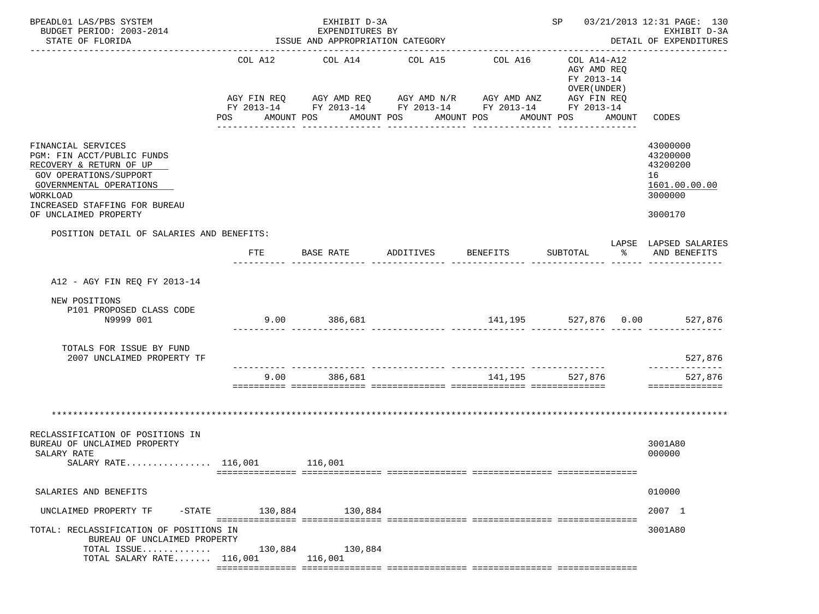| BPEADL01 LAS/PBS SYSTEM<br>BUDGET PERIOD: 2003-2014<br>STATE OF FLORIDA                                                                                                                                |         | EXHIBIT D-3A<br>EXPENDITURES BY<br>ISSUE AND APPROPRIATION CATEGORY | SP 03/21/2013 12:31 PAGE: 130<br>EXHIBIT D-3A<br>DETAIL OF EXPENDITURES |                                                                                                                                  |                                                                        |        |                                                                               |
|--------------------------------------------------------------------------------------------------------------------------------------------------------------------------------------------------------|---------|---------------------------------------------------------------------|-------------------------------------------------------------------------|----------------------------------------------------------------------------------------------------------------------------------|------------------------------------------------------------------------|--------|-------------------------------------------------------------------------------|
|                                                                                                                                                                                                        | COL A12 | COL A14<br>AMOUNT POS                                               | COL A15<br>AMOUNT POS AMOUNT POS<br>-------------                       | COL A16<br>AGY FIN REQ AGY AMD REQ AGY AMD N/R AGY AMD ANZ AGY FIN REQ<br>FY 2013-14 FY 2013-14 FY 2013-14 FY 2013-14 FY 2013-14 | COL A14-A12<br>AGY AMD REO<br>FY 2013-14<br>OVER (UNDER)<br>AMOUNT POS | AMOUNT | CODES                                                                         |
| FINANCIAL SERVICES<br>PGM: FIN ACCT/PUBLIC FUNDS<br>RECOVERY & RETURN OF UP<br>GOV OPERATIONS/SUPPORT<br>GOVERNMENTAL OPERATIONS<br>WORKLOAD<br>INCREASED STAFFING FOR BUREAU<br>OF UNCLAIMED PROPERTY |         |                                                                     |                                                                         |                                                                                                                                  |                                                                        |        | 43000000<br>43200000<br>43200200<br>16<br>1601.00.00.00<br>3000000<br>3000170 |
| POSITION DETAIL OF SALARIES AND BENEFITS:                                                                                                                                                              | FTE     | <b>BASE RATE</b>                                                    | ADDITIVES                                                               | BENEFITS                                                                                                                         | SUBTOTAL                                                               | န္မွ ေ | LAPSE LAPSED SALARIES<br>AND BENEFITS                                         |
|                                                                                                                                                                                                        |         |                                                                     |                                                                         |                                                                                                                                  |                                                                        |        |                                                                               |
| A12 - AGY FIN REQ FY 2013-14                                                                                                                                                                           |         |                                                                     |                                                                         |                                                                                                                                  |                                                                        |        |                                                                               |
| NEW POSITIONS<br>P101 PROPOSED CLASS CODE<br>N9999 001                                                                                                                                                 |         | 9.00 386,681                                                        |                                                                         | 141,195 527,876 0.00 527,876                                                                                                     |                                                                        |        |                                                                               |
| TOTALS FOR ISSUE BY FUND<br>2007 UNCLAIMED PROPERTY TF                                                                                                                                                 |         |                                                                     |                                                                         |                                                                                                                                  |                                                                        |        | 527,876<br>______________                                                     |
|                                                                                                                                                                                                        | 9.00    | 386,681                                                             |                                                                         | 141,195                                                                                                                          | 527,876                                                                |        | 527,876<br>==============                                                     |
| RECLASSIFICATION OF POSITIONS IN<br>BUREAU OF UNCLAIMED PROPERTY<br>SALARY RATE<br>SALARY RATE $116,001$                                                                                               |         | 116,001                                                             |                                                                         |                                                                                                                                  |                                                                        |        | 3001A80<br>000000                                                             |
|                                                                                                                                                                                                        |         |                                                                     |                                                                         |                                                                                                                                  |                                                                        |        |                                                                               |
| SALARIES AND BENEFITS                                                                                                                                                                                  |         |                                                                     |                                                                         |                                                                                                                                  |                                                                        |        | 010000                                                                        |
| $-$ STATE<br>UNCLAIMED PROPERTY TF                                                                                                                                                                     |         | 130,884 130,884                                                     |                                                                         |                                                                                                                                  |                                                                        |        | 2007 1                                                                        |
| TOTAL: RECLASSIFICATION OF POSITIONS IN<br>BUREAU OF UNCLAIMED PROPERTY<br>TOTAL ISSUE<br>TOTAL SALARY RATE $116,001$                                                                                  | 130,884 | 130,884<br>116,001                                                  |                                                                         |                                                                                                                                  |                                                                        |        | 3001A80                                                                       |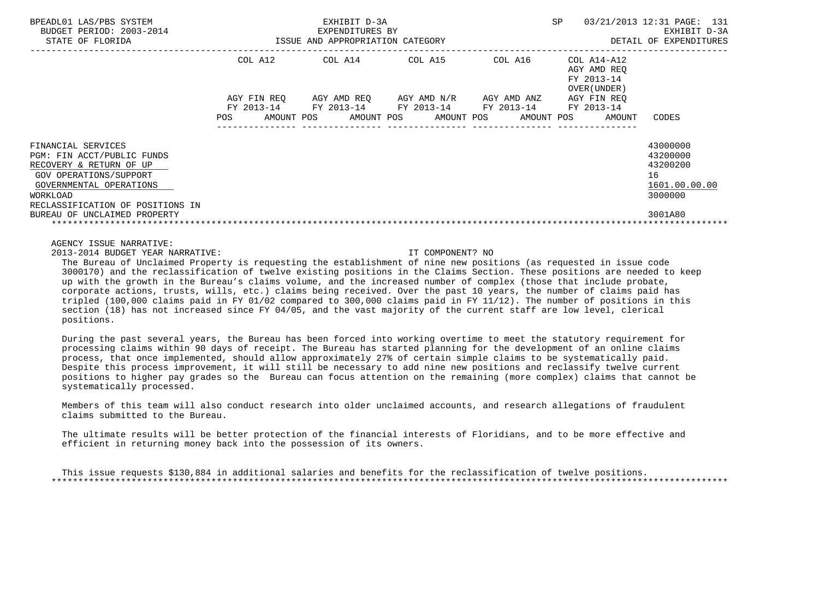| BPEADL01 LAS/PBS SYSTEM<br>BUDGET PERIOD: 2003-2014<br>STATE OF FLORIDA                                                                                                          |                           | EXHIBIT D-3A<br>EXPENDITURES BY<br>ISSUE AND APPROPRIATION CATEGORY | SP                                    | 03/21/2013 12:31 PAGE: 131<br>EXHIBIT D-3A<br>DETAIL OF EXPENDITURES |                                                          |                                                                    |
|----------------------------------------------------------------------------------------------------------------------------------------------------------------------------------|---------------------------|---------------------------------------------------------------------|---------------------------------------|----------------------------------------------------------------------|----------------------------------------------------------|--------------------------------------------------------------------|
|                                                                                                                                                                                  | COL A12                   | COL A14 COL A15                                                     |                                       | COL A16                                                              | COL A14-A12<br>AGY AMD REO<br>FY 2013-14<br>OVER (UNDER) |                                                                    |
|                                                                                                                                                                                  | AGY FIN REO<br>FY 2013-14 | FY 2013-14                                                          | AGY AMD REQ AGY AMD N/R<br>FY 2013-14 | AGY AMD ANZ                                                          | AGY FIN REO<br>FY 2013-14                                |                                                                    |
|                                                                                                                                                                                  | POS.                      | AMOUNT POS AMOUNT POS AMOUNT POS                                    |                                       | FY 2013-14                                                           | AMOUNT POS<br>AMOUNT                                     | CODES                                                              |
| FINANCIAL SERVICES<br>PGM: FIN ACCT/PUBLIC FUNDS<br>RECOVERY & RETURN OF UP<br>GOV OPERATIONS/SUPPORT<br>GOVERNMENTAL OPERATIONS<br>WORKLOAD<br>RECLASSIFICATION OF POSITIONS IN |                           |                                                                     |                                       |                                                                      |                                                          | 43000000<br>43200000<br>43200200<br>16<br>1601.00.00.00<br>3000000 |
| BUREAU OF UNCLAIMED PROPERTY                                                                                                                                                     |                           |                                                                     |                                       |                                                                      |                                                          | 3001A80                                                            |

2013-2014 BUDGET YEAR NARRATIVE: IT COMPONENT? NO

 The Bureau of Unclaimed Property is requesting the establishment of nine new positions (as requested in issue code 3000170) and the reclassification of twelve existing positions in the Claims Section. These positions are needed to keep up with the growth in the Bureau's claims volume, and the increased number of complex (those that include probate, corporate actions, trusts, wills, etc.) claims being received. Over the past 10 years, the number of claims paid has tripled (100,000 claims paid in FY 01/02 compared to 300,000 claims paid in FY 11/12). The number of positions in this section (18) has not increased since FY 04/05, and the vast majority of the current staff are low level, clerical positions.

 During the past several years, the Bureau has been forced into working overtime to meet the statutory requirement for processing claims within 90 days of receipt. The Bureau has started planning for the development of an online claims process, that once implemented, should allow approximately 27% of certain simple claims to be systematically paid. Despite this process improvement, it will still be necessary to add nine new positions and reclassify twelve current positions to higher pay grades so the Bureau can focus attention on the remaining (more complex) claims that cannot be systematically processed.

 Members of this team will also conduct research into older unclaimed accounts, and research allegations of fraudulent claims submitted to the Bureau.

 The ultimate results will be better protection of the financial interests of Floridians, and to be more effective and efficient in returning money back into the possession of its owners.

 This issue requests \$130,884 in additional salaries and benefits for the reclassification of twelve positions. \*\*\*\*\*\*\*\*\*\*\*\*\*\*\*\*\*\*\*\*\*\*\*\*\*\*\*\*\*\*\*\*\*\*\*\*\*\*\*\*\*\*\*\*\*\*\*\*\*\*\*\*\*\*\*\*\*\*\*\*\*\*\*\*\*\*\*\*\*\*\*\*\*\*\*\*\*\*\*\*\*\*\*\*\*\*\*\*\*\*\*\*\*\*\*\*\*\*\*\*\*\*\*\*\*\*\*\*\*\*\*\*\*\*\*\*\*\*\*\*\*\*\*\*\*\*\*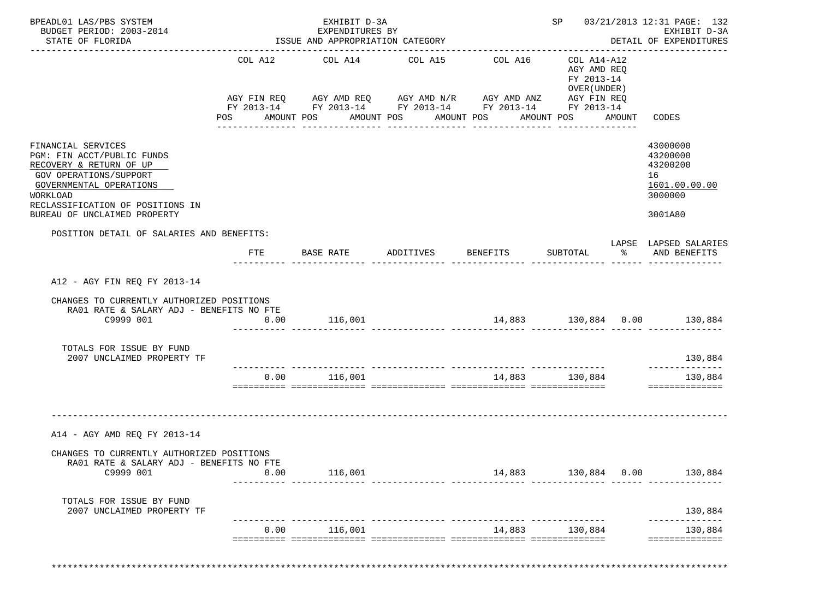| BPEADL01 LAS/PBS SYSTEM<br>BUDGET PERIOD: 2003-2014<br>STATE OF FLORIDA                                                                                                                                          |            | EXHIBIT D-3A<br>EXPENDITURES BY<br>ISSUE AND APPROPRIATION CATEGORY                                                                                                    |                       |                             |                                                                        |              | SP 03/21/2013 12:31 PAGE: 132<br>EXHIBIT D-3A<br>DETAIL OF EXPENDITURES       |
|------------------------------------------------------------------------------------------------------------------------------------------------------------------------------------------------------------------|------------|------------------------------------------------------------------------------------------------------------------------------------------------------------------------|-----------------------|-----------------------------|------------------------------------------------------------------------|--------------|-------------------------------------------------------------------------------|
|                                                                                                                                                                                                                  | <b>POS</b> | COL A12 COL A14 COL A15 COL A16<br>AGY FIN REQ AGY AMD REQ AGY AMD N/R AGY AMD ANZ AGY FIN REQ<br>FY 2013-14 FY 2013-14 FY 2013-14 FY 2013-14 FY 2013-14<br>AMOUNT POS | AMOUNT POS AMOUNT POS |                             | COL A14-A12<br>AGY AMD REQ<br>FY 2013-14<br>OVER (UNDER)<br>AMOUNT POS | AMOUNT CODES |                                                                               |
| FINANCIAL SERVICES<br>PGM: FIN ACCT/PUBLIC FUNDS<br>RECOVERY & RETURN OF UP<br>GOV OPERATIONS/SUPPORT<br>GOVERNMENTAL OPERATIONS<br>WORKLOAD<br>RECLASSIFICATION OF POSITIONS IN<br>BUREAU OF UNCLAIMED PROPERTY |            |                                                                                                                                                                        |                       |                             |                                                                        |              | 43000000<br>43200000<br>43200200<br>16<br>1601.00.00.00<br>3000000<br>3001A80 |
| POSITION DETAIL OF SALARIES AND BENEFITS:                                                                                                                                                                        | FTE        | BASE RATE ADDITIVES BENEFITS                                                                                                                                           |                       |                             | SUBTOTAL %                                                             |              | LAPSE LAPSED SALARIES<br>AND BENEFITS                                         |
| A12 - AGY FIN REO FY 2013-14                                                                                                                                                                                     |            |                                                                                                                                                                        |                       |                             |                                                                        |              |                                                                               |
| CHANGES TO CURRENTLY AUTHORIZED POSITIONS<br>RA01 RATE & SALARY ADJ - BENEFITS NO FTE<br>C9999 001                                                                                                               | 0.00       | 116,001                                                                                                                                                                |                       | 14,883 130,884 0.00 130,884 |                                                                        |              |                                                                               |
| TOTALS FOR ISSUE BY FUND<br>2007 UNCLAIMED PROPERTY TF                                                                                                                                                           |            |                                                                                                                                                                        |                       |                             |                                                                        |              | 130,884                                                                       |
|                                                                                                                                                                                                                  |            | $0.00$ 116,001                                                                                                                                                         |                       | 14,883 130,884              |                                                                        |              | --------------<br>130,884<br>==============                                   |
| A14 - AGY AMD REO FY 2013-14                                                                                                                                                                                     |            |                                                                                                                                                                        |                       |                             |                                                                        |              |                                                                               |
| CHANGES TO CURRENTLY AUTHORIZED POSITIONS<br>RAOI RATE & SALARY ADJ - BENEFITS NO FTE                                                                                                                            |            |                                                                                                                                                                        |                       |                             |                                                                        |              |                                                                               |
|                                                                                                                                                                                                                  | 0.00       | 116,001                                                                                                                                                                |                       | 14,883 130,884 0.00         |                                                                        |              | 130,884                                                                       |
| C9999 001                                                                                                                                                                                                        |            |                                                                                                                                                                        |                       |                             |                                                                        |              |                                                                               |
| TOTALS FOR ISSUE BY FUND<br>2007 UNCLAIMED PROPERTY TF                                                                                                                                                           |            |                                                                                                                                                                        |                       |                             |                                                                        |              | 130,884<br>----------                                                         |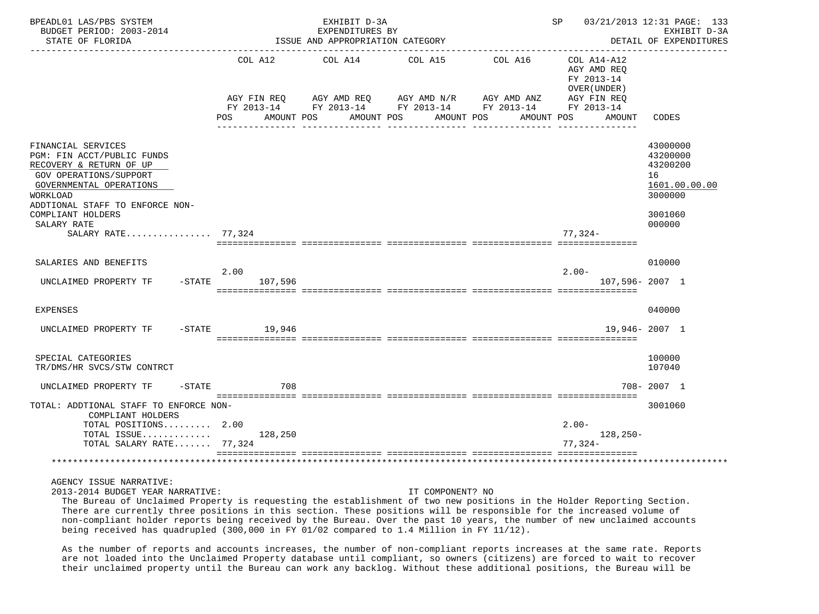| BPEADL01 LAS/PBS SYSTEM<br>BUDGET PERIOD: 2003-2014<br>STATE OF FLORIDA                                                                                                                                                                   |                                                                  | EXHIBIT D-3A<br>EXPENDITURES BY<br>ISSUE AND APPROPRIATION CATEGORY |                                                  |                                                                      | SP                                                                                | 03/21/2013 12:31 PAGE: 133<br>EXHIBIT D-3A<br>DETAIL OF EXPENDITURES                    |
|-------------------------------------------------------------------------------------------------------------------------------------------------------------------------------------------------------------------------------------------|------------------------------------------------------------------|---------------------------------------------------------------------|--------------------------------------------------|----------------------------------------------------------------------|-----------------------------------------------------------------------------------|-----------------------------------------------------------------------------------------|
|                                                                                                                                                                                                                                           | COL A12<br>AGY FIN REO<br>FY 2013-14<br><b>POS</b><br>AMOUNT POS | COL A14<br>AGY AMD REO<br>AMOUNT POS                                | COL A15<br>AGY AMD N/R AGY AMD ANZ<br>AMOUNT POS | COL A16<br>FY 2013-14 FY 2013-14 FY 2013-14 FY 2013-14<br>AMOUNT POS | COL A14-A12<br>AGY AMD REQ<br>FY 2013-14<br>OVER (UNDER)<br>AGY FIN REO<br>AMOUNT | CODES                                                                                   |
| FINANCIAL SERVICES<br>PGM: FIN ACCT/PUBLIC FUNDS<br>RECOVERY & RETURN OF UP<br>GOV OPERATIONS/SUPPORT<br>GOVERNMENTAL OPERATIONS<br>WORKLOAD<br>ADDTIONAL STAFF TO ENFORCE NON-<br>COMPLIANT HOLDERS<br>SALARY RATE<br>SALARY RATE 77,324 |                                                                  |                                                                     |                                                  |                                                                      | $77,324-$                                                                         | 43000000<br>43200000<br>43200200<br>16<br>1601.00.00.00<br>3000000<br>3001060<br>000000 |
| SALARIES AND BENEFITS<br>UNCLAIMED PROPERTY TF<br>$-$ STATE                                                                                                                                                                               | 2.00<br>107,596                                                  |                                                                     |                                                  |                                                                      | $2.00 -$<br>107,596-2007 1                                                        | 010000                                                                                  |
| <b>EXPENSES</b>                                                                                                                                                                                                                           |                                                                  |                                                                     |                                                  |                                                                      |                                                                                   | 040000                                                                                  |
| $-$ STATE<br>UNCLAIMED PROPERTY TF                                                                                                                                                                                                        | 19,946                                                           |                                                                     |                                                  |                                                                      |                                                                                   | $19.946 - 2007$ 1                                                                       |
| SPECIAL CATEGORIES<br>TR/DMS/HR SVCS/STW CONTRCT                                                                                                                                                                                          |                                                                  |                                                                     |                                                  |                                                                      |                                                                                   | 100000<br>107040                                                                        |
| $-STATE$<br>UNCLAIMED PROPERTY TF                                                                                                                                                                                                         | 708                                                              |                                                                     |                                                  |                                                                      |                                                                                   | 708-2007 1                                                                              |
| TOTAL: ADDTIONAL STAFF TO ENFORCE NON-<br>COMPLIANT HOLDERS<br>TOTAL POSITIONS 2.00<br>TOTAL ISSUE<br>TOTAL SALARY RATE 77,324                                                                                                            | 128,250                                                          |                                                                     |                                                  |                                                                      | $2.00 -$<br>$128,250-$<br>$77.324-$                                               | 3001060                                                                                 |
|                                                                                                                                                                                                                                           |                                                                  |                                                                     |                                                  |                                                                      |                                                                                   |                                                                                         |

2013-2014 BUDGET YEAR NARRATIVE: IT COMPONENT? NO

 The Bureau of Unclaimed Property is requesting the establishment of two new positions in the Holder Reporting Section. There are currently three positions in this section. These positions will be responsible for the increased volume of non-compliant holder reports being received by the Bureau. Over the past 10 years, the number of new unclaimed accounts being received has quadrupled (300,000 in FY 01/02 compared to 1.4 Million in FY 11/12).

 As the number of reports and accounts increases, the number of non-compliant reports increases at the same rate. Reports are not loaded into the Unclaimed Property database until compliant, so owners (citizens) are forced to wait to recover their unclaimed property until the Bureau can work any backlog. Without these additional positions, the Bureau will be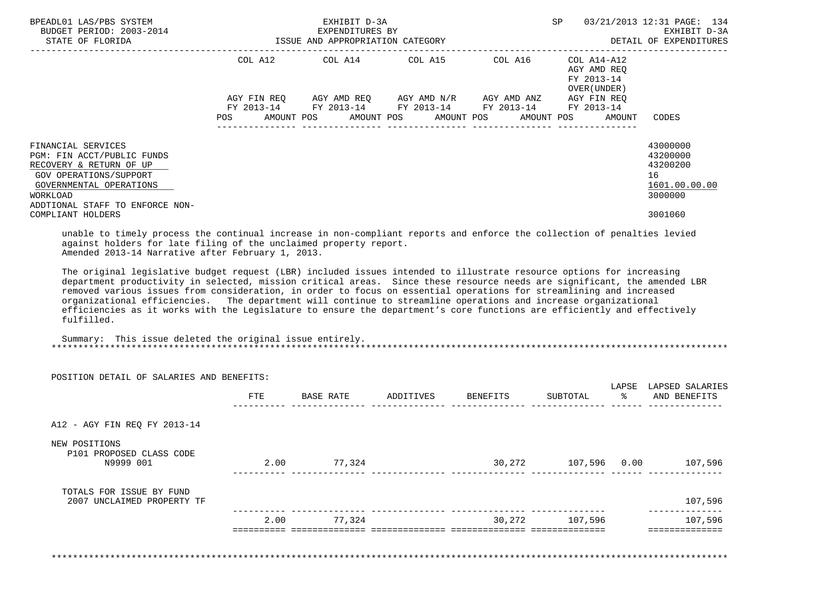| BPEADL01 LAS/PBS SYSTEM<br>BUDGET PERIOD: 2003-2014<br>STATE OF FLORIDA                                                          |                           | EXHIBIT D-3A<br>EXPENDITURES BY<br>ISSUE AND APPROPRIATION CATEGORY |             |                                                 | SP                                                       | 03/21/2013 12:31 PAGE: 134<br>EXHIBIT D-3A<br>DETAIL OF EXPENDITURES |
|----------------------------------------------------------------------------------------------------------------------------------|---------------------------|---------------------------------------------------------------------|-------------|-------------------------------------------------|----------------------------------------------------------|----------------------------------------------------------------------|
|                                                                                                                                  | COL A12                   | COL A14 COL A15                                                     |             | COL A16                                         | COL A14-A12<br>AGY AMD REO<br>FY 2013-14<br>OVER (UNDER) |                                                                      |
|                                                                                                                                  | AGY FIN REO<br>FY 2013-14 | AGY AMD REO                                                         | AGY AMD N/R | AGY AMD ANZ<br>FY 2013-14 FY 2013-14 FY 2013-14 | AGY FIN REO<br>FY 2013-14                                |                                                                      |
| FINANCIAL SERVICES<br>PGM: FIN ACCT/PUBLIC FUNDS<br>RECOVERY & RETURN OF UP<br>GOV OPERATIONS/SUPPORT<br>GOVERNMENTAL OPERATIONS | POS                       |                                                                     |             | AMOUNT POS AMOUNT POS AMOUNT POS AMOUNT POS     | AMOUNT                                                   | CODES<br>43000000<br>43200000<br>43200200<br>16<br>1601.00.00.00     |
| WORKLOAD<br>ADDTIONAL STAFF TO ENFORCE NON-<br>COMPLIANT HOLDERS                                                                 |                           |                                                                     |             |                                                 |                                                          | 3000000<br>3001060                                                   |

 unable to timely process the continual increase in non-compliant reports and enforce the collection of penalties levied against holders for late filing of the unclaimed property report. Amended 2013-14 Narrative after February 1, 2013.

 The original legislative budget request (LBR) included issues intended to illustrate resource options for increasing department productivity in selected, mission critical areas. Since these resource needs are significant, the amended LBR removed various issues from consideration, in order to focus on essential operations for streamlining and increased organizational efficiencies. The department will continue to streamline operations and increase organizational efficiencies as it works with the Legislature to ensure the department's core functions are efficiently and effectively fulfilled.

 Summary: This issue deleted the original issue entirely. \*\*\*\*\*\*\*\*\*\*\*\*\*\*\*\*\*\*\*\*\*\*\*\*\*\*\*\*\*\*\*\*\*\*\*\*\*\*\*\*\*\*\*\*\*\*\*\*\*\*\*\*\*\*\*\*\*\*\*\*\*\*\*\*\*\*\*\*\*\*\*\*\*\*\*\*\*\*\*\*\*\*\*\*\*\*\*\*\*\*\*\*\*\*\*\*\*\*\*\*\*\*\*\*\*\*\*\*\*\*\*\*\*\*\*\*\*\*\*\*\*\*\*\*\*\*\*

POSITION DETAIL OF SALARIES AND BENEFITS:

|                                                        | FTE  | BASE RATE | ADDITIVES | BENEFITS | SUBTOTAL     | LAPSE<br>ႜ | LAPSED SALARIES<br>AND BENEFITS |
|--------------------------------------------------------|------|-----------|-----------|----------|--------------|------------|---------------------------------|
| A12 - AGY FIN REQ FY 2013-14                           |      |           |           |          |              |            |                                 |
| NEW POSITIONS<br>P101 PROPOSED CLASS CODE<br>N9999 001 | 2.00 | 77,324    |           | 30,272   | 107,596 0.00 |            | 107,596                         |
| TOTALS FOR ISSUE BY FUND<br>2007 UNCLAIMED PROPERTY TF |      |           |           |          |              |            | 107,596                         |
|                                                        | 2.00 | 77,324    |           | 30,272   | 107,596      |            | 107,596                         |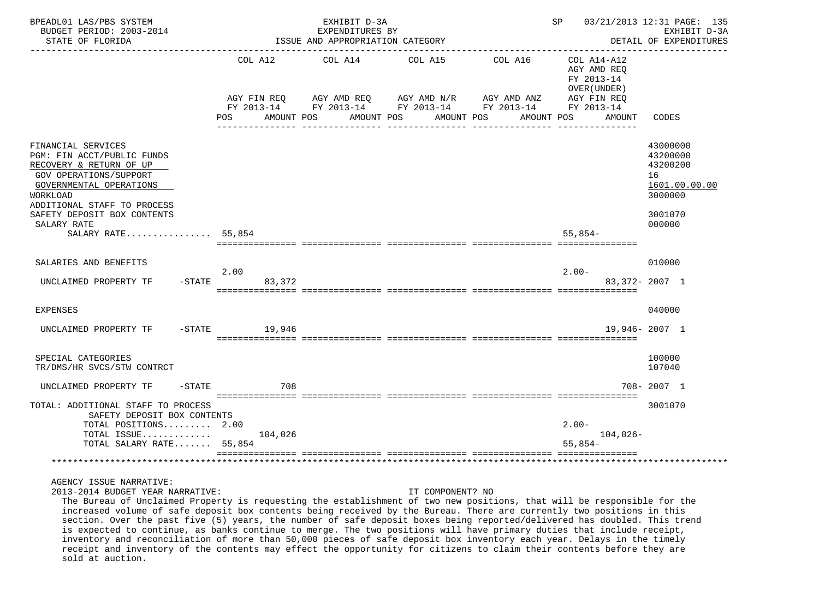| BPEADL01 LAS/PBS SYSTEM<br>BUDGET PERIOD: 2003-2014<br>STATE OF FLORIDA                                                                                                                                                          |                   |                                         |             | EXHIBIT D-3A<br>EXPENDITURES BY<br>ISSUE AND APPROPRIATION CATEGORY |                       |                                                                                                                         | SP                                                                      |            | 03/21/2013 12:31 PAGE: 135<br>EXHIBIT D-3A<br>DETAIL OF EXPENDITURES                    |
|----------------------------------------------------------------------------------------------------------------------------------------------------------------------------------------------------------------------------------|-------------------|-----------------------------------------|-------------|---------------------------------------------------------------------|-----------------------|-------------------------------------------------------------------------------------------------------------------------|-------------------------------------------------------------------------|------------|-----------------------------------------------------------------------------------------|
|                                                                                                                                                                                                                                  | <b>POS</b>        | AGY FIN REQ<br>FY 2013-14<br>AMOUNT POS | AGY AMD REQ | COL A12 COL A14<br>AMOUNT POS                                       | COL A15<br>AMOUNT POS | COL A16<br>AGY AMD REQ AGY AMD N/R AGY AMD ANZ AGY FIN REQ<br>FY 2013-14 FY 2013-14 FY 2013-14 FY 2013-14<br>AMOUNT POS | COL A14-A12<br>AGY AMD REQ<br>FY 2013-14<br>OVER (UNDER)<br>AGY FIN REQ | AMOUNT     | CODES                                                                                   |
| FINANCIAL SERVICES<br>PGM: FIN ACCT/PUBLIC FUNDS<br>RECOVERY & RETURN OF UP<br>GOV OPERATIONS/SUPPORT<br>GOVERNMENTAL OPERATIONS<br><b>WORKLOAD</b><br>ADDITIONAL STAFF TO PROCESS<br>SAFETY DEPOSIT BOX CONTENTS<br>SALARY RATE |                   |                                         |             |                                                                     |                       |                                                                                                                         |                                                                         |            | 43000000<br>43200000<br>43200200<br>16<br>1601.00.00.00<br>3000000<br>3001070<br>000000 |
| SALARY RATE 55,854                                                                                                                                                                                                               |                   |                                         |             |                                                                     |                       |                                                                                                                         | $55.854-$                                                               |            |                                                                                         |
| SALARIES AND BENEFITS<br>UNCLAIMED PROPERTY TF                                                                                                                                                                                   | 2.00<br>$-$ STATE | 83,372                                  |             |                                                                     |                       |                                                                                                                         | $2.00 -$                                                                |            | 010000<br>83, 372 - 2007 1                                                              |
| <b>EXPENSES</b>                                                                                                                                                                                                                  |                   |                                         |             |                                                                     |                       |                                                                                                                         |                                                                         |            | 040000                                                                                  |
| UNCLAIMED PROPERTY TF                                                                                                                                                                                                            | $-$ STATE         | 19,946                                  |             |                                                                     |                       |                                                                                                                         |                                                                         |            | 19,946-2007 1                                                                           |
| SPECIAL CATEGORIES<br>TR/DMS/HR SVCS/STW CONTRCT                                                                                                                                                                                 |                   |                                         |             |                                                                     |                       |                                                                                                                         |                                                                         |            | 100000<br>107040                                                                        |
| $-$ STATE<br>UNCLAIMED PROPERTY TF                                                                                                                                                                                               |                   | 708                                     |             |                                                                     |                       |                                                                                                                         |                                                                         |            | 708-2007 1                                                                              |
| TOTAL: ADDITIONAL STAFF TO PROCESS<br>SAFETY DEPOSIT BOX CONTENTS<br>TOTAL POSITIONS 2.00<br>TOTAL ISSUE<br>TOTAL SALARY RATE 55,854                                                                                             |                   | 104,026                                 |             |                                                                     |                       | ____________________________________                                                                                    | $2.00 -$<br>$55,854-$                                                   | $104,026-$ | 3001070                                                                                 |
|                                                                                                                                                                                                                                  |                   |                                         |             |                                                                     |                       |                                                                                                                         |                                                                         |            |                                                                                         |

2013-2014 BUDGET YEAR NARRATIVE: IT COMPONENT? NO

 The Bureau of Unclaimed Property is requesting the establishment of two new positions, that will be responsible for the increased volume of safe deposit box contents being received by the Bureau. There are currently two positions in this section. Over the past five (5) years, the number of safe deposit boxes being reported/delivered has doubled. This trend is expected to continue, as banks continue to merge. The two positions will have primary duties that include receipt, inventory and reconciliation of more than 50,000 pieces of safe deposit box inventory each year. Delays in the timely receipt and inventory of the contents may effect the opportunity for citizens to claim their contents before they are sold at auction.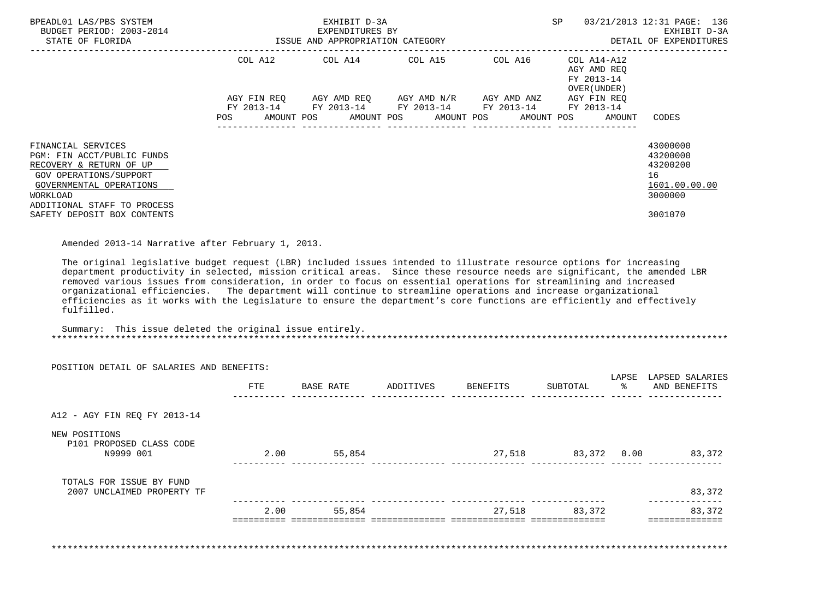| BPEADL01 LAS/PBS SYSTEM<br>BUDGET PERIOD: 2003-2014<br>STATE OF FLORIDA                                                                                                     |                                  | EXHIBIT D-3A<br>EXPENDITURES BY<br>ISSUE AND APPROPRIATION CATEGORY |                           | 03/21/2013 12:31 PAGE: 136<br>SP<br>EXHIBIT D-3A<br>DETAIL OF EXPENDITURES |                                                          |                                                                               |
|-----------------------------------------------------------------------------------------------------------------------------------------------------------------------------|----------------------------------|---------------------------------------------------------------------|---------------------------|----------------------------------------------------------------------------|----------------------------------------------------------|-------------------------------------------------------------------------------|
|                                                                                                                                                                             | COL A12                          | COL A14 COL A15                                                     |                           | COL A16                                                                    | COL A14-A12<br>AGY AMD REO<br>FY 2013-14<br>OVER (UNDER) |                                                                               |
|                                                                                                                                                                             | AGY FIN REO<br>FY 2013-14<br>POS | AGY AMD REO<br>FY 2013-14<br>AMOUNT POS AMOUNT POS AMOUNT POS       | AGY AMD N/R<br>FY 2013-14 | AGY AMD ANZ<br>FY 2013-14<br>AMOUNT POS                                    | AGY FIN REO<br>FY 2013-14<br>AMOUNT                      | CODES                                                                         |
| FINANCIAL SERVICES<br>PGM: FIN ACCT/PUBLIC FUNDS<br>RECOVERY & RETURN OF UP<br>GOV OPERATIONS/SUPPORT<br>GOVERNMENTAL OPERATIONS<br>WORKLOAD<br>ADDITIONAL STAFF TO PROCESS |                                  |                                                                     |                           |                                                                            |                                                          | 43000000<br>43200000<br>43200200<br>16<br>1601.00.00.00<br>3000000<br>3001070 |
| SAFETY DEPOSIT BOX CONTENTS                                                                                                                                                 |                                  |                                                                     |                           |                                                                            |                                                          |                                                                               |

Amended 2013-14 Narrative after February 1, 2013.

 The original legislative budget request (LBR) included issues intended to illustrate resource options for increasing department productivity in selected, mission critical areas. Since these resource needs are significant, the amended LBR removed various issues from consideration, in order to focus on essential operations for streamlining and increased organizational efficiencies. The department will continue to streamline operations and increase organizational efficiencies as it works with the Legislature to ensure the department's core functions are efficiently and effectively fulfilled.

 Summary: This issue deleted the original issue entirely. \*\*\*\*\*\*\*\*\*\*\*\*\*\*\*\*\*\*\*\*\*\*\*\*\*\*\*\*\*\*\*\*\*\*\*\*\*\*\*\*\*\*\*\*\*\*\*\*\*\*\*\*\*\*\*\*\*\*\*\*\*\*\*\*\*\*\*\*\*\*\*\*\*\*\*\*\*\*\*\*\*\*\*\*\*\*\*\*\*\*\*\*\*\*\*\*\*\*\*\*\*\*\*\*\*\*\*\*\*\*\*\*\*\*\*\*\*\*\*\*\*\*\*\*\*\*\*

|                                                        | FTE  | BASE RATE | ADDITIVES | BENEFITS | SUBTOTAL    | LAPSE<br>ႜ | LAPSED SALARIES<br>AND BENEFITS |
|--------------------------------------------------------|------|-----------|-----------|----------|-------------|------------|---------------------------------|
| A12 - AGY FIN REQ FY 2013-14                           |      |           |           |          |             |            |                                 |
| NEW POSITIONS<br>P101 PROPOSED CLASS CODE<br>N9999 001 | 2.00 | 55,854    |           | 27,518   | 83,372 0.00 |            | 83,372                          |
| TOTALS FOR ISSUE BY FUND<br>2007 UNCLAIMED PROPERTY TF |      |           |           |          |             |            | 83,372                          |
|                                                        | 2.00 | 55,854    |           | 27,518   | 83,372      |            | 83,372                          |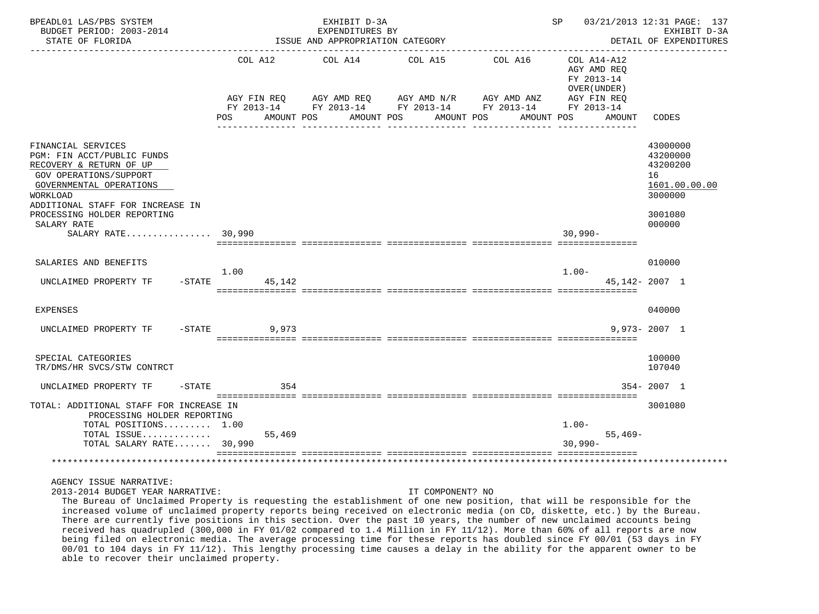| BPEADL01 LAS/PBS SYSTEM<br>BUDGET PERIOD: 2003-2014<br>STATE OF FLORIDA                                                                                                                                                        |                                         | EXHIBIT D-3A<br>EXPENDITURES BY<br>ISSUE AND APPROPRIATION CATEGORY |                                       | SP and the set of the set of the set of the set of the set of the set of the set of the set of the set of the set of the set of the set of the set of the set of the set of the set of the set of the set of the set of the se | 03/21/2013 12:31 PAGE: 137<br>EXHIBIT D-3A<br>DETAIL OF EXPENDITURES              |                                                                                         |
|--------------------------------------------------------------------------------------------------------------------------------------------------------------------------------------------------------------------------------|-----------------------------------------|---------------------------------------------------------------------|---------------------------------------|--------------------------------------------------------------------------------------------------------------------------------------------------------------------------------------------------------------------------------|-----------------------------------------------------------------------------------|-----------------------------------------------------------------------------------------|
|                                                                                                                                                                                                                                | AGY FIN REO<br>AMOUNT POS<br><b>POS</b> | COL A12 COL A14 COL A15<br>AGY AMD REO<br>AMOUNT POS                | AGY AMD N/R AGY AMD ANZ<br>AMOUNT POS | COL A16<br>FY 2013-14 FY 2013-14 FY 2013-14 FY 2013-14 FY 2013-14<br>AMOUNT POS                                                                                                                                                | COL A14-A12<br>AGY AMD REO<br>FY 2013-14<br>OVER (UNDER)<br>AGY FIN REO<br>AMOUNT | CODES                                                                                   |
| FINANCIAL SERVICES<br>PGM: FIN ACCT/PUBLIC FUNDS<br>RECOVERY & RETURN OF UP<br>GOV OPERATIONS/SUPPORT<br>GOVERNMENTAL OPERATIONS<br>WORKLOAD<br>ADDITIONAL STAFF FOR INCREASE IN<br>PROCESSING HOLDER REPORTING<br>SALARY RATE |                                         |                                                                     |                                       |                                                                                                                                                                                                                                |                                                                                   | 43000000<br>43200000<br>43200200<br>16<br>1601.00.00.00<br>3000000<br>3001080<br>000000 |
| SALARY RATE 30,990                                                                                                                                                                                                             |                                         |                                                                     |                                       |                                                                                                                                                                                                                                | $30,990 -$                                                                        |                                                                                         |
| SALARIES AND BENEFITS<br>$-$ STATE<br>UNCLAIMED PROPERTY TF                                                                                                                                                                    | 1.00<br>45,142                          |                                                                     |                                       |                                                                                                                                                                                                                                | $1.00 -$                                                                          | 010000<br>45, 142 - 2007 1                                                              |
| EXPENSES                                                                                                                                                                                                                       |                                         |                                                                     |                                       |                                                                                                                                                                                                                                |                                                                                   | 040000                                                                                  |
| UNCLAIMED PROPERTY TF<br>$-$ STATE                                                                                                                                                                                             | 9,973                                   |                                                                     |                                       |                                                                                                                                                                                                                                |                                                                                   | $9.973 - 2007$ 1                                                                        |
| SPECIAL CATEGORIES<br>TR/DMS/HR SVCS/STW CONTRCT                                                                                                                                                                               |                                         |                                                                     |                                       |                                                                                                                                                                                                                                |                                                                                   | 100000<br>107040                                                                        |
| UNCLAIMED PROPERTY TF                                                                                                                                                                                                          | $-STATE$<br>354                         |                                                                     |                                       |                                                                                                                                                                                                                                |                                                                                   | $354 - 2007$ 1                                                                          |
| TOTAL: ADDITIONAL STAFF FOR INCREASE IN<br>PROCESSING HOLDER REPORTING<br>TOTAL POSITIONS 1.00<br>TOTAL ISSUE<br>TOTAL SALARY RATE 30,990                                                                                      | 55,469                                  |                                                                     |                                       |                                                                                                                                                                                                                                | $1.00 -$<br>$55,469-$<br>$30,990 -$                                               | 3001080                                                                                 |
|                                                                                                                                                                                                                                |                                         |                                                                     |                                       |                                                                                                                                                                                                                                |                                                                                   |                                                                                         |

2013-2014 BUDGET YEAR NARRATIVE: IT COMPONENT? NO

 The Bureau of Unclaimed Property is requesting the establishment of one new position, that will be responsible for the increased volume of unclaimed property reports being received on electronic media (on CD, diskette, etc.) by the Bureau. There are currently five positions in this section. Over the past 10 years, the number of new unclaimed accounts being received has quadrupled (300,000 in FY 01/02 compared to 1.4 Million in FY 11/12). More than 60% of all reports are now being filed on electronic media. The average processing time for these reports has doubled since FY 00/01 (53 days in FY 00/01 to 104 days in FY 11/12). This lengthy processing time causes a delay in the ability for the apparent owner to be able to recover their unclaimed property.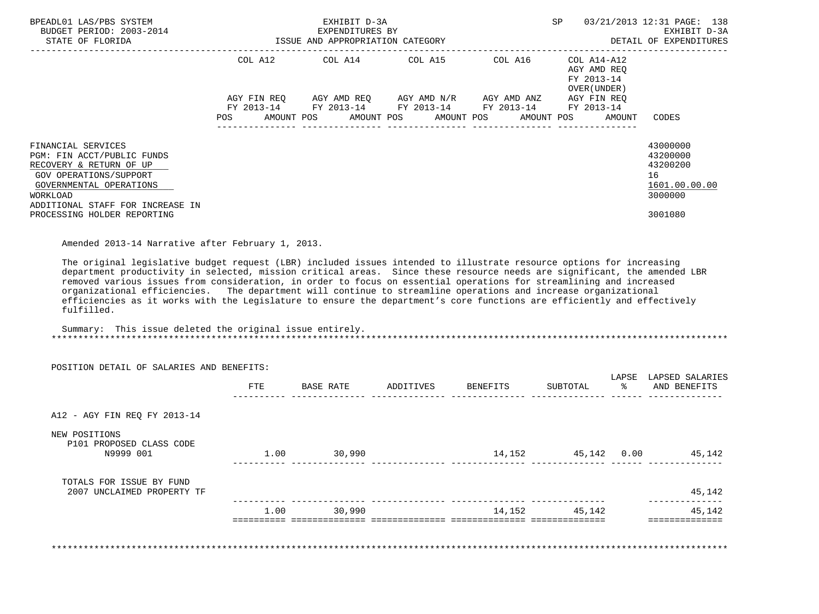| BPEADL01 LAS/PBS SYSTEM<br>BUDGET PERIOD: 2003-2014<br>STATE OF FLORIDA                                                                                                          |                                  | EXHIBIT D-3A<br>EXPENDITURES BY<br>ISSUE AND APPROPRIATION CATEGORY |                                                             | <b>SP</b>               | 03/21/2013 12:31 PAGE: 138<br>EXHIBIT D-3A<br>DETAIL OF EXPENDITURES |                                                                    |
|----------------------------------------------------------------------------------------------------------------------------------------------------------------------------------|----------------------------------|---------------------------------------------------------------------|-------------------------------------------------------------|-------------------------|----------------------------------------------------------------------|--------------------------------------------------------------------|
|                                                                                                                                                                                  | COL A12                          | COL A14 COL A15                                                     |                                                             | ------------<br>COL A16 | COL A14-A12<br>AGY AMD REO<br>FY 2013-14<br>OVER (UNDER)             |                                                                    |
|                                                                                                                                                                                  | AGY FIN REO<br>FY 2013-14<br>POS | AMOUNT POS AMOUNT POS AMOUNT POS                                    | AGY AMD REO AGY AMD N/R<br>FY 2013-14 FY 2013-14 FY 2013-14 | AGY AMD ANZ             | AGY FIN REO<br>FY 2013-14<br>AMOUNT POS<br>AMOUNT                    | CODES                                                              |
| FINANCIAL SERVICES<br>PGM: FIN ACCT/PUBLIC FUNDS<br>RECOVERY & RETURN OF UP<br>GOV OPERATIONS/SUPPORT<br>GOVERNMENTAL OPERATIONS<br>WORKLOAD<br>ADDITIONAL STAFF FOR INCREASE IN |                                  |                                                                     |                                                             |                         |                                                                      | 43000000<br>43200000<br>43200200<br>16<br>1601.00.00.00<br>3000000 |
| PROCESSING HOLDER REPORTING                                                                                                                                                      |                                  |                                                                     |                                                             |                         |                                                                      | 3001080                                                            |

Amended 2013-14 Narrative after February 1, 2013.

 The original legislative budget request (LBR) included issues intended to illustrate resource options for increasing department productivity in selected, mission critical areas. Since these resource needs are significant, the amended LBR removed various issues from consideration, in order to focus on essential operations for streamlining and increased organizational efficiencies. The department will continue to streamline operations and increase organizational efficiencies as it works with the Legislature to ensure the department's core functions are efficiently and effectively fulfilled.

 Summary: This issue deleted the original issue entirely. \*\*\*\*\*\*\*\*\*\*\*\*\*\*\*\*\*\*\*\*\*\*\*\*\*\*\*\*\*\*\*\*\*\*\*\*\*\*\*\*\*\*\*\*\*\*\*\*\*\*\*\*\*\*\*\*\*\*\*\*\*\*\*\*\*\*\*\*\*\*\*\*\*\*\*\*\*\*\*\*\*\*\*\*\*\*\*\*\*\*\*\*\*\*\*\*\*\*\*\*\*\*\*\*\*\*\*\*\*\*\*\*\*\*\*\*\*\*\*\*\*\*\*\*\*\*\*

|                                                        | FTE  | BASE RATE | ADDITIVES | BENEFITS | SUBTOTAL    | LAPSE<br>ႜ | LAPSED SALARIES<br>AND BENEFITS |
|--------------------------------------------------------|------|-----------|-----------|----------|-------------|------------|---------------------------------|
| A12 - AGY FIN REQ FY 2013-14                           |      |           |           |          |             |            |                                 |
| NEW POSITIONS<br>P101 PROPOSED CLASS CODE<br>N9999 001 | 1.00 | 30,990    |           | 14,152   | 45,142 0.00 |            | 45,142                          |
| TOTALS FOR ISSUE BY FUND<br>2007 UNCLAIMED PROPERTY TF |      |           |           |          |             |            | 45,142                          |
|                                                        | 1.00 | 30,990    |           | 14,152   | 45,142      |            | 45,142                          |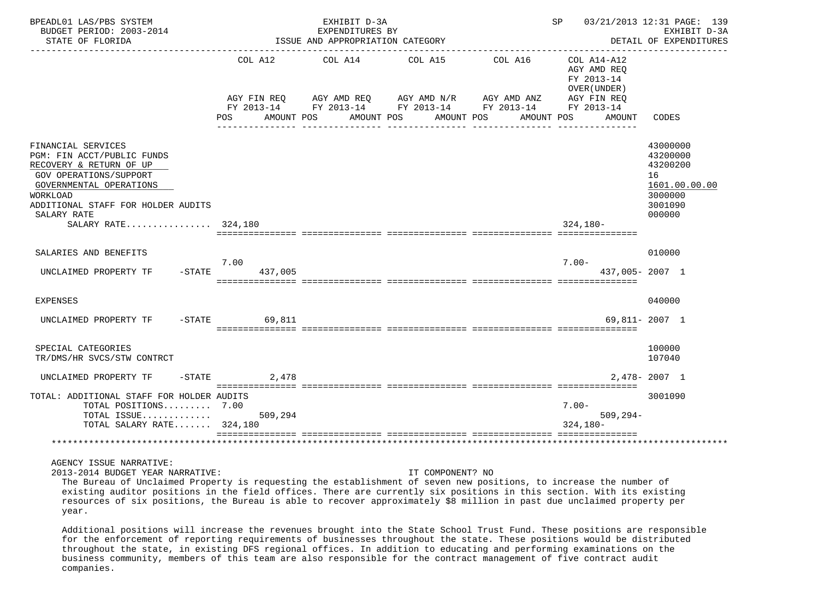| BPEADL01 LAS/PBS SYSTEM<br>BUDGET PERIOD: 2003-2014<br>STATE OF FLORIDA                                                                                                                                  |                                  | EXHIBIT D-3A<br>EXPENDITURES BY<br>ISSUE AND APPROPRIATION CATEGORY | SP                                                                                                          | 03/21/2013 12:31 PAGE: 139<br>EXHIBIT D-3A<br>DETAIL OF EXPENDITURES                    |                                                                                                                    |                                                                                         |
|----------------------------------------------------------------------------------------------------------------------------------------------------------------------------------------------------------|----------------------------------|---------------------------------------------------------------------|-------------------------------------------------------------------------------------------------------------|-----------------------------------------------------------------------------------------|--------------------------------------------------------------------------------------------------------------------|-----------------------------------------------------------------------------------------|
|                                                                                                                                                                                                          | AGY FIN REO<br>POS<br>AMOUNT POS |                                                                     | COL A12 COL A14 COL A15<br>AGY AMD REO AGY AMD N/R AGY AMD ANZ<br>AMOUNT POS<br>AMOUNT POS<br>------------- | COL A16<br>FY 2013-14 FY 2013-14 FY 2013-14 FY 2013-14<br>AMOUNT POS<br>--------------- | COL A14-A12<br>AGY AMD REO<br>FY 2013-14<br>OVER (UNDER)<br>AGY FIN REO<br>FY 2013-14<br>AMOUNT<br>--------------- | CODES                                                                                   |
| FINANCIAL SERVICES<br>PGM: FIN ACCT/PUBLIC FUNDS<br>RECOVERY & RETURN OF UP<br><b>GOV OPERATIONS/SUPPORT</b><br>GOVERNMENTAL OPERATIONS<br>WORKLOAD<br>ADDITIONAL STAFF FOR HOLDER AUDITS<br>SALARY RATE |                                  |                                                                     |                                                                                                             |                                                                                         |                                                                                                                    | 43000000<br>43200000<br>43200200<br>16<br>1601.00.00.00<br>3000000<br>3001090<br>000000 |
| SALARY RATE 324,180                                                                                                                                                                                      |                                  |                                                                     |                                                                                                             |                                                                                         | $324.180 -$                                                                                                        |                                                                                         |
| SALARIES AND BENEFITS<br>UNCLAIMED PROPERTY TF<br>$-$ STATE                                                                                                                                              | 7.00<br>437,005                  |                                                                     |                                                                                                             |                                                                                         | $7.00 -$<br>437,005-2007 1                                                                                         | 010000                                                                                  |
| <b>EXPENSES</b>                                                                                                                                                                                          |                                  |                                                                     |                                                                                                             |                                                                                         |                                                                                                                    | 040000                                                                                  |
| UNCLAIMED PROPERTY TF                                                                                                                                                                                    | $-STATE$<br>69,811               |                                                                     |                                                                                                             |                                                                                         |                                                                                                                    | 69,811- 2007 1                                                                          |
| SPECIAL CATEGORIES<br>TR/DMS/HR SVCS/STW CONTRCT                                                                                                                                                         |                                  |                                                                     |                                                                                                             |                                                                                         |                                                                                                                    | 100000<br>107040                                                                        |
| UNCLAIMED PROPERTY TF<br>$-$ STATE                                                                                                                                                                       | 2,478                            |                                                                     |                                                                                                             |                                                                                         |                                                                                                                    | $2.478 - 2007$ 1                                                                        |
| TOTAL: ADDITIONAL STAFF FOR HOLDER AUDITS<br>TOTAL POSITIONS 7.00<br>TOTAL ISSUE<br>TOTAL SALARY RATE 324,180                                                                                            | 509,294                          |                                                                     |                                                                                                             |                                                                                         | $7.00 -$<br>$509, 294 -$<br>$324.180 -$                                                                            | 3001090                                                                                 |
|                                                                                                                                                                                                          |                                  |                                                                     |                                                                                                             |                                                                                         |                                                                                                                    |                                                                                         |

2013-2014 BUDGET YEAR NARRATIVE: IT COMPONENT? NO

 The Bureau of Unclaimed Property is requesting the establishment of seven new positions, to increase the number of existing auditor positions in the field offices. There are currently six positions in this section. With its existing resources of six positions, the Bureau is able to recover approximately \$8 million in past due unclaimed property per year.

 Additional positions will increase the revenues brought into the State School Trust Fund. These positions are responsible for the enforcement of reporting requirements of businesses throughout the state. These positions would be distributed throughout the state, in existing DFS regional offices. In addition to educating and performing examinations on the business community, members of this team are also responsible for the contract management of five contract audit companies.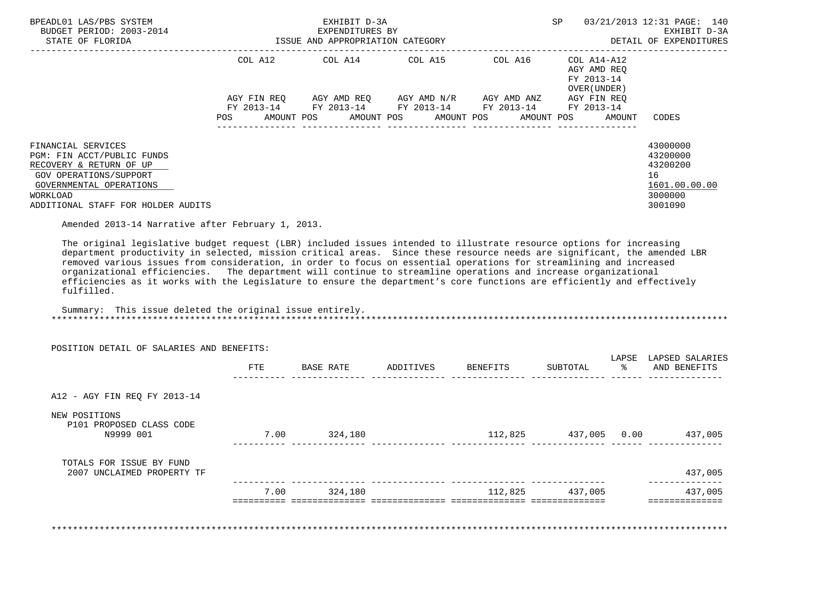| BPEADL01 LAS/PBS SYSTEM<br>BUDGET PERIOD: 2003-2014<br>STATE OF FLORIDA                                                                                                                                                                                                                                                                                                                                                                                                                                                                                                                                                                                                                                                                             | EXHIBIT D-3A<br>EXPENDITURES BY<br>ISSUE AND APPROPRIATION CATEGORY |                                                                                                                                                                                                                                          |            |                                      |                                                                         |        | 03/21/2013 12:31 PAGE: 140<br>EXHIBIT D-3A<br>DETAIL OF EXPENDITURES          |
|-----------------------------------------------------------------------------------------------------------------------------------------------------------------------------------------------------------------------------------------------------------------------------------------------------------------------------------------------------------------------------------------------------------------------------------------------------------------------------------------------------------------------------------------------------------------------------------------------------------------------------------------------------------------------------------------------------------------------------------------------------|---------------------------------------------------------------------|------------------------------------------------------------------------------------------------------------------------------------------------------------------------------------------------------------------------------------------|------------|--------------------------------------|-------------------------------------------------------------------------|--------|-------------------------------------------------------------------------------|
|                                                                                                                                                                                                                                                                                                                                                                                                                                                                                                                                                                                                                                                                                                                                                     | POS                                                                 | COL A12 COL A14 COL A15 COL A16<br>$AGY \text{ FIN REQ} \qquad \text{AGY AMD REQ} \qquad \text{AGY AMD N/R} \qquad \text{AGY AMD ANZ} \qquad \text{AGY FIN REQ}$<br>FY 2013-14 FY 2013-14 FY 2013-14 FY 2013-14 FY 2013-14<br>AMOUNT POS | AMOUNT POS | AMOUNT POS                           | COL A14-A12<br>AGY AMD REO<br>FY 2013-14<br>OVER (UNDER )<br>AMOUNT POS | AMOUNT | CODES                                                                         |
| FINANCIAL SERVICES<br>PGM: FIN ACCT/PUBLIC FUNDS<br>RECOVERY & RETURN OF UP<br>GOV OPERATIONS/SUPPORT<br>GOVERNMENTAL OPERATIONS<br>WORKLOAD<br>ADDITIONAL STAFF FOR HOLDER AUDITS                                                                                                                                                                                                                                                                                                                                                                                                                                                                                                                                                                  |                                                                     |                                                                                                                                                                                                                                          |            |                                      |                                                                         |        | 43000000<br>43200000<br>43200200<br>16<br>1601.00.00.00<br>3000000<br>3001090 |
| Amended 2013-14 Narrative after February 1, 2013.<br>The original legislative budget request (LBR) included issues intended to illustrate resource options for increasing<br>department productivity in selected, mission critical areas. Since these resource needs are significant, the amended LBR<br>removed various issues from consideration, in order to focus on essential operations for streamlining and increased<br>organizational efficiencies. The department will continue to streamline operations and increase organizational<br>efficiencies as it works with the Legislature to ensure the department's core functions are efficiently and effectively<br>fulfilled.<br>Summary: This issue deleted the original issue entirely. |                                                                     |                                                                                                                                                                                                                                          |            |                                      |                                                                         |        |                                                                               |
| POSITION DETAIL OF SALARIES AND BENEFITS:                                                                                                                                                                                                                                                                                                                                                                                                                                                                                                                                                                                                                                                                                                           |                                                                     |                                                                                                                                                                                                                                          |            |                                      |                                                                         |        | LAPSE LAPSED SALARIES                                                         |
|                                                                                                                                                                                                                                                                                                                                                                                                                                                                                                                                                                                                                                                                                                                                                     | FTE                                                                 | BASE RATE ADDITIVES BENEFITS                                                                                                                                                                                                             |            |                                      | SUBTOTAL                                                                |        | % AND BENEFITS                                                                |
| A12 - AGY FIN REQ FY 2013-14                                                                                                                                                                                                                                                                                                                                                                                                                                                                                                                                                                                                                                                                                                                        |                                                                     |                                                                                                                                                                                                                                          |            |                                      |                                                                         |        |                                                                               |
| NEW POSITIONS<br>P101 PROPOSED CLASS CODE<br>N9999 001                                                                                                                                                                                                                                                                                                                                                                                                                                                                                                                                                                                                                                                                                              |                                                                     | 7.00 324,180                                                                                                                                                                                                                             |            | $112,825$ $437,005$ $0.00$ $437,005$ |                                                                         |        |                                                                               |

| TOTALS FOR ISSUE BY FUND      |                        |         |         |         |         |
|-------------------------------|------------------------|---------|---------|---------|---------|
| 2007<br>UNCLAIMED PROPERTY TF |                        |         |         |         | 437,005 |
|                               |                        |         |         |         |         |
|                               | .00.<br>$\overline{ }$ | 324,180 | 112,825 | 437,005 | 437,005 |
|                               |                        |         |         |         |         |
|                               |                        |         |         |         |         |

\*\*\*\*\*\*\*\*\*\*\*\*\*\*\*\*\*\*\*\*\*\*\*\*\*\*\*\*\*\*\*\*\*\*\*\*\*\*\*\*\*\*\*\*\*\*\*\*\*\*\*\*\*\*\*\*\*\*\*\*\*\*\*\*\*\*\*\*\*\*\*\*\*\*\*\*\*\*\*\*\*\*\*\*\*\*\*\*\*\*\*\*\*\*\*\*\*\*\*\*\*\*\*\*\*\*\*\*\*\*\*\*\*\*\*\*\*\*\*\*\*\*\*\*\*\*\*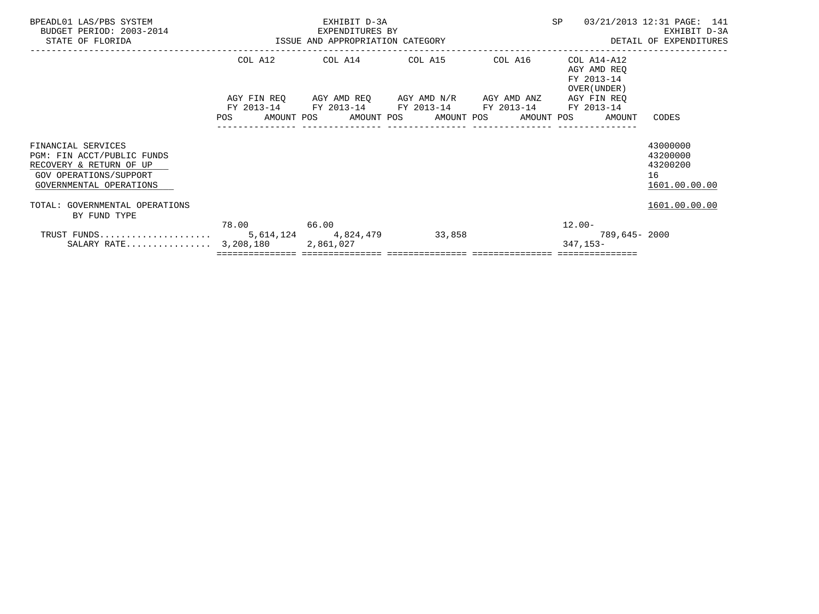| BPEADL01 LAS/PBS SYSTEM<br>BUDGET PERIOD: 2003-2014<br>STATE OF FLORIDA                                                          | EXHIBIT D-3A<br>EXPENDITURES BY<br>ISSUE AND APPROPRIATION CATEGORY |                                                                                                                                    |        |  | <b>SP</b>                                                | 03/21/2013 12:31 PAGE: 141<br>EXHIBIT D-3A<br>DETAIL OF EXPENDITURES |  |
|----------------------------------------------------------------------------------------------------------------------------------|---------------------------------------------------------------------|------------------------------------------------------------------------------------------------------------------------------------|--------|--|----------------------------------------------------------|----------------------------------------------------------------------|--|
|                                                                                                                                  |                                                                     | COL A12 COL A14 COL A15 COL A16                                                                                                    |        |  | COL A14-A12<br>AGY AMD REO<br>FY 2013-14<br>OVER (UNDER) |                                                                      |  |
|                                                                                                                                  | FY 2013-14<br>POS                                                   | AGY FIN REQ AGY AMD REQ AGY AMD N/R AGY AMD ANZ<br>FY 2013-14 FY 2013-14 FY 2013-14<br>AMOUNT POS AMOUNT POS AMOUNT POS AMOUNT POS |        |  | AGY FIN REQ<br>FY 2013-14<br>AMOUNT                      | CODES                                                                |  |
| FINANCIAL SERVICES<br>PGM: FIN ACCT/PUBLIC FUNDS<br>RECOVERY & RETURN OF UP<br>GOV OPERATIONS/SUPPORT<br>GOVERNMENTAL OPERATIONS |                                                                     |                                                                                                                                    |        |  |                                                          | 43000000<br>43200000<br>43200200<br>16<br>1601.00.00.00              |  |
| TOTAL: GOVERNMENTAL OPERATIONS<br>BY FUND TYPE                                                                                   |                                                                     |                                                                                                                                    |        |  |                                                          | 1601.00.00.00                                                        |  |
| SALARY RATE $3,208,180$                                                                                                          | 78.00 66.00                                                         | 2,861,027                                                                                                                          | 33,858 |  | $12.00 -$<br>789,645- 2000<br>347,153-                   |                                                                      |  |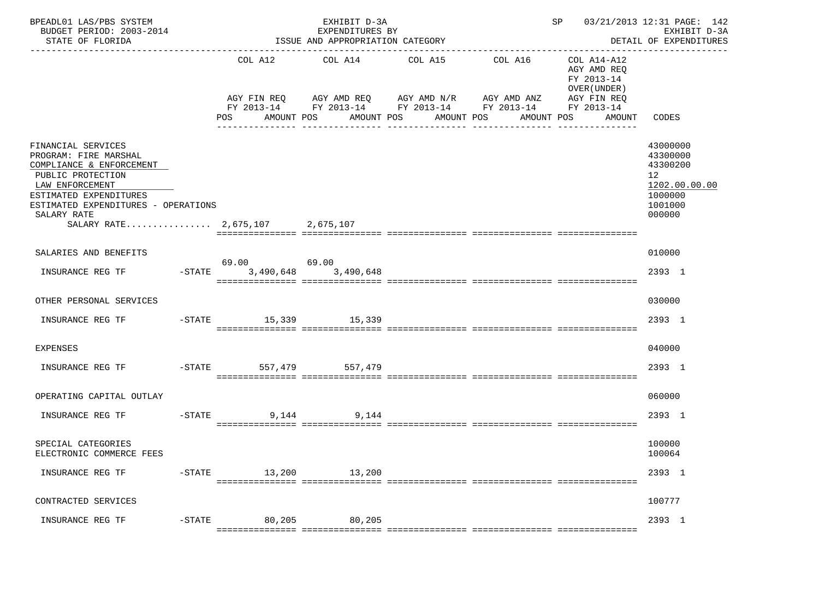| BPEADL01 LAS/PBS SYSTEM<br>BUDGET PERIOD: 2003-2014<br>STATE OF FLORIDA                                                                                                                                                            |           |                              | EXHIBIT D-3A<br>EXPENDITURES BY<br>ISSUE AND APPROPRIATION CATEGORY<br>------------------------- |                                                                                                                         | ----------------------------------- | SP 03/21/2013 12:31 PAGE: 142                                                                   | EXHIBIT D-3A<br>DETAIL OF EXPENDITURES                                                  |
|------------------------------------------------------------------------------------------------------------------------------------------------------------------------------------------------------------------------------------|-----------|------------------------------|--------------------------------------------------------------------------------------------------|-------------------------------------------------------------------------------------------------------------------------|-------------------------------------|-------------------------------------------------------------------------------------------------|-----------------------------------------------------------------------------------------|
|                                                                                                                                                                                                                                    |           | COL A12<br>POS<br>AMOUNT POS | COL A14<br>AMOUNT POS                                                                            | COL A15<br>AGY FIN REQ AGY AMD REQ AGY AMD N/R AGY AMD ANZ<br>FY 2013-14 FY 2013-14 FY 2013-14 FY 2013-14<br>AMOUNT POS | COL A16<br>AMOUNT POS               | COL A14-A12<br>AGY AMD REQ<br>FY 2013-14<br>OVER (UNDER)<br>AGY FIN REQ<br>FY 2013-14<br>AMOUNT | CODES                                                                                   |
| FINANCIAL SERVICES<br>PROGRAM: FIRE MARSHAL<br>COMPLIANCE & ENFORCEMENT<br>PUBLIC PROTECTION<br>LAW ENFORCEMENT<br>ESTIMATED EXPENDITURES<br>ESTIMATED EXPENDITURES - OPERATIONS<br>SALARY RATE<br>SALARY RATE 2,675,107 2,675,107 |           |                              |                                                                                                  |                                                                                                                         |                                     |                                                                                                 | 43000000<br>43300000<br>43300200<br>12<br>1202.00.00.00<br>1000000<br>1001000<br>000000 |
|                                                                                                                                                                                                                                    |           |                              |                                                                                                  |                                                                                                                         |                                     |                                                                                                 |                                                                                         |
| SALARIES AND BENEFITS                                                                                                                                                                                                              |           | 69.00 69.00                  |                                                                                                  |                                                                                                                         |                                     |                                                                                                 | 010000                                                                                  |
| INSURANCE REG TF                                                                                                                                                                                                                   | $-$ STATE | 3,490,648                    | 3,490,648                                                                                        |                                                                                                                         |                                     |                                                                                                 | 2393 1                                                                                  |
| OTHER PERSONAL SERVICES                                                                                                                                                                                                            |           |                              |                                                                                                  |                                                                                                                         |                                     |                                                                                                 | 030000                                                                                  |
| INSURANCE REG TF                                                                                                                                                                                                                   |           | $-$ STATE                    | 15,339 15,339                                                                                    |                                                                                                                         |                                     |                                                                                                 | 2393 1                                                                                  |
| <b>EXPENSES</b>                                                                                                                                                                                                                    |           |                              |                                                                                                  |                                                                                                                         |                                     |                                                                                                 | 040000                                                                                  |
| INSURANCE REG TF                                                                                                                                                                                                                   |           | $-$ STATE                    | 557,479 557,479                                                                                  |                                                                                                                         |                                     |                                                                                                 | 2393 1                                                                                  |
| OPERATING CAPITAL OUTLAY                                                                                                                                                                                                           |           |                              |                                                                                                  |                                                                                                                         |                                     |                                                                                                 | 060000                                                                                  |
| INSURANCE REG TF                                                                                                                                                                                                                   | $-$ STATE | 9,144                        | 9,144                                                                                            |                                                                                                                         |                                     |                                                                                                 | 2393 1                                                                                  |
| SPECIAL CATEGORIES<br>ELECTRONIC COMMERCE FEES                                                                                                                                                                                     |           |                              |                                                                                                  |                                                                                                                         |                                     |                                                                                                 | 100000<br>100064                                                                        |
| INSURANCE REG TF                                                                                                                                                                                                                   | $-$ STATE | 13,200                       | 13,200                                                                                           |                                                                                                                         |                                     |                                                                                                 | 2393 1                                                                                  |
| CONTRACTED SERVICES                                                                                                                                                                                                                |           |                              |                                                                                                  |                                                                                                                         |                                     |                                                                                                 | 100777                                                                                  |
| INSURANCE REG TF                                                                                                                                                                                                                   | $-$ STATE | 80,205                       | 80,205                                                                                           |                                                                                                                         |                                     |                                                                                                 | 2393 1                                                                                  |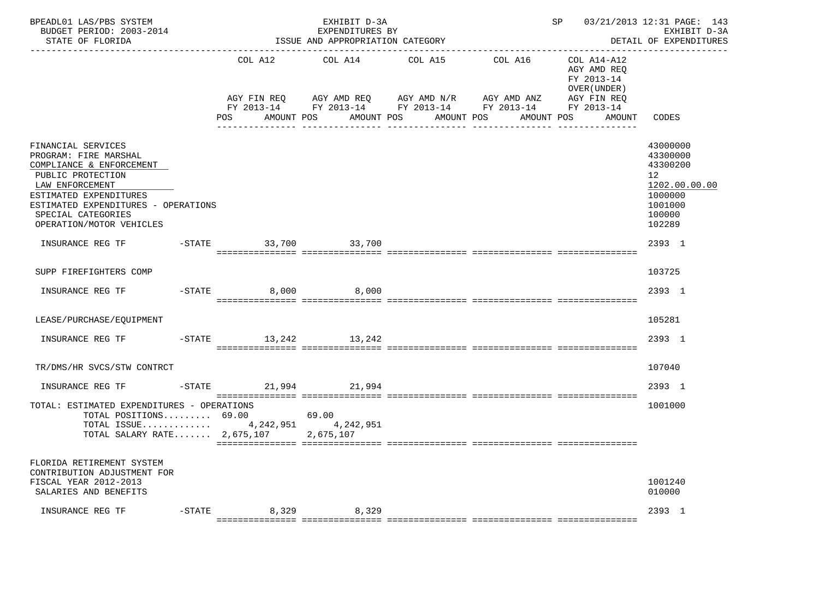| BPEADL01 LAS/PBS SYSTEM<br>BUDGET PERIOD: 2003-2014<br>STATE OF FLORIDA                                                                                                                                                            |                        | EXHIBIT D-3A<br>EXPENDITURES BY<br>ISSUE AND APPROPRIATION CATEGORY | --------------------------------                                                                                                  | SP 03/21/2013 12:31 PAGE: 143                                            | EXHIBIT D-3A<br>DETAIL OF EXPENDITURES                                                                          |
|------------------------------------------------------------------------------------------------------------------------------------------------------------------------------------------------------------------------------------|------------------------|---------------------------------------------------------------------|-----------------------------------------------------------------------------------------------------------------------------------|--------------------------------------------------------------------------|-----------------------------------------------------------------------------------------------------------------|
|                                                                                                                                                                                                                                    | COL A12<br>AGY FIN REO | COL A14                                                             | COL A16<br>COL A15<br>AGY AMD REQ        AGY AMD N/R        AGY AMD ANZ<br>FY 2013-14 FY 2013-14 FY 2013-14 FY 2013-14 FY 2013-14 | COL A14-A12<br>AGY AMD REQ<br>FY 2013-14<br>OVER (UNDER )<br>AGY FIN REO |                                                                                                                 |
|                                                                                                                                                                                                                                    | POS AMOUNT POS         |                                                                     | AMOUNT POS AMOUNT POS<br>AMOUNT POS                                                                                               | AMOUNT                                                                   | CODES                                                                                                           |
| FINANCIAL SERVICES<br>PROGRAM: FIRE MARSHAL<br>COMPLIANCE & ENFORCEMENT<br>PUBLIC PROTECTION<br>LAW ENFORCEMENT<br>ESTIMATED EXPENDITURES<br>ESTIMATED EXPENDITURES - OPERATIONS<br>SPECIAL CATEGORIES<br>OPERATION/MOTOR VEHICLES |                        |                                                                     |                                                                                                                                   |                                                                          | 43000000<br>43300000<br>43300200<br>12 <sup>12</sup><br>1202.00.00.00<br>1000000<br>1001000<br>100000<br>102289 |
| INSURANCE REG TF                                                                                                                                                                                                                   | -STATE 33,700 33,700   |                                                                     |                                                                                                                                   |                                                                          | 2393 1                                                                                                          |
| SUPP FIREFIGHTERS COMP                                                                                                                                                                                                             |                        |                                                                     |                                                                                                                                   |                                                                          | 103725                                                                                                          |
| INSURANCE REG TF                                                                                                                                                                                                                   | $-STATE$ 8,000 8,000   |                                                                     |                                                                                                                                   |                                                                          | 2393 1                                                                                                          |
| LEASE/PURCHASE/EOUIPMENT                                                                                                                                                                                                           |                        |                                                                     |                                                                                                                                   |                                                                          | 105281                                                                                                          |
| INSURANCE REG TF                                                                                                                                                                                                                   | -STATE 13, 242 13, 242 |                                                                     |                                                                                                                                   |                                                                          | 2393 1                                                                                                          |
| TR/DMS/HR SVCS/STW CONTRCT                                                                                                                                                                                                         |                        |                                                                     |                                                                                                                                   |                                                                          | 107040                                                                                                          |
| INSURANCE REG TF                                                                                                                                                                                                                   | -STATE 21,994 21,994   |                                                                     |                                                                                                                                   |                                                                          | 2393 1                                                                                                          |
| TOTAL: ESTIMATED EXPENDITURES - OPERATIONS<br>TOTAL POSITIONS $69.00$ 69.00<br>TOTAL ISSUE 4, 242, 951 4, 242, 951<br>TOTAL SALARY RATE $2,675,107$                                                                                |                        | 2,675,107                                                           |                                                                                                                                   |                                                                          | 1001000                                                                                                         |
| FLORIDA RETIREMENT SYSTEM<br>CONTRIBUTION ADJUSTMENT FOR<br>FISCAL YEAR 2012-2013<br>SALARIES AND BENEFITS                                                                                                                         |                        |                                                                     |                                                                                                                                   |                                                                          | 1001240<br>010000                                                                                               |
| INSURANCE REG TF                                                                                                                                                                                                                   | -STATE 8,329 8,329     |                                                                     |                                                                                                                                   |                                                                          | 2393 1                                                                                                          |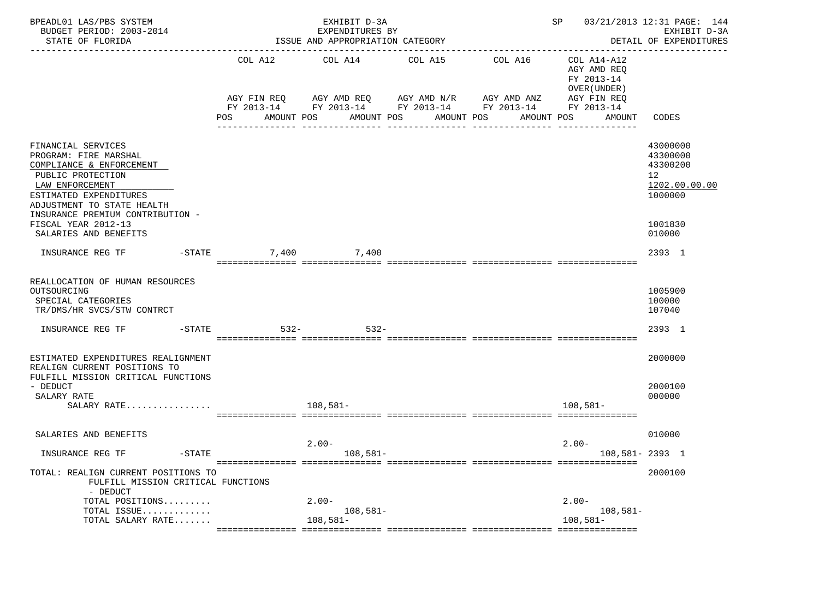| BPEADL01 LAS/PBS SYSTEM<br>BUDGET PERIOD: 2003-2014<br>STATE OF FLORIDA                                                                                                 |                   | EXHIBIT D-3A<br>EXPENDITURES BY<br>ISSUE AND APPROPRIATION CATEGORY |                                                                                                       |            | SP                                                                                    | 03/21/2013 12:31 PAGE: 144<br>EXHIBIT D-3A<br>DETAIL OF EXPENDITURES<br>______________ |
|-------------------------------------------------------------------------------------------------------------------------------------------------------------------------|-------------------|---------------------------------------------------------------------|-------------------------------------------------------------------------------------------------------|------------|---------------------------------------------------------------------------------------|----------------------------------------------------------------------------------------|
|                                                                                                                                                                         | COL A12           | COL A14 COL A15                                                     | AGY FIN REQ 6 AGY AMD REQ 6 AGY AMD N/R 66 AGY AMD ANZ<br>FY 2013-14 FY 2013-14 FY 2013-14 FY 2013-14 | COL A16    | COL A14-A12<br>AGY AMD REQ<br>FY 2013-14<br>OVER (UNDER)<br>AGY FIN REQ<br>FY 2013-14 |                                                                                        |
|                                                                                                                                                                         | POS<br>AMOUNT POS |                                                                     | AMOUNT POS<br>AMOUNT POS<br>---------------                                                           | AMOUNT POS | AMOUNT                                                                                | <b>CODES</b>                                                                           |
| FINANCIAL SERVICES<br>PROGRAM: FIRE MARSHAL<br>COMPLIANCE & ENFORCEMENT<br>PUBLIC PROTECTION<br>LAW ENFORCEMENT<br>ESTIMATED EXPENDITURES<br>ADJUSTMENT TO STATE HEALTH |                   |                                                                     |                                                                                                       |            |                                                                                       | 43000000<br>43300000<br>43300200<br>12<br>1202.00.00.00<br>1000000                     |
| INSURANCE PREMIUM CONTRIBUTION -<br>FISCAL YEAR 2012-13<br>SALARIES AND BENEFITS                                                                                        |                   |                                                                     |                                                                                                       |            |                                                                                       | 1001830<br>010000                                                                      |
| INSURANCE REG TF<br>$-\mathtt{STATE}$                                                                                                                                   |                   | 7,400 7,400                                                         |                                                                                                       |            |                                                                                       | 2393 1                                                                                 |
| REALLOCATION OF HUMAN RESOURCES<br>OUTSOURCING<br>SPECIAL CATEGORIES<br>TR/DMS/HR SVCS/STW CONTRCT<br>$-STATE$<br>INSURANCE REG TF                                      | $532 -$           | $532 -$                                                             |                                                                                                       |            |                                                                                       | 1005900<br>100000<br>107040<br>2393 1                                                  |
|                                                                                                                                                                         |                   |                                                                     |                                                                                                       |            |                                                                                       |                                                                                        |
| ESTIMATED EXPENDITURES REALIGNMENT<br>REALIGN CURRENT POSITIONS TO                                                                                                      |                   |                                                                     |                                                                                                       |            |                                                                                       | 2000000                                                                                |
| FULFILL MISSION CRITICAL FUNCTIONS<br>- DEDUCT<br>SALARY RATE<br>SALARY RATE                                                                                            |                   | $108,581-$                                                          |                                                                                                       |            | $108,581-$                                                                            | 2000100<br>000000                                                                      |
| SALARIES AND BENEFITS                                                                                                                                                   |                   |                                                                     |                                                                                                       |            |                                                                                       | 010000                                                                                 |
| $-STATE$<br>INSURANCE REG TF                                                                                                                                            |                   | $2.00 -$<br>$108,581-$                                              |                                                                                                       |            | $2.00-$<br>108,581-2393 1                                                             |                                                                                        |
| TOTAL: REALIGN CURRENT POSITIONS TO<br>FULFILL MISSION CRITICAL FUNCTIONS<br>- DEDUCT                                                                                   |                   |                                                                     |                                                                                                       |            |                                                                                       | 2000100                                                                                |
| TOTAL POSITIONS<br>TOTAL ISSUE<br>TOTAL SALARY RATE                                                                                                                     |                   | $2.00-$<br>$108,581-$<br>$108,581-$                                 |                                                                                                       |            | $2.00-$<br>$108,581-$<br>$108,581-$                                                   |                                                                                        |
|                                                                                                                                                                         |                   |                                                                     |                                                                                                       |            |                                                                                       |                                                                                        |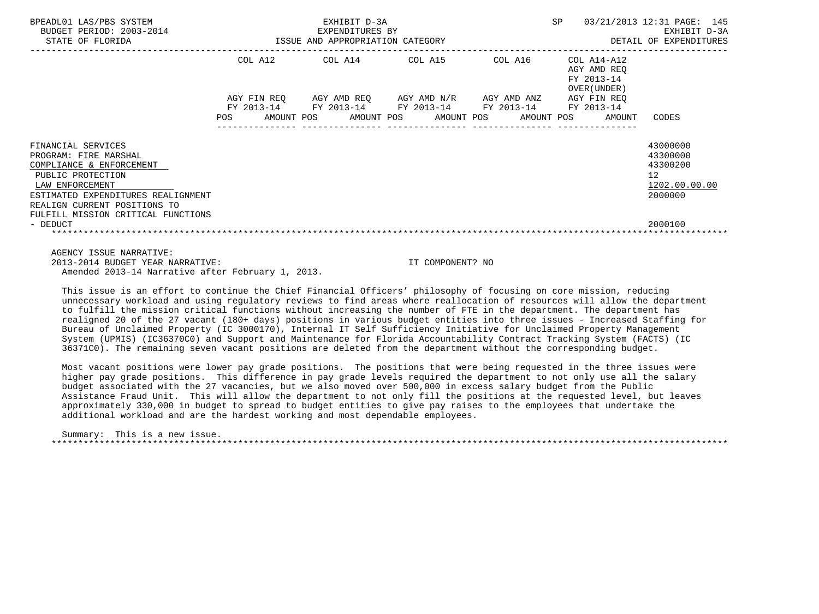| BPEADL01 LAS/PBS SYSTEM<br>BUDGET PERIOD: 2003-2014<br>STATE OF FLORIDA                                                                                                               |     | EXHIBIT D-3A<br>3-2014<br>ISSUE AND APPROPRIATION CATEGORY ISSUE AND APPROPRIATION CATEGORY    |  | SP                                                       | 03/21/2013 12:31 PAGE: 145<br>EXHIBIT D-3A<br>DETAIL OF EXPENDITURES            |
|---------------------------------------------------------------------------------------------------------------------------------------------------------------------------------------|-----|------------------------------------------------------------------------------------------------|--|----------------------------------------------------------|---------------------------------------------------------------------------------|
|                                                                                                                                                                                       |     | COL A12 COL A14 COL A15 COL A16                                                                |  | COL A14-A12<br>AGY AMD REO<br>FY 2013-14<br>OVER (UNDER) |                                                                                 |
|                                                                                                                                                                                       |     | AGY FIN REO AGY AMD REO AGY AMD N/R AGY AMD ANZ<br>FY 2013-14 FY 2013-14 FY 2013-14 FY 2013-14 |  | AGY FIN REO<br>FY 2013-14                                |                                                                                 |
|                                                                                                                                                                                       | POS | AMOUNT POS AMOUNT POS AMOUNT POS AMOUNT POS AMOUNT                                             |  |                                                          | CODES                                                                           |
| FINANCIAL SERVICES<br>PROGRAM: FIRE MARSHAL<br>COMPLIANCE & ENFORCEMENT<br>PUBLIC PROTECTION<br>LAW ENFORCEMENT<br>ESTIMATED EXPENDITURES REALIGNMENT<br>REALIGN CURRENT POSITIONS TO |     |                                                                                                |  |                                                          | 43000000<br>43300000<br>43300200<br>12 <sup>°</sup><br>1202.00.00.00<br>2000000 |
| FULFILL MISSION CRITICAL FUNCTIONS<br>- DEDUCT                                                                                                                                        |     |                                                                                                |  |                                                          | 2000100                                                                         |
| AGENCY ISSUE NARRATIVE:                                                                                                                                                               |     |                                                                                                |  |                                                          |                                                                                 |

 2013-2014 BUDGET YEAR NARRATIVE: IT COMPONENT? NO Amended 2013-14 Narrative after February 1, 2013.

 This issue is an effort to continue the Chief Financial Officers' philosophy of focusing on core mission, reducing unnecessary workload and using regulatory reviews to find areas where reallocation of resources will allow the department to fulfill the mission critical functions without increasing the number of FTE in the department. The department has realigned 20 of the 27 vacant (180+ days) positions in various budget entities into three issues - Increased Staffing for Bureau of Unclaimed Property (IC 3000170), Internal IT Self Sufficiency Initiative for Unclaimed Property Management System (UPMIS) (IC36370C0) and Support and Maintenance for Florida Accountability Contract Tracking System (FACTS) (IC 36371C0). The remaining seven vacant positions are deleted from the department without the corresponding budget.

 Most vacant positions were lower pay grade positions. The positions that were being requested in the three issues were higher pay grade positions. This difference in pay grade levels required the department to not only use all the salary budget associated with the 27 vacancies, but we also moved over 500,000 in excess salary budget from the Public Assistance Fraud Unit. This will allow the department to not only fill the positions at the requested level, but leaves approximately 330,000 in budget to spread to budget entities to give pay raises to the employees that undertake the additional workload and are the hardest working and most dependable employees.

 Summary: This is a new issue. \*\*\*\*\*\*\*\*\*\*\*\*\*\*\*\*\*\*\*\*\*\*\*\*\*\*\*\*\*\*\*\*\*\*\*\*\*\*\*\*\*\*\*\*\*\*\*\*\*\*\*\*\*\*\*\*\*\*\*\*\*\*\*\*\*\*\*\*\*\*\*\*\*\*\*\*\*\*\*\*\*\*\*\*\*\*\*\*\*\*\*\*\*\*\*\*\*\*\*\*\*\*\*\*\*\*\*\*\*\*\*\*\*\*\*\*\*\*\*\*\*\*\*\*\*\*\*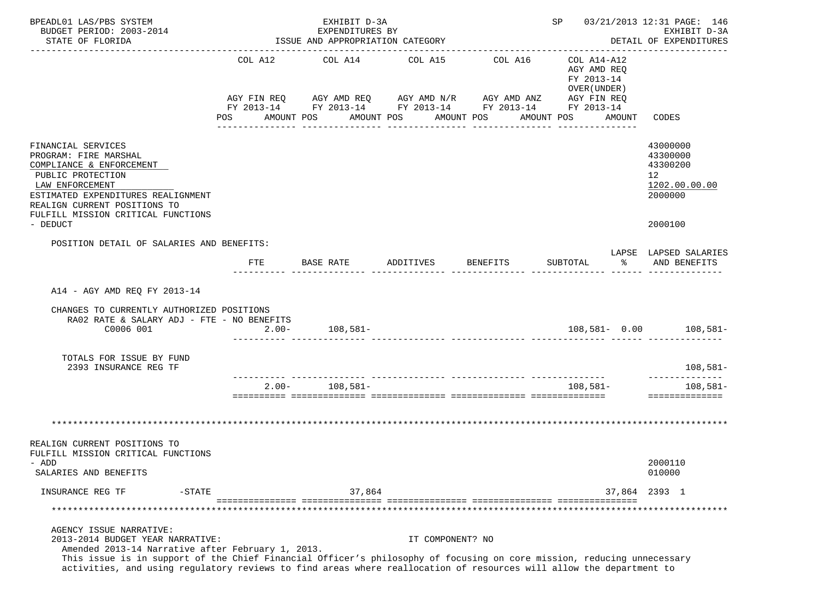| BPEADL01 LAS/PBS SYSTEM<br>BUDGET PERIOD: 2003-2014                                                                                                                                                                                                                                                                                                               |                | EXHIBIT D-3A<br>EXPENDITURES BY                                                                                                                  |                       |                                 |                                                                                        | SP 03/21/2013 12:31 PAGE: 146<br>EXHIBIT D-3A                                 |  |  |
|-------------------------------------------------------------------------------------------------------------------------------------------------------------------------------------------------------------------------------------------------------------------------------------------------------------------------------------------------------------------|----------------|--------------------------------------------------------------------------------------------------------------------------------------------------|-----------------------|---------------------------------|----------------------------------------------------------------------------------------|-------------------------------------------------------------------------------|--|--|
| STATE OF FLORIDA                                                                                                                                                                                                                                                                                                                                                  |                | ISSUE AND APPROPRIATION CATEGORY                                                                                                                 |                       |                                 | DETAIL OF EXPENDITURES                                                                 |                                                                               |  |  |
|                                                                                                                                                                                                                                                                                                                                                                   | POS AMOUNT POS | COL A12 COL A14 COL A15<br>AGY FIN REQ AGY AMD REQ AGY AMD N/R AGY AMD ANZ AGY FIN REQ<br>FY 2013-14 FY 2013-14 FY 2013-14 FY 2013-14 FY 2013-14 | AMOUNT POS AMOUNT POS | COL A16                         | COL A14-A12<br>AGY AMD REO<br>FY 2013-14<br>OVER (UNDER)<br>AMOUNT POS<br>AMOUNT CODES |                                                                               |  |  |
| FINANCIAL SERVICES<br>PROGRAM: FIRE MARSHAL<br>COMPLIANCE & ENFORCEMENT<br>PUBLIC PROTECTION<br>LAW ENFORCEMENT<br>ESTIMATED EXPENDITURES REALIGNMENT<br>REALIGN CURRENT POSITIONS TO<br>FULFILL MISSION CRITICAL FUNCTIONS<br>- DEDUCT                                                                                                                           |                |                                                                                                                                                  |                       |                                 |                                                                                        | 43000000<br>43300000<br>43300200<br>12<br>1202.00.00.00<br>2000000<br>2000100 |  |  |
| POSITION DETAIL OF SALARIES AND BENEFITS:                                                                                                                                                                                                                                                                                                                         |                |                                                                                                                                                  |                       |                                 |                                                                                        |                                                                               |  |  |
|                                                                                                                                                                                                                                                                                                                                                                   | FTE            | BASE RATE                                                                                                                                        | ADDITIVES             | BENEFITS                        | SUBTOTAL<br>ႜႂ                                                                         | LAPSE LAPSED SALARIES<br>AND BENEFITS                                         |  |  |
| CHANGES TO CURRENTLY AUTHORIZED POSITIONS<br>RA02 RATE & SALARY ADJ - FTE - NO BENEFITS<br>C0006 001                                                                                                                                                                                                                                                              | $2.00 -$       | $108,581-$                                                                                                                                       |                       |                                 |                                                                                        | 108,581- 0.00 108,581-                                                        |  |  |
| TOTALS FOR ISSUE BY FUND<br>2393 INSURANCE REG TF                                                                                                                                                                                                                                                                                                                 |                |                                                                                                                                                  |                       |                                 |                                                                                        | $108,581-$                                                                    |  |  |
|                                                                                                                                                                                                                                                                                                                                                                   |                | _____ _______________ ________________<br>$2.00 - 108,581 -$                                                                                     |                       | _______________________________ | 108,581–                                                                               | ______________<br>$108,581-$<br>==============                                |  |  |
| REALIGN CURRENT POSITIONS TO<br>FULFILL MISSION CRITICAL FUNCTIONS                                                                                                                                                                                                                                                                                                |                |                                                                                                                                                  |                       |                                 |                                                                                        |                                                                               |  |  |
| - ADD<br>SALARIES AND BENEFITS                                                                                                                                                                                                                                                                                                                                    |                |                                                                                                                                                  |                       |                                 |                                                                                        | 2000110<br>010000                                                             |  |  |
| INSURANCE REG TF<br>$-STATE$                                                                                                                                                                                                                                                                                                                                      |                | 37,864                                                                                                                                           |                       |                                 |                                                                                        | 37,864 2393 1                                                                 |  |  |
|                                                                                                                                                                                                                                                                                                                                                                   |                |                                                                                                                                                  |                       |                                 |                                                                                        |                                                                               |  |  |
| AGENCY ISSUE NARRATIVE:<br>2013-2014 BUDGET YEAR NARRATIVE:<br>Amended 2013-14 Narrative after February 1, 2013.<br>This issue is in support of the Chief Financial Officer's philosophy of focusing on core mission, reducing unnecessary<br>activities, and using regulatory reviews to find areas where reallocation of resources will allow the department to |                |                                                                                                                                                  | IT COMPONENT? NO      |                                 |                                                                                        |                                                                               |  |  |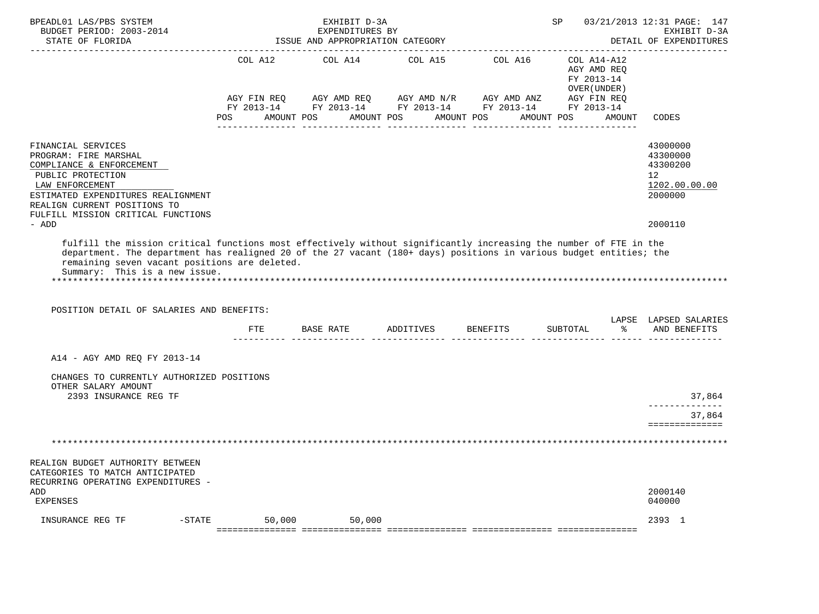| BPEADL01 LAS/PBS SYSTEM<br>BUDGET PERIOD: 2003-2014<br>STATE OF FLORIDA                                                                                                                                                                                                                                                                                                |                       | EXHIBIT D-3A<br>EXPENDITURES BY<br>ISSUE AND APPROPRIATION CATEGORY                                                                            |                       |                 | SP and the set of the set of the set of the set of the set of the set of the set of the set of the set of the set of the set of the set of the set of the set of the set of the set of the set of the set of the set of the se | 03/21/2013 12:31 PAGE: 147<br>EXHIBIT D-3A<br>DETAIL OF EXPENDITURES                       |
|------------------------------------------------------------------------------------------------------------------------------------------------------------------------------------------------------------------------------------------------------------------------------------------------------------------------------------------------------------------------|-----------------------|------------------------------------------------------------------------------------------------------------------------------------------------|-----------------------|-----------------|--------------------------------------------------------------------------------------------------------------------------------------------------------------------------------------------------------------------------------|--------------------------------------------------------------------------------------------|
|                                                                                                                                                                                                                                                                                                                                                                        | COL A12<br><b>POS</b> | COL A14<br>AGY FIN REQ AGY AMD REQ AGY AMD N/R AGY AMD ANZ AGY FIN REQ<br>FY 2013-14 FY 2013-14 FY 2013-14 FY 2013-14 FY 2013-14<br>AMOUNT POS | AMOUNT POS AMOUNT POS | COL A15 COL A16 | COL A14-A12<br>AGY AMD REQ<br>FY 2013-14<br>OVER (UNDER)<br>AMOUNT POS<br>AMOUNT                                                                                                                                               | CODES                                                                                      |
| FINANCIAL SERVICES<br>PROGRAM: FIRE MARSHAL<br>COMPLIANCE & ENFORCEMENT<br>PUBLIC PROTECTION<br>LAW ENFORCEMENT<br>ESTIMATED EXPENDITURES REALIGNMENT<br>REALIGN CURRENT POSITIONS TO<br>FULFILL MISSION CRITICAL FUNCTIONS<br>- ADD                                                                                                                                   |                       |                                                                                                                                                |                       |                 |                                                                                                                                                                                                                                | 43000000<br>43300000<br>43300200<br>12 <sup>°</sup><br>1202.00.00.00<br>2000000<br>2000110 |
| fulfill the mission critical functions most effectively without significantly increasing the number of FTE in the<br>department. The department has realigned 20 of the 27 vacant (180+ days) positions in various budget entities; the<br>remaining seven vacant positions are deleted.<br>Summary: This is a new issue.<br>POSITION DETAIL OF SALARIES AND BENEFITS: |                       |                                                                                                                                                |                       |                 | န္က<br>SUBTOTAL                                                                                                                                                                                                                | LAPSE LAPSED SALARIES<br>AND BENEFITS                                                      |
| A14 - AGY AMD REQ FY 2013-14<br>CHANGES TO CURRENTLY AUTHORIZED POSITIONS                                                                                                                                                                                                                                                                                              |                       |                                                                                                                                                |                       |                 |                                                                                                                                                                                                                                |                                                                                            |
| OTHER SALARY AMOUNT<br>2393 INSURANCE REG TF                                                                                                                                                                                                                                                                                                                           |                       |                                                                                                                                                |                       |                 |                                                                                                                                                                                                                                | 37,864<br>--------------<br>37,864<br>==============                                       |
|                                                                                                                                                                                                                                                                                                                                                                        |                       |                                                                                                                                                |                       |                 |                                                                                                                                                                                                                                |                                                                                            |
| REALIGN BUDGET AUTHORITY BETWEEN<br>CATEGORIES TO MATCH ANTICIPATED<br>RECURRING OPERATING EXPENDITURES -<br>ADD<br>EXPENSES                                                                                                                                                                                                                                           |                       |                                                                                                                                                |                       |                 |                                                                                                                                                                                                                                | 2000140<br>040000                                                                          |
| INSURANCE REG TF<br>$-$ STATE                                                                                                                                                                                                                                                                                                                                          | 50,000                | 50,000                                                                                                                                         |                       |                 |                                                                                                                                                                                                                                | 2393 1                                                                                     |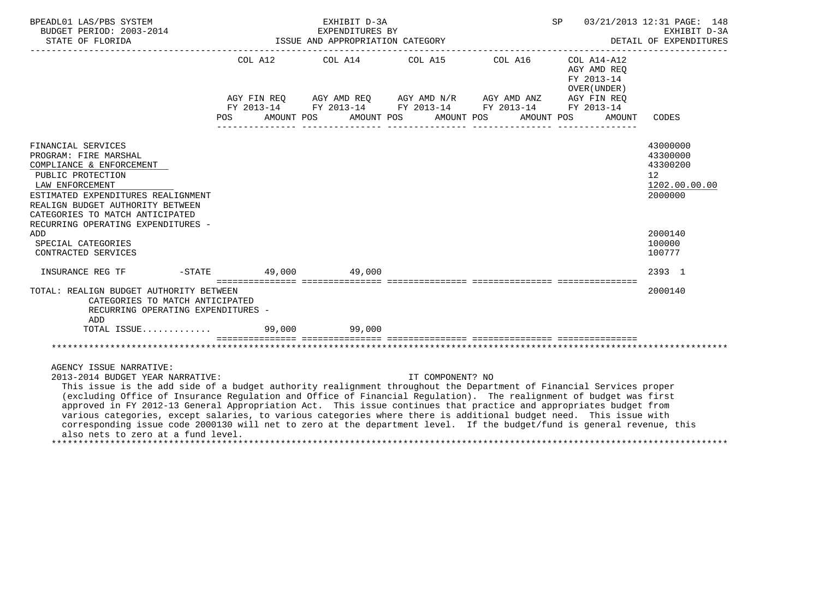| BPEADL01 LAS/PBS SYSTEM<br>BUDGET PERIOD: 2003-2014<br>STATE OF FLORIDA<br>-------------                                                                                                                                                                                                                                                                                                                                                                                                                                                                                                                                                                                                                           | EXHIBIT D-3A<br>EXPENDITURES BY | ISSUE AND APPROPRIATION CATEGORY |                                                                                                                                                                                                                                 | SP                                                  | 03/21/2013 12:31 PAGE: 148<br>EXHIBIT D-3A<br>DETAIL OF EXPENDITURES |
|--------------------------------------------------------------------------------------------------------------------------------------------------------------------------------------------------------------------------------------------------------------------------------------------------------------------------------------------------------------------------------------------------------------------------------------------------------------------------------------------------------------------------------------------------------------------------------------------------------------------------------------------------------------------------------------------------------------------|---------------------------------|----------------------------------|---------------------------------------------------------------------------------------------------------------------------------------------------------------------------------------------------------------------------------|-----------------------------------------------------|----------------------------------------------------------------------|
|                                                                                                                                                                                                                                                                                                                                                                                                                                                                                                                                                                                                                                                                                                                    |                                 |                                  | COL A12 $COL$ A14 $COL$ A15 $COL$ A16 $COL$ A14-A12<br>AGY FIN REQ AGY AMD REQ AGY AMD N/R AGY AMD ANZ AGY FIN REQ<br>FY 2013-14 FY 2013-14 FY 2013-14 FY 2013-14 FY 2013-14<br>POS AMOUNT POS AMOUNT POS AMOUNT POS AMOUNT POS | AGY AMD REO<br>FY 2013-14<br>OVER (UNDER)<br>AMOUNT | CODES                                                                |
| FINANCIAL SERVICES<br>PROGRAM: FIRE MARSHAL<br>COMPLIANCE & ENFORCEMENT<br>PUBLIC PROTECTION<br>LAW ENFORCEMENT<br>ESTIMATED EXPENDITURES REALIGNMENT<br>REALIGN BUDGET AUTHORITY BETWEEN<br>CATEGORIES TO MATCH ANTICIPATED<br>RECURRING OPERATING EXPENDITURES -                                                                                                                                                                                                                                                                                                                                                                                                                                                 |                                 |                                  |                                                                                                                                                                                                                                 |                                                     | 43000000<br>43300000<br>43300200<br>12<br>1202.00.00.00<br>2000000   |
| ADD<br>SPECIAL CATEGORIES<br>CONTRACTED SERVICES                                                                                                                                                                                                                                                                                                                                                                                                                                                                                                                                                                                                                                                                   |                                 |                                  |                                                                                                                                                                                                                                 |                                                     | 2000140<br>100000<br>100777                                          |
| INSURANCE REG TF $-$ STATE 49,000 $49,000$                                                                                                                                                                                                                                                                                                                                                                                                                                                                                                                                                                                                                                                                         |                                 |                                  |                                                                                                                                                                                                                                 |                                                     | 2393 1                                                               |
| TOTAL: REALIGN BUDGET AUTHORITY BETWEEN<br>CATEGORIES TO MATCH ANTICIPATED<br>RECURRING OPERATING EXPENDITURES -<br>ADD<br>TOTAL ISSUE 99,000 99,000                                                                                                                                                                                                                                                                                                                                                                                                                                                                                                                                                               |                                 |                                  |                                                                                                                                                                                                                                 |                                                     | 2000140                                                              |
|                                                                                                                                                                                                                                                                                                                                                                                                                                                                                                                                                                                                                                                                                                                    |                                 |                                  |                                                                                                                                                                                                                                 |                                                     |                                                                      |
| AGENCY ISSUE NARRATIVE:<br>2013-2014 BUDGET YEAR NARRATIVE:<br>This issue is the add side of a budget authority realignment throughout the Department of Financial Services proper<br>(excluding Office of Insurance Regulation and Office of Financial Regulation). The realignment of budget was first<br>approved in FY 2012-13 General Appropriation Act. This issue continues that practice and appropriates budget from<br>various categories, except salaries, to various categories where there is additional budget need. This issue with<br>corresponding issue code 2000130 will net to zero at the department level. If the budget/fund is general revenue, this<br>also nets to zero at a fund level. |                                 | IT COMPONENT? NO                 |                                                                                                                                                                                                                                 |                                                     |                                                                      |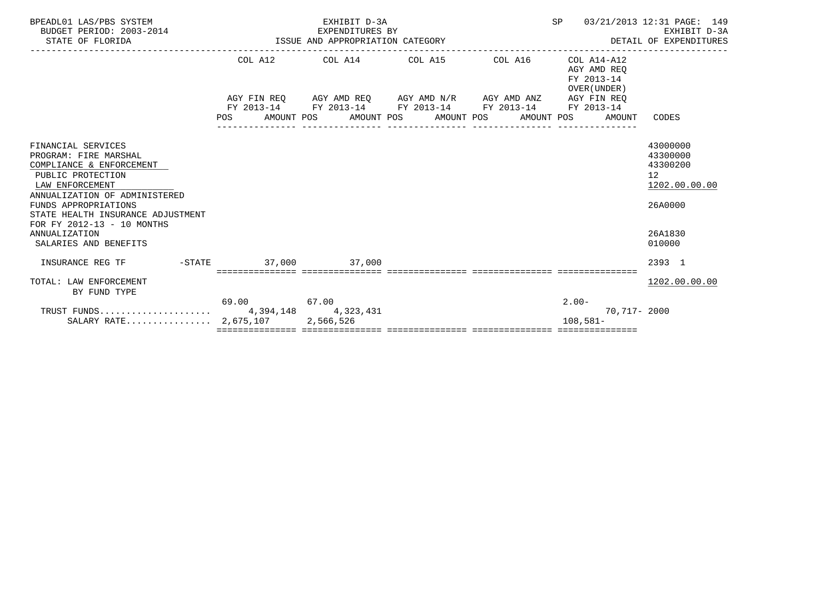| BPEADL01 LAS/PBS SYSTEM<br>BUDGET PERIOD: 2003-2014<br>STATE OF FLORIDA | EXHIBIT D-3A<br>SP<br>EXPENDITURES BY<br>ISSUE AND APPROPRIATION CATEGORY<br>____________________________________ |  |  |                                                         |  |  |  |                                                             | 03/21/2013 12:31 PAGE: 149<br>EXHIBIT D-3A<br>DETAIL OF EXPENDITURES |                                                          |                 |
|-------------------------------------------------------------------------|-------------------------------------------------------------------------------------------------------------------|--|--|---------------------------------------------------------|--|--|--|-------------------------------------------------------------|----------------------------------------------------------------------|----------------------------------------------------------|-----------------|
|                                                                         |                                                                                                                   |  |  |                                                         |  |  |  | COL A12 COL A14 COL A15 COL A16                             |                                                                      | COL A14-A12<br>AGY AMD REO<br>FY 2013-14<br>OVER (UNDER) |                 |
|                                                                         |                                                                                                                   |  |  |                                                         |  |  |  | AGY FIN REQ AGY AMD REQ AGY AMD N/R AGY AMD ANZ AGY FIN REQ |                                                                      |                                                          |                 |
|                                                                         |                                                                                                                   |  |  |                                                         |  |  |  | FY 2013-14 FY 2013-14 FY 2013-14 FY 2013-14 FY 2013-14      |                                                                      |                                                          |                 |
|                                                                         |                                                                                                                   |  |  | POS AMOUNT POS AMOUNT POS AMOUNT POS<br>_______________ |  |  |  | AMOUNT POS                                                  |                                                                      | AMOUNT                                                   | CODES           |
|                                                                         |                                                                                                                   |  |  |                                                         |  |  |  |                                                             |                                                                      |                                                          |                 |
| FINANCIAL SERVICES                                                      |                                                                                                                   |  |  |                                                         |  |  |  |                                                             |                                                                      |                                                          | 43000000        |
| PROGRAM: FIRE MARSHAL                                                   |                                                                                                                   |  |  |                                                         |  |  |  |                                                             |                                                                      |                                                          | 43300000        |
| COMPLIANCE & ENFORCEMENT                                                |                                                                                                                   |  |  |                                                         |  |  |  |                                                             |                                                                      |                                                          | 43300200        |
| PUBLIC PROTECTION                                                       |                                                                                                                   |  |  |                                                         |  |  |  |                                                             |                                                                      |                                                          | 12 <sup>°</sup> |
| LAW ENFORCEMENT                                                         |                                                                                                                   |  |  |                                                         |  |  |  |                                                             |                                                                      |                                                          | 1202.00.00.00   |
| ANNUALIZATION OF ADMINISTERED                                           |                                                                                                                   |  |  |                                                         |  |  |  |                                                             |                                                                      |                                                          |                 |
| FUNDS APPROPRIATIONS<br>STATE HEALTH INSURANCE ADJUSTMENT               |                                                                                                                   |  |  |                                                         |  |  |  |                                                             |                                                                      |                                                          | 26A0000         |
| FOR FY 2012-13 - 10 MONTHS                                              |                                                                                                                   |  |  |                                                         |  |  |  |                                                             |                                                                      |                                                          |                 |
| <b>ANNUALIZATION</b>                                                    |                                                                                                                   |  |  |                                                         |  |  |  |                                                             |                                                                      |                                                          | 26A1830         |
| SALARIES AND BENEFITS                                                   |                                                                                                                   |  |  |                                                         |  |  |  |                                                             |                                                                      |                                                          | 010000          |
|                                                                         |                                                                                                                   |  |  |                                                         |  |  |  |                                                             |                                                                      |                                                          |                 |
| INSURANCE REG TF                                                        |                                                                                                                   |  |  | -STATE 37,000 37,000                                    |  |  |  |                                                             |                                                                      |                                                          | 2393 1          |
|                                                                         |                                                                                                                   |  |  | ======================================                  |  |  |  |                                                             |                                                                      |                                                          |                 |
| TOTAL: LAW ENFORCEMENT                                                  |                                                                                                                   |  |  |                                                         |  |  |  |                                                             |                                                                      |                                                          | 1202.00.00.00   |
| BY FUND TYPE                                                            |                                                                                                                   |  |  |                                                         |  |  |  |                                                             |                                                                      |                                                          |                 |
|                                                                         | 69.00 67.00                                                                                                       |  |  |                                                         |  |  |  |                                                             | $2.00 -$                                                             |                                                          |                 |
|                                                                         |                                                                                                                   |  |  |                                                         |  |  |  |                                                             |                                                                      | 70,717- 2000                                             |                 |
| SALARY RATE $2,675,107$                                                 |                                                                                                                   |  |  | 2,566,526                                               |  |  |  |                                                             |                                                                      | $108.581 -$                                              |                 |
|                                                                         |                                                                                                                   |  |  |                                                         |  |  |  |                                                             |                                                                      |                                                          |                 |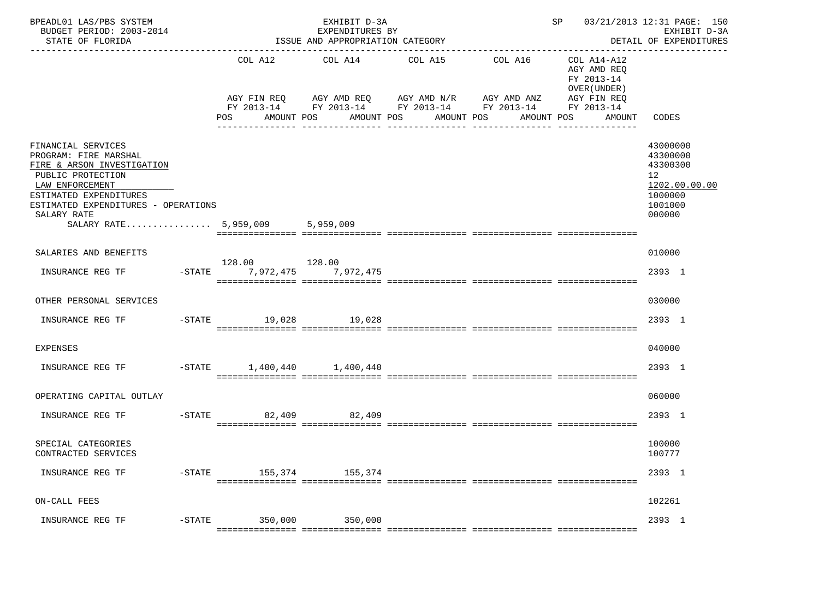| COL A12<br>COL A14<br>COL A15<br>COL A16 COL A14-A12<br>AGY AMD REO<br>FY 2013-14<br>OVER (UNDER )<br>AGY FIN REQ AGY AMD REQ AGY AMD N/R AGY AMD ANZ AGY FIN REQ<br>FY 2013-14 FY 2013-14 FY 2013-14 FY 2013-14 FY 2013-14<br>AMOUNT POS<br>AMOUNT POS<br>AMOUNT POS<br>AMOUNT POS<br>AMOUNT<br>POS<br>CODES<br>FINANCIAL SERVICES<br>43000000<br>PROGRAM: FIRE MARSHAL<br>43300000<br>FIRE & ARSON INVESTIGATION<br>43300300<br>PUBLIC PROTECTION<br>12 <sup>7</sup><br>LAW ENFORCEMENT<br>ESTIMATED EXPENDITURES<br>1000000<br>ESTIMATED EXPENDITURES - OPERATIONS<br>1001000<br>SALARY RATE<br>000000<br>SALARY RATE 5,959,009 5,959,009<br>SALARIES AND BENEFITS<br>010000<br>128.00 128.00<br>INSURANCE REG TF<br>-STATE 7,972,475 7,972,475<br>2393 1<br>OTHER PERSONAL SERVICES<br>030000<br>2393 1<br>INSURANCE REG TF<br>-STATE 19,028 19,028<br>040000<br><b>EXPENSES</b><br>-STATE 1,400,440 1,400,440<br>2393 1<br>INSURANCE REG TF<br>OPERATING CAPITAL OUTLAY<br>060000<br>-STATE 82,409 82,409<br>2393 1<br>INSURANCE REG TF<br>SPECIAL CATEGORIES<br>100000<br>CONTRACTED SERVICES<br>100777<br>-STATE 155,374 155,374<br>2393 1<br>INSURANCE REG TF<br>ON-CALL FEES<br>102261<br>-STATE 350,000 350,000<br>INSURANCE REG TF<br>2393 1 | BPEADL01 LAS/PBS SYSTEM<br>BUDGET PERIOD: 2003-2014<br>STATE OF FLORIDA | ------------------------ | EXHIBIT D-3A<br>EXPENDITURES BY<br>ISSUE AND APPROPRIATION CATEGORY | --------------------------------- | SP 03/21/2013 12:31 PAGE: 150 | EXHIBIT D-3A<br>DETAIL OF EXPENDITURES |
|---------------------------------------------------------------------------------------------------------------------------------------------------------------------------------------------------------------------------------------------------------------------------------------------------------------------------------------------------------------------------------------------------------------------------------------------------------------------------------------------------------------------------------------------------------------------------------------------------------------------------------------------------------------------------------------------------------------------------------------------------------------------------------------------------------------------------------------------------------------------------------------------------------------------------------------------------------------------------------------------------------------------------------------------------------------------------------------------------------------------------------------------------------------------------------------------------------------------------------------------------------|-------------------------------------------------------------------------|--------------------------|---------------------------------------------------------------------|-----------------------------------|-------------------------------|----------------------------------------|
|                                                                                                                                                                                                                                                                                                                                                                                                                                                                                                                                                                                                                                                                                                                                                                                                                                                                                                                                                                                                                                                                                                                                                                                                                                                         |                                                                         |                          |                                                                     |                                   |                               |                                        |
|                                                                                                                                                                                                                                                                                                                                                                                                                                                                                                                                                                                                                                                                                                                                                                                                                                                                                                                                                                                                                                                                                                                                                                                                                                                         |                                                                         |                          |                                                                     |                                   |                               | 1202.00.00.00                          |
|                                                                                                                                                                                                                                                                                                                                                                                                                                                                                                                                                                                                                                                                                                                                                                                                                                                                                                                                                                                                                                                                                                                                                                                                                                                         |                                                                         |                          |                                                                     |                                   |                               |                                        |
|                                                                                                                                                                                                                                                                                                                                                                                                                                                                                                                                                                                                                                                                                                                                                                                                                                                                                                                                                                                                                                                                                                                                                                                                                                                         |                                                                         |                          |                                                                     |                                   |                               |                                        |
|                                                                                                                                                                                                                                                                                                                                                                                                                                                                                                                                                                                                                                                                                                                                                                                                                                                                                                                                                                                                                                                                                                                                                                                                                                                         |                                                                         |                          |                                                                     |                                   |                               |                                        |
|                                                                                                                                                                                                                                                                                                                                                                                                                                                                                                                                                                                                                                                                                                                                                                                                                                                                                                                                                                                                                                                                                                                                                                                                                                                         |                                                                         |                          |                                                                     |                                   |                               |                                        |
|                                                                                                                                                                                                                                                                                                                                                                                                                                                                                                                                                                                                                                                                                                                                                                                                                                                                                                                                                                                                                                                                                                                                                                                                                                                         |                                                                         |                          |                                                                     |                                   |                               |                                        |
|                                                                                                                                                                                                                                                                                                                                                                                                                                                                                                                                                                                                                                                                                                                                                                                                                                                                                                                                                                                                                                                                                                                                                                                                                                                         |                                                                         |                          |                                                                     |                                   |                               |                                        |
|                                                                                                                                                                                                                                                                                                                                                                                                                                                                                                                                                                                                                                                                                                                                                                                                                                                                                                                                                                                                                                                                                                                                                                                                                                                         |                                                                         |                          |                                                                     |                                   |                               |                                        |
|                                                                                                                                                                                                                                                                                                                                                                                                                                                                                                                                                                                                                                                                                                                                                                                                                                                                                                                                                                                                                                                                                                                                                                                                                                                         |                                                                         |                          |                                                                     |                                   |                               |                                        |
|                                                                                                                                                                                                                                                                                                                                                                                                                                                                                                                                                                                                                                                                                                                                                                                                                                                                                                                                                                                                                                                                                                                                                                                                                                                         |                                                                         |                          |                                                                     |                                   |                               |                                        |
|                                                                                                                                                                                                                                                                                                                                                                                                                                                                                                                                                                                                                                                                                                                                                                                                                                                                                                                                                                                                                                                                                                                                                                                                                                                         |                                                                         |                          |                                                                     |                                   |                               |                                        |
|                                                                                                                                                                                                                                                                                                                                                                                                                                                                                                                                                                                                                                                                                                                                                                                                                                                                                                                                                                                                                                                                                                                                                                                                                                                         |                                                                         |                          |                                                                     |                                   |                               |                                        |
|                                                                                                                                                                                                                                                                                                                                                                                                                                                                                                                                                                                                                                                                                                                                                                                                                                                                                                                                                                                                                                                                                                                                                                                                                                                         |                                                                         |                          |                                                                     |                                   |                               |                                        |
|                                                                                                                                                                                                                                                                                                                                                                                                                                                                                                                                                                                                                                                                                                                                                                                                                                                                                                                                                                                                                                                                                                                                                                                                                                                         |                                                                         |                          |                                                                     |                                   |                               |                                        |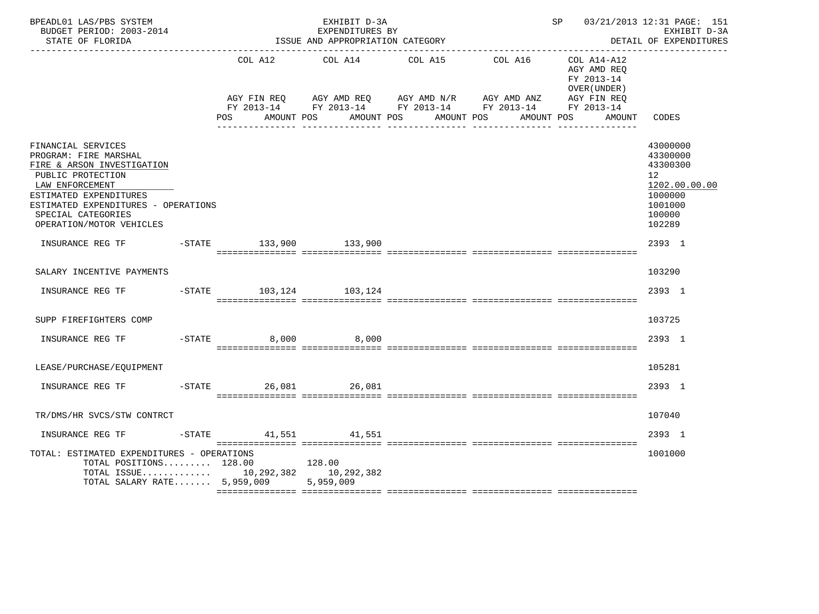| BPEADL01 LAS/PBS SYSTEM<br>BUDGET PERIOD: 2003-2014<br>STATE OF FLORIDA                                                                                                                                                              |                         | EXHIBIT D-3A<br>EXPENDITURES BY<br>ISSUE AND APPROPRIATION CATEGORY |                                                                                                                                                   |         | SP 03/21/2013 12:31 PAGE: 151                            | EXHIBIT D-3A<br>DETAIL OF EXPENDITURES                                                            |
|--------------------------------------------------------------------------------------------------------------------------------------------------------------------------------------------------------------------------------------|-------------------------|---------------------------------------------------------------------|---------------------------------------------------------------------------------------------------------------------------------------------------|---------|----------------------------------------------------------|---------------------------------------------------------------------------------------------------|
|                                                                                                                                                                                                                                      | COL A12                 | COL A14                                                             | COL A15                                                                                                                                           | COL A16 | COL A14-A12<br>AGY AMD REO<br>FY 2013-14<br>OVER (UNDER) |                                                                                                   |
|                                                                                                                                                                                                                                      | POS FOR                 | AMOUNT POS                                                          | AGY FIN REQ AGY AMD REQ AGY AMD N/R AGY AMD ANZ AGY FIN REQ<br>FY 2013-14 FY 2013-14 FY 2013-14 FY 2013-14 FY 2013-14<br>AMOUNT POS<br>AMOUNT POS |         | AMOUNT POS<br>AMOUNT                                     | CODES                                                                                             |
|                                                                                                                                                                                                                                      |                         |                                                                     |                                                                                                                                                   |         |                                                          |                                                                                                   |
| FINANCIAL SERVICES<br>PROGRAM: FIRE MARSHAL<br>FIRE & ARSON INVESTIGATION<br>PUBLIC PROTECTION<br>LAW ENFORCEMENT<br>ESTIMATED EXPENDITURES<br>ESTIMATED EXPENDITURES - OPERATIONS<br>SPECIAL CATEGORIES<br>OPERATION/MOTOR VEHICLES |                         |                                                                     |                                                                                                                                                   |         |                                                          | 43000000<br>43300000<br>43300300<br>12<br>1202.00.00.00<br>1000000<br>1001000<br>100000<br>102289 |
| INSURANCE REG TF                                                                                                                                                                                                                     | -STATE 133,900 133,900  |                                                                     |                                                                                                                                                   |         |                                                          | 2393 1                                                                                            |
| SALARY INCENTIVE PAYMENTS                                                                                                                                                                                                            |                         |                                                                     |                                                                                                                                                   |         |                                                          | 103290                                                                                            |
| INSURANCE REG TF    -STATE    103,124    103,124                                                                                                                                                                                     |                         |                                                                     |                                                                                                                                                   |         |                                                          | 2393 1                                                                                            |
| SUPP FIREFIGHTERS COMP                                                                                                                                                                                                               |                         |                                                                     |                                                                                                                                                   |         |                                                          | 103725                                                                                            |
| INSURANCE REG TF                                                                                                                                                                                                                     | $-STATE$                | 8,000 8,000                                                         |                                                                                                                                                   |         |                                                          | 2393 1                                                                                            |
| LEASE/PURCHASE/EQUIPMENT                                                                                                                                                                                                             |                         |                                                                     |                                                                                                                                                   |         |                                                          | 105281                                                                                            |
| INSURANCE REG TF                                                                                                                                                                                                                     | $-STATE$                | 26,081 26,081                                                       |                                                                                                                                                   |         |                                                          | 2393 1                                                                                            |
| TR/DMS/HR SVCS/STW CONTRCT                                                                                                                                                                                                           |                         |                                                                     |                                                                                                                                                   |         |                                                          | 107040                                                                                            |
| INSURANCE REG TF                                                                                                                                                                                                                     | $-$ STATE 41,551 41,551 |                                                                     |                                                                                                                                                   |         |                                                          | 2393 1                                                                                            |
| TOTAL: ESTIMATED EXPENDITURES - OPERATIONS<br>TOTAL POSITIONS 128.00<br>TOTAL ISSUE 10,292,382 10,292,382<br>TOTAL SALARY RATE 5,959,009 5,959,009                                                                                   | 128.00                  |                                                                     |                                                                                                                                                   |         |                                                          | 1001000                                                                                           |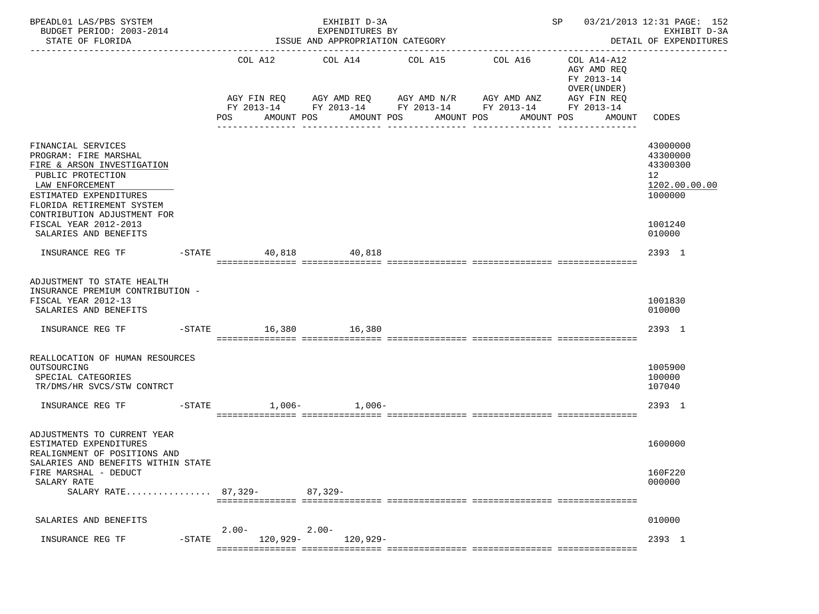| BPEADL01 LAS/PBS SYSTEM<br>BUDGET PERIOD: 2003-2014<br>STATE OF FLORIDA                                                                                                                                                                                   |           |                         |            | EXHIBIT D-3A<br>EXPENDITURES BY | ISSUE AND APPROPRIATION CATEGORY                                 |                                                                                                                                  | SP 03/21/2013 12:31 PAGE: 152                                                                             | EXHIBIT D-3A<br>DETAIL OF EXPENDITURES<br>_____________________                                      |
|-----------------------------------------------------------------------------------------------------------------------------------------------------------------------------------------------------------------------------------------------------------|-----------|-------------------------|------------|---------------------------------|------------------------------------------------------------------|----------------------------------------------------------------------------------------------------------------------------------|-----------------------------------------------------------------------------------------------------------|------------------------------------------------------------------------------------------------------|
|                                                                                                                                                                                                                                                           |           | POS                     | AMOUNT POS |                                 | COL A12 COL A14 COL A15<br>AMOUNT POS AMOUNT POS<br>------------ | COL A16<br>AGY FIN REQ AGY AMD REQ AGY AMD N/R AGY AMD ANZ AGY FIN REQ<br>FY 2013-14 FY 2013-14 FY 2013-14 FY 2013-14 FY 2013-14 | ---------------------<br>COL A14-A12<br>AGY AMD REQ<br>FY 2013-14<br>OVER (UNDER)<br>AMOUNT POS<br>AMOUNT | CODES                                                                                                |
| FINANCIAL SERVICES<br>PROGRAM: FIRE MARSHAL<br>FIRE & ARSON INVESTIGATION<br>PUBLIC PROTECTION<br>LAW ENFORCEMENT<br>ESTIMATED EXPENDITURES<br>FLORIDA RETIREMENT SYSTEM<br>CONTRIBUTION ADJUSTMENT FOR<br>FISCAL YEAR 2012-2013<br>SALARIES AND BENEFITS |           |                         |            |                                 |                                                                  |                                                                                                                                  |                                                                                                           | 43000000<br>43300000<br>43300300<br>12 <sup>°</sup><br>1202.00.00.00<br>1000000<br>1001240<br>010000 |
| INSURANCE REG TF                                                                                                                                                                                                                                          |           | $-$ STATE 40,818 40,818 |            |                                 |                                                                  |                                                                                                                                  |                                                                                                           | 2393 1                                                                                               |
| ADJUSTMENT TO STATE HEALTH<br>INSURANCE PREMIUM CONTRIBUTION -<br>FISCAL YEAR 2012-13<br>SALARIES AND BENEFITS<br>INSURANCE REG TF                                                                                                                        |           | $-STATE$ 16,380 16,380  |            |                                 |                                                                  |                                                                                                                                  |                                                                                                           | 1001830<br>010000<br>2393 1                                                                          |
| REALLOCATION OF HUMAN RESOURCES<br>OUTSOURCING<br>SPECIAL CATEGORIES<br>TR/DMS/HR SVCS/STW CONTRCT                                                                                                                                                        |           |                         |            |                                 |                                                                  |                                                                                                                                  |                                                                                                           | 1005900<br>100000<br>107040                                                                          |
| INSURANCE REG TF<br>$-STATE$                                                                                                                                                                                                                              |           |                         |            | $1,006 1,006-$                  |                                                                  |                                                                                                                                  |                                                                                                           | 2393 1                                                                                               |
| ADJUSTMENTS TO CURRENT YEAR<br>ESTIMATED EXPENDITURES<br>REALIGNMENT OF POSITIONS AND<br>SALARIES AND BENEFITS WITHIN STATE                                                                                                                               |           |                         |            |                                 |                                                                  |                                                                                                                                  |                                                                                                           | 1600000                                                                                              |
| FIRE MARSHAL - DEDUCT<br>SALARY RATE<br>SALARY RATE 87,329-                                                                                                                                                                                               |           |                         | 87,329-    |                                 |                                                                  |                                                                                                                                  |                                                                                                           | 160F220<br>000000                                                                                    |
| SALARIES AND BENEFITS                                                                                                                                                                                                                                     |           |                         |            |                                 |                                                                  |                                                                                                                                  |                                                                                                           | 010000                                                                                               |
| INSURANCE REG TF                                                                                                                                                                                                                                          | $-$ STATE | $2.00 -$<br>$120,929-$  | $2.00-$    | 120,929-                        |                                                                  |                                                                                                                                  |                                                                                                           | 2393 1                                                                                               |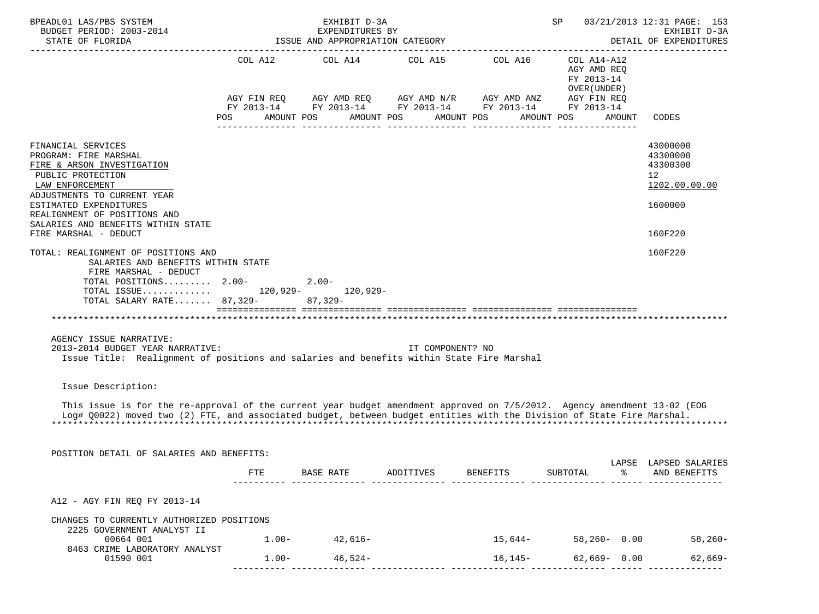| COL A12 COL A14 COL A15 COL A16<br>COL A14-A12<br>AGY AMD REQ<br>FY 2013-14<br>OVER (UNDER)<br>AGY FIN REQ $AGY$ AMD REQ $AGY$ AMD N/R $AGY$ AMD ANZ<br>AGY FIN REQ<br>FY 2013-14 FY 2013-14 FY 2013-14 FY 2013-14 FY 2013-14<br>AMOUNT POS<br>AMOUNT POS<br>AMOUNT POS<br>AMOUNT POS<br>POS<br>AMOUNT<br>CODES<br>FINANCIAL SERVICES<br>43000000<br>43300000<br>PROGRAM: FIRE MARSHAL<br>43300300<br>FIRE & ARSON INVESTIGATION<br>PUBLIC PROTECTION<br>12<br>1202.00.00.00<br>LAW ENFORCEMENT<br>ADJUSTMENTS TO CURRENT YEAR<br>ESTIMATED EXPENDITURES<br>1600000<br>REALIGNMENT OF POSITIONS AND<br>SALARIES AND BENEFITS WITHIN STATE<br>FIRE MARSHAL - DEDUCT<br>160F220<br>160F220<br>TOTAL: REALIGNMENT OF POSITIONS AND<br>SALARIES AND BENEFITS WITHIN STATE<br>FIRE MARSHAL - DEDUCT<br>TOTAL POSITIONS 2.00-<br>2.00-<br>TOTAL ISSUE 120,929- 120,929-<br>TOTAL SALARY RATE 87,329- 87,329-<br>AGENCY ISSUE NARRATIVE:<br>2013-2014 BUDGET YEAR NARRATIVE:<br>IT COMPONENT? NO<br>Issue Title: Realignment of positions and salaries and benefits within State Fire Marshal<br>Issue Description:<br>This issue is for the re-approval of the current year budget amendment approved on 7/5/2012. Agency amendment 13-02 (EOG<br>Log# Q0022) moved two (2) FTE, and associated budget, between budget entities with the Division of State Fire Marshal.<br>POSITION DETAIL OF SALARIES AND BENEFITS:<br>LAPSE LAPSED SALARIES<br>FTE<br>ADDITIVES<br><b>BENEFITS</b><br>SUBTOTAL<br>ႜ<br>AND BENEFITS<br>BASE RATE<br>A12 - AGY FIN REQ FY 2013-14<br>CHANGES TO CURRENTLY AUTHORIZED POSITIONS<br>2225 GOVERNMENT ANALYST II<br>$1.00 - 42,616 -$<br>58,260-0.00 58,260-<br>00664 001<br>$15,644-$<br>8463 CRIME LABORATORY ANALYST<br>$62,669 - 0.00$<br>$1.00 - 46,524 -$<br>$16, 145 -$<br>01590 001 | BPEADL01 LAS/PBS SYSTEM<br>BUDGET PERIOD: 2003-2014<br>STATE OF FLORIDA |  | EXHIBIT D-3A<br>EXPENDITURES BY<br>ISSUE AND APPROPRIATION CATEGORY |  | SP |  | 03/21/2013 12:31 PAGE: 153<br>EXHIBIT D-3A<br>DETAIL OF EXPENDITURES |
|---------------------------------------------------------------------------------------------------------------------------------------------------------------------------------------------------------------------------------------------------------------------------------------------------------------------------------------------------------------------------------------------------------------------------------------------------------------------------------------------------------------------------------------------------------------------------------------------------------------------------------------------------------------------------------------------------------------------------------------------------------------------------------------------------------------------------------------------------------------------------------------------------------------------------------------------------------------------------------------------------------------------------------------------------------------------------------------------------------------------------------------------------------------------------------------------------------------------------------------------------------------------------------------------------------------------------------------------------------------------------------------------------------------------------------------------------------------------------------------------------------------------------------------------------------------------------------------------------------------------------------------------------------------------------------------------------------------------------------------------------------------------------------------------------------------------|-------------------------------------------------------------------------|--|---------------------------------------------------------------------|--|----|--|----------------------------------------------------------------------|
|                                                                                                                                                                                                                                                                                                                                                                                                                                                                                                                                                                                                                                                                                                                                                                                                                                                                                                                                                                                                                                                                                                                                                                                                                                                                                                                                                                                                                                                                                                                                                                                                                                                                                                                                                                                                                     |                                                                         |  |                                                                     |  |    |  |                                                                      |
|                                                                                                                                                                                                                                                                                                                                                                                                                                                                                                                                                                                                                                                                                                                                                                                                                                                                                                                                                                                                                                                                                                                                                                                                                                                                                                                                                                                                                                                                                                                                                                                                                                                                                                                                                                                                                     |                                                                         |  |                                                                     |  |    |  |                                                                      |
|                                                                                                                                                                                                                                                                                                                                                                                                                                                                                                                                                                                                                                                                                                                                                                                                                                                                                                                                                                                                                                                                                                                                                                                                                                                                                                                                                                                                                                                                                                                                                                                                                                                                                                                                                                                                                     |                                                                         |  |                                                                     |  |    |  |                                                                      |
|                                                                                                                                                                                                                                                                                                                                                                                                                                                                                                                                                                                                                                                                                                                                                                                                                                                                                                                                                                                                                                                                                                                                                                                                                                                                                                                                                                                                                                                                                                                                                                                                                                                                                                                                                                                                                     |                                                                         |  |                                                                     |  |    |  |                                                                      |
|                                                                                                                                                                                                                                                                                                                                                                                                                                                                                                                                                                                                                                                                                                                                                                                                                                                                                                                                                                                                                                                                                                                                                                                                                                                                                                                                                                                                                                                                                                                                                                                                                                                                                                                                                                                                                     |                                                                         |  |                                                                     |  |    |  |                                                                      |
|                                                                                                                                                                                                                                                                                                                                                                                                                                                                                                                                                                                                                                                                                                                                                                                                                                                                                                                                                                                                                                                                                                                                                                                                                                                                                                                                                                                                                                                                                                                                                                                                                                                                                                                                                                                                                     |                                                                         |  |                                                                     |  |    |  |                                                                      |
|                                                                                                                                                                                                                                                                                                                                                                                                                                                                                                                                                                                                                                                                                                                                                                                                                                                                                                                                                                                                                                                                                                                                                                                                                                                                                                                                                                                                                                                                                                                                                                                                                                                                                                                                                                                                                     |                                                                         |  |                                                                     |  |    |  |                                                                      |
|                                                                                                                                                                                                                                                                                                                                                                                                                                                                                                                                                                                                                                                                                                                                                                                                                                                                                                                                                                                                                                                                                                                                                                                                                                                                                                                                                                                                                                                                                                                                                                                                                                                                                                                                                                                                                     |                                                                         |  |                                                                     |  |    |  |                                                                      |
|                                                                                                                                                                                                                                                                                                                                                                                                                                                                                                                                                                                                                                                                                                                                                                                                                                                                                                                                                                                                                                                                                                                                                                                                                                                                                                                                                                                                                                                                                                                                                                                                                                                                                                                                                                                                                     |                                                                         |  |                                                                     |  |    |  |                                                                      |
|                                                                                                                                                                                                                                                                                                                                                                                                                                                                                                                                                                                                                                                                                                                                                                                                                                                                                                                                                                                                                                                                                                                                                                                                                                                                                                                                                                                                                                                                                                                                                                                                                                                                                                                                                                                                                     |                                                                         |  |                                                                     |  |    |  | $62,669-$                                                            |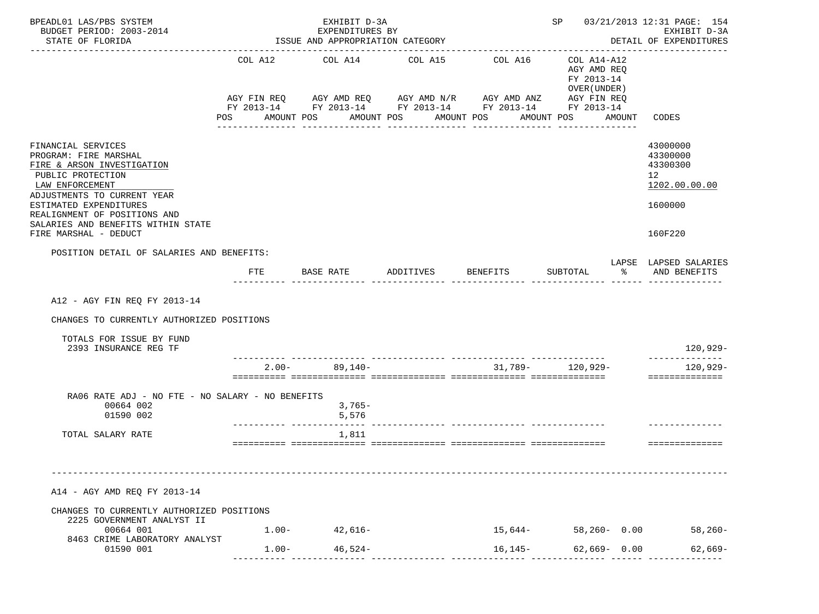| BPEADL01 LAS/PBS SYSTEM<br>BUDGET PERIOD: 2003-2014                                                                                                                                                                                                                       |          | EXHIBIT D-3A<br>EXPENDITURES BY       | SP 03/21/2013 12:31 PAGE: 154<br>EXHIBIT D-3A |                                                                                                                                    |                                                                                       |        |                                                                                            |
|---------------------------------------------------------------------------------------------------------------------------------------------------------------------------------------------------------------------------------------------------------------------------|----------|---------------------------------------|-----------------------------------------------|------------------------------------------------------------------------------------------------------------------------------------|---------------------------------------------------------------------------------------|--------|--------------------------------------------------------------------------------------------|
| STATE OF FLORIDA<br>. Le presente de la propieta de la p                                                                                                                                                                                                                  |          | ISSUE AND APPROPRIATION CATEGORY      |                                               |                                                                                                                                    |                                                                                       |        | DETAIL OF EXPENDITURES                                                                     |
|                                                                                                                                                                                                                                                                           | POS      | COL A12 COL A14 COL A15<br>AMOUNT POS | AMOUNT POS                                    | COL A16<br>AGY FIN REQ AGY AMD REQ AGY AMD N/R AGY AMD ANZ<br>FY 2013-14 FY 2013-14 FY 2013-14 FY 2013-14 FY 2013-14<br>AMOUNT POS | COL A14-A12<br>AGY AMD REQ<br>FY 2013-14<br>OVER (UNDER)<br>AGY FIN REQ<br>AMOUNT POS | AMOUNT | CODES                                                                                      |
| FINANCIAL SERVICES<br>PROGRAM: FIRE MARSHAL<br>FIRE & ARSON INVESTIGATION<br>PUBLIC PROTECTION<br>LAW ENFORCEMENT<br>ADJUSTMENTS TO CURRENT YEAR<br>ESTIMATED EXPENDITURES<br>REALIGNMENT OF POSITIONS AND<br>SALARIES AND BENEFITS WITHIN STATE<br>FIRE MARSHAL - DEDUCT |          |                                       |                                               |                                                                                                                                    |                                                                                       |        | 43000000<br>43300000<br>43300300<br>12 <sup>°</sup><br>1202.00.00.00<br>1600000<br>160F220 |
| POSITION DETAIL OF SALARIES AND BENEFITS:                                                                                                                                                                                                                                 |          |                                       |                                               |                                                                                                                                    |                                                                                       |        |                                                                                            |
|                                                                                                                                                                                                                                                                           | FTE      |                                       |                                               |                                                                                                                                    | SUBTOTAL                                                                              | ာ အေ   | LAPSE LAPSED SALARIES<br>AND BENEFITS                                                      |
| A12 - AGY FIN REQ FY 2013-14<br>CHANGES TO CURRENTLY AUTHORIZED POSITIONS<br>TOTALS FOR ISSUE BY FUND                                                                                                                                                                     |          |                                       |                                               |                                                                                                                                    |                                                                                       |        |                                                                                            |
| 2393 INSURANCE REG TF                                                                                                                                                                                                                                                     |          |                                       |                                               |                                                                                                                                    |                                                                                       |        | 120,929-<br>--------------                                                                 |
|                                                                                                                                                                                                                                                                           | $2.00 -$ | $89,140-$                             |                                               |                                                                                                                                    | $31,789 - 120,929 -$                                                                  |        | $120,929-$<br>==============                                                               |
| RA06 RATE ADJ - NO FTE - NO SALARY - NO BENEFITS<br>00664 002<br>01590 002                                                                                                                                                                                                |          | $3,765-$<br>5,576                     |                                               |                                                                                                                                    |                                                                                       |        |                                                                                            |
| TOTAL SALARY RATE                                                                                                                                                                                                                                                         |          | 1,811                                 |                                               |                                                                                                                                    |                                                                                       |        | ---------------                                                                            |
| A14 - AGY AMD REQ FY 2013-14                                                                                                                                                                                                                                              |          |                                       |                                               |                                                                                                                                    |                                                                                       |        |                                                                                            |
| CHANGES TO CURRENTLY AUTHORIZED POSITIONS<br>2225 GOVERNMENT ANALYST II                                                                                                                                                                                                   |          |                                       |                                               |                                                                                                                                    |                                                                                       |        |                                                                                            |
| 00664 001<br>8463 CRIME LABORATORY ANALYST<br>01590 001                                                                                                                                                                                                                   | $1.00-$  | $1.00 - 42,616 -$<br>$46,524-$        |                                               | $15,644-$<br>$16, 145 -$                                                                                                           | 58,260- 0.00<br>$62,669 - 0.00$                                                       |        | 58,260-<br>62,669-                                                                         |
|                                                                                                                                                                                                                                                                           |          |                                       |                                               |                                                                                                                                    |                                                                                       |        |                                                                                            |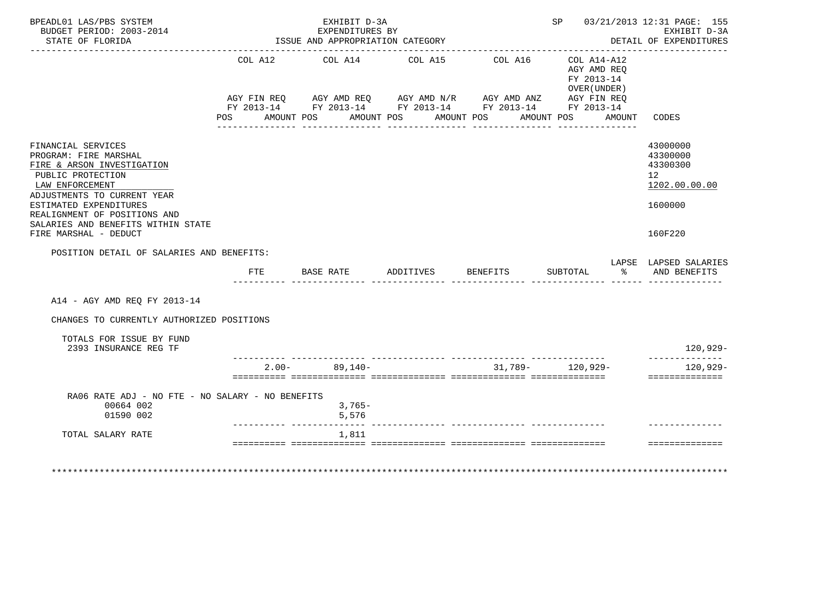| BPEADL01 LAS/PBS SYSTEM<br>BUDGET PERIOD: 2003-2014<br>STATE OF FLORIDA                                                                          |                    | EXHIBIT D-3A<br>EXPENDITURES BY<br>ISSUE AND APPROPRIATION CATEGORY                                                                   |                          |         | SP 03/21/2013 12:31 PAGE: 155                                                    | EXHIBIT D-3A<br>DETAIL OF EXPENDITURES<br>. <u>_ _ _ _ _ _ _ _ _ _ _ _ _</u> _ |
|--------------------------------------------------------------------------------------------------------------------------------------------------|--------------------|---------------------------------------------------------------------------------------------------------------------------------------|--------------------------|---------|----------------------------------------------------------------------------------|--------------------------------------------------------------------------------|
|                                                                                                                                                  | AGY FIN REO<br>POS | COL A12 COL A14 COL A15<br>AGY FIN REQ AGY AMD REQ AGY AMD N/R AGY AMD ANZ AGY FIN REQ FY 2013-14 FY 2013-14 FY 2013-14<br>AMOUNT POS | AMOUNT POS<br>AMOUNT POS | COL A16 | COL A14-A12<br>AGY AMD REO<br>FY 2013-14<br>OVER (UNDER)<br>AMOUNT POS<br>AMOUNT | CODES                                                                          |
| FINANCIAL SERVICES<br>PROGRAM: FIRE MARSHAL<br>FIRE & ARSON INVESTIGATION<br>PUBLIC PROTECTION<br>LAW ENFORCEMENT<br>ADJUSTMENTS TO CURRENT YEAR |                    |                                                                                                                                       |                          |         |                                                                                  | 43000000<br>43300000<br>43300300<br>12<br>1202.00.00.00                        |
| ESTIMATED EXPENDITURES<br>REALIGNMENT OF POSITIONS AND<br>SALARIES AND BENEFITS WITHIN STATE<br>FIRE MARSHAL - DEDUCT                            |                    |                                                                                                                                       |                          |         |                                                                                  | 1600000<br>160F220                                                             |
| POSITION DETAIL OF SALARIES AND BENEFITS:                                                                                                        | FTE                | BASE RATE ADDITIVES BENEFITS                                                                                                          |                          |         | SUBTOTAL                                                                         | LAPSE LAPSED SALARIES<br>% AND BENEFITS                                        |
| A14 - AGY AMD REQ FY 2013-14                                                                                                                     |                    |                                                                                                                                       |                          |         |                                                                                  |                                                                                |
| CHANGES TO CURRENTLY AUTHORIZED POSITIONS                                                                                                        |                    |                                                                                                                                       |                          |         |                                                                                  |                                                                                |
| TOTALS FOR ISSUE BY FUND<br>2393 INSURANCE REG TF                                                                                                |                    |                                                                                                                                       |                          |         |                                                                                  | 120,929-                                                                       |
|                                                                                                                                                  |                    | $2.00 - 89.140 -$                                                                                                                     |                          |         | $31,789 - 120,929 -$                                                             | --------------<br>$120,929-$<br>==============                                 |
| RA06 RATE ADJ - NO FTE - NO SALARY - NO BENEFITS<br>00664 002<br>01590 002                                                                       |                    | $3,765-$<br>5,576                                                                                                                     |                          |         |                                                                                  |                                                                                |
| TOTAL SALARY RATE                                                                                                                                |                    | 1,811                                                                                                                                 |                          |         |                                                                                  |                                                                                |
|                                                                                                                                                  |                    |                                                                                                                                       |                          |         |                                                                                  | ---------------<br>************************                                    |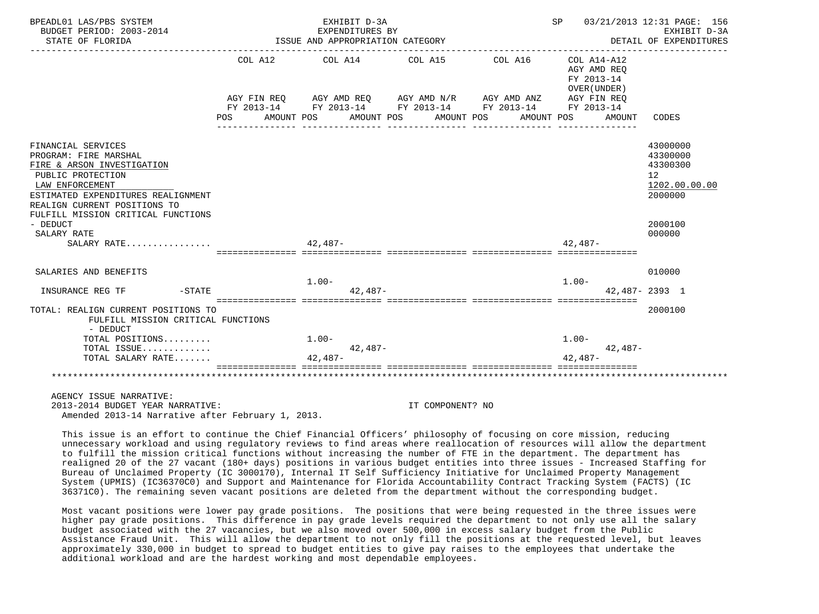| BPEADL01 LAS/PBS SYSTEM<br>BUDGET PERIOD: 2003-2014<br>STATE OF FLORIDA                                                                                                                                                                   | EXHIBIT D-3A<br>EXPENDITURES BY<br>ISSUE AND APPROPRIATION CATEGORY |                                       |           |  |                       |                                                                                                                                  |                                                                        | SP 03/21/2013 12:31 PAGE: 156<br>EXHIBIT D-3A<br>DETAIL OF EXPENDITURES |                                                                               |  |
|-------------------------------------------------------------------------------------------------------------------------------------------------------------------------------------------------------------------------------------------|---------------------------------------------------------------------|---------------------------------------|-----------|--|-----------------------|----------------------------------------------------------------------------------------------------------------------------------|------------------------------------------------------------------------|-------------------------------------------------------------------------|-------------------------------------------------------------------------------|--|
|                                                                                                                                                                                                                                           | <b>POS</b>                                                          | COL A12 COL A14 COL A15<br>AMOUNT POS |           |  | AMOUNT POS AMOUNT POS | COL A16<br>AGY FIN REQ AGY AMD REQ AGY AMD N/R AGY AMD ANZ AGY FIN REQ<br>FY 2013-14 FY 2013-14 FY 2013-14 FY 2013-14 FY 2013-14 | COL A14-A12<br>AGY AMD REO<br>FY 2013-14<br>OVER (UNDER)<br>AMOUNT POS | AMOUNT                                                                  | CODES                                                                         |  |
| FINANCIAL SERVICES<br>PROGRAM: FIRE MARSHAL<br>FIRE & ARSON INVESTIGATION<br>PUBLIC PROTECTION<br>LAW ENFORCEMENT<br>ESTIMATED EXPENDITURES REALIGNMENT<br>REALIGN CURRENT POSITIONS TO<br>FULFILL MISSION CRITICAL FUNCTIONS<br>- DEDUCT |                                                                     |                                       |           |  |                       |                                                                                                                                  |                                                                        |                                                                         | 43000000<br>43300000<br>43300300<br>12<br>1202.00.00.00<br>2000000<br>2000100 |  |
| SALARY RATE<br>SALARY RATE                                                                                                                                                                                                                |                                                                     | $42.487-$                             |           |  |                       |                                                                                                                                  | $42.487-$                                                              |                                                                         | 000000                                                                        |  |
| SALARIES AND BENEFITS<br>$-STATE$<br>INSURANCE REG TF                                                                                                                                                                                     |                                                                     | $1.00 -$                              | $42.487-$ |  |                       |                                                                                                                                  | $1.00-$                                                                |                                                                         | 010000<br>$42.487 - 2393$ 1                                                   |  |
| TOTAL: REALIGN CURRENT POSITIONS TO<br>FULFILL MISSION CRITICAL FUNCTIONS<br>- DEDUCT                                                                                                                                                     |                                                                     |                                       |           |  |                       |                                                                                                                                  |                                                                        |                                                                         | 2000100                                                                       |  |
| TOTAL POSITIONS<br>TOTAL ISSUE<br>TOTAL SALARY RATE                                                                                                                                                                                       |                                                                     | $1.00 -$<br>$42.487-$                 | $42.487-$ |  |                       |                                                                                                                                  | $1.00-$<br>$42.487-$                                                   | $42.487-$                                                               |                                                                               |  |
|                                                                                                                                                                                                                                           |                                                                     |                                       |           |  |                       |                                                                                                                                  |                                                                        |                                                                         |                                                                               |  |
| AGENCY ISSUE NARRATIVE:<br>2013-2014 BUDGET YEAR NARRATIVE:                                                                                                                                                                               |                                                                     |                                       |           |  | IT COMPONENT? NO      |                                                                                                                                  |                                                                        |                                                                         |                                                                               |  |

Amended 2013-14 Narrative after February 1, 2013.

COMPONENT? NO

 This issue is an effort to continue the Chief Financial Officers' philosophy of focusing on core mission, reducing unnecessary workload and using regulatory reviews to find areas where reallocation of resources will allow the department to fulfill the mission critical functions without increasing the number of FTE in the department. The department has realigned 20 of the 27 vacant (180+ days) positions in various budget entities into three issues - Increased Staffing for Bureau of Unclaimed Property (IC 3000170), Internal IT Self Sufficiency Initiative for Unclaimed Property Management System (UPMIS) (IC36370C0) and Support and Maintenance for Florida Accountability Contract Tracking System (FACTS) (IC 36371C0). The remaining seven vacant positions are deleted from the department without the corresponding budget.

 Most vacant positions were lower pay grade positions. The positions that were being requested in the three issues were higher pay grade positions. This difference in pay grade levels required the department to not only use all the salary budget associated with the 27 vacancies, but we also moved over 500,000 in excess salary budget from the Public Assistance Fraud Unit. This will allow the department to not only fill the positions at the requested level, but leaves approximately 330,000 in budget to spread to budget entities to give pay raises to the employees that undertake the additional workload and are the hardest working and most dependable employees.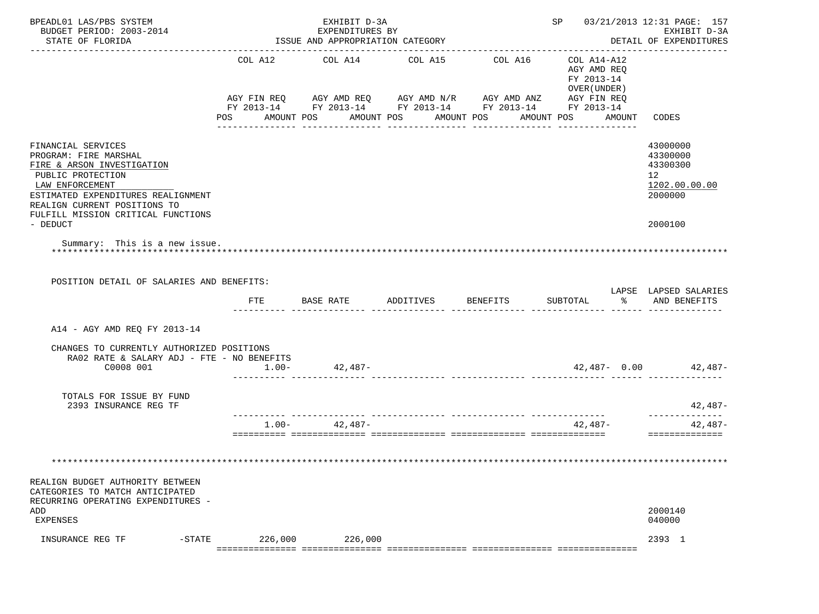| BPEADL01 LAS/PBS SYSTEM<br>BUDGET PERIOD: 2003-2014<br>STATE OF FLORIDA                                                                                                                                                                                                    |                           | EXHIBIT D-3A<br>EXPENDITURES BY<br>ISSUE AND APPROPRIATION CATEGORY |                                  |                                                                                                                                  |                                                                                     | SP 03/21/2013 12:31 PAGE: 157<br>EXHIBIT D-3A<br>DETAIL OF EXPENDITURES                    |
|----------------------------------------------------------------------------------------------------------------------------------------------------------------------------------------------------------------------------------------------------------------------------|---------------------------|---------------------------------------------------------------------|----------------------------------|----------------------------------------------------------------------------------------------------------------------------------|-------------------------------------------------------------------------------------|--------------------------------------------------------------------------------------------|
|                                                                                                                                                                                                                                                                            | COL A12<br>POS AMOUNT POS | COL A14                                                             | COL A15<br>AMOUNT POS AMOUNT POS | COL A16<br>AGY FIN REQ AGY AMD REQ AGY AMD N/R AGY AMD ANZ AGY FIN REQ<br>FY 2013-14 FY 2013-14 FY 2013-14 FY 2013-14 FY 2013-14 | COL A14-A12<br>AGY AMD REO<br>FY 2013-14<br>OVER (UNDER)<br>AMOUNT POS AMOUNT CODES |                                                                                            |
| FINANCIAL SERVICES<br>PROGRAM: FIRE MARSHAL<br>FIRE & ARSON INVESTIGATION<br>PUBLIC PROTECTION<br>LAW ENFORCEMENT<br>ESTIMATED EXPENDITURES REALIGNMENT<br>REALIGN CURRENT POSITIONS TO<br>FULFILL MISSION CRITICAL FUNCTIONS<br>- DEDUCT<br>Summary: This is a new issue. |                           |                                                                     |                                  |                                                                                                                                  |                                                                                     | 43000000<br>43300000<br>43300300<br>12 <sup>°</sup><br>1202.00.00.00<br>2000000<br>2000100 |
| POSITION DETAIL OF SALARIES AND BENEFITS:                                                                                                                                                                                                                                  | FTE                       | BASE RATE ADDITIVES                                                 |                                  | <b>BENEFITS</b>                                                                                                                  | SUBTOTAL                                                                            | LAPSE LAPSED SALARIES<br>% AND BENEFITS                                                    |
| A14 - AGY AMD REQ FY 2013-14                                                                                                                                                                                                                                               |                           |                                                                     |                                  |                                                                                                                                  |                                                                                     |                                                                                            |
| CHANGES TO CURRENTLY AUTHORIZED POSITIONS<br>RA02 RATE & SALARY ADJ - FTE - NO BENEFITS                                                                                                                                                                                    |                           |                                                                     |                                  |                                                                                                                                  |                                                                                     |                                                                                            |
| C0008 001                                                                                                                                                                                                                                                                  |                           |                                                                     |                                  |                                                                                                                                  |                                                                                     | $42,487 - 0.00$ $42,487 -$                                                                 |
| TOTALS FOR ISSUE BY FUND<br>2393 INSURANCE REG TF                                                                                                                                                                                                                          |                           |                                                                     |                                  |                                                                                                                                  |                                                                                     | 42,487-                                                                                    |
|                                                                                                                                                                                                                                                                            | $1.00 -$                  | 42,487-                                                             |                                  |                                                                                                                                  | 42,487-                                                                             | --------------<br>42,487-<br>==============                                                |
| REALIGN BUDGET AUTHORITY BETWEEN<br>CATEGORIES TO MATCH ANTICIPATED<br>RECURRING OPERATING EXPENDITURES -<br>ADD<br><b>EXPENSES</b>                                                                                                                                        |                           |                                                                     |                                  |                                                                                                                                  |                                                                                     | 2000140<br>040000                                                                          |
| INSURANCE REG TF<br>$-STATE$                                                                                                                                                                                                                                               | 226,000<br>===========    | 226,000                                                             |                                  |                                                                                                                                  |                                                                                     | 2393 1                                                                                     |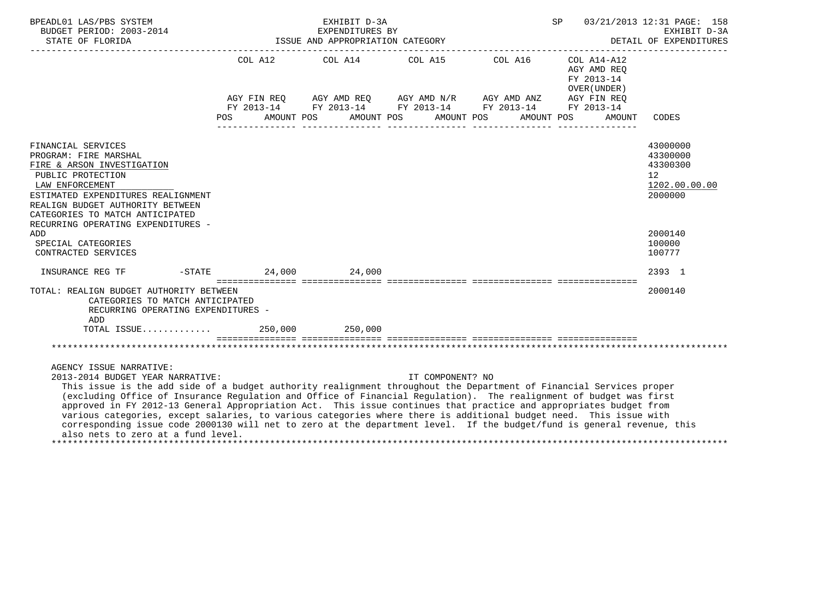| BPEADL01 LAS/PBS SYSTEM<br>BUDGET PERIOD: 2003-2014<br>DETAIL OF EXPENDIT 1SSUE AND APPROPRIATION CATEGORY DETAIL OF EXPENDIT 2011 2014                                                                                                                                                                                                                                                                                                                                                                                                                                                                                                             | EXHIBIT D-3A<br>EXPENDITURES BY |                                                                                                                                                                                                             | SP <sub>3</sub> |                                                                     | 03/21/2013 12:31 PAGE: 158<br>EXHIBIT D-3A<br>DETAIL OF EXPENDITURES            |
|-----------------------------------------------------------------------------------------------------------------------------------------------------------------------------------------------------------------------------------------------------------------------------------------------------------------------------------------------------------------------------------------------------------------------------------------------------------------------------------------------------------------------------------------------------------------------------------------------------------------------------------------------------|---------------------------------|-------------------------------------------------------------------------------------------------------------------------------------------------------------------------------------------------------------|-----------------|---------------------------------------------------------------------|---------------------------------------------------------------------------------|
|                                                                                                                                                                                                                                                                                                                                                                                                                                                                                                                                                                                                                                                     |                                 | COL A12 COL A14 COL A15 COL A16<br>AGY FIN REQ AGY AMD REQ AGY AMD N/R AGY AMD ANZ AGY FIN REQ<br>FY 2013-14 FY 2013-14 FY 2013-14 FY 2013-14 FY 2013-14<br>POS AMOUNT POS AMOUNT POS AMOUNT POS AMOUNT POS |                 | COL A14-A12<br>AGY AMD REO<br>FY 2013-14<br>OVER (UNDER )<br>AMOUNT | CODES                                                                           |
|                                                                                                                                                                                                                                                                                                                                                                                                                                                                                                                                                                                                                                                     |                                 |                                                                                                                                                                                                             |                 |                                                                     |                                                                                 |
| FINANCIAL SERVICES<br>PROGRAM: FIRE MARSHAL<br>FIRE & ARSON INVESTIGATION<br>PUBLIC PROTECTION<br>LAW ENFORCEMENT<br>ESTIMATED EXPENDITURES REALIGNMENT<br>REALIGN BUDGET AUTHORITY BETWEEN<br>CATEGORIES TO MATCH ANTICIPATED<br>RECURRING OPERATING EXPENDITURES -                                                                                                                                                                                                                                                                                                                                                                                |                                 |                                                                                                                                                                                                             |                 |                                                                     | 43000000<br>43300000<br>43300300<br>12 <sup>°</sup><br>1202.00.00.00<br>2000000 |
| ADD                                                                                                                                                                                                                                                                                                                                                                                                                                                                                                                                                                                                                                                 |                                 |                                                                                                                                                                                                             |                 |                                                                     | 2000140                                                                         |
| SPECIAL CATEGORIES<br>CONTRACTED SERVICES                                                                                                                                                                                                                                                                                                                                                                                                                                                                                                                                                                                                           |                                 |                                                                                                                                                                                                             |                 |                                                                     | 100000<br>100777                                                                |
|                                                                                                                                                                                                                                                                                                                                                                                                                                                                                                                                                                                                                                                     |                                 |                                                                                                                                                                                                             |                 |                                                                     | 2393 1                                                                          |
| TOTAL: REALIGN BUDGET AUTHORITY BETWEEN<br>CATEGORIES TO MATCH ANTICIPATED<br>RECURRING OPERATING EXPENDITURES -<br>ADD<br>TOTAL ISSUE 250,000 250,000                                                                                                                                                                                                                                                                                                                                                                                                                                                                                              |                                 |                                                                                                                                                                                                             |                 |                                                                     | 2000140                                                                         |
|                                                                                                                                                                                                                                                                                                                                                                                                                                                                                                                                                                                                                                                     |                                 |                                                                                                                                                                                                             |                 |                                                                     |                                                                                 |
|                                                                                                                                                                                                                                                                                                                                                                                                                                                                                                                                                                                                                                                     |                                 |                                                                                                                                                                                                             |                 |                                                                     |                                                                                 |
| AGENCY ISSUE NARRATIVE:<br>2013-2014 BUDGET YEAR NARRATIVE:                                                                                                                                                                                                                                                                                                                                                                                                                                                                                                                                                                                         |                                 | IT COMPONENT? NO                                                                                                                                                                                            |                 |                                                                     |                                                                                 |
| This issue is the add side of a budget authority realignment throughout the Department of Financial Services proper<br>(excluding Office of Insurance Regulation and Office of Financial Regulation). The realignment of budget was first<br>approved in FY 2012-13 General Appropriation Act. This issue continues that practice and appropriates budget from<br>various categories, except salaries, to various categories where there is additional budget need. This issue with<br>corresponding issue code 2000130 will net to zero at the department level. If the budget/fund is general revenue, this<br>also nets to zero at a fund level. |                                 |                                                                                                                                                                                                             |                 |                                                                     |                                                                                 |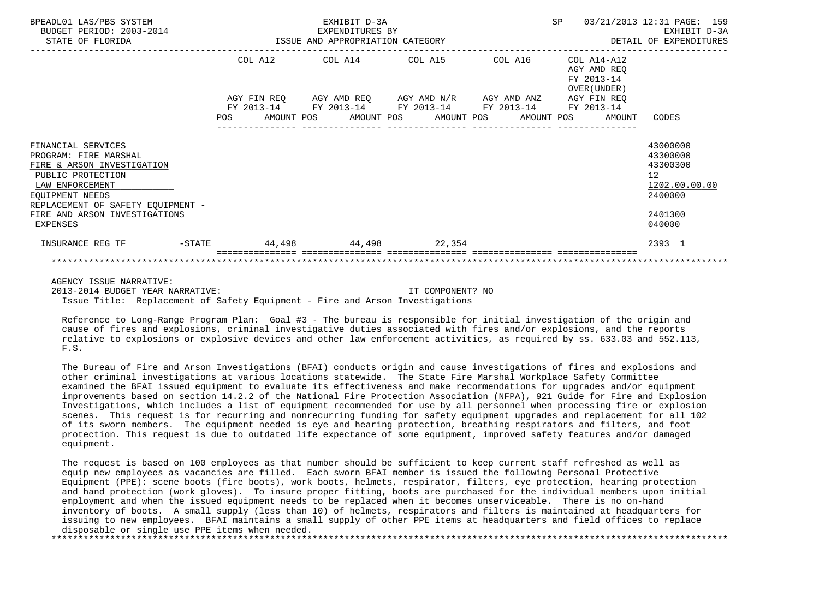| BPEADL01 LAS/PBS SYSTEM<br>BUDGET PERIOD: 2003-2014                                                                                                                       |  | EXHIBIT D-3A |                                                                                                           | SP 03/21/2013 12:31 PAGE: 159                             | EXHIBIT D-3A<br>DETAIL OF EXPENDITURES                             |
|---------------------------------------------------------------------------------------------------------------------------------------------------------------------------|--|--------------|-----------------------------------------------------------------------------------------------------------|-----------------------------------------------------------|--------------------------------------------------------------------|
|                                                                                                                                                                           |  |              | COL A12 COL A14 COL A15 COL A16<br>AGY FIN REQ AGY AMD REQ AGY AMD N/R AGY AMD ANZ AGY FIN REQ            | COL A14-A12<br>AGY AMD REO<br>FY 2013-14<br>OVER (UNDER ) |                                                                    |
|                                                                                                                                                                           |  |              | FY 2013-14 FY 2013-14 FY 2013-14 FY 2013-14 FY 2013-14<br>POS AMOUNT POS AMOUNT POS AMOUNT POS AMOUNT POS | AMOUNT                                                    | CODES                                                              |
| FINANCIAL SERVICES<br>PROGRAM: FIRE MARSHAL<br>FIRE & ARSON INVESTIGATION<br>PUBLIC PROTECTION<br>LAW ENFORCEMENT<br>EOUIPMENT NEEDS<br>REPLACEMENT OF SAFETY EOUIPMENT - |  |              |                                                                                                           |                                                           | 43000000<br>43300000<br>43300300<br>12<br>1202.00.00.00<br>2400000 |
| FIRE AND ARSON INVESTIGATIONS<br>EXPENSES                                                                                                                                 |  |              |                                                                                                           |                                                           | 2401300<br>040000                                                  |
| INSURANCE REG TF                                                                                                                                                          |  |              | -STATE 44,498 44,498 22,354                                                                               |                                                           | 2393 1                                                             |

AGENCY ISSUE NARRATIVE:

 2013-2014 BUDGET YEAR NARRATIVE: IT COMPONENT? NO Issue Title: Replacement of Safety Equipment - Fire and Arson Investigations

 Reference to Long-Range Program Plan: Goal #3 - The bureau is responsible for initial investigation of the origin and cause of fires and explosions, criminal investigative duties associated with fires and/or explosions, and the reports relative to explosions or explosive devices and other law enforcement activities, as required by ss. 633.03 and 552.113, F.S.

 The Bureau of Fire and Arson Investigations (BFAI) conducts origin and cause investigations of fires and explosions and other criminal investigations at various locations statewide. The State Fire Marshal Workplace Safety Committee examined the BFAI issued equipment to evaluate its effectiveness and make recommendations for upgrades and/or equipment improvements based on section 14.2.2 of the National Fire Protection Association (NFPA), 921 Guide for Fire and Explosion Investigations, which includes a list of equipment recommended for use by all personnel when processing fire or explosion scenes. This request is for recurring and nonrecurring funding for safety equipment upgrades and replacement for all 102 of its sworn members. The equipment needed is eye and hearing protection, breathing respirators and filters, and foot protection. This request is due to outdated life expectance of some equipment, improved safety features and/or damaged equipment.

 The request is based on 100 employees as that number should be sufficient to keep current staff refreshed as well as equip new employees as vacancies are filled. Each sworn BFAI member is issued the following Personal Protective Equipment (PPE): scene boots (fire boots), work boots, helmets, respirator, filters, eye protection, hearing protection and hand protection (work gloves). To insure proper fitting, boots are purchased for the individual members upon initial employment and when the issued equipment needs to be replaced when it becomes unserviceable. There is no on-hand inventory of boots. A small supply (less than 10) of helmets, respirators and filters is maintained at headquarters for issuing to new employees. BFAI maintains a small supply of other PPE items at headquarters and field offices to replace disposable or single use PPE items when needed.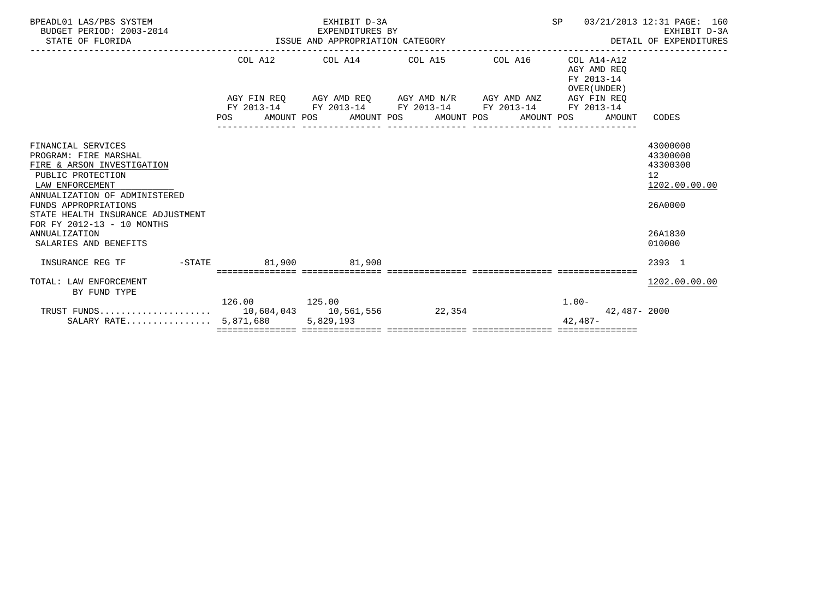| BPEADL01 LAS/PBS SYSTEM<br>BUDGET PERIOD: 2003-2014<br>STATE OF FLORIDA |                | EXHIBIT D-3A<br>EXPENDITURES BY<br>EXPENDITURES BY EXPENDITURES BY SALE AND APPROPRIATION CATEGORY | SP                                                          | 03/21/2013 12:31 PAGE: 160<br>EXHIBIT D-3A<br>DETAIL OF EXPENDITURES |                                                          |                      |
|-------------------------------------------------------------------------|----------------|----------------------------------------------------------------------------------------------------|-------------------------------------------------------------|----------------------------------------------------------------------|----------------------------------------------------------|----------------------|
|                                                                         |                |                                                                                                    | COL A12 COL A14 COL A15 COL A16                             |                                                                      | COL A14-A12<br>AGY AMD REO<br>FY 2013-14<br>OVER (UNDER) |                      |
|                                                                         |                |                                                                                                    | AGY FIN REQ AGY AMD REQ AGY AMD N/R AGY AMD ANZ AGY FIN REQ |                                                                      |                                                          |                      |
|                                                                         |                |                                                                                                    | FY 2013-14 FY 2013-14 FY 2013-14 FY 2013-14 FY 2013-14      |                                                                      |                                                          |                      |
|                                                                         | POS AMOUNT POS |                                                                                                    | AMOUNT POS AMOUNT POS                                       |                                                                      | AMOUNT POS<br>AMOUNT                                     | CODES                |
|                                                                         |                |                                                                                                    |                                                             |                                                                      |                                                          |                      |
| FINANCIAL SERVICES                                                      |                |                                                                                                    |                                                             |                                                                      |                                                          | 43000000             |
| PROGRAM: FIRE MARSHAL<br>FIRE & ARSON INVESTIGATION                     |                |                                                                                                    |                                                             |                                                                      |                                                          | 43300000<br>43300300 |
| PUBLIC PROTECTION                                                       |                |                                                                                                    |                                                             |                                                                      |                                                          | 12                   |
| LAW ENFORCEMENT                                                         |                |                                                                                                    |                                                             |                                                                      |                                                          | 1202.00.00.00        |
| ANNUALIZATION OF ADMINISTERED                                           |                |                                                                                                    |                                                             |                                                                      |                                                          |                      |
| FUNDS APPROPRIATIONS                                                    |                |                                                                                                    |                                                             |                                                                      |                                                          | 26A0000              |
| STATE HEALTH INSURANCE ADJUSTMENT                                       |                |                                                                                                    |                                                             |                                                                      |                                                          |                      |
| FOR FY 2012-13 - 10 MONTHS                                              |                |                                                                                                    |                                                             |                                                                      |                                                          |                      |
| ANNUALIZATION                                                           |                |                                                                                                    |                                                             |                                                                      |                                                          | 26A1830              |
| SALARIES AND BENEFITS                                                   |                |                                                                                                    |                                                             |                                                                      |                                                          | 010000               |
| INSURANCE REG TF                                                        |                | $-STATE$ 81,900 81,900                                                                             |                                                             |                                                                      |                                                          | 2393 1               |
| TOTAL: LAW ENFORCEMENT                                                  |                |                                                                                                    |                                                             |                                                                      |                                                          | 1202.00.00.00        |
| BY FUND TYPE                                                            |                |                                                                                                    |                                                             |                                                                      |                                                          |                      |
|                                                                         | 126.00 125.00  |                                                                                                    |                                                             |                                                                      | $1.00 -$                                                 |                      |
|                                                                         |                |                                                                                                    |                                                             |                                                                      | 42,487-2000                                              |                      |
| SALARY RATE $5,871,680$                                                 |                | 5,829,193                                                                                          |                                                             |                                                                      | $42,487-$                                                |                      |
|                                                                         |                |                                                                                                    |                                                             |                                                                      |                                                          |                      |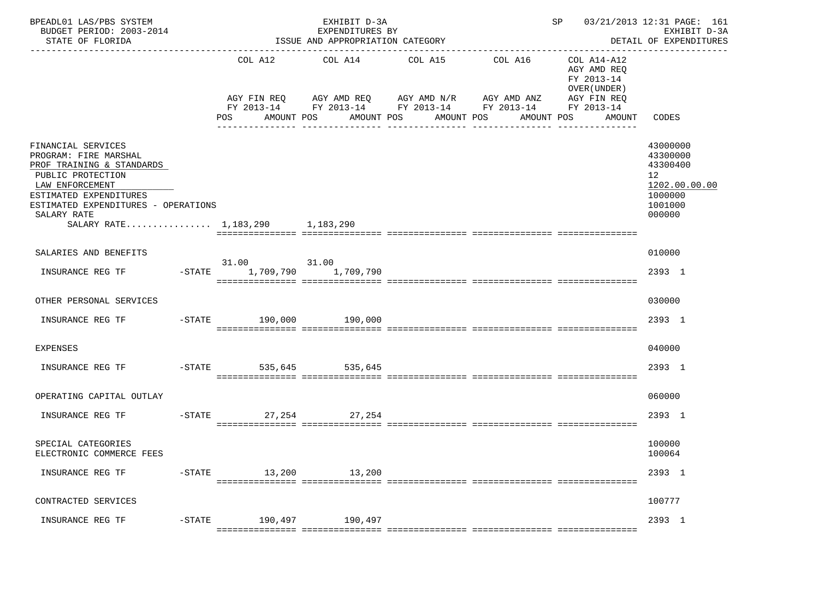| BPEADL01 LAS/PBS SYSTEM<br>BUDGET PERIOD: 2003-2014<br>STATE OF FLORIDA                                                                                                                          | ------------------------                  | EXHIBIT D-3A<br>EXPENDITURES BY<br>ISSUE AND APPROPRIATION CATEGORY |                       | ---------------------------------                                                                                                                          | SP 03/21/2013 12:31 PAGE: 161                        | EXHIBIT D-3A<br>DETAIL OF EXPENDITURES                                                               |
|--------------------------------------------------------------------------------------------------------------------------------------------------------------------------------------------------|-------------------------------------------|---------------------------------------------------------------------|-----------------------|------------------------------------------------------------------------------------------------------------------------------------------------------------|------------------------------------------------------|------------------------------------------------------------------------------------------------------|
|                                                                                                                                                                                                  | COL A12<br>AMOUNT POS<br>POS              | COL A14<br>AMOUNT POS                                               | COL A15<br>AMOUNT POS | COL A16 COL A14-A12<br>AGY FIN REQ AGY AMD REQ AGY AMD N/R AGY AMD ANZ AGY FIN REQ<br>FY 2013-14 FY 2013-14 FY 2013-14 FY 2013-14 FY 2013-14<br>AMOUNT POS | AGY AMD REO<br>FY 2013-14<br>OVER (UNDER )<br>AMOUNT | CODES                                                                                                |
| FINANCIAL SERVICES<br>PROGRAM: FIRE MARSHAL<br>PROF TRAINING & STANDARDS<br>PUBLIC PROTECTION<br>LAW ENFORCEMENT<br>ESTIMATED EXPENDITURES<br>ESTIMATED EXPENDITURES - OPERATIONS<br>SALARY RATE |                                           |                                                                     |                       |                                                                                                                                                            |                                                      | 43000000<br>43300000<br>43300400<br>12 <sup>7</sup><br>1202.00.00.00<br>1000000<br>1001000<br>000000 |
| SALARY RATE 1,183,290 1,183,290                                                                                                                                                                  |                                           |                                                                     |                       |                                                                                                                                                            |                                                      |                                                                                                      |
| SALARIES AND BENEFITS                                                                                                                                                                            |                                           |                                                                     |                       |                                                                                                                                                            |                                                      | 010000                                                                                               |
| INSURANCE REG TF                                                                                                                                                                                 | 31.00 31.00<br>-STATE 1,709,790 1,709,790 |                                                                     |                       |                                                                                                                                                            |                                                      | 2393 1                                                                                               |
| OTHER PERSONAL SERVICES                                                                                                                                                                          |                                           |                                                                     |                       |                                                                                                                                                            |                                                      | 030000                                                                                               |
| INSURANCE REG TF                                                                                                                                                                                 | -STATE 190,000 190,000                    |                                                                     |                       |                                                                                                                                                            |                                                      | 2393 1                                                                                               |
| <b>EXPENSES</b>                                                                                                                                                                                  |                                           |                                                                     |                       |                                                                                                                                                            |                                                      | 040000                                                                                               |
| INSURANCE REG TF                                                                                                                                                                                 | $-$ STATE 535,645                         | 535,645                                                             |                       |                                                                                                                                                            |                                                      | 2393 1                                                                                               |
| OPERATING CAPITAL OUTLAY                                                                                                                                                                         |                                           |                                                                     |                       |                                                                                                                                                            |                                                      | 060000                                                                                               |
| INSURANCE REG TF                                                                                                                                                                                 | -STATE 27, 254 27, 254                    |                                                                     |                       |                                                                                                                                                            |                                                      | 2393 1                                                                                               |
| SPECIAL CATEGORIES<br>ELECTRONIC COMMERCE FEES                                                                                                                                                   |                                           |                                                                     |                       |                                                                                                                                                            |                                                      | 100000<br>100064                                                                                     |
| INSURANCE REG TF                                                                                                                                                                                 | -STATE 13,200 13,200                      |                                                                     |                       |                                                                                                                                                            |                                                      | 2393 1                                                                                               |
| CONTRACTED SERVICES                                                                                                                                                                              |                                           |                                                                     |                       |                                                                                                                                                            |                                                      | 100777                                                                                               |
| INSURANCE REG TF    -STATE    190,497    190,497                                                                                                                                                 |                                           |                                                                     |                       |                                                                                                                                                            |                                                      | 2393 1                                                                                               |
|                                                                                                                                                                                                  |                                           |                                                                     |                       |                                                                                                                                                            |                                                      |                                                                                                      |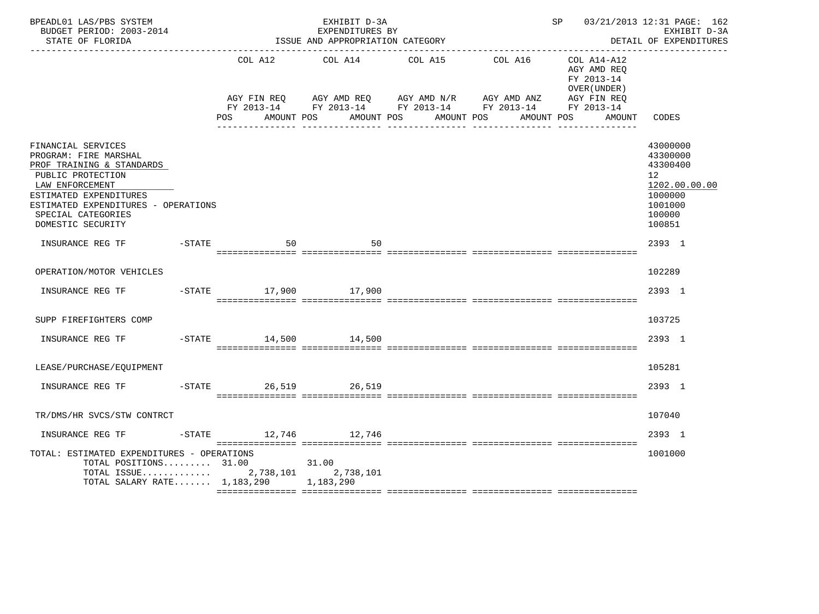| BPEADL01 LAS/PBS SYSTEM<br>BUDGET PERIOD: 2003-2014<br>STATE OF FLORIDA                                                                                                                                                      |                        | EXHIBIT D-3A<br>EXPENDITURES BY<br>ISSUE AND APPROPRIATION CATEGORY |                                                                                                                                                   |         | SP 03/21/2013 12:31 PAGE: 162                            | EXHIBIT D-3A<br>DETAIL OF EXPENDITURES                                                            |
|------------------------------------------------------------------------------------------------------------------------------------------------------------------------------------------------------------------------------|------------------------|---------------------------------------------------------------------|---------------------------------------------------------------------------------------------------------------------------------------------------|---------|----------------------------------------------------------|---------------------------------------------------------------------------------------------------|
|                                                                                                                                                                                                                              | COL A12                | COL A14                                                             | COL A15                                                                                                                                           | COL A16 | COL A14-A12<br>AGY AMD REO<br>FY 2013-14<br>OVER (UNDER) |                                                                                                   |
|                                                                                                                                                                                                                              | POS FOR                | AMOUNT POS                                                          | AGY FIN REQ AGY AMD REQ AGY AMD N/R AGY AMD ANZ AGY FIN REQ<br>FY 2013-14 FY 2013-14 FY 2013-14 FY 2013-14 FY 2013-14<br>AMOUNT POS<br>AMOUNT POS |         | AMOUNT POS<br>AMOUNT                                     | CODES                                                                                             |
|                                                                                                                                                                                                                              |                        |                                                                     |                                                                                                                                                   |         |                                                          |                                                                                                   |
| FINANCIAL SERVICES<br>PROGRAM: FIRE MARSHAL<br>PROF TRAINING & STANDARDS<br>PUBLIC PROTECTION<br>LAW ENFORCEMENT<br>ESTIMATED EXPENDITURES<br>ESTIMATED EXPENDITURES - OPERATIONS<br>SPECIAL CATEGORIES<br>DOMESTIC SECURITY |                        |                                                                     |                                                                                                                                                   |         |                                                          | 43000000<br>43300000<br>43300400<br>12<br>1202.00.00.00<br>1000000<br>1001000<br>100000<br>100851 |
| INSURANCE REG TF                                                                                                                                                                                                             | $-STATE$ 50            | 50                                                                  |                                                                                                                                                   |         |                                                          | 2393 1                                                                                            |
| OPERATION/MOTOR VEHICLES                                                                                                                                                                                                     |                        |                                                                     |                                                                                                                                                   |         |                                                          | 102289                                                                                            |
| INSURANCE REG TF                                                                                                                                                                                                             | -STATE 17,900 17,900   |                                                                     |                                                                                                                                                   |         |                                                          | 2393 1                                                                                            |
| SUPP FIREFIGHTERS COMP                                                                                                                                                                                                       |                        |                                                                     |                                                                                                                                                   |         |                                                          | 103725                                                                                            |
| INSURANCE REG TF                                                                                                                                                                                                             | -STATE 14,500 14,500   |                                                                     |                                                                                                                                                   |         |                                                          | 2393 1                                                                                            |
| LEASE/PURCHASE/EQUIPMENT                                                                                                                                                                                                     |                        |                                                                     |                                                                                                                                                   |         |                                                          | 105281                                                                                            |
| INSURANCE REG TF                                                                                                                                                                                                             | $-STATE$               | 26,519 26,519                                                       |                                                                                                                                                   |         |                                                          | 2393 1                                                                                            |
| TR/DMS/HR SVCS/STW CONTRCT                                                                                                                                                                                                   |                        |                                                                     |                                                                                                                                                   |         |                                                          | 107040                                                                                            |
| INSURANCE REG TF                                                                                                                                                                                                             | $-STATE$ 12,746 12,746 |                                                                     |                                                                                                                                                   |         |                                                          | 2393 1                                                                                            |
| TOTAL: ESTIMATED EXPENDITURES - OPERATIONS<br>TOTAL POSITIONS $31.00$<br>TOTAL ISSUE $2,738,101$<br>TOTAL SALARY RATE 1,183,290 1,183,290                                                                                    |                        | 31.00<br>2,738,101                                                  |                                                                                                                                                   |         |                                                          | 1001000                                                                                           |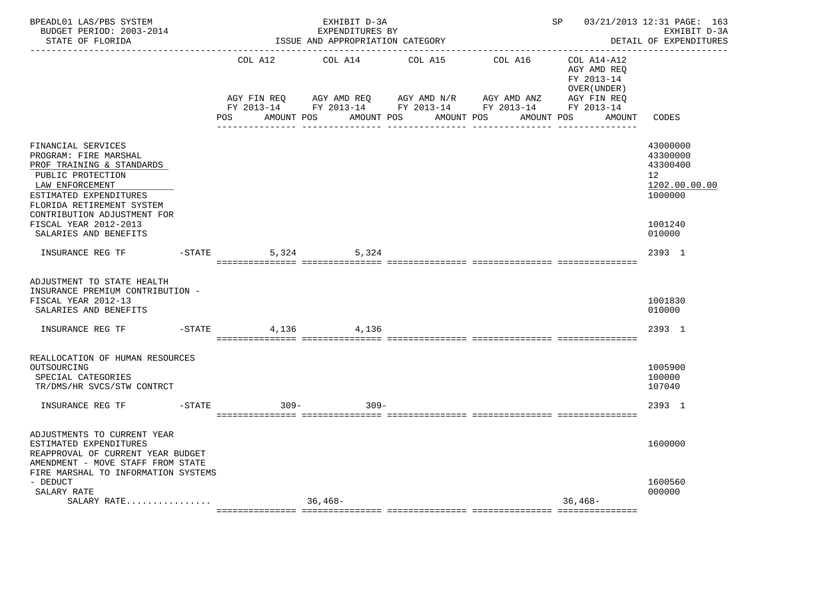| BPEADL01 LAS/PBS SYSTEM<br>BUDGET PERIOD: 2003-2014<br>STATE OF FLORIDA                                                                                                                                |                  |                    | EXHIBIT D-3A<br>EXPENDITURES BY<br>ISSUE AND APPROPRIATION CATEGORY                                                                 |                          |            | SP 03/21/2013 12:31 PAGE: 163                                 | EXHIBIT D-3A<br>DETAIL OF EXPENDITURES                                          |
|--------------------------------------------------------------------------------------------------------------------------------------------------------------------------------------------------------|------------------|--------------------|-------------------------------------------------------------------------------------------------------------------------------------|--------------------------|------------|---------------------------------------------------------------|---------------------------------------------------------------------------------|
|                                                                                                                                                                                                        |                  | COL A12            | COL A14                                                                                                                             | COL A15                  | COL A16    | $COL A14 - A12$<br>AGY AMD REO<br>FY 2013-14<br>OVER (UNDER ) |                                                                                 |
|                                                                                                                                                                                                        |                  | POS                | AGY FIN REQ AGY AMD REQ AGY AMD N/R AGY AMD ANZ AGY FIN REQ<br>FY 2013-14 FY 2013-14 FY 2013-14 FY 2013-14 FY 2013-14<br>AMOUNT POS | AMOUNT POS<br>AMOUNT POS | AMOUNT POS | AGY FIN REQ<br>AMOUNT                                         | CODES                                                                           |
| FINANCIAL SERVICES<br>PROGRAM: FIRE MARSHAL<br>PROF TRAINING & STANDARDS<br>PUBLIC PROTECTION<br>LAW ENFORCEMENT<br>ESTIMATED EXPENDITURES<br>FLORIDA RETIREMENT SYSTEM<br>CONTRIBUTION ADJUSTMENT FOR |                  |                    |                                                                                                                                     |                          |            |                                                               | 43000000<br>43300000<br>43300400<br>12 <sup>°</sup><br>1202.00.00.00<br>1000000 |
| FISCAL YEAR 2012-2013<br>SALARIES AND BENEFITS                                                                                                                                                         |                  |                    |                                                                                                                                     |                          |            |                                                               | 1001240<br>010000                                                               |
| INSURANCE REG TF                                                                                                                                                                                       |                  | $-$ STATE<br>5,324 | 5,324                                                                                                                               |                          |            |                                                               | 2393 1                                                                          |
| ADJUSTMENT TO STATE HEALTH<br>INSURANCE PREMIUM CONTRIBUTION -<br>FISCAL YEAR 2012-13<br>SALARIES AND BENEFITS                                                                                         |                  |                    |                                                                                                                                     |                          |            |                                                               | 1001830<br>010000                                                               |
| INSURANCE REG TF                                                                                                                                                                                       | $-$ STATE        | 4,136              | 4,136                                                                                                                               |                          |            |                                                               | 2393 1                                                                          |
| REALLOCATION OF HUMAN RESOURCES<br>OUTSOURCING<br>SPECIAL CATEGORIES<br>TR/DMS/HR SVCS/STW CONTRCT                                                                                                     |                  |                    |                                                                                                                                     |                          |            |                                                               | 1005900<br>100000<br>107040                                                     |
| INSURANCE REG TF                                                                                                                                                                                       | $- \text{STATE}$ | $309-$             | $309 -$                                                                                                                             |                          |            |                                                               | 2393 1                                                                          |
| ADJUSTMENTS TO CURRENT YEAR<br>ESTIMATED EXPENDITURES<br>REAPPROVAL OF CURRENT YEAR BUDGET<br>AMENDMENT - MOVE STAFF FROM STATE<br>FIRE MARSHAL TO INFORMATION SYSTEMS                                 |                  |                    |                                                                                                                                     |                          |            |                                                               | 1600000                                                                         |
| - DEDUCT<br>SALARY RATE<br>SALARY RATE                                                                                                                                                                 |                  |                    | 36,468-                                                                                                                             |                          |            | $36,468-$                                                     | 1600560<br>000000                                                               |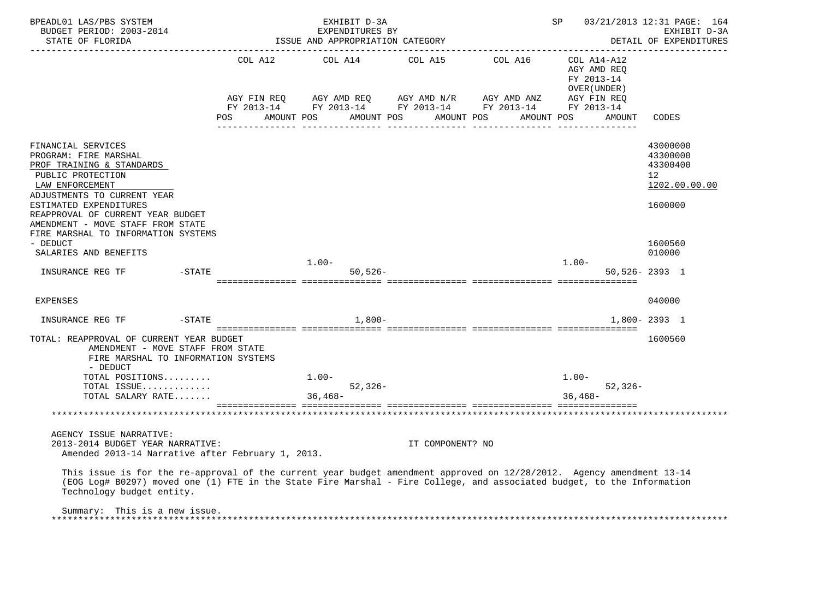| BPEADL01 LAS/PBS SYSTEM<br>BUDGET PERIOD: 2003-2014<br>STATE OF FLORIDA                                                                                                                                                                                                                    |                    | EXHIBIT D-3A<br>EXPENDITURES BY<br>ISSUE AND APPROPRIATION CATEGORY                                                       |                  | ----------------------------------- | SP                                                                 | 03/21/2013 12:31 PAGE: 164<br>EXHIBIT D-3A<br>DETAIL OF EXPENDITURES            |
|--------------------------------------------------------------------------------------------------------------------------------------------------------------------------------------------------------------------------------------------------------------------------------------------|--------------------|---------------------------------------------------------------------------------------------------------------------------|------------------|-------------------------------------|--------------------------------------------------------------------|---------------------------------------------------------------------------------|
|                                                                                                                                                                                                                                                                                            | AGY FIN REQ<br>POS | AGY AMD REQ AGY AMD N/R AGY AMD ANZ<br>FY 2013-14 FY 2013-14 FY 2013-14 FY 2013-14 FY 2013-14<br>AMOUNT POS<br>AMOUNT POS | AMOUNT POS       | AMOUNT POS                          | AGY AMD REO<br>FY 2013-14<br>OVER (UNDER)<br>AGY FIN REQ<br>AMOUNT | CODES                                                                           |
| FINANCIAL SERVICES<br>PROGRAM: FIRE MARSHAL<br>PROF TRAINING & STANDARDS<br>PUBLIC PROTECTION<br>LAW ENFORCEMENT<br>ADJUSTMENTS TO CURRENT YEAR<br>ESTIMATED EXPENDITURES<br>REAPPROVAL OF CURRENT YEAR BUDGET<br>AMENDMENT - MOVE STAFF FROM STATE<br>FIRE MARSHAL TO INFORMATION SYSTEMS |                    |                                                                                                                           |                  |                                     |                                                                    | 43000000<br>43300000<br>43300400<br>12 <sup>°</sup><br>1202.00.00.00<br>1600000 |
| - DEDUCT<br>SALARIES AND BENEFITS                                                                                                                                                                                                                                                          |                    | $1.00 -$<br>$50,526 -$                                                                                                    |                  |                                     | $1.00 -$                                                           | 1600560<br>010000<br>$50,526 - 2393$ 1                                          |
| <b>EXPENSES</b>                                                                                                                                                                                                                                                                            |                    |                                                                                                                           |                  |                                     |                                                                    | 040000                                                                          |
| $-$ STATE<br>INSURANCE REG TF<br>TOTAL: REAPPROVAL OF CURRENT YEAR BUDGET<br>AMENDMENT - MOVE STAFF FROM STATE<br>FIRE MARSHAL TO INFORMATION SYSTEMS<br>- DEDUCT<br>TOTAL POSITIONS<br>TOTAL ISSUE                                                                                        |                    | 1,800-<br>$1.00 -$<br>$52,326-$                                                                                           |                  |                                     | $1.00 -$<br>$52, 326 -$                                            | $1,800 - 2393$ 1<br>1600560                                                     |
| TOTAL SALARY RATE                                                                                                                                                                                                                                                                          |                    | $36,468-$                                                                                                                 |                  |                                     | $36.468 -$                                                         |                                                                                 |
| AGENCY ISSUE NARRATIVE:<br>2013-2014 BUDGET YEAR NARRATIVE:<br>Amended 2013-14 Narrative after February 1, 2013.                                                                                                                                                                           |                    |                                                                                                                           | IT COMPONENT? NO |                                     |                                                                    |                                                                                 |
| This issue is for the re-approval of the current year budget amendment approved on 12/28/2012. Agency amendment 13-14<br>(EOG Log# B0297) moved one (1) FTE in the State Fire Marshal - Fire College, and associated budget, to the Information<br>Technology budget entity.               |                    |                                                                                                                           |                  |                                     |                                                                    |                                                                                 |
| Summary: This is a new issue.                                                                                                                                                                                                                                                              |                    |                                                                                                                           |                  |                                     |                                                                    |                                                                                 |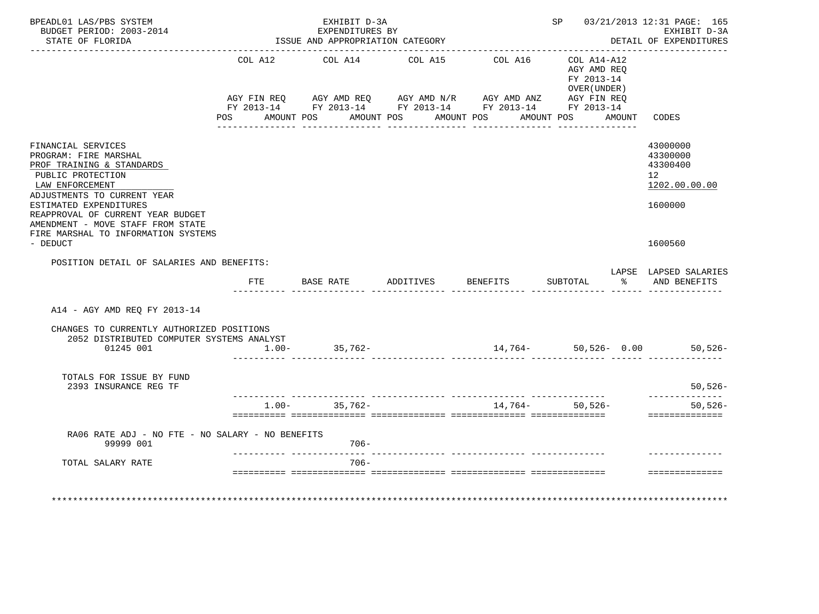| BPEADL01 LAS/PBS SYSTEM<br>BUDGET PERIOD: 2003-2014<br>STATE OF FLORIDA                                                                                                                                                                             |                           | EXHIBIT D-3A<br>EXPENDITURES BY<br>ISSUE AND APPROPRIATION CATEGORY |                                                                                                                                                |                       |                                                                           |        | SP 03/21/2013 12:31 PAGE: 165<br>EXHIBIT D-3A<br>DETAIL OF EXPENDITURES |
|-----------------------------------------------------------------------------------------------------------------------------------------------------------------------------------------------------------------------------------------------------|---------------------------|---------------------------------------------------------------------|------------------------------------------------------------------------------------------------------------------------------------------------|-----------------------|---------------------------------------------------------------------------|--------|-------------------------------------------------------------------------|
|                                                                                                                                                                                                                                                     | COL A12<br>POS AMOUNT POS | COL A14                                                             | COL A15<br>AGY FIN REQ AGY AMD REQ AGY AMD N/R AGY AMD ANZ AGY FIN REQ<br>FY 2013-14 FY 2013-14 FY 2013-14 FY 2013-14 FY 2013-14<br>AMOUNT POS | COL A16<br>AMOUNT POS | $COL A14- A12$<br>AGY AMD REO<br>FY 2013-14<br>OVER (UNDER)<br>AMOUNT POS | AMOUNT | CODES                                                                   |
| FINANCIAL SERVICES<br>PROGRAM: FIRE MARSHAL<br>PROF TRAINING & STANDARDS<br>PUBLIC PROTECTION<br>LAW ENFORCEMENT<br>ADJUSTMENTS TO CURRENT YEAR<br>ESTIMATED EXPENDITURES<br>REAPPROVAL OF CURRENT YEAR BUDGET<br>AMENDMENT - MOVE STAFF FROM STATE |                           |                                                                     |                                                                                                                                                |                       |                                                                           |        | 43000000<br>43300000<br>43300400<br>12<br>1202.00.00.00<br>1600000      |
| FIRE MARSHAL TO INFORMATION SYSTEMS<br>- DEDUCT                                                                                                                                                                                                     |                           |                                                                     |                                                                                                                                                |                       |                                                                           |        | 1600560                                                                 |
| POSITION DETAIL OF SALARIES AND BENEFITS:                                                                                                                                                                                                           |                           |                                                                     |                                                                                                                                                |                       |                                                                           |        | LAPSE LAPSED SALARIES                                                   |
|                                                                                                                                                                                                                                                     | FTE                       |                                                                     | BASE RATE ADDITIVES BENEFITS                                                                                                                   |                       | SUBTOTAL                                                                  |        | % AND BENEFITS                                                          |
| A14 - AGY AMD REQ FY 2013-14                                                                                                                                                                                                                        |                           |                                                                     |                                                                                                                                                |                       |                                                                           |        |                                                                         |
| CHANGES TO CURRENTLY AUTHORIZED POSITIONS<br>2052 DISTRIBUTED COMPUTER SYSTEMS ANALYST<br>01245 001                                                                                                                                                 | $1.00 -$                  | 35,762-                                                             |                                                                                                                                                |                       |                                                                           |        | $14,764 - 50,526 - 0.00$ 50,526-                                        |
| TOTALS FOR ISSUE BY FUND<br>2393 INSURANCE REG TF                                                                                                                                                                                                   |                           |                                                                     |                                                                                                                                                |                       |                                                                           |        | $50,526-$                                                               |
|                                                                                                                                                                                                                                                     | $1.00 -$                  | 35,762-                                                             |                                                                                                                                                |                       | 14,764- 50,526-                                                           |        | -----------<br>$50, 526 -$<br>==============                            |
| RA06 RATE ADJ - NO FTE - NO SALARY - NO BENEFITS<br>99999 001                                                                                                                                                                                       |                           | $706 -$                                                             |                                                                                                                                                |                       |                                                                           |        |                                                                         |
| TOTAL SALARY RATE                                                                                                                                                                                                                                   |                           | $706 -$                                                             |                                                                                                                                                |                       |                                                                           |        |                                                                         |
| *********************                                                                                                                                                                                                                               |                           |                                                                     |                                                                                                                                                |                       |                                                                           |        | ==============                                                          |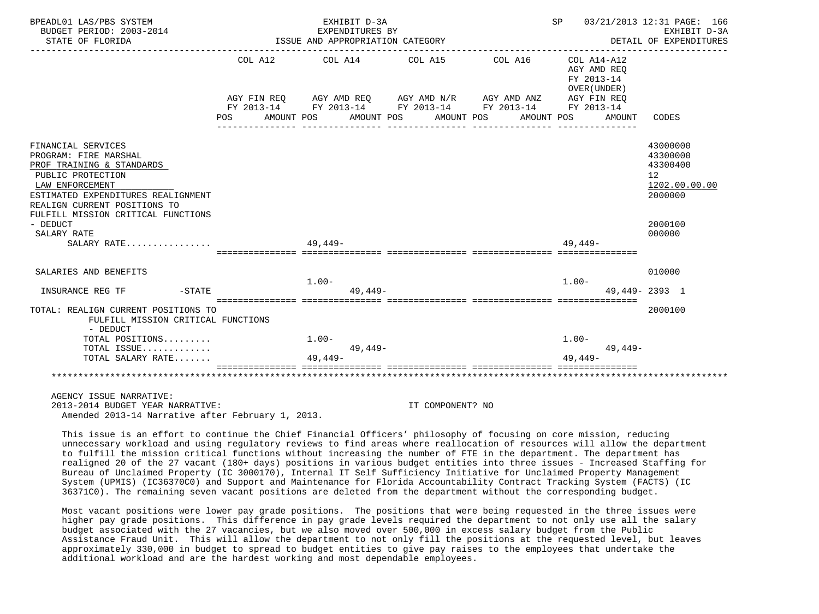| BPEADL01 LAS/PBS SYSTEM                                                                                                                                                                                                                  |            | EXHIBIT D-3A                                                                                                                                                   |                       |                                   |                                                     | SP 03/21/2013 12:31 PAGE: 166                                                 |
|------------------------------------------------------------------------------------------------------------------------------------------------------------------------------------------------------------------------------------------|------------|----------------------------------------------------------------------------------------------------------------------------------------------------------------|-----------------------|-----------------------------------|-----------------------------------------------------|-------------------------------------------------------------------------------|
| BUDGET PERIOD: 2003-2014<br>STATE OF FLORIDA                                                                                                                                                                                             |            | EXPENDITURES BY<br>ISSUE AND APPROPRIATION CATEGORY                                                                                                            |                       |                                   |                                                     | EXHIBIT D-3A<br>DETAIL OF EXPENDITURES                                        |
|                                                                                                                                                                                                                                          | <b>POS</b> | COL A12 COL A14 COL A15<br>AGY FIN REQ AGY AMD REQ AGY AMD N/R AGY AMD ANZ AGY FIN REQ<br>FY 2013-14 FY 2013-14 FY 2013-14 FY 2013-14 FY 2013-14<br>AMOUNT POS | AMOUNT POS AMOUNT POS | COL A16 COL A14-A12<br>AMOUNT POS | AGY AMD REO<br>FY 2013-14<br>OVER (UNDER)<br>AMOUNT | CODES                                                                         |
|                                                                                                                                                                                                                                          |            |                                                                                                                                                                |                       |                                   |                                                     |                                                                               |
| FINANCIAL SERVICES<br>PROGRAM: FIRE MARSHAL<br>PROF TRAINING & STANDARDS<br>PUBLIC PROTECTION<br>LAW ENFORCEMENT<br>ESTIMATED EXPENDITURES REALIGNMENT<br>REALIGN CURRENT POSITIONS TO<br>FULFILL MISSION CRITICAL FUNCTIONS<br>- DEDUCT |            |                                                                                                                                                                |                       |                                   |                                                     | 43000000<br>43300000<br>43300400<br>12<br>1202.00.00.00<br>2000000<br>2000100 |
| SALARY RATE                                                                                                                                                                                                                              |            |                                                                                                                                                                |                       |                                   |                                                     | 000000                                                                        |
| SALARY RATE                                                                                                                                                                                                                              |            | $49.449-$                                                                                                                                                      |                       |                                   | $49.449-$                                           |                                                                               |
| SALARIES AND BENEFITS                                                                                                                                                                                                                    |            |                                                                                                                                                                |                       |                                   |                                                     | 010000                                                                        |
| INSURANCE REG TF FIND - STATE                                                                                                                                                                                                            |            | $1.00 -$<br>$49.449 -$                                                                                                                                         |                       |                                   | $1.00-$                                             | $49.449 - 2393$ 1                                                             |
| TOTAL: REALIGN CURRENT POSITIONS TO<br>FULFILL MISSION CRITICAL FUNCTIONS<br>- DEDUCT                                                                                                                                                    |            |                                                                                                                                                                |                       |                                   |                                                     | 2000100                                                                       |
| TOTAL POSITIONS                                                                                                                                                                                                                          |            | $1.00 -$                                                                                                                                                       |                       |                                   | $1.00-$                                             |                                                                               |
| TOTAL ISSUE<br>TOTAL SALARY RATE                                                                                                                                                                                                         |            | 49,449-<br>49,449-                                                                                                                                             |                       |                                   | 49,449-<br>49.449-                                  |                                                                               |
|                                                                                                                                                                                                                                          |            |                                                                                                                                                                |                       |                                   | ___________________________________                 |                                                                               |
| AGENCY ISSUE NARRATIVE:                                                                                                                                                                                                                  |            |                                                                                                                                                                |                       |                                   |                                                     |                                                                               |
| 2013-2014 BUDGET YEAR NARRATIVE:                                                                                                                                                                                                         |            |                                                                                                                                                                | IT COMPONENT? NO      |                                   |                                                     |                                                                               |

Amended 2013-14 Narrative after February 1, 2013.

 This issue is an effort to continue the Chief Financial Officers' philosophy of focusing on core mission, reducing unnecessary workload and using regulatory reviews to find areas where reallocation of resources will allow the department to fulfill the mission critical functions without increasing the number of FTE in the department. The department has realigned 20 of the 27 vacant (180+ days) positions in various budget entities into three issues - Increased Staffing for Bureau of Unclaimed Property (IC 3000170), Internal IT Self Sufficiency Initiative for Unclaimed Property Management System (UPMIS) (IC36370C0) and Support and Maintenance for Florida Accountability Contract Tracking System (FACTS) (IC 36371C0). The remaining seven vacant positions are deleted from the department without the corresponding budget.

 Most vacant positions were lower pay grade positions. The positions that were being requested in the three issues were higher pay grade positions. This difference in pay grade levels required the department to not only use all the salary budget associated with the 27 vacancies, but we also moved over 500,000 in excess salary budget from the Public Assistance Fraud Unit. This will allow the department to not only fill the positions at the requested level, but leaves approximately 330,000 in budget to spread to budget entities to give pay raises to the employees that undertake the additional workload and are the hardest working and most dependable employees.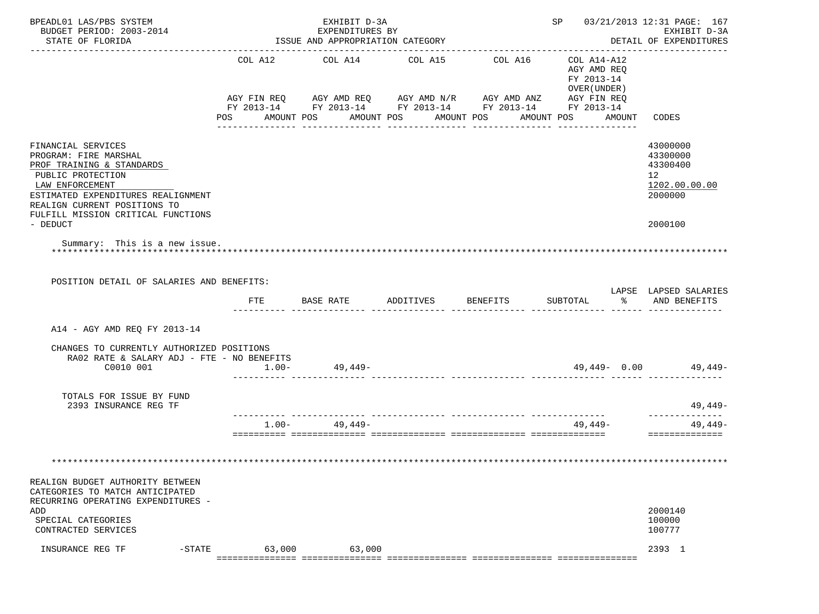| BPEADL01 LAS/PBS SYSTEM                                                                                                                                                                                                                  |                           | EXHIBIT D-3A                                        |                                  |                                                                                                                                  | SP 03/21/2013 12:31 PAGE: 167                                                       |                                                                                            |
|------------------------------------------------------------------------------------------------------------------------------------------------------------------------------------------------------------------------------------------|---------------------------|-----------------------------------------------------|----------------------------------|----------------------------------------------------------------------------------------------------------------------------------|-------------------------------------------------------------------------------------|--------------------------------------------------------------------------------------------|
| BUDGET PERIOD: 2003-2014<br>STATE OF FLORIDA                                                                                                                                                                                             |                           | EXPENDITURES BY<br>ISSUE AND APPROPRIATION CATEGORY |                                  |                                                                                                                                  |                                                                                     | EXHIBIT D-3A<br>DETAIL OF EXPENDITURES                                                     |
|                                                                                                                                                                                                                                          | COL A12<br>POS AMOUNT POS | COL A14                                             | COL A15<br>AMOUNT POS AMOUNT POS | COL A16<br>AGY FIN REQ AGY AMD REQ AGY AMD N/R AGY AMD ANZ AGY FIN REQ<br>FY 2013-14 FY 2013-14 FY 2013-14 FY 2013-14 FY 2013-14 | COL A14-A12<br>AGY AMD REO<br>FY 2013-14<br>OVER (UNDER)<br>AMOUNT POS AMOUNT CODES |                                                                                            |
| FINANCIAL SERVICES<br>PROGRAM: FIRE MARSHAL<br>PROF TRAINING & STANDARDS<br>PUBLIC PROTECTION<br>LAW ENFORCEMENT<br>ESTIMATED EXPENDITURES REALIGNMENT<br>REALIGN CURRENT POSITIONS TO<br>FULFILL MISSION CRITICAL FUNCTIONS<br>- DEDUCT |                           |                                                     |                                  |                                                                                                                                  |                                                                                     | 43000000<br>43300000<br>43300400<br>12 <sup>°</sup><br>1202.00.00.00<br>2000000<br>2000100 |
| Summary: This is a new issue.                                                                                                                                                                                                            |                           |                                                     |                                  |                                                                                                                                  |                                                                                     |                                                                                            |
| POSITION DETAIL OF SALARIES AND BENEFITS:                                                                                                                                                                                                | FTE                       | BASE RATE ADDITIVES BENEFITS                        |                                  |                                                                                                                                  | SUBTOTAL % AND BENEFITS                                                             | LAPSE LAPSED SALARIES                                                                      |
| A14 - AGY AMD REQ FY 2013-14                                                                                                                                                                                                             |                           |                                                     |                                  |                                                                                                                                  |                                                                                     |                                                                                            |
| CHANGES TO CURRENTLY AUTHORIZED POSITIONS<br>RA02 RATE & SALARY ADJ - FTE - NO BENEFITS<br>C0010 001                                                                                                                                     | $1.00-$                   | 49,449-                                             |                                  |                                                                                                                                  |                                                                                     | $49,449 - 0.00$ $49,449 -$                                                                 |
| TOTALS FOR ISSUE BY FUND<br>2393 INSURANCE REG TF                                                                                                                                                                                        |                           |                                                     |                                  |                                                                                                                                  |                                                                                     | 49,449-<br>--------------                                                                  |
|                                                                                                                                                                                                                                          | $1.00 -$                  | 49,449-                                             |                                  |                                                                                                                                  | 49,449-                                                                             | 49,449-<br>==============                                                                  |
|                                                                                                                                                                                                                                          |                           |                                                     |                                  |                                                                                                                                  |                                                                                     |                                                                                            |
| REALIGN BUDGET AUTHORITY BETWEEN<br>CATEGORIES TO MATCH ANTICIPATED<br>RECURRING OPERATING EXPENDITURES -                                                                                                                                |                           |                                                     |                                  |                                                                                                                                  |                                                                                     |                                                                                            |
| ADD<br>SPECIAL CATEGORIES<br>CONTRACTED SERVICES                                                                                                                                                                                         |                           |                                                     |                                  |                                                                                                                                  |                                                                                     | 2000140<br>100000<br>100777                                                                |
| INSURANCE REG TF<br>$-STATE$                                                                                                                                                                                                             | 63,000                    | 63,000                                              |                                  |                                                                                                                                  |                                                                                     | 2393 1                                                                                     |
|                                                                                                                                                                                                                                          |                           |                                                     |                                  |                                                                                                                                  |                                                                                     |                                                                                            |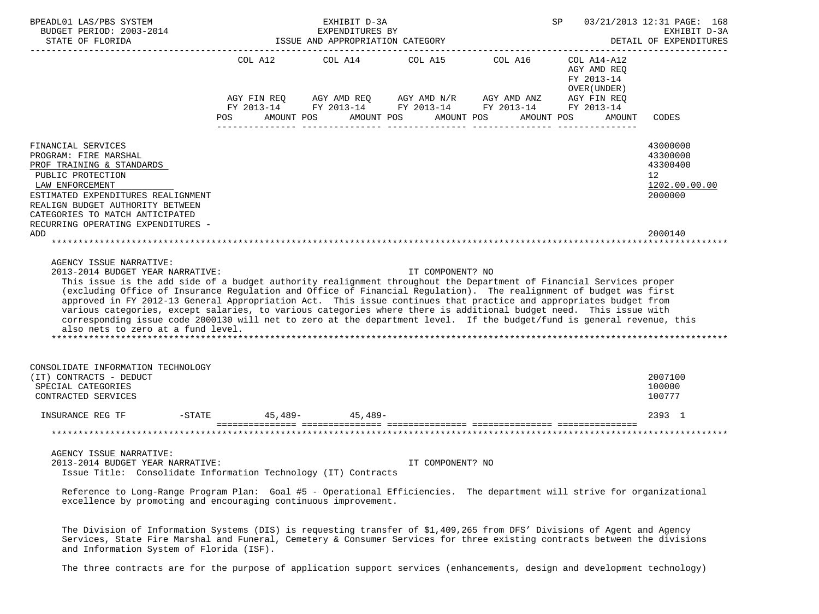| BPEADL01 LAS/PBS SYSTEM                                                                                                                                                                                                                                                                                                                                                                                                                                                                                                                                                                                                                                                                                            |                        | EXHIBIT D-3A                                        |                                 |                                                                                    | SP                                                       | 03/21/2013 12:31 PAGE: 168             |
|--------------------------------------------------------------------------------------------------------------------------------------------------------------------------------------------------------------------------------------------------------------------------------------------------------------------------------------------------------------------------------------------------------------------------------------------------------------------------------------------------------------------------------------------------------------------------------------------------------------------------------------------------------------------------------------------------------------------|------------------------|-----------------------------------------------------|---------------------------------|------------------------------------------------------------------------------------|----------------------------------------------------------|----------------------------------------|
| BUDGET PERIOD: 2003-2014<br>STATE OF FLORIDA                                                                                                                                                                                                                                                                                                                                                                                                                                                                                                                                                                                                                                                                       |                        | EXPENDITURES BY<br>ISSUE AND APPROPRIATION CATEGORY |                                 |                                                                                    |                                                          | EXHIBIT D-3A<br>DETAIL OF EXPENDITURES |
|                                                                                                                                                                                                                                                                                                                                                                                                                                                                                                                                                                                                                                                                                                                    |                        |                                                     |                                 |                                                                                    |                                                          | ----------------------                 |
|                                                                                                                                                                                                                                                                                                                                                                                                                                                                                                                                                                                                                                                                                                                    |                        |                                                     | COL A12 COL A14 COL A15 COL A16 |                                                                                    | COL A14-A12<br>AGY AMD REQ<br>FY 2013-14<br>OVER (UNDER) |                                        |
|                                                                                                                                                                                                                                                                                                                                                                                                                                                                                                                                                                                                                                                                                                                    |                        |                                                     |                                 | AGY FIN REQ AGY AMD REQ AGY AMD N/R AGY AMD ANZ AGY FIN REQ                        |                                                          |                                        |
|                                                                                                                                                                                                                                                                                                                                                                                                                                                                                                                                                                                                                                                                                                                    | POS                    | AMOUNT POS                                          | AMOUNT POS                      | FY 2013-14 FY 2013-14 FY 2013-14 FY 2013-14 FY 2013-14<br>AMOUNT POS<br>AMOUNT POS | AMOUNT                                                   | CODES                                  |
|                                                                                                                                                                                                                                                                                                                                                                                                                                                                                                                                                                                                                                                                                                                    |                        |                                                     |                                 |                                                                                    |                                                          |                                        |
| FINANCIAL SERVICES                                                                                                                                                                                                                                                                                                                                                                                                                                                                                                                                                                                                                                                                                                 |                        |                                                     |                                 |                                                                                    |                                                          |                                        |
| PROGRAM: FIRE MARSHAL                                                                                                                                                                                                                                                                                                                                                                                                                                                                                                                                                                                                                                                                                              |                        |                                                     |                                 |                                                                                    |                                                          | 43000000<br>43300000                   |
| PROF TRAINING & STANDARDS                                                                                                                                                                                                                                                                                                                                                                                                                                                                                                                                                                                                                                                                                          |                        |                                                     |                                 |                                                                                    |                                                          | 43300400                               |
| PUBLIC PROTECTION                                                                                                                                                                                                                                                                                                                                                                                                                                                                                                                                                                                                                                                                                                  |                        |                                                     |                                 |                                                                                    |                                                          | 12                                     |
| LAW ENFORCEMENT                                                                                                                                                                                                                                                                                                                                                                                                                                                                                                                                                                                                                                                                                                    |                        |                                                     |                                 |                                                                                    |                                                          | 1202.00.00.00                          |
| ESTIMATED EXPENDITURES REALIGNMENT                                                                                                                                                                                                                                                                                                                                                                                                                                                                                                                                                                                                                                                                                 |                        |                                                     |                                 |                                                                                    |                                                          | 2000000                                |
| REALIGN BUDGET AUTHORITY BETWEEN                                                                                                                                                                                                                                                                                                                                                                                                                                                                                                                                                                                                                                                                                   |                        |                                                     |                                 |                                                                                    |                                                          |                                        |
| CATEGORIES TO MATCH ANTICIPATED<br>RECURRING OPERATING EXPENDITURES -                                                                                                                                                                                                                                                                                                                                                                                                                                                                                                                                                                                                                                              |                        |                                                     |                                 |                                                                                    |                                                          |                                        |
| ADD                                                                                                                                                                                                                                                                                                                                                                                                                                                                                                                                                                                                                                                                                                                |                        |                                                     |                                 |                                                                                    |                                                          | 2000140                                |
|                                                                                                                                                                                                                                                                                                                                                                                                                                                                                                                                                                                                                                                                                                                    |                        |                                                     |                                 |                                                                                    |                                                          |                                        |
| AGENCY ISSUE NARRATIVE:<br>2013-2014 BUDGET YEAR NARRATIVE:<br>This issue is the add side of a budget authority realignment throughout the Department of Financial Services proper<br>(excluding Office of Insurance Regulation and Office of Financial Regulation). The realignment of budget was first<br>approved in FY 2012-13 General Appropriation Act. This issue continues that practice and appropriates budget from<br>various categories, except salaries, to various categories where there is additional budget need. This issue with<br>corresponding issue code 2000130 will net to zero at the department level. If the budget/fund is general revenue, this<br>also nets to zero at a fund level. |                        |                                                     | IT COMPONENT? NO                |                                                                                    |                                                          |                                        |
| CONSOLIDATE INFORMATION TECHNOLOGY                                                                                                                                                                                                                                                                                                                                                                                                                                                                                                                                                                                                                                                                                 |                        |                                                     |                                 |                                                                                    |                                                          |                                        |
| (IT) CONTRACTS - DEDUCT                                                                                                                                                                                                                                                                                                                                                                                                                                                                                                                                                                                                                                                                                            |                        |                                                     |                                 |                                                                                    |                                                          | 2007100                                |
| SPECIAL CATEGORIES                                                                                                                                                                                                                                                                                                                                                                                                                                                                                                                                                                                                                                                                                                 |                        |                                                     |                                 |                                                                                    |                                                          | 100000                                 |
| CONTRACTED SERVICES                                                                                                                                                                                                                                                                                                                                                                                                                                                                                                                                                                                                                                                                                                |                        |                                                     |                                 |                                                                                    |                                                          | 100777                                 |
| INSURANCE REG TF                                                                                                                                                                                                                                                                                                                                                                                                                                                                                                                                                                                                                                                                                                   | -STATE 45,489- 45,489- |                                                     |                                 |                                                                                    |                                                          | 2393 1                                 |
|                                                                                                                                                                                                                                                                                                                                                                                                                                                                                                                                                                                                                                                                                                                    |                        |                                                     |                                 |                                                                                    |                                                          | *******************                    |
|                                                                                                                                                                                                                                                                                                                                                                                                                                                                                                                                                                                                                                                                                                                    |                        |                                                     |                                 |                                                                                    |                                                          |                                        |
| AGENCY ISSUE NARRATIVE:                                                                                                                                                                                                                                                                                                                                                                                                                                                                                                                                                                                                                                                                                            |                        |                                                     |                                 |                                                                                    |                                                          |                                        |
| 2013-2014 BUDGET YEAR NARRATIVE:<br>Issue Title: Consolidate Information Technology (IT) Contracts                                                                                                                                                                                                                                                                                                                                                                                                                                                                                                                                                                                                                 |                        |                                                     | IT COMPONENT? NO                |                                                                                    |                                                          |                                        |
|                                                                                                                                                                                                                                                                                                                                                                                                                                                                                                                                                                                                                                                                                                                    |                        |                                                     |                                 |                                                                                    |                                                          |                                        |
| Reference to Long-Range Program Plan: Goal #5 - Operational Efficiencies. The department will strive for organizational<br>excellence by promoting and encouraging continuous improvement.                                                                                                                                                                                                                                                                                                                                                                                                                                                                                                                         |                        |                                                     |                                 |                                                                                    |                                                          |                                        |
| The Division of Information Systems (DIS) is requesting transfer of \$1,409,265 from DFS' Divisions of Agent and Agency                                                                                                                                                                                                                                                                                                                                                                                                                                                                                                                                                                                            |                        |                                                     |                                 |                                                                                    |                                                          |                                        |
| Services, State Fire Marshal and Funeral, Cemetery & Consumer Services for three existing contracts between the divisions                                                                                                                                                                                                                                                                                                                                                                                                                                                                                                                                                                                          |                        |                                                     |                                 |                                                                                    |                                                          |                                        |

 Services, State Fire Marshal and Funeral, Cemetery & Consumer Services for three existing contracts between the divisions and Information System of Florida (ISF).

The three contracts are for the purpose of application support services (enhancements, design and development technology)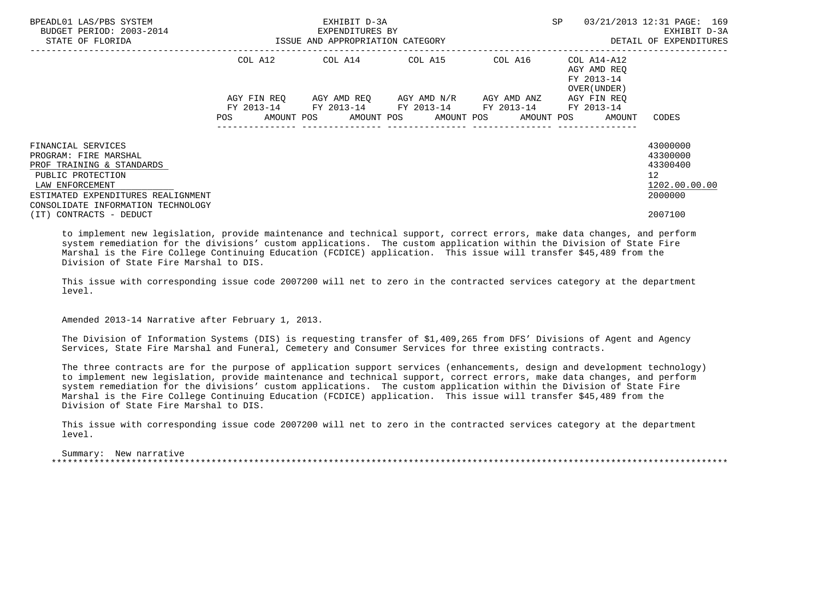| BPEADL01 LAS/PBS SYSTEM<br>BUDGET PERIOD: 2003-2014<br>STATE OF FLORIDA    |             | EXHIBIT D-3A<br>EXPENDITURES BY<br>ISSUE AND APPROPRIATION CATEGORY |                                     | <b>SP</b> | 03/21/2013 12:31 PAGE: 169<br>EXHIBIT D-3A<br>DETAIL OF EXPENDITURES |                                               |
|----------------------------------------------------------------------------|-------------|---------------------------------------------------------------------|-------------------------------------|-----------|----------------------------------------------------------------------|-----------------------------------------------|
|                                                                            | COL A12     | COL A14 COL A15                                                     |                                     | COL A16   | COL A14-A12<br>AGY AMD REO<br>FY 2013-14<br>OVER (UNDER)             |                                               |
|                                                                            | AGY FIN REO | FY 2013-14 FY 2013-14 FY 2013-14 FY 2013-14                         | AGY AMD REO AGY AMD N/R AGY AMD ANZ |           | AGY FIN REO<br>FY 2013-14                                            |                                               |
|                                                                            |             |                                                                     |                                     |           | AMOUNT POS AMOUNT POS AMOUNT POS AMOUNT POS AMOUNT                   | CODES                                         |
| FINANCIAL SERVICES<br>PROGRAM: FIRE MARSHAL<br>PROF TRAINING & STANDARDS   |             |                                                                     |                                     |           |                                                                      | 43000000<br>43300000<br>43300400              |
| PUBLIC PROTECTION<br>LAW ENFORCEMENT<br>ESTIMATED EXPENDITURES REALIGNMENT |             |                                                                     |                                     |           |                                                                      | $12 \overline{ }$<br>1202.00.00.00<br>2000000 |
| CONSOLIDATE INFORMATION TECHNOLOGY<br>(IT) CONTRACTS - DEDUCT              |             |                                                                     |                                     |           |                                                                      | 2007100                                       |

 to implement new legislation, provide maintenance and technical support, correct errors, make data changes, and perform system remediation for the divisions' custom applications. The custom application within the Division of State Fire Marshal is the Fire College Continuing Education (FCDICE) application. This issue will transfer \$45,489 from the Division of State Fire Marshal to DIS.

 This issue with corresponding issue code 2007200 will net to zero in the contracted services category at the department level.

Amended 2013-14 Narrative after February 1, 2013.

 The Division of Information Systems (DIS) is requesting transfer of \$1,409,265 from DFS' Divisions of Agent and Agency Services, State Fire Marshal and Funeral, Cemetery and Consumer Services for three existing contracts.

 The three contracts are for the purpose of application support services (enhancements, design and development technology) to implement new legislation, provide maintenance and technical support, correct errors, make data changes, and perform system remediation for the divisions' custom applications. The custom application within the Division of State Fire Marshal is the Fire College Continuing Education (FCDICE) application. This issue will transfer \$45,489 from the Division of State Fire Marshal to DIS.

 This issue with corresponding issue code 2007200 will net to zero in the contracted services category at the department level.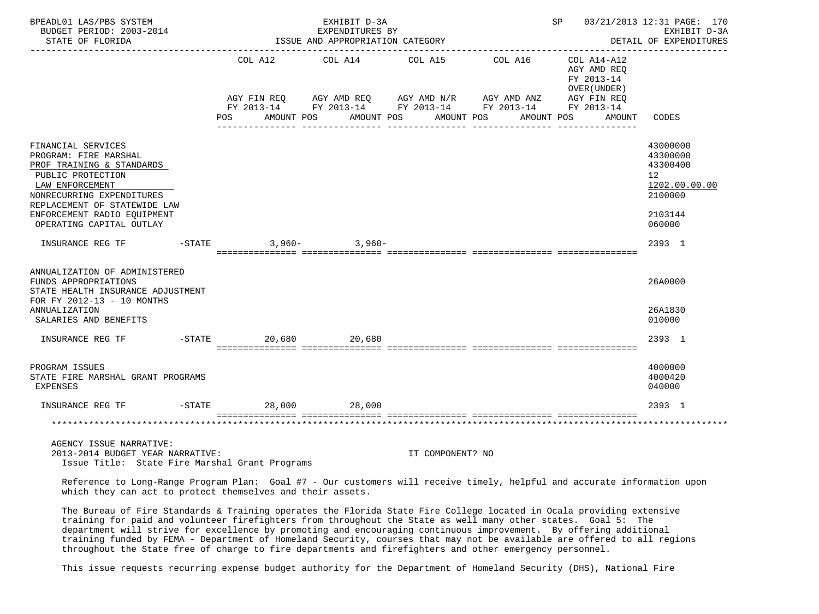| BPEADL01 LAS/PBS SYSTEM<br>BUDGET PERIOD: 2003-2014<br>STATE OF FLORIDA                                                                                                                                                                  |           |            | EXHIBIT D-3A<br>EXPENDITURES BY<br>ISSUE AND APPROPRIATION CATEGORY                                                                              |  |                       |         |            |                                                          | SP 03/21/2013 12:31 PAGE: 170<br>EXHIBIT D-3A<br>DETAIL OF EXPENDITURES<br>------------------- |
|------------------------------------------------------------------------------------------------------------------------------------------------------------------------------------------------------------------------------------------|-----------|------------|--------------------------------------------------------------------------------------------------------------------------------------------------|--|-----------------------|---------|------------|----------------------------------------------------------|------------------------------------------------------------------------------------------------|
|                                                                                                                                                                                                                                          | POS FOR   | AMOUNT POS | COL A12 COL A14 COL A15<br>AGY FIN REQ AGY AMD REQ AGY AMD N/R AGY AMD ANZ AGY FIN REQ<br>FY 2013-14 FY 2013-14 FY 2013-14 FY 2013-14 FY 2013-14 |  | AMOUNT POS AMOUNT POS | COL A16 | AMOUNT POS | COL A14-A12<br>AGY AMD REO<br>FY 2013-14<br>OVER (UNDER) | AMOUNT CODES                                                                                   |
| FINANCIAL SERVICES<br>PROGRAM: FIRE MARSHAL<br>PROF TRAINING & STANDARDS<br>PUBLIC PROTECTION<br>LAW ENFORCEMENT<br>NONRECURRING EXPENDITURES<br>REPLACEMENT OF STATEWIDE LAW<br>ENFORCEMENT RADIO EOUIPMENT<br>OPERATING CAPITAL OUTLAY |           |            |                                                                                                                                                  |  |                       |         |            |                                                          | 43000000<br>43300000<br>43300400<br>12<br>1202.00.00.00<br>2100000<br>2103144<br>060000        |
| INSURANCE REG TF                                                                                                                                                                                                                         | $-STATE$  |            | $3.960 - 3.960 -$                                                                                                                                |  |                       |         |            |                                                          | 2393 1                                                                                         |
| ANNUALIZATION OF ADMINISTERED<br>FUNDS APPROPRIATIONS<br>STATE HEALTH INSURANCE ADJUSTMENT<br>FOR FY 2012-13 - 10 MONTHS<br>ANNUALIZATION<br>SALARIES AND BENEFITS                                                                       |           |            |                                                                                                                                                  |  |                       |         |            |                                                          | 26A0000<br>26A1830<br>010000                                                                   |
| INSURANCE REG TF                                                                                                                                                                                                                         | $-STATE$  |            | 20,680 20,680                                                                                                                                    |  |                       |         |            |                                                          | 2393 1                                                                                         |
| PROGRAM ISSUES<br>STATE FIRE MARSHAL GRANT PROGRAMS<br>EXPENSES                                                                                                                                                                          |           |            |                                                                                                                                                  |  |                       |         |            |                                                          | 4000000<br>4000420<br>040000                                                                   |
| INSURANCE REG TF                                                                                                                                                                                                                         | $-$ STATE |            | 28,000 28,000                                                                                                                                    |  |                       |         |            |                                                          | 2393 1                                                                                         |
|                                                                                                                                                                                                                                          |           |            |                                                                                                                                                  |  |                       |         |            |                                                          |                                                                                                |
| AGENCY ISSUE NARRATIVE:<br>2013-2014 BUDGET YEAR NARRATIVE:<br>Issue Title: State Fire Marshal Grant Programs                                                                                                                            |           |            |                                                                                                                                                  |  | IT COMPONENT? NO      |         |            |                                                          |                                                                                                |

 Reference to Long-Range Program Plan: Goal #7 - Our customers will receive timely, helpful and accurate information upon which they can act to protect themselves and their assets.

 The Bureau of Fire Standards & Training operates the Florida State Fire College located in Ocala providing extensive training for paid and volunteer firefighters from throughout the State as well many other states. Goal 5: The department will strive for excellence by promoting and encouraging continuous improvement. By offering additional training funded by FEMA - Department of Homeland Security, courses that may not be available are offered to all regions throughout the State free of charge to fire departments and firefighters and other emergency personnel.

This issue requests recurring expense budget authority for the Department of Homeland Security (DHS), National Fire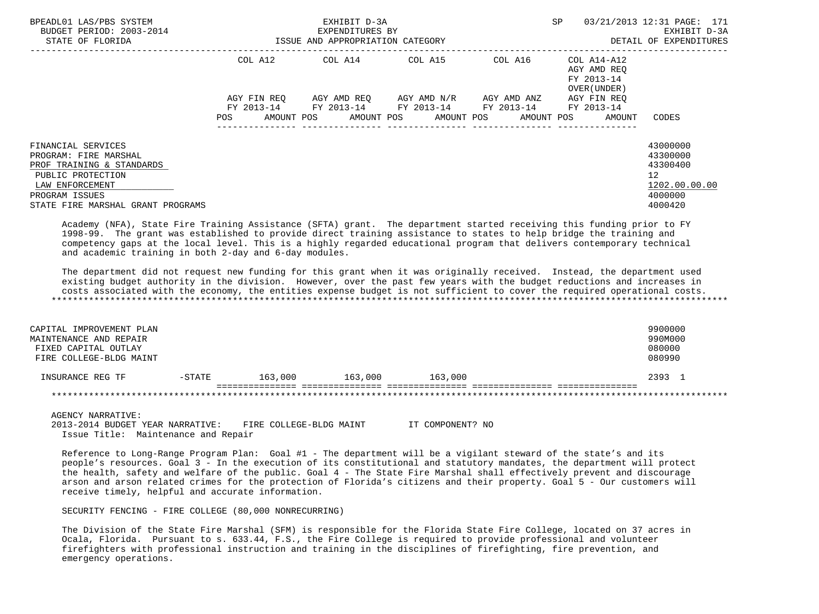| BPEADL01 LAS/PBS SYSTEM<br>BUDGET PERIOD: 2003-2014<br>STATE OF FLORIDA                                                                                                 | ISSUE AND APPROPRIATION CATEGORY | EXHIBIT D-3A<br>EXPENDITURES BY  | <b>SP</b>                           | 03/21/2013 12:31 PAGE: 171<br>EXHIBIT D-3A<br>DETAIL OF EXPENDITURES |                                                          |                                                                                            |
|-------------------------------------------------------------------------------------------------------------------------------------------------------------------------|----------------------------------|----------------------------------|-------------------------------------|----------------------------------------------------------------------|----------------------------------------------------------|--------------------------------------------------------------------------------------------|
|                                                                                                                                                                         | COL A12                          | COL A14 COL A15                  |                                     | COL A16                                                              | COL A14-A12<br>AGY AMD REO<br>FY 2013-14<br>OVER (UNDER) |                                                                                            |
|                                                                                                                                                                         | AGY FIN REO<br>POS               | AMOUNT POS AMOUNT POS AMOUNT POS | AGY AMD REO AGY AMD N/R AGY AMD ANZ | FY 2013-14 FY 2013-14 FY 2013-14 FY 2013-14 FY 2013-14<br>AMOUNT POS | AGY FIN REO<br>AMOUNT                                    | CODES                                                                                      |
| FINANCIAL SERVICES<br>PROGRAM: FIRE MARSHAL<br>PROF TRAINING & STANDARDS<br>PUBLIC PROTECTION<br>LAW ENFORCEMENT<br>PROGRAM ISSUES<br>STATE FIRE MARSHAL GRANT PROGRAMS |                                  |                                  |                                     |                                                                      |                                                          | 43000000<br>43300000<br>43300400<br>12 <sup>°</sup><br>1202.00.00.00<br>4000000<br>4000420 |

 Academy (NFA), State Fire Training Assistance (SFTA) grant. The department started receiving this funding prior to FY 1998-99. The grant was established to provide direct training assistance to states to help bridge the training and competency gaps at the local level. This is a highly regarded educational program that delivers contemporary technical and academic training in both 2-day and 6-day modules.

 The department did not request new funding for this grant when it was originally received. Instead, the department used existing budget authority in the division. However, over the past few years with the budget reductions and increases in costs associated with the economy, the entities expense budget is not sufficient to cover the required operational costs. \*\*\*\*\*\*\*\*\*\*\*\*\*\*\*\*\*\*\*\*\*\*\*\*\*\*\*\*\*\*\*\*\*\*\*\*\*\*\*\*\*\*\*\*\*\*\*\*\*\*\*\*\*\*\*\*\*\*\*\*\*\*\*\*\*\*\*\*\*\*\*\*\*\*\*\*\*\*\*\*\*\*\*\*\*\*\*\*\*\*\*\*\*\*\*\*\*\*\*\*\*\*\*\*\*\*\*\*\*\*\*\*\*\*\*\*\*\*\*\*\*\*\*\*\*\*\*

| CAPITAL IMPROVEMENT PLAN<br>MAINTENANCE AND REPAIR<br>FIXED CAPITAL OUTLAY<br>FIRE COLLEGE-BLDG MAINT |          |         |         |         | 9900000<br>990M000<br>080000<br>080990 |
|-------------------------------------------------------------------------------------------------------|----------|---------|---------|---------|----------------------------------------|
| INSURANCE REG TF                                                                                      | $-STATE$ | 163,000 | 163,000 | 163,000 | 2393 1                                 |
|                                                                                                       |          |         |         |         |                                        |

AGENCY NARRATIVE:

 2013-2014 BUDGET YEAR NARRATIVE: FIRE COLLEGE-BLDG MAINT IT COMPONENT? NO Issue Title: Maintenance and Repair

 Reference to Long-Range Program Plan: Goal #1 - The department will be a vigilant steward of the state's and its people's resources. Goal 3 - In the execution of its constitutional and statutory mandates, the department will protect the health, safety and welfare of the public. Goal 4 - The State Fire Marshal shall effectively prevent and discourage arson and arson related crimes for the protection of Florida's citizens and their property. Goal 5 - Our customers will receive timely, helpful and accurate information.

SECURITY FENCING - FIRE COLLEGE (80,000 NONRECURRING)

 The Division of the State Fire Marshal (SFM) is responsible for the Florida State Fire College, located on 37 acres in Ocala, Florida. Pursuant to s. 633.44, F.S., the Fire College is required to provide professional and volunteer firefighters with professional instruction and training in the disciplines of firefighting, fire prevention, and emergency operations.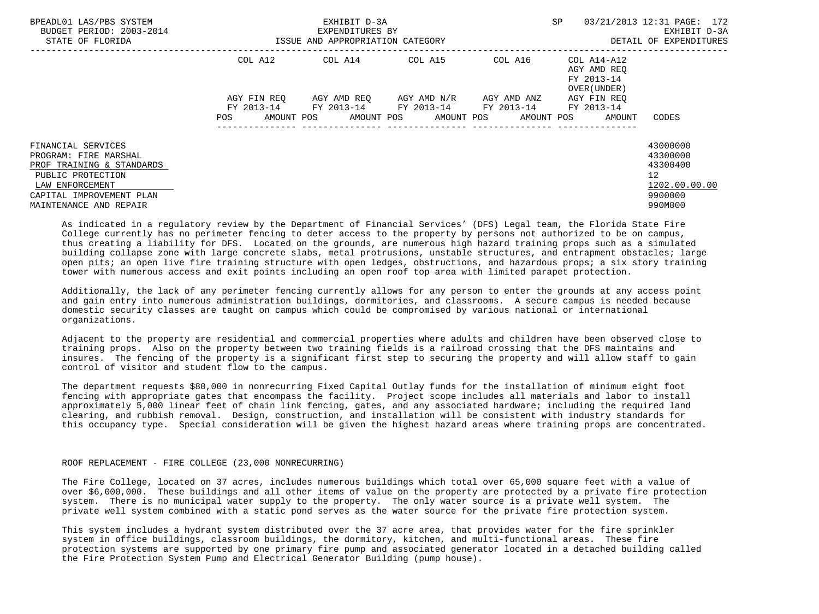| BPEADL01 LAS/PBS SYSTEM<br>BUDGET PERIOD: 2003-2014<br>STATE OF FLORIDA |                                 | EXHIBIT D-3A<br>EXPENDITURES BY<br>ISSUE AND APPROPRIATION CATEGORY | <b>SP</b>             | 03/21/2013 12:31 PAGE: 172<br>EXHIBIT D-3A<br>DETAIL OF EXPENDITURES |                                                            |                          |
|-------------------------------------------------------------------------|---------------------------------|---------------------------------------------------------------------|-----------------------|----------------------------------------------------------------------|------------------------------------------------------------|--------------------------|
|                                                                         | COL A12                         | COL A14 COL A15                                                     |                       | COL A16                                                              | $COLA14- A12$<br>AGY AMD REO<br>FY 2013-14<br>OVER (UNDER) |                          |
|                                                                         | AGY FIN REO                     | AGY AMD REO AGY AMD N/R                                             |                       | AGY AMD ANZ                                                          | AGY FIN REO                                                |                          |
|                                                                         | FY 2013-14<br>AMOUNT POS<br>POS | FY 2013-14 FY 2013-14                                               | AMOUNT POS AMOUNT POS | FY 2013-14 FY 2013-14<br>AMOUNT POS                                  | AMOUNT                                                     | CODES                    |
| FINANCIAL SERVICES<br>PROGRAM: FIRE MARSHAL                             |                                 |                                                                     |                       |                                                                      |                                                            | 43000000<br>43300000     |
| PROF TRAINING & STANDARDS                                               |                                 |                                                                     |                       |                                                                      |                                                            | 43300400                 |
| PUBLIC PROTECTION                                                       |                                 |                                                                     |                       |                                                                      |                                                            | 12                       |
| LAW ENFORCEMENT<br>CAPITAL IMPROVEMENT PLAN                             |                                 |                                                                     |                       |                                                                      |                                                            | 1202.00.00.00<br>9900000 |
| MAINTENANCE AND REPAIR                                                  |                                 |                                                                     |                       |                                                                      |                                                            | 990M000                  |

 As indicated in a regulatory review by the Department of Financial Services' (DFS) Legal team, the Florida State Fire College currently has no perimeter fencing to deter access to the property by persons not authorized to be on campus, thus creating a liability for DFS. Located on the grounds, are numerous high hazard training props such as a simulated building collapse zone with large concrete slabs, metal protrusions, unstable structures, and entrapment obstacles; large open pits; an open live fire training structure with open ledges, obstructions, and hazardous props; a six story training tower with numerous access and exit points including an open roof top area with limited parapet protection.

 Additionally, the lack of any perimeter fencing currently allows for any person to enter the grounds at any access point and gain entry into numerous administration buildings, dormitories, and classrooms. A secure campus is needed because domestic security classes are taught on campus which could be compromised by various national or international organizations.

 Adjacent to the property are residential and commercial properties where adults and children have been observed close to training props. Also on the property between two training fields is a railroad crossing that the DFS maintains and insures. The fencing of the property is a significant first step to securing the property and will allow staff to gain control of visitor and student flow to the campus.

 The department requests \$80,000 in nonrecurring Fixed Capital Outlay funds for the installation of minimum eight foot fencing with appropriate gates that encompass the facility. Project scope includes all materials and labor to install approximately 5,000 linear feet of chain link fencing, gates, and any associated hardware; including the required land clearing, and rubbish removal. Design, construction, and installation will be consistent with industry standards for this occupancy type. Special consideration will be given the highest hazard areas where training props are concentrated.

## ROOF REPLACEMENT - FIRE COLLEGE (23,000 NONRECURRING)

 The Fire College, located on 37 acres, includes numerous buildings which total over 65,000 square feet with a value of over \$6,000,000. These buildings and all other items of value on the property are protected by a private fire protection system. There is no municipal water supply to the property. The only water source is a private well system. The private well system combined with a static pond serves as the water source for the private fire protection system.

 This system includes a hydrant system distributed over the 37 acre area, that provides water for the fire sprinkler system in office buildings, classroom buildings, the dormitory, kitchen, and multi-functional areas. These fire protection systems are supported by one primary fire pump and associated generator located in a detached building called the Fire Protection System Pump and Electrical Generator Building (pump house).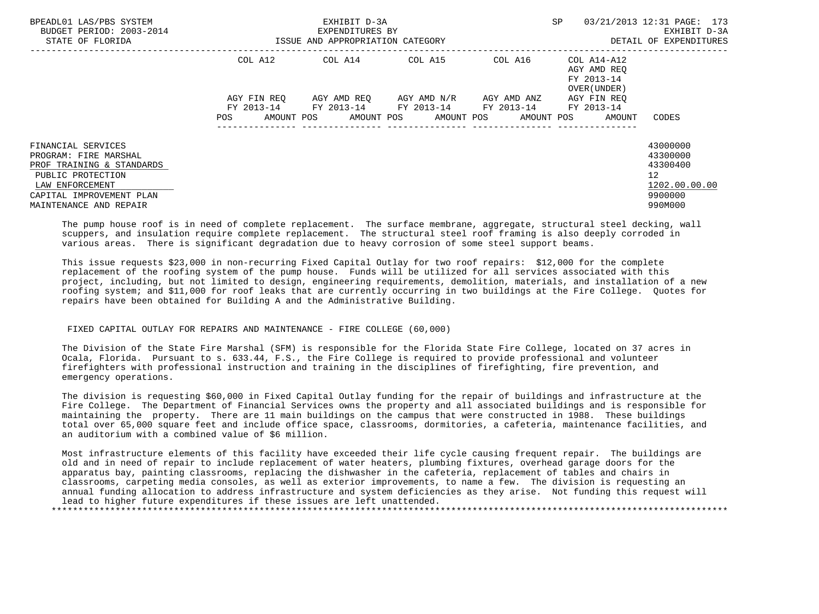| BPEADL01 LAS/PBS SYSTEM<br>BUDGET PERIOD: 2003-2014<br>STATE OF FLORIDA |                        | EXHIBIT D-3A<br>EXPENDITURES BY<br>ISSUE AND APPROPRIATION CATEGORY | SP                      | 03/21/2013 12:31 PAGE: 173<br>EXHIBIT D-3A<br>DETAIL OF EXPENDITURES |                                                                                  |                                     |
|-------------------------------------------------------------------------|------------------------|---------------------------------------------------------------------|-------------------------|----------------------------------------------------------------------|----------------------------------------------------------------------------------|-------------------------------------|
|                                                                         | COL A12<br>AGY FIN REO | COL A14 COL A15                                                     | AGY AMD REO AGY AMD N/R | AGY AMD ANZ                                                          | COL A16 COL A14-A12<br>AGY AMD REO<br>FY 2013-14<br>OVER (UNDER )<br>AGY FIN REO |                                     |
|                                                                         |                        | FY 2013-14 FY 2013-14 FY 2013-14 FY 2013-14 FY 2013-14              |                         |                                                                      |                                                                                  |                                     |
| FINANCIAL SERVICES                                                      | AMOUNT POS<br>POS.     |                                                                     | AMOUNT POS AMOUNT POS   |                                                                      | AMOUNT POS<br>AMOUNT                                                             | CODES<br>43000000                   |
| PROGRAM: FIRE MARSHAL                                                   |                        |                                                                     |                         |                                                                      |                                                                                  | 43300000                            |
| PROF TRAINING & STANDARDS<br>PUBLIC PROTECTION                          |                        |                                                                     |                         |                                                                      |                                                                                  | 43300400<br>12                      |
| LAW ENFORCEMENT<br>CAPITAL IMPROVEMENT PLAN<br>MAINTENANCE AND REPAIR   |                        |                                                                     |                         |                                                                      |                                                                                  | 1202.00.00.00<br>9900000<br>990M000 |

 The pump house roof is in need of complete replacement. The surface membrane, aggregate, structural steel decking, wall scuppers, and insulation require complete replacement. The structural steel roof framing is also deeply corroded in various areas. There is significant degradation due to heavy corrosion of some steel support beams.

 This issue requests \$23,000 in non-recurring Fixed Capital Outlay for two roof repairs: \$12,000 for the complete replacement of the roofing system of the pump house. Funds will be utilized for all services associated with this project, including, but not limited to design, engineering requirements, demolition, materials, and installation of a new roofing system; and \$11,000 for roof leaks that are currently occurring in two buildings at the Fire College. Quotes for repairs have been obtained for Building A and the Administrative Building.

## FIXED CAPITAL OUTLAY FOR REPAIRS AND MAINTENANCE - FIRE COLLEGE (60,000)

 The Division of the State Fire Marshal (SFM) is responsible for the Florida State Fire College, located on 37 acres in Ocala, Florida. Pursuant to s. 633.44, F.S., the Fire College is required to provide professional and volunteer firefighters with professional instruction and training in the disciplines of firefighting, fire prevention, and emergency operations.

 The division is requesting \$60,000 in Fixed Capital Outlay funding for the repair of buildings and infrastructure at the Fire College. The Department of Financial Services owns the property and all associated buildings and is responsible for maintaining the property. There are 11 main buildings on the campus that were constructed in 1988. These buildings total over 65,000 square feet and include office space, classrooms, dormitories, a cafeteria, maintenance facilities, and an auditorium with a combined value of \$6 million.

 Most infrastructure elements of this facility have exceeded their life cycle causing frequent repair. The buildings are old and in need of repair to include replacement of water heaters, plumbing fixtures, overhead garage doors for the apparatus bay, painting classrooms, replacing the dishwasher in the cafeteria, replacement of tables and chairs in classrooms, carpeting media consoles, as well as exterior improvements, to name a few. The division is requesting an annual funding allocation to address infrastructure and system deficiencies as they arise. Not funding this request will lead to higher future expenditures if these issues are left unattended.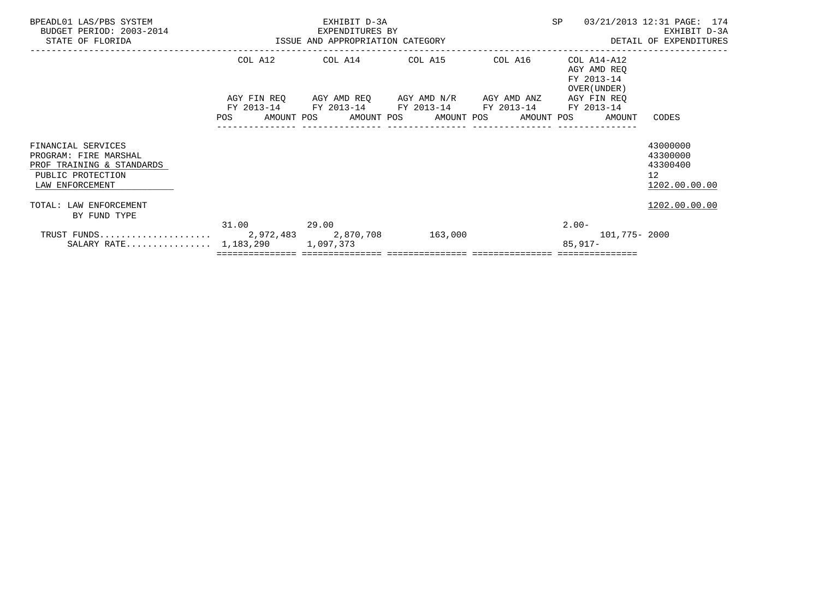| BPEADL01 LAS/PBS SYSTEM<br>BUDGET PERIOD: 2003-2014<br>STATE OF FLORIDA                                          | ISSUE AND APPROPRIATION CATEGORY | EXHIBIT D-3A<br>EXPENDITURES BY                                                                                                                 | SP | 03/21/2013 12:31 PAGE: 174<br>EXHIBIT D-3A<br>DETAIL OF EXPENDITURES |                                                                      |
|------------------------------------------------------------------------------------------------------------------|----------------------------------|-------------------------------------------------------------------------------------------------------------------------------------------------|----|----------------------------------------------------------------------|----------------------------------------------------------------------|
|                                                                                                                  |                                  | COL A12 COL A14 COL A15 COL A16                                                                                                                 |    | COL A14-A12<br>AGY AMD REO<br>FY 2013-14<br>OVER (UNDER)             |                                                                      |
|                                                                                                                  | FY 2013-14<br>POS                | AGY FIN REQ AGY AMD REQ AGY AMD N/R AGY AMD ANZ<br>FY 2013-14 FY 2013-14 FY 2013-14<br>AMOUNT POS      AMOUNT POS     AMOUNT POS     AMOUNT POS |    | AGY FIN REQ<br>FY 2013-14<br>AMOUNT                                  | CODES                                                                |
| FINANCIAL SERVICES<br>PROGRAM: FIRE MARSHAL<br>PROF TRAINING & STANDARDS<br>PUBLIC PROTECTION<br>LAW ENFORCEMENT |                                  |                                                                                                                                                 |    |                                                                      | 43000000<br>43300000<br>43300400<br>12 <sup>7</sup><br>1202.00.00.00 |
| TOTAL: LAW ENFORCEMENT<br>BY FUND TYPE                                                                           |                                  |                                                                                                                                                 |    |                                                                      | 1202.00.00.00                                                        |
| SALARY RATE 1,183,290                                                                                            | 31.00 29.00                      | 1,097,373                                                                                                                                       |    | $2.00 -$<br>101,775- 2000<br>$85,917-$                               |                                                                      |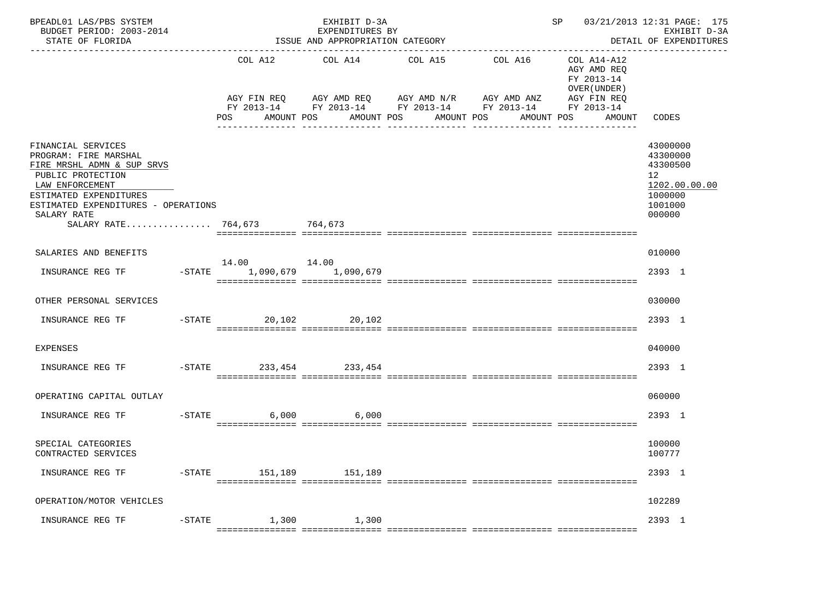| BPEADL01 LAS/PBS SYSTEM<br>BUDGET PERIOD: 2003-2014<br>STATE OF FLORIDA                                                                                                                                                          |                                              | EXHIBIT D-3A<br>EXPENDITURES BY<br>ISSUE AND APPROPRIATION CATEGORY                                                                            |                       |                       | SP 03/21/2013 12:31 PAGE: 175                                       | EXHIBIT D-3A<br>DETAIL OF EXPENDITURES                                                                |
|----------------------------------------------------------------------------------------------------------------------------------------------------------------------------------------------------------------------------------|----------------------------------------------|------------------------------------------------------------------------------------------------------------------------------------------------|-----------------------|-----------------------|---------------------------------------------------------------------|-------------------------------------------------------------------------------------------------------|
|                                                                                                                                                                                                                                  | COL A12<br>POS<br>AMOUNT POS                 | COL A14<br>AGY FIN REQ AGY AMD REQ AGY AMD N/R AGY AMD ANZ AGY FIN REQ<br>FY 2013-14 FY 2013-14 FY 2013-14 FY 2013-14 FY 2013-14<br>AMOUNT POS | COL A15<br>AMOUNT POS | COL A16<br>AMOUNT POS | COL A14-A12<br>AGY AMD REO<br>FY 2013-14<br>OVER (UNDER )<br>AMOUNT | CODES                                                                                                 |
| FINANCIAL SERVICES<br>PROGRAM: FIRE MARSHAL<br>FIRE MRSHL ADMN & SUP SRVS<br>PUBLIC PROTECTION<br>LAW ENFORCEMENT<br>ESTIMATED EXPENDITURES<br>ESTIMATED EXPENDITURES - OPERATIONS<br>SALARY RATE<br>SALARY RATE 764,673 764,673 |                                              |                                                                                                                                                |                       |                       |                                                                     | 43000000<br>43300000<br>43300500<br>12 <sup>12</sup><br>1202.00.00.00<br>1000000<br>1001000<br>000000 |
| SALARIES AND BENEFITS                                                                                                                                                                                                            |                                              |                                                                                                                                                |                       |                       |                                                                     | 010000                                                                                                |
| INSURANCE REG TF                                                                                                                                                                                                                 | 14.00    14.00<br>-STATE 1,090,679 1,090,679 |                                                                                                                                                |                       |                       |                                                                     | 2393 1                                                                                                |
| OTHER PERSONAL SERVICES                                                                                                                                                                                                          |                                              |                                                                                                                                                |                       |                       |                                                                     | 030000                                                                                                |
| INSURANCE REG TF                                                                                                                                                                                                                 | -STATE 20,102 20,102                         |                                                                                                                                                |                       |                       |                                                                     | 2393 1                                                                                                |
| <b>EXPENSES</b>                                                                                                                                                                                                                  |                                              |                                                                                                                                                |                       |                       |                                                                     | 040000                                                                                                |
| INSURANCE REG TF                                                                                                                                                                                                                 | -STATE 233, 454 233, 454                     |                                                                                                                                                |                       |                       |                                                                     | 2393 1                                                                                                |
| OPERATING CAPITAL OUTLAY                                                                                                                                                                                                         |                                              |                                                                                                                                                |                       |                       |                                                                     | 060000                                                                                                |
| INSURANCE REG TF                                                                                                                                                                                                                 | $-STATE$<br>6,000                            | 6,000                                                                                                                                          |                       |                       |                                                                     | 2393 1                                                                                                |
| SPECIAL CATEGORIES<br>CONTRACTED SERVICES                                                                                                                                                                                        |                                              |                                                                                                                                                |                       |                       |                                                                     | 100000<br>100777                                                                                      |
| INSURANCE REG TF                                                                                                                                                                                                                 | -STATE 151,189 151,189                       |                                                                                                                                                |                       |                       |                                                                     | 2393 1                                                                                                |
| OPERATION/MOTOR VEHICLES                                                                                                                                                                                                         |                                              |                                                                                                                                                |                       |                       |                                                                     | 102289                                                                                                |
| INSURANCE REG TF                                                                                                                                                                                                                 | -STATE 1,300 1,300                           |                                                                                                                                                |                       |                       |                                                                     | 2393 1                                                                                                |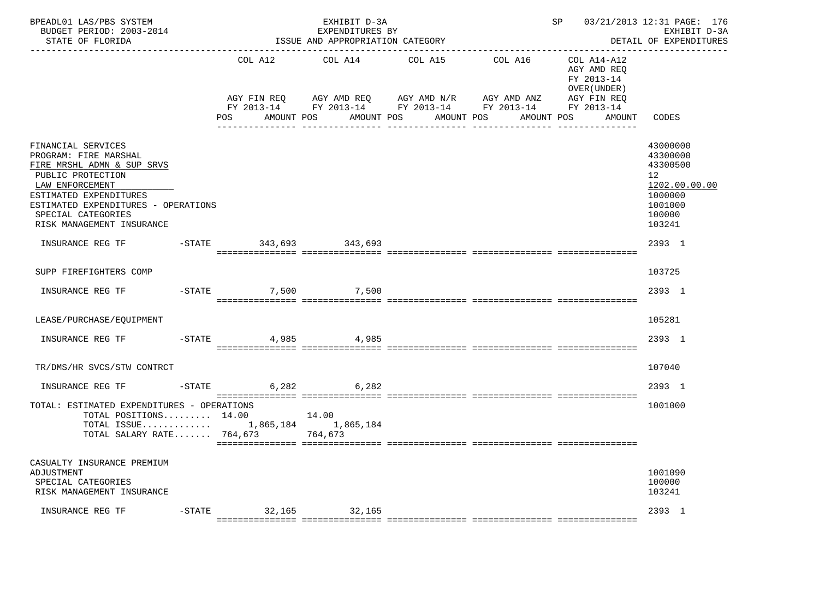| BPEADL01 LAS/PBS SYSTEM<br>BUDGET PERIOD: 2003-2014<br>STATE OF FLORIDA                                                                                                                                                               |           |                                   | EXHIBIT D-3A<br>EXPENDITURES BY<br>ISSUE AND APPROPRIATION CATEGORY | -------------------------------                                                                                                     | SP                                                                               | 03/21/2013 12:31 PAGE: 176<br>EXHIBIT D-3A<br>DETAIL OF EXPENDITURES                                           |
|---------------------------------------------------------------------------------------------------------------------------------------------------------------------------------------------------------------------------------------|-----------|-----------------------------------|---------------------------------------------------------------------|-------------------------------------------------------------------------------------------------------------------------------------|----------------------------------------------------------------------------------|----------------------------------------------------------------------------------------------------------------|
|                                                                                                                                                                                                                                       |           | COL A12<br>AGY FIN REQ<br>POS FOR | COL A14<br>AGY AMD REQ AGY AMD N/R<br>AMOUNT POS                    | COL A15<br>COL A16 COL A14-A12<br>AGY AMD ANZ<br>FY 2013-14 FY 2013-14 FY 2013-14 FY 2013-14 FY 2013-14<br>AMOUNT POS<br>AMOUNT POS | AGY AMD REO<br>FY 2013-14<br>OVER (UNDER)<br>AGY FIN REQ<br>AMOUNT POS<br>AMOUNT | CODES                                                                                                          |
| FINANCIAL SERVICES<br>PROGRAM: FIRE MARSHAL<br>FIRE MRSHL ADMN & SUP SRVS<br>PUBLIC PROTECTION<br>LAW ENFORCEMENT<br>ESTIMATED EXPENDITURES<br>ESTIMATED EXPENDITURES - OPERATIONS<br>SPECIAL CATEGORIES<br>RISK MANAGEMENT INSURANCE |           |                                   |                                                                     |                                                                                                                                     |                                                                                  | 43000000<br>43300000<br>43300500<br>12 <sup>7</sup><br>1202.00.00.00<br>1000000<br>1001000<br>100000<br>103241 |
| INSURANCE REG TF                                                                                                                                                                                                                      |           | -STATE 343,693 343,693            |                                                                     |                                                                                                                                     |                                                                                  | 2393 1                                                                                                         |
| SUPP FIREFIGHTERS COMP                                                                                                                                                                                                                |           |                                   |                                                                     |                                                                                                                                     |                                                                                  | 103725                                                                                                         |
| INSURANCE REG TF                                                                                                                                                                                                                      |           | -STATE 7,500 7,500                |                                                                     |                                                                                                                                     |                                                                                  | 2393 1                                                                                                         |
| LEASE/PURCHASE/EQUIPMENT                                                                                                                                                                                                              |           |                                   |                                                                     |                                                                                                                                     |                                                                                  | 105281                                                                                                         |
| INSURANCE REG TF                                                                                                                                                                                                                      | $-$ STATE | 4,985                             | 4,985                                                               |                                                                                                                                     |                                                                                  | 2393 1                                                                                                         |
| TR/DMS/HR SVCS/STW CONTRCT                                                                                                                                                                                                            |           |                                   |                                                                     |                                                                                                                                     |                                                                                  | 107040                                                                                                         |
| INSURANCE REG TF                                                                                                                                                                                                                      |           | -STATE 6.282 6.282                |                                                                     |                                                                                                                                     |                                                                                  | 2393 1                                                                                                         |
| TOTAL: ESTIMATED EXPENDITURES - OPERATIONS<br>TOTAL POSITIONS 14.00 14.00<br>TOTAL ISSUE 1,865,184 1,865,184<br>TOTAL SALARY RATE 764,673 764,673                                                                                     |           |                                   |                                                                     |                                                                                                                                     |                                                                                  | 1001000                                                                                                        |
| CASUALTY INSURANCE PREMIUM<br>ADJUSTMENT<br>SPECIAL CATEGORIES<br>RISK MANAGEMENT INSURANCE                                                                                                                                           |           |                                   |                                                                     |                                                                                                                                     |                                                                                  | 1001090<br>100000<br>103241                                                                                    |
| INSURANCE REG TF                                                                                                                                                                                                                      |           |                                   | -STATE 32,165 32,165                                                |                                                                                                                                     |                                                                                  | 2393 1                                                                                                         |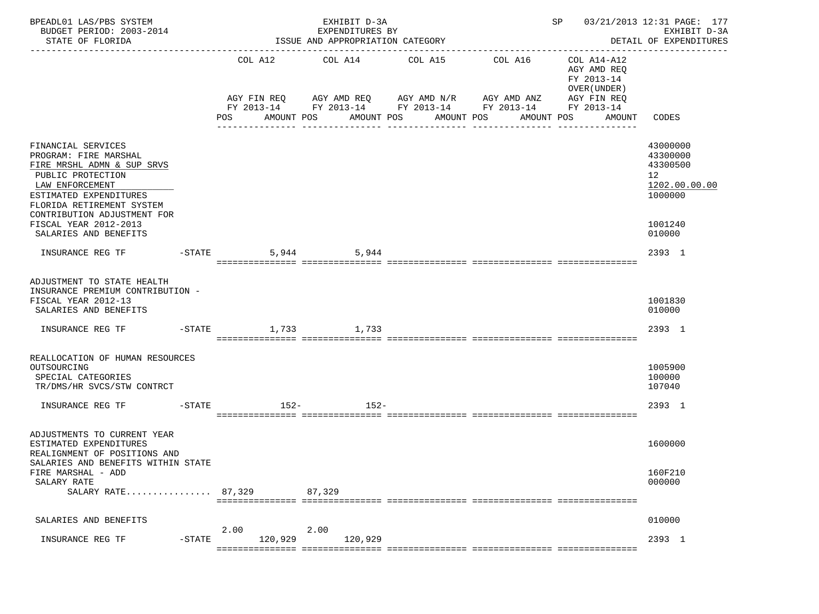| BPEADL01 LAS/PBS SYSTEM<br>BUDGET PERIOD: 2003-2014<br>STATE OF FLORIDA                                                                                                                                                                                   |           |                      | EXHIBIT D-3A<br>EXPENDITURES BY<br>ISSUE AND APPROPRIATION CATEGORY |                                  |                                                                                                                                  |                                                                                  | SP 03/21/2013 12:31 PAGE: 177<br>EXHIBIT D-3A<br>DETAIL OF EXPENDITURES                              |
|-----------------------------------------------------------------------------------------------------------------------------------------------------------------------------------------------------------------------------------------------------------|-----------|----------------------|---------------------------------------------------------------------|----------------------------------|----------------------------------------------------------------------------------------------------------------------------------|----------------------------------------------------------------------------------|------------------------------------------------------------------------------------------------------|
|                                                                                                                                                                                                                                                           |           | POS                  | COL A12 COL A14<br>AMOUNT POS                                       | COL A15<br>AMOUNT POS AMOUNT POS | COL A16<br>AGY FIN REQ AGY AMD REQ AGY AMD N/R AGY AMD ANZ AGY FIN REQ<br>FY 2013-14 FY 2013-14 FY 2013-14 FY 2013-14 FY 2013-14 | COL A14-A12<br>AGY AMD REQ<br>FY 2013-14<br>OVER (UNDER)<br>AMOUNT POS<br>AMOUNT | ------------------<br>CODES                                                                          |
| FINANCIAL SERVICES<br>PROGRAM: FIRE MARSHAL<br>FIRE MRSHL ADMN & SUP SRVS<br>PUBLIC PROTECTION<br>LAW ENFORCEMENT<br>ESTIMATED EXPENDITURES<br>FLORIDA RETIREMENT SYSTEM<br>CONTRIBUTION ADJUSTMENT FOR<br>FISCAL YEAR 2012-2013<br>SALARIES AND BENEFITS |           |                      |                                                                     |                                  |                                                                                                                                  |                                                                                  | 43000000<br>43300000<br>43300500<br>12 <sup>°</sup><br>1202.00.00.00<br>1000000<br>1001240<br>010000 |
| INSURANCE REG TF                                                                                                                                                                                                                                          |           | $-STATE$             | 5,944<br>5,944                                                      |                                  |                                                                                                                                  |                                                                                  | 2393 1                                                                                               |
| ADJUSTMENT TO STATE HEALTH<br>INSURANCE PREMIUM CONTRIBUTION -<br>FISCAL YEAR 2012-13<br>SALARIES AND BENEFITS<br>INSURANCE REG TF                                                                                                                        |           | $-STATE$ 1,733 1,733 |                                                                     |                                  |                                                                                                                                  |                                                                                  | 1001830<br>010000<br>2393 1                                                                          |
| REALLOCATION OF HUMAN RESOURCES<br>OUTSOURCING<br>SPECIAL CATEGORIES<br>TR/DMS/HR SVCS/STW CONTRCT                                                                                                                                                        |           |                      |                                                                     |                                  |                                                                                                                                  |                                                                                  | 1005900<br>100000<br>107040                                                                          |
| INSURANCE REG TF                                                                                                                                                                                                                                          |           | $-STATE$<br>152-     | $152-$                                                              |                                  |                                                                                                                                  |                                                                                  | 2393 1                                                                                               |
| ADJUSTMENTS TO CURRENT YEAR<br>ESTIMATED EXPENDITURES<br>REALIGNMENT OF POSITIONS AND<br>SALARIES AND BENEFITS WITHIN STATE                                                                                                                               |           |                      |                                                                     |                                  |                                                                                                                                  |                                                                                  | 1600000                                                                                              |
| FIRE MARSHAL - ADD<br>SALARY RATE<br>SALARY RATE 87,329                                                                                                                                                                                                   |           |                      | 87,329                                                              |                                  |                                                                                                                                  |                                                                                  | 160F210<br>000000                                                                                    |
| SALARIES AND BENEFITS                                                                                                                                                                                                                                     |           |                      |                                                                     |                                  |                                                                                                                                  |                                                                                  | 010000                                                                                               |
| INSURANCE REG TF                                                                                                                                                                                                                                          | $-$ STATE | 2.00<br>120,929      | 2.00<br>120,929                                                     |                                  |                                                                                                                                  |                                                                                  | 2393 1                                                                                               |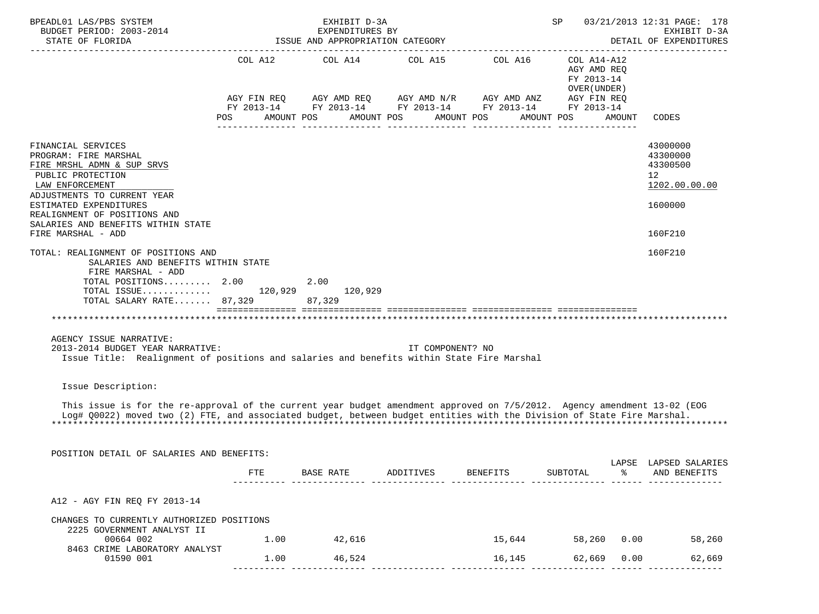| BPEADL01 LAS/PBS SYSTEM<br>BUDGET PERIOD: 2003-2014<br>STATE OF FLORIDA                                                                                                                                                                            |            | EXHIBIT D-3A<br>EXPENDITURES BY<br>ISSUE AND APPROPRIATION CATEGORY                                                                                      |                  |            | SP                                                       | 03/21/2013 12:31 PAGE: 178<br>EXHIBIT D-3A<br>DETAIL OF EXPENDITURES |
|----------------------------------------------------------------------------------------------------------------------------------------------------------------------------------------------------------------------------------------------------|------------|----------------------------------------------------------------------------------------------------------------------------------------------------------|------------------|------------|----------------------------------------------------------|----------------------------------------------------------------------|
|                                                                                                                                                                                                                                                    |            | COL A12 COL A14 COL A15 COL A16<br>AGY FIN REQ AGY AMD REQ AGY AMD N/R AGY AMD ANZ AGY FIN REQ<br>FY 2013-14 FY 2013-14 FY 2013-14 FY 2013-14 FY 2013-14 |                  |            | COL A14-A12<br>AGY AMD REQ<br>FY 2013-14<br>OVER (UNDER) |                                                                      |
|                                                                                                                                                                                                                                                    | <b>POS</b> | AMOUNT POS                                                                                                                                               | AMOUNT POS       | AMOUNT POS | AMOUNT POS<br>AMOUNT                                     | CODES                                                                |
| FINANCIAL SERVICES<br>PROGRAM: FIRE MARSHAL<br>FIRE MRSHL ADMN & SUP SRVS<br>PUBLIC PROTECTION<br>LAW ENFORCEMENT<br>ADJUSTMENTS TO CURRENT YEAR<br>ESTIMATED EXPENDITURES<br>REALIGNMENT OF POSITIONS AND                                         |            |                                                                                                                                                          |                  |            |                                                          | 43000000<br>43300000<br>43300500<br>12<br>1202.00.00.00<br>1600000   |
| SALARIES AND BENEFITS WITHIN STATE<br>FIRE MARSHAL - ADD                                                                                                                                                                                           |            |                                                                                                                                                          |                  |            |                                                          | 160F210                                                              |
| TOTAL: REALIGNMENT OF POSITIONS AND<br>SALARIES AND BENEFITS WITHIN STATE<br>FIRE MARSHAL - ADD<br>TOTAL POSITIONS $2.00$<br>$\texttt{TOTAL}$ ISSUE 120,929<br>TOTAL SALARY RATE 87,329                                                            |            | 2.00<br>120,929<br>87,329                                                                                                                                |                  |            |                                                          | 160F210                                                              |
|                                                                                                                                                                                                                                                    |            |                                                                                                                                                          |                  |            |                                                          |                                                                      |
| AGENCY ISSUE NARRATIVE:<br>2013-2014 BUDGET YEAR NARRATIVE:<br>Issue Title: Realignment of positions and salaries and benefits within State Fire Marshal                                                                                           |            |                                                                                                                                                          | IT COMPONENT? NO |            |                                                          |                                                                      |
| Issue Description:                                                                                                                                                                                                                                 |            |                                                                                                                                                          |                  |            |                                                          |                                                                      |
| This issue is for the re-approval of the current year budget amendment approved on 7/5/2012. Agency amendment 13-02 (EOG<br>Log# Q0022) moved two (2) FTE, and associated budget, between budget entities with the Division of State Fire Marshal. |            |                                                                                                                                                          |                  |            |                                                          |                                                                      |
| POSITION DETAIL OF SALARIES AND BENEFITS:                                                                                                                                                                                                          |            |                                                                                                                                                          |                  |            |                                                          |                                                                      |
|                                                                                                                                                                                                                                                    | FTE        | BASE RATE                                                                                                                                                | ADDITIVES        | BENEFITS   | SUBTOTAL<br>ႜ                                            | LAPSE LAPSED SALARIES<br>AND BENEFITS                                |
| A12 - AGY FIN REQ FY 2013-14                                                                                                                                                                                                                       |            |                                                                                                                                                          |                  |            |                                                          |                                                                      |
| CHANGES TO CURRENTLY AUTHORIZED POSITIONS                                                                                                                                                                                                          |            |                                                                                                                                                          |                  |            |                                                          |                                                                      |
| 2225 GOVERNMENT ANALYST II<br>00664 002<br>8463 CRIME LABORATORY ANALYST                                                                                                                                                                           |            | 1.00 42,616                                                                                                                                              |                  | 15,644     |                                                          | 58,260 0.00 58,260                                                   |
| 01590 001                                                                                                                                                                                                                                          | 1.00       | 46,524                                                                                                                                                   |                  | 16,145     | 62,669                                                   | 0.00<br>62,669                                                       |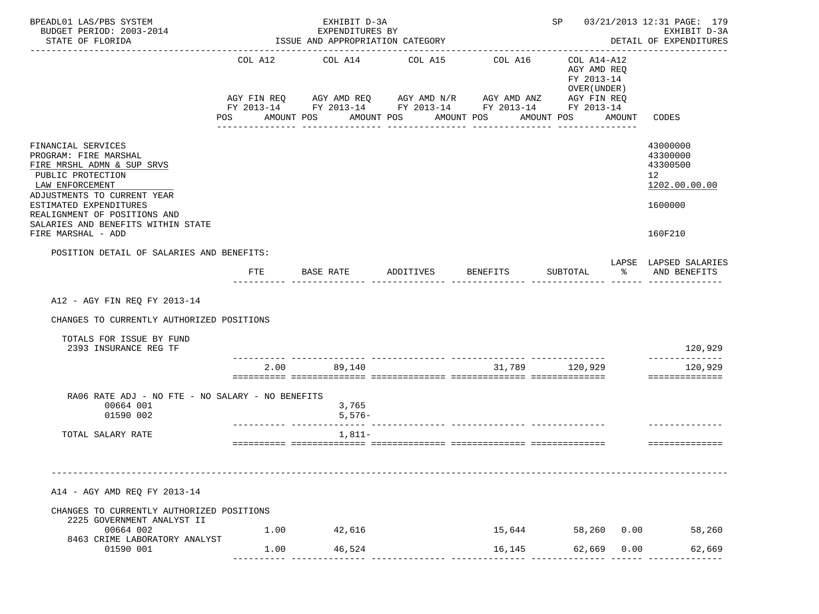| BPEADL01 LAS/PBS SYSTEM                                                                                                                                                                                                                                                |            | EXHIBIT D-3A                                        |                       |                                                                                                                                  |                                                          |        | SP 03/21/2013 12:31 PAGE: 179                                                 |
|------------------------------------------------------------------------------------------------------------------------------------------------------------------------------------------------------------------------------------------------------------------------|------------|-----------------------------------------------------|-----------------------|----------------------------------------------------------------------------------------------------------------------------------|----------------------------------------------------------|--------|-------------------------------------------------------------------------------|
| BUDGET PERIOD: 2003-2014<br>STATE OF FLORIDA                                                                                                                                                                                                                           |            | EXPENDITURES BY<br>ISSUE AND APPROPRIATION CATEGORY |                       |                                                                                                                                  |                                                          |        | EXHIBIT D-3A<br>DETAIL OF EXPENDITURES                                        |
|                                                                                                                                                                                                                                                                        |            | COL A12 COL A14 COL A15                             |                       | COL A16<br>AGY FIN REQ AGY AMD REQ AGY AMD N/R AGY AMD ANZ AGY FIN REQ<br>FY 2013-14 FY 2013-14 FY 2013-14 FY 2013-14 FY 2013-14 | COL A14-A12<br>AGY AMD REQ<br>FY 2013-14<br>OVER (UNDER) |        |                                                                               |
|                                                                                                                                                                                                                                                                        | <b>POS</b> | AMOUNT POS                                          | AMOUNT POS AMOUNT POS |                                                                                                                                  | AMOUNT POS                                               | AMOUNT | CODES                                                                         |
| FINANCIAL SERVICES<br>PROGRAM: FIRE MARSHAL<br>FIRE MRSHL ADMN & SUP SRVS<br>PUBLIC PROTECTION<br>LAW ENFORCEMENT<br>ADJUSTMENTS TO CURRENT YEAR<br>ESTIMATED EXPENDITURES<br>REALIGNMENT OF POSITIONS AND<br>SALARIES AND BENEFITS WITHIN STATE<br>FIRE MARSHAL - ADD |            |                                                     |                       |                                                                                                                                  |                                                          |        | 43000000<br>43300000<br>43300500<br>12<br>1202.00.00.00<br>1600000<br>160F210 |
| POSITION DETAIL OF SALARIES AND BENEFITS:                                                                                                                                                                                                                              |            |                                                     |                       |                                                                                                                                  |                                                          |        |                                                                               |
|                                                                                                                                                                                                                                                                        | FTE        |                                                     |                       | BASE RATE           ADDITIVES           BENEFITS           SUBTOTAL                                                              | $\sim$ $\approx$                                         |        | LAPSE LAPSED SALARIES<br>AND BENEFITS                                         |
| A12 - AGY FIN REQ FY 2013-14<br>CHANGES TO CURRENTLY AUTHORIZED POSITIONS<br>TOTALS FOR ISSUE BY FUND<br>2393 INSURANCE REG TF                                                                                                                                         |            |                                                     |                       |                                                                                                                                  |                                                          |        | 120,929                                                                       |
|                                                                                                                                                                                                                                                                        | 2.00       | 89,140                                              |                       |                                                                                                                                  | 31,789 120,929                                           |        | --------------<br>120,929                                                     |
| RA06 RATE ADJ - NO FTE - NO SALARY - NO BENEFITS<br>00664 001<br>01590 002<br>TOTAL SALARY RATE                                                                                                                                                                        |            | 3,765<br>$5,576-$<br>$1,811-$                       |                       |                                                                                                                                  |                                                          |        | ==============<br>==============                                              |
|                                                                                                                                                                                                                                                                        |            |                                                     |                       |                                                                                                                                  |                                                          |        |                                                                               |
| A14 - AGY AMD REQ FY 2013-14<br>CHANGES TO CURRENTLY AUTHORIZED POSITIONS                                                                                                                                                                                              |            |                                                     |                       |                                                                                                                                  |                                                          |        |                                                                               |
| 2225 GOVERNMENT ANALYST II<br>00664 002                                                                                                                                                                                                                                | 1.00       | 42,616                                              |                       | 15,644                                                                                                                           | 58,260 0.00                                              |        | 58,260                                                                        |
| 8463 CRIME LABORATORY ANALYST<br>01590 001                                                                                                                                                                                                                             | 1.00       | 46,524                                              |                       | 16,145                                                                                                                           | 62,669                                                   | 0.00   | 62,669                                                                        |
|                                                                                                                                                                                                                                                                        |            |                                                     |                       |                                                                                                                                  |                                                          |        |                                                                               |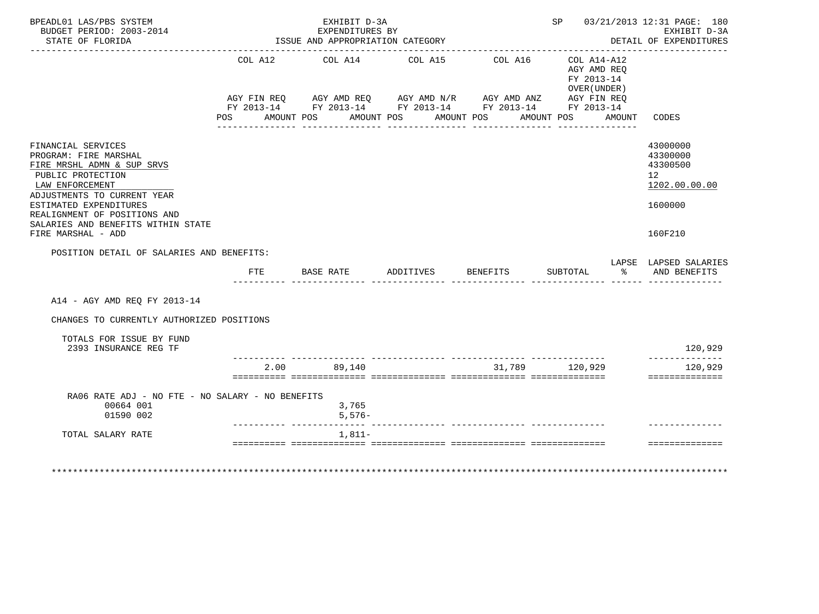| BPEADL01 LAS/PBS SYSTEM<br>BUDGET PERIOD: 2003-2014<br>STATE OF FLORIDA                                                                          |                    | EXHIBIT D-3A<br>EXPENDITURES BY<br>ISSUE AND APPROPRIATION CATEGORY                                                                   |                          | SP 03/21/2013 12:31 PAGE: 180 | EXHIBIT D-3A<br>DETAIL OF EXPENDITURES<br>. <u>_ _ _ _ _ _ _ _ _ _ _ _ _</u> _   |                                                         |
|--------------------------------------------------------------------------------------------------------------------------------------------------|--------------------|---------------------------------------------------------------------------------------------------------------------------------------|--------------------------|-------------------------------|----------------------------------------------------------------------------------|---------------------------------------------------------|
|                                                                                                                                                  | AGY FIN REO<br>POS | COL A12 COL A14 COL A15<br>AGY FIN REQ AGY AMD REQ AGY AMD N/R AGY AMD ANZ AGY FIN REQ FY 2013-14 FY 2013-14 FY 2013-14<br>AMOUNT POS | AMOUNT POS<br>AMOUNT POS | COL A16                       | COL A14-A12<br>AGY AMD REO<br>FY 2013-14<br>OVER (UNDER)<br>AMOUNT POS<br>AMOUNT | CODES                                                   |
| FINANCIAL SERVICES<br>PROGRAM: FIRE MARSHAL<br>FIRE MRSHL ADMN & SUP SRVS<br>PUBLIC PROTECTION<br>LAW ENFORCEMENT<br>ADJUSTMENTS TO CURRENT YEAR |                    |                                                                                                                                       |                          |                               |                                                                                  | 43000000<br>43300000<br>43300500<br>12<br>1202.00.00.00 |
| ESTIMATED EXPENDITURES<br>REALIGNMENT OF POSITIONS AND<br>SALARIES AND BENEFITS WITHIN STATE<br>FIRE MARSHAL - ADD                               |                    |                                                                                                                                       |                          |                               |                                                                                  | 1600000<br>160F210                                      |
| POSITION DETAIL OF SALARIES AND BENEFITS:                                                                                                        | FTE                | BASE RATE ADDITIVES BENEFITS                                                                                                          |                          |                               | SUBTOTAL                                                                         | LAPSE LAPSED SALARIES<br>% AND BENEFITS                 |
|                                                                                                                                                  |                    |                                                                                                                                       |                          |                               |                                                                                  |                                                         |
| A14 - AGY AMD REQ FY 2013-14                                                                                                                     |                    |                                                                                                                                       |                          |                               |                                                                                  |                                                         |
| CHANGES TO CURRENTLY AUTHORIZED POSITIONS                                                                                                        |                    |                                                                                                                                       |                          |                               |                                                                                  |                                                         |
| TOTALS FOR ISSUE BY FUND<br>2393 INSURANCE REG TF                                                                                                |                    |                                                                                                                                       |                          |                               |                                                                                  | 120,929                                                 |
|                                                                                                                                                  |                    | 2.00 89,140                                                                                                                           |                          | 31,789 120,929                |                                                                                  | --------------<br>120,929<br>==============             |
| RA06 RATE ADJ - NO FTE - NO SALARY - NO BENEFITS<br>00664 001<br>01590 002                                                                       |                    | 3,765<br>$5.576-$                                                                                                                     |                          |                               |                                                                                  |                                                         |
| TOTAL SALARY RATE                                                                                                                                |                    | $1.811-$                                                                                                                              |                          |                               |                                                                                  |                                                         |
|                                                                                                                                                  |                    |                                                                                                                                       |                          |                               | ************************************                                             | ---------------                                         |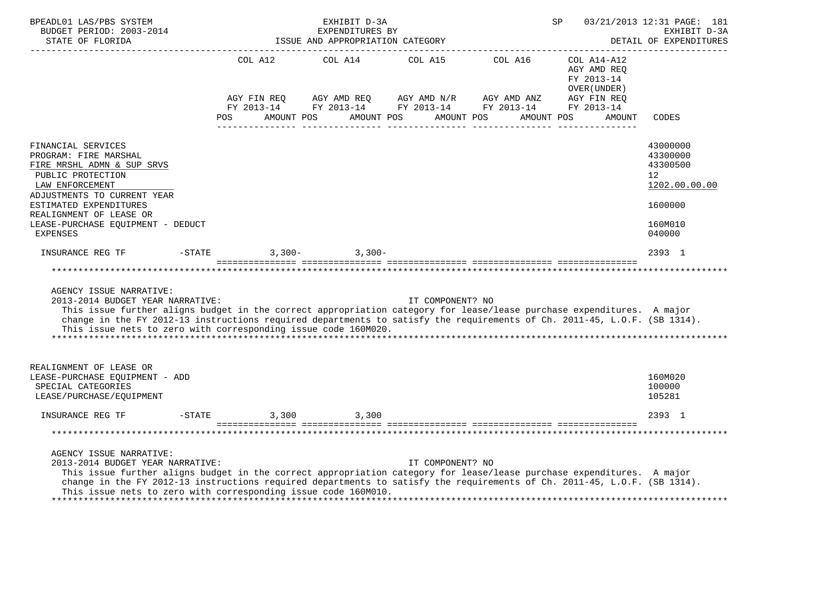| BPEADL01 LAS/PBS SYSTEM<br>BUDGET PERIOD: 2003-2014<br>SUDGET PERIOD: 2003-2014<br>STATE OF FLORIDA                                                                                                                                                                                                                                                                                |                                                 | EXHIBIT D-3A<br>EXPENDITURES BY<br>ISSUE AND APPROPRIATION CATEGORY |                  |                                                                                    | SP                                                       | 03/21/2013 12:31 PAGE: 181<br>EXHIBIT D-3A<br>DETAIL OF EXPENDITURES                    |
|------------------------------------------------------------------------------------------------------------------------------------------------------------------------------------------------------------------------------------------------------------------------------------------------------------------------------------------------------------------------------------|-------------------------------------------------|---------------------------------------------------------------------|------------------|------------------------------------------------------------------------------------|----------------------------------------------------------|-----------------------------------------------------------------------------------------|
|                                                                                                                                                                                                                                                                                                                                                                                    | AGY FIN REQ                                     |                                                                     |                  | COL A12 COL A14 COL A15 COL A16 COL A14-A12<br>AGY AMD REQ AGY AMD N/R AGY AMD ANZ | AGY AMD REO<br>FY 2013-14<br>OVER (UNDER)<br>AGY FIN REQ |                                                                                         |
|                                                                                                                                                                                                                                                                                                                                                                                    | POS AMOUNT POS AMOUNT POS AMOUNT POS AMOUNT POS |                                                                     |                  | FY 2013-14 FY 2013-14 FY 2013-14 FY 2013-14 FY 2013-14                             | AMOUNT                                                   | CODES                                                                                   |
| FINANCIAL SERVICES<br>PROGRAM: FIRE MARSHAL<br>FIRE MRSHL ADMN & SUP SRVS<br>PUBLIC PROTECTION<br>LAW ENFORCEMENT<br>ADJUSTMENTS TO CURRENT YEAR<br>ESTIMATED EXPENDITURES<br>REALIGNMENT OF LEASE OR<br>LEASE-PURCHASE EQUIPMENT - DEDUCT<br><b>EXPENSES</b>                                                                                                                      |                                                 |                                                                     |                  |                                                                                    |                                                          | 43000000<br>43300000<br>43300500<br>12<br>1202.00.00.00<br>1600000<br>160M010<br>040000 |
| INSURANCE REG TF                                                                                                                                                                                                                                                                                                                                                                   | $-$ STATE                                       | $3,300 3,300-$                                                      |                  |                                                                                    |                                                          | 2393 1                                                                                  |
|                                                                                                                                                                                                                                                                                                                                                                                    |                                                 |                                                                     |                  |                                                                                    |                                                          | *********************                                                                   |
| AGENCY ISSUE NARRATIVE:<br>2013-2014 BUDGET YEAR NARRATIVE:<br>This issue further aligns budget in the correct appropriation category for lease/lease purchase expenditures. A major<br>change in the FY 2012-13 instructions required departments to satisfy the requirements of Ch. 2011-45, L.O.F. (SB 1314).<br>This issue nets to zero with corresponding issue code 160M020. |                                                 |                                                                     | IT COMPONENT? NO |                                                                                    |                                                          |                                                                                         |
| REALIGNMENT OF LEASE OR<br>LEASE-PURCHASE EOUIPMENT - ADD<br>SPECIAL CATEGORIES<br>LEASE/PURCHASE/EQUIPMENT                                                                                                                                                                                                                                                                        |                                                 |                                                                     |                  |                                                                                    |                                                          | 160M020<br>100000<br>105281                                                             |
| INSURANCE REG TF                                                                                                                                                                                                                                                                                                                                                                   | $-STATE$                                        | 3,300 3,300                                                         |                  |                                                                                    |                                                          | 2393 1                                                                                  |
|                                                                                                                                                                                                                                                                                                                                                                                    |                                                 |                                                                     |                  |                                                                                    |                                                          |                                                                                         |
| AGENCY ISSUE NARRATIVE:<br>2013-2014 BUDGET YEAR NARRATIVE:<br>This issue further aligns budget in the correct appropriation category for lease/lease purchase expenditures. A major<br>change in the FY 2012-13 instructions required departments to satisfy the requirements of Ch. 2011-45, L.O.F. (SB 1314).<br>This issue nets to zero with corresponding issue code 160M010. |                                                 |                                                                     | IT COMPONENT? NO |                                                                                    |                                                          |                                                                                         |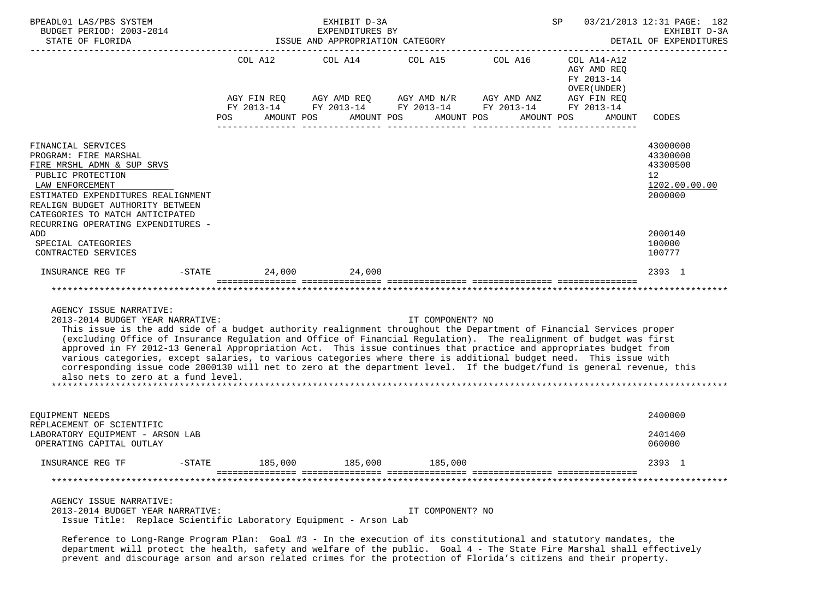| BPEADL01 LAS/PBS SYSTEM<br>BUDGET PERIOD: 2003-2014                                                                                                                                                                                                                                                                                                                                                                                                                                                                                                                                                                                                                                                                |                                                    | EXHIBIT D-3A<br>EXPENDITURES BY  |                       |                                                                                                                                              | SP                                                                         | 03/21/2013 12:31 PAGE: 182<br>EXHIBIT D-3A                         |
|--------------------------------------------------------------------------------------------------------------------------------------------------------------------------------------------------------------------------------------------------------------------------------------------------------------------------------------------------------------------------------------------------------------------------------------------------------------------------------------------------------------------------------------------------------------------------------------------------------------------------------------------------------------------------------------------------------------------|----------------------------------------------------|----------------------------------|-----------------------|----------------------------------------------------------------------------------------------------------------------------------------------|----------------------------------------------------------------------------|--------------------------------------------------------------------|
| STATE OF FLORIDA                                                                                                                                                                                                                                                                                                                                                                                                                                                                                                                                                                                                                                                                                                   |                                                    | ISSUE AND APPROPRIATION CATEGORY |                       |                                                                                                                                              |                                                                            | DETAIL OF EXPENDITURES                                             |
|                                                                                                                                                                                                                                                                                                                                                                                                                                                                                                                                                                                                                                                                                                                    | COL A12<br>AGY FIN REO<br><b>POS</b><br>AMOUNT POS | COL A14                          | AMOUNT POS AMOUNT POS | COL A15 COL A16<br>AGY AMD REQ AGY AMD $N/R$ AGY AMD ANZ AGY FIN REQ<br>FY 2013-14 FY 2013-14 FY 2013-14 FY 2013-14 FY 2013-14<br>AMOUNT POS | COL A14-A12<br>AGY AMD REQ<br>FY 2013-14<br>OVER (UNDER )<br><b>AMOUNT</b> | CODES                                                              |
| FINANCIAL SERVICES<br>PROGRAM: FIRE MARSHAL<br>FIRE MRSHL ADMN & SUP SRVS<br>PUBLIC PROTECTION<br>LAW ENFORCEMENT<br>ESTIMATED EXPENDITURES REALIGNMENT<br>REALIGN BUDGET AUTHORITY BETWEEN<br>CATEGORIES TO MATCH ANTICIPATED<br>RECURRING OPERATING EXPENDITURES -                                                                                                                                                                                                                                                                                                                                                                                                                                               |                                                    |                                  |                       |                                                                                                                                              |                                                                            | 43000000<br>43300000<br>43300500<br>12<br>1202.00.00.00<br>2000000 |
| ADD<br>SPECIAL CATEGORIES<br>CONTRACTED SERVICES                                                                                                                                                                                                                                                                                                                                                                                                                                                                                                                                                                                                                                                                   |                                                    |                                  |                       |                                                                                                                                              |                                                                            | 2000140<br>100000<br>100777                                        |
| INSURANCE REG TF                                                                                                                                                                                                                                                                                                                                                                                                                                                                                                                                                                                                                                                                                                   | $-$ STATE 24,000 24,000                            |                                  |                       |                                                                                                                                              |                                                                            | 2393 1                                                             |
|                                                                                                                                                                                                                                                                                                                                                                                                                                                                                                                                                                                                                                                                                                                    |                                                    |                                  |                       |                                                                                                                                              |                                                                            |                                                                    |
| AGENCY ISSUE NARRATIVE:<br>2013-2014 BUDGET YEAR NARRATIVE:<br>This issue is the add side of a budget authority realignment throughout the Department of Financial Services proper<br>(excluding Office of Insurance Regulation and Office of Financial Regulation). The realignment of budget was first<br>approved in FY 2012-13 General Appropriation Act. This issue continues that practice and appropriates budget from<br>various categories, except salaries, to various categories where there is additional budget need. This issue with<br>corresponding issue code 2000130 will net to zero at the department level. If the budget/fund is general revenue, this<br>also nets to zero at a fund level. |                                                    |                                  | IT COMPONENT? NO      |                                                                                                                                              |                                                                            |                                                                    |
| EQUIPMENT NEEDS<br>REPLACEMENT OF SCIENTIFIC<br>LABORATORY EQUIPMENT - ARSON LAB<br>OPERATING CAPITAL OUTLAY                                                                                                                                                                                                                                                                                                                                                                                                                                                                                                                                                                                                       |                                                    |                                  |                       |                                                                                                                                              |                                                                            | 2400000<br>2401400<br>060000                                       |
| INSURANCE REG TF                                                                                                                                                                                                                                                                                                                                                                                                                                                                                                                                                                                                                                                                                                   | $-STATE$ 185,000 185,000 185,000 185,000           |                                  |                       |                                                                                                                                              |                                                                            | 2393 1                                                             |
|                                                                                                                                                                                                                                                                                                                                                                                                                                                                                                                                                                                                                                                                                                                    |                                                    |                                  |                       |                                                                                                                                              |                                                                            |                                                                    |
| AGENCY ISSUE NARRATIVE:<br>2013-2014 BUDGET YEAR NARRATIVE:<br>Issue Title: Replace Scientific Laboratory Equipment - Arson Lab                                                                                                                                                                                                                                                                                                                                                                                                                                                                                                                                                                                    |                                                    |                                  | IT COMPONENT? NO      |                                                                                                                                              |                                                                            |                                                                    |

 Reference to Long-Range Program Plan: Goal #3 - In the execution of its constitutional and statutory mandates, the department will protect the health, safety and welfare of the public. Goal 4 - The State Fire Marshal shall effectively prevent and discourage arson and arson related crimes for the protection of Florida's citizens and their property.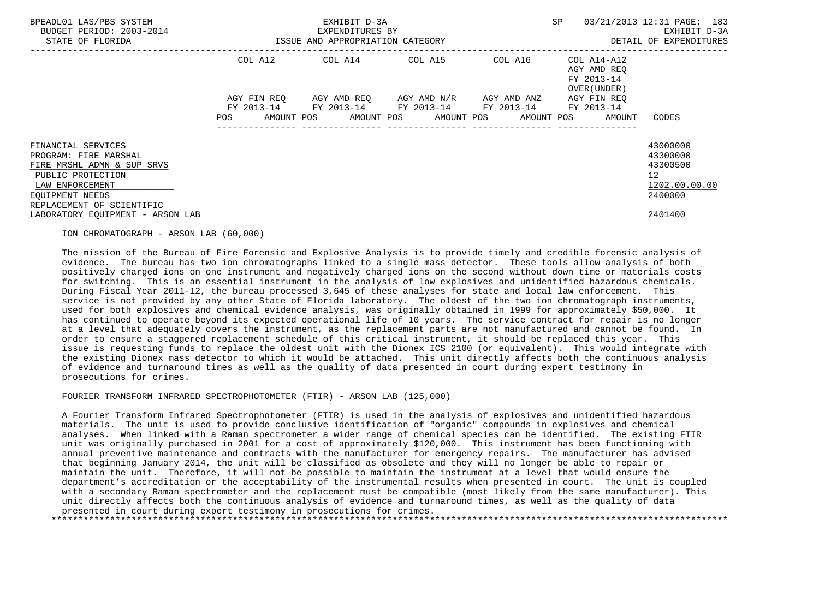| BPEADL01 LAS/PBS SYSTEM<br>BUDGET PERIOD: 2003-2014<br>STATE OF FLORIDA                                                                                           | ISSUE AND APPROPRIATION CATEGORY | EXHIBIT D-3A<br>EXPENDITURES BY | ----------------------------------                                                                        | SP      | 03/21/2013 12:31 PAGE: 183<br>EXHIBIT D-3A<br>DETAIL OF EXPENDITURES |                                                                                 |
|-------------------------------------------------------------------------------------------------------------------------------------------------------------------|----------------------------------|---------------------------------|-----------------------------------------------------------------------------------------------------------|---------|----------------------------------------------------------------------|---------------------------------------------------------------------------------|
|                                                                                                                                                                   |                                  |                                 | COL A12 COL A14 COL A15                                                                                   | COL A16 | COL A14-A12<br>AGY AMD REO<br>FY 2013-14<br>OVER (UNDER)             |                                                                                 |
|                                                                                                                                                                   | AGY FIN REO<br>POS               |                                 | AGY AMD REQ       AGY AMD N/R       AGY AMD ANZ<br>FY 2013-14 FY 2013-14 FY 2013-14 FY 2013-14 FY 2013-14 |         | AGY FIN REQ<br>AMOUNT POS AMOUNT POS AMOUNT POS AMOUNT POS AMOUNT    | CODES                                                                           |
| FINANCIAL SERVICES<br>PROGRAM: FIRE MARSHAL<br>FIRE MRSHL ADMN & SUP SRVS<br>PUBLIC PROTECTION<br>LAW ENFORCEMENT<br>EOUIPMENT NEEDS<br>REPLACEMENT OF SCIENTIFIC |                                  |                                 |                                                                                                           |         |                                                                      | 43000000<br>43300000<br>43300500<br>12 <sup>°</sup><br>1202.00.00.00<br>2400000 |
| LABORATORY EOUIPMENT - ARSON LAB                                                                                                                                  |                                  |                                 |                                                                                                           |         |                                                                      | 2401400                                                                         |

## ION CHROMATOGRAPH - ARSON LAB (60,000)

 The mission of the Bureau of Fire Forensic and Explosive Analysis is to provide timely and credible forensic analysis of evidence. The bureau has two ion chromatographs linked to a single mass detector. These tools allow analysis of both positively charged ions on one instrument and negatively charged ions on the second without down time or materials costs for switching. This is an essential instrument in the analysis of low explosives and unidentified hazardous chemicals. During Fiscal Year 2011-12, the bureau processed 3,645 of these analyses for state and local law enforcement. This service is not provided by any other State of Florida laboratory. The oldest of the two ion chromatograph instruments, used for both explosives and chemical evidence analysis, was originally obtained in 1999 for approximately \$50,000. It has continued to operate beyond its expected operational life of 10 years. The service contract for repair is no longer at a level that adequately covers the instrument, as the replacement parts are not manufactured and cannot be found. In order to ensure a staggered replacement schedule of this critical instrument, it should be replaced this year. This issue is requesting funds to replace the oldest unit with the Dionex ICS 2100 (or equivalent). This would integrate with the existing Dionex mass detector to which it would be attached. This unit directly affects both the continuous analysis of evidence and turnaround times as well as the quality of data presented in court during expert testimony in prosecutions for crimes.

## FOURIER TRANSFORM INFRARED SPECTROPHOTOMETER (FTIR) - ARSON LAB (125,000)

 A Fourier Transform Infrared Spectrophotometer (FTIR) is used in the analysis of explosives and unidentified hazardous materials. The unit is used to provide conclusive identification of "organic" compounds in explosives and chemical analyses. When linked with a Raman spectrometer a wider range of chemical species can be identified. The existing FTIR unit was originally purchased in 2001 for a cost of approximately \$120,000. This instrument has been functioning with annual preventive maintenance and contracts with the manufacturer for emergency repairs. The manufacturer has advised that beginning January 2014, the unit will be classified as obsolete and they will no longer be able to repair or maintain the unit. Therefore, it will not be possible to maintain the instrument at a level that would ensure the department's accreditation or the acceptability of the instrumental results when presented in court. The unit is coupled with a secondary Raman spectrometer and the replacement must be compatible (most likely from the same manufacturer). This unit directly affects both the continuous analysis of evidence and turnaround times, as well as the quality of data presented in court during expert testimony in prosecutions for crimes. \*\*\*\*\*\*\*\*\*\*\*\*\*\*\*\*\*\*\*\*\*\*\*\*\*\*\*\*\*\*\*\*\*\*\*\*\*\*\*\*\*\*\*\*\*\*\*\*\*\*\*\*\*\*\*\*\*\*\*\*\*\*\*\*\*\*\*\*\*\*\*\*\*\*\*\*\*\*\*\*\*\*\*\*\*\*\*\*\*\*\*\*\*\*\*\*\*\*\*\*\*\*\*\*\*\*\*\*\*\*\*\*\*\*\*\*\*\*\*\*\*\*\*\*\*\*\*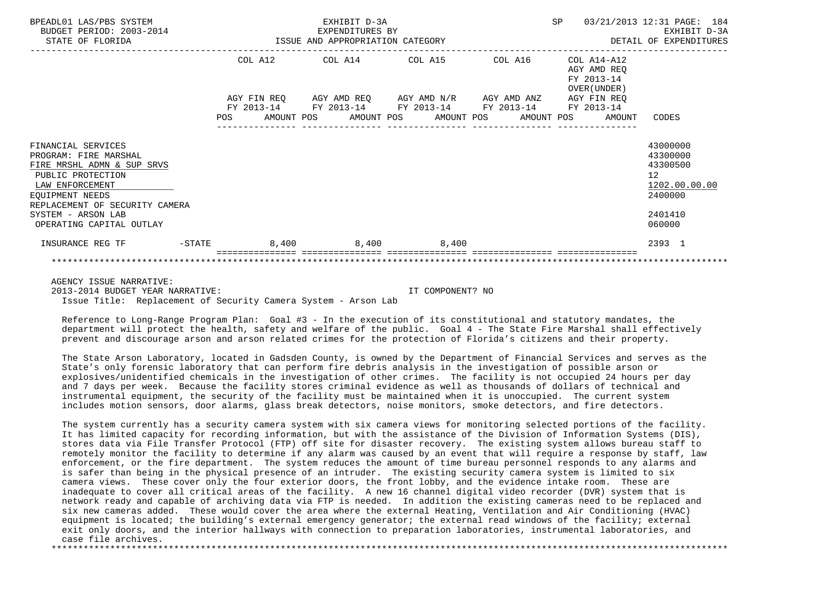| BPEADL01 LAS/PBS SYSTEM<br>BUDGET PERIOD: 2003-2014<br>STATE OF FLORIDA                                                                                                                                                         |           |            |  | EXHIBIT D-3A<br>EXPENDITURES BY | ISSUE AND APPROPRIATION CATEGORY                                                                                                                                                  |            | SP                       |                                                      | 03/21/2013 12:31 PAGE: 184<br>EXHIBIT D-3A<br>DETAIL OF EXPENDITURES                    |  |
|---------------------------------------------------------------------------------------------------------------------------------------------------------------------------------------------------------------------------------|-----------|------------|--|---------------------------------|-----------------------------------------------------------------------------------------------------------------------------------------------------------------------------------|------------|--------------------------|------------------------------------------------------|-----------------------------------------------------------------------------------------|--|
|                                                                                                                                                                                                                                 |           | <b>POS</b> |  |                                 | COL A12 COL A14 COL A15 COL A16<br>AGY FIN REQ AGY AMD REQ AGY AMD N/R AGY AMD ANZ AGY FIN REQ<br>FY 2013-14 FY 2013-14 FY 2013-14 FY 2013-14<br>AMOUNT POS AMOUNT POS AMOUNT POS | AMOUNT POS | FY 2013-14<br>FY 2013-14 | COL A14-A12<br>AGY AMD REO<br>OVER (UNDER)<br>AMOUNT | CODES                                                                                   |  |
| FINANCIAL SERVICES<br>PROGRAM: FIRE MARSHAL<br>FIRE MRSHL ADMN & SUP SRVS<br>PUBLIC PROTECTION<br>LAW ENFORCEMENT<br><b>EOUIPMENT NEEDS</b><br>REPLACEMENT OF SECURITY CAMERA<br>SYSTEM - ARSON LAB<br>OPERATING CAPITAL OUTLAY |           |            |  |                                 |                                                                                                                                                                                   |            |                          |                                                      | 43000000<br>43300000<br>43300500<br>12<br>1202.00.00.00<br>2400000<br>2401410<br>060000 |  |
| INSURANCE REG TF                                                                                                                                                                                                                | $-$ STATE |            |  |                                 | 8,400 8,400 8,400                                                                                                                                                                 |            |                          |                                                      | 2393 1                                                                                  |  |
|                                                                                                                                                                                                                                 |           |            |  |                                 |                                                                                                                                                                                   |            |                          |                                                      |                                                                                         |  |

AGENCY ISSUE NARRATIVE:

 2013-2014 BUDGET YEAR NARRATIVE: IT COMPONENT? NO Issue Title: Replacement of Security Camera System - Arson Lab

 Reference to Long-Range Program Plan: Goal #3 - In the execution of its constitutional and statutory mandates, the department will protect the health, safety and welfare of the public. Goal 4 - The State Fire Marshal shall effectively prevent and discourage arson and arson related crimes for the protection of Florida's citizens and their property.

 The State Arson Laboratory, located in Gadsden County, is owned by the Department of Financial Services and serves as the State's only forensic laboratory that can perform fire debris analysis in the investigation of possible arson or explosives/unidentified chemicals in the investigation of other crimes. The facility is not occupied 24 hours per day and 7 days per week. Because the facility stores criminal evidence as well as thousands of dollars of technical and instrumental equipment, the security of the facility must be maintained when it is unoccupied. The current system includes motion sensors, door alarms, glass break detectors, noise monitors, smoke detectors, and fire detectors.

 The system currently has a security camera system with six camera views for monitoring selected portions of the facility. It has limited capacity for recording information, but with the assistance of the Division of Information Systems (DIS), stores data via File Transfer Protocol (FTP) off site for disaster recovery. The existing system allows bureau staff to remotely monitor the facility to determine if any alarm was caused by an event that will require a response by staff, law enforcement, or the fire department. The system reduces the amount of time bureau personnel responds to any alarms and is safer than being in the physical presence of an intruder. The existing security camera system is limited to six camera views. These cover only the four exterior doors, the front lobby, and the evidence intake room. These are inadequate to cover all critical areas of the facility. A new 16 channel digital video recorder (DVR) system that is network ready and capable of archiving data via FTP is needed. In addition the existing cameras need to be replaced and six new cameras added. These would cover the area where the external Heating, Ventilation and Air Conditioning (HVAC) equipment is located; the building's external emergency generator; the external read windows of the facility; external exit only doors, and the interior hallways with connection to preparation laboratories, instrumental laboratories, and case file archives. \*\*\*\*\*\*\*\*\*\*\*\*\*\*\*\*\*\*\*\*\*\*\*\*\*\*\*\*\*\*\*\*\*\*\*\*\*\*\*\*\*\*\*\*\*\*\*\*\*\*\*\*\*\*\*\*\*\*\*\*\*\*\*\*\*\*\*\*\*\*\*\*\*\*\*\*\*\*\*\*\*\*\*\*\*\*\*\*\*\*\*\*\*\*\*\*\*\*\*\*\*\*\*\*\*\*\*\*\*\*\*\*\*\*\*\*\*\*\*\*\*\*\*\*\*\*\*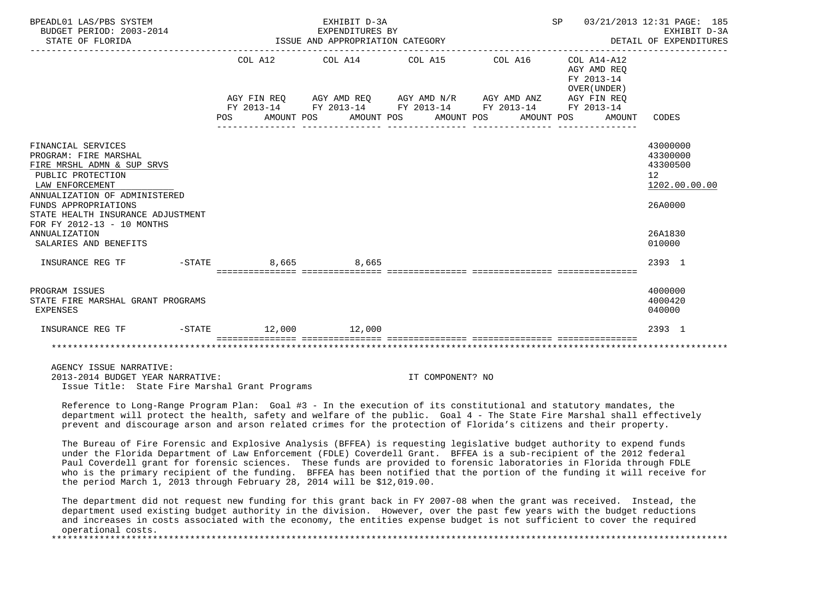| BPEADL01 LAS/PBS SYSTEM<br>BUDGET PERIOD: 2003-2014<br>STATE OF FLORIDA                                                                                                                                                                                                                        | EXHIBIT D-3A<br>SP<br>EXPENDITURES BY<br>EXPENDITURES BY<br>ISSUE AND APPROPRIATION CATEGORY                                                                                                                |  |  |  |  |  |  |  |                                                                    | 03/21/2013 12:31 PAGE: 185<br>EXHIBIT D-3A<br>DETAIL OF EXPENDITURES                    |  |
|------------------------------------------------------------------------------------------------------------------------------------------------------------------------------------------------------------------------------------------------------------------------------------------------|-------------------------------------------------------------------------------------------------------------------------------------------------------------------------------------------------------------|--|--|--|--|--|--|--|--------------------------------------------------------------------|-----------------------------------------------------------------------------------------|--|
|                                                                                                                                                                                                                                                                                                | COL A12 COL A14 COL A15 COL A16<br>AGY FIN REQ AGY AMD REQ AGY AMD N/R AGY AMD ANZ AGY FIN REQ<br>FY 2013-14 FY 2013-14 FY 2013-14 FY 2013-14 FY 2013-14<br>POS AMOUNT POS AMOUNT POS AMOUNT POS AMOUNT POS |  |  |  |  |  |  |  | COL A14-A12<br>AGY AMD REO<br>FY 2013-14<br>OVER (UNDER)<br>AMOUNT | CODES                                                                                   |  |
| FINANCIAL SERVICES<br>PROGRAM: FIRE MARSHAL<br>FIRE MRSHL ADMN & SUP SRVS<br>PUBLIC PROTECTION<br>LAW ENFORCEMENT<br>ANNUALIZATION OF ADMINISTERED<br>FUNDS APPROPRIATIONS<br>STATE HEALTH INSURANCE ADJUSTMENT<br>FOR FY 2012-13 - 10 MONTHS<br><b>ANNUALIZATION</b><br>SALARIES AND BENEFITS |                                                                                                                                                                                                             |  |  |  |  |  |  |  |                                                                    | 43000000<br>43300000<br>43300500<br>12<br>1202.00.00.00<br>26A0000<br>26A1830<br>010000 |  |
| INSURANCE REG TF                                                                                                                                                                                                                                                                               | $-$ STATE 8,665 8,665                                                                                                                                                                                       |  |  |  |  |  |  |  |                                                                    | 2393 1                                                                                  |  |
| PROGRAM ISSUES<br>STATE FIRE MARSHAL GRANT PROGRAMS<br>EXPENSES                                                                                                                                                                                                                                |                                                                                                                                                                                                             |  |  |  |  |  |  |  |                                                                    | 4000000<br>4000420<br>040000                                                            |  |
| INSURANCE REG TF -STATE 12,000 12,000                                                                                                                                                                                                                                                          |                                                                                                                                                                                                             |  |  |  |  |  |  |  |                                                                    | 2393 1                                                                                  |  |
|                                                                                                                                                                                                                                                                                                |                                                                                                                                                                                                             |  |  |  |  |  |  |  |                                                                    |                                                                                         |  |

 AGENCY ISSUE NARRATIVE: 2013-2014 BUDGET YEAR NARRATIVE: IT COMPONENT? NO Issue Title: State Fire Marshal Grant Programs

 Reference to Long-Range Program Plan: Goal #3 - In the execution of its constitutional and statutory mandates, the department will protect the health, safety and welfare of the public. Goal 4 - The State Fire Marshal shall effectively prevent and discourage arson and arson related crimes for the protection of Florida's citizens and their property.

 The Bureau of Fire Forensic and Explosive Analysis (BFFEA) is requesting legislative budget authority to expend funds under the Florida Department of Law Enforcement (FDLE) Coverdell Grant. BFFEA is a sub-recipient of the 2012 federal Paul Coverdell grant for forensic sciences. These funds are provided to forensic laboratories in Florida through FDLE who is the primary recipient of the funding. BFFEA has been notified that the portion of the funding it will receive for the period March 1, 2013 through February 28, 2014 will be \$12,019.00.

 The department did not request new funding for this grant back in FY 2007-08 when the grant was received. Instead, the department used existing budget authority in the division. However, over the past few years with the budget reductions and increases in costs associated with the economy, the entities expense budget is not sufficient to cover the required operational costs.

\*\*\*\*\*\*\*\*\*\*\*\*\*\*\*\*\*\*\*\*\*\*\*\*\*\*\*\*\*\*\*\*\*\*\*\*\*\*\*\*\*\*\*\*\*\*\*\*\*\*\*\*\*\*\*\*\*\*\*\*\*\*\*\*\*\*\*\*\*\*\*\*\*\*\*\*\*\*\*\*\*\*\*\*\*\*\*\*\*\*\*\*\*\*\*\*\*\*\*\*\*\*\*\*\*\*\*\*\*\*\*\*\*\*\*\*\*\*\*\*\*\*\*\*\*\*\*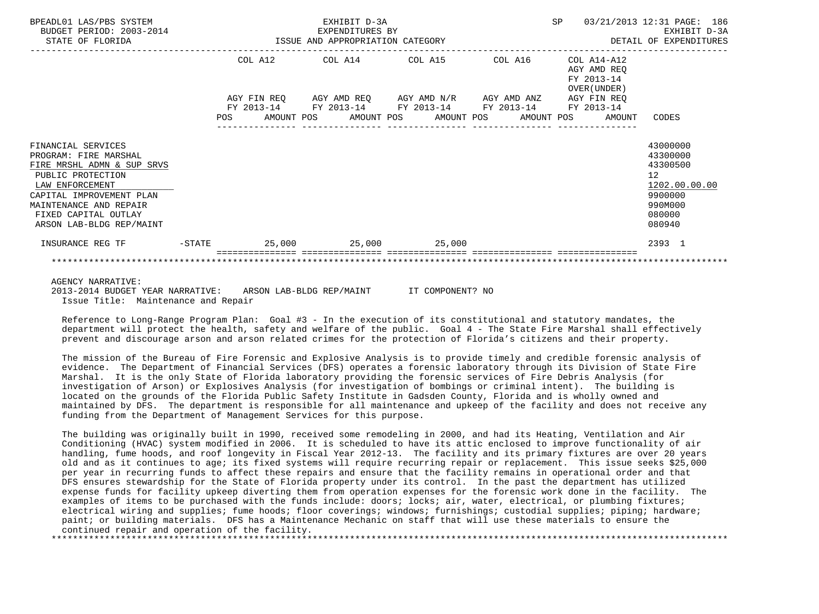| BPEADL01 LAS/PBS SYSTEM<br>BUDGET PERIOD: 2003-2014                                                                                                                                                                         |  |  | EXHIBIT D-3A<br>-------------------------------- |                                                                                                                                                                                               |  |                                                             | SP 03/21/2013 12:31 PAGE: 186<br>EXHIBIT D-3A<br>DETAIL OF EXPENDITURES                           |
|-----------------------------------------------------------------------------------------------------------------------------------------------------------------------------------------------------------------------------|--|--|--------------------------------------------------|-----------------------------------------------------------------------------------------------------------------------------------------------------------------------------------------------|--|-------------------------------------------------------------|---------------------------------------------------------------------------------------------------|
|                                                                                                                                                                                                                             |  |  |                                                  | COL A12 COL A14 COL A15 COL A16                                                                                                                                                               |  | $COL A14- A12$<br>AGY AMD REO<br>FY 2013-14<br>OVER (UNDER) |                                                                                                   |
|                                                                                                                                                                                                                             |  |  |                                                  | AGY FIN REQ 6 AGY AMD REQ 6 AGY AMD N/R 6 AGY AMD ANZ 6 AGY FIN REQ<br>FY 2013-14 FY 2013-14 FY 2013-14 FY 2013-14 FY 2013-14<br>POS AMOUNT POS AMOUNT POS AMOUNT POS AMOUNT POS AMOUNT CODES |  |                                                             |                                                                                                   |
| FINANCIAL SERVICES<br>PROGRAM: FIRE MARSHAL<br>FIRE MRSHL ADMN & SUP SRVS<br>PUBLIC PROTECTION<br>LAW ENFORCEMENT<br>CAPITAL IMPROVEMENT PLAN<br>MAINTENANCE AND REPAIR<br>FIXED CAPITAL OUTLAY<br>ARSON LAB-BLDG REP/MAINT |  |  |                                                  |                                                                                                                                                                                               |  |                                                             | 43000000<br>43300000<br>43300500<br>12<br>1202.00.00.00<br>9900000<br>990M000<br>080000<br>080940 |
| INSURANCE REG TF                                                                                                                                                                                                            |  |  |                                                  | $-$ STATE $25,000$ $25,000$ $25,000$                                                                                                                                                          |  |                                                             | 2393 1                                                                                            |
|                                                                                                                                                                                                                             |  |  |                                                  |                                                                                                                                                                                               |  |                                                             |                                                                                                   |

## AGENCY NARRATIVE:

 2013-2014 BUDGET YEAR NARRATIVE: ARSON LAB-BLDG REP/MAINT IT COMPONENT? NO Issue Title: Maintenance and Repair

 Reference to Long-Range Program Plan: Goal #3 - In the execution of its constitutional and statutory mandates, the department will protect the health, safety and welfare of the public. Goal 4 - The State Fire Marshal shall effectively prevent and discourage arson and arson related crimes for the protection of Florida's citizens and their property.

 The mission of the Bureau of Fire Forensic and Explosive Analysis is to provide timely and credible forensic analysis of evidence. The Department of Financial Services (DFS) operates a forensic laboratory through its Division of State Fire Marshal. It is the only State of Florida laboratory providing the forensic services of Fire Debris Analysis (for investigation of Arson) or Explosives Analysis (for investigation of bombings or criminal intent). The building is located on the grounds of the Florida Public Safety Institute in Gadsden County, Florida and is wholly owned and maintained by DFS. The department is responsible for all maintenance and upkeep of the facility and does not receive any funding from the Department of Management Services for this purpose.

 The building was originally built in 1990, received some remodeling in 2000, and had its Heating, Ventilation and Air Conditioning (HVAC) system modified in 2006. It is scheduled to have its attic enclosed to improve functionality of air handling, fume hoods, and roof longevity in Fiscal Year 2012-13. The facility and its primary fixtures are over 20 years old and as it continues to age; its fixed systems will require recurring repair or replacement. This issue seeks \$25,000 per year in recurring funds to affect these repairs and ensure that the facility remains in operational order and that DFS ensures stewardship for the State of Florida property under its control. In the past the department has utilized expense funds for facility upkeep diverting them from operation expenses for the forensic work done in the facility. The examples of items to be purchased with the funds include: doors; locks; air, water, electrical, or plumbing fixtures; electrical wiring and supplies; fume hoods; floor coverings; windows; furnishings; custodial supplies; piping; hardware; paint; or building materials. DFS has a Maintenance Mechanic on staff that will use these materials to ensure the continued repair and operation of the facility. \*\*\*\*\*\*\*\*\*\*\*\*\*\*\*\*\*\*\*\*\*\*\*\*\*\*\*\*\*\*\*\*\*\*\*\*\*\*\*\*\*\*\*\*\*\*\*\*\*\*\*\*\*\*\*\*\*\*\*\*\*\*\*\*\*\*\*\*\*\*\*\*\*\*\*\*\*\*\*\*\*\*\*\*\*\*\*\*\*\*\*\*\*\*\*\*\*\*\*\*\*\*\*\*\*\*\*\*\*\*\*\*\*\*\*\*\*\*\*\*\*\*\*\*\*\*\*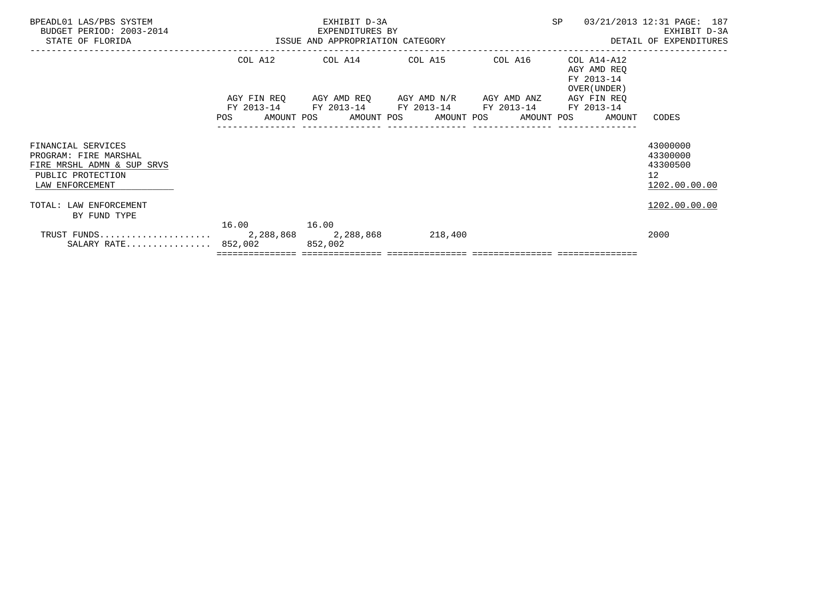| BPEADL01 LAS/PBS SYSTEM<br>BUDGET PERIOD: 2003-2014<br>STATE OF FLORIDA                                           |             | EXHIBIT D-3A<br>EXPENDITURES BY<br>ISSUE AND APPROPRIATION CATEGORY                            | SP | 03/21/2013 12:31 PAGE: 187<br>EXHIBIT D-3A<br>DETAIL OF EXPENDITURES |                                                                      |
|-------------------------------------------------------------------------------------------------------------------|-------------|------------------------------------------------------------------------------------------------|----|----------------------------------------------------------------------|----------------------------------------------------------------------|
|                                                                                                                   |             | COL A12 COL A14 COL A15 COL A16                                                                |    | COL A14-A12<br>AGY AMD REO<br>FY 2013-14<br>OVER (UNDER)             |                                                                      |
|                                                                                                                   |             | AGY FIN REQ 6GY AMD REQ 6GY AMD N/R 6GY AMD ANZ<br>FY 2013-14 FY 2013-14 FY 2013-14 FY 2013-14 |    | AGY FIN REO<br>FY 2013-14                                            | CODES                                                                |
|                                                                                                                   |             |                                                                                                |    | POS AMOUNT POS AMOUNT POS AMOUNT POS AMOUNT POS AMOUNT POS           |                                                                      |
| FINANCIAL SERVICES<br>PROGRAM: FIRE MARSHAL<br>FIRE MRSHL ADMN & SUP SRVS<br>PUBLIC PROTECTION<br>LAW ENFORCEMENT |             |                                                                                                |    |                                                                      | 43000000<br>43300000<br>43300500<br>12 <sup>1</sup><br>1202.00.00.00 |
| TOTAL: LAW ENFORCEMENT<br>BY FUND TYPE                                                                            |             |                                                                                                |    |                                                                      | 1202.00.00.00                                                        |
| SALARY RATE 852,002 852,002                                                                                       | 16.00 16.00 |                                                                                                |    |                                                                      | 2000                                                                 |
|                                                                                                                   |             |                                                                                                |    |                                                                      |                                                                      |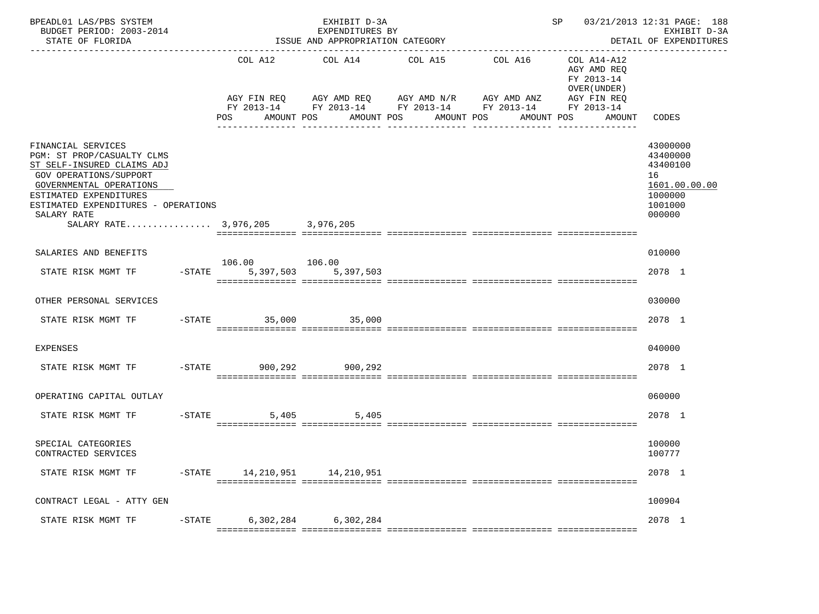| BPEADL01 LAS/PBS SYSTEM<br>BUDGET PERIOD: 2003-2014<br>STATE OF FLORIDA                                                                                                                                                                      |                                             | EXHIBIT D-3A<br>EXPENDITURES BY<br>ISSUE AND APPROPRIATION CATEGORY                                                                            | SP 03/21/2013 12:31 PAGE: 188<br>EXHIBIT D-3A<br>DETAIL OF EXPENDITURES |                                   |                                                      |                                                                                         |
|----------------------------------------------------------------------------------------------------------------------------------------------------------------------------------------------------------------------------------------------|---------------------------------------------|------------------------------------------------------------------------------------------------------------------------------------------------|-------------------------------------------------------------------------|-----------------------------------|------------------------------------------------------|-----------------------------------------------------------------------------------------|
|                                                                                                                                                                                                                                              | COL A12<br>POS<br>AMOUNT POS                | COL A14<br>AGY FIN REQ AGY AMD REQ AGY AMD N/R AGY AMD ANZ AGY FIN REQ<br>FY 2013-14 FY 2013-14 FY 2013-14 FY 2013-14 FY 2013-14<br>AMOUNT POS | COL A15<br>AMOUNT POS                                                   | COL A16 COL A14-A12<br>AMOUNT POS | AGY AMD REQ<br>FY 2013-14<br>OVER (UNDER )<br>AMOUNT | CODES                                                                                   |
| FINANCIAL SERVICES<br>PGM: ST PROP/CASUALTY CLMS<br>ST SELF-INSURED CLAIMS ADJ<br>GOV OPERATIONS/SUPPORT<br>GOVERNMENTAL OPERATIONS<br>ESTIMATED EXPENDITURES<br>ESTIMATED EXPENDITURES - OPERATIONS<br>SALARY RATE<br>SALARY RATE 3,976,205 |                                             | 3,976,205                                                                                                                                      |                                                                         |                                   |                                                      | 43000000<br>43400000<br>43400100<br>16<br>1601.00.00.00<br>1000000<br>1001000<br>000000 |
| SALARIES AND BENEFITS                                                                                                                                                                                                                        |                                             |                                                                                                                                                |                                                                         |                                   |                                                      | 010000                                                                                  |
| STATE RISK MGMT TF                                                                                                                                                                                                                           | 106.00 106.00<br>-STATE 5,397,503 5,397,503 |                                                                                                                                                |                                                                         |                                   |                                                      | 2078 1                                                                                  |
| OTHER PERSONAL SERVICES                                                                                                                                                                                                                      |                                             |                                                                                                                                                |                                                                         |                                   |                                                      | 030000                                                                                  |
| STATE RISK MGMT TF                                                                                                                                                                                                                           | -STATE 35,000 35,000                        |                                                                                                                                                |                                                                         |                                   |                                                      | 2078 1                                                                                  |
| <b>EXPENSES</b>                                                                                                                                                                                                                              |                                             |                                                                                                                                                |                                                                         |                                   |                                                      | 040000                                                                                  |
| STATE RISK MGMT TF                                                                                                                                                                                                                           | $-$ STATE 900.292                           | 900,292                                                                                                                                        |                                                                         |                                   |                                                      | 2078 1                                                                                  |
| OPERATING CAPITAL OUTLAY                                                                                                                                                                                                                     |                                             |                                                                                                                                                |                                                                         |                                   |                                                      | 060000                                                                                  |
| STATE RISK MGMT TF                                                                                                                                                                                                                           | $-STATE$<br>5,405                           | 5,405                                                                                                                                          |                                                                         |                                   |                                                      | 2078 1                                                                                  |
| SPECIAL CATEGORIES<br>CONTRACTED SERVICES                                                                                                                                                                                                    |                                             |                                                                                                                                                |                                                                         |                                   |                                                      | 100000<br>100777                                                                        |
| STATE RISK MGMT TF                                                                                                                                                                                                                           | -STATE 14,210,951 14,210,951                |                                                                                                                                                |                                                                         |                                   |                                                      | 2078 1                                                                                  |
| CONTRACT LEGAL - ATTY GEN                                                                                                                                                                                                                    |                                             |                                                                                                                                                |                                                                         |                                   |                                                      | 100904                                                                                  |
| STATE RISK MGMT TF -STATE 6,302,284 6,302,284                                                                                                                                                                                                |                                             |                                                                                                                                                |                                                                         |                                   |                                                      | 2078 1                                                                                  |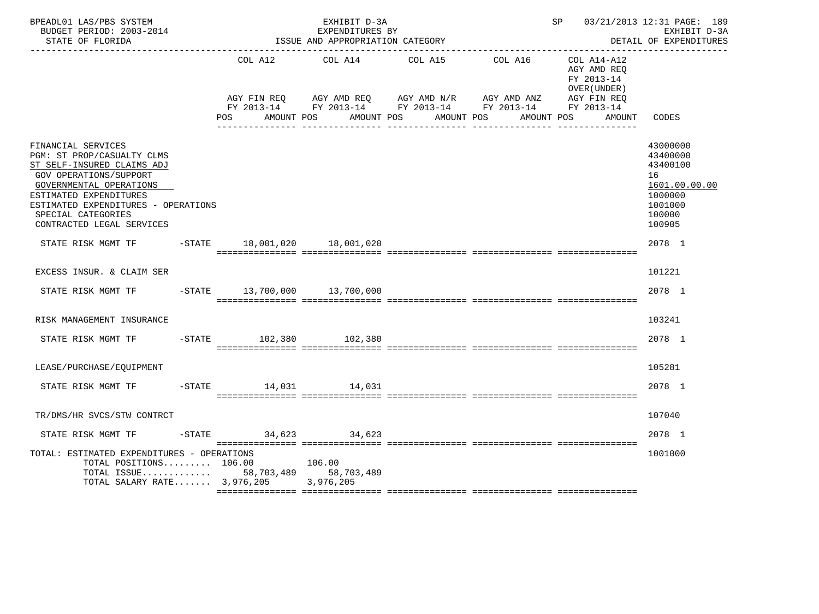| BPEADL01 LAS/PBS SYSTEM<br>BUDGET PERIOD: 2003-2014<br>STATE OF FLORIDA                                                                                                                                                                                        |                        | EXHIBIT D-3A<br>EXPENDITURES BY<br>ISSUE AND APPROPRIATION CATEGORY |                                                                                                                                                   | SP 03/21/2013 12:31 PAGE: 189                            | EXHIBIT D-3A<br>DETAIL OF EXPENDITURES                                                            |
|----------------------------------------------------------------------------------------------------------------------------------------------------------------------------------------------------------------------------------------------------------------|------------------------|---------------------------------------------------------------------|---------------------------------------------------------------------------------------------------------------------------------------------------|----------------------------------------------------------|---------------------------------------------------------------------------------------------------|
|                                                                                                                                                                                                                                                                | COL A12                | COL A14                                                             | COL A15<br>COL A16                                                                                                                                | COL A14-A12<br>AGY AMD REO<br>FY 2013-14<br>OVER (UNDER) |                                                                                                   |
|                                                                                                                                                                                                                                                                | POS                    | AMOUNT POS                                                          | AGY FIN REQ AGY AMD REQ AGY AMD N/R AGY AMD ANZ AGY FIN REQ<br>FY 2013-14 FY 2013-14 FY 2013-14 FY 2013-14 FY 2013-14<br>AMOUNT POS<br>AMOUNT POS | AMOUNT POS<br>AMOUNT                                     | CODES                                                                                             |
| FINANCIAL SERVICES<br>PGM: ST PROP/CASUALTY CLMS<br>ST SELF-INSURED CLAIMS ADJ<br><b>GOV OPERATIONS/SUPPORT</b><br>GOVERNMENTAL OPERATIONS<br>ESTIMATED EXPENDITURES<br>ESTIMATED EXPENDITURES - OPERATIONS<br>SPECIAL CATEGORIES<br>CONTRACTED LEGAL SERVICES |                        |                                                                     |                                                                                                                                                   |                                                          | 43000000<br>43400000<br>43400100<br>16<br>1601.00.00.00<br>1000000<br>1001000<br>100000<br>100905 |
| STATE RISK MGMT TF -STATE 18,001,020 18,001,020                                                                                                                                                                                                                |                        |                                                                     |                                                                                                                                                   |                                                          | 2078 1                                                                                            |
| EXCESS INSUR. & CLAIM SER                                                                                                                                                                                                                                      |                        |                                                                     |                                                                                                                                                   |                                                          | 101221                                                                                            |
| STATE RISK MGMT TF -STATE 13,700,000 13,700,000                                                                                                                                                                                                                |                        |                                                                     |                                                                                                                                                   |                                                          | 2078 1                                                                                            |
| RISK MANAGEMENT INSURANCE                                                                                                                                                                                                                                      |                        |                                                                     |                                                                                                                                                   |                                                          | 103241                                                                                            |
| STATE RISK MGMT TF                                                                                                                                                                                                                                             | -STATE 102,380 102,380 |                                                                     |                                                                                                                                                   |                                                          | 2078 1                                                                                            |
| LEASE/PURCHASE/EQUIPMENT                                                                                                                                                                                                                                       |                        |                                                                     |                                                                                                                                                   |                                                          | 105281                                                                                            |
| STATE RISK MGMT TF                                                                                                                                                                                                                                             | -STATE 14,031 14,031   |                                                                     |                                                                                                                                                   |                                                          | 2078 1                                                                                            |
| TR/DMS/HR SVCS/STW CONTRCT                                                                                                                                                                                                                                     |                        |                                                                     |                                                                                                                                                   |                                                          | 107040                                                                                            |
| STATE RISK MGMT TF                                                                                                                                                                                                                                             | $-STATE$ 34,623 34,623 |                                                                     |                                                                                                                                                   |                                                          | 2078 1                                                                                            |
| TOTAL: ESTIMATED EXPENDITURES - OPERATIONS<br>TOTAL POSITIONS 106.00<br>TOTAL ISSUE $58,703,489$<br>TOTAL SALARY RATE $3,976,205$                                                                                                                              |                        | 106.00<br>58,703,489<br>3,976,205                                   |                                                                                                                                                   |                                                          | 1001000                                                                                           |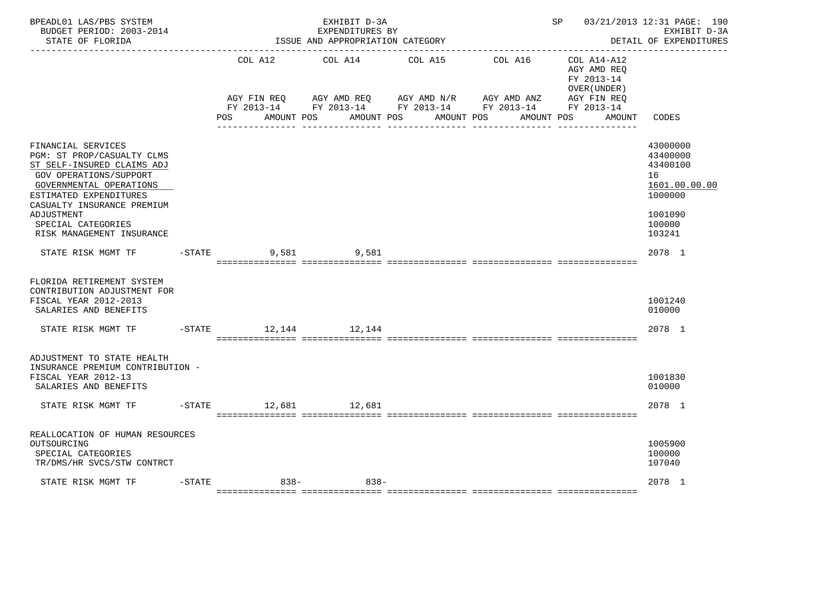| BPEADL01 LAS/PBS SYSTEM<br>BUDGET PERIOD: 2003-2014<br>STATE OF FLORIDA<br><u> - - - - - - - - - - - - - -</u>                                                                                                                                                      |           |                      | EXHIBIT D-3A<br>EXPENDITURES BY<br>ISSUE AND APPROPRIATION CATEGORY |            | SP                                                                                                                                                          | 03/21/2013 12:31 PAGE: 190<br>EXHIBIT D-3A<br>DETAIL OF EXPENDITURES                              |
|---------------------------------------------------------------------------------------------------------------------------------------------------------------------------------------------------------------------------------------------------------------------|-----------|----------------------|---------------------------------------------------------------------|------------|-------------------------------------------------------------------------------------------------------------------------------------------------------------|---------------------------------------------------------------------------------------------------|
|                                                                                                                                                                                                                                                                     |           | COL A12              | COL A14                                                             | COL A15    | COL A16<br>COL A14-A12<br>AGY AMD REQ<br>FY 2013-14<br>OVER (UNDER)                                                                                         |                                                                                                   |
|                                                                                                                                                                                                                                                                     |           | POS                  | AMOUNT POS                                                          | AMOUNT POS | AGY FIN REQ AGY AMD REQ AGY AMD N/R AGY AMD ANZ AGY FIN REQ<br>FY 2013-14 FY 2013-14 FY 2013-14 FY 2013-14 FY 2013-14<br>AMOUNT POS<br>AMOUNT POS<br>AMOUNT | CODES                                                                                             |
| FINANCIAL SERVICES<br>PGM: ST PROP/CASUALTY CLMS<br>ST SELF-INSURED CLAIMS ADJ<br><b>GOV OPERATIONS/SUPPORT</b><br>GOVERNMENTAL OPERATIONS<br>ESTIMATED EXPENDITURES<br>CASUALTY INSURANCE PREMIUM<br>ADJUSTMENT<br>SPECIAL CATEGORIES<br>RISK MANAGEMENT INSURANCE |           |                      |                                                                     |            |                                                                                                                                                             | 43000000<br>43400000<br>43400100<br>16<br>1601.00.00.00<br>1000000<br>1001090<br>100000<br>103241 |
| STATE RISK MGMT TF                                                                                                                                                                                                                                                  |           | $-STATE$             | 9,581                                                               |            |                                                                                                                                                             | 2078 1                                                                                            |
| FLORIDA RETIREMENT SYSTEM<br>CONTRIBUTION ADJUSTMENT FOR<br>FISCAL YEAR 2012-2013<br>SALARIES AND BENEFITS                                                                                                                                                          |           |                      |                                                                     |            |                                                                                                                                                             | 1001240<br>010000                                                                                 |
| STATE RISK MGMT TF                                                                                                                                                                                                                                                  |           | -STATE 12,144 12,144 |                                                                     |            |                                                                                                                                                             | 2078 1                                                                                            |
| ADJUSTMENT TO STATE HEALTH<br>INSURANCE PREMIUM CONTRIBUTION -<br>FISCAL YEAR 2012-13<br>SALARIES AND BENEFITS                                                                                                                                                      |           |                      |                                                                     |            |                                                                                                                                                             | 1001830<br>010000                                                                                 |
| STATE RISK MGMT TF                                                                                                                                                                                                                                                  |           | -STATE 12,681 12,681 |                                                                     |            |                                                                                                                                                             | 2078 1                                                                                            |
| REALLOCATION OF HUMAN RESOURCES<br>OUTSOURCING<br>SPECIAL CATEGORIES<br>TR/DMS/HR SVCS/STW CONTRCT                                                                                                                                                                  |           |                      |                                                                     |            |                                                                                                                                                             | 1005900<br>100000<br>107040                                                                       |
| STATE RISK MGMT TF                                                                                                                                                                                                                                                  | $-$ STATE | $838-$               | $838 -$                                                             |            |                                                                                                                                                             | 2078 1                                                                                            |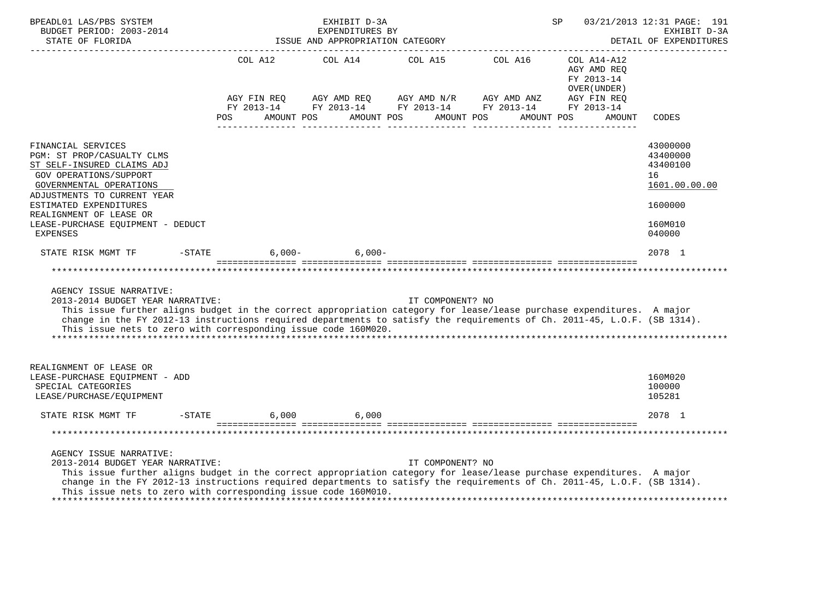| BPEADL01 LAS/PBS SYSTEM<br>BUDGET PERIOD: 2003-2014<br>STATE OF FLORIDA<br>_____________________                                                                                                                                                                                                                                                                                   |                                                 | EXHIBIT D-3A<br>EXPENDITURES BY<br>ISSUE AND APPROPRIATION CATEGORY |                  |                                                                                      | SP                                                       | 03/21/2013 12:31 PAGE: 191<br>EXHIBIT D-3A<br>DETAIL OF EXPENDITURES                    |
|------------------------------------------------------------------------------------------------------------------------------------------------------------------------------------------------------------------------------------------------------------------------------------------------------------------------------------------------------------------------------------|-------------------------------------------------|---------------------------------------------------------------------|------------------|--------------------------------------------------------------------------------------|----------------------------------------------------------|-----------------------------------------------------------------------------------------|
|                                                                                                                                                                                                                                                                                                                                                                                    | AGY FIN REQ                                     |                                                                     |                  | COL A12 COL A14 COL A15 COL A16 COL A14-A12<br>AGY AMD REQ AGY AMD $N/R$ AGY AMD ANZ | AGY AMD REO<br>FY 2013-14<br>OVER (UNDER)<br>AGY FIN REO |                                                                                         |
|                                                                                                                                                                                                                                                                                                                                                                                    | POS AMOUNT POS AMOUNT POS AMOUNT POS AMOUNT POS |                                                                     |                  | FY 2013-14 FY 2013-14 FY 2013-14 FY 2013-14 FY 2013-14                               | AMOUNT                                                   | CODES                                                                                   |
| FINANCIAL SERVICES<br>PGM: ST PROP/CASUALTY CLMS<br>ST SELF-INSURED CLAIMS ADJ<br><b>GOV OPERATIONS/SUPPORT</b><br>GOVERNMENTAL OPERATIONS<br>ADJUSTMENTS TO CURRENT YEAR<br>ESTIMATED EXPENDITURES<br>REALIGNMENT OF LEASE OR<br>LEASE-PURCHASE EQUIPMENT - DEDUCT<br><b>EXPENSES</b>                                                                                             |                                                 |                                                                     |                  |                                                                                      |                                                          | 43000000<br>43400000<br>43400100<br>16<br>1601.00.00.00<br>1600000<br>160M010<br>040000 |
| STATE RISK MGMT TF                                                                                                                                                                                                                                                                                                                                                                 | $-$ STATE                                       | $6,000-$ 6,000-                                                     |                  |                                                                                      |                                                          | 2078 1                                                                                  |
|                                                                                                                                                                                                                                                                                                                                                                                    |                                                 |                                                                     |                  |                                                                                      |                                                          |                                                                                         |
| AGENCY ISSUE NARRATIVE:<br>2013-2014 BUDGET YEAR NARRATIVE:<br>This issue further aligns budget in the correct appropriation category for lease/lease purchase expenditures. A major<br>change in the FY 2012-13 instructions required departments to satisfy the requirements of Ch. 2011-45, L.O.F. (SB 1314).<br>This issue nets to zero with corresponding issue code 160M020. |                                                 |                                                                     | IT COMPONENT? NO |                                                                                      |                                                          |                                                                                         |
| REALIGNMENT OF LEASE OR<br>LEASE-PURCHASE EOUIPMENT - ADD<br>SPECIAL CATEGORIES<br>LEASE/PURCHASE/EQUIPMENT                                                                                                                                                                                                                                                                        |                                                 |                                                                     |                  |                                                                                      |                                                          | 160M020<br>100000<br>105281                                                             |
| STATE RISK MGMT TF                                                                                                                                                                                                                                                                                                                                                                 | $-STATE$                                        | 6,000 6,000                                                         |                  |                                                                                      |                                                          | 2078 1                                                                                  |
|                                                                                                                                                                                                                                                                                                                                                                                    |                                                 |                                                                     |                  |                                                                                      |                                                          |                                                                                         |
| AGENCY ISSUE NARRATIVE:<br>2013-2014 BUDGET YEAR NARRATIVE:<br>This issue further aligns budget in the correct appropriation category for lease/lease purchase expenditures. A major<br>change in the FY 2012-13 instructions required departments to satisfy the requirements of Ch. 2011-45, L.O.F. (SB 1314).<br>This issue nets to zero with corresponding issue code 160M010. |                                                 |                                                                     | IT COMPONENT? NO |                                                                                      |                                                          |                                                                                         |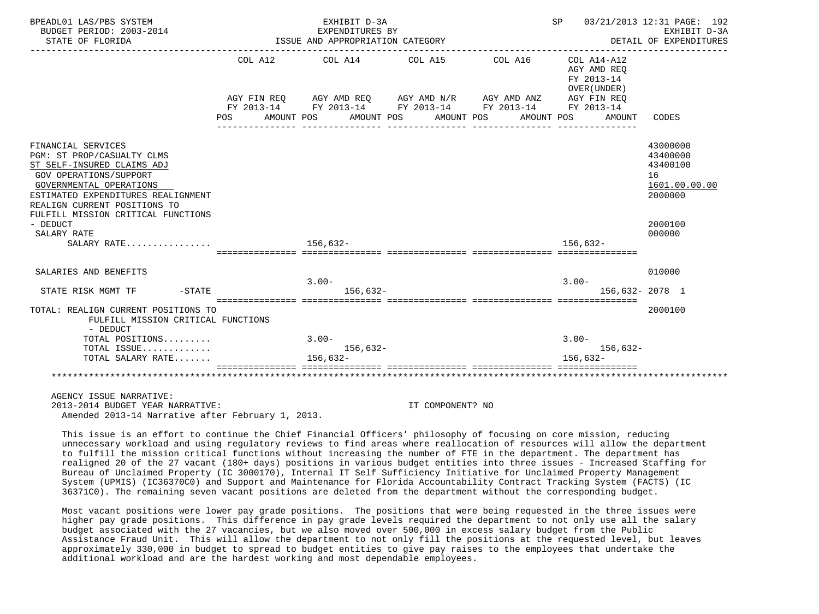| BPEADL01 LAS/PBS SYSTEM<br>BUDGET PERIOD: 2003-2014<br>STATE OF FLORIDA                                                                                                                                                                         |                 | EXHIBIT D-3A<br>EXPENDITURES BY<br>ISSUE AND APPROPRIATION CATEGORY |                                                                                                                                                |                       | SP 03/21/2013 12:31 PAGE: 192                                                    | EXHIBIT D-3A<br>DETAIL OF EXPENDITURES                             |
|-------------------------------------------------------------------------------------------------------------------------------------------------------------------------------------------------------------------------------------------------|-----------------|---------------------------------------------------------------------|------------------------------------------------------------------------------------------------------------------------------------------------|-----------------------|----------------------------------------------------------------------------------|--------------------------------------------------------------------|
|                                                                                                                                                                                                                                                 | COL A12<br>POS. | COL A14<br>AMOUNT POS                                               | COL A15<br>AGY FIN REQ AGY AMD REQ AGY AMD N/R AGY AMD ANZ AGY FIN REQ<br>FY 2013-14 FY 2013-14 FY 2013-14 FY 2013-14<br>AMOUNT POS AMOUNT POS | COL A16<br>AMOUNT POS | COL A14-A12<br>AGY AMD REO<br>FY 2013-14<br>OVER (UNDER)<br>FY 2013-14<br>AMOUNT | CODES                                                              |
|                                                                                                                                                                                                                                                 |                 |                                                                     |                                                                                                                                                |                       |                                                                                  |                                                                    |
| FINANCIAL SERVICES<br>PGM: ST PROP/CASUALTY CLMS<br>ST SELF-INSURED CLAIMS ADJ<br>GOV OPERATIONS/SUPPORT<br>GOVERNMENTAL OPERATIONS<br>ESTIMATED EXPENDITURES REALIGNMENT<br>REALIGN CURRENT POSITIONS TO<br>FULFILL MISSION CRITICAL FUNCTIONS |                 |                                                                     |                                                                                                                                                |                       |                                                                                  | 43000000<br>43400000<br>43400100<br>16<br>1601.00.00.00<br>2000000 |
| - DEDUCT<br>SALARY RATE                                                                                                                                                                                                                         |                 |                                                                     |                                                                                                                                                |                       |                                                                                  | 2000100<br>000000                                                  |
| SALARY RATE                                                                                                                                                                                                                                     |                 | 156,632-                                                            |                                                                                                                                                |                       | 156,632-                                                                         |                                                                    |
| SALARIES AND BENEFITS                                                                                                                                                                                                                           |                 |                                                                     |                                                                                                                                                |                       |                                                                                  | 010000                                                             |
| $-STATE$<br>STATE RISK MGMT TF                                                                                                                                                                                                                  |                 | $3.00 -$<br>$156.632-$                                              |                                                                                                                                                |                       | $3.00 -$<br>156,632- 2078 1                                                      |                                                                    |
| TOTAL: REALIGN CURRENT POSITIONS TO<br>FULFILL MISSION CRITICAL FUNCTIONS<br>- DEDUCT                                                                                                                                                           |                 |                                                                     |                                                                                                                                                |                       |                                                                                  | 2000100                                                            |
| TOTAL POSITIONS                                                                                                                                                                                                                                 |                 | $3.00 -$                                                            |                                                                                                                                                |                       | $3.00 -$                                                                         |                                                                    |
| TOTAL ISSUE<br>TOTAL SALARY RATE                                                                                                                                                                                                                |                 | $156.632-$<br>$156,632-$                                            |                                                                                                                                                |                       | $156.632-$<br>$156.632-$                                                         |                                                                    |
|                                                                                                                                                                                                                                                 |                 |                                                                     |                                                                                                                                                |                       |                                                                                  |                                                                    |
| AGENCY ISSUE NARRATIVE:<br>2013-2014 BUDGET YEAR NARRATIVE:                                                                                                                                                                                     |                 |                                                                     | TT COMPONENT? NO                                                                                                                               |                       |                                                                                  |                                                                    |

Amended 2013-14 Narrative after February 1, 2013.

COMPONENT? NO

 This issue is an effort to continue the Chief Financial Officers' philosophy of focusing on core mission, reducing unnecessary workload and using regulatory reviews to find areas where reallocation of resources will allow the department to fulfill the mission critical functions without increasing the number of FTE in the department. The department has realigned 20 of the 27 vacant (180+ days) positions in various budget entities into three issues - Increased Staffing for Bureau of Unclaimed Property (IC 3000170), Internal IT Self Sufficiency Initiative for Unclaimed Property Management System (UPMIS) (IC36370C0) and Support and Maintenance for Florida Accountability Contract Tracking System (FACTS) (IC 36371C0). The remaining seven vacant positions are deleted from the department without the corresponding budget.

 Most vacant positions were lower pay grade positions. The positions that were being requested in the three issues were higher pay grade positions. This difference in pay grade levels required the department to not only use all the salary budget associated with the 27 vacancies, but we also moved over 500,000 in excess salary budget from the Public Assistance Fraud Unit. This will allow the department to not only fill the positions at the requested level, but leaves approximately 330,000 in budget to spread to budget entities to give pay raises to the employees that undertake the additional workload and are the hardest working and most dependable employees.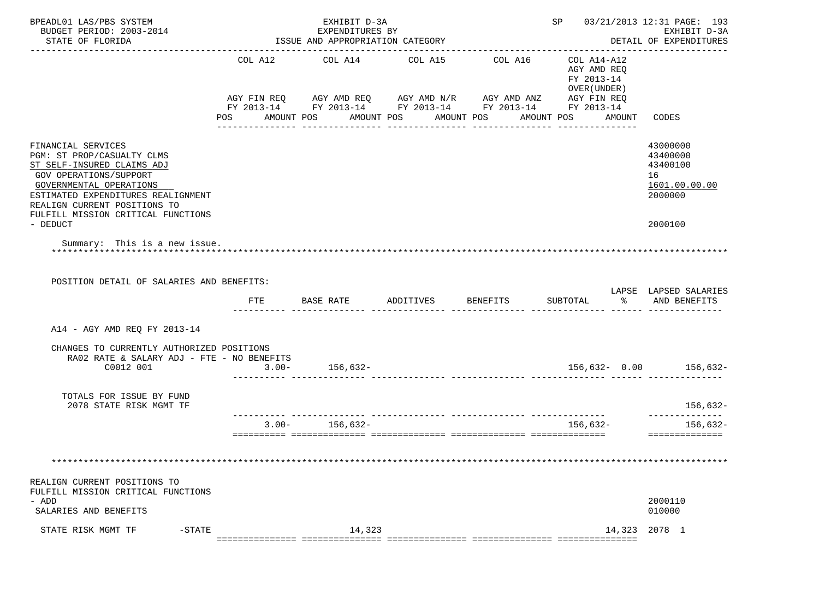| BPEADL01 LAS/PBS SYSTEM<br>BUDGET PERIOD: 2003-2014<br>STATE OF FLORIDA                                                                                                                                                                                     |                           | EXHIBIT D-3A<br>EXPENDITURES BY<br>ISSUE AND APPROPRIATION CATEGORY                                                              |                                  |                 | SP 03/21/2013 12:31 PAGE: 193                                                 | EXHIBIT D-3A<br>DETAIL OF EXPENDITURES                                        |
|-------------------------------------------------------------------------------------------------------------------------------------------------------------------------------------------------------------------------------------------------------------|---------------------------|----------------------------------------------------------------------------------------------------------------------------------|----------------------------------|-----------------|-------------------------------------------------------------------------------|-------------------------------------------------------------------------------|
|                                                                                                                                                                                                                                                             | COL A12<br>POS AMOUNT POS | COL A14<br>AGY FIN REQ AGY AMD REQ AGY AMD N/R AGY AMD ANZ AGY FIN REQ<br>FY 2013-14 FY 2013-14 FY 2013-14 FY 2013-14 FY 2013-14 | COL A15<br>AMOUNT POS AMOUNT POS | COL A16         | COL A14-A12<br>AGY AMD REQ<br>FY 2013-14<br>OVER (UNDER)<br>AMOUNT POS AMOUNT | CODES                                                                         |
| FINANCIAL SERVICES<br>PGM: ST PROP/CASUALTY CLMS<br>ST SELF-INSURED CLAIMS ADJ<br>GOV OPERATIONS/SUPPORT<br>GOVERNMENTAL OPERATIONS<br>ESTIMATED EXPENDITURES REALIGNMENT<br>REALIGN CURRENT POSITIONS TO<br>FULFILL MISSION CRITICAL FUNCTIONS<br>- DEDUCT |                           |                                                                                                                                  |                                  |                 |                                                                               | 43000000<br>43400000<br>43400100<br>16<br>1601.00.00.00<br>2000000<br>2000100 |
| Summary: This is a new issue.<br>POSITION DETAIL OF SALARIES AND BENEFITS:                                                                                                                                                                                  |                           |                                                                                                                                  |                                  |                 |                                                                               | LAPSE LAPSED SALARIES                                                         |
|                                                                                                                                                                                                                                                             | FTE                       | BASE RATE ADDITIVES                                                                                                              |                                  | <b>BENEFITS</b> | SUBTOTAL                                                                      | % AND BENEFITS                                                                |
| A14 - AGY AMD REQ FY 2013-14                                                                                                                                                                                                                                |                           |                                                                                                                                  |                                  |                 |                                                                               |                                                                               |
| CHANGES TO CURRENTLY AUTHORIZED POSITIONS<br>RA02 RATE & SALARY ADJ - FTE - NO BENEFITS<br>C0012 001                                                                                                                                                        |                           | $3.00 - 156,632 -$                                                                                                               |                                  |                 |                                                                               | 156,632- 0.00 156,632-                                                        |
| TOTALS FOR ISSUE BY FUND<br>2078 STATE RISK MGMT TF                                                                                                                                                                                                         |                           |                                                                                                                                  |                                  |                 |                                                                               | $156,632-$                                                                    |
|                                                                                                                                                                                                                                                             |                           | $3.00 - 156,632 -$                                                                                                               |                                  |                 | 156,632-                                                                      | --------------<br>$156,632-$<br>==============                                |
|                                                                                                                                                                                                                                                             |                           |                                                                                                                                  |                                  |                 |                                                                               |                                                                               |
| REALIGN CURRENT POSITIONS TO<br>FULFILL MISSION CRITICAL FUNCTIONS                                                                                                                                                                                          |                           |                                                                                                                                  |                                  |                 |                                                                               |                                                                               |
| - ADD<br>SALARIES AND BENEFITS                                                                                                                                                                                                                              |                           |                                                                                                                                  |                                  |                 |                                                                               | 2000110<br>010000                                                             |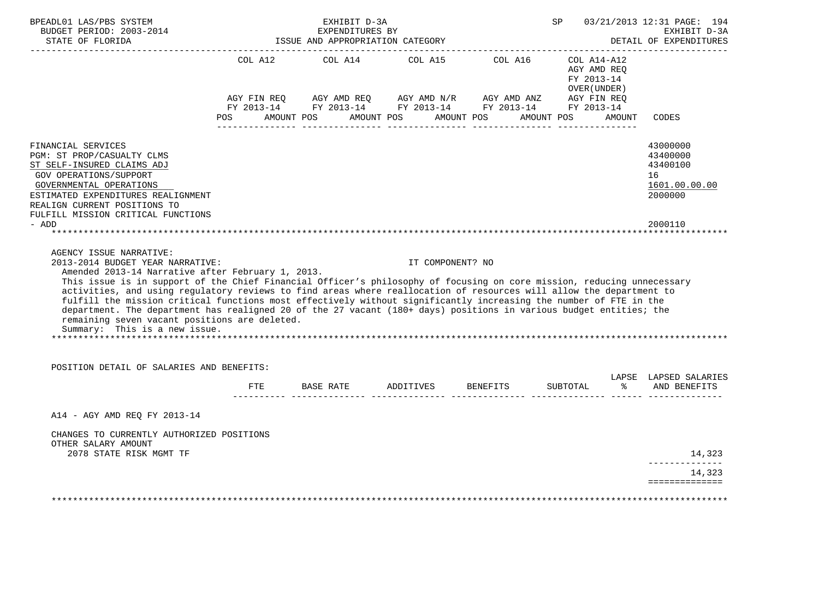| STATE OF FLORIDA                                                                                                                                                                                                                                                                                                                                                                                                                                                                                                                                                                                                                |     | EXHIBIT D-3A<br>EXPENDITURES BY<br>ISSUE AND APPROPRIATION CATEGORY                                                                                                                                   |                  |          | SP                                         | 03/21/2013 12:31 PAGE: 194                        | EXHIBIT D-3A<br>DETAIL OF EXPENDITURES |
|---------------------------------------------------------------------------------------------------------------------------------------------------------------------------------------------------------------------------------------------------------------------------------------------------------------------------------------------------------------------------------------------------------------------------------------------------------------------------------------------------------------------------------------------------------------------------------------------------------------------------------|-----|-------------------------------------------------------------------------------------------------------------------------------------------------------------------------------------------------------|------------------|----------|--------------------------------------------|---------------------------------------------------|----------------------------------------|
|                                                                                                                                                                                                                                                                                                                                                                                                                                                                                                                                                                                                                                 |     | COL A12 COL A14 COL A15 COL A16 COL A14-A12<br>AGY FIN REQ AGY AMD REQ AGY AMD N/R AGY AMD ANZ AGY FIN REQ FY 2013-14 FY 2013-14 FY 2013-14<br>POS AMOUNT POS AMOUNT POS AMOUNT POS AMOUNT POS AMOUNT |                  |          | AGY AMD REO<br>FY 2013-14<br>OVER (UNDER ) | CODES                                             |                                        |
|                                                                                                                                                                                                                                                                                                                                                                                                                                                                                                                                                                                                                                 |     |                                                                                                                                                                                                       |                  |          |                                            |                                                   |                                        |
| FINANCIAL SERVICES<br>PGM: ST PROP/CASUALTY CLMS<br>ST SELF-INSURED CLAIMS ADJ<br><b>GOV OPERATIONS/SUPPORT</b><br>GOVERNMENTAL OPERATIONS<br>ESTIMATED EXPENDITURES REALIGNMENT<br>REALIGN CURRENT POSITIONS TO                                                                                                                                                                                                                                                                                                                                                                                                                |     |                                                                                                                                                                                                       |                  |          |                                            | 43000000<br>43400000<br>43400100<br>16<br>2000000 | 1601.00.00.00                          |
| FULFILL MISSION CRITICAL FUNCTIONS<br>- ADD                                                                                                                                                                                                                                                                                                                                                                                                                                                                                                                                                                                     |     |                                                                                                                                                                                                       |                  |          |                                            | 2000110                                           |                                        |
|                                                                                                                                                                                                                                                                                                                                                                                                                                                                                                                                                                                                                                 |     |                                                                                                                                                                                                       |                  |          |                                            |                                                   |                                        |
| AGENCY ISSUE NARRATIVE:<br>2013-2014 BUDGET YEAR NARRATIVE:                                                                                                                                                                                                                                                                                                                                                                                                                                                                                                                                                                     |     |                                                                                                                                                                                                       | IT COMPONENT? NO |          |                                            |                                                   |                                        |
| Amended 2013-14 Narrative after February 1, 2013.<br>This issue is in support of the Chief Financial Officer's philosophy of focusing on core mission, reducing unnecessary<br>activities, and using regulatory reviews to find areas where reallocation of resources will allow the department to<br>fulfill the mission critical functions most effectively without significantly increasing the number of FTE in the<br>department. The department has realigned 20 of the 27 vacant (180+ days) positions in various budget entities; the<br>remaining seven vacant positions are deleted.<br>Summary: This is a new issue. |     |                                                                                                                                                                                                       |                  |          |                                            |                                                   |                                        |
| POSITION DETAIL OF SALARIES AND BENEFITS:                                                                                                                                                                                                                                                                                                                                                                                                                                                                                                                                                                                       |     |                                                                                                                                                                                                       |                  |          |                                            |                                                   |                                        |
|                                                                                                                                                                                                                                                                                                                                                                                                                                                                                                                                                                                                                                 | FTE | BASE RATE ADDITIVES                                                                                                                                                                                   |                  | BENEFITS | SUBTOTAL                                   | $rac{1}{2}$                                       | LAPSE LAPSED SALARIES<br>AND BENEFITS  |
| A14 - AGY AMD REQ FY 2013-14                                                                                                                                                                                                                                                                                                                                                                                                                                                                                                                                                                                                    |     |                                                                                                                                                                                                       |                  |          |                                            |                                                   |                                        |
| CHANGES TO CURRENTLY AUTHORIZED POSITIONS<br>OTHER SALARY AMOUNT<br>2078 STATE RISK MGMT TF                                                                                                                                                                                                                                                                                                                                                                                                                                                                                                                                     |     |                                                                                                                                                                                                       |                  |          |                                            |                                                   | 14,323                                 |
|                                                                                                                                                                                                                                                                                                                                                                                                                                                                                                                                                                                                                                 |     |                                                                                                                                                                                                       |                  |          |                                            |                                                   | --------------<br>14,323               |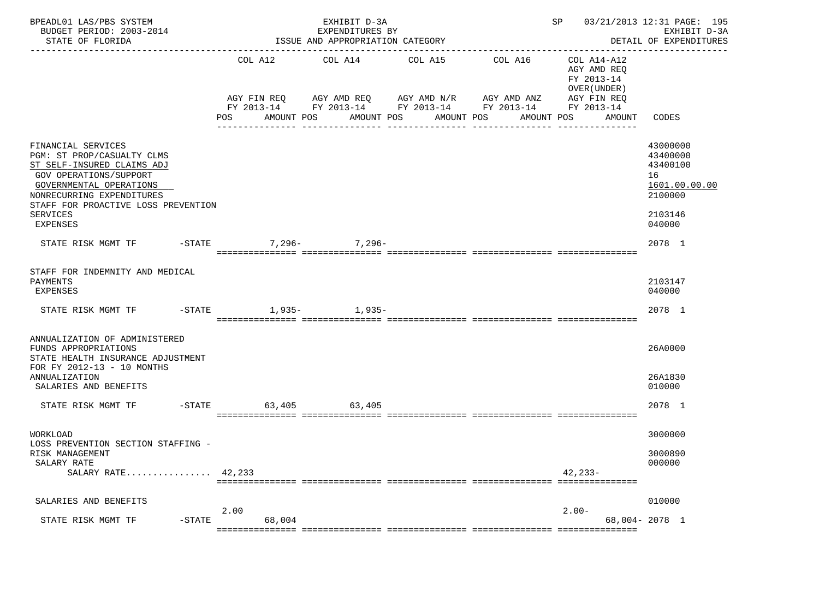| BPEADL01 LAS/PBS SYSTEM<br>BUDGET PERIOD: 2003-2014<br>STATE OF FLORIDA                                                                                                                                                         |           |      |            | EXHIBIT D-3A<br>EXPENDITURES BY<br>ISSUE AND APPROPRIATION CATEGORY                                                                                                       |            |            |             |                                                                                   | SP 03/21/2013 12:31 PAGE: 195<br>EXHIBIT D-3A<br>DETAIL OF EXPENDITURES                 |
|---------------------------------------------------------------------------------------------------------------------------------------------------------------------------------------------------------------------------------|-----------|------|------------|---------------------------------------------------------------------------------------------------------------------------------------------------------------------------|------------|------------|-------------|-----------------------------------------------------------------------------------|-----------------------------------------------------------------------------------------|
|                                                                                                                                                                                                                                 |           | POS  | AMOUNT POS | COL A12 COL A14 COL A15 COL A16<br>AGY FIN REQ      AGY AMD REQ      AGY AMD N/R      AGY AMD ANZ<br>FY 2013-14 FY 2013-14 FY 2013-14 FY 2013-14 FY 2013-14<br>AMOUNT POS | AMOUNT POS | AMOUNT POS |             | COL A14-A12<br>AGY AMD REQ<br>FY 2013-14<br>OVER (UNDER)<br>AGY FIN REQ<br>AMOUNT | CODES                                                                                   |
| FINANCIAL SERVICES<br>PGM: ST PROP/CASUALTY CLMS<br>ST SELF-INSURED CLAIMS ADJ<br>GOV OPERATIONS/SUPPORT<br>GOVERNMENTAL OPERATIONS<br>NONRECURRING EXPENDITURES<br>STAFF FOR PROACTIVE LOSS PREVENTION<br>SERVICES<br>EXPENSES |           |      |            |                                                                                                                                                                           |            |            |             |                                                                                   | 43000000<br>43400000<br>43400100<br>16<br>1601.00.00.00<br>2100000<br>2103146<br>040000 |
|                                                                                                                                                                                                                                 |           |      |            | 7,296- 7,296-                                                                                                                                                             |            |            |             |                                                                                   | 2078 1                                                                                  |
| STAFF FOR INDEMNITY AND MEDICAL<br>PAYMENTS<br>EXPENSES<br>STATE RISK MGMT TF                                                                                                                                                   |           |      |            | -STATE 1,935- 1,935-                                                                                                                                                      |            |            |             |                                                                                   | 2103147<br>040000<br>2078 1                                                             |
| ANNUALIZATION OF ADMINISTERED<br>FUNDS APPROPRIATIONS<br>STATE HEALTH INSURANCE ADJUSTMENT<br>FOR FY 2012-13 - 10 MONTHS<br>ANNUALIZATION<br>SALARIES AND BENEFITS                                                              |           |      |            |                                                                                                                                                                           |            |            |             |                                                                                   | 26A0000<br>26A1830<br>010000                                                            |
| STATE RISK MGMT TF    -STATE    63,405    63,405                                                                                                                                                                                |           |      |            |                                                                                                                                                                           |            |            |             |                                                                                   | 2078 1                                                                                  |
| WORKLOAD<br>LOSS PREVENTION SECTION STAFFING -<br>RISK MANAGEMENT<br>SALARY RATE<br>SALARY RATE $42,233$                                                                                                                        |           |      |            |                                                                                                                                                                           |            |            | $42, 233 -$ |                                                                                   | 3000000<br>3000890<br>000000                                                            |
| SALARIES AND BENEFITS                                                                                                                                                                                                           |           | 2.00 |            |                                                                                                                                                                           |            |            | $2.00-$     |                                                                                   | 010000                                                                                  |
| STATE RISK MGMT TF                                                                                                                                                                                                              | $-$ STATE |      | 68,004     |                                                                                                                                                                           |            |            |             |                                                                                   | 68,004-2078 1                                                                           |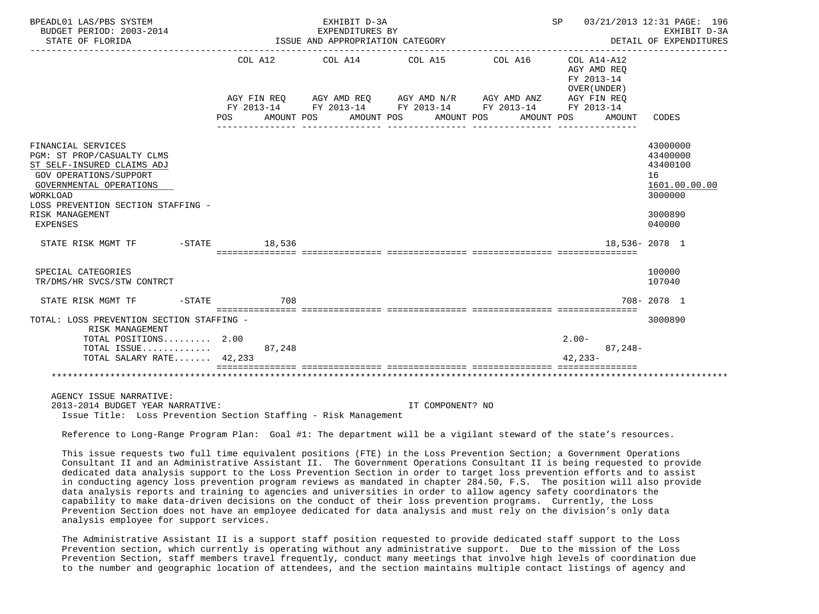| BPEADL01 LAS/PBS SYSTEM<br>BUDGET PERIOD: 2003-2014<br>STATE OF FLORIDA                                                                                                                                                            |        | EXHIBIT D-3A<br>EXPENDITURES BY<br>ISSUE AND APPROPRIATION CATEGORY |                                                                                                                                                |                       | SP 03/21/2013 12:31 PAGE: 196                                      | EXHIBIT D-3A<br>DETAIL OF EXPENDITURES                                                  |
|------------------------------------------------------------------------------------------------------------------------------------------------------------------------------------------------------------------------------------|--------|---------------------------------------------------------------------|------------------------------------------------------------------------------------------------------------------------------------------------|-----------------------|--------------------------------------------------------------------|-----------------------------------------------------------------------------------------|
|                                                                                                                                                                                                                                    | POS    | COL A12 COL A14 COL A15<br>AMOUNT POS                               | AGY FIN REQ AGY AMD REQ AGY AMD N/R AGY AMD ANZ AGY FIN REQ<br>FY 2013-14 FY 2013-14 FY 2013-14 FY 2013-14 FY 2013-14<br>AMOUNT POS AMOUNT POS | COL A16<br>AMOUNT POS | COL A14-A12<br>AGY AMD REO<br>FY 2013-14<br>OVER (UNDER)<br>AMOUNT | CODES                                                                                   |
| FINANCIAL SERVICES<br>PGM: ST PROP/CASUALTY CLMS<br>ST SELF-INSURED CLAIMS ADJ<br><b>GOV OPERATIONS/SUPPORT</b><br>GOVERNMENTAL OPERATIONS<br>WORKLOAD<br>LOSS PREVENTION SECTION STAFFING -<br>RISK MANAGEMENT<br><b>EXPENSES</b> |        |                                                                     |                                                                                                                                                |                       |                                                                    | 43000000<br>43400000<br>43400100<br>16<br>1601.00.00.00<br>3000000<br>3000890<br>040000 |
| STATE RISK MGMT TF    -STATE    18,536                                                                                                                                                                                             |        |                                                                     |                                                                                                                                                |                       |                                                                    | 18,536-2078 1                                                                           |
| SPECIAL CATEGORIES<br>TR/DMS/HR SVCS/STW CONTRCT                                                                                                                                                                                   |        |                                                                     |                                                                                                                                                |                       |                                                                    | 100000<br>107040                                                                        |
| STATE RISK MGMT TF    -STATE                                                                                                                                                                                                       | 708    |                                                                     |                                                                                                                                                |                       |                                                                    | 708-2078 1                                                                              |
| TOTAL: LOSS PREVENTION SECTION STAFFING -<br>RISK MANAGEMENT                                                                                                                                                                       |        |                                                                     |                                                                                                                                                |                       |                                                                    | 3000890                                                                                 |
| TOTAL POSITIONS 2.00                                                                                                                                                                                                               |        |                                                                     |                                                                                                                                                |                       | $2.00-$                                                            |                                                                                         |
| TOTAL ISSUE<br>TOTAL SALARY RATE 42,233                                                                                                                                                                                            | 87,248 |                                                                     |                                                                                                                                                |                       | $87,248-$<br>$42.233 -$                                            |                                                                                         |
|                                                                                                                                                                                                                                    |        |                                                                     |                                                                                                                                                |                       |                                                                    |                                                                                         |
| AGENCY ISSUE NARRATIVE:<br>2013-2014 BUDGET YEAR NARRATIVE:<br>Issue Title: Loss Prevention Section Staffing - Risk Management                                                                                                     |        |                                                                     | IT COMPONENT? NO                                                                                                                               |                       |                                                                    |                                                                                         |

Reference to Long-Range Program Plan: Goal #1: The department will be a vigilant steward of the state's resources.

 This issue requests two full time equivalent positions (FTE) in the Loss Prevention Section; a Government Operations Consultant II and an Administrative Assistant II. The Government Operations Consultant II is being requested to provide dedicated data analysis support to the Loss Prevention Section in order to target loss prevention efforts and to assist in conducting agency loss prevention program reviews as mandated in chapter 284.50, F.S. The position will also provide data analysis reports and training to agencies and universities in order to allow agency safety coordinators the capability to make data-driven decisions on the conduct of their loss prevention programs. Currently, the Loss Prevention Section does not have an employee dedicated for data analysis and must rely on the division's only data analysis employee for support services.

 The Administrative Assistant II is a support staff position requested to provide dedicated staff support to the Loss Prevention section, which currently is operating without any administrative support. Due to the mission of the Loss Prevention Section, staff members travel frequently, conduct many meetings that involve high levels of coordination due to the number and geographic location of attendees, and the section maintains multiple contact listings of agency and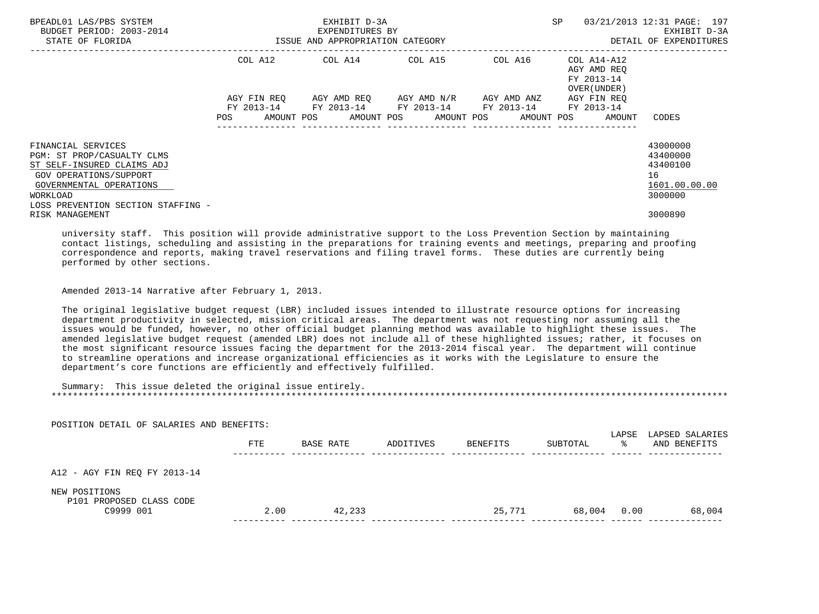| BPEADL01 LAS/PBS SYSTEM<br>BUDGET PERIOD: 2003-2014<br>STATE OF FLORIDA                                                                                                               | ISSUE AND APPROPRIATION CATEGORY | EXHIBIT D-3A<br>EXPENDITURES BY |                                                                                                                                  |                                 | <b>SP</b>                                                | 03/21/2013 12:31 PAGE: 197<br>EXHIBIT D-3A<br>DETAIL OF EXPENDITURES |
|---------------------------------------------------------------------------------------------------------------------------------------------------------------------------------------|----------------------------------|---------------------------------|----------------------------------------------------------------------------------------------------------------------------------|---------------------------------|----------------------------------------------------------|----------------------------------------------------------------------|
|                                                                                                                                                                                       |                                  |                                 | COL A12 COL A14 COL A15                                                                                                          | COL A16                         | COL A14-A12<br>AGY AMD REO<br>FY 2013-14<br>OVER (UNDER) |                                                                      |
|                                                                                                                                                                                       | AGY FIN REO<br>POS               |                                 | AGY AMD REQ AGY AMD N/R<br>FY 2013-14 FY 2013-14 FY 2013-14 FY 2013-14 FY 2013-14<br>AMOUNT POS AMOUNT POS AMOUNT POS AMOUNT POS | AGY AMD ANZ<br>---------------- | AGY FIN REO<br>AMOUNT                                    | CODES                                                                |
| FINANCIAL SERVICES<br>PGM: ST PROP/CASUALTY CLMS<br>ST SELF-INSURED CLAIMS ADJ<br>GOV OPERATIONS/SUPPORT<br>GOVERNMENTAL OPERATIONS<br>WORKLOAD<br>LOSS PREVENTION SECTION STAFFING - |                                  |                                 |                                                                                                                                  |                                 |                                                          | 43000000<br>43400000<br>43400100<br>16<br>1601.00.00.00<br>3000000   |
| RISK MANAGEMENT                                                                                                                                                                       |                                  |                                 |                                                                                                                                  |                                 |                                                          | 3000890                                                              |

 university staff. This position will provide administrative support to the Loss Prevention Section by maintaining contact listings, scheduling and assisting in the preparations for training events and meetings, preparing and proofing correspondence and reports, making travel reservations and filing travel forms. These duties are currently being performed by other sections.

Amended 2013-14 Narrative after February 1, 2013.

POSITION DETAIL OF SALARIES AND BENEFITS:

 The original legislative budget request (LBR) included issues intended to illustrate resource options for increasing department productivity in selected, mission critical areas. The department was not requesting nor assuming all the issues would be funded, however, no other official budget planning method was available to highlight these issues. The amended legislative budget request (amended LBR) does not include all of these highlighted issues; rather, it focuses on the most significant resource issues facing the department for the 2013-2014 fiscal year. The department will continue to streamline operations and increase organizational efficiencies as it works with the Legislature to ensure the department's core functions are efficiently and effectively fulfilled.

 Summary: This issue deleted the original issue entirely. \*\*\*\*\*\*\*\*\*\*\*\*\*\*\*\*\*\*\*\*\*\*\*\*\*\*\*\*\*\*\*\*\*\*\*\*\*\*\*\*\*\*\*\*\*\*\*\*\*\*\*\*\*\*\*\*\*\*\*\*\*\*\*\*\*\*\*\*\*\*\*\*\*\*\*\*\*\*\*\*\*\*\*\*\*\*\*\*\*\*\*\*\*\*\*\*\*\*\*\*\*\*\*\*\*\*\*\*\*\*\*\*\*\*\*\*\*\*\*\*\*\*\*\*\*\*\*

| PUSIIIUN DEIAIL UP SALAKIES AND BENEPIIS.              | <b>FTE</b> | BASE RATE | ADDITIVES | BENEFITS | SUBTOTAL | LAPSE<br>⋇ | LAPSED SALARIES<br>AND BENEFITS |
|--------------------------------------------------------|------------|-----------|-----------|----------|----------|------------|---------------------------------|
| A12 - AGY FIN REQ FY 2013-14                           |            |           |           |          |          |            |                                 |
| NEW POSITIONS<br>P101 PROPOSED CLASS CODE<br>C9999 001 | 2.00       | 42,233    |           | 25,771   | 68,004   | 0.00       | 68,004                          |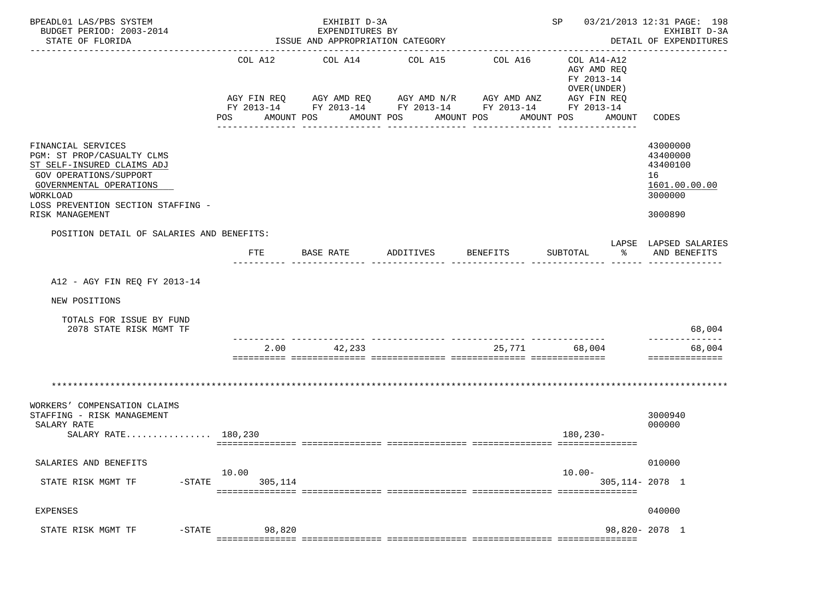| BPEADL01 LAS/PBS SYSTEM<br>BUDGET PERIOD: 2003-2014<br>STATE OF FLORIDA                                                                                                                                  |                       | EXHIBIT D-3A<br>EXPENDITURES BY<br>ISSUE AND APPROPRIATION CATEGORY |                                                                                                                                                                               |          | SP 03/21/2013 12:31 PAGE: 198                                                    | EXHIBIT D-3A<br>DETAIL OF EXPENDITURES                                        |
|----------------------------------------------------------------------------------------------------------------------------------------------------------------------------------------------------------|-----------------------|---------------------------------------------------------------------|-------------------------------------------------------------------------------------------------------------------------------------------------------------------------------|----------|----------------------------------------------------------------------------------|-------------------------------------------------------------------------------|
|                                                                                                                                                                                                          | COL A12<br><b>POS</b> | COL A14<br>AMOUNT POS                                               | COL A15<br>AGY FIN REQ AGY AMD REQ AGY AMD N/R AGY AMD ANZ AGY FIN REQ<br>FY 2013-14 FY 2013-14 FY 2013-14 FY 2013-14 FY 2013-14<br>AMOUNT POS AMOUNT POS<br>________________ | COL A16  | COL A14-A12<br>AGY AMD REQ<br>FY 2013-14<br>OVER (UNDER)<br>AMOUNT POS<br>AMOUNT | CODES                                                                         |
| FINANCIAL SERVICES<br>PGM: ST PROP/CASUALTY CLMS<br>ST SELF-INSURED CLAIMS ADJ<br>GOV OPERATIONS/SUPPORT<br>GOVERNMENTAL OPERATIONS<br>WORKLOAD<br>LOSS PREVENTION SECTION STAFFING -<br>RISK MANAGEMENT |                       |                                                                     |                                                                                                                                                                               |          |                                                                                  | 43000000<br>43400000<br>43400100<br>16<br>1601.00.00.00<br>3000000<br>3000890 |
| POSITION DETAIL OF SALARIES AND BENEFITS:                                                                                                                                                                | FTE                   | BASE RATE                                                           | ADDITIVES                                                                                                                                                                     | BENEFITS | န္မွ ေ<br>SUBTOTAL                                                               | LAPSE LAPSED SALARIES<br>AND BENEFITS                                         |
| A12 - AGY FIN REO FY 2013-14                                                                                                                                                                             |                       |                                                                     |                                                                                                                                                                               |          |                                                                                  |                                                                               |
| NEW POSITIONS                                                                                                                                                                                            |                       |                                                                     |                                                                                                                                                                               |          |                                                                                  |                                                                               |
| TOTALS FOR ISSUE BY FUND<br>2078 STATE RISK MGMT TF                                                                                                                                                      |                       |                                                                     |                                                                                                                                                                               |          |                                                                                  | 68,004                                                                        |
|                                                                                                                                                                                                          |                       | 2.00 42,233                                                         |                                                                                                                                                                               |          | 25,771 68,004                                                                    | --------------<br>68,004<br>==============                                    |
|                                                                                                                                                                                                          |                       |                                                                     |                                                                                                                                                                               |          |                                                                                  |                                                                               |
| WORKERS' COMPENSATION CLAIMS<br>STAFFING - RISK MANAGEMENT<br>SALARY RATE<br>SALARY RATE 180,230                                                                                                         |                       |                                                                     |                                                                                                                                                                               |          | 180,230-                                                                         | 3000940<br>000000                                                             |
| SALARIES AND BENEFITS                                                                                                                                                                                    |                       |                                                                     |                                                                                                                                                                               |          |                                                                                  | 010000                                                                        |
| STATE RISK MGMT TF<br>$-$ STATE                                                                                                                                                                          | 10.00<br>305,114      |                                                                     |                                                                                                                                                                               |          | $10.00 -$<br>305, 114 - 2078 1                                                   |                                                                               |
| <b>EXPENSES</b>                                                                                                                                                                                          |                       |                                                                     |                                                                                                                                                                               |          |                                                                                  | 040000                                                                        |
| $-$ STATE<br>STATE RISK MGMT TF                                                                                                                                                                          | 98,820                |                                                                     |                                                                                                                                                                               |          |                                                                                  | 98,820-2078 1                                                                 |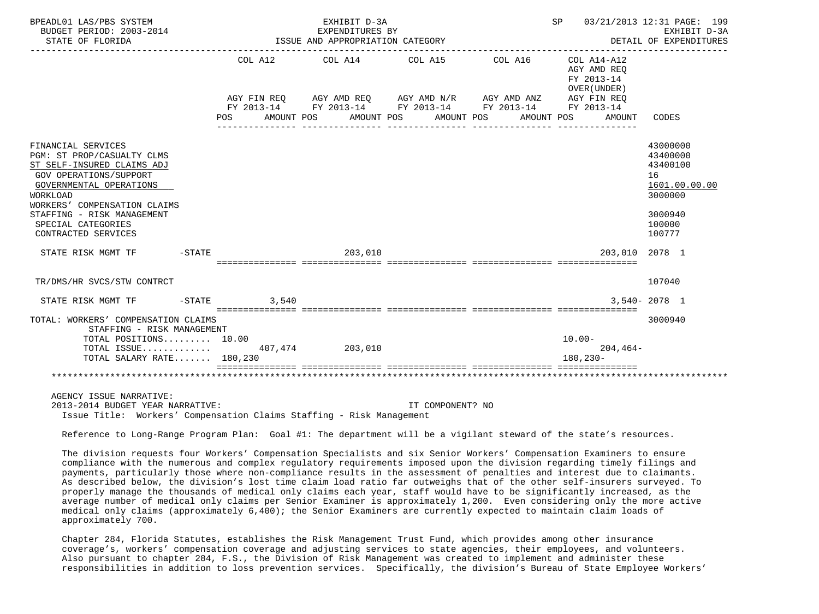| BPEADL01 LAS/PBS SYSTEM<br>BUDGET PERIOD: 2003-2014<br>STATE OF FLORIDA                                                                                                                                                                                                                      |      |                        | EXHIBIT D-3A<br>EXPENDITURES BY<br>ISSUE AND APPROPRIATION CATEGORY                                                          |                       |            |                          |                                                          | SP 03/21/2013 12:31 PAGE: 199<br>EXHIBIT D-3A<br>DETAIL OF EXPENDITURES                           |
|----------------------------------------------------------------------------------------------------------------------------------------------------------------------------------------------------------------------------------------------------------------------------------------------|------|------------------------|------------------------------------------------------------------------------------------------------------------------------|-----------------------|------------|--------------------------|----------------------------------------------------------|---------------------------------------------------------------------------------------------------|
|                                                                                                                                                                                                                                                                                              |      | COL A12<br>AGY FIN REQ | COL A14 COL A15<br>AGY AMD REQ AGY AMD N/R AGY AMD ANZ AGY FIN REQ<br>FY 2013-14 FY 2013-14 FY 2013-14 FY 2013-14 FY 2013-14 |                       | COL A16    |                          | COL A14-A12<br>AGY AMD REO<br>FY 2013-14<br>OVER (UNDER) |                                                                                                   |
|                                                                                                                                                                                                                                                                                              | POS. | AMOUNT POS             |                                                                                                                              | AMOUNT POS AMOUNT POS | AMOUNT POS |                          | AMOUNT                                                   | CODES                                                                                             |
| FINANCIAL SERVICES<br>PGM: ST PROP/CASUALTY CLMS<br>ST SELF-INSURED CLAIMS ADJ<br>GOV OPERATIONS/SUPPORT<br>GOVERNMENTAL OPERATIONS<br>WORKLOAD<br>WORKERS' COMPENSATION CLAIMS<br>STAFFING - RISK MANAGEMENT<br>SPECIAL CATEGORIES<br>CONTRACTED SERVICES<br>$-STATE$<br>STATE RISK MGMT TF |      |                        | 203,010                                                                                                                      |                       |            |                          | 203,010 2078 1                                           | 43000000<br>43400000<br>43400100<br>16<br>1601.00.00.00<br>3000000<br>3000940<br>100000<br>100777 |
|                                                                                                                                                                                                                                                                                              |      |                        |                                                                                                                              |                       |            |                          |                                                          |                                                                                                   |
| TR/DMS/HR SVCS/STW CONTRCT                                                                                                                                                                                                                                                                   |      |                        |                                                                                                                              |                       |            |                          |                                                          | 107040                                                                                            |
| $-STATE$<br>STATE RISK MGMT TF                                                                                                                                                                                                                                                               |      | 3,540                  |                                                                                                                              |                       |            |                          |                                                          | $3.540 - 2078$ 1                                                                                  |
| TOTAL: WORKERS' COMPENSATION CLAIMS<br>STAFFING - RISK MANAGEMENT<br>TOTAL POSITIONS 10.00<br>TOTAL ISSUE 407,474 203,010<br>TOTAL SALARY RATE 180,230                                                                                                                                       |      |                        | =================================                                                                                            |                       |            | $10.00 -$<br>$180.230 -$ | $204.464-$                                               | 3000940                                                                                           |
|                                                                                                                                                                                                                                                                                              |      |                        |                                                                                                                              |                       |            |                          |                                                          |                                                                                                   |
| AGENCY ISSUE NARRATIVE:<br>2013-2014 BUDGET YEAR NARRATIVE:                                                                                                                                                                                                                                  |      |                        |                                                                                                                              | IT COMPONENT? NO      |            |                          |                                                          |                                                                                                   |

Issue Title: Workers' Compensation Claims Staffing - Risk Management

Reference to Long-Range Program Plan: Goal #1: The department will be a vigilant steward of the state's resources.

 The division requests four Workers' Compensation Specialists and six Senior Workers' Compensation Examiners to ensure compliance with the numerous and complex regulatory requirements imposed upon the division regarding timely filings and payments, particularly those where non-compliance results in the assessment of penalties and interest due to claimants. As described below, the division's lost time claim load ratio far outweighs that of the other self-insurers surveyed. To properly manage the thousands of medical only claims each year, staff would have to be significantly increased, as the average number of medical only claims per Senior Examiner is approximately 1,200. Even considering only the more active medical only claims (approximately 6,400); the Senior Examiners are currently expected to maintain claim loads of approximately 700.

 Chapter 284, Florida Statutes, establishes the Risk Management Trust Fund, which provides among other insurance coverage's, workers' compensation coverage and adjusting services to state agencies, their employees, and volunteers. Also pursuant to chapter 284, F.S., the Division of Risk Management was created to implement and administer these responsibilities in addition to loss prevention services. Specifically, the division's Bureau of State Employee Workers'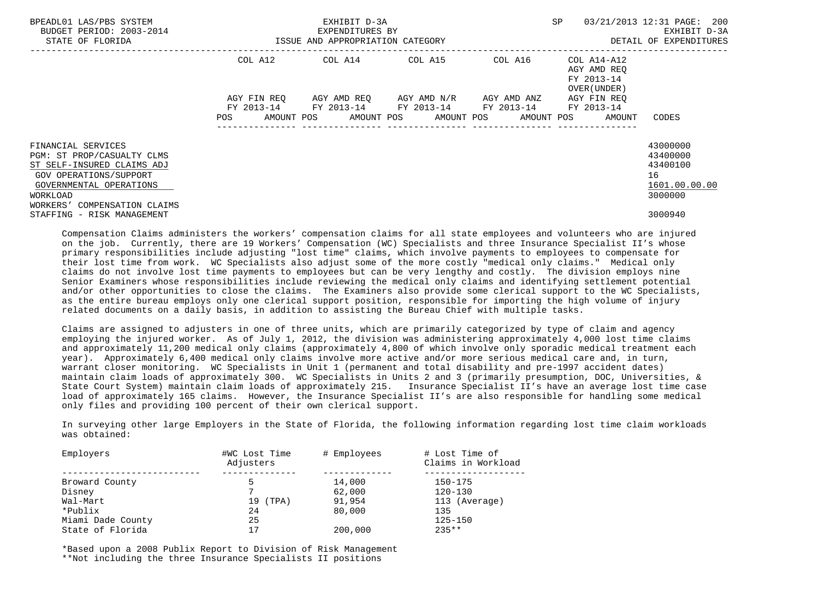| BPEADL01 LAS/PBS SYSTEM<br>BUDGET PERIOD: 2003-2014<br>STATE OF FLORIDA                                                                                                         | ISSUE AND APPROPRIATION CATEGORY | EXHIBIT D-3A<br>EXPENDITURES BY | SP                      | 03/21/2013 12:31 PAGE: 200<br>EXHIBIT D-3A<br>DETAIL OF EXPENDITURES  |                                                                   |                                                                    |
|---------------------------------------------------------------------------------------------------------------------------------------------------------------------------------|----------------------------------|---------------------------------|-------------------------|-----------------------------------------------------------------------|-------------------------------------------------------------------|--------------------------------------------------------------------|
|                                                                                                                                                                                 | COL A12                          | COL A14 COL A15                 |                         | COL A16                                                               | COL A14-A12<br>AGY AMD REO<br>FY 2013-14<br>OVER (UNDER)          |                                                                    |
|                                                                                                                                                                                 | AGY FIN REO<br>POS               |                                 | AGY AMD REO AGY AMD N/R | AGY AMD ANZ<br>FY 2013-14 FY 2013-14 FY 2013-14 FY 2013-14 FY 2013-14 | AGY FIN REO<br>AMOUNT POS AMOUNT POS AMOUNT POS AMOUNT POS AMOUNT | CODES                                                              |
| FINANCIAL SERVICES<br>PGM: ST PROP/CASUALTY CLMS<br>ST SELF-INSURED CLAIMS ADJ<br>GOV OPERATIONS/SUPPORT<br>GOVERNMENTAL OPERATIONS<br>WORKLOAD<br>WORKERS' COMPENSATION CLAIMS |                                  |                                 |                         |                                                                       |                                                                   | 43000000<br>43400000<br>43400100<br>16<br>1601.00.00.00<br>3000000 |
| STAFFING - RISK MANAGEMENT                                                                                                                                                      |                                  |                                 |                         |                                                                       |                                                                   | 3000940                                                            |

 Compensation Claims administers the workers' compensation claims for all state employees and volunteers who are injured on the job. Currently, there are 19 Workers' Compensation (WC) Specialists and three Insurance Specialist II's whose primary responsibilities include adjusting "lost time" claims, which involve payments to employees to compensate for their lost time from work. WC Specialists also adjust some of the more costly "medical only claims." Medical only claims do not involve lost time payments to employees but can be very lengthy and costly. The division employs nine Senior Examiners whose responsibilities include reviewing the medical only claims and identifying settlement potential and/or other opportunities to close the claims. The Examiners also provide some clerical support to the WC Specialists, as the entire bureau employs only one clerical support position, responsible for importing the high volume of injury related documents on a daily basis, in addition to assisting the Bureau Chief with multiple tasks.

 Claims are assigned to adjusters in one of three units, which are primarily categorized by type of claim and agency employing the injured worker. As of July 1, 2012, the division was administering approximately 4,000 lost time claims and approximately 11,200 medical only claims (approximately 4,800 of which involve only sporadic medical treatment each year). Approximately 6,400 medical only claims involve more active and/or more serious medical care and, in turn, warrant closer monitoring. WC Specialists in Unit 1 (permanent and total disability and pre-1997 accident dates) maintain claim loads of approximately 300. WC Specialists in Units 2 and 3 (primarily presumption, DOC, Universities, & State Court System) maintain claim loads of approximately 215. Insurance Specialist II's have an average lost time case load of approximately 165 claims. However, the Insurance Specialist II's are also responsible for handling some medical only files and providing 100 percent of their own clerical support.

 In surveying other large Employers in the State of Florida, the following information regarding lost time claim workloads was obtained:

| #WC Lost Time<br>Adjusters | # Employees | # Lost Time of<br>Claims in Workload |
|----------------------------|-------------|--------------------------------------|
|                            |             |                                      |
|                            |             | $150 - 175$                          |
|                            | 62,000      | $120 - 130$                          |
| 19 (TPA)                   | 91,954      | 113 (Average)                        |
| 24                         | 80,000      | 135                                  |
| 25                         |             | $125 - 150$                          |
| 17                         | 200,000     | $235**$                              |
|                            |             | 14,000                               |

 \*Based upon a 2008 Publix Report to Division of Risk Management \*\*Not including the three Insurance Specialists II positions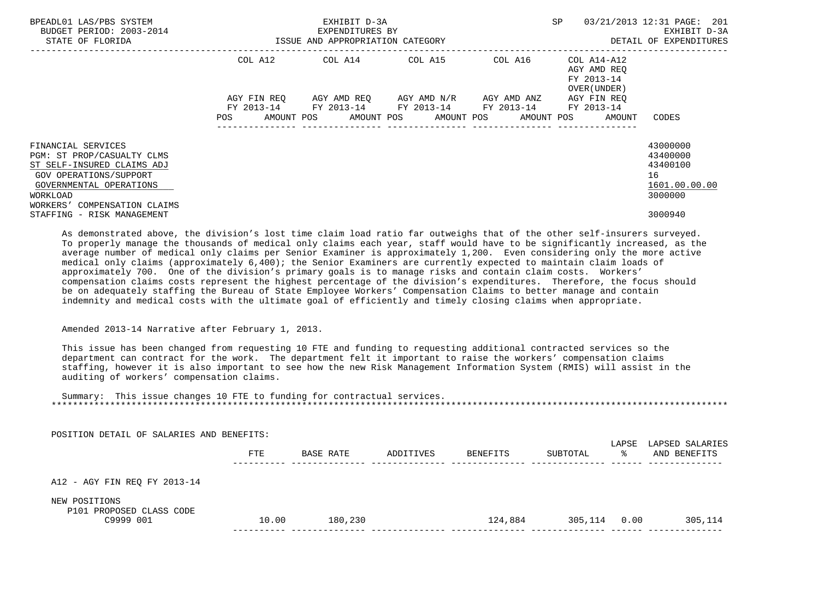| BPEADL01 LAS/PBS SYSTEM<br>BUDGET PERIOD: 2003-2014<br>STATE OF FLORIDA                                                     | ISSUE AND APPROPRIATION CATEGORY | EXHIBIT D-3A<br>EXPENDITURES BY             | SP                      | 03/21/2013 12:31 PAGE: 201<br>EXHIBIT D-3A<br>DETAIL OF EXPENDITURES |                                                          |                                            |
|-----------------------------------------------------------------------------------------------------------------------------|----------------------------------|---------------------------------------------|-------------------------|----------------------------------------------------------------------|----------------------------------------------------------|--------------------------------------------|
|                                                                                                                             |                                  | COL A12 COL A14 COL A15                     |                         | COL A16                                                              | COL A14-A12<br>AGY AMD REO<br>FY 2013-14<br>OVER (UNDER) |                                            |
|                                                                                                                             | AGY FIN REO                      | FY 2013-14 FY 2013-14 FY 2013-14 FY 2013-14 | AGY AMD REO AGY AMD N/R | AGY AMD ANZ                                                          | AGY FIN REO<br>FY 2013-14                                |                                            |
| FINANCIAL SERVICES<br>PGM: ST PROP/CASUALTY CLMS                                                                            | POS                              | AMOUNT POS AMOUNT POS AMOUNT POS            | ----------------        | ----------------                                                     | AMOUNT POS<br>AMOUNT                                     | CODES<br>43000000<br>43400000              |
| ST SELF-INSURED CLAIMS ADJ<br>GOV OPERATIONS/SUPPORT<br>GOVERNMENTAL OPERATIONS<br>WORKLOAD<br>WORKERS' COMPENSATION CLAIMS |                                  |                                             |                         |                                                                      |                                                          | 43400100<br>16<br>1601.00.00.00<br>3000000 |
| STAFFING - RISK MANAGEMENT                                                                                                  |                                  |                                             |                         |                                                                      |                                                          | 3000940                                    |

 As demonstrated above, the division's lost time claim load ratio far outweighs that of the other self-insurers surveyed. To properly manage the thousands of medical only claims each year, staff would have to be significantly increased, as the average number of medical only claims per Senior Examiner is approximately 1,200. Even considering only the more active medical only claims (approximately 6,400); the Senior Examiners are currently expected to maintain claim loads of approximately 700. One of the division's primary goals is to manage risks and contain claim costs. Workers' compensation claims costs represent the highest percentage of the division's expenditures. Therefore, the focus should be on adequately staffing the Bureau of State Employee Workers' Compensation Claims to better manage and contain indemnity and medical costs with the ultimate goal of efficiently and timely closing claims when appropriate.

## Amended 2013-14 Narrative after February 1, 2013.

 This issue has been changed from requesting 10 FTE and funding to requesting additional contracted services so the department can contract for the work. The department felt it important to raise the workers' compensation claims staffing, however it is also important to see how the new Risk Management Information System (RMIS) will assist in the auditing of workers' compensation claims.

 Summary: This issue changes 10 FTE to funding for contractual services. \*\*\*\*\*\*\*\*\*\*\*\*\*\*\*\*\*\*\*\*\*\*\*\*\*\*\*\*\*\*\*\*\*\*\*\*\*\*\*\*\*\*\*\*\*\*\*\*\*\*\*\*\*\*\*\*\*\*\*\*\*\*\*\*\*\*\*\*\*\*\*\*\*\*\*\*\*\*\*\*\*\*\*\*\*\*\*\*\*\*\*\*\*\*\*\*\*\*\*\*\*\*\*\*\*\*\*\*\*\*\*\*\*\*\*\*\*\*\*\*\*\*\*\*\*\*\*

| POSITION DETAIL OF SALARIES AND BENEFITS:                                              | <b>FTE</b> | BASE RATE | ADDITIVES | <b>BENEFITS</b> | SUBTOTAL | LAPSE<br>°≈ | LAPSED SALARIES<br>AND BENEFITS |
|----------------------------------------------------------------------------------------|------------|-----------|-----------|-----------------|----------|-------------|---------------------------------|
| A12 - AGY FIN REQ FY 2013-14<br>NEW POSITIONS<br>P101 PROPOSED CLASS CODE<br>C9999 001 | 10.00      | 180,230   |           | 124,884         | 305,114  | 0.00        | 305,114                         |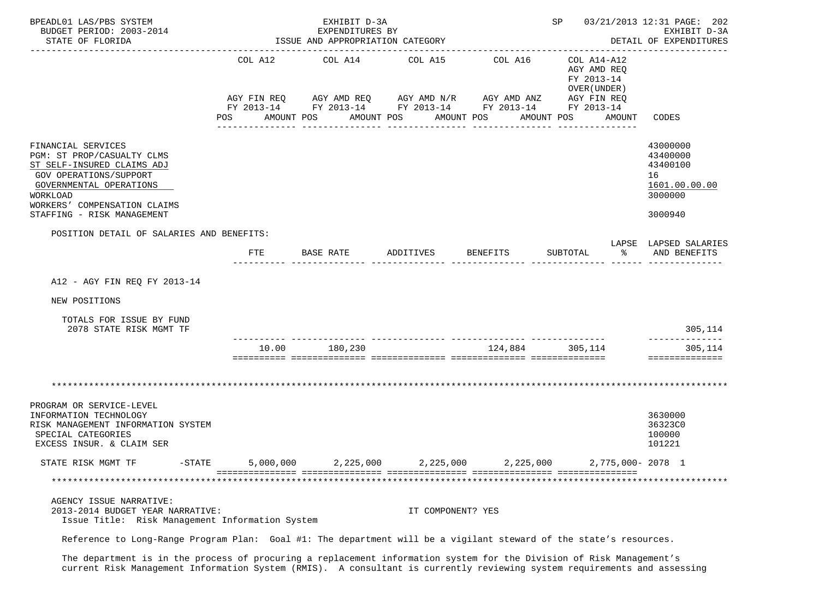| BPEADL01 LAS/PBS SYSTEM<br>BUDGET PERIOD: 2003-2014<br>STATE OF FLORIDA                                                                                                         |                | EXHIBIT D-3A<br>EXPENDITURES BY<br>ISSUE AND APPROPRIATION CATEGORY |                   |                                                                                                                                                | SP 03/21/2013 12:31 PAGE: 202                                                    | EXHIBIT D-3A<br>DETAIL OF EXPENDITURES                             |
|---------------------------------------------------------------------------------------------------------------------------------------------------------------------------------|----------------|---------------------------------------------------------------------|-------------------|------------------------------------------------------------------------------------------------------------------------------------------------|----------------------------------------------------------------------------------|--------------------------------------------------------------------|
|                                                                                                                                                                                 | COL A12<br>POS | COL A14 COL A15<br>AMOUNT POS                                       | AMOUNT POS        | COL A16<br>AGY FIN REQ AGY AMD REQ AGY AMD N/R AGY AMD ANZ AGY FIN REQ<br>FY 2013-14 FY 2013-14 FY 2013-14 FY 2013-14 FY 2013-14<br>AMOUNT POS | COL A14-A12<br>AGY AMD REO<br>FY 2013-14<br>OVER (UNDER)<br>AMOUNT POS<br>AMOUNT | CODES                                                              |
|                                                                                                                                                                                 |                |                                                                     |                   |                                                                                                                                                |                                                                                  |                                                                    |
| FINANCIAL SERVICES<br>PGM: ST PROP/CASUALTY CLMS<br>ST SELF-INSURED CLAIMS ADJ<br>GOV OPERATIONS/SUPPORT<br>GOVERNMENTAL OPERATIONS<br>WORKLOAD<br>WORKERS' COMPENSATION CLAIMS |                |                                                                     |                   |                                                                                                                                                |                                                                                  | 43000000<br>43400000<br>43400100<br>16<br>1601.00.00.00<br>3000000 |
| STAFFING - RISK MANAGEMENT                                                                                                                                                      |                |                                                                     |                   |                                                                                                                                                |                                                                                  | 3000940                                                            |
| POSITION DETAIL OF SALARIES AND BENEFITS:                                                                                                                                       | FTE            | BASE RATE                                                           | ADDITIVES         | <b>BENEFITS</b>                                                                                                                                | SUBTOTAL<br>$\approx$                                                            | LAPSE LAPSED SALARIES<br>AND BENEFITS                              |
|                                                                                                                                                                                 |                |                                                                     |                   |                                                                                                                                                |                                                                                  |                                                                    |
| A12 - AGY FIN REQ FY 2013-14                                                                                                                                                    |                |                                                                     |                   |                                                                                                                                                |                                                                                  |                                                                    |
| NEW POSITIONS                                                                                                                                                                   |                |                                                                     |                   |                                                                                                                                                |                                                                                  |                                                                    |
| TOTALS FOR ISSUE BY FUND<br>2078 STATE RISK MGMT TF                                                                                                                             |                |                                                                     |                   |                                                                                                                                                |                                                                                  | 305,114<br>--------------                                          |
|                                                                                                                                                                                 | 10.00          | 180,230                                                             |                   | 124,884 305,114                                                                                                                                |                                                                                  | 305,114<br>==============                                          |
|                                                                                                                                                                                 |                |                                                                     |                   |                                                                                                                                                |                                                                                  |                                                                    |
| PROGRAM OR SERVICE-LEVEL<br>INFORMATION TECHNOLOGY<br>RISK MANAGEMENT INFORMATION SYSTEM<br>SPECIAL CATEGORIES<br>EXCESS INSUR. & CLAIM SER                                     |                |                                                                     |                   |                                                                                                                                                |                                                                                  | 3630000<br>36323C0<br>100000<br>101221                             |
| STATE RISK MGMT TF<br>$-STATE$                                                                                                                                                  | 5,000,000      | 2,225,000                                                           | 2,225,000         | 2,225,000                                                                                                                                      | 2,775,000-2078 1                                                                 |                                                                    |
|                                                                                                                                                                                 |                |                                                                     |                   |                                                                                                                                                |                                                                                  |                                                                    |
| AGENCY ISSUE NARRATIVE:<br>2013-2014 BUDGET YEAR NARRATIVE:<br>Issue Title: Risk Management Information System                                                                  |                |                                                                     | IT COMPONENT? YES |                                                                                                                                                |                                                                                  |                                                                    |
| Reference to Long-Range Program Plan: Goal #1: The department will be a vigilant steward of the state's resources.                                                              |                |                                                                     |                   |                                                                                                                                                |                                                                                  |                                                                    |

 The department is in the process of procuring a replacement information system for the Division of Risk Management's current Risk Management Information System (RMIS). A consultant is currently reviewing system requirements and assessing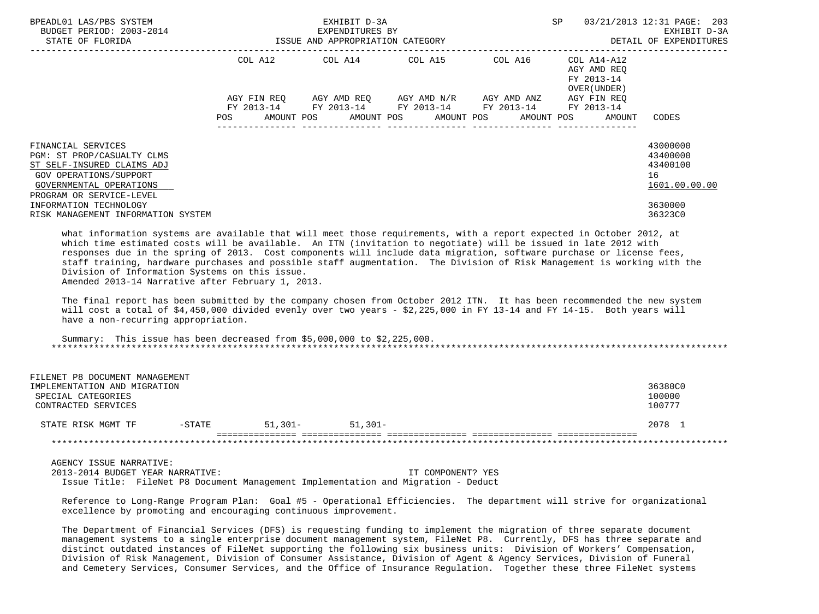| BPEADL01 LAS/PBS SYSTEM<br>BUDGET PERIOD: 2003-2014<br>STATE OF FLORIDA                                                                                                                                                                                                                                                                                                                                                                                                                                                                                                                                                                                                                                                                                                                                                                                                                        |                   | EXHIBIT D-3A<br>EXPENDITURES BY<br>ISSUE AND APPROPRIATION CATEGORY |                                               |                                                                                                                                     | SP 03/21/2013 12:31 PAGE: 203                                       | EXHIBIT D-3A<br>DETAIL OF EXPENDITURES                                        |
|------------------------------------------------------------------------------------------------------------------------------------------------------------------------------------------------------------------------------------------------------------------------------------------------------------------------------------------------------------------------------------------------------------------------------------------------------------------------------------------------------------------------------------------------------------------------------------------------------------------------------------------------------------------------------------------------------------------------------------------------------------------------------------------------------------------------------------------------------------------------------------------------|-------------------|---------------------------------------------------------------------|-----------------------------------------------|-------------------------------------------------------------------------------------------------------------------------------------|---------------------------------------------------------------------|-------------------------------------------------------------------------------|
|                                                                                                                                                                                                                                                                                                                                                                                                                                                                                                                                                                                                                                                                                                                                                                                                                                                                                                | AMOUNT POS<br>POS | AMOUNT POS                                                          | COL A12 COL A14 COL A15 COL A16<br>AMOUNT POS | AGY FIN REQ AGY AMD REQ AGY AMD N/R AGY AMD ANZ AGY FIN REQ<br>FY 2013-14 FY 2013-14 FY 2013-14 FY 2013-14 FY 2013-14<br>AMOUNT POS | COL A14-A12<br>AGY AMD REQ<br>FY 2013-14<br>OVER (UNDER )<br>AMOUNT | CODES                                                                         |
| FINANCIAL SERVICES<br>PGM: ST PROP/CASUALTY CLMS<br>ST SELF-INSURED CLAIMS ADJ<br>GOV OPERATIONS/SUPPORT<br>GOVERNMENTAL OPERATIONS<br>PROGRAM OR SERVICE-LEVEL<br>INFORMATION TECHNOLOGY<br>RISK MANAGEMENT INFORMATION SYSTEM                                                                                                                                                                                                                                                                                                                                                                                                                                                                                                                                                                                                                                                                |                   |                                                                     |                                               |                                                                                                                                     |                                                                     | 43000000<br>43400000<br>43400100<br>16<br>1601.00.00.00<br>3630000<br>36323C0 |
| what information systems are available that will meet those requirements, with a report expected in October 2012, at<br>which time estimated costs will be available.  An ITN (invitation to negotiate) will be issued in late 2012 with<br>responses due in the spring of 2013. Cost components will include data migration, software purchase or license fees,<br>staff training, hardware purchases and possible staff augmentation. The Division of Risk Management is working with the<br>Division of Information Systems on this issue.<br>Amended 2013-14 Narrative after February 1, 2013.<br>The final report has been submitted by the company chosen from October 2012 ITN. It has been recommended the new system<br>will cost a total of \$4,450,000 divided evenly over two years - \$2,225,000 in FY 13-14 and FY 14-15. Both years will<br>have a non-recurring appropriation. |                   |                                                                     |                                               |                                                                                                                                     |                                                                     |                                                                               |
| Summary: This issue has been decreased from $$5,000,000$ to $$2,225,000$ .                                                                                                                                                                                                                                                                                                                                                                                                                                                                                                                                                                                                                                                                                                                                                                                                                     |                   |                                                                     |                                               |                                                                                                                                     |                                                                     |                                                                               |
| FILENET P8 DOCUMENT MANAGEMENT<br>IMPLEMENTATION AND MIGRATION<br>SPECIAL CATEGORIES<br>CONTRACTED SERVICES                                                                                                                                                                                                                                                                                                                                                                                                                                                                                                                                                                                                                                                                                                                                                                                    |                   |                                                                     |                                               |                                                                                                                                     |                                                                     | 36380C0<br>100000<br>100777                                                   |
| STATE RISK MGMT TF -STATE                                                                                                                                                                                                                                                                                                                                                                                                                                                                                                                                                                                                                                                                                                                                                                                                                                                                      |                   | $51,301 51,301-$                                                    |                                               |                                                                                                                                     |                                                                     | 2078 1                                                                        |
|                                                                                                                                                                                                                                                                                                                                                                                                                                                                                                                                                                                                                                                                                                                                                                                                                                                                                                |                   |                                                                     |                                               |                                                                                                                                     |                                                                     |                                                                               |
| AGENCY ISSUE NARRATIVE:<br>2013-2014 BUDGET YEAR NARRATIVE:<br>Issue Title: FileNet P8 Document Management Implementation and Migration - Deduct                                                                                                                                                                                                                                                                                                                                                                                                                                                                                                                                                                                                                                                                                                                                               |                   |                                                                     | IT COMPONENT? YES                             |                                                                                                                                     |                                                                     |                                                                               |

 Reference to Long-Range Program Plan: Goal #5 - Operational Efficiencies. The department will strive for organizational excellence by promoting and encouraging continuous improvement.

 The Department of Financial Services (DFS) is requesting funding to implement the migration of three separate document management systems to a single enterprise document management system, FileNet P8. Currently, DFS has three separate and distinct outdated instances of FileNet supporting the following six business units: Division of Workers' Compensation, Division of Risk Management, Division of Consumer Assistance, Division of Agent & Agency Services, Division of Funeral and Cemetery Services, Consumer Services, and the Office of Insurance Regulation. Together these three FileNet systems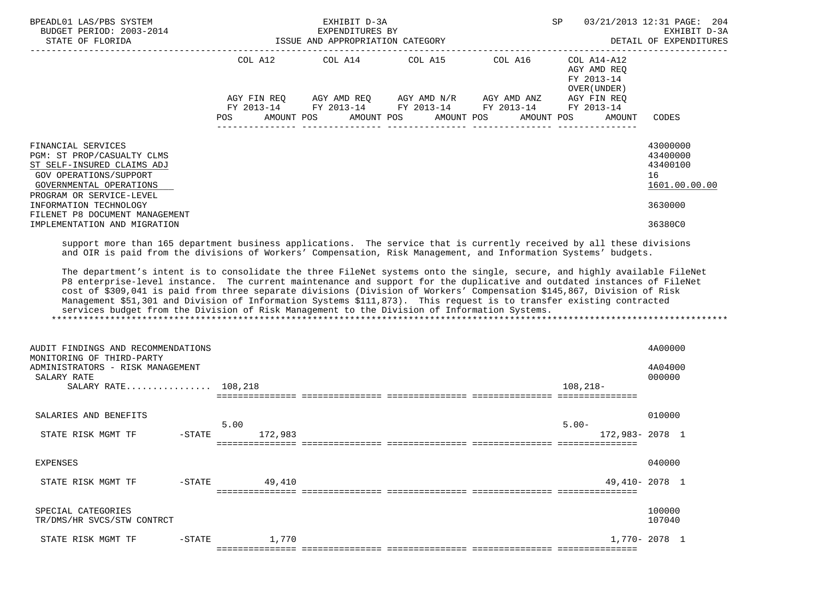| BPEADL01 LAS/PBS SYSTEM<br>BUDGET PERIOD: 2003-2014<br>STATE OF FLORIDA<br>__________________________________                                                                                                                                                                                                                                                                                                                                                                                                                                                                                                                                                                                                            |                                                           | EXHIBIT D-3A<br>EXPENDITURES BY<br>ISSUE AND APPROPRIATION CATEGORY |                                                                                                 |                                         | SP                                                                                                  | 03/21/2013 12:31 PAGE:<br>204<br>EXHIBIT D-3A<br>DETAIL OF EXPENDITURES       |
|--------------------------------------------------------------------------------------------------------------------------------------------------------------------------------------------------------------------------------------------------------------------------------------------------------------------------------------------------------------------------------------------------------------------------------------------------------------------------------------------------------------------------------------------------------------------------------------------------------------------------------------------------------------------------------------------------------------------------|-----------------------------------------------------------|---------------------------------------------------------------------|-------------------------------------------------------------------------------------------------|-----------------------------------------|-----------------------------------------------------------------------------------------------------|-------------------------------------------------------------------------------|
|                                                                                                                                                                                                                                                                                                                                                                                                                                                                                                                                                                                                                                                                                                                          | COL A12<br>AGY FIN REQ<br>FY 2013-14<br>POS<br>AMOUNT POS | COL A14                                                             | COL A15 COL A16<br>AGY AMD REQ AGY AMD N/R<br>FY 2013-14 FY 2013-14<br>AMOUNT POS<br>AMOUNT POS | AGY AMD ANZ<br>FY 2013-14<br>AMOUNT POS | $COL A14 - A12$<br>AGY AMD REQ<br>FY 2013-14<br>OVER (UNDER)<br>AGY FIN REQ<br>FY 2013-14<br>AMOUNT | CODES                                                                         |
| FINANCIAL SERVICES<br>PGM: ST PROP/CASUALTY CLMS<br>ST SELF-INSURED CLAIMS ADJ<br><b>GOV OPERATIONS/SUPPORT</b><br>GOVERNMENTAL OPERATIONS<br>PROGRAM OR SERVICE-LEVEL<br>INFORMATION TECHNOLOGY<br>FILENET P8 DOCUMENT MANAGEMENT<br>IMPLEMENTATION AND MIGRATION                                                                                                                                                                                                                                                                                                                                                                                                                                                       |                                                           |                                                                     |                                                                                                 |                                         |                                                                                                     | 43000000<br>43400000<br>43400100<br>16<br>1601.00.00.00<br>3630000<br>36380C0 |
| and OIR is paid from the divisions of Workers' Compensation, Risk Management, and Information Systems' budgets.<br>The department's intent is to consolidate the three FileNet systems onto the single, secure, and highly available FileNet<br>P8 enterprise-level instance. The current maintenance and support for the duplicative and outdated instances of FileNet<br>cost of \$309,041 is paid from three separate divisions (Division of Workers' Compensation \$145,867, Division of Risk<br>Management \$51,301 and Division of Information Systems \$111,873). This request is to transfer existing contracted<br>services budget from the Division of Risk Management to the Division of Information Systems. |                                                           |                                                                     |                                                                                                 |                                         |                                                                                                     |                                                                               |
| AUDIT FINDINGS AND RECOMMENDATIONS<br>MONITORING OF THIRD-PARTY<br>ADMINISTRATORS - RISK MANAGEMENT<br>SALARY RATE<br>SALARY RATE 108,218                                                                                                                                                                                                                                                                                                                                                                                                                                                                                                                                                                                |                                                           |                                                                     |                                                                                                 |                                         | $108,218-$                                                                                          | 4A00000<br>4A04000<br>000000                                                  |
| SALARIES AND BENEFITS<br>STATE RISK MGMT TF<br>$-STATE$                                                                                                                                                                                                                                                                                                                                                                                                                                                                                                                                                                                                                                                                  | 5.00<br>172,983                                           |                                                                     |                                                                                                 |                                         | $5.00 -$<br>172,983-2078 1                                                                          | 010000                                                                        |
| EXPENSES<br>STATE RISK MGMT TF<br>$-$ STATE                                                                                                                                                                                                                                                                                                                                                                                                                                                                                                                                                                                                                                                                              | 49,410                                                    |                                                                     |                                                                                                 |                                         |                                                                                                     | 040000<br>49,410-2078 1                                                       |
| SPECIAL CATEGORIES<br>TR/DMS/HR SVCS/STW CONTRCT                                                                                                                                                                                                                                                                                                                                                                                                                                                                                                                                                                                                                                                                         |                                                           |                                                                     |                                                                                                 |                                         |                                                                                                     | 100000<br>107040                                                              |
| STATE RISK MGMT TF<br>$-STATE$                                                                                                                                                                                                                                                                                                                                                                                                                                                                                                                                                                                                                                                                                           | 1,770                                                     |                                                                     |                                                                                                 |                                         |                                                                                                     | 1,770-2078 1                                                                  |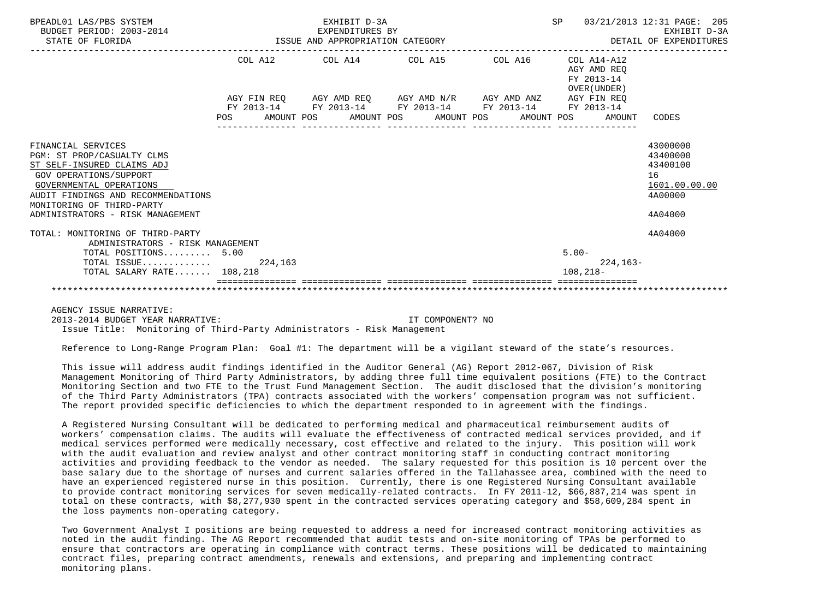| BPEADL01 LAS/PBS SYSTEM<br>BUDGET PERIOD: 2003-2014<br>STATE OF FLORIDA<br>STATE OF FLORIDA | EXHIBIT D-3A<br>EXPENDITURES BY<br>ISSUE AND APPROPRIATION CATEGORY |  |  |                                                             |  | SP<br>03/21/2013 12:31 PAGE: 205<br>EXHIBIT D-3A<br>DETAIL OF EXPENDITURES |  |  |             |                                                          |               |
|---------------------------------------------------------------------------------------------|---------------------------------------------------------------------|--|--|-------------------------------------------------------------|--|----------------------------------------------------------------------------|--|--|-------------|----------------------------------------------------------|---------------|
|                                                                                             |                                                                     |  |  | COL A12 COL A14 COL A15 COL A16                             |  |                                                                            |  |  |             | COL A14-A12<br>AGY AMD REO<br>FY 2013-14<br>OVER (UNDER) |               |
|                                                                                             |                                                                     |  |  | AGY FIN REQ AGY AMD REQ AGY AMD N/R AGY AMD ANZ AGY FIN REQ |  |                                                                            |  |  |             |                                                          |               |
|                                                                                             |                                                                     |  |  | FY 2013-14 FY 2013-14 FY 2013-14 FY 2013-14 FY 2013-14      |  |                                                                            |  |  |             |                                                          |               |
|                                                                                             |                                                                     |  |  | POS AMOUNT POS AMOUNT POS AMOUNT POS AMOUNT POS             |  |                                                                            |  |  |             | AMOUNT                                                   | CODES         |
| FINANCIAL SERVICES                                                                          |                                                                     |  |  |                                                             |  |                                                                            |  |  |             |                                                          | 43000000      |
| PGM: ST PROP/CASUALTY CLMS                                                                  |                                                                     |  |  |                                                             |  |                                                                            |  |  |             |                                                          | 43400000      |
| ST SELF-INSURED CLAIMS ADJ                                                                  |                                                                     |  |  |                                                             |  |                                                                            |  |  |             |                                                          | 43400100      |
| GOV OPERATIONS/SUPPORT                                                                      |                                                                     |  |  |                                                             |  |                                                                            |  |  |             |                                                          | 16            |
| GOVERNMENTAL OPERATIONS                                                                     |                                                                     |  |  |                                                             |  |                                                                            |  |  |             |                                                          | 1601.00.00.00 |
| AUDIT FINDINGS AND RECOMMENDATIONS                                                          |                                                                     |  |  |                                                             |  |                                                                            |  |  |             |                                                          | 4A00000       |
| MONITORING OF THIRD-PARTY                                                                   |                                                                     |  |  |                                                             |  |                                                                            |  |  |             |                                                          |               |
| ADMINISTRATORS - RISK MANAGEMENT                                                            |                                                                     |  |  |                                                             |  |                                                                            |  |  |             |                                                          | 4A04000       |
| TOTAL: MONITORING OF THIRD-PARTY                                                            |                                                                     |  |  |                                                             |  |                                                                            |  |  |             |                                                          | 4A04000       |
| ADMINISTRATORS - RISK MANAGEMENT                                                            |                                                                     |  |  |                                                             |  |                                                                            |  |  |             |                                                          |               |
| TOTAL POSITIONS 5.00                                                                        |                                                                     |  |  |                                                             |  |                                                                            |  |  | $5.00 -$    |                                                          |               |
| TOTAL ISSUE $224,163$                                                                       |                                                                     |  |  |                                                             |  |                                                                            |  |  |             | $224, 163-$                                              |               |
| TOTAL SALARY RATE 108,218                                                                   |                                                                     |  |  |                                                             |  |                                                                            |  |  | $108.218 -$ |                                                          |               |
|                                                                                             |                                                                     |  |  |                                                             |  |                                                                            |  |  |             |                                                          |               |
|                                                                                             |                                                                     |  |  |                                                             |  |                                                                            |  |  |             |                                                          |               |

AGENCY ISSUE NARRATIVE:

 2013-2014 BUDGET YEAR NARRATIVE: IT COMPONENT? NO Issue Title: Monitoring of Third-Party Administrators - Risk Management

Reference to Long-Range Program Plan: Goal #1: The department will be a vigilant steward of the state's resources.

 This issue will address audit findings identified in the Auditor General (AG) Report 2012-067, Division of Risk Management Monitoring of Third Party Administrators, by adding three full time equivalent positions (FTE) to the Contract Monitoring Section and two FTE to the Trust Fund Management Section. The audit disclosed that the division's monitoring of the Third Party Administrators (TPA) contracts associated with the workers' compensation program was not sufficient. The report provided specific deficiencies to which the department responded to in agreement with the findings.

 A Registered Nursing Consultant will be dedicated to performing medical and pharmaceutical reimbursement audits of workers' compensation claims. The audits will evaluate the effectiveness of contracted medical services provided, and if medical services performed were medically necessary, cost effective and related to the injury. This position will work with the audit evaluation and review analyst and other contract monitoring staff in conducting contract monitoring activities and providing feedback to the vendor as needed. The salary requested for this position is 10 percent over the base salary due to the shortage of nurses and current salaries offered in the Tallahassee area, combined with the need to have an experienced registered nurse in this position. Currently, there is one Registered Nursing Consultant available to provide contract monitoring services for seven medically-related contracts. In FY 2011-12, \$66,887,214 was spent in total on these contracts, with \$8,277,930 spent in the contracted services operating category and \$58,609,284 spent in the loss payments non-operating category.

 Two Government Analyst I positions are being requested to address a need for increased contract monitoring activities as noted in the audit finding. The AG Report recommended that audit tests and on-site monitoring of TPAs be performed to ensure that contractors are operating in compliance with contract terms. These positions will be dedicated to maintaining contract files, preparing contract amendments, renewals and extensions, and preparing and implementing contract monitoring plans.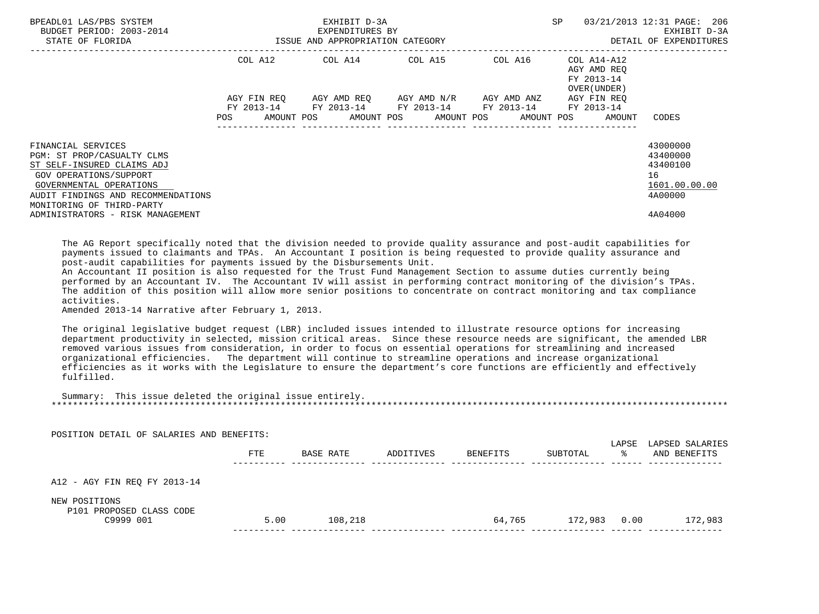| BPEADL01 LAS/PBS SYSTEM<br>BUDGET PERIOD: 2003-2014<br>STATE OF FLORIDA                                                                                                                                | ISSUE AND APPROPRIATION CATEGORY | EXHIBIT D-3A<br>EXPENDITURES BY | SP                      | 03/21/2013 12:31 PAGE: 206<br>EXHIBIT D-3A<br>DETAIL OF EXPENDITURES |                                                          |                                                                    |
|--------------------------------------------------------------------------------------------------------------------------------------------------------------------------------------------------------|----------------------------------|---------------------------------|-------------------------|----------------------------------------------------------------------|----------------------------------------------------------|--------------------------------------------------------------------|
|                                                                                                                                                                                                        | COL A12                          |                                 |                         | COL A14 COL A15 COL A16                                              | COL A14-A12<br>AGY AMD REO<br>FY 2013-14<br>OVER (UNDER) |                                                                    |
|                                                                                                                                                                                                        | AGY FIN REO                      |                                 | AGY AMD REO AGY AMD N/R | AGY AMD ANZ<br>FY 2013-14 FY 2013-14 FY 2013-14 FY 2013-14           | AGY FIN REO<br>FY 2013-14                                |                                                                    |
|                                                                                                                                                                                                        | POS                              |                                 |                         | AMOUNT POS AMOUNT POS AMOUNT POS AMOUNT POS                          | AMOUNT                                                   | CODES                                                              |
| FINANCIAL SERVICES<br>PGM: ST PROP/CASUALTY CLMS<br>ST SELF-INSURED CLAIMS ADJ<br>GOV OPERATIONS/SUPPORT<br>GOVERNMENTAL OPERATIONS<br>AUDIT FINDINGS AND RECOMMENDATIONS<br>MONITORING OF THIRD-PARTY |                                  |                                 |                         |                                                                      |                                                          | 43000000<br>43400000<br>43400100<br>16<br>1601.00.00.00<br>4A00000 |
| ADMINISTRATORS - RISK MANAGEMENT                                                                                                                                                                       |                                  |                                 |                         |                                                                      |                                                          | 4A04000                                                            |

 The AG Report specifically noted that the division needed to provide quality assurance and post-audit capabilities for payments issued to claimants and TPAs. An Accountant I position is being requested to provide quality assurance and post-audit capabilities for payments issued by the Disbursements Unit.

 An Accountant II position is also requested for the Trust Fund Management Section to assume duties currently being performed by an Accountant IV. The Accountant IV will assist in performing contract monitoring of the division's TPAs. The addition of this position will allow more senior positions to concentrate on contract monitoring and tax compliance activities.

Amended 2013-14 Narrative after February 1, 2013.

 The original legislative budget request (LBR) included issues intended to illustrate resource options for increasing department productivity in selected, mission critical areas. Since these resource needs are significant, the amended LBR removed various issues from consideration, in order to focus on essential operations for streamlining and increased organizational efficiencies. The department will continue to streamline operations and increase organizational efficiencies as it works with the Legislature to ensure the department's core functions are efficiently and effectively fulfilled.

 Summary: This issue deleted the original issue entirely. \*\*\*\*\*\*\*\*\*\*\*\*\*\*\*\*\*\*\*\*\*\*\*\*\*\*\*\*\*\*\*\*\*\*\*\*\*\*\*\*\*\*\*\*\*\*\*\*\*\*\*\*\*\*\*\*\*\*\*\*\*\*\*\*\*\*\*\*\*\*\*\*\*\*\*\*\*\*\*\*\*\*\*\*\*\*\*\*\*\*\*\*\*\*\*\*\*\*\*\*\*\*\*\*\*\*\*\*\*\*\*\*\*\*\*\*\*\*\*\*\*\*\*\*\*\*\*

| POSITION DETAIL OF SALARIES AND BENEFITS: |            |           |           |          |          | LAPSE | LAPSED SALARIES |
|-------------------------------------------|------------|-----------|-----------|----------|----------|-------|-----------------|
|                                           | <b>FTE</b> | BASE RATE | ADDITIVES | BENEFITS | SUBTOTAL | ⋇     | AND BENEFITS    |
|                                           |            |           |           |          |          |       |                 |
| A12 - AGY FIN REQ FY 2013-14              |            |           |           |          |          |       |                 |
| NEW POSITIONS<br>P101 PROPOSED CLASS CODE |            |           |           |          |          |       |                 |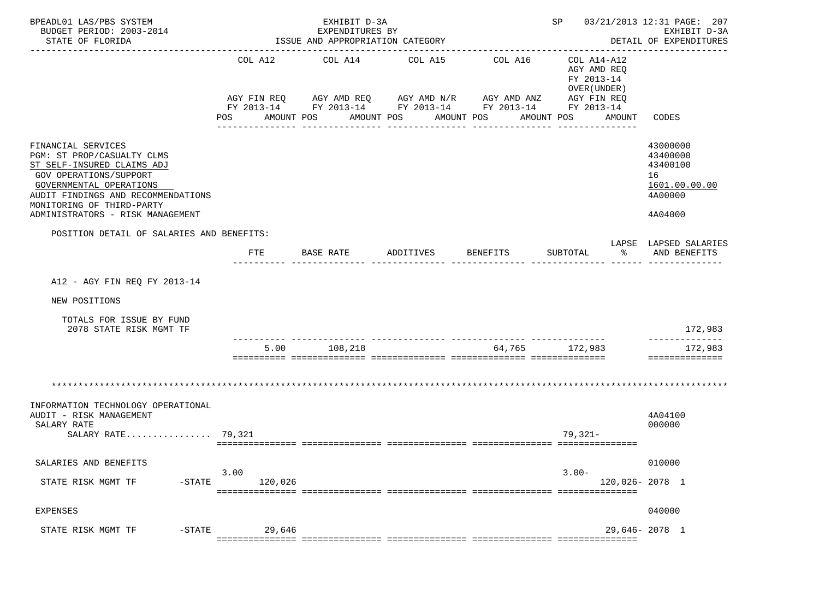| BPEADL01 LAS/PBS SYSTEM<br>BUDGET PERIOD: 2003-2014<br>STATE OF FLORIDA                                                                                                                                                                                                                        |                       | EXHIBIT D-3A<br>EXPENDITURES BY<br>ISSUE AND APPROPRIATION CATEGORY |                                                                                                                                                           |                  | SP 03/21/2013 12:31 PAGE: 207                                                    | EXHIBIT D-3A<br>DETAIL OF EXPENDITURES<br>______________                      |
|------------------------------------------------------------------------------------------------------------------------------------------------------------------------------------------------------------------------------------------------------------------------------------------------|-----------------------|---------------------------------------------------------------------|-----------------------------------------------------------------------------------------------------------------------------------------------------------|------------------|----------------------------------------------------------------------------------|-------------------------------------------------------------------------------|
|                                                                                                                                                                                                                                                                                                | COL A12<br><b>POS</b> | COL A14<br>AMOUNT POS                                               | COL A15<br>AGY FIN REQ AGY AMD REQ AGY AMD N/R AGY AMD ANZ AGY FIN REQ<br>FY 2013-14 FY 2013-14 FY 2013-14 FY 2013-14 FY 2013-14<br>AMOUNT POS AMOUNT POS | COL A16          | COL A14-A12<br>AGY AMD REQ<br>FY 2013-14<br>OVER (UNDER)<br>AMOUNT POS<br>AMOUNT | CODES                                                                         |
| FINANCIAL SERVICES<br>PGM: ST PROP/CASUALTY CLMS<br>ST SELF-INSURED CLAIMS ADJ<br><b>GOV OPERATIONS/SUPPORT</b><br>GOVERNMENTAL OPERATIONS<br>AUDIT FINDINGS AND RECOMMENDATIONS<br>MONITORING OF THIRD-PARTY<br>ADMINISTRATORS - RISK MANAGEMENT<br>POSITION DETAIL OF SALARIES AND BENEFITS: |                       |                                                                     |                                                                                                                                                           | ---------------- | ________________                                                                 | 43000000<br>43400000<br>43400100<br>16<br>1601.00.00.00<br>4A00000<br>4A04000 |
|                                                                                                                                                                                                                                                                                                | FTE                   | BASE RATE                                                           | ADDITIVES                                                                                                                                                 | <b>BENEFITS</b>  | SUBTOTAL<br>ႜ                                                                    | LAPSE LAPSED SALARIES<br>AND BENEFITS                                         |
| A12 - AGY FIN REQ FY 2013-14<br>NEW POSITIONS<br>TOTALS FOR ISSUE BY FUND<br>2078 STATE RISK MGMT TF                                                                                                                                                                                           |                       |                                                                     |                                                                                                                                                           |                  |                                                                                  | 172,983                                                                       |
|                                                                                                                                                                                                                                                                                                | 5.00                  | 108,218                                                             |                                                                                                                                                           | 64,765 172,983   |                                                                                  | 172,983<br>==============                                                     |
| INFORMATION TECHNOLOGY OPERATIONAL<br>AUDIT - RISK MANAGEMENT<br>SALARY RATE<br>SALARY RATE 79,321                                                                                                                                                                                             |                       |                                                                     |                                                                                                                                                           |                  | $79,321-$                                                                        | 4A04100<br>000000                                                             |
| SALARIES AND BENEFITS<br>STATE RISK MGMT TF<br>$-STATE$                                                                                                                                                                                                                                        | 3.00<br>120,026       |                                                                     |                                                                                                                                                           |                  | $3.00 -$<br>120,026-2078 1                                                       | 010000                                                                        |
| <b>EXPENSES</b>                                                                                                                                                                                                                                                                                |                       |                                                                     |                                                                                                                                                           |                  |                                                                                  | 040000                                                                        |
| $-$ STATE<br>STATE RISK MGMT TF                                                                                                                                                                                                                                                                | 29,646                |                                                                     |                                                                                                                                                           |                  |                                                                                  | 29,646-2078 1                                                                 |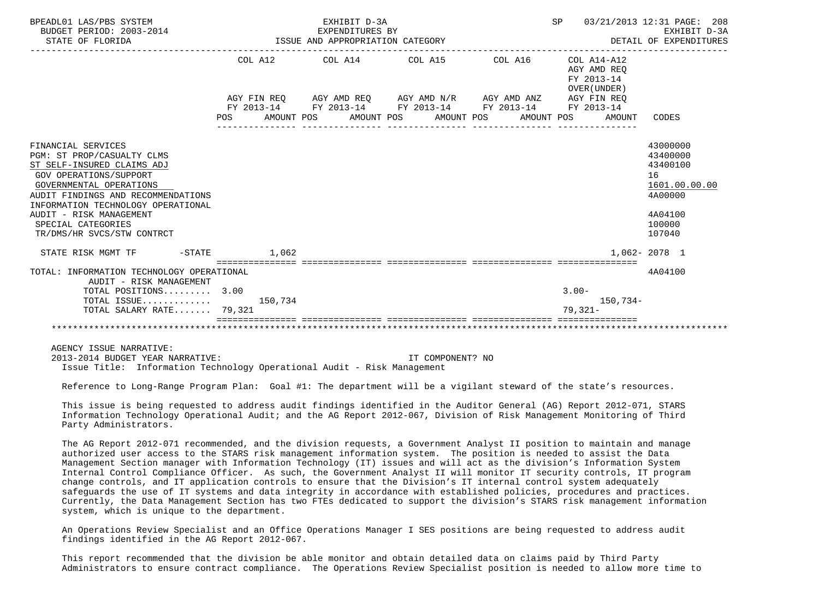| BPEADL01 LAS/PBS SYSTEM<br>BUDGET PERIOD: 2003-2014<br>STATE OF FLORIDA                                                                                                                                                                                                                        |       | EXHIBIT D-3A<br>EXPENDITURES BY<br>ISSUE AND APPROPRIATION CATEGORY |                                                                                                | SP 03/21/2013 12:31 PAGE: 208                            | EXHIBIT D-3A<br>DETAIL OF EXPENDITURES                                                            |
|------------------------------------------------------------------------------------------------------------------------------------------------------------------------------------------------------------------------------------------------------------------------------------------------|-------|---------------------------------------------------------------------|------------------------------------------------------------------------------------------------|----------------------------------------------------------|---------------------------------------------------------------------------------------------------|
|                                                                                                                                                                                                                                                                                                |       |                                                                     | COL A12 COL A14 COL A15 COL A16                                                                | COL A14-A12<br>AGY AMD REO<br>FY 2013-14<br>OVER (UNDER) |                                                                                                   |
|                                                                                                                                                                                                                                                                                                |       |                                                                     | AGY FIN REQ AGY AMD REQ AGY AMD N/R AGY AMD ANZ AGY FIN REQ                                    |                                                          |                                                                                                   |
|                                                                                                                                                                                                                                                                                                |       |                                                                     | FY 2013-14 FY 2013-14 FY 2013-14 FY 2013-14 FY 2013-14<br>POS AMOUNT POS AMOUNT POS AMOUNT POS | AMOUNT POS<br>AMOUNT                                     | CODES                                                                                             |
| FINANCIAL SERVICES<br>PGM: ST PROP/CASUALTY CLMS<br>ST SELF-INSURED CLAIMS ADJ<br>GOV OPERATIONS/SUPPORT<br>GOVERNMENTAL OPERATIONS<br>AUDIT FINDINGS AND RECOMMENDATIONS<br>INFORMATION TECHNOLOGY OPERATIONAL<br>AUDIT - RISK MANAGEMENT<br>SPECIAL CATEGORIES<br>TR/DMS/HR SVCS/STW CONTRCT |       |                                                                     |                                                                                                |                                                          | 43000000<br>43400000<br>43400100<br>16<br>1601.00.00.00<br>4A00000<br>4A04100<br>100000<br>107040 |
| STATE RISK MGMT TF<br>$-$ STATE                                                                                                                                                                                                                                                                | 1.062 |                                                                     |                                                                                                |                                                          | 1,062-2078 1                                                                                      |
|                                                                                                                                                                                                                                                                                                |       | ;===============================                                    |                                                                                                |                                                          |                                                                                                   |
| TOTAL: INFORMATION TECHNOLOGY OPERATIONAL<br>AUDIT - RISK MANAGEMENT                                                                                                                                                                                                                           |       |                                                                     |                                                                                                |                                                          | 4A04100                                                                                           |
| TOTAL POSITIONS 3.00                                                                                                                                                                                                                                                                           |       |                                                                     |                                                                                                | $3.00 -$                                                 |                                                                                                   |
| TOTAL ISSUE $150.734$<br>TOTAL SALARY RATE 79,321                                                                                                                                                                                                                                              |       |                                                                     |                                                                                                | $150,734-$<br>$79.321 -$                                 |                                                                                                   |
|                                                                                                                                                                                                                                                                                                |       |                                                                     |                                                                                                |                                                          |                                                                                                   |

AGENCY ISSUE NARRATIVE:

 2013-2014 BUDGET YEAR NARRATIVE: IT COMPONENT? NO Issue Title: Information Technology Operational Audit - Risk Management

Reference to Long-Range Program Plan: Goal #1: The department will be a vigilant steward of the state's resources.

 This issue is being requested to address audit findings identified in the Auditor General (AG) Report 2012-071, STARS Information Technology Operational Audit; and the AG Report 2012-067, Division of Risk Management Monitoring of Third Party Administrators.

 The AG Report 2012-071 recommended, and the division requests, a Government Analyst II position to maintain and manage authorized user access to the STARS risk management information system. The position is needed to assist the Data Management Section manager with Information Technology (IT) issues and will act as the division's Information System Internal Control Compliance Officer. As such, the Government Analyst II will monitor IT security controls, IT program change controls, and IT application controls to ensure that the Division's IT internal control system adequately safeguards the use of IT systems and data integrity in accordance with established policies, procedures and practices. Currently, the Data Management Section has two FTEs dedicated to support the division's STARS risk management information system, which is unique to the department.

 An Operations Review Specialist and an Office Operations Manager I SES positions are being requested to address audit findings identified in the AG Report 2012-067.

 This report recommended that the division be able monitor and obtain detailed data on claims paid by Third Party Administrators to ensure contract compliance. The Operations Review Specialist position is needed to allow more time to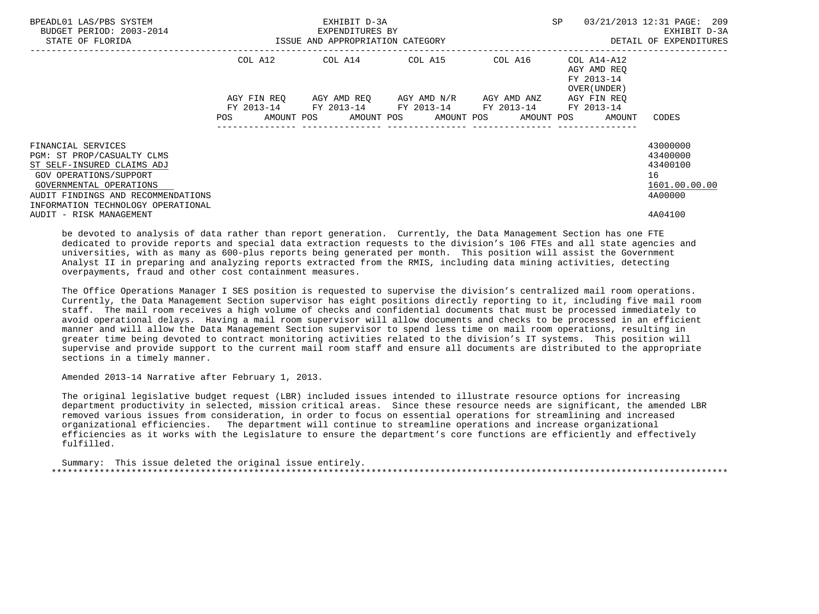| BPEADL01 LAS/PBS SYSTEM<br>BUDGET PERIOD: 2003-2014<br>STATE OF FLORIDA                 | ISSUE AND APPROPRIATION CATEGORY | EXHIBIT D-3A<br>EXPENDITURES BY | SP                                                                                             | 03/21/2013 12:31 PAGE: 209<br>EXHIBIT D-3A<br>DETAIL OF EXPENDITURES |                                                                                 |                                  |
|-----------------------------------------------------------------------------------------|----------------------------------|---------------------------------|------------------------------------------------------------------------------------------------|----------------------------------------------------------------------|---------------------------------------------------------------------------------|----------------------------------|
|                                                                                         |                                  |                                 | COL A12 COL A14 COL A15                                                                        | COL A16                                                              | COL A14-A12<br>AGY AMD REO<br>FY 2013-14<br>OVER (UNDER )                       |                                  |
|                                                                                         | POS                              |                                 | AGY FIN REO AGY AMD REO AGY AMD N/R AGY AMD ANZ<br>FY 2013-14 FY 2013-14 FY 2013-14 FY 2013-14 |                                                                      | AGY FIN REO<br>FY 2013-14<br>AMOUNT POS AMOUNT POS AMOUNT POS AMOUNT POS AMOUNT | CODES                            |
| FINANCIAL SERVICES<br>PGM: ST PROP/CASUALTY CLMS<br>ST SELF-INSURED CLAIMS ADJ          |                                  |                                 |                                                                                                |                                                                      |                                                                                 | 43000000<br>43400000<br>43400100 |
| GOV OPERATIONS/SUPPORT<br>GOVERNMENTAL OPERATIONS<br>AUDIT FINDINGS AND RECOMMENDATIONS |                                  |                                 |                                                                                                |                                                                      |                                                                                 | 16<br>1601.00.00.00<br>4A00000   |
| INFORMATION TECHNOLOGY OPERATIONAL<br>AUDIT - RISK MANAGEMENT                           |                                  |                                 |                                                                                                |                                                                      |                                                                                 | 4A04100                          |

 be devoted to analysis of data rather than report generation. Currently, the Data Management Section has one FTE dedicated to provide reports and special data extraction requests to the division's 106 FTEs and all state agencies and universities, with as many as 600-plus reports being generated per month. This position will assist the Government Analyst II in preparing and analyzing reports extracted from the RMIS, including data mining activities, detecting overpayments, fraud and other cost containment measures.

 The Office Operations Manager I SES position is requested to supervise the division's centralized mail room operations. Currently, the Data Management Section supervisor has eight positions directly reporting to it, including five mail room staff. The mail room receives a high volume of checks and confidential documents that must be processed immediately to avoid operational delays. Having a mail room supervisor will allow documents and checks to be processed in an efficient manner and will allow the Data Management Section supervisor to spend less time on mail room operations, resulting in greater time being devoted to contract monitoring activities related to the division's IT systems. This position will supervise and provide support to the current mail room staff and ensure all documents are distributed to the appropriate sections in a timely manner.

Amended 2013-14 Narrative after February 1, 2013.

 The original legislative budget request (LBR) included issues intended to illustrate resource options for increasing department productivity in selected, mission critical areas. Since these resource needs are significant, the amended LBR removed various issues from consideration, in order to focus on essential operations for streamlining and increased organizational efficiencies. The department will continue to streamline operations and increase organizational efficiencies as it works with the Legislature to ensure the department's core functions are efficiently and effectively fulfilled.

 Summary: This issue deleted the original issue entirely. \*\*\*\*\*\*\*\*\*\*\*\*\*\*\*\*\*\*\*\*\*\*\*\*\*\*\*\*\*\*\*\*\*\*\*\*\*\*\*\*\*\*\*\*\*\*\*\*\*\*\*\*\*\*\*\*\*\*\*\*\*\*\*\*\*\*\*\*\*\*\*\*\*\*\*\*\*\*\*\*\*\*\*\*\*\*\*\*\*\*\*\*\*\*\*\*\*\*\*\*\*\*\*\*\*\*\*\*\*\*\*\*\*\*\*\*\*\*\*\*\*\*\*\*\*\*\*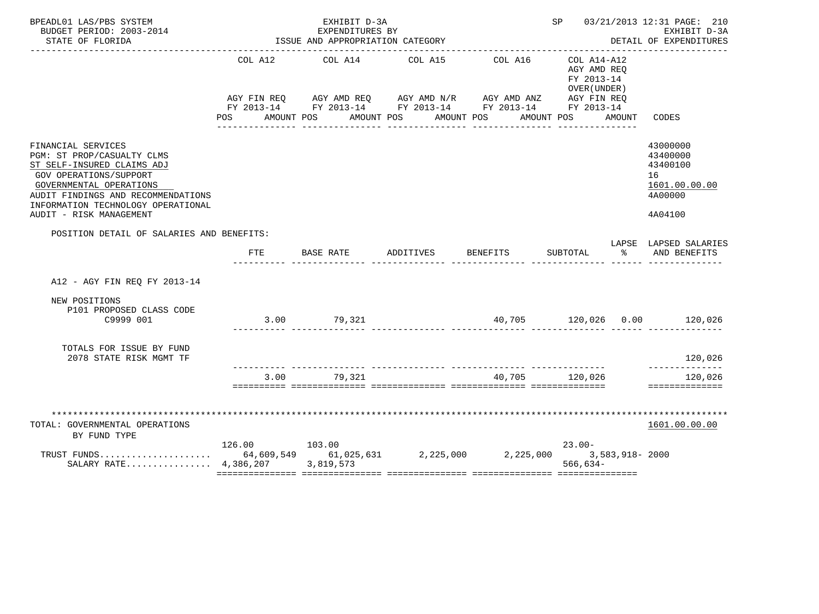| BPEADL01 LAS/PBS SYSTEM<br>BUDGET PERIOD: 2003-2014<br>STATE OF FLORIDA                                                                                                                                                                    |               | EXHIBIT D-3A<br>EXPENDITURES BY<br>ISSUE AND APPROPRIATION CATEGORY |                                  |          |                                                                           |        | SP 03/21/2013 12:31 PAGE: 210<br>EXHIBIT D-3A<br>DETAIL OF EXPENDITURES       |
|--------------------------------------------------------------------------------------------------------------------------------------------------------------------------------------------------------------------------------------------|---------------|---------------------------------------------------------------------|----------------------------------|----------|---------------------------------------------------------------------------|--------|-------------------------------------------------------------------------------|
|                                                                                                                                                                                                                                            | POS           | COL A12 COL A14 COL A15                                             | AMOUNT POS AMOUNT POS AMOUNT POS | COL A16  | $COL A14- A12$<br>AGY AMD REQ<br>FY 2013-14<br>OVER (UNDER)<br>AMOUNT POS | AMOUNT | CODES                                                                         |
| FINANCIAL SERVICES<br>PGM: ST PROP/CASUALTY CLMS<br>ST SELF-INSURED CLAIMS ADJ<br>GOV OPERATIONS/SUPPORT<br>GOVERNMENTAL OPERATIONS<br>AUDIT FINDINGS AND RECOMMENDATIONS<br>INFORMATION TECHNOLOGY OPERATIONAL<br>AUDIT - RISK MANAGEMENT |               |                                                                     |                                  |          |                                                                           |        | 43000000<br>43400000<br>43400100<br>16<br>1601.00.00.00<br>4A00000<br>4A04100 |
| POSITION DETAIL OF SALARIES AND BENEFITS:                                                                                                                                                                                                  |               |                                                                     |                                  |          |                                                                           |        | LAPSE LAPSED SALARIES                                                         |
|                                                                                                                                                                                                                                            | <b>FTE</b>    | BASE RATE                                                           | ADDITIVES                        | BENEFITS | SUBTOTAL                                                                  | ႜႂ     | AND BENEFITS                                                                  |
| A12 - AGY FIN REO FY 2013-14                                                                                                                                                                                                               |               |                                                                     |                                  |          |                                                                           |        |                                                                               |
| NEW POSITIONS<br>P101 PROPOSED CLASS CODE<br>C9999 001                                                                                                                                                                                     |               | $3.00$ $79,321$                                                     |                                  |          |                                                                           |        | $40,705$ $120,026$ $0.00$ $120,026$                                           |
| TOTALS FOR ISSUE BY FUND<br>2078 STATE RISK MGMT TF                                                                                                                                                                                        |               |                                                                     |                                  |          |                                                                           |        | 120,026<br>--------------                                                     |
|                                                                                                                                                                                                                                            |               | 3.00 79.321                                                         |                                  |          | 40.705 120.026                                                            |        | 120,026<br>==============                                                     |
| TOTAL: GOVERNMENTAL OPERATIONS<br>BY FUND TYPE<br>TRUST FUNDS 64,609,549 61,025,631 2,225,000 2,225,000 3,583,918-2000<br>SALARY RATE 4,386,207 3,819,573                                                                                  | 126.00 103.00 |                                                                     |                                  |          | $23.00-$<br>566,634-                                                      |        | 1601.00.00.00                                                                 |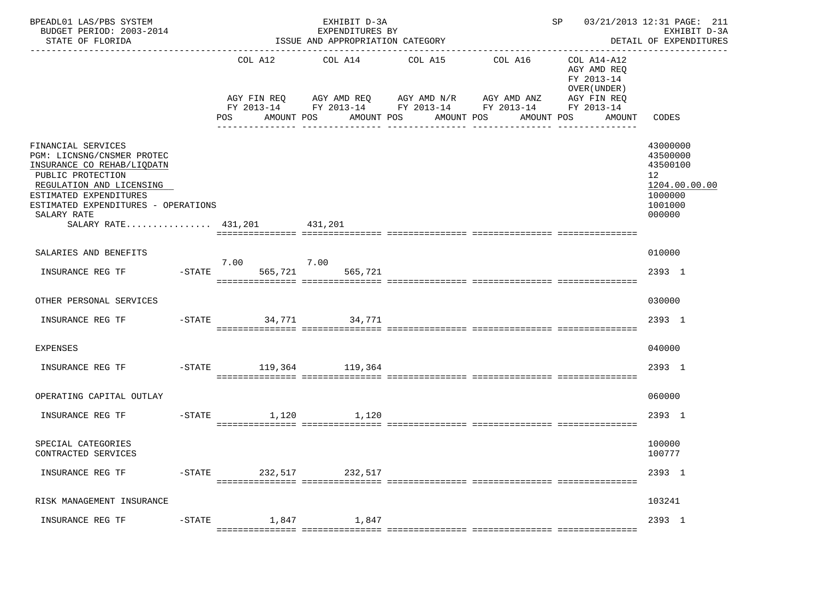| BPEADL01 LAS/PBS SYSTEM<br>BUDGET PERIOD: 2003-2014<br>STATE OF FLORIDA                                                                                                                                                                        |                |                              | EXHIBIT D-3A<br>EXPENDITURES BY<br>ISSUE AND APPROPRIATION CATEGORY | ______________________________________                                                                                                                           |            |                                                                                                 | SP 03/21/2013 12:31 PAGE: 211<br>EXHIBIT D-3A<br>DETAIL OF EXPENDITURES<br>----------------- |
|------------------------------------------------------------------------------------------------------------------------------------------------------------------------------------------------------------------------------------------------|----------------|------------------------------|---------------------------------------------------------------------|------------------------------------------------------------------------------------------------------------------------------------------------------------------|------------|-------------------------------------------------------------------------------------------------|----------------------------------------------------------------------------------------------|
|                                                                                                                                                                                                                                                |                | COL A12<br>POS<br>AMOUNT POS | COL A14                                                             | COL A15<br>COL A16<br>AGY FIN REQ AGY AMD REQ AGY AMD N/R AGY AMD ANZ<br>FY 2013-14 FY 2013-14 FY 2013-14 FY 2013-14<br>AMOUNT POS<br>AMOUNT POS<br>------------ | AMOUNT POS | COL A14-A12<br>AGY AMD REQ<br>FY 2013-14<br>OVER (UNDER)<br>AGY FIN REQ<br>FY 2013-14<br>AMOUNT | CODES                                                                                        |
| FINANCIAL SERVICES<br>PGM: LICNSNG/CNSMER PROTEC<br>INSURANCE CO REHAB/LIQDATN<br>PUBLIC PROTECTION<br>REGULATION AND LICENSING<br>ESTIMATED EXPENDITURES<br>ESTIMATED EXPENDITURES - OPERATIONS<br>SALARY RATE<br>SALARY RATE 431,201 431,201 |                |                              |                                                                     |                                                                                                                                                                  |            |                                                                                                 | 43000000<br>43500000<br>43500100<br>12<br>1204.00.00.00<br>1000000<br>1001000<br>000000      |
| SALARIES AND BENEFITS                                                                                                                                                                                                                          |                |                              |                                                                     |                                                                                                                                                                  |            |                                                                                                 | 010000                                                                                       |
| INSURANCE REG TF                                                                                                                                                                                                                               | $-$ STATE      | 7.00<br>565,721              | 7.00<br>565,721                                                     |                                                                                                                                                                  |            |                                                                                                 | 2393 1                                                                                       |
| OTHER PERSONAL SERVICES                                                                                                                                                                                                                        |                |                              |                                                                     |                                                                                                                                                                  |            |                                                                                                 | 030000                                                                                       |
| INSURANCE REG TF                                                                                                                                                                                                                               | $-$ STATE      |                              | 34,771 34,771                                                       |                                                                                                                                                                  |            |                                                                                                 | 2393 1                                                                                       |
| <b>EXPENSES</b>                                                                                                                                                                                                                                |                |                              |                                                                     |                                                                                                                                                                  |            |                                                                                                 | 040000                                                                                       |
| INSURANCE REG TF                                                                                                                                                                                                                               |                | -STATE 119,364 119,364       |                                                                     |                                                                                                                                                                  |            |                                                                                                 | 2393 1                                                                                       |
| OPERATING CAPITAL OUTLAY                                                                                                                                                                                                                       |                |                              |                                                                     |                                                                                                                                                                  |            |                                                                                                 | 060000                                                                                       |
| INSURANCE REG TF                                                                                                                                                                                                                               | $-$ STATE      | 1,120                        | 1,120                                                               |                                                                                                                                                                  |            |                                                                                                 | 2393 1                                                                                       |
| SPECIAL CATEGORIES<br>CONTRACTED SERVICES                                                                                                                                                                                                      |                |                              |                                                                     |                                                                                                                                                                  |            |                                                                                                 | 100000<br>100777                                                                             |
| INSURANCE REG TF                                                                                                                                                                                                                               | $-{\rm STATE}$ | 232,517                      | 232,517                                                             |                                                                                                                                                                  |            |                                                                                                 | 2393 1                                                                                       |
| RISK MANAGEMENT INSURANCE                                                                                                                                                                                                                      |                |                              |                                                                     |                                                                                                                                                                  |            |                                                                                                 | 103241                                                                                       |
| INSURANCE REG TF                                                                                                                                                                                                                               | $-$ STATE      | 1,847                        | 1,847                                                               |                                                                                                                                                                  |            |                                                                                                 | 2393 1                                                                                       |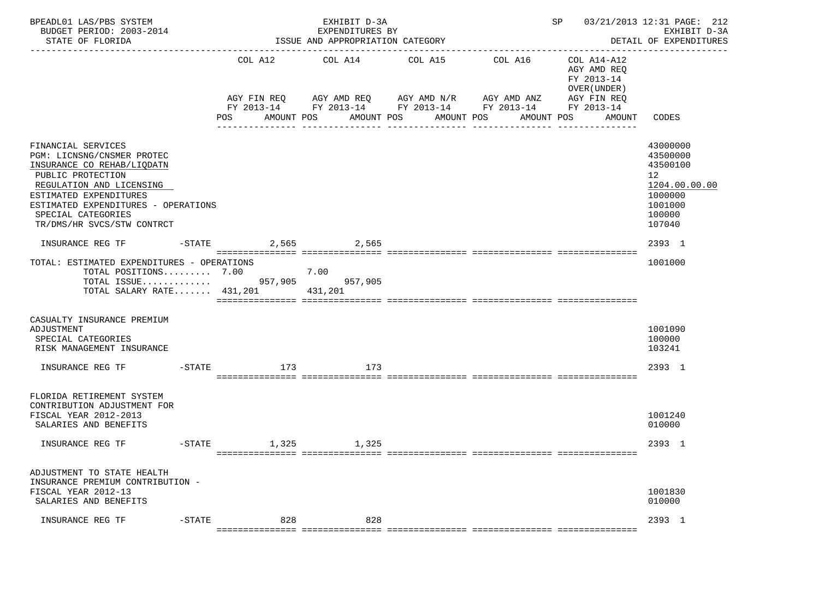| BPEADL01 LAS/PBS SYSTEM<br>BUDGET PERIOD: 2003-2014<br>STATE OF FLORIDA                                                                                                                                                                              | EXHIBIT D-3A<br>EXPENDITURES BY<br>ISSUE AND APPROPRIATION CATEGORY |                                                                                                                                                              |                       |                       | 03/21/2013 12:31 PAGE: 212<br>SP and the set of the set of the set of the set of the set of the set of the set of the set of the set of the set of the set of the set of the set of the set of the set of the set of the set of the set of the set of the se<br>EXHIBIT D-3A<br>DETAIL OF EXPENDITURES |                                                                                                   |
|------------------------------------------------------------------------------------------------------------------------------------------------------------------------------------------------------------------------------------------------------|---------------------------------------------------------------------|--------------------------------------------------------------------------------------------------------------------------------------------------------------|-----------------------|-----------------------|--------------------------------------------------------------------------------------------------------------------------------------------------------------------------------------------------------------------------------------------------------------------------------------------------------|---------------------------------------------------------------------------------------------------|
|                                                                                                                                                                                                                                                      | COL A12<br>POS                                                      | COL A14<br>AGY FIN REQ AGY AMD REQ AGY AMD N/R AGY AMD ANZ AGY FIN REQ<br>FY 2013-14 FY 2013-14 FY 2013-14 FY 2013-14 FY 2013-14<br>AMOUNT POS<br>AMOUNT POS | COL A15<br>AMOUNT POS | COL A16<br>AMOUNT POS | COL A14-A12<br>AGY AMD REQ<br>FY 2013-14<br>OVER (UNDER )<br>AMOUNT                                                                                                                                                                                                                                    | CODES                                                                                             |
| FINANCIAL SERVICES<br>PGM: LICNSNG/CNSMER PROTEC<br>INSURANCE CO REHAB/LIQDATN<br>PUBLIC PROTECTION<br>REGULATION AND LICENSING<br>ESTIMATED EXPENDITURES<br>ESTIMATED EXPENDITURES - OPERATIONS<br>SPECIAL CATEGORIES<br>TR/DMS/HR SVCS/STW CONTRCT |                                                                     |                                                                                                                                                              |                       |                       |                                                                                                                                                                                                                                                                                                        | 43000000<br>43500000<br>43500100<br>12<br>1204.00.00.00<br>1000000<br>1001000<br>100000<br>107040 |
| INSURANCE REG TF                                                                                                                                                                                                                                     | $-$ STATE 2,565 2,565                                               |                                                                                                                                                              |                       |                       |                                                                                                                                                                                                                                                                                                        | 2393 1                                                                                            |
| TOTAL: ESTIMATED EXPENDITURES - OPERATIONS<br>TOTAL POSITIONS $7.00$ 7.00<br>TOTAL ISSUE 957,905 957,905<br>TOTAL SALARY RATE 431,201 431,201                                                                                                        |                                                                     |                                                                                                                                                              |                       |                       |                                                                                                                                                                                                                                                                                                        | 1001000                                                                                           |
| CASUALTY INSURANCE PREMIUM<br>ADJUSTMENT<br>SPECIAL CATEGORIES<br>RISK MANAGEMENT INSURANCE                                                                                                                                                          |                                                                     |                                                                                                                                                              |                       |                       |                                                                                                                                                                                                                                                                                                        | 1001090<br>100000<br>103241                                                                       |
|                                                                                                                                                                                                                                                      |                                                                     |                                                                                                                                                              |                       |                       |                                                                                                                                                                                                                                                                                                        | 2393 1                                                                                            |
| FLORIDA RETIREMENT SYSTEM<br>CONTRIBUTION ADJUSTMENT FOR<br>FISCAL YEAR 2012-2013<br>SALARIES AND BENEFITS                                                                                                                                           |                                                                     |                                                                                                                                                              |                       |                       |                                                                                                                                                                                                                                                                                                        | 1001240<br>010000                                                                                 |
| INSURANCE REG TF                                                                                                                                                                                                                                     | -STATE 1,325 1,325                                                  |                                                                                                                                                              |                       |                       |                                                                                                                                                                                                                                                                                                        | 2393 1                                                                                            |
| ADJUSTMENT TO STATE HEALTH<br>INSURANCE PREMIUM CONTRIBUTION -<br>FISCAL YEAR 2012-13<br>SALARIES AND BENEFITS                                                                                                                                       |                                                                     |                                                                                                                                                              |                       |                       |                                                                                                                                                                                                                                                                                                        | 1001830<br>010000                                                                                 |
| $-\mathtt{STATE}$<br>INSURANCE REG TF                                                                                                                                                                                                                | 828                                                                 | 828                                                                                                                                                          |                       |                       |                                                                                                                                                                                                                                                                                                        | 2393 1                                                                                            |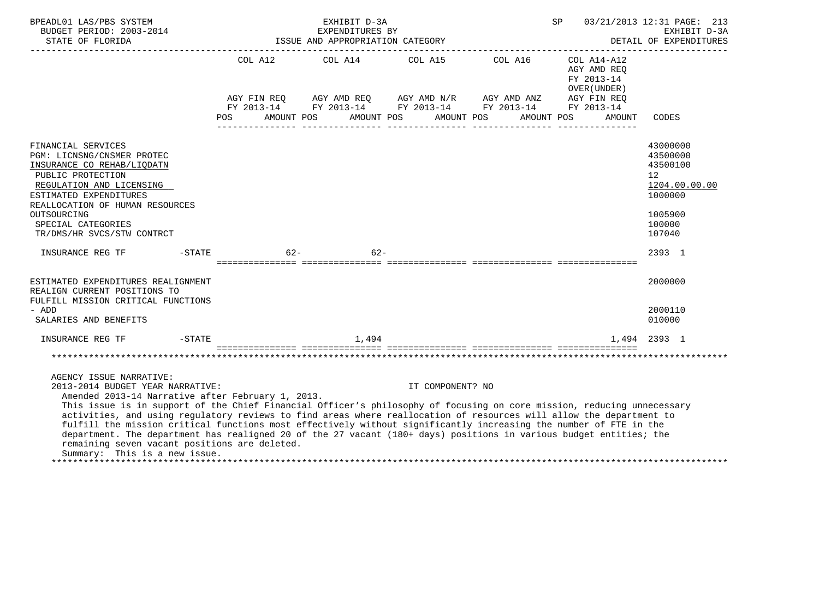| BPEADL01 LAS/PBS SYSTEM<br>BUDGET PERIOD: 2003-2014<br>STATE OF FLORIDA                                                                                                                                                                                                                                                                                                                                                                                                                                                                                                                                                                                                                        | EXHIBIT D-3A<br>EXPENDITURES BY<br>ISSUE AND APPROPRIATION CATEGORY |                                                                                                    |                  |                                                | 03/21/2013 12:31 PAGE: 213<br>SP<br>EXHIBIT D-3A<br>DETAIL OF EXPENDITURES                         |                                                                                                                |  |
|------------------------------------------------------------------------------------------------------------------------------------------------------------------------------------------------------------------------------------------------------------------------------------------------------------------------------------------------------------------------------------------------------------------------------------------------------------------------------------------------------------------------------------------------------------------------------------------------------------------------------------------------------------------------------------------------|---------------------------------------------------------------------|----------------------------------------------------------------------------------------------------|------------------|------------------------------------------------|----------------------------------------------------------------------------------------------------|----------------------------------------------------------------------------------------------------------------|--|
|                                                                                                                                                                                                                                                                                                                                                                                                                                                                                                                                                                                                                                                                                                | AGY FIN REO<br>FY 2013-14<br>POS                                    | COL A12 COL A14 COL A15 COL A16<br>AGY AMD REQ AGY AMD N/R AGY AMD ANZ<br>AMOUNT POS<br>AMOUNT POS | AMOUNT POS       | FY 2013-14 FY 2013-14 FY 2013-14<br>AMOUNT POS | $COL A14- A12$<br>AGY AMD REQ<br>FY 2013-14<br>OVER (UNDER)<br>AGY FIN REQ<br>FY 2013-14<br>AMOUNT | CODES                                                                                                          |  |
| FINANCIAL SERVICES<br>PGM: LICNSNG/CNSMER PROTEC<br>INSURANCE CO REHAB/LIQDATN<br>PUBLIC PROTECTION<br>REGULATION AND LICENSING<br>ESTIMATED EXPENDITURES<br>REALLOCATION OF HUMAN RESOURCES<br>OUTSOURCING<br>SPECIAL CATEGORIES<br>TR/DMS/HR SVCS/STW CONTRCT                                                                                                                                                                                                                                                                                                                                                                                                                                |                                                                     |                                                                                                    |                  |                                                |                                                                                                    | 43000000<br>43500000<br>43500100<br>12 <sup>°</sup><br>1204.00.00.00<br>1000000<br>1005900<br>100000<br>107040 |  |
| $-STATE$<br>INSURANCE REG TF                                                                                                                                                                                                                                                                                                                                                                                                                                                                                                                                                                                                                                                                   | $62 -$                                                              | $62 -$                                                                                             |                  |                                                |                                                                                                    | 2393 1                                                                                                         |  |
| ESTIMATED EXPENDITURES REALIGNMENT<br>REALIGN CURRENT POSITIONS TO<br>FULFILL MISSION CRITICAL FUNCTIONS<br>- ADD<br>SALARIES AND BENEFITS                                                                                                                                                                                                                                                                                                                                                                                                                                                                                                                                                     |                                                                     |                                                                                                    |                  |                                                |                                                                                                    | 2000000<br>2000110<br>010000                                                                                   |  |
| $-STATE$<br>INSURANCE REG TF                                                                                                                                                                                                                                                                                                                                                                                                                                                                                                                                                                                                                                                                   |                                                                     | 1,494                                                                                              |                  |                                                |                                                                                                    | 1,494 2393 1                                                                                                   |  |
|                                                                                                                                                                                                                                                                                                                                                                                                                                                                                                                                                                                                                                                                                                |                                                                     |                                                                                                    |                  |                                                |                                                                                                    |                                                                                                                |  |
| AGENCY ISSUE NARRATIVE:<br>2013-2014 BUDGET YEAR NARRATIVE:<br>Amended 2013-14 Narrative after February 1, 2013.<br>This issue is in support of the Chief Financial Officer's philosophy of focusing on core mission, reducing unnecessary<br>activities, and using regulatory reviews to find areas where reallocation of resources will allow the department to<br>fulfill the mission critical functions most effectively without significantly increasing the number of FTE in the<br>department. The department has realigned 20 of the 27 vacant (180+ days) positions in various budget entities; the<br>remaining seven vacant positions are deleted.<br>Summary: This is a new issue. |                                                                     |                                                                                                    | IT COMPONENT? NO |                                                |                                                                                                    |                                                                                                                |  |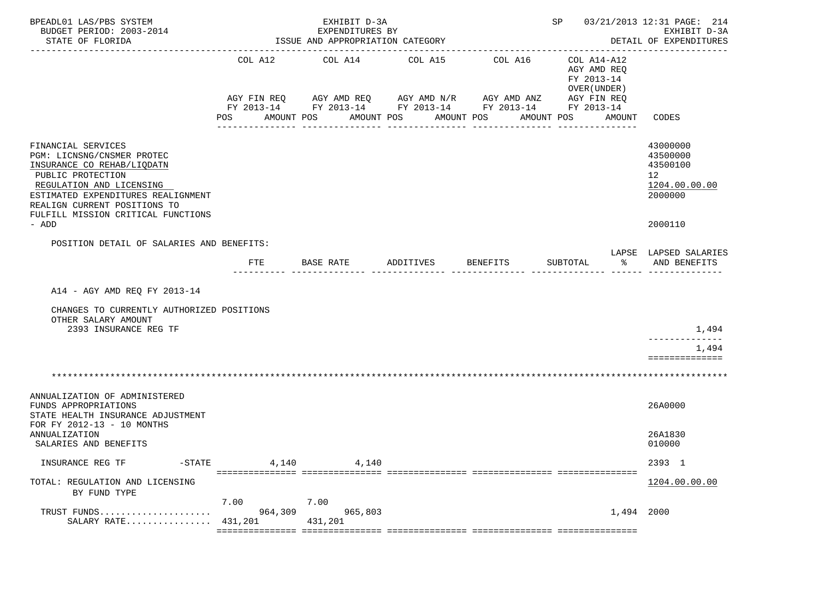| BPEADL01 LAS/PBS SYSTEM<br>BUDGET PERIOD: 2003-2014<br>STATE OF FLORIDA                                                                                                                                                                              | EXHIBIT D-3A<br>EXPENDITURES BY<br>ISSUE AND APPROPRIATION CATEGORY |                       |                                                                                        |                                                                                                    | SP 03/21/2013 12:31 PAGE: 214                                                                        | EXHIBIT D-3A<br>DETAIL OF EXPENDITURES<br>--------------                                   |
|------------------------------------------------------------------------------------------------------------------------------------------------------------------------------------------------------------------------------------------------------|---------------------------------------------------------------------|-----------------------|----------------------------------------------------------------------------------------|----------------------------------------------------------------------------------------------------|------------------------------------------------------------------------------------------------------|--------------------------------------------------------------------------------------------|
|                                                                                                                                                                                                                                                      | COL A12<br>POS                                                      | COL A14<br>AMOUNT POS | COL A15<br>AGY FIN REQ AGY AMD REQ AGY AMD N/R AGY AMD ANZ<br>AMOUNT POS<br>AMOUNT POS | COL A16<br>FY 2013-14 FY 2013-14 FY 2013-14 FY 2013-14 FY 2013-14<br>AMOUNT POS<br>--------------- | COL A14-A12<br>AGY AMD REQ<br>FY 2013-14<br>OVER (UNDER)<br>AGY FIN REQ<br>AMOUNT<br>--------------- | CODES                                                                                      |
| FINANCIAL SERVICES<br>PGM: LICNSNG/CNSMER PROTEC<br>INSURANCE CO REHAB/LIQDATN<br>PUBLIC PROTECTION<br>REGULATION AND LICENSING<br>ESTIMATED EXPENDITURES REALIGNMENT<br>REALIGN CURRENT POSITIONS TO<br>FULFILL MISSION CRITICAL FUNCTIONS<br>- ADD |                                                                     |                       |                                                                                        |                                                                                                    |                                                                                                      | 43000000<br>43500000<br>43500100<br>12 <sup>°</sup><br>1204.00.00.00<br>2000000<br>2000110 |
| POSITION DETAIL OF SALARIES AND BENEFITS:                                                                                                                                                                                                            | <b>FTE</b>                                                          | BASE RATE             | ADDITIVES                                                                              | BENEFITS                                                                                           | ႜೢ<br>SUBTOTAL                                                                                       | LAPSE LAPSED SALARIES<br>AND BENEFITS                                                      |
| A14 - AGY AMD REO FY 2013-14<br>CHANGES TO CURRENTLY AUTHORIZED POSITIONS<br>OTHER SALARY AMOUNT<br>2393 INSURANCE REG TF                                                                                                                            |                                                                     |                       |                                                                                        |                                                                                                    |                                                                                                      | 1,494<br>-------------<br>1,494<br>==============                                          |
| ANNUALIZATION OF ADMINISTERED<br>FUNDS APPROPRIATIONS<br>STATE HEALTH INSURANCE ADJUSTMENT<br>FOR FY 2012-13 - 10 MONTHS<br>ANNUALIZATION<br>SALARIES AND BENEFITS                                                                                   |                                                                     |                       |                                                                                        |                                                                                                    |                                                                                                      | 26A0000<br>26A1830<br>010000                                                               |
| INSURANCE REG TF<br>$-STATE$                                                                                                                                                                                                                         | 4,140                                                               | 4,140                 |                                                                                        |                                                                                                    |                                                                                                      | 2393 1                                                                                     |
| TOTAL: REGULATION AND LICENSING<br>BY FUND TYPE                                                                                                                                                                                                      | 7.00                                                                | 7.00                  |                                                                                        |                                                                                                    |                                                                                                      | 1204.00.00.00                                                                              |
| TRUST FUNDS<br>SALARY RATE                                                                                                                                                                                                                           | 964,309<br>431,201                                                  | 965,803<br>431,201    |                                                                                        |                                                                                                    | 1,494 2000                                                                                           |                                                                                            |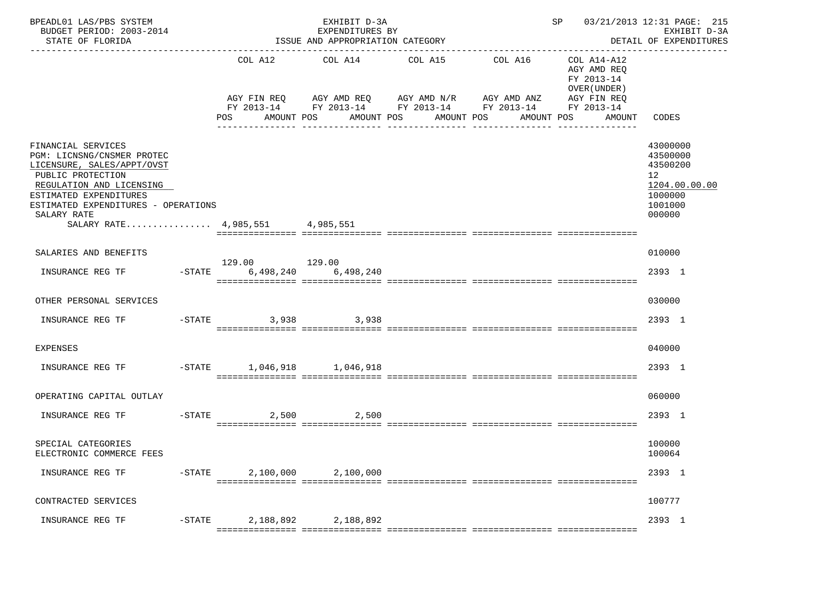| BPEADL01 LAS/PBS SYSTEM<br>BUDGET PERIOD: 2003-2014<br>STATE OF FLORIDA                                                                                                                                                                            | EXHIBIT D-3A<br>EXPENDITURES BY<br>ISSUE AND APPROPRIATION CATEGORY<br>------------------------------ |                                                                                                                                                |                       |                                   | SP 03/21/2013 12:31 PAGE: 215<br>EXHIBIT D-3A<br>DETAIL OF EXPENDITURES |                                                                                                      |
|----------------------------------------------------------------------------------------------------------------------------------------------------------------------------------------------------------------------------------------------------|-------------------------------------------------------------------------------------------------------|------------------------------------------------------------------------------------------------------------------------------------------------|-----------------------|-----------------------------------|-------------------------------------------------------------------------|------------------------------------------------------------------------------------------------------|
|                                                                                                                                                                                                                                                    | COL A12<br>POS<br>AMOUNT POS                                                                          | COL A14<br>AGY FIN REQ AGY AMD REQ AGY AMD N/R AGY AMD ANZ AGY FIN REQ<br>FY 2013-14 FY 2013-14 FY 2013-14 FY 2013-14 FY 2013-14<br>AMOUNT POS | COL A15<br>AMOUNT POS | COL A16 COL A14-A12<br>AMOUNT POS | AGY AMD REQ<br>FY 2013-14<br>OVER (UNDER )<br>AMOUNT                    | CODES                                                                                                |
| FINANCIAL SERVICES<br>PGM: LICNSNG/CNSMER PROTEC<br>LICENSURE, SALES/APPT/OVST<br>PUBLIC PROTECTION<br>REGULATION AND LICENSING<br>ESTIMATED EXPENDITURES<br>ESTIMATED EXPENDITURES - OPERATIONS<br>SALARY RATE<br>SALARY RATE 4,985,551 4,985,551 |                                                                                                       |                                                                                                                                                |                       |                                   |                                                                         | 43000000<br>43500000<br>43500200<br>12 <sup>°</sup><br>1204.00.00.00<br>1000000<br>1001000<br>000000 |
| SALARIES AND BENEFITS                                                                                                                                                                                                                              |                                                                                                       |                                                                                                                                                |                       |                                   |                                                                         | 010000                                                                                               |
| INSURANCE REG TF                                                                                                                                                                                                                                   | 129.00 129.00<br>-STATE 6,498,240 6,498,240                                                           |                                                                                                                                                |                       |                                   |                                                                         | 2393 1                                                                                               |
| OTHER PERSONAL SERVICES                                                                                                                                                                                                                            |                                                                                                       |                                                                                                                                                |                       |                                   |                                                                         | 030000                                                                                               |
| INSURANCE REG TF                                                                                                                                                                                                                                   | $-STATE$                                                                                              | 3,938 3,938                                                                                                                                    |                       |                                   |                                                                         | 2393 1                                                                                               |
| <b>EXPENSES</b>                                                                                                                                                                                                                                    |                                                                                                       |                                                                                                                                                |                       |                                   |                                                                         | 040000                                                                                               |
| INSURANCE REG TF                                                                                                                                                                                                                                   | -STATE 1,046,918 1,046,918                                                                            |                                                                                                                                                |                       |                                   |                                                                         | 2393 1                                                                                               |
| OPERATING CAPITAL OUTLAY                                                                                                                                                                                                                           |                                                                                                       |                                                                                                                                                |                       |                                   |                                                                         | 060000                                                                                               |
| INSURANCE REG TF                                                                                                                                                                                                                                   | $-STATE$                                                                                              | 2,500 2,500                                                                                                                                    |                       |                                   |                                                                         | 2393 1                                                                                               |
| SPECIAL CATEGORIES<br>ELECTRONIC COMMERCE FEES                                                                                                                                                                                                     |                                                                                                       |                                                                                                                                                |                       |                                   |                                                                         | 100000<br>100064                                                                                     |
| INSURANCE REG TF                                                                                                                                                                                                                                   | $-STATE$ 2,100,000 2,100,000                                                                          |                                                                                                                                                |                       |                                   |                                                                         | 2393 1                                                                                               |
| CONTRACTED SERVICES                                                                                                                                                                                                                                |                                                                                                       |                                                                                                                                                |                       |                                   |                                                                         | 100777                                                                                               |
| INSURANCE REG TF                                                                                                                                                                                                                                   | -STATE 2,188,892 2,188,892                                                                            |                                                                                                                                                |                       |                                   |                                                                         | 2393 1                                                                                               |
|                                                                                                                                                                                                                                                    |                                                                                                       |                                                                                                                                                |                       |                                   |                                                                         |                                                                                                      |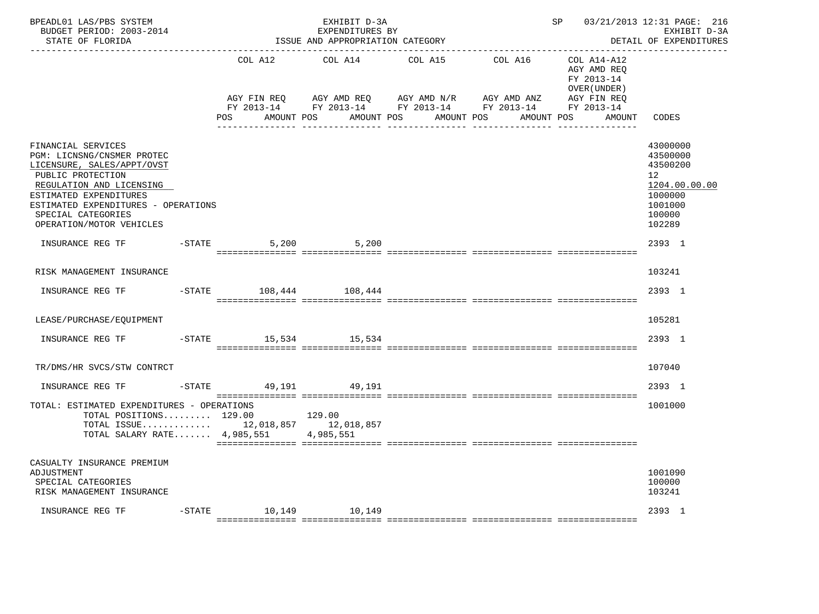| BPEADL01 LAS/PBS SYSTEM<br>BUDGET PERIOD: 2003-2014<br>STATE OF FLORIDA                                                                                                                                                                            |                        | EXHIBIT D-3A<br>EXPENDITURES BY<br>ISSUE AND APPROPRIATION CATEGORY | 03/21/2013 12:31 PAGE: 216<br>SP<br>EXHIBIT D-3A<br>DETAIL OF EXPENDITURES<br>--------------------------------                      |                                                                                  |                                                                                                                 |  |
|----------------------------------------------------------------------------------------------------------------------------------------------------------------------------------------------------------------------------------------------------|------------------------|---------------------------------------------------------------------|-------------------------------------------------------------------------------------------------------------------------------------|----------------------------------------------------------------------------------|-----------------------------------------------------------------------------------------------------------------|--|
|                                                                                                                                                                                                                                                    | AGY FIN REQ<br>POS FOR | COL A12 COL A14<br>AGY AMD REQ AGY AMD N/R<br>AMOUNT POS            | COL A15<br>COL A16 COL A14-A12<br>AGY AMD ANZ<br>FY 2013-14 FY 2013-14 FY 2013-14 FY 2013-14 FY 2013-14<br>AMOUNT POS<br>AMOUNT POS | AGY AMD REO<br>FY 2013-14<br>OVER (UNDER)<br>AGY FIN REQ<br>AMOUNT POS<br>AMOUNT | CODES                                                                                                           |  |
| FINANCIAL SERVICES<br>PGM: LICNSNG/CNSMER PROTEC<br>LICENSURE, SALES/APPT/OVST<br>PUBLIC PROTECTION<br>REGULATION AND LICENSING<br>ESTIMATED EXPENDITURES<br>ESTIMATED EXPENDITURES - OPERATIONS<br>SPECIAL CATEGORIES<br>OPERATION/MOTOR VEHICLES |                        |                                                                     |                                                                                                                                     |                                                                                  | 43000000<br>43500000<br>43500200<br>12 <sup>12</sup><br>1204.00.00.00<br>1000000<br>1001000<br>100000<br>102289 |  |
| INSURANCE REG TF                                                                                                                                                                                                                                   | $-STATE$               | 5,200 5,200                                                         |                                                                                                                                     |                                                                                  | 2393 1                                                                                                          |  |
| RISK MANAGEMENT INSURANCE                                                                                                                                                                                                                          |                        |                                                                     |                                                                                                                                     |                                                                                  | 103241                                                                                                          |  |
| INSURANCE REG TF                                                                                                                                                                                                                                   |                        | -STATE 108,444 108,444                                              |                                                                                                                                     |                                                                                  | 2393 1                                                                                                          |  |
| LEASE/PURCHASE/EQUIPMENT                                                                                                                                                                                                                           |                        |                                                                     |                                                                                                                                     |                                                                                  | 105281                                                                                                          |  |
| INSURANCE REG TF                                                                                                                                                                                                                                   |                        | -STATE 15,534 15,534                                                |                                                                                                                                     |                                                                                  | 2393 1                                                                                                          |  |
| TR/DMS/HR SVCS/STW CONTRCT                                                                                                                                                                                                                         |                        |                                                                     |                                                                                                                                     |                                                                                  | 107040                                                                                                          |  |
| INSURANCE REG TF                                                                                                                                                                                                                                   | -STATE 49.191 49.191   |                                                                     |                                                                                                                                     |                                                                                  | 2393 1                                                                                                          |  |
| TOTAL: ESTIMATED EXPENDITURES - OPERATIONS<br>TOTAL POSITIONS $129.00$ 129.00<br>TOTAL ISSUE 12,018,857 12,018,857<br>TOTAL SALARY RATE $4,985,551$                                                                                                |                        | 4,985,551                                                           |                                                                                                                                     |                                                                                  | 1001000                                                                                                         |  |
| CASUALTY INSURANCE PREMIUM<br>ADJUSTMENT<br>SPECIAL CATEGORIES<br>RISK MANAGEMENT INSURANCE                                                                                                                                                        |                        |                                                                     |                                                                                                                                     |                                                                                  | 1001090<br>100000<br>103241                                                                                     |  |
| INSURANCE REG TF                                                                                                                                                                                                                                   |                        | -STATE 10,149 10,149                                                |                                                                                                                                     |                                                                                  | 2393 1                                                                                                          |  |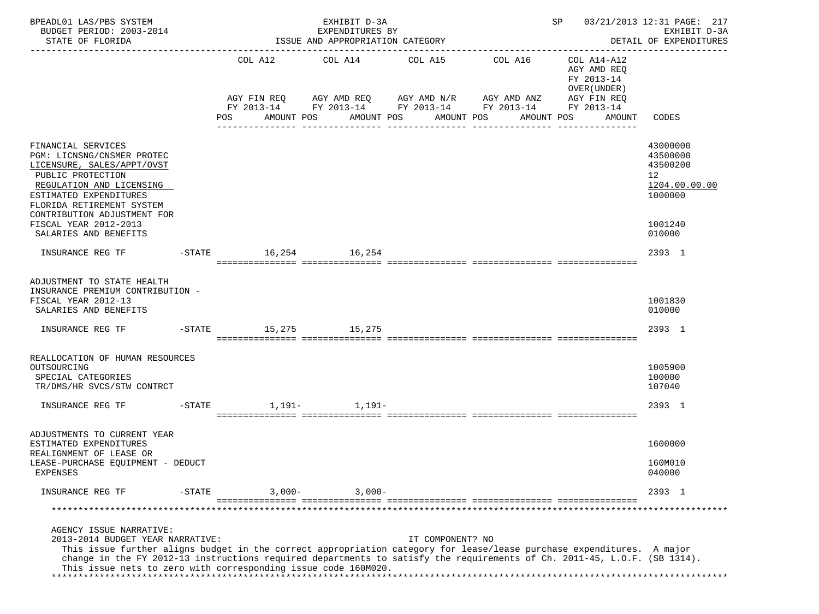| BPEADL01 LAS/PBS SYSTEM<br>BUDGET PERIOD: 2003-2014<br>STATE OF FLORIDA                                                                                                                                                                                                                                                                                                            | EXHIBIT D-3A<br>EXPENDITURES BY<br>ISSUE AND APPROPRIATION CATEGORY |                      |            |  |                |                                                                                                       |                  |                            |            |  | SP<br>03/21/2013 12:31 PAGE: 217<br>EXHIBIT D-3A<br>DETAIL OF EXPENDITURES            |                                                                    |  |
|------------------------------------------------------------------------------------------------------------------------------------------------------------------------------------------------------------------------------------------------------------------------------------------------------------------------------------------------------------------------------------|---------------------------------------------------------------------|----------------------|------------|--|----------------|-------------------------------------------------------------------------------------------------------|------------------|----------------------------|------------|--|---------------------------------------------------------------------------------------|--------------------------------------------------------------------|--|
|                                                                                                                                                                                                                                                                                                                                                                                    |                                                                     | AGY FIN REQ          | COL A12    |  |                | COL A14 COL A15<br>AGY AMD REQ AGY AMD N/R AGY AMD ANZ<br>FY 2013-14 FY 2013-14 FY 2013-14 FY 2013-14 |                  | COL A16                    |            |  | COL A14-A12<br>AGY AMD REO<br>FY 2013-14<br>OVER (UNDER)<br>AGY FIN REQ<br>FY 2013-14 |                                                                    |  |
|                                                                                                                                                                                                                                                                                                                                                                                    |                                                                     | POS                  | AMOUNT POS |  |                | AMOUNT POS                                                                                            | AMOUNT POS       | <u>Liste de les de les</u> | AMOUNT POS |  | AMOUNT                                                                                | CODES                                                              |  |
| FINANCIAL SERVICES<br>PGM: LICNSNG/CNSMER PROTEC<br>LICENSURE, SALES/APPT/OVST<br>PUBLIC PROTECTION<br>REGULATION AND LICENSING<br>ESTIMATED EXPENDITURES<br>FLORIDA RETIREMENT SYSTEM<br>CONTRIBUTION ADJUSTMENT FOR                                                                                                                                                              |                                                                     |                      |            |  |                |                                                                                                       |                  |                            |            |  |                                                                                       | 43000000<br>43500000<br>43500200<br>12<br>1204.00.00.00<br>1000000 |  |
| <b>FISCAL YEAR 2012-2013</b><br>SALARIES AND BENEFITS                                                                                                                                                                                                                                                                                                                              |                                                                     |                      |            |  |                |                                                                                                       |                  |                            |            |  |                                                                                       | 1001240<br>010000                                                  |  |
| INSURANCE REG TF                                                                                                                                                                                                                                                                                                                                                                   |                                                                     | -STATE 16,254 16,254 |            |  |                |                                                                                                       |                  |                            |            |  |                                                                                       | 2393 1                                                             |  |
| ADJUSTMENT TO STATE HEALTH<br>INSURANCE PREMIUM CONTRIBUTION -<br>FISCAL YEAR 2012-13<br>SALARIES AND BENEFITS                                                                                                                                                                                                                                                                     |                                                                     |                      |            |  |                |                                                                                                       |                  |                            |            |  |                                                                                       | 1001830<br>010000                                                  |  |
| INSURANCE REG TF                                                                                                                                                                                                                                                                                                                                                                   |                                                                     | -STATE 15,275 15,275 |            |  |                |                                                                                                       |                  |                            |            |  |                                                                                       | 2393 1                                                             |  |
| REALLOCATION OF HUMAN RESOURCES<br>OUTSOURCING<br>SPECIAL CATEGORIES<br>TR/DMS/HR SVCS/STW CONTRCT                                                                                                                                                                                                                                                                                 |                                                                     |                      |            |  |                |                                                                                                       |                  |                            |            |  |                                                                                       | 1005900<br>100000<br>107040                                        |  |
| INSURANCE REG TF                                                                                                                                                                                                                                                                                                                                                                   |                                                                     | $-STATE$             |            |  | $1,191 1,191-$ |                                                                                                       |                  |                            |            |  |                                                                                       | 2393 1                                                             |  |
| ADJUSTMENTS TO CURRENT YEAR<br>ESTIMATED EXPENDITURES<br>REALIGNMENT OF LEASE OR                                                                                                                                                                                                                                                                                                   |                                                                     |                      |            |  |                |                                                                                                       |                  |                            |            |  |                                                                                       | 1600000                                                            |  |
| LEASE-PURCHASE EQUIPMENT - DEDUCT<br><b>EXPENSES</b>                                                                                                                                                                                                                                                                                                                               |                                                                     |                      |            |  |                |                                                                                                       |                  |                            |            |  |                                                                                       | 160M010<br>040000                                                  |  |
| INSURANCE REG TF                                                                                                                                                                                                                                                                                                                                                                   | $-STATE$                                                            |                      | $3,000-$   |  | $3,000-$       |                                                                                                       |                  |                            |            |  |                                                                                       | 2393 1                                                             |  |
|                                                                                                                                                                                                                                                                                                                                                                                    |                                                                     |                      |            |  |                |                                                                                                       |                  |                            |            |  |                                                                                       | ***********************************                                |  |
| AGENCY ISSUE NARRATIVE:<br>2013-2014 BUDGET YEAR NARRATIVE:<br>This issue further aligns budget in the correct appropriation category for lease/lease purchase expenditures. A major<br>change in the FY 2012-13 instructions required departments to satisfy the requirements of Ch. 2011-45, L.O.F. (SB 1314).<br>This issue nets to zero with corresponding issue code 160M020. |                                                                     |                      |            |  |                |                                                                                                       | IT COMPONENT? NO |                            |            |  |                                                                                       |                                                                    |  |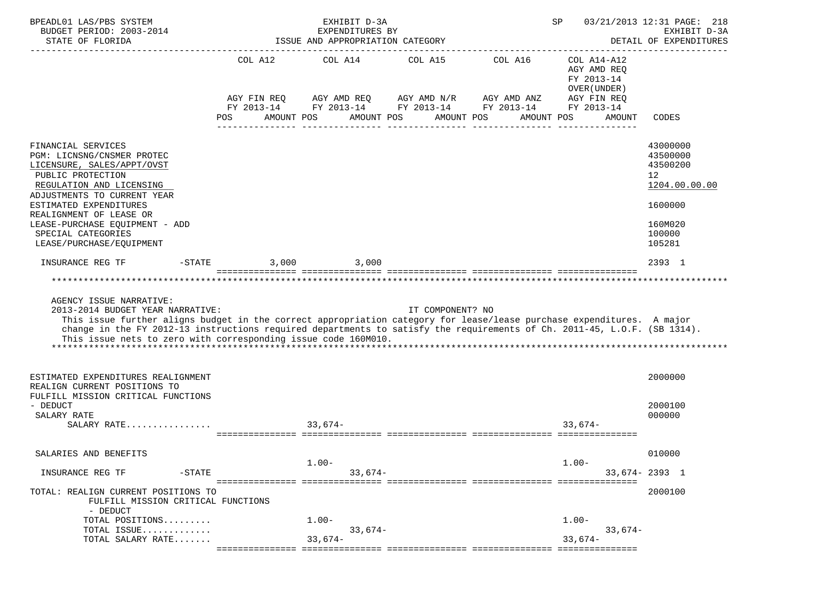| BPEADL01 LAS/PBS SYSTEM<br>BUDGET PERIOD: 2003-2014                                                                                                                                                                                                                                                                                                                                |                                             | EXHIBIT D-3A<br>EXPENDITURES BY  |                                                                                                                                           |            | SP                                                                                              | 03/21/2013 12:31 PAGE: 218<br>EXHIBIT D-3A                                                                     |
|------------------------------------------------------------------------------------------------------------------------------------------------------------------------------------------------------------------------------------------------------------------------------------------------------------------------------------------------------------------------------------|---------------------------------------------|----------------------------------|-------------------------------------------------------------------------------------------------------------------------------------------|------------|-------------------------------------------------------------------------------------------------|----------------------------------------------------------------------------------------------------------------|
| STATE OF FLORIDA                                                                                                                                                                                                                                                                                                                                                                   |                                             | ISSUE AND APPROPRIATION CATEGORY |                                                                                                                                           |            |                                                                                                 | DETAIL OF EXPENDITURES                                                                                         |
|                                                                                                                                                                                                                                                                                                                                                                                    | COL A12<br>AGY FIN REQ<br>POS<br>AMOUNT POS |                                  | COL A14 COL A15 COL A16<br>AGY AMD REQ AGY AMD N/R AGY AMD ANZ<br>FY 2013-14 FY 2013-14 FY 2013-14 FY 2013-14<br>AMOUNT POS<br>AMOUNT POS | AMOUNT POS | COL A14-A12<br>AGY AMD REQ<br>FY 2013-14<br>OVER (UNDER)<br>AGY FIN REQ<br>FY 2013-14<br>AMOUNT | CODES                                                                                                          |
| FINANCIAL SERVICES<br>PGM: LICNSNG/CNSMER PROTEC<br>LICENSURE, SALES/APPT/OVST<br>PUBLIC PROTECTION<br>REGULATION AND LICENSING<br>ADJUSTMENTS TO CURRENT YEAR<br>ESTIMATED EXPENDITURES<br>REALIGNMENT OF LEASE OR<br>LEASE-PURCHASE EQUIPMENT - ADD<br>SPECIAL CATEGORIES<br>LEASE/PURCHASE/EQUIPMENT                                                                            |                                             |                                  |                                                                                                                                           |            |                                                                                                 | 43000000<br>43500000<br>43500200<br>12 <sup>°</sup><br>1204.00.00.00<br>1600000<br>160M020<br>100000<br>105281 |
| INSURANCE REG TF<br>$-$ STATE                                                                                                                                                                                                                                                                                                                                                      | 3,000                                       | 3,000                            |                                                                                                                                           |            |                                                                                                 | 2393 1                                                                                                         |
| AGENCY ISSUE NARRATIVE:<br>2013-2014 BUDGET YEAR NARRATIVE:<br>This issue further aligns budget in the correct appropriation category for lease/lease purchase expenditures. A major<br>change in the FY 2012-13 instructions required departments to satisfy the requirements of Ch. 2011-45, L.O.F. (SB 1314).<br>This issue nets to zero with corresponding issue code 160M010. |                                             |                                  | IT COMPONENT? NO                                                                                                                          |            |                                                                                                 |                                                                                                                |
| ESTIMATED EXPENDITURES REALIGNMENT<br>REALIGN CURRENT POSITIONS TO<br>FULFILL MISSION CRITICAL FUNCTIONS                                                                                                                                                                                                                                                                           |                                             |                                  |                                                                                                                                           |            |                                                                                                 | 2000000                                                                                                        |
| - DEDUCT<br>SALARY RATE<br>SALARY RATE                                                                                                                                                                                                                                                                                                                                             |                                             | $33,674-$                        |                                                                                                                                           |            | $33.674-$                                                                                       | 2000100<br>000000                                                                                              |
| SALARIES AND BENEFITS                                                                                                                                                                                                                                                                                                                                                              |                                             |                                  |                                                                                                                                           |            |                                                                                                 | 010000                                                                                                         |
| INSURANCE REG TF                                                                                                                                                                                                                                                                                                                                                                   |                                             | $1.00 -$<br>$33,674-$            |                                                                                                                                           |            | $1.00-$                                                                                         |                                                                                                                |
| $-$ STATE                                                                                                                                                                                                                                                                                                                                                                          |                                             |                                  |                                                                                                                                           |            |                                                                                                 | 33,674-2393 1                                                                                                  |
| TOTAL: REALIGN CURRENT POSITIONS TO<br>FULFILL MISSION CRITICAL FUNCTIONS<br>- DEDUCT<br>TOTAL POSITIONS                                                                                                                                                                                                                                                                           |                                             | $1.00 -$                         |                                                                                                                                           |            | $1.00 -$                                                                                        | 2000100                                                                                                        |
| TOTAL ISSUE                                                                                                                                                                                                                                                                                                                                                                        |                                             | $33,674-$                        |                                                                                                                                           |            | $33,674-$                                                                                       |                                                                                                                |
| TOTAL SALARY RATE                                                                                                                                                                                                                                                                                                                                                                  |                                             | $33,674-$                        |                                                                                                                                           |            | $33,674-$                                                                                       |                                                                                                                |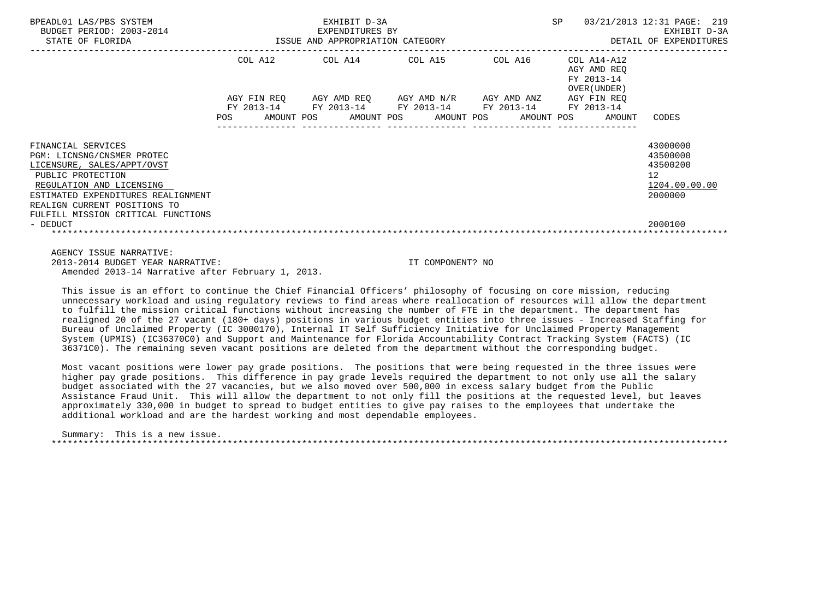| BPEADL01 LAS/PBS SYSTEM<br>BUDGET PERIOD: 2003-2014<br>STATE OF FLORIDA                                                                                                                               | EXHIBIT D-3A<br>EXPENDITURES BY<br>ISSUE AND APPROPRIATION CATEGORY |  |  |  |  |                                                                                                                                |  |  |  |                                                           | 03/21/2013 12:31 PAGE: 219<br>EXHIBIT D-3A<br>DETAIL OF EXPENDITURES            |  |
|-------------------------------------------------------------------------------------------------------------------------------------------------------------------------------------------------------|---------------------------------------------------------------------|--|--|--|--|--------------------------------------------------------------------------------------------------------------------------------|--|--|--|-----------------------------------------------------------|---------------------------------------------------------------------------------|--|
|                                                                                                                                                                                                       |                                                                     |  |  |  |  | COL A12 COL A14 COL A15 COL A16                                                                                                |  |  |  | COL A14-A12<br>AGY AMD REO<br>FY 2013-14<br>OVER (UNDER ) |                                                                                 |  |
|                                                                                                                                                                                                       |                                                                     |  |  |  |  | AGY FIN REO        AGY AMD REO        AGY AMD N/R        AGY AMD ANZ<br>FY 2013-14 FY 2013-14 FY 2013-14 FY 2013-14 FY 2013-14 |  |  |  | AGY FIN REO                                               |                                                                                 |  |
|                                                                                                                                                                                                       | POS FOR                                                             |  |  |  |  |                                                                                                                                |  |  |  | AMOUNT POS AMOUNT POS AMOUNT POS AMOUNT POS AMOUNT        | CODES                                                                           |  |
| FINANCIAL SERVICES<br>PGM: LICNSNG/CNSMER PROTEC<br>LICENSURE, SALES/APPT/OVST<br>PUBLIC PROTECTION<br>REGULATION AND LICENSING<br>ESTIMATED EXPENDITURES REALIGNMENT<br>REALIGN CURRENT POSITIONS TO |                                                                     |  |  |  |  |                                                                                                                                |  |  |  |                                                           | 43000000<br>43500000<br>43500200<br>12 <sup>°</sup><br>1204.00.00.00<br>2000000 |  |
| FULFILL MISSION CRITICAL FUNCTIONS<br>- DEDUCT                                                                                                                                                        |                                                                     |  |  |  |  |                                                                                                                                |  |  |  |                                                           | 2000100                                                                         |  |
| AGENCY ISSUE NARRATIVE:                                                                                                                                                                               |                                                                     |  |  |  |  |                                                                                                                                |  |  |  |                                                           |                                                                                 |  |

 2013-2014 BUDGET YEAR NARRATIVE: IT COMPONENT? NO Amended 2013-14 Narrative after February 1, 2013.

 This issue is an effort to continue the Chief Financial Officers' philosophy of focusing on core mission, reducing unnecessary workload and using regulatory reviews to find areas where reallocation of resources will allow the department to fulfill the mission critical functions without increasing the number of FTE in the department. The department has realigned 20 of the 27 vacant (180+ days) positions in various budget entities into three issues - Increased Staffing for Bureau of Unclaimed Property (IC 3000170), Internal IT Self Sufficiency Initiative for Unclaimed Property Management System (UPMIS) (IC36370C0) and Support and Maintenance for Florida Accountability Contract Tracking System (FACTS) (IC 36371C0). The remaining seven vacant positions are deleted from the department without the corresponding budget.

 Most vacant positions were lower pay grade positions. The positions that were being requested in the three issues were higher pay grade positions. This difference in pay grade levels required the department to not only use all the salary budget associated with the 27 vacancies, but we also moved over 500,000 in excess salary budget from the Public Assistance Fraud Unit. This will allow the department to not only fill the positions at the requested level, but leaves approximately 330,000 in budget to spread to budget entities to give pay raises to the employees that undertake the additional workload and are the hardest working and most dependable employees.

 Summary: This is a new issue. \*\*\*\*\*\*\*\*\*\*\*\*\*\*\*\*\*\*\*\*\*\*\*\*\*\*\*\*\*\*\*\*\*\*\*\*\*\*\*\*\*\*\*\*\*\*\*\*\*\*\*\*\*\*\*\*\*\*\*\*\*\*\*\*\*\*\*\*\*\*\*\*\*\*\*\*\*\*\*\*\*\*\*\*\*\*\*\*\*\*\*\*\*\*\*\*\*\*\*\*\*\*\*\*\*\*\*\*\*\*\*\*\*\*\*\*\*\*\*\*\*\*\*\*\*\*\*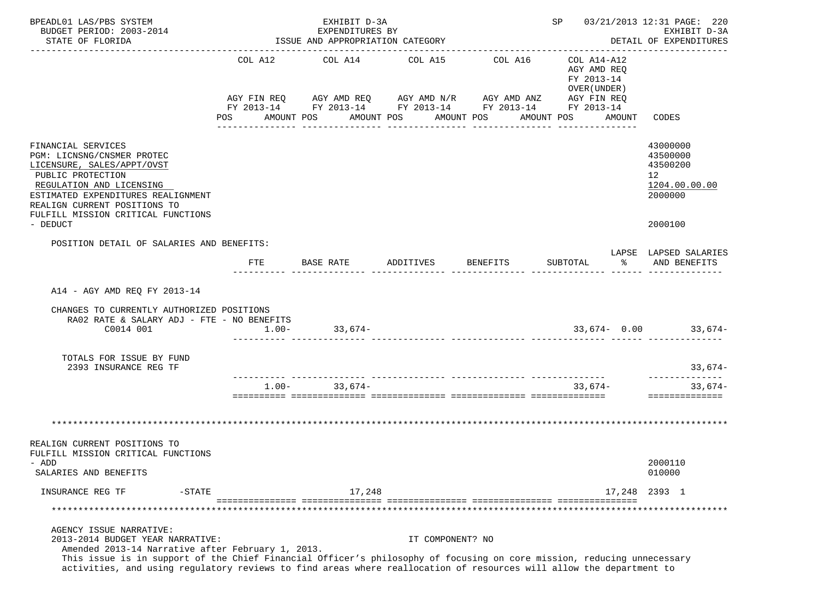| BPEADL01 LAS/PBS SYSTEM<br>BUDGET PERIOD: 2003-2014<br>STATE OF FLORIDA                                                                                                                                                                                                                                                                                           | EXHIBIT D-3A<br>EXPENDITURES BY<br>ISSUE AND APPROPRIATION CATEGORY                                                                     |  |                   |                         |           |                       |                 |  |                                           |                                        | SP 03/21/2013 12:31 PAGE: 220<br>EXHIBIT D-3A<br>DETAIL OF EXPENDITURES       |
|-------------------------------------------------------------------------------------------------------------------------------------------------------------------------------------------------------------------------------------------------------------------------------------------------------------------------------------------------------------------|-----------------------------------------------------------------------------------------------------------------------------------------|--|-------------------|-------------------------|-----------|-----------------------|-----------------|--|-------------------------------------------|----------------------------------------|-------------------------------------------------------------------------------|
|                                                                                                                                                                                                                                                                                                                                                                   | AGY FIN REQ AGY AMD REQ AGY AMD N/R AGY AMD ANZ AGY FIN REQ<br>FY 2013-14 FY 2013-14 FY 2013-14 FY 2013-14 FY 2013-14<br>POS AMOUNT POS |  |                   | COL A12 COL A14 COL A15 |           | AMOUNT POS AMOUNT POS | COL A16         |  | AGY AMD REQ<br>FY 2013-14<br>OVER (UNDER) | COL A14-A12<br>AMOUNT POS AMOUNT CODES |                                                                               |
| FINANCIAL SERVICES<br>PGM: LICNSNG/CNSMER PROTEC<br>LICENSURE, SALES/APPT/OVST<br>PUBLIC PROTECTION<br>REGULATION AND LICENSING<br>ESTIMATED EXPENDITURES REALIGNMENT<br>REALIGN CURRENT POSITIONS TO<br>FULFILL MISSION CRITICAL FUNCTIONS<br>- DEDUCT                                                                                                           |                                                                                                                                         |  |                   |                         |           |                       |                 |  |                                           |                                        | 43000000<br>43500000<br>43500200<br>12<br>1204.00.00.00<br>2000000<br>2000100 |
| POSITION DETAIL OF SALARIES AND BENEFITS:                                                                                                                                                                                                                                                                                                                         |                                                                                                                                         |  |                   |                         |           |                       |                 |  |                                           |                                        | LAPSE LAPSED SALARIES                                                         |
|                                                                                                                                                                                                                                                                                                                                                                   | FTE                                                                                                                                     |  | BASE RATE         |                         | ADDITIVES |                       | <b>BENEFITS</b> |  | SUBTOTAL                                  | ႜႂ                                     | AND BENEFITS                                                                  |
| A14 - AGY AMD REQ FY 2013-14<br>CHANGES TO CURRENTLY AUTHORIZED POSITIONS<br>RA02 RATE & SALARY ADJ - FTE - NO BENEFITS<br>C0014 001                                                                                                                                                                                                                              | $1.00 -$                                                                                                                                |  |                   | $33,674-$               |           |                       |                 |  |                                           |                                        | $33,674 - 0.00$ 33,674-                                                       |
| TOTALS FOR ISSUE BY FUND<br>2393 INSURANCE REG TF                                                                                                                                                                                                                                                                                                                 |                                                                                                                                         |  |                   |                         |           |                       |                 |  |                                           |                                        | 33,674-                                                                       |
|                                                                                                                                                                                                                                                                                                                                                                   |                                                                                                                                         |  | $1.00 - 33.674 -$ |                         |           |                       |                 |  | 33,674-                                   |                                        | --------------<br>33,674-<br>==============                                   |
|                                                                                                                                                                                                                                                                                                                                                                   |                                                                                                                                         |  |                   |                         |           |                       |                 |  |                                           |                                        |                                                                               |
| REALIGN CURRENT POSITIONS TO<br>FULFILL MISSION CRITICAL FUNCTIONS<br>- ADD<br>SALARIES AND BENEFITS                                                                                                                                                                                                                                                              |                                                                                                                                         |  |                   |                         |           |                       |                 |  |                                           |                                        | 2000110<br>010000                                                             |
| INSURANCE REG TF<br>$-$ STATE                                                                                                                                                                                                                                                                                                                                     |                                                                                                                                         |  |                   | 17,248                  |           |                       |                 |  |                                           |                                        | 17,248 2393 1                                                                 |
|                                                                                                                                                                                                                                                                                                                                                                   |                                                                                                                                         |  |                   |                         |           |                       |                 |  |                                           |                                        |                                                                               |
| AGENCY ISSUE NARRATIVE:<br>2013-2014 BUDGET YEAR NARRATIVE:<br>Amended 2013-14 Narrative after February 1, 2013.<br>This issue is in support of the Chief Financial Officer's philosophy of focusing on core mission, reducing unnecessary<br>activities, and using regulatory reviews to find areas where reallocation of resources will allow the department to |                                                                                                                                         |  |                   |                         |           | IT COMPONENT? NO      |                 |  |                                           |                                        |                                                                               |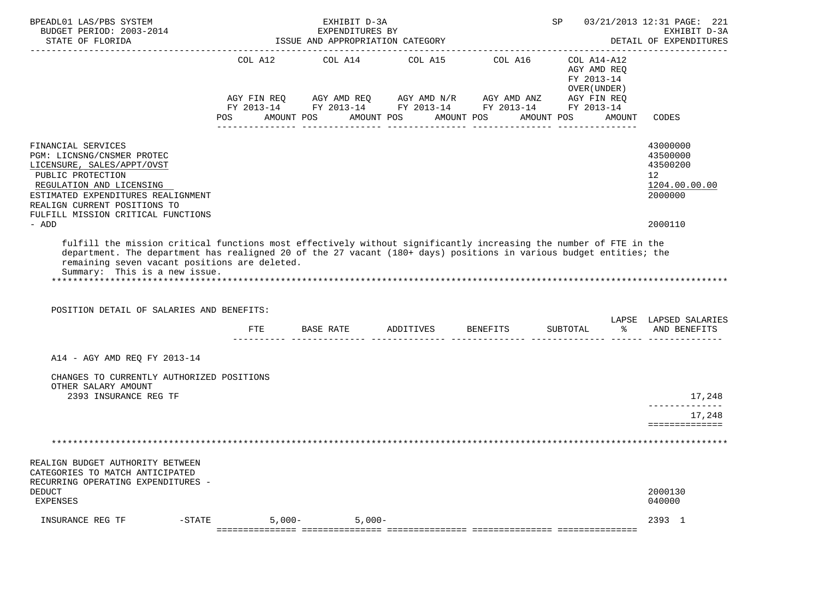| BPEADL01 LAS/PBS SYSTEM<br>BUDGET PERIOD: 2003-2014<br>STATE OF FLORIDA                                                                                                                                                                                                                                                                                                |                       | EXHIBIT D-3A<br>EXPENDITURES BY<br>ISSUE AND APPROPRIATION CATEGORY |                       |                                                                                                                                          | SP and the set of the set of the set of the set of the set of the set of the set of the set of the set of the set of the set of the set of the set of the set of the set of the set of the set of the set of the set of the se | 03/21/2013 12:31 PAGE: 221<br>EXHIBIT D-3A<br>DETAIL OF EXPENDITURES                       |
|------------------------------------------------------------------------------------------------------------------------------------------------------------------------------------------------------------------------------------------------------------------------------------------------------------------------------------------------------------------------|-----------------------|---------------------------------------------------------------------|-----------------------|------------------------------------------------------------------------------------------------------------------------------------------|--------------------------------------------------------------------------------------------------------------------------------------------------------------------------------------------------------------------------------|--------------------------------------------------------------------------------------------|
|                                                                                                                                                                                                                                                                                                                                                                        | COL A12<br><b>POS</b> | COL A14<br>AMOUNT POS                                               | AMOUNT POS AMOUNT POS | COL A15 COL A16<br>AGY FIN REQ AGY AMD REQ AGY AMD N/R AGY AMD ANZ AGY FIN REQ<br>FY 2013-14 FY 2013-14 FY 2013-14 FY 2013-14 FY 2013-14 | COL A14-A12<br>AGY AMD REQ<br>FY 2013-14<br>OVER (UNDER)<br>AMOUNT POS<br>AMOUNT                                                                                                                                               | <b>CODES</b>                                                                               |
| FINANCIAL SERVICES<br>PGM: LICNSNG/CNSMER PROTEC<br>LICENSURE, SALES/APPT/OVST<br>PUBLIC PROTECTION<br>REGULATION AND LICENSING<br>ESTIMATED EXPENDITURES REALIGNMENT<br>REALIGN CURRENT POSITIONS TO<br>FULFILL MISSION CRITICAL FUNCTIONS<br>- ADD                                                                                                                   |                       |                                                                     |                       |                                                                                                                                          |                                                                                                                                                                                                                                | 43000000<br>43500000<br>43500200<br>12 <sup>°</sup><br>1204.00.00.00<br>2000000<br>2000110 |
| fulfill the mission critical functions most effectively without significantly increasing the number of FTE in the<br>department. The department has realigned 20 of the 27 vacant (180+ days) positions in various budget entities; the<br>remaining seven vacant positions are deleted.<br>Summary: This is a new issue.<br>POSITION DETAIL OF SALARIES AND BENEFITS: |                       |                                                                     |                       |                                                                                                                                          | ိ<br>SUBTOTAL                                                                                                                                                                                                                  | LAPSE LAPSED SALARIES<br>AND BENEFITS                                                      |
| A14 - AGY AMD REQ FY 2013-14<br>CHANGES TO CURRENTLY AUTHORIZED POSITIONS                                                                                                                                                                                                                                                                                              |                       |                                                                     |                       |                                                                                                                                          |                                                                                                                                                                                                                                |                                                                                            |
| OTHER SALARY AMOUNT<br>2393 INSURANCE REG TF                                                                                                                                                                                                                                                                                                                           |                       |                                                                     |                       |                                                                                                                                          |                                                                                                                                                                                                                                | 17,248<br>______________<br>17,248<br>==============                                       |
|                                                                                                                                                                                                                                                                                                                                                                        |                       |                                                                     |                       |                                                                                                                                          |                                                                                                                                                                                                                                |                                                                                            |
| REALIGN BUDGET AUTHORITY BETWEEN<br>CATEGORIES TO MATCH ANTICIPATED<br>RECURRING OPERATING EXPENDITURES -<br><b>DEDUCT</b><br><b>EXPENSES</b>                                                                                                                                                                                                                          |                       |                                                                     |                       |                                                                                                                                          |                                                                                                                                                                                                                                | 2000130<br>040000                                                                          |
| INSURANCE REG TF<br>$-$ STATE                                                                                                                                                                                                                                                                                                                                          | $5,000-$              | $5,000-$                                                            |                       |                                                                                                                                          |                                                                                                                                                                                                                                | 2393 1                                                                                     |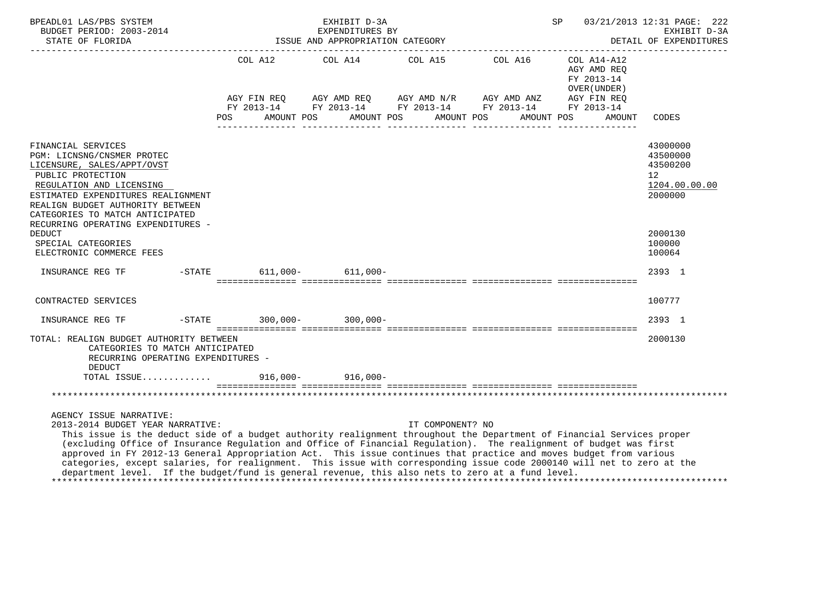| BPEADL01 LAS/PBS SYSTEM<br><u>--------------------</u> -                                                                                                                                                                                                                                                                                                                                                                                                                                                                                                                                                                                                        | EXHIBIT D-3A                                                                                               |  |  |                                                        |  |                  |  |            |                                           | 03/21/2013 12:31 PAGE: 222<br>SP<br>EXHIBIT D-3A<br>DETAIL OF EXPENDITURES |                                                                                 |  |  |
|-----------------------------------------------------------------------------------------------------------------------------------------------------------------------------------------------------------------------------------------------------------------------------------------------------------------------------------------------------------------------------------------------------------------------------------------------------------------------------------------------------------------------------------------------------------------------------------------------------------------------------------------------------------------|------------------------------------------------------------------------------------------------------------|--|--|--------------------------------------------------------|--|------------------|--|------------|-------------------------------------------|----------------------------------------------------------------------------|---------------------------------------------------------------------------------|--|--|
|                                                                                                                                                                                                                                                                                                                                                                                                                                                                                                                                                                                                                                                                 | COL A12 COL A14 COL A15 COL A16 COL A14-A12<br>AGY FIN REQ AGY AMD REQ AGY AMD N/R AGY AMD ANZ AGY FIN REQ |  |  |                                                        |  |                  |  |            | AGY AMD REQ<br>FY 2013-14<br>OVER (UNDER) |                                                                            |                                                                                 |  |  |
|                                                                                                                                                                                                                                                                                                                                                                                                                                                                                                                                                                                                                                                                 |                                                                                                            |  |  | FY 2013-14 FY 2013-14 FY 2013-14 FY 2013-14 FY 2013-14 |  |                  |  |            |                                           |                                                                            |                                                                                 |  |  |
|                                                                                                                                                                                                                                                                                                                                                                                                                                                                                                                                                                                                                                                                 | POS                                                                                                        |  |  | AMOUNT POS AMOUNT POS AMOUNT POS                       |  |                  |  | AMOUNT POS |                                           | AMOUNT                                                                     | CODES                                                                           |  |  |
| FINANCIAL SERVICES<br>PGM: LICNSNG/CNSMER PROTEC<br>LICENSURE, SALES/APPT/OVST<br>PUBLIC PROTECTION<br>REGULATION AND LICENSING<br>ESTIMATED EXPENDITURES REALIGNMENT<br>REALIGN BUDGET AUTHORITY BETWEEN<br>CATEGORIES TO MATCH ANTICIPATED<br>RECURRING OPERATING EXPENDITURES -                                                                                                                                                                                                                                                                                                                                                                              |                                                                                                            |  |  |                                                        |  |                  |  |            |                                           |                                                                            | 43000000<br>43500000<br>43500200<br>12 <sup>°</sup><br>1204.00.00.00<br>2000000 |  |  |
| <b>DEDUCT</b><br>SPECIAL CATEGORIES<br>ELECTRONIC COMMERCE FEES                                                                                                                                                                                                                                                                                                                                                                                                                                                                                                                                                                                                 |                                                                                                            |  |  |                                                        |  |                  |  |            |                                           |                                                                            | 2000130<br>100000<br>100064                                                     |  |  |
|                                                                                                                                                                                                                                                                                                                                                                                                                                                                                                                                                                                                                                                                 |                                                                                                            |  |  |                                                        |  |                  |  |            |                                           |                                                                            | 2393 1                                                                          |  |  |
| CONTRACTED SERVICES                                                                                                                                                                                                                                                                                                                                                                                                                                                                                                                                                                                                                                             |                                                                                                            |  |  |                                                        |  |                  |  |            |                                           |                                                                            | 100777                                                                          |  |  |
|                                                                                                                                                                                                                                                                                                                                                                                                                                                                                                                                                                                                                                                                 |                                                                                                            |  |  |                                                        |  |                  |  |            |                                           |                                                                            | 2393 1                                                                          |  |  |
| TOTAL: REALIGN BUDGET AUTHORITY BETWEEN<br>CATEGORIES TO MATCH ANTICIPATED<br>RECURRING OPERATING EXPENDITURES -<br><b>DEDUCT</b>                                                                                                                                                                                                                                                                                                                                                                                                                                                                                                                               |                                                                                                            |  |  |                                                        |  |                  |  |            |                                           |                                                                            | 2000130                                                                         |  |  |
| TOTAL ISSUE 916,000-916,000-                                                                                                                                                                                                                                                                                                                                                                                                                                                                                                                                                                                                                                    |                                                                                                            |  |  |                                                        |  |                  |  |            |                                           |                                                                            |                                                                                 |  |  |
|                                                                                                                                                                                                                                                                                                                                                                                                                                                                                                                                                                                                                                                                 |                                                                                                            |  |  |                                                        |  |                  |  |            |                                           |                                                                            |                                                                                 |  |  |
| AGENCY ISSUE NARRATIVE:<br>2013-2014 BUDGET YEAR NARRATIVE:<br>This issue is the deduct side of a budget authority realignment throughout the Department of Financial Services proper<br>(excluding Office of Insurance Regulation and Office of Financial Regulation). The realignment of budget was first<br>approved in FY 2012-13 General Appropriation Act. This issue continues that practice and moves budget from various<br>categories, except salaries, for realignment. This issue with corresponding issue code 2000140 will net to zero at the<br>department level. If the budget/fund is general revenue, this also nets to zero at a fund level. |                                                                                                            |  |  |                                                        |  | IT COMPONENT? NO |  |            |                                           |                                                                            |                                                                                 |  |  |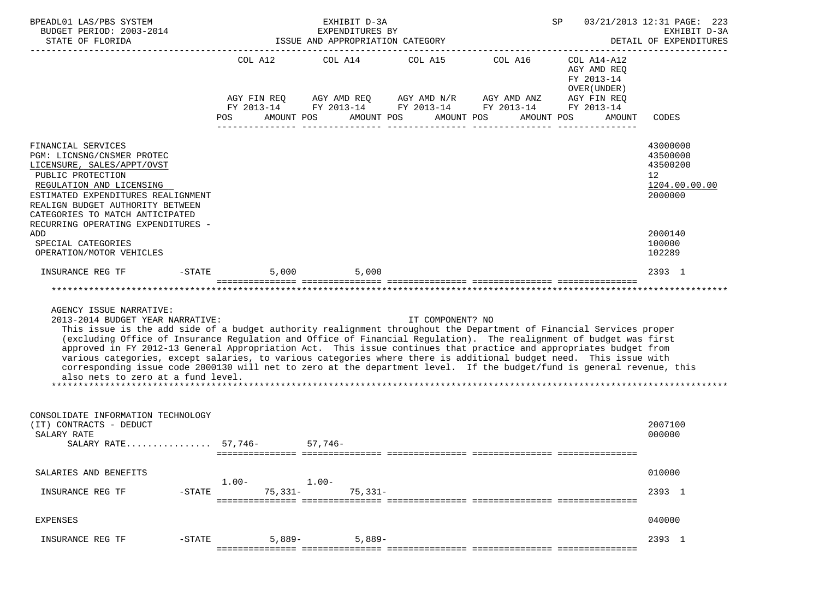|                                                                                                                                                                                                                                                                                                                                                                                                        |                                         | EXHIBIT D-3A<br>EXPENDITURES BY<br>ISSUE AND APPROPRIATION CATEGORY                                                                            | 03/21/2013 12:31 PAGE: 223<br>SP<br>EXHIBIT D-3A<br>DETAIL OF EXPENDITURES |            |                                                                                    |                                                                    |
|--------------------------------------------------------------------------------------------------------------------------------------------------------------------------------------------------------------------------------------------------------------------------------------------------------------------------------------------------------------------------------------------------------|-----------------------------------------|------------------------------------------------------------------------------------------------------------------------------------------------|----------------------------------------------------------------------------|------------|------------------------------------------------------------------------------------|--------------------------------------------------------------------|
|                                                                                                                                                                                                                                                                                                                                                                                                        | AGY FIN REQ<br>AMOUNT POS<br><b>POS</b> | COL A12 COL A14 COL A15 COL A16<br>AGY AMD REQ AGY AMD N/R AGY AMD ANZ<br>FY 2013-14 FY 2013-14 FY 2013-14 FY 2013-14 FY 2013-14<br>AMOUNT POS | AMOUNT POS                                                                 | AMOUNT POS | COL A14-A12<br>AGY AMD REQ<br>FY 2013-14<br>OVER (UNDER )<br>AGY FIN REQ<br>AMOUNT | CODES                                                              |
| FINANCIAL SERVICES<br>PGM: LICNSNG/CNSMER PROTEC<br>LICENSURE, SALES/APPT/OVST<br>PUBLIC PROTECTION<br>REGULATION AND LICENSING<br>ESTIMATED EXPENDITURES REALIGNMENT<br>REALIGN BUDGET AUTHORITY BETWEEN<br>CATEGORIES TO MATCH ANTICIPATED<br>RECURRING OPERATING EXPENDITURES -                                                                                                                     |                                         |                                                                                                                                                |                                                                            |            |                                                                                    | 43000000<br>43500000<br>43500200<br>12<br>1204.00.00.00<br>2000000 |
| ADD<br>SPECIAL CATEGORIES<br>OPERATION/MOTOR VEHICLES                                                                                                                                                                                                                                                                                                                                                  |                                         |                                                                                                                                                |                                                                            |            |                                                                                    | 2000140<br>100000<br>102289                                        |
| $-STATE$<br>INSURANCE REG TF                                                                                                                                                                                                                                                                                                                                                                           |                                         | 5,000 5,000                                                                                                                                    |                                                                            |            |                                                                                    | 2393 1                                                             |
| AGENCY ISSUE NARRATIVE:<br>2013-2014 BUDGET YEAR NARRATIVE:<br>This issue is the add side of a budget authority realignment throughout the Department of Financial Services proper<br>(excluding Office of Insurance Regulation and Office of Financial Regulation). The realignment of budget was first                                                                                               |                                         |                                                                                                                                                | IT COMPONENT? NO                                                           |            |                                                                                    |                                                                    |
| approved in FY 2012-13 General Appropriation Act. This issue continues that practice and appropriates budget from<br>various categories, except salaries, to various categories where there is additional budget need. This issue with<br>corresponding issue code 2000130 will net to zero at the department level. If the budget/fund is general revenue, this<br>also nets to zero at a fund level. |                                         |                                                                                                                                                |                                                                            |            |                                                                                    |                                                                    |
| CONSOLIDATE INFORMATION TECHNOLOGY<br>(IT) CONTRACTS - DEDUCT<br>SALARY RATE<br>SALARY RATE 57,746- 57,746-                                                                                                                                                                                                                                                                                            |                                         |                                                                                                                                                |                                                                            |            |                                                                                    | 2007100<br>000000                                                  |
| SALARIES AND BENEFITS                                                                                                                                                                                                                                                                                                                                                                                  |                                         |                                                                                                                                                |                                                                            |            |                                                                                    | 010000                                                             |
| $-STATE$<br>INSURANCE REG TF                                                                                                                                                                                                                                                                                                                                                                           | $1.00 -$<br>$75,331-$                   | $1.00 -$<br>$75,331-$                                                                                                                          |                                                                            |            |                                                                                    | 2393 1                                                             |
| EXPENSES                                                                                                                                                                                                                                                                                                                                                                                               |                                         |                                                                                                                                                |                                                                            |            |                                                                                    | 040000                                                             |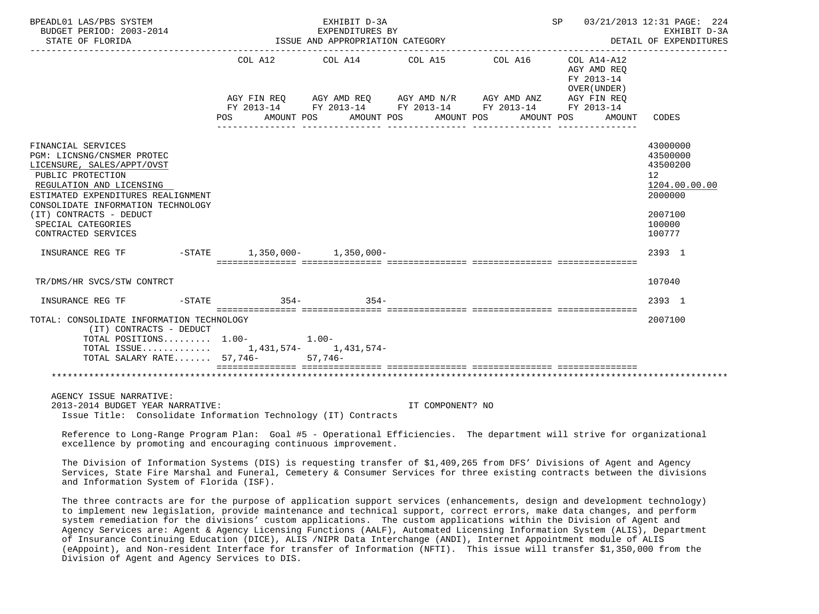| BPEADL01 LAS/PBS SYSTEM<br>BUDGET PERIOD: 2003-2014<br>STATE OF FLORIDA                                                                                                                                                                                                             |                                                                                          | EXHIBIT D-3A<br>EXPENDITURES BY<br>ISSUE AND APPROPRIATION CATEGORY |                       |                                                                                                                      | SP 03/21/2013 12:31 PAGE: 224<br>EXHIBIT D-3A<br>DETAIL OF EXPENDITURES |                                                                                                                           |  |  |
|-------------------------------------------------------------------------------------------------------------------------------------------------------------------------------------------------------------------------------------------------------------------------------------|------------------------------------------------------------------------------------------|---------------------------------------------------------------------|-----------------------|----------------------------------------------------------------------------------------------------------------------|-------------------------------------------------------------------------|---------------------------------------------------------------------------------------------------------------------------|--|--|
|                                                                                                                                                                                                                                                                                     |                                                                                          | COL A12 COL A14 COL A15                                             |                       | COL A16<br>AGY FIN REQ AGY AMD REQ AGY AMD N/R AGY AMD ANZ<br>FY 2013-14 FY 2013-14 FY 2013-14 FY 2013-14 FY 2013-14 | COL A14-A12<br>AGY AMD REO<br>FY 2013-14<br>OVER (UNDER)<br>AGY FIN REO |                                                                                                                           |  |  |
|                                                                                                                                                                                                                                                                                     | POS FOR<br>AMOUNT POS                                                                    |                                                                     | AMOUNT POS AMOUNT POS | AMOUNT POS                                                                                                           | AMOUNT CODES                                                            |                                                                                                                           |  |  |
| FINANCIAL SERVICES<br>PGM: LICNSNG/CNSMER PROTEC<br>LICENSURE, SALES/APPT/OVST<br>PUBLIC PROTECTION<br>REGULATION AND LICENSING<br>ESTIMATED EXPENDITURES REALIGNMENT<br>CONSOLIDATE INFORMATION TECHNOLOGY<br>(IT) CONTRACTS - DEDUCT<br>SPECIAL CATEGORIES<br>CONTRACTED SERVICES |                                                                                          |                                                                     |                       |                                                                                                                      |                                                                         | 43000000<br>43500000<br>43500200<br>12 <sup>12</sup><br>1204.00.00.00<br>2000000<br>2007100<br>100000<br>100777<br>2393 1 |  |  |
|                                                                                                                                                                                                                                                                                     |                                                                                          |                                                                     |                       |                                                                                                                      |                                                                         |                                                                                                                           |  |  |
| TR/DMS/HR SVCS/STW CONTRCT                                                                                                                                                                                                                                                          |                                                                                          |                                                                     |                       |                                                                                                                      |                                                                         | 107040                                                                                                                    |  |  |
| $-STATE$<br>INSURANCE REG TF                                                                                                                                                                                                                                                        | $354-$                                                                                   | $354 -$                                                             |                       |                                                                                                                      |                                                                         | 2393 1                                                                                                                    |  |  |
| TOTAL: CONSOLIDATE INFORMATION TECHNOLOGY<br>(IT) CONTRACTS - DEDUCT<br>TOTAL POSITIONS $1.00-1.00-$<br>TOTAL ISSUE 1,431,574- 1,431,574-<br>TOTAL SALARY RATE 57,746- 57,746-                                                                                                      |                                                                                          |                                                                     |                       |                                                                                                                      |                                                                         | 2007100                                                                                                                   |  |  |
| AGENCY ISSUE NARRATIVE:<br>2013-2014 BUDGET YEAR NARRATIVE:                                                                                                                                                                                                                         | $\mathbf{r}$ , and $\mathbf{r}$ , and $\mathbf{r}$ , and $\mathbf{r}$ , and $\mathbf{r}$ |                                                                     | IT COMPONENT? NO      |                                                                                                                      |                                                                         |                                                                                                                           |  |  |

Issue Title: Consolidate Information Technology (IT) Contracts

 Reference to Long-Range Program Plan: Goal #5 - Operational Efficiencies. The department will strive for organizational excellence by promoting and encouraging continuous improvement.

 The Division of Information Systems (DIS) is requesting transfer of \$1,409,265 from DFS' Divisions of Agent and Agency Services, State Fire Marshal and Funeral, Cemetery & Consumer Services for three existing contracts between the divisions and Information System of Florida (ISF).

 The three contracts are for the purpose of application support services (enhancements, design and development technology) to implement new legislation, provide maintenance and technical support, correct errors, make data changes, and perform system remediation for the divisions' custom applications. The custom applications within the Division of Agent and Agency Services are: Agent & Agency Licensing Functions (AALF), Automated Licensing Information System (ALIS), Department of Insurance Continuing Education (DICE), ALIS /NIPR Data Interchange (ANDI), Internet Appointment module of ALIS (eAppoint), and Non-resident Interface for transfer of Information (NFTI). This issue will transfer \$1,350,000 from the Division of Agent and Agency Services to DIS.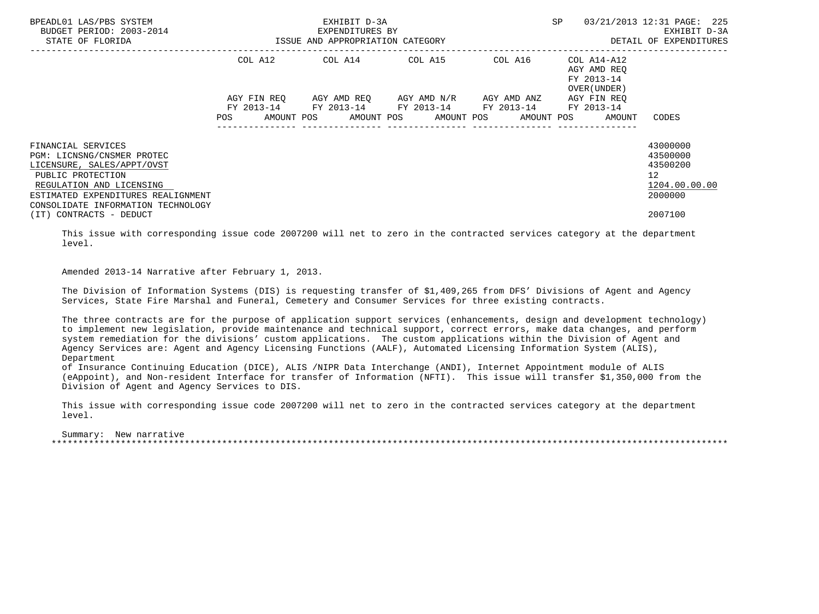| BPEADL01 LAS/PBS SYSTEM<br>BUDGET PERIOD: 2003-2014<br>STATE OF FLORIDA             | EXHIBIT D-3A<br>EXPENDITURES BY<br>ISSUE AND APPROPRIATION CATEGORY |             |  |                                               |  |  |         | SP<br>03/21/2013 12:31 PAGE: 225<br>EXHIBIT D-3A<br>DETAIL OF EXPENDITURES |  |                                                          |                                               |
|-------------------------------------------------------------------------------------|---------------------------------------------------------------------|-------------|--|-----------------------------------------------|--|--|---------|----------------------------------------------------------------------------|--|----------------------------------------------------------|-----------------------------------------------|
|                                                                                     | COL A12                                                             |             |  | COL A14 COL A15                               |  |  | COL A16 |                                                                            |  | COL A14-A12<br>AGY AMD REO<br>FY 2013-14<br>OVER (UNDER) |                                               |
|                                                                                     |                                                                     | AGY FIN REO |  | AGY AMD REQ      AGY AMD N/R      AGY AMD ANZ |  |  |         | FY 2013-14 FY 2013-14 FY 2013-14 FY 2013-14 FY 2013-14                     |  | AGY FIN REO                                              |                                               |
|                                                                                     | <b>POS</b>                                                          |             |  |                                               |  |  |         |                                                                            |  | AMOUNT POS AMOUNT POS AMOUNT POS AMOUNT POS AMOUNT       | CODES                                         |
| FINANCIAL SERVICES<br>PGM: LICNSNG/CNSMER PROTEC<br>LICENSURE, SALES/APPT/OVST      |                                                                     |             |  |                                               |  |  |         |                                                                            |  |                                                          | 43000000<br>43500000<br>43500200              |
| PUBLIC PROTECTION<br>REGULATION AND LICENSING<br>ESTIMATED EXPENDITURES REALIGNMENT |                                                                     |             |  |                                               |  |  |         |                                                                            |  |                                                          | $12 \overline{ }$<br>1204.00.00.00<br>2000000 |
| CONSOLIDATE INFORMATION TECHNOLOGY<br>(IT) CONTRACTS - DEDUCT                       |                                                                     |             |  |                                               |  |  |         |                                                                            |  |                                                          | 2007100                                       |

 This issue with corresponding issue code 2007200 will net to zero in the contracted services category at the department level.

Amended 2013-14 Narrative after February 1, 2013.

 The Division of Information Systems (DIS) is requesting transfer of \$1,409,265 from DFS' Divisions of Agent and Agency Services, State Fire Marshal and Funeral, Cemetery and Consumer Services for three existing contracts.

 The three contracts are for the purpose of application support services (enhancements, design and development technology) to implement new legislation, provide maintenance and technical support, correct errors, make data changes, and perform system remediation for the divisions' custom applications. The custom applications within the Division of Agent and Agency Services are: Agent and Agency Licensing Functions (AALF), Automated Licensing Information System (ALIS), Department

 of Insurance Continuing Education (DICE), ALIS /NIPR Data Interchange (ANDI), Internet Appointment module of ALIS (eAppoint), and Non-resident Interface for transfer of Information (NFTI). This issue will transfer \$1,350,000 from the Division of Agent and Agency Services to DIS.

 This issue with corresponding issue code 2007200 will net to zero in the contracted services category at the department level.

 Summary: New narrative \*\*\*\*\*\*\*\*\*\*\*\*\*\*\*\*\*\*\*\*\*\*\*\*\*\*\*\*\*\*\*\*\*\*\*\*\*\*\*\*\*\*\*\*\*\*\*\*\*\*\*\*\*\*\*\*\*\*\*\*\*\*\*\*\*\*\*\*\*\*\*\*\*\*\*\*\*\*\*\*\*\*\*\*\*\*\*\*\*\*\*\*\*\*\*\*\*\*\*\*\*\*\*\*\*\*\*\*\*\*\*\*\*\*\*\*\*\*\*\*\*\*\*\*\*\*\*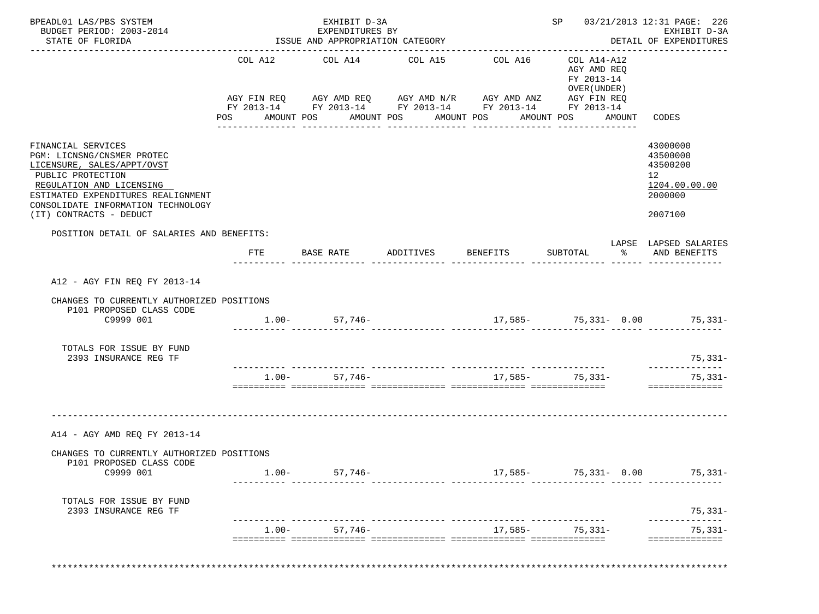| BPEADL01 LAS/PBS SYSTEM<br>BUDGET PERIOD: 2003-2014<br>STATE OF FLORIDA                                                                                                                                                                |          | EXHIBIT D-3A<br>EXPENDITURES BY                                                                                                                        |                                  | SP 03/21/2013 12:31 PAGE: 226<br>EXHIBIT D-3A<br>DETAIL OF EXPENDITURES |                                                                                           |        |                                                                               |
|----------------------------------------------------------------------------------------------------------------------------------------------------------------------------------------------------------------------------------------|----------|--------------------------------------------------------------------------------------------------------------------------------------------------------|----------------------------------|-------------------------------------------------------------------------|-------------------------------------------------------------------------------------------|--------|-------------------------------------------------------------------------------|
|                                                                                                                                                                                                                                        |          | ISSUE AND APPROPRIATION CATEGORY                                                                                                                       |                                  |                                                                         |                                                                                           |        |                                                                               |
|                                                                                                                                                                                                                                        | POS DO   | COL A12 COL A14<br>AGY FIN REQ AGY AMD REQ AGY AMD N/R AGY AMD ANZ AGY FIN REQ<br>FY 2013-14 FY 2013-14 FY 2013-14 FY 2013-14 FY 2013-14<br>AMOUNT POS | COL A15<br>AMOUNT POS AMOUNT POS | COL A16<br>_______________                                              | COL A14-A12<br>AGY AMD REQ<br>FY 2013-14<br>OVER (UNDER)<br>AMOUNT POS<br>--------------- | AMOUNT | CODES                                                                         |
| FINANCIAL SERVICES<br>PGM: LICNSNG/CNSMER PROTEC<br>LICENSURE, SALES/APPT/OVST<br>PUBLIC PROTECTION<br>REGULATION AND LICENSING<br>ESTIMATED EXPENDITURES REALIGNMENT<br>CONSOLIDATE INFORMATION TECHNOLOGY<br>(IT) CONTRACTS - DEDUCT |          |                                                                                                                                                        |                                  |                                                                         |                                                                                           |        | 43000000<br>43500000<br>43500200<br>12<br>1204.00.00.00<br>2000000<br>2007100 |
| POSITION DETAIL OF SALARIES AND BENEFITS:                                                                                                                                                                                              |          |                                                                                                                                                        |                                  |                                                                         |                                                                                           |        |                                                                               |
|                                                                                                                                                                                                                                        | FTE      | BASE RATE                                                                                                                                              | ADDITIVES                        | <b>BENEFITS</b>                                                         | SUBTOTAL                                                                                  |        | LAPSE LAPSED SALARIES<br>% AND BENEFITS                                       |
| A12 - AGY FIN REQ FY 2013-14                                                                                                                                                                                                           |          |                                                                                                                                                        |                                  |                                                                         |                                                                                           |        |                                                                               |
| CHANGES TO CURRENTLY AUTHORIZED POSITIONS<br>P101 PROPOSED CLASS CODE<br>C9999 001                                                                                                                                                     |          | $1.00 - 57,746 -$                                                                                                                                      |                                  | $17,585-75,331-0.00$ 75,331-                                            |                                                                                           |        |                                                                               |
| TOTALS FOR ISSUE BY FUND<br>2393 INSURANCE REG TF                                                                                                                                                                                      |          |                                                                                                                                                        |                                  |                                                                         |                                                                                           |        | $75,331-$                                                                     |
|                                                                                                                                                                                                                                        |          | $1.00 - 57,746 -$                                                                                                                                      |                                  |                                                                         | 17,585- 75,331-                                                                           |        | ______________<br>$75,331-$<br>==============                                 |
| A14 - AGY AMD REO FY 2013-14                                                                                                                                                                                                           |          |                                                                                                                                                        |                                  |                                                                         |                                                                                           |        |                                                                               |
| CHANGES TO CURRENTLY AUTHORIZED POSITIONS<br>P101 PROPOSED CLASS CODE                                                                                                                                                                  |          |                                                                                                                                                        |                                  |                                                                         |                                                                                           |        |                                                                               |
| C9999 001                                                                                                                                                                                                                              | $1.00 -$ | 57,746–                                                                                                                                                |                                  |                                                                         | $17,585-75,331-0.00$                                                                      |        | $75,331-$                                                                     |
| TOTALS FOR ISSUE BY FUND                                                                                                                                                                                                               |          |                                                                                                                                                        |                                  |                                                                         |                                                                                           |        | 75,331-                                                                       |
| 2393 INSURANCE REG TF                                                                                                                                                                                                                  |          |                                                                                                                                                        |                                  |                                                                         |                                                                                           |        |                                                                               |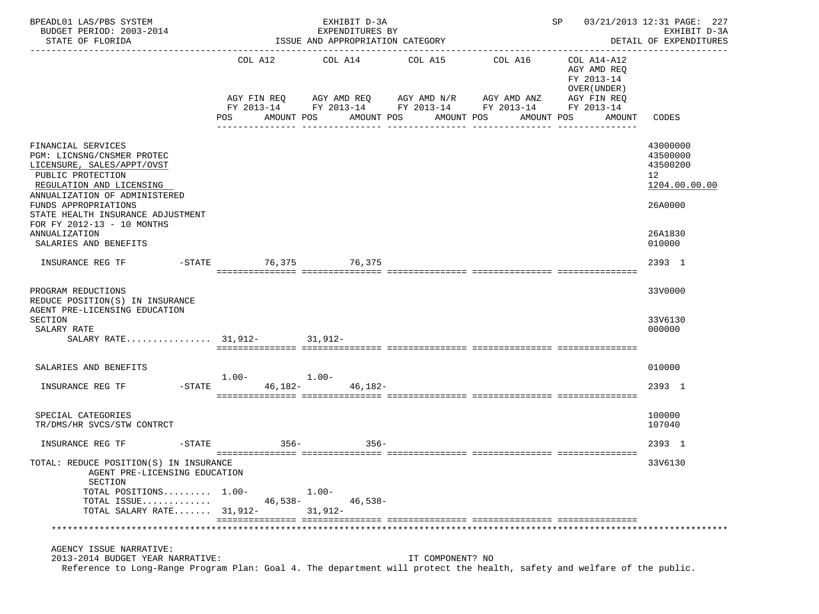| BPEADL01 LAS/PBS SYSTEM<br>BUDGET PERIOD: 2003-2014                                                                                                                                                                                                                                                   |                        | EXHIBIT D-3A<br>EXPENDITURES BY    | 03/21/2013 12:31 PAGE: 227<br>SP<br>EXHIBIT D-3A                |                                                                                                                                             |                                                                                                     |                                                                                         |
|-------------------------------------------------------------------------------------------------------------------------------------------------------------------------------------------------------------------------------------------------------------------------------------------------------|------------------------|------------------------------------|-----------------------------------------------------------------|---------------------------------------------------------------------------------------------------------------------------------------------|-----------------------------------------------------------------------------------------------------|-----------------------------------------------------------------------------------------|
| STATE OF FLORIDA                                                                                                                                                                                                                                                                                      |                        | ISSUE AND APPROPRIATION CATEGORY   |                                                                 |                                                                                                                                             |                                                                                                     | DETAIL OF EXPENDITURES<br>--------------                                                |
|                                                                                                                                                                                                                                                                                                       | POS                    | COL A12 COL A14<br>AMOUNT POS      | COL A15 COL A16<br>AMOUNT POS<br>AMOUNT POS<br>---------------- | AGY FIN REQ AGY AMD REQ AGY AMD N/R AGY AMD ANZ AGY FIN REQ<br>FY 2013-14 FY 2013-14 FY 2013-14 FY 2013-14<br>AMOUNT POS<br>--------------- | COL A14-A12<br>AGY AMD REO<br>FY 2013-14<br>OVER (UNDER)<br>FY 2013-14<br>AMOUNT<br>--------------- | CODES                                                                                   |
| FINANCIAL SERVICES<br>PGM: LICNSNG/CNSMER PROTEC<br>LICENSURE, SALES/APPT/OVST<br>PUBLIC PROTECTION<br>REGULATION AND LICENSING<br>ANNUALIZATION OF ADMINISTERED<br>FUNDS APPROPRIATIONS<br>STATE HEALTH INSURANCE ADJUSTMENT<br>FOR FY 2012-13 - 10 MONTHS<br>ANNUALIZATION<br>SALARIES AND BENEFITS |                        |                                    |                                                                 |                                                                                                                                             |                                                                                                     | 43000000<br>43500000<br>43500200<br>12<br>1204.00.00.00<br>26A0000<br>26A1830<br>010000 |
| INSURANCE REG TF                                                                                                                                                                                                                                                                                      | -STATE 76,375 76,375   |                                    |                                                                 |                                                                                                                                             |                                                                                                     | 2393 1                                                                                  |
| PROGRAM REDUCTIONS<br>REDUCE POSITION(S) IN INSURANCE<br>AGENT PRE-LICENSING EDUCATION<br><b>SECTION</b><br>SALARY RATE<br>SALARY RATE 31,912- 31,912-                                                                                                                                                |                        |                                    |                                                                 |                                                                                                                                             |                                                                                                     | 33V0000<br>33V6130<br>000000                                                            |
| SALARIES AND BENEFITS                                                                                                                                                                                                                                                                                 | $1.00 - 1.00 -$        |                                    |                                                                 |                                                                                                                                             |                                                                                                     | 010000                                                                                  |
| INSURANCE REG TF                                                                                                                                                                                                                                                                                      | -STATE 46,182- 46,182- |                                    |                                                                 |                                                                                                                                             |                                                                                                     | 2393 1                                                                                  |
| SPECIAL CATEGORIES<br>TR/DMS/HR SVCS/STW CONTRCT                                                                                                                                                                                                                                                      |                        |                                    |                                                                 |                                                                                                                                             |                                                                                                     | 100000<br>107040                                                                        |
| INSURANCE REG TF<br>$-$ STATE                                                                                                                                                                                                                                                                         | $356-$                 | $356-$                             |                                                                 |                                                                                                                                             |                                                                                                     | 2393 1                                                                                  |
| TOTAL: REDUCE POSITION(S) IN INSURANCE<br>AGENT PRE-LICENSING EDUCATION<br>SECTION<br>TOTAL POSITIONS 1.00-<br>TOTAL ISSUE<br>TOTAL SALARY RATE 31,912-                                                                                                                                               | 46,538-                | $1.00 -$<br>$46,538-$<br>$31,912-$ |                                                                 |                                                                                                                                             |                                                                                                     | 33V6130                                                                                 |
|                                                                                                                                                                                                                                                                                                       |                        |                                    |                                                                 |                                                                                                                                             |                                                                                                     |                                                                                         |
| AGENCY ISSUE NARRATIVE:<br>2013-2014 BUDGET YEAR NARRATIVE:<br>Reference to Long-Range Program Plan: Goal 4. The department will protect the health, safety and welfare of the public.                                                                                                                |                        |                                    | IT COMPONENT? NO                                                |                                                                                                                                             |                                                                                                     |                                                                                         |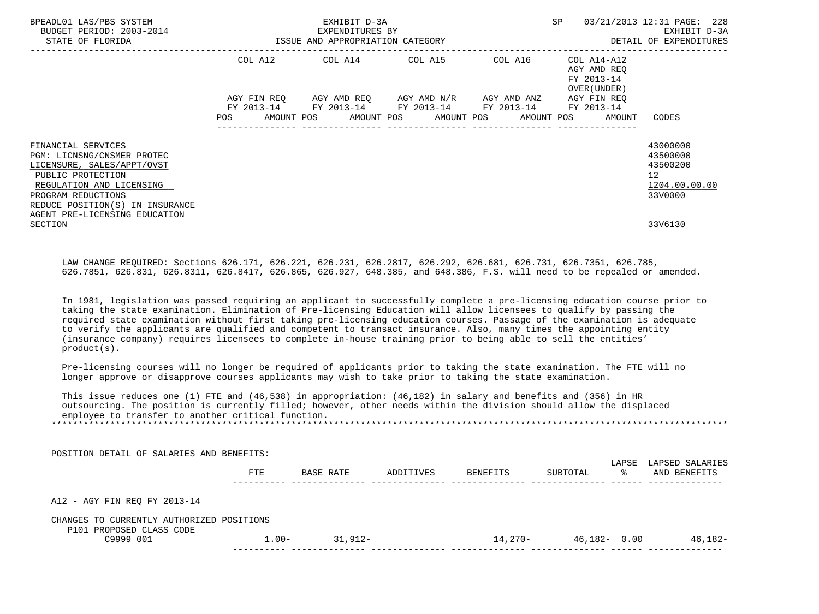| BPEADL01 LAS/PBS SYSTEM<br>BUDGET PERIOD: 2003-2014<br>STATE OF FLORIDA                                                                                                                                                   | EXHIBIT D-3A<br>EXPENDITURES BY<br>ISSUE AND APPROPRIATION CATEGORY                                                                                                  |  | SP                                                        | 03/21/2013 12:31 PAGE: 228<br>EXHIBIT D-3A<br>DETAIL OF EXPENDITURES            |
|---------------------------------------------------------------------------------------------------------------------------------------------------------------------------------------------------------------------------|----------------------------------------------------------------------------------------------------------------------------------------------------------------------|--|-----------------------------------------------------------|---------------------------------------------------------------------------------|
|                                                                                                                                                                                                                           | COL A12 COL A14 COL A15 COL A16                                                                                                                                      |  | COL A14-A12<br>AGY AMD REO<br>FY 2013-14<br>OVER (UNDER ) |                                                                                 |
|                                                                                                                                                                                                                           | AGY FIN REQ AGY AMD REQ AGY AMD N/R AGY AMD ANZ AGY FIN REQ<br>FY 2013-14 FY 2013-14 FY 2013-14 FY 2013-14<br>POS AMOUNT POS AMOUNT POS AMOUNT POS AMOUNT POS AMOUNT |  | FY 2013-14                                                | CODES                                                                           |
| FINANCIAL SERVICES<br>PGM: LICNSNG/CNSMER PROTEC<br>LICENSURE, SALES/APPT/OVST<br>PUBLIC PROTECTION<br>REGULATION AND LICENSING<br>PROGRAM REDUCTIONS<br>REDUCE POSITION(S) IN INSURANCE<br>AGENT PRE-LICENSING EDUCATION |                                                                                                                                                                      |  |                                                           | 43000000<br>43500000<br>43500200<br>12 <sup>°</sup><br>1204.00.00.00<br>33V0000 |
| SECTION                                                                                                                                                                                                                   |                                                                                                                                                                      |  |                                                           | 33V6130                                                                         |

 LAW CHANGE REQUIRED: Sections 626.171, 626.221, 626.231, 626.2817, 626.292, 626.681, 626.731, 626.7351, 626.785, 626.7851, 626.831, 626.8311, 626.8417, 626.865, 626.927, 648.385, and 648.386, F.S. will need to be repealed or amended.

 In 1981, legislation was passed requiring an applicant to successfully complete a pre-licensing education course prior to taking the state examination. Elimination of Pre-licensing Education will allow licensees to qualify by passing the required state examination without first taking pre-licensing education courses. Passage of the examination is adequate to verify the applicants are qualified and competent to transact insurance. Also, many times the appointing entity (insurance company) requires licensees to complete in-house training prior to being able to sell the entities' product(s).

 Pre-licensing courses will no longer be required of applicants prior to taking the state examination. The FTE will no longer approve or disapprove courses applicants may wish to take prior to taking the state examination.

 This issue reduces one (1) FTE and (46,538) in appropriation: (46,182) in salary and benefits and (356) in HR outsourcing. The position is currently filled; however, other needs within the division should allow the displaced employee to transfer to another critical function.

\*\*\*\*\*\*\*\*\*\*\*\*\*\*\*\*\*\*\*\*\*\*\*\*\*\*\*\*\*\*\*\*\*\*\*\*\*\*\*\*\*\*\*\*\*\*\*\*\*\*\*\*\*\*\*\*\*\*\*\*\*\*\*\*\*\*\*\*\*\*\*\*\*\*\*\*\*\*\*\*\*\*\*\*\*\*\*\*\*\*\*\*\*\*\*\*\*\*\*\*\*\*\*\*\*\*\*\*\*\*\*\*\*\*\*\*\*\*\*\*\*\*\*\*\*\*\*

|                      | LAPSE        | LAPSED SALARIES |
|----------------------|--------------|-----------------|
| BENEFITS<br>SUBTOTAL | °≈           | AND BENEFITS    |
|                      |              |                 |
|                      |              |                 |
| 14,270-              | 46,182- 0.00 | 46,182-         |
|                      |              |                 |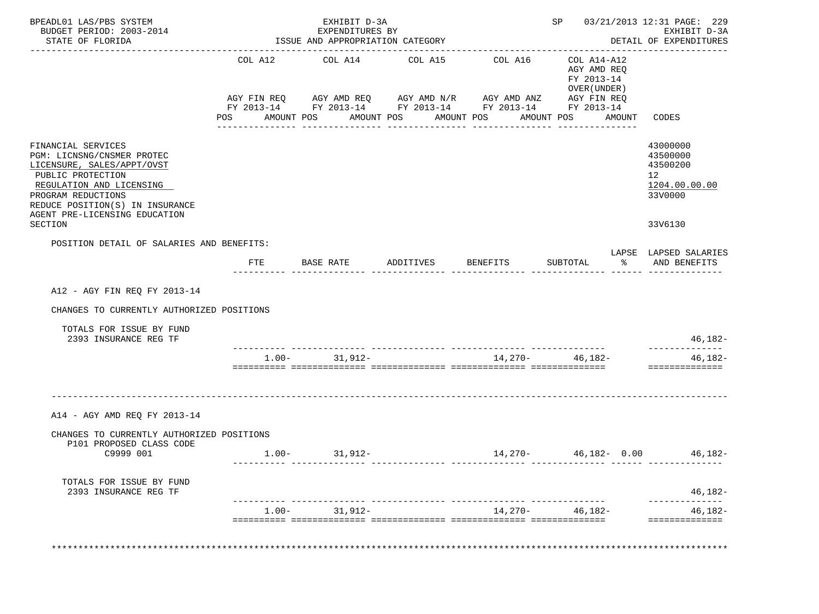| FINANCIAL SERVICES<br>PGM: LICNSNG/CNSMER PROTEC<br>LICENSURE, SALES/APPT/OVST<br>PUBLIC PROTECTION<br>REGULATION AND LICENSING<br>PROGRAM REDUCTIONS<br>REDUCE POSITION(S) IN INSURANCE<br>AGENT PRE-LICENSING EDUCATION<br><b>SECTION</b><br>POSITION DETAIL OF SALARIES AND BENEFITS: | POS | COL A12 COL A14<br>AGY FIN REQ AGY AMD REQ AGY AMD N/R AGY AMD ANZ AGY FIN REQ<br>FY 2013-14 FY 2013-14 FY 2013-14 FY 2013-14 FY 2013-14<br>AMOUNT POS<br>_______________ | COL A15<br>AMOUNT POS<br>_______________ | COL A16<br>AMOUNT POS<br>---------------- | COL A14-A12<br>AGY AMD REQ<br>FY 2013-14<br>OVER (UNDER)<br>AMOUNT POS<br>AMOUNT<br>________________ | CODES                                                                           |
|------------------------------------------------------------------------------------------------------------------------------------------------------------------------------------------------------------------------------------------------------------------------------------------|-----|---------------------------------------------------------------------------------------------------------------------------------------------------------------------------|------------------------------------------|-------------------------------------------|------------------------------------------------------------------------------------------------------|---------------------------------------------------------------------------------|
|                                                                                                                                                                                                                                                                                          |     |                                                                                                                                                                           |                                          |                                           |                                                                                                      |                                                                                 |
|                                                                                                                                                                                                                                                                                          |     |                                                                                                                                                                           |                                          |                                           |                                                                                                      |                                                                                 |
|                                                                                                                                                                                                                                                                                          |     |                                                                                                                                                                           |                                          |                                           |                                                                                                      |                                                                                 |
|                                                                                                                                                                                                                                                                                          |     |                                                                                                                                                                           |                                          |                                           |                                                                                                      | 43000000<br>43500000<br>43500200<br>12 <sup>°</sup><br>1204.00.00.00<br>33V0000 |
|                                                                                                                                                                                                                                                                                          |     |                                                                                                                                                                           |                                          |                                           |                                                                                                      | 33V6130                                                                         |
|                                                                                                                                                                                                                                                                                          |     |                                                                                                                                                                           |                                          |                                           |                                                                                                      |                                                                                 |
|                                                                                                                                                                                                                                                                                          |     | FTE BASE RATE                                                                                                                                                             | ADDITIVES BENEFITS                       |                                           | $\frac{1}{6}$<br>SUBTOTAL                                                                            | LAPSE LAPSED SALARIES<br>AND BENEFITS                                           |
| A12 - AGY FIN REO FY 2013-14<br>CHANGES TO CURRENTLY AUTHORIZED POSITIONS                                                                                                                                                                                                                |     |                                                                                                                                                                           |                                          |                                           |                                                                                                      |                                                                                 |
| TOTALS FOR ISSUE BY FUND<br>2393 INSURANCE REG TF                                                                                                                                                                                                                                        |     |                                                                                                                                                                           |                                          |                                           |                                                                                                      | 46,182-                                                                         |
|                                                                                                                                                                                                                                                                                          |     | $1.00 - 31,912 -$                                                                                                                                                         |                                          |                                           | 14,270- 46,182-                                                                                      | --------------<br>46,182-<br>==============                                     |
| A14 - AGY AMD REQ FY 2013-14                                                                                                                                                                                                                                                             |     |                                                                                                                                                                           |                                          |                                           |                                                                                                      |                                                                                 |
| CHANGES TO CURRENTLY AUTHORIZED POSITIONS<br>P101 PROPOSED CLASS CODE<br>C9999 001                                                                                                                                                                                                       |     | $1.00 - 31,912 -$                                                                                                                                                         |                                          |                                           | $14,270 46,182-$ 0.00 $46,182-$                                                                      |                                                                                 |
|                                                                                                                                                                                                                                                                                          |     |                                                                                                                                                                           |                                          |                                           |                                                                                                      |                                                                                 |
| TOTALS FOR ISSUE BY FUND<br>2393 INSURANCE REG TF                                                                                                                                                                                                                                        |     |                                                                                                                                                                           |                                          |                                           |                                                                                                      | $46,182-$                                                                       |
|                                                                                                                                                                                                                                                                                          |     | $1.00 - 31,912 -$                                                                                                                                                         |                                          |                                           |                                                                                                      |                                                                                 |
|                                                                                                                                                                                                                                                                                          |     |                                                                                                                                                                           |                                          |                                           | 14,270- 46,182-                                                                                      | 46,182-<br>==============                                                       |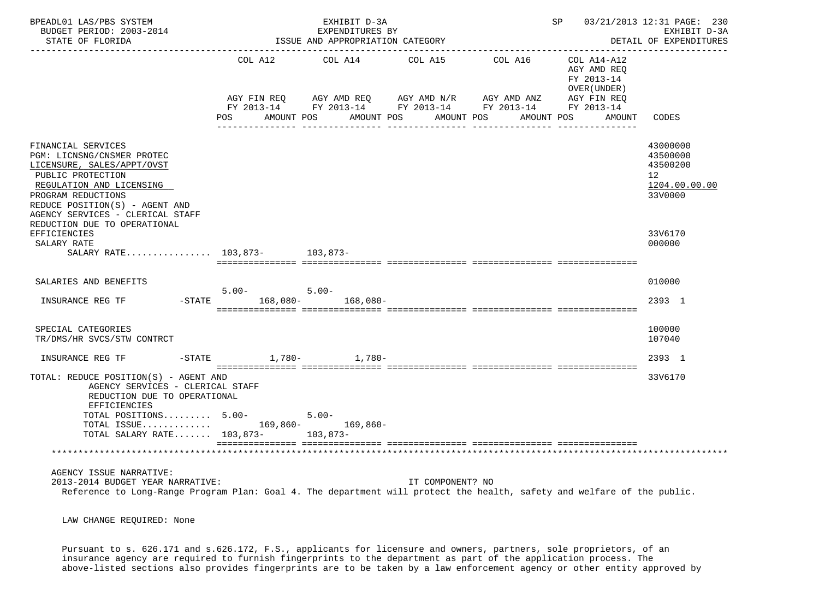| BPEADL01 LAS/PBS SYSTEM<br>BUDGET PERIOD: 2003-2014<br>STATE OF FLORIDA                                                                                                                                                                                     |                                      | EXHIBIT D-3A<br>EXPENDITURES BY<br>ISSUE AND APPROPRIATION CATEGORY |                                                                                                                                                    | SP 03/21/2013 12:31 PAGE: 230<br>EXHIBIT D-3A<br>DETAIL OF EXPENDITURES         |
|-------------------------------------------------------------------------------------------------------------------------------------------------------------------------------------------------------------------------------------------------------------|--------------------------------------|---------------------------------------------------------------------|----------------------------------------------------------------------------------------------------------------------------------------------------|---------------------------------------------------------------------------------|
|                                                                                                                                                                                                                                                             |                                      |                                                                     | COL A12 COL A14 COL A15 COL A16 COL A14-A12<br>AGY AMD REO<br>FY 2013-14<br>OVER (UNDER )                                                          |                                                                                 |
|                                                                                                                                                                                                                                                             | POS                                  | AMOUNT POS<br>AMOUNT POS                                            | AGY FIN REQ AGY AMD REQ AGY AMD N/R AGY AMD ANZ AGY FIN REQ FY 2013-14 FY 2013-14 FY 2013-14<br>AMOUNT POS<br>AMOUNT POS<br>AMOUNT<br>____________ | CODES                                                                           |
| FINANCIAL SERVICES<br>PGM: LICNSNG/CNSMER PROTEC<br>LICENSURE, SALES/APPT/OVST<br>PUBLIC PROTECTION<br>REGULATION AND LICENSING<br>PROGRAM REDUCTIONS<br>REDUCE POSITION(S) - AGENT AND<br>AGENCY SERVICES - CLERICAL STAFF<br>REDUCTION DUE TO OPERATIONAL |                                      |                                                                     |                                                                                                                                                    | 43000000<br>43500000<br>43500200<br>12 <sup>°</sup><br>1204.00.00.00<br>33V0000 |
| EFFICIENCIES<br>SALARY RATE<br>SALARY RATE 103,873- 103,873-                                                                                                                                                                                                |                                      |                                                                     |                                                                                                                                                    | 33V6170<br>000000                                                               |
| SALARIES AND BENEFITS                                                                                                                                                                                                                                       |                                      |                                                                     |                                                                                                                                                    | 010000                                                                          |
| INSURANCE REG TF                                                                                                                                                                                                                                            | $5.00 -$<br>-STATE 168,080- 168,080- | $5.00 -$                                                            |                                                                                                                                                    | 2393 1                                                                          |
| SPECIAL CATEGORIES<br>TR/DMS/HR SVCS/STW CONTRCT                                                                                                                                                                                                            |                                      |                                                                     |                                                                                                                                                    | 100000<br>107040                                                                |
| INSURANCE REG TF                                                                                                                                                                                                                                            | -STATE 1,780- 1,780-                 |                                                                     |                                                                                                                                                    | 2393 1                                                                          |
| TOTAL: REDUCE POSITION(S) - AGENT AND<br>AGENCY SERVICES - CLERICAL STAFF<br>REDUCTION DUE TO OPERATIONAL<br><b>EFFICIENCIES</b>                                                                                                                            |                                      |                                                                     |                                                                                                                                                    | 33V6170                                                                         |
| TOTAL POSITIONS 5.00-                                                                                                                                                                                                                                       |                                      | $5.00 -$                                                            |                                                                                                                                                    |                                                                                 |
| TOTAL ISSUE 169,860- 169,860-<br>TOTAL SALARY RATE 103,873- 103,873-                                                                                                                                                                                        |                                      |                                                                     |                                                                                                                                                    |                                                                                 |
|                                                                                                                                                                                                                                                             |                                      |                                                                     |                                                                                                                                                    |                                                                                 |
| AGENCY ISSUE NARRATIVE:<br>2013-2014 BUDGET YEAR NARRATIVE:                                                                                                                                                                                                 |                                      | IT COMPONENT? NO                                                    | Reference to Long-Range Program Plan: Goal 4. The department will protect the health, safety and welfare of the public.                            |                                                                                 |

LAW CHANGE REQUIRED: None

 Pursuant to s. 626.171 and s.626.172, F.S., applicants for licensure and owners, partners, sole proprietors, of an insurance agency are required to furnish fingerprints to the department as part of the application process. The above-listed sections also provides fingerprints are to be taken by a law enforcement agency or other entity approved by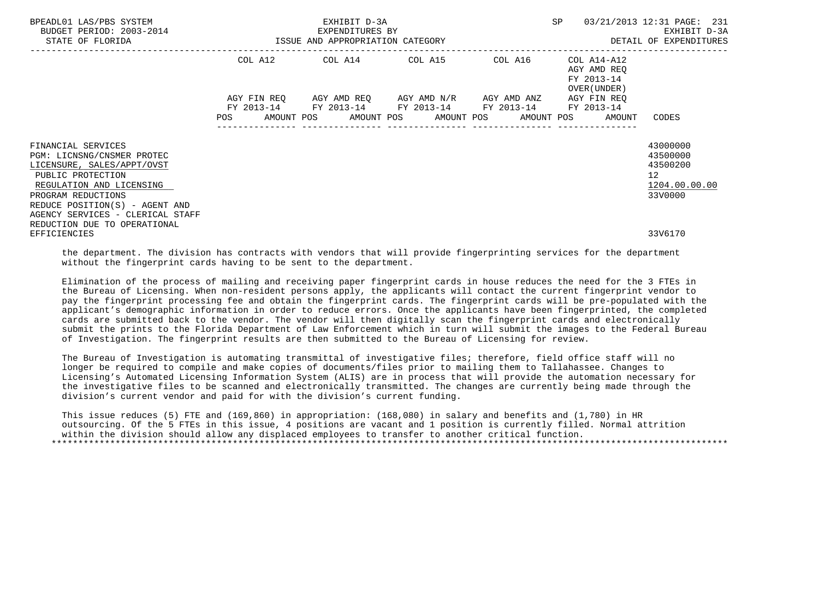| BPEADL01 LAS/PBS SYSTEM<br>BUDGET PERIOD: 2003-2014<br>STATE OF FLORIDA                               |         | EXHIBIT D-3A<br>EXPENDITURES BY<br>ISSUE AND APPROPRIATION CATEGORY |                                                                                                                                    |                 | <b>SP</b>                                                | 03/21/2013 12:31 PAGE: 231<br>EXHIBIT D-3A<br>DETAIL OF EXPENDITURES |
|-------------------------------------------------------------------------------------------------------|---------|---------------------------------------------------------------------|------------------------------------------------------------------------------------------------------------------------------------|-----------------|----------------------------------------------------------|----------------------------------------------------------------------|
|                                                                                                       | COL A12 |                                                                     | COL A14 COL A15 COL A16                                                                                                            | --------------- | COL A14-A12<br>AGY AMD REO<br>FY 2013-14<br>OVER (UNDER) |                                                                      |
|                                                                                                       | POS     |                                                                     | AGY FIN REO AGY AMD REO AGY AMD N/R AGY AMD ANZ<br>FY 2013-14 FY 2013-14 FY 2013-14 FY 2013-14<br>AMOUNT POS AMOUNT POS AMOUNT POS |                 | AGY FIN REO<br>FY 2013-14<br>AMOUNT POS<br>AMOUNT        | CODES                                                                |
| FINANCIAL SERVICES<br>PGM: LICNSNG/CNSMER PROTEC<br>LICENSURE, SALES/APPT/OVST                        |         |                                                                     |                                                                                                                                    |                 |                                                          | 43000000<br>43500000<br>43500200                                     |
| PUBLIC PROTECTION<br>REGULATION AND LICENSING<br>PROGRAM REDUCTIONS<br>REDUCE POSITION(S) - AGENT AND |         |                                                                     |                                                                                                                                    |                 |                                                          | 12 <sup>°</sup><br>1204.00.00.00<br>33V0000                          |
| AGENCY SERVICES - CLERICAL STAFF<br>REDUCTION DUE TO OPERATIONAL<br>EFFICIENCIES                      |         |                                                                     |                                                                                                                                    |                 |                                                          | 33V6170                                                              |

 the department. The division has contracts with vendors that will provide fingerprinting services for the department without the fingerprint cards having to be sent to the department.

 Elimination of the process of mailing and receiving paper fingerprint cards in house reduces the need for the 3 FTEs in the Bureau of Licensing. When non-resident persons apply, the applicants will contact the current fingerprint vendor to pay the fingerprint processing fee and obtain the fingerprint cards. The fingerprint cards will be pre-populated with the applicant's demographic information in order to reduce errors. Once the applicants have been fingerprinted, the completed cards are submitted back to the vendor. The vendor will then digitally scan the fingerprint cards and electronically submit the prints to the Florida Department of Law Enforcement which in turn will submit the images to the Federal Bureau of Investigation. The fingerprint results are then submitted to the Bureau of Licensing for review.

 The Bureau of Investigation is automating transmittal of investigative files; therefore, field office staff will no longer be required to compile and make copies of documents/files prior to mailing them to Tallahassee. Changes to Licensing's Automated Licensing Information System (ALIS) are in process that will provide the automation necessary for the investigative files to be scanned and electronically transmitted. The changes are currently being made through the division's current vendor and paid for with the division's current funding.

 This issue reduces (5) FTE and (169,860) in appropriation: (168,080) in salary and benefits and (1,780) in HR outsourcing. Of the 5 FTEs in this issue, 4 positions are vacant and 1 position is currently filled. Normal attrition within the division should allow any displaced employees to transfer to another critical function. \*\*\*\*\*\*\*\*\*\*\*\*\*\*\*\*\*\*\*\*\*\*\*\*\*\*\*\*\*\*\*\*\*\*\*\*\*\*\*\*\*\*\*\*\*\*\*\*\*\*\*\*\*\*\*\*\*\*\*\*\*\*\*\*\*\*\*\*\*\*\*\*\*\*\*\*\*\*\*\*\*\*\*\*\*\*\*\*\*\*\*\*\*\*\*\*\*\*\*\*\*\*\*\*\*\*\*\*\*\*\*\*\*\*\*\*\*\*\*\*\*\*\*\*\*\*\*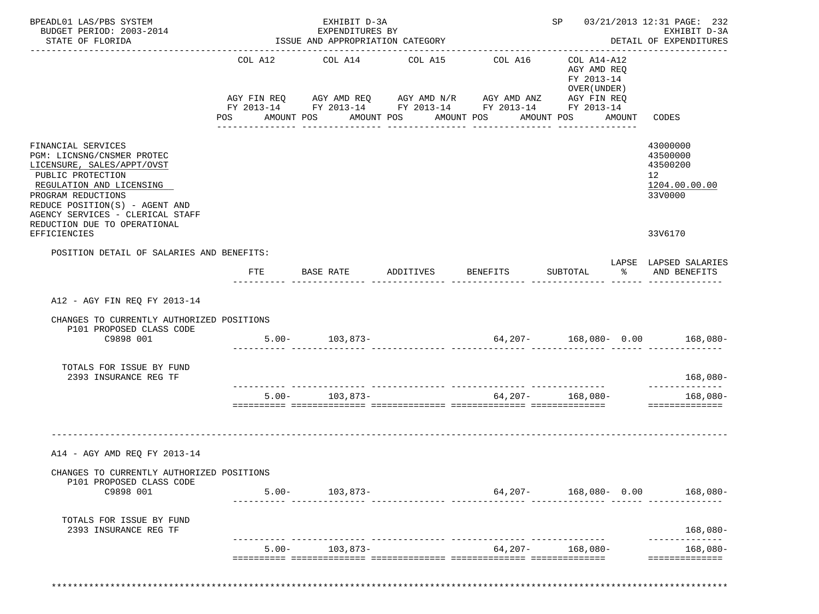| BPEADL01 LAS/PBS SYSTEM<br>BUDGET PERIOD: 2003-2014                                                                                                                                                                                                         |                       | EXHIBIT D-3A<br>EXPENDITURES BY  |                       |                                                                                                                                  |                                                                        |                  | SP 03/21/2013 12:31 PAGE: 232<br>EXHIBIT D-3A                      |
|-------------------------------------------------------------------------------------------------------------------------------------------------------------------------------------------------------------------------------------------------------------|-----------------------|----------------------------------|-----------------------|----------------------------------------------------------------------------------------------------------------------------------|------------------------------------------------------------------------|------------------|--------------------------------------------------------------------|
| STATE OF FLORIDA                                                                                                                                                                                                                                            |                       | ISSUE AND APPROPRIATION CATEGORY |                       |                                                                                                                                  |                                                                        |                  | DETAIL OF EXPENDITURES                                             |
|                                                                                                                                                                                                                                                             | COL A12<br><b>POS</b> | COL A14 COL A15<br>AMOUNT POS    | AMOUNT POS AMOUNT POS | COL A16<br>AGY FIN REQ AGY AMD REQ AGY AMD N/R AGY AMD ANZ AGY FIN REQ<br>FY 2013-14 FY 2013-14 FY 2013-14 FY 2013-14 FY 2013-14 | COL A14-A12<br>AGY AMD REQ<br>FY 2013-14<br>OVER (UNDER)<br>AMOUNT POS | AMOUNT           | CODES                                                              |
| FINANCIAL SERVICES<br>PGM: LICNSNG/CNSMER PROTEC<br>LICENSURE, SALES/APPT/OVST<br>PUBLIC PROTECTION<br>REGULATION AND LICENSING<br>PROGRAM REDUCTIONS<br>REDUCE POSITION(S) - AGENT AND<br>AGENCY SERVICES - CLERICAL STAFF<br>REDUCTION DUE TO OPERATIONAL |                       |                                  |                       |                                                                                                                                  |                                                                        |                  | 43000000<br>43500000<br>43500200<br>12<br>1204.00.00.00<br>33V0000 |
| EFFICIENCIES                                                                                                                                                                                                                                                |                       |                                  |                       |                                                                                                                                  |                                                                        |                  | 33V6170                                                            |
| POSITION DETAIL OF SALARIES AND BENEFITS:                                                                                                                                                                                                                   | FTE                   |                                  |                       |                                                                                                                                  |                                                                        | $\sim$ $\approx$ | LAPSE LAPSED SALARIES<br>AND BENEFITS                              |
|                                                                                                                                                                                                                                                             |                       |                                  |                       |                                                                                                                                  |                                                                        |                  |                                                                    |
| A12 - AGY FIN REQ FY 2013-14                                                                                                                                                                                                                                |                       |                                  |                       |                                                                                                                                  |                                                                        |                  |                                                                    |
| CHANGES TO CURRENTLY AUTHORIZED POSITIONS<br>P101 PROPOSED CLASS CODE<br>C9898 001                                                                                                                                                                          |                       | $5.00 - 103,873 -$               |                       | $64,207 - 168,080 - 0.00$ 168,080-                                                                                               |                                                                        |                  |                                                                    |
| TOTALS FOR ISSUE BY FUND<br>2393 INSURANCE REG TF                                                                                                                                                                                                           |                       |                                  |                       |                                                                                                                                  |                                                                        |                  | $168,080-$                                                         |
|                                                                                                                                                                                                                                                             |                       | $5.00 - 103,873 -$               |                       |                                                                                                                                  | $64,207 - 168,080 -$                                                   |                  | --------------<br>$168,080-$<br>==============                     |
| A14 - AGY AMD REQ FY 2013-14                                                                                                                                                                                                                                |                       |                                  |                       |                                                                                                                                  |                                                                        |                  |                                                                    |
| CHANGES TO CURRENTLY AUTHORIZED POSITIONS                                                                                                                                                                                                                   |                       |                                  |                       |                                                                                                                                  |                                                                        |                  |                                                                    |
| P101 PROPOSED CLASS CODE<br>C9898 001                                                                                                                                                                                                                       |                       | $5.00 - 103,873 -$               |                       |                                                                                                                                  |                                                                        |                  | $64,207 - 168,080 - 0.00$ 168,080-                                 |
| TOTALS FOR ISSUE BY FUND<br>2393 INSURANCE REG TF                                                                                                                                                                                                           |                       |                                  |                       |                                                                                                                                  |                                                                        |                  | $168,080-$                                                         |
|                                                                                                                                                                                                                                                             |                       | $5.00 - 103,873 -$               |                       |                                                                                                                                  | $64,207 - 168,080 -$                                                   |                  | 168,080-                                                           |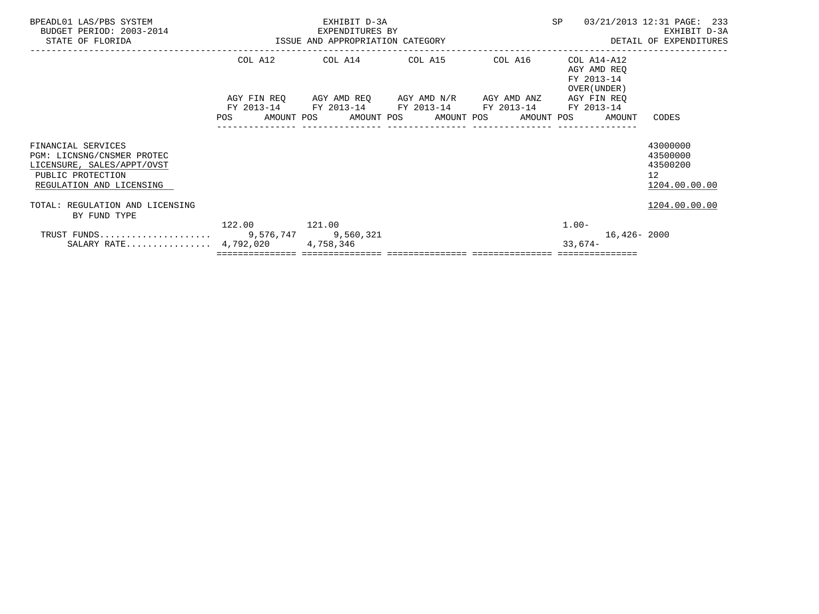| BPEADL01 LAS/PBS SYSTEM<br>BUDGET PERIOD: 2003-2014<br>STATE OF FLORIDA                                                         | ISSUE AND APPROPRIATION CATEGORY | EXHIBIT D-3A<br>EXPENDITURES BY |                                                                                                                                                         | <b>SP</b>                                                | 03/21/2013 12:31 PAGE: 233<br>EXHIBIT D-3A<br>DETAIL OF EXPENDITURES |  |  |
|---------------------------------------------------------------------------------------------------------------------------------|----------------------------------|---------------------------------|---------------------------------------------------------------------------------------------------------------------------------------------------------|----------------------------------------------------------|----------------------------------------------------------------------|--|--|
|                                                                                                                                 |                                  |                                 | COL A12 COL A14 COL A15 COL A16                                                                                                                         | COL A14-A12<br>AGY AMD REO<br>FY 2013-14<br>OVER (UNDER) |                                                                      |  |  |
|                                                                                                                                 | POS                              |                                 | AGY FIN REQ AGY AMD REQ AGY AMD N/R AGY AMD ANZ AGY FIN REQ<br>FY 2013-14 FY 2013-14 FY 2013-14 FY 2013-14<br>AMOUNT POS      AMOUNT POS     AMOUNT POS | FY 2013-14<br>AMOUNT POS<br>AMOUNT                       | CODES                                                                |  |  |
| FINANCIAL SERVICES<br>PGM: LICNSNG/CNSMER PROTEC<br>LICENSURE, SALES/APPT/OVST<br>PUBLIC PROTECTION<br>REGULATION AND LICENSING |                                  |                                 |                                                                                                                                                         |                                                          | 43000000<br>43500000<br>43500200<br>12 <sup>°</sup><br>1204.00.00.00 |  |  |
| TOTAL: REGULATION AND LICENSING<br>BY FUND TYPE                                                                                 |                                  |                                 |                                                                                                                                                         |                                                          | 1204.00.00.00                                                        |  |  |
| SALARY RATE $4,792,020$                                                                                                         | 122.00 121.00                    | 4,758,346                       |                                                                                                                                                         | $1.00-$<br>$33,674-$                                     | $16,426 - 2000$                                                      |  |  |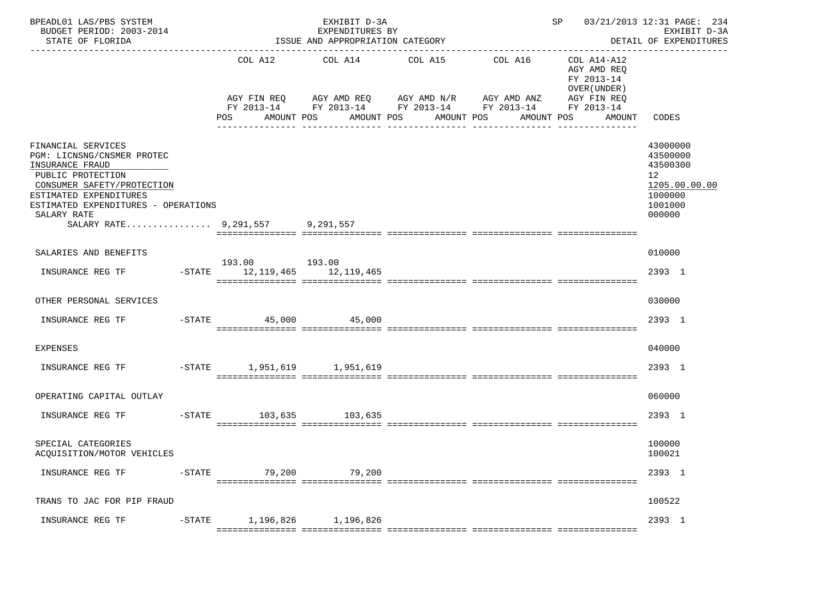| BPEADL01 LAS/PBS SYSTEM<br>BUDGET PERIOD: 2003-2014<br>STATE OF FLORIDA                                                                                                                                                         |                               | EXHIBIT D-3A<br>EXPENDITURES BY<br>ISSUE AND APPROPRIATION CATEGORY                                                                            |                       | ------------------------------ | SP 03/21/2013 12:31 PAGE: 234                                       | EXHIBIT D-3A<br>DETAIL OF EXPENDITURES                                                               |
|---------------------------------------------------------------------------------------------------------------------------------------------------------------------------------------------------------------------------------|-------------------------------|------------------------------------------------------------------------------------------------------------------------------------------------|-----------------------|--------------------------------|---------------------------------------------------------------------|------------------------------------------------------------------------------------------------------|
|                                                                                                                                                                                                                                 | COL A12<br>POS<br>AMOUNT POS  | COL A14<br>AGY FIN REQ AGY AMD REQ AGY AMD N/R AGY AMD ANZ AGY FIN REQ<br>FY 2013-14 FY 2013-14 FY 2013-14 FY 2013-14 FY 2013-14<br>AMOUNT POS | COL A15<br>AMOUNT POS | COL A16<br>AMOUNT POS          | COL A14-A12<br>AGY AMD REO<br>FY 2013-14<br>OVER (UNDER )<br>AMOUNT | CODES                                                                                                |
| FINANCIAL SERVICES<br>PGM: LICNSNG/CNSMER PROTEC<br>INSURANCE FRAUD<br>PUBLIC PROTECTION<br>CONSUMER SAFETY/PROTECTION<br>ESTIMATED EXPENDITURES<br>ESTIMATED EXPENDITURES - OPERATIONS<br>SALARY RATE<br>SALARY RATE 9,291,557 |                               | 9,291,557                                                                                                                                      |                       |                                |                                                                     | 43000000<br>43500000<br>43500300<br>12 <sup>°</sup><br>1205.00.00.00<br>1000000<br>1001000<br>000000 |
| SALARIES AND BENEFITS                                                                                                                                                                                                           | 193.00 193.00                 |                                                                                                                                                |                       |                                |                                                                     | 010000                                                                                               |
| INSURANCE REG TF                                                                                                                                                                                                                | -STATE 12,119,465 12,119,465  |                                                                                                                                                |                       |                                |                                                                     | 2393 1                                                                                               |
| OTHER PERSONAL SERVICES                                                                                                                                                                                                         |                               |                                                                                                                                                |                       |                                |                                                                     | 030000                                                                                               |
| INSURANCE REG TF                                                                                                                                                                                                                | $-$ STATE 45,000 45,000       |                                                                                                                                                |                       |                                |                                                                     | 2393 1                                                                                               |
| <b>EXPENSES</b>                                                                                                                                                                                                                 |                               |                                                                                                                                                |                       |                                |                                                                     | 040000                                                                                               |
| INSURANCE REG TF                                                                                                                                                                                                                | -STATE 1,951,619 1,951,619    |                                                                                                                                                |                       |                                |                                                                     | 2393 1                                                                                               |
| OPERATING CAPITAL OUTLAY                                                                                                                                                                                                        |                               |                                                                                                                                                |                       |                                |                                                                     | 060000                                                                                               |
| INSURANCE REG TF                                                                                                                                                                                                                | -STATE 103,635 103,635        |                                                                                                                                                |                       |                                |                                                                     | 2393 1                                                                                               |
| SPECIAL CATEGORIES<br>ACOUISITION/MOTOR VEHICLES                                                                                                                                                                                |                               |                                                                                                                                                |                       |                                |                                                                     | 100000<br>100021                                                                                     |
| INSURANCE REG TF                                                                                                                                                                                                                | -STATE 79,200 79,200          |                                                                                                                                                |                       |                                |                                                                     | 2393 1                                                                                               |
| TRANS TO JAC FOR PIP FRAUD                                                                                                                                                                                                      |                               |                                                                                                                                                |                       |                                |                                                                     | 100522                                                                                               |
| INSURANCE REG TF                                                                                                                                                                                                                | $-$ STATE 1,196,826 1,196,826 |                                                                                                                                                |                       |                                |                                                                     | 2393 1                                                                                               |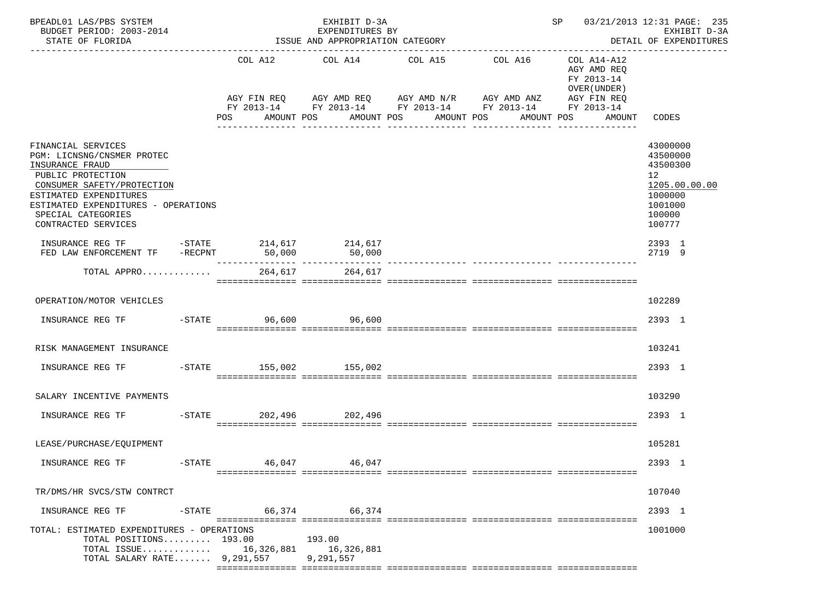| BPEADL01 LAS/PBS SYSTEM<br>BUDGET PERIOD: 2003-2014<br>STATE OF FLORIDA                                                                                                                                                              |           |            | EXHIBIT D-3A<br>EXPENDITURES BY<br>ISSUE AND APPROPRIATION CATEGORY |                                        |                                                                        | SP                                                       | 03/21/2013 12:31 PAGE: 235<br>EXHIBIT D-3A<br>DETAIL OF EXPENDITURES<br>------------------                     |
|--------------------------------------------------------------------------------------------------------------------------------------------------------------------------------------------------------------------------------------|-----------|------------|---------------------------------------------------------------------|----------------------------------------|------------------------------------------------------------------------|----------------------------------------------------------|----------------------------------------------------------------------------------------------------------------|
|                                                                                                                                                                                                                                      |           |            | COL A12 COL A14                                                     | COL A15                                | COL A16<br>AGY FIN REQ AGY AMD REQ AGY AMD N/R AGY AMD ANZ AGY FIN REQ | COL A14-A12<br>AGY AMD REQ<br>FY 2013-14<br>OVER (UNDER) |                                                                                                                |
|                                                                                                                                                                                                                                      |           | <b>POS</b> | AMOUNT POS                                                          | AMOUNT POS AMOUNT POS<br>------------- | FY 2013-14 FY 2013-14 FY 2013-14 FY 2013-14 FY 2013-14<br>AMOUNT POS   | AMOUNT                                                   | CODES                                                                                                          |
| FINANCIAL SERVICES<br>PGM: LICNSNG/CNSMER PROTEC<br>INSURANCE FRAUD<br>PUBLIC PROTECTION<br>CONSUMER SAFETY/PROTECTION<br>ESTIMATED EXPENDITURES<br>ESTIMATED EXPENDITURES - OPERATIONS<br>SPECIAL CATEGORIES<br>CONTRACTED SERVICES |           |            |                                                                     |                                        |                                                                        |                                                          | 43000000<br>43500000<br>43500300<br>12 <sup>°</sup><br>1205.00.00.00<br>1000000<br>1001000<br>100000<br>100777 |
| INSURANCE REG TF<br>FED LAW ENFORCEMENT TF                                                                                                                                                                                           |           | 50,000     | -STATE 214,617 214,617<br>NT TF -RECPNT 50,000 50,000<br>50,000     |                                        |                                                                        |                                                          | 2393 1<br>2719 9                                                                                               |
| TOTAL APPRO                                                                                                                                                                                                                          |           | 264,617    | 264,617                                                             |                                        |                                                                        |                                                          |                                                                                                                |
| OPERATION/MOTOR VEHICLES                                                                                                                                                                                                             |           |            |                                                                     |                                        |                                                                        |                                                          | 102289                                                                                                         |
| INSURANCE REG TF                                                                                                                                                                                                                     |           | $-STATE$   | 96,600 96,600                                                       |                                        |                                                                        |                                                          | 2393 1                                                                                                         |
| RISK MANAGEMENT INSURANCE                                                                                                                                                                                                            |           |            |                                                                     |                                        |                                                                        |                                                          | 103241                                                                                                         |
| INSURANCE REG TF                                                                                                                                                                                                                     |           |            | -STATE 155,002 155,002                                              |                                        |                                                                        |                                                          | 2393 1                                                                                                         |
| SALARY INCENTIVE PAYMENTS                                                                                                                                                                                                            |           |            |                                                                     |                                        |                                                                        |                                                          | 103290                                                                                                         |
| INSURANCE REG TF                                                                                                                                                                                                                     |           | $-STATE$   | 202,496 202,496                                                     |                                        |                                                                        |                                                          | 2393 1                                                                                                         |
| LEASE/PURCHASE/EOUIPMENT                                                                                                                                                                                                             |           |            |                                                                     |                                        |                                                                        |                                                          | 105281                                                                                                         |
| INSURANCE REG TF                                                                                                                                                                                                                     | $-STATE$  | 46,047     | 46,047                                                              |                                        |                                                                        |                                                          | 2393 1                                                                                                         |
| TR/DMS/HR SVCS/STW CONTRCT                                                                                                                                                                                                           |           |            |                                                                     |                                        |                                                                        |                                                          | 107040                                                                                                         |
| INSURANCE REG TF                                                                                                                                                                                                                     | $-$ STATE |            | 66,374 66,374                                                       |                                        |                                                                        |                                                          | 2393 1                                                                                                         |
| TOTAL: ESTIMATED EXPENDITURES - OPERATIONS<br>TOTAL POSITIONS 193.00<br>TOTAL ISSUE $16,326,881$<br>TOTAL SALARY RATE $9,291,557$                                                                                                    |           |            | 193.00<br>16,326,881<br>9,291,557                                   |                                        |                                                                        |                                                          | 1001000                                                                                                        |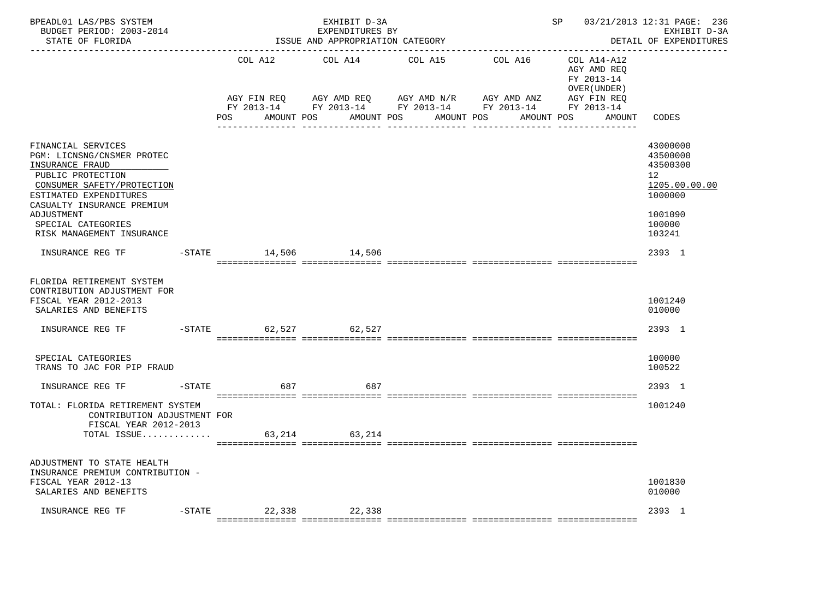| BPEADL01 LAS/PBS SYSTEM<br>BUDGET PERIOD: 2003-2014<br>STATE OF FLORIDA                                                                                                        |           |                                  | EXHIBIT D-3A<br>EXPENDITURES BY<br>ISSUE AND APPROPRIATION CATEGORY |                                                                                            |                        | SP                                                                                                    | 03/21/2013 12:31 PAGE: 236<br>EXHIBIT D-3A<br>DETAIL OF EXPENDITURES            |
|--------------------------------------------------------------------------------------------------------------------------------------------------------------------------------|-----------|----------------------------------|---------------------------------------------------------------------|--------------------------------------------------------------------------------------------|------------------------|-------------------------------------------------------------------------------------------------------|---------------------------------------------------------------------------------|
|                                                                                                                                                                                |           | COL A12<br>AGY FIN REO<br>POS DO | COL A14<br>AGY AMD REQ AGY AMD N/R<br>AMOUNT POS                    | COL A15<br>FY 2013-14 FY 2013-14 FY 2013-14 FY 2013-14 FY 2013-14<br>AMOUNT POS AMOUNT POS | COL A16<br>AGY AMD ANZ | COL A14-A12<br>AGY AMD REQ<br>FY 2013-14<br>OVER (UNDER)<br>AGY FIN REO<br>AMOUNT CODES<br>AMOUNT POS |                                                                                 |
|                                                                                                                                                                                |           |                                  |                                                                     |                                                                                            |                        |                                                                                                       |                                                                                 |
| FINANCIAL SERVICES<br>PGM: LICNSNG/CNSMER PROTEC<br>INSURANCE FRAUD<br>PUBLIC PROTECTION<br>CONSUMER SAFETY/PROTECTION<br>ESTIMATED EXPENDITURES<br>CASUALTY INSURANCE PREMIUM |           |                                  |                                                                     |                                                                                            |                        |                                                                                                       | 43000000<br>43500000<br>43500300<br>12 <sup>1</sup><br>1205.00.00.00<br>1000000 |
| ADJUSTMENT<br>SPECIAL CATEGORIES<br>RISK MANAGEMENT INSURANCE                                                                                                                  |           |                                  |                                                                     |                                                                                            |                        |                                                                                                       | 1001090<br>100000<br>103241                                                     |
|                                                                                                                                                                                |           |                                  |                                                                     |                                                                                            |                        |                                                                                                       | 2393 1                                                                          |
| FLORIDA RETIREMENT SYSTEM<br>CONTRIBUTION ADJUSTMENT FOR<br>FISCAL YEAR 2012-2013<br>SALARIES AND BENEFITS                                                                     |           |                                  |                                                                     |                                                                                            |                        |                                                                                                       | 1001240<br>010000                                                               |
| INSURANCE REG TF                                                                                                                                                               | $ STATE$  |                                  | 62,527 62,527                                                       |                                                                                            |                        |                                                                                                       | 2393 1                                                                          |
| SPECIAL CATEGORIES<br>TRANS TO JAC FOR PIP FRAUD                                                                                                                               |           |                                  |                                                                     |                                                                                            |                        |                                                                                                       | 100000<br>100522                                                                |
| INSURANCE REG TF                                                                                                                                                               | $-$ STATE |                                  | 687 — 100<br>687                                                    |                                                                                            |                        |                                                                                                       | 2393 1                                                                          |
| TOTAL: FLORIDA RETIREMENT SYSTEM<br>CONTRIBUTION ADJUSTMENT FOR<br>FISCAL YEAR 2012-2013<br>TOTAL ISSUE                                                                        |           |                                  | 63, 214 63, 214                                                     |                                                                                            |                        |                                                                                                       | 1001240                                                                         |
|                                                                                                                                                                                |           |                                  |                                                                     |                                                                                            |                        |                                                                                                       |                                                                                 |
| ADJUSTMENT TO STATE HEALTH<br>INSURANCE PREMIUM CONTRIBUTION -<br>FISCAL YEAR 2012-13<br>SALARIES AND BENEFITS                                                                 |           |                                  |                                                                     |                                                                                            |                        |                                                                                                       | 1001830<br>010000                                                               |
| INSURANCE REG TF                                                                                                                                                               |           | -STATE 22,338 22,338             |                                                                     |                                                                                            |                        |                                                                                                       | 2393 1                                                                          |
|                                                                                                                                                                                |           |                                  |                                                                     |                                                                                            |                        |                                                                                                       |                                                                                 |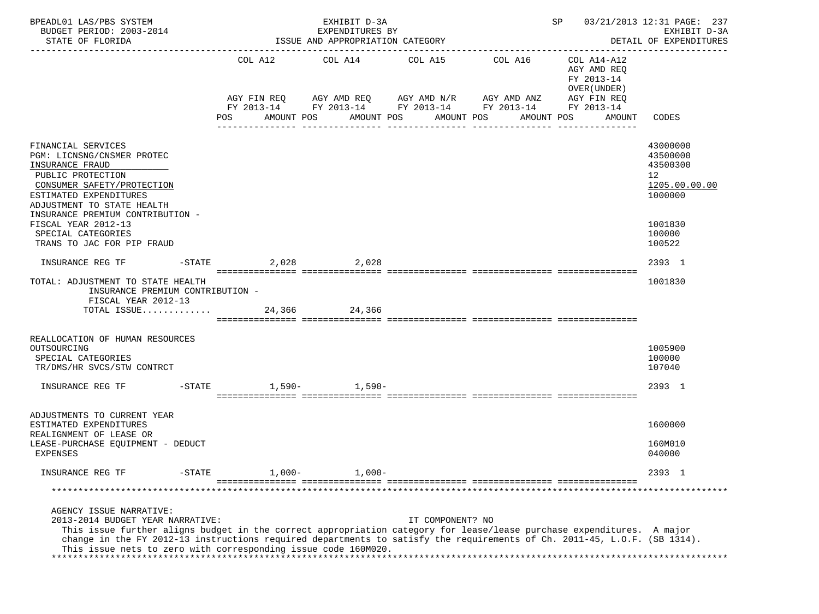| BPEADL01 LAS/PBS SYSTEM<br>BUDGET PERIOD: 2003-2014<br>STATE OF FLORIDA                                                                                                                                                                                                                                                                                                            |                       | EXHIBIT D-3A<br>EXPENDITURES BY<br>ISSUE AND APPROPRIATION CATEGORY                                                                                            |                       |                       | SP                                                                 | 03/21/2013 12:31 PAGE: 237<br>EXHIBIT D-3A<br>DETAIL OF EXPENDITURES                    |
|------------------------------------------------------------------------------------------------------------------------------------------------------------------------------------------------------------------------------------------------------------------------------------------------------------------------------------------------------------------------------------|-----------------------|----------------------------------------------------------------------------------------------------------------------------------------------------------------|-----------------------|-----------------------|--------------------------------------------------------------------|-----------------------------------------------------------------------------------------|
|                                                                                                                                                                                                                                                                                                                                                                                    | POS                   | COL A12 COL A14 COL A15<br>AGY FIN REQ AGY AMD REQ AGY AMD N/R AGY AMD ANZ AGY FIN REQ<br>FY 2013-14 FY 2013-14 FY 2013-14 FY 2013-14 FY 2013-14<br>AMOUNT POS | AMOUNT POS AMOUNT POS | COL A16<br>AMOUNT POS | COL A14-A12<br>AGY AMD REQ<br>FY 2013-14<br>OVER (UNDER)<br>AMOUNT | CODES                                                                                   |
| FINANCIAL SERVICES<br>PGM: LICNSNG/CNSMER PROTEC<br>INSURANCE FRAUD<br>PUBLIC PROTECTION<br>CONSUMER SAFETY/PROTECTION<br>ESTIMATED EXPENDITURES<br>ADJUSTMENT TO STATE HEALTH<br>INSURANCE PREMIUM CONTRIBUTION -<br>FISCAL YEAR 2012-13<br>SPECIAL CATEGORIES                                                                                                                    |                       |                                                                                                                                                                |                       |                       |                                                                    | 43000000<br>43500000<br>43500300<br>12<br>1205.00.00.00<br>1000000<br>1001830<br>100000 |
| TRANS TO JAC FOR PIP FRAUD                                                                                                                                                                                                                                                                                                                                                         | $-$ STATE<br>2,028    | 2,028                                                                                                                                                          |                       |                       |                                                                    | 100522<br>2393 1                                                                        |
| INSURANCE REG TF<br>TOTAL: ADJUSTMENT TO STATE HEALTH<br>INSURANCE PREMIUM CONTRIBUTION -<br>FISCAL YEAR 2012-13<br>TOTAL ISSUE                                                                                                                                                                                                                                                    |                       | 24,366 24,366                                                                                                                                                  |                       |                       |                                                                    | 1001830                                                                                 |
| REALLOCATION OF HUMAN RESOURCES<br>OUTSOURCING<br>SPECIAL CATEGORIES<br>TR/DMS/HR SVCS/STW CONTRCT                                                                                                                                                                                                                                                                                 |                       |                                                                                                                                                                |                       |                       |                                                                    | 1005900<br>100000<br>107040                                                             |
| INSURANCE REG TF                                                                                                                                                                                                                                                                                                                                                                   |                       |                                                                                                                                                                |                       |                       |                                                                    | 2393 1                                                                                  |
| ADJUSTMENTS TO CURRENT YEAR<br>ESTIMATED EXPENDITURES<br>REALIGNMENT OF LEASE OR<br>LEASE-PURCHASE EQUIPMENT - DEDUCT<br>EXPENSES                                                                                                                                                                                                                                                  |                       |                                                                                                                                                                |                       |                       |                                                                    | 1600000<br>160M010<br>040000                                                            |
| INSURANCE REG TF                                                                                                                                                                                                                                                                                                                                                                   | $1,000-$<br>$-$ STATE | $1,000-$                                                                                                                                                       |                       |                       |                                                                    | 2393 1                                                                                  |
|                                                                                                                                                                                                                                                                                                                                                                                    |                       |                                                                                                                                                                |                       |                       |                                                                    |                                                                                         |
| AGENCY ISSUE NARRATIVE:<br>2013-2014 BUDGET YEAR NARRATIVE:<br>This issue further aligns budget in the correct appropriation category for lease/lease purchase expenditures. A major<br>change in the FY 2012-13 instructions required departments to satisfy the requirements of Ch. 2011-45, L.O.F. (SB 1314).<br>This issue nets to zero with corresponding issue code 160M020. |                       |                                                                                                                                                                | IT COMPONENT? NO      |                       |                                                                    |                                                                                         |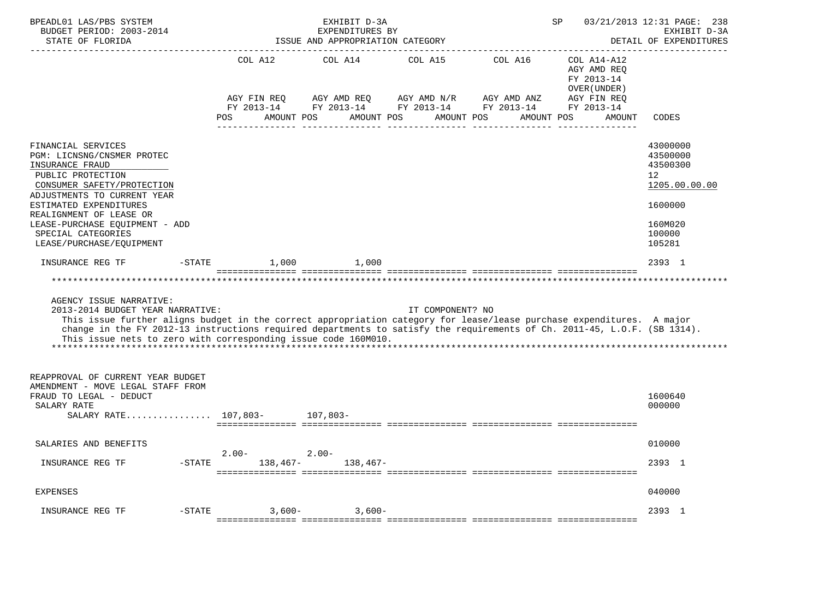| BPEADL01 LAS/PBS SYSTEM<br>BUDGET PERIOD: 2003-2014<br>STATE OF FLORIDA                                                                                                                                                                                                                                                                                                            | ____________________________                                     | EXHIBIT D-3A<br>EXPENDITURES BY<br>ISSUE AND APPROPRIATION CATEGORY |                                      |                                                                          | SP                                                                                                 | 03/21/2013 12:31 PAGE: 238<br>EXHIBIT D-3A<br>DETAIL OF EXPENDITURES                                           |
|------------------------------------------------------------------------------------------------------------------------------------------------------------------------------------------------------------------------------------------------------------------------------------------------------------------------------------------------------------------------------------|------------------------------------------------------------------|---------------------------------------------------------------------|--------------------------------------|--------------------------------------------------------------------------|----------------------------------------------------------------------------------------------------|----------------------------------------------------------------------------------------------------------------|
|                                                                                                                                                                                                                                                                                                                                                                                    | COL A12<br>AGY FIN REO<br>FY 2013-14<br><b>POS</b><br>AMOUNT POS | COL A14<br>AGY AMD REO<br>AMOUNT POS                                | COL A15<br>AGY AMD N/R<br>AMOUNT POS | COL A16<br>AGY AMD ANZ<br>FY 2013-14 FY 2013-14 FY 2013-14<br>AMOUNT POS | $COL A14- A12$<br>AGY AMD REQ<br>FY 2013-14<br>OVER (UNDER)<br>AGY FIN REO<br>FY 2013-14<br>AMOUNT | CODES                                                                                                          |
| FINANCIAL SERVICES<br>PGM: LICNSNG/CNSMER PROTEC<br>INSURANCE FRAUD<br>PUBLIC PROTECTION<br>CONSUMER SAFETY/PROTECTION<br>ADJUSTMENTS TO CURRENT YEAR<br>ESTIMATED EXPENDITURES<br>REALIGNMENT OF LEASE OR<br>LEASE-PURCHASE EQUIPMENT - ADD<br>SPECIAL CATEGORIES<br>LEASE/PURCHASE/EQUIPMENT                                                                                     |                                                                  |                                                                     |                                      |                                                                          |                                                                                                    | 43000000<br>43500000<br>43500300<br>12 <sup>°</sup><br>1205.00.00.00<br>1600000<br>160M020<br>100000<br>105281 |
| INSURANCE REG TF<br>$-STATE$                                                                                                                                                                                                                                                                                                                                                       | 1,000                                                            | 1,000                                                               |                                      |                                                                          |                                                                                                    | 2393 1                                                                                                         |
|                                                                                                                                                                                                                                                                                                                                                                                    |                                                                  |                                                                     |                                      |                                                                          |                                                                                                    |                                                                                                                |
| AGENCY ISSUE NARRATIVE:<br>2013-2014 BUDGET YEAR NARRATIVE:<br>This issue further aligns budget in the correct appropriation category for lease/lease purchase expenditures. A major<br>change in the FY 2012-13 instructions required departments to satisfy the requirements of Ch. 2011-45, L.O.F. (SB 1314).<br>This issue nets to zero with corresponding issue code 160M010. |                                                                  |                                                                     | IT COMPONENT? NO                     |                                                                          |                                                                                                    |                                                                                                                |
| REAPPROVAL OF CURRENT YEAR BUDGET<br>AMENDMENT - MOVE LEGAL STAFF FROM<br>FRAUD TO LEGAL - DEDUCT<br>SALARY RATE<br>SALARY RATE 107,803- 107,803-                                                                                                                                                                                                                                  |                                                                  |                                                                     |                                      |                                                                          |                                                                                                    | 1600640<br>000000                                                                                              |
| SALARIES AND BENEFITS                                                                                                                                                                                                                                                                                                                                                              |                                                                  |                                                                     |                                      |                                                                          |                                                                                                    | 010000                                                                                                         |
| INSURANCE REG TF<br>-STATE                                                                                                                                                                                                                                                                                                                                                         | $2.00 -$                                                         | $2.00 -$<br>$138,467-138,467-$                                      |                                      |                                                                          |                                                                                                    | 2393 1                                                                                                         |
| <b>EXPENSES</b>                                                                                                                                                                                                                                                                                                                                                                    |                                                                  |                                                                     |                                      |                                                                          |                                                                                                    | 040000                                                                                                         |
| $-STATE$<br>INSURANCE REG TF                                                                                                                                                                                                                                                                                                                                                       | $3,600-$                                                         | $3,600-$                                                            |                                      |                                                                          |                                                                                                    | 2393 1                                                                                                         |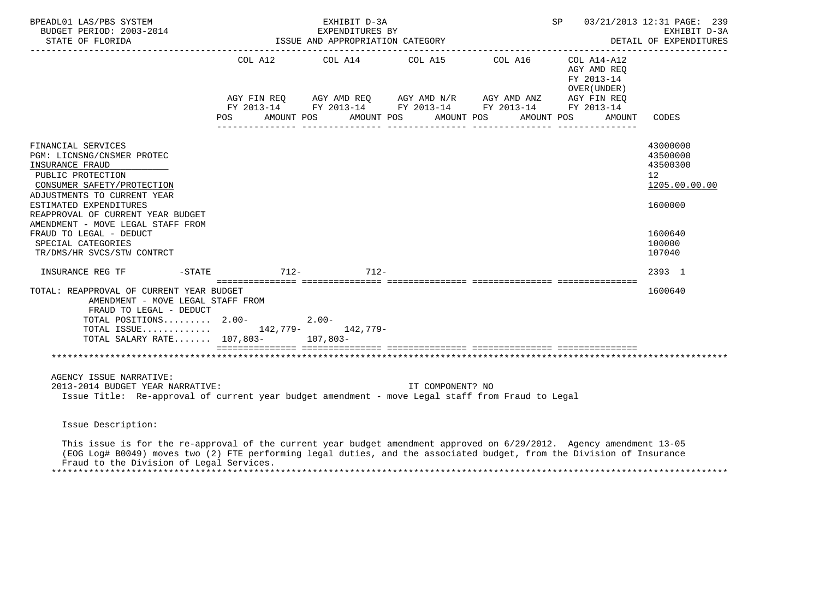| BPEADL01 LAS/PBS SYSTEM<br>BUDGET PERIOD: 2003-2014<br>STATE OF FLORIDA                                                                                                                                                                                                                                                                  |               | EXHIBIT D-3A<br>EXPENDITURES BY<br>ISSUE AND APPROPRIATION CATEGORY |                  |                                                                                                                                                          | SP                                                                               | 03/21/2013 12:31 PAGE: 239<br>EXHIBIT D-3A<br>DETAIL OF EXPENDITURES                              |
|------------------------------------------------------------------------------------------------------------------------------------------------------------------------------------------------------------------------------------------------------------------------------------------------------------------------------------------|---------------|---------------------------------------------------------------------|------------------|----------------------------------------------------------------------------------------------------------------------------------------------------------|----------------------------------------------------------------------------------|---------------------------------------------------------------------------------------------------|
|                                                                                                                                                                                                                                                                                                                                          | POS           | AMOUNT POS AMOUNT POS AMOUNT POS                                    |                  | COL A12 COL A14 COL A15 COL A16 COL A14-A12<br>AGY FIN REQ AGY AMD REQ AGY AMD N/R AGY AMD ANZ<br>FY 2013-14 FY 2013-14 FY 2013-14 FY 2013-14 FY 2013-14 | AGY AMD REQ<br>FY 2013-14<br>OVER (UNDER)<br>AGY FIN REO<br>AMOUNT POS<br>AMOUNT | CODES                                                                                             |
| FINANCIAL SERVICES<br>PGM: LICNSNG/CNSMER PROTEC<br>INSURANCE FRAUD<br>PUBLIC PROTECTION<br>CONSUMER SAFETY/PROTECTION<br>ADJUSTMENTS TO CURRENT YEAR<br>ESTIMATED EXPENDITURES<br>REAPPROVAL OF CURRENT YEAR BUDGET<br>AMENDMENT - MOVE LEGAL STAFF FROM<br>FRAUD TO LEGAL - DEDUCT<br>SPECIAL CATEGORIES<br>TR/DMS/HR SVCS/STW CONTRCT |               |                                                                     |                  |                                                                                                                                                          |                                                                                  | 43000000<br>43500000<br>43500300<br>12<br>1205.00.00.00<br>1600000<br>1600640<br>100000<br>107040 |
| INSURANCE REG TF<br>$-$ STATE                                                                                                                                                                                                                                                                                                            | $712 - 712 -$ |                                                                     |                  |                                                                                                                                                          |                                                                                  | 2393 1                                                                                            |
| TOTAL: REAPPROVAL OF CURRENT YEAR BUDGET<br>AMENDMENT - MOVE LEGAL STAFF FROM<br>FRAUD TO LEGAL - DEDUCT<br>TOTAL POSITIONS 2.00-<br>TOTAL ISSUE 142,779- 142,779-<br>TOTAL SALARY RATE 107,803- 107,803-                                                                                                                                |               | $2.00 -$                                                            |                  |                                                                                                                                                          |                                                                                  | 1600640                                                                                           |
|                                                                                                                                                                                                                                                                                                                                          |               |                                                                     |                  |                                                                                                                                                          |                                                                                  |                                                                                                   |
| AGENCY ISSUE NARRATIVE:<br>2013-2014 BUDGET YEAR NARRATIVE:<br>Issue Title: Re-approval of current year budget amendment - move Legal staff from Fraud to Legal                                                                                                                                                                          |               |                                                                     | IT COMPONENT? NO |                                                                                                                                                          |                                                                                  |                                                                                                   |
| Issue Description:                                                                                                                                                                                                                                                                                                                       |               |                                                                     |                  |                                                                                                                                                          |                                                                                  |                                                                                                   |
| This issue is for the re-approval of the current year budget amendment approved on 6/29/2012. Agency amendment 13-05<br>(EOG Log# B0049) moves two (2) FTE performing legal duties, and the associated budget, from the Division of Insurance                                                                                            |               |                                                                     |                  |                                                                                                                                                          |                                                                                  |                                                                                                   |

Fraud to the Division of Legal Services.

\*\*\*\*\*\*\*\*\*\*\*\*\*\*\*\*\*\*\*\*\*\*\*\*\*\*\*\*\*\*\*\*\*\*\*\*\*\*\*\*\*\*\*\*\*\*\*\*\*\*\*\*\*\*\*\*\*\*\*\*\*\*\*\*\*\*\*\*\*\*\*\*\*\*\*\*\*\*\*\*\*\*\*\*\*\*\*\*\*\*\*\*\*\*\*\*\*\*\*\*\*\*\*\*\*\*\*\*\*\*\*\*\*\*\*\*\*\*\*\*\*\*\*\*\*\*\*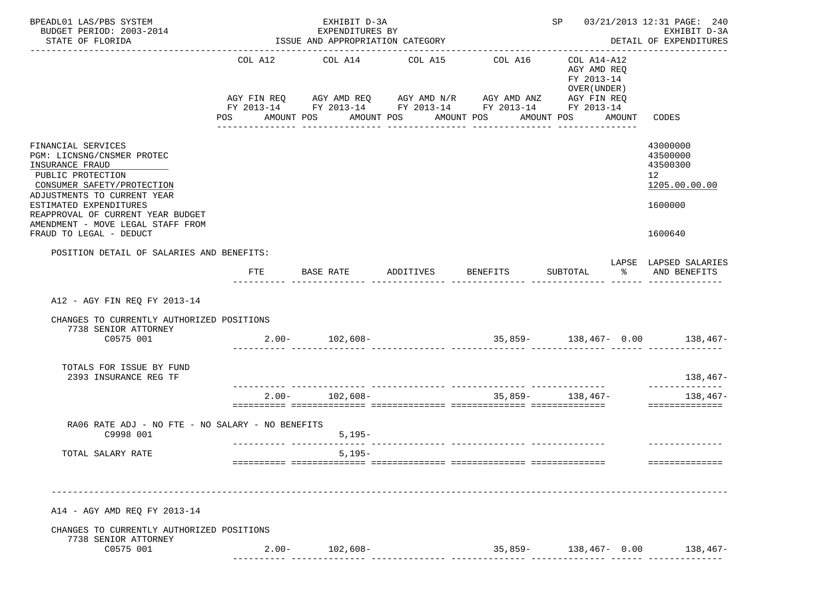| BPEADL01 LAS/PBS SYSTEM<br>BUDGET PERIOD: 2003-2014<br>STATE OF FLORIDA                                                                                                                                                                                                              |            | EXHIBIT D-3A<br>EXPENDITURES BY<br>ISSUE AND APPROPRIATION CATEGORY<br>-------------------------------------- |                                                     | SP 03/21/2013 12:31 PAGE: 240<br>EXHIBIT D-3A<br>DETAIL OF EXPENDITURES                                                                             |                                                                                           |        |                                                                                            |
|--------------------------------------------------------------------------------------------------------------------------------------------------------------------------------------------------------------------------------------------------------------------------------------|------------|---------------------------------------------------------------------------------------------------------------|-----------------------------------------------------|-----------------------------------------------------------------------------------------------------------------------------------------------------|-------------------------------------------------------------------------------------------|--------|--------------------------------------------------------------------------------------------|
|                                                                                                                                                                                                                                                                                      | <b>POS</b> | COL A12 COL A14<br>AMOUNT POS<br>---------------                                                              | COL A15<br>AMOUNT POS AMOUNT POS<br>_______________ | COL A16<br>AGY FIN REQ AGY AMD REQ AGY AMD N/R AGY AMD ANZ AGY FIN REQ<br>FY 2013-14 FY 2013-14 FY 2013-14 FY 2013-14 FY 2013-14<br>--------------- | COL A14-A12<br>AGY AMD REQ<br>FY 2013-14<br>OVER (UNDER)<br>AMOUNT POS<br>--------------- | AMOUNT | CODES                                                                                      |
| FINANCIAL SERVICES<br>PGM: LICNSNG/CNSMER PROTEC<br>INSURANCE FRAUD<br>PUBLIC PROTECTION<br>CONSUMER SAFETY/PROTECTION<br>ADJUSTMENTS TO CURRENT YEAR<br>ESTIMATED EXPENDITURES<br>REAPPROVAL OF CURRENT YEAR BUDGET<br>AMENDMENT - MOVE LEGAL STAFF FROM<br>FRAUD TO LEGAL - DEDUCT |            |                                                                                                               |                                                     |                                                                                                                                                     |                                                                                           |        | 43000000<br>43500000<br>43500300<br>12 <sup>°</sup><br>1205.00.00.00<br>1600000<br>1600640 |
| POSITION DETAIL OF SALARIES AND BENEFITS:                                                                                                                                                                                                                                            | FTE        | BASE RATE                                                                                                     | ADDITIVES                                           | <b>BENEFITS</b>                                                                                                                                     | SUBTOTAL                                                                                  | ႜ      | LAPSE LAPSED SALARIES<br>AND BENEFITS                                                      |
| A12 - AGY FIN REO FY 2013-14<br>CHANGES TO CURRENTLY AUTHORIZED POSITIONS<br>7738 SENIOR ATTORNEY<br>C0575 001<br>TOTALS FOR ISSUE BY FUND                                                                                                                                           |            | $2.00 - 102,608 -$                                                                                            |                                                     | $35,859-138,467-0.00$ 138,467-                                                                                                                      |                                                                                           |        |                                                                                            |
| 2393 INSURANCE REG TF                                                                                                                                                                                                                                                                |            | $2.00 - 102,608 -$                                                                                            |                                                     |                                                                                                                                                     | $35,859-138,467-$                                                                         |        | $138,467-$<br>--------------<br>$138,467-$<br>==============                               |
| RA06 RATE ADJ - NO FTE - NO SALARY - NO BENEFITS<br>C9998 001                                                                                                                                                                                                                        |            | $5,195-$                                                                                                      |                                                     |                                                                                                                                                     |                                                                                           |        |                                                                                            |
| TOTAL SALARY RATE                                                                                                                                                                                                                                                                    |            | $5,195-$<br>=========================                                                                         |                                                     |                                                                                                                                                     |                                                                                           |        | ==============                                                                             |
| A14 - AGY AMD REQ FY 2013-14                                                                                                                                                                                                                                                         |            |                                                                                                               |                                                     |                                                                                                                                                     |                                                                                           |        |                                                                                            |
| CHANGES TO CURRENTLY AUTHORIZED POSITIONS<br>7738 SENIOR ATTORNEY<br>C0575 001                                                                                                                                                                                                       | $2.00 -$   | $102,608-$                                                                                                    |                                                     |                                                                                                                                                     |                                                                                           |        | $35,859-$ 138,467- 0.00 138,467-                                                           |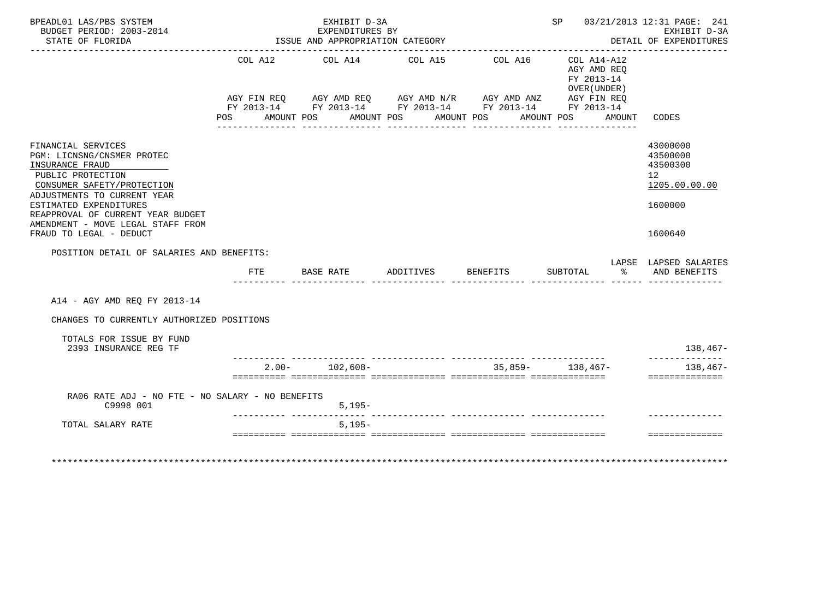| BUDGET PERIOD: 2003-2014<br>STATE OF FLORIDA                                                                                                                                                                                                                                                                                      |            |               | EXHIBIT D-3A<br>EXPENDITURES BY<br>ISSUE AND APPROPRIATION CATEGORY |                                           |                                                                                                                                  |                                                                        |   | SP 03/21/2013 12:31 PAGE: 241<br>EXHIBIT D-3A<br>DETAIL OF EXPENDITURES<br>. _ _ _ _ _ _ _ _ _ _ _ _ _ _ _ _ _ |
|-----------------------------------------------------------------------------------------------------------------------------------------------------------------------------------------------------------------------------------------------------------------------------------------------------------------------------------|------------|---------------|---------------------------------------------------------------------|-------------------------------------------|----------------------------------------------------------------------------------------------------------------------------------|------------------------------------------------------------------------|---|----------------------------------------------------------------------------------------------------------------|
|                                                                                                                                                                                                                                                                                                                                   | <b>POS</b> | AMOUNT POS    | COL A12 COL A14 COL A15                                             | AMOUNT POS AMOUNT POS<br>________________ | COL A16<br>AGY FIN REQ AGY AMD REQ AGY AMD N/R AGY AMD ANZ AGY FIN REQ<br>FY 2013-14 FY 2013-14 FY 2013-14 FY 2013-14 FY 2013-14 | COL A14-A12<br>AGY AMD REQ<br>FY 2013-14<br>OVER (UNDER)<br>AMOUNT POS |   | AMOUNT CODES                                                                                                   |
| FINANCIAL SERVICES<br>PGM: LICNSNG/CNSMER PROTEC<br>INSURANCE FRAUD<br>PUBLIC PROTECTION<br>CONSUMER SAFETY/PROTECTION<br>ADJUSTMENTS TO CURRENT YEAR<br>ESTIMATED EXPENDITURES<br>REAPPROVAL OF CURRENT YEAR BUDGET<br>AMENDMENT - MOVE LEGAL STAFF FROM<br>FRAUD TO LEGAL - DEDUCT<br>POSITION DETAIL OF SALARIES AND BENEFITS: |            |               |                                                                     |                                           |                                                                                                                                  |                                                                        |   | 43000000<br>43500000<br>43500300<br>12 <sup>°</sup><br>1205.00.00.00<br>1600000<br>1600640                     |
|                                                                                                                                                                                                                                                                                                                                   |            | FTE BASE RATE |                                                                     | ADDITIVES                                 | <b>BENEFITS</b>                                                                                                                  | SUBTOTAL                                                               | ိ | LAPSE LAPSED SALARIES<br>AND BENEFITS                                                                          |
| A14 - AGY AMD REO FY 2013-14                                                                                                                                                                                                                                                                                                      |            |               |                                                                     |                                           |                                                                                                                                  |                                                                        |   |                                                                                                                |
| CHANGES TO CURRENTLY AUTHORIZED POSITIONS                                                                                                                                                                                                                                                                                         |            |               |                                                                     |                                           |                                                                                                                                  |                                                                        |   |                                                                                                                |
| TOTALS FOR ISSUE BY FUND<br>2393 INSURANCE REG TF                                                                                                                                                                                                                                                                                 |            |               |                                                                     |                                           |                                                                                                                                  |                                                                        |   | $138,467-$<br>--------------                                                                                   |
|                                                                                                                                                                                                                                                                                                                                   |            |               | $2.00 - 102.608 -$                                                  |                                           |                                                                                                                                  | $35.859 - 138.467 -$                                                   |   | $138.467-$                                                                                                     |
|                                                                                                                                                                                                                                                                                                                                   |            |               |                                                                     |                                           |                                                                                                                                  |                                                                        |   | ==============                                                                                                 |
|                                                                                                                                                                                                                                                                                                                                   |            |               |                                                                     |                                           |                                                                                                                                  |                                                                        |   |                                                                                                                |
| RA06 RATE ADJ - NO FTE - NO SALARY - NO BENEFITS<br>C9998 001                                                                                                                                                                                                                                                                     |            |               | $5.195 -$                                                           |                                           |                                                                                                                                  |                                                                        |   |                                                                                                                |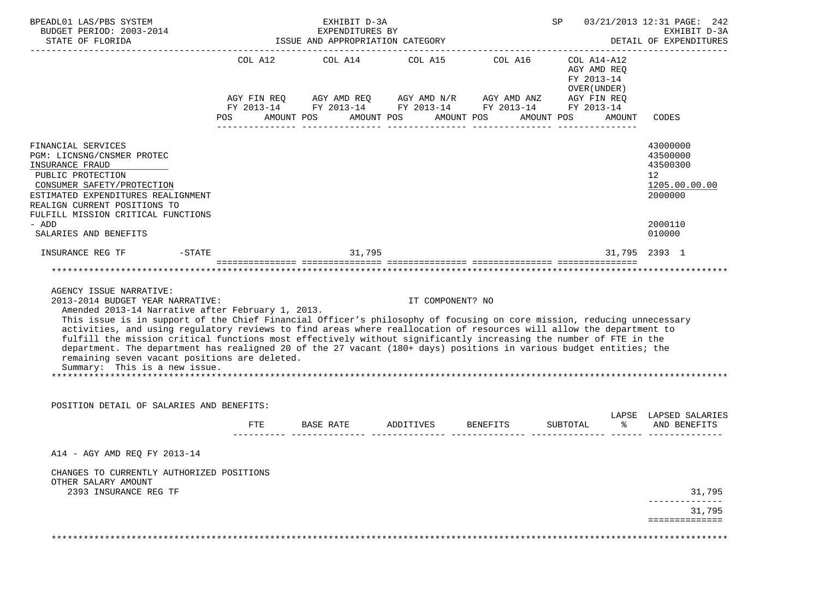| BPEADL01 LAS/PBS SYSTEM<br>BUDGET PERIOD: 2003-2014<br>STATE OF FLORIDA                                                                                                                                                                                                                                                                                                                                                                                                                                                                                                                                                                                                                        |                       | EXHIBIT D-3A<br>EXPENDITURES BY<br>ISSUE AND APPROPRIATION CATEGORY                                                                            |                       | SP              | 03/21/2013 12:31 PAGE: 242<br>EXHIBIT D-3A<br>DETAIL OF EXPENDITURES             |                                                                                                      |
|------------------------------------------------------------------------------------------------------------------------------------------------------------------------------------------------------------------------------------------------------------------------------------------------------------------------------------------------------------------------------------------------------------------------------------------------------------------------------------------------------------------------------------------------------------------------------------------------------------------------------------------------------------------------------------------------|-----------------------|------------------------------------------------------------------------------------------------------------------------------------------------|-----------------------|-----------------|----------------------------------------------------------------------------------|------------------------------------------------------------------------------------------------------|
|                                                                                                                                                                                                                                                                                                                                                                                                                                                                                                                                                                                                                                                                                                | COL A12<br><b>POS</b> | COL A14<br>AGY FIN REQ AGY AMD REQ AGY AMD N/R AGY AMD ANZ AGY FIN REQ<br>FY 2013-14 FY 2013-14 FY 2013-14 FY 2013-14 FY 2013-14<br>AMOUNT POS | AMOUNT POS AMOUNT POS | COL A15 COL A16 | COL A14-A12<br>AGY AMD REQ<br>FY 2013-14<br>OVER (UNDER)<br>AMOUNT POS<br>AMOUNT | CODES                                                                                                |
| FINANCIAL SERVICES<br>PGM: LICNSNG/CNSMER PROTEC<br>INSURANCE FRAUD<br>PUBLIC PROTECTION<br>CONSUMER SAFETY/PROTECTION<br>ESTIMATED EXPENDITURES REALIGNMENT<br>REALIGN CURRENT POSITIONS TO<br>FULFILL MISSION CRITICAL FUNCTIONS<br>- ADD<br>SALARIES AND BENEFITS                                                                                                                                                                                                                                                                                                                                                                                                                           |                       |                                                                                                                                                |                       |                 |                                                                                  | 43000000<br>43500000<br>43500300<br>12 <sup>°</sup><br>1205.00.00.00<br>2000000<br>2000110<br>010000 |
| INSURANCE REG TF<br>-STATE                                                                                                                                                                                                                                                                                                                                                                                                                                                                                                                                                                                                                                                                     |                       | 31,795                                                                                                                                         |                       |                 |                                                                                  | 31,795 2393 1                                                                                        |
| AGENCY ISSUE NARRATIVE:<br>2013-2014 BUDGET YEAR NARRATIVE:<br>Amended 2013-14 Narrative after February 1, 2013.<br>This issue is in support of the Chief Financial Officer's philosophy of focusing on core mission, reducing unnecessary<br>activities, and using regulatory reviews to find areas where reallocation of resources will allow the department to<br>fulfill the mission critical functions most effectively without significantly increasing the number of FTE in the<br>department. The department has realigned 20 of the 27 vacant (180+ days) positions in various budget entities; the<br>remaining seven vacant positions are deleted.<br>Summary: This is a new issue. |                       |                                                                                                                                                | IT COMPONENT? NO      |                 |                                                                                  |                                                                                                      |
| POSITION DETAIL OF SALARIES AND BENEFITS:                                                                                                                                                                                                                                                                                                                                                                                                                                                                                                                                                                                                                                                      | FTE                   | BASE RATE ADDITIVES BENEFITS                                                                                                                   |                       |                 | SUBTOTAL<br>ႜႜႜႜႜ                                                                | LAPSE LAPSED SALARIES<br>AND BENEFITS                                                                |
| A14 - AGY AMD REO FY 2013-14                                                                                                                                                                                                                                                                                                                                                                                                                                                                                                                                                                                                                                                                   |                       |                                                                                                                                                |                       |                 |                                                                                  |                                                                                                      |
| CHANGES TO CURRENTLY AUTHORIZED POSITIONS<br>OTHER SALARY AMOUNT<br>2393 INSURANCE REG TF                                                                                                                                                                                                                                                                                                                                                                                                                                                                                                                                                                                                      |                       |                                                                                                                                                |                       |                 |                                                                                  | 31,795                                                                                               |
|                                                                                                                                                                                                                                                                                                                                                                                                                                                                                                                                                                                                                                                                                                |                       |                                                                                                                                                |                       |                 |                                                                                  | 31,795<br>==============                                                                             |
|                                                                                                                                                                                                                                                                                                                                                                                                                                                                                                                                                                                                                                                                                                |                       |                                                                                                                                                |                       |                 |                                                                                  |                                                                                                      |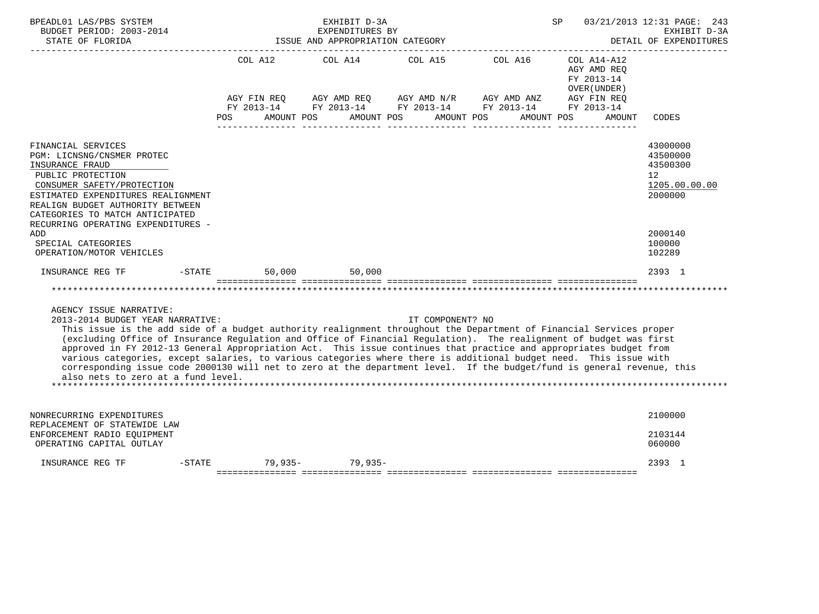| BPEADL01 LAS/PBS SYSTEM<br>BUDGET PERIOD: 2003-2014<br>STATE OF FLORIDA                                                                                                                                                                                                                                                                                                                                                                                                                                                                                                                                                                                                                                            |                                                                                   | EXHIBIT D-3A<br>EXPENDITURES BY<br>ISSUE AND APPROPRIATION CATEGORY |                                                  |                                                           | SP                                                                                                     | 03/21/2013 12:31 PAGE: 243<br>EXHIBIT D-3A<br>DETAIL OF EXPENDITURES            |
|--------------------------------------------------------------------------------------------------------------------------------------------------------------------------------------------------------------------------------------------------------------------------------------------------------------------------------------------------------------------------------------------------------------------------------------------------------------------------------------------------------------------------------------------------------------------------------------------------------------------------------------------------------------------------------------------------------------------|-----------------------------------------------------------------------------------|---------------------------------------------------------------------|--------------------------------------------------|-----------------------------------------------------------|--------------------------------------------------------------------------------------------------------|---------------------------------------------------------------------------------|
|                                                                                                                                                                                                                                                                                                                                                                                                                                                                                                                                                                                                                                                                                                                    | COL A12<br>AGY FIN REO<br>FY 2013-14<br>AMOUNT POS<br><b>POS</b>                  | COL A14<br>AGY AMD REO<br>AMOUNT POS                                | COL A15<br>AGY AMD N/R AGY AMD ANZ<br>AMOUNT POS | COL A16<br>FY 2013-14 FY 2013-14 FY 2013-14<br>AMOUNT POS | COL A14-A12<br>AGY AMD REO<br>FY 2013-14<br>OVER (UNDER)<br>AGY FIN REQ<br>FY 2013-14<br><b>AMOUNT</b> | CODES                                                                           |
| FINANCIAL SERVICES<br>PGM: LICNSNG/CNSMER PROTEC<br>INSURANCE FRAUD<br>PUBLIC PROTECTION<br>CONSUMER SAFETY/PROTECTION<br>ESTIMATED EXPENDITURES REALIGNMENT<br>REALIGN BUDGET AUTHORITY BETWEEN<br>CATEGORIES TO MATCH ANTICIPATED                                                                                                                                                                                                                                                                                                                                                                                                                                                                                |                                                                                   |                                                                     |                                                  |                                                           |                                                                                                        | 43000000<br>43500000<br>43500300<br>12 <sup>°</sup><br>1205.00.00.00<br>2000000 |
| RECURRING OPERATING EXPENDITURES -<br>ADD<br>SPECIAL CATEGORIES<br>OPERATION/MOTOR VEHICLES                                                                                                                                                                                                                                                                                                                                                                                                                                                                                                                                                                                                                        |                                                                                   |                                                                     |                                                  |                                                           |                                                                                                        | 2000140<br>100000<br>102289                                                     |
| INSURANCE REG TF<br>$-$ STATE                                                                                                                                                                                                                                                                                                                                                                                                                                                                                                                                                                                                                                                                                      | 50,000                                                                            | 50,000                                                              |                                                  |                                                           |                                                                                                        | 2393 1                                                                          |
|                                                                                                                                                                                                                                                                                                                                                                                                                                                                                                                                                                                                                                                                                                                    | <u> soosoosoosoos soosoosoosoosa soosoosoosoosa soosoosoosoosa aseosoosoosoos</u> |                                                                     |                                                  |                                                           |                                                                                                        |                                                                                 |
| AGENCY ISSUE NARRATIVE:<br>2013-2014 BUDGET YEAR NARRATIVE:<br>This issue is the add side of a budget authority realignment throughout the Department of Financial Services proper<br>(excluding Office of Insurance Regulation and Office of Financial Regulation). The realignment of budget was first<br>approved in FY 2012-13 General Appropriation Act. This issue continues that practice and appropriates budget from<br>various categories, except salaries, to various categories where there is additional budget need. This issue with<br>corresponding issue code 2000130 will net to zero at the department level. If the budget/fund is general revenue, this<br>also nets to zero at a fund level. |                                                                                   |                                                                     | IT COMPONENT? NO                                 |                                                           |                                                                                                        |                                                                                 |
| NONRECURRING EXPENDITURES<br>REPLACEMENT OF STATEWIDE LAW                                                                                                                                                                                                                                                                                                                                                                                                                                                                                                                                                                                                                                                          |                                                                                   |                                                                     |                                                  |                                                           |                                                                                                        | 2100000                                                                         |
| ENFORCEMENT RADIO EQUIPMENT<br>OPERATING CAPITAL OUTLAY                                                                                                                                                                                                                                                                                                                                                                                                                                                                                                                                                                                                                                                            |                                                                                   |                                                                     |                                                  |                                                           |                                                                                                        | 2103144<br>060000                                                               |
| $-$ STATE<br>INSURANCE REG TF                                                                                                                                                                                                                                                                                                                                                                                                                                                                                                                                                                                                                                                                                      |                                                                                   | $79,935 - 79,935 -$                                                 |                                                  |                                                           |                                                                                                        | 2393 1                                                                          |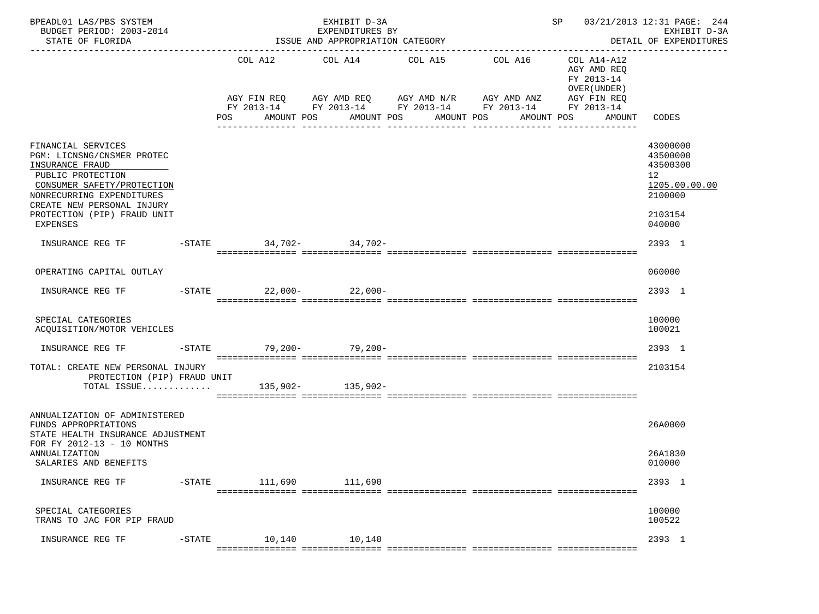| BPEADL01 LAS/PBS SYSTEM<br>BUDGET PERIOD: 2003-2014<br>STATE OF FLORIDA                                                                                                                                                      |           |                            | EXHIBIT D-3A<br>EXPENDITURES BY<br>ISSUE AND APPROPRIATION CATEGORY |                                 |                                                                                                                         | SP 03/21/2013 12:31 PAGE: 244<br>EXHIBIT D-3A<br>DETAIL OF EXPENDITURES |                                                                                         |  |
|------------------------------------------------------------------------------------------------------------------------------------------------------------------------------------------------------------------------------|-----------|----------------------------|---------------------------------------------------------------------|---------------------------------|-------------------------------------------------------------------------------------------------------------------------|-------------------------------------------------------------------------|-----------------------------------------------------------------------------------------|--|
|                                                                                                                                                                                                                              |           |                            |                                                                     | COL A12 COL A14 COL A15 COL A16 |                                                                                                                         | COL A14-A12<br>AGY AMD REQ<br>FY 2013-14<br>OVER (UNDER)                |                                                                                         |  |
|                                                                                                                                                                                                                              |           | POS DO                     | AMOUNT POS                                                          | AMOUNT POS AMOUNT POS           | AGY FIN REQ AGY AMD REQ AGY AMD N/R AGY AMD ANZ<br>FY 2013-14 FY 2013-14 FY 2013-14 FY 2013-14 FY 2013-14<br>AMOUNT POS | AGY FIN REQ<br>AMOUNT CODES                                             |                                                                                         |  |
| FINANCIAL SERVICES<br>PGM: LICNSNG/CNSMER PROTEC<br>INSURANCE FRAUD<br>PUBLIC PROTECTION<br>CONSUMER SAFETY/PROTECTION<br>NONRECURRING EXPENDITURES<br>CREATE NEW PERSONAL INJURY<br>PROTECTION (PIP) FRAUD UNIT<br>EXPENSES |           |                            |                                                                     |                                 |                                                                                                                         |                                                                         | 43000000<br>43500000<br>43500300<br>12<br>1205.00.00.00<br>2100000<br>2103154<br>040000 |  |
| INSURANCE REG TF                                                                                                                                                                                                             |           | -STATE 34,702- 34,702-     |                                                                     |                                 |                                                                                                                         |                                                                         | 2393 1                                                                                  |  |
| OPERATING CAPITAL OUTLAY                                                                                                                                                                                                     |           |                            |                                                                     |                                 |                                                                                                                         |                                                                         | 060000                                                                                  |  |
| INSURANCE REG TF                                                                                                                                                                                                             |           | $-$ STATE $22,000-22,000-$ |                                                                     |                                 |                                                                                                                         |                                                                         | 2393 1                                                                                  |  |
| SPECIAL CATEGORIES<br>ACQUISITION/MOTOR VEHICLES                                                                                                                                                                             |           |                            |                                                                     |                                 |                                                                                                                         |                                                                         | 100000<br>100021                                                                        |  |
| INSURANCE REG TF                                                                                                                                                                                                             |           | -STATE 79,200- 79,200-     |                                                                     |                                 |                                                                                                                         |                                                                         | 2393 1                                                                                  |  |
| TOTAL: CREATE NEW PERSONAL INJURY<br>PROTECTION (PIP) FRAUD UNIT<br>TOTAL ISSUE 135,902- 135,902-                                                                                                                            |           |                            |                                                                     |                                 |                                                                                                                         |                                                                         | 2103154                                                                                 |  |
| ANNUALIZATION OF ADMINISTERED<br>FUNDS APPROPRIATIONS<br>STATE HEALTH INSURANCE ADJUSTMENT<br>FOR FY 2012-13 - 10 MONTHS<br>ANNUALIZATION                                                                                    |           |                            |                                                                     |                                 |                                                                                                                         |                                                                         | 26A0000<br>26A1830                                                                      |  |
| SALARIES AND BENEFITS                                                                                                                                                                                                        |           |                            |                                                                     |                                 |                                                                                                                         |                                                                         | 010000                                                                                  |  |
| INSURANCE REG TF                                                                                                                                                                                                             | $-$ STATE | 111,690                    | 111,690                                                             |                                 |                                                                                                                         |                                                                         | 2393 1                                                                                  |  |
| SPECIAL CATEGORIES<br>TRANS TO JAC FOR PIP FRAUD                                                                                                                                                                             |           |                            |                                                                     |                                 |                                                                                                                         |                                                                         | 100000<br>100522                                                                        |  |
| INSURANCE REG TF                                                                                                                                                                                                             | $-$ STATE | 10,140<br>===========      | 10,140<br>=== =============                                         |                                 |                                                                                                                         |                                                                         | 2393 1                                                                                  |  |
|                                                                                                                                                                                                                              |           |                            |                                                                     |                                 |                                                                                                                         |                                                                         |                                                                                         |  |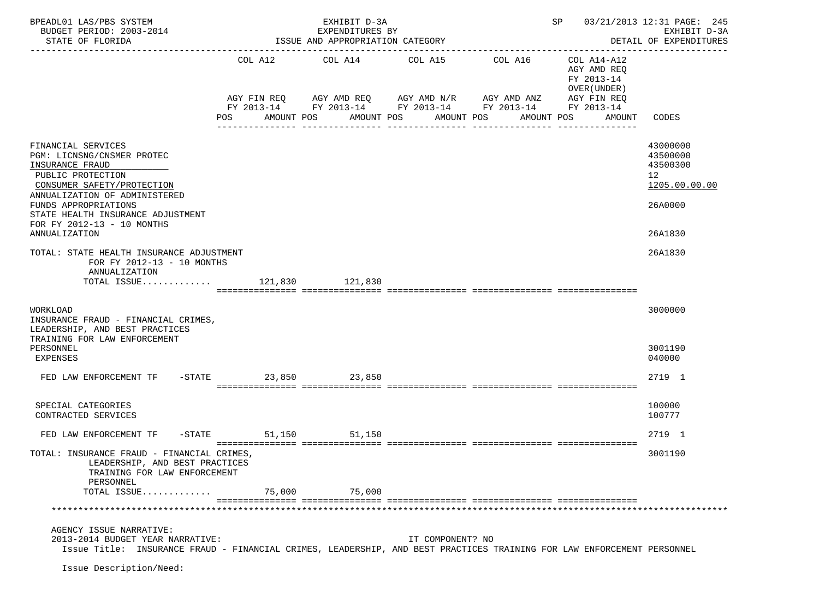| BPEADL01 LAS/PBS SYSTEM<br>BUDGET PERIOD: 2003-2014<br>STATE OF FLORIDA                                                                                                                                                                                             |                      | EXHIBIT D-3A<br>EXPENDITURES BY<br>ISSUE AND APPROPRIATION CATEGORY                      |                          | SP                                                                              | 03/21/2013 12:31 PAGE: 245<br>EXHIBIT D-3A<br>DETAIL OF EXPENDITURES              |                                                                               |
|---------------------------------------------------------------------------------------------------------------------------------------------------------------------------------------------------------------------------------------------------------------------|----------------------|------------------------------------------------------------------------------------------|--------------------------|---------------------------------------------------------------------------------|-----------------------------------------------------------------------------------|-------------------------------------------------------------------------------|
|                                                                                                                                                                                                                                                                     | POS                  | COL A12 COL A14 COL A15<br>AGY FIN REQ 6GY AMD REQ 6GY AMD N/R 6GY AMD ANZ<br>AMOUNT POS | AMOUNT POS<br>AMOUNT POS | COL A16<br>FY 2013-14 FY 2013-14 FY 2013-14 FY 2013-14 FY 2013-14<br>AMOUNT POS | COL A14-A12<br>AGY AMD REQ<br>FY 2013-14<br>OVER (UNDER)<br>AGY FIN REQ<br>AMOUNT | --------------<br>CODES                                                       |
| FINANCIAL SERVICES<br>PGM: LICNSNG/CNSMER PROTEC<br>INSURANCE FRAUD<br>PUBLIC PROTECTION<br>CONSUMER SAFETY/PROTECTION<br>ANNUALIZATION OF ADMINISTERED<br>FUNDS APPROPRIATIONS<br>STATE HEALTH INSURANCE ADJUSTMENT<br>FOR FY 2012-13 - 10 MONTHS<br>ANNUALIZATION |                      |                                                                                          |                          |                                                                                 |                                                                                   | 43000000<br>43500000<br>43500300<br>12<br>1205.00.00.00<br>26A0000<br>26A1830 |
| TOTAL: STATE HEALTH INSURANCE ADJUSTMENT<br>FOR FY 2012-13 - 10 MONTHS<br>ANNUALIZATION<br>TOTAL ISSUE 121,830 121,830                                                                                                                                              |                      |                                                                                          |                          |                                                                                 |                                                                                   | 26A1830                                                                       |
| WORKLOAD<br>INSURANCE FRAUD - FINANCIAL CRIMES,<br>LEADERSHIP, AND BEST PRACTICES<br>TRAINING FOR LAW ENFORCEMENT<br>PERSONNEL<br>EXPENSES                                                                                                                          |                      |                                                                                          |                          |                                                                                 |                                                                                   | 3000000<br>3001190<br>040000                                                  |
| FED LAW ENFORCEMENT TF -STATE 23,850 23,850                                                                                                                                                                                                                         |                      |                                                                                          |                          |                                                                                 |                                                                                   | 2719 1                                                                        |
| SPECIAL CATEGORIES<br>CONTRACTED SERVICES                                                                                                                                                                                                                           |                      |                                                                                          |                          |                                                                                 |                                                                                   | 100000<br>100777                                                              |
| FED LAW ENFORCEMENT TF                                                                                                                                                                                                                                              | -STATE 51,150 51,150 |                                                                                          |                          |                                                                                 |                                                                                   | 2719 1                                                                        |
| TOTAL: INSURANCE FRAUD - FINANCIAL CRIMES,<br>LEADERSHIP, AND BEST PRACTICES<br>TRAINING FOR LAW ENFORCEMENT<br>PERSONNEL                                                                                                                                           |                      |                                                                                          |                          |                                                                                 |                                                                                   | 3001190                                                                       |
| TOTAL ISSUE                                                                                                                                                                                                                                                         | 75,000               | 75,000                                                                                   |                          |                                                                                 |                                                                                   |                                                                               |
| AGENCY ISSUE NARRATIVE:<br>2013-2014 BUDGET YEAR NARRATIVE:<br>Issue Title: INSURANCE FRAUD - FINANCIAL CRIMES, LEADERSHIP, AND BEST PRACTICES TRAINING FOR LAW ENFORCEMENT PERSONNEL<br>Issue Description/Need:                                                    |                      |                                                                                          | IT COMPONENT? NO         |                                                                                 |                                                                                   |                                                                               |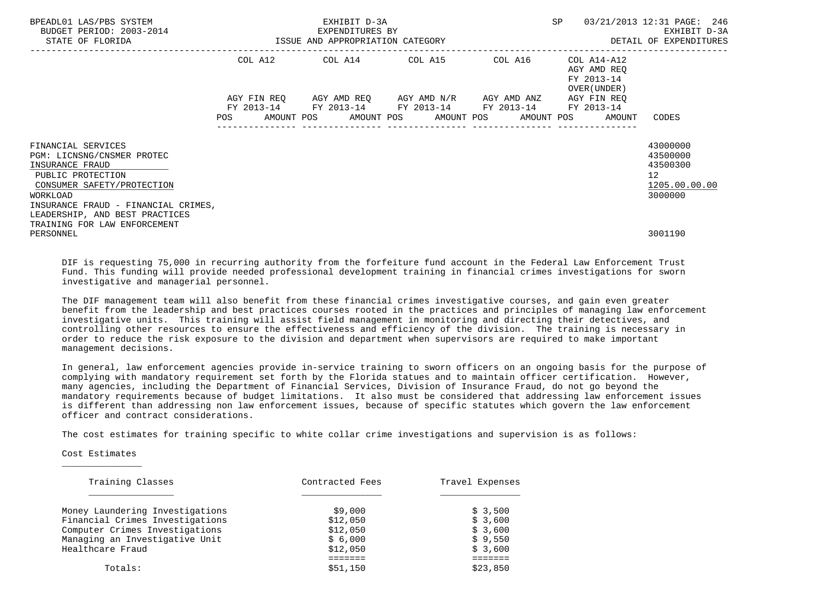| BPEADL01 LAS/PBS SYSTEM<br>BUDGET PERIOD: 2003-2014<br>STATE OF FLORIDA |            | EXHIBIT D-3A<br>EXPENDITURES BY<br>ISSUE AND APPROPRIATION CATEGORY             |  | SP                                        | 03/21/2013 12:31 PAGE: 246<br>EXHIBIT D-3A<br>DETAIL OF EXPENDITURES |
|-------------------------------------------------------------------------|------------|---------------------------------------------------------------------------------|--|-------------------------------------------|----------------------------------------------------------------------|
|                                                                         |            | COL A12 COL A14 COL A15 COL A16                                                 |  | COL A14-A12                               |                                                                      |
|                                                                         |            |                                                                                 |  | AGY AMD REO<br>FY 2013-14<br>OVER (UNDER) |                                                                      |
|                                                                         |            | AGY FIN REQ AGY AMD REQ AGY AMD N/R AGY AMD ANZ                                 |  | AGY FIN REQ                               |                                                                      |
|                                                                         | <b>POS</b> | FY 2013-14 FY 2013-14 FY 2013-14 FY 2013-14<br>AMOUNT POS AMOUNT POS AMOUNT POS |  | FY 2013-14<br>AMOUNT POS<br>AMOUNT        | CODES                                                                |
|                                                                         |            |                                                                                 |  |                                           |                                                                      |
| FINANCIAL SERVICES<br>PGM: LICNSNG/CNSMER PROTEC<br>INSURANCE FRAUD     |            |                                                                                 |  |                                           | 43000000<br>43500000<br>43500300                                     |
| PUBLIC PROTECTION                                                       |            |                                                                                 |  |                                           | 12 <sup>12</sup>                                                     |
| CONSUMER SAFETY/PROTECTION                                              |            |                                                                                 |  |                                           | 1205.00.00.00                                                        |
| WORKLOAD                                                                |            |                                                                                 |  |                                           | 3000000                                                              |
| INSURANCE FRAUD - FINANCIAL CRIMES,<br>LEADERSHIP, AND BEST PRACTICES   |            |                                                                                 |  |                                           |                                                                      |
| TRAINING FOR LAW ENFORCEMENT                                            |            |                                                                                 |  |                                           |                                                                      |
| PERSONNEL                                                               |            |                                                                                 |  |                                           | 3001190                                                              |

 DIF is requesting 75,000 in recurring authority from the forfeiture fund account in the Federal Law Enforcement Trust Fund. This funding will provide needed professional development training in financial crimes investigations for sworn investigative and managerial personnel.

 The DIF management team will also benefit from these financial crimes investigative courses, and gain even greater benefit from the leadership and best practices courses rooted in the practices and principles of managing law enforcement investigative units. This training will assist field management in monitoring and directing their detectives, and controlling other resources to ensure the effectiveness and efficiency of the division. The training is necessary in order to reduce the risk exposure to the division and department when supervisors are required to make important management decisions.

 In general, law enforcement agencies provide in-service training to sworn officers on an ongoing basis for the purpose of complying with mandatory requirement set forth by the Florida statues and to maintain officer certification. However, many agencies, including the Department of Financial Services, Division of Insurance Fraud, do not go beyond the mandatory requirements because of budget limitations. It also must be considered that addressing law enforcement issues is different than addressing non law enforcement issues, because of specific statutes which govern the law enforcement officer and contract considerations.

The cost estimates for training specific to white collar crime investigations and supervision is as follows:

Cost Estimates

 $\frac{1}{2}$  ,  $\frac{1}{2}$  ,  $\frac{1}{2}$  ,  $\frac{1}{2}$  ,  $\frac{1}{2}$  ,  $\frac{1}{2}$  ,  $\frac{1}{2}$  ,  $\frac{1}{2}$  ,  $\frac{1}{2}$  ,  $\frac{1}{2}$  ,  $\frac{1}{2}$  ,  $\frac{1}{2}$  ,  $\frac{1}{2}$  ,  $\frac{1}{2}$  ,  $\frac{1}{2}$  ,  $\frac{1}{2}$  ,  $\frac{1}{2}$  ,  $\frac{1}{2}$  ,  $\frac{1$ 

| Training Classes                | Contracted Fees | Travel Expenses |  |  |
|---------------------------------|-----------------|-----------------|--|--|
|                                 |                 |                 |  |  |
| Money Laundering Investigations | \$9,000         | \$3,500         |  |  |
| Financial Crimes Investigations | \$12,050        | \$3,600         |  |  |
| Computer Crimes Investigations  | \$12,050        | \$3,600         |  |  |
| Managing an Investigative Unit  | \$6,000         | \$9.550         |  |  |
| Healthcare Fraud                | \$12,050        | \$3,600         |  |  |
|                                 |                 |                 |  |  |
| Totals:                         | \$51.150        | \$23,850        |  |  |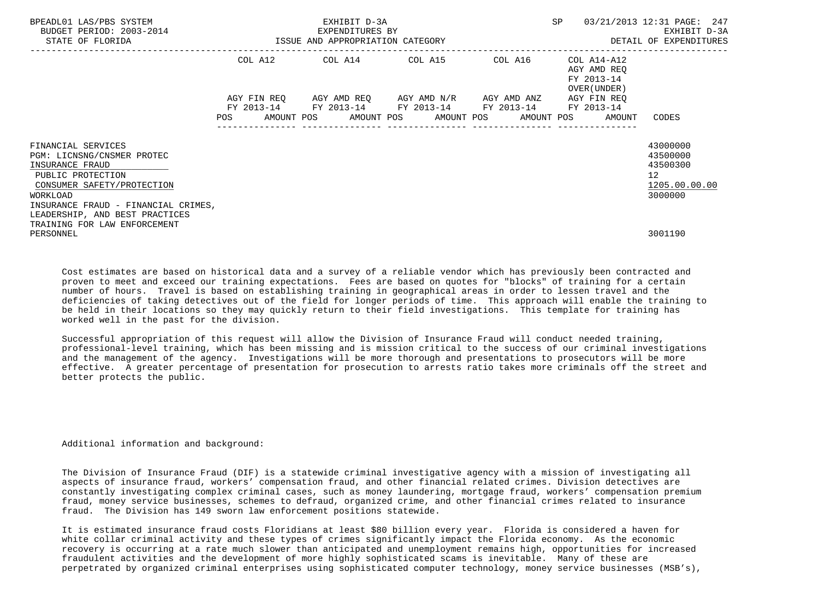| BPEADL01 LAS/PBS SYSTEM<br>BUDGET PERIOD: 2003-2014<br>STATE OF FLORIDA                                                                                                                                     | EXHIBIT D-3A<br>EXPENDITURES BY<br>ISSUE AND APPROPRIATION CATEGORY |                                         |  |                                                                         |  |                       | SP |            | 03/21/2013 12:31 PAGE: 247<br>EXHIBIT D-3A<br>DETAIL OF EXPENDITURES |                                                          |                                                                                 |
|-------------------------------------------------------------------------------------------------------------------------------------------------------------------------------------------------------------|---------------------------------------------------------------------|-----------------------------------------|--|-------------------------------------------------------------------------|--|-----------------------|----|------------|----------------------------------------------------------------------|----------------------------------------------------------|---------------------------------------------------------------------------------|
|                                                                                                                                                                                                             |                                                                     | COL A12                                 |  | COL A14 COL A15                                                         |  |                       |    | COL A16    |                                                                      | COL A14-A12<br>AGY AMD REO<br>FY 2013-14<br>OVER (UNDER) |                                                                                 |
|                                                                                                                                                                                                             | POS                                                                 | AGY FIN REO<br>FY 2013-14<br>AMOUNT POS |  | AGY AMD REO AGY AMD N/R AGY AMD ANZ<br>FY 2013-14 FY 2013-14 FY 2013-14 |  | AMOUNT POS AMOUNT POS |    | AMOUNT POS |                                                                      | AGY FIN REO<br>FY 2013-14<br>AMOUNT                      | CODES                                                                           |
| FINANCIAL SERVICES<br>PGM: LICNSNG/CNSMER PROTEC<br>INSURANCE FRAUD<br>PUBLIC PROTECTION<br>CONSUMER SAFETY/PROTECTION<br>WORKLOAD<br>INSURANCE FRAUD - FINANCIAL CRIMES,<br>LEADERSHIP, AND BEST PRACTICES |                                                                     |                                         |  |                                                                         |  |                       |    |            |                                                                      |                                                          | 43000000<br>43500000<br>43500300<br>12 <sup>°</sup><br>1205.00.00.00<br>3000000 |
| TRAINING FOR LAW ENFORCEMENT<br>PERSONNEL                                                                                                                                                                   |                                                                     |                                         |  |                                                                         |  |                       |    |            |                                                                      |                                                          | 3001190                                                                         |

 Cost estimates are based on historical data and a survey of a reliable vendor which has previously been contracted and proven to meet and exceed our training expectations. Fees are based on quotes for "blocks" of training for a certain number of hours. Travel is based on establishing training in geographical areas in order to lessen travel and the deficiencies of taking detectives out of the field for longer periods of time. This approach will enable the training to be held in their locations so they may quickly return to their field investigations. This template for training has worked well in the past for the division.

 Successful appropriation of this request will allow the Division of Insurance Fraud will conduct needed training, professional-level training, which has been missing and is mission critical to the success of our criminal investigations and the management of the agency. Investigations will be more thorough and presentations to prosecutors will be more effective. A greater percentage of presentation for prosecution to arrests ratio takes more criminals off the street and better protects the public.

## Additional information and background:

 The Division of Insurance Fraud (DIF) is a statewide criminal investigative agency with a mission of investigating all aspects of insurance fraud, workers' compensation fraud, and other financial related crimes. Division detectives are constantly investigating complex criminal cases, such as money laundering, mortgage fraud, workers' compensation premium fraud, money service businesses, schemes to defraud, organized crime, and other financial crimes related to insurance fraud. The Division has 149 sworn law enforcement positions statewide.

 It is estimated insurance fraud costs Floridians at least \$80 billion every year. Florida is considered a haven for white collar criminal activity and these types of crimes significantly impact the Florida economy. As the economic recovery is occurring at a rate much slower than anticipated and unemployment remains high, opportunities for increased fraudulent activities and the development of more highly sophisticated scams is inevitable. Many of these are perpetrated by organized criminal enterprises using sophisticated computer technology, money service businesses (MSB's),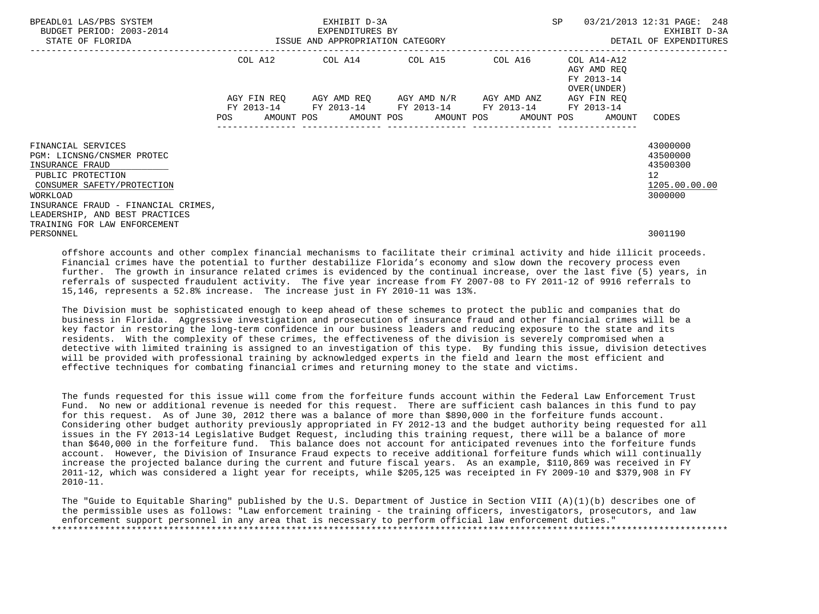| BPEADL01 LAS/PBS SYSTEM<br>BUDGET PERIOD: 2003-2014<br>STATE OF FLORIDA                                                                                                   | ISSUE AND APPROPRIATION CATEGORY | SP                                                                                              | 03/21/2013 12:31 PAGE: 248<br>EXHIBIT D-3A<br>DETAIL OF EXPENDITURES |                                                          |                                                                                 |
|---------------------------------------------------------------------------------------------------------------------------------------------------------------------------|----------------------------------|-------------------------------------------------------------------------------------------------|----------------------------------------------------------------------|----------------------------------------------------------|---------------------------------------------------------------------------------|
|                                                                                                                                                                           | COL A12                          | COL A14 COL A15                                                                                 | ------------------------------<br>COL A16                            | COL A14-A12<br>AGY AMD REO<br>FY 2013-14<br>OVER (UNDER) |                                                                                 |
|                                                                                                                                                                           | AGY FIN REO<br>FY 2013-14<br>POS | AGY AMD REO AGY AMD N/R<br>FY 2013-14 FY 2013-14 FY 2013-14<br>AMOUNT POS AMOUNT POS AMOUNT POS | AGY AMD ANZ                                                          | AGY FIN REQ<br>FY 2013-14<br>AMOUNT POS<br>AMOUNT        | CODES                                                                           |
| FINANCIAL SERVICES<br>PGM: LICNSNG/CNSMER PROTEC<br>INSURANCE FRAUD<br>PUBLIC PROTECTION<br>CONSUMER SAFETY/PROTECTION<br>WORKLOAD<br>INSURANCE FRAUD - FINANCIAL CRIMES, |                                  |                                                                                                 |                                                                      |                                                          | 43000000<br>43500000<br>43500300<br>12 <sup>°</sup><br>1205.00.00.00<br>3000000 |
| LEADERSHIP, AND BEST PRACTICES<br>TRAINING FOR LAW ENFORCEMENT<br>PERSONNEL                                                                                               |                                  |                                                                                                 |                                                                      |                                                          | 3001190                                                                         |

 offshore accounts and other complex financial mechanisms to facilitate their criminal activity and hide illicit proceeds. Financial crimes have the potential to further destabilize Florida's economy and slow down the recovery process even further. The growth in insurance related crimes is evidenced by the continual increase, over the last five (5) years, in referrals of suspected fraudulent activity. The five year increase from FY 2007-08 to FY 2011-12 of 9916 referrals to 15,146, represents a 52.8% increase. The increase just in FY 2010-11 was 13%.

 The Division must be sophisticated enough to keep ahead of these schemes to protect the public and companies that do business in Florida. Aggressive investigation and prosecution of insurance fraud and other financial crimes will be a key factor in restoring the long-term confidence in our business leaders and reducing exposure to the state and its residents. With the complexity of these crimes, the effectiveness of the division is severely compromised when a detective with limited training is assigned to an investigation of this type. By funding this issue, division detectives will be provided with professional training by acknowledged experts in the field and learn the most efficient and effective techniques for combating financial crimes and returning money to the state and victims.

 The funds requested for this issue will come from the forfeiture funds account within the Federal Law Enforcement Trust Fund. No new or additional revenue is needed for this request. There are sufficient cash balances in this fund to pay for this request. As of June 30, 2012 there was a balance of more than \$890,000 in the forfeiture funds account. Considering other budget authority previously appropriated in FY 2012-13 and the budget authority being requested for all issues in the FY 2013-14 Legislative Budget Request, including this training request, there will be a balance of more than \$640,000 in the forfeiture fund. This balance does not account for anticipated revenues into the forfeiture funds account. However, the Division of Insurance Fraud expects to receive additional forfeiture funds which will continually increase the projected balance during the current and future fiscal years. As an example, \$110,869 was received in FY 2011-12, which was considered a light year for receipts, while \$205,125 was receipted in FY 2009-10 and \$379,908 in FY 2010-11.

 The "Guide to Equitable Sharing" published by the U.S. Department of Justice in Section VIII (A)(1)(b) describes one of the permissible uses as follows: "Law enforcement training - the training officers, investigators, prosecutors, and law enforcement support personnel in any area that is necessary to perform official law enforcement duties." \*\*\*\*\*\*\*\*\*\*\*\*\*\*\*\*\*\*\*\*\*\*\*\*\*\*\*\*\*\*\*\*\*\*\*\*\*\*\*\*\*\*\*\*\*\*\*\*\*\*\*\*\*\*\*\*\*\*\*\*\*\*\*\*\*\*\*\*\*\*\*\*\*\*\*\*\*\*\*\*\*\*\*\*\*\*\*\*\*\*\*\*\*\*\*\*\*\*\*\*\*\*\*\*\*\*\*\*\*\*\*\*\*\*\*\*\*\*\*\*\*\*\*\*\*\*\*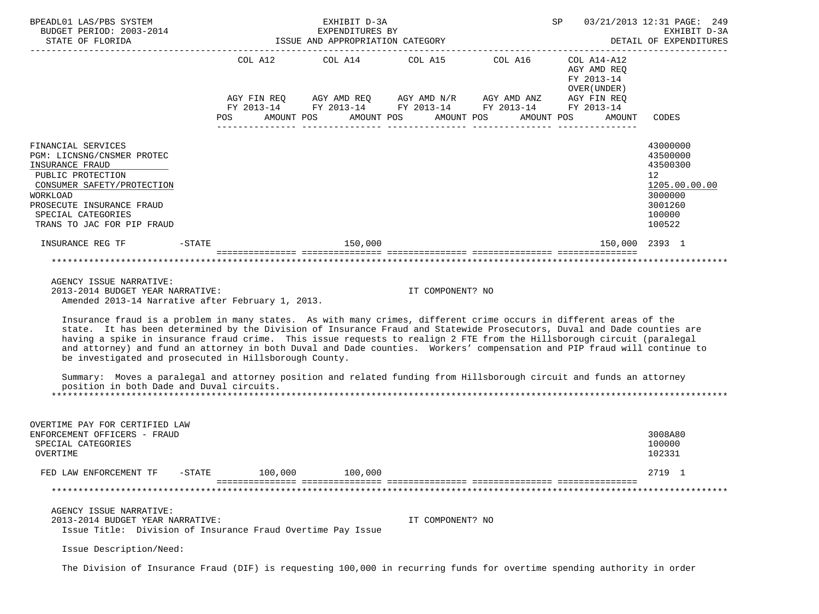| BPEADL01 LAS/PBS SYSTEM<br>BUDGET PERIOD: 2003-2014<br>STATE OF FLORIDA                                                                                                                                                                                                                                                                                                                                                                                                                                                                                                                                                                                                                                                                                                                                                                                | ISSUE AND APPROPRIATION CATEGORY | 03/21/2013 12:31 PAGE: 249<br>EXHIBIT D-3A<br>DETAIL OF EXPENDITURES                                                                                                                                     |                  |                                                                    |                                                                                                                |
|--------------------------------------------------------------------------------------------------------------------------------------------------------------------------------------------------------------------------------------------------------------------------------------------------------------------------------------------------------------------------------------------------------------------------------------------------------------------------------------------------------------------------------------------------------------------------------------------------------------------------------------------------------------------------------------------------------------------------------------------------------------------------------------------------------------------------------------------------------|----------------------------------|----------------------------------------------------------------------------------------------------------------------------------------------------------------------------------------------------------|------------------|--------------------------------------------------------------------|----------------------------------------------------------------------------------------------------------------|
|                                                                                                                                                                                                                                                                                                                                                                                                                                                                                                                                                                                                                                                                                                                                                                                                                                                        | POS                              | COL A12 COL A14 COL A15 COL A16 COL A14-A12<br>AGY FIN REQ AGY AMD REQ AGY AMD N/R AGY AMD ANZ AGY FIN REQ<br>FY 2013-14 FY 2013-14 FY 2013-14 FY 2013-14 FY 2013-14<br>AMOUNT POS AMOUNT POS AMOUNT POS |                  | AGY AMD REQ<br>FY 2013-14<br>OVER (UNDER )<br>AMOUNT POS<br>AMOUNT | CODES                                                                                                          |
| FINANCIAL SERVICES<br>PGM: LICNSNG/CNSMER PROTEC<br>INSURANCE FRAUD<br>PUBLIC PROTECTION<br>CONSUMER SAFETY/PROTECTION<br>WORKLOAD<br>PROSECUTE INSURANCE FRAUD<br>SPECIAL CATEGORIES<br>TRANS TO JAC FOR PIP FRAUD                                                                                                                                                                                                                                                                                                                                                                                                                                                                                                                                                                                                                                    |                                  |                                                                                                                                                                                                          |                  |                                                                    | 43000000<br>43500000<br>43500300<br>12 <sup>°</sup><br>1205.00.00.00<br>3000000<br>3001260<br>100000<br>100522 |
| INSURANCE REG TF                                                                                                                                                                                                                                                                                                                                                                                                                                                                                                                                                                                                                                                                                                                                                                                                                                       | $-STATE$                         | 150,000                                                                                                                                                                                                  |                  | $150,000$ 2393 1                                                   |                                                                                                                |
| AGENCY ISSUE NARRATIVE:<br>2013-2014 BUDGET YEAR NARRATIVE:<br>Amended 2013-14 Narrative after February 1, 2013.<br>Insurance fraud is a problem in many states. As with many crimes, different crime occurs in different areas of the<br>state. It has been determined by the Division of Insurance Fraud and Statewide Prosecutors, Duval and Dade counties are<br>having a spike in insurance fraud crime. This issue requests to realign 2 FTE from the Hillsborough circuit (paralegal<br>and attorney) and fund an attorney in both Duval and Dade counties. Workers' compensation and PIP fraud will continue to<br>be investigated and prosecuted in Hillsborough County.<br>Summary: Moves a paralegal and attorney position and related funding from Hillsborough circuit and funds an attorney<br>position in both Dade and Duval circuits. |                                  |                                                                                                                                                                                                          | IT COMPONENT? NO |                                                                    |                                                                                                                |
| OVERTIME PAY FOR CERTIFIED LAW<br>ENFORCEMENT OFFICERS - FRAUD<br>SPECIAL CATEGORIES<br>OVERTIME<br>FED LAW ENFORCEMENT TF                                                                                                                                                                                                                                                                                                                                                                                                                                                                                                                                                                                                                                                                                                                             | 100,000<br>$-$ STATE             | 100,000                                                                                                                                                                                                  |                  |                                                                    | 3008A80<br>100000<br>102331<br>2719 1                                                                          |
| AGENCY ISSUE NARRATIVE:<br>2013-2014 BUDGET YEAR NARRATIVE:<br>Issue Title: Division of Insurance Fraud Overtime Pay Issue<br>Issue Description/Need:                                                                                                                                                                                                                                                                                                                                                                                                                                                                                                                                                                                                                                                                                                  |                                  |                                                                                                                                                                                                          | IT COMPONENT? NO |                                                                    |                                                                                                                |

The Division of Insurance Fraud (DIF) is requesting 100,000 in recurring funds for overtime spending authority in order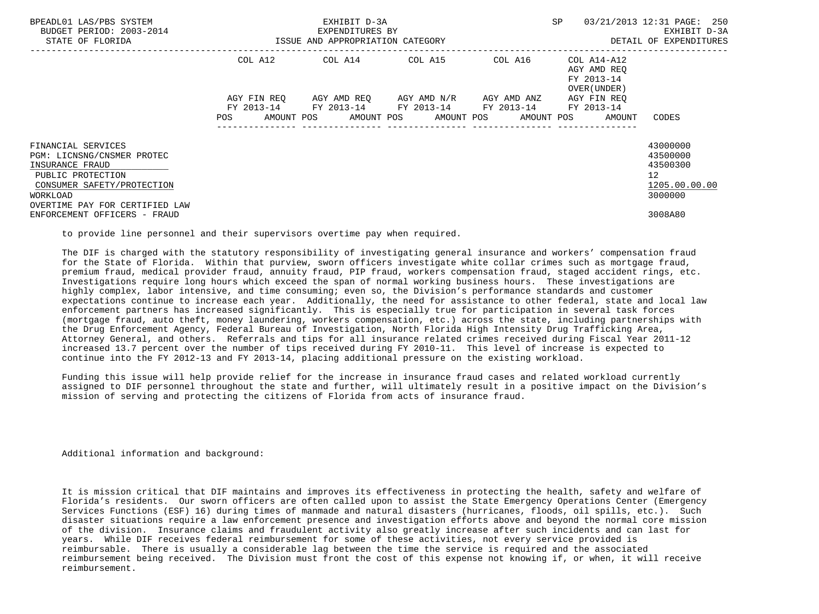| BPEADL01 LAS/PBS SYSTEM<br>BUDGET PERIOD: 2003-2014<br>STATE OF FLORIDA                                                                                              | ISSUE AND APPROPRIATION CATEGORY | EXHIBIT D-3A<br>EXPENDITURES BY             | SP      | 03/21/2013 12:31 PAGE: 250<br>EXHIBIT D-3A<br>DETAIL OF EXPENDITURES            |                                                                    |
|----------------------------------------------------------------------------------------------------------------------------------------------------------------------|----------------------------------|---------------------------------------------|---------|---------------------------------------------------------------------------------|--------------------------------------------------------------------|
|                                                                                                                                                                      |                                  | COL A12 COL A14 COL A15                     | COL A16 | COL A14-A12<br>AGY AMD REQ<br>FY 2013-14<br>OVER (UNDER)                        |                                                                    |
|                                                                                                                                                                      | POS                              | FY 2013-14 FY 2013-14 FY 2013-14 FY 2013-14 |         | AGY FIN REO<br>FY 2013-14<br>AMOUNT POS AMOUNT POS AMOUNT POS AMOUNT POS AMOUNT | CODES                                                              |
| FINANCIAL SERVICES<br>PGM: LICNSNG/CNSMER PROTEC<br>INSURANCE FRAUD<br>PUBLIC PROTECTION<br>CONSUMER SAFETY/PROTECTION<br>WORKLOAD<br>OVERTIME PAY FOR CERTIFIED LAW |                                  |                                             |         |                                                                                 | 43000000<br>43500000<br>43500300<br>12<br>1205.00.00.00<br>3000000 |
| ENFORCEMENT OFFICERS - FRAUD                                                                                                                                         |                                  |                                             |         |                                                                                 | 3008A80                                                            |

to provide line personnel and their supervisors overtime pay when required.

 The DIF is charged with the statutory responsibility of investigating general insurance and workers' compensation fraud for the State of Florida. Within that purview, sworn officers investigate white collar crimes such as mortgage fraud, premium fraud, medical provider fraud, annuity fraud, PIP fraud, workers compensation fraud, staged accident rings, etc. Investigations require long hours which exceed the span of normal working business hours. These investigations are highly complex, labor intensive, and time consuming; even so, the Division's performance standards and customer expectations continue to increase each year. Additionally, the need for assistance to other federal, state and local law enforcement partners has increased significantly. This is especially true for participation in several task forces (mortgage fraud, auto theft, money laundering, workers compensation, etc.) across the state, including partnerships with the Drug Enforcement Agency, Federal Bureau of Investigation, North Florida High Intensity Drug Trafficking Area, Attorney General, and others. Referrals and tips for all insurance related crimes received during Fiscal Year 2011-12 increased 13.7 percent over the number of tips received during FY 2010-11. This level of increase is expected to continue into the FY 2012-13 and FY 2013-14, placing additional pressure on the existing workload.

 Funding this issue will help provide relief for the increase in insurance fraud cases and related workload currently assigned to DIF personnel throughout the state and further, will ultimately result in a positive impact on the Division's mission of serving and protecting the citizens of Florida from acts of insurance fraud.

Additional information and background:

 It is mission critical that DIF maintains and improves its effectiveness in protecting the health, safety and welfare of Florida's residents. Our sworn officers are often called upon to assist the State Emergency Operations Center (Emergency Services Functions (ESF) 16) during times of manmade and natural disasters (hurricanes, floods, oil spills, etc.). Such disaster situations require a law enforcement presence and investigation efforts above and beyond the normal core mission of the division. Insurance claims and fraudulent activity also greatly increase after such incidents and can last for years. While DIF receives federal reimbursement for some of these activities, not every service provided is reimbursable. There is usually a considerable lag between the time the service is required and the associated reimbursement being received. The Division must front the cost of this expense not knowing if, or when, it will receive reimbursement.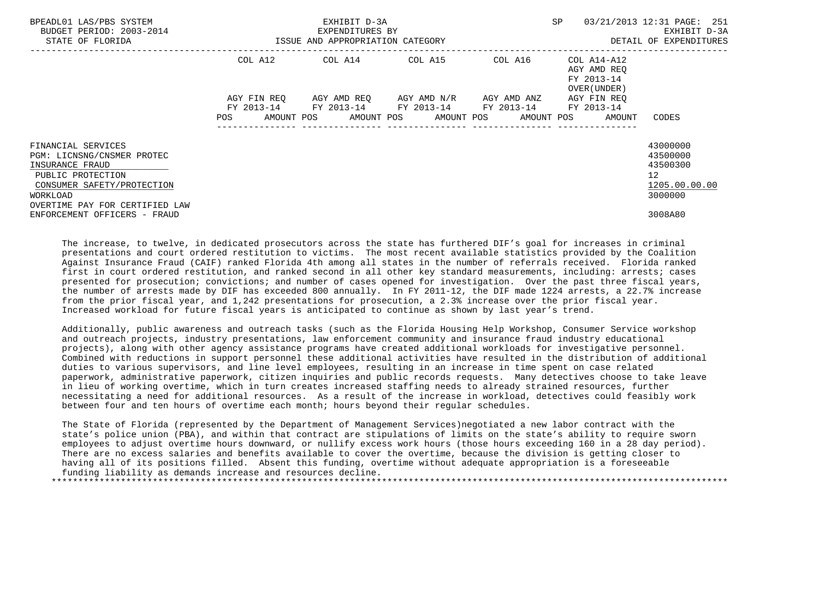| BPEADL01 LAS/PBS SYSTEM<br>BUDGET PERIOD: 2003-2014<br>STATE OF FLORIDA                                                                                              | ISSUE AND APPROPRIATION CATEGORY | EXHIBIT D-3A<br>EXPENDITURES BY                        | SP                                            | 03/21/2013 12:31 PAGE: 251<br>EXHIBIT D-3A<br>DETAIL OF EXPENDITURES |                                                                   |                                                                                   |
|----------------------------------------------------------------------------------------------------------------------------------------------------------------------|----------------------------------|--------------------------------------------------------|-----------------------------------------------|----------------------------------------------------------------------|-------------------------------------------------------------------|-----------------------------------------------------------------------------------|
|                                                                                                                                                                      | COL A12                          | COL A14 COL A15                                        |                                               | COL A16                                                              | COL A14-A12<br>AGY AMD REO<br>FY 2013-14<br>OVER (UNDER)          |                                                                                   |
|                                                                                                                                                                      | AGY FIN REO<br>POS               | FY 2013-14 FY 2013-14 FY 2013-14 FY 2013-14 FY 2013-14 | AGY AMD REO      AGY AMD N/R      AGY AMD ANZ |                                                                      | AGY FIN REO<br>AMOUNT POS AMOUNT POS AMOUNT POS AMOUNT POS AMOUNT | CODES                                                                             |
| FINANCIAL SERVICES<br>PGM: LICNSNG/CNSMER PROTEC<br>INSURANCE FRAUD<br>PUBLIC PROTECTION<br>CONSUMER SAFETY/PROTECTION<br>WORKLOAD<br>OVERTIME PAY FOR CERTIFIED LAW |                                  |                                                        |                                               |                                                                      |                                                                   | 43000000<br>43500000<br>43500300<br>$12 \overline{ }$<br>1205.00.00.00<br>3000000 |
| ENFORCEMENT OFFICERS - FRAUD                                                                                                                                         |                                  |                                                        |                                               |                                                                      |                                                                   | 3008A80                                                                           |

 The increase, to twelve, in dedicated prosecutors across the state has furthered DIF's goal for increases in criminal presentations and court ordered restitution to victims. The most recent available statistics provided by the Coalition Against Insurance Fraud (CAIF) ranked Florida 4th among all states in the number of referrals received. Florida ranked first in court ordered restitution, and ranked second in all other key standard measurements, including: arrests; cases presented for prosecution; convictions; and number of cases opened for investigation. Over the past three fiscal years, the number of arrests made by DIF has exceeded 800 annually. In FY 2011-12, the DIF made 1224 arrests, a 22.7% increase from the prior fiscal year, and 1,242 presentations for prosecution, a 2.3% increase over the prior fiscal year. Increased workload for future fiscal years is anticipated to continue as shown by last year's trend.

 Additionally, public awareness and outreach tasks (such as the Florida Housing Help Workshop, Consumer Service workshop and outreach projects, industry presentations, law enforcement community and insurance fraud industry educational projects), along with other agency assistance programs have created additional workloads for investigative personnel. Combined with reductions in support personnel these additional activities have resulted in the distribution of additional duties to various supervisors, and line level employees, resulting in an increase in time spent on case related paperwork, administrative paperwork, citizen inquiries and public records requests. Many detectives choose to take leave in lieu of working overtime, which in turn creates increased staffing needs to already strained resources, further necessitating a need for additional resources. As a result of the increase in workload, detectives could feasibly work between four and ten hours of overtime each month; hours beyond their regular schedules.

 The State of Florida (represented by the Department of Management Services)negotiated a new labor contract with the state's police union (PBA), and within that contract are stipulations of limits on the state's ability to require sworn employees to adjust overtime hours downward, or nullify excess work hours (those hours exceeding 160 in a 28 day period). There are no excess salaries and benefits available to cover the overtime, because the division is getting closer to having all of its positions filled. Absent this funding, overtime without adequate appropriation is a foreseeable funding liability as demands increase and resources decline. \*\*\*\*\*\*\*\*\*\*\*\*\*\*\*\*\*\*\*\*\*\*\*\*\*\*\*\*\*\*\*\*\*\*\*\*\*\*\*\*\*\*\*\*\*\*\*\*\*\*\*\*\*\*\*\*\*\*\*\*\*\*\*\*\*\*\*\*\*\*\*\*\*\*\*\*\*\*\*\*\*\*\*\*\*\*\*\*\*\*\*\*\*\*\*\*\*\*\*\*\*\*\*\*\*\*\*\*\*\*\*\*\*\*\*\*\*\*\*\*\*\*\*\*\*\*\*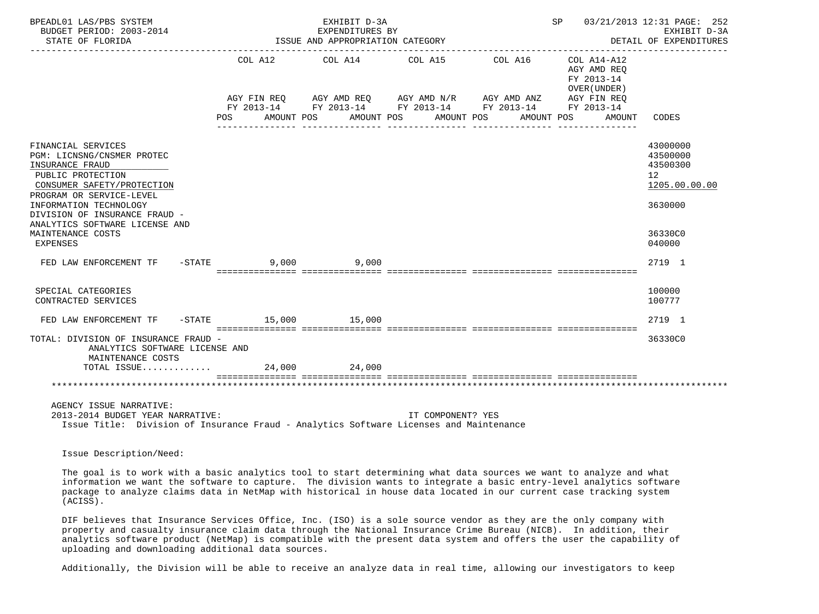| BPEADL01 LAS/PBS SYSTEM<br>BUDGET PERIOD: 2003-2014<br>STATE OF FLORIDA                                                                                                                                                                                                          |          | EXHIBIT D-3A<br>EXPENDITURES BY<br>ISSUE AND APPROPRIATION CATEGORY                                                                                                                      |                   | SP 03/21/2013 12:31 PAGE: 252 | EXHIBIT D-3A<br>DETAIL OF EXPENDITURES                            |                                                                                                      |
|----------------------------------------------------------------------------------------------------------------------------------------------------------------------------------------------------------------------------------------------------------------------------------|----------|------------------------------------------------------------------------------------------------------------------------------------------------------------------------------------------|-------------------|-------------------------------|-------------------------------------------------------------------|------------------------------------------------------------------------------------------------------|
|                                                                                                                                                                                                                                                                                  |          | COL A12 COL A14 COL A15<br>AGY FIN REQ AGY AMD REQ AGY AMD N/R AGY AMD ANZ AGY FIN REQ<br>FY 2013-14 FY 2013-14 FY 2013-14 FY 2013-14 FY 2013-14<br>POS AMOUNT POS AMOUNT POS AMOUNT POS |                   | COL A16 COL A14-A12           | AGY AMD REO<br>FY 2013-14<br>OVER (UNDER)<br>AMOUNT POS<br>AMOUNT | CODES                                                                                                |
| FINANCIAL SERVICES<br>PGM: LICNSNG/CNSMER PROTEC<br>INSURANCE FRAUD<br>PUBLIC PROTECTION<br>CONSUMER SAFETY/PROTECTION<br>PROGRAM OR SERVICE-LEVEL<br>INFORMATION TECHNOLOGY<br>DIVISION OF INSURANCE FRAUD -<br>ANALYTICS SOFTWARE LICENSE AND<br>MAINTENANCE COSTS<br>EXPENSES |          |                                                                                                                                                                                          |                   |                               |                                                                   | 43000000<br>43500000<br>43500300<br>12 <sup>°</sup><br>1205.00.00.00<br>3630000<br>36330C0<br>040000 |
| FED LAW ENFORCEMENT TF                                                                                                                                                                                                                                                           | $-STATE$ | $9,000$ $9,000$                                                                                                                                                                          |                   |                               |                                                                   | 2719 1                                                                                               |
| SPECIAL CATEGORIES<br>CONTRACTED SERVICES                                                                                                                                                                                                                                        |          |                                                                                                                                                                                          |                   |                               |                                                                   | 100000<br>100777                                                                                     |
| FED LAW ENFORCEMENT TF                                                                                                                                                                                                                                                           |          | -STATE 15,000 15,000                                                                                                                                                                     |                   |                               |                                                                   | 2719 1                                                                                               |
| TOTAL: DIVISION OF INSURANCE FRAUD -<br>ANALYTICS SOFTWARE LICENSE AND<br>MAINTENANCE COSTS<br>TOTAL ISSUE                                                                                                                                                                       |          | 24,000 24,000                                                                                                                                                                            |                   |                               |                                                                   | 36330C0                                                                                              |
|                                                                                                                                                                                                                                                                                  |          |                                                                                                                                                                                          |                   |                               |                                                                   |                                                                                                      |
| AGENCY ISSUE NARRATIVE:<br>2013-2014 BUDGET YEAR NARRATIVE:<br>Issue Title: Division of Insurance Fraud - Analytics Software Licenses and Maintenance                                                                                                                            |          |                                                                                                                                                                                          | IT COMPONENT? YES |                               |                                                                   |                                                                                                      |

Issue Description/Need:

 The goal is to work with a basic analytics tool to start determining what data sources we want to analyze and what information we want the software to capture. The division wants to integrate a basic entry-level analytics software package to analyze claims data in NetMap with historical in house data located in our current case tracking system (ACISS).

 DIF believes that Insurance Services Office, Inc. (ISO) is a sole source vendor as they are the only company with property and casualty insurance claim data through the National Insurance Crime Bureau (NICB). In addition, their analytics software product (NetMap) is compatible with the present data system and offers the user the capability of uploading and downloading additional data sources.

Additionally, the Division will be able to receive an analyze data in real time, allowing our investigators to keep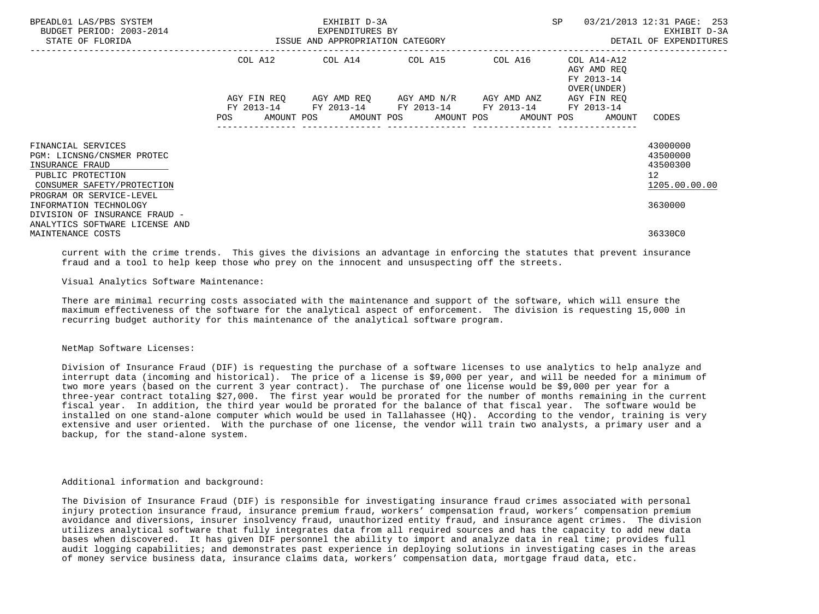| BPEADL01 LAS/PBS SYSTEM<br>BUDGET PERIOD: 2003-2014<br>STATE OF FLORIDA                                                                            | ISSUE AND APPROPRIATION CATEGORY | EXHIBIT D-3A<br>EXPENDITURES BY                                                                | SP      | 03/21/2013 12:31 PAGE: 253<br>EXHIBIT D-3A<br>DETAIL OF EXPENDITURES            |                                                                      |
|----------------------------------------------------------------------------------------------------------------------------------------------------|----------------------------------|------------------------------------------------------------------------------------------------|---------|---------------------------------------------------------------------------------|----------------------------------------------------------------------|
|                                                                                                                                                    |                                  | COL A12 COL A14 COL A15                                                                        | COL A16 | COL A14-A12<br>AGY AMD REO<br>FY 2013-14<br>OVER (UNDER)                        |                                                                      |
|                                                                                                                                                    | POS                              | AGY FIN REQ AGY AMD REQ AGY AMD N/R AGY AMD ANZ<br>FY 2013-14 FY 2013-14 FY 2013-14 FY 2013-14 |         | AGY FIN REO<br>FY 2013-14<br>AMOUNT POS AMOUNT POS AMOUNT POS AMOUNT POS AMOUNT | CODES                                                                |
| FINANCIAL SERVICES<br>PGM: LICNSNG/CNSMER PROTEC<br>INSURANCE FRAUD<br>PUBLIC PROTECTION<br>CONSUMER SAFETY/PROTECTION<br>PROGRAM OR SERVICE-LEVEL |                                  |                                                                                                |         |                                                                                 | 43000000<br>43500000<br>43500300<br>12 <sup>°</sup><br>1205.00.00.00 |
| INFORMATION TECHNOLOGY<br>DIVISION OF INSURANCE FRAUD -<br>ANALYTICS SOFTWARE LICENSE AND<br>MAINTENANCE COSTS                                     |                                  |                                                                                                |         |                                                                                 | 3630000<br>36330C0                                                   |

 current with the crime trends. This gives the divisions an advantage in enforcing the statutes that prevent insurance fraud and a tool to help keep those who prey on the innocent and unsuspecting off the streets.

Visual Analytics Software Maintenance:

 There are minimal recurring costs associated with the maintenance and support of the software, which will ensure the maximum effectiveness of the software for the analytical aspect of enforcement. The division is requesting 15,000 in recurring budget authority for this maintenance of the analytical software program.

## NetMap Software Licenses:

 Division of Insurance Fraud (DIF) is requesting the purchase of a software licenses to use analytics to help analyze and interrupt data (incoming and historical). The price of a license is \$9,000 per year, and will be needed for a minimum of two more years (based on the current 3 year contract). The purchase of one license would be \$9,000 per year for a three-year contract totaling \$27,000. The first year would be prorated for the number of months remaining in the current fiscal year. In addition, the third year would be prorated for the balance of that fiscal year. The software would be installed on one stand-alone computer which would be used in Tallahassee (HO). According to the vendor, training is very extensive and user oriented. With the purchase of one license, the vendor will train two analysts, a primary user and a backup, for the stand-alone system.

## Additional information and background:

 The Division of Insurance Fraud (DIF) is responsible for investigating insurance fraud crimes associated with personal injury protection insurance fraud, insurance premium fraud, workers' compensation fraud, workers' compensation premium avoidance and diversions, insurer insolvency fraud, unauthorized entity fraud, and insurance agent crimes. The division utilizes analytical software that fully integrates data from all required sources and has the capacity to add new data bases when discovered. It has given DIF personnel the ability to import and analyze data in real time; provides full audit logging capabilities; and demonstrates past experience in deploying solutions in investigating cases in the areas of money service business data, insurance claims data, workers' compensation data, mortgage fraud data, etc.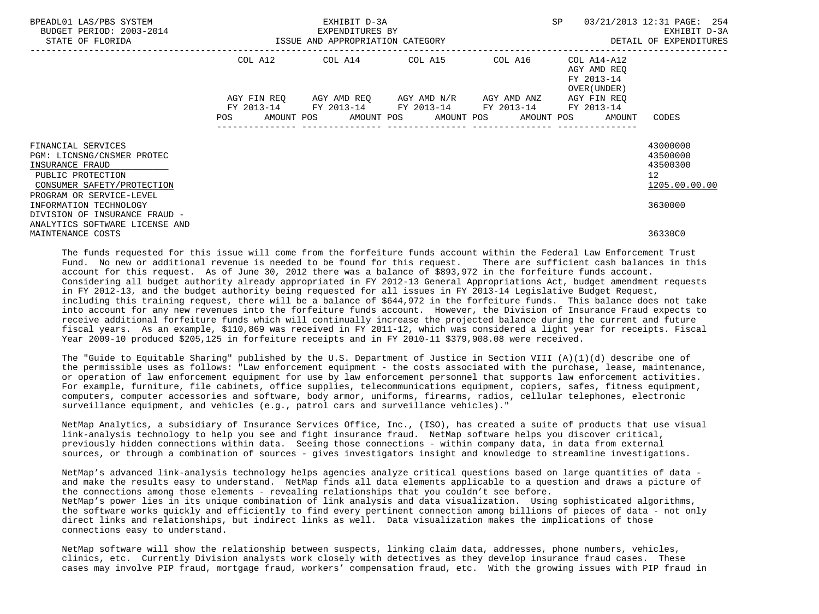| BPEADL01 LAS/PBS SYSTEM<br>BUDGET PERIOD: 2003-2014<br>STATE OF FLORIDA | ISSUE AND APPROPRIATION CATEGORY | EXHIBIT D-3A<br>EXPENDITURES BY | SP                                                                                              | 03/21/2013 12:31 PAGE: 254<br>EXHIBIT D-3A<br>DETAIL OF EXPENDITURES |                                                          |                      |
|-------------------------------------------------------------------------|----------------------------------|---------------------------------|-------------------------------------------------------------------------------------------------|----------------------------------------------------------------------|----------------------------------------------------------|----------------------|
|                                                                         | COL A12                          |                                 | COL A14 COL A15                                                                                 | COL A16                                                              | COL A14-A12<br>AGY AMD REO<br>FY 2013-14<br>OVER (UNDER) |                      |
|                                                                         | AGY FIN REO<br>FY 2013-14<br>POS |                                 | AGY AMD REO AGY AMD N/R<br>FY 2013-14 FY 2013-14 FY 2013-14<br>AMOUNT POS AMOUNT POS AMOUNT POS | AGY AMD ANZ                                                          | AGY FIN REO<br>FY 2013-14<br>AMOUNT POS<br>AMOUNT        | CODES                |
|                                                                         |                                  |                                 |                                                                                                 |                                                                      |                                                          |                      |
| FINANCIAL SERVICES                                                      |                                  |                                 |                                                                                                 |                                                                      |                                                          | 43000000             |
| PGM: LICNSNG/CNSMER PROTEC<br>INSURANCE FRAUD                           |                                  |                                 |                                                                                                 |                                                                      |                                                          | 43500000<br>43500300 |
| PUBLIC PROTECTION                                                       |                                  |                                 |                                                                                                 |                                                                      |                                                          | 12 <sup>°</sup>      |
| CONSUMER SAFETY/PROTECTION                                              |                                  |                                 |                                                                                                 |                                                                      |                                                          | 1205.00.00.00        |
| PROGRAM OR SERVICE-LEVEL                                                |                                  |                                 |                                                                                                 |                                                                      |                                                          |                      |
| INFORMATION TECHNOLOGY                                                  |                                  |                                 |                                                                                                 |                                                                      |                                                          | 3630000              |
| DIVISION OF INSURANCE FRAUD -                                           |                                  |                                 |                                                                                                 |                                                                      |                                                          |                      |
| ANALYTICS SOFTWARE LICENSE AND<br>MAINTENANCE COSTS                     |                                  |                                 |                                                                                                 |                                                                      |                                                          | 36330C0              |

The funds requested for this issue will come from the forfeiture funds account within the Federal Law Enforcement Trust<br>Fund. No new or additional revenue is needed to be found for this request. There are sufficient ca Fund. No new or additional revenue is needed to be found for this request. account for this request. As of June 30, 2012 there was a balance of \$893,972 in the forfeiture funds account. Considering all budget authority already appropriated in FY 2012-13 General Appropriations Act, budget amendment requests in FY 2012-13, and the budget authority being requested for all issues in FY 2013-14 Legislative Budget Request, including this training request, there will be a balance of \$644,972 in the forfeiture funds. This balance does not take into account for any new revenues into the forfeiture funds account. However, the Division of Insurance Fraud expects to receive additional forfeiture funds which will continually increase the projected balance during the current and future fiscal years. As an example, \$110,869 was received in FY 2011-12, which was considered a light year for receipts. Fiscal Year 2009-10 produced \$205,125 in forfeiture receipts and in FY 2010-11 \$379,908.08 were received.

 The "Guide to Equitable Sharing" published by the U.S. Department of Justice in Section VIII (A)(1)(d) describe one of the permissible uses as follows: "Law enforcement equipment - the costs associated with the purchase, lease, maintenance, or operation of law enforcement equipment for use by law enforcement personnel that supports law enforcement activities. For example, furniture, file cabinets, office supplies, telecommunications equipment, copiers, safes, fitness equipment, computers, computer accessories and software, body armor, uniforms, firearms, radios, cellular telephones, electronic surveillance equipment, and vehicles (e.g., patrol cars and surveillance vehicles)."

 NetMap Analytics, a subsidiary of Insurance Services Office, Inc., (ISO), has created a suite of products that use visual link-analysis technology to help you see and fight insurance fraud. NetMap software helps you discover critical, previously hidden connections within data. Seeing those connections - within company data, in data from external sources, or through a combination of sources - gives investigators insight and knowledge to streamline investigations.

 NetMap's advanced link-analysis technology helps agencies analyze critical questions based on large quantities of data and make the results easy to understand. NetMap finds all data elements applicable to a question and draws a picture of the connections among those elements - revealing relationships that you couldn't see before. NetMap's power lies in its unique combination of link analysis and data visualization. Using sophisticated algorithms, the software works quickly and efficiently to find every pertinent connection among billions of pieces of data - not only direct links and relationships, but indirect links as well. Data visualization makes the implications of those connections easy to understand.

 NetMap software will show the relationship between suspects, linking claim data, addresses, phone numbers, vehicles, clinics, etc. Currently Division analysts work closely with detectives as they develop insurance fraud cases. These cases may involve PIP fraud, mortgage fraud, workers' compensation fraud, etc. With the growing issues with PIP fraud in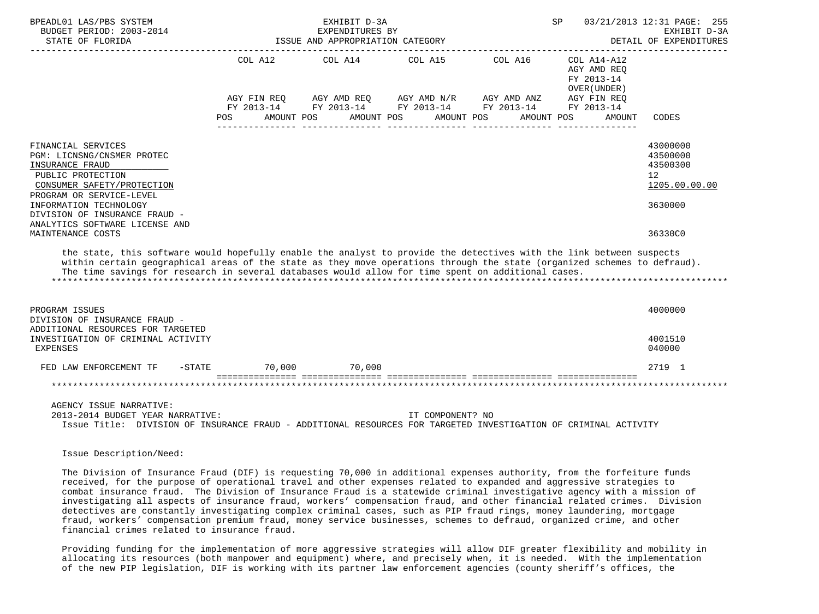| BPEADL01 LAS/PBS SYSTEM<br>BUDGET PERIOD: 2003-2014<br>STATE OF FLORIDA                                                                                                                                                                                                                                                                                |                        | EXHIBIT D-3A<br>EXPENDITURES BY<br>ISSUE AND APPROPRIATION CATEGORY |                                       |                                                                      | SP                                                                                              | 03/21/2013 12:31 PAGE: 255<br>EXHIBIT D-3A<br>DETAIL OF EXPENDITURES                       |
|--------------------------------------------------------------------------------------------------------------------------------------------------------------------------------------------------------------------------------------------------------------------------------------------------------------------------------------------------------|------------------------|---------------------------------------------------------------------|---------------------------------------|----------------------------------------------------------------------|-------------------------------------------------------------------------------------------------|--------------------------------------------------------------------------------------------|
|                                                                                                                                                                                                                                                                                                                                                        | AGY FIN REQ<br>POS FOR | COL A12 COL A14 COL A15 COL A16<br>AGY AMD REQ<br>AMOUNT POS        | AGY AMD N/R AGY AMD ANZ<br>AMOUNT POS | FY 2013-14 FY 2013-14 FY 2013-14 FY 2013-14 FY 2013-14<br>AMOUNT POS | COL A14-A12<br>AGY AMD REO<br>FY 2013-14<br>OVER (UNDER)<br>AGY FIN REO<br>AMOUNT POS<br>AMOUNT | CODES                                                                                      |
| FINANCIAL SERVICES<br>PGM: LICNSNG/CNSMER PROTEC<br>INSURANCE FRAUD<br>PUBLIC PROTECTION<br>CONSUMER SAFETY/PROTECTION<br>PROGRAM OR SERVICE-LEVEL<br>INFORMATION TECHNOLOGY<br>DIVISION OF INSURANCE FRAUD -<br>ANALYTICS SOFTWARE LICENSE AND<br>MAINTENANCE COSTS                                                                                   |                        |                                                                     |                                       |                                                                      |                                                                                                 | 43000000<br>43500000<br>43500300<br>12 <sup>°</sup><br>1205.00.00.00<br>3630000<br>36330C0 |
| the state, this software would hopefully enable the analyst to provide the detectives with the link between suspects<br>within certain geographical areas of the state as they move operations through the state (organized schemes to defraud).<br>The time savings for research in several databases would allow for time spent on additional cases. |                        |                                                                     |                                       |                                                                      |                                                                                                 |                                                                                            |
| PROGRAM ISSUES<br>DIVISION OF INSURANCE FRAUD -<br>ADDITIONAL RESOURCES FOR TARGETED<br>INVESTIGATION OF CRIMINAL ACTIVITY                                                                                                                                                                                                                             |                        |                                                                     |                                       |                                                                      |                                                                                                 | 4000000<br>4001510                                                                         |
| <b>EXPENSES</b>                                                                                                                                                                                                                                                                                                                                        |                        |                                                                     |                                       |                                                                      |                                                                                                 | 040000                                                                                     |
| FED LAW ENFORCEMENT TF<br>$- \text{STATE}$                                                                                                                                                                                                                                                                                                             |                        | 70,000 70,000                                                       |                                       |                                                                      |                                                                                                 | 2719 1<br>*********************                                                            |
| AGENCY ISSUE NARRATIVE:<br>2013-2014 BUDGET YEAR NARRATIVE:<br>Issue Title: DIVISION OF INSURANCE FRAUD - ADDITIONAL RESOURCES FOR TARGETED INVESTIGATION OF CRIMINAL ACTIVITY                                                                                                                                                                         |                        |                                                                     | IT COMPONENT? NO                      |                                                                      |                                                                                                 |                                                                                            |

Issue Description/Need:

 The Division of Insurance Fraud (DIF) is requesting 70,000 in additional expenses authority, from the forfeiture funds received, for the purpose of operational travel and other expenses related to expanded and aggressive strategies to combat insurance fraud. The Division of Insurance Fraud is a statewide criminal investigative agency with a mission of investigating all aspects of insurance fraud, workers' compensation fraud, and other financial related crimes. Division detectives are constantly investigating complex criminal cases, such as PIP fraud rings, money laundering, mortgage fraud, workers' compensation premium fraud, money service businesses, schemes to defraud, organized crime, and other financial crimes related to insurance fraud.

 Providing funding for the implementation of more aggressive strategies will allow DIF greater flexibility and mobility in allocating its resources (both manpower and equipment) where, and precisely when, it is needed. With the implementation of the new PIP legislation, DIF is working with its partner law enforcement agencies (county sheriff's offices, the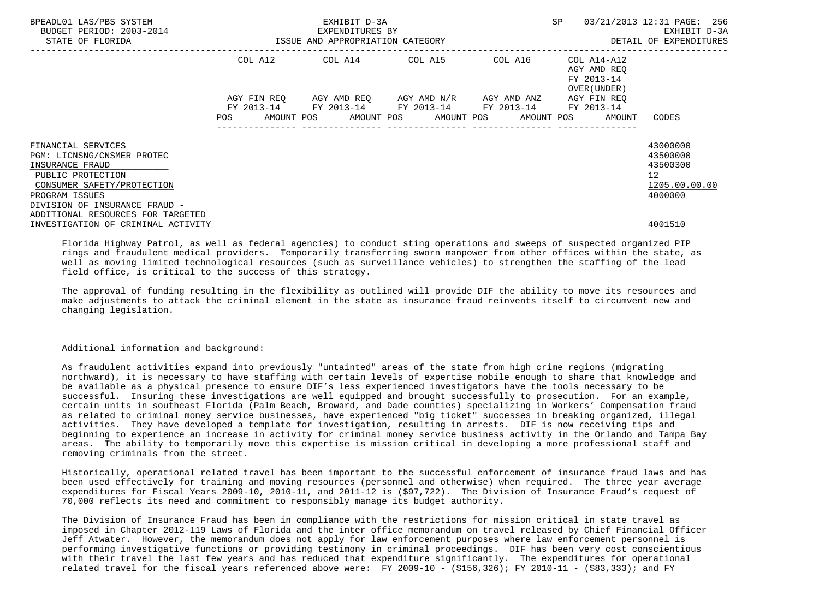| BPEADL01 LAS/PBS SYSTEM<br>BUDGET PERIOD: 2003-2014<br>STATE OF FLORIDA                                                                                                                                        | EXHIBIT D-3A<br>EXPENDITURES BY<br>ISSUE AND APPROPRIATION CATEGORY                                            |             |  |                                                                                               |  |  |  | <b>SP</b> |  | 03/21/2013 12:31 PAGE: 256<br>EXHIBIT D-3A<br>DETAIL OF EXPENDITURES |                                                                    |
|----------------------------------------------------------------------------------------------------------------------------------------------------------------------------------------------------------------|----------------------------------------------------------------------------------------------------------------|-------------|--|-----------------------------------------------------------------------------------------------|--|--|--|-----------|--|----------------------------------------------------------------------|--------------------------------------------------------------------|
|                                                                                                                                                                                                                |                                                                                                                |             |  | COL A12 COL A14 COL A15 COL A16                                                               |  |  |  |           |  | COL A14-A12<br>AGY AMD REO<br>FY 2013-14<br>OVER (UNDER)             |                                                                    |
|                                                                                                                                                                                                                |                                                                                                                | AGY FIN REO |  | AGY AMD REO AGY AMD N/R AGY AMD ANZ<br>FY 2013-14 FY 2013-14 FY 2013-14 FY 2013-14 FY 2013-14 |  |  |  |           |  | AGY FIN REO                                                          |                                                                    |
|                                                                                                                                                                                                                | POS FOR THE POST OF THE POST OF THE POST OF THE POST OF THE POST OF THE POST OF THE POST OF THE POST OF THE PO |             |  | AMOUNT POS AMOUNT POS AMOUNT POS AMOUNT POS AMOUNT                                            |  |  |  |           |  |                                                                      | CODES                                                              |
| FINANCIAL SERVICES<br>PGM: LICNSNG/CNSMER PROTEC<br>INSURANCE FRAUD<br>PUBLIC PROTECTION<br>CONSUMER SAFETY/PROTECTION<br>PROGRAM ISSUES<br>DIVISION OF INSURANCE FRAUD -<br>ADDITIONAL RESOURCES FOR TARGETED |                                                                                                                |             |  |                                                                                               |  |  |  |           |  |                                                                      | 43000000<br>43500000<br>43500300<br>12<br>1205.00.00.00<br>4000000 |
| INVESTIGATION OF CRIMINAL ACTIVITY                                                                                                                                                                             |                                                                                                                |             |  |                                                                                               |  |  |  |           |  |                                                                      | 4001510                                                            |

 Florida Highway Patrol, as well as federal agencies) to conduct sting operations and sweeps of suspected organized PIP rings and fraudulent medical providers. Temporarily transferring sworn manpower from other offices within the state, as well as moving limited technological resources (such as surveillance vehicles) to strengthen the staffing of the lead field office, is critical to the success of this strategy.

 The approval of funding resulting in the flexibility as outlined will provide DIF the ability to move its resources and make adjustments to attack the criminal element in the state as insurance fraud reinvents itself to circumvent new and changing legislation.

## Additional information and background:

 As fraudulent activities expand into previously "untainted" areas of the state from high crime regions (migrating northward), it is necessary to have staffing with certain levels of expertise mobile enough to share that knowledge and be available as a physical presence to ensure DIF's less experienced investigators have the tools necessary to be successful. Insuring these investigations are well equipped and brought successfully to prosecution. For an example, certain units in southeast Florida (Palm Beach, Broward, and Dade counties) specializing in Workers' Compensation fraud as related to criminal money service businesses, have experienced "big ticket" successes in breaking organized, illegal activities. They have developed a template for investigation, resulting in arrests. DIF is now receiving tips and beginning to experience an increase in activity for criminal money service business activity in the Orlando and Tampa Bay areas. The ability to temporarily move this expertise is mission critical in developing a more professional staff and removing criminals from the street.

 Historically, operational related travel has been important to the successful enforcement of insurance fraud laws and has been used effectively for training and moving resources (personnel and otherwise) when required. The three year average expenditures for Fiscal Years 2009-10, 2010-11, and 2011-12 is (\$97,722). The Division of Insurance Fraud's request of 70,000 reflects its need and commitment to responsibly manage its budget authority.

 The Division of Insurance Fraud has been in compliance with the restrictions for mission critical in state travel as imposed in Chapter 2012-119 Laws of Florida and the inter office memorandum on travel released by Chief Financial Officer Jeff Atwater. However, the memorandum does not apply for law enforcement purposes where law enforcement personnel is performing investigative functions or providing testimony in criminal proceedings. DIF has been very cost conscientious with their travel the last few years and has reduced that expenditure significantly. The expenditures for operational related travel for the fiscal years referenced above were: FY 2009-10 - (\$156,326); FY 2010-11 - (\$83,333); and FY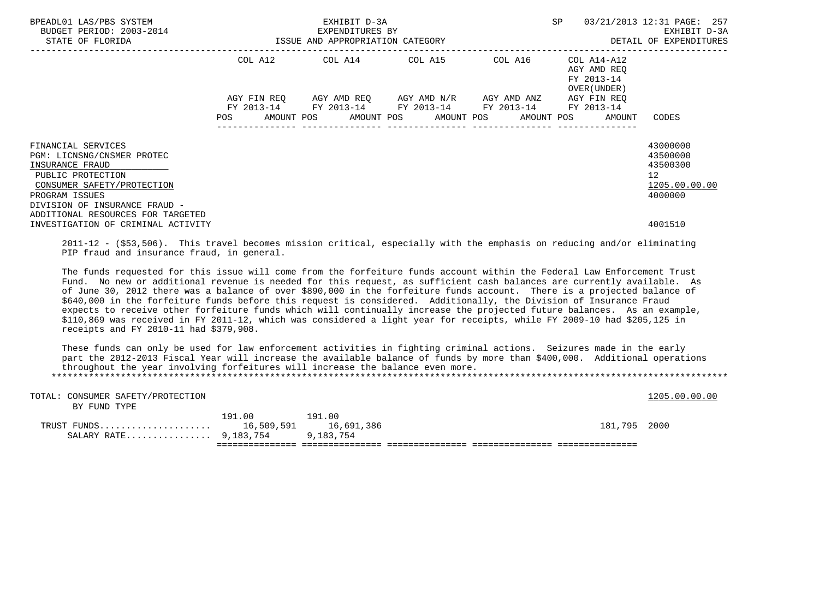| BPEADL01 LAS/PBS SYSTEM<br>BUDGET PERIOD: 2003-2014<br>STATE OF FLORIDA | EXHIBIT D-3A<br>EXPENDITURES BY<br>ISSUE AND APPROPRIATION CATEGORY                                            |             |  |                                                                                   |  |  |  | 03/21/2013 12:31 PAGE: 257<br>SP |  |                                                           | EXHIBIT D-3A<br>DETAIL OF EXPENDITURES |
|-------------------------------------------------------------------------|----------------------------------------------------------------------------------------------------------------|-------------|--|-----------------------------------------------------------------------------------|--|--|--|----------------------------------|--|-----------------------------------------------------------|----------------------------------------|
|                                                                         |                                                                                                                |             |  | COL A12 COL A14 COL A15 COL A16                                                   |  |  |  |                                  |  | COL A14-A12<br>AGY AMD REO<br>FY 2013-14<br>OVER (UNDER ) |                                        |
|                                                                         |                                                                                                                | AGY FIN REO |  | AGY AMD REO AGY AMD N/R<br>FY 2013-14 FY 2013-14 FY 2013-14 FY 2013-14 FY 2013-14 |  |  |  | AGY AMD ANZ                      |  | AGY FIN REO                                               |                                        |
|                                                                         | POS FOR THE POST OF THE POST OF THE POST OF THE POST OF THE POST OF THE POST OF THE POST OF THE POST OF THE PO |             |  | AMOUNT POS AMOUNT POS AMOUNT POS AMOUNT POS AMOUNT                                |  |  |  |                                  |  |                                                           | CODES                                  |
| FINANCIAL SERVICES<br>PGM: LICNSNG/CNSMER PROTEC                        |                                                                                                                |             |  |                                                                                   |  |  |  |                                  |  |                                                           | 43000000<br>43500000                   |
| INSURANCE FRAUD<br>PUBLIC PROTECTION<br>CONSUMER SAFETY/PROTECTION      |                                                                                                                |             |  |                                                                                   |  |  |  |                                  |  |                                                           | 43500300<br>12<br>1205.00.00.00        |
| PROGRAM ISSUES<br>DIVISION OF INSURANCE FRAUD -                         |                                                                                                                |             |  |                                                                                   |  |  |  |                                  |  |                                                           | 4000000                                |
| ADDITIONAL RESOURCES FOR TARGETED<br>INVESTIGATION OF CRIMINAL ACTIVITY |                                                                                                                |             |  |                                                                                   |  |  |  |                                  |  |                                                           | 4001510                                |

 2011-12 - (\$53,506). This travel becomes mission critical, especially with the emphasis on reducing and/or eliminating PIP fraud and insurance fraud, in general.

 The funds requested for this issue will come from the forfeiture funds account within the Federal Law Enforcement Trust Fund. No new or additional revenue is needed for this request, as sufficient cash balances are currently available. As of June 30, 2012 there was a balance of over \$890,000 in the forfeiture funds account. There is a projected balance of \$640,000 in the forfeiture funds before this request is considered. Additionally, the Division of Insurance Fraud expects to receive other forfeiture funds which will continually increase the projected future balances. As an example, \$110,869 was received in FY 2011-12, which was considered a light year for receipts, while FY 2009-10 had \$205,125 in receipts and FY 2010-11 had \$379,908.

 These funds can only be used for law enforcement activities in fighting criminal actions. Seizures made in the early part the 2012-2013 Fiscal Year will increase the available balance of funds by more than \$400,000. Additional operations throughout the year involving forfeitures will increase the balance even more. \*\*\*\*\*\*\*\*\*\*\*\*\*\*\*\*\*\*\*\*\*\*\*\*\*\*\*\*\*\*\*\*\*\*\*\*\*\*\*\*\*\*\*\*\*\*\*\*\*\*\*\*\*\*\*\*\*\*\*\*\*\*\*\*\*\*\*\*\*\*\*\*\*\*\*\*\*\*\*\*\*\*\*\*\*\*\*\*\*\*\*\*\*\*\*\*\*\*\*\*\*\*\*\*\*\*\*\*\*\*\*\*\*\*\*\*\*\*\*\*\*\*\*\*\*\*\*

| TOTAL: CONSUMER SAFETY/PROTECTION |        |        |              | 1205.00.00.00 |
|-----------------------------------|--------|--------|--------------|---------------|
| BY FUND TYPE                      |        |        |              |               |
|                                   | 191.00 | 191.00 |              |               |
| TRUST FUNDS 16,509,591 16,691,386 |        |        | 181,795 2000 |               |
| SALARY RATE 9,183,754 9,183,754   |        |        |              |               |
|                                   |        |        |              |               |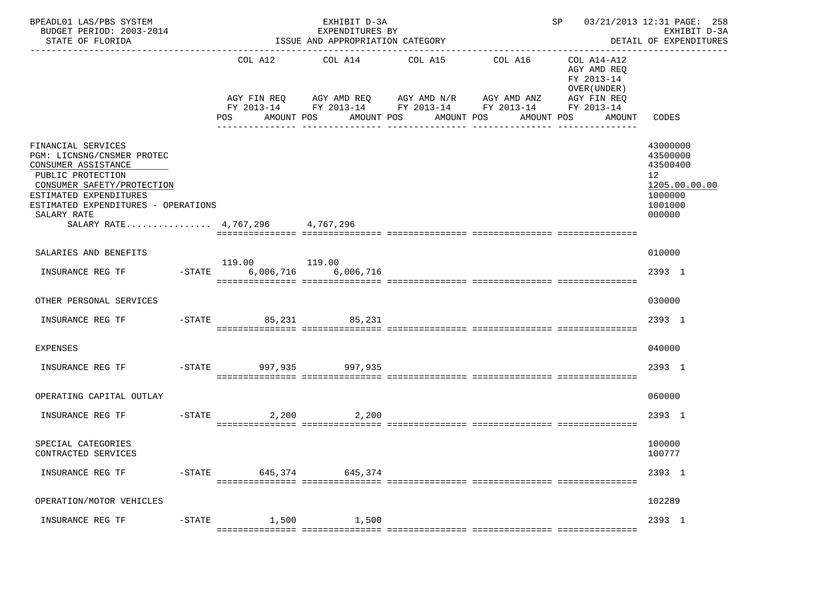| BPEADL01 LAS/PBS SYSTEM<br>BUDGET PERIOD: 2003-2014<br>STATE OF FLORIDA                                                                                                                                                                       |                                             | EXHIBIT D-3A<br>EXPENDITURES BY<br>ISSUE AND APPROPRIATION CATEGORY                                                                            | 03/21/2013 12:31 PAGE: 258<br>SP<br>EXHIBIT D-3A<br>DETAIL OF EXPENDITURES |                       |                                                                     |                                                                                                      |
|-----------------------------------------------------------------------------------------------------------------------------------------------------------------------------------------------------------------------------------------------|---------------------------------------------|------------------------------------------------------------------------------------------------------------------------------------------------|----------------------------------------------------------------------------|-----------------------|---------------------------------------------------------------------|------------------------------------------------------------------------------------------------------|
|                                                                                                                                                                                                                                               | COL A12<br>POS<br>AMOUNT POS                | COL A14<br>AGY FIN REQ AGY AMD REQ AGY AMD N/R AGY AMD ANZ AGY FIN REQ<br>FY 2013-14 FY 2013-14 FY 2013-14 FY 2013-14 FY 2013-14<br>AMOUNT POS | COL A15<br>AMOUNT POS                                                      | COL A16<br>AMOUNT POS | COL A14-A12<br>AGY AMD REO<br>FY 2013-14<br>OVER (UNDER )<br>AMOUNT | CODES                                                                                                |
| FINANCIAL SERVICES<br>PGM: LICNSNG/CNSMER PROTEC<br>CONSUMER ASSISTANCE<br>PUBLIC PROTECTION<br>CONSUMER SAFETY/PROTECTION<br>ESTIMATED EXPENDITURES<br>ESTIMATED EXPENDITURES - OPERATIONS<br>SALARY RATE<br>SALARY RATE 4,767,296 4,767,296 |                                             |                                                                                                                                                |                                                                            |                       |                                                                     | 43000000<br>43500000<br>43500400<br>12 <sup>1</sup><br>1205.00.00.00<br>1000000<br>1001000<br>000000 |
| SALARIES AND BENEFITS                                                                                                                                                                                                                         |                                             |                                                                                                                                                |                                                                            |                       |                                                                     | 010000                                                                                               |
| INSURANCE REG TF                                                                                                                                                                                                                              | 119.00 119.00<br>-STATE 6,006,716 6,006,716 |                                                                                                                                                |                                                                            |                       |                                                                     | 2393 1                                                                                               |
| OTHER PERSONAL SERVICES                                                                                                                                                                                                                       |                                             |                                                                                                                                                |                                                                            |                       |                                                                     | 030000                                                                                               |
| INSURANCE REG TF                                                                                                                                                                                                                              | -STATE 85,231 85,231                        |                                                                                                                                                |                                                                            |                       |                                                                     | 2393 1                                                                                               |
| <b>EXPENSES</b>                                                                                                                                                                                                                               |                                             |                                                                                                                                                |                                                                            |                       |                                                                     | 040000                                                                                               |
| INSURANCE REG TF                                                                                                                                                                                                                              | -STATE 997,935 997,935                      |                                                                                                                                                |                                                                            |                       |                                                                     | 2393 1                                                                                               |
| OPERATING CAPITAL OUTLAY                                                                                                                                                                                                                      |                                             |                                                                                                                                                |                                                                            |                       |                                                                     | 060000                                                                                               |
| INSURANCE REG TF                                                                                                                                                                                                                              | $-STATE$<br>2,200                           | 2,200                                                                                                                                          |                                                                            |                       |                                                                     | 2393 1                                                                                               |
| SPECIAL CATEGORIES<br>CONTRACTED SERVICES                                                                                                                                                                                                     |                                             |                                                                                                                                                |                                                                            |                       |                                                                     | 100000<br>100777                                                                                     |
| INSURANCE REG TF                                                                                                                                                                                                                              | -STATE 645,374 645,374                      |                                                                                                                                                |                                                                            |                       |                                                                     | 2393 1                                                                                               |
| OPERATION/MOTOR VEHICLES                                                                                                                                                                                                                      |                                             |                                                                                                                                                |                                                                            |                       |                                                                     | 102289                                                                                               |
| INSURANCE REG TF                                                                                                                                                                                                                              | -STATE 1,500 1,500                          |                                                                                                                                                |                                                                            |                       |                                                                     | 2393 1                                                                                               |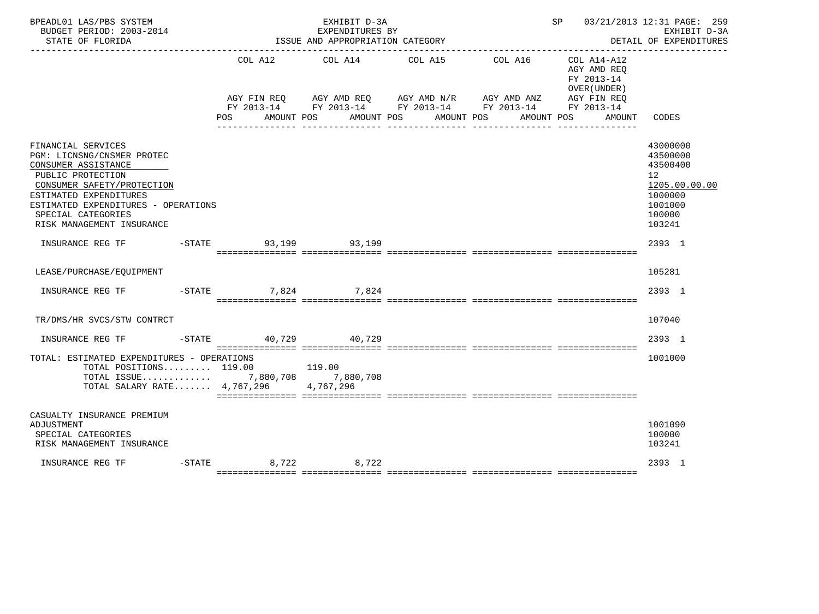| BPEADL01 LAS/PBS SYSTEM<br>BUDGET PERIOD: 2003-2014<br>STATE OF FLORIDA                                                                                                                                                                        |                      | EXHIBIT D-3A<br>EXPENDITURES BY<br>ISSUE AND APPROPRIATION CATEGORY |                                                                                                                                                                                                | SP 03/21/2013 12:31 PAGE: 259                                                     | EXHIBIT D-3A<br>DETAIL OF EXPENDITURES                                                                         |
|------------------------------------------------------------------------------------------------------------------------------------------------------------------------------------------------------------------------------------------------|----------------------|---------------------------------------------------------------------|------------------------------------------------------------------------------------------------------------------------------------------------------------------------------------------------|-----------------------------------------------------------------------------------|----------------------------------------------------------------------------------------------------------------|
|                                                                                                                                                                                                                                                | POS                  | COL A12 COL A14 COL A15<br>AMOUNT POS AMOUNT POS AMOUNT POS         | COL A16<br>AGY FIN REQ        AGY AMD REQ        AGY AMD N/R        AGY AMD ANZ         AGY FIN REQ<br>FY 2013-14         FY 2013-14         FY 2013-14          FY 2013-14         FY 2013-14 | COL A14-A12<br>AGY AMD REQ<br>FY 2013-14<br>OVER (UNDER )<br>AMOUNT POS<br>AMOUNT | CODES                                                                                                          |
| FINANCIAL SERVICES<br>PGM: LICNSNG/CNSMER PROTEC<br>CONSUMER ASSISTANCE<br>PUBLIC PROTECTION<br>CONSUMER SAFETY/PROTECTION<br>ESTIMATED EXPENDITURES<br>ESTIMATED EXPENDITURES - OPERATIONS<br>SPECIAL CATEGORIES<br>RISK MANAGEMENT INSURANCE |                      |                                                                     |                                                                                                                                                                                                |                                                                                   | 43000000<br>43500000<br>43500400<br>12 <sup>°</sup><br>1205.00.00.00<br>1000000<br>1001000<br>100000<br>103241 |
| INSURANCE REG TF    -STATE                                                                                                                                                                                                                     |                      | 93,199 93,199                                                       |                                                                                                                                                                                                |                                                                                   | 2393 1                                                                                                         |
| LEASE/PURCHASE/EQUIPMENT                                                                                                                                                                                                                       |                      |                                                                     |                                                                                                                                                                                                |                                                                                   | 105281                                                                                                         |
|                                                                                                                                                                                                                                                |                      |                                                                     |                                                                                                                                                                                                |                                                                                   | 2393 1                                                                                                         |
| TR/DMS/HR SVCS/STW CONTRCT                                                                                                                                                                                                                     |                      |                                                                     |                                                                                                                                                                                                |                                                                                   | 107040                                                                                                         |
| INSURANCE REG TF                                                                                                                                                                                                                               | -STATE 40,729 40,729 |                                                                     |                                                                                                                                                                                                |                                                                                   | 2393 1                                                                                                         |
| TOTAL: ESTIMATED EXPENDITURES - OPERATIONS<br>TOTAL POSITIONS 119.00 119.00<br>TOTAL ISSUE 7,880,708 7,880,708<br>TOTAL SALARY RATE 4,767,296 4,767,296                                                                                        |                      |                                                                     |                                                                                                                                                                                                |                                                                                   | 1001000                                                                                                        |
| CASUALTY INSURANCE PREMIUM<br>ADJUSTMENT<br>SPECIAL CATEGORIES<br>RISK MANAGEMENT INSURANCE                                                                                                                                                    |                      |                                                                     |                                                                                                                                                                                                |                                                                                   | 1001090<br>100000<br>103241                                                                                    |
| INSURANCE REG TF                                                                                                                                                                                                                               | -STATE 8,722 8,722   |                                                                     |                                                                                                                                                                                                |                                                                                   | 2393 1                                                                                                         |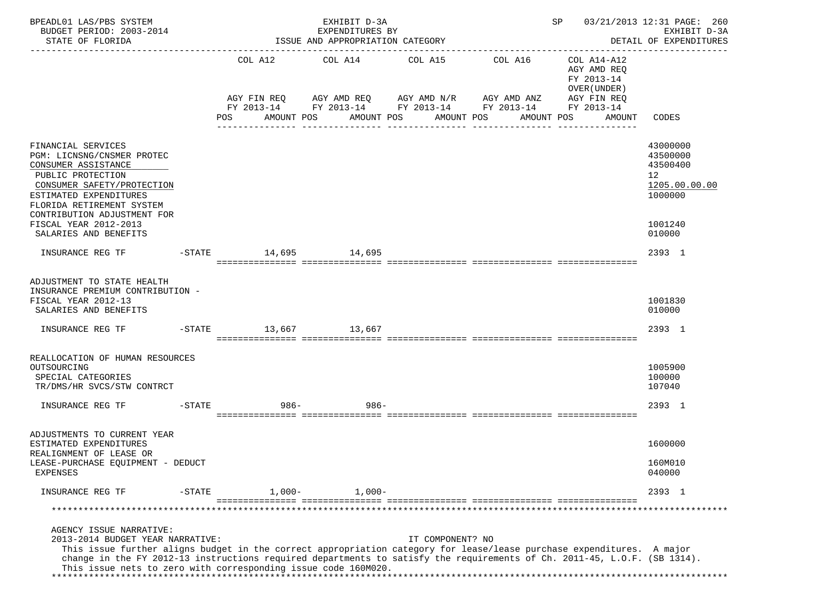| BPEADL01 LAS/PBS SYSTEM<br>BUDGET PERIOD: 2003-2014<br>STATE OF FLORIDA                                                                                                                                                                                                                                                                                                            |           |                                                               |            | EXPENDITURES BY | EXHIBIT D-3A | ISSUE AND APPROPRIATION CATEGORY          |                  |            |                                                                         |        | SP 03/21/2013 12:31 PAGE: 260<br>EXHIBIT D-3A<br>DETAIL OF EXPENDITURES<br>--------------- |
|------------------------------------------------------------------------------------------------------------------------------------------------------------------------------------------------------------------------------------------------------------------------------------------------------------------------------------------------------------------------------------|-----------|---------------------------------------------------------------|------------|-----------------|--------------|-------------------------------------------|------------------|------------|-------------------------------------------------------------------------|--------|--------------------------------------------------------------------------------------------|
|                                                                                                                                                                                                                                                                                                                                                                                    |           | AGY FIN REQ AGY AMD REQ AGY AMD N/R AGY AMD ANZ               |            |                 |              | COL A12 COL A14 COL A15                   |                  | COL A16    | COL A14-A12<br>AGY AMD REO<br>FY 2013-14<br>OVER (UNDER)<br>AGY FIN REQ |        |                                                                                            |
|                                                                                                                                                                                                                                                                                                                                                                                    |           | FY 2013-14 FY 2013-14 FY 2013-14 FY 2013-14 FY 2013-14<br>POS | AMOUNT POS |                 |              | AMOUNT POS AMOUNT POS<br>---------------- |                  | AMOUNT POS |                                                                         | AMOUNT | CODES                                                                                      |
| FINANCIAL SERVICES<br>PGM: LICNSNG/CNSMER PROTEC<br>CONSUMER ASSISTANCE<br>PUBLIC PROTECTION<br>CONSUMER SAFETY/PROTECTION<br>ESTIMATED EXPENDITURES<br>FLORIDA RETIREMENT SYSTEM                                                                                                                                                                                                  |           |                                                               |            |                 |              |                                           |                  |            |                                                                         |        | 43000000<br>43500000<br>43500400<br>12 <sup>°</sup><br>1205.00.00.00<br>1000000            |
| CONTRIBUTION ADJUSTMENT FOR<br>FISCAL YEAR 2012-2013<br>SALARIES AND BENEFITS                                                                                                                                                                                                                                                                                                      |           |                                                               |            |                 |              |                                           |                  |            |                                                                         |        | 1001240<br>010000                                                                          |
| INSURANCE REG TF                                                                                                                                                                                                                                                                                                                                                                   |           | $-$ STATE $ 14,695$ $14,695$                                  |            |                 |              |                                           |                  |            |                                                                         |        | 2393 1                                                                                     |
| ADJUSTMENT TO STATE HEALTH<br>INSURANCE PREMIUM CONTRIBUTION -<br>FISCAL YEAR 2012-13<br>SALARIES AND BENEFITS                                                                                                                                                                                                                                                                     |           |                                                               |            |                 |              |                                           |                  |            |                                                                         |        | 1001830<br>010000                                                                          |
| INSURANCE REG TF                                                                                                                                                                                                                                                                                                                                                                   |           | $-STATE$ 13,667 13,667                                        |            |                 |              |                                           |                  |            |                                                                         |        | 2393 1                                                                                     |
| REALLOCATION OF HUMAN RESOURCES<br>OUTSOURCING<br>SPECIAL CATEGORIES<br>TR/DMS/HR SVCS/STW CONTRCT                                                                                                                                                                                                                                                                                 |           |                                                               |            |                 |              |                                           |                  |            |                                                                         |        | 1005900<br>100000<br>107040                                                                |
| INSURANCE REG TF                                                                                                                                                                                                                                                                                                                                                                   |           | $-STATE$                                                      | 986-       |                 | $986 -$      |                                           |                  |            |                                                                         |        | 2393 1                                                                                     |
| ADJUSTMENTS TO CURRENT YEAR<br>ESTIMATED EXPENDITURES<br>REALIGNMENT OF LEASE OR                                                                                                                                                                                                                                                                                                   |           |                                                               |            |                 |              |                                           |                  |            |                                                                         |        | 1600000                                                                                    |
| LEASE-PURCHASE EQUIPMENT - DEDUCT<br><b>EXPENSES</b>                                                                                                                                                                                                                                                                                                                               |           |                                                               |            |                 |              |                                           |                  |            |                                                                         |        | 160M010<br>040000                                                                          |
| INSURANCE REG TF                                                                                                                                                                                                                                                                                                                                                                   | $-$ STATE |                                                               | $1,000-$   |                 | $1,000-$     |                                           |                  |            |                                                                         |        | 2393 1                                                                                     |
|                                                                                                                                                                                                                                                                                                                                                                                    |           |                                                               |            |                 |              |                                           |                  |            |                                                                         |        | ******************                                                                         |
| AGENCY ISSUE NARRATIVE:<br>2013-2014 BUDGET YEAR NARRATIVE:<br>This issue further aligns budget in the correct appropriation category for lease/lease purchase expenditures. A major<br>change in the FY 2012-13 instructions required departments to satisfy the requirements of Ch. 2011-45, L.O.F. (SB 1314).<br>This issue nets to zero with corresponding issue code 160M020. |           |                                                               |            |                 |              |                                           | IT COMPONENT? NO |            |                                                                         |        |                                                                                            |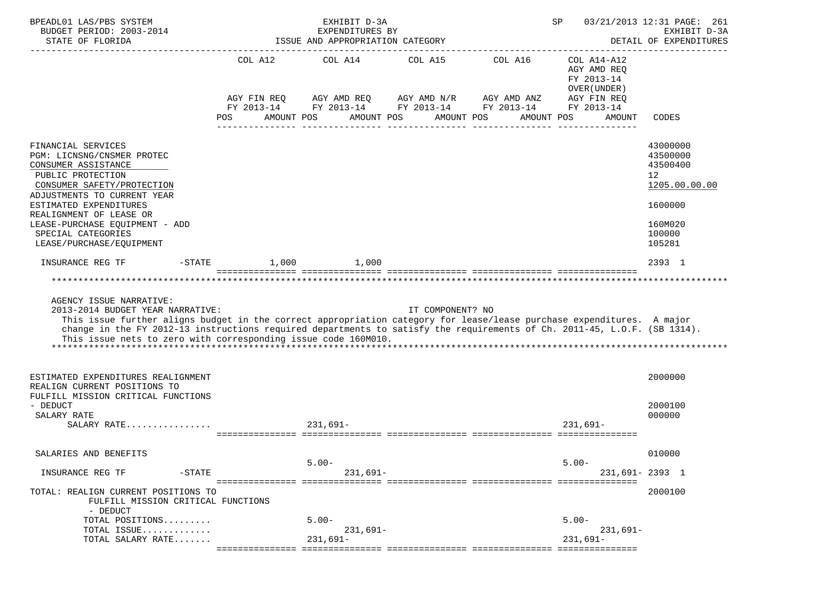| BPEADL01 LAS/PBS SYSTEM                                                                                                                                                                    |                    | EXHIBIT D-3A                                        |                                                 | SP                                          |                            | 03/21/2013 12:31 PAGE: 261             |
|--------------------------------------------------------------------------------------------------------------------------------------------------------------------------------------------|--------------------|-----------------------------------------------------|-------------------------------------------------|---------------------------------------------|----------------------------|----------------------------------------|
| BUDGET PERIOD: 2003-2014<br>STATE OF FLORIDA                                                                                                                                               |                    | EXPENDITURES BY<br>ISSUE AND APPROPRIATION CATEGORY |                                                 |                                             |                            | EXHIBIT D-3A<br>DETAIL OF EXPENDITURES |
|                                                                                                                                                                                            |                    |                                                     |                                                 |                                             |                            |                                        |
|                                                                                                                                                                                            |                    | COL A12 COL A14                                     | COL A15 COL A16                                 |                                             | COL A14-A12                |                                        |
|                                                                                                                                                                                            |                    |                                                     |                                                 |                                             | AGY AMD REQ                |                                        |
|                                                                                                                                                                                            |                    |                                                     |                                                 |                                             | FY 2013-14<br>OVER (UNDER) |                                        |
|                                                                                                                                                                                            |                    |                                                     | AGY FIN REQ AGY AMD REQ AGY AMD N/R AGY AMD ANZ |                                             | AGY FIN REQ                |                                        |
|                                                                                                                                                                                            |                    |                                                     |                                                 | FY 2013-14 FY 2013-14 FY 2013-14 FY 2013-14 | FY 2013-14                 |                                        |
|                                                                                                                                                                                            | POS<br>AMOUNT POS  |                                                     | AMOUNT POS<br>AMOUNT POS                        | AMOUNT POS                                  | AMOUNT                     | CODES                                  |
|                                                                                                                                                                                            |                    |                                                     |                                                 |                                             |                            |                                        |
| FINANCIAL SERVICES                                                                                                                                                                         |                    |                                                     |                                                 |                                             |                            | 43000000                               |
| PGM: LICNSNG/CNSMER PROTEC                                                                                                                                                                 |                    |                                                     |                                                 |                                             |                            | 43500000                               |
| CONSUMER ASSISTANCE                                                                                                                                                                        |                    |                                                     |                                                 |                                             |                            | 43500400                               |
| PUBLIC PROTECTION                                                                                                                                                                          |                    |                                                     |                                                 |                                             |                            | 12 <sup>°</sup>                        |
| CONSUMER SAFETY/PROTECTION                                                                                                                                                                 |                    |                                                     |                                                 |                                             |                            | 1205.00.00.00                          |
| ADJUSTMENTS TO CURRENT YEAR                                                                                                                                                                |                    |                                                     |                                                 |                                             |                            |                                        |
| ESTIMATED EXPENDITURES                                                                                                                                                                     |                    |                                                     |                                                 |                                             |                            | 1600000                                |
| REALIGNMENT OF LEASE OR<br>LEASE-PURCHASE EQUIPMENT - ADD                                                                                                                                  |                    |                                                     |                                                 |                                             |                            | 160M020                                |
| SPECIAL CATEGORIES                                                                                                                                                                         |                    |                                                     |                                                 |                                             |                            | 100000                                 |
| LEASE/PURCHASE/EOUIPMENT                                                                                                                                                                   |                    |                                                     |                                                 |                                             |                            | 105281                                 |
|                                                                                                                                                                                            |                    |                                                     |                                                 |                                             |                            |                                        |
| INSURANCE REG TF                                                                                                                                                                           | $-$ STATE<br>1,000 | 1,000                                               |                                                 |                                             |                            | 2393 1                                 |
|                                                                                                                                                                                            |                    |                                                     |                                                 |                                             |                            |                                        |
|                                                                                                                                                                                            |                    |                                                     |                                                 |                                             |                            |                                        |
| AGENCY ISSUE NARRATIVE:                                                                                                                                                                    |                    |                                                     |                                                 |                                             |                            |                                        |
| 2013-2014 BUDGET YEAR NARRATIVE:                                                                                                                                                           |                    |                                                     | IT COMPONENT? NO                                |                                             |                            |                                        |
| This issue further aligns budget in the correct appropriation category for lease/lease purchase expenditures. A major                                                                      |                    |                                                     |                                                 |                                             |                            |                                        |
| change in the FY 2012-13 instructions required departments to satisfy the requirements of Ch. 2011-45, L.O.F. (SB 1314).<br>This issue nets to zero with corresponding issue code 160M010. |                    |                                                     |                                                 |                                             |                            |                                        |
|                                                                                                                                                                                            |                    |                                                     |                                                 |                                             |                            |                                        |
|                                                                                                                                                                                            |                    |                                                     |                                                 |                                             |                            |                                        |
|                                                                                                                                                                                            |                    |                                                     |                                                 |                                             |                            |                                        |
| ESTIMATED EXPENDITURES REALIGNMENT<br>REALIGN CURRENT POSITIONS TO                                                                                                                         |                    |                                                     |                                                 |                                             |                            | 2000000                                |
| FULFILL MISSION CRITICAL FUNCTIONS                                                                                                                                                         |                    |                                                     |                                                 |                                             |                            |                                        |
| - DEDUCT                                                                                                                                                                                   |                    |                                                     |                                                 |                                             |                            | 2000100                                |
| SALARY RATE                                                                                                                                                                                |                    |                                                     |                                                 |                                             |                            | 000000                                 |
| SALARY RATE                                                                                                                                                                                |                    | $231,691-$                                          |                                                 |                                             | $231.691 -$                |                                        |
|                                                                                                                                                                                            |                    |                                                     |                                                 |                                             |                            |                                        |
| SALARIES AND BENEFITS                                                                                                                                                                      |                    |                                                     |                                                 |                                             |                            | 010000                                 |
|                                                                                                                                                                                            |                    | $5.00 -$                                            |                                                 |                                             | $5.00 -$                   |                                        |
| INSURANCE REG TF                                                                                                                                                                           | $-$ STATE          | $231,691-$                                          |                                                 |                                             | 231,691-2393 1             |                                        |
| TOTAL: REALIGN CURRENT POSITIONS TO                                                                                                                                                        |                    |                                                     |                                                 |                                             |                            | 2000100                                |
| FULFILL MISSION CRITICAL FUNCTIONS                                                                                                                                                         |                    |                                                     |                                                 |                                             |                            |                                        |
| - DEDUCT                                                                                                                                                                                   |                    |                                                     |                                                 |                                             |                            |                                        |
| TOTAL POSITIONS                                                                                                                                                                            |                    | $5.00 -$                                            |                                                 |                                             | $5.00 -$                   |                                        |
| TOTAL ISSUE                                                                                                                                                                                |                    | $231,691-$                                          |                                                 |                                             | 231,691–                   |                                        |
| TOTAL SALARY RATE                                                                                                                                                                          |                    | $231,691-$                                          |                                                 |                                             | $231,691-$                 |                                        |
|                                                                                                                                                                                            |                    |                                                     |                                                 |                                             |                            |                                        |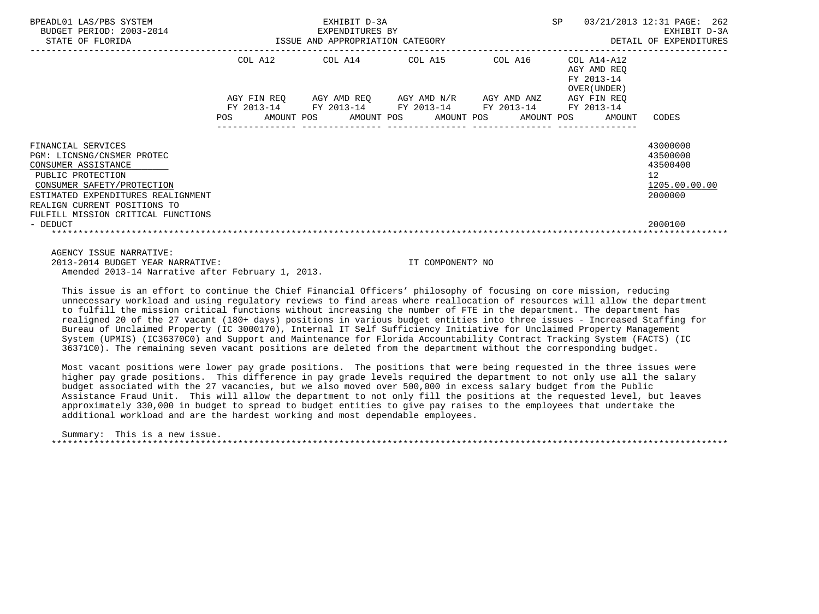| BPEADL01 LAS/PBS SYSTEM<br>BUDGET PERIOD: 2003-2014<br>STATE OF FLORIDA                                                                                                                          |         | EXHIBIT D-3A<br>3-2014 EXPENDITURES BY<br>ISSUE AND APPROPRIATION CATEGORY                     |  | SP                                                       | 03/21/2013 12:31 PAGE: 262<br>EXHIBIT D-3A<br>DETAIL OF EXPENDITURES            |
|--------------------------------------------------------------------------------------------------------------------------------------------------------------------------------------------------|---------|------------------------------------------------------------------------------------------------|--|----------------------------------------------------------|---------------------------------------------------------------------------------|
|                                                                                                                                                                                                  |         | COL A12 COL A14 COL A15 COL A16                                                                |  | COL A14-A12<br>AGY AMD REO<br>FY 2013-14<br>OVER (UNDER) |                                                                                 |
|                                                                                                                                                                                                  |         | AGY FIN REQ AGY AMD REQ AGY AMD N/R AGY AMD ANZ<br>FY 2013-14 FY 2013-14 FY 2013-14 FY 2013-14 |  | AGY FIN REO<br>FY 2013-14                                |                                                                                 |
|                                                                                                                                                                                                  | POS FOR |                                                                                                |  | AMOUNT POS AMOUNT POS AMOUNT POS AMOUNT POS AMOUNT       | CODES                                                                           |
| FINANCIAL SERVICES<br>PGM: LICNSNG/CNSMER PROTEC<br>CONSUMER ASSISTANCE<br>PUBLIC PROTECTION<br>CONSUMER SAFETY/PROTECTION<br>ESTIMATED EXPENDITURES REALIGNMENT<br>REALIGN CURRENT POSITIONS TO |         |                                                                                                |  |                                                          | 43000000<br>43500000<br>43500400<br>12 <sup>°</sup><br>1205.00.00.00<br>2000000 |
| FULFILL MISSION CRITICAL FUNCTIONS<br>- DEDUCT                                                                                                                                                   |         |                                                                                                |  |                                                          | 2000100                                                                         |
| AGENCY ISSUE NARRATIVE:                                                                                                                                                                          |         |                                                                                                |  |                                                          |                                                                                 |

 2013-2014 BUDGET YEAR NARRATIVE: IT COMPONENT? NO Amended 2013-14 Narrative after February 1, 2013.

 This issue is an effort to continue the Chief Financial Officers' philosophy of focusing on core mission, reducing unnecessary workload and using regulatory reviews to find areas where reallocation of resources will allow the department to fulfill the mission critical functions without increasing the number of FTE in the department. The department has realigned 20 of the 27 vacant (180+ days) positions in various budget entities into three issues - Increased Staffing for Bureau of Unclaimed Property (IC 3000170), Internal IT Self Sufficiency Initiative for Unclaimed Property Management System (UPMIS) (IC36370C0) and Support and Maintenance for Florida Accountability Contract Tracking System (FACTS) (IC 36371C0). The remaining seven vacant positions are deleted from the department without the corresponding budget.

 Most vacant positions were lower pay grade positions. The positions that were being requested in the three issues were higher pay grade positions. This difference in pay grade levels required the department to not only use all the salary budget associated with the 27 vacancies, but we also moved over 500,000 in excess salary budget from the Public Assistance Fraud Unit. This will allow the department to not only fill the positions at the requested level, but leaves approximately 330,000 in budget to spread to budget entities to give pay raises to the employees that undertake the additional workload and are the hardest working and most dependable employees.

 Summary: This is a new issue. \*\*\*\*\*\*\*\*\*\*\*\*\*\*\*\*\*\*\*\*\*\*\*\*\*\*\*\*\*\*\*\*\*\*\*\*\*\*\*\*\*\*\*\*\*\*\*\*\*\*\*\*\*\*\*\*\*\*\*\*\*\*\*\*\*\*\*\*\*\*\*\*\*\*\*\*\*\*\*\*\*\*\*\*\*\*\*\*\*\*\*\*\*\*\*\*\*\*\*\*\*\*\*\*\*\*\*\*\*\*\*\*\*\*\*\*\*\*\*\*\*\*\*\*\*\*\*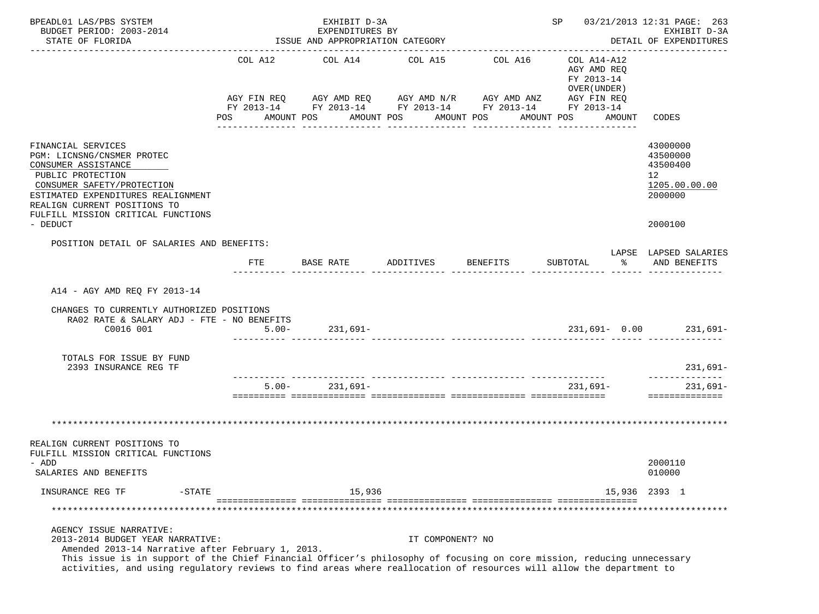| BPEADL01 LAS/PBS SYSTEM<br>BUDGET PERIOD: 2003-2014<br>STATE OF FLORIDA                                                                                                                                                                                                                                                                                           | EXHIBIT D-3A<br>EXPENDITURES BY<br>ISSUE AND APPROPRIATION CATEGORY |                                                                                                                                                                    |                    |                                  |                       |                  |                                 | SP 03/21/2013 12:31 PAGE: 263<br>EXHIBIT D-3A<br>DETAIL OF EXPENDITURES |                                                                                     |    |                                                                               |  |
|-------------------------------------------------------------------------------------------------------------------------------------------------------------------------------------------------------------------------------------------------------------------------------------------------------------------------------------------------------------------|---------------------------------------------------------------------|--------------------------------------------------------------------------------------------------------------------------------------------------------------------|--------------------|----------------------------------|-----------------------|------------------|---------------------------------|-------------------------------------------------------------------------|-------------------------------------------------------------------------------------|----|-------------------------------------------------------------------------------|--|
|                                                                                                                                                                                                                                                                                                                                                                   |                                                                     | COL A12 COL A14 COL A15<br>AGY FIN REQ AGY AMD REQ AGY AMD N/R AGY AMD ANZ AGY FIN REQ<br>FY 2013-14 FY 2013-14 FY 2013-14 FY 2013-14 FY 2013-14<br>POS AMOUNT POS |                    |                                  | AMOUNT POS AMOUNT POS |                  | COL A16                         |                                                                         | COL A14-A12<br>AGY AMD REO<br>FY 2013-14<br>OVER (UNDER)<br>AMOUNT POS AMOUNT CODES |    |                                                                               |  |
| FINANCIAL SERVICES<br>PGM: LICNSNG/CNSMER PROTEC<br>CONSUMER ASSISTANCE<br>PUBLIC PROTECTION<br>CONSUMER SAFETY/PROTECTION<br>ESTIMATED EXPENDITURES REALIGNMENT<br>REALIGN CURRENT POSITIONS TO<br>FULFILL MISSION CRITICAL FUNCTIONS<br>- DEDUCT                                                                                                                |                                                                     |                                                                                                                                                                    |                    |                                  |                       |                  |                                 |                                                                         |                                                                                     |    | 43000000<br>43500000<br>43500400<br>12<br>1205.00.00.00<br>2000000<br>2000100 |  |
| POSITION DETAIL OF SALARIES AND BENEFITS:                                                                                                                                                                                                                                                                                                                         |                                                                     |                                                                                                                                                                    |                    |                                  |                       |                  |                                 |                                                                         |                                                                                     |    | LAPSE LAPSED SALARIES                                                         |  |
|                                                                                                                                                                                                                                                                                                                                                                   |                                                                     | FTE                                                                                                                                                                | BASE RATE          |                                  | ADDITIVES             |                  | BENEFITS                        |                                                                         | SUBTOTAL                                                                            | ႜႂ | AND BENEFITS                                                                  |  |
| A14 - AGY AMD REQ FY 2013-14<br>CHANGES TO CURRENTLY AUTHORIZED POSITIONS<br>RA02 RATE & SALARY ADJ - FTE - NO BENEFITS<br>C0016 001<br>TOTALS FOR ISSUE BY FUND                                                                                                                                                                                                  |                                                                     | $5.00 -$                                                                                                                                                           | $231,691-$         |                                  |                       |                  |                                 |                                                                         |                                                                                     |    | 231,691- 0.00 231,691-                                                        |  |
| 2393 INSURANCE REG TF                                                                                                                                                                                                                                                                                                                                             |                                                                     |                                                                                                                                                                    |                    | ____ ______________ ____________ |                       |                  | _______________________________ |                                                                         |                                                                                     |    | $231,691-$<br>______________                                                  |  |
|                                                                                                                                                                                                                                                                                                                                                                   |                                                                     |                                                                                                                                                                    | $5.00 - 231,691 -$ |                                  |                       |                  |                                 |                                                                         | 231,691-                                                                            |    | 231,691-<br>==============                                                    |  |
|                                                                                                                                                                                                                                                                                                                                                                   |                                                                     |                                                                                                                                                                    |                    |                                  |                       |                  |                                 |                                                                         |                                                                                     |    |                                                                               |  |
| REALIGN CURRENT POSITIONS TO<br>FULFILL MISSION CRITICAL FUNCTIONS<br>- ADD<br>SALARIES AND BENEFITS                                                                                                                                                                                                                                                              |                                                                     |                                                                                                                                                                    |                    |                                  |                       |                  |                                 |                                                                         |                                                                                     |    | 2000110<br>010000                                                             |  |
| INSURANCE REG TF<br>$-STATE$                                                                                                                                                                                                                                                                                                                                      |                                                                     |                                                                                                                                                                    |                    | 15,936                           |                       |                  |                                 |                                                                         |                                                                                     |    | 15,936 2393 1                                                                 |  |
|                                                                                                                                                                                                                                                                                                                                                                   |                                                                     |                                                                                                                                                                    |                    |                                  |                       |                  |                                 |                                                                         |                                                                                     |    |                                                                               |  |
| AGENCY ISSUE NARRATIVE:<br>2013-2014 BUDGET YEAR NARRATIVE:<br>Amended 2013-14 Narrative after February 1, 2013.<br>This issue is in support of the Chief Financial Officer's philosophy of focusing on core mission, reducing unnecessary<br>activities, and using regulatory reviews to find areas where reallocation of resources will allow the department to |                                                                     |                                                                                                                                                                    |                    |                                  |                       | IT COMPONENT? NO |                                 |                                                                         |                                                                                     |    |                                                                               |  |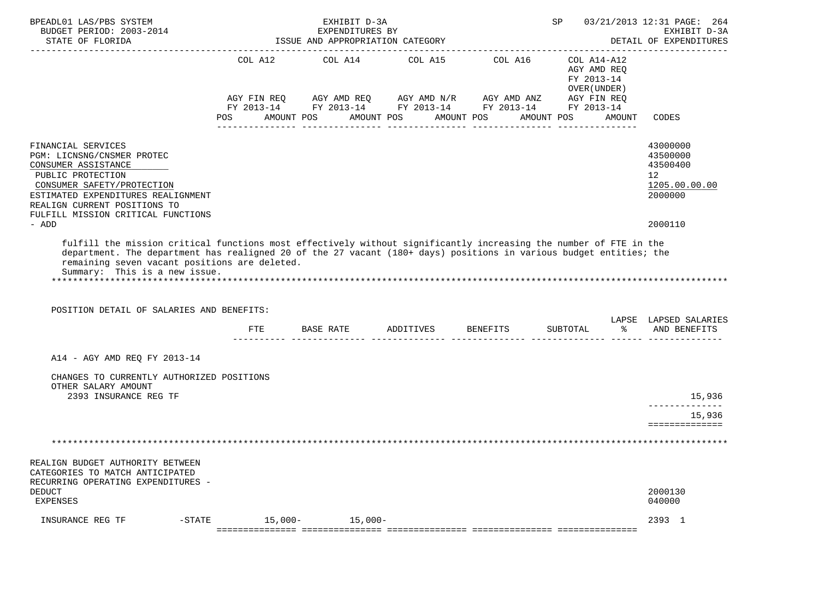| BPEADL01 LAS/PBS SYSTEM<br>BUDGET PERIOD: 2003-2014<br>STATE OF FLORIDA                                                                                                                                                                                                                                                                                                |                       | EXHIBIT D-3A<br>EXPENDITURES BY<br>ISSUE AND APPROPRIATION CATEGORY | 03/21/2013 12:31 PAGE: 264<br>SP and the set of the set of the set of the set of the set of the set of the set of the set of the set of the set of the set of the set of the set of the set of the set of the set of the set of the set of the set of the se<br>EXHIBIT D-3A<br>DETAIL OF EXPENDITURES |                                                                                                                                                        |                                                                                  |                                                                                            |
|------------------------------------------------------------------------------------------------------------------------------------------------------------------------------------------------------------------------------------------------------------------------------------------------------------------------------------------------------------------------|-----------------------|---------------------------------------------------------------------|--------------------------------------------------------------------------------------------------------------------------------------------------------------------------------------------------------------------------------------------------------------------------------------------------------|--------------------------------------------------------------------------------------------------------------------------------------------------------|----------------------------------------------------------------------------------|--------------------------------------------------------------------------------------------|
|                                                                                                                                                                                                                                                                                                                                                                        | COL A12<br><b>POS</b> | COL A14<br>AMOUNT POS                                               | AMOUNT POS                                                                                                                                                                                                                                                                                             | COL A15 COL A16<br>AGY FIN REQ AGY AMD REQ AGY AMD N/R AGY AMD ANZ AGY FIN REQ<br>FY 2013-14 FY 2013-14 FY 2013-14 FY 2013-14 FY 2013-14<br>AMOUNT POS | COL A14-A12<br>AGY AMD REQ<br>FY 2013-14<br>OVER (UNDER)<br>AMOUNT POS<br>AMOUNT | CODES                                                                                      |
| FINANCIAL SERVICES<br>PGM: LICNSNG/CNSMER PROTEC<br>CONSUMER ASSISTANCE<br>PUBLIC PROTECTION<br>CONSUMER SAFETY/PROTECTION<br>ESTIMATED EXPENDITURES REALIGNMENT<br>REALIGN CURRENT POSITIONS TO<br>FULFILL MISSION CRITICAL FUNCTIONS<br>- ADD                                                                                                                        |                       |                                                                     |                                                                                                                                                                                                                                                                                                        |                                                                                                                                                        |                                                                                  | 43000000<br>43500000<br>43500400<br>12 <sup>°</sup><br>1205.00.00.00<br>2000000<br>2000110 |
| fulfill the mission critical functions most effectively without significantly increasing the number of FTE in the<br>department. The department has realigned 20 of the 27 vacant (180+ days) positions in various budget entities; the<br>remaining seven vacant positions are deleted.<br>Summary: This is a new issue.<br>POSITION DETAIL OF SALARIES AND BENEFITS: |                       |                                                                     |                                                                                                                                                                                                                                                                                                        |                                                                                                                                                        | ိ<br>SUBTOTAL                                                                    | LAPSE LAPSED SALARIES<br>AND BENEFITS                                                      |
| A14 - AGY AMD REQ FY 2013-14                                                                                                                                                                                                                                                                                                                                           |                       |                                                                     |                                                                                                                                                                                                                                                                                                        |                                                                                                                                                        |                                                                                  |                                                                                            |
| CHANGES TO CURRENTLY AUTHORIZED POSITIONS<br>OTHER SALARY AMOUNT<br>2393 INSURANCE REG TF                                                                                                                                                                                                                                                                              |                       |                                                                     |                                                                                                                                                                                                                                                                                                        |                                                                                                                                                        |                                                                                  | 15,936<br>______________<br>15,936<br>==============                                       |
|                                                                                                                                                                                                                                                                                                                                                                        |                       |                                                                     |                                                                                                                                                                                                                                                                                                        |                                                                                                                                                        |                                                                                  |                                                                                            |
| REALIGN BUDGET AUTHORITY BETWEEN<br>CATEGORIES TO MATCH ANTICIPATED<br>RECURRING OPERATING EXPENDITURES -<br><b>DEDUCT</b><br>EXPENSES                                                                                                                                                                                                                                 |                       |                                                                     |                                                                                                                                                                                                                                                                                                        |                                                                                                                                                        |                                                                                  | 2000130<br>040000                                                                          |
| INSURANCE REG TF<br>$-$ STATE                                                                                                                                                                                                                                                                                                                                          | $15,000-$             | $15,000-$                                                           |                                                                                                                                                                                                                                                                                                        |                                                                                                                                                        |                                                                                  | 2393 1                                                                                     |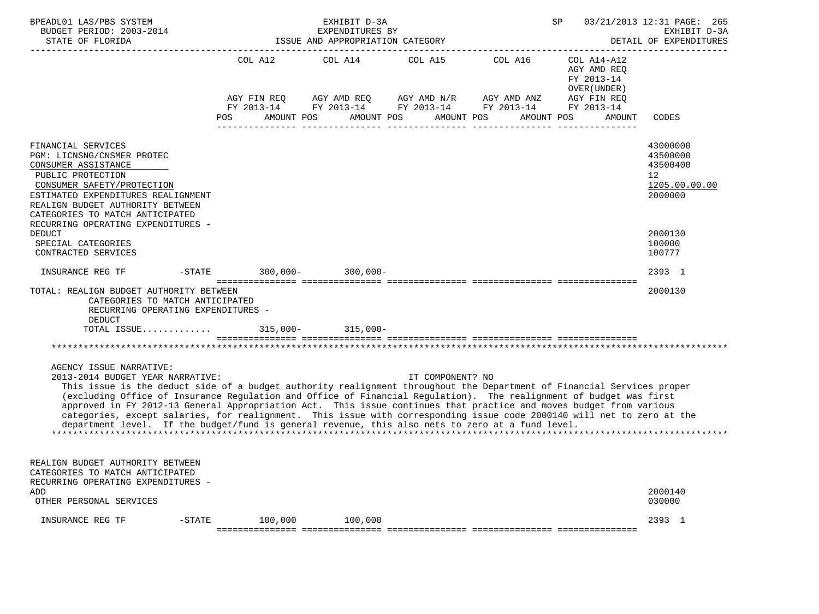| BPEADL01 LAS/PBS SYSTEM<br>BUDGET PERIOD: 2003-2014<br>STATE OF FLORIDA                                                                                                                                                                                                                                                                                                                                                                                                                                                                                                                                                                                         |                                                    | EXHIBIT D-3A<br>EXPENDITURES BY<br>ISSUE AND APPROPRIATION CATEGORY |                       | SP                                                                                                                                 | 03/21/2013 12:31 PAGE: 265<br>EXHIBIT D-3A<br>DETAIL OF EXPENDITURES   |                                                                                   |
|-----------------------------------------------------------------------------------------------------------------------------------------------------------------------------------------------------------------------------------------------------------------------------------------------------------------------------------------------------------------------------------------------------------------------------------------------------------------------------------------------------------------------------------------------------------------------------------------------------------------------------------------------------------------|----------------------------------------------------|---------------------------------------------------------------------|-----------------------|------------------------------------------------------------------------------------------------------------------------------------|------------------------------------------------------------------------|-----------------------------------------------------------------------------------|
|                                                                                                                                                                                                                                                                                                                                                                                                                                                                                                                                                                                                                                                                 | COL A12<br>AGY FIN REO<br>AMOUNT POS<br><b>POS</b> | COL A14<br>AMOUNT POS                                               | COL A15<br>AMOUNT POS | COL A16<br>AGY AMD REQ AGY AMD N/R AGY AMD ANZ AGY FIN REQ<br>FY 2013-14 FY 2013-14 FY 2013-14 FY 2013-14 FY 2013-14<br>AMOUNT POS | $COL A14 - A12$<br>AGY AMD REO<br>FY 2013-14<br>OVER (UNDER)<br>AMOUNT | CODES                                                                             |
| FINANCIAL SERVICES<br>PGM: LICNSNG/CNSMER PROTEC<br>CONSUMER ASSISTANCE<br>PUBLIC PROTECTION<br>CONSUMER SAFETY/PROTECTION<br>ESTIMATED EXPENDITURES REALIGNMENT<br>REALIGN BUDGET AUTHORITY BETWEEN<br>CATEGORIES TO MATCH ANTICIPATED<br>RECURRING OPERATING EXPENDITURES -                                                                                                                                                                                                                                                                                                                                                                                   |                                                    |                                                                     |                       |                                                                                                                                    |                                                                        | 43000000<br>43500000<br>43500400<br>$12 \overline{ }$<br>1205.00.00.00<br>2000000 |
| <b>DEDUCT</b><br>SPECIAL CATEGORIES<br>CONTRACTED SERVICES                                                                                                                                                                                                                                                                                                                                                                                                                                                                                                                                                                                                      |                                                    |                                                                     |                       |                                                                                                                                    |                                                                        | 2000130<br>100000<br>100777                                                       |
| INSURANCE REG TF                                                                                                                                                                                                                                                                                                                                                                                                                                                                                                                                                                                                                                                | -STATE 300,000- 300,000-                           |                                                                     |                       |                                                                                                                                    |                                                                        | 2393 1                                                                            |
| TOTAL: REALIGN BUDGET AUTHORITY BETWEEN<br>CATEGORIES TO MATCH ANTICIPATED<br>RECURRING OPERATING EXPENDITURES -<br><b>DEDUCT</b><br>TOTAL ISSUE                                                                                                                                                                                                                                                                                                                                                                                                                                                                                                                |                                                    | $315,000 - 315,000 -$                                               |                       |                                                                                                                                    |                                                                        | 2000130                                                                           |
|                                                                                                                                                                                                                                                                                                                                                                                                                                                                                                                                                                                                                                                                 |                                                    |                                                                     |                       |                                                                                                                                    |                                                                        |                                                                                   |
| AGENCY ISSUE NARRATIVE:<br>2013-2014 BUDGET YEAR NARRATIVE:<br>This issue is the deduct side of a budget authority realignment throughout the Department of Financial Services proper<br>(excluding Office of Insurance Regulation and Office of Financial Regulation). The realignment of budget was first<br>approved in FY 2012-13 General Appropriation Act. This issue continues that practice and moves budget from various<br>categories, except salaries, for realignment. This issue with corresponding issue code 2000140 will net to zero at the<br>department level. If the budget/fund is general revenue, this also nets to zero at a fund level. |                                                    |                                                                     | IT COMPONENT? NO      |                                                                                                                                    |                                                                        |                                                                                   |
| REALIGN BUDGET AUTHORITY BETWEEN<br>CATEGORIES TO MATCH ANTICIPATED<br>RECURRING OPERATING EXPENDITURES -                                                                                                                                                                                                                                                                                                                                                                                                                                                                                                                                                       |                                                    |                                                                     |                       |                                                                                                                                    |                                                                        | 2000140                                                                           |
| ADD<br>OTHER PERSONAL SERVICES                                                                                                                                                                                                                                                                                                                                                                                                                                                                                                                                                                                                                                  |                                                    |                                                                     |                       |                                                                                                                                    |                                                                        | 030000                                                                            |
| $- \text{STATE}$<br>INSURANCE REG TF                                                                                                                                                                                                                                                                                                                                                                                                                                                                                                                                                                                                                            | 100,000                                            | 100,000                                                             |                       |                                                                                                                                    |                                                                        | 2393 1                                                                            |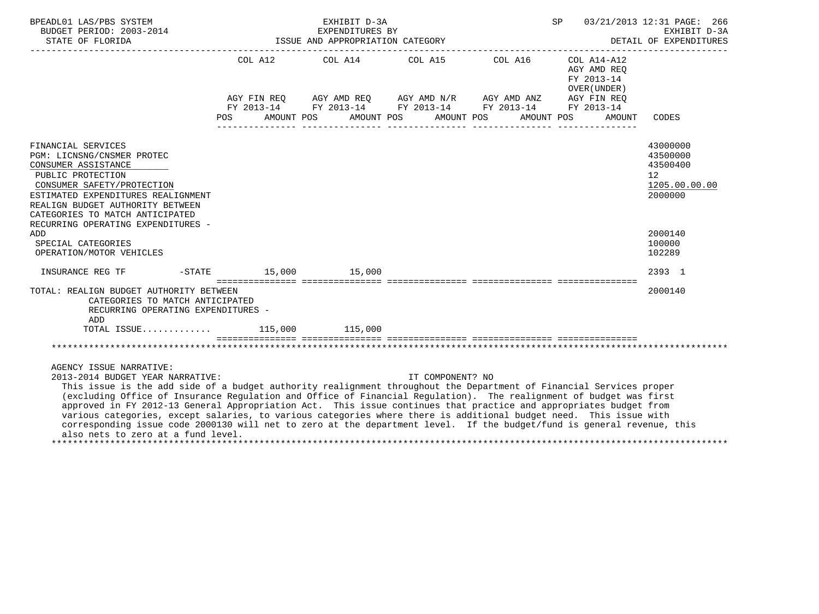| BPEADL01 LAS/PBS SYSTEM<br>BUDGET PERIOD: 2003-2014                                                                                                                                                                                                                                                                                                                                                                                                                                                                                                                                                                                                                                                                |  | SP 03/21/2013 12:31 PAGE: 266<br>EXHIBIT D-3A<br>DETAIL OF EXPENDITURES                                                                                                                                  |                                           |                                                                    |
|--------------------------------------------------------------------------------------------------------------------------------------------------------------------------------------------------------------------------------------------------------------------------------------------------------------------------------------------------------------------------------------------------------------------------------------------------------------------------------------------------------------------------------------------------------------------------------------------------------------------------------------------------------------------------------------------------------------------|--|----------------------------------------------------------------------------------------------------------------------------------------------------------------------------------------------------------|-------------------------------------------|--------------------------------------------------------------------|
| STATE OF FLORIDA                                                                                                                                                                                                                                                                                                                                                                                                                                                                                                                                                                                                                                                                                                   |  | ISSUE AND APPROPRIATION CATEGORY                                                                                                                                                                         |                                           |                                                                    |
|                                                                                                                                                                                                                                                                                                                                                                                                                                                                                                                                                                                                                                                                                                                    |  | COL A12 $\qquad$ COL A14 $\qquad$ COL A15 $\qquad$ COL A16 $\qquad$ COL A14-A12<br>AGY FIN REQ AGY AMD REQ AGY AMD N/R AGY AMD ANZ AGY FIN REQ<br>FY 2013-14 FY 2013-14 FY 2013-14 FY 2013-14 FY 2013-14 | AGY AMD REQ<br>FY 2013-14<br>OVER (UNDER) |                                                                    |
|                                                                                                                                                                                                                                                                                                                                                                                                                                                                                                                                                                                                                                                                                                                    |  | POS AMOUNT POS AMOUNT POS AMOUNT POS AMOUNT POS                                                                                                                                                          | AMOUNT                                    | CODES                                                              |
| FINANCIAL SERVICES<br>PGM: LICNSNG/CNSMER PROTEC<br>CONSUMER ASSISTANCE<br>PUBLIC PROTECTION<br>CONSUMER SAFETY/PROTECTION<br>ESTIMATED EXPENDITURES REALIGNMENT<br>REALIGN BUDGET AUTHORITY BETWEEN<br>CATEGORIES TO MATCH ANTICIPATED<br>RECURRING OPERATING EXPENDITURES -                                                                                                                                                                                                                                                                                                                                                                                                                                      |  |                                                                                                                                                                                                          |                                           | 43000000<br>43500000<br>43500400<br>12<br>1205.00.00.00<br>2000000 |
| ADD<br>SPECIAL CATEGORIES<br>OPERATION/MOTOR VEHICLES                                                                                                                                                                                                                                                                                                                                                                                                                                                                                                                                                                                                                                                              |  |                                                                                                                                                                                                          |                                           | 2000140<br>100000<br>102289                                        |
| INSURANCE REG TF    -STATE    15,000    15,000                                                                                                                                                                                                                                                                                                                                                                                                                                                                                                                                                                                                                                                                     |  |                                                                                                                                                                                                          |                                           | 2393 1                                                             |
| TOTAL: REALIGN BUDGET AUTHORITY BETWEEN<br>CATEGORIES TO MATCH ANTICIPATED<br>RECURRING OPERATING EXPENDITURES -<br>ADD<br>TOTAL ISSUE 115,000 115,000                                                                                                                                                                                                                                                                                                                                                                                                                                                                                                                                                             |  |                                                                                                                                                                                                          |                                           | 2000140                                                            |
|                                                                                                                                                                                                                                                                                                                                                                                                                                                                                                                                                                                                                                                                                                                    |  |                                                                                                                                                                                                          |                                           |                                                                    |
| AGENCY ISSUE NARRATIVE:<br>2013-2014 BUDGET YEAR NARRATIVE:<br>This issue is the add side of a budget authority realignment throughout the Department of Financial Services proper<br>(excluding Office of Insurance Regulation and Office of Financial Regulation). The realignment of budget was first<br>approved in FY 2012-13 General Appropriation Act. This issue continues that practice and appropriates budget from<br>various categories, except salaries, to various categories where there is additional budget need. This issue with<br>corresponding issue code 2000130 will net to zero at the department level. If the budget/fund is general revenue, this<br>also nets to zero at a fund level. |  | IT COMPONENT? NO                                                                                                                                                                                         |                                           |                                                                    |

\*\*\*\*\*\*\*\*\*\*\*\*\*\*\*\*\*\*\*\*\*\*\*\*\*\*\*\*\*\*\*\*\*\*\*\*\*\*\*\*\*\*\*\*\*\*\*\*\*\*\*\*\*\*\*\*\*\*\*\*\*\*\*\*\*\*\*\*\*\*\*\*\*\*\*\*\*\*\*\*\*\*\*\*\*\*\*\*\*\*\*\*\*\*\*\*\*\*\*\*\*\*\*\*\*\*\*\*\*\*\*\*\*\*\*\*\*\*\*\*\*\*\*\*\*\*\*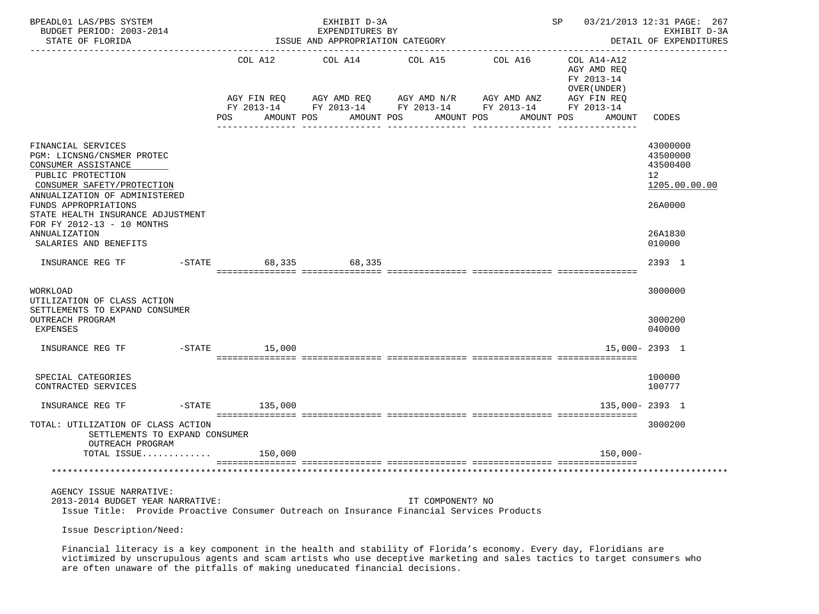| BPEADL01 LAS/PBS SYSTEM<br>BUDGET PERIOD: 2003-2014<br>STATE OF FLORIDA                                                                                                                                                                                                                          |                    | EXHIBIT D-3A<br>EXPENDITURES BY<br>ISSUE AND APPROPRIATION CATEGORY |                                                                                                                                        | -------------------------------- | 03/21/2013 12:31 PAGE: 267<br>SP<br>EXHIBIT D-3A<br>DETAIL OF EXPENDITURES |                                                                                         |  |  |
|--------------------------------------------------------------------------------------------------------------------------------------------------------------------------------------------------------------------------------------------------------------------------------------------------|--------------------|---------------------------------------------------------------------|----------------------------------------------------------------------------------------------------------------------------------------|----------------------------------|----------------------------------------------------------------------------|-----------------------------------------------------------------------------------------|--|--|
|                                                                                                                                                                                                                                                                                                  |                    | COL A12 COL A14                                                     | COL A15                                                                                                                                | COL A16 COL A14-A12              | AGY AMD REO<br>FY 2013-14<br>OVER (UNDER )                                 |                                                                                         |  |  |
|                                                                                                                                                                                                                                                                                                  | AGY FIN REQ<br>POS | AMOUNT POS                                                          | AGY AMD REQ      AGY AMD N/R      AGY AMD ANZ      AGY FIN REQ<br>FY 2013-14 FY 2013-14 FY 2013-14 FY 2013-14 FY 2013-14<br>AMOUNT POS | AMOUNT POS<br>AMOUNT POS         | AMOUNT                                                                     | CODES                                                                                   |  |  |
| FINANCIAL SERVICES<br>PGM: LICNSNG/CNSMER PROTEC<br>CONSUMER ASSISTANCE<br>PUBLIC PROTECTION<br>CONSUMER SAFETY/PROTECTION<br>ANNUALIZATION OF ADMINISTERED<br>FUNDS APPROPRIATIONS<br>STATE HEALTH INSURANCE ADJUSTMENT<br>FOR FY 2012-13 - 10 MONTHS<br>ANNUALIZATION<br>SALARIES AND BENEFITS |                    |                                                                     |                                                                                                                                        |                                  |                                                                            | 43000000<br>43500000<br>43500400<br>12<br>1205.00.00.00<br>26A0000<br>26A1830<br>010000 |  |  |
| INSURANCE REG TF -STATE                                                                                                                                                                                                                                                                          |                    | 68,335 68,335                                                       |                                                                                                                                        |                                  |                                                                            | 2393 1                                                                                  |  |  |
| WORKLOAD<br>UTILIZATION OF CLASS ACTION<br>SETTLEMENTS TO EXPAND CONSUMER<br>OUTREACH PROGRAM<br><b>EXPENSES</b>                                                                                                                                                                                 |                    |                                                                     |                                                                                                                                        |                                  |                                                                            | 3000000<br>3000200<br>040000                                                            |  |  |
| INSURANCE REG TF                                                                                                                                                                                                                                                                                 | $-$ STATE $15,000$ |                                                                     |                                                                                                                                        |                                  |                                                                            | $15,000 - 2393$ 1                                                                       |  |  |
| SPECIAL CATEGORIES<br>CONTRACTED SERVICES                                                                                                                                                                                                                                                        |                    |                                                                     |                                                                                                                                        |                                  |                                                                            | 100000<br>100777                                                                        |  |  |
| INSURANCE REG TF                                                                                                                                                                                                                                                                                 | $-$ STATE 135,000  |                                                                     |                                                                                                                                        |                                  | 135,000-2393 1                                                             |                                                                                         |  |  |
| TOTAL: UTILIZATION OF CLASS ACTION<br>SETTLEMENTS TO EXPAND CONSUMER<br>OUTREACH PROGRAM                                                                                                                                                                                                         |                    |                                                                     |                                                                                                                                        |                                  |                                                                            | 3000200                                                                                 |  |  |
| TOTAL ISSUE                                                                                                                                                                                                                                                                                      | 150,000            |                                                                     |                                                                                                                                        |                                  | $150,000 -$                                                                |                                                                                         |  |  |
|                                                                                                                                                                                                                                                                                                  |                    |                                                                     |                                                                                                                                        |                                  |                                                                            |                                                                                         |  |  |
| AGENCY ISSUE NARRATIVE:<br>2013-2014 BUDGET YEAR NARRATIVE:<br>Issue Title: Provide Proactive Consumer Outreach on Insurance Financial Services Products                                                                                                                                         |                    |                                                                     | IT COMPONENT? NO                                                                                                                       |                                  |                                                                            |                                                                                         |  |  |

Issue Description/Need:

 Financial literacy is a key component in the health and stability of Florida's economy. Every day, Floridians are victimized by unscrupulous agents and scam artists who use deceptive marketing and sales tactics to target consumers who are often unaware of the pitfalls of making uneducated financial decisions.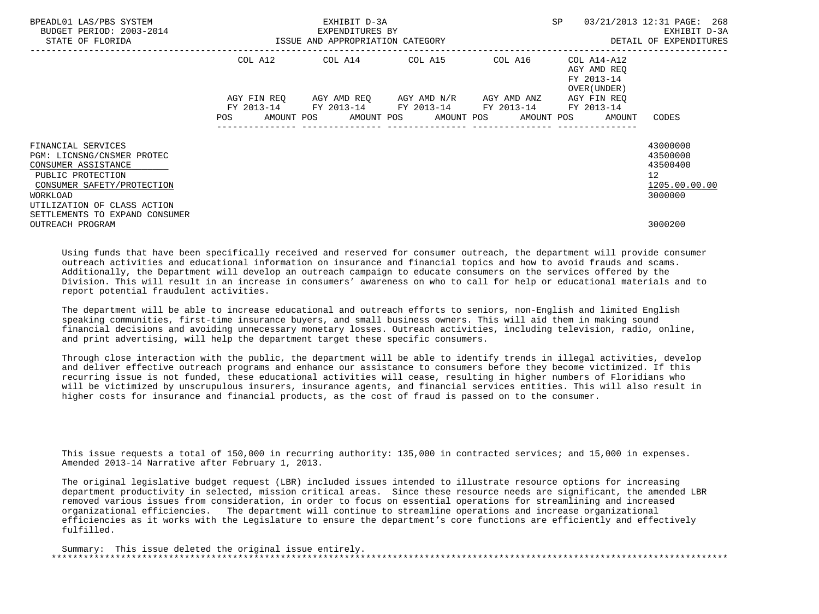| BPEADL01 LAS/PBS SYSTEM<br>BUDGET PERIOD: 2003-2014<br>STATE OF FLORIDA                                                                                                                                 | ISSUE AND APPROPRIATION CATEGORY | EXHIBIT D-3A<br>EXPENDITURES BY                        | SP                                  | 03/21/2013 12:31 PAGE: 268<br>EXHIBIT D-3A<br>DETAIL OF EXPENDITURES |                                                                   |                                                                    |
|---------------------------------------------------------------------------------------------------------------------------------------------------------------------------------------------------------|----------------------------------|--------------------------------------------------------|-------------------------------------|----------------------------------------------------------------------|-------------------------------------------------------------------|--------------------------------------------------------------------|
|                                                                                                                                                                                                         |                                  | COL A12 COL A14 COL A15 COL A16                        |                                     |                                                                      | COL A14-A12<br>AGY AMD REO<br>FY 2013-14<br>OVER (UNDER)          |                                                                    |
|                                                                                                                                                                                                         | AGY FIN REO<br><b>POS</b>        | FY 2013-14 FY 2013-14 FY 2013-14 FY 2013-14 FY 2013-14 | AGY AMD REO AGY AMD N/R AGY AMD ANZ |                                                                      | AGY FIN REO<br>AMOUNT POS AMOUNT POS AMOUNT POS AMOUNT POS AMOUNT | CODES                                                              |
| FINANCIAL SERVICES<br>PGM: LICNSNG/CNSMER PROTEC<br>CONSUMER ASSISTANCE<br>PUBLIC PROTECTION<br>CONSUMER SAFETY/PROTECTION<br>WORKLOAD<br>UTILIZATION OF CLASS ACTION<br>SETTLEMENTS TO EXPAND CONSUMER |                                  |                                                        |                                     |                                                                      |                                                                   | 43000000<br>43500000<br>43500400<br>12<br>1205.00.00.00<br>3000000 |
| OUTREACH PROGRAM                                                                                                                                                                                        |                                  |                                                        |                                     |                                                                      |                                                                   | 3000200                                                            |

 Using funds that have been specifically received and reserved for consumer outreach, the department will provide consumer outreach activities and educational information on insurance and financial topics and how to avoid frauds and scams. Additionally, the Department will develop an outreach campaign to educate consumers on the services offered by the Division. This will result in an increase in consumers' awareness on who to call for help or educational materials and to report potential fraudulent activities.

 The department will be able to increase educational and outreach efforts to seniors, non-English and limited English speaking communities, first-time insurance buyers, and small business owners. This will aid them in making sound financial decisions and avoiding unnecessary monetary losses. Outreach activities, including television, radio, online, and print advertising, will help the department target these specific consumers.

 Through close interaction with the public, the department will be able to identify trends in illegal activities, develop and deliver effective outreach programs and enhance our assistance to consumers before they become victimized. If this recurring issue is not funded, these educational activities will cease, resulting in higher numbers of Floridians who will be victimized by unscrupulous insurers, insurance agents, and financial services entities. This will also result in higher costs for insurance and financial products, as the cost of fraud is passed on to the consumer.

 This issue requests a total of 150,000 in recurring authority: 135,000 in contracted services; and 15,000 in expenses. Amended 2013-14 Narrative after February 1, 2013.

 The original legislative budget request (LBR) included issues intended to illustrate resource options for increasing department productivity in selected, mission critical areas. Since these resource needs are significant, the amended LBR removed various issues from consideration, in order to focus on essential operations for streamlining and increased organizational efficiencies. The department will continue to streamline operations and increase organizational efficiencies as it works with the Legislature to ensure the department's core functions are efficiently and effectively fulfilled.

 Summary: This issue deleted the original issue entirely. \*\*\*\*\*\*\*\*\*\*\*\*\*\*\*\*\*\*\*\*\*\*\*\*\*\*\*\*\*\*\*\*\*\*\*\*\*\*\*\*\*\*\*\*\*\*\*\*\*\*\*\*\*\*\*\*\*\*\*\*\*\*\*\*\*\*\*\*\*\*\*\*\*\*\*\*\*\*\*\*\*\*\*\*\*\*\*\*\*\*\*\*\*\*\*\*\*\*\*\*\*\*\*\*\*\*\*\*\*\*\*\*\*\*\*\*\*\*\*\*\*\*\*\*\*\*\*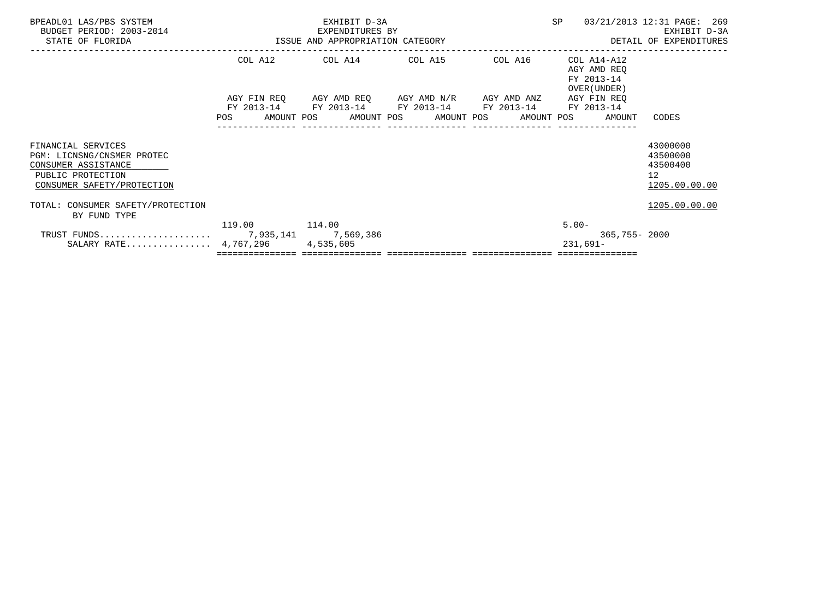| BPEADL01 LAS/PBS SYSTEM<br>BUDGET PERIOD: 2003-2014<br>STATE OF FLORIDA                                                    | ISSUE AND APPROPRIATION CATEGORY | EXHIBIT D-3A<br>EXPENDITURES BY                                                                                                                                        | SP | 03/21/2013 12:31 PAGE: 269<br>EXHIBIT D-3A<br>DETAIL OF EXPENDITURES |                                                                      |
|----------------------------------------------------------------------------------------------------------------------------|----------------------------------|------------------------------------------------------------------------------------------------------------------------------------------------------------------------|----|----------------------------------------------------------------------|----------------------------------------------------------------------|
|                                                                                                                            |                                  | COL A12 COL A14 COL A15 COL A16                                                                                                                                        |    | COL A14-A12<br>AGY AMD REO<br>FY 2013-14<br>OVER (UNDER)             |                                                                      |
|                                                                                                                            | POS                              | AGY FIN REQ AGY AMD REQ AGY AMD N/R AGY AMD ANZ AGY FIN REQ<br>FY 2013-14 FY 2013-14 FY 2013-14 FY 2013-14<br>AMOUNT POS      AMOUNT POS     AMOUNT POS     AMOUNT POS |    | FY 2013-14<br>AMOUNT                                                 | CODES                                                                |
| FINANCIAL SERVICES<br>PGM: LICNSNG/CNSMER PROTEC<br>CONSUMER ASSISTANCE<br>PUBLIC PROTECTION<br>CONSUMER SAFETY/PROTECTION |                                  |                                                                                                                                                                        |    |                                                                      | 43000000<br>43500000<br>43500400<br>12 <sup>°</sup><br>1205.00.00.00 |
| TOTAL: CONSUMER SAFETY/PROTECTION<br>BY FUND TYPE                                                                          |                                  |                                                                                                                                                                        |    |                                                                      | 1205.00.00.00                                                        |
| SALARY RATE $4,767,296$                                                                                                    | 119.00 114.00                    | 4,535,605                                                                                                                                                              |    | $5.00 -$<br>365,755-2000<br>231,691-                                 |                                                                      |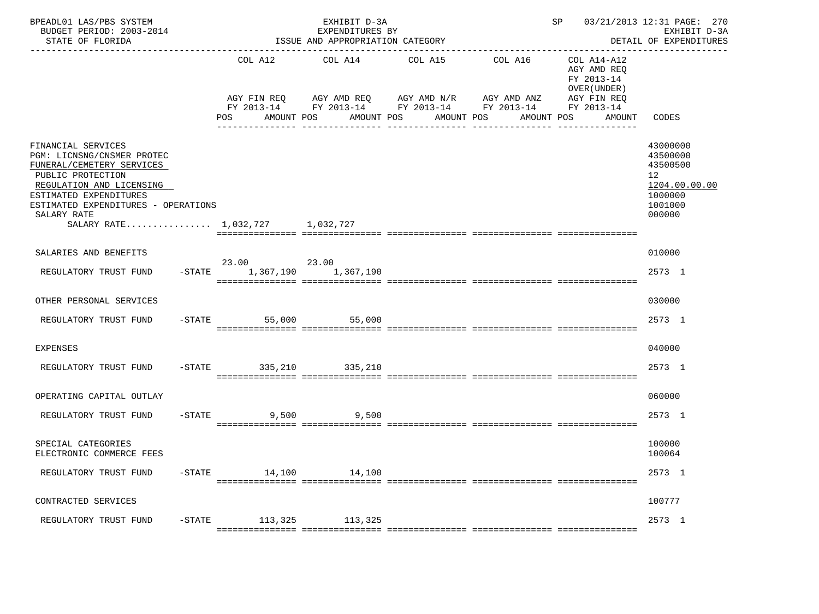| BPEADL01 LAS/PBS SYSTEM<br>BUDGET PERIOD: 2003-2014<br>STATE OF FLORIDA                                                                                                                                                                           |                |                              | EXHIBIT D-3A<br>EXPENDITURES BY<br>ISSUE AND APPROPRIATION CATEGORY                                                     | SP 03/21/2013 12:31 PAGE: 270<br>EXHIBIT D-3A<br>DETAIL OF EXPENDITURES<br>-----------------<br>____________________________________ |                       |                                                                                                 |                                                                                         |
|---------------------------------------------------------------------------------------------------------------------------------------------------------------------------------------------------------------------------------------------------|----------------|------------------------------|-------------------------------------------------------------------------------------------------------------------------|--------------------------------------------------------------------------------------------------------------------------------------|-----------------------|-------------------------------------------------------------------------------------------------|-----------------------------------------------------------------------------------------|
|                                                                                                                                                                                                                                                   |                | COL A12<br>POS<br>AMOUNT POS | COL A14<br>AGY FIN REQ AGY AMD REQ AGY AMD N/R AGY AMD ANZ<br>FY 2013-14 FY 2013-14 FY 2013-14 FY 2013-14<br>AMOUNT POS | COL A15<br>AMOUNT POS<br>-----------                                                                                                 | COL A16<br>AMOUNT POS | COL A14-A12<br>AGY AMD REQ<br>FY 2013-14<br>OVER (UNDER)<br>AGY FIN REQ<br>FY 2013-14<br>AMOUNT | CODES                                                                                   |
| FINANCIAL SERVICES<br>PGM: LICNSNG/CNSMER PROTEC<br>FUNERAL/CEMETERY SERVICES<br>PUBLIC PROTECTION<br>REGULATION AND LICENSING<br>ESTIMATED EXPENDITURES<br>ESTIMATED EXPENDITURES - OPERATIONS<br>SALARY RATE<br>SALARY RATE 1.032.727 1.032.727 |                |                              |                                                                                                                         |                                                                                                                                      |                       |                                                                                                 | 43000000<br>43500000<br>43500500<br>12<br>1204.00.00.00<br>1000000<br>1001000<br>000000 |
| SALARIES AND BENEFITS                                                                                                                                                                                                                             |                |                              |                                                                                                                         |                                                                                                                                      |                       |                                                                                                 | 010000                                                                                  |
| REGULATORY TRUST FUND                                                                                                                                                                                                                             | $-$ STATE      | 23.00<br>23.00<br>1,367,190  | 1,367,190                                                                                                               |                                                                                                                                      |                       |                                                                                                 | 2573 1                                                                                  |
| OTHER PERSONAL SERVICES                                                                                                                                                                                                                           |                |                              |                                                                                                                         |                                                                                                                                      |                       |                                                                                                 | 030000                                                                                  |
| REGULATORY TRUST FUND                                                                                                                                                                                                                             |                | $-$ STATE<br>55,000          | 55,000                                                                                                                  |                                                                                                                                      |                       |                                                                                                 | 2573 1                                                                                  |
| <b>EXPENSES</b>                                                                                                                                                                                                                                   |                |                              |                                                                                                                         |                                                                                                                                      |                       |                                                                                                 | 040000                                                                                  |
| REGULATORY TRUST FUND                                                                                                                                                                                                                             |                | -STATE 335, 210 335, 210     |                                                                                                                         |                                                                                                                                      |                       |                                                                                                 | 2573 1                                                                                  |
| OPERATING CAPITAL OUTLAY                                                                                                                                                                                                                          |                |                              |                                                                                                                         |                                                                                                                                      |                       |                                                                                                 | 060000                                                                                  |
| REGULATORY TRUST FUND                                                                                                                                                                                                                             | $-$ STATE      | 9,500                        | 9,500                                                                                                                   |                                                                                                                                      |                       |                                                                                                 | 2573 1                                                                                  |
| SPECIAL CATEGORIES<br>ELECTRONIC COMMERCE FEES                                                                                                                                                                                                    |                |                              |                                                                                                                         |                                                                                                                                      |                       |                                                                                                 | 100000<br>100064                                                                        |
| REGULATORY TRUST FUND                                                                                                                                                                                                                             | $-{\rm STATE}$ | 14,100                       | 14,100                                                                                                                  |                                                                                                                                      |                       |                                                                                                 | 2573 1                                                                                  |
| CONTRACTED SERVICES                                                                                                                                                                                                                               |                |                              |                                                                                                                         |                                                                                                                                      |                       |                                                                                                 | 100777                                                                                  |
| REGULATORY TRUST FUND                                                                                                                                                                                                                             | $-$ STATE      | 113,325                      | 113,325                                                                                                                 |                                                                                                                                      |                       |                                                                                                 | 2573 1                                                                                  |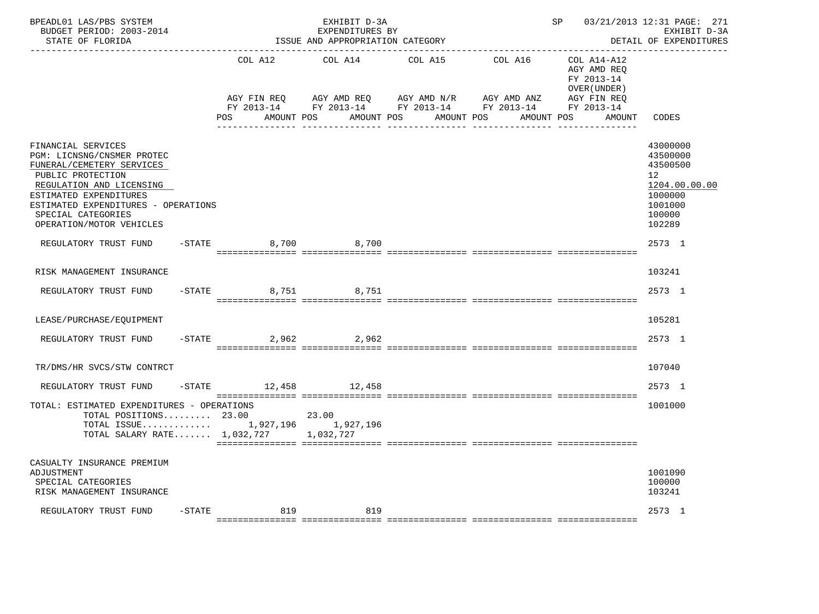| BPEADL01 LAS/PBS SYSTEM<br>BUDGET PERIOD: 2003-2014<br>STATE OF FLORIDA                                                                                                                                                                           |           | ISSUE AND APPROPRIATION CATEGORY               | SP and the set of the set of the set of the set of the set of the set of the set of the set of the set of the s<br>------------------------------- | 03/21/2013 12:31 PAGE: 271<br>EXHIBIT D-3A<br>DETAIL OF EXPENDITURES                                                    |                                                                                                 |                                                                                                                |
|---------------------------------------------------------------------------------------------------------------------------------------------------------------------------------------------------------------------------------------------------|-----------|------------------------------------------------|----------------------------------------------------------------------------------------------------------------------------------------------------|-------------------------------------------------------------------------------------------------------------------------|-------------------------------------------------------------------------------------------------|----------------------------------------------------------------------------------------------------------------|
|                                                                                                                                                                                                                                                   |           | COL A12<br>AGY FIN REO<br>POS DO<br>AMOUNT POS | COL A14<br>AGY AMD REQ AGY AMD N/R                                                                                                                 | COL A15<br>COL A16<br>AGY AMD ANZ<br>FY 2013-14 FY 2013-14 FY 2013-14 FY 2013-14 FY 2013-14<br>AMOUNT POS<br>AMOUNT POS | COL A14-A12<br>AGY AMD REO<br>FY 2013-14<br>OVER (UNDER)<br>AGY FIN REO<br>AMOUNT POS<br>AMOUNT | CODES                                                                                                          |
| FINANCIAL SERVICES<br>PGM: LICNSNG/CNSMER PROTEC<br>FUNERAL/CEMETERY SERVICES<br>PUBLIC PROTECTION<br>REGULATION AND LICENSING<br>ESTIMATED EXPENDITURES<br>ESTIMATED EXPENDITURES - OPERATIONS<br>SPECIAL CATEGORIES<br>OPERATION/MOTOR VEHICLES |           |                                                |                                                                                                                                                    |                                                                                                                         |                                                                                                 | 43000000<br>43500000<br>43500500<br>12 <sup>°</sup><br>1204.00.00.00<br>1000000<br>1001000<br>100000<br>102289 |
| REGULATORY TRUST FUND                                                                                                                                                                                                                             |           | $-STATE$                                       | 8,700 8,700                                                                                                                                        |                                                                                                                         |                                                                                                 | 2573 1                                                                                                         |
| RISK MANAGEMENT INSURANCE                                                                                                                                                                                                                         |           |                                                |                                                                                                                                                    |                                                                                                                         |                                                                                                 | 103241                                                                                                         |
| REGULATORY TRUST FUND                                                                                                                                                                                                                             |           | $-STATE$                                       | 8,751 8,751                                                                                                                                        |                                                                                                                         |                                                                                                 | 2573 1                                                                                                         |
| LEASE/PURCHASE/EQUIPMENT                                                                                                                                                                                                                          |           |                                                |                                                                                                                                                    |                                                                                                                         |                                                                                                 | 105281                                                                                                         |
| REGULATORY TRUST FUND                                                                                                                                                                                                                             |           | $-$ STATE                                      | 2,962 2,962                                                                                                                                        |                                                                                                                         |                                                                                                 | 2573 1                                                                                                         |
| TR/DMS/HR SVCS/STW CONTRCT                                                                                                                                                                                                                        |           |                                                |                                                                                                                                                    |                                                                                                                         |                                                                                                 | 107040                                                                                                         |
| REGULATORY TRUST FUND                                                                                                                                                                                                                             |           | -STATE 12,458 12,458                           |                                                                                                                                                    |                                                                                                                         |                                                                                                 | 2573 1                                                                                                         |
| TOTAL: ESTIMATED EXPENDITURES - OPERATIONS<br>TOTAL POSITIONS 23.00<br>TOTAL ISSUE 1,927,196 1,927,196<br>TOTAL SALARY RATE 1,032,727 1,032,727                                                                                                   |           |                                                | 23.00                                                                                                                                              |                                                                                                                         |                                                                                                 | 1001000                                                                                                        |
| CASUALTY INSURANCE PREMIUM<br>ADJUSTMENT<br>SPECIAL CATEGORIES<br>RISK MANAGEMENT INSURANCE                                                                                                                                                       |           |                                                |                                                                                                                                                    |                                                                                                                         |                                                                                                 | 1001090<br>100000<br>103241                                                                                    |
| REGULATORY TRUST FUND                                                                                                                                                                                                                             | $-$ STATE | 819                                            | 819                                                                                                                                                |                                                                                                                         |                                                                                                 | 2573 1                                                                                                         |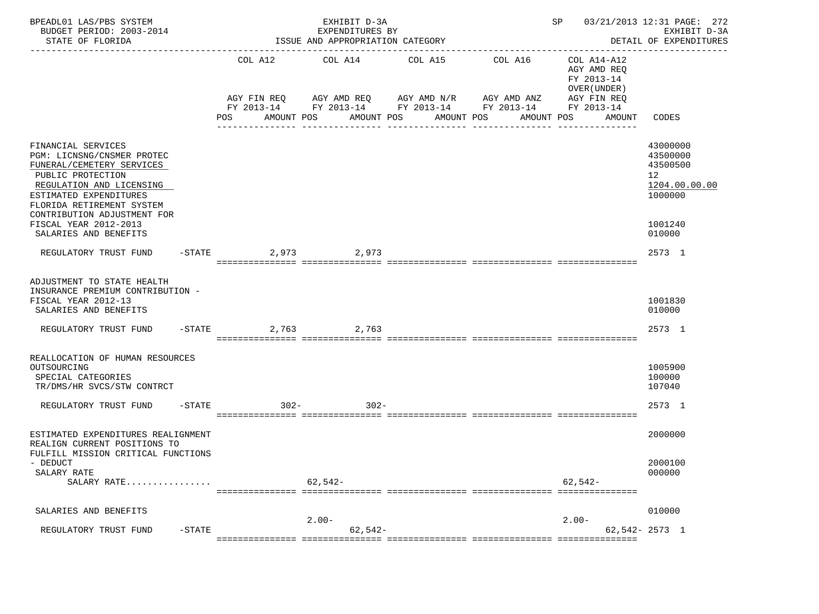| BPEADL01 LAS/PBS SYSTEM<br>BUDGET PERIOD: 2003-2014<br>STATE OF FLORIDA                                                                                                                                                                       |                     | EXHIBIT D-3A<br>EXPENDITURES BY<br>ISSUE AND APPROPRIATION CATEGORY |                                     |                                                                                                                                    | SP                                                                                | 03/21/2013 12:31 PAGE: 272<br>EXHIBIT D-3A<br>DETAIL OF EXPENDITURES          |
|-----------------------------------------------------------------------------------------------------------------------------------------------------------------------------------------------------------------------------------------------|---------------------|---------------------------------------------------------------------|-------------------------------------|------------------------------------------------------------------------------------------------------------------------------------|-----------------------------------------------------------------------------------|-------------------------------------------------------------------------------|
|                                                                                                                                                                                                                                               | POS<br>AMOUNT POS   | COL A12 COL A14                                                     | COL A15<br>AMOUNT POS<br>AMOUNT POS | COL A16<br>AGY FIN REQ AGY AMD REQ AGY AMD N/R AGY AMD ANZ<br>FY 2013-14 FY 2013-14 FY 2013-14 FY 2013-14 FY 2013-14<br>AMOUNT POS | COL A14-A12<br>AGY AMD REQ<br>FY 2013-14<br>OVER (UNDER)<br>AGY FIN REQ<br>AMOUNT | CODES                                                                         |
|                                                                                                                                                                                                                                               |                     |                                                                     |                                     |                                                                                                                                    |                                                                                   |                                                                               |
| FINANCIAL SERVICES<br>PGM: LICNSNG/CNSMER PROTEC<br>FUNERAL/CEMETERY SERVICES<br>PUBLIC PROTECTION<br>REGULATION AND LICENSING<br>ESTIMATED EXPENDITURES<br>FLORIDA RETIREMENT SYSTEM<br>CONTRIBUTION ADJUSTMENT FOR<br>FISCAL YEAR 2012-2013 |                     |                                                                     |                                     |                                                                                                                                    |                                                                                   | 43000000<br>43500000<br>43500500<br>12<br>1204.00.00.00<br>1000000<br>1001240 |
| SALARIES AND BENEFITS                                                                                                                                                                                                                         |                     |                                                                     |                                     |                                                                                                                                    |                                                                                   | 010000                                                                        |
| REGULATORY TRUST FUND                                                                                                                                                                                                                         | $-$ STATE           | 2.973 2.973                                                         |                                     |                                                                                                                                    |                                                                                   | 2573 1                                                                        |
| ADJUSTMENT TO STATE HEALTH<br>INSURANCE PREMIUM CONTRIBUTION -<br>FISCAL YEAR 2012-13<br>SALARIES AND BENEFITS                                                                                                                                |                     |                                                                     |                                     |                                                                                                                                    |                                                                                   | 1001830<br>010000                                                             |
| REGULATORY TRUST FUND                                                                                                                                                                                                                         | $-STATE$            | 2,763 2,763                                                         |                                     |                                                                                                                                    |                                                                                   | 2573 1                                                                        |
| REALLOCATION OF HUMAN RESOURCES<br>OUTSOURCING<br>SPECIAL CATEGORIES<br>TR/DMS/HR SVCS/STW CONTRCT                                                                                                                                            |                     |                                                                     |                                     |                                                                                                                                    |                                                                                   | 1005900<br>100000<br>107040                                                   |
| REGULATORY TRUST FUND                                                                                                                                                                                                                         | $302 -$<br>$-STATE$ | $302 -$                                                             |                                     |                                                                                                                                    |                                                                                   | 2573 1                                                                        |
| ESTIMATED EXPENDITURES REALIGNMENT<br>REALIGN CURRENT POSITIONS TO<br>FULFILL MISSION CRITICAL FUNCTIONS                                                                                                                                      |                     |                                                                     |                                     |                                                                                                                                    |                                                                                   | 2000000                                                                       |
| - DEDUCT<br>SALARY RATE<br>SALARY RATE                                                                                                                                                                                                        |                     | $62, 542 -$                                                         |                                     |                                                                                                                                    | $62.542-$                                                                         | 2000100<br>000000                                                             |
| SALARIES AND BENEFITS                                                                                                                                                                                                                         |                     |                                                                     |                                     |                                                                                                                                    |                                                                                   | 010000                                                                        |
| REGULATORY TRUST FUND<br>$-$ STATE                                                                                                                                                                                                            |                     | $2.00-$<br>$62, 542 -$                                              |                                     |                                                                                                                                    | $2.00-$                                                                           | $62,542 - 2573$ 1                                                             |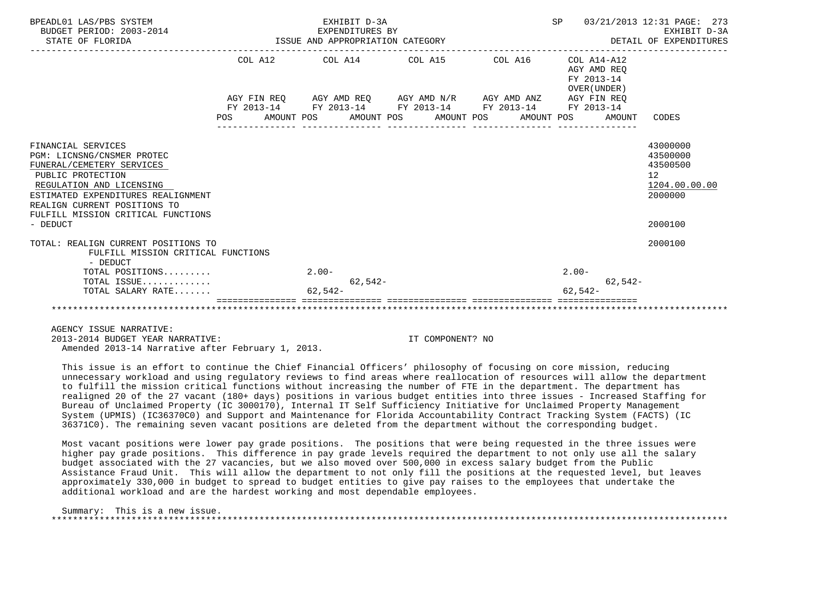| BPEADL01 LAS/PBS SYSTEM<br>BUDGET PERIOD: 2003-2014<br>STATE OF FLORIDA | EXHIBIT D-3A<br>EXPENDITURES BY<br>EXPENDITURES BY<br>ISSUE AND APPROPRIATION CATEGORY<br>-------------------------- |                                                             | SP<br>03/21/2013 12:31 PAGE: 273<br>EXHIBIT D-3A<br>DETAIL OF EXPENDITURES |                                                              |                          |  |  |
|-------------------------------------------------------------------------|----------------------------------------------------------------------------------------------------------------------|-------------------------------------------------------------|----------------------------------------------------------------------------|--------------------------------------------------------------|--------------------------|--|--|
|                                                                         |                                                                                                                      | COL A12 COL A14 COL A15 COL A16                             |                                                                            | COL A14-A12<br>AGY AMD REO<br>FY 2013-14<br>OVER (UNDER)     |                          |  |  |
|                                                                         |                                                                                                                      | AGY FIN REO AGY AMD REO AGY AMD N/R AGY AMD ANZ AGY FIN REO |                                                                            |                                                              |                          |  |  |
|                                                                         |                                                                                                                      | FY 2013-14 FY 2013-14 FY 2013-14 FY 2013-14                 |                                                                            | FY 2013-14                                                   |                          |  |  |
|                                                                         |                                                                                                                      |                                                             | ______________________________________                                     | POS AMOUNT POS AMOUNT POS AMOUNT POS AMOUNT POS AMOUNT CODES |                          |  |  |
| FINANCIAL SERVICES                                                      |                                                                                                                      |                                                             |                                                                            |                                                              | 43000000                 |  |  |
| PGM: LICNSNG/CNSMER PROTEC                                              |                                                                                                                      |                                                             |                                                                            |                                                              | 43500000                 |  |  |
| FUNERAL/CEMETERY SERVICES                                               |                                                                                                                      |                                                             |                                                                            |                                                              | 43500500                 |  |  |
| PUBLIC PROTECTION                                                       |                                                                                                                      |                                                             |                                                                            |                                                              | 12 <sup>°</sup>          |  |  |
| REGULATION AND LICENSING                                                |                                                                                                                      |                                                             |                                                                            |                                                              | 1204.00.00.00<br>2000000 |  |  |
| ESTIMATED EXPENDITURES REALIGNMENT<br>REALIGN CURRENT POSITIONS TO      |                                                                                                                      |                                                             |                                                                            |                                                              |                          |  |  |
| FULFILL MISSION CRITICAL FUNCTIONS                                      |                                                                                                                      |                                                             |                                                                            |                                                              |                          |  |  |
| - DEDUCT                                                                |                                                                                                                      |                                                             |                                                                            |                                                              | 2000100                  |  |  |
| TOTAL: REALIGN CURRENT POSITIONS TO                                     |                                                                                                                      |                                                             |                                                                            |                                                              | 2000100                  |  |  |
| FULFILL MISSION CRITICAL FUNCTIONS                                      |                                                                                                                      |                                                             |                                                                            |                                                              |                          |  |  |
| - DEDUCT                                                                |                                                                                                                      |                                                             |                                                                            |                                                              |                          |  |  |
| TOTAL POSITIONS                                                         | $2.00 -$                                                                                                             |                                                             |                                                                            | $2.00 -$                                                     |                          |  |  |
| TOTAL ISSUE                                                             | $62,542-$                                                                                                            |                                                             |                                                                            | $62,542-$                                                    |                          |  |  |
| TOTAL SALARY RATE                                                       | $62.542-$                                                                                                            |                                                             |                                                                            | $62.542-$                                                    |                          |  |  |
|                                                                         |                                                                                                                      |                                                             |                                                                            |                                                              |                          |  |  |

AGENCY ISSUE NARRATIVE:

2013-2014 BUDGET YEAR NARRATIVE: IT COMPONENT? NO

Amended 2013-14 Narrative after February 1, 2013.

 This issue is an effort to continue the Chief Financial Officers' philosophy of focusing on core mission, reducing unnecessary workload and using regulatory reviews to find areas where reallocation of resources will allow the department to fulfill the mission critical functions without increasing the number of FTE in the department. The department has realigned 20 of the 27 vacant (180+ days) positions in various budget entities into three issues - Increased Staffing for Bureau of Unclaimed Property (IC 3000170), Internal IT Self Sufficiency Initiative for Unclaimed Property Management System (UPMIS) (IC36370C0) and Support and Maintenance for Florida Accountability Contract Tracking System (FACTS) (IC 36371C0). The remaining seven vacant positions are deleted from the department without the corresponding budget.

 Most vacant positions were lower pay grade positions. The positions that were being requested in the three issues were higher pay grade positions. This difference in pay grade levels required the department to not only use all the salary budget associated with the 27 vacancies, but we also moved over 500,000 in excess salary budget from the Public Assistance Fraud Unit. This will allow the department to not only fill the positions at the requested level, but leaves approximately 330,000 in budget to spread to budget entities to give pay raises to the employees that undertake the additional workload and are the hardest working and most dependable employees.

## Summary: This is a new issue. \*\*\*\*\*\*\*\*\*\*\*\*\*\*\*\*\*\*\*\*\*\*\*\*\*\*\*\*\*\*\*\*\*\*\*\*\*\*\*\*\*\*\*\*\*\*\*\*\*\*\*\*\*\*\*\*\*\*\*\*\*\*\*\*\*\*\*\*\*\*\*\*\*\*\*\*\*\*\*\*\*\*\*\*\*\*\*\*\*\*\*\*\*\*\*\*\*\*\*\*\*\*\*\*\*\*\*\*\*\*\*\*\*\*\*\*\*\*\*\*\*\*\*\*\*\*\*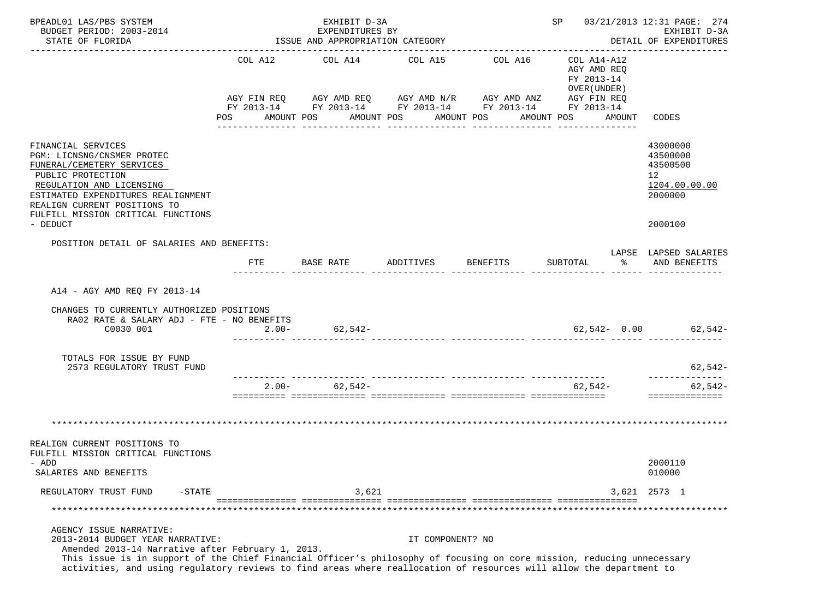| BPEADL01 LAS/PBS SYSTEM<br>BUDGET PERIOD: 2003-2014<br>STATE OF FLORIDA                                                                                                                                                                                                                                                                                           | EXHIBIT D-3A<br>EXPENDITURES BY<br>ISSUE AND APPROPRIATION CATEGORY |                |           |                                                                                                                                                  |           |                       |          |  | SP 03/21/2013 12:31 PAGE: 274<br>EXHIBIT D-3A<br>DETAIL OF EXPENDITURES             |    |                                                                               |
|-------------------------------------------------------------------------------------------------------------------------------------------------------------------------------------------------------------------------------------------------------------------------------------------------------------------------------------------------------------------|---------------------------------------------------------------------|----------------|-----------|--------------------------------------------------------------------------------------------------------------------------------------------------|-----------|-----------------------|----------|--|-------------------------------------------------------------------------------------|----|-------------------------------------------------------------------------------|
|                                                                                                                                                                                                                                                                                                                                                                   |                                                                     | POS AMOUNT POS |           | COL A12 COL A14 COL A15<br>AGY FIN REQ AGY AMD REQ AGY AMD N/R AGY AMD ANZ AGY FIN REQ<br>FY 2013-14 FY 2013-14 FY 2013-14 FY 2013-14 FY 2013-14 |           | AMOUNT POS AMOUNT POS | COL A16  |  | COL A14-A12<br>AGY AMD REO<br>FY 2013-14<br>OVER (UNDER)<br>AMOUNT POS AMOUNT CODES |    |                                                                               |
| FINANCIAL SERVICES<br>PGM: LICNSNG/CNSMER PROTEC<br>FUNERAL/CEMETERY SERVICES<br>PUBLIC PROTECTION<br>REGULATION AND LICENSING<br>ESTIMATED EXPENDITURES REALIGNMENT<br>REALIGN CURRENT POSITIONS TO<br>FULFILL MISSION CRITICAL FUNCTIONS<br>- DEDUCT                                                                                                            |                                                                     |                |           |                                                                                                                                                  |           |                       |          |  |                                                                                     |    | 43000000<br>43500000<br>43500500<br>12<br>1204.00.00.00<br>2000000<br>2000100 |
| POSITION DETAIL OF SALARIES AND BENEFITS:                                                                                                                                                                                                                                                                                                                         |                                                                     |                |           |                                                                                                                                                  |           |                       |          |  |                                                                                     |    | LAPSE LAPSED SALARIES                                                         |
|                                                                                                                                                                                                                                                                                                                                                                   |                                                                     | FTE            | BASE RATE |                                                                                                                                                  | ADDITIVES |                       | BENEFITS |  | SUBTOTAL                                                                            | ႜႂ | AND BENEFITS                                                                  |
| A14 - AGY AMD REO FY 2013-14<br>CHANGES TO CURRENTLY AUTHORIZED POSITIONS<br>RA02 RATE & SALARY ADJ - FTE - NO BENEFITS<br>C0030 001                                                                                                                                                                                                                              |                                                                     | $2.00 -$       |           | $62,542-$<br>.coorder coorderenteerd coorderenteerd coorderenteerd coorderenteerd coorderenteerd                                                 |           |                       |          |  |                                                                                     |    | $62,542 - 0.00$ 62,542-                                                       |
| TOTALS FOR ISSUE BY FUND<br>2573 REGULATORY TRUST FUND                                                                                                                                                                                                                                                                                                            |                                                                     |                |           |                                                                                                                                                  |           |                       |          |  |                                                                                     |    | 62,542-                                                                       |
|                                                                                                                                                                                                                                                                                                                                                                   |                                                                     |                |           | $2.00 - 62,542 -$                                                                                                                                |           |                       |          |  | ------------ --------------- -<br>62,542-                                           |    | 62,542-<br>==============                                                     |
| REALIGN CURRENT POSITIONS TO<br>FULFILL MISSION CRITICAL FUNCTIONS<br>- ADD<br>SALARIES AND BENEFITS                                                                                                                                                                                                                                                              |                                                                     |                |           |                                                                                                                                                  |           |                       |          |  |                                                                                     |    | 2000110<br>010000                                                             |
| REGULATORY TRUST FUND<br>$-STATE$                                                                                                                                                                                                                                                                                                                                 |                                                                     |                |           | 3,621                                                                                                                                            |           |                       |          |  |                                                                                     |    | 3,621 2573 1                                                                  |
|                                                                                                                                                                                                                                                                                                                                                                   |                                                                     |                |           |                                                                                                                                                  |           |                       |          |  |                                                                                     |    |                                                                               |
| AGENCY ISSUE NARRATIVE:<br>2013-2014 BUDGET YEAR NARRATIVE:<br>Amended 2013-14 Narrative after February 1, 2013.<br>This issue is in support of the Chief Financial Officer's philosophy of focusing on core mission, reducing unnecessary<br>activities, and using regulatory reviews to find areas where reallocation of resources will allow the department to |                                                                     |                |           |                                                                                                                                                  |           | IT COMPONENT? NO      |          |  |                                                                                     |    |                                                                               |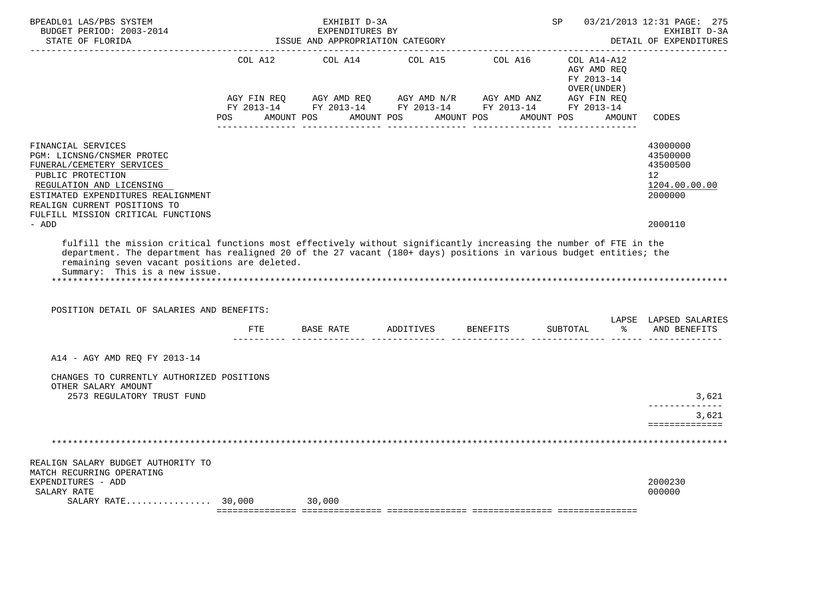| BPEADL01 LAS/PBS SYSTEM<br>BUDGET PERIOD: 2003-2014<br>STATE OF FLORIDA                                                                                                                                                                    |                                      | ISSUE AND APPROPRIATION CATEGORY | EXHIBIT D-3A<br>EXPENDITURES BY |                                                                                                | 03/21/2013 12:31 PAGE: 275<br>SP<br>EXHIBIT D-3A<br>DETAIL OF EXPENDITURES |            |                                            |        |                                                                                 |
|--------------------------------------------------------------------------------------------------------------------------------------------------------------------------------------------------------------------------------------------|--------------------------------------|----------------------------------|---------------------------------|------------------------------------------------------------------------------------------------|----------------------------------------------------------------------------|------------|--------------------------------------------|--------|---------------------------------------------------------------------------------|
|                                                                                                                                                                                                                                            | AGY FIN REQ                          |                                  |                                 | COL A12 COL A14 COL A15 COL A16 COL A14-A12<br>AGY AMD REQ AGY AMD N/R AGY AMD ANZ AGY FIN REQ |                                                                            |            | AGY AMD REO<br>FY 2013-14<br>OVER (UNDER ) |        |                                                                                 |
|                                                                                                                                                                                                                                            | POS AMOUNT POS AMOUNT POS AMOUNT POS |                                  |                                 | FY 2013-14 FY 2013-14 FY 2013-14 FY 2013-14 FY 2013-14                                         |                                                                            | AMOUNT POS |                                            | AMOUNT | CODES                                                                           |
| FINANCIAL SERVICES<br>PGM: LICNSNG/CNSMER PROTEC<br>FUNERAL/CEMETERY SERVICES<br>PUBLIC PROTECTION<br>REGULATION AND LICENSING<br>ESTIMATED EXPENDITURES REALIGNMENT<br>REALIGN CURRENT POSITIONS TO<br>FULFILL MISSION CRITICAL FUNCTIONS |                                      |                                  |                                 |                                                                                                |                                                                            |            |                                            |        | 43000000<br>43500000<br>43500500<br>12 <sup>°</sup><br>1204.00.00.00<br>2000000 |
| - ADD                                                                                                                                                                                                                                      |                                      |                                  |                                 |                                                                                                |                                                                            |            |                                            |        | 2000110                                                                         |
| remaining seven vacant positions are deleted.<br>Summary: This is a new issue.<br>POSITION DETAIL OF SALARIES AND BENEFITS:                                                                                                                |                                      |                                  |                                 |                                                                                                |                                                                            |            |                                            |        | LAPSE LAPSED SALARIES                                                           |
|                                                                                                                                                                                                                                            | ETE                                  |                                  |                                 |                                                                                                |                                                                            |            | SUBTOTAL                                   |        | % AND BENEFITS                                                                  |
| A14 - AGY AMD REQ FY 2013-14                                                                                                                                                                                                               |                                      |                                  |                                 |                                                                                                |                                                                            |            |                                            |        |                                                                                 |
| CHANGES TO CURRENTLY AUTHORIZED POSITIONS<br>OTHER SALARY AMOUNT<br>2573 REGULATORY TRUST FUND                                                                                                                                             |                                      |                                  |                                 |                                                                                                |                                                                            |            |                                            |        | 3,621                                                                           |
|                                                                                                                                                                                                                                            |                                      |                                  |                                 |                                                                                                |                                                                            |            |                                            |        | 3,621                                                                           |
|                                                                                                                                                                                                                                            |                                      |                                  |                                 |                                                                                                |                                                                            |            |                                            |        | ==============                                                                  |
|                                                                                                                                                                                                                                            |                                      |                                  |                                 |                                                                                                |                                                                            |            |                                            |        |                                                                                 |
| REALIGN SALARY BUDGET AUTHORITY TO<br>MATCH RECURRING OPERATING<br>EXPENDITURES - ADD                                                                                                                                                      |                                      |                                  |                                 |                                                                                                |                                                                            |            |                                            |        | 2000230                                                                         |
| SALARY RATE<br>$SALARY RATE$ 30,000                                                                                                                                                                                                        |                                      | 30,000                           |                                 |                                                                                                |                                                                            |            |                                            |        | 000000                                                                          |
|                                                                                                                                                                                                                                            |                                      |                                  |                                 |                                                                                                |                                                                            |            |                                            |        |                                                                                 |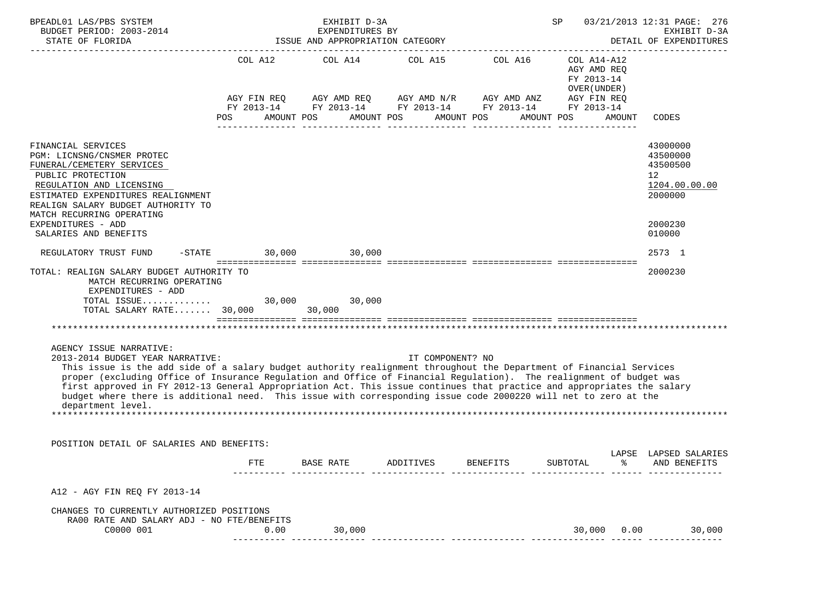| BPEADL01 LAS/PBS SYSTEM<br>BUDGET PERIOD: 2003-2014<br>STATE OF FLORIDA                                                                                                                                                                                                                                                                                                                                                                                                                                                                                                     |      | EXHIBIT D-3A<br>EXPENDITURES BY<br>ISSUE AND APPROPRIATION CATEGORY |                                 | SP<br>03/21/2013 12:31 PAGE: 276<br>EXHIBIT D-3A<br>DETAIL OF EXPENDITURES                                                                                               |                                                                     |      |                                                                                 |  |  |
|-----------------------------------------------------------------------------------------------------------------------------------------------------------------------------------------------------------------------------------------------------------------------------------------------------------------------------------------------------------------------------------------------------------------------------------------------------------------------------------------------------------------------------------------------------------------------------|------|---------------------------------------------------------------------|---------------------------------|--------------------------------------------------------------------------------------------------------------------------------------------------------------------------|---------------------------------------------------------------------|------|---------------------------------------------------------------------------------|--|--|
|                                                                                                                                                                                                                                                                                                                                                                                                                                                                                                                                                                             |      |                                                                     | COL A12 COL A14 COL A15 COL A16 | AGY FIN REQ AGY AMD REQ AGY AMD N/R AGY AMD ANZ AGY FIN REQ<br>FY 2013-14 FY 2013-14 FY 2013-14 FY 2013-14 FY 2013-14<br>POS AMOUNT POS AMOUNT POS AMOUNT POS AMOUNT POS | COL A14-A12<br>AGY AMD REO<br>FY 2013-14<br>OVER (UNDER )<br>AMOUNT |      | CODES                                                                           |  |  |
|                                                                                                                                                                                                                                                                                                                                                                                                                                                                                                                                                                             |      |                                                                     |                                 |                                                                                                                                                                          |                                                                     |      |                                                                                 |  |  |
| FINANCIAL SERVICES<br>PGM: LICNSNG/CNSMER PROTEC<br>FUNERAL/CEMETERY SERVICES<br>PUBLIC PROTECTION<br>REGULATION AND LICENSING<br>ESTIMATED EXPENDITURES REALIGNMENT<br>REALIGN SALARY BUDGET AUTHORITY TO<br>MATCH RECURRING OPERATING                                                                                                                                                                                                                                                                                                                                     |      |                                                                     |                                 |                                                                                                                                                                          |                                                                     |      | 43000000<br>43500000<br>43500500<br>12 <sup>°</sup><br>1204.00.00.00<br>2000000 |  |  |
| EXPENDITURES - ADD<br>SALARIES AND BENEFITS                                                                                                                                                                                                                                                                                                                                                                                                                                                                                                                                 |      |                                                                     |                                 |                                                                                                                                                                          |                                                                     |      | 2000230<br>010000                                                               |  |  |
| REGULATORY TRUST FUND -STATE 30,000 30,000                                                                                                                                                                                                                                                                                                                                                                                                                                                                                                                                  |      |                                                                     |                                 |                                                                                                                                                                          |                                                                     |      | 2573 1                                                                          |  |  |
| TOTAL: REALIGN SALARY BUDGET AUTHORITY TO<br>MATCH RECURRING OPERATING<br>EXPENDITURES - ADD<br>TOTAL ISSUE 30,000 30,000<br>TOTAL SALARY RATE 30,000 30,000                                                                                                                                                                                                                                                                                                                                                                                                                |      |                                                                     |                                 |                                                                                                                                                                          |                                                                     |      | 2000230                                                                         |  |  |
|                                                                                                                                                                                                                                                                                                                                                                                                                                                                                                                                                                             |      |                                                                     |                                 |                                                                                                                                                                          |                                                                     |      |                                                                                 |  |  |
| AGENCY ISSUE NARRATIVE:<br>2013-2014 BUDGET YEAR NARRATIVE:<br>This issue is the add side of a salary budget authority realignment throughout the Department of Financial Services<br>proper (excluding Office of Insurance Regulation and Office of Financial Regulation). The realignment of budget was<br>first approved in FY 2012-13 General Appropriation Act. This issue continues that practice and appropriates the salary<br>budget where there is additional need. This issue with corresponding issue code 2000220 will net to zero at the<br>department level. |      |                                                                     | IT COMPONENT? NO                |                                                                                                                                                                          |                                                                     |      |                                                                                 |  |  |
| POSITION DETAIL OF SALARIES AND BENEFITS:                                                                                                                                                                                                                                                                                                                                                                                                                                                                                                                                   |      |                                                                     |                                 |                                                                                                                                                                          |                                                                     |      |                                                                                 |  |  |
|                                                                                                                                                                                                                                                                                                                                                                                                                                                                                                                                                                             | FTE  | BASE RATE                                                           | ADDITIVES                       | <b>BENEFITS</b>                                                                                                                                                          | SUBTOTAL                                                            | °≈   | LAPSE LAPSED SALARIES<br>AND BENEFITS                                           |  |  |
| A12 - AGY FIN REQ FY 2013-14                                                                                                                                                                                                                                                                                                                                                                                                                                                                                                                                                |      |                                                                     |                                 |                                                                                                                                                                          |                                                                     |      |                                                                                 |  |  |
| CHANGES TO CURRENTLY AUTHORIZED POSITIONS                                                                                                                                                                                                                                                                                                                                                                                                                                                                                                                                   |      |                                                                     |                                 |                                                                                                                                                                          |                                                                     |      |                                                                                 |  |  |
| RA00 RATE AND SALARY ADJ - NO FTE/BENEFITS<br>C0000 001                                                                                                                                                                                                                                                                                                                                                                                                                                                                                                                     | 0.00 | 30,000                                                              |                                 |                                                                                                                                                                          | 30,000                                                              | 0.00 | 30,000                                                                          |  |  |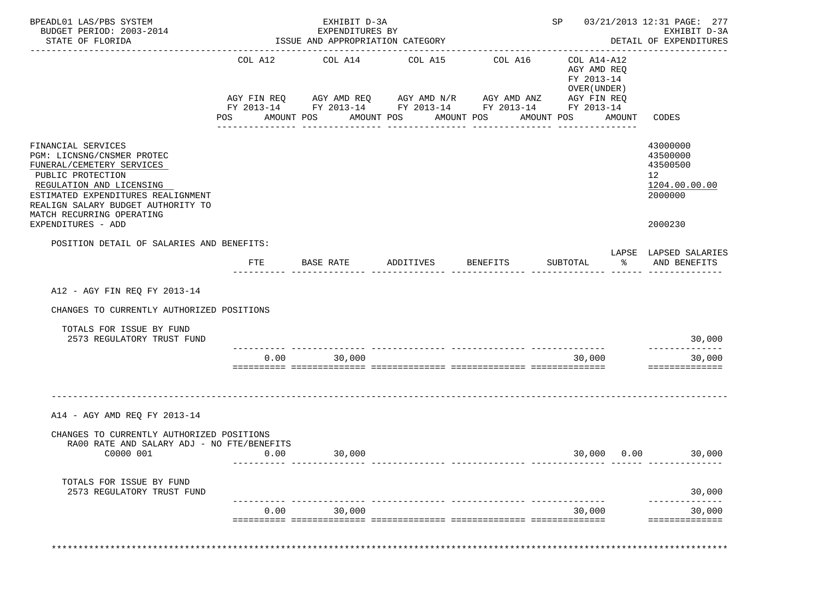| BPEADL01 LAS/PBS SYSTEM<br>BUDGET PERIOD: 2003-2014<br>STATE OF FLORIDA                                                                                                                                                                                       |                | EXHIBIT D-3A<br>EXPENDITURES BY<br>ISSUE AND APPROPRIATION CATEGORY |                                                                                                                                                                     |                                        |                                                                                                      | SP 03/21/2013 12:31 PAGE: 277<br>EXHIBIT D-3A<br>DETAIL OF EXPENDITURES                    |
|---------------------------------------------------------------------------------------------------------------------------------------------------------------------------------------------------------------------------------------------------------------|----------------|---------------------------------------------------------------------|---------------------------------------------------------------------------------------------------------------------------------------------------------------------|----------------------------------------|------------------------------------------------------------------------------------------------------|--------------------------------------------------------------------------------------------|
|                                                                                                                                                                                                                                                               | COL A12<br>POS | COL A14<br>AMOUNT POS<br>------------                               | COL A15<br>AGY FIN REQ AGY AMD REQ AGY AMD N/R AGY AMD ANZ<br>FY 2013-14 FY 2013-14 FY 2013-14 FY 2013-14 FY 2013-14<br>AMOUNT POS<br>AMOUNT POS<br>--------------- | COL A16<br>AMOUNT POS<br>------------- | COL A14-A12<br>AGY AMD REQ<br>FY 2013-14<br>OVER (UNDER)<br>AGY FIN REQ<br>AMOUNT<br>--------------- | CODES                                                                                      |
| FINANCIAL SERVICES<br>PGM: LICNSNG/CNSMER PROTEC<br>FUNERAL/CEMETERY SERVICES<br>PUBLIC PROTECTION<br>REGULATION AND LICENSING<br>ESTIMATED EXPENDITURES REALIGNMENT<br>REALIGN SALARY BUDGET AUTHORITY TO<br>MATCH RECURRING OPERATING<br>EXPENDITURES - ADD |                |                                                                     |                                                                                                                                                                     |                                        |                                                                                                      | 43000000<br>43500000<br>43500500<br>12 <sup>°</sup><br>1204.00.00.00<br>2000000<br>2000230 |
| POSITION DETAIL OF SALARIES AND BENEFITS:                                                                                                                                                                                                                     | FTE            | BASE RATE                                                           | ADDITIVES                                                                                                                                                           | BENEFITS                               | ာ အောက် အောက် အောက် အောက် အောက် အောက် အောက် အောက် အောက် အောက် အောက် အောက် အောက် အ<br>SUBTOTAL        | LAPSE LAPSED SALARIES<br>AND BENEFITS                                                      |
| A12 - AGY FIN REQ FY 2013-14<br>CHANGES TO CURRENTLY AUTHORIZED POSITIONS                                                                                                                                                                                     |                |                                                                     |                                                                                                                                                                     |                                        |                                                                                                      |                                                                                            |
| TOTALS FOR ISSUE BY FUND<br>2573 REGULATORY TRUST FUND                                                                                                                                                                                                        |                |                                                                     |                                                                                                                                                                     |                                        |                                                                                                      | 30,000                                                                                     |
|                                                                                                                                                                                                                                                               | 0.00           | 30,000                                                              |                                                                                                                                                                     |                                        | 30,000                                                                                               | --------------<br>30,000<br>==============                                                 |
| A14 - AGY AMD REQ FY 2013-14<br>CHANGES TO CURRENTLY AUTHORIZED POSITIONS<br>RA00 RATE AND SALARY ADJ - NO FTE/BENEFITS<br>C0000 001                                                                                                                          | 0.00           | 30,000                                                              |                                                                                                                                                                     |                                        | 30,000 0.00                                                                                          | 30,000                                                                                     |
| TOTALS FOR ISSUE BY FUND<br>2573 REGULATORY TRUST FUND                                                                                                                                                                                                        |                |                                                                     |                                                                                                                                                                     |                                        |                                                                                                      | 30,000                                                                                     |
|                                                                                                                                                                                                                                                               |                | $0.00$ 30,000                                                       |                                                                                                                                                                     |                                        | 30,000                                                                                               | 30,000<br>==============                                                                   |
|                                                                                                                                                                                                                                                               |                |                                                                     |                                                                                                                                                                     |                                        |                                                                                                      |                                                                                            |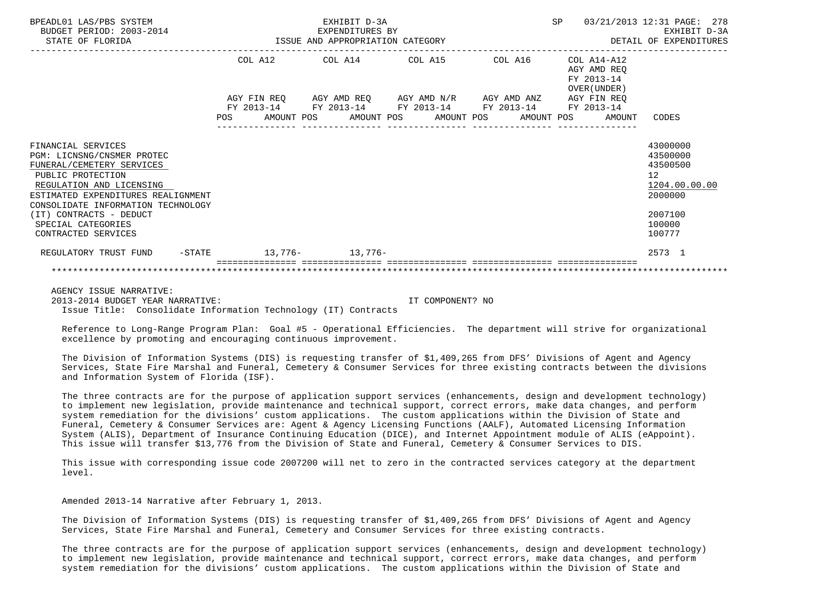| BPEADL01 LAS/PBS SYSTEM<br>BUDGET PERIOD: 2003-2014<br>ISSUE AND APPROPRIATION CATEGORY<br>STATE OF FLORIDA                                                                                                                                                                        |  |                                                             | EXHIBIT D-3A<br>EXPENDITURES BY                                                                                        |  |  |         | SP |                                                          | 03/21/2013 12:31 PAGE: 278<br>EXHIBIT D-3A<br>DETAIL OF EXPENDITURES                                           |
|------------------------------------------------------------------------------------------------------------------------------------------------------------------------------------------------------------------------------------------------------------------------------------|--|-------------------------------------------------------------|------------------------------------------------------------------------------------------------------------------------|--|--|---------|----|----------------------------------------------------------|----------------------------------------------------------------------------------------------------------------|
|                                                                                                                                                                                                                                                                                    |  |                                                             | COL A12 COL A14 COL A15                                                                                                |  |  | COL A16 |    | COL A14-A12<br>AGY AMD REO<br>FY 2013-14<br>OVER (UNDER) |                                                                                                                |
|                                                                                                                                                                                                                                                                                    |  | AGY FIN REO AGY AMD REO AGY AMD N/R AGY AMD ANZ AGY FIN REO |                                                                                                                        |  |  |         |    |                                                          |                                                                                                                |
|                                                                                                                                                                                                                                                                                    |  |                                                             | FY 2013-14 FY 2013-14 FY 2013-14 FY 2013-14 FY 2013-14<br>POS AMOUNT POS AMOUNT POS AMOUNT POS AMOUNT POS AMOUNT CODES |  |  |         |    |                                                          |                                                                                                                |
| FINANCIAL SERVICES<br>PGM: LICNSNG/CNSMER PROTEC<br>FUNERAL/CEMETERY SERVICES<br>PUBLIC PROTECTION<br>REGULATION AND LICENSING<br>ESTIMATED EXPENDITURES REALIGNMENT<br>CONSOLIDATE INFORMATION TECHNOLOGY<br>(IT) CONTRACTS - DEDUCT<br>SPECIAL CATEGORIES<br>CONTRACTED SERVICES |  |                                                             |                                                                                                                        |  |  |         |    |                                                          | 43000000<br>43500000<br>43500500<br>12 <sup>°</sup><br>1204.00.00.00<br>2000000<br>2007100<br>100000<br>100777 |
| REGULATORY TRUST FUND -STATE 13,776- 13,776-                                                                                                                                                                                                                                       |  |                                                             |                                                                                                                        |  |  |         |    |                                                          | 2573 1                                                                                                         |
|                                                                                                                                                                                                                                                                                    |  |                                                             |                                                                                                                        |  |  |         |    |                                                          |                                                                                                                |

 AGENCY ISSUE NARRATIVE: 2013-2014 BUDGET YEAR NARRATIVE: IT COMPONENT? NO Issue Title: Consolidate Information Technology (IT) Contracts

 Reference to Long-Range Program Plan: Goal #5 - Operational Efficiencies. The department will strive for organizational excellence by promoting and encouraging continuous improvement.

 The Division of Information Systems (DIS) is requesting transfer of \$1,409,265 from DFS' Divisions of Agent and Agency Services, State Fire Marshal and Funeral, Cemetery & Consumer Services for three existing contracts between the divisions and Information System of Florida (ISF).

 The three contracts are for the purpose of application support services (enhancements, design and development technology) to implement new legislation, provide maintenance and technical support, correct errors, make data changes, and perform system remediation for the divisions' custom applications. The custom applications within the Division of State and Funeral, Cemetery & Consumer Services are: Agent & Agency Licensing Functions (AALF), Automated Licensing Information System (ALIS), Department of Insurance Continuing Education (DICE), and Internet Appointment module of ALIS (eAppoint). This issue will transfer \$13,776 from the Division of State and Funeral, Cemetery & Consumer Services to DIS.

 This issue with corresponding issue code 2007200 will net to zero in the contracted services category at the department level.

Amended 2013-14 Narrative after February 1, 2013.

 The Division of Information Systems (DIS) is requesting transfer of \$1,409,265 from DFS' Divisions of Agent and Agency Services, State Fire Marshal and Funeral, Cemetery and Consumer Services for three existing contracts.

 The three contracts are for the purpose of application support services (enhancements, design and development technology) to implement new legislation, provide maintenance and technical support, correct errors, make data changes, and perform system remediation for the divisions' custom applications. The custom applications within the Division of State and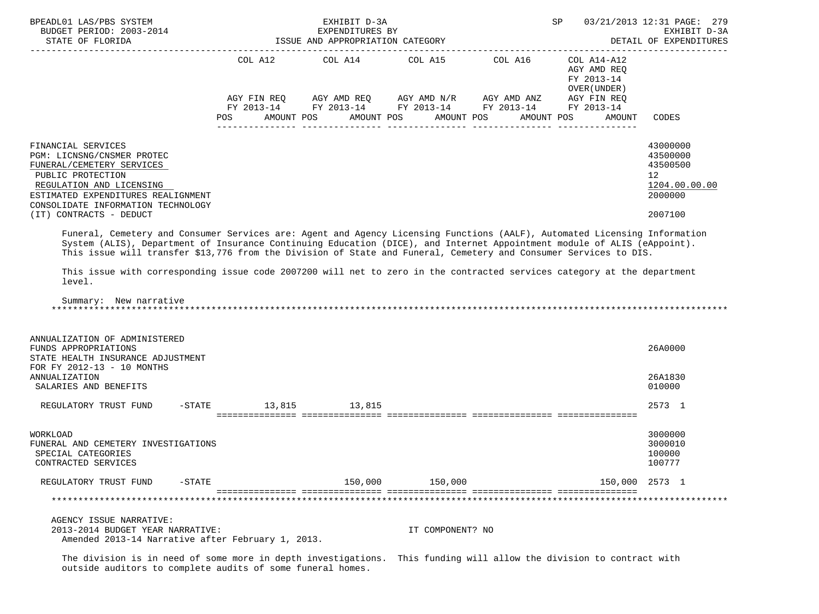| BPEADL01 LAS/PBS SYSTEM<br>BUDGET PERIOD: 2003-2014<br>STATE OF FLORIDA                                                                                                                                                                                                                                                                                                                                    |     | EXHIBIT D-3A<br>EXPENDITURES BY<br>ISSUE AND APPROPRIATION CATEGORY | SP                                                                                                                                                                     | 03/21/2013 12:31 PAGE: 279<br>EXHIBIT D-3A<br>DETAIL OF EXPENDITURES |                                                                     |                                                                                            |
|------------------------------------------------------------------------------------------------------------------------------------------------------------------------------------------------------------------------------------------------------------------------------------------------------------------------------------------------------------------------------------------------------------|-----|---------------------------------------------------------------------|------------------------------------------------------------------------------------------------------------------------------------------------------------------------|----------------------------------------------------------------------|---------------------------------------------------------------------|--------------------------------------------------------------------------------------------|
|                                                                                                                                                                                                                                                                                                                                                                                                            | POS | AMOUNT POS                                                          | COL A12 COL A14 COL A15 COL A16<br>AGY FIN REQ AGY AMD REQ AGY AMD N/R AGY AMD ANZ AGY FIN REQ<br>FY 2013-14 FY 2013-14 FY 2013-14 FY 2013-14 FY 2013-14<br>AMOUNT POS | AMOUNT POS<br>AMOUNT POS                                             | COL A14-A12<br>AGY AMD REO<br>FY 2013-14<br>OVER (UNDER )<br>AMOUNT | CODES                                                                                      |
| FINANCIAL SERVICES<br>PGM: LICNSNG/CNSMER PROTEC<br>FUNERAL/CEMETERY SERVICES<br>PUBLIC PROTECTION<br>REGULATION AND LICENSING<br>ESTIMATED EXPENDITURES REALIGNMENT<br>CONSOLIDATE INFORMATION TECHNOLOGY<br>(IT) CONTRACTS - DEDUCT                                                                                                                                                                      |     |                                                                     |                                                                                                                                                                        |                                                                      |                                                                     | 43000000<br>43500000<br>43500500<br>12 <sup>°</sup><br>1204.00.00.00<br>2000000<br>2007100 |
| System (ALIS), Department of Insurance Continuing Education (DICE), and Internet Appointment module of ALIS (eAppoint).<br>This issue will transfer \$13,776 from the Division of State and Funeral, Cemetery and Consumer Services to DIS.<br>This issue with corresponding issue code 2007200 will net to zero in the contracted services category at the department<br>level.<br>Summary: New narrative |     |                                                                     |                                                                                                                                                                        |                                                                      |                                                                     |                                                                                            |
| ANNUALIZATION OF ADMINISTERED<br>FUNDS APPROPRIATIONS<br>STATE HEALTH INSURANCE ADJUSTMENT<br>FOR FY 2012-13 - 10 MONTHS<br>ANNUALIZATION                                                                                                                                                                                                                                                                  |     |                                                                     |                                                                                                                                                                        |                                                                      |                                                                     | 26A0000<br>26A1830<br>010000                                                               |
| SALARIES AND BENEFITS<br>REGULATORY TRUST FUND -STATE 13,815 13,815                                                                                                                                                                                                                                                                                                                                        |     |                                                                     |                                                                                                                                                                        |                                                                      |                                                                     | 2573 1                                                                                     |
| WORKLOAD<br>FUNERAL AND CEMETERY INVESTIGATIONS<br>SPECIAL CATEGORIES<br>CONTRACTED SERVICES                                                                                                                                                                                                                                                                                                               |     |                                                                     |                                                                                                                                                                        |                                                                      |                                                                     | 3000000<br>3000010<br>100000<br>100777                                                     |
| REGULATORY TRUST FUND<br>$-STATE$                                                                                                                                                                                                                                                                                                                                                                          |     | 150,000                                                             | 150,000                                                                                                                                                                |                                                                      | 150,000 2573 1                                                      |                                                                                            |
|                                                                                                                                                                                                                                                                                                                                                                                                            |     |                                                                     |                                                                                                                                                                        |                                                                      |                                                                     |                                                                                            |
| AGENCY ISSUE NARRATIVE:<br>2013-2014 BUDGET YEAR NARRATIVE:                                                                                                                                                                                                                                                                                                                                                |     |                                                                     | IT COMPONENT? NO                                                                                                                                                       |                                                                      |                                                                     |                                                                                            |

Amended 2013-14 Narrative after February 1, 2013.

 The division is in need of some more in depth investigations. This funding will allow the division to contract with outside auditors to complete audits of some funeral homes.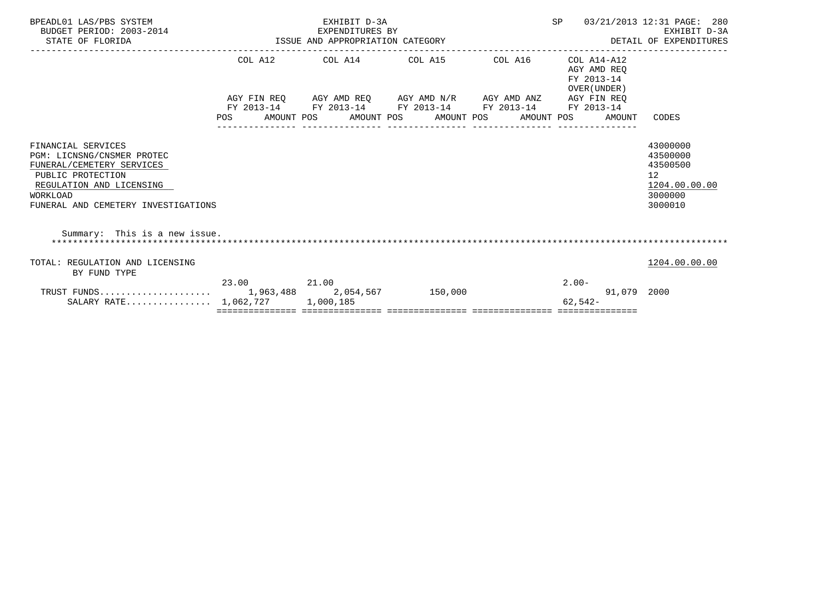| BPEADL01 LAS/PBS SYSTEM<br>BUDGET PERIOD: 2003-2014<br>STATE OF FLORIDA                                                                                                           |             | SP<br>EXHIBIT D-3A<br>03/21/2013 12:31 PAGE: 280<br>EXHIBIT D-3A<br>2014 EXPENDITURES BY<br>ISSUE AND APPROPRIATION CATEGORY<br>DETAIL OF EXPENDITURES |                                                                                     |  |           |             |                                                                               |  |  |  |
|-----------------------------------------------------------------------------------------------------------------------------------------------------------------------------------|-------------|--------------------------------------------------------------------------------------------------------------------------------------------------------|-------------------------------------------------------------------------------------|--|-----------|-------------|-------------------------------------------------------------------------------|--|--|--|
|                                                                                                                                                                                   | COL A12     |                                                                                                                                                        | COL A14 $\phantom{000}$ COL A15 $\phantom{000}$ COL A16 $\phantom{000}$ COL A14-A12 |  |           |             |                                                                               |  |  |  |
|                                                                                                                                                                                   |             |                                                                                                                                                        | AGY FIN REQ AGY AMD REQ AGY AMD N/R AGY AMD ANZ AGY FIN REQ                         |  |           |             |                                                                               |  |  |  |
|                                                                                                                                                                                   |             |                                                                                                                                                        | FY 2013-14 FY 2013-14 FY 2013-14 FY 2013-14 FY 2013-14                              |  |           |             |                                                                               |  |  |  |
|                                                                                                                                                                                   | <b>POS</b>  |                                                                                                                                                        | AMOUNT POS AMOUNT POS AMOUNT POS AMOUNT POS AMOUNT                                  |  |           |             | CODES                                                                         |  |  |  |
| FINANCIAL SERVICES<br>PGM: LICNSNG/CNSMER PROTEC<br>FUNERAL/CEMETERY SERVICES<br>PUBLIC PROTECTION<br>REGULATION AND LICENSING<br>WORKLOAD<br>FUNERAL AND CEMETERY INVESTIGATIONS |             |                                                                                                                                                        |                                                                                     |  |           |             | 43000000<br>43500000<br>43500500<br>12<br>1204.00.00.00<br>3000000<br>3000010 |  |  |  |
| Summary: This is a new issue.                                                                                                                                                     |             |                                                                                                                                                        |                                                                                     |  |           |             |                                                                               |  |  |  |
| TOTAL: REGULATION AND LICENSING<br>BY FUND TYPE                                                                                                                                   |             |                                                                                                                                                        |                                                                                     |  |           |             | 1204.00.00.00                                                                 |  |  |  |
|                                                                                                                                                                                   | 23.00 21.00 |                                                                                                                                                        |                                                                                     |  | $2.00 -$  |             |                                                                               |  |  |  |
|                                                                                                                                                                                   |             |                                                                                                                                                        |                                                                                     |  |           | 91,079 2000 |                                                                               |  |  |  |
| SALARY RATE $1,062,727$                                                                                                                                                           |             | 1,000,185                                                                                                                                              |                                                                                     |  | $62,542-$ |             |                                                                               |  |  |  |
|                                                                                                                                                                                   |             |                                                                                                                                                        |                                                                                     |  |           |             |                                                                               |  |  |  |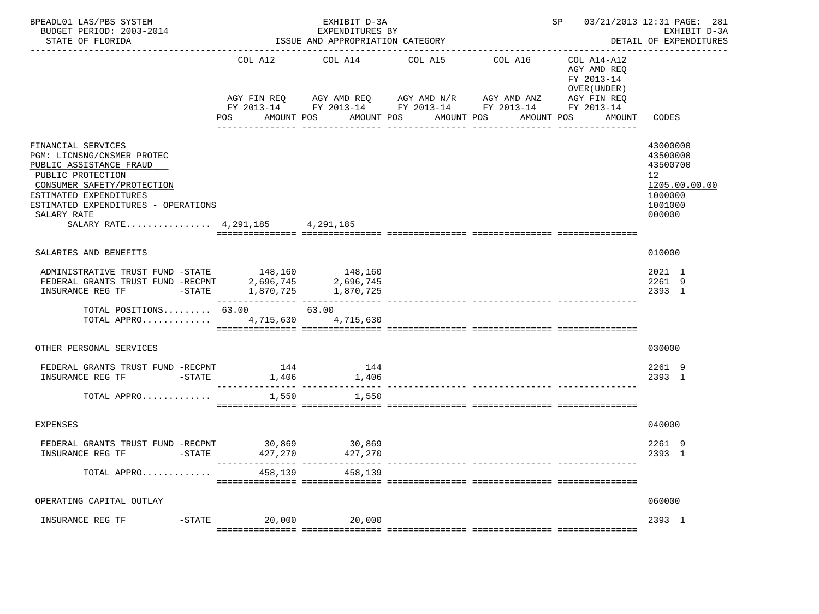| BPEADL01 LAS/PBS SYSTEM<br>BUDGET PERIOD: 2003-2014<br>STATE OF FLORIDA                                                                                                                                                                               | ISSUE AND APPROPRIATION CATEGORY | 03/21/2013 12:31 PAGE: 281<br>EXHIBIT D-3A<br>DETAIL OF EXPENDITURES                                                                           |                       |                                                            |                                                                     |                                                                                                      |
|-------------------------------------------------------------------------------------------------------------------------------------------------------------------------------------------------------------------------------------------------------|----------------------------------|------------------------------------------------------------------------------------------------------------------------------------------------|-----------------------|------------------------------------------------------------|---------------------------------------------------------------------|------------------------------------------------------------------------------------------------------|
|                                                                                                                                                                                                                                                       | COL A12<br>POS<br>AMOUNT POS     | COL A14<br>AGY FIN REQ AGY AMD REQ AGY AMD N/R AGY AMD ANZ AGY FIN REQ<br>FY 2013-14 FY 2013-14 FY 2013-14 FY 2013-14 FY 2013-14<br>AMOUNT POS | COL A15<br>AMOUNT POS | ---------------------------------<br>COL A16<br>AMOUNT POS | COL A14-A12<br>AGY AMD REO<br>FY 2013-14<br>OVER (UNDER )<br>AMOUNT | CODES                                                                                                |
| FINANCIAL SERVICES<br>PGM: LICNSNG/CNSMER PROTEC<br>PUBLIC ASSISTANCE FRAUD<br>PUBLIC PROTECTION<br>CONSUMER SAFETY/PROTECTION<br>ESTIMATED EXPENDITURES<br>ESTIMATED EXPENDITURES - OPERATIONS<br>SALARY RATE<br>SALARY RATE 4, 291, 185 4, 291, 185 |                                  |                                                                                                                                                |                       |                                                            |                                                                     | 43000000<br>43500000<br>43500700<br>12 <sup>°</sup><br>1205.00.00.00<br>1000000<br>1001000<br>000000 |
| SALARIES AND BENEFITS                                                                                                                                                                                                                                 |                                  |                                                                                                                                                |                       |                                                            |                                                                     | 010000                                                                                               |
| ADMINISTRATIVE TRUST FUND -STATE 148,160 148,160<br>FEDERAL GRANTS TRUST FUND -RECPNT 2,696,745<br>INSURANCE REG TF -STATE 1,870,725 1,870,725                                                                                                        |                                  |                                                                                                                                                |                       |                                                            |                                                                     | 2021 1<br>2261 9<br>2393 1                                                                           |
| TOTAL POSITIONS $63.00$ 63.00<br>TOTAL APPRO 4,715,630 4,715,630                                                                                                                                                                                      |                                  |                                                                                                                                                |                       |                                                            |                                                                     |                                                                                                      |
| OTHER PERSONAL SERVICES                                                                                                                                                                                                                               |                                  |                                                                                                                                                |                       |                                                            |                                                                     | 030000                                                                                               |
| FEDERAL GRANTS TRUST FUND -RECPNT 144 144 144<br>INSURANCE REG TF FTATE                                                                                                                                                                               | 1,406                            | 1,406                                                                                                                                          |                       |                                                            |                                                                     | 2261 9<br>2393 1                                                                                     |
| TOTAL APPRO                                                                                                                                                                                                                                           | 1,550                            | 1,550                                                                                                                                          |                       |                                                            |                                                                     |                                                                                                      |
| <b>EXPENSES</b>                                                                                                                                                                                                                                       |                                  |                                                                                                                                                |                       |                                                            |                                                                     | 040000                                                                                               |
| FEDERAL GRANTS TRUST FUND -RECPNT 30,869 30,869<br>INSURANCE REG TF FTATE                                                                                                                                                                             |                                  | 427,270 427,270                                                                                                                                |                       |                                                            |                                                                     | 2261 9<br>2393 1                                                                                     |
| TOTAL APPRO                                                                                                                                                                                                                                           | 458,139                          | 458,139                                                                                                                                        |                       |                                                            |                                                                     |                                                                                                      |
| OPERATING CAPITAL OUTLAY                                                                                                                                                                                                                              |                                  |                                                                                                                                                |                       |                                                            |                                                                     | 060000                                                                                               |
|                                                                                                                                                                                                                                                       |                                  |                                                                                                                                                |                       |                                                            |                                                                     | 2393 1                                                                                               |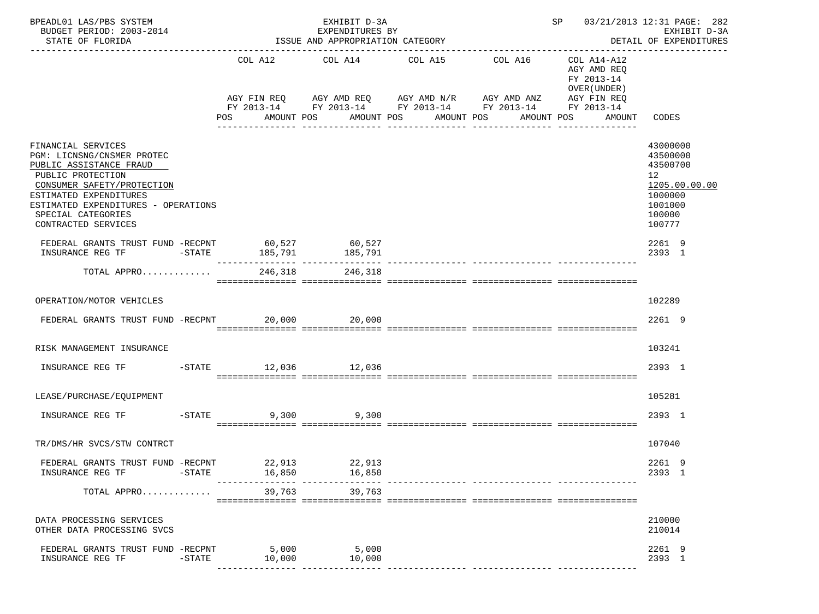| BPEADL01 LAS/PBS SYSTEM<br>BUDGET PERIOD: 2003-2014<br>STATE OF FLORIDA                                                                                                                                                                      |           | SP 03/21/2013 12:31 PAGE: 282<br>EXHIBIT D-3A<br>EXPENDITURES BY<br>ISSUE AND APPROPRIATION CATEGORY<br>DETAIL OF EXPENDITURES |                           |                      |  |                                                                            |         |            |  |                                                                         |                                                                                               |               |
|----------------------------------------------------------------------------------------------------------------------------------------------------------------------------------------------------------------------------------------------|-----------|--------------------------------------------------------------------------------------------------------------------------------|---------------------------|----------------------|--|----------------------------------------------------------------------------|---------|------------|--|-------------------------------------------------------------------------|-----------------------------------------------------------------------------------------------|---------------|
|                                                                                                                                                                                                                                              |           |                                                                                                                                |                           |                      |  | COL A12 COL A14 COL A15<br>AGY FIN REQ AGY AMD REQ AGY AMD N/R AGY AMD ANZ | COL A16 |            |  | COL A14-A12<br>AGY AMD REQ<br>FY 2013-14<br>OVER (UNDER)<br>AGY FIN REQ |                                                                                               |               |
|                                                                                                                                                                                                                                              |           |                                                                                                                                |                           |                      |  | FY 2013-14 FY 2013-14 FY 2013-14 FY 2013-14 FY 2013-14                     |         |            |  |                                                                         |                                                                                               |               |
|                                                                                                                                                                                                                                              |           |                                                                                                                                | POS AMOUNT POS            |                      |  | AMOUNT POS<br>AMOUNT POS<br>________________                               |         | AMOUNT POS |  | AMOUNT CODES                                                            |                                                                                               |               |
| FINANCIAL SERVICES<br>PGM: LICNSNG/CNSMER PROTEC<br>PUBLIC ASSISTANCE FRAUD<br>PUBLIC PROTECTION<br>CONSUMER SAFETY/PROTECTION<br>ESTIMATED EXPENDITURES<br>ESTIMATED EXPENDITURES - OPERATIONS<br>SPECIAL CATEGORIES<br>CONTRACTED SERVICES |           |                                                                                                                                |                           |                      |  |                                                                            |         |            |  |                                                                         | 43000000<br>43500000<br>43500700<br>12 <sup>°</sup><br>1000000<br>1001000<br>100000<br>100777 | 1205.00.00.00 |
| ${\small \begin{tabular}{lcccccc} FEDERAL GRANTS TRUST FUND & -RECPNT & & & 60,527 & & & 60,527 \\ INSUMANCE REG TF & & & & & 185,791 & & & 185,791 \end{tabular}}$                                                                          |           |                                                                                                                                |                           |                      |  |                                                                            |         |            |  |                                                                         | 2261 9<br>2393 1                                                                              |               |
| TOTAL APPRO                                                                                                                                                                                                                                  |           |                                                                                                                                | 246,318                   | 246,318              |  |                                                                            |         |            |  |                                                                         |                                                                                               |               |
| OPERATION/MOTOR VEHICLES                                                                                                                                                                                                                     |           |                                                                                                                                |                           |                      |  |                                                                            |         |            |  |                                                                         | 102289                                                                                        |               |
| FEDERAL GRANTS TRUST FUND -RECPNT                                                                                                                                                                                                            |           |                                                                                                                                |                           | 20,000 20,000        |  |                                                                            |         |            |  |                                                                         | 2261 9                                                                                        |               |
| RISK MANAGEMENT INSURANCE                                                                                                                                                                                                                    |           |                                                                                                                                |                           |                      |  |                                                                            |         |            |  |                                                                         | 103241                                                                                        |               |
| INSURANCE REG TF                                                                                                                                                                                                                             |           |                                                                                                                                |                           | -STATE 12,036 12,036 |  |                                                                            |         |            |  |                                                                         | 2393 1                                                                                        |               |
| LEASE/PURCHASE/EQUIPMENT                                                                                                                                                                                                                     |           |                                                                                                                                |                           |                      |  |                                                                            |         |            |  |                                                                         | 105281                                                                                        |               |
| INSURANCE REG TF                                                                                                                                                                                                                             | $-$ STATE |                                                                                                                                |                           | 9,300 9,300          |  |                                                                            |         |            |  |                                                                         | 2393 1                                                                                        |               |
| TR/DMS/HR SVCS/STW CONTRCT                                                                                                                                                                                                                   |           |                                                                                                                                |                           |                      |  |                                                                            |         |            |  |                                                                         | 107040                                                                                        |               |
| FEDERAL GRANTS TRUST FUND -RECPNT<br>INSURANCE REG TF                                                                                                                                                                                        | $-$ STATE |                                                                                                                                | 22,913<br>16,850          | 22,913<br>16,850     |  |                                                                            |         |            |  |                                                                         | 2261 9<br>2393 1                                                                              |               |
| TOTAL APPRO                                                                                                                                                                                                                                  |           |                                                                                                                                | ---------------<br>39,763 | 39,763               |  |                                                                            |         |            |  |                                                                         |                                                                                               |               |
| DATA PROCESSING SERVICES<br>OTHER DATA PROCESSING SVCS                                                                                                                                                                                       |           |                                                                                                                                |                           |                      |  |                                                                            |         |            |  |                                                                         | 210000<br>210014                                                                              |               |
| FEDERAL GRANTS TRUST FUND -RECPNT<br>INSURANCE REG TF                                                                                                                                                                                        | $-$ STATE |                                                                                                                                | 5,000<br>10,000           | 5,000<br>10,000      |  |                                                                            |         |            |  |                                                                         | 2261 9<br>2393 1                                                                              |               |
|                                                                                                                                                                                                                                              |           |                                                                                                                                |                           |                      |  |                                                                            |         |            |  |                                                                         |                                                                                               |               |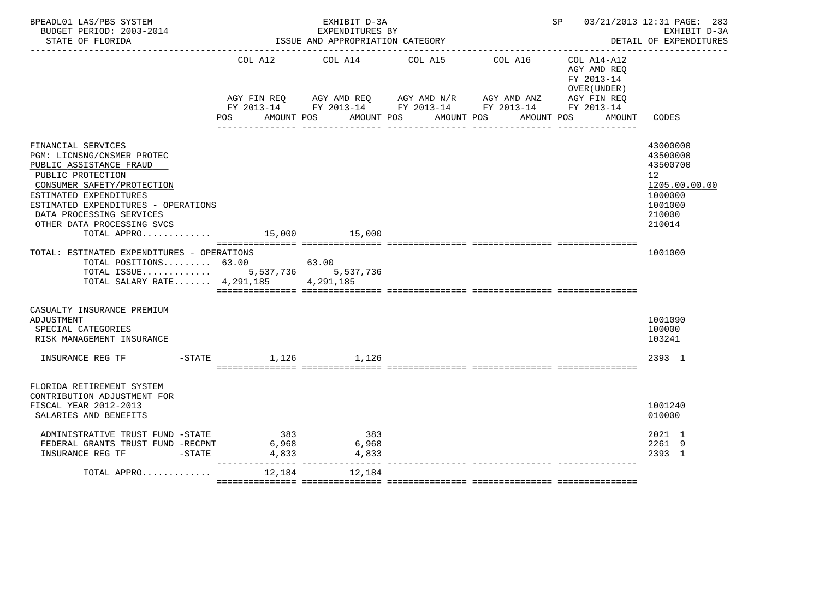| BPEADL01 LAS/PBS SYSTEM<br>BUDGET PERIOD: 2003-2014<br>STATE OF FLORIDA                                                                                                                                                                                                                |                                | EXHIBIT D-3A<br>EXPENDITURES BY<br>ISSUE AND APPROPRIATION CATEGORY                                                                                                                                                                                                            |  |  | SP 03/21/2013 12:31 PAGE: 283<br>EXHIBIT D-3A<br>DETAIL OF EXPENDITURES |                                                                                                                |  |  |  |  |  |
|----------------------------------------------------------------------------------------------------------------------------------------------------------------------------------------------------------------------------------------------------------------------------------------|--------------------------------|--------------------------------------------------------------------------------------------------------------------------------------------------------------------------------------------------------------------------------------------------------------------------------|--|--|-------------------------------------------------------------------------|----------------------------------------------------------------------------------------------------------------|--|--|--|--|--|
|                                                                                                                                                                                                                                                                                        |                                | COL A12 COL A14 COL A15<br>COL A16<br>COL A14-A12<br>AGY AMD REQ<br>FY 2013-14<br>OVER (UNDER )<br>AGY FIN REQ AGY AMD REQ AGY AMD N/R AGY AMD ANZ AGY FIN REQ<br>FY 2013-14 FY 2013-14 FY 2013-14 FY 2013-14 FY 2013-14<br>POS AMOUNT POS AMOUNT POS AMOUNT POS<br>AMOUNT POS |  |  |                                                                         |                                                                                                                |  |  |  |  |  |
|                                                                                                                                                                                                                                                                                        |                                |                                                                                                                                                                                                                                                                                |  |  | AMOUNT                                                                  | CODES                                                                                                          |  |  |  |  |  |
| FINANCIAL SERVICES<br>PGM: LICNSNG/CNSMER PROTEC<br>PUBLIC ASSISTANCE FRAUD<br>PUBLIC PROTECTION<br>CONSUMER SAFETY/PROTECTION<br>ESTIMATED EXPENDITURES<br>ESTIMATED EXPENDITURES - OPERATIONS<br>DATA PROCESSING SERVICES<br>OTHER DATA PROCESSING SVCS<br>TOTAL APPRO 15,000 15,000 |                                |                                                                                                                                                                                                                                                                                |  |  |                                                                         | 43000000<br>43500000<br>43500700<br>12 <sup>°</sup><br>1205.00.00.00<br>1000000<br>1001000<br>210000<br>210014 |  |  |  |  |  |
| TOTAL: ESTIMATED EXPENDITURES - OPERATIONS<br>TOTAL POSITIONS $63.00$ 63.00<br>TOTAL ISSUE 5,537,736 5,537,736<br>TOTAL SALARY RATE 4, 291, 185 4, 291, 185                                                                                                                            |                                |                                                                                                                                                                                                                                                                                |  |  |                                                                         | 1001000                                                                                                        |  |  |  |  |  |
| CASUALTY INSURANCE PREMIUM<br>ADJUSTMENT<br>SPECIAL CATEGORIES<br>RISK MANAGEMENT INSURANCE                                                                                                                                                                                            |                                |                                                                                                                                                                                                                                                                                |  |  |                                                                         | 1001090<br>100000<br>103241                                                                                    |  |  |  |  |  |
| INSURANCE REG TF $-$ STATE $1,126$ $1,126$                                                                                                                                                                                                                                             |                                |                                                                                                                                                                                                                                                                                |  |  |                                                                         | 2393 1                                                                                                         |  |  |  |  |  |
| FLORIDA RETIREMENT SYSTEM<br>CONTRIBUTION ADJUSTMENT FOR<br>FISCAL YEAR 2012-2013<br>SALARIES AND BENEFITS                                                                                                                                                                             |                                |                                                                                                                                                                                                                                                                                |  |  |                                                                         | 1001240<br>010000                                                                                              |  |  |  |  |  |
| ADMINISTRATIVE TRUST FUND -STATE<br>FEDERAL GRANTS TRUST FUND -RECPNT<br>$-STATE$<br>INSURANCE REG TF                                                                                                                                                                                  | 383<br>6,968<br>6,968<br>4,833 | 383<br>6,968<br>4,833                                                                                                                                                                                                                                                          |  |  |                                                                         | 2021 1<br>2261 9<br>2393 1                                                                                     |  |  |  |  |  |
| TOTAL APPRO                                                                                                                                                                                                                                                                            | 12,184                         | 12,184                                                                                                                                                                                                                                                                         |  |  |                                                                         |                                                                                                                |  |  |  |  |  |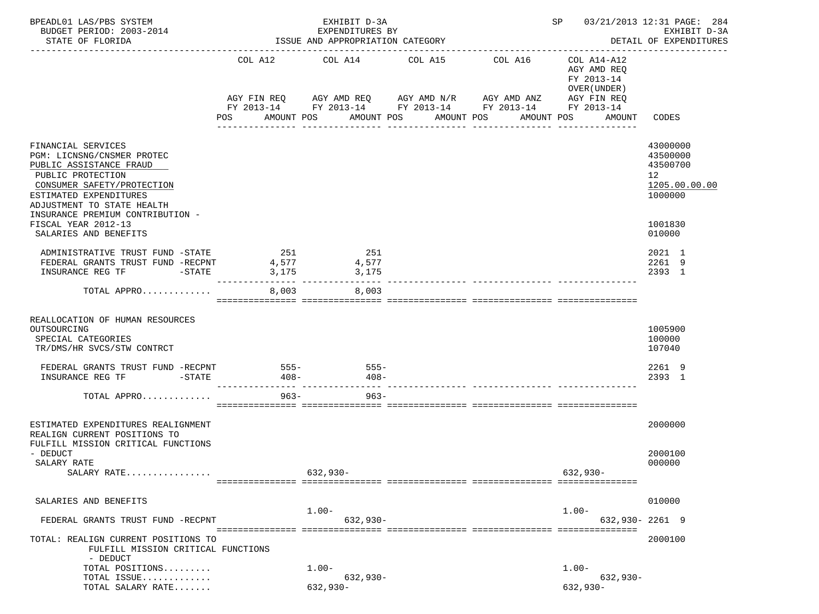| BPEADL01 LAS/PBS SYSTEM<br>BUDGET PERIOD: 2003-2014<br>STATE OF FLORIDA                                                                                                                |                                                                 | EXHIBIT D-3A<br>EXPENDITURES BY<br>ISSUE AND APPROPRIATION CATEGORY<br>-------------------------------------- |                                                                                                                                                             | SP 03/21/2013 12:31 PAGE: 284                             | EXHIBIT D-3A<br>DETAIL OF EXPENDITURES                                          |
|----------------------------------------------------------------------------------------------------------------------------------------------------------------------------------------|-----------------------------------------------------------------|---------------------------------------------------------------------------------------------------------------|-------------------------------------------------------------------------------------------------------------------------------------------------------------|-----------------------------------------------------------|---------------------------------------------------------------------------------|
|                                                                                                                                                                                        | COL A12                                                         | COL A14                                                                                                       | COL A15<br>COL A16                                                                                                                                          | COL A14-A12<br>AGY AMD REQ<br>FY 2013-14<br>OVER (UNDER ) |                                                                                 |
|                                                                                                                                                                                        | AMOUNT POS<br>POS                                               | AMOUNT POS                                                                                                    | AGY FIN REQ 6 AGY AMD REQ 6 AGY AMD N/R 66 AGY AMD ANZ<br>FY 2013-14 FY 2013-14 FY 2013-14 FY 2013-14 FY 2013-14<br>AMOUNT POS<br>----------<br>----------- | AGY FIN REQ<br>AMOUNT POS<br>AMOUNT                       | CODES                                                                           |
| FINANCIAL SERVICES<br>PGM: LICNSNG/CNSMER PROTEC<br>PUBLIC ASSISTANCE FRAUD<br>PUBLIC PROTECTION<br>CONSUMER SAFETY/PROTECTION<br>ESTIMATED EXPENDITURES<br>ADJUSTMENT TO STATE HEALTH |                                                                 |                                                                                                               |                                                                                                                                                             |                                                           | 43000000<br>43500000<br>43500700<br>12 <sup>°</sup><br>1205.00.00.00<br>1000000 |
| INSURANCE PREMIUM CONTRIBUTION -<br>FISCAL YEAR 2012-13<br>SALARIES AND BENEFITS                                                                                                       |                                                                 |                                                                                                               |                                                                                                                                                             |                                                           | 1001830<br>010000                                                               |
| ADMINISTRATIVE TRUST FUND -STATE<br>FEDERAL GRANTS TRUST FUND -RECPNT<br>INSURANCE REG TF<br>$-$ STATE                                                                                 | 251<br>4,577<br>3,175<br>______________________________________ | 251<br>4,577<br>3,175                                                                                         |                                                                                                                                                             |                                                           | 2021 1<br>2261 9<br>2393 1                                                      |
| TOTAL APPRO                                                                                                                                                                            | 8,003                                                           | 8,003                                                                                                         |                                                                                                                                                             |                                                           |                                                                                 |
| REALLOCATION OF HUMAN RESOURCES<br>OUTSOURCING<br>SPECIAL CATEGORIES<br>TR/DMS/HR SVCS/STW CONTRCT<br>FEDERAL GRANTS TRUST FUND -RECPNT                                                | $555 -$                                                         | $555 -$                                                                                                       |                                                                                                                                                             |                                                           | 1005900<br>100000<br>107040<br>2261 9                                           |
| INSURANCE REG TF<br>$-\mathtt{STATE}$                                                                                                                                                  | - 408–                                                          | 408-                                                                                                          |                                                                                                                                                             |                                                           | 2393 1                                                                          |
| TOTAL APPRO                                                                                                                                                                            |                                                                 | $963 -$<br>$963 -$                                                                                            |                                                                                                                                                             |                                                           |                                                                                 |
| ESTIMATED EXPENDITURES REALIGNMENT<br>REALIGN CURRENT POSITIONS TO                                                                                                                     |                                                                 |                                                                                                               |                                                                                                                                                             |                                                           | 2000000                                                                         |
| FULFILL MISSION CRITICAL FUNCTIONS<br>- DEDUCT<br>SALARY RATE<br>SALARY RATE                                                                                                           |                                                                 | $632,930-$                                                                                                    |                                                                                                                                                             | $632,930-$                                                | 2000100<br>000000                                                               |
| SALARIES AND BENEFITS                                                                                                                                                                  |                                                                 |                                                                                                               |                                                                                                                                                             |                                                           | 010000                                                                          |
| FEDERAL GRANTS TRUST FUND -RECPNT                                                                                                                                                      |                                                                 | $1.00-$<br>$632,930-$                                                                                         |                                                                                                                                                             | $1.00 -$                                                  | 632,930-2261 9                                                                  |
| TOTAL: REALIGN CURRENT POSITIONS TO<br>FULFILL MISSION CRITICAL FUNCTIONS<br>- DEDUCT                                                                                                  |                                                                 |                                                                                                               |                                                                                                                                                             |                                                           | 2000100                                                                         |
| TOTAL POSITIONS<br>TOTAL ISSUE                                                                                                                                                         |                                                                 | $1.00 -$                                                                                                      |                                                                                                                                                             | $1.00 -$<br>$632,930-$                                    |                                                                                 |
| TOTAL SALARY RATE                                                                                                                                                                      |                                                                 | 632,930-<br>$632,930-$                                                                                        |                                                                                                                                                             | $632,930-$                                                |                                                                                 |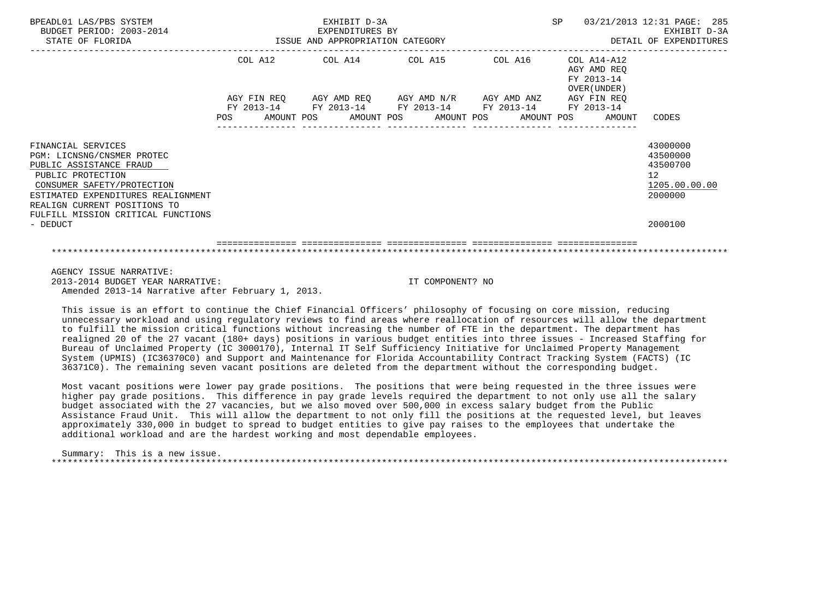| BPEADL01 LAS/PBS SYSTEM<br>BUDGET PERIOD: 2003-2014<br>STATE OF FLORIDA                                                                                                                                                                    | EXHIBIT D-3A<br>SP<br>03/21/2013 12:31 PAGE: 285<br>EXPENDITURES BY<br>ISSUE AND APPROPRIATION CATEGORY |  |  |                                                             |  |  |         |                                                        |  | EXHIBIT D-3A<br>DETAIL OF EXPENDITURES                       |                                                                    |
|--------------------------------------------------------------------------------------------------------------------------------------------------------------------------------------------------------------------------------------------|---------------------------------------------------------------------------------------------------------|--|--|-------------------------------------------------------------|--|--|---------|--------------------------------------------------------|--|--------------------------------------------------------------|--------------------------------------------------------------------|
|                                                                                                                                                                                                                                            | COL A12 COL A14 COL A15                                                                                 |  |  |                                                             |  |  | COL A16 |                                                        |  | $COL A14 - A12$<br>AGY AMD REO<br>FY 2013-14<br>OVER (UNDER) |                                                                    |
|                                                                                                                                                                                                                                            |                                                                                                         |  |  | AGY FIN REQ AGY AMD REQ AGY AMD N/R AGY AMD ANZ AGY FIN REQ |  |  |         | FY 2013-14 FY 2013-14 FY 2013-14 FY 2013-14 FY 2013-14 |  |                                                              |                                                                    |
|                                                                                                                                                                                                                                            |                                                                                                         |  |  |                                                             |  |  |         |                                                        |  | POS AMOUNT POS AMOUNT POS AMOUNT POS AMOUNT POS AMOUNT CODES |                                                                    |
| FINANCIAL SERVICES<br>PGM: LICNSNG/CNSMER PROTEC<br>PUBLIC ASSISTANCE FRAUD<br>PUBLIC PROTECTION<br>CONSUMER SAFETY/PROTECTION<br>ESTIMATED EXPENDITURES REALIGNMENT<br>REALIGN CURRENT POSITIONS TO<br>FULFILL MISSION CRITICAL FUNCTIONS |                                                                                                         |  |  |                                                             |  |  |         |                                                        |  |                                                              | 43000000<br>43500000<br>43500700<br>12<br>1205.00.00.00<br>2000000 |
| - DEDUCT                                                                                                                                                                                                                                   |                                                                                                         |  |  |                                                             |  |  |         |                                                        |  |                                                              | 2000100                                                            |
|                                                                                                                                                                                                                                            |                                                                                                         |  |  |                                                             |  |  |         |                                                        |  |                                                              |                                                                    |
| AGENCY ISSUE NARRATIVE:                                                                                                                                                                                                                    |                                                                                                         |  |  |                                                             |  |  |         |                                                        |  |                                                              |                                                                    |

 2013-2014 BUDGET YEAR NARRATIVE: IT COMPONENT? NO Amended 2013-14 Narrative after February 1, 2013.

 This issue is an effort to continue the Chief Financial Officers' philosophy of focusing on core mission, reducing unnecessary workload and using regulatory reviews to find areas where reallocation of resources will allow the department to fulfill the mission critical functions without increasing the number of FTE in the department. The department has realigned 20 of the 27 vacant (180+ days) positions in various budget entities into three issues - Increased Staffing for Bureau of Unclaimed Property (IC 3000170), Internal IT Self Sufficiency Initiative for Unclaimed Property Management System (UPMIS) (IC36370C0) and Support and Maintenance for Florida Accountability Contract Tracking System (FACTS) (IC 36371C0). The remaining seven vacant positions are deleted from the department without the corresponding budget.

 Most vacant positions were lower pay grade positions. The positions that were being requested in the three issues were higher pay grade positions. This difference in pay grade levels required the department to not only use all the salary budget associated with the 27 vacancies, but we also moved over 500,000 in excess salary budget from the Public Assistance Fraud Unit. This will allow the department to not only fill the positions at the requested level, but leaves approximately 330,000 in budget to spread to budget entities to give pay raises to the employees that undertake the additional workload and are the hardest working and most dependable employees.

 Summary: This is a new issue. \*\*\*\*\*\*\*\*\*\*\*\*\*\*\*\*\*\*\*\*\*\*\*\*\*\*\*\*\*\*\*\*\*\*\*\*\*\*\*\*\*\*\*\*\*\*\*\*\*\*\*\*\*\*\*\*\*\*\*\*\*\*\*\*\*\*\*\*\*\*\*\*\*\*\*\*\*\*\*\*\*\*\*\*\*\*\*\*\*\*\*\*\*\*\*\*\*\*\*\*\*\*\*\*\*\*\*\*\*\*\*\*\*\*\*\*\*\*\*\*\*\*\*\*\*\*\*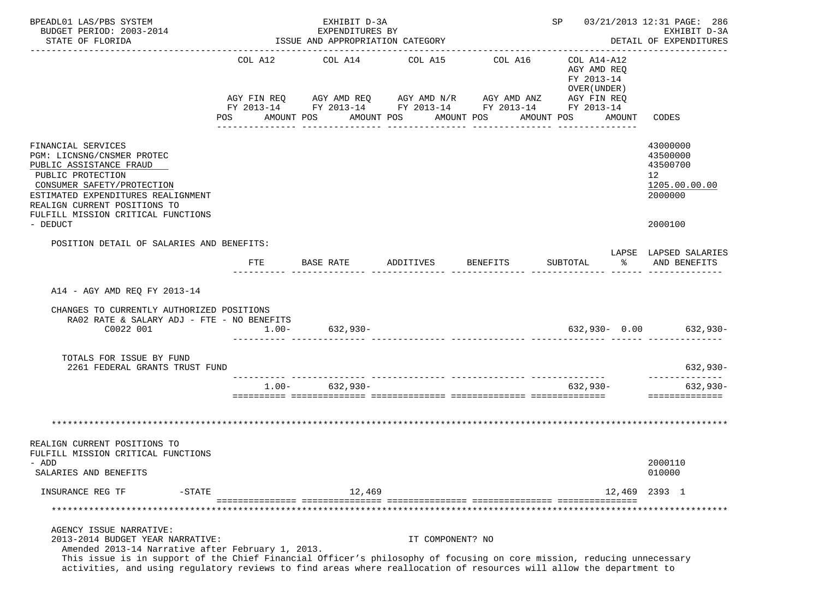| BPEADL01 LAS/PBS SYSTEM<br>BUDGET PERIOD: 2003-2014<br>STATE OF FLORIDA                                                                                                                                                                                                                                                                                           |                                                                                                                                                                    |           | EXHIBIT D-3A<br>EXPENDITURES BY<br>ISSUE AND APPROPRIATION CATEGORY |                       |                  |          |                                                                        |              | SP 03/21/2013 12:31 PAGE: 286<br>EXHIBIT D-3A<br>DETAIL OF EXPENDITURES       |
|-------------------------------------------------------------------------------------------------------------------------------------------------------------------------------------------------------------------------------------------------------------------------------------------------------------------------------------------------------------------|--------------------------------------------------------------------------------------------------------------------------------------------------------------------|-----------|---------------------------------------------------------------------|-----------------------|------------------|----------|------------------------------------------------------------------------|--------------|-------------------------------------------------------------------------------|
|                                                                                                                                                                                                                                                                                                                                                                   | COL A12 COL A14 COL A15<br>AGY FIN REQ AGY AMD REQ AGY AMD N/R AGY AMD ANZ AGY FIN REQ<br>FY 2013-14 FY 2013-14 FY 2013-14 FY 2013-14 FY 2013-14<br>POS AMOUNT POS |           |                                                                     | AMOUNT POS AMOUNT POS |                  | COL A16  | COL A14-A12<br>AGY AMD REO<br>FY 2013-14<br>OVER (UNDER)<br>AMOUNT POS | AMOUNT CODES |                                                                               |
| FINANCIAL SERVICES<br>PGM: LICNSNG/CNSMER PROTEC<br>PUBLIC ASSISTANCE FRAUD<br>PUBLIC PROTECTION<br>CONSUMER SAFETY/PROTECTION<br>ESTIMATED EXPENDITURES REALIGNMENT<br>REALIGN CURRENT POSITIONS TO<br>FULFILL MISSION CRITICAL FUNCTIONS<br>- DEDUCT                                                                                                            |                                                                                                                                                                    |           |                                                                     |                       |                  |          |                                                                        |              | 43000000<br>43500000<br>43500700<br>12<br>1205.00.00.00<br>2000000<br>2000100 |
| POSITION DETAIL OF SALARIES AND BENEFITS:                                                                                                                                                                                                                                                                                                                         |                                                                                                                                                                    |           |                                                                     |                       |                  |          |                                                                        |              | LAPSE LAPSED SALARIES                                                         |
|                                                                                                                                                                                                                                                                                                                                                                   | FTE                                                                                                                                                                | BASE RATE |                                                                     | ADDITIVES             |                  | BENEFITS | SUBTOTAL                                                               | ႜႂ           | AND BENEFITS                                                                  |
| A14 - AGY AMD REO FY 2013-14<br>CHANGES TO CURRENTLY AUTHORIZED POSITIONS<br>RA02 RATE & SALARY ADJ - FTE - NO BENEFITS<br>C0022 001                                                                                                                                                                                                                              | $1.00 -$                                                                                                                                                           |           | $632,930-$                                                          |                       |                  |          |                                                                        |              | 632,930- 0.00 632,930-                                                        |
| TOTALS FOR ISSUE BY FUND<br>2261 FEDERAL GRANTS TRUST FUND                                                                                                                                                                                                                                                                                                        |                                                                                                                                                                    |           |                                                                     |                       |                  |          |                                                                        |              | $632,930-$                                                                    |
|                                                                                                                                                                                                                                                                                                                                                                   | $1.00 - 632,930 -$                                                                                                                                                 |           |                                                                     |                       |                  |          | 632,930-                                                               |              | --------------<br>$632,930-$<br>==============                                |
| REALIGN CURRENT POSITIONS TO<br>FULFILL MISSION CRITICAL FUNCTIONS<br>- ADD<br>SALARIES AND BENEFITS                                                                                                                                                                                                                                                              |                                                                                                                                                                    |           |                                                                     |                       |                  |          |                                                                        |              | 2000110<br>010000                                                             |
| INSURANCE REG TF<br>$-STATE$                                                                                                                                                                                                                                                                                                                                      |                                                                                                                                                                    |           | 12,469                                                              |                       |                  |          |                                                                        |              | 12,469 2393 1                                                                 |
|                                                                                                                                                                                                                                                                                                                                                                   |                                                                                                                                                                    |           |                                                                     |                       |                  |          |                                                                        |              |                                                                               |
| AGENCY ISSUE NARRATIVE:<br>2013-2014 BUDGET YEAR NARRATIVE:<br>Amended 2013-14 Narrative after February 1, 2013.<br>This issue is in support of the Chief Financial Officer's philosophy of focusing on core mission, reducing unnecessary<br>activities, and using regulatory reviews to find areas where reallocation of resources will allow the department to |                                                                                                                                                                    |           |                                                                     |                       | IT COMPONENT? NO |          |                                                                        |              |                                                                               |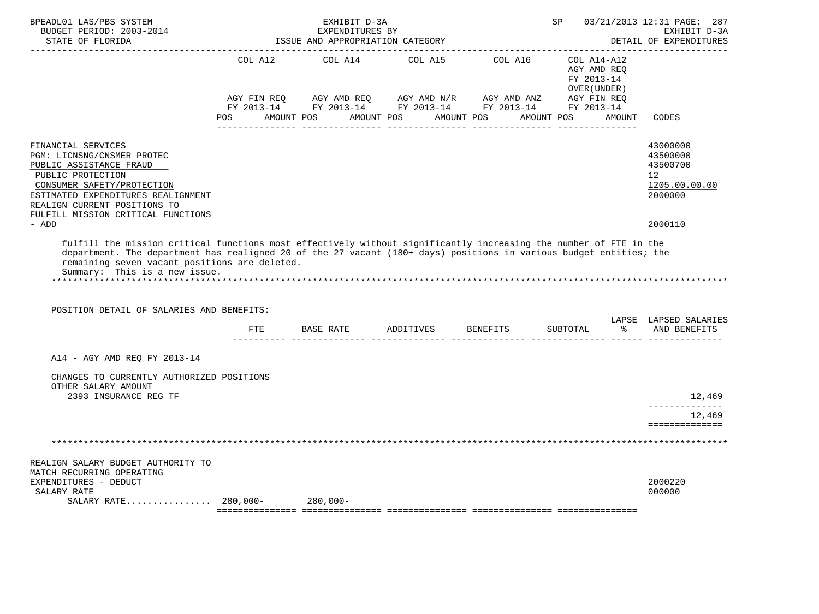| BPEADL01 LAS/PBS SYSTEM<br>BUDGET PERIOD: 2003-2014<br>STATE OF FLORIDA                                                                                                                                                                    | EXHIBIT D-3A<br>EXPENDITURES BY<br>ISSUE AND APPROPRIATION CATEGORY |            |                                      |                                                                                                                         | 03/21/2013 12:31 PAGE: 287<br>SP<br>EXHIBIT D-3A<br>DETAIL OF EXPENDITURES |                                                                                 |
|--------------------------------------------------------------------------------------------------------------------------------------------------------------------------------------------------------------------------------------------|---------------------------------------------------------------------|------------|--------------------------------------|-------------------------------------------------------------------------------------------------------------------------|----------------------------------------------------------------------------|---------------------------------------------------------------------------------|
|                                                                                                                                                                                                                                            |                                                                     |            |                                      | COL A12 COL A14 COL A15 COL A16 COL A14-A12                                                                             | AGY AMD REO<br>FY 2013-14<br>OVER (UNDER )                                 |                                                                                 |
|                                                                                                                                                                                                                                            | AGY FIN REQ                                                         |            | POS AMOUNT POS AMOUNT POS AMOUNT POS | AGY AMD REQ AGY AMD N/R AGY AMD ANZ AGY FIN REQ<br>FY 2013-14 FY 2013-14 FY 2013-14 FY 2013-14 FY 2013-14<br>AMOUNT POS | AMOUNT                                                                     | CODES                                                                           |
| FINANCIAL SERVICES<br>PGM: LICNSNG/CNSMER PROTEC<br>PUBLIC ASSISTANCE FRAUD<br>PUBLIC PROTECTION<br>CONSUMER SAFETY/PROTECTION<br>ESTIMATED EXPENDITURES REALIGNMENT<br>REALIGN CURRENT POSITIONS TO<br>FULFILL MISSION CRITICAL FUNCTIONS |                                                                     |            |                                      |                                                                                                                         |                                                                            | 43000000<br>43500000<br>43500700<br>12 <sup>°</sup><br>1205.00.00.00<br>2000000 |
| - ADD                                                                                                                                                                                                                                      |                                                                     |            |                                      |                                                                                                                         |                                                                            | 2000110                                                                         |
| remaining seven vacant positions are deleted.<br>Summary: This is a new issue.<br>POSITION DETAIL OF SALARIES AND BENEFITS:                                                                                                                |                                                                     |            |                                      |                                                                                                                         |                                                                            | LAPSE LAPSED SALARIES                                                           |
|                                                                                                                                                                                                                                            |                                                                     |            | FTE BASE RATE ADDITIVES BENEFITS     |                                                                                                                         | SUBTOTAL % AND BENEFITS                                                    |                                                                                 |
| A14 - AGY AMD REQ FY 2013-14                                                                                                                                                                                                               |                                                                     |            |                                      |                                                                                                                         |                                                                            |                                                                                 |
| CHANGES TO CURRENTLY AUTHORIZED POSITIONS<br>OTHER SALARY AMOUNT<br>2393 INSURANCE REG TF                                                                                                                                                  |                                                                     |            |                                      |                                                                                                                         |                                                                            | 12,469                                                                          |
|                                                                                                                                                                                                                                            |                                                                     |            |                                      |                                                                                                                         |                                                                            | -------------<br>12,469                                                         |
|                                                                                                                                                                                                                                            |                                                                     |            |                                      |                                                                                                                         |                                                                            | ==============                                                                  |
| REALIGN SALARY BUDGET AUTHORITY TO                                                                                                                                                                                                         |                                                                     |            |                                      |                                                                                                                         |                                                                            |                                                                                 |
| MATCH RECURRING OPERATING<br>EXPENDITURES - DEDUCT<br>SALARY RATE                                                                                                                                                                          |                                                                     |            |                                      |                                                                                                                         |                                                                            | 2000220<br>000000                                                               |
| SALARY RATE $280,000-$                                                                                                                                                                                                                     |                                                                     | $280,000-$ |                                      |                                                                                                                         |                                                                            |                                                                                 |
|                                                                                                                                                                                                                                            |                                                                     |            |                                      |                                                                                                                         |                                                                            |                                                                                 |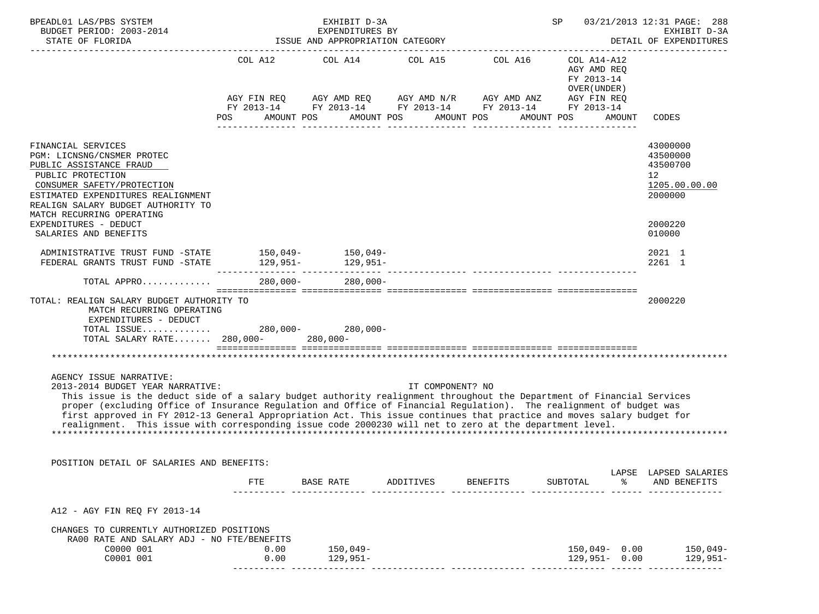| BPEADL01 LAS/PBS SYSTEM<br>BUDGET PERIOD: 2003-2014<br>STATE OF FLORIDA                                                                                                                                                                                                                                                                                                                                                                                                                                                                           |                                     | EXHIBIT D-3A<br>EXPENDITURES BY<br>ISSUE AND APPROPRIATION CATEGORY | 03/21/2013 12:31 PAGE: 288<br>SP<br>EXHIBIT D-3A<br>DETAIL OF EXPENDITURES                          |                                                                      |                                                                                   |                                                                                 |
|---------------------------------------------------------------------------------------------------------------------------------------------------------------------------------------------------------------------------------------------------------------------------------------------------------------------------------------------------------------------------------------------------------------------------------------------------------------------------------------------------------------------------------------------------|-------------------------------------|---------------------------------------------------------------------|-----------------------------------------------------------------------------------------------------|----------------------------------------------------------------------|-----------------------------------------------------------------------------------|---------------------------------------------------------------------------------|
|                                                                                                                                                                                                                                                                                                                                                                                                                                                                                                                                                   | COL A12<br>AMOUNT POS<br><b>POS</b> |                                                                     | COL A14 COL A15 COL A16<br>AGY FIN REQ AGY AMD REQ AGY AMD N/R AGY AMD ANZ<br>AMOUNT POS AMOUNT POS | FY 2013-14 FY 2013-14 FY 2013-14 FY 2013-14 FY 2013-14<br>AMOUNT POS | COL A14-A12<br>AGY AMD REQ<br>FY 2013-14<br>OVER (UNDER)<br>AGY FIN REQ<br>AMOUNT | CODES                                                                           |
| FINANCIAL SERVICES<br>PGM: LICNSNG/CNSMER PROTEC<br>PUBLIC ASSISTANCE FRAUD<br>PUBLIC PROTECTION<br>CONSUMER SAFETY/PROTECTION<br>ESTIMATED EXPENDITURES REALIGNMENT<br>REALIGN SALARY BUDGET AUTHORITY TO<br>MATCH RECURRING OPERATING                                                                                                                                                                                                                                                                                                           |                                     |                                                                     |                                                                                                     |                                                                      |                                                                                   | 43000000<br>43500000<br>43500700<br>12 <sup>°</sup><br>1205.00.00.00<br>2000000 |
| EXPENDITURES - DEDUCT<br>SALARIES AND BENEFITS                                                                                                                                                                                                                                                                                                                                                                                                                                                                                                    |                                     |                                                                     |                                                                                                     |                                                                      |                                                                                   | 2000220<br>010000                                                               |
| ADMINISTRATIVE TRUST FUND -STATE 150,049-<br>150,049-                                                                                                                                                                                                                                                                                                                                                                                                                                                                                             |                                     |                                                                     |                                                                                                     |                                                                      |                                                                                   | 2021 1<br>2261 1                                                                |
| TOTAL APPRO                                                                                                                                                                                                                                                                                                                                                                                                                                                                                                                                       |                                     | 280.000- 280.000-                                                   |                                                                                                     |                                                                      |                                                                                   |                                                                                 |
| TOTAL: REALIGN SALARY BUDGET AUTHORITY TO<br>MATCH RECURRING OPERATING<br>EXPENDITURES - DEDUCT<br>TOTAL ISSUE 280,000- 280,000-<br>TOTAL SALARY RATE 280,000- 280,000-                                                                                                                                                                                                                                                                                                                                                                           |                                     |                                                                     |                                                                                                     |                                                                      |                                                                                   | 2000220                                                                         |
|                                                                                                                                                                                                                                                                                                                                                                                                                                                                                                                                                   |                                     |                                                                     |                                                                                                     |                                                                      |                                                                                   |                                                                                 |
| AGENCY ISSUE NARRATIVE:<br>2013-2014 BUDGET YEAR NARRATIVE:<br>This issue is the deduct side of a salary budget authority realignment throughout the Department of Financial Services<br>proper (excluding Office of Insurance Regulation and Office of Financial Regulation). The realignment of budget was<br>first approved in FY 2012-13 General Appropriation Act. This issue continues that practice and moves salary budget for<br>realignment. This issue with corresponding issue code 2000230 will net to zero at the department level. |                                     |                                                                     | IT COMPONENT? NO                                                                                    |                                                                      |                                                                                   |                                                                                 |
| POSITION DETAIL OF SALARIES AND BENEFITS:                                                                                                                                                                                                                                                                                                                                                                                                                                                                                                         |                                     |                                                                     |                                                                                                     |                                                                      |                                                                                   |                                                                                 |
|                                                                                                                                                                                                                                                                                                                                                                                                                                                                                                                                                   | FTE                                 | BASE RATE                                                           | ADDITIVES BENEFITS                                                                                  |                                                                      | ိ<br>SUBTOTAL                                                                     | LAPSE LAPSED SALARIES<br>AND BENEFITS                                           |
| A12 - AGY FIN REO FY 2013-14                                                                                                                                                                                                                                                                                                                                                                                                                                                                                                                      |                                     |                                                                     |                                                                                                     |                                                                      |                                                                                   |                                                                                 |
| CHANGES TO CURRENTLY AUTHORIZED POSITIONS<br>RA00 RATE AND SALARY ADJ - NO FTE/BENEFITS<br>C0000 001<br>C0001 001                                                                                                                                                                                                                                                                                                                                                                                                                                 | 0.00<br>0.00                        | 150,049-<br>$129,951-$                                              |                                                                                                     |                                                                      | $129,951 - 0.00$                                                                  | 150,049- 0.00 150,049-<br>$129,951-$                                            |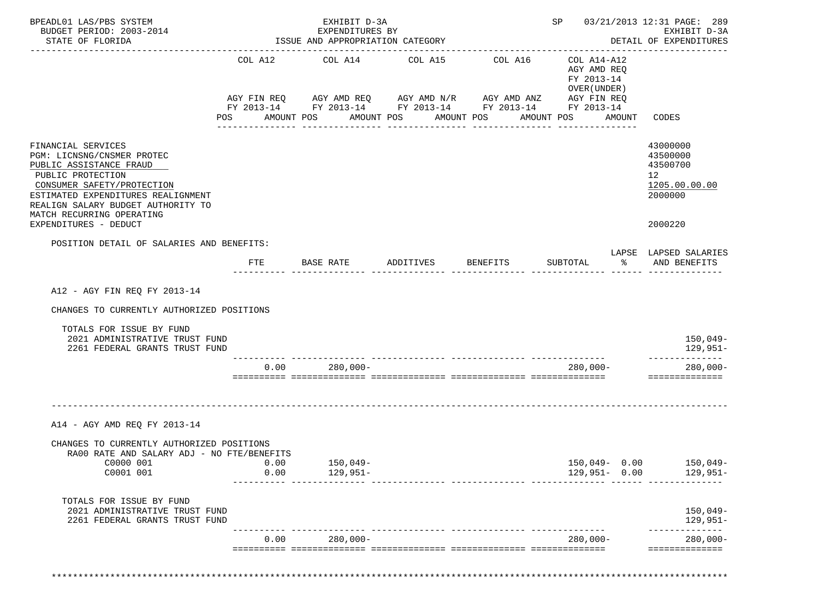| BPEADL01 LAS/PBS SYSTEM<br>BUDGET PERIOD: 2003-2014<br>STATE OF FLORIDA                                                                                                                                                                 |                | EXHIBIT D-3A<br>EXPENDITURES BY<br>ISSUE AND APPROPRIATION CATEGORY<br>-------------------------------------- |                       |                                                                                                                                    |                                                                                                 | SP 03/21/2013 12:31 PAGE: 289<br>EXHIBIT D-3A<br>DETAIL OF EXPENDITURES         |
|-----------------------------------------------------------------------------------------------------------------------------------------------------------------------------------------------------------------------------------------|----------------|---------------------------------------------------------------------------------------------------------------|-----------------------|------------------------------------------------------------------------------------------------------------------------------------|-------------------------------------------------------------------------------------------------|---------------------------------------------------------------------------------|
|                                                                                                                                                                                                                                         | COL A12<br>POS | COL A14<br>AMOUNT POS                                                                                         | COL A15<br>AMOUNT POS | COL A16<br>AGY FIN REQ AGY AMD REQ AGY AMD N/R AGY AMD ANZ<br>FY 2013-14 FY 2013-14 FY 2013-14 FY 2013-14 FY 2013-14<br>AMOUNT POS | COL A14-A12<br>AGY AMD REQ<br>FY 2013-14<br>OVER (UNDER)<br>AGY FIN REQ<br>AMOUNT POS<br>AMOUNT | CODES                                                                           |
| FINANCIAL SERVICES<br>PGM: LICNSNG/CNSMER PROTEC<br>PUBLIC ASSISTANCE FRAUD<br>PUBLIC PROTECTION<br>CONSUMER SAFETY/PROTECTION<br>ESTIMATED EXPENDITURES REALIGNMENT<br>REALIGN SALARY BUDGET AUTHORITY TO<br>MATCH RECURRING OPERATING |                | _____________                                                                                                 | _______________       | ----------------                                                                                                                   | ________________                                                                                | 43000000<br>43500000<br>43500700<br>12 <sup>°</sup><br>1205.00.00.00<br>2000000 |
| EXPENDITURES - DEDUCT                                                                                                                                                                                                                   |                |                                                                                                               |                       |                                                                                                                                    |                                                                                                 | 2000220                                                                         |
| POSITION DETAIL OF SALARIES AND BENEFITS:                                                                                                                                                                                               |                | FTE BASE RATE                                                                                                 | ADDITIVES BENEFITS    |                                                                                                                                    | $\sim$ $\sim$ $\sim$<br>SUBTOTAL                                                                | LAPSE LAPSED SALARIES<br>AND BENEFITS                                           |
| A12 - AGY FIN REQ FY 2013-14<br>CHANGES TO CURRENTLY AUTHORIZED POSITIONS<br>TOTALS FOR ISSUE BY FUND<br>2021 ADMINISTRATIVE TRUST FUND                                                                                                 |                |                                                                                                               |                       |                                                                                                                                    |                                                                                                 | $150,049-$                                                                      |
| 2261 FEDERAL GRANTS TRUST FUND                                                                                                                                                                                                          |                |                                                                                                               |                       |                                                                                                                                    |                                                                                                 | 129,951-<br>--------------                                                      |
|                                                                                                                                                                                                                                         | 0.00           | $280,000-$                                                                                                    |                       |                                                                                                                                    | 280,000-                                                                                        | $280,000 -$<br>==============                                                   |
| A14 - AGY AMD REO FY 2013-14                                                                                                                                                                                                            |                |                                                                                                               |                       |                                                                                                                                    |                                                                                                 |                                                                                 |
| CHANGES TO CURRENTLY AUTHORIZED POSITIONS<br>RA00 RATE AND SALARY ADJ - NO FTE/BENEFITS                                                                                                                                                 |                |                                                                                                               |                       |                                                                                                                                    |                                                                                                 |                                                                                 |
| C0000 001<br>C0001 001                                                                                                                                                                                                                  | 0.00<br>0.00   | $150,049-$<br>$129,951-$                                                                                      |                       |                                                                                                                                    | $150,049 - 0.00$<br>$129,951 - 0.00$                                                            | $150,049-$<br>129,951-                                                          |
| TOTALS FOR ISSUE BY FUND<br>2021 ADMINISTRATIVE TRUST FUND<br>2261 FEDERAL GRANTS TRUST FUND                                                                                                                                            |                |                                                                                                               |                       |                                                                                                                                    |                                                                                                 | $150,049-$<br>129,951-<br>--------------                                        |
|                                                                                                                                                                                                                                         | 0.00           | $280,000 -$                                                                                                   |                       |                                                                                                                                    | $280,000-$                                                                                      | $280,000 -$                                                                     |
|                                                                                                                                                                                                                                         |                |                                                                                                               |                       |                                                                                                                                    |                                                                                                 | ==============                                                                  |

\*\*\*\*\*\*\*\*\*\*\*\*\*\*\*\*\*\*\*\*\*\*\*\*\*\*\*\*\*\*\*\*\*\*\*\*\*\*\*\*\*\*\*\*\*\*\*\*\*\*\*\*\*\*\*\*\*\*\*\*\*\*\*\*\*\*\*\*\*\*\*\*\*\*\*\*\*\*\*\*\*\*\*\*\*\*\*\*\*\*\*\*\*\*\*\*\*\*\*\*\*\*\*\*\*\*\*\*\*\*\*\*\*\*\*\*\*\*\*\*\*\*\*\*\*\*\*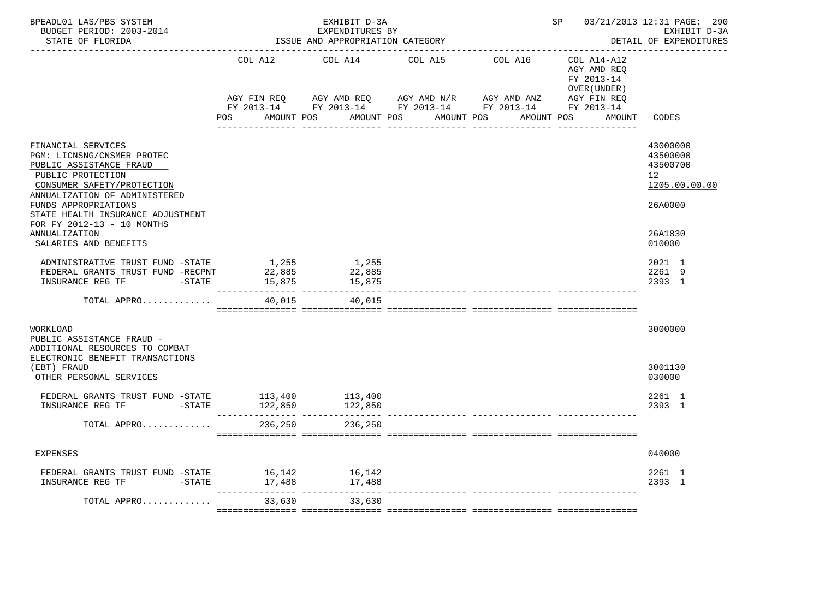| BPEADL01 LAS/PBS SYSTEM<br>BUDGET PERIOD: 2003-2014<br>STATE OF FLORIDA                                                                                                                                                                                    | EXHIBIT D-3A<br>EXPENDITURES BY<br>ISSUE AND APPROPRIATION CATEGORY |                           |                                                                                                                                                   |            | 03/21/2013 12:31 PAGE: 290<br>SP<br>EXHIBIT D-3A<br>DETAIL OF EXPENDITURES |                                                                                 |  |
|------------------------------------------------------------------------------------------------------------------------------------------------------------------------------------------------------------------------------------------------------------|---------------------------------------------------------------------|---------------------------|---------------------------------------------------------------------------------------------------------------------------------------------------|------------|----------------------------------------------------------------------------|---------------------------------------------------------------------------------|--|
|                                                                                                                                                                                                                                                            | COL A12                                                             | COL A14                   | COL A15                                                                                                                                           | COL A16    | COL A14-A12<br>AGY AMD REO<br>FY 2013-14<br>OVER ( UNDER )                 |                                                                                 |  |
|                                                                                                                                                                                                                                                            | AGY FIN REQ<br>POS FOR<br>AMOUNT POS                                |                           | AGY AMD REQ      AGY AMD N/R      AGY AMD ANZ      AGY FIN REQ<br>FY 2013-14 FY 2013-14 FY 2013-14 FY 2013-14 FY 2013-14<br>AMOUNT POS AMOUNT POS | AMOUNT POS | AMOUNT                                                                     | CODES                                                                           |  |
| FINANCIAL SERVICES<br>PGM: LICNSNG/CNSMER PROTEC<br>PUBLIC ASSISTANCE FRAUD<br>PUBLIC PROTECTION<br>CONSUMER SAFETY/PROTECTION<br>ANNUALIZATION OF ADMINISTERED<br>FUNDS APPROPRIATIONS<br>STATE HEALTH INSURANCE ADJUSTMENT<br>FOR FY 2012-13 - 10 MONTHS |                                                                     |                           |                                                                                                                                                   |            |                                                                            | 43000000<br>43500000<br>43500700<br>12 <sup>°</sup><br>1205.00.00.00<br>26A0000 |  |
| ANNUALIZATION<br>SALARIES AND BENEFITS                                                                                                                                                                                                                     |                                                                     |                           |                                                                                                                                                   |            |                                                                            | 26A1830<br>010000                                                               |  |
| ADMINISTRATIVE TRUST FUND -STATE<br>FEDERAL GRANTS TRUST FUND -RECPNT<br>$-STATE$<br>INSURANCE REG TF                                                                                                                                                      | 1,255<br>22,885<br>15,875                                           | 1,255<br>22,885<br>15,875 |                                                                                                                                                   |            |                                                                            | 2021 1<br>2261 9<br>2393 1                                                      |  |
| TOTAL APPRO                                                                                                                                                                                                                                                | 40,015                                                              | 40,015                    |                                                                                                                                                   |            |                                                                            |                                                                                 |  |
| WORKLOAD<br>PUBLIC ASSISTANCE FRAUD -<br>ADDITIONAL RESOURCES TO COMBAT<br>ELECTRONIC BENEFIT TRANSACTIONS                                                                                                                                                 |                                                                     |                           |                                                                                                                                                   |            |                                                                            | 3000000                                                                         |  |
| (EBT) FRAUD<br>OTHER PERSONAL SERVICES                                                                                                                                                                                                                     |                                                                     |                           |                                                                                                                                                   |            |                                                                            | 3001130<br>030000                                                               |  |
|                                                                                                                                                                                                                                                            | ---------------- ---------------                                    |                           |                                                                                                                                                   |            |                                                                            | 2261 1<br>2393 1                                                                |  |
| TOTAL APPRO                                                                                                                                                                                                                                                | 236,250                                                             | 236,250                   |                                                                                                                                                   |            |                                                                            |                                                                                 |  |
| <b>EXPENSES</b>                                                                                                                                                                                                                                            |                                                                     |                           |                                                                                                                                                   |            |                                                                            | 040000                                                                          |  |
| FEDERAL GRANTS TRUST FUND -STATE 16,142<br>$-STATE$<br>INSURANCE REG TF                                                                                                                                                                                    | 17,488                                                              | 16,142                    |                                                                                                                                                   |            |                                                                            | 2261 1<br>2393 1                                                                |  |
| TOTAL APPRO                                                                                                                                                                                                                                                | 33,630                                                              | 33,630                    |                                                                                                                                                   |            |                                                                            |                                                                                 |  |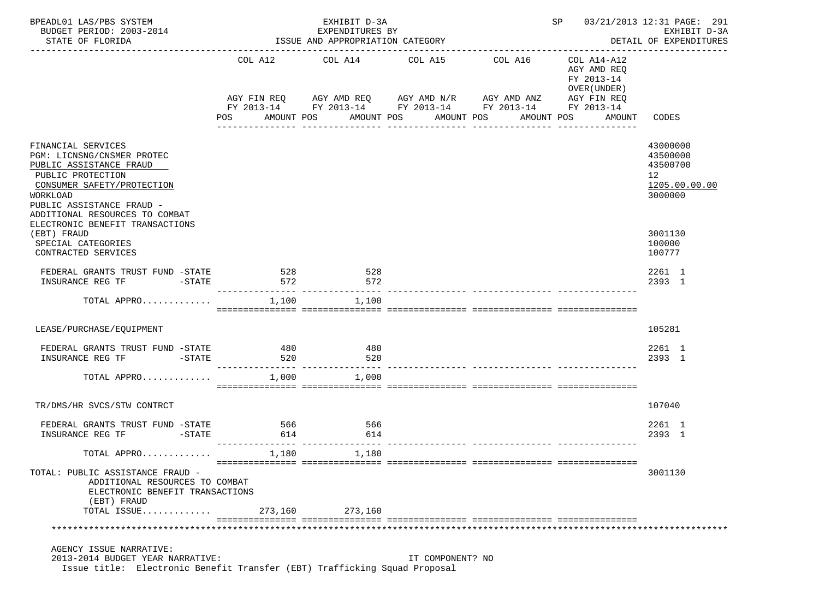| BPEADL01 LAS/PBS SYSTEM<br>BUDGET PERIOD: 2003-2014<br>STATE OF FLORIDA                                                                                                                                   | EXHIBIT D-3A<br>EXPENDITURES BY<br>ISSUE AND APPROPRIATION CATEGORY |                                 |                          |                                                             | 03/21/2013 12:31 PAGE: 291<br>SP and the set of the set of the set of the set of the set of the set of the set of the set of the set of the s<br>EXHIBIT D-3A<br>DETAIL OF EXPENDITURES |                                                                    |  |
|-----------------------------------------------------------------------------------------------------------------------------------------------------------------------------------------------------------|---------------------------------------------------------------------|---------------------------------|--------------------------|-------------------------------------------------------------|-----------------------------------------------------------------------------------------------------------------------------------------------------------------------------------------|--------------------------------------------------------------------|--|
|                                                                                                                                                                                                           |                                                                     | COL A12 COL A14 COL A15 COL A16 |                          | AGY FIN REQ AGY AMD REQ AGY AMD N/R AGY AMD ANZ AGY FIN REQ | COL A14-A12<br>AGY AMD REO<br>FY 2013-14<br>OVER (UNDER)                                                                                                                                |                                                                    |  |
|                                                                                                                                                                                                           | POS                                                                 | AMOUNT POS                      | AMOUNT POS<br>AMOUNT POS | FY 2013-14 FY 2013-14 FY 2013-14 FY 2013-14 FY 2013-14      | AMOUNT POS                                                                                                                                                                              | AMOUNT CODES                                                       |  |
| FINANCIAL SERVICES<br>PGM: LICNSNG/CNSMER PROTEC<br>PUBLIC ASSISTANCE FRAUD<br>PUBLIC PROTECTION<br>CONSUMER SAFETY/PROTECTION<br>WORKLOAD<br>PUBLIC ASSISTANCE FRAUD -<br>ADDITIONAL RESOURCES TO COMBAT |                                                                     |                                 |                          |                                                             |                                                                                                                                                                                         | 43000000<br>43500000<br>43500700<br>12<br>1205.00.00.00<br>3000000 |  |
| ELECTRONIC BENEFIT TRANSACTIONS<br>(EBT) FRAUD<br>SPECIAL CATEGORIES<br>CONTRACTED SERVICES                                                                                                               |                                                                     |                                 |                          |                                                             |                                                                                                                                                                                         | 3001130<br>100000<br>100777                                        |  |
| FEDERAL GRANTS TRUST FUND -STATE                                                                                                                                                                          | 528<br>572                                                          | 528<br>572                      |                          |                                                             |                                                                                                                                                                                         | 2261 1<br>2393 1                                                   |  |
| TOTAL APPRO                                                                                                                                                                                               | 1,100                                                               | 1,100                           |                          |                                                             |                                                                                                                                                                                         |                                                                    |  |
| LEASE/PURCHASE/EQUIPMENT                                                                                                                                                                                  |                                                                     |                                 |                          |                                                             |                                                                                                                                                                                         | 105281                                                             |  |
| FEDERAL GRANTS TRUST FUND -STATE 480<br>INSURANCE REG TF<br>$-STATE$                                                                                                                                      | 520                                                                 | 480<br>520                      |                          |                                                             |                                                                                                                                                                                         | 2261 1<br>2393 1                                                   |  |
| TOTAL APPRO                                                                                                                                                                                               |                                                                     | $1,000$ $1,000$                 |                          |                                                             |                                                                                                                                                                                         |                                                                    |  |
| TR/DMS/HR SVCS/STW CONTRCT                                                                                                                                                                                |                                                                     |                                 |                          |                                                             |                                                                                                                                                                                         | 107040                                                             |  |
| FEDERAL GRANTS TRUST FUND -STATE<br>INSURANCE REG TF FINSURANCE                                                                                                                                           | 566<br>614                                                          | 566<br>614                      |                          |                                                             |                                                                                                                                                                                         | 2261 1<br>2393 1                                                   |  |
| TOTAL APPRO $\ldots \ldots \ldots$                                                                                                                                                                        |                                                                     | 1.180                           |                          |                                                             |                                                                                                                                                                                         |                                                                    |  |
| TOTAL: PUBLIC ASSISTANCE FRAUD -<br>ADDITIONAL RESOURCES TO COMBAT<br>ELECTRONIC BENEFIT TRANSACTIONS<br>(EBT) FRAUD<br>TOTAL ISSUE                                                                       | 273,160                                                             | 273,160                         |                          |                                                             |                                                                                                                                                                                         | 3001130                                                            |  |
|                                                                                                                                                                                                           |                                                                     |                                 |                          |                                                             |                                                                                                                                                                                         |                                                                    |  |
| AGENCY ISSUE NARRATIVE:<br>2013-2014 BUDGET YEAR NARRATIVE:<br>Issue title: Electronic Benefit Transfer (EBT) Trafficking Squad Proposal                                                                  |                                                                     |                                 | IT COMPONENT? NO         |                                                             |                                                                                                                                                                                         |                                                                    |  |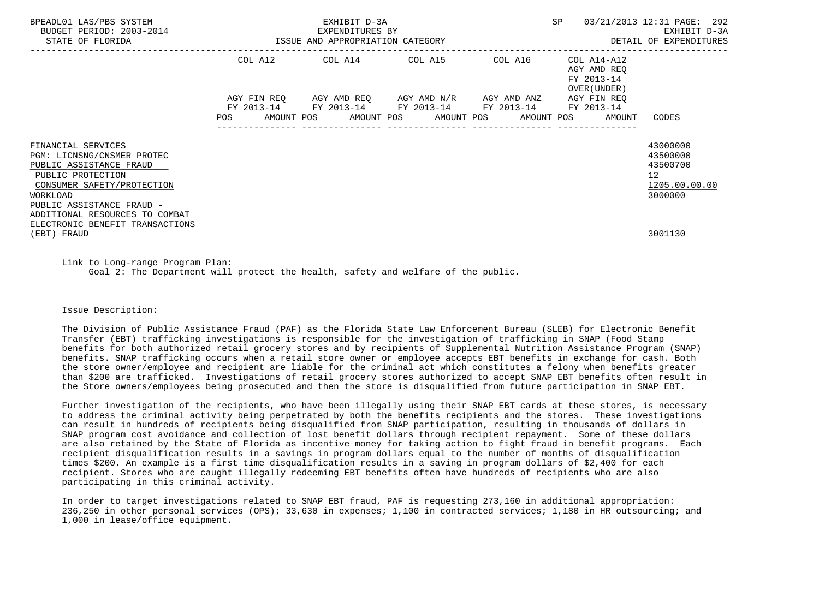| BPEADL01 LAS/PBS SYSTEM<br>BUDGET PERIOD: 2003-2014<br>STATE OF FLORIDA                                                                                                                                   | EXHIBIT D-3A<br>EXPENDITURES BY<br>ISSUE AND APPROPRIATION CATEGORY |                                                                                     |  |                                                | SP                                                       | 03/21/2013 12:31 PAGE: 292<br>EXHIBIT D-3A<br>DETAIL OF EXPENDITURES |
|-----------------------------------------------------------------------------------------------------------------------------------------------------------------------------------------------------------|---------------------------------------------------------------------|-------------------------------------------------------------------------------------|--|------------------------------------------------|----------------------------------------------------------|----------------------------------------------------------------------|
|                                                                                                                                                                                                           |                                                                     | COL A12 COL A14 COL A15 COL A16                                                     |  |                                                | COL A14-A12<br>AGY AMD REO<br>FY 2013-14<br>OVER (UNDER) |                                                                      |
|                                                                                                                                                                                                           | FY 2013-14<br>POS                                                   | AGY FIN REO AGY AMD REO AGY AMD N/R AGY AMD ANZ<br>AMOUNT POS AMOUNT POS AMOUNT POS |  | FY 2013-14 FY 2013-14 FY 2013-14<br>AMOUNT POS | AGY FIN REO<br>FY 2013-14<br>AMOUNT                      | CODES                                                                |
| FINANCIAL SERVICES<br>PGM: LICNSNG/CNSMER PROTEC<br>PUBLIC ASSISTANCE FRAUD<br>PUBLIC PROTECTION<br>CONSUMER SAFETY/PROTECTION<br>WORKLOAD<br>PUBLIC ASSISTANCE FRAUD -<br>ADDITIONAL RESOURCES TO COMBAT |                                                                     |                                                                                     |  |                                                |                                                          | 43000000<br>43500000<br>43500700<br>12<br>1205.00.00.00<br>3000000   |
| ELECTRONIC BENEFIT TRANSACTIONS<br>(EBT) FRAUD                                                                                                                                                            |                                                                     |                                                                                     |  |                                                |                                                          | 3001130                                                              |

 Link to Long-range Program Plan: Goal 2: The Department will protect the health, safety and welfare of the public.

Issue Description:

 The Division of Public Assistance Fraud (PAF) as the Florida State Law Enforcement Bureau (SLEB) for Electronic Benefit Transfer (EBT) trafficking investigations is responsible for the investigation of trafficking in SNAP (Food Stamp benefits for both authorized retail grocery stores and by recipients of Supplemental Nutrition Assistance Program (SNAP) benefits. SNAP trafficking occurs when a retail store owner or employee accepts EBT benefits in exchange for cash. Both the store owner/employee and recipient are liable for the criminal act which constitutes a felony when benefits greater than \$200 are trafficked. Investigations of retail grocery stores authorized to accept SNAP EBT benefits often result in the Store owners/employees being prosecuted and then the store is disqualified from future participation in SNAP EBT.

 Further investigation of the recipients, who have been illegally using their SNAP EBT cards at these stores, is necessary to address the criminal activity being perpetrated by both the benefits recipients and the stores. These investigations can result in hundreds of recipients being disqualified from SNAP participation, resulting in thousands of dollars in SNAP program cost avoidance and collection of lost benefit dollars through recipient repayment. Some of these dollars are also retained by the State of Florida as incentive money for taking action to fight fraud in benefit programs. Each recipient disqualification results in a savings in program dollars equal to the number of months of disqualification times \$200. An example is a first time disqualification results in a saving in program dollars of \$2,400 for each recipient. Stores who are caught illegally redeeming EBT benefits often have hundreds of recipients who are also participating in this criminal activity.

 In order to target investigations related to SNAP EBT fraud, PAF is requesting 273,160 in additional appropriation: 236,250 in other personal services (OPS); 33,630 in expenses; 1,100 in contracted services; 1,180 in HR outsourcing; and 1,000 in lease/office equipment.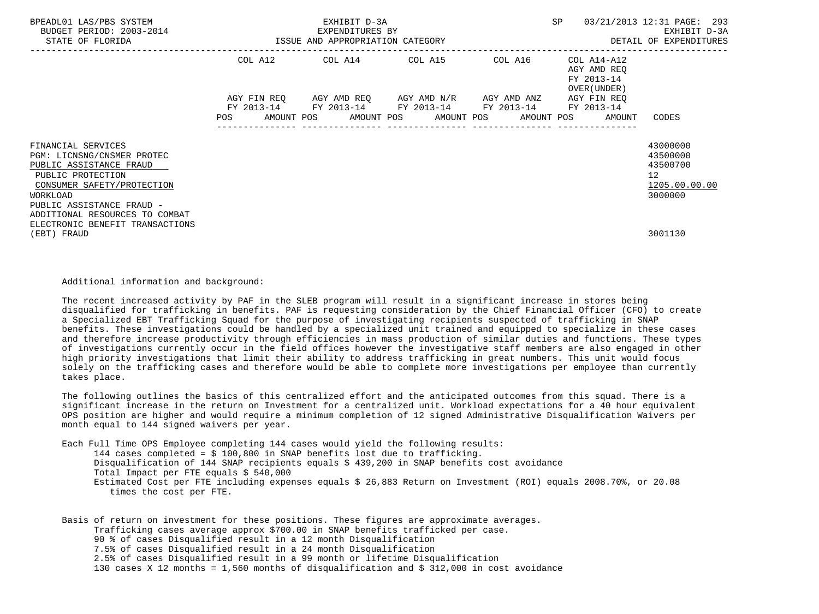| BPEADL01 LAS/PBS SYSTEM<br>BUDGET PERIOD: 2003-2014<br>STATE OF FLORIDA                                                                                                                                                                      | ISSUE AND APPROPRIATION CATEGORY | EXHIBIT D-3A<br>EXPENDITURES BY                                                                                                               |                                 | SP                                                       | 03/21/2013 12:31 PAGE: 293<br>EXHIBIT D-3A<br>DETAIL OF EXPENDITURES            |
|----------------------------------------------------------------------------------------------------------------------------------------------------------------------------------------------------------------------------------------------|----------------------------------|-----------------------------------------------------------------------------------------------------------------------------------------------|---------------------------------|----------------------------------------------------------|---------------------------------------------------------------------------------|
|                                                                                                                                                                                                                                              |                                  | COL A12 COL A14 COL A15 COL A16                                                                                                               | ------------------------------- | COL A14-A12<br>AGY AMD REO<br>FY 2013-14<br>OVER (UNDER) |                                                                                 |
|                                                                                                                                                                                                                                              | POS                              | AGY FIN REQ AGY AMD REQ AGY AMD N/R AGY AMD ANZ<br>FY 2013-14 FY 2013-14 FY 2013-14 FY 2013-14<br>AMOUNT POS AMOUNT POS AMOUNT POS AMOUNT POS |                                 | AGY FIN REQ<br>FY 2013-14<br>AMOUNT                      | CODES                                                                           |
| FINANCIAL SERVICES<br>PGM: LICNSNG/CNSMER PROTEC<br>PUBLIC ASSISTANCE FRAUD<br>PUBLIC PROTECTION<br>CONSUMER SAFETY/PROTECTION<br>WORKLOAD<br>PUBLIC ASSISTANCE FRAUD -<br>ADDITIONAL RESOURCES TO COMBAT<br>ELECTRONIC BENEFIT TRANSACTIONS |                                  |                                                                                                                                               |                                 |                                                          | 43000000<br>43500000<br>43500700<br>12 <sup>°</sup><br>1205.00.00.00<br>3000000 |
| (EBT) FRAUD                                                                                                                                                                                                                                  |                                  |                                                                                                                                               |                                 |                                                          | 3001130                                                                         |

Additional information and background:

 The recent increased activity by PAF in the SLEB program will result in a significant increase in stores being disqualified for trafficking in benefits. PAF is requesting consideration by the Chief Financial Officer (CFO) to create a Specialized EBT Trafficking Squad for the purpose of investigating recipients suspected of trafficking in SNAP benefits. These investigations could be handled by a specialized unit trained and equipped to specialize in these cases and therefore increase productivity through efficiencies in mass production of similar duties and functions. These types of investigations currently occur in the field offices however the investigative staff members are also engaged in other high priority investigations that limit their ability to address trafficking in great numbers. This unit would focus solely on the trafficking cases and therefore would be able to complete more investigations per employee than currently takes place.

 The following outlines the basics of this centralized effort and the anticipated outcomes from this squad. There is a significant increase in the return on Investment for a centralized unit. Workload expectations for a 40 hour equivalent OPS position are higher and would require a minimum completion of 12 signed Administrative Disqualification Waivers per month equal to 144 signed waivers per year.

Each Full Time OPS Employee completing 144 cases would yield the following results:

 144 cases completed = \$ 100,800 in SNAP benefits lost due to trafficking. Disqualification of 144 SNAP recipients equals \$ 439,200 in SNAP benefits cost avoidance Total Impact per FTE equals \$ 540,000 Estimated Cost per FTE including expenses equals \$ 26,883 Return on Investment (ROI) equals 2008.70%, or 20.08 times the cost per FTE.

 Basis of return on investment for these positions. These figures are approximate averages. Trafficking cases average approx \$700.00 in SNAP benefits trafficked per case. 90 % of cases Disqualified result in a 12 month Disqualification 7.5% of cases Disqualified result in a 24 month Disqualification 2.5% of cases Disqualified result in a 99 month or lifetime Disqualification 130 cases X 12 months = 1,560 months of disqualification and \$ 312,000 in cost avoidance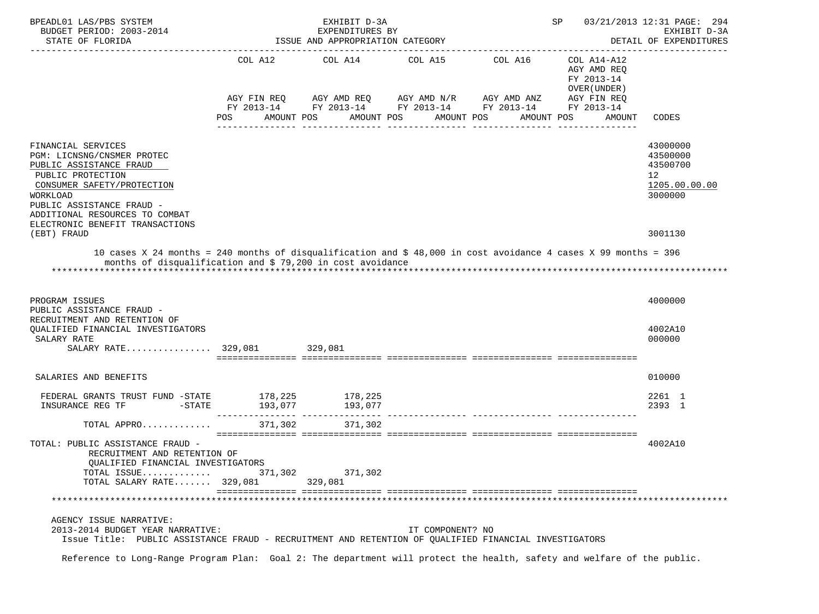| BPEADL01 LAS/PBS SYSTEM<br>BUDGET PERIOD: 2003-2014                                                                                                                                                                          |         | EXHIBIT D-3A<br>EXPENDITURES BY  |                                                                                                                                                 |            | SP                                                                                              | 03/21/2013 12:31 PAGE: 294<br>EXHIBIT D-3A                         |
|------------------------------------------------------------------------------------------------------------------------------------------------------------------------------------------------------------------------------|---------|----------------------------------|-------------------------------------------------------------------------------------------------------------------------------------------------|------------|-------------------------------------------------------------------------------------------------|--------------------------------------------------------------------|
| STATE OF FLORIDA                                                                                                                                                                                                             |         | ISSUE AND APPROPRIATION CATEGORY |                                                                                                                                                 |            |                                                                                                 | DETAIL OF EXPENDITURES<br>______________                           |
|                                                                                                                                                                                                                              | POS.    | AMOUNT POS<br>AMOUNT POS         | COL A12 COL A14 COL A15 COL A16<br>AGY FIN REQ AGY AMD REQ AGY AMD N/R AGY AMD ANZ<br>FY 2013-14 FY 2013-14 FY 2013-14 FY 2013-14<br>AMOUNT POS | AMOUNT POS | COL A14-A12<br>AGY AMD REO<br>FY 2013-14<br>OVER (UNDER)<br>AGY FIN REQ<br>FY 2013-14<br>AMOUNT | CODES                                                              |
| FINANCIAL SERVICES<br>PGM: LICNSNG/CNSMER PROTEC<br>PUBLIC ASSISTANCE FRAUD<br>PUBLIC PROTECTION<br>CONSUMER SAFETY/PROTECTION<br>WORKLOAD<br>PUBLIC ASSISTANCE FRAUD -<br>ADDITIONAL RESOURCES TO COMBAT                    |         |                                  |                                                                                                                                                 |            |                                                                                                 | 43000000<br>43500000<br>43500700<br>12<br>1205.00.00.00<br>3000000 |
| ELECTRONIC BENEFIT TRANSACTIONS<br>(EBT) FRAUD                                                                                                                                                                               |         |                                  |                                                                                                                                                 |            |                                                                                                 | 3001130                                                            |
| months of disqualification and \$ 79,200 in cost avoidance<br>PROGRAM ISSUES<br>PUBLIC ASSISTANCE FRAUD -<br>RECRUITMENT AND RETENTION OF<br>OUALIFIED FINANCIAL INVESTIGATORS<br>SALARY RATE<br>SALARY RATE 329,081 329,081 |         |                                  |                                                                                                                                                 |            |                                                                                                 | 4000000<br>4002A10<br>000000                                       |
|                                                                                                                                                                                                                              |         |                                  |                                                                                                                                                 |            |                                                                                                 |                                                                    |
| SALARIES AND BENEFITS                                                                                                                                                                                                        |         |                                  |                                                                                                                                                 |            |                                                                                                 | 010000                                                             |
| FEDERAL GRANTS TRUST FUND -STATE 178, 225 178, 225<br>$-$ STATE<br>INSURANCE REG TF                                                                                                                                          |         | 193,077 193,077                  |                                                                                                                                                 |            |                                                                                                 | 2261 1<br>2393 1                                                   |
| TOTAL APPRO                                                                                                                                                                                                                  | 371,302 | 371,302                          |                                                                                                                                                 |            |                                                                                                 |                                                                    |
| TOTAL: PUBLIC ASSISTANCE FRAUD -<br>RECRUITMENT AND RETENTION OF<br>QUALIFIED FINANCIAL INVESTIGATORS<br>TOTAL ISSUE<br>TOTAL SALARY RATE 329,081                                                                            | 371,302 | 371,302<br>329,081               |                                                                                                                                                 |            |                                                                                                 | 4002A10                                                            |
|                                                                                                                                                                                                                              |         |                                  |                                                                                                                                                 |            |                                                                                                 |                                                                    |
| AGENCY ISSUE NARRATIVE:<br>2013-2014 BUDGET YEAR NARRATIVE:<br>Issue Title: PUBLIC ASSISTANCE FRAUD - RECRUITMENT AND RETENTION OF QUALIFIED FINANCIAL INVESTIGATORS                                                         |         |                                  | IT COMPONENT? NO                                                                                                                                |            |                                                                                                 |                                                                    |
| Reference to Long-Range Program Plan: Goal 2: The department will protect the health, safety and welfare of the public.                                                                                                      |         |                                  |                                                                                                                                                 |            |                                                                                                 |                                                                    |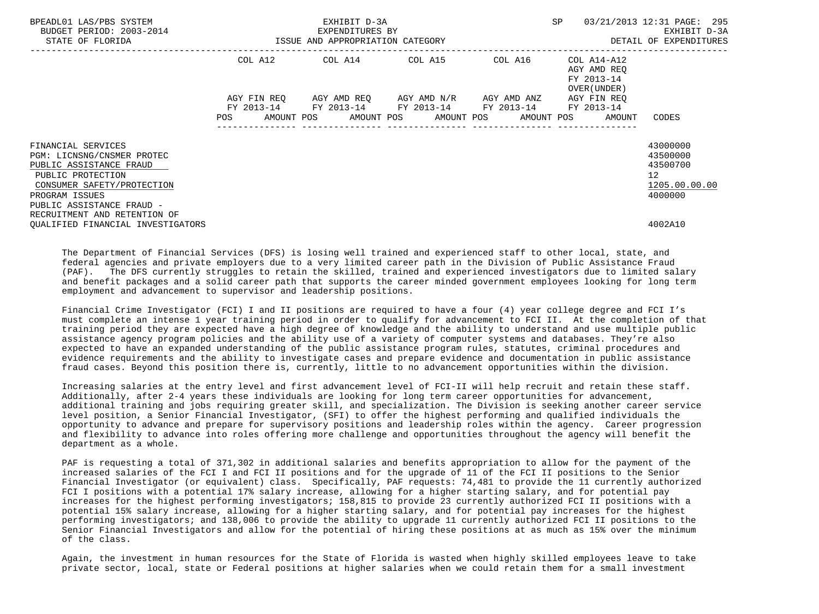| BPEADL01 LAS/PBS SYSTEM<br>BUDGET PERIOD: 2003-2014                                                                                                                                                           | EXHIBIT D-3A<br>EXPENDITURES BY<br>ISSUE AND APPROPRIATION CATEGORY |  |  |  | SP                                                                                                                                                                  |  | 03/21/2013 12:31 PAGE: 295<br>EXHIBIT D-3A               |                                                                                 |
|---------------------------------------------------------------------------------------------------------------------------------------------------------------------------------------------------------------|---------------------------------------------------------------------|--|--|--|---------------------------------------------------------------------------------------------------------------------------------------------------------------------|--|----------------------------------------------------------|---------------------------------------------------------------------------------|
| STATE OF FLORIDA                                                                                                                                                                                              |                                                                     |  |  |  |                                                                                                                                                                     |  |                                                          | DETAIL OF EXPENDITURES                                                          |
|                                                                                                                                                                                                               |                                                                     |  |  |  | COL A12 COL A14 COL A15 COL A16                                                                                                                                     |  | COL A14-A12<br>AGY AMD REO<br>FY 2013-14<br>OVER (UNDER) |                                                                                 |
|                                                                                                                                                                                                               |                                                                     |  |  |  | AGY FIN REQ AGY AMD REQ AGY AMD N/R AGY AMD ANZ<br>FY 2013-14 FY 2013-14 FY 2013-14 FY 2013-14 FY 2013-14<br>POS AMOUNT POS AMOUNT POS AMOUNT POS AMOUNT POS AMOUNT |  | AGY FIN REO                                              | CODES                                                                           |
| FINANCIAL SERVICES<br>PGM: LICNSNG/CNSMER PROTEC<br>PUBLIC ASSISTANCE FRAUD<br>PUBLIC PROTECTION<br>CONSUMER SAFETY/PROTECTION<br>PROGRAM ISSUES<br>PUBLIC ASSISTANCE FRAUD -<br>RECRUITMENT AND RETENTION OF |                                                                     |  |  |  |                                                                                                                                                                     |  |                                                          | 43000000<br>43500000<br>43500700<br>12 <sup>°</sup><br>1205.00.00.00<br>4000000 |
| OUALIFIED FINANCIAL INVESTIGATORS                                                                                                                                                                             |                                                                     |  |  |  |                                                                                                                                                                     |  |                                                          | 4002A10                                                                         |

 The Department of Financial Services (DFS) is losing well trained and experienced staff to other local, state, and federal agencies and private employers due to a very limited career path in the Division of Public Assistance Fraud (PAF). The DFS currently struggles to retain the skilled, trained and experienced investigators due to limited salary and benefit packages and a solid career path that supports the career minded government employees looking for long term employment and advancement to supervisor and leadership positions.

 Financial Crime Investigator (FCI) I and II positions are required to have a four (4) year college degree and FCI I's must complete an intense 1 year training period in order to qualify for advancement to FCI II. At the completion of that training period they are expected have a high degree of knowledge and the ability to understand and use multiple public assistance agency program policies and the ability use of a variety of computer systems and databases. They're also expected to have an expanded understanding of the public assistance program rules, statutes, criminal procedures and evidence requirements and the ability to investigate cases and prepare evidence and documentation in public assistance fraud cases. Beyond this position there is, currently, little to no advancement opportunities within the division.

 Increasing salaries at the entry level and first advancement level of FCI-II will help recruit and retain these staff. Additionally, after 2-4 years these individuals are looking for long term career opportunities for advancement, additional training and jobs requiring greater skill, and specialization. The Division is seeking another career service level position, a Senior Financial Investigator, (SFI) to offer the highest performing and qualified individuals the opportunity to advance and prepare for supervisory positions and leadership roles within the agency. Career progression and flexibility to advance into roles offering more challenge and opportunities throughout the agency will benefit the department as a whole.

 PAF is requesting a total of 371,302 in additional salaries and benefits appropriation to allow for the payment of the increased salaries of the FCI I and FCI II positions and for the upgrade of 11 of the FCI II positions to the Senior Financial Investigator (or equivalent) class. Specifically, PAF requests: 74,481 to provide the 11 currently authorized FCI I positions with a potential 17% salary increase, allowing for a higher starting salary, and for potential pay increases for the highest performing investigators; 158,815 to provide 23 currently authorized FCI II positions with a potential 15% salary increase, allowing for a higher starting salary, and for potential pay increases for the highest performing investigators; and 138,006 to provide the ability to upgrade 11 currently authorized FCI II positions to the Senior Financial Investigators and allow for the potential of hiring these positions at as much as 15% over the minimum of the class.

 Again, the investment in human resources for the State of Florida is wasted when highly skilled employees leave to take private sector, local, state or Federal positions at higher salaries when we could retain them for a small investment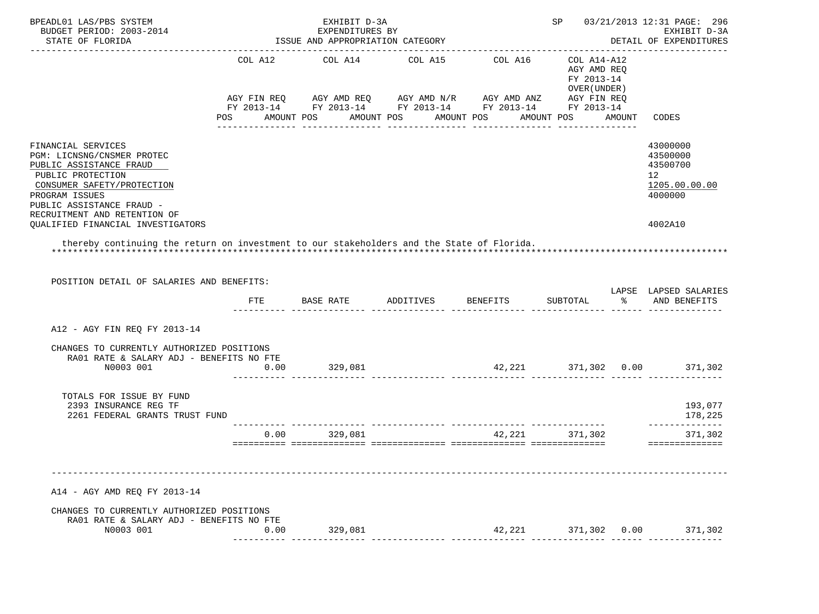| BPEADL01 LAS/PBS SYSTEM<br>BUDGET PERIOD: 2003-2014<br>STATE OF FLORIDA                                                                                                       |      | EXHIBIT D-3A<br>EXPENDITURES BY<br>ISSUE AND APPROPRIATION CATEGORY |                                                                                                                                                          |        | SP                                                        |        | 03/21/2013 12:31 PAGE: 296<br>EXHIBIT D-3A<br>DETAIL OF EXPENDITURES            |
|-------------------------------------------------------------------------------------------------------------------------------------------------------------------------------|------|---------------------------------------------------------------------|----------------------------------------------------------------------------------------------------------------------------------------------------------|--------|-----------------------------------------------------------|--------|---------------------------------------------------------------------------------|
|                                                                                                                                                                               |      |                                                                     | COL A12 COL A14 COL A15 COL A16<br>AGY FIN REQ AGY AMD REQ AGY AMD N/R AGY AMD ANZ AGY FIN REQ<br>FY 2013-14 FY 2013-14 FY 2013-14 FY 2013-14 FY 2013-14 |        | COL A14-A12<br>AGY AMD REO<br>FY 2013-14<br>OVER (UNDER ) |        |                                                                                 |
|                                                                                                                                                                               |      |                                                                     | POS AMOUNT POS AMOUNT POS AMOUNT POS                                                                                                                     |        | AMOUNT POS                                                | AMOUNT | CODES                                                                           |
| FINANCIAL SERVICES<br>PGM: LICNSNG/CNSMER PROTEC<br>PUBLIC ASSISTANCE FRAUD<br>PUBLIC PROTECTION<br>CONSUMER SAFETY/PROTECTION<br>PROGRAM ISSUES<br>PUBLIC ASSISTANCE FRAUD - |      |                                                                     |                                                                                                                                                          |        |                                                           |        | 43000000<br>43500000<br>43500700<br>12 <sup>°</sup><br>1205.00.00.00<br>4000000 |
| RECRUITMENT AND RETENTION OF<br>QUALIFIED FINANCIAL INVESTIGATORS                                                                                                             |      |                                                                     |                                                                                                                                                          |        |                                                           |        | 4002A10                                                                         |
| thereby continuing the return on investment to our stakeholders and the State of Florida.<br>POSITION DETAIL OF SALARIES AND BENEFITS:                                        |      |                                                                     |                                                                                                                                                          |        |                                                           |        | LAPSE LAPSED SALARIES                                                           |
|                                                                                                                                                                               | FTE  |                                                                     |                                                                                                                                                          |        |                                                           |        | % AND BENEFITS                                                                  |
| A12 - AGY FIN REQ FY 2013-14                                                                                                                                                  |      |                                                                     |                                                                                                                                                          |        |                                                           |        |                                                                                 |
| CHANGES TO CURRENTLY AUTHORIZED POSITIONS<br>RA01 RATE & SALARY ADJ - BENEFITS NO FTE<br>N0003 001                                                                            | 0.00 | 329,081                                                             | $42,221$ $371,302$ $0.00$ $371,302$                                                                                                                      |        |                                                           |        |                                                                                 |
| TOTALS FOR ISSUE BY FUND                                                                                                                                                      |      |                                                                     |                                                                                                                                                          |        |                                                           |        |                                                                                 |
| 2393 INSURANCE REG TF<br>2261 FEDERAL GRANTS TRUST FUND                                                                                                                       |      |                                                                     |                                                                                                                                                          |        |                                                           |        | 193,077<br>178,225                                                              |
|                                                                                                                                                                               | 0.00 | 329,081                                                             |                                                                                                                                                          | 42,221 | 371,302                                                   |        | ______________<br>371,302<br>==============                                     |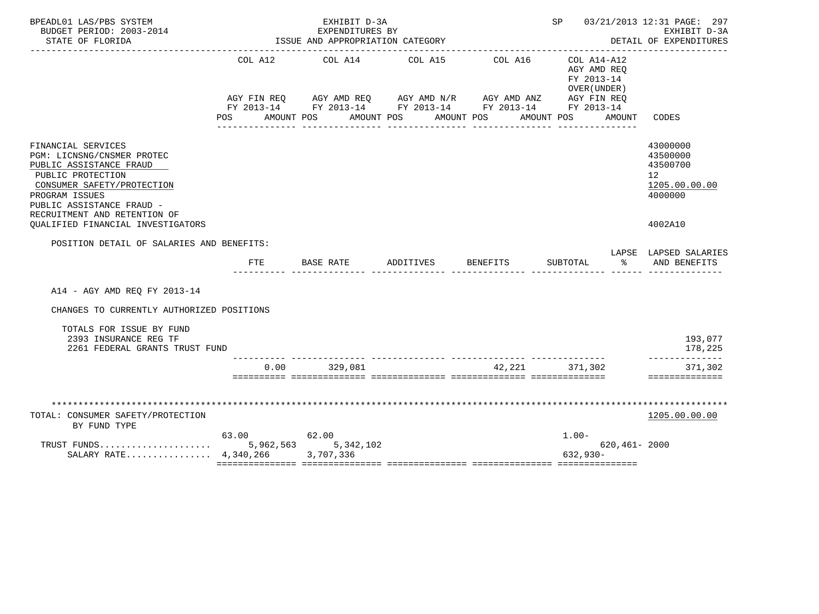| BPEADL01 LAS/PBS SYSTEM<br>BUDGET PERIOD: 2003-2014<br>STATE OF FLORIDA                                                                                                                                       | EXHIBIT D-3A<br>EXPENDITURES BY<br>ISSUE AND APPROPRIATION CATEGORY |                                           |                                                                                                                                    |                                                  | SP 03/21/2013 12:31 PAGE: 297<br>EXHIBIT D-3A<br>DETAIL OF EXPENDITURES                         |                                                                                 |  |
|---------------------------------------------------------------------------------------------------------------------------------------------------------------------------------------------------------------|---------------------------------------------------------------------|-------------------------------------------|------------------------------------------------------------------------------------------------------------------------------------|--------------------------------------------------|-------------------------------------------------------------------------------------------------|---------------------------------------------------------------------------------|--|
|                                                                                                                                                                                                               | COL A12<br>POS                                                      | COL A14<br>AMOUNT POS                     | COL A15<br>AGY FIN REQ AGY AMD REQ AGY AMD N/R AGY AMD ANZ<br>FY 2013-14 FY 2013-14 FY 2013-14 FY 2013-14 FY 2013-14<br>AMOUNT POS | COL A16<br>AMOUNT POS                            | COL A14-A12<br>AGY AMD REO<br>FY 2013-14<br>OVER (UNDER)<br>AGY FIN REQ<br>AMOUNT POS<br>AMOUNT | CODES                                                                           |  |
| FINANCIAL SERVICES<br>PGM: LICNSNG/CNSMER PROTEC<br>PUBLIC ASSISTANCE FRAUD<br>PUBLIC PROTECTION<br>CONSUMER SAFETY/PROTECTION<br>PROGRAM ISSUES<br>PUBLIC ASSISTANCE FRAUD -<br>RECRUITMENT AND RETENTION OF |                                                                     |                                           |                                                                                                                                    |                                                  |                                                                                                 | 43000000<br>43500000<br>43500700<br>12 <sup>°</sup><br>1205.00.00.00<br>4000000 |  |
| OUALIFIED FINANCIAL INVESTIGATORS                                                                                                                                                                             |                                                                     |                                           |                                                                                                                                    |                                                  |                                                                                                 | 4002A10                                                                         |  |
| POSITION DETAIL OF SALARIES AND BENEFITS:                                                                                                                                                                     |                                                                     |                                           |                                                                                                                                    |                                                  |                                                                                                 | LAPSE LAPSED SALARIES                                                           |  |
|                                                                                                                                                                                                               |                                                                     | FTE BASE RATE                             | ADDITIVES                                                                                                                          | <b>BENEFITS</b>                                  | SUBTOTAL<br>°≈                                                                                  | AND BENEFITS                                                                    |  |
| A14 - AGY AMD REQ FY 2013-14                                                                                                                                                                                  |                                                                     |                                           |                                                                                                                                    |                                                  |                                                                                                 |                                                                                 |  |
| CHANGES TO CURRENTLY AUTHORIZED POSITIONS                                                                                                                                                                     |                                                                     |                                           |                                                                                                                                    |                                                  |                                                                                                 |                                                                                 |  |
| TOTALS FOR ISSUE BY FUND<br>2393 INSURANCE REG TF<br>2261 FEDERAL GRANTS TRUST FUND                                                                                                                           |                                                                     |                                           |                                                                                                                                    |                                                  |                                                                                                 | 193,077<br>178,225                                                              |  |
|                                                                                                                                                                                                               |                                                                     | $0.00$ 329,081                            |                                                                                                                                    | ------------- ----------------<br>42.221 371.302 |                                                                                                 | -------------<br>371,302<br>==============                                      |  |
|                                                                                                                                                                                                               |                                                                     |                                           |                                                                                                                                    |                                                  |                                                                                                 |                                                                                 |  |
|                                                                                                                                                                                                               |                                                                     |                                           |                                                                                                                                    |                                                  |                                                                                                 |                                                                                 |  |
| TOTAL: CONSUMER SAFETY/PROTECTION<br>BY FUND TYPE                                                                                                                                                             |                                                                     |                                           |                                                                                                                                    |                                                  |                                                                                                 | 1205.00.00.00                                                                   |  |
| TRUST FUNDS<br>SALARY RATE $4,340,266$                                                                                                                                                                        | 63.00                                                               | 62.00<br>5,962,563 5,342,102<br>3,707,336 |                                                                                                                                    |                                                  | $1.00 -$<br>620,461-2000<br>$632,930-$                                                          |                                                                                 |  |
|                                                                                                                                                                                                               |                                                                     |                                           |                                                                                                                                    |                                                  |                                                                                                 |                                                                                 |  |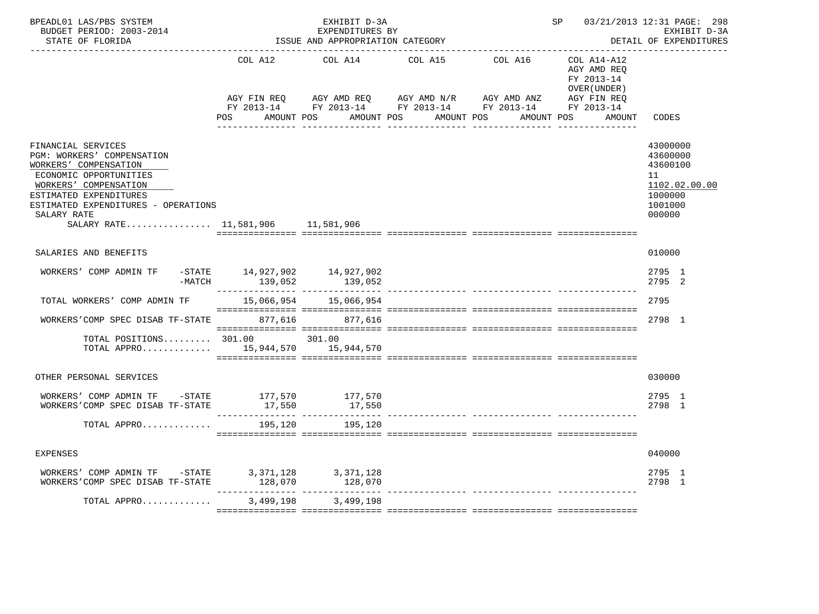| BPEADL01 LAS/PBS SYSTEM<br>BUDGET PERIOD: 2003-2014<br>STATE OF FLORIDA                                                                                                                                                                           |                                             | EXHIBIT D-3A<br>EXPENDITURES BY<br>ISSUE AND APPROPRIATION CATEGORY                                                                                                                                                                       | 03/21/2013 12:31 PAGE: 298<br>SP<br>EXHIBIT D-3A<br>DETAIL OF EXPENDITURES<br>------------------------ |                                   |                                                                    |                                                                                         |
|---------------------------------------------------------------------------------------------------------------------------------------------------------------------------------------------------------------------------------------------------|---------------------------------------------|-------------------------------------------------------------------------------------------------------------------------------------------------------------------------------------------------------------------------------------------|--------------------------------------------------------------------------------------------------------|-----------------------------------|--------------------------------------------------------------------|-----------------------------------------------------------------------------------------|
|                                                                                                                                                                                                                                                   | COL A12<br>AGY FIN REQ<br>POS<br>AMOUNT POS | COL A14<br>AGY AMD REQ<br>FY 2013-14 FY 2013-14 FY 2013-14 FY 2013-14 FY 2013-14                                                                                                                                                          | COL A15<br>AGY AMD N/R AGY AMD ANZ<br>AMOUNT POS AMOUNT POS                                            | COL A16 COL A14-A12<br>AMOUNT POS | AGY AMD REQ<br>FY 2013-14<br>OVER (UNDER)<br>AGY FIN REQ<br>AMOUNT | CODES                                                                                   |
| FINANCIAL SERVICES<br>PGM: WORKERS' COMPENSATION<br>WORKERS' COMPENSATION<br>ECONOMIC OPPORTUNITIES<br>WORKERS' COMPENSATION<br>ESTIMATED EXPENDITURES<br>ESTIMATED EXPENDITURES - OPERATIONS<br>SALARY RATE<br>SALARY RATE 11,581,906 11,581,906 |                                             |                                                                                                                                                                                                                                           |                                                                                                        |                                   |                                                                    | 43000000<br>43600000<br>43600100<br>11<br>1102.02.00.00<br>1000000<br>1001000<br>000000 |
| SALARIES AND BENEFITS                                                                                                                                                                                                                             |                                             |                                                                                                                                                                                                                                           |                                                                                                        |                                   |                                                                    | 010000                                                                                  |
| WORKERS' COMP ADMIN TF<br>-MATCH                                                                                                                                                                                                                  | -STATE 14,927,902<br>139,052                | 14,927,902<br>$139,052$ $139,052$ $139,052$ $139,052$ $139,052$ $139,052$ $139,052$ $139,052$ $139,052$ $139,052$ $139,052$ $139,052$ $139,052$ $139,052$ $139,052$ $139,052$ $139,052$ $139,052$ $139,052$ $139,052$ $139,052$ $139,052$ |                                                                                                        |                                   |                                                                    | 2795 1<br>2795 2                                                                        |
| TOTAL WORKERS' COMP ADMIN TF                                                                                                                                                                                                                      |                                             |                                                                                                                                                                                                                                           |                                                                                                        |                                   |                                                                    | 2795                                                                                    |
| WORKERS'COMP SPEC DISAB TF-STATE 877,616 877,616                                                                                                                                                                                                  |                                             |                                                                                                                                                                                                                                           |                                                                                                        |                                   |                                                                    | 2798 1                                                                                  |
| TOTAL POSITIONS $301.00$ 301.00<br>TOTAL APPRO $15,944,570$ $15,944,570$                                                                                                                                                                          |                                             |                                                                                                                                                                                                                                           |                                                                                                        |                                   |                                                                    |                                                                                         |
| OTHER PERSONAL SERVICES                                                                                                                                                                                                                           |                                             |                                                                                                                                                                                                                                           |                                                                                                        |                                   |                                                                    | 030000                                                                                  |
| WORKERS' COMP ADMIN TF $-$ STATE 177,570 177,570<br>WORKERS'COMP SPEC DISAB TF-STATE                                                                                                                                                              | 17,550                                      | 17,550                                                                                                                                                                                                                                    |                                                                                                        |                                   |                                                                    | 2795 1<br>2798 1                                                                        |
| TOTAL APPRO                                                                                                                                                                                                                                       | 195,120                                     | 195,120                                                                                                                                                                                                                                   |                                                                                                        |                                   |                                                                    |                                                                                         |
| <b>EXPENSES</b>                                                                                                                                                                                                                                   |                                             |                                                                                                                                                                                                                                           |                                                                                                        |                                   |                                                                    | 040000                                                                                  |
| WORKERS' COMP ADMIN TF -STATE<br>WORKERS'COMP SPEC DISAB TF-STATE                                                                                                                                                                                 | 3,371,128<br>128,070                        | 3,371,128<br>128,070                                                                                                                                                                                                                      |                                                                                                        |                                   |                                                                    | 2795 1<br>2798 1                                                                        |
| TOTAL APPRO                                                                                                                                                                                                                                       | 3,499,198                                   | 3,499,198                                                                                                                                                                                                                                 |                                                                                                        |                                   |                                                                    |                                                                                         |
|                                                                                                                                                                                                                                                   |                                             |                                                                                                                                                                                                                                           |                                                                                                        |                                   |                                                                    |                                                                                         |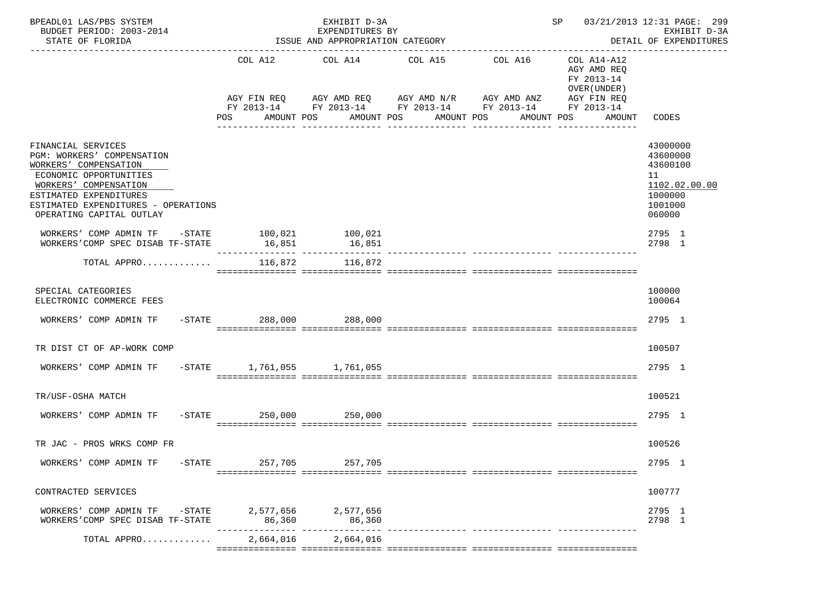| BPEADL01 LAS/PBS SYSTEM<br>BUDGET PERIOD: 2003-2014<br>STATE OF FLORIDA                                                                                                                                                   |           | EXHIBIT D-3A<br>EXPENDITURES BY<br>ISSUE AND APPROPRIATION CATEGORY |                     |                                                                                                                                                                  |                                          |                                                                                                      | SP 03/21/2013 12:31 PAGE: 299<br>EXHIBIT D-3A<br>DETAIL OF EXPENDITURES                 |  |
|---------------------------------------------------------------------------------------------------------------------------------------------------------------------------------------------------------------------------|-----------|---------------------------------------------------------------------|---------------------|------------------------------------------------------------------------------------------------------------------------------------------------------------------|------------------------------------------|------------------------------------------------------------------------------------------------------|-----------------------------------------------------------------------------------------|--|
|                                                                                                                                                                                                                           |           | COL A12<br>AMOUNT POS<br>POS                                        | COL A14 COL A15     | AGY FIN REQ 6 AGY AMD REQ 6 AGY AMD N/R 66 AGY AMD ANZ<br>FY 2013-14 FY 2013-14 FY 2013-14 FY 2013-14 FY 2013-14<br>AMOUNT POS<br>AMOUNT POS<br>________________ | COL A16<br>AMOUNT POS<br>_______________ | COL A14-A12<br>AGY AMD REQ<br>FY 2013-14<br>OVER (UNDER)<br>AGY FIN REQ<br>AMOUNT<br>_______________ | CODES                                                                                   |  |
| FINANCIAL SERVICES<br>PGM: WORKERS' COMPENSATION<br>WORKERS' COMPENSATION<br>ECONOMIC OPPORTUNITIES<br>WORKERS' COMPENSATION<br>ESTIMATED EXPENDITURES<br>ESTIMATED EXPENDITURES - OPERATIONS<br>OPERATING CAPITAL OUTLAY |           |                                                                     |                     |                                                                                                                                                                  |                                          |                                                                                                      | 43000000<br>43600000<br>43600100<br>11<br>1102.02.00.00<br>1000000<br>1001000<br>060000 |  |
| WORKERS' COMP ADMIN TF -STATE 100,021 100,021<br>WORKERS'COMP SPEC DISAB TF-STATE                                                                                                                                         |           | 16,851                                                              | 16,851              |                                                                                                                                                                  |                                          |                                                                                                      | 2795 1<br>2798 1                                                                        |  |
| TOTAL APPRO                                                                                                                                                                                                               |           | 116,872                                                             | 116,872             |                                                                                                                                                                  |                                          |                                                                                                      |                                                                                         |  |
| SPECIAL CATEGORIES<br>ELECTRONIC COMMERCE FEES                                                                                                                                                                            |           |                                                                     |                     |                                                                                                                                                                  |                                          |                                                                                                      | 100000<br>100064                                                                        |  |
| WORKERS' COMP ADMIN TF                                                                                                                                                                                                    |           | -STATE 288,000 288,000                                              |                     |                                                                                                                                                                  |                                          |                                                                                                      | 2795 1                                                                                  |  |
| TR DIST CT OF AP-WORK COMP                                                                                                                                                                                                |           |                                                                     |                     |                                                                                                                                                                  |                                          |                                                                                                      | 100507                                                                                  |  |
| WORKERS' COMP ADMIN TF                                                                                                                                                                                                    |           | -STATE 1,761,055 1,761,055                                          |                     |                                                                                                                                                                  |                                          |                                                                                                      | 2795 1                                                                                  |  |
| TR/USF-OSHA MATCH                                                                                                                                                                                                         |           |                                                                     |                     |                                                                                                                                                                  |                                          |                                                                                                      | 100521                                                                                  |  |
| WORKERS' COMP ADMIN TF                                                                                                                                                                                                    |           | -STATE 250,000 250,000                                              |                     |                                                                                                                                                                  |                                          |                                                                                                      | 2795 1                                                                                  |  |
| TR JAC - PROS WRKS COMP FR                                                                                                                                                                                                |           |                                                                     |                     |                                                                                                                                                                  |                                          |                                                                                                      | 100526                                                                                  |  |
| WORKERS' COMP ADMIN TF                                                                                                                                                                                                    | $-$ STATE | 257,705                                                             | 257,705             |                                                                                                                                                                  |                                          |                                                                                                      | 2795 1                                                                                  |  |
| CONTRACTED SERVICES                                                                                                                                                                                                       |           |                                                                     |                     |                                                                                                                                                                  |                                          |                                                                                                      | 100777                                                                                  |  |
| WORKERS' COMP ADMIN TF -STATE 2,577,656 2,577,656<br>WORKERS'COMP SPEC DISAB TF-STATE                                                                                                                                     |           |                                                                     |                     |                                                                                                                                                                  |                                          |                                                                                                      | 2795 1<br>2798 1                                                                        |  |
| TOTAL APPRO                                                                                                                                                                                                               |           |                                                                     | 2.664.016 2.664.016 |                                                                                                                                                                  |                                          |                                                                                                      |                                                                                         |  |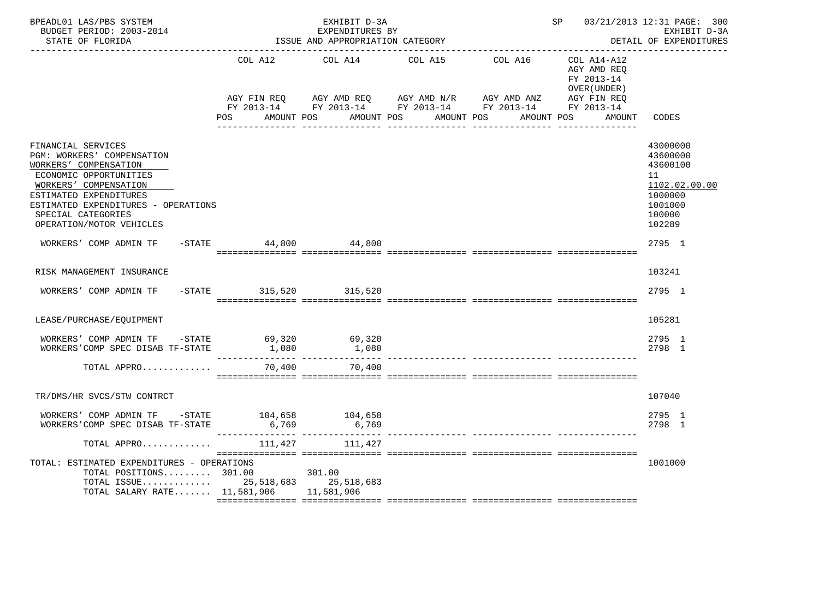| BPEADL01 LAS/PBS SYSTEM<br>BUDGET PERIOD: 2003-2014<br>STATE OF FLORIDA                                                                                                                                                                         |                        | EXHIBIT D-3A<br>EXPENDITURES BY<br>ISSUE AND APPROPRIATION CATEGORY |                                                                                                                                             | SP 03/21/2013 12:31 PAGE: 300 | EXHIBIT D-3A<br>DETAIL OF EXPENDITURES                   |                                                                                                   |
|-------------------------------------------------------------------------------------------------------------------------------------------------------------------------------------------------------------------------------------------------|------------------------|---------------------------------------------------------------------|---------------------------------------------------------------------------------------------------------------------------------------------|-------------------------------|----------------------------------------------------------|---------------------------------------------------------------------------------------------------|
|                                                                                                                                                                                                                                                 |                        | COL A12 COL A14 COL A15                                             |                                                                                                                                             | COL A16                       | COL A14-A12<br>AGY AMD REO<br>FY 2013-14<br>OVER (UNDER) |                                                                                                   |
|                                                                                                                                                                                                                                                 | POS                    |                                                                     | AGY FIN REQ AGY AMD REQ AGY AMD N/R AGY AMD ANZ AGY FIN REQ FIN REQ AGY AMD N/R AGY AMD ANZ AGY FIN REQ<br>AMOUNT POS AMOUNT POS AMOUNT POS |                               | AMOUNT POS<br>AMOUNT                                     | CODES                                                                                             |
| FINANCIAL SERVICES<br>PGM: WORKERS' COMPENSATION<br>WORKERS' COMPENSATION<br>ECONOMIC OPPORTUNITIES<br>WORKERS' COMPENSATION<br>ESTIMATED EXPENDITURES<br>ESTIMATED EXPENDITURES - OPERATIONS<br>SPECIAL CATEGORIES<br>OPERATION/MOTOR VEHICLES |                        |                                                                     |                                                                                                                                             |                               |                                                          | 43000000<br>43600000<br>43600100<br>11<br>1102.02.00.00<br>1000000<br>1001000<br>100000<br>102289 |
| WORKERS' COMP ADMIN TF -STATE 44,800 44,800                                                                                                                                                                                                     |                        |                                                                     |                                                                                                                                             |                               |                                                          | 2795 1                                                                                            |
| RISK MANAGEMENT INSURANCE                                                                                                                                                                                                                       |                        |                                                                     |                                                                                                                                             |                               |                                                          | 103241                                                                                            |
| WORKERS' COMP ADMIN TF                                                                                                                                                                                                                          | -STATE 315,520 315,520 |                                                                     |                                                                                                                                             |                               |                                                          | 2795 1                                                                                            |
| LEASE/PURCHASE/EQUIPMENT                                                                                                                                                                                                                        |                        |                                                                     |                                                                                                                                             |                               |                                                          | 105281                                                                                            |
| WORKERS' COMP ADMIN TF -STATE 69,320 69,320<br>WORKERS'COMP SPEC DISAB TF-STATE                                                                                                                                                                 |                        | 1,080 1,080                                                         |                                                                                                                                             |                               |                                                          | 2795 1<br>2798 1                                                                                  |
| TOTAL APPRO                                                                                                                                                                                                                                     | 70,400                 | 70,400                                                              |                                                                                                                                             |                               |                                                          |                                                                                                   |
| TR/DMS/HR SVCS/STW CONTRCT                                                                                                                                                                                                                      |                        |                                                                     |                                                                                                                                             |                               |                                                          | 107040                                                                                            |
| WORKERS' COMP ADMIN TF $-$ STATE 104,658 104,658<br>WORKERS'COMP SPEC DISAB TF-STATE                                                                                                                                                            |                        | 6,769 6,769                                                         |                                                                                                                                             |                               |                                                          | 2795 1<br>2798 1                                                                                  |
| TOTAL APPRO                                                                                                                                                                                                                                     | 111,427                | 111,427                                                             |                                                                                                                                             |                               |                                                          |                                                                                                   |
| TOTAL: ESTIMATED EXPENDITURES - OPERATIONS<br>TOTAL POSITIONS 301.00 301.00<br>TOTAL ISSUE 25,518,683 25,518,683<br>TOTAL SALARY RATE 11,581,906 11,581,906                                                                                     |                        |                                                                     |                                                                                                                                             |                               |                                                          | 1001000                                                                                           |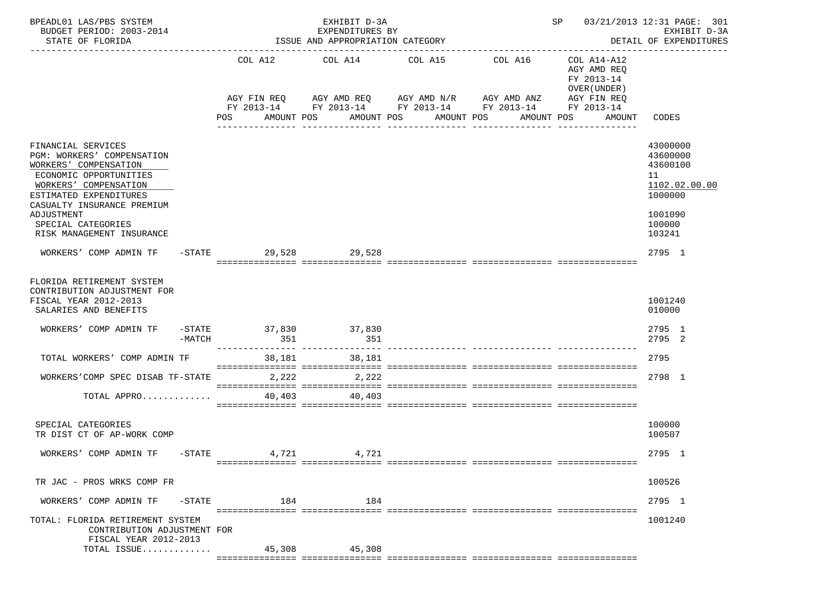| BPEADL01 LAS/PBS SYSTEM<br>BUDGET PERIOD: 2003-2014<br>STATE OF FLORIDA                                                      |                   |           | EXHIBIT D-3A<br>EXPENDITURES BY<br>ISSUE AND APPROPRIATION CATEGORY |                                             |                                                           | SP and the set of the set of the set of the set of the set of the set of the set of the set of the set of the set of the set of the set of the set of the set of the set of the set of the set of the set of the set of the se | 03/21/2013 12:31 PAGE: 301<br>EXHIBIT D-3A<br>DETAIL OF EXPENDITURES |
|------------------------------------------------------------------------------------------------------------------------------|-------------------|-----------|---------------------------------------------------------------------|---------------------------------------------|-----------------------------------------------------------|--------------------------------------------------------------------------------------------------------------------------------------------------------------------------------------------------------------------------------|----------------------------------------------------------------------|
|                                                                                                                              |                   |           | COL A12 COL A14 COL A15                                             |                                             | COL A16                                                   | COL A14-A12<br>AGY AMD REQ<br>FY 2013-14<br>OVER (UNDER)                                                                                                                                                                       | --------------                                                       |
|                                                                                                                              |                   | POS       | AGY FIN REQ AGY AMD REQ AGY AMD N/R AGY AMD ANZ<br>AMOUNT POS       | AMOUNT POS<br>AMOUNT POS<br>_______________ | FY 2013-14 FY 2013-14 FY 2013-14 FY 2013-14<br>AMOUNT POS | AGY FIN REQ<br>FY 2013-14<br>AMOUNT                                                                                                                                                                                            | CODES                                                                |
| FINANCIAL SERVICES<br>PGM: WORKERS' COMPENSATION<br>WORKERS' COMPENSATION<br>ECONOMIC OPPORTUNITIES<br>WORKERS' COMPENSATION |                   |           |                                                                     |                                             |                                                           |                                                                                                                                                                                                                                | 43000000<br>43600000<br>43600100<br>11<br>1102.02.00.00              |
| ESTIMATED EXPENDITURES<br>CASUALTY INSURANCE PREMIUM<br>ADJUSTMENT<br>SPECIAL CATEGORIES<br>RISK MANAGEMENT INSURANCE        |                   |           |                                                                     |                                             |                                                           |                                                                                                                                                                                                                                | 1000000<br>1001090<br>100000<br>103241                               |
| WORKERS' COMP ADMIN TF                                                                                                       |                   | $-$ STATE | 29,528 29,528                                                       |                                             |                                                           |                                                                                                                                                                                                                                | 2795 1                                                               |
| FLORIDA RETIREMENT SYSTEM<br>CONTRIBUTION ADJUSTMENT FOR<br>FISCAL YEAR 2012-2013<br>SALARIES AND BENEFITS                   |                   |           |                                                                     |                                             |                                                           |                                                                                                                                                                                                                                | 1001240<br>010000                                                    |
| WORKERS' COMP ADMIN TF                                                                                                       | -MATCH            | 351       | -STATE 37,830 37,830<br>351                                         |                                             |                                                           |                                                                                                                                                                                                                                | 2795 1<br>2795 2                                                     |
| TOTAL WORKERS' COMP ADMIN TF                                                                                                 |                   | 38,181    | 38,181                                                              |                                             |                                                           |                                                                                                                                                                                                                                | 2795                                                                 |
| WORKERS'COMP SPEC DISAB TF-STATE                                                                                             |                   | 2,222     | 2,222                                                               |                                             |                                                           |                                                                                                                                                                                                                                | 2798 1                                                               |
| TOTAL APPRO $\ldots \ldots \ldots \ldots$ 40,403 40,403                                                                      |                   |           |                                                                     |                                             |                                                           |                                                                                                                                                                                                                                |                                                                      |
| SPECIAL CATEGORIES<br>TR DIST CT OF AP-WORK COMP                                                                             |                   |           |                                                                     |                                             |                                                           |                                                                                                                                                                                                                                | 100000<br>100507                                                     |
| WORKERS' COMP ADMIN TF -STATE 4,721 4,721                                                                                    |                   |           |                                                                     |                                             |                                                           |                                                                                                                                                                                                                                | 2795 1                                                               |
| TR JAC - PROS WRKS COMP FR                                                                                                   |                   |           |                                                                     |                                             |                                                           |                                                                                                                                                                                                                                | 100526                                                               |
| WORKERS' COMP ADMIN TF                                                                                                       | $-\mathtt{STATE}$ | 184       | 184                                                                 |                                             |                                                           |                                                                                                                                                                                                                                | 2795 1                                                               |
| TOTAL: FLORIDA RETIREMENT SYSTEM<br>CONTRIBUTION ADJUSTMENT FOR                                                              |                   |           |                                                                     |                                             |                                                           |                                                                                                                                                                                                                                | 1001240                                                              |
| FISCAL YEAR 2012-2013<br>TOTAL ISSUE                                                                                         |                   | 45,308    | 45,308                                                              |                                             |                                                           |                                                                                                                                                                                                                                |                                                                      |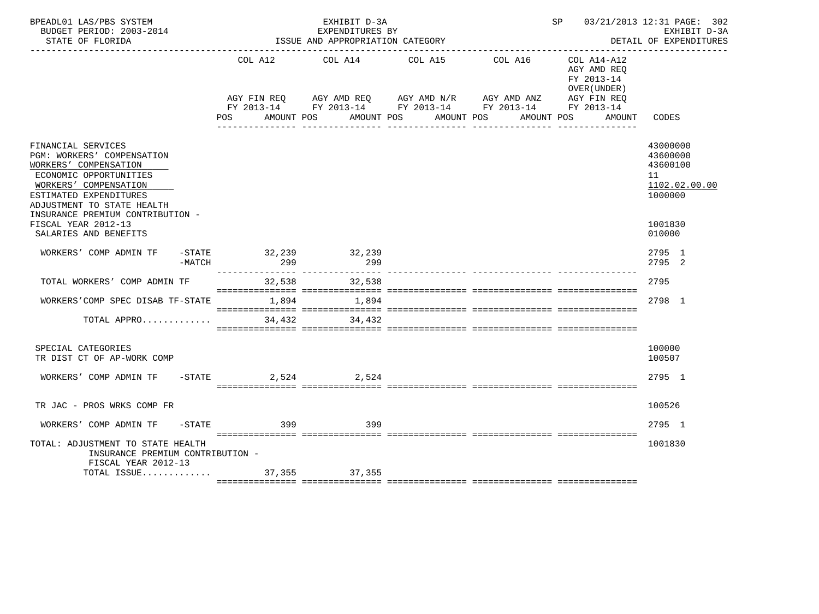| BPEADL01 LAS/PBS SYSTEM<br>BUDGET PERIOD: 2003-2014<br>STATE OF FLORIDA                                                                                                                                                  |                          | EXHIBIT D-3A<br>EXPENDITURES BY<br>ISSUE AND APPROPRIATION CATEGORY |                                                                                                                       | SP 03/21/2013 12:31 PAGE: 302                             | EXHIBIT D-3A<br>DETAIL OF EXPENDITURES                             |
|--------------------------------------------------------------------------------------------------------------------------------------------------------------------------------------------------------------------------|--------------------------|---------------------------------------------------------------------|-----------------------------------------------------------------------------------------------------------------------|-----------------------------------------------------------|--------------------------------------------------------------------|
|                                                                                                                                                                                                                          |                          | COL A12 COL A14 COL A15                                             | COL A16                                                                                                               | COL A14-A12<br>AGY AMD REO<br>FY 2013-14<br>OVER (UNDER ) |                                                                    |
|                                                                                                                                                                                                                          |                          |                                                                     | AGY FIN REQ AGY AMD REQ AGY AMD N/R AGY AMD ANZ AGY FIN REQ<br>FY 2013-14 FY 2013-14 FY 2013-14 FY 2013-14 FY 2013-14 |                                                           |                                                                    |
|                                                                                                                                                                                                                          | <b>POS</b><br>AMOUNT POS |                                                                     | AMOUNT POS<br>AMOUNT POS                                                                                              | AMOUNT POS<br>AMOUNT                                      | CODES                                                              |
| FINANCIAL SERVICES<br>PGM: WORKERS' COMPENSATION<br>WORKERS' COMPENSATION<br>ECONOMIC OPPORTUNITIES<br>WORKERS' COMPENSATION<br>ESTIMATED EXPENDITURES<br>ADJUSTMENT TO STATE HEALTH<br>INSURANCE PREMIUM CONTRIBUTION - |                          |                                                                     |                                                                                                                       |                                                           | 43000000<br>43600000<br>43600100<br>11<br>1102.02.00.00<br>1000000 |
| FISCAL YEAR 2012-13<br>SALARIES AND BENEFITS                                                                                                                                                                             |                          |                                                                     |                                                                                                                       |                                                           | 1001830<br>010000                                                  |
| WORKERS' COMP ADMIN TF<br>$-\mathtt{STATE}$<br>$-MATCH$                                                                                                                                                                  | 32, 239 32, 239<br>299   | 299                                                                 |                                                                                                                       |                                                           | 2795 1<br>2795 2                                                   |
| TOTAL WORKERS' COMP ADMIN TF                                                                                                                                                                                             | 32,538                   | 32,538                                                              |                                                                                                                       |                                                           | 2795                                                               |
| WORKERS'COMP SPEC DISAB TF-STATE 1,894                                                                                                                                                                                   |                          | 1,894                                                               |                                                                                                                       |                                                           | 2798 1                                                             |
| TOTAL APPRO                                                                                                                                                                                                              | 34,432                   | 34,432                                                              |                                                                                                                       |                                                           |                                                                    |
| SPECIAL CATEGORIES<br>TR DIST CT OF AP-WORK COMP                                                                                                                                                                         |                          |                                                                     |                                                                                                                       |                                                           | 100000<br>100507                                                   |
| WORKERS' COMP ADMIN TF                                                                                                                                                                                                   | $-$ STATE 2,524 2,524    |                                                                     |                                                                                                                       |                                                           | 2795 1                                                             |
| TR JAC - PROS WRKS COMP FR                                                                                                                                                                                               |                          |                                                                     |                                                                                                                       |                                                           | 100526                                                             |
| WORKERS' COMP ADMIN TF -STATE 399                                                                                                                                                                                        |                          | 399                                                                 |                                                                                                                       |                                                           | 2795 1                                                             |
| TOTAL: ADJUSTMENT TO STATE HEALTH<br>INSURANCE PREMIUM CONTRIBUTION -<br>FISCAL YEAR 2012-13                                                                                                                             |                          |                                                                     |                                                                                                                       |                                                           | 1001830                                                            |
|                                                                                                                                                                                                                          |                          |                                                                     |                                                                                                                       |                                                           |                                                                    |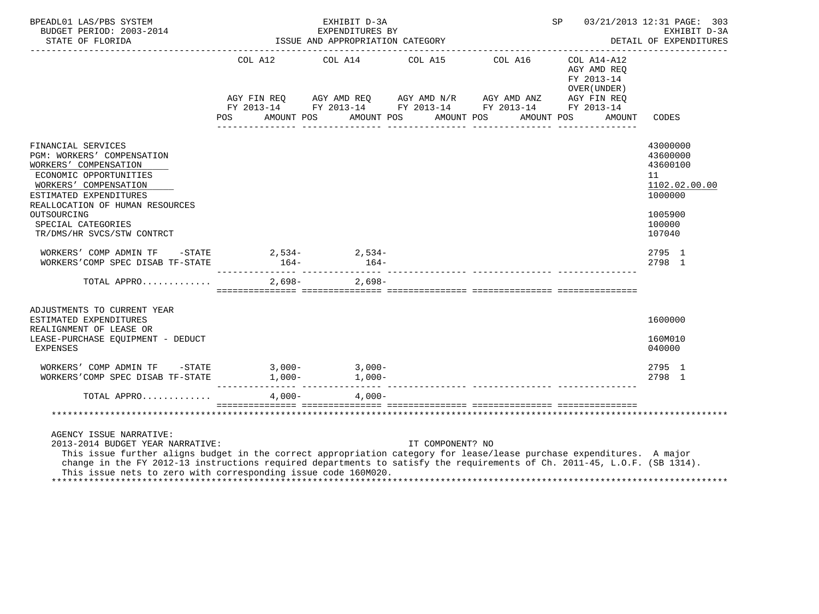| BPEADL01 LAS/PBS SYSTEM<br>BUDGET PERIOD: 2003-2014<br>STATE OF FLORIDA                                                                                                                                                                                                                                                                                                            |                                                                                         | EXHIBIT D-3A<br>EXPENDITURES BY<br>ISSUE AND APPROPRIATION CATEGORY | <b>SP</b> SP     | 03/21/2013 12:31 PAGE: 303<br>EXHIBIT D-3A<br>DETAIL OF EXPENDITURES |                                                                    |                                                                                                   |
|------------------------------------------------------------------------------------------------------------------------------------------------------------------------------------------------------------------------------------------------------------------------------------------------------------------------------------------------------------------------------------|-----------------------------------------------------------------------------------------|---------------------------------------------------------------------|------------------|----------------------------------------------------------------------|--------------------------------------------------------------------|---------------------------------------------------------------------------------------------------|
|                                                                                                                                                                                                                                                                                                                                                                                    | POS                                                                                     | COL A12 COL A14 COL A15 COL A16<br>AMOUNT POS AMOUNT POS AMOUNT POS |                  | AMOUNT POS                                                           | COL A14-A12<br>AGY AMD REQ<br>FY 2013-14<br>OVER (UNDER)<br>AMOUNT | CODES                                                                                             |
| FINANCIAL SERVICES<br>PGM: WORKERS' COMPENSATION<br>WORKERS' COMPENSATION<br>ECONOMIC OPPORTUNITIES<br>WORKERS' COMPENSATION<br>ESTIMATED EXPENDITURES<br>REALLOCATION OF HUMAN RESOURCES<br>OUTSOURCING<br>SPECIAL CATEGORIES<br>TR/DMS/HR SVCS/STW CONTRCT                                                                                                                       |                                                                                         |                                                                     |                  |                                                                      |                                                                    | 43000000<br>43600000<br>43600100<br>11<br>1102.02.00.00<br>1000000<br>1005900<br>100000<br>107040 |
| WORKERS' COMP ADMIN TF $-$ STATE 2,534- 2,534-<br>WORKERS'COMP SPEC DISAB TF-STATE                                                                                                                                                                                                                                                                                                 | $164-$                                                                                  | $164-$                                                              |                  |                                                                      |                                                                    | 2795 1<br>2798 1                                                                                  |
| TOTAL APPRO                                                                                                                                                                                                                                                                                                                                                                        | <u> sisitististist sisitististist sisitististist sisitististist sisitististististis</u> | $2.698 - 2.698 -$                                                   |                  |                                                                      |                                                                    |                                                                                                   |
| ADJUSTMENTS TO CURRENT YEAR<br>ESTIMATED EXPENDITURES<br>REALIGNMENT OF LEASE OR<br>LEASE-PURCHASE EQUIPMENT - DEDUCT<br>EXPENSES                                                                                                                                                                                                                                                  |                                                                                         |                                                                     |                  |                                                                      |                                                                    | 1600000<br>160M010<br>040000                                                                      |
| WORKERS'COMP SPEC DISAB TF-STATE                                                                                                                                                                                                                                                                                                                                                   |                                                                                         |                                                                     |                  |                                                                      |                                                                    | 2795 1<br>2798 1                                                                                  |
| TOTAL APPRO                                                                                                                                                                                                                                                                                                                                                                        |                                                                                         | $4,000 4,000-$                                                      |                  |                                                                      |                                                                    |                                                                                                   |
|                                                                                                                                                                                                                                                                                                                                                                                    |                                                                                         |                                                                     |                  |                                                                      |                                                                    |                                                                                                   |
| AGENCY ISSUE NARRATIVE:<br>2013-2014 BUDGET YEAR NARRATIVE:<br>This issue further aligns budget in the correct appropriation category for lease/lease purchase expenditures. A major<br>change in the FY 2012-13 instructions required departments to satisfy the requirements of Ch. 2011-45, L.O.F. (SB 1314).<br>This issue nets to zero with corresponding issue code 160M020. |                                                                                         |                                                                     | IT COMPONENT? NO |                                                                      |                                                                    |                                                                                                   |

\*\*\*\*\*\*\*\*\*\*\*\*\*\*\*\*\*\*\*\*\*\*\*\*\*\*\*\*\*\*\*\*\*\*\*\*\*\*\*\*\*\*\*\*\*\*\*\*\*\*\*\*\*\*\*\*\*\*\*\*\*\*\*\*\*\*\*\*\*\*\*\*\*\*\*\*\*\*\*\*\*\*\*\*\*\*\*\*\*\*\*\*\*\*\*\*\*\*\*\*\*\*\*\*\*\*\*\*\*\*\*\*\*\*\*\*\*\*\*\*\*\*\*\*\*\*\*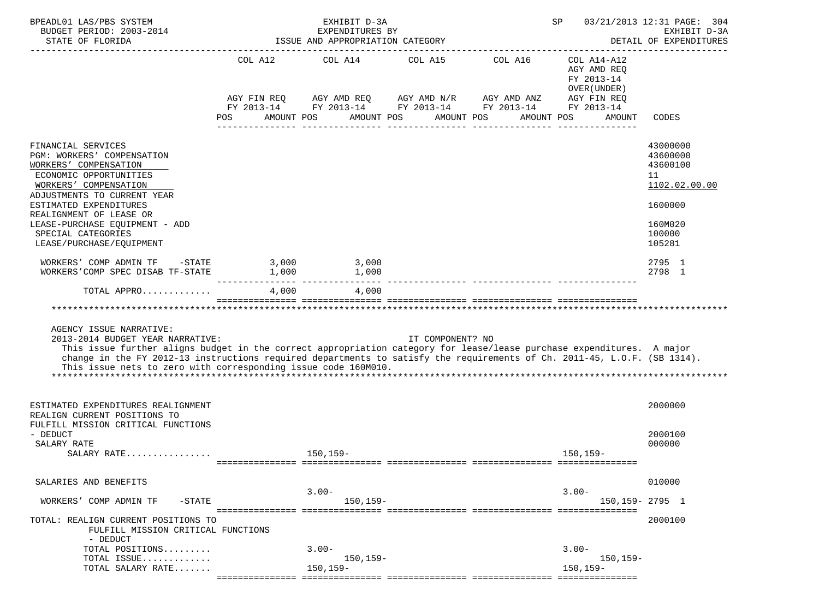| BPEADL01 LAS/PBS SYSTEM<br>BUDGET PERIOD: 2003-2014<br>STATE OF FLORIDA                                                                                                                                                                                                                                                                                                            |                                                                                                                                                                                                                                                  | EXHIBIT D-3A<br>EXPENDITURES BY<br>ISSUE AND APPROPRIATION CATEGORY |                  | SP                                                                                             | 03/21/2013 12:31 PAGE: 304<br>EXHIBIT D-3A<br>DETAIL OF EXPENDITURES   |                                                         |
|------------------------------------------------------------------------------------------------------------------------------------------------------------------------------------------------------------------------------------------------------------------------------------------------------------------------------------------------------------------------------------|--------------------------------------------------------------------------------------------------------------------------------------------------------------------------------------------------------------------------------------------------|---------------------------------------------------------------------|------------------|------------------------------------------------------------------------------------------------|------------------------------------------------------------------------|---------------------------------------------------------|
|                                                                                                                                                                                                                                                                                                                                                                                    | AGY FIN REQ                                                                                                                                                                                                                                      | COL A12 COL A14 COL A15 COL A16                                     |                  | AGY AMD REQ AGY AMD N/R AGY AMD ANZ AGY FIN REQ<br>FY 2013-14 FY 2013-14 FY 2013-14 FY 2013-14 | COL A14-A12<br>AGY AMD REQ<br>FY 2013-14<br>OVER (UNDER)<br>FY 2013-14 |                                                         |
|                                                                                                                                                                                                                                                                                                                                                                                    | <b>POS</b><br>AMOUNT POS                                                                                                                                                                                                                         | AMOUNT POS                                                          |                  | AMOUNT POS<br>AMOUNT POS                                                                       | AMOUNT                                                                 | CODES                                                   |
| FINANCIAL SERVICES<br>PGM: WORKERS' COMPENSATION<br>WORKERS' COMPENSATION<br>ECONOMIC OPPORTUNITIES<br>WORKERS' COMPENSATION<br>ADJUSTMENTS TO CURRENT YEAR                                                                                                                                                                                                                        |                                                                                                                                                                                                                                                  |                                                                     |                  |                                                                                                |                                                                        | 43000000<br>43600000<br>43600100<br>11<br>1102.02.00.00 |
| ESTIMATED EXPENDITURES<br>REALIGNMENT OF LEASE OR<br>LEASE-PURCHASE EQUIPMENT - ADD<br>SPECIAL CATEGORIES<br>LEASE/PURCHASE/EQUIPMENT                                                                                                                                                                                                                                              |                                                                                                                                                                                                                                                  |                                                                     |                  |                                                                                                |                                                                        | 1600000<br>160M020<br>100000<br>105281                  |
| WORKERS' COMP ADMIN TF -STATE<br>WORKERS'COMP SPEC DISAB TF-STATE                                                                                                                                                                                                                                                                                                                  | 3,000<br>1,000<br>$1,000$ $1,000$ $1,000$ $1,000$ $1,000$ $1,000$ $1,000$ $1,000$ $1,000$ $1,000$ $1,000$ $1,000$ $1,000$ $1,000$ $1,000$ $1,000$ $1,000$ $1,000$ $1,000$ $1,000$ $1,000$ $1,000$ $1,000$ $1,000$ $1,000$ $1,000$ $1,000$ $1,00$ | 3,000                                                               |                  |                                                                                                |                                                                        | 2795 1<br>2798 1                                        |
| TOTAL APPRO                                                                                                                                                                                                                                                                                                                                                                        |                                                                                                                                                                                                                                                  | 4,000 4,000                                                         |                  |                                                                                                |                                                                        |                                                         |
|                                                                                                                                                                                                                                                                                                                                                                                    |                                                                                                                                                                                                                                                  |                                                                     |                  |                                                                                                |                                                                        |                                                         |
| AGENCY ISSUE NARRATIVE:<br>2013-2014 BUDGET YEAR NARRATIVE:<br>This issue further aligns budget in the correct appropriation category for lease/lease purchase expenditures. A major<br>change in the FY 2012-13 instructions required departments to satisfy the requirements of Ch. 2011-45, L.O.F. (SB 1314).<br>This issue nets to zero with corresponding issue code 160M010. |                                                                                                                                                                                                                                                  |                                                                     | IT COMPONENT? NO |                                                                                                |                                                                        |                                                         |
| ESTIMATED EXPENDITURES REALIGNMENT<br>REALIGN CURRENT POSITIONS TO<br>FULFILL MISSION CRITICAL FUNCTIONS<br>- DEDUCT                                                                                                                                                                                                                                                               |                                                                                                                                                                                                                                                  |                                                                     |                  |                                                                                                |                                                                        | 2000000<br>2000100                                      |
| SALARY RATE<br>SALARY RATE                                                                                                                                                                                                                                                                                                                                                         |                                                                                                                                                                                                                                                  | 150,159-                                                            |                  |                                                                                                | 150,159-                                                               | 000000                                                  |
| SALARIES AND BENEFITS                                                                                                                                                                                                                                                                                                                                                              |                                                                                                                                                                                                                                                  | $3.00 -$                                                            |                  |                                                                                                | $3.00 -$                                                               | 010000                                                  |
| WORKERS' COMP ADMIN TF<br>$-$ STATE                                                                                                                                                                                                                                                                                                                                                |                                                                                                                                                                                                                                                  | $150, 159 -$                                                        |                  |                                                                                                | 150, 159 - 2795 1                                                      |                                                         |
| TOTAL: REALIGN CURRENT POSITIONS TO<br>FULFILL MISSION CRITICAL FUNCTIONS<br>- DEDUCT                                                                                                                                                                                                                                                                                              |                                                                                                                                                                                                                                                  |                                                                     |                  |                                                                                                |                                                                        | 2000100                                                 |
|                                                                                                                                                                                                                                                                                                                                                                                    |                                                                                                                                                                                                                                                  |                                                                     |                  |                                                                                                |                                                                        |                                                         |
| TOTAL POSITIONS<br>TOTAL ISSUE                                                                                                                                                                                                                                                                                                                                                     |                                                                                                                                                                                                                                                  | $3.00 -$<br>$150.159 -$                                             |                  |                                                                                                | $3.00 -$<br>150,159–                                                   |                                                         |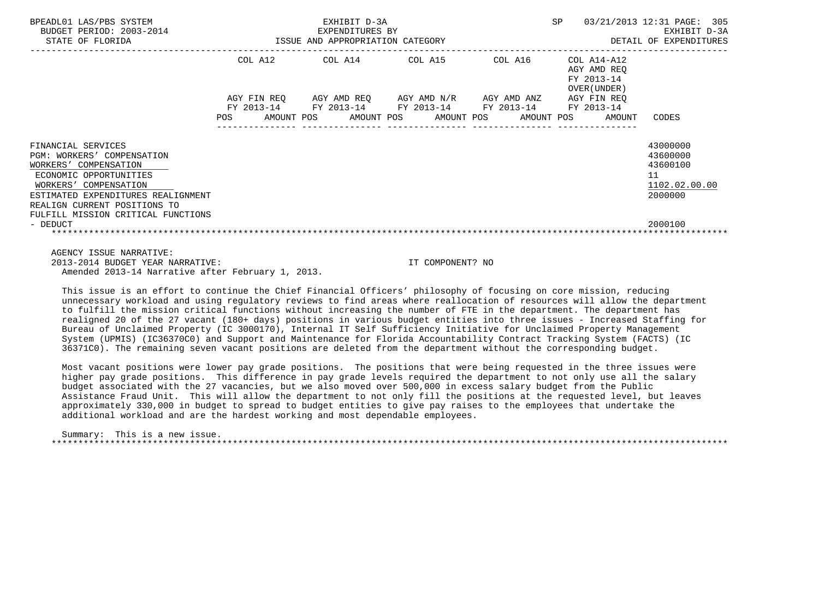| BPEADL01 LAS/PBS SYSTEM<br>BUDGET PERIOD: 2003-2014<br>STATE OF FLORIDA                                                                                                                            | EXHIBIT D-3A<br>3-2014 EXPENDITURES BY<br>ISSUE AND APPROPRIATION CATEGORY |  |                                                                                                            |  | SP 03/21/2013 12:31 PAGE: 305<br>DETAIL OF EXPENDITURES   | EXHIBIT D-3A                                                       |
|----------------------------------------------------------------------------------------------------------------------------------------------------------------------------------------------------|----------------------------------------------------------------------------|--|------------------------------------------------------------------------------------------------------------|--|-----------------------------------------------------------|--------------------------------------------------------------------|
|                                                                                                                                                                                                    |                                                                            |  | COL A12 COL A14 COL A15 COL A16                                                                            |  | COL A14-A12<br>AGY AMD REQ<br>FY 2013-14<br>OVER (UNDER ) |                                                                    |
|                                                                                                                                                                                                    |                                                                            |  | AGY FIN REQ AGY AMD REQ AGY AMD N/R AGY AMD ANZ AGY FIN REQ<br>FY 2013-14 FY 2013-14 FY 2013-14 FY 2013-14 |  | FY 2013-14                                                |                                                                    |
|                                                                                                                                                                                                    |                                                                            |  |                                                                                                            |  | POS AMOUNT POS AMOUNT POS AMOUNT POS AMOUNT POS AMOUNT    | CODES                                                              |
| FINANCIAL SERVICES<br>PGM: WORKERS' COMPENSATION<br>WORKERS' COMPENSATION<br>ECONOMIC OPPORTUNITIES<br>WORKERS' COMPENSATION<br>ESTIMATED EXPENDITURES REALIGNMENT<br>REALIGN CURRENT POSITIONS TO |                                                                            |  |                                                                                                            |  |                                                           | 43000000<br>43600000<br>43600100<br>11<br>1102.02.00.00<br>2000000 |
| FULFILL MISSION CRITICAL FUNCTIONS<br>- DEDUCT<br>AGENCY ISSUE NARRATIVE:                                                                                                                          |                                                                            |  |                                                                                                            |  |                                                           | 2000100                                                            |

 2013-2014 BUDGET YEAR NARRATIVE: IT COMPONENT? NO Amended 2013-14 Narrative after February 1, 2013.

 This issue is an effort to continue the Chief Financial Officers' philosophy of focusing on core mission, reducing unnecessary workload and using regulatory reviews to find areas where reallocation of resources will allow the department to fulfill the mission critical functions without increasing the number of FTE in the department. The department has realigned 20 of the 27 vacant (180+ days) positions in various budget entities into three issues - Increased Staffing for Bureau of Unclaimed Property (IC 3000170), Internal IT Self Sufficiency Initiative for Unclaimed Property Management System (UPMIS) (IC36370C0) and Support and Maintenance for Florida Accountability Contract Tracking System (FACTS) (IC 36371C0). The remaining seven vacant positions are deleted from the department without the corresponding budget.

 Most vacant positions were lower pay grade positions. The positions that were being requested in the three issues were higher pay grade positions. This difference in pay grade levels required the department to not only use all the salary budget associated with the 27 vacancies, but we also moved over 500,000 in excess salary budget from the Public Assistance Fraud Unit. This will allow the department to not only fill the positions at the requested level, but leaves approximately 330,000 in budget to spread to budget entities to give pay raises to the employees that undertake the additional workload and are the hardest working and most dependable employees.

 Summary: This is a new issue. \*\*\*\*\*\*\*\*\*\*\*\*\*\*\*\*\*\*\*\*\*\*\*\*\*\*\*\*\*\*\*\*\*\*\*\*\*\*\*\*\*\*\*\*\*\*\*\*\*\*\*\*\*\*\*\*\*\*\*\*\*\*\*\*\*\*\*\*\*\*\*\*\*\*\*\*\*\*\*\*\*\*\*\*\*\*\*\*\*\*\*\*\*\*\*\*\*\*\*\*\*\*\*\*\*\*\*\*\*\*\*\*\*\*\*\*\*\*\*\*\*\*\*\*\*\*\*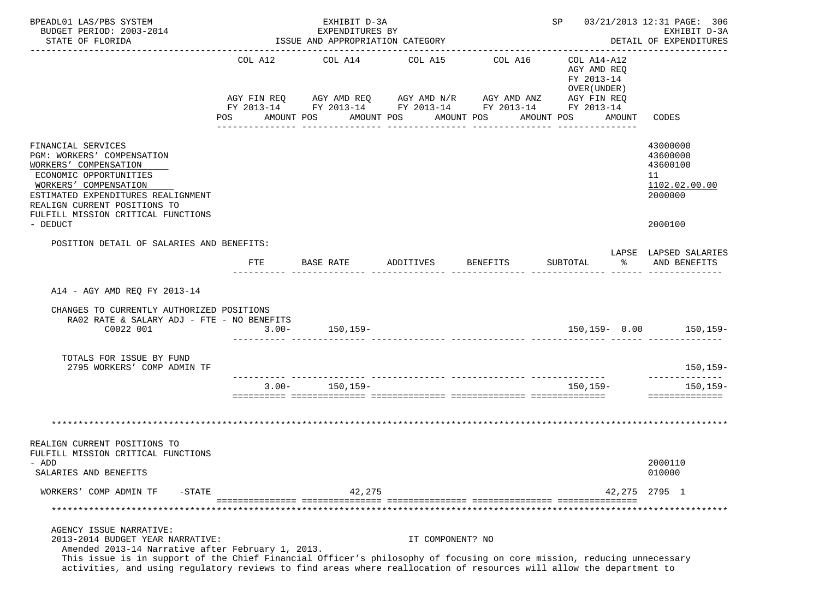| BPEADL01 LAS/PBS SYSTEM<br>BUDGET PERIOD: 2003-2014<br>STATE OF FLORIDA                                                                                                                                                                                                                                                                                           | EXHIBIT D-3A<br>EXPENDITURES BY<br>ISSUE AND APPROPRIATION CATEGORY |  |                    |                         |                       |                  | SP 03/21/2013 12:31 PAGE: 306<br>EXHIBIT D-3A<br>DETAIL OF EXPENDITURES                                                          |                                                                                     |    |                                                                               |
|-------------------------------------------------------------------------------------------------------------------------------------------------------------------------------------------------------------------------------------------------------------------------------------------------------------------------------------------------------------------|---------------------------------------------------------------------|--|--------------------|-------------------------|-----------------------|------------------|----------------------------------------------------------------------------------------------------------------------------------|-------------------------------------------------------------------------------------|----|-------------------------------------------------------------------------------|
|                                                                                                                                                                                                                                                                                                                                                                   | POS AMOUNT POS                                                      |  |                    | COL A12 COL A14 COL A15 | AMOUNT POS AMOUNT POS |                  | COL A16<br>AGY FIN REQ AGY AMD REQ AGY AMD N/R AGY AMD ANZ AGY FIN REQ<br>FY 2013-14 FY 2013-14 FY 2013-14 FY 2013-14 FY 2013-14 | COL A14-A12<br>AGY AMD REO<br>FY 2013-14<br>OVER (UNDER)<br>AMOUNT POS AMOUNT CODES |    |                                                                               |
| FINANCIAL SERVICES<br>PGM: WORKERS' COMPENSATION<br>WORKERS' COMPENSATION<br>ECONOMIC OPPORTUNITIES<br>WORKERS' COMPENSATION<br>ESTIMATED EXPENDITURES REALIGNMENT<br>REALIGN CURRENT POSITIONS TO<br>FULFILL MISSION CRITICAL FUNCTIONS<br>- DEDUCT                                                                                                              |                                                                     |  |                    |                         |                       |                  |                                                                                                                                  |                                                                                     |    | 43000000<br>43600000<br>43600100<br>11<br>1102.02.00.00<br>2000000<br>2000100 |
| POSITION DETAIL OF SALARIES AND BENEFITS:                                                                                                                                                                                                                                                                                                                         |                                                                     |  |                    |                         |                       |                  |                                                                                                                                  |                                                                                     |    | LAPSE LAPSED SALARIES                                                         |
|                                                                                                                                                                                                                                                                                                                                                                   | FTE                                                                 |  | BASE RATE          |                         | ADDITIVES             |                  | <b>BENEFITS</b>                                                                                                                  | SUBTOTAL                                                                            | ႜႂ | AND BENEFITS                                                                  |
| A14 - AGY AMD REO FY 2013-14<br>CHANGES TO CURRENTLY AUTHORIZED POSITIONS<br>RA02 RATE & SALARY ADJ - FTE - NO BENEFITS<br>C0022 001                                                                                                                                                                                                                              | $3.00 - 150,159 -$                                                  |  |                    |                         |                       |                  |                                                                                                                                  |                                                                                     |    | $150, 159 - 0.00$ 150, 159-                                                   |
| TOTALS FOR ISSUE BY FUND<br>2795 WORKERS' COMP ADMIN TF                                                                                                                                                                                                                                                                                                           |                                                                     |  |                    |                         |                       |                  |                                                                                                                                  |                                                                                     |    | 150,159-                                                                      |
|                                                                                                                                                                                                                                                                                                                                                                   |                                                                     |  | $3.00 - 150,159 -$ |                         |                       |                  |                                                                                                                                  | 150,159-                                                                            |    | 150,159-<br>==============                                                    |
|                                                                                                                                                                                                                                                                                                                                                                   |                                                                     |  |                    |                         |                       |                  |                                                                                                                                  |                                                                                     |    |                                                                               |
| REALIGN CURRENT POSITIONS TO<br>FULFILL MISSION CRITICAL FUNCTIONS<br>– ADD<br>SALARIES AND BENEFITS                                                                                                                                                                                                                                                              |                                                                     |  |                    |                         |                       |                  |                                                                                                                                  |                                                                                     |    | 2000110<br>010000                                                             |
| WORKERS' COMP ADMIN TF<br>$-$ STATE                                                                                                                                                                                                                                                                                                                               |                                                                     |  |                    | 42,275                  |                       |                  |                                                                                                                                  |                                                                                     |    | 42, 275 2795 1                                                                |
|                                                                                                                                                                                                                                                                                                                                                                   |                                                                     |  |                    |                         |                       |                  |                                                                                                                                  |                                                                                     |    |                                                                               |
| AGENCY ISSUE NARRATIVE:<br>2013-2014 BUDGET YEAR NARRATIVE:<br>Amended 2013-14 Narrative after February 1, 2013.<br>This issue is in support of the Chief Financial Officer's philosophy of focusing on core mission, reducing unnecessary<br>activities, and using regulatory reviews to find areas where reallocation of resources will allow the department to |                                                                     |  |                    |                         |                       | IT COMPONENT? NO |                                                                                                                                  |                                                                                     |    |                                                                               |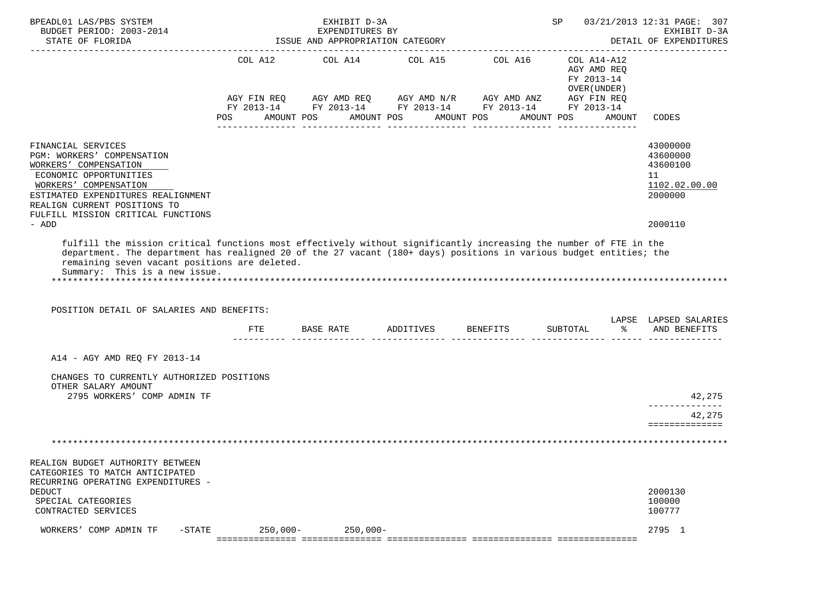| BPEADL01 LAS/PBS SYSTEM<br>BUDGET PERIOD: 2003-2014<br>STATE OF FLORIDA                                                                                                                                                                                                                                                                                                | SP and the set of the set of the set of the set of the set of the set of the set of the set of the set of the set of the set of the set of the set of the set of the set of the set of the set of the set of the set of the se |                                                                                                                                                | 03/21/2013 12:31 PAGE: 307<br>EXHIBIT D-3A<br>DETAIL OF EXPENDITURES |                               |                                                                        |        |                                                                               |
|------------------------------------------------------------------------------------------------------------------------------------------------------------------------------------------------------------------------------------------------------------------------------------------------------------------------------------------------------------------------|--------------------------------------------------------------------------------------------------------------------------------------------------------------------------------------------------------------------------------|------------------------------------------------------------------------------------------------------------------------------------------------|----------------------------------------------------------------------|-------------------------------|------------------------------------------------------------------------|--------|-------------------------------------------------------------------------------|
|                                                                                                                                                                                                                                                                                                                                                                        | COL A12<br><b>POS</b>                                                                                                                                                                                                          | COL A14<br>AGY FIN REQ AGY AMD REQ AGY AMD N/R AGY AMD ANZ AGY FIN REQ<br>FY 2013-14 FY 2013-14 FY 2013-14 FY 2013-14 FY 2013-14<br>AMOUNT POS | AMOUNT POS                                                           | COL A15 COL A16<br>AMOUNT POS | COL A14-A12<br>AGY AMD REQ<br>FY 2013-14<br>OVER (UNDER)<br>AMOUNT POS | AMOUNT | <b>CODES</b>                                                                  |
| FINANCIAL SERVICES<br>PGM: WORKERS' COMPENSATION<br>WORKERS' COMPENSATION<br>ECONOMIC OPPORTUNITIES<br>WORKERS' COMPENSATION<br>ESTIMATED EXPENDITURES REALIGNMENT<br>REALIGN CURRENT POSITIONS TO<br>FULFILL MISSION CRITICAL FUNCTIONS<br>- ADD                                                                                                                      |                                                                                                                                                                                                                                |                                                                                                                                                |                                                                      |                               |                                                                        |        | 43000000<br>43600000<br>43600100<br>11<br>1102.02.00.00<br>2000000<br>2000110 |
| fulfill the mission critical functions most effectively without significantly increasing the number of FTE in the<br>department. The department has realigned 20 of the 27 vacant (180+ days) positions in various budget entities; the<br>remaining seven vacant positions are deleted.<br>Summary: This is a new issue.<br>POSITION DETAIL OF SALARIES AND BENEFITS: |                                                                                                                                                                                                                                | FTE BASE RATE ADDITIVES BENEFITS                                                                                                               |                                                                      |                               | SUBTOTAL                                                               | ိ      | LAPSE LAPSED SALARIES<br>AND BENEFITS                                         |
| A14 - AGY AMD REQ FY 2013-14<br>CHANGES TO CURRENTLY AUTHORIZED POSITIONS<br>OTHER SALARY AMOUNT<br>2795 WORKERS' COMP ADMIN TF                                                                                                                                                                                                                                        |                                                                                                                                                                                                                                |                                                                                                                                                |                                                                      |                               |                                                                        |        | 42,275                                                                        |
|                                                                                                                                                                                                                                                                                                                                                                        |                                                                                                                                                                                                                                |                                                                                                                                                |                                                                      |                               |                                                                        |        | --------------<br>42,275<br>==============                                    |
| REALIGN BUDGET AUTHORITY BETWEEN<br>CATEGORIES TO MATCH ANTICIPATED<br>RECURRING OPERATING EXPENDITURES -<br><b>DEDUCT</b><br>SPECIAL CATEGORIES<br>CONTRACTED SERVICES<br>$-$ STATE<br>WORKERS' COMP ADMIN TF                                                                                                                                                         | $250,000-$                                                                                                                                                                                                                     | $250,000 -$                                                                                                                                    |                                                                      |                               |                                                                        |        | 2000130<br>100000<br>100777<br>2795 1                                         |
|                                                                                                                                                                                                                                                                                                                                                                        |                                                                                                                                                                                                                                |                                                                                                                                                |                                                                      |                               |                                                                        |        |                                                                               |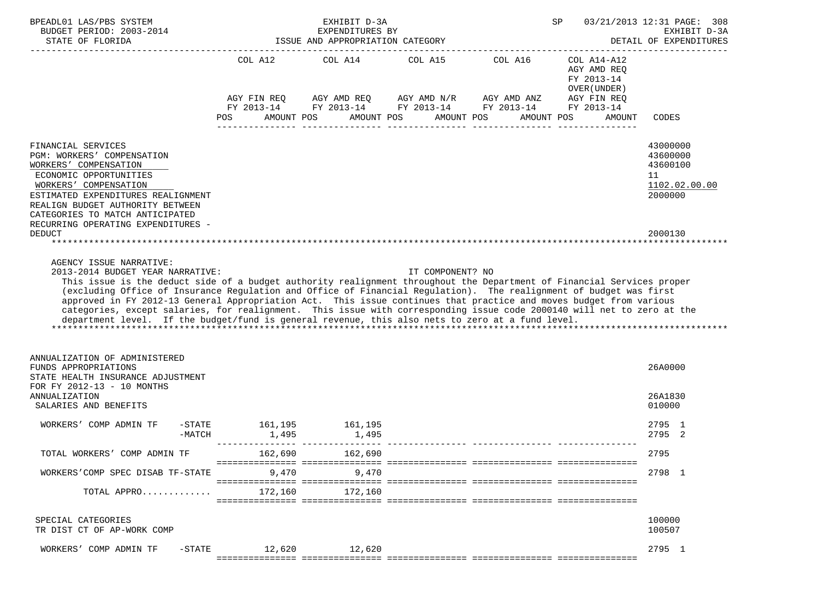| BPEADL01 LAS/PBS SYSTEM<br>BUDGET PERIOD: 2003-2014<br>STATE OF FLORIDA                                                                                                                                                                                                                                                                                                                                                                                                                                                                                                                                                                                               |                                                                    | EXHIBIT D-3A<br>EXPENDITURES BY<br>ISSUE AND APPROPRIATION CATEGORY |                  | SP                                                                                                                    |                                                          | 03/21/2013 12:31 PAGE: 308<br>EXHIBIT D-3A<br>DETAIL OF EXPENDITURES |
|-----------------------------------------------------------------------------------------------------------------------------------------------------------------------------------------------------------------------------------------------------------------------------------------------------------------------------------------------------------------------------------------------------------------------------------------------------------------------------------------------------------------------------------------------------------------------------------------------------------------------------------------------------------------------|--------------------------------------------------------------------|---------------------------------------------------------------------|------------------|-----------------------------------------------------------------------------------------------------------------------|----------------------------------------------------------|----------------------------------------------------------------------|
|                                                                                                                                                                                                                                                                                                                                                                                                                                                                                                                                                                                                                                                                       |                                                                    | COL A12 COL A14 COL A15 COL A16                                     |                  | AGY FIN REQ AGY AMD REQ AGY AMD N/R AGY AMD ANZ AGY FIN REQ<br>FY 2013-14 FY 2013-14 FY 2013-14 FY 2013-14 FY 2013-14 | COL A14-A12<br>AGY AMD REO<br>FY 2013-14<br>OVER (UNDER) |                                                                      |
|                                                                                                                                                                                                                                                                                                                                                                                                                                                                                                                                                                                                                                                                       | POS                                                                | AMOUNT POS                                                          |                  | AMOUNT POS AMOUNT POS AMOUNT POS                                                                                      | AMOUNT                                                   | CODES                                                                |
| FINANCIAL SERVICES<br>PGM: WORKERS' COMPENSATION<br>WORKERS' COMPENSATION<br>ECONOMIC OPPORTUNITIES<br>WORKERS' COMPENSATION<br>ESTIMATED EXPENDITURES REALIGNMENT<br>REALIGN BUDGET AUTHORITY BETWEEN<br>CATEGORIES TO MATCH ANTICIPATED<br>RECURRING OPERATING EXPENDITURES -                                                                                                                                                                                                                                                                                                                                                                                       |                                                                    |                                                                     |                  |                                                                                                                       |                                                          | 43000000<br>43600000<br>43600100<br>11<br>1102.02.00.00<br>2000000   |
| <b>DEDUCT</b>                                                                                                                                                                                                                                                                                                                                                                                                                                                                                                                                                                                                                                                         |                                                                    |                                                                     |                  |                                                                                                                       |                                                          | 2000130                                                              |
| 2013-2014 BUDGET YEAR NARRATIVE:<br>This issue is the deduct side of a budget authority realignment throughout the Department of Financial Services proper<br>(excluding Office of Insurance Regulation and Office of Financial Regulation). The realignment of budget was first<br>approved in FY 2012-13 General Appropriation Act. This issue continues that practice and moves budget from various<br>categories, except salaries, for realignment. This issue with corresponding issue code 2000140 will net to zero at the<br>department level. If the budget/fund is general revenue, this also nets to zero at a fund level.<br>ANNUALIZATION OF ADMINISTERED |                                                                    |                                                                     | IT COMPONENT? NO |                                                                                                                       |                                                          |                                                                      |
| FUNDS APPROPRIATIONS<br>STATE HEALTH INSURANCE ADJUSTMENT<br>FOR FY 2012-13 - 10 MONTHS                                                                                                                                                                                                                                                                                                                                                                                                                                                                                                                                                                               |                                                                    |                                                                     |                  |                                                                                                                       |                                                          | 26A0000                                                              |
| ANNUALIZATION<br>SALARIES AND BENEFITS                                                                                                                                                                                                                                                                                                                                                                                                                                                                                                                                                                                                                                |                                                                    |                                                                     |                  |                                                                                                                       |                                                          | 26A1830<br>010000                                                    |
| WORKERS' COMP ADMIN TF<br>$-$ STATE<br>$-MATCH$                                                                                                                                                                                                                                                                                                                                                                                                                                                                                                                                                                                                                       | 161,195 161,195<br>1,495<br>______________________________________ | 1,495                                                               |                  |                                                                                                                       |                                                          | 2795 1<br>2795 2                                                     |
| TOTAL WORKERS' COMP ADMIN TF                                                                                                                                                                                                                                                                                                                                                                                                                                                                                                                                                                                                                                          | 162,690                                                            | 162,690                                                             |                  |                                                                                                                       |                                                          | 2795                                                                 |
| WORKERS'COMP SPEC DISAB TF-STATE                                                                                                                                                                                                                                                                                                                                                                                                                                                                                                                                                                                                                                      | 9,470                                                              | 9,470                                                               |                  |                                                                                                                       |                                                          | 2798 1                                                               |
| TOTAL APPRO                                                                                                                                                                                                                                                                                                                                                                                                                                                                                                                                                                                                                                                           | 172,160                                                            | 172,160                                                             |                  |                                                                                                                       |                                                          |                                                                      |
| SPECIAL CATEGORIES<br>TR DIST CT OF AP-WORK COMP                                                                                                                                                                                                                                                                                                                                                                                                                                                                                                                                                                                                                      |                                                                    |                                                                     |                  |                                                                                                                       |                                                          | 100000<br>100507                                                     |
| WORKERS' COMP ADMIN TF<br>$-$ STATE                                                                                                                                                                                                                                                                                                                                                                                                                                                                                                                                                                                                                                   | 12,620                                                             | 12,620                                                              |                  |                                                                                                                       |                                                          | 2795 1                                                               |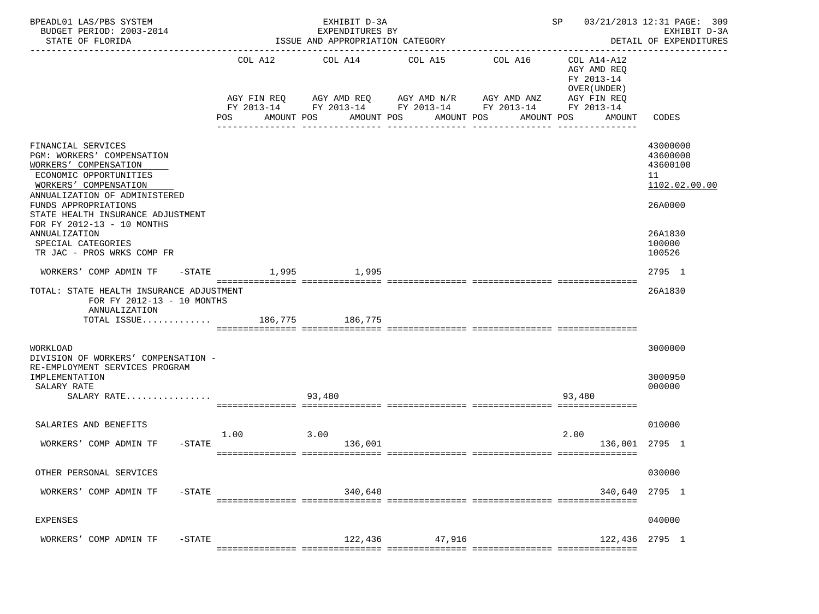| BPEADL01 LAS/PBS SYSTEM<br>BUDGET PERIOD: 2003-2014<br>STATE OF FLORIDA                                                                                                                                                                                  |                    | EXHIBIT D-3A<br>EXPENDITURES BY<br>ISSUE AND APPROPRIATION CATEGORY      |                                                     | SP                                                                   | 03/21/2013 12:31 PAGE: 309<br>EXHIBIT D-3A<br>DETAIL OF EXPENDITURES                            |                                                                    |
|----------------------------------------------------------------------------------------------------------------------------------------------------------------------------------------------------------------------------------------------------------|--------------------|--------------------------------------------------------------------------|-----------------------------------------------------|----------------------------------------------------------------------|-------------------------------------------------------------------------------------------------|--------------------------------------------------------------------|
|                                                                                                                                                                                                                                                          | COL A12<br>POS     | COL A14<br>AGY FIN REQ 6GY AMD REQ 6GY AMD N/R 6GY AMD ANZ<br>AMOUNT POS | COL A15<br>AMOUNT POS<br>AMOUNT POS<br>------------ | COL A16<br>FY 2013-14 FY 2013-14 FY 2013-14 FY 2013-14<br>AMOUNT POS | COL A14-A12<br>AGY AMD REQ<br>FY 2013-14<br>OVER (UNDER)<br>AGY FIN REQ<br>FY 2013-14<br>AMOUNT | CODES                                                              |
| FINANCIAL SERVICES<br>PGM: WORKERS' COMPENSATION<br>WORKERS' COMPENSATION<br>ECONOMIC OPPORTUNITIES<br>WORKERS' COMPENSATION<br>ANNUALIZATION OF ADMINISTERED<br>FUNDS APPROPRIATIONS<br>STATE HEALTH INSURANCE ADJUSTMENT<br>FOR FY 2012-13 - 10 MONTHS |                    |                                                                          |                                                     |                                                                      |                                                                                                 | 43000000<br>43600000<br>43600100<br>11<br>1102.02.00.00<br>26A0000 |
| ANNUALIZATION<br>SPECIAL CATEGORIES<br>TR JAC - PROS WRKS COMP FR                                                                                                                                                                                        |                    |                                                                          |                                                     |                                                                      |                                                                                                 | 26A1830<br>100000<br>100526                                        |
| WORKERS' COMP ADMIN TF                                                                                                                                                                                                                                   | -STATE 1,995 1,995 |                                                                          |                                                     |                                                                      |                                                                                                 | 2795 1                                                             |
| TOTAL: STATE HEALTH INSURANCE ADJUSTMENT<br>FOR FY 2012-13 - 10 MONTHS<br>ANNUALIZATION<br>TOTAL ISSUE                                                                                                                                                   |                    | 186,775 186,775                                                          |                                                     |                                                                      |                                                                                                 | 26A1830                                                            |
| WORKLOAD<br>DIVISION OF WORKERS' COMPENSATION -<br>RE-EMPLOYMENT SERVICES PROGRAM<br>IMPLEMENTATION                                                                                                                                                      |                    |                                                                          |                                                     |                                                                      |                                                                                                 | 3000000<br>3000950                                                 |
| SALARY RATE<br>SALARY RATE                                                                                                                                                                                                                               |                    | 93,480                                                                   |                                                     |                                                                      | 93,480                                                                                          | 000000                                                             |
| SALARIES AND BENEFITS                                                                                                                                                                                                                                    | 1.00               | 3.00                                                                     |                                                     |                                                                      | 2.00                                                                                            | 010000                                                             |
| WORKERS' COMP ADMIN TF<br>$-$ STATE                                                                                                                                                                                                                      |                    | 136,001                                                                  |                                                     |                                                                      | 136,001 2795 1                                                                                  |                                                                    |
| OTHER PERSONAL SERVICES                                                                                                                                                                                                                                  |                    |                                                                          |                                                     |                                                                      |                                                                                                 | 030000                                                             |
| WORKERS' COMP ADMIN TF<br>$-$ STATE                                                                                                                                                                                                                      |                    | 340,640                                                                  |                                                     |                                                                      | 340,640                                                                                         | 2795 1                                                             |
| <b>EXPENSES</b>                                                                                                                                                                                                                                          |                    |                                                                          |                                                     |                                                                      |                                                                                                 | 040000                                                             |
| WORKERS' COMP ADMIN TF<br>$-$ STATE                                                                                                                                                                                                                      |                    | 122,436                                                                  | 47,916<br>== ==========                             | -================================                                    | 122,436 2795 1                                                                                  |                                                                    |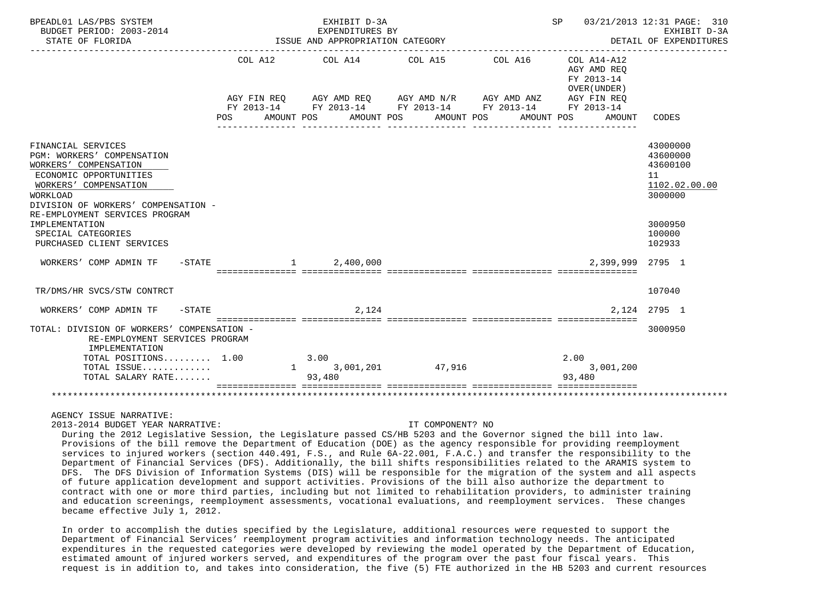| BPEADL01 LAS/PBS SYSTEM<br>BUDGET PERIOD: 2003-2014                                                                                                                                                                      |          | EXHIBIT D-3A<br>EXPENDITURES BY  | SP 03/21/2013 12:31 PAGE: 310<br>EXHIBIT D-3A                                                                                                                                                    |  |                                                                   |                                                                    |  |
|--------------------------------------------------------------------------------------------------------------------------------------------------------------------------------------------------------------------------|----------|----------------------------------|--------------------------------------------------------------------------------------------------------------------------------------------------------------------------------------------------|--|-------------------------------------------------------------------|--------------------------------------------------------------------|--|
| STATE OF FLORIDA                                                                                                                                                                                                         |          | ISSUE AND APPROPRIATION CATEGORY |                                                                                                                                                                                                  |  | DETAIL OF EXPENDITURES                                            |                                                                    |  |
|                                                                                                                                                                                                                          | POS DO   | AMOUNT POS                       | COL A12 COL A14 COL A15 COL A16 COL A14-A12<br>AGY FIN REQ AGY AMD REQ AGY AMD N/R AGY AMD ANZ AGY FIN REQ<br>FY 2013-14 FY 2013-14 FY 2013-14 FY 2013-14 FY 2013-14<br>AMOUNT POS<br>AMOUNT POS |  | AGY AMD REQ<br>FY 2013-14<br>OVER (UNDER)<br>AMOUNT POS<br>AMOUNT | CODES                                                              |  |
| FINANCIAL SERVICES<br><b>PGM: WORKERS' COMPENSATION</b><br>WORKERS' COMPENSATION<br>ECONOMIC OPPORTUNITIES<br>WORKERS' COMPENSATION<br>WORKLOAD<br>DIVISION OF WORKERS' COMPENSATION -<br>RE-EMPLOYMENT SERVICES PROGRAM |          |                                  |                                                                                                                                                                                                  |  |                                                                   | 43000000<br>43600000<br>43600100<br>11<br>1102.02.00.00<br>3000000 |  |
| IMPLEMENTATION<br>SPECIAL CATEGORIES<br>PURCHASED CLIENT SERVICES                                                                                                                                                        |          |                                  |                                                                                                                                                                                                  |  |                                                                   | 3000950<br>100000<br>102933                                        |  |
| WORKERS' COMP ADMIN TF                                                                                                                                                                                                   | $-STATE$ | 1, 2, 400, 000                   |                                                                                                                                                                                                  |  | 2,399,999 2795 1                                                  |                                                                    |  |
| TR/DMS/HR SVCS/STW CONTRCT                                                                                                                                                                                               |          |                                  |                                                                                                                                                                                                  |  |                                                                   | 107040                                                             |  |
| WORKERS' COMP ADMIN TF -STATE                                                                                                                                                                                            |          | 2,124                            |                                                                                                                                                                                                  |  |                                                                   | 2.124 2795 1                                                       |  |
| TOTAL: DIVISION OF WORKERS' COMPENSATION -<br>RE-EMPLOYMENT SERVICES PROGRAM<br>IMPLEMENTATION                                                                                                                           |          |                                  |                                                                                                                                                                                                  |  |                                                                   | 3000950                                                            |  |
| TOTAL POSITIONS 1.00                                                                                                                                                                                                     |          | 3.00                             |                                                                                                                                                                                                  |  | 2.00                                                              |                                                                    |  |
| TOTAL ISSUE<br>TOTAL SALARY RATE                                                                                                                                                                                         |          | 93,480                           | 1 3,001,201 47,916                                                                                                                                                                               |  | 3,001,200<br>93,480                                               |                                                                    |  |
|                                                                                                                                                                                                                          |          |                                  |                                                                                                                                                                                                  |  |                                                                   |                                                                    |  |

AGENCY ISSUE NARRATIVE:

2013-2014 BUDGET YEAR NARRATIVE: IT COMPONENT? NO

 During the 2012 Legislative Session, the Legislature passed CS/HB 5203 and the Governor signed the bill into law. Provisions of the bill remove the Department of Education (DOE) as the agency responsible for providing reemployment services to injured workers (section 440.491, F.S., and Rule 6A-22.001, F.A.C.) and transfer the responsibility to the Department of Financial Services (DFS). Additionally, the bill shifts responsibilities related to the ARAMIS system to DFS. The DFS Division of Information Systems (DIS) will be responsible for the migration of the system and all aspects of future application development and support activities. Provisions of the bill also authorize the department to contract with one or more third parties, including but not limited to rehabilitation providers, to administer training and education screenings, reemployment assessments, vocational evaluations, and reemployment services. These changes became effective July 1, 2012.

 In order to accomplish the duties specified by the Legislature, additional resources were requested to support the Department of Financial Services' reemployment program activities and information technology needs. The anticipated expenditures in the requested categories were developed by reviewing the model operated by the Department of Education, estimated amount of injured workers served, and expenditures of the program over the past four fiscal years. This request is in addition to, and takes into consideration, the five (5) FTE authorized in the HB 5203 and current resources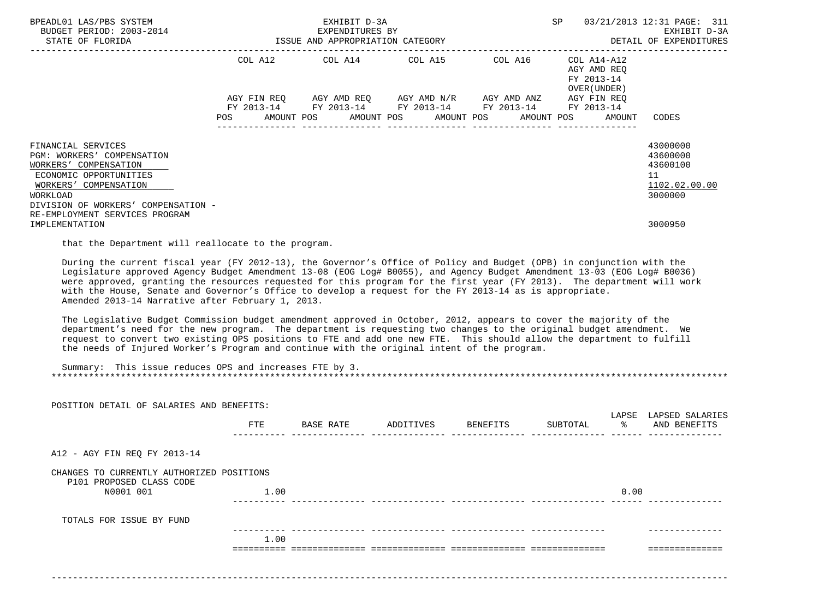| BPEADL01 LAS/PBS SYSTEM<br>BUDGET PERIOD: 2003-2014<br>STATE OF FLORIDA                                                                                                                                                                                                                                                                                                                                                                                                                                                                     | ISSUE AND APPROPRIATION CATEGORY | EXHIBIT D-3A<br>EXPENDITURES BY |                                                                                                                                                                        |            | 03/21/2013 12:31 PAGE: 311<br>SP<br>EXHIBIT D-3A<br>DETAIL OF EXPENDITURES |                                                                    |  |
|---------------------------------------------------------------------------------------------------------------------------------------------------------------------------------------------------------------------------------------------------------------------------------------------------------------------------------------------------------------------------------------------------------------------------------------------------------------------------------------------------------------------------------------------|----------------------------------|---------------------------------|------------------------------------------------------------------------------------------------------------------------------------------------------------------------|------------|----------------------------------------------------------------------------|--------------------------------------------------------------------|--|
|                                                                                                                                                                                                                                                                                                                                                                                                                                                                                                                                             | POS                              | AMOUNT POS AMOUNT POS           | COL A12 COL A14 COL A15 COL A16<br>AGY FIN REQ AGY AMD REQ AGY AMD N/R AGY AMD ANZ AGY FIN REQ<br>FY 2013-14 FY 2013-14 FY 2013-14 FY 2013-14 FY 2013-14<br>AMOUNT POS | AMOUNT POS | COL A14-A12<br>AGY AMD REO<br>FY 2013-14<br>OVER (UNDER)<br>AMOUNT         | CODES                                                              |  |
| FINANCIAL SERVICES<br><b>PGM: WORKERS' COMPENSATION</b><br>WORKERS' COMPENSATION<br>ECONOMIC OPPORTUNITIES<br>WORKERS' COMPENSATION<br><b>WORKLOAD</b><br>DIVISION OF WORKERS' COMPENSATION -<br>RE-EMPLOYMENT SERVICES PROGRAM                                                                                                                                                                                                                                                                                                             |                                  |                                 |                                                                                                                                                                        |            |                                                                            | 43000000<br>43600000<br>43600100<br>11<br>1102.02.00.00<br>3000000 |  |
| IMPLEMENTATION<br>that the Department will reallocate to the program.                                                                                                                                                                                                                                                                                                                                                                                                                                                                       |                                  |                                 |                                                                                                                                                                        |            |                                                                            | 3000950                                                            |  |
| During the current fiscal year (FY 2012-13), the Governor's Office of Policy and Budget (OPB) in conjunction with the<br>Legislature approved Agency Budget Amendment 13-08 (EOG Log# B0055), and Agency Budget Amendment 13-03 (EOG Log# B0036)<br>were approved, granting the resources requested for this program for the first year (FY 2013). The department will work<br>with the House, Senate and Governor's Office to develop a request for the FY 2013-14 as is appropriate.<br>Amended 2013-14 Narrative after February 1, 2013. |                                  |                                 |                                                                                                                                                                        |            |                                                                            |                                                                    |  |
| The Legislative Budget Commission budget amendment approved in October, 2012, appears to cover the majority of the<br>department's need for the new program. The department is requesting two changes to the original budget amendment. We<br>request to convert two existing OPS positions to FTE and add one new FTE. This should allow the department to fulfill<br>the needs of Injured Worker's Program and continue with the original intent of the program.                                                                          |                                  |                                 |                                                                                                                                                                        |            |                                                                            |                                                                    |  |

| Summary: This issue reduces OPS and increases FTE by 3. |
|---------------------------------------------------------|
|                                                         |

| POSITION DETAIL OF SALARIES AND BENEFITS:                             |      |           |           |          |          |             |                                 |
|-----------------------------------------------------------------------|------|-----------|-----------|----------|----------|-------------|---------------------------------|
|                                                                       | FTE  | BASE RATE | ADDITIVES | BENEFITS | SUBTOTAL | LAPSE<br>ႜၟ | LAPSED SALARIES<br>AND BENEFITS |
|                                                                       |      |           |           |          |          |             |                                 |
| A12 - AGY FIN REQ FY 2013-14                                          |      |           |           |          |          |             |                                 |
| CHANGES TO CURRENTLY AUTHORIZED POSITIONS<br>P101 PROPOSED CLASS CODE |      |           |           |          |          |             |                                 |
| N0001 001                                                             | 1.00 |           |           |          |          | 0.00        |                                 |
| TOTALS FOR ISSUE BY FUND                                              |      |           |           |          |          |             |                                 |
|                                                                       | 1.00 |           |           |          |          |             |                                 |
|                                                                       |      |           |           |          |          |             |                                 |
|                                                                       |      |           |           |          |          |             |                                 |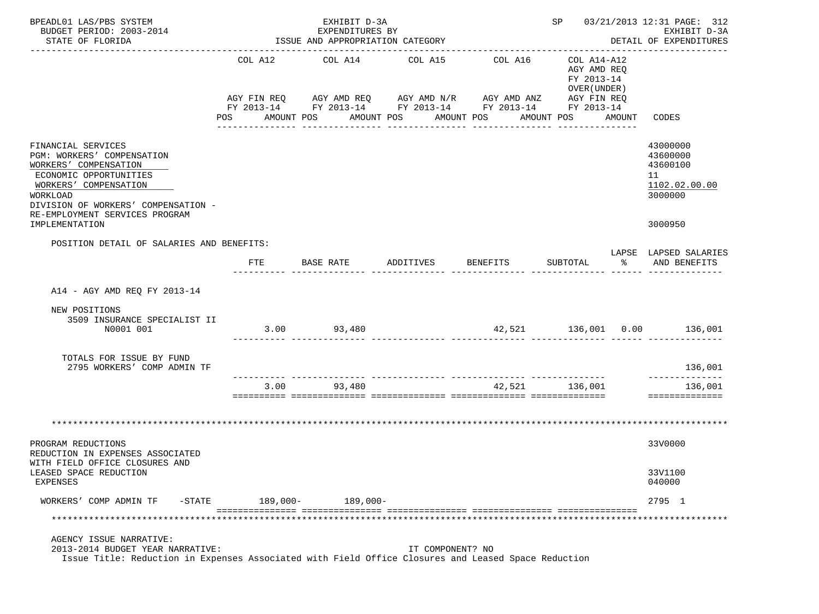| BPEADL01 LAS/PBS SYSTEM<br>BUDGET PERIOD: 2003-2014<br>STATE OF FLORIDA                                                                                                                                                             |          | EXHIBIT D-3A<br>EXPENDITURES BY<br>ISSUE AND APPROPRIATION CATEGORY | <b>SP</b>        | 03/21/2013 12:31 PAGE: 312<br>EXHIBIT D-3A<br>DETAIL OF EXPENDITURES                                                                           |                                                                        |        |                                                                               |
|-------------------------------------------------------------------------------------------------------------------------------------------------------------------------------------------------------------------------------------|----------|---------------------------------------------------------------------|------------------|------------------------------------------------------------------------------------------------------------------------------------------------|------------------------------------------------------------------------|--------|-------------------------------------------------------------------------------|
|                                                                                                                                                                                                                                     | POS FOR  | COL A12 COL A14 COL A15<br>AMOUNT POS                               | AMOUNT POS       | COL A16<br>AGY FIN REQ AGY AMD REQ AGY AMD N/R AGY AMD ANZ AGY FIN REQ<br>FY 2013-14 FY 2013-14 FY 2013-14 FY 2013-14 FY 2013-14<br>AMOUNT POS | COL A14-A12<br>AGY AMD REQ<br>FY 2013-14<br>OVER (UNDER)<br>AMOUNT POS | AMOUNT | CODES                                                                         |
| FINANCIAL SERVICES<br>PGM: WORKERS' COMPENSATION<br>WORKERS' COMPENSATION<br>ECONOMIC OPPORTUNITIES<br>WORKERS' COMPENSATION<br>WORKLOAD<br>DIVISION OF WORKERS' COMPENSATION -<br>RE-EMPLOYMENT SERVICES PROGRAM<br>IMPLEMENTATION |          |                                                                     |                  |                                                                                                                                                |                                                                        |        | 43000000<br>43600000<br>43600100<br>11<br>1102.02.00.00<br>3000000<br>3000950 |
| POSITION DETAIL OF SALARIES AND BENEFITS:                                                                                                                                                                                           | FTE      | BASE RATE                                                           | ADDITIVES        | BENEFITS                                                                                                                                       | SUBTOTAL                                                               | ిన     | LAPSE LAPSED SALARIES<br>AND BENEFITS                                         |
|                                                                                                                                                                                                                                     |          |                                                                     |                  |                                                                                                                                                |                                                                        |        |                                                                               |
| A14 - AGY AMD REQ FY 2013-14                                                                                                                                                                                                        |          |                                                                     |                  |                                                                                                                                                |                                                                        |        |                                                                               |
| NEW POSITIONS<br>3509 INSURANCE SPECIALIST II<br>N0001 001                                                                                                                                                                          |          | $3.00$ 93,480                                                       |                  |                                                                                                                                                |                                                                        |        | 42,521 136,001 0.00 136,001                                                   |
| TOTALS FOR ISSUE BY FUND<br>2795 WORKERS' COMP ADMIN TF                                                                                                                                                                             |          |                                                                     |                  |                                                                                                                                                |                                                                        |        | 136,001                                                                       |
|                                                                                                                                                                                                                                     |          | 3.00 93,480                                                         |                  |                                                                                                                                                | 42,521 136,001                                                         |        | --------------<br>136,001<br>==============                                   |
|                                                                                                                                                                                                                                     |          |                                                                     |                  |                                                                                                                                                |                                                                        |        |                                                                               |
| PROGRAM REDUCTIONS<br>REDUCTION IN EXPENSES ASSOCIATED<br>WITH FIELD OFFICE CLOSURES AND                                                                                                                                            |          |                                                                     |                  |                                                                                                                                                |                                                                        |        | 33V0000                                                                       |
| LEASED SPACE REDUCTION<br>EXPENSES                                                                                                                                                                                                  |          |                                                                     |                  |                                                                                                                                                |                                                                        |        | 33V1100<br>040000                                                             |
| WORKERS' COMP ADMIN TF<br>$-$ STATE                                                                                                                                                                                                 | 189,000- | $189,000-$                                                          |                  |                                                                                                                                                |                                                                        |        | 2795 1                                                                        |
|                                                                                                                                                                                                                                     |          |                                                                     |                  |                                                                                                                                                |                                                                        |        |                                                                               |
| AGENCY ISSUE NARRATIVE:<br>2013-2014 BUDGET YEAR NARRATIVE:<br>Issue Title: Reduction in Expenses Associated with Field Office Closures and Leased Space Reduction                                                                  |          |                                                                     | IT COMPONENT? NO |                                                                                                                                                |                                                                        |        |                                                                               |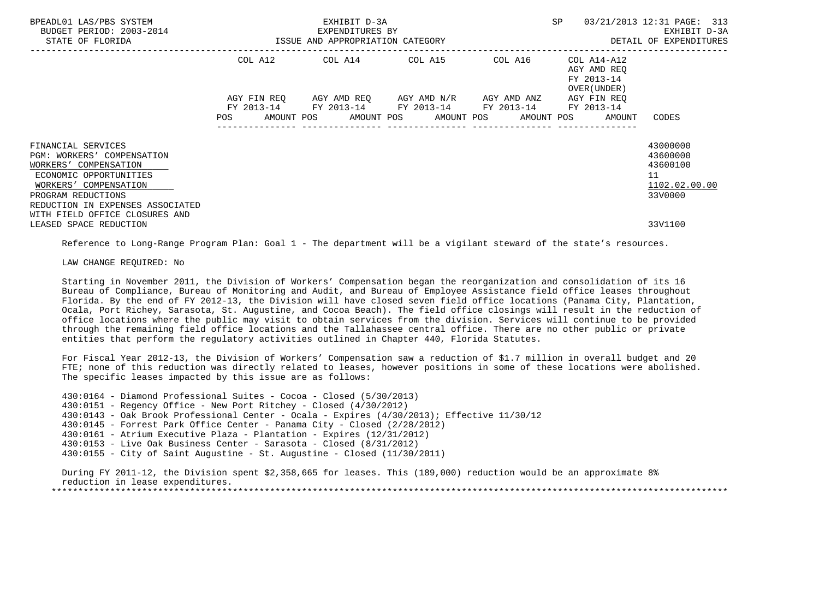| BPEADL01 LAS/PBS SYSTEM<br>BUDGET PERIOD: 2003-2014<br>STATE OF FLORIDA                                                                                                                | 3-2014 EXPENDITURES BY<br>ISSUE AND APPROPRIATION CATEGORY | EXHIBIT D-3A                                           |                                                 | SP                                                                                     | 03/21/2013 12:31 PAGE: 313<br>EXHIBIT D-3A<br>DETAIL OF EXPENDITURES |
|----------------------------------------------------------------------------------------------------------------------------------------------------------------------------------------|------------------------------------------------------------|--------------------------------------------------------|-------------------------------------------------|----------------------------------------------------------------------------------------|----------------------------------------------------------------------|
|                                                                                                                                                                                        |                                                            | COL A12 COL A14 COL A15 COL A16                        |                                                 | COL A14-A12<br>AGY AMD REO<br>FY 2013-14                                               |                                                                      |
|                                                                                                                                                                                        | AGY FIN REO                                                | FY 2013-14 FY 2013-14 FY 2013-14 FY 2013-14 FY 2013-14 | AGY AMD REQ       AGY AMD N/R       AGY AMD ANZ | OVER (UNDER )<br>AGY FIN REO<br>POS AMOUNT POS AMOUNT POS AMOUNT POS AMOUNT POS AMOUNT | CODES                                                                |
| FINANCIAL SERVICES<br>PGM: WORKERS' COMPENSATION<br>WORKERS' COMPENSATION<br>ECONOMIC OPPORTUNITIES<br>WORKERS' COMPENSATION<br>PROGRAM REDUCTIONS<br>REDUCTION IN EXPENSES ASSOCIATED |                                                            |                                                        |                                                 |                                                                                        | 43000000<br>43600000<br>43600100<br>11<br>1102.02.00.00<br>33V0000   |
| WITH FIELD OFFICE CLOSURES AND<br>LEASED SPACE REDUCTION                                                                                                                               |                                                            |                                                        |                                                 |                                                                                        | 33V1100                                                              |

Reference to Long-Range Program Plan: Goal 1 - The department will be a vigilant steward of the state's resources.

LAW CHANGE REQUIRED: No

 Starting in November 2011, the Division of Workers' Compensation began the reorganization and consolidation of its 16 Bureau of Compliance, Bureau of Monitoring and Audit, and Bureau of Employee Assistance field office leases throughout Florida. By the end of FY 2012-13, the Division will have closed seven field office locations (Panama City, Plantation, Ocala, Port Richey, Sarasota, St. Augustine, and Cocoa Beach). The field office closings will result in the reduction of office locations where the public may visit to obtain services from the division. Services will continue to be provided through the remaining field office locations and the Tallahassee central office. There are no other public or private entities that perform the regulatory activities outlined in Chapter 440, Florida Statutes.

 For Fiscal Year 2012-13, the Division of Workers' Compensation saw a reduction of \$1.7 million in overall budget and 20 FTE; none of this reduction was directly related to leases, however positions in some of these locations were abolished. The specific leases impacted by this issue are as follows:

 430:0164 - Diamond Professional Suites - Cocoa - Closed (5/30/2013) 430:0151 - Regency Office - New Port Ritchey - Closed (4/30/2012) 430:0143 - Oak Brook Professional Center - Ocala - Expires (4/30/2013); Effective 11/30/12 430:0145 - Forrest Park Office Center - Panama City - Closed (2/28/2012) 430:0161 - Atrium Executive Plaza - Plantation - Expires (12/31/2012) 430:0153 - Live Oak Business Center - Sarasota - Closed (8/31/2012) 430:0155 - City of Saint Augustine - St. Augustine - Closed (11/30/2011)

 During FY 2011-12, the Division spent \$2,358,665 for leases. This (189,000) reduction would be an approximate 8% reduction in lease expenditures. \*\*\*\*\*\*\*\*\*\*\*\*\*\*\*\*\*\*\*\*\*\*\*\*\*\*\*\*\*\*\*\*\*\*\*\*\*\*\*\*\*\*\*\*\*\*\*\*\*\*\*\*\*\*\*\*\*\*\*\*\*\*\*\*\*\*\*\*\*\*\*\*\*\*\*\*\*\*\*\*\*\*\*\*\*\*\*\*\*\*\*\*\*\*\*\*\*\*\*\*\*\*\*\*\*\*\*\*\*\*\*\*\*\*\*\*\*\*\*\*\*\*\*\*\*\*\*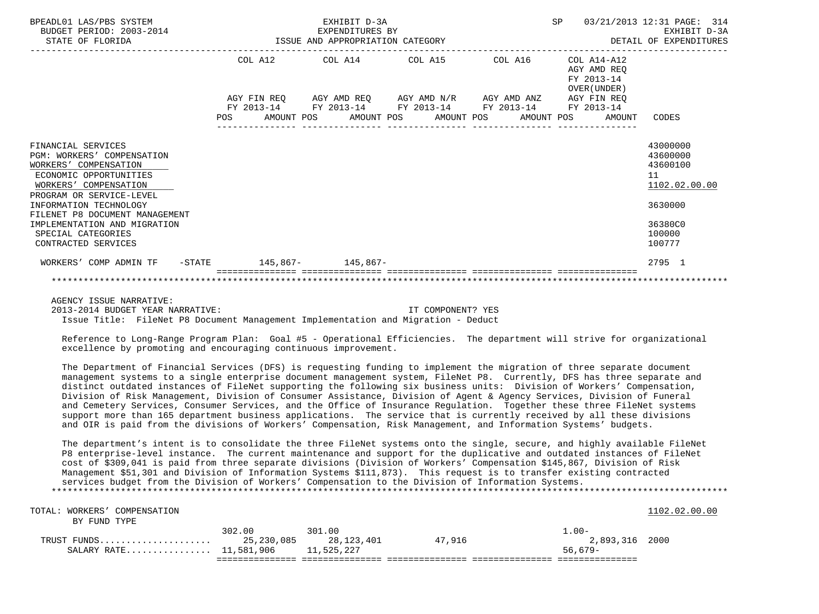| BPEADL01 LAS/PBS SYSTEM<br>BUDGET PERIOD: 2003-2014<br>STATE OF FLORIDA                                                                                                                                                                                                                           |  | EXHIBIT D-3A<br>EXPENDITURES BY | EXPENDITURES BY<br>ISSUE AND APPROPRIATION CATEGORY                                                              |  | SP |                                                           | 03/21/2013 12:31 PAGE: 314<br>EXHIBIT D-3A<br>DETAIL OF EXPENDITURES                              |
|---------------------------------------------------------------------------------------------------------------------------------------------------------------------------------------------------------------------------------------------------------------------------------------------------|--|---------------------------------|------------------------------------------------------------------------------------------------------------------|--|----|-----------------------------------------------------------|---------------------------------------------------------------------------------------------------|
|                                                                                                                                                                                                                                                                                                   |  |                                 | COL A12 COL A14 COL A15 COL A16                                                                                  |  |    | COL A14-A12<br>AGY AMD REO<br>FY 2013-14<br>OVER (UNDER ) |                                                                                                   |
|                                                                                                                                                                                                                                                                                                   |  |                                 | AGY FIN REQ AGY AMD REQ AGY AMD N/R AGY AMD ANZ AGY FIN REQ                                                      |  |    |                                                           |                                                                                                   |
|                                                                                                                                                                                                                                                                                                   |  |                                 | FY 2013-14 FY 2013-14 FY 2013-14 FY 2013-14 FY 2013-14<br>POS AMOUNT POS AMOUNT POS AMOUNT POS AMOUNT POS AMOUNT |  |    |                                                           | CODES                                                                                             |
|                                                                                                                                                                                                                                                                                                   |  |                                 |                                                                                                                  |  |    |                                                           |                                                                                                   |
| FINANCIAL SERVICES<br>PGM: WORKERS' COMPENSATION<br>WORKERS' COMPENSATION<br>ECONOMIC OPPORTUNITIES<br>WORKERS' COMPENSATION<br>PROGRAM OR SERVICE-LEVEL<br>INFORMATION TECHNOLOGY<br>FILENET P8 DOCUMENT MANAGEMENT<br>IMPLEMENTATION AND MIGRATION<br>SPECIAL CATEGORIES<br>CONTRACTED SERVICES |  |                                 |                                                                                                                  |  |    |                                                           | 43000000<br>43600000<br>43600100<br>11<br>1102.02.00.00<br>3630000<br>36380C0<br>100000<br>100777 |
| WORKERS' COMP ADMIN TF -STATE 145,867- 145,867-                                                                                                                                                                                                                                                   |  |                                 |                                                                                                                  |  |    |                                                           | 2795 1                                                                                            |
|                                                                                                                                                                                                                                                                                                   |  |                                 |                                                                                                                  |  |    |                                                           |                                                                                                   |

 AGENCY ISSUE NARRATIVE: 2013-2014 BUDGET YEAR NARRATIVE: IT COMPONENT? YES Issue Title: FileNet P8 Document Management Implementation and Migration - Deduct

 Reference to Long-Range Program Plan: Goal #5 - Operational Efficiencies. The department will strive for organizational excellence by promoting and encouraging continuous improvement.

 The Department of Financial Services (DFS) is requesting funding to implement the migration of three separate document management systems to a single enterprise document management system, FileNet P8. Currently, DFS has three separate and distinct outdated instances of FileNet supporting the following six business units: Division of Workers' Compensation, Division of Risk Management, Division of Consumer Assistance, Division of Agent & Agency Services, Division of Funeral and Cemetery Services, Consumer Services, and the Office of Insurance Regulation. Together these three FileNet systems support more than 165 department business applications. The service that is currently received by all these divisions and OIR is paid from the divisions of Workers' Compensation, Risk Management, and Information Systems' budgets.

 The department's intent is to consolidate the three FileNet systems onto the single, secure, and highly available FileNet P8 enterprise-level instance. The current maintenance and support for the duplicative and outdated instances of FileNet cost of \$309,041 is paid from three separate divisions (Division of Workers' Compensation \$145,867, Division of Risk Management \$51,301 and Division of Information Systems \$111,873). This request is to transfer existing contracted services budget from the Division of Workers' Compensation to the Division of Information Systems. \*\*\*\*\*\*\*\*\*\*\*\*\*\*\*\*\*\*\*\*\*\*\*\*\*\*\*\*\*\*\*\*\*\*\*\*\*\*\*\*\*\*\*\*\*\*\*\*\*\*\*\*\*\*\*\*\*\*\*\*\*\*\*\*\*\*\*\*\*\*\*\*\*\*\*\*\*\*\*\*\*\*\*\*\*\*\*\*\*\*\*\*\*\*\*\*\*\*\*\*\*\*\*\*\*\*\*\*\*\*\*\*\*\*\*\*\*\*\*\*\*\*\*\*\*\*\*

| TOTAL: WORKERS' COMPENSATION      |        |            |        |                | 1102.02.00.00 |
|-----------------------------------|--------|------------|--------|----------------|---------------|
| BY FUND TYPE                      |        |            |        |                |               |
|                                   | 302.00 | 301.00     |        | $.00-$         |               |
| TRUST FUNDS $25,230,085$          |        | 28,123,401 | 47.916 | 2,893,316 2000 |               |
| SALARY RATE 11,581,906 11,525,227 |        |            |        | $56.679-$      |               |
|                                   |        |            |        |                |               |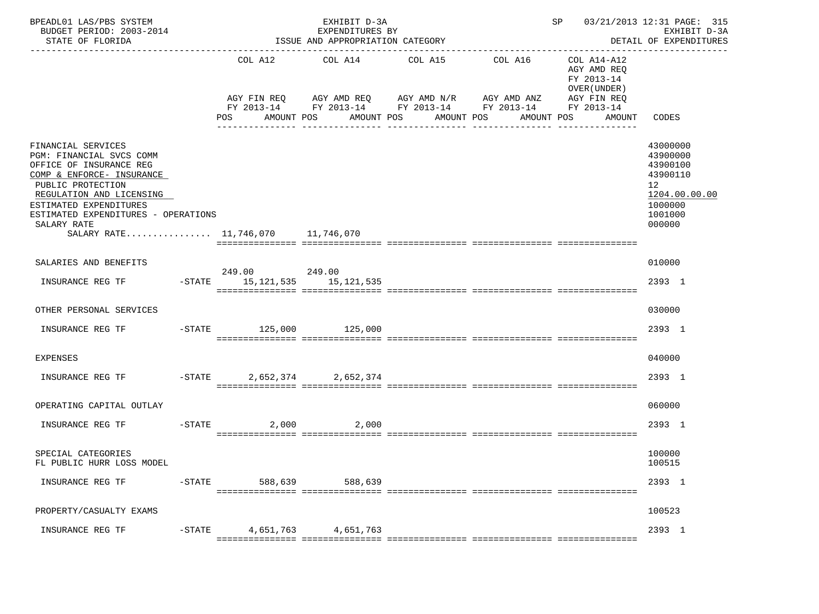| BPEADL01 LAS/PBS SYSTEM<br>BUDGET PERIOD: 2003-2014<br>STATE OF FLORIDA                                                                                                                                                                                                      |           |                                               | EXHIBIT D-3A<br>EXPENDITURES BY<br>ISSUE AND APPROPRIATION CATEGORY                      |                          |                                                                                 | SP 03/21/2013 12:31 PAGE: 315                                                     | EXHIBIT D-3A<br>DETAIL OF EXPENDITURES                                                              |
|------------------------------------------------------------------------------------------------------------------------------------------------------------------------------------------------------------------------------------------------------------------------------|-----------|-----------------------------------------------|------------------------------------------------------------------------------------------|--------------------------|---------------------------------------------------------------------------------|-----------------------------------------------------------------------------------|-----------------------------------------------------------------------------------------------------|
|                                                                                                                                                                                                                                                                              |           | POS FOR                                       | COL A12 COL A14 COL A15<br>AGY FIN REQ AGY AMD REQ AGY AMD N/R AGY AMD ANZ<br>AMOUNT POS | AMOUNT POS<br>AMOUNT POS | COL A16<br>FY 2013-14 FY 2013-14 FY 2013-14 FY 2013-14 FY 2013-14<br>AMOUNT POS | COL A14-A12<br>AGY AMD REQ<br>FY 2013-14<br>OVER (UNDER)<br>AGY FIN REQ<br>AMOUNT | CODES                                                                                               |
| FINANCIAL SERVICES<br>PGM: FINANCIAL SVCS COMM<br>OFFICE OF INSURANCE REG<br>COMP & ENFORCE- INSURANCE<br>PUBLIC PROTECTION<br>REGULATION AND LICENSING<br>ESTIMATED EXPENDITURES<br>ESTIMATED EXPENDITURES - OPERATIONS<br>SALARY RATE<br>SALARY RATE 11,746,070 11,746,070 |           |                                               |                                                                                          |                          |                                                                                 |                                                                                   | 43000000<br>43900000<br>43900100<br>43900110<br>12<br>1204.00.00.00<br>1000000<br>1001000<br>000000 |
| SALARIES AND BENEFITS                                                                                                                                                                                                                                                        |           |                                               |                                                                                          |                          |                                                                                 |                                                                                   | 010000                                                                                              |
| INSURANCE REG TF                                                                                                                                                                                                                                                             |           | 249.00 249.00<br>-STATE 15,121,535 15,121,535 |                                                                                          |                          |                                                                                 |                                                                                   | 2393 1                                                                                              |
| OTHER PERSONAL SERVICES                                                                                                                                                                                                                                                      |           |                                               |                                                                                          |                          |                                                                                 |                                                                                   | 030000                                                                                              |
|                                                                                                                                                                                                                                                                              |           |                                               |                                                                                          |                          |                                                                                 |                                                                                   | 2393 1                                                                                              |
| <b>EXPENSES</b>                                                                                                                                                                                                                                                              |           |                                               |                                                                                          |                          |                                                                                 |                                                                                   | 040000                                                                                              |
| INSURANCE REG TF                                                                                                                                                                                                                                                             |           | -STATE 2,652,374 2,652,374                    |                                                                                          |                          |                                                                                 |                                                                                   | 2393 1                                                                                              |
| OPERATING CAPITAL OUTLAY                                                                                                                                                                                                                                                     |           |                                               |                                                                                          |                          |                                                                                 |                                                                                   | 060000                                                                                              |
| INSURANCE REG TF                                                                                                                                                                                                                                                             |           | $-$ STATE<br>2,000                            | 2,000                                                                                    |                          |                                                                                 |                                                                                   | 2393 1                                                                                              |
| SPECIAL CATEGORIES<br>FL PUBLIC HURR LOSS MODEL                                                                                                                                                                                                                              |           |                                               |                                                                                          |                          |                                                                                 |                                                                                   | 100000<br>100515                                                                                    |
| INSURANCE REG TF                                                                                                                                                                                                                                                             | $-$ STATE | 588,639                                       | 588,639                                                                                  |                          |                                                                                 |                                                                                   | 2393 1                                                                                              |
| PROPERTY/CASUALTY EXAMS                                                                                                                                                                                                                                                      |           |                                               |                                                                                          |                          |                                                                                 |                                                                                   | 100523                                                                                              |
| INSURANCE REG TF                                                                                                                                                                                                                                                             | $-$ STATE | 4,651,763                                     | 4,651,763                                                                                |                          |                                                                                 |                                                                                   | 2393 1                                                                                              |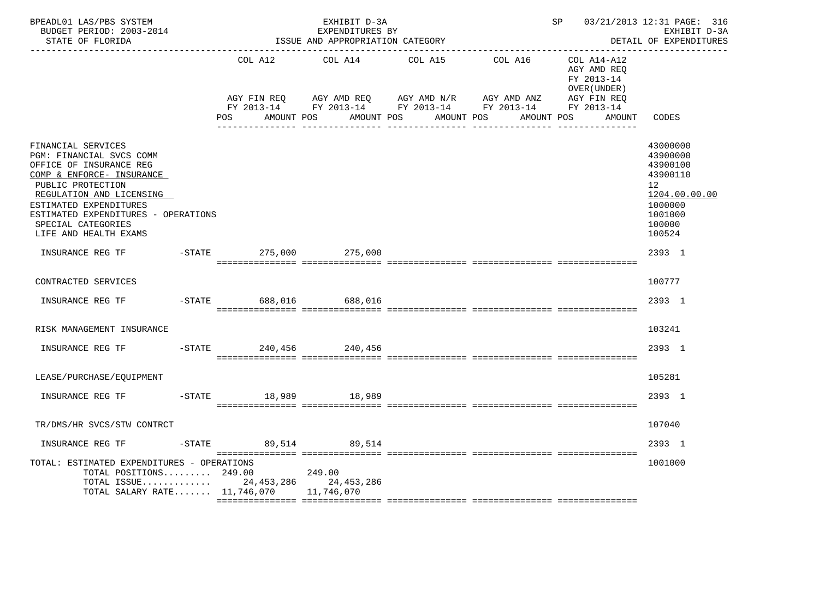| BPEADL01 LAS/PBS SYSTEM<br>BUDGET PERIOD: 2003-2014<br>STATE OF FLORIDA                                                                                                                                                                                                 |                        | EXHIBIT D-3A<br>EXPENDITURES BY<br>ISSUE AND APPROPRIATION CATEGORY |                                                                                            |         | SP 03/21/2013 12:31 PAGE: 316                            | EXHIBIT D-3A<br>DETAIL OF EXPENDITURES                                                                        |
|-------------------------------------------------------------------------------------------------------------------------------------------------------------------------------------------------------------------------------------------------------------------------|------------------------|---------------------------------------------------------------------|--------------------------------------------------------------------------------------------|---------|----------------------------------------------------------|---------------------------------------------------------------------------------------------------------------|
|                                                                                                                                                                                                                                                                         | COL A12<br>AGY FIN REQ | COL A14                                                             | COL A15<br>AGY AMD REQ AGY AMD N/R AGY AMD ANZ AGY FIN REQ                                 | COL A16 | COL A14-A12<br>AGY AMD REO<br>FY 2013-14<br>OVER (UNDER) |                                                                                                               |
|                                                                                                                                                                                                                                                                         | POS                    |                                                                     | FY 2013-14 FY 2013-14 FY 2013-14 FY 2013-14 FY 2013-14<br>AMOUNT POS AMOUNT POS AMOUNT POS |         | AMOUNT POS<br>AMOUNT                                     | CODES                                                                                                         |
| FINANCIAL SERVICES<br>PGM: FINANCIAL SVCS COMM<br>OFFICE OF INSURANCE REG<br>COMP & ENFORCE- INSURANCE<br>PUBLIC PROTECTION<br>REGULATION AND LICENSING<br>ESTIMATED EXPENDITURES<br>ESTIMATED EXPENDITURES - OPERATIONS<br>SPECIAL CATEGORIES<br>LIFE AND HEALTH EXAMS |                        |                                                                     |                                                                                            |         |                                                          | 43000000<br>43900000<br>43900100<br>43900110<br>12<br>1204.00.00.00<br>1000000<br>1001000<br>100000<br>100524 |
| INSURANCE REG TF                                                                                                                                                                                                                                                        | $-$ STATE<br>275,000   | 275,000                                                             |                                                                                            |         |                                                          | 2393 1                                                                                                        |
| CONTRACTED SERVICES                                                                                                                                                                                                                                                     |                        |                                                                     |                                                                                            |         |                                                          | 100777                                                                                                        |
| INSURANCE REG TF                                                                                                                                                                                                                                                        | -STATE 688,016 688,016 |                                                                     |                                                                                            |         |                                                          | 2393 1                                                                                                        |
| RISK MANAGEMENT INSURANCE                                                                                                                                                                                                                                               |                        |                                                                     |                                                                                            |         |                                                          | 103241                                                                                                        |
|                                                                                                                                                                                                                                                                         |                        |                                                                     |                                                                                            |         |                                                          | 2393 1                                                                                                        |
| LEASE/PURCHASE/EQUIPMENT                                                                                                                                                                                                                                                |                        |                                                                     |                                                                                            |         |                                                          | 105281                                                                                                        |
| INSURANCE REG TF                                                                                                                                                                                                                                                        | -STATE 18,989 18,989   |                                                                     |                                                                                            |         |                                                          | 2393 1                                                                                                        |
| TR/DMS/HR SVCS/STW CONTRCT                                                                                                                                                                                                                                              |                        |                                                                     |                                                                                            |         |                                                          | 107040                                                                                                        |
|                                                                                                                                                                                                                                                                         |                        |                                                                     |                                                                                            |         |                                                          | 2393 1                                                                                                        |
| TOTAL: ESTIMATED EXPENDITURES - OPERATIONS<br>TOTAL POSITIONS 249.00<br>TOTAL ISSUE 24,453,286 24,453,286<br>TOTAL SALARY RATE 11,746,070 11,746,070                                                                                                                    |                        | 249.00                                                              |                                                                                            |         |                                                          | 1001000                                                                                                       |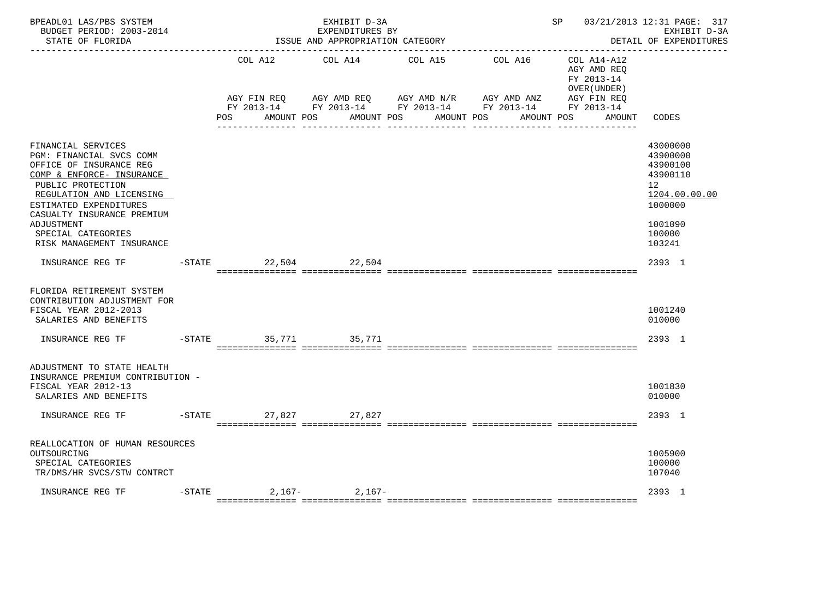| BPEADL01 LAS/PBS SYSTEM<br>BUDGET PERIOD: 2003-2014<br>STATE OF FLORIDA                                                                                                                                                                                                          |           |                      | EXHIBIT D-3A<br>EXPENDITURES BY<br>ISSUE AND APPROPRIATION CATEGORY |                                                                                                                                                | SP 03/21/2013 12:31 PAGE: 317<br>EXHIBIT D-3A<br>DETAIL OF EXPENDITURES |                                                          |                                                                                                                            |
|----------------------------------------------------------------------------------------------------------------------------------------------------------------------------------------------------------------------------------------------------------------------------------|-----------|----------------------|---------------------------------------------------------------------|------------------------------------------------------------------------------------------------------------------------------------------------|-------------------------------------------------------------------------|----------------------------------------------------------|----------------------------------------------------------------------------------------------------------------------------|
|                                                                                                                                                                                                                                                                                  |           | COL A12              | COL A14                                                             | COL A15                                                                                                                                        | COL A16                                                                 | COL A14-A12<br>AGY AMD REO<br>FY 2013-14<br>OVER (UNDER) |                                                                                                                            |
|                                                                                                                                                                                                                                                                                  |           | POS                  | AMOUNT POS                                                          | AGY FIN REQ AGY AMD REQ AGY AMD N/R AGY AMD ANZ AGY FIN REQ<br>FY 2013-14 FY 2013-14 FY 2013-14 FY 2013-14 FY 2013-14<br>AMOUNT POS AMOUNT POS |                                                                         | AMOUNT POS<br>AMOUNT                                     | CODES                                                                                                                      |
| FINANCIAL SERVICES<br>PGM: FINANCIAL SVCS COMM<br>OFFICE OF INSURANCE REG<br>COMP & ENFORCE- INSURANCE<br>PUBLIC PROTECTION<br>REGULATION AND LICENSING<br>ESTIMATED EXPENDITURES<br>CASUALTY INSURANCE PREMIUM<br>ADJUSTMENT<br>SPECIAL CATEGORIES<br>RISK MANAGEMENT INSURANCE |           |                      |                                                                     |                                                                                                                                                |                                                                         |                                                          | 43000000<br>43900000<br>43900100<br>43900110<br>12 <sup>°</sup><br>1204.00.00.00<br>1000000<br>1001090<br>100000<br>103241 |
| INSURANCE REG TF                                                                                                                                                                                                                                                                 |           | $-STATE$             | 22,504 22,504                                                       |                                                                                                                                                |                                                                         |                                                          | 2393 1                                                                                                                     |
| FLORIDA RETIREMENT SYSTEM<br>CONTRIBUTION ADJUSTMENT FOR<br>FISCAL YEAR 2012-2013<br>SALARIES AND BENEFITS                                                                                                                                                                       |           |                      |                                                                     |                                                                                                                                                |                                                                         |                                                          | 1001240<br>010000                                                                                                          |
| INSURANCE REG TF                                                                                                                                                                                                                                                                 |           | $-STATE$<br>35,771   | 35,771                                                              |                                                                                                                                                |                                                                         |                                                          | 2393 1                                                                                                                     |
| ADJUSTMENT TO STATE HEALTH<br>INSURANCE PREMIUM CONTRIBUTION -<br>FISCAL YEAR 2012-13<br>SALARIES AND BENEFITS                                                                                                                                                                   |           |                      |                                                                     |                                                                                                                                                |                                                                         |                                                          | 1001830<br>010000                                                                                                          |
| INSURANCE REG TF                                                                                                                                                                                                                                                                 |           | -STATE 27,827 27,827 |                                                                     |                                                                                                                                                |                                                                         |                                                          | 2393 1                                                                                                                     |
| REALLOCATION OF HUMAN RESOURCES<br>OUTSOURCING<br>SPECIAL CATEGORIES<br>TR/DMS/HR SVCS/STW CONTRCT                                                                                                                                                                               |           |                      |                                                                     |                                                                                                                                                |                                                                         |                                                          | 1005900<br>100000<br>107040                                                                                                |
| INSURANCE REG TF                                                                                                                                                                                                                                                                 | $-$ STATE |                      | $2,167-2,167-$                                                      |                                                                                                                                                |                                                                         |                                                          | 2393 1                                                                                                                     |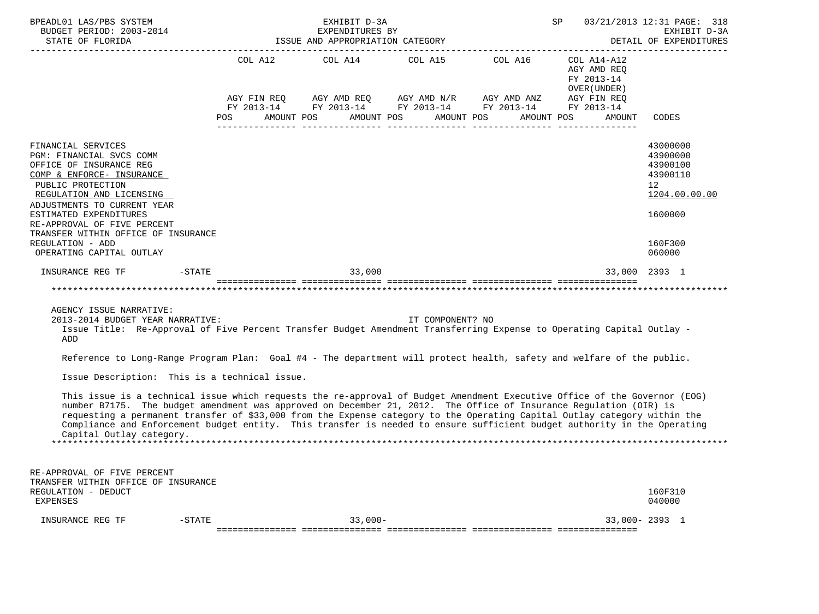| BPEADL01 LAS/PBS SYSTEM<br>BUDGET PERIOD: 2003-2014<br>STATE OF FLORIDA                                                                                                                                                                                                                                                                                                                                                                                                                                                                                                                                                                                                                                                                                                                                                                                                                                      |                                                           | EXHIBIT D-3A<br>EXPENDITURES BY<br>ISSUE AND APPROPRIATION CATEGORY |                       |                                                                                                             | SP                                                                                       | 03/21/2013 12:31 PAGE: 318<br>EXHIBIT D-3A<br>DETAIL OF EXPENDITURES                                             |
|--------------------------------------------------------------------------------------------------------------------------------------------------------------------------------------------------------------------------------------------------------------------------------------------------------------------------------------------------------------------------------------------------------------------------------------------------------------------------------------------------------------------------------------------------------------------------------------------------------------------------------------------------------------------------------------------------------------------------------------------------------------------------------------------------------------------------------------------------------------------------------------------------------------|-----------------------------------------------------------|---------------------------------------------------------------------|-----------------------|-------------------------------------------------------------------------------------------------------------|------------------------------------------------------------------------------------------|------------------------------------------------------------------------------------------------------------------|
|                                                                                                                                                                                                                                                                                                                                                                                                                                                                                                                                                                                                                                                                                                                                                                                                                                                                                                              | COL A12<br>AGY FIN REQ<br>FY 2013-14<br>AMOUNT POS<br>POS | COL A14<br>AMOUNT POS                                               | COL A15<br>AMOUNT POS | COL A16<br>AGY AMD REQ AGY AMD N/R AGY AMD ANZ<br>FY 2013-14 FY 2013-14 FY 2013-14 FY 2013-14<br>AMOUNT POS | COL A14-A12<br>AGY AMD REQ<br>FY 2013-14<br>OVER (UNDER)<br>AGY FIN REQ<br><b>AMOUNT</b> | CODES                                                                                                            |
| FINANCIAL SERVICES<br>PGM: FINANCIAL SVCS COMM<br>OFFICE OF INSURANCE REG<br>COMP & ENFORCE- INSURANCE<br>PUBLIC PROTECTION<br>REGULATION AND LICENSING<br>ADJUSTMENTS TO CURRENT YEAR<br>ESTIMATED EXPENDITURES<br>RE-APPROVAL OF FIVE PERCENT<br>TRANSFER WITHIN OFFICE OF INSURANCE<br>REGULATION - ADD<br>OPERATING CAPITAL OUTLAY                                                                                                                                                                                                                                                                                                                                                                                                                                                                                                                                                                       |                                                           |                                                                     |                       |                                                                                                             |                                                                                          | 43000000<br>43900000<br>43900100<br>43900110<br>12 <sup>°</sup><br>1204.00.00.00<br>1600000<br>160F300<br>060000 |
| INSURANCE REG TF                                                                                                                                                                                                                                                                                                                                                                                                                                                                                                                                                                                                                                                                                                                                                                                                                                                                                             | $-STATE$ 33,000                                           |                                                                     |                       |                                                                                                             |                                                                                          | 33,000 2393 1                                                                                                    |
| AGENCY ISSUE NARRATIVE:<br>2013-2014 BUDGET YEAR NARRATIVE:<br>Issue Title: Re-Approval of Five Percent Transfer Budget Amendment Transferring Expense to Operating Capital Outlay -<br>ADD<br>Reference to Long-Range Program Plan: Goal #4 - The department will protect health, safety and welfare of the public.<br>Issue Description: This is a technical issue.<br>This issue is a technical issue which requests the re-approval of Budget Amendment Executive Office of the Governor (EOG)<br>number B7175. The budget amendment was approved on December 21, 2012. The Office of Insurance Regulation (OIR) is<br>requesting a permanent transfer of \$33,000 from the Expense category to the Operating Capital Outlay category within the<br>Compliance and Enforcement budget entity. This transfer is needed to ensure sufficient budget authority in the Operating<br>Capital Outlay category. |                                                           |                                                                     | IT COMPONENT? NO      |                                                                                                             |                                                                                          |                                                                                                                  |
| RE-APPROVAL OF FIVE PERCENT<br>TRANSFER WITHIN OFFICE OF INSURANCE<br>REGULATION - DEDUCT<br><b>EXPENSES</b>                                                                                                                                                                                                                                                                                                                                                                                                                                                                                                                                                                                                                                                                                                                                                                                                 |                                                           |                                                                     |                       |                                                                                                             |                                                                                          | 160F310<br>040000                                                                                                |
| INSURANCE REG TF<br>$-STATE$                                                                                                                                                                                                                                                                                                                                                                                                                                                                                                                                                                                                                                                                                                                                                                                                                                                                                 |                                                           | $33,000-$                                                           |                       |                                                                                                             |                                                                                          | $33,000 - 2393$ 1                                                                                                |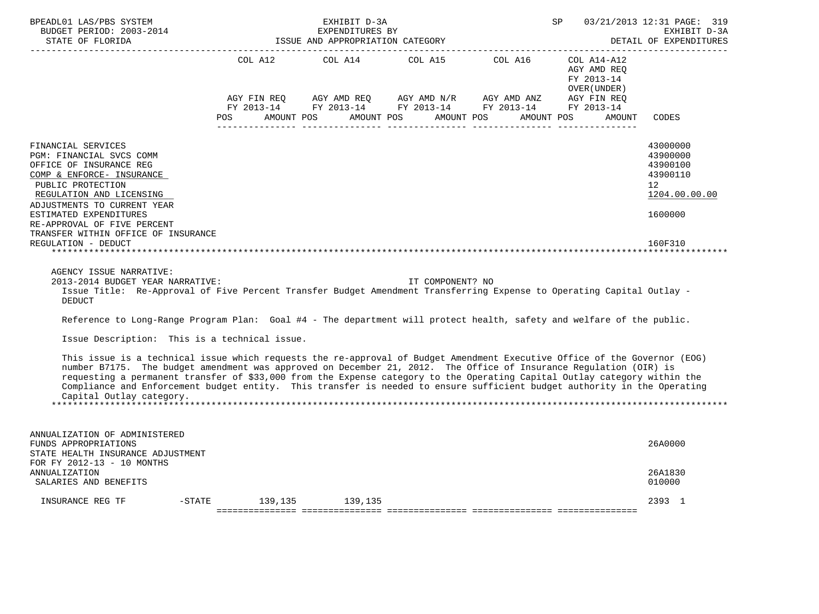| BPEADL01 LAS/PBS SYSTEM<br>BUDGET PERIOD: 2003-2014<br>STATE OF FLORIDA                                                                                                                                                                                                                                                                                                                                                                                                                                                             |                        | EXHIBIT D-3A<br>EXPENDITURES BY<br>ISSUE AND APPROPRIATION CATEGORY |                  |                                                                                                                                                                                          | SP                                                                 | 03/21/2013 12:31 PAGE: 319<br>EXHIBIT D-3A<br>DETAIL OF EXPENDITURES<br>------------        |
|-------------------------------------------------------------------------------------------------------------------------------------------------------------------------------------------------------------------------------------------------------------------------------------------------------------------------------------------------------------------------------------------------------------------------------------------------------------------------------------------------------------------------------------|------------------------|---------------------------------------------------------------------|------------------|------------------------------------------------------------------------------------------------------------------------------------------------------------------------------------------|--------------------------------------------------------------------|---------------------------------------------------------------------------------------------|
|                                                                                                                                                                                                                                                                                                                                                                                                                                                                                                                                     | AGY FIN REQ<br>POS     | AMOUNT POS                                                          | AMOUNT POS       | COL A12 COL A14 COL A15 COL A16 COL A14-A12<br>AGY AMD REQ      AGY AMD N/R      AGY AMD ANZ      AGY FIN REQ<br>FY 2013-14 FY 2013-14 FY 2013-14 FY 2013-14<br>AMOUNT POS<br>AMOUNT POS | AGY AMD REO<br>FY 2013-14<br>OVER (UNDER )<br>FY 2013-14<br>AMOUNT | CODES                                                                                       |
| FINANCIAL SERVICES<br>PGM: FINANCIAL SVCS COMM<br>OFFICE OF INSURANCE REG<br>COMP & ENFORCE- INSURANCE<br>PUBLIC PROTECTION<br>REGULATION AND LICENSING<br>ADJUSTMENTS TO CURRENT YEAR<br>ESTIMATED EXPENDITURES<br>RE-APPROVAL OF FIVE PERCENT<br>TRANSFER WITHIN OFFICE OF INSURANCE                                                                                                                                                                                                                                              |                        |                                                                     |                  |                                                                                                                                                                                          |                                                                    | 43000000<br>43900000<br>43900100<br>43900110<br>12 <sup>°</sup><br>1204.00.00.00<br>1600000 |
| REGULATION - DEDUCT<br>AGENCY ISSUE NARRATIVE:<br>2013-2014 BUDGET YEAR NARRATIVE:<br>Issue Title: Re-Approval of Five Percent Transfer Budget Amendment Transferring Expense to Operating Capital Outlay -<br><b>DEDUCT</b>                                                                                                                                                                                                                                                                                                        |                        |                                                                     | IT COMPONENT? NO |                                                                                                                                                                                          |                                                                    | 160F310                                                                                     |
| Reference to Long-Range Program Plan: Goal #4 - The department will protect health, safety and welfare of the public.<br>Issue Description: This is a technical issue.                                                                                                                                                                                                                                                                                                                                                              |                        |                                                                     |                  |                                                                                                                                                                                          |                                                                    |                                                                                             |
| This issue is a technical issue which requests the re-approval of Budget Amendment Executive Office of the Governor (EOG)<br>number B7175. The budget amendment was approved on December 21, 2012. The Office of Insurance Regulation (OIR) is<br>requesting a permanent transfer of \$33,000 from the Expense category to the Operating Capital Outlay category within the<br>Compliance and Enforcement budget entity. This transfer is needed to ensure sufficient budget authority in the Operating<br>Capital Outlay category. |                        |                                                                     |                  |                                                                                                                                                                                          |                                                                    |                                                                                             |
| ANNUALIZATION OF ADMINISTERED<br>FUNDS APPROPRIATIONS<br>STATE HEALTH INSURANCE ADJUSTMENT                                                                                                                                                                                                                                                                                                                                                                                                                                          |                        |                                                                     |                  |                                                                                                                                                                                          |                                                                    | 26A0000                                                                                     |
| FOR FY 2012-13 - 10 MONTHS<br>ANNUALIZATION<br>SALARIES AND BENEFITS                                                                                                                                                                                                                                                                                                                                                                                                                                                                |                        |                                                                     |                  |                                                                                                                                                                                          |                                                                    | 26A1830<br>010000                                                                           |
| INSURANCE REG TF                                                                                                                                                                                                                                                                                                                                                                                                                                                                                                                    | -STATE 139,135 139,135 |                                                                     |                  |                                                                                                                                                                                          |                                                                    | 2393 1                                                                                      |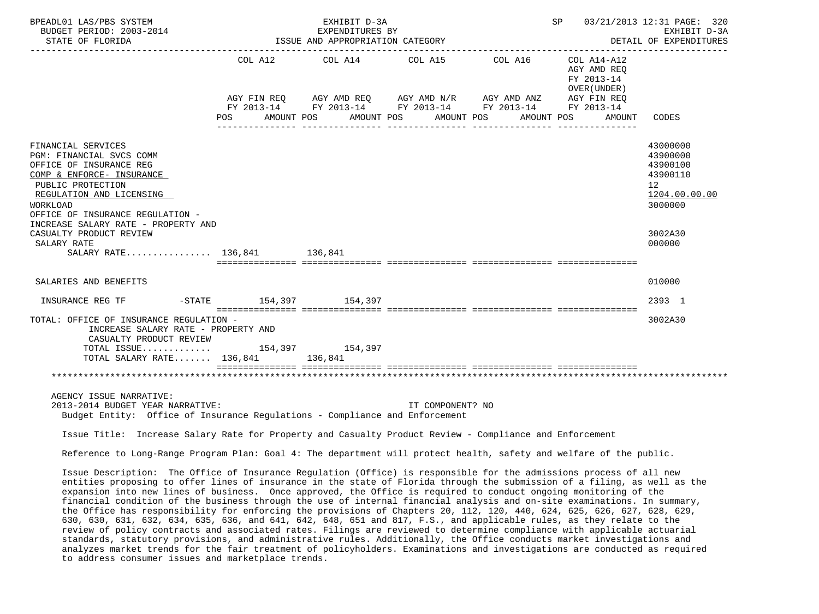| BPEADL01 LAS/PBS SYSTEM<br>BUDGET PERIOD: 2003-2014<br>STATE OF FLORIDA                                                                                                                                                                                                                                                                                              |                                                 | EXHIBIT D-3A<br>EXPENDITURES BY<br>ISSUE AND APPROPRIATION CATEGORY |                  |                                                             | SP 03/21/2013 12:31 PAGE: 320                             | EXHIBIT D-3A<br>DETAIL OF EXPENDITURES<br>_________________                                 |
|----------------------------------------------------------------------------------------------------------------------------------------------------------------------------------------------------------------------------------------------------------------------------------------------------------------------------------------------------------------------|-------------------------------------------------|---------------------------------------------------------------------|------------------|-------------------------------------------------------------|-----------------------------------------------------------|---------------------------------------------------------------------------------------------|
|                                                                                                                                                                                                                                                                                                                                                                      |                                                 | COL A12 COL A14 COL A15 COL A16                                     |                  | AGY FIN REQ AGY AMD REQ AGY AMD N/R AGY AMD ANZ AGY FIN REQ | COL A14-A12<br>AGY AMD REQ<br>FY 2013-14<br>OVER (UNDER ) |                                                                                             |
|                                                                                                                                                                                                                                                                                                                                                                      |                                                 |                                                                     |                  | FY 2013-14 FY 2013-14 FY 2013-14 FY 2013-14 FY 2013-14      |                                                           |                                                                                             |
|                                                                                                                                                                                                                                                                                                                                                                      | POS AMOUNT POS AMOUNT POS AMOUNT POS AMOUNT POS |                                                                     |                  |                                                             | AMOUNT                                                    | CODES                                                                                       |
| FINANCIAL SERVICES<br>PGM: FINANCIAL SVCS COMM<br>OFFICE OF INSURANCE REG<br>COMP & ENFORCE- INSURANCE<br>PUBLIC PROTECTION<br>REGULATION AND LICENSING<br><b>WORKLOAD</b><br>OFFICE OF INSURANCE REGULATION -                                                                                                                                                       |                                                 |                                                                     |                  |                                                             |                                                           | 43000000<br>43900000<br>43900100<br>43900110<br>12 <sup>°</sup><br>1204.00.00.00<br>3000000 |
| INCREASE SALARY RATE - PROPERTY AND<br>CASUALTY PRODUCT REVIEW<br>SALARY RATE<br>SALARY RATE 136,841 136,841                                                                                                                                                                                                                                                         |                                                 |                                                                     |                  |                                                             |                                                           | 3002A30<br>000000                                                                           |
|                                                                                                                                                                                                                                                                                                                                                                      |                                                 |                                                                     |                  |                                                             |                                                           |                                                                                             |
| SALARIES AND BENEFITS                                                                                                                                                                                                                                                                                                                                                |                                                 |                                                                     |                  |                                                             |                                                           | 010000                                                                                      |
| INSURANCE REG TF                                                                                                                                                                                                                                                                                                                                                     | -STATE 154,397 154,397                          |                                                                     |                  |                                                             |                                                           | 2393 1                                                                                      |
| TOTAL: OFFICE OF INSURANCE REGULATION -<br>INCREASE SALARY RATE - PROPERTY AND<br>CASUALTY PRODUCT REVIEW<br>TOTAL SALARY RATE 136,841 136,841                                                                                                                                                                                                                       |                                                 |                                                                     |                  |                                                             |                                                           | 3002A30                                                                                     |
|                                                                                                                                                                                                                                                                                                                                                                      |                                                 |                                                                     |                  |                                                             |                                                           |                                                                                             |
| AGENCY ISSUE NARRATIVE:<br>2013-2014 BUDGET YEAR NARRATIVE:<br>Budget Entity: Office of Insurance Regulations - Compliance and Enforcement                                                                                                                                                                                                                           |                                                 |                                                                     | IT COMPONENT? NO |                                                             |                                                           |                                                                                             |
| Issue Title: Increase Salary Rate for Property and Casualty Product Review - Compliance and Enforcement                                                                                                                                                                                                                                                              |                                                 |                                                                     |                  |                                                             |                                                           |                                                                                             |
| Reference to Long-Range Program Plan: Goal 4: The department will protect health, safety and welfare of the public.                                                                                                                                                                                                                                                  |                                                 |                                                                     |                  |                                                             |                                                           |                                                                                             |
| Issue Description: The Office of Insurance Regulation (Office) is responsible for the admissions process of all new<br>entities proposing to offer lines of insurance in the state of Florida through the submission of a filing, as well as the<br>expansion into new lines of business. Once approved, the Office is required to conduct ongoing monitoring of the |                                                 |                                                                     |                  |                                                             |                                                           |                                                                                             |

 financial condition of the business through the use of internal financial analysis and on-site examinations. In summary, the Office has responsibility for enforcing the provisions of Chapters 20, 112, 120, 440, 624, 625, 626, 627, 628, 629, 630, 630, 631, 632, 634, 635, 636, and 641, 642, 648, 651 and 817, F.S., and applicable rules, as they relate to the review of policy contracts and associated rates. Filings are reviewed to determine compliance with applicable actuarial standards, statutory provisions, and administrative rules. Additionally, the Office conducts market investigations and analyzes market trends for the fair treatment of policyholders. Examinations and investigations are conducted as required to address consumer issues and marketplace trends.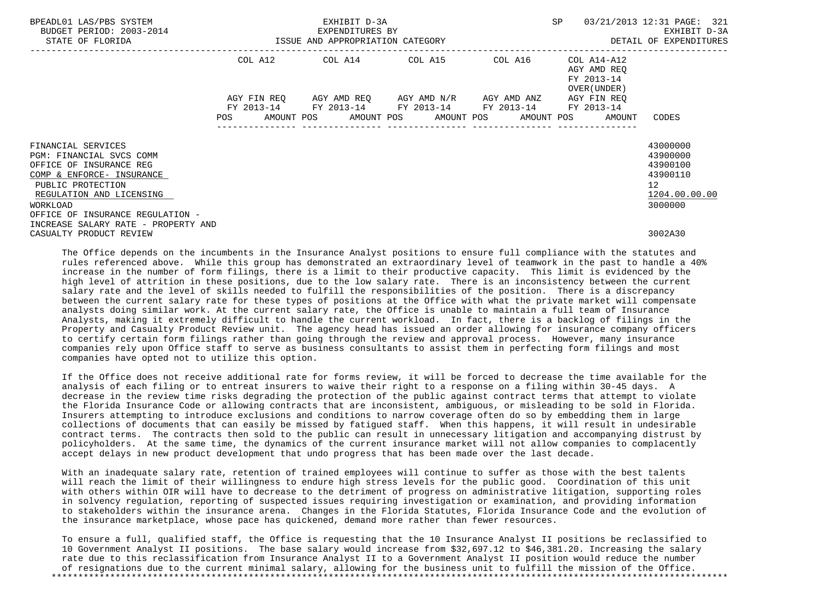| BPEADL01 LAS/PBS SYSTEM<br>BUDGET PERIOD: 2003-2014<br>STATE OF FLORIDA                                                                                                                                                                        | EXHIBIT D-3A<br>EXPENDITURES BY<br>ISSUE AND APPROPRIATION CATEGORY                                                           |  |  |                                               | SP                                                                                                      | 03/21/2013 12:31 PAGE: 321<br>EXHIBIT D-3A<br>DETAIL OF EXPENDITURES |                                                                                               |
|------------------------------------------------------------------------------------------------------------------------------------------------------------------------------------------------------------------------------------------------|-------------------------------------------------------------------------------------------------------------------------------|--|--|-----------------------------------------------|---------------------------------------------------------------------------------------------------------|----------------------------------------------------------------------|-----------------------------------------------------------------------------------------------|
|                                                                                                                                                                                                                                                |                                                                                                                               |  |  |                                               | ---------------------------------<br>COL A12 COL A14 COL A15 COL A16 COL A14-A12                        | AGY AMD REO<br>FY 2013-14<br>OVER (UNDER)                            |                                                                                               |
|                                                                                                                                                                                                                                                | AGY FIN REO<br>POS FOR THE POST OF THE STATE STATE STATE STATE STATE STATE STATE STATE STATE STATE STATE STATE STATE STATE ST |  |  | AGY AMD REO      AGY AMD N/R      AGY AMD ANZ | FY 2013-14 FY 2013-14 FY 2013-14 FY 2013-14<br>AMOUNT POS      AMOUNT POS     AMOUNT POS     AMOUNT POS | AGY FIN REQ<br>FY 2013-14<br>AMOUNT                                  | CODES                                                                                         |
| FINANCIAL SERVICES<br>PGM: FINANCIAL SVCS COMM<br>OFFICE OF INSURANCE REG<br>COMP & ENFORCE- INSURANCE<br>PUBLIC PROTECTION<br>REGULATION AND LICENSING<br>WORKLOAD<br>OFFICE OF INSURANCE REGULATION -<br>INCREASE SALARY RATE - PROPERTY AND |                                                                                                                               |  |  |                                               |                                                                                                         |                                                                      | 43000000<br>43900000<br>43900100<br>43900110<br>$12 \overline{ }$<br>1204.00.00.00<br>3000000 |
| CASUALTY PRODUCT REVIEW                                                                                                                                                                                                                        |                                                                                                                               |  |  |                                               |                                                                                                         |                                                                      | 3002A30                                                                                       |

 The Office depends on the incumbents in the Insurance Analyst positions to ensure full compliance with the statutes and rules referenced above. While this group has demonstrated an extraordinary level of teamwork in the past to handle a 40% increase in the number of form filings, there is a limit to their productive capacity. This limit is evidenced by the high level of attrition in these positions, due to the low salary rate. There is an inconsistency between the current salary rate and the level of skills needed to fulfill the responsibilities of the position. There is a discrepancy between the current salary rate for these types of positions at the Office with what the private market will compensate analysts doing similar work. At the current salary rate, the Office is unable to maintain a full team of Insurance Analysts, making it extremely difficult to handle the current workload. In fact, there is a backlog of filings in the Property and Casualty Product Review unit. The agency head has issued an order allowing for insurance company officers to certify certain form filings rather than going through the review and approval process. However, many insurance companies rely upon Office staff to serve as business consultants to assist them in perfecting form filings and most companies have opted not to utilize this option.

 If the Office does not receive additional rate for forms review, it will be forced to decrease the time available for the analysis of each filing or to entreat insurers to waive their right to a response on a filing within 30-45 days. A decrease in the review time risks degrading the protection of the public against contract terms that attempt to violate the Florida Insurance Code or allowing contracts that are inconsistent, ambiguous, or misleading to be sold in Florida. Insurers attempting to introduce exclusions and conditions to narrow coverage often do so by embedding them in large collections of documents that can easily be missed by fatigued staff. When this happens, it will result in undesirable contract terms. The contracts then sold to the public can result in unnecessary litigation and accompanying distrust by policyholders. At the same time, the dynamics of the current insurance market will not allow companies to complacently accept delays in new product development that undo progress that has been made over the last decade.

 With an inadequate salary rate, retention of trained employees will continue to suffer as those with the best talents will reach the limit of their willingness to endure high stress levels for the public good. Coordination of this unit with others within OIR will have to decrease to the detriment of progress on administrative litigation, supporting roles in solvency regulation, reporting of suspected issues requiring investigation or examination, and providing information to stakeholders within the insurance arena. Changes in the Florida Statutes, Florida Insurance Code and the evolution of the insurance marketplace, whose pace has quickened, demand more rather than fewer resources.

 To ensure a full, qualified staff, the Office is requesting that the 10 Insurance Analyst II positions be reclassified to 10 Government Analyst II positions. The base salary would increase from \$32,697.12 to \$46,381.20. Increasing the salary rate due to this reclassification from Insurance Analyst II to a Government Analyst II position would reduce the number of resignations due to the current minimal salary, allowing for the business unit to fulfill the mission of the Office. \*\*\*\*\*\*\*\*\*\*\*\*\*\*\*\*\*\*\*\*\*\*\*\*\*\*\*\*\*\*\*\*\*\*\*\*\*\*\*\*\*\*\*\*\*\*\*\*\*\*\*\*\*\*\*\*\*\*\*\*\*\*\*\*\*\*\*\*\*\*\*\*\*\*\*\*\*\*\*\*\*\*\*\*\*\*\*\*\*\*\*\*\*\*\*\*\*\*\*\*\*\*\*\*\*\*\*\*\*\*\*\*\*\*\*\*\*\*\*\*\*\*\*\*\*\*\*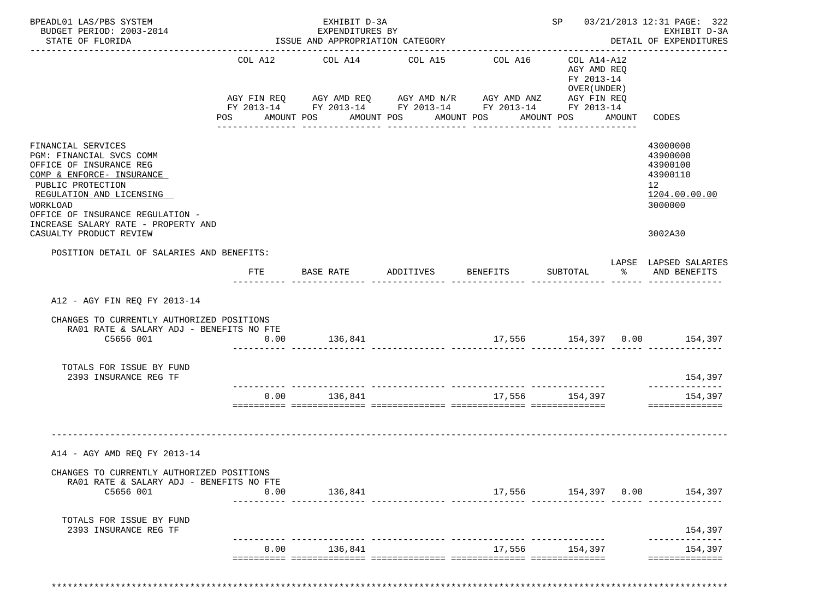| BPEADL01 LAS/PBS SYSTEM<br>BUDGET PERIOD: 2003-2014                                                                                                                                                                                                                       |                | EXHIBIT D-3A<br>EXPENDITURES BY                                                                                                                  |                       |                                     |                                                                        |                      | SP 03/21/2013 12:31 PAGE: 322<br>EXHIBIT D-3A                                             |
|---------------------------------------------------------------------------------------------------------------------------------------------------------------------------------------------------------------------------------------------------------------------------|----------------|--------------------------------------------------------------------------------------------------------------------------------------------------|-----------------------|-------------------------------------|------------------------------------------------------------------------|----------------------|-------------------------------------------------------------------------------------------|
| STATE OF FLORIDA                                                                                                                                                                                                                                                          |                | ISSUE AND APPROPRIATION CATEGORY                                                                                                                 |                       |                                     |                                                                        |                      | DETAIL OF EXPENDITURES                                                                    |
|                                                                                                                                                                                                                                                                           | POS AMOUNT POS | COL A12 COL A14 COL A15<br>AGY FIN REQ AGY AMD REQ AGY AMD N/R AGY AMD ANZ AGY FIN REQ<br>FY 2013-14 FY 2013-14 FY 2013-14 FY 2013-14 FY 2013-14 | AMOUNT POS AMOUNT POS | COL A16                             | COL A14-A12<br>AGY AMD REQ<br>FY 2013-14<br>OVER (UNDER)<br>AMOUNT POS | AMOUNT               | CODES                                                                                     |
| FINANCIAL SERVICES<br>PGM: FINANCIAL SVCS COMM<br>OFFICE OF INSURANCE REG<br>COMP & ENFORCE- INSURANCE<br>PUBLIC PROTECTION<br>REGULATION AND LICENSING<br>WORKLOAD<br>OFFICE OF INSURANCE REGULATION -<br>INCREASE SALARY RATE - PROPERTY AND<br>CASUALTY PRODUCT REVIEW |                |                                                                                                                                                  |                       |                                     |                                                                        |                      | 43000000<br>43900000<br>43900100<br>43900110<br>12<br>1204.00.00.00<br>3000000<br>3002A30 |
| POSITION DETAIL OF SALARIES AND BENEFITS:                                                                                                                                                                                                                                 | FTE            |                                                                                                                                                  |                       |                                     |                                                                        | $\sim$ $\sim$ $\sim$ | LAPSE LAPSED SALARIES<br>AND BENEFITS                                                     |
| A12 - AGY FIN REQ FY 2013-14                                                                                                                                                                                                                                              |                |                                                                                                                                                  |                       |                                     |                                                                        |                      |                                                                                           |
| CHANGES TO CURRENTLY AUTHORIZED POSITIONS<br>RA01 RATE & SALARY ADJ - BENEFITS NO FTE<br>C5656 001                                                                                                                                                                        | 0.00           | 136,841                                                                                                                                          |                       | $17,556$ $154,397$ $0.00$ $154,397$ |                                                                        |                      |                                                                                           |
| TOTALS FOR ISSUE BY FUND<br>2393 INSURANCE REG TF                                                                                                                                                                                                                         |                |                                                                                                                                                  |                       |                                     |                                                                        |                      | 154,397                                                                                   |
|                                                                                                                                                                                                                                                                           |                | $0.00$ 136,841                                                                                                                                   |                       |                                     | 17,556 154,397                                                         |                      | --------------<br>154,397<br>==============                                               |
| A14 - AGY AMD REQ FY 2013-14                                                                                                                                                                                                                                              |                |                                                                                                                                                  |                       |                                     |                                                                        |                      |                                                                                           |
| CHANGES TO CURRENTLY AUTHORIZED POSITIONS<br>RA01 RATE & SALARY ADJ - BENEFITS NO FTE<br>C5656 001                                                                                                                                                                        | 0.00           | 136,841                                                                                                                                          |                       |                                     |                                                                        |                      | 17,556 154,397 0.00 154,397                                                               |
| TOTALS FOR ISSUE BY FUND<br>2393 INSURANCE REG TF                                                                                                                                                                                                                         |                |                                                                                                                                                  |                       |                                     |                                                                        |                      | 154,397                                                                                   |
|                                                                                                                                                                                                                                                                           |                | 0.00<br>136,841                                                                                                                                  |                       |                                     | 17,556 154,397                                                         |                      | 154,397                                                                                   |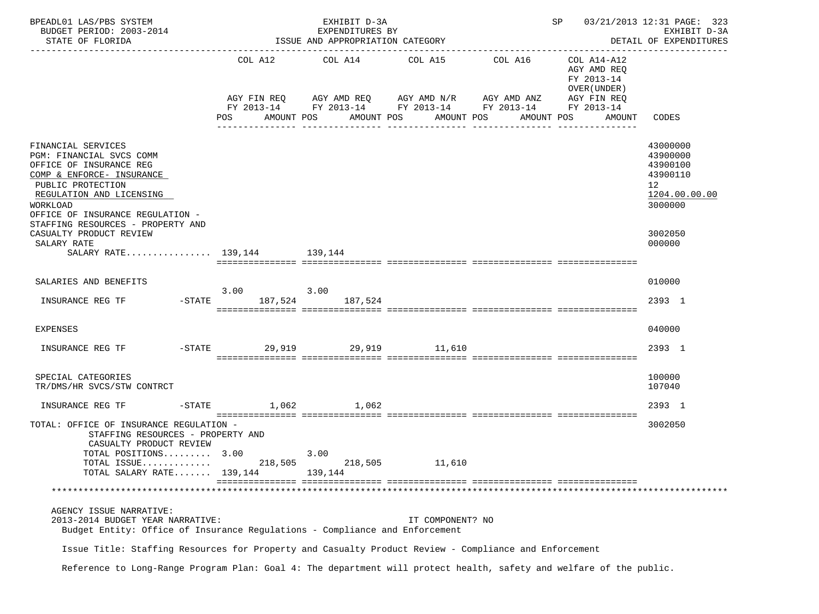| BPEADL01 LAS/PBS SYSTEM<br>BUDGET PERIOD: 2003-2014<br>STATE OF FLORIDA                                                                                                                                                                      | EXHIBIT D-3A<br>EXPENDITURES BY<br>ISSUE AND APPROPRIATION CATEGORY |            |                                                                                                                                |                                                        | SP 03/21/2013 12:31 PAGE: 323<br>EXHIBIT D-3A<br>DETAIL OF EXPENDITURES<br>--------------       |                                                                                |  |
|----------------------------------------------------------------------------------------------------------------------------------------------------------------------------------------------------------------------------------------------|---------------------------------------------------------------------|------------|--------------------------------------------------------------------------------------------------------------------------------|--------------------------------------------------------|-------------------------------------------------------------------------------------------------|--------------------------------------------------------------------------------|--|
|                                                                                                                                                                                                                                              | POS                                                                 | AMOUNT POS | COL A12 COL A14 COL A15 COL A16<br>AGY FIN REQ AGY AMD REQ AGY AMD N/R AGY AMD ANZ<br>AMOUNT POS AMOUNT POS<br>_______________ | FY 2013-14 FY 2013-14 FY 2013-14 FY 2013-14 FY 2013-14 | COL A14-A12<br>AGY AMD REQ<br>FY 2013-14<br>OVER (UNDER)<br>AGY FIN REQ<br>AMOUNT POS<br>AMOUNT | CODES                                                                          |  |
| FINANCIAL SERVICES<br>PGM: FINANCIAL SVCS COMM<br>OFFICE OF INSURANCE REG<br>COMP & ENFORCE- INSURANCE<br>PUBLIC PROTECTION<br>REGULATION AND LICENSING<br>WORKLOAD<br>OFFICE OF INSURANCE REGULATION -<br>STAFFING RESOURCES - PROPERTY AND |                                                                     |            |                                                                                                                                |                                                        |                                                                                                 | 43000000<br>43900000<br>43900100<br>43900110<br>12<br>1204.00.00.00<br>3000000 |  |
| CASUALTY PRODUCT REVIEW<br>SALARY RATE                                                                                                                                                                                                       |                                                                     |            |                                                                                                                                |                                                        |                                                                                                 | 3002050<br>000000                                                              |  |
| SALARY RATE 139,144 139,144                                                                                                                                                                                                                  |                                                                     |            |                                                                                                                                |                                                        |                                                                                                 |                                                                                |  |
|                                                                                                                                                                                                                                              |                                                                     |            |                                                                                                                                |                                                        |                                                                                                 |                                                                                |  |
| SALARIES AND BENEFITS                                                                                                                                                                                                                        | 3.00                                                                | 3.00       |                                                                                                                                |                                                        |                                                                                                 | 010000                                                                         |  |
| INSURANCE REG TF                                                                                                                                                                                                                             | -STATE 187,524 187,524                                              |            |                                                                                                                                |                                                        |                                                                                                 | 2393 1                                                                         |  |
| <b>EXPENSES</b>                                                                                                                                                                                                                              |                                                                     |            |                                                                                                                                |                                                        |                                                                                                 | 040000                                                                         |  |
| INSURANCE REG TF                                                                                                                                                                                                                             | $-STATE$                                                            |            | 29,919 29,919 11,610                                                                                                           |                                                        |                                                                                                 | 2393 1                                                                         |  |
| SPECIAL CATEGORIES<br>TR/DMS/HR SVCS/STW CONTRCT                                                                                                                                                                                             |                                                                     |            |                                                                                                                                |                                                        |                                                                                                 | 100000<br>107040                                                               |  |
| INSURANCE REG TF                                                                                                                                                                                                                             | $-STATE$ 1,062 1,062                                                |            |                                                                                                                                |                                                        |                                                                                                 | 2393 1                                                                         |  |
| TOTAL: OFFICE OF INSURANCE REGULATION -<br>STAFFING RESOURCES - PROPERTY AND<br>CASUALTY PRODUCT REVIEW                                                                                                                                      |                                                                     |            |                                                                                                                                |                                                        |                                                                                                 | 3002050                                                                        |  |
| TOTAL POSITIONS 3.00<br>TOTAL ISSUE                                                                                                                                                                                                          | 3.00<br>218,505                                                     | 218,505    | 11,610                                                                                                                         |                                                        |                                                                                                 |                                                                                |  |
| TOTAL SALARY RATE 139,144                                                                                                                                                                                                                    |                                                                     | 139,144    |                                                                                                                                |                                                        |                                                                                                 |                                                                                |  |
|                                                                                                                                                                                                                                              |                                                                     |            |                                                                                                                                |                                                        |                                                                                                 |                                                                                |  |
| AGENCY ISSUE NARRATIVE:<br>2013-2014 BUDGET YEAR NARRATIVE:<br>Budget Entity: Office of Insurance Regulations - Compliance and Enforcement                                                                                                   |                                                                     |            | IT COMPONENT? NO                                                                                                               |                                                        |                                                                                                 |                                                                                |  |
| Issue Title: Staffing Resources for Property and Casualty Product Review - Compliance and Enforcement                                                                                                                                        |                                                                     |            |                                                                                                                                |                                                        |                                                                                                 |                                                                                |  |

Reference to Long-Range Program Plan: Goal 4: The department will protect health, safety and welfare of the public.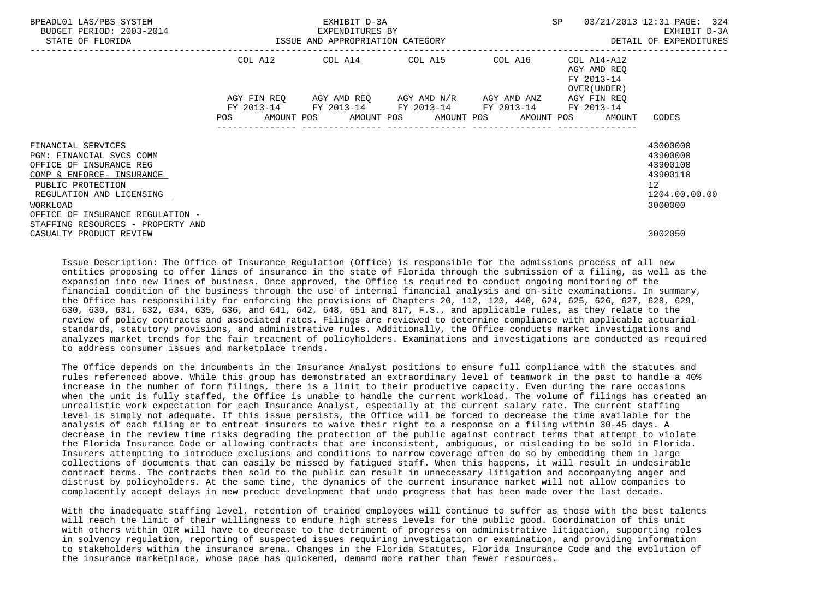| BPEADL01 LAS/PBS SYSTEM<br>BUDGET PERIOD: 2003-2014<br>STATE OF FLORIDA                                                                                                                                                                      |                           | EXHIBIT D-3A<br>EXPENDITURES BY<br>ISSUE AND APPROPRIATION CATEGORY                                   |                                                 |         | SP.                                                      | 03/21/2013 12:31 PAGE: 324<br>EXHIBIT D-3A<br>DETAIL OF EXPENDITURES                          |
|----------------------------------------------------------------------------------------------------------------------------------------------------------------------------------------------------------------------------------------------|---------------------------|-------------------------------------------------------------------------------------------------------|-------------------------------------------------|---------|----------------------------------------------------------|-----------------------------------------------------------------------------------------------|
|                                                                                                                                                                                                                                              | COL A12                   | COL A14 COL A15                                                                                       |                                                 | COL A16 | COL A14-A12<br>AGY AMD REO<br>FY 2013-14<br>OVER (UNDER) |                                                                                               |
|                                                                                                                                                                                                                                              | AGY FIN REO<br><b>POS</b> | FY 2013-14 FY 2013-14 FY 2013-14 FY 2013-14 FY 2013-14<br>AMOUNT POS AMOUNT POS AMOUNT POS AMOUNT POS | AGY AMD REQ       AGY AMD N/R       AGY AMD ANZ |         | AGY FIN REQ<br>AMOUNT                                    | CODES                                                                                         |
| FINANCIAL SERVICES<br>PGM: FINANCIAL SVCS COMM<br>OFFICE OF INSURANCE REG<br>COMP & ENFORCE- INSURANCE<br>PUBLIC PROTECTION<br>REGULATION AND LICENSING<br>WORKLOAD<br>OFFICE OF INSURANCE REGULATION -<br>STAFFING RESOURCES - PROPERTY AND |                           |                                                                                                       |                                                 |         |                                                          | 43000000<br>43900000<br>43900100<br>43900110<br>$12 \overline{ }$<br>1204.00.00.00<br>3000000 |
| CASUALTY PRODUCT REVIEW                                                                                                                                                                                                                      |                           |                                                                                                       |                                                 |         |                                                          | 3002050                                                                                       |

 Issue Description: The Office of Insurance Regulation (Office) is responsible for the admissions process of all new entities proposing to offer lines of insurance in the state of Florida through the submission of a filing, as well as the expansion into new lines of business. Once approved, the Office is required to conduct ongoing monitoring of the financial condition of the business through the use of internal financial analysis and on-site examinations. In summary, the Office has responsibility for enforcing the provisions of Chapters 20, 112, 120, 440, 624, 625, 626, 627, 628, 629, 630, 630, 631, 632, 634, 635, 636, and 641, 642, 648, 651 and 817, F.S., and applicable rules, as they relate to the review of policy contracts and associated rates. Filings are reviewed to determine compliance with applicable actuarial standards, statutory provisions, and administrative rules. Additionally, the Office conducts market investigations and analyzes market trends for the fair treatment of policyholders. Examinations and investigations are conducted as required to address consumer issues and marketplace trends.

 The Office depends on the incumbents in the Insurance Analyst positions to ensure full compliance with the statutes and rules referenced above. While this group has demonstrated an extraordinary level of teamwork in the past to handle a 40% increase in the number of form filings, there is a limit to their productive capacity. Even during the rare occasions when the unit is fully staffed, the Office is unable to handle the current workload. The volume of filings has created an unrealistic work expectation for each Insurance Analyst, especially at the current salary rate. The current staffing level is simply not adequate. If this issue persists, the Office will be forced to decrease the time available for the analysis of each filing or to entreat insurers to waive their right to a response on a filing within 30-45 days. A decrease in the review time risks degrading the protection of the public against contract terms that attempt to violate the Florida Insurance Code or allowing contracts that are inconsistent, ambiguous, or misleading to be sold in Florida. Insurers attempting to introduce exclusions and conditions to narrow coverage often do so by embedding them in large collections of documents that can easily be missed by fatigued staff. When this happens, it will result in undesirable contract terms. The contracts then sold to the public can result in unnecessary litigation and accompanying anger and distrust by policyholders. At the same time, the dynamics of the current insurance market will not allow companies to complacently accept delays in new product development that undo progress that has been made over the last decade.

 With the inadequate staffing level, retention of trained employees will continue to suffer as those with the best talents will reach the limit of their willingness to endure high stress levels for the public good. Coordination of this unit with others within OIR will have to decrease to the detriment of progress on administrative litigation, supporting roles in solvency regulation, reporting of suspected issues requiring investigation or examination, and providing information to stakeholders within the insurance arena. Changes in the Florida Statutes, Florida Insurance Code and the evolution of the insurance marketplace, whose pace has quickened, demand more rather than fewer resources.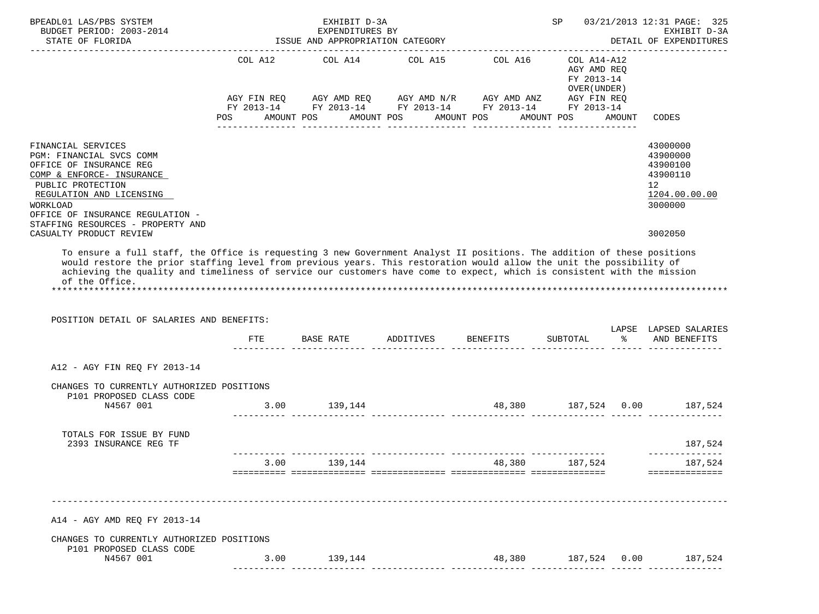| BPEADL01 LAS/PBS SYSTEM<br>BUDGET PERIOD: 2003-2014                                                                                                                                                     |                | EXHIBIT D-3A<br>EXPENDITURES BY  |                                                                                                                                                                                                                                                     | SP                                                                      |        | 03/21/2013 12:31 PAGE: 325<br>EXHIBIT D-3A                                                  |
|---------------------------------------------------------------------------------------------------------------------------------------------------------------------------------------------------------|----------------|----------------------------------|-----------------------------------------------------------------------------------------------------------------------------------------------------------------------------------------------------------------------------------------------------|-------------------------------------------------------------------------|--------|---------------------------------------------------------------------------------------------|
| STATE OF FLORIDA                                                                                                                                                                                        |                | ISSUE AND APPROPRIATION CATEGORY |                                                                                                                                                                                                                                                     |                                                                         |        | DETAIL OF EXPENDITURES                                                                      |
|                                                                                                                                                                                                         | POS AMOUNT POS |                                  | COL A12 COL A14 COL A15 COL A16<br>$AGY \text{ FIN REQ} \qquad \text{AGY AMD REQ} \qquad \text{AGY AMD N/R} \qquad \text{AGY AMD ANZ} \qquad \text{AGY FIN REQ}$<br>FY 2013-14 FY 2013-14 FY 2013-14 FY 2013-14 FY 2013-14<br>AMOUNT POS AMOUNT POS | COL A14-A12<br>AGY AMD REO<br>FY 2013-14<br>OVER (UNDER )<br>AMOUNT POS | AMOUNT | CODES                                                                                       |
| FINANCIAL SERVICES<br>PGM: FINANCIAL SVCS COMM<br>OFFICE OF INSURANCE REG<br>COMP & ENFORCE- INSURANCE<br>PUBLIC PROTECTION<br>REGULATION AND LICENSING<br>WORKLOAD<br>OFFICE OF INSURANCE REGULATION - |                |                                  |                                                                                                                                                                                                                                                     |                                                                         |        | 43000000<br>43900000<br>43900100<br>43900110<br>12 <sup>°</sup><br>1204.00.00.00<br>3000000 |
| STAFFING RESOURCES - PROPERTY AND<br>CASUALTY PRODUCT REVIEW                                                                                                                                            |                |                                  |                                                                                                                                                                                                                                                     |                                                                         |        | 3002050                                                                                     |
| of the Office.                                                                                                                                                                                          |                |                                  |                                                                                                                                                                                                                                                     |                                                                         |        |                                                                                             |
| POSITION DETAIL OF SALARIES AND BENEFITS:                                                                                                                                                               | FTE            |                                  | BASE RATE         ADDITIVES         BENEFITS         SUBTOTAL                   AND BENEFITS                                                                                                                                                        |                                                                         |        |                                                                                             |
|                                                                                                                                                                                                         |                |                                  |                                                                                                                                                                                                                                                     |                                                                         |        |                                                                                             |
| A12 - AGY FIN REQ FY 2013-14                                                                                                                                                                            |                |                                  |                                                                                                                                                                                                                                                     |                                                                         |        |                                                                                             |
| CHANGES TO CURRENTLY AUTHORIZED POSITIONS<br>P101 PROPOSED CLASS CODE<br>N4567 001                                                                                                                      |                |                                  | $3.00$ 139,144 $48,380$ 187,524 0.00 187,524 187,524                                                                                                                                                                                                |                                                                         |        |                                                                                             |
| TOTALS FOR ISSUE BY FUND<br>2393 INSURANCE REG TF                                                                                                                                                       |                |                                  |                                                                                                                                                                                                                                                     |                                                                         |        |                                                                                             |
|                                                                                                                                                                                                         |                | 3.00 139,144                     | 48,380 187,524 187,524                                                                                                                                                                                                                              |                                                                         |        |                                                                                             |
| A14 - AGY AMD REQ FY 2013-14                                                                                                                                                                            |                |                                  |                                                                                                                                                                                                                                                     |                                                                         |        |                                                                                             |
| CHANGES TO CURRENTLY AUTHORIZED POSITIONS                                                                                                                                                               |                |                                  |                                                                                                                                                                                                                                                     |                                                                         |        | LAPSE LAPSED SALARIES<br>187,524<br>______________<br>---------------                       |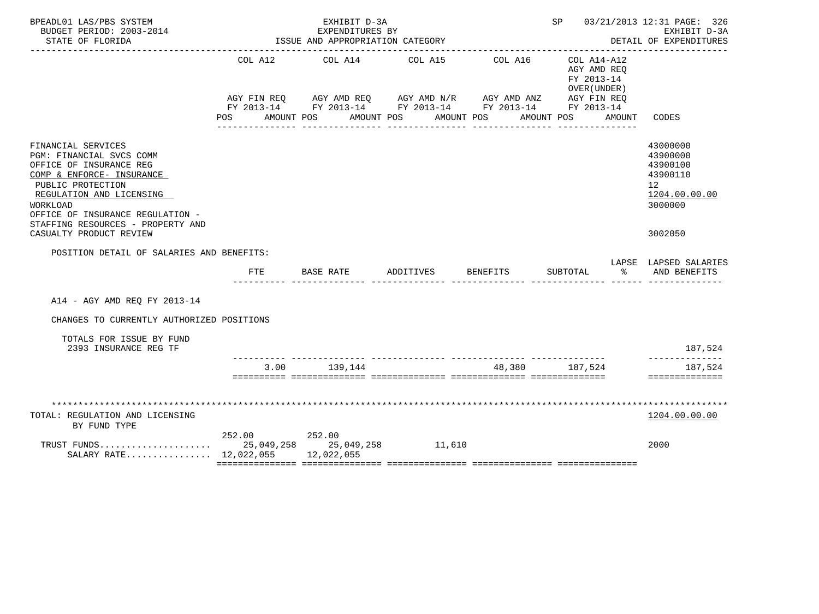| BPEADL01 LAS/PBS SYSTEM<br>BUDGET PERIOD: 2003-2014<br>STATE OF FLORIDA                                                                                                                                                                                                 |                    | EXHIBIT D-3A<br>EXPENDITURES BY<br>ISSUE AND APPROPRIATION CATEGORY                                                                            |                       |                       | SP 03/21/2013 12:31 PAGE: 326                                                    | EXHIBIT D-3A<br>DETAIL OF EXPENDITURES                                                                 |
|-------------------------------------------------------------------------------------------------------------------------------------------------------------------------------------------------------------------------------------------------------------------------|--------------------|------------------------------------------------------------------------------------------------------------------------------------------------|-----------------------|-----------------------|----------------------------------------------------------------------------------|--------------------------------------------------------------------------------------------------------|
|                                                                                                                                                                                                                                                                         | COL A12<br>POS FOR | COL A14<br>AGY FIN REQ AGY AMD REQ AGY AMD N/R AGY AMD ANZ AGY FIN REQ<br>FY 2013-14 FY 2013-14 FY 2013-14 FY 2013-14 FY 2013-14<br>AMOUNT POS | COL A15<br>AMOUNT POS | COL A16<br>AMOUNT POS | COL A14-A12<br>AGY AMD REQ<br>FY 2013-14<br>OVER (UNDER)<br>AMOUNT POS<br>AMOUNT | CODES                                                                                                  |
| FINANCIAL SERVICES<br>PGM: FINANCIAL SVCS COMM<br>OFFICE OF INSURANCE REG<br>COMP & ENFORCE- INSURANCE<br>PUBLIC PROTECTION<br>REGULATION AND LICENSING<br>WORKLOAD<br>OFFICE OF INSURANCE REGULATION -<br>STAFFING RESOURCES - PROPERTY AND<br>CASUALTY PRODUCT REVIEW |                    |                                                                                                                                                |                       |                       |                                                                                  | 43000000<br>43900000<br>43900100<br>43900110<br>12 <sup>°</sup><br>1204.00.00.00<br>3000000<br>3002050 |
| POSITION DETAIL OF SALARIES AND BENEFITS:                                                                                                                                                                                                                               |                    |                                                                                                                                                |                       |                       |                                                                                  |                                                                                                        |
|                                                                                                                                                                                                                                                                         | <b>FTE</b>         | BASE RATE                                                                                                                                      | ADDITIVES             | <b>BENEFITS</b>       | SUBTOTAL<br>ႜ                                                                    | LAPSE LAPSED SALARIES<br>AND BENEFITS                                                                  |
| A14 - AGY AMD REO FY 2013-14                                                                                                                                                                                                                                            |                    |                                                                                                                                                |                       |                       |                                                                                  |                                                                                                        |
| CHANGES TO CURRENTLY AUTHORIZED POSITIONS                                                                                                                                                                                                                               |                    |                                                                                                                                                |                       |                       |                                                                                  |                                                                                                        |
| TOTALS FOR ISSUE BY FUND<br>2393 INSURANCE REG TF                                                                                                                                                                                                                       |                    |                                                                                                                                                |                       |                       |                                                                                  | 187,524<br>--------------                                                                              |
|                                                                                                                                                                                                                                                                         |                    | 3.00 139.144                                                                                                                                   |                       | 48.380 187.524        |                                                                                  | 187,524<br>==============                                                                              |
|                                                                                                                                                                                                                                                                         |                    |                                                                                                                                                |                       |                       |                                                                                  |                                                                                                        |
| TOTAL: REGULATION AND LICENSING<br>BY FUND TYPE                                                                                                                                                                                                                         |                    |                                                                                                                                                |                       |                       |                                                                                  | 1204.00.00.00                                                                                          |
| SALARY RATE 12,022,055 12,022,055                                                                                                                                                                                                                                       | 252.00 252.00      |                                                                                                                                                |                       |                       |                                                                                  | 2000                                                                                                   |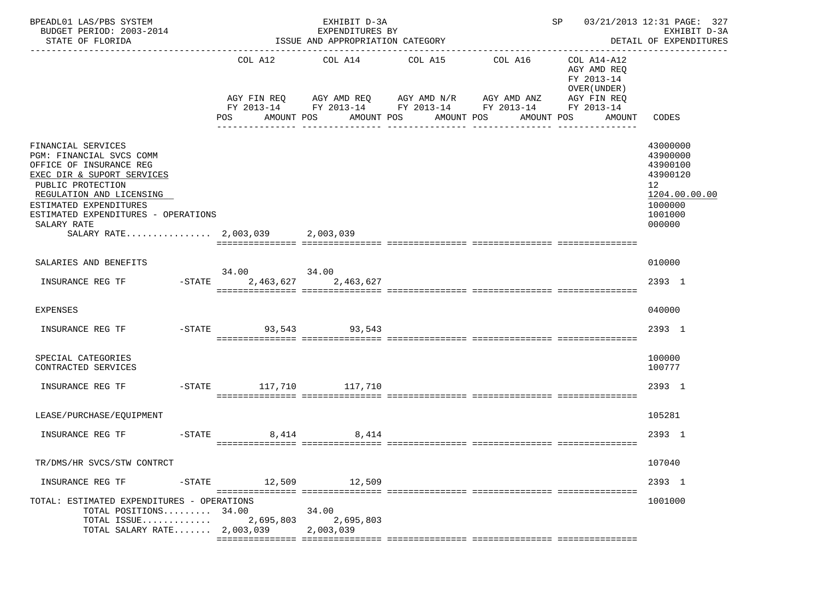| BPEADL01 LAS/PBS SYSTEM<br>BUDGET PERIOD: 2003-2014<br>STATE OF FLORIDA                                                                                                                                                                                                     |                             | EXHIBIT D-3A<br>EXPENDITURES BY<br>ISSUE AND APPROPRIATION CATEGORY |                                                                                                                                                                           |         | SP 03/21/2013 12:31 PAGE: 327                                                          | EXHIBIT D-3A<br>DETAIL OF EXPENDITURES                                                                           |
|-----------------------------------------------------------------------------------------------------------------------------------------------------------------------------------------------------------------------------------------------------------------------------|-----------------------------|---------------------------------------------------------------------|---------------------------------------------------------------------------------------------------------------------------------------------------------------------------|---------|----------------------------------------------------------------------------------------|------------------------------------------------------------------------------------------------------------------|
|                                                                                                                                                                                                                                                                             | POS AMOUNT POS              |                                                                     | COL A12 COL A14 COL A15<br>AGY FIN REQ AGY AMD REQ AGY AMD N/R AGY AMD ANZ AGY FIN REQ<br>FY 2013-14 FY 2013-14 FY 2013-14 FY 2013-14 FY 2013-14<br>AMOUNT POS AMOUNT POS | COL A16 | COL A14-A12<br>AGY AMD REO<br>FY 2013-14<br>OVER (UNDER)<br>AMOUNT CODES<br>AMOUNT POS |                                                                                                                  |
| FINANCIAL SERVICES<br>PGM: FINANCIAL SVCS COMM<br>OFFICE OF INSURANCE REG<br>EXEC DIR & SUPORT SERVICES<br>PUBLIC PROTECTION<br>REGULATION AND LICENSING<br>ESTIMATED EXPENDITURES<br>ESTIMATED EXPENDITURES - OPERATIONS<br>SALARY RATE<br>SALARY RATE 2,003,039 2,003,039 |                             |                                                                     |                                                                                                                                                                           |         |                                                                                        | 43000000<br>43900000<br>43900100<br>43900120<br>12 <sub>2</sub><br>1204.00.00.00<br>1000000<br>1001000<br>000000 |
| SALARIES AND BENEFITS                                                                                                                                                                                                                                                       | 34.00 34.00                 |                                                                     |                                                                                                                                                                           |         |                                                                                        | 010000                                                                                                           |
| INSURANCE REG TF - STATE 2,463,627 2,463,627                                                                                                                                                                                                                                |                             |                                                                     |                                                                                                                                                                           |         |                                                                                        | 2393 1                                                                                                           |
| <b>EXPENSES</b>                                                                                                                                                                                                                                                             |                             |                                                                     |                                                                                                                                                                           |         |                                                                                        | 040000                                                                                                           |
| INSURANCE REG TF                                                                                                                                                                                                                                                            | $-$ STATE $-$ 93,543 93,543 |                                                                     |                                                                                                                                                                           |         |                                                                                        | 2393 1                                                                                                           |
| SPECIAL CATEGORIES<br>CONTRACTED SERVICES                                                                                                                                                                                                                                   |                             |                                                                     |                                                                                                                                                                           |         |                                                                                        | 100000<br>100777                                                                                                 |
| INSURANCE REG TF                                                                                                                                                                                                                                                            | -STATE 117,710 117,710      |                                                                     |                                                                                                                                                                           |         |                                                                                        | 2393 1                                                                                                           |
| LEASE/PURCHASE/EQUIPMENT                                                                                                                                                                                                                                                    |                             |                                                                     |                                                                                                                                                                           |         |                                                                                        | 105281                                                                                                           |
| INSURANCE REG TF                                                                                                                                                                                                                                                            | $-STATE$                    | 8.414 8.414                                                         |                                                                                                                                                                           |         |                                                                                        | 2393 1                                                                                                           |
| TR/DMS/HR SVCS/STW CONTRCT                                                                                                                                                                                                                                                  |                             |                                                                     |                                                                                                                                                                           |         |                                                                                        | 107040                                                                                                           |
| INSURANCE REG TF<br>-STATE                                                                                                                                                                                                                                                  |                             | 12,509 12,509                                                       |                                                                                                                                                                           |         |                                                                                        | 2393 1                                                                                                           |
| TOTAL: ESTIMATED EXPENDITURES - OPERATIONS<br>TOTAL POSITIONS $34.00$<br>TOTAL ISSUE<br>TOTAL SALARY RATE $2,003,039$                                                                                                                                                       | 2,695,803                   | 34.00<br>2,695,803<br>2,003,039                                     |                                                                                                                                                                           |         |                                                                                        | 1001000                                                                                                          |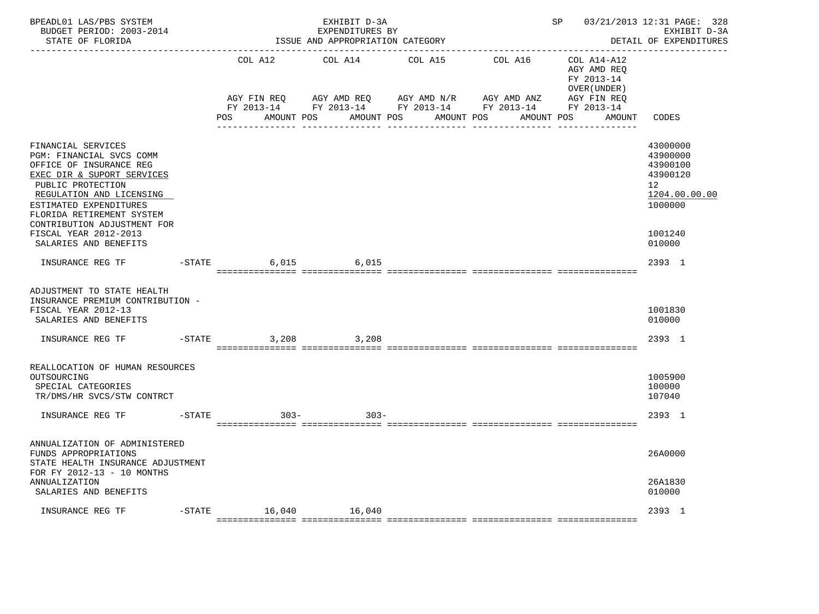| BPEADL01 LAS/PBS SYSTEM<br>BUDGET PERIOD: 2003-2014<br>STATE OF FLORIDA                                                                                                                                                                                                                          |           |                                                | EXHIBIT D-3A<br>EXPENDITURES BY<br>ISSUE AND APPROPRIATION CATEGORY |                                                    | ______________________________                                                                 | SP and the set of the set of the set of the set of the set of the set of the set of the set of the set of the s | 03/21/2013 12:31 PAGE: 328<br>EXHIBIT D-3A<br>DETAIL OF EXPENDITURES                                             |
|--------------------------------------------------------------------------------------------------------------------------------------------------------------------------------------------------------------------------------------------------------------------------------------------------|-----------|------------------------------------------------|---------------------------------------------------------------------|----------------------------------------------------|------------------------------------------------------------------------------------------------|-----------------------------------------------------------------------------------------------------------------|------------------------------------------------------------------------------------------------------------------|
|                                                                                                                                                                                                                                                                                                  |           | COL A12<br>AGY FIN REQ<br>POS DO<br>AMOUNT POS | COL A14<br>AGY AMD REQ                                              | COL A15<br>AGY AMD N/R<br>AMOUNT POS<br>AMOUNT POS | COL A16<br>AGY AMD ANZ<br>FY 2013-14 FY 2013-14 FY 2013-14 FY 2013-14 FY 2013-14<br>AMOUNT POS | COL A14-A12<br>AGY AMD REO<br>FY 2013-14<br>OVER (UNDER)<br>AGY FIN REO<br>AMOUNT                               | CODES                                                                                                            |
| FINANCIAL SERVICES<br>PGM: FINANCIAL SVCS COMM<br>OFFICE OF INSURANCE REG<br>EXEC DIR & SUPORT SERVICES<br>PUBLIC PROTECTION<br>REGULATION AND LICENSING<br>ESTIMATED EXPENDITURES<br>FLORIDA RETIREMENT SYSTEM<br>CONTRIBUTION ADJUSTMENT FOR<br>FISCAL YEAR 2012-2013<br>SALARIES AND BENEFITS |           |                                                |                                                                     |                                                    |                                                                                                |                                                                                                                 | 43000000<br>43900000<br>43900100<br>43900120<br>12 <sup>°</sup><br>1204.00.00.00<br>1000000<br>1001240<br>010000 |
| INSURANCE REG TF                                                                                                                                                                                                                                                                                 |           | $-$ STATE                                      | 6,015 6,015                                                         |                                                    |                                                                                                |                                                                                                                 | 2393 1                                                                                                           |
| ADJUSTMENT TO STATE HEALTH<br>INSURANCE PREMIUM CONTRIBUTION -<br>FISCAL YEAR 2012-13<br>SALARIES AND BENEFITS                                                                                                                                                                                   |           |                                                |                                                                     |                                                    |                                                                                                |                                                                                                                 | 1001830<br>010000                                                                                                |
| INSURANCE REG TF                                                                                                                                                                                                                                                                                 | $-$ STATE | 3,208                                          | 3,208                                                               |                                                    |                                                                                                |                                                                                                                 | 2393 1                                                                                                           |
| REALLOCATION OF HUMAN RESOURCES<br>OUTSOURCING<br>SPECIAL CATEGORIES<br>TR/DMS/HR SVCS/STW CONTRCT                                                                                                                                                                                               |           |                                                |                                                                     |                                                    |                                                                                                |                                                                                                                 | 1005900<br>100000<br>107040                                                                                      |
| INSURANCE REG TF                                                                                                                                                                                                                                                                                 |           | $-STATE$                                       | $303 -$<br>$303 -$                                                  |                                                    |                                                                                                |                                                                                                                 | 2393 1                                                                                                           |
| ANNUALIZATION OF ADMINISTERED<br>FUNDS APPROPRIATIONS<br>STATE HEALTH INSURANCE ADJUSTMENT<br>FOR FY 2012-13 - 10 MONTHS<br>ANNUALIZATION<br>SALARIES AND BENEFITS                                                                                                                               |           |                                                |                                                                     |                                                    |                                                                                                |                                                                                                                 | 26A0000<br>26A1830<br>010000                                                                                     |
| INSURANCE REG TF                                                                                                                                                                                                                                                                                 |           | -STATE 16,040 16,040                           |                                                                     |                                                    |                                                                                                |                                                                                                                 | 2393 1                                                                                                           |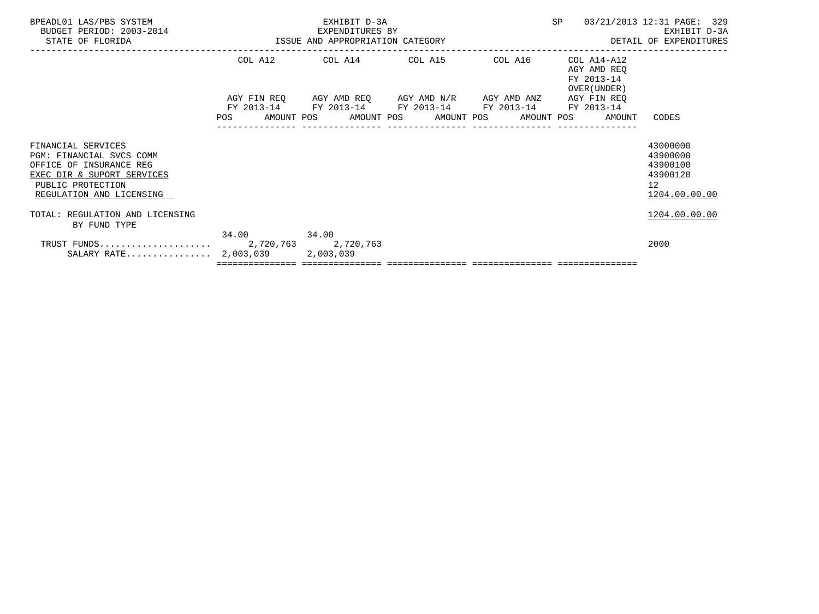|  |                                                | SP<br>03/21/2013 12:31 PAGE: 329<br>EXHIBIT D-3A<br>DETAIL OF EXPENDITURES |                                                                                                   |                                                                                                                                                                         |
|--|------------------------------------------------|----------------------------------------------------------------------------|---------------------------------------------------------------------------------------------------|-------------------------------------------------------------------------------------------------------------------------------------------------------------------------|
|  |                                                |                                                                            | AGY AMD REO<br>FY 2013-14<br>OVER (UNDER)                                                         |                                                                                                                                                                         |
|  |                                                |                                                                            | FY 2013-14<br>AMOUNT                                                                              | CODES                                                                                                                                                                   |
|  |                                                |                                                                            |                                                                                                   | 43000000<br>43900000<br>43900100<br>43900120<br>12<br>1204.00.00.00                                                                                                     |
|  |                                                |                                                                            |                                                                                                   | 1204.00.00.00                                                                                                                                                           |
|  |                                                |                                                                            |                                                                                                   | 2000                                                                                                                                                                    |
|  | 34.00 34.00<br>SALARY RATE 2,003,039 2,003,039 | EXHIBIT D-3A<br>EXPENDITURES BY                                            | -2014 EXPENDITURES BY<br>ISSUE AND APPROPRIATION CATEGORY<br>POS AMOUNT POS AMOUNT POS AMOUNT POS | COL A12 COL A14 COL A15 COL A16 COL A14-A12<br>AGY FIN REQ AGY AMD REQ AGY AMD N/R AGY AMD ANZ AGY FIN REQ<br>FY 2013-14 FY 2013-14 FY 2013-14 FY 2013-14<br>AMOUNT POS |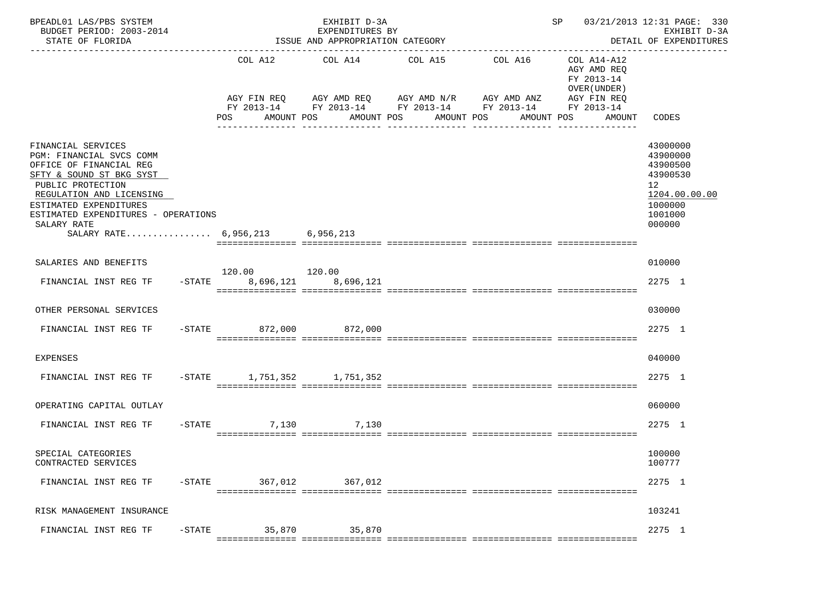| BPEADL01 LAS/PBS SYSTEM<br>BUDGET PERIOD: 2003-2014<br>STATE OF FLORIDA                                                                                                                                                                                                   |           |                              | EXHIBIT D-3A<br>EXPENDITURES BY<br>ISSUE AND APPROPRIATION CATEGORY<br>_________________________________ |                                     |                                                                      | SP                                                                                              | 03/21/2013 12:31 PAGE: 330<br>EXHIBIT D-3A<br>DETAIL OF EXPENDITURES<br>-------------               |
|---------------------------------------------------------------------------------------------------------------------------------------------------------------------------------------------------------------------------------------------------------------------------|-----------|------------------------------|----------------------------------------------------------------------------------------------------------|-------------------------------------|----------------------------------------------------------------------|-------------------------------------------------------------------------------------------------|-----------------------------------------------------------------------------------------------------|
|                                                                                                                                                                                                                                                                           |           | COL A12<br>POS<br>AMOUNT POS | COL A14<br>AGY FIN REQ AGY AMD REQ AGY AMD N/R AGY AMD ANZ                                               | COL A15<br>AMOUNT POS<br>AMOUNT POS | COL A16<br>FY 2013-14 FY 2013-14 FY 2013-14 FY 2013-14<br>AMOUNT POS | COL A14-A12<br>AGY AMD REQ<br>FY 2013-14<br>OVER (UNDER)<br>AGY FIN REQ<br>FY 2013-14<br>AMOUNT | CODES                                                                                               |
| FINANCIAL SERVICES<br>PGM: FINANCIAL SVCS COMM<br>OFFICE OF FINANCIAL REG<br>SFTY & SOUND ST BKG SYST<br>PUBLIC PROTECTION<br>REGULATION AND LICENSING<br>ESTIMATED EXPENDITURES<br>ESTIMATED EXPENDITURES - OPERATIONS<br>SALARY RATE<br>SALARY RATE 6,956,213 6,956,213 |           |                              |                                                                                                          |                                     |                                                                      |                                                                                                 | 43000000<br>43900000<br>43900500<br>43900530<br>12<br>1204.00.00.00<br>1000000<br>1001000<br>000000 |
| SALARIES AND BENEFITS<br>FINANCIAL INST REG TF                                                                                                                                                                                                                            | $-$ STATE | 8,696,121                    | 8,696,121                                                                                                |                                     |                                                                      |                                                                                                 | 010000<br>2275 1                                                                                    |
| OTHER PERSONAL SERVICES                                                                                                                                                                                                                                                   |           |                              |                                                                                                          |                                     |                                                                      |                                                                                                 | 030000                                                                                              |
| FINANCIAL INST REG TF -STATE 872,000 872,000                                                                                                                                                                                                                              |           |                              |                                                                                                          |                                     |                                                                      |                                                                                                 | 2275 1                                                                                              |
| EXPENSES                                                                                                                                                                                                                                                                  |           |                              |                                                                                                          |                                     |                                                                      |                                                                                                 | 040000                                                                                              |
| FINANCIAL INST REG TF                                                                                                                                                                                                                                                     |           | -STATE 1,751,352 1,751,352   |                                                                                                          |                                     |                                                                      |                                                                                                 | 2275 1                                                                                              |
| OPERATING CAPITAL OUTLAY                                                                                                                                                                                                                                                  |           |                              |                                                                                                          |                                     |                                                                      |                                                                                                 | 060000                                                                                              |
| FINANCIAL INST REG TF                                                                                                                                                                                                                                                     |           | $-$ STATE                    | 7,130<br>7,130                                                                                           |                                     |                                                                      |                                                                                                 | 2275 1                                                                                              |
| SPECIAL CATEGORIES<br>CONTRACTED SERVICES                                                                                                                                                                                                                                 |           |                              |                                                                                                          |                                     |                                                                      |                                                                                                 | 100000<br>100777                                                                                    |
| FINANCIAL INST REG TF                                                                                                                                                                                                                                                     | $-$ STATE | 367,012                      | 367,012                                                                                                  |                                     |                                                                      |                                                                                                 | 2275 1                                                                                              |
| RISK MANAGEMENT INSURANCE                                                                                                                                                                                                                                                 |           |                              |                                                                                                          |                                     |                                                                      |                                                                                                 | 103241                                                                                              |
| FINANCIAL INST REG TF                                                                                                                                                                                                                                                     | $-$ STATE | 35,870                       | 35,870                                                                                                   |                                     |                                                                      |                                                                                                 | 2275 1                                                                                              |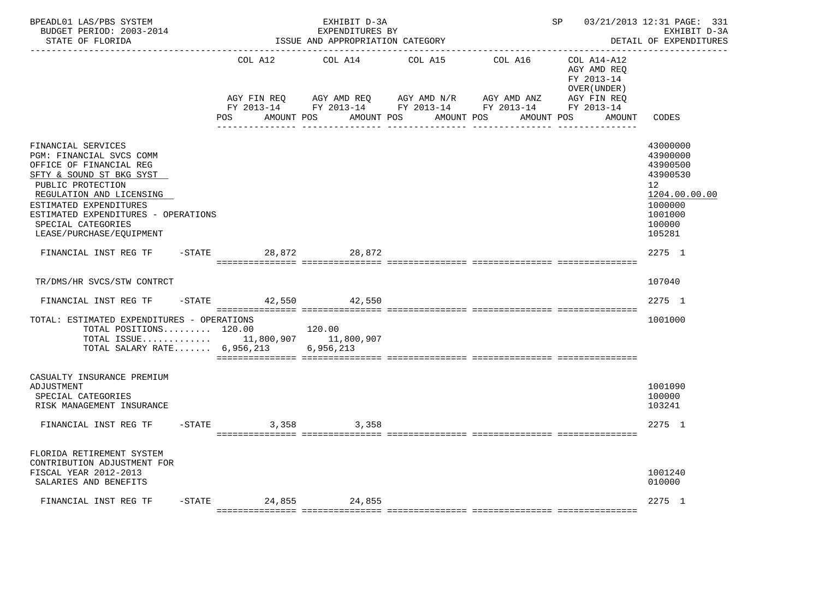| BPEADL01 LAS/PBS SYSTEM<br>BUDGET PERIOD: 2003-2014<br>STATE OF FLORIDA                                                                                                                                                                                                   |                                  | EXHIBIT D-3A<br>EXPENDITURES BY<br>ISSUE AND APPROPRIATION CATEGORY |                                                                                                         | ______________________________ | SP                                                       | 03/21/2013 12:31 PAGE: 331<br>EXHIBIT D-3A<br>DETAIL OF EXPENDITURES                                          |
|---------------------------------------------------------------------------------------------------------------------------------------------------------------------------------------------------------------------------------------------------------------------------|----------------------------------|---------------------------------------------------------------------|---------------------------------------------------------------------------------------------------------|--------------------------------|----------------------------------------------------------|---------------------------------------------------------------------------------------------------------------|
|                                                                                                                                                                                                                                                                           | COL A12                          | COL A14                                                             | COL A15                                                                                                 | COL A16                        | COL A14-A12<br>AGY AMD REQ<br>FY 2013-14<br>OVER (UNDER) |                                                                                                               |
|                                                                                                                                                                                                                                                                           | AGY FIN REQ<br>POS<br>AMOUNT POS | AGY AMD REQ AGY AMD N/R                                             | FY 2013-14 FY 2013-14 FY 2013-14 FY 2013-14 FY 2013-14<br>AMOUNT POS<br>AMOUNT POS<br>in indianalisessä | AGY AMD ANZ<br>AMOUNT POS      | AGY FIN REQ<br>AMOUNT                                    | CODES                                                                                                         |
| FINANCIAL SERVICES<br>PGM: FINANCIAL SVCS COMM<br>OFFICE OF FINANCIAL REG<br>SFTY & SOUND ST BKG SYST<br>PUBLIC PROTECTION<br>REGULATION AND LICENSING<br>ESTIMATED EXPENDITURES<br>ESTIMATED EXPENDITURES - OPERATIONS<br>SPECIAL CATEGORIES<br>LEASE/PURCHASE/EQUIPMENT |                                  |                                                                     |                                                                                                         |                                |                                                          | 43000000<br>43900000<br>43900500<br>43900530<br>12<br>1204.00.00.00<br>1000000<br>1001000<br>100000<br>105281 |
| FINANCIAL INST REG TF                                                                                                                                                                                                                                                     | -STATE 28,872 28,872             |                                                                     |                                                                                                         |                                |                                                          | 2275 1                                                                                                        |
| TR/DMS/HR SVCS/STW CONTRCT                                                                                                                                                                                                                                                |                                  |                                                                     |                                                                                                         |                                |                                                          | 107040                                                                                                        |
| $-$ STATE<br>FINANCIAL INST REG TF                                                                                                                                                                                                                                        | 42,550 42,550                    |                                                                     |                                                                                                         |                                |                                                          | 2275 1                                                                                                        |
| TOTAL: ESTIMATED EXPENDITURES - OPERATIONS<br>TOTAL POSITIONS 120.00<br>TOTAL ISSUE 11,800,907 11,800,907<br>TOTAL SALARY RATE $6,956,213$                                                                                                                                |                                  | 120.00<br>6,956,213                                                 |                                                                                                         |                                |                                                          | 1001000                                                                                                       |
| CASUALTY INSURANCE PREMIUM<br>ADJUSTMENT<br>SPECIAL CATEGORIES<br>RISK MANAGEMENT INSURANCE                                                                                                                                                                               |                                  |                                                                     |                                                                                                         |                                |                                                          | 1001090<br>100000<br>103241                                                                                   |
| FINANCIAL INST REG TF                                                                                                                                                                                                                                                     | $-STATE$<br>3,358                | 3,358                                                               |                                                                                                         |                                |                                                          | 2275 1                                                                                                        |
| FLORIDA RETIREMENT SYSTEM<br>CONTRIBUTION ADJUSTMENT FOR<br>FISCAL YEAR 2012-2013<br>SALARIES AND BENEFITS                                                                                                                                                                |                                  |                                                                     |                                                                                                         |                                |                                                          | 1001240<br>010000                                                                                             |
| FINANCIAL INST REG TF                                                                                                                                                                                                                                                     | $-$ STATE 24,855 24,855          |                                                                     |                                                                                                         |                                |                                                          | 2275 1                                                                                                        |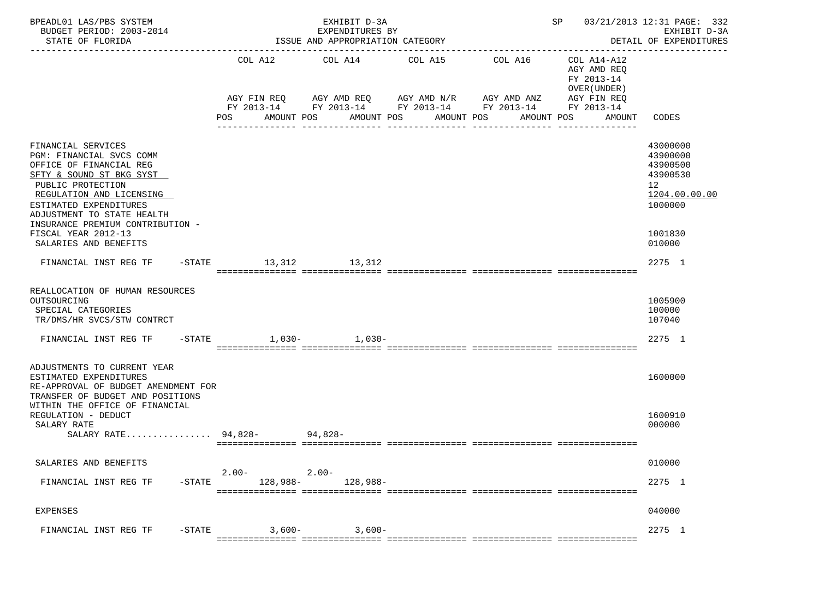| BPEADL01 LAS/PBS SYSTEM<br>BUDGET PERIOD: 2003-2014<br>STATE OF FLORIDA                                                                                                                                                                                                                            |                      | EXHIBIT D-3A<br>EXPENDITURES BY<br>ISSUE AND APPROPRIATION CATEGORY |                                          |                                                                                                                                                                                                            | SP 03/21/2013 12:31 PAGE: 332<br>EXHIBIT D-3A<br>DETAIL OF EXPENDITURES                             |
|----------------------------------------------------------------------------------------------------------------------------------------------------------------------------------------------------------------------------------------------------------------------------------------------------|----------------------|---------------------------------------------------------------------|------------------------------------------|------------------------------------------------------------------------------------------------------------------------------------------------------------------------------------------------------------|-----------------------------------------------------------------------------------------------------|
|                                                                                                                                                                                                                                                                                                    | POS                  | COL A12 COL A14 COL A15<br>AMOUNT POS                               | AMOUNT POS AMOUNT POS<br>--------------- | COL A16<br>COL A14-A12<br>AGY AMD REQ<br>FY 2013-14<br>OVER (UNDER)<br>AGY FIN REQ AGY AMD REQ AGY AMD N/R AGY AMD ANZ AGY FIN REQ<br>FY 2013-14 FY 2013-14 FY 2013-14 FY 2013-14 FY 2013-14<br>AMOUNT POS | AMOUNT CODES                                                                                        |
| FINANCIAL SERVICES<br>PGM: FINANCIAL SVCS COMM<br>OFFICE OF FINANCIAL REG<br>SFTY & SOUND ST BKG SYST<br>PUBLIC PROTECTION<br>REGULATION AND LICENSING<br>ESTIMATED EXPENDITURES<br>ADJUSTMENT TO STATE HEALTH<br>INSURANCE PREMIUM CONTRIBUTION -<br>FISCAL YEAR 2012-13<br>SALARIES AND BENEFITS |                      |                                                                     |                                          |                                                                                                                                                                                                            | 43000000<br>43900000<br>43900500<br>43900530<br>12<br>1204.00.00.00<br>1000000<br>1001830<br>010000 |
| FINANCIAL INST REG TF -STATE 13,312 13,312                                                                                                                                                                                                                                                         |                      |                                                                     |                                          |                                                                                                                                                                                                            | 2275 1                                                                                              |
| REALLOCATION OF HUMAN RESOURCES<br>OUTSOURCING<br>SPECIAL CATEGORIES<br>TR/DMS/HR SVCS/STW CONTRCT<br>FINANCIAL INST REG TF -STATE 1,030- 1,030-                                                                                                                                                   |                      |                                                                     |                                          |                                                                                                                                                                                                            | 1005900<br>100000<br>107040<br>2275 1                                                               |
| ADJUSTMENTS TO CURRENT YEAR<br>ESTIMATED EXPENDITURES<br>RE-APPROVAL OF BUDGET AMENDMENT FOR<br>TRANSFER OF BUDGET AND POSITIONS<br>WITHIN THE OFFICE OF FINANCIAL                                                                                                                                 |                      |                                                                     |                                          |                                                                                                                                                                                                            | 1600000                                                                                             |
| REGULATION - DEDUCT<br>SALARY RATE<br>SALARY RATE 94,828- 94,828-                                                                                                                                                                                                                                  |                      |                                                                     |                                          |                                                                                                                                                                                                            | 1600910<br>000000                                                                                   |
| SALARIES AND BENEFITS                                                                                                                                                                                                                                                                              |                      |                                                                     |                                          |                                                                                                                                                                                                            | 010000                                                                                              |
| FINANCIAL INST REG TF<br>$-$ STATE                                                                                                                                                                                                                                                                 | $2.00 -$<br>128,988- | $2.00 -$<br>128,988-                                                |                                          |                                                                                                                                                                                                            | 2275 1                                                                                              |
| EXPENSES                                                                                                                                                                                                                                                                                           |                      |                                                                     |                                          |                                                                                                                                                                                                            | 040000                                                                                              |
| FINANCIAL INST REG TF<br>$-$ STATE                                                                                                                                                                                                                                                                 | $3,600-$             | $3,600-$                                                            |                                          |                                                                                                                                                                                                            | 2275 1                                                                                              |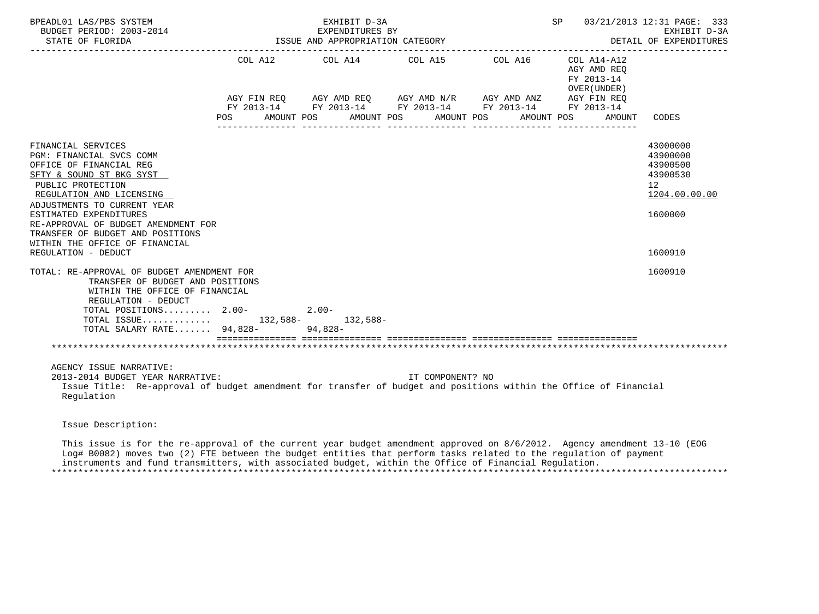| BPEADL01 LAS/PBS SYSTEM<br>BUDGET PERIOD: 2003-2014<br>STATE OF FLORIDA                                                                                                                                                                                          |                          | EXHIBIT D-3A<br>EXPENDITURES BY<br>ISSUE AND APPROPRIATION CATEGORY |                          | SP 03/21/2013 12:31 PAGE: 333                                     | EXHIBIT D-3A<br>DETAIL OF EXPENDITURES                                           |
|------------------------------------------------------------------------------------------------------------------------------------------------------------------------------------------------------------------------------------------------------------------|--------------------------|---------------------------------------------------------------------|--------------------------|-------------------------------------------------------------------|----------------------------------------------------------------------------------|
|                                                                                                                                                                                                                                                                  | AMOUNT POS<br><b>POS</b> | COL A12 COL A14 COL A15 COL A16 COL A14-A12                         | AMOUNT POS<br>AMOUNT POS | AGY AMD REO<br>FY 2013-14<br>OVER (UNDER)<br>AMOUNT POS<br>AMOUNT | CODES                                                                            |
| FINANCIAL SERVICES<br>PGM: FINANCIAL SVCS COMM<br>OFFICE OF FINANCIAL REG<br>SFTY & SOUND ST BKG SYST<br>PUBLIC PROTECTION<br>REGULATION AND LICENSING                                                                                                           |                          |                                                                     |                          |                                                                   | 43000000<br>43900000<br>43900500<br>43900530<br>12 <sup>°</sup><br>1204.00.00.00 |
| ADJUSTMENTS TO CURRENT YEAR<br>ESTIMATED EXPENDITURES<br>RE-APPROVAL OF BUDGET AMENDMENT FOR<br>TRANSFER OF BUDGET AND POSITIONS<br>WITHIN THE OFFICE OF FINANCIAL                                                                                               |                          |                                                                     |                          |                                                                   | 1600000                                                                          |
| REGULATION - DEDUCT<br>TOTAL: RE-APPROVAL OF BUDGET AMENDMENT FOR<br>TRANSFER OF BUDGET AND POSITIONS<br>WITHIN THE OFFICE OF FINANCIAL<br>REGULATION - DEDUCT<br>TOTAL POSITIONS 2.00-<br>TOTAL ISSUE 132,588- 132,588-<br>TOTAL SALARY RATE 94,828-<br>94,828- |                          | $2.00-$                                                             |                          |                                                                   | 1600910<br>1600910                                                               |
| AGENCY ISSUE NARRATIVE:<br>2013-2014 BUDGET YEAR NARRATIVE:<br>Issue Title: Re-approval of budget amendment for transfer of budget and positions within the Office of Financial<br>Regulation                                                                    |                          |                                                                     | IT COMPONENT? NO         |                                                                   |                                                                                  |
| Issue Description:                                                                                                                                                                                                                                               |                          |                                                                     |                          |                                                                   |                                                                                  |
| This issue is for the re-approval of the current year budget amendment approved on 8/6/2012. Agency amendment 13-10 (EOG                                                                                                                                         |                          |                                                                     |                          |                                                                   |                                                                                  |

 Log# B0082) moves two (2) FTE between the budget entities that perform tasks related to the regulation of payment instruments and fund transmitters, with associated budget, within the Office of Financial Regulation.

\*\*\*\*\*\*\*\*\*\*\*\*\*\*\*\*\*\*\*\*\*\*\*\*\*\*\*\*\*\*\*\*\*\*\*\*\*\*\*\*\*\*\*\*\*\*\*\*\*\*\*\*\*\*\*\*\*\*\*\*\*\*\*\*\*\*\*\*\*\*\*\*\*\*\*\*\*\*\*\*\*\*\*\*\*\*\*\*\*\*\*\*\*\*\*\*\*\*\*\*\*\*\*\*\*\*\*\*\*\*\*\*\*\*\*\*\*\*\*\*\*\*\*\*\*\*\*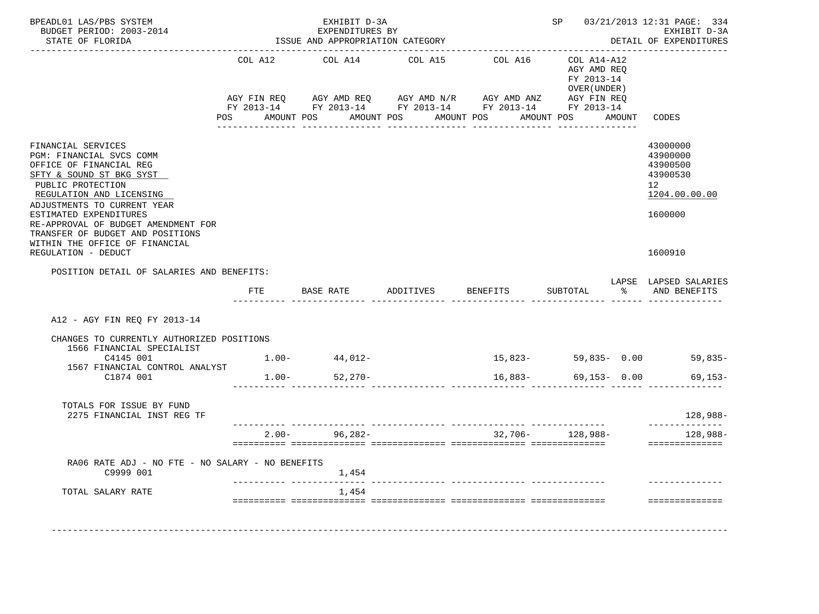| BPEADL01 LAS/PBS SYSTEM<br>BUDGET PERIOD: 2003-2014<br>STATE OF FLORIDA                                                                                                                                                                                                                                                      |                | EXHIBIT D-3A<br>EXPENDITURES BY<br>ISSUE AND APPROPRIATION CATEGORY |                                                                                                                                                | ---------------------------------               |                                             |        | SP 03/21/2013 12:31 PAGE: 334<br>EXHIBIT D-3A<br>DETAIL OF EXPENDITURES        |
|------------------------------------------------------------------------------------------------------------------------------------------------------------------------------------------------------------------------------------------------------------------------------------------------------------------------------|----------------|---------------------------------------------------------------------|------------------------------------------------------------------------------------------------------------------------------------------------|-------------------------------------------------|---------------------------------------------|--------|--------------------------------------------------------------------------------|
|                                                                                                                                                                                                                                                                                                                              | COL A12<br>POS | COL A14<br>AMOUNT POS                                               | COL A15<br>AGY FIN REQ AGY AMD REQ AGY AMD N/R AGY AMD ANZ AGY FIN REQ<br>FY 2013-14 FY 2013-14 FY 2013-14 FY 2013-14 FY 2013-14<br>AMOUNT POS | COL A16 COL A14-A12<br>AMOUNT POS<br>AMOUNT POS | AGY AMD REO<br>FY 2013-14<br>OVER ( UNDER ) | AMOUNT | CODES                                                                          |
| FINANCIAL SERVICES<br>PGM: FINANCIAL SVCS COMM<br>OFFICE OF FINANCIAL REG<br>SFTY & SOUND ST BKG SYST<br>PUBLIC PROTECTION<br>REGULATION AND LICENSING<br>ADJUSTMENTS TO CURRENT YEAR<br>ESTIMATED EXPENDITURES<br>RE-APPROVAL OF BUDGET AMENDMENT FOR<br>TRANSFER OF BUDGET AND POSITIONS<br>WITHIN THE OFFICE OF FINANCIAL |                |                                                                     |                                                                                                                                                |                                                 |                                             |        | 43000000<br>43900000<br>43900500<br>43900530<br>12<br>1204.00.00.00<br>1600000 |
| REGULATION - DEDUCT<br>POSITION DETAIL OF SALARIES AND BENEFITS:                                                                                                                                                                                                                                                             |                |                                                                     |                                                                                                                                                |                                                 |                                             |        | 1600910                                                                        |
|                                                                                                                                                                                                                                                                                                                              |                |                                                                     | FTE BASE RATE ADDITIVES BENEFITS SUBTOTAL $\frac{1}{2}$ and BENEFITS                                                                           |                                                 |                                             |        | LAPSE LAPSED SALARIES                                                          |
| A12 - AGY FIN REQ FY 2013-14                                                                                                                                                                                                                                                                                                 |                |                                                                     |                                                                                                                                                |                                                 |                                             |        |                                                                                |
| CHANGES TO CURRENTLY AUTHORIZED POSITIONS                                                                                                                                                                                                                                                                                    |                |                                                                     |                                                                                                                                                |                                                 |                                             |        |                                                                                |
| 1566 FINANCIAL SPECIALIST<br>C4145 001                                                                                                                                                                                                                                                                                       |                | $1.00 - 44,012 -$                                                   |                                                                                                                                                | $15,823-59,835-0.00$ 59,835-                    |                                             |        |                                                                                |
| 1567 FINANCIAL CONTROL ANALYST<br>C1874 001                                                                                                                                                                                                                                                                                  |                | $1.00 - 52,270 -$                                                   |                                                                                                                                                | $16,883-$ 69,153- 0.00                          |                                             |        | $69, 153 -$                                                                    |
| TOTALS FOR ISSUE BY FUND<br>2275 FINANCIAL INST REG TF                                                                                                                                                                                                                                                                       |                |                                                                     |                                                                                                                                                |                                                 |                                             |        | 128,988-                                                                       |
|                                                                                                                                                                                                                                                                                                                              |                | $2.00 - 96,282 -$                                                   |                                                                                                                                                | 32,706- 128,988-                                |                                             |        | --------------<br>128,988-                                                     |
| RA06 RATE ADJ - NO FTE - NO SALARY - NO BENEFITS<br>C9999 001                                                                                                                                                                                                                                                                |                | 1,454                                                               |                                                                                                                                                |                                                 |                                             |        |                                                                                |
| TOTAL SALARY RATE                                                                                                                                                                                                                                                                                                            |                | 1,454                                                               |                                                                                                                                                |                                                 |                                             |        |                                                                                |
|                                                                                                                                                                                                                                                                                                                              |                |                                                                     |                                                                                                                                                |                                                 |                                             |        |                                                                                |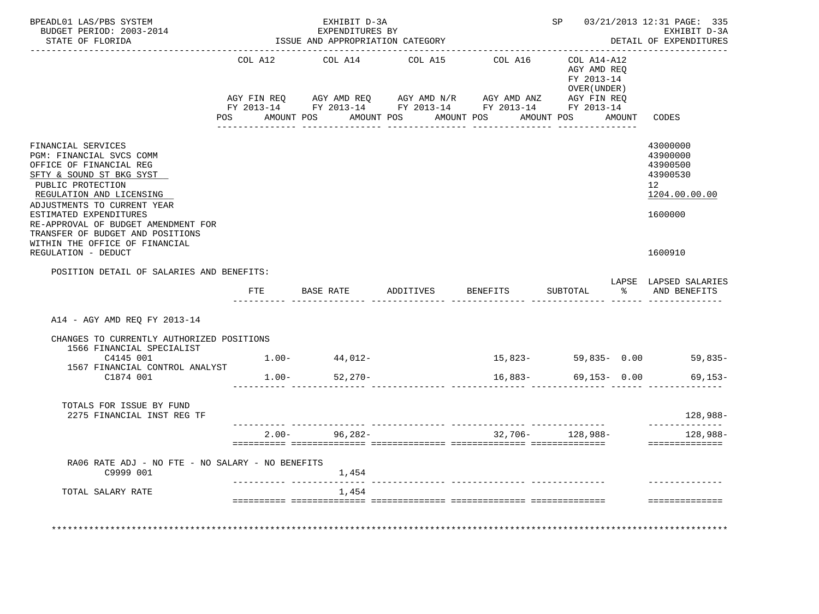| BPEADL01 LAS/PBS SYSTEM<br>BUDGET PERIOD: 2003-2014<br>STATE OF FLORIDA                                                                                                                                                                                                                    |                | EXHIBIT D-3A<br>EXPENDITURES BY<br>ISSUE AND APPROPRIATION CATEGORY |            | --------------------------------                                                                             |                                             | SP 03/21/2013 12:31 PAGE: 335<br>EXHIBIT D-3A<br>DETAIL OF EXPENDITURES        |
|--------------------------------------------------------------------------------------------------------------------------------------------------------------------------------------------------------------------------------------------------------------------------------------------|----------------|---------------------------------------------------------------------|------------|--------------------------------------------------------------------------------------------------------------|---------------------------------------------|--------------------------------------------------------------------------------|
|                                                                                                                                                                                                                                                                                            |                | COL A12 COL A14                                                     |            | COL A15 COL A16 COL A14-A12                                                                                  | AGY AMD REO<br>FY 2013-14<br>OVER ( UNDER ) |                                                                                |
|                                                                                                                                                                                                                                                                                            | POS AMOUNT POS |                                                                     | AMOUNT POS | AMOUNT POS                                                                                                   | AMOUNT POS                                  | AMOUNT CODES                                                                   |
| FINANCIAL SERVICES<br>PGM: FINANCIAL SVCS COMM<br>OFFICE OF FINANCIAL REG<br>SFTY & SOUND ST BKG SYST<br>PUBLIC PROTECTION<br>REGULATION AND LICENSING<br>ADJUSTMENTS TO CURRENT YEAR<br>ESTIMATED EXPENDITURES<br>RE-APPROVAL OF BUDGET AMENDMENT FOR<br>TRANSFER OF BUDGET AND POSITIONS |                |                                                                     |            |                                                                                                              |                                             | 43000000<br>43900000<br>43900500<br>43900530<br>12<br>1204.00.00.00<br>1600000 |
| WITHIN THE OFFICE OF FINANCIAL<br>REGULATION - DEDUCT                                                                                                                                                                                                                                      |                |                                                                     |            |                                                                                                              |                                             | 1600910                                                                        |
| POSITION DETAIL OF SALARIES AND BENEFITS:                                                                                                                                                                                                                                                  |                |                                                                     |            |                                                                                                              |                                             |                                                                                |
|                                                                                                                                                                                                                                                                                            | FTE            |                                                                     |            | BASE RATE            ADDITIVES           BENEFITS            SUBTOTAL                          AND  BENEFITS |                                             | LAPSE LAPSED SALARIES                                                          |
| A14 - AGY AMD REO FY 2013-14                                                                                                                                                                                                                                                               |                |                                                                     |            |                                                                                                              |                                             |                                                                                |
| CHANGES TO CURRENTLY AUTHORIZED POSITIONS<br>1566 FINANCIAL SPECIALIST                                                                                                                                                                                                                     |                |                                                                     |            |                                                                                                              |                                             |                                                                                |
| C4145 001                                                                                                                                                                                                                                                                                  |                | $1.00 - 44,012 -$                                                   |            | $15,823-59,835-0.00$ 59,835-                                                                                 |                                             |                                                                                |
| 1567 FINANCIAL CONTROL ANALYST<br>C1874 001                                                                                                                                                                                                                                                |                | $1.00 - 52,270 -$                                                   |            | $16,883-$ 69,153- 0.00                                                                                       |                                             | 69,153-                                                                        |
| TOTALS FOR ISSUE BY FUND<br>2275 FINANCIAL INST REG TF                                                                                                                                                                                                                                     |                |                                                                     |            |                                                                                                              |                                             | 128,988-                                                                       |
|                                                                                                                                                                                                                                                                                            |                | $2.00 - 96,282 -$                                                   |            |                                                                                                              | $32.706 - 128.988 -$                        | ______________<br>128,988-<br>==============                                   |
| RA06 RATE ADJ - NO FTE - NO SALARY - NO BENEFITS                                                                                                                                                                                                                                           |                |                                                                     |            |                                                                                                              |                                             |                                                                                |
| C9999 001                                                                                                                                                                                                                                                                                  |                | 1,454                                                               |            |                                                                                                              |                                             |                                                                                |
| TOTAL SALARY RATE                                                                                                                                                                                                                                                                          |                | 1,454                                                               |            |                                                                                                              |                                             |                                                                                |
|                                                                                                                                                                                                                                                                                            |                |                                                                     |            |                                                                                                              |                                             | ---------------                                                                |
|                                                                                                                                                                                                                                                                                            |                |                                                                     |            |                                                                                                              |                                             |                                                                                |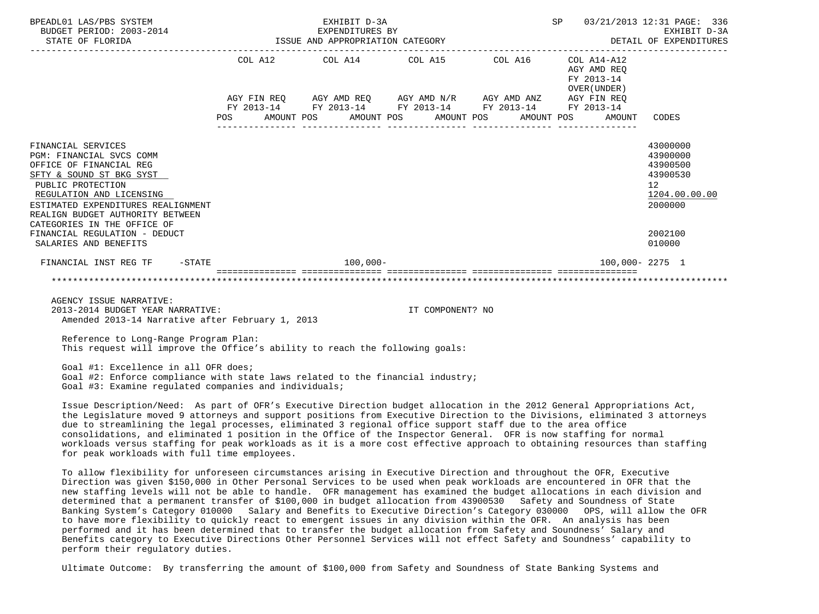| BPEADL01 LAS/PBS SYSTEM<br>BUDGET PERIOD: 2003-2014                                                                                                                                                                                                                                                                                                                                                                                                                                                                                                                                                                                                                |            | EXHIBIT D-3A<br>EXPENDITURES BY |                                                                                                                                                                                                                                                                                                                                                                                                                                                    | SP                                                                           | 03/21/2013 12:31 PAGE: 336<br>EXHIBIT D-3A<br>DETAIL OF EXPENDITURES                                             |
|--------------------------------------------------------------------------------------------------------------------------------------------------------------------------------------------------------------------------------------------------------------------------------------------------------------------------------------------------------------------------------------------------------------------------------------------------------------------------------------------------------------------------------------------------------------------------------------------------------------------------------------------------------------------|------------|---------------------------------|----------------------------------------------------------------------------------------------------------------------------------------------------------------------------------------------------------------------------------------------------------------------------------------------------------------------------------------------------------------------------------------------------------------------------------------------------|------------------------------------------------------------------------------|------------------------------------------------------------------------------------------------------------------|
|                                                                                                                                                                                                                                                                                                                                                                                                                                                                                                                                                                                                                                                                    | <b>POS</b> | AMOUNT POS                      | $\begin{tabular}{lllllllllll} \multicolumn{2}{l}{{\text{COL}}}\  \, \texttt{A12}\qquad \qquad &\multicolumn{2}{l}{\text{COL}}\  \, \texttt{A15}\qquad \qquad &\multicolumn{2}{l}{\text{COL}}\  \, \texttt{A16}\qquad \qquad &\multicolumn{2}{l}{\text{COL}}\  \, \texttt{A14-A12} \end{tabular}$<br>AGY FIN REQ AGY AMD REQ AGY AMD N/R AGY AMD ANZ AGY FIN REQ<br>FY 2013-14 FY 2013-14 FY 2013-14 FY 2013-14 FY 2013-14<br>AMOUNT POS AMOUNT POS | AGY AMD REO<br>FY 2013-14<br>OVER(UNDER)<br>OVER (UNDER )<br>AMOUNT POS      | AMOUNT CODES                                                                                                     |
| FINANCIAL SERVICES<br>PGM: FINANCIAL SVCS COMM<br>OFFICE OF FINANCIAL REG<br>SFTY & SOUND ST BKG SYST<br>PUBLIC PROTECTION<br>REGULATION AND LICENSING<br>ESTIMATED EXPENDITURES REALIGNMENT<br>REALIGN BUDGET AUTHORITY BETWEEN<br>CATEGORIES IN THE OFFICE OF<br>FINANCIAL REGULATION - DEDUCT<br>SALARIES AND BENEFITS                                                                                                                                                                                                                                                                                                                                          |            |                                 |                                                                                                                                                                                                                                                                                                                                                                                                                                                    |                                                                              | 43000000<br>43900000<br>43900500<br>43900530<br>12 <sup>1</sup><br>1204.00.00.00<br>2000000<br>2002100<br>010000 |
| FINANCIAL INST REG TF -STATE 400,000-                                                                                                                                                                                                                                                                                                                                                                                                                                                                                                                                                                                                                              |            |                                 |                                                                                                                                                                                                                                                                                                                                                                                                                                                    | 100,000-2275 1                                                               |                                                                                                                  |
|                                                                                                                                                                                                                                                                                                                                                                                                                                                                                                                                                                                                                                                                    |            |                                 |                                                                                                                                                                                                                                                                                                                                                                                                                                                    | <u> socoocoocooc acoocoocoocoo acoocoocoocoo acoocoocoocoo acoocoocoocoo</u> |                                                                                                                  |
| AGENCY ISSUE NARRATIVE:<br>2013-2014 BUDGET YEAR NARRATIVE:<br>Amended 2013-14 Narrative after February 1, 2013                                                                                                                                                                                                                                                                                                                                                                                                                                                                                                                                                    |            |                                 | IT COMPONENT? NO                                                                                                                                                                                                                                                                                                                                                                                                                                   |                                                                              |                                                                                                                  |
| Reference to Long-Range Program Plan:<br>This request will improve the Office's ability to reach the following goals:                                                                                                                                                                                                                                                                                                                                                                                                                                                                                                                                              |            |                                 |                                                                                                                                                                                                                                                                                                                                                                                                                                                    |                                                                              |                                                                                                                  |
| Goal #1: Excellence in all OFR does;<br>Goal #2: Enforce compliance with state laws related to the financial industry;<br>Goal #3: Examine regulated companies and individuals;                                                                                                                                                                                                                                                                                                                                                                                                                                                                                    |            |                                 |                                                                                                                                                                                                                                                                                                                                                                                                                                                    |                                                                              |                                                                                                                  |
| Issue Description/Need: As part of OFR's Executive Direction budget allocation in the 2012 General Appropriations Act,<br>the Legislature moved 9 attorneys and support positions from Executive Direction to the Divisions, eliminated 3 attorneys<br>due to streamlining the legal processes, eliminated 3 regional office support staff due to the area office<br>consolidations, and eliminated 1 position in the Office of the Inspector General. OFR is now staffing for normal<br>workloads versus staffing for peak workloads as it is a more cost effective approach to obtaining resources than staffing<br>for peak workloads with full time employees. |            |                                 |                                                                                                                                                                                                                                                                                                                                                                                                                                                    |                                                                              |                                                                                                                  |

 To allow flexibility for unforeseen circumstances arising in Executive Direction and throughout the OFR, Executive Direction was given \$150,000 in Other Personal Services to be used when peak workloads are encountered in OFR that the new staffing levels will not be able to handle. OFR management has examined the budget allocations in each division and determined that a permanent transfer of \$100,000 in budget allocation from 43900530 Safety and Soundness of State Banking System's Category 010000 Salary and Benefits to Executive Direction's Category 030000 OPS, will allow the OFR to have more flexibility to quickly react to emergent issues in any division within the OFR. An analysis has been performed and it has been determined that to transfer the budget allocation from Safety and Soundness' Salary and Benefits category to Executive Directions Other Personnel Services will not effect Safety and Soundness' capability to perform their regulatory duties.

Ultimate Outcome: By transferring the amount of \$100,000 from Safety and Soundness of State Banking Systems and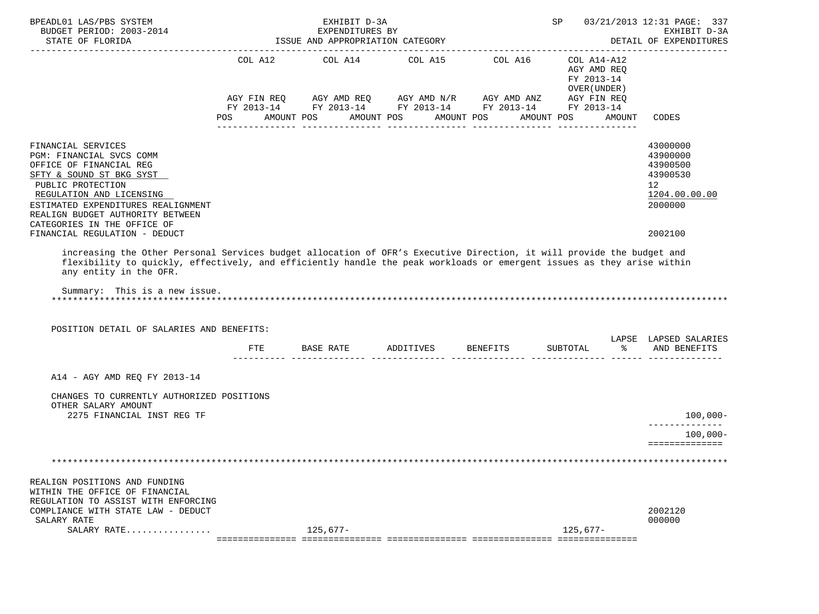| BPEADL01 LAS/PBS SYSTEM<br>BUDGET PERIOD: 2003-2014<br>STATE OF FLORIDA                                                                                                                                                                                                                                                                                 |     | EXHIBIT D-3A<br>EXPENDITURES BY<br>ISSUE AND APPROPRIATION CATEGORY |                                                                                                                                                                      |                                                                   | SP 03/21/2013 12:31 PAGE: 337<br>EXHIBIT D-3A<br>DETAIL OF EXPENDITURES                   |
|---------------------------------------------------------------------------------------------------------------------------------------------------------------------------------------------------------------------------------------------------------------------------------------------------------------------------------------------------------|-----|---------------------------------------------------------------------|----------------------------------------------------------------------------------------------------------------------------------------------------------------------|-------------------------------------------------------------------|-------------------------------------------------------------------------------------------|
|                                                                                                                                                                                                                                                                                                                                                         |     | POS AMOUNT POS AMOUNT POS AMOUNT POS                                | COL A12 COL A14 COL A15 COL A16 COL A14-A12<br>AGY FIN REQ AGY AMD REQ AGY AMD N/R AGY AMD ANZ AGY FIN REQ<br>FY 2013-14 FY 2013-14 FY 2013-14 FY 2013-14 FY 2013-14 | AGY AMD REQ<br>FY 2013-14<br>OVER (UNDER)<br>AMOUNT POS<br>AMOUNT | CODES                                                                                     |
| FINANCIAL SERVICES<br>PGM: FINANCIAL SVCS COMM<br>OFFICE OF FINANCIAL REG<br>SFTY & SOUND ST BKG SYST<br>PUBLIC PROTECTION<br>REGULATION AND LICENSING<br>ESTIMATED EXPENDITURES REALIGNMENT<br>REALIGN BUDGET AUTHORITY BETWEEN<br>CATEGORIES IN THE OFFICE OF<br>FINANCIAL REGULATION - DEDUCT                                                        |     |                                                                     |                                                                                                                                                                      |                                                                   | 43000000<br>43900000<br>43900500<br>43900530<br>12<br>1204.00.00.00<br>2000000<br>2002100 |
| increasing the Other Personal Services budget allocation of OFR's Executive Direction, it will provide the budget and<br>flexibility to quickly, effectively, and efficiently handle the peak workloads or emergent issues as they arise within<br>any entity in the OFR.<br>Summary: This is a new issue.<br>POSITION DETAIL OF SALARIES AND BENEFITS: |     |                                                                     |                                                                                                                                                                      |                                                                   |                                                                                           |
|                                                                                                                                                                                                                                                                                                                                                         | FTE | BASE RATE ADDITIVES BENEFITS                                        |                                                                                                                                                                      |                                                                   | LAPSE LAPSED SALARIES<br>SUBTOTAL $\frac{1}{6}$ AND BENEFITS                              |
| A14 - AGY AMD REQ FY 2013-14<br>CHANGES TO CURRENTLY AUTHORIZED POSITIONS<br>OTHER SALARY AMOUNT<br>2275 FINANCIAL INST REG TF                                                                                                                                                                                                                          |     |                                                                     |                                                                                                                                                                      |                                                                   | $100,000 -$<br>$100,000 -$<br>==============                                              |
|                                                                                                                                                                                                                                                                                                                                                         |     |                                                                     |                                                                                                                                                                      |                                                                   |                                                                                           |
| REALIGN POSITIONS AND FUNDING<br>WITHIN THE OFFICE OF FINANCIAL<br>REGULATION TO ASSIST WITH ENFORCING<br>COMPLIANCE WITH STATE LAW - DEDUCT<br>SALARY RATE<br>SALARY RATE                                                                                                                                                                              |     | $125.677-$                                                          |                                                                                                                                                                      | $125,677-$                                                        | 2002120<br>000000                                                                         |
|                                                                                                                                                                                                                                                                                                                                                         |     |                                                                     |                                                                                                                                                                      |                                                                   |                                                                                           |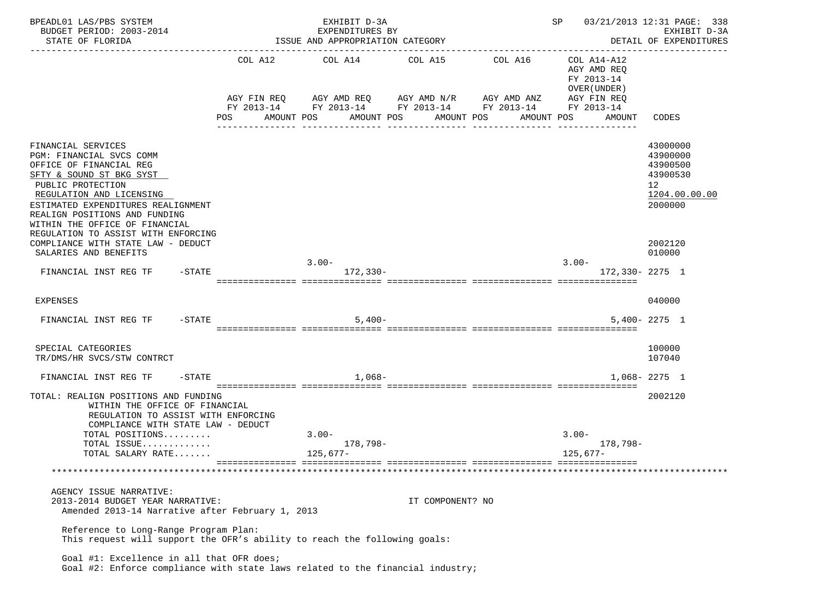| BPEADL01 LAS/PBS SYSTEM<br>BUDGET PERIOD: 2003-2014<br>STATE OF FLORIDA                                                                                                                                                                                                                                |                   |     | EXHIBIT D-3A<br>EXPENDITURES BY<br>ISSUE AND APPROPRIATION CATEGORY              |                                      |                                                                                    | SP                                                                     |                       | 03/21/2013 12:31 PAGE: 338<br>EXHIBIT D-3A<br>DETAIL OF EXPENDITURES           |
|--------------------------------------------------------------------------------------------------------------------------------------------------------------------------------------------------------------------------------------------------------------------------------------------------------|-------------------|-----|----------------------------------------------------------------------------------|--------------------------------------|------------------------------------------------------------------------------------|------------------------------------------------------------------------|-----------------------|--------------------------------------------------------------------------------|
|                                                                                                                                                                                                                                                                                                        |                   | POS | COL A12 COL A14<br>AGY FIN REQ AGY AMD REQ AGY AMD N/R AGY AMD ANZ<br>AMOUNT POS | COL A15<br>AMOUNT POS<br>----------- | COL A16<br>FY 2013-14 FY 2013-14 FY 2013-14 FY 2013-14<br>AMOUNT POS<br>AMOUNT POS | AGY AMD REQ<br>FY 2013-14<br>OVER (UNDER)<br>AGY FIN REQ<br>FY 2013-14 | COL A14-A12<br>AMOUNT | -------------<br>CODES                                                         |
| FINANCIAL SERVICES<br>PGM: FINANCIAL SVCS COMM<br>OFFICE OF FINANCIAL REG<br>SFTY & SOUND ST BKG SYST<br>PUBLIC PROTECTION<br>REGULATION AND LICENSING<br>ESTIMATED EXPENDITURES REALIGNMENT<br>REALIGN POSITIONS AND FUNDING<br>WITHIN THE OFFICE OF FINANCIAL<br>REGULATION TO ASSIST WITH ENFORCING |                   |     |                                                                                  |                                      |                                                                                    |                                                                        |                       | 43000000<br>43900000<br>43900500<br>43900530<br>12<br>1204.00.00.00<br>2000000 |
| COMPLIANCE WITH STATE LAW - DEDUCT<br>SALARIES AND BENEFITS                                                                                                                                                                                                                                            |                   |     |                                                                                  |                                      |                                                                                    |                                                                        |                       | 2002120<br>010000                                                              |
| FINANCIAL INST REG TF                                                                                                                                                                                                                                                                                  | $-\mathtt{STATE}$ |     | $3.00 -$<br>172,330-                                                             |                                      |                                                                                    | $3.00 -$                                                               | 172,330-2275 1        |                                                                                |
| <b>EXPENSES</b>                                                                                                                                                                                                                                                                                        |                   |     |                                                                                  |                                      |                                                                                    |                                                                        |                       | 040000                                                                         |
| FINANCIAL INST REG TF                                                                                                                                                                                                                                                                                  | $-\mathtt{STATE}$ |     | $5,400-$                                                                         |                                      |                                                                                    |                                                                        |                       | $5.400 - 2275$ 1                                                               |
| SPECIAL CATEGORIES<br>TR/DMS/HR SVCS/STW CONTRCT                                                                                                                                                                                                                                                       |                   |     |                                                                                  |                                      |                                                                                    |                                                                        |                       | 100000<br>107040                                                               |
| FINANCIAL INST REG TF                                                                                                                                                                                                                                                                                  | $-\mathtt{STATE}$ |     | $1.068-$                                                                         |                                      |                                                                                    |                                                                        |                       | $1.068 - 2275$ 1                                                               |
| TOTAL: REALIGN POSITIONS AND FUNDING<br>WITHIN THE OFFICE OF FINANCIAL<br>REGULATION TO ASSIST WITH ENFORCING<br>COMPLIANCE WITH STATE LAW - DEDUCT                                                                                                                                                    |                   |     |                                                                                  |                                      |                                                                                    |                                                                        |                       | 2002120                                                                        |
| TOTAL POSITIONS                                                                                                                                                                                                                                                                                        |                   |     | $3.00 -$                                                                         |                                      |                                                                                    | $3.00 -$                                                               |                       |                                                                                |
| TOTAL ISSUE<br>TOTAL SALARY RATE                                                                                                                                                                                                                                                                       |                   |     | 178,798-<br>125,677-                                                             |                                      |                                                                                    | 125,677–                                                               | 178,798-              |                                                                                |
|                                                                                                                                                                                                                                                                                                        |                   |     |                                                                                  |                                      |                                                                                    |                                                                        |                       |                                                                                |
| AGENCY ISSUE NARRATIVE:<br>2013-2014 BUDGET YEAR NARRATIVE:<br>Amended 2013-14 Narrative after February 1, 2013                                                                                                                                                                                        |                   |     |                                                                                  | IT COMPONENT? NO                     |                                                                                    |                                                                        |                       |                                                                                |
| Reference to Long-Range Program Plan:<br>This request will support the OFR's ability to reach the following goals:                                                                                                                                                                                     |                   |     |                                                                                  |                                      |                                                                                    |                                                                        |                       |                                                                                |
| Goal #1: Excellence in all that OFR does;<br>Goal #2: Enforce compliance with state laws related to the financial industry;                                                                                                                                                                            |                   |     |                                                                                  |                                      |                                                                                    |                                                                        |                       |                                                                                |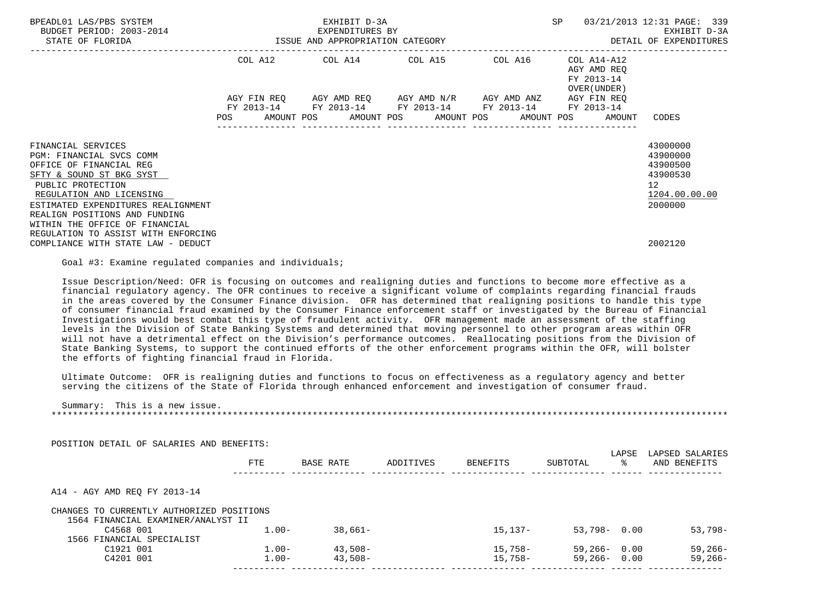| BPEADL01 LAS/PBS SYSTEM<br>BUDGET PERIOD: 2003-2014<br>STATE OF FLORIDA                                                                                                                                                                                         |  | EXHIBIT D-3A |                                                                                                                       |  | SP |                                                           | 03/21/2013 12:31 PAGE: 339                                                                    |  |
|-----------------------------------------------------------------------------------------------------------------------------------------------------------------------------------------------------------------------------------------------------------------|--|--------------|-----------------------------------------------------------------------------------------------------------------------|--|----|-----------------------------------------------------------|-----------------------------------------------------------------------------------------------|--|
|                                                                                                                                                                                                                                                                 |  |              | COL A12 COL A14 COL A15 COL A16                                                                                       |  |    | COL A14-A12<br>AGY AMD REO<br>FY 2013-14<br>OVER (UNDER ) |                                                                                               |  |
|                                                                                                                                                                                                                                                                 |  |              | AGY FIN REQ AGY AMD REQ AGY AMD N/R AGY AMD ANZ AGY FIN REQ<br>FY 2013-14 FY 2013-14 FY 2013-14 FY 2013-14 FY 2013-14 |  |    |                                                           |                                                                                               |  |
|                                                                                                                                                                                                                                                                 |  |              | POS AMOUNT POS AMOUNT POS AMOUNT POS AMOUNT POS AMOUNT                                                                |  |    |                                                           | CODES                                                                                         |  |
| FINANCIAL SERVICES<br>PGM: FINANCIAL SVCS COMM<br>OFFICE OF FINANCIAL REG<br>SFTY & SOUND ST BKG SYST<br>PUBLIC PROTECTION<br>REGULATION AND LICENSING<br>ESTIMATED EXPENDITURES REALIGNMENT<br>REALIGN POSITIONS AND FUNDING<br>WITHIN THE OFFICE OF FINANCIAL |  |              |                                                                                                                       |  |    |                                                           | 43000000<br>43900000<br>43900500<br>43900530<br>$12 \overline{ }$<br>1204.00.00.00<br>2000000 |  |
| REGULATION TO ASSIST WITH ENFORCING<br>COMPLIANCE WITH STATE LAW - DEDUCT                                                                                                                                                                                       |  |              |                                                                                                                       |  |    |                                                           | 2002120                                                                                       |  |

Goal #3: Examine regulated companies and individuals;

 Issue Description/Need: OFR is focusing on outcomes and realigning duties and functions to become more effective as a financial regulatory agency. The OFR continues to receive a significant volume of complaints regarding financial frauds in the areas covered by the Consumer Finance division. OFR has determined that realigning positions to handle this type of consumer financial fraud examined by the Consumer Finance enforcement staff or investigated by the Bureau of Financial Investigations would best combat this type of fraudulent activity. OFR management made an assessment of the staffing levels in the Division of State Banking Systems and determined that moving personnel to other program areas within OFR will not have a detrimental effect on the Division's performance outcomes. Reallocating positions from the Division of State Banking Systems, to support the continued efforts of the other enforcement programs within the OFR, will bolster the efforts of fighting financial fraud in Florida.

 Ultimate Outcome: OFR is realigning duties and functions to focus on effectiveness as a regulatory agency and better serving the citizens of the State of Florida through enhanced enforcement and investigation of consumer fraud.

Summary: This is a new issue.

\*\*\*\*\*\*\*\*\*\*\*\*\*\*\*\*\*\*\*\*\*\*\*\*\*\*\*\*\*\*\*\*\*\*\*\*\*\*\*\*\*\*\*\*\*\*\*\*\*\*\*\*\*\*\*\*\*\*\*\*\*\*\*\*\*\*\*\*\*\*\*\*\*\*\*\*\*\*\*\*\*\*\*\*\*\*\*\*\*\*\*\*\*\*\*\*\*\*\*\*\*\*\*\*\*\*\*\*\*\*\*\*\*\*\*\*\*\*\*\*\*\*\*\*\*\*\*

|                                                                                 | <b>FTE</b> | BASE RATE  | ADDITIVES | <b>BENEFITS</b> | SUBTOTAL | LAPSE<br>° | LAPSED SALARIES<br>AND BENEFITS |
|---------------------------------------------------------------------------------|------------|------------|-----------|-----------------|----------|------------|---------------------------------|
| A14 - AGY AMD REO FY 2013-14                                                    |            |            |           |                 |          |            |                                 |
|                                                                                 |            |            |           |                 |          |            |                                 |
| CHANGES TO CURRENTLY AUTHORIZED POSITIONS<br>1564 FINANCIAL EXAMINER/ANALYST II |            |            |           |                 |          |            |                                 |
| C4568 001                                                                       | $1.00 -$   | $38,661-$  |           | $15.137-$       | 53,798-  | 0.00       | $53,798-$                       |
| 1566 FINANCIAL SPECIALIST                                                       |            |            |           |                 |          |            |                                 |
| C1921 001                                                                       | $1.00 -$   | $43.508 -$ |           | $15.758-$       | 59,266-  | 0.00       | 59,266-                         |

POSITION DETAIL OF SALARIES AND BENEFITS: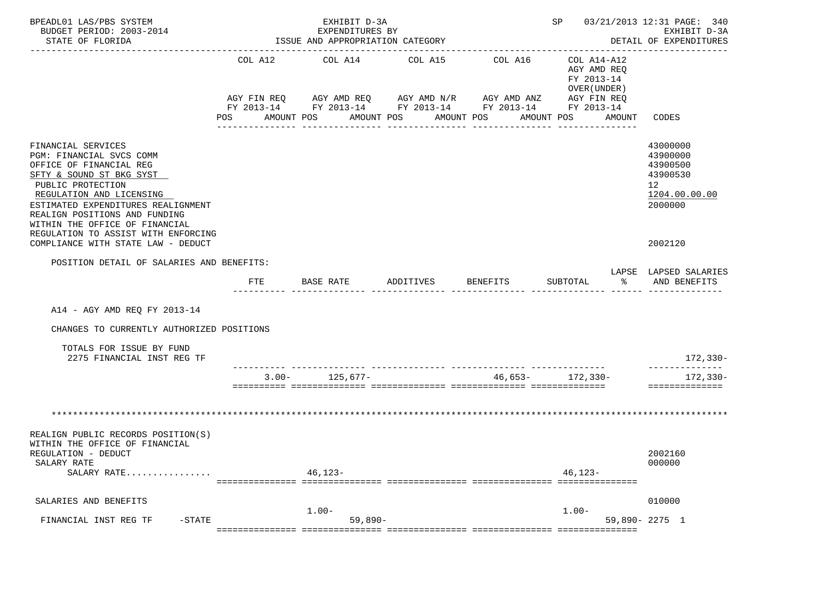| BPEADL01 LAS/PBS SYSTEM<br>BUDGET PERIOD: 2003-2014<br>STATE OF FLORIDA                                                                                                                                                                                         |         | EXHIBIT D-3A<br>EXPENDITURES BY<br>ISSUE AND APPROPRIATION CATEGORY |                                                                                                                                  | -------------------------------- |                                             | SP 03/21/2013 12:31 PAGE: 340<br>EXHIBIT D-3A<br>DETAIL OF EXPENDITURES        |
|-----------------------------------------------------------------------------------------------------------------------------------------------------------------------------------------------------------------------------------------------------------------|---------|---------------------------------------------------------------------|----------------------------------------------------------------------------------------------------------------------------------|----------------------------------|---------------------------------------------|--------------------------------------------------------------------------------|
|                                                                                                                                                                                                                                                                 | COL A12 | COL A14                                                             | COL A15<br>AGY FIN REQ AGY AMD REQ AGY AMD N/R AGY AMD ANZ AGY FIN REQ<br>FY 2013-14 FY 2013-14 FY 2013-14 FY 2013-14 FY 2013-14 | COL A16 COL A14-A12              | AGY AMD REO<br>FY 2013-14<br>OVER ( UNDER ) |                                                                                |
|                                                                                                                                                                                                                                                                 | POS     | AMOUNT POS<br>AMOUNT POS                                            | AMOUNT POS                                                                                                                       |                                  | AMOUNT POS<br>AMOUNT                        | CODES                                                                          |
| FINANCIAL SERVICES<br>PGM: FINANCIAL SVCS COMM<br>OFFICE OF FINANCIAL REG<br>SFTY & SOUND ST BKG SYST<br>PUBLIC PROTECTION<br>REGULATION AND LICENSING<br>ESTIMATED EXPENDITURES REALIGNMENT<br>REALIGN POSITIONS AND FUNDING<br>WITHIN THE OFFICE OF FINANCIAL |         |                                                                     |                                                                                                                                  |                                  |                                             | 43000000<br>43900000<br>43900500<br>43900530<br>12<br>1204.00.00.00<br>2000000 |
| REGULATION TO ASSIST WITH ENFORCING<br>COMPLIANCE WITH STATE LAW - DEDUCT                                                                                                                                                                                       |         |                                                                     |                                                                                                                                  |                                  |                                             | 2002120                                                                        |
| POSITION DETAIL OF SALARIES AND BENEFITS:                                                                                                                                                                                                                       |         |                                                                     |                                                                                                                                  |                                  |                                             |                                                                                |
|                                                                                                                                                                                                                                                                 | FTE     | BASE RATE                                                           | ADDITIVES                                                                                                                        | BENEFITS                         | SUBTOTAL<br>ႜႂ                              | LAPSE LAPSED SALARIES<br>AND BENEFITS                                          |
| A14 - AGY AMD REO FY 2013-14<br>CHANGES TO CURRENTLY AUTHORIZED POSITIONS                                                                                                                                                                                       |         |                                                                     |                                                                                                                                  |                                  |                                             |                                                                                |
| TOTALS FOR ISSUE BY FUND<br>2275 FINANCIAL INST REG TF                                                                                                                                                                                                          |         |                                                                     |                                                                                                                                  |                                  |                                             | $172, 330 -$                                                                   |
|                                                                                                                                                                                                                                                                 |         | $3.00 - 125,677 -$                                                  |                                                                                                                                  |                                  | 46,653- 172,330-                            | 172,330-<br>==============                                                     |
|                                                                                                                                                                                                                                                                 |         |                                                                     |                                                                                                                                  |                                  |                                             |                                                                                |
| REALIGN PUBLIC RECORDS POSITION(S)<br>WITHIN THE OFFICE OF FINANCIAL<br>REGULATION - DEDUCT                                                                                                                                                                     |         |                                                                     |                                                                                                                                  |                                  |                                             | 2002160                                                                        |
| SALARY RATE<br>SALARY RATE                                                                                                                                                                                                                                      |         | 46,123-                                                             |                                                                                                                                  |                                  | 46,123-                                     | 000000                                                                         |
| SALARIES AND BENEFITS                                                                                                                                                                                                                                           |         |                                                                     |                                                                                                                                  |                                  |                                             | 010000                                                                         |
| $-$ STATE<br>FINANCIAL INST REG TF                                                                                                                                                                                                                              |         | $1.00 -$<br>59,890-                                                 |                                                                                                                                  |                                  | $1.00 -$                                    | $59,890 - 2275$ 1                                                              |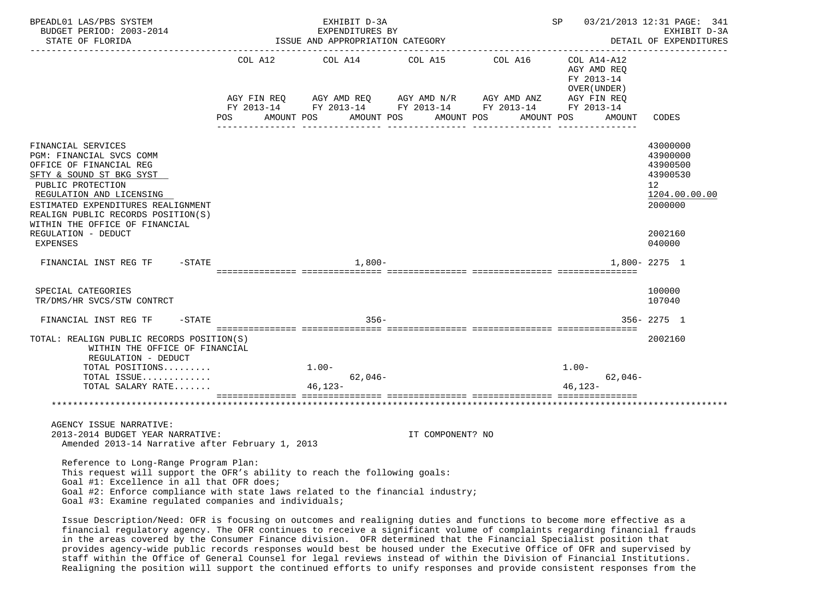| BPEADL01 LAS/PBS SYSTEM<br>BUDGET PERIOD: 2003-2014<br>STATE OF FLORIDA                                                                                                                                                                                                                                    | EXHIBIT D-3A<br>EXPENDITURES BY<br>ISSUE AND APPROPRIATION CATEGORY                                                                                           |                  | <b>SP</b> |                                            | 03/21/2013 12:31 PAGE: 341<br>EXHIBIT D-3A<br>DETAIL OF EXPENDITURES                                |
|------------------------------------------------------------------------------------------------------------------------------------------------------------------------------------------------------------------------------------------------------------------------------------------------------------|---------------------------------------------------------------------------------------------------------------------------------------------------------------|------------------|-----------|--------------------------------------------|-----------------------------------------------------------------------------------------------------|
|                                                                                                                                                                                                                                                                                                            | COL A12 $COL$ A14 $COL$ A15 $COL$ A16 $COL$ A14-A12                                                                                                           |                  |           | AGY AMD REQ<br>FY 2013-14<br>OVER (UNDER ) |                                                                                                     |
|                                                                                                                                                                                                                                                                                                            | AGY FIN REQ AGY AMD REQ AGY AMD N/R AGY AMD ANZ AGY FIN REQ<br>FY 2013-14 FY 2013-14 FY 2013-14 FY 2013-14 FY 2013-14<br>POS AMOUNT POS AMOUNT POS AMOUNT POS |                  |           | AMOUNT POS<br>AMOUNT                       | CODES                                                                                               |
| FINANCIAL SERVICES<br>PGM: FINANCIAL SVCS COMM<br>OFFICE OF FINANCIAL REG<br>SFTY & SOUND ST BKG SYST<br>PUBLIC PROTECTION<br>REGULATION AND LICENSING<br>ESTIMATED EXPENDITURES REALIGNMENT<br>REALIGN PUBLIC RECORDS POSITION(S)<br>WITHIN THE OFFICE OF FINANCIAL<br>REGULATION - DEDUCT<br>EXPENSES    |                                                                                                                                                               |                  |           |                                            | 43000000<br>43900000<br>43900500<br>43900530<br>12<br>1204.00.00.00<br>2000000<br>2002160<br>040000 |
| FINANCIAL INST REG TF -STATE                                                                                                                                                                                                                                                                               | 1,800-                                                                                                                                                        |                  |           |                                            | 1,800-2275 1                                                                                        |
| SPECIAL CATEGORIES<br>TR/DMS/HR SVCS/STW CONTRCT                                                                                                                                                                                                                                                           |                                                                                                                                                               |                  |           |                                            | 100000<br>107040                                                                                    |
| FINANCIAL INST REG TF -STATE                                                                                                                                                                                                                                                                               | $356 -$                                                                                                                                                       |                  |           |                                            | $356 - 2275$ 1                                                                                      |
| TOTAL: REALIGN PUBLIC RECORDS POSITION(S)<br>WITHIN THE OFFICE OF FINANCIAL<br>REGULATION - DEDUCT                                                                                                                                                                                                         |                                                                                                                                                               |                  |           |                                            | 2002160                                                                                             |
| TOTAL POSITIONS                                                                                                                                                                                                                                                                                            | $1.00 -$                                                                                                                                                      |                  |           | $1.00-$                                    |                                                                                                     |
| TOTAL ISSUE<br>TOTAL SALARY RATE                                                                                                                                                                                                                                                                           | $62,046-$<br>46,123-                                                                                                                                          |                  |           | $62,046-$<br>$46.123 -$                    |                                                                                                     |
|                                                                                                                                                                                                                                                                                                            |                                                                                                                                                               |                  |           |                                            |                                                                                                     |
| AGENCY ISSUE NARRATIVE:<br>2013-2014 BUDGET YEAR NARRATIVE:<br>Amended 2013-14 Narrative after February 1, 2013                                                                                                                                                                                            |                                                                                                                                                               | IT COMPONENT? NO |           |                                            |                                                                                                     |
| Reference to Long-Range Program Plan:<br>This request will support the OFR's ability to reach the following goals:<br>Goal #1: Excellence in all that OFR does;<br>Goal #2: Enforce compliance with state laws related to the financial industry;<br>Goal #3: Examine requlated companies and individuals; |                                                                                                                                                               |                  |           |                                            |                                                                                                     |

 Issue Description/Need: OFR is focusing on outcomes and realigning duties and functions to become more effective as a financial regulatory agency. The OFR continues to receive a significant volume of complaints regarding financial frauds in the areas covered by the Consumer Finance division. OFR determined that the Financial Specialist position that provides agency-wide public records responses would best be housed under the Executive Office of OFR and supervised by staff within the Office of General Counsel for legal reviews instead of within the Division of Financial Institutions. Realigning the position will support the continued efforts to unify responses and provide consistent responses from the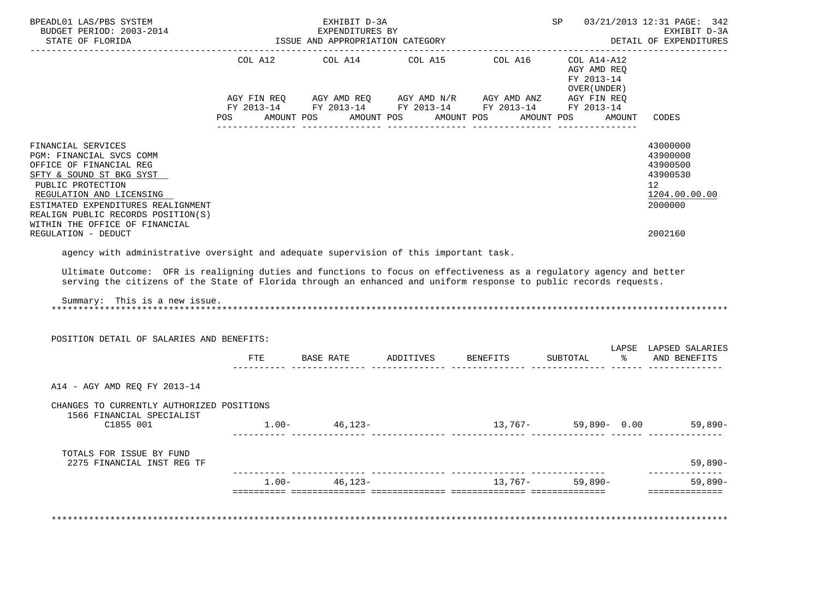| BPEADL01 LAS/PBS SYSTEM<br>BUDGET PERIOD: 2003-2014                                                                                                                                                                                                                  |         | EXHIBIT D-3A<br>14<br>ISSUE AND APPROPRIATION CATEGORY<br>TSSUE AND APPROPRIATION CATEGORY                                                             |            |                                               | SP <sub>3</sub>                                          |        | 03/21/2013 12:31 PAGE: 342<br>EXHIBIT D-3A                                                  |
|----------------------------------------------------------------------------------------------------------------------------------------------------------------------------------------------------------------------------------------------------------------------|---------|--------------------------------------------------------------------------------------------------------------------------------------------------------|------------|-----------------------------------------------|----------------------------------------------------------|--------|---------------------------------------------------------------------------------------------|
| STATE OF FLORIDA                                                                                                                                                                                                                                                     |         |                                                                                                                                                        |            | -----------------------------------           |                                                          |        | DETAIL OF EXPENDITURES                                                                      |
|                                                                                                                                                                                                                                                                      | POS FOR | COL A12 COL A14<br>AGY FIN REQ AGY AMD REQ AGY AMD N/R AGY AMD ANZ AGY FIN REQ<br>FY 2013-14 FY 2013-14 FY 2013-14 FY 2013-14 FY 2013-14<br>AMOUNT POS | AMOUNT POS | COL A15 $COL$ A16 $COL$ A14-A12<br>AMOUNT POS | AGY AMD REO<br>FY 2013-14<br>OVER (UNDER )<br>AMOUNT POS | AMOUNT | CODES                                                                                       |
|                                                                                                                                                                                                                                                                      |         |                                                                                                                                                        |            |                                               |                                                          |        |                                                                                             |
| FINANCIAL SERVICES<br>PGM: FINANCIAL SVCS COMM<br>OFFICE OF FINANCIAL REG<br>SFTY & SOUND ST BKG SYST<br>PUBLIC PROTECTION<br>REGULATION AND LICENSING<br>ESTIMATED EXPENDITURES REALIGNMENT<br>REALIGN PUBLIC RECORDS POSITION(S)<br>WITHIN THE OFFICE OF FINANCIAL |         |                                                                                                                                                        |            |                                               |                                                          |        | 43000000<br>43900000<br>43900500<br>43900530<br>12 <sup>°</sup><br>1204.00.00.00<br>2000000 |
| REGULATION - DEDUCT                                                                                                                                                                                                                                                  |         |                                                                                                                                                        |            |                                               |                                                          |        | 2002160                                                                                     |
| serving the citizens of the State of Florida through an enhanced and uniform response to public records requests.<br>Summary: This is a new issue.<br>POSITION DETAIL OF SALARIES AND BENEFITS:                                                                      |         |                                                                                                                                                        |            |                                               |                                                          |        |                                                                                             |
|                                                                                                                                                                                                                                                                      |         |                                                                                                                                                        |            |                                               | SUBTOTAL                                                 |        | LAPSE LAPSED SALARIES<br>% AND BENEFITS                                                     |
|                                                                                                                                                                                                                                                                      |         |                                                                                                                                                        |            |                                               |                                                          |        |                                                                                             |
| A14 - AGY AMD REQ FY 2013-14                                                                                                                                                                                                                                         |         |                                                                                                                                                        |            |                                               |                                                          |        |                                                                                             |
| CHANGES TO CURRENTLY AUTHORIZED POSITIONS                                                                                                                                                                                                                            |         |                                                                                                                                                        |            |                                               |                                                          |        |                                                                                             |
| 1566 FINANCIAL SPECIALIST<br>C1855 001                                                                                                                                                                                                                               |         | $1.00 - 46,123 -$                                                                                                                                      |            | $13,767 - 59,890 - 0.00$ 59,890-              |                                                          |        |                                                                                             |
| TOTALS FOR ISSUE BY FUND<br>2275 FINANCIAL INST REG TF                                                                                                                                                                                                               |         |                                                                                                                                                        |            |                                               |                                                          |        | 59,890-                                                                                     |
|                                                                                                                                                                                                                                                                      |         | $1.00 - 46,123 -$                                                                                                                                      |            |                                               | $13,767 - 59,890 -$                                      |        | --------------<br>59,890-                                                                   |
|                                                                                                                                                                                                                                                                      |         |                                                                                                                                                        |            |                                               |                                                          |        | ---------------                                                                             |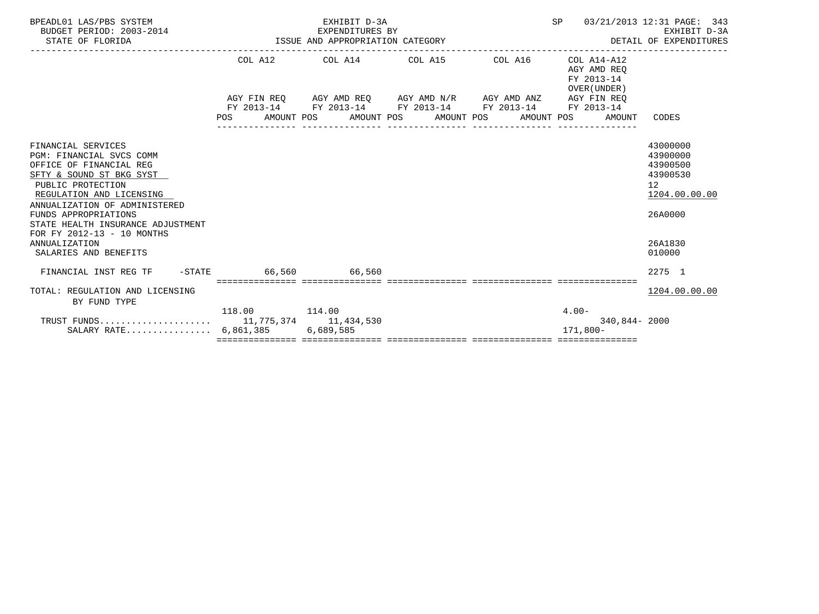| BPEADL01 LAS/PBS SYSTEM<br>BUDGET PERIOD: 2003-2014<br>STATE OF FLORIDA                                                                                                                                                                                                                                                      | 014 EXPENDITURES BI EXPENDITURES OF | EXHIBIT D-3A<br>EXPENDITURES BY |                                                                                                | SP                                                       | 03/21/2013 12:31 PAGE: 343<br>EXHIBIT D-3A<br>DETAIL OF EXPENDITURES                                |
|------------------------------------------------------------------------------------------------------------------------------------------------------------------------------------------------------------------------------------------------------------------------------------------------------------------------------|-------------------------------------|---------------------------------|------------------------------------------------------------------------------------------------|----------------------------------------------------------|-----------------------------------------------------------------------------------------------------|
|                                                                                                                                                                                                                                                                                                                              |                                     |                                 | COL A12 COL A14 COL A15 COL A16                                                                | COL A14-A12<br>AGY AMD REO<br>FY 2013-14<br>OVER (UNDER) |                                                                                                     |
|                                                                                                                                                                                                                                                                                                                              |                                     |                                 | AGY FIN REO AGY AMD REO AGY AMD N/R AGY AMD ANZ AGY FIN REO                                    |                                                          |                                                                                                     |
|                                                                                                                                                                                                                                                                                                                              |                                     |                                 | FY 2013-14 FY 2013-14 FY 2013-14 FY 2013-14<br>POS AMOUNT POS AMOUNT POS AMOUNT POS AMOUNT POS | FY 2013-14<br>AMOUNT                                     | CODES                                                                                               |
| FINANCIAL SERVICES<br>PGM: FINANCIAL SVCS COMM<br>OFFICE OF FINANCIAL REG<br>SFTY & SOUND ST BKG SYST<br>PUBLIC PROTECTION<br>REGULATION AND LICENSING<br>ANNUALIZATION OF ADMINISTERED<br>FUNDS APPROPRIATIONS<br>STATE HEALTH INSURANCE ADJUSTMENT<br>FOR FY 2012-13 - 10 MONTHS<br>ANNUALIZATION<br>SALARIES AND BENEFITS |                                     |                                 |                                                                                                |                                                          | 43000000<br>43900000<br>43900500<br>43900530<br>12<br>1204.00.00.00<br>26A0000<br>26A1830<br>010000 |
| FINANCIAL INST REG TF                                                                                                                                                                                                                                                                                                        | $-$ STATE 66,560 66,560             |                                 |                                                                                                |                                                          | 2275 1                                                                                              |
| TOTAL: REGULATION AND LICENSING<br>BY FUND TYPE                                                                                                                                                                                                                                                                              |                                     |                                 |                                                                                                |                                                          | 1204.00.00.00                                                                                       |
| SALARY RATE $6,861,385$                                                                                                                                                                                                                                                                                                      | 118.00 114.00                       | 6,689,585                       |                                                                                                | $4.00 -$<br>340,844-2000<br>171,800-                     |                                                                                                     |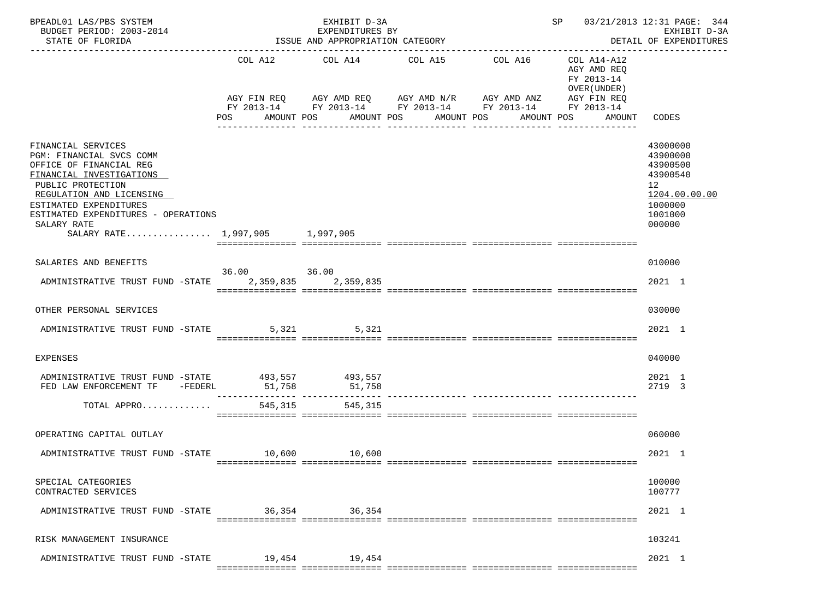| BPEADL01 LAS/PBS SYSTEM<br>BUDGET PERIOD: 2003-2014<br>STATE OF FLORIDA                                                                                                                                                                                                   |               | EXHIBIT D-3A<br>EXPENDITURES BY<br>ISSUE AND APPROPRIATION CATEGORY |                                                                                                        |                                                                      | SP                                                                                              | 03/21/2013 12:31 PAGE: 344<br>EXHIBIT D-3A<br>DETAIL OF EXPENDITURES                                |
|---------------------------------------------------------------------------------------------------------------------------------------------------------------------------------------------------------------------------------------------------------------------------|---------------|---------------------------------------------------------------------|--------------------------------------------------------------------------------------------------------|----------------------------------------------------------------------|-------------------------------------------------------------------------------------------------|-----------------------------------------------------------------------------------------------------|
|                                                                                                                                                                                                                                                                           | POS           | AMOUNT POS                                                          | COL A12 COL A14 COL A15<br>AGY FIN REQ AGY AMD REQ AGY AMD N/R AGY AMD ANZ<br>AMOUNT POS<br>AMOUNT POS | COL A16<br>FY 2013-14 FY 2013-14 FY 2013-14 FY 2013-14<br>AMOUNT POS | COL A14-A12<br>AGY AMD REQ<br>FY 2013-14<br>OVER (UNDER)<br>AGY FIN REQ<br>FY 2013-14<br>AMOUNT | CODES                                                                                               |
| FINANCIAL SERVICES<br>PGM: FINANCIAL SVCS COMM<br>OFFICE OF FINANCIAL REG<br>FINANCIAL INVESTIGATIONS<br>PUBLIC PROTECTION<br>REGULATION AND LICENSING<br>ESTIMATED EXPENDITURES<br>ESTIMATED EXPENDITURES - OPERATIONS<br>SALARY RATE<br>SALARY RATE 1,997,905 1,997,905 |               |                                                                     |                                                                                                        |                                                                      |                                                                                                 | 43000000<br>43900000<br>43900500<br>43900540<br>12<br>1204.00.00.00<br>1000000<br>1001000<br>000000 |
| SALARIES AND BENEFITS                                                                                                                                                                                                                                                     |               |                                                                     |                                                                                                        |                                                                      |                                                                                                 | 010000                                                                                              |
| ADMINISTRATIVE TRUST FUND -STATE                                                                                                                                                                                                                                          | 36.00 36.00   | 2,359,835 2,359,835                                                 |                                                                                                        |                                                                      |                                                                                                 | 2021 1                                                                                              |
| OTHER PERSONAL SERVICES                                                                                                                                                                                                                                                   |               |                                                                     |                                                                                                        |                                                                      |                                                                                                 | 030000                                                                                              |
| ADMINISTRATIVE TRUST FUND -STATE                                                                                                                                                                                                                                          |               | 5,321<br>5,321                                                      |                                                                                                        |                                                                      |                                                                                                 | 2021 1                                                                                              |
| <b>EXPENSES</b>                                                                                                                                                                                                                                                           |               |                                                                     |                                                                                                        |                                                                      |                                                                                                 | 040000                                                                                              |
| ADMINISTRATIVE TRUST FUND -STATE 493,557 493,557<br>FED LAW ENFORCEMENT TF -FEDERL                                                                                                                                                                                        | 51,758        | 51,758                                                              |                                                                                                        |                                                                      |                                                                                                 | 2021 1<br>2719 3                                                                                    |
| TOTAL APPRO                                                                                                                                                                                                                                                               | 545,315       | 545,315                                                             |                                                                                                        |                                                                      |                                                                                                 |                                                                                                     |
| OPERATING CAPITAL OUTLAY                                                                                                                                                                                                                                                  |               |                                                                     |                                                                                                        |                                                                      |                                                                                                 | 060000                                                                                              |
| ADMINISTRATIVE TRUST FUND -STATE                                                                                                                                                                                                                                          | 10,600 10,600 |                                                                     |                                                                                                        |                                                                      |                                                                                                 | 2021 1                                                                                              |
| SPECIAL CATEGORIES<br>CONTRACTED SERVICES                                                                                                                                                                                                                                 |               |                                                                     |                                                                                                        |                                                                      |                                                                                                 | 100000<br>100777                                                                                    |
| ADMINISTRATIVE TRUST FUND -STATE 36,354 36,354                                                                                                                                                                                                                            |               |                                                                     |                                                                                                        |                                                                      |                                                                                                 | 2021 1                                                                                              |
| RISK MANAGEMENT INSURANCE                                                                                                                                                                                                                                                 |               |                                                                     |                                                                                                        |                                                                      |                                                                                                 | 103241                                                                                              |
| ADMINISTRATIVE TRUST FUND -STATE 19,454 19,454                                                                                                                                                                                                                            |               |                                                                     |                                                                                                        |                                                                      |                                                                                                 | 2021 1                                                                                              |
|                                                                                                                                                                                                                                                                           |               |                                                                     |                                                                                                        |                                                                      |                                                                                                 |                                                                                                     |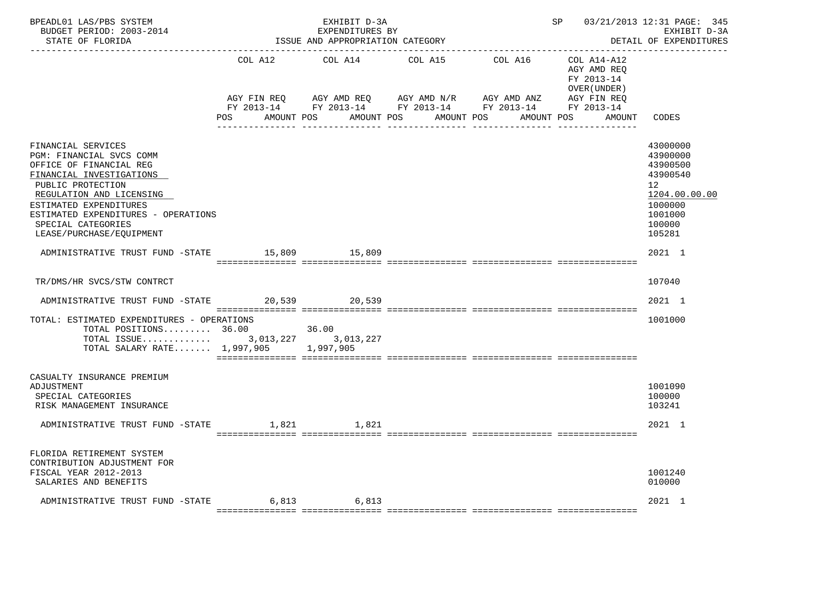| BPEADL01 LAS/PBS SYSTEM<br>BUDGET PERIOD: 2003-2014<br>STATE OF FLORIDA                                                                                                                                                                                                   |                        | EXHIBIT D-3A<br>EXPENDITURES BY<br>ISSUE AND APPROPRIATION CATEGORY |                                                                   | -------------------------------    | SP                                                       | 03/21/2013 12:31 PAGE: 345<br>EXHIBIT D-3A<br>DETAIL OF EXPENDITURES                                          |
|---------------------------------------------------------------------------------------------------------------------------------------------------------------------------------------------------------------------------------------------------------------------------|------------------------|---------------------------------------------------------------------|-------------------------------------------------------------------|------------------------------------|----------------------------------------------------------|---------------------------------------------------------------------------------------------------------------|
|                                                                                                                                                                                                                                                                           | COL A12<br>AGY FIN REQ | COL A14<br>AGY AMD REQ      AGY AMD N/R                             | COL A15<br>FY 2013-14 FY 2013-14 FY 2013-14 FY 2013-14 FY 2013-14 | COL A16 COL A14-A12<br>AGY AMD ANZ | AGY AMD REO<br>FY 2013-14<br>OVER (UNDER)<br>AGY FIN REQ |                                                                                                               |
|                                                                                                                                                                                                                                                                           | POS<br>AMOUNT POS      |                                                                     | AMOUNT POS<br>AMOUNT POS                                          | AMOUNT POS                         | AMOUNT                                                   | CODES                                                                                                         |
| FINANCIAL SERVICES<br>PGM: FINANCIAL SVCS COMM<br>OFFICE OF FINANCIAL REG<br>FINANCIAL INVESTIGATIONS<br>PUBLIC PROTECTION<br>REGULATION AND LICENSING<br>ESTIMATED EXPENDITURES<br>ESTIMATED EXPENDITURES - OPERATIONS<br>SPECIAL CATEGORIES<br>LEASE/PURCHASE/EQUIPMENT |                        |                                                                     |                                                                   |                                    |                                                          | 43000000<br>43900000<br>43900500<br>43900540<br>12<br>1204.00.00.00<br>1000000<br>1001000<br>100000<br>105281 |
| ADMINISTRATIVE TRUST FUND -STATE 15,809 15,809                                                                                                                                                                                                                            |                        |                                                                     |                                                                   |                                    |                                                          | 2021 1                                                                                                        |
| TR/DMS/HR SVCS/STW CONTRCT                                                                                                                                                                                                                                                |                        |                                                                     |                                                                   |                                    |                                                          | 107040                                                                                                        |
| ADMINISTRATIVE TRUST FUND -STATE 20,539 20,539                                                                                                                                                                                                                            |                        |                                                                     |                                                                   |                                    |                                                          | 2021 1                                                                                                        |
| TOTAL: ESTIMATED EXPENDITURES - OPERATIONS<br>TOTAL POSITIONS 36.00<br>TOTAL SALARY RATE 1,997,905 1,997,905                                                                                                                                                              |                        | 36.00                                                               |                                                                   |                                    |                                                          | 1001000                                                                                                       |
| CASUALTY INSURANCE PREMIUM<br>ADJUSTMENT<br>SPECIAL CATEGORIES<br>RISK MANAGEMENT INSURANCE                                                                                                                                                                               |                        |                                                                     |                                                                   |                                    |                                                          | 1001090<br>100000<br>103241                                                                                   |
| ADMINISTRATIVE TRUST FUND -STATE                                                                                                                                                                                                                                          | 1,821                  | 1,821                                                               |                                                                   |                                    |                                                          | 2021 1                                                                                                        |
| FLORIDA RETIREMENT SYSTEM<br>CONTRIBUTION ADJUSTMENT FOR<br>FISCAL YEAR 2012-2013<br>SALARIES AND BENEFITS                                                                                                                                                                |                        |                                                                     |                                                                   |                                    |                                                          | 1001240<br>010000                                                                                             |
| ADMINISTRATIVE TRUST FUND -STATE 6,813                                                                                                                                                                                                                                    |                        | 6,813                                                               |                                                                   |                                    |                                                          | 2021 1                                                                                                        |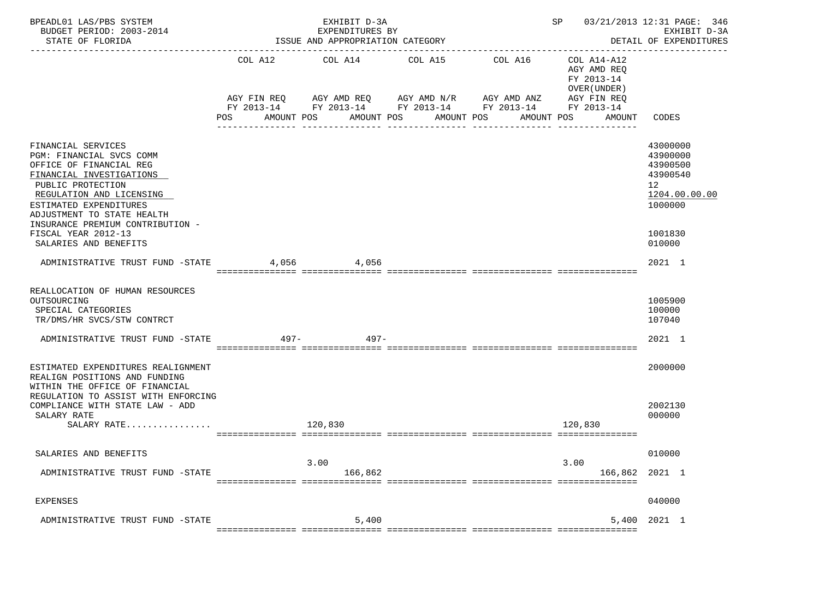| BPEADL01 LAS/PBS SYSTEM<br>BUDGET PERIOD: 2003-2014<br>STATE OF FLORIDA                                                                                                                                                                            |                   | EXHIBIT D-3A<br>EXPENDITURES BY<br>ISSUE AND APPROPRIATION CATEGORY                                                                  |                                             |         | SP 03/21/2013 12:31 PAGE: 346                                                                   | EXHIBIT D-3A<br>DETAIL OF EXPENDITURES<br>--------------                       |
|----------------------------------------------------------------------------------------------------------------------------------------------------------------------------------------------------------------------------------------------------|-------------------|--------------------------------------------------------------------------------------------------------------------------------------|---------------------------------------------|---------|-------------------------------------------------------------------------------------------------|--------------------------------------------------------------------------------|
|                                                                                                                                                                                                                                                    | POS<br>AMOUNT POS | COL A12 COL A14 COL A15<br>AGY FIN REQ AGY AMD REQ AGY AMD N/R AGY AMD ANZ<br>FY 2013-14 FY 2013-14 FY 2013-14 FY 2013-14 FY 2013-14 | AMOUNT POS<br>AMOUNT POS<br>--------------- | COL A16 | COL A14-A12<br>AGY AMD REO<br>FY 2013-14<br>OVER (UNDER)<br>AGY FIN REQ<br>AMOUNT POS<br>AMOUNT | CODES                                                                          |
| FINANCIAL SERVICES<br>PGM: FINANCIAL SVCS COMM<br>OFFICE OF FINANCIAL REG<br>FINANCIAL INVESTIGATIONS<br>PUBLIC PROTECTION<br>REGULATION AND LICENSING<br>ESTIMATED EXPENDITURES<br>ADJUSTMENT TO STATE HEALTH<br>INSURANCE PREMIUM CONTRIBUTION - |                   |                                                                                                                                      |                                             |         |                                                                                                 | 43000000<br>43900000<br>43900500<br>43900540<br>12<br>1204.00.00.00<br>1000000 |
| FISCAL YEAR 2012-13<br>SALARIES AND BENEFITS<br>ADMINISTRATIVE TRUST FUND -STATE                                                                                                                                                                   | 4,056             | 4,056                                                                                                                                |                                             |         |                                                                                                 | 1001830<br>010000<br>2021 1                                                    |
| REALLOCATION OF HUMAN RESOURCES<br>OUTSOURCING<br>SPECIAL CATEGORIES<br>TR/DMS/HR SVCS/STW CONTRCT<br>ADMINISTRATIVE TRUST FUND -STATE                                                                                                             | $497-$            | 497-                                                                                                                                 |                                             |         |                                                                                                 | 1005900<br>100000<br>107040<br>2021 1                                          |
| ESTIMATED EXPENDITURES REALIGNMENT<br>REALIGN POSITIONS AND FUNDING<br>WITHIN THE OFFICE OF FINANCIAL<br>REGULATION TO ASSIST WITH ENFORCING<br>COMPLIANCE WITH STATE LAW - ADD<br>SALARY RATE<br>SALARY RATE                                      |                   | 120,830                                                                                                                              |                                             |         | 120,830                                                                                         | 2000000<br>2002130<br>000000                                                   |
| SALARIES AND BENEFITS<br>ADMINISTRATIVE TRUST FUND -STATE                                                                                                                                                                                          |                   | 3.00<br>166,862                                                                                                                      |                                             |         | 3.00<br>166,862 2021 1                                                                          | 010000                                                                         |
| EXPENSES                                                                                                                                                                                                                                           |                   |                                                                                                                                      |                                             |         |                                                                                                 | 040000                                                                         |
| ADMINISTRATIVE TRUST FUND -STATE                                                                                                                                                                                                                   |                   | 5,400                                                                                                                                |                                             |         | 5,400                                                                                           | 2021 1                                                                         |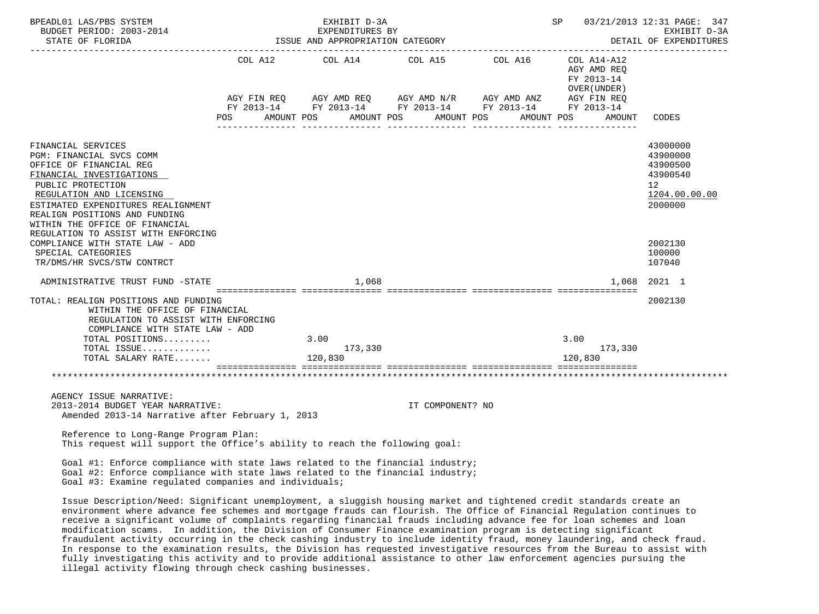| BPEADL01 LAS/PBS SYSTEM                                                                                                                                                                                                                                                                                |                                                 | EXHIBIT D-3A                                        |                  | SP                                         | 03/21/2013 12:31 PAGE: 347<br>EXHIBIT D-3A<br>DETAIL OF EXPENDITURES                        |
|--------------------------------------------------------------------------------------------------------------------------------------------------------------------------------------------------------------------------------------------------------------------------------------------------------|-------------------------------------------------|-----------------------------------------------------|------------------|--------------------------------------------|---------------------------------------------------------------------------------------------|
|                                                                                                                                                                                                                                                                                                        |                                                 | COL A12 $COL$ A14 $COL$ A15 $COL$ A16 $COL$ A14-A12 |                  | AGY AMD REQ<br>FY 2013-14<br>OVER (UNDER ) |                                                                                             |
|                                                                                                                                                                                                                                                                                                        | POS AMOUNT POS AMOUNT POS AMOUNT POS AMOUNT POS |                                                     |                  | AMOUNT                                     | CODES                                                                                       |
| FINANCIAL SERVICES<br>PGM: FINANCIAL SVCS COMM<br>OFFICE OF FINANCIAL REG<br>FINANCIAL INVESTIGATIONS<br>PUBLIC PROTECTION<br>REGULATION AND LICENSING<br>ESTIMATED EXPENDITURES REALIGNMENT<br>REALIGN POSITIONS AND FUNDING<br>WITHIN THE OFFICE OF FINANCIAL<br>REGULATION TO ASSIST WITH ENFORCING |                                                 |                                                     |                  |                                            | 43000000<br>43900000<br>43900500<br>43900540<br>12 <sup>°</sup><br>1204.00.00.00<br>2000000 |
| COMPLIANCE WITH STATE LAW - ADD<br>SPECIAL CATEGORIES<br>TR/DMS/HR SVCS/STW CONTRCT                                                                                                                                                                                                                    |                                                 |                                                     |                  |                                            | 2002130<br>100000<br>107040                                                                 |
| ADMINISTRATIVE TRUST FUND -STATE                                                                                                                                                                                                                                                                       |                                                 | 1.068                                               |                  | 1,068                                      | 2021 1                                                                                      |
| TOTAL: REALIGN POSITIONS AND FUNDING<br>WITHIN THE OFFICE OF FINANCIAL<br>REGULATION TO ASSIST WITH ENFORCING<br>COMPLIANCE WITH STATE LAW - ADD                                                                                                                                                       |                                                 |                                                     |                  |                                            | 2002130                                                                                     |
| TOTAL POSITIONS                                                                                                                                                                                                                                                                                        |                                                 | 3.00                                                |                  | 3.00                                       |                                                                                             |
| TOTAL ISSUE<br>TOTAL SALARY RATE                                                                                                                                                                                                                                                                       |                                                 | 173,330<br>120,830                                  |                  | 173,330<br>120,830                         |                                                                                             |
|                                                                                                                                                                                                                                                                                                        |                                                 |                                                     |                  |                                            |                                                                                             |
| AGENCY ISSUE NARRATIVE:<br>2013-2014 BUDGET YEAR NARRATIVE:<br>Amended 2013-14 Narrative after February 1, 2013                                                                                                                                                                                        |                                                 |                                                     | IT COMPONENT? NO |                                            |                                                                                             |
| Reference to Long-Range Program Plan:<br>This request will support the Office's ability to reach the following goal:                                                                                                                                                                                   |                                                 |                                                     |                  |                                            |                                                                                             |
| Goal #1: Enforce compliance with state laws related to the financial industry;<br>Goal #2: Enforce compliance with state laws related to the financial industry;<br>Goal #3: Examine regulated companies and individuals;                                                                              |                                                 |                                                     |                  |                                            |                                                                                             |
| Issue Description/Need: Significant unemployment, a sluggish housing market and tightened credit standards create an                                                                                                                                                                                   |                                                 |                                                     |                  |                                            |                                                                                             |

 environment where advance fee schemes and mortgage frauds can flourish. The Office of Financial Regulation continues to receive a significant volume of complaints regarding financial frauds including advance fee for loan schemes and loan modification scams. In addition, the Division of Consumer Finance examination program is detecting significant fraudulent activity occurring in the check cashing industry to include identity fraud, money laundering, and check fraud. In response to the examination results, the Division has requested investigative resources from the Bureau to assist with fully investigating this activity and to provide additional assistance to other law enforcement agencies pursuing the illegal activity flowing through check cashing businesses.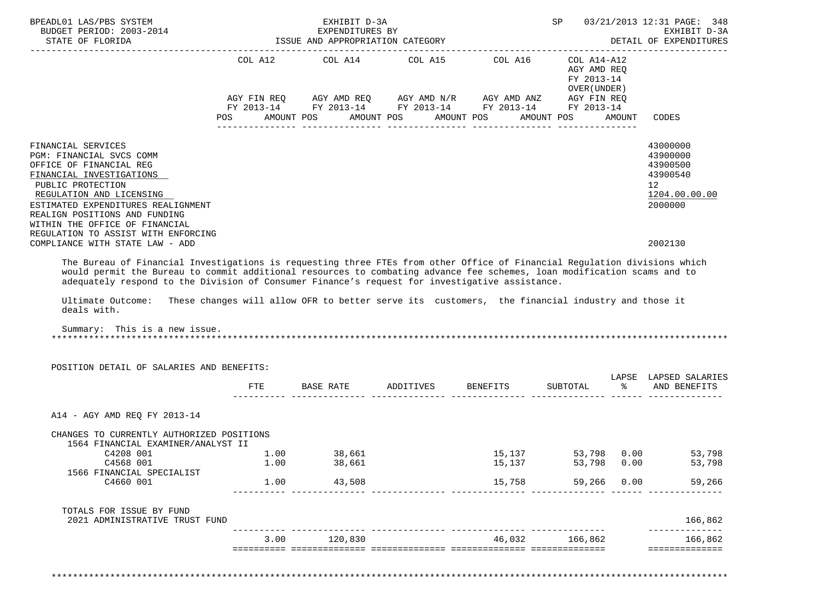| BPEADL01 LAS/PBS SYSTEM<br>BUDGET PERIOD: 2003-2014<br>STATE OF FLORIDA                                                                                                                                          |      | EXHIBIT D-3A<br>EXPENDITURES BY<br>ISSUE AND APPROPRIATION CATEGORY                             |                         |        | SP                                         |        | 03/21/2013 12:31 PAGE: 348<br>EXHIBIT D-3A<br>DETAIL OF EXPENDITURES |
|------------------------------------------------------------------------------------------------------------------------------------------------------------------------------------------------------------------|------|-------------------------------------------------------------------------------------------------|-------------------------|--------|--------------------------------------------|--------|----------------------------------------------------------------------|
|                                                                                                                                                                                                                  |      | COL A12 $COL$ A14 $COL$ A15 $COL$ A16 $COL$ A14-A12                                             |                         |        | AGY AMD REQ<br>FY 2013-14<br>OVER (UNDER ) |        |                                                                      |
|                                                                                                                                                                                                                  |      |                                                                                                 |                         |        |                                            |        |                                                                      |
|                                                                                                                                                                                                                  |      | POS AMOUNT POS AMOUNT POS AMOUNT POS                                                            |                         |        | AMOUNT POS                                 | AMOUNT | CODES                                                                |
| FINANCIAL SERVICES<br>PGM: FINANCIAL SVCS COMM<br>OFFICE OF FINANCIAL REG                                                                                                                                        |      |                                                                                                 |                         |        |                                            |        | 43000000<br>43900000<br>43900500                                     |
| FINANCIAL INVESTIGATIONS<br>PUBLIC PROTECTION                                                                                                                                                                    |      |                                                                                                 |                         |        |                                            |        | 43900540<br>12 <sup>°</sup>                                          |
| REGULATION AND LICENSING<br>ESTIMATED EXPENDITURES REALIGNMENT<br>REALIGN POSITIONS AND FUNDING<br>WITHIN THE OFFICE OF FINANCIAL                                                                                |      |                                                                                                 |                         |        |                                            |        | 1204.00.00.00<br>2000000                                             |
| REGULATION TO ASSIST WITH ENFORCING<br>COMPLIANCE WITH STATE LAW - ADD                                                                                                                                           |      |                                                                                                 |                         |        |                                            |        | 2002130                                                              |
| adequately respond to the Division of Consumer Finance's request for investigative assistance.<br>Ultimate Outcome:<br>deals with.<br>Summary: This is a new issue.<br>POSITION DETAIL OF SALARIES AND BENEFITS: |      | These changes will allow OFR to better serve its customers, the financial industry and those it |                         |        |                                            |        |                                                                      |
|                                                                                                                                                                                                                  |      | FTE BASE RATE ADDITIVES BENEFITS SUBTOTAL $\frac{1}{2}$ and BENEFITS                            |                         |        |                                            |        | LAPSE LAPSED SALARIES                                                |
| A14 - AGY AMD REQ FY 2013-14                                                                                                                                                                                     |      |                                                                                                 |                         |        |                                            |        |                                                                      |
| CHANGES TO CURRENTLY AUTHORIZED POSITIONS<br>1564 FINANCIAL EXAMINER/ANALYST II                                                                                                                                  |      |                                                                                                 |                         |        |                                            |        |                                                                      |
| C4208 001                                                                                                                                                                                                        | 1.00 | 38,661                                                                                          |                         | 15,137 | 53,798 0.00                                |        | 53,798                                                               |
| C4568 001                                                                                                                                                                                                        | 1.00 | 38,661                                                                                          |                         | 15,137 | 53,798 0.00                                |        | 53,798                                                               |
| 1566 FINANCIAL SPECIALIST<br>C4660 001                                                                                                                                                                           | 1.00 | 43,508                                                                                          | ------------- --------- | 15,758 | 59,266 0.00                                |        | 59,266                                                               |
| TOTALS FOR ISSUE BY FUND<br>2021 ADMINISTRATIVE TRUST FUND                                                                                                                                                       |      |                                                                                                 |                         |        |                                            |        | 166,862                                                              |
|                                                                                                                                                                                                                  |      | 120,830                                                                                         |                         |        |                                            |        |                                                                      |
|                                                                                                                                                                                                                  | 3.00 |                                                                                                 |                         | 46,032 | 166,862                                    |        | 166,862<br>==============                                            |

\*\*\*\*\*\*\*\*\*\*\*\*\*\*\*\*\*\*\*\*\*\*\*\*\*\*\*\*\*\*\*\*\*\*\*\*\*\*\*\*\*\*\*\*\*\*\*\*\*\*\*\*\*\*\*\*\*\*\*\*\*\*\*\*\*\*\*\*\*\*\*\*\*\*\*\*\*\*\*\*\*\*\*\*\*\*\*\*\*\*\*\*\*\*\*\*\*\*\*\*\*\*\*\*\*\*\*\*\*\*\*\*\*\*\*\*\*\*\*\*\*\*\*\*\*\*\*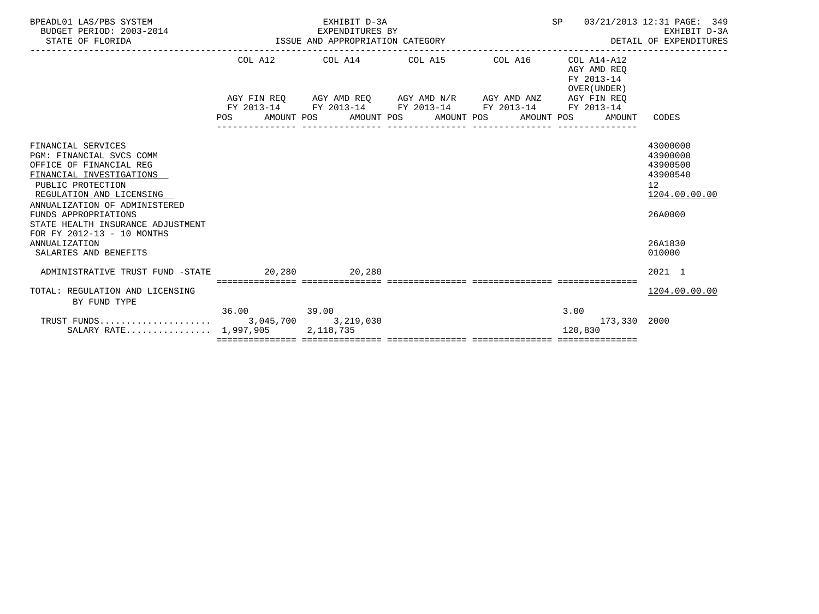| BPEADL01 LAS/PBS SYSTEM<br>BUDGET PERIOD: 2003-2014<br>STATE OF FLORIDA                                                                                                                                                                                                            | ISSUE AND APPROPRIATION CATEGORY | EXHIBIT D-3A<br>EXPENDITURES BY | SP                                                                                                                                                            | 03/21/2013 12:31 PAGE: 349<br>EXHIBIT D-3A<br>DETAIL OF EXPENDITURES |                                                          |                                                                                |
|------------------------------------------------------------------------------------------------------------------------------------------------------------------------------------------------------------------------------------------------------------------------------------|----------------------------------|---------------------------------|---------------------------------------------------------------------------------------------------------------------------------------------------------------|----------------------------------------------------------------------|----------------------------------------------------------|--------------------------------------------------------------------------------|
|                                                                                                                                                                                                                                                                                    |                                  |                                 | COL A12 COL A14 COL A15 COL A16                                                                                                                               |                                                                      | COL A14-A12<br>AGY AMD REO<br>FY 2013-14<br>OVER (UNDER) |                                                                                |
|                                                                                                                                                                                                                                                                                    |                                  |                                 | AGY FIN REO AGY AMD REO AGY AMD N/R AGY AMD ANZ AGY FIN REO<br>FY 2013-14 FY 2013-14 FY 2013-14 FY 2013-14<br>POS AMOUNT POS AMOUNT POS AMOUNT POS AMOUNT POS |                                                                      | FY 2013-14<br>AMOUNT                                     | CODES                                                                          |
| FINANCIAL SERVICES<br>PGM: FINANCIAL SVCS COMM<br>OFFICE OF FINANCIAL REG<br>FINANCIAL INVESTIGATIONS<br>PUBLIC PROTECTION<br>REGULATION AND LICENSING<br>ANNUALIZATION OF ADMINISTERED<br>FUNDS APPROPRIATIONS<br>STATE HEALTH INSURANCE ADJUSTMENT<br>FOR FY 2012-13 - 10 MONTHS |                                  |                                 |                                                                                                                                                               |                                                                      |                                                          | 43000000<br>43900000<br>43900500<br>43900540<br>12<br>1204.00.00.00<br>26A0000 |
| ANNUALIZATION<br>SALARIES AND BENEFITS                                                                                                                                                                                                                                             |                                  |                                 |                                                                                                                                                               |                                                                      |                                                          | 26A1830<br>010000                                                              |
| ADMINISTRATIVE TRUST FUND -STATE 20.280 20.280                                                                                                                                                                                                                                     |                                  |                                 |                                                                                                                                                               |                                                                      |                                                          | $2021$ 1                                                                       |
| TOTAL: REGULATION AND LICENSING<br>BY FUND TYPE                                                                                                                                                                                                                                    |                                  |                                 |                                                                                                                                                               |                                                                      |                                                          | 1204.00.00.00                                                                  |
| SALARY RATE $1,997,905$                                                                                                                                                                                                                                                            | 36.00 39.00                      | 2,118,735                       |                                                                                                                                                               |                                                                      | 3.00<br>173,330 2000<br>120,830                          |                                                                                |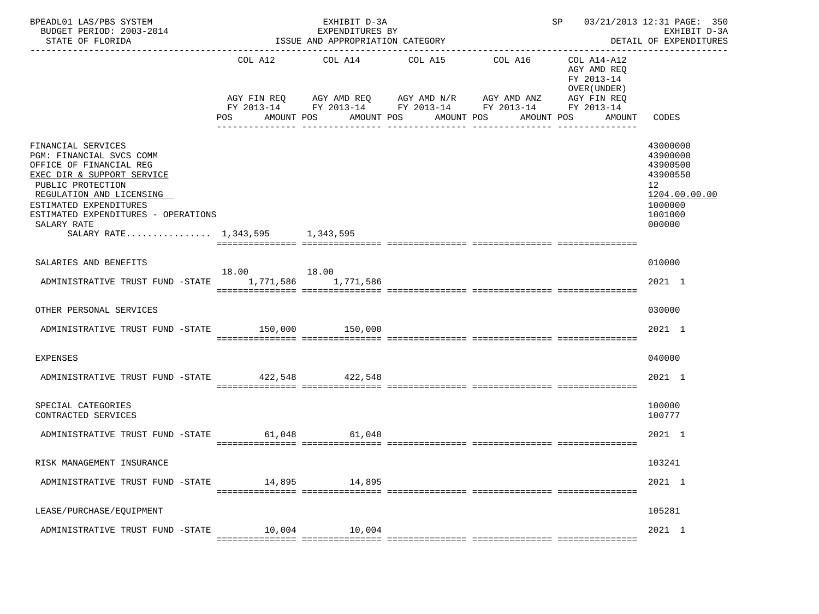| BPEADL01 LAS/PBS SYSTEM<br>BUDGET PERIOD: 2003-2014<br>STATE OF FLORIDA                                                                                                                                                                                                     | ISSUE AND APPROPRIATION CATEGORY | SP 03/21/2013 12:31 PAGE: 350<br>EXHIBIT D-3A<br>DETAIL OF EXPENDITURES<br>------------------ |                                  |                                                                   |                                                                                                       |                                                                                                     |
|-----------------------------------------------------------------------------------------------------------------------------------------------------------------------------------------------------------------------------------------------------------------------------|----------------------------------|-----------------------------------------------------------------------------------------------|----------------------------------|-------------------------------------------------------------------|-------------------------------------------------------------------------------------------------------|-----------------------------------------------------------------------------------------------------|
|                                                                                                                                                                                                                                                                             | COL A12                          | COL A14<br>AGY FIN REQ AGY AMD REQ AGY AMD N/R AGY AMD ANZ<br>AMOUNT POS                      | COL A15<br>AMOUNT POS AMOUNT POS | COL A16<br>FY 2013-14 FY 2013-14 FY 2013-14 FY 2013-14 FY 2013-14 | COL A14-A12<br>AGY AMD REQ<br>FY 2013-14<br>OVER (UNDER)<br>AGY FIN REQ<br>AMOUNT POS<br>AMOUNT CODES |                                                                                                     |
| FINANCIAL SERVICES<br>PGM: FINANCIAL SVCS COMM<br>OFFICE OF FINANCIAL REG<br>EXEC DIR & SUPPORT SERVICE<br>PUBLIC PROTECTION<br>REGULATION AND LICENSING<br>ESTIMATED EXPENDITURES<br>ESTIMATED EXPENDITURES - OPERATIONS<br>SALARY RATE<br>SALARY RATE 1,343,595 1,343,595 |                                  |                                                                                               |                                  |                                                                   |                                                                                                       | 43000000<br>43900000<br>43900500<br>43900550<br>12<br>1204.00.00.00<br>1000000<br>1001000<br>000000 |
| SALARIES AND BENEFITS<br>ADMINISTRATIVE TRUST FUND -STATE 1,771,586 1,771,586                                                                                                                                                                                               | 18.00 18.00                      |                                                                                               |                                  |                                                                   |                                                                                                       | 010000<br>2021 1                                                                                    |
| OTHER PERSONAL SERVICES                                                                                                                                                                                                                                                     |                                  |                                                                                               |                                  |                                                                   |                                                                                                       | 030000                                                                                              |
| ADMINISTRATIVE TRUST FUND -STATE 150,000 150,000                                                                                                                                                                                                                            |                                  |                                                                                               |                                  |                                                                   |                                                                                                       | 2021 1                                                                                              |
| EXPENSES<br>ADMINISTRATIVE TRUST FUND -STATE 422,548 422,548                                                                                                                                                                                                                |                                  |                                                                                               |                                  |                                                                   |                                                                                                       | 040000<br>2021 1                                                                                    |
| SPECIAL CATEGORIES<br>CONTRACTED SERVICES                                                                                                                                                                                                                                   |                                  |                                                                                               |                                  |                                                                   |                                                                                                       | 100000<br>100777                                                                                    |
| ADMINISTRATIVE TRUST FUND -STATE 61,048 61,048                                                                                                                                                                                                                              |                                  |                                                                                               |                                  |                                                                   |                                                                                                       | 2021 1                                                                                              |
| RISK MANAGEMENT INSURANCE                                                                                                                                                                                                                                                   |                                  |                                                                                               |                                  |                                                                   |                                                                                                       | 103241                                                                                              |
| ADMINISTRATIVE TRUST FUND -STATE                                                                                                                                                                                                                                            | 14,895                           | 14,895                                                                                        |                                  |                                                                   |                                                                                                       | 2021 1                                                                                              |
| LEASE/PURCHASE/EQUIPMENT                                                                                                                                                                                                                                                    |                                  |                                                                                               |                                  |                                                                   |                                                                                                       | 105281                                                                                              |
| ADMINISTRATIVE TRUST FUND -STATE                                                                                                                                                                                                                                            | 10,004                           | 10,004                                                                                        |                                  |                                                                   |                                                                                                       | 2021 1                                                                                              |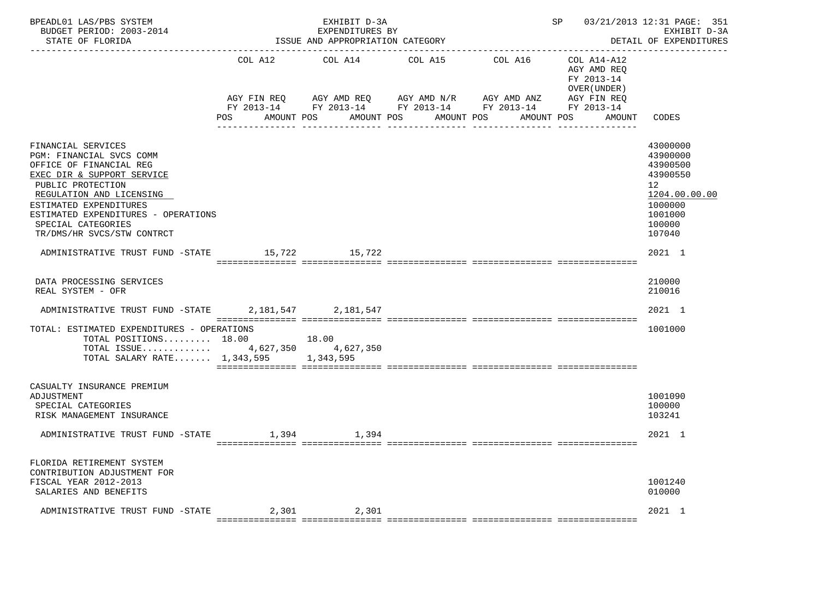| BPEADL01 LAS/PBS SYSTEM<br>BUDGET PERIOD: 2003-2014<br>STATE OF FLORIDA                                                                                                                                                                                                       |                                   | EXHIBIT D-3A<br>EXPENDITURES BY<br>ISSUE AND APPROPRIATION CATEGORY |                                                                                               | -------------------------------    | SP                                                                               | 03/21/2013 12:31 PAGE: 351<br>EXHIBIT D-3A<br>DETAIL OF EXPENDITURES                                                       |
|-------------------------------------------------------------------------------------------------------------------------------------------------------------------------------------------------------------------------------------------------------------------------------|-----------------------------------|---------------------------------------------------------------------|-----------------------------------------------------------------------------------------------|------------------------------------|----------------------------------------------------------------------------------|----------------------------------------------------------------------------------------------------------------------------|
|                                                                                                                                                                                                                                                                               | COL A12<br>AGY FIN REQ<br>POS FOR | COL A14<br>AGY AMD REQ AGY AMD N/R<br>AMOUNT POS                    | COL A15<br>FY 2013-14 FY 2013-14 FY 2013-14 FY 2013-14 FY 2013-14<br>AMOUNT POS<br>AMOUNT POS | COL A16 COL A14-A12<br>AGY AMD ANZ | AGY AMD REO<br>FY 2013-14<br>OVER (UNDER)<br>AGY FIN REQ<br>AMOUNT POS<br>AMOUNT | CODES                                                                                                                      |
| FINANCIAL SERVICES<br>PGM: FINANCIAL SVCS COMM<br>OFFICE OF FINANCIAL REG<br>EXEC DIR & SUPPORT SERVICE<br>PUBLIC PROTECTION<br>REGULATION AND LICENSING<br>ESTIMATED EXPENDITURES<br>ESTIMATED EXPENDITURES - OPERATIONS<br>SPECIAL CATEGORIES<br>TR/DMS/HR SVCS/STW CONTRCT |                                   |                                                                     |                                                                                               |                                    |                                                                                  | 43000000<br>43900000<br>43900500<br>43900550<br>12 <sup>°</sup><br>1204.00.00.00<br>1000000<br>1001000<br>100000<br>107040 |
| ADMINISTRATIVE TRUST FUND -STATE 15,722 15,722                                                                                                                                                                                                                                |                                   |                                                                     |                                                                                               |                                    |                                                                                  | 2021 1                                                                                                                     |
| DATA PROCESSING SERVICES<br>REAL SYSTEM - OFR                                                                                                                                                                                                                                 |                                   |                                                                     |                                                                                               |                                    |                                                                                  | 210000<br>210016                                                                                                           |
| ADMINISTRATIVE TRUST FUND -STATE 2,181,547 2,181,547                                                                                                                                                                                                                          |                                   |                                                                     |                                                                                               |                                    |                                                                                  | 2021 1                                                                                                                     |
| TOTAL: ESTIMATED EXPENDITURES - OPERATIONS<br>TOTAL POSITIONS $18.00$<br>TOTAL ISSUE 4,627,350 4,627,350<br>TOTAL SALARY RATE 1,343,595 1,343,595                                                                                                                             |                                   | 18.00                                                               |                                                                                               |                                    |                                                                                  | 1001000                                                                                                                    |
| CASUALTY INSURANCE PREMIUM<br>ADJUSTMENT<br>SPECIAL CATEGORIES<br>RISK MANAGEMENT INSURANCE                                                                                                                                                                                   |                                   |                                                                     |                                                                                               |                                    |                                                                                  | 1001090<br>100000<br>103241                                                                                                |
| ADMINISTRATIVE TRUST FUND -STATE                                                                                                                                                                                                                                              | 1,394                             | 1,394                                                               |                                                                                               |                                    |                                                                                  | 2021 1                                                                                                                     |
| FLORIDA RETIREMENT SYSTEM<br>CONTRIBUTION ADJUSTMENT FOR<br>FISCAL YEAR 2012-2013<br>SALARIES AND BENEFITS                                                                                                                                                                    |                                   |                                                                     |                                                                                               |                                    |                                                                                  | 1001240<br>010000                                                                                                          |
| ADMINISTRATIVE TRUST FUND -STATE 2,301 2,301                                                                                                                                                                                                                                  |                                   |                                                                     |                                                                                               |                                    |                                                                                  | 2021 1                                                                                                                     |
|                                                                                                                                                                                                                                                                               |                                   |                                                                     |                                                                                               |                                    |                                                                                  |                                                                                                                            |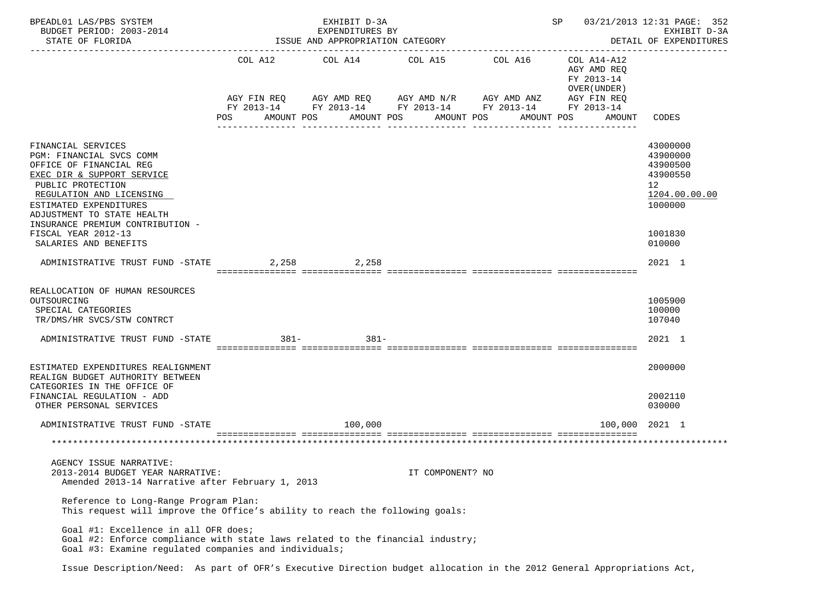| BPEADL01 LAS/PBS SYSTEM<br>BUDGET PERIOD: 2003-2014<br>STATE OF FLORIDA                                                                                                                                                                                                                              |                   | EXHIBIT D-3A<br>EXPENDITURES BY<br>ISSUE AND APPROPRIATION CATEGORY | SP                                                  | 03/21/2013 12:31 PAGE: 352<br>EXHIBIT D-3A<br>DETAIL OF EXPENDITURES                                                             |                                                                                  |                                                                                                     |
|------------------------------------------------------------------------------------------------------------------------------------------------------------------------------------------------------------------------------------------------------------------------------------------------------|-------------------|---------------------------------------------------------------------|-----------------------------------------------------|----------------------------------------------------------------------------------------------------------------------------------|----------------------------------------------------------------------------------|-----------------------------------------------------------------------------------------------------|
|                                                                                                                                                                                                                                                                                                      | AMOUNT POS<br>POS |                                                                     | COL A12 COL A14 COL A15<br>AMOUNT POS<br>AMOUNT POS | COL A16<br>AGY FIN REQ AGY AMD REQ AGY AMD N/R AGY AMD ANZ AGY FIN REQ<br>FY 2013-14 FY 2013-14 FY 2013-14 FY 2013-14 FY 2013-14 | COL A14-A12<br>AGY AMD REO<br>FY 2013-14<br>OVER (UNDER)<br>AMOUNT POS<br>AMOUNT | CODES                                                                                               |
|                                                                                                                                                                                                                                                                                                      |                   |                                                                     |                                                     |                                                                                                                                  |                                                                                  |                                                                                                     |
| FINANCIAL SERVICES<br>PGM: FINANCIAL SVCS COMM<br>OFFICE OF FINANCIAL REG<br>EXEC DIR & SUPPORT SERVICE<br>PUBLIC PROTECTION<br>REGULATION AND LICENSING<br>ESTIMATED EXPENDITURES<br>ADJUSTMENT TO STATE HEALTH<br>INSURANCE PREMIUM CONTRIBUTION -<br>FISCAL YEAR 2012-13<br>SALARIES AND BENEFITS |                   |                                                                     |                                                     |                                                                                                                                  |                                                                                  | 43000000<br>43900000<br>43900500<br>43900550<br>12<br>1204.00.00.00<br>1000000<br>1001830<br>010000 |
|                                                                                                                                                                                                                                                                                                      |                   |                                                                     |                                                     |                                                                                                                                  |                                                                                  |                                                                                                     |
| ADMINISTRATIVE TRUST FUND -STATE                                                                                                                                                                                                                                                                     |                   | 2,258 2,258                                                         |                                                     |                                                                                                                                  |                                                                                  | 2021 1                                                                                              |
| REALLOCATION OF HUMAN RESOURCES                                                                                                                                                                                                                                                                      |                   |                                                                     |                                                     |                                                                                                                                  |                                                                                  |                                                                                                     |
| OUTSOURCING<br>SPECIAL CATEGORIES<br>TR/DMS/HR SVCS/STW CONTRCT                                                                                                                                                                                                                                      |                   |                                                                     |                                                     |                                                                                                                                  |                                                                                  | 1005900<br>100000<br>107040                                                                         |
| ADMINISTRATIVE TRUST FUND -STATE                                                                                                                                                                                                                                                                     | $381 -$ 381       |                                                                     |                                                     |                                                                                                                                  |                                                                                  | 2021 1                                                                                              |
|                                                                                                                                                                                                                                                                                                      |                   |                                                                     |                                                     |                                                                                                                                  |                                                                                  |                                                                                                     |
| ESTIMATED EXPENDITURES REALIGNMENT<br>REALIGN BUDGET AUTHORITY BETWEEN<br>CATEGORIES IN THE OFFICE OF                                                                                                                                                                                                |                   |                                                                     |                                                     |                                                                                                                                  |                                                                                  | 2000000                                                                                             |
| FINANCIAL REGULATION - ADD<br>OTHER PERSONAL SERVICES                                                                                                                                                                                                                                                |                   |                                                                     |                                                     |                                                                                                                                  |                                                                                  | 2002110<br>030000                                                                                   |
| ADMINISTRATIVE TRUST FUND -STATE                                                                                                                                                                                                                                                                     |                   | 100,000                                                             |                                                     |                                                                                                                                  |                                                                                  | 100,000 2021 1                                                                                      |
|                                                                                                                                                                                                                                                                                                      |                   |                                                                     |                                                     |                                                                                                                                  |                                                                                  |                                                                                                     |
| AGENCY ISSUE NARRATIVE:<br>2013-2014 BUDGET YEAR NARRATIVE:<br>Amended 2013-14 Narrative after February 1, 2013                                                                                                                                                                                      |                   |                                                                     | IT COMPONENT? NO                                    |                                                                                                                                  |                                                                                  |                                                                                                     |
| Reference to Long-Range Program Plan:<br>This request will improve the Office's ability to reach the following goals:                                                                                                                                                                                |                   |                                                                     |                                                     |                                                                                                                                  |                                                                                  |                                                                                                     |
| Goal #1: Excellence in all OFR does;<br>Goal #2: Enforce compliance with state laws related to the financial industry;<br>Goal #3: Examine requlated companies and individuals;                                                                                                                      |                   |                                                                     |                                                     |                                                                                                                                  |                                                                                  |                                                                                                     |
| Issue Description/Need: As part of OFR's Executive Direction budget allocation in the 2012 General Appropriations Act,                                                                                                                                                                               |                   |                                                                     |                                                     |                                                                                                                                  |                                                                                  |                                                                                                     |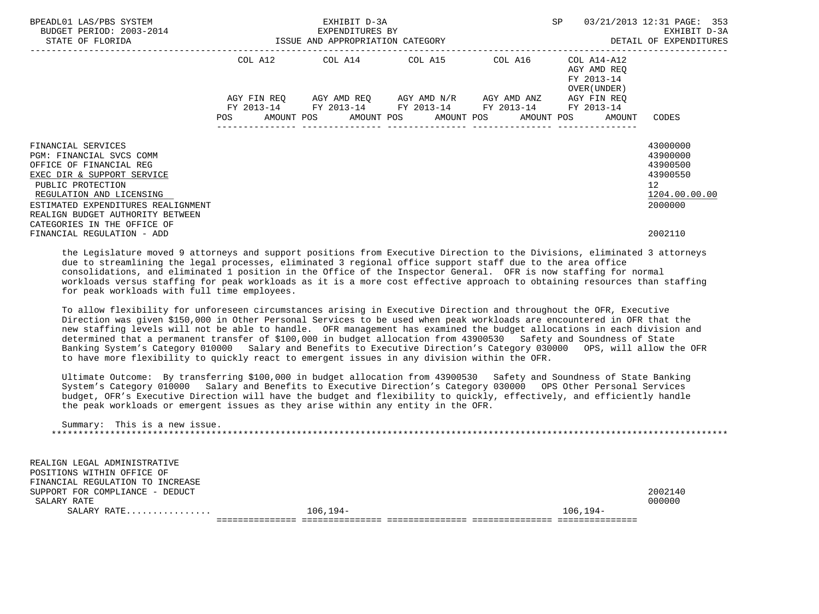| BPEADL01 LAS/PBS SYSTEM<br>BUDGET PERIOD: 2003-2014                                                                                                                                                                                |                                  | EXHIBIT D-3A<br>EXPENDITURES BY | SP                                                                                                                                                | 03/21/2013 12:31 PAGE: 353<br>EXHIBIT D-3A |                                           |                                                                                             |
|------------------------------------------------------------------------------------------------------------------------------------------------------------------------------------------------------------------------------------|----------------------------------|---------------------------------|---------------------------------------------------------------------------------------------------------------------------------------------------|--------------------------------------------|-------------------------------------------|---------------------------------------------------------------------------------------------|
| STATE OF FLORIDA                                                                                                                                                                                                                   | ISSUE AND APPROPRIATION CATEGORY |                                 |                                                                                                                                                   |                                            |                                           | DETAIL OF EXPENDITURES                                                                      |
|                                                                                                                                                                                                                                    |                                  |                                 | COL A12 COL A14 COL A15 COL A16 COL A14-A12                                                                                                       |                                            | AGY AMD REO<br>FY 2013-14<br>OVER (UNDER) |                                                                                             |
|                                                                                                                                                                                                                                    |                                  |                                 | AGY FIN REQ AGY AMD REQ AGY AMD N/R AGY AMD ANZ<br>FY 2013-14 FY 2013-14 FY 2013-14 FY 2013-14<br>POS AMOUNT POS AMOUNT POS AMOUNT POS AMOUNT POS |                                            | AGY FIN REQ<br>FY 2013-14<br>AMOUNT       | CODES                                                                                       |
| FINANCIAL SERVICES<br>PGM: FINANCIAL SVCS COMM<br>OFFICE OF FINANCIAL REG<br>EXEC DIR & SUPPORT SERVICE<br>PUBLIC PROTECTION<br>REGULATION AND LICENSING<br>ESTIMATED EXPENDITURES REALIGNMENT<br>REALIGN BUDGET AUTHORITY BETWEEN |                                  |                                 |                                                                                                                                                   |                                            |                                           | 43000000<br>43900000<br>43900500<br>43900550<br>12 <sup>°</sup><br>1204.00.00.00<br>2000000 |
| CATEGORIES IN THE OFFICE OF<br>FINANCIAL REGULATION - ADD                                                                                                                                                                          |                                  |                                 |                                                                                                                                                   |                                            |                                           | 2002110                                                                                     |

 the Legislature moved 9 attorneys and support positions from Executive Direction to the Divisions, eliminated 3 attorneys due to streamlining the legal processes, eliminated 3 regional office support staff due to the area office consolidations, and eliminated 1 position in the Office of the Inspector General. OFR is now staffing for normal workloads versus staffing for peak workloads as it is a more cost effective approach to obtaining resources than staffing for peak workloads with full time employees.

 To allow flexibility for unforeseen circumstances arising in Executive Direction and throughout the OFR, Executive Direction was given \$150,000 in Other Personal Services to be used when peak workloads are encountered in OFR that the new staffing levels will not be able to handle. OFR management has examined the budget allocations in each division and determined that a permanent transfer of \$100,000 in budget allocation from 43900530 Safety and Soundness of State Banking System's Category 010000 Salary and Benefits to Executive Direction's Category 030000 OPS, will allow the OFR to have more flexibility to quickly react to emergent issues in any division within the OFR.

 Ultimate Outcome: By transferring \$100,000 in budget allocation from 43900530 Safety and Soundness of State Banking System's Category 010000 Salary and Benefits to Executive Direction's Category 030000 OPS Other Personal Services budget, OFR's Executive Direction will have the budget and flexibility to quickly, effectively, and efficiently handle the peak workloads or emergent issues as they arise within any entity in the OFR.

 Summary: This is a new issue. \*\*\*\*\*\*\*\*\*\*\*\*\*\*\*\*\*\*\*\*\*\*\*\*\*\*\*\*\*\*\*\*\*\*\*\*\*\*\*\*\*\*\*\*\*\*\*\*\*\*\*\*\*\*\*\*\*\*\*\*\*\*\*\*\*\*\*\*\*\*\*\*\*\*\*\*\*\*\*\*\*\*\*\*\*\*\*\*\*\*\*\*\*\*\*\*\*\*\*\*\*\*\*\*\*\*\*\*\*\*\*\*\*\*\*\*\*\*\*\*\*\*\*\*\*\*\*

 REALIGN LEGAL ADMINISTRATIVE POSITIONS WITHIN OFFICE OF FINANCIAL REGULATION TO INCREASE SUPPORT FOR COMPLIANCE - DEDUCT 2002140 SALARY RATE 2000000 CHARLOTE 200000 CHARLOTE 200000 CHARLOTE 200000 CHARLOTE 200000 CHARLOTE 200000 CHARLOTE 3 SALARY RATE................ 106,194- 106,194- =============== =============== =============== =============== ===============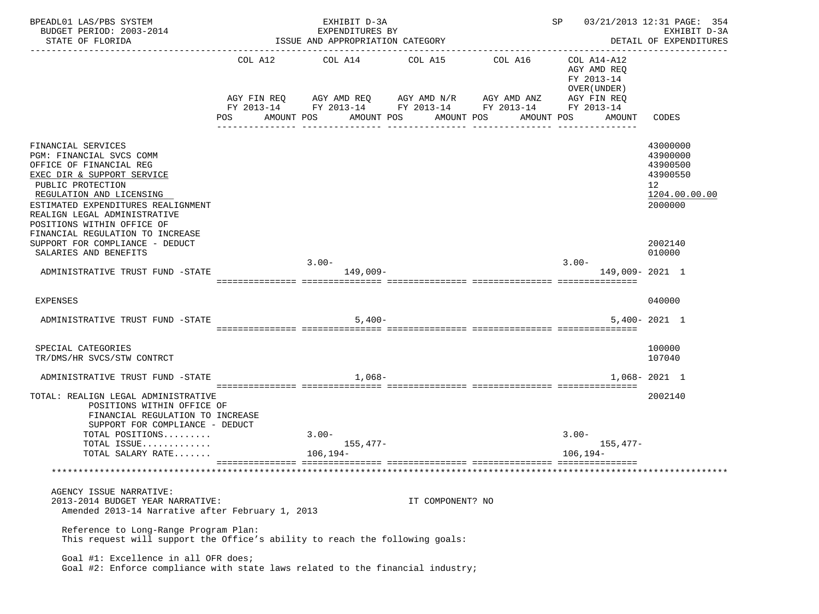| BPEADL01 LAS/PBS SYSTEM<br>BUDGET PERIOD: 2003-2014<br>STATE OF FLORIDA                                                                                                                                                                                      |     | EXHIBIT D-3A<br>EXPENDITURES BY<br>ISSUE AND APPROPRIATION CATEGORY                                                                                | 03/21/2013 12:31 PAGE: 354<br>SP<br>EXHIBIT D-3A<br>DETAIL OF EXPENDITURES |                       |                                                                                                 |                                                                                |
|--------------------------------------------------------------------------------------------------------------------------------------------------------------------------------------------------------------------------------------------------------------|-----|----------------------------------------------------------------------------------------------------------------------------------------------------|----------------------------------------------------------------------------|-----------------------|-------------------------------------------------------------------------------------------------|--------------------------------------------------------------------------------|
|                                                                                                                                                                                                                                                              | POS | COL A12 COL A14 COL A15<br>AGY FIN REQ AGY AMD REQ AGY AMD N/R AGY AMD ANZ<br>FY 2013-14 FY 2013-14 FY 2013-14 FY 2013-14 FY 2013-14<br>AMOUNT POS | AMOUNT POS                                                                 | COL A16<br>AMOUNT POS | COL A14-A12<br>AGY AMD REO<br>FY 2013-14<br>OVER (UNDER)<br>AGY FIN REQ<br>AMOUNT POS<br>AMOUNT | CODES                                                                          |
|                                                                                                                                                                                                                                                              |     |                                                                                                                                                    |                                                                            |                       |                                                                                                 |                                                                                |
| FINANCIAL SERVICES<br>PGM: FINANCIAL SVCS COMM<br>OFFICE OF FINANCIAL REG<br>EXEC DIR & SUPPORT SERVICE<br>PUBLIC PROTECTION<br>REGULATION AND LICENSING<br>ESTIMATED EXPENDITURES REALIGNMENT<br>REALIGN LEGAL ADMINISTRATIVE<br>POSITIONS WITHIN OFFICE OF |     |                                                                                                                                                    |                                                                            |                       |                                                                                                 | 43000000<br>43900000<br>43900500<br>43900550<br>12<br>1204.00.00.00<br>2000000 |
| FINANCIAL REGULATION TO INCREASE<br>SUPPORT FOR COMPLIANCE - DEDUCT<br>SALARIES AND BENEFITS                                                                                                                                                                 |     |                                                                                                                                                    |                                                                            |                       |                                                                                                 | 2002140<br>010000                                                              |
| ADMINISTRATIVE TRUST FUND -STATE                                                                                                                                                                                                                             |     | $3.00 -$<br>$149,009-$                                                                                                                             |                                                                            |                       | $3.00 -$                                                                                        | 149,009-2021 1                                                                 |
| EXPENSES                                                                                                                                                                                                                                                     |     |                                                                                                                                                    |                                                                            |                       |                                                                                                 | 040000                                                                         |
| ADMINISTRATIVE TRUST FUND -STATE                                                                                                                                                                                                                             |     | $5,400-$                                                                                                                                           |                                                                            |                       |                                                                                                 | $5,400 - 2021$ 1                                                               |
| SPECIAL CATEGORIES<br>TR/DMS/HR SVCS/STW CONTRCT                                                                                                                                                                                                             |     |                                                                                                                                                    |                                                                            |                       |                                                                                                 | 100000<br>107040                                                               |
| ADMINISTRATIVE TRUST FUND -STATE                                                                                                                                                                                                                             |     | $1.068 -$                                                                                                                                          |                                                                            |                       |                                                                                                 | $1.068 - 2021$ 1                                                               |
| TOTAL: REALIGN LEGAL ADMINISTRATIVE<br>POSITIONS WITHIN OFFICE OF<br>FINANCIAL REGULATION TO INCREASE                                                                                                                                                        |     |                                                                                                                                                    |                                                                            |                       |                                                                                                 | 2002140                                                                        |
| SUPPORT FOR COMPLIANCE - DEDUCT<br>TOTAL POSITIONS                                                                                                                                                                                                           |     | $3.00 -$                                                                                                                                           |                                                                            |                       | $3.00 -$                                                                                        |                                                                                |
| TOTAL ISSUE<br>TOTAL SALARY RATE                                                                                                                                                                                                                             |     | $155,477-$<br>106,194–                                                                                                                             |                                                                            |                       | 155,477–<br>106,194-                                                                            |                                                                                |
|                                                                                                                                                                                                                                                              |     |                                                                                                                                                    |                                                                            |                       |                                                                                                 |                                                                                |
| AGENCY ISSUE NARRATIVE:<br>2013-2014 BUDGET YEAR NARRATIVE:<br>Amended 2013-14 Narrative after February 1, 2013                                                                                                                                              |     |                                                                                                                                                    | IT COMPONENT? NO                                                           |                       |                                                                                                 |                                                                                |
| Reference to Long-Range Program Plan:<br>This request will support the Office's ability to reach the following goals:                                                                                                                                        |     |                                                                                                                                                    |                                                                            |                       |                                                                                                 |                                                                                |
| Goal #1: Excellence in all OFR does;<br>Goal #2: Enforce compliance with state laws related to the financial industry;                                                                                                                                       |     |                                                                                                                                                    |                                                                            |                       |                                                                                                 |                                                                                |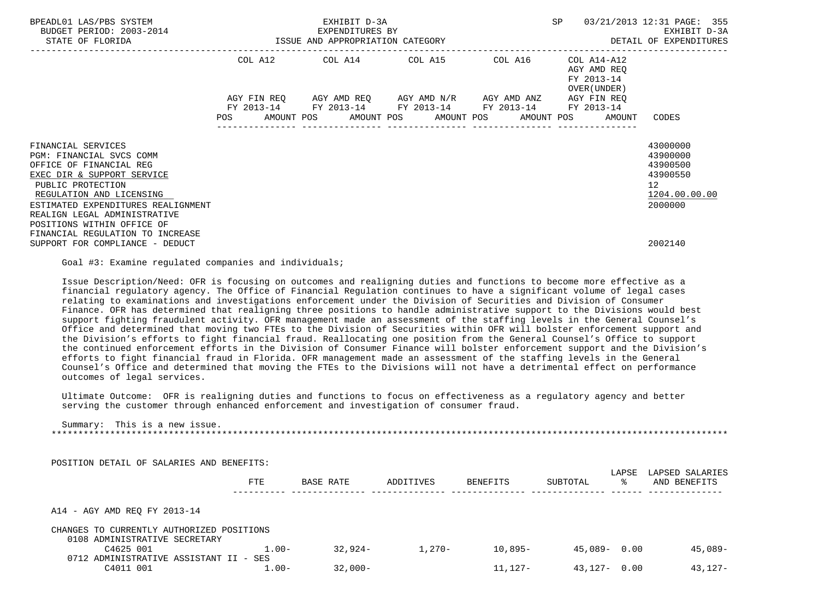| BPEADL01 LAS/PBS SYSTEM<br>BUDGET PERIOD: 2003-2014<br>EXPENDITURES BY<br>ISSUE AND APPROPRIATION CATEGORY<br>STATE OF FLORIDA |  | EXHIBIT D-3A |                                                                                                                                                                                 |         | SP |                                                           | 03/21/2013 12:31 PAGE: 355<br>EXHIBIT D-3A<br>DETAIL OF EXPENDITURES |  |
|--------------------------------------------------------------------------------------------------------------------------------|--|--------------|---------------------------------------------------------------------------------------------------------------------------------------------------------------------------------|---------|----|-----------------------------------------------------------|----------------------------------------------------------------------|--|
|                                                                                                                                |  |              | COL A12 COL A14 COL A15                                                                                                                                                         | COL A16 |    | COL A14-A12<br>AGY AMD REO<br>FY 2013-14<br>OVER (UNDER ) |                                                                      |  |
|                                                                                                                                |  |              | AGY FIN REQ AGY AMD REQ AGY AMD N/R AGY AMD ANZ AGY FIN REQ<br>FY 2013-14 FY 2013-14 FY 2013-14 FY 2013-14 FY 2013-14<br>POS AMOUNT POS AMOUNT POS AMOUNT POS AMOUNT POS AMOUNT |         |    |                                                           | CODES                                                                |  |
|                                                                                                                                |  |              |                                                                                                                                                                                 |         |    |                                                           |                                                                      |  |
| FINANCIAL SERVICES                                                                                                             |  |              |                                                                                                                                                                                 |         |    |                                                           | 43000000                                                             |  |
| PGM: FINANCIAL SVCS COMM                                                                                                       |  |              |                                                                                                                                                                                 |         |    |                                                           | 43900000                                                             |  |
| OFFICE OF FINANCIAL REG<br>EXEC DIR & SUPPORT SERVICE                                                                          |  |              |                                                                                                                                                                                 |         |    |                                                           | 43900500<br>43900550                                                 |  |
| PUBLIC PROTECTION                                                                                                              |  |              |                                                                                                                                                                                 |         |    |                                                           | $12 \overline{ }$                                                    |  |
| REGULATION AND LICENSING                                                                                                       |  |              |                                                                                                                                                                                 |         |    |                                                           | 1204.00.00.00                                                        |  |
| ESTIMATED EXPENDITURES REALIGNMENT                                                                                             |  |              |                                                                                                                                                                                 |         |    |                                                           | 2000000                                                              |  |
| REALIGN LEGAL ADMINISTRATIVE                                                                                                   |  |              |                                                                                                                                                                                 |         |    |                                                           |                                                                      |  |
| POSITIONS WITHIN OFFICE OF                                                                                                     |  |              |                                                                                                                                                                                 |         |    |                                                           |                                                                      |  |
| FINANCIAL REGULATION TO INCREASE                                                                                               |  |              |                                                                                                                                                                                 |         |    |                                                           |                                                                      |  |
| SUPPORT FOR COMPLIANCE - DEDUCT                                                                                                |  |              |                                                                                                                                                                                 |         |    |                                                           | 2002140                                                              |  |

Goal #3: Examine regulated companies and individuals;

 Issue Description/Need: OFR is focusing on outcomes and realigning duties and functions to become more effective as a financial regulatory agency. The Office of Financial Regulation continues to have a significant volume of legal cases relating to examinations and investigations enforcement under the Division of Securities and Division of Consumer Finance. OFR has determined that realigning three positions to handle administrative support to the Divisions would best support fighting fraudulent activity. OFR management made an assessment of the staffing levels in the General Counsel's Office and determined that moving two FTEs to the Division of Securities within OFR will bolster enforcement support and the Division's efforts to fight financial fraud. Reallocating one position from the General Counsel's Office to support the continued enforcement efforts in the Division of Consumer Finance will bolster enforcement support and the Division's efforts to fight financial fraud in Florida. OFR management made an assessment of the staffing levels in the General Counsel's Office and determined that moving the FTEs to the Divisions will not have a detrimental effect on performance outcomes of legal services.

 Ultimate Outcome: OFR is realigning duties and functions to focus on effectiveness as a regulatory agency and better serving the customer through enhanced enforcement and investigation of consumer fraud.

 Summary: This is a new issue. \*\*\*\*\*\*\*\*\*\*\*\*\*\*\*\*\*\*\*\*\*\*\*\*\*\*\*\*\*\*\*\*\*\*\*\*\*\*\*\*\*\*\*\*\*\*\*\*\*\*\*\*\*\*\*\*\*\*\*\*\*\*\*\*\*\*\*\*\*\*\*\*\*\*\*\*\*\*\*\*\*\*\*\*\*\*\*\*\*\*\*\*\*\*\*\*\*\*\*\*\*\*\*\*\*\*\*\*\*\*\*\*\*\*\*\*\*\*\*\*\*\*\*\*\*\*\*

POSITION DETAIL OF SALARIES AND BENEFITS:

|                                           | <b>FTE</b> | BASE RATE | ADDITIVES | <b>BENEFITS</b> | SUBTOTAL | LAPSE<br>°≈ | LAPSED SALARIES<br>AND BENEFITS |
|-------------------------------------------|------------|-----------|-----------|-----------------|----------|-------------|---------------------------------|
| A14 - AGY AMD REO FY 2013-14              |            |           |           |                 |          |             |                                 |
| CHANGES TO CURRENTLY AUTHORIZED POSITIONS |            |           |           |                 |          |             |                                 |
| 0108 ADMINISTRATIVE SECRETARY             |            |           |           |                 |          |             |                                 |
| C4625 001                                 | $1.00 -$   | $32.924-$ | $1.270 -$ | $10,895-$       | 45,089-  | 0.00        | 45,089-                         |
| 0712 ADMINISTRATIVE ASSISTANT II - SES    |            |           |           |                 |          |             |                                 |
| C4011 001                                 | $1.00 -$   | $32,000-$ |           | $11.127 -$      | 43,127-  | 0.00        | $43.127 -$                      |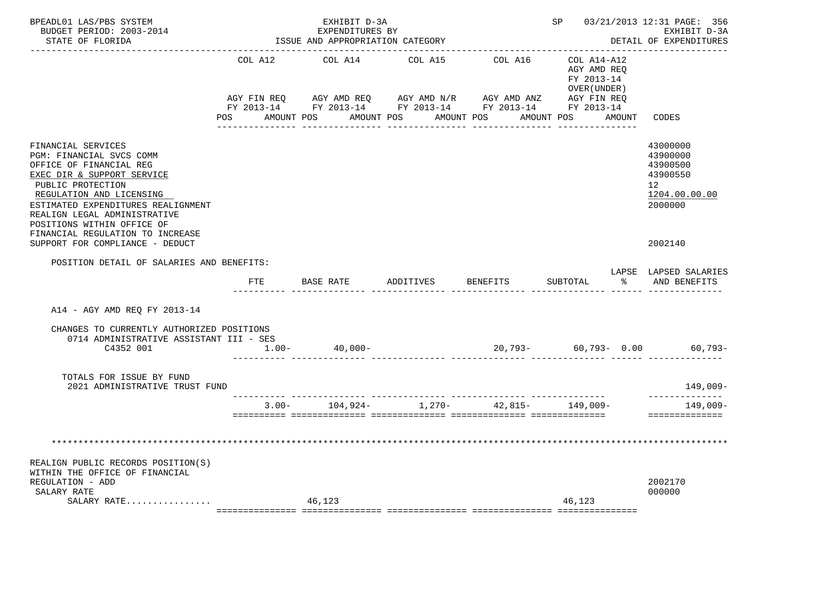| BPEADL01 LAS/PBS SYSTEM<br>BUDGET PERIOD: 2003-2014<br>STATE OF FLORIDA                                                                                                                                                                                                                          |         | EXHIBIT D-3A<br>EXPENDITURES BY<br>ISSUE AND APPROPRIATION CATEGORY |           |                 | SP 03/21/2013 12:31 PAGE: 356<br>EXHIBIT D-3A<br>DETAIL OF EXPENDITURES                                                                                                                                                                                   |  |                                                                                |
|--------------------------------------------------------------------------------------------------------------------------------------------------------------------------------------------------------------------------------------------------------------------------------------------------|---------|---------------------------------------------------------------------|-----------|-----------------|-----------------------------------------------------------------------------------------------------------------------------------------------------------------------------------------------------------------------------------------------------------|--|--------------------------------------------------------------------------------|
|                                                                                                                                                                                                                                                                                                  | COL A12 | COL A14<br>POS AMOUNT POS AMOUNT POS AMOUNT POS                     | COL A15   | COL A16         | COL A14-A12<br>AGY AMD REQ<br>FY 2013-14<br>OVER (UNDER)<br>AGY FIN REQ       AGY AMD REQ       AGY AMD N/R       AGY AMD ANZ       AGY FIN REQ<br>FY 2013-14        FY 2013-14       FY 2013-14        FY 2013-14        FY 2013-14<br>AMOUNT POS AMOUNT |  | CODES                                                                          |
|                                                                                                                                                                                                                                                                                                  |         |                                                                     |           | _______________ | _______________                                                                                                                                                                                                                                           |  |                                                                                |
| FINANCIAL SERVICES<br>PGM: FINANCIAL SVCS COMM<br>OFFICE OF FINANCIAL REG<br>EXEC DIR & SUPPORT SERVICE<br>PUBLIC PROTECTION<br>REGULATION AND LICENSING<br>ESTIMATED EXPENDITURES REALIGNMENT<br>REALIGN LEGAL ADMINISTRATIVE<br>POSITIONS WITHIN OFFICE OF<br>FINANCIAL REGULATION TO INCREASE |         |                                                                     |           |                 |                                                                                                                                                                                                                                                           |  | 43000000<br>43900000<br>43900500<br>43900550<br>12<br>1204.00.00.00<br>2000000 |
| SUPPORT FOR COMPLIANCE - DEDUCT                                                                                                                                                                                                                                                                  |         |                                                                     |           |                 |                                                                                                                                                                                                                                                           |  | 2002140                                                                        |
| POSITION DETAIL OF SALARIES AND BENEFITS:                                                                                                                                                                                                                                                        |         |                                                                     |           |                 |                                                                                                                                                                                                                                                           |  |                                                                                |
|                                                                                                                                                                                                                                                                                                  | FTE     | BASE RATE                                                           | ADDITIVES | BENEFITS        | SUBTOTAL                                                                                                                                                                                                                                                  |  | LAPSE LAPSED SALARIES<br>% AND BENEFITS                                        |
| A14 - AGY AMD REO FY 2013-14                                                                                                                                                                                                                                                                     |         |                                                                     |           |                 |                                                                                                                                                                                                                                                           |  |                                                                                |
| CHANGES TO CURRENTLY AUTHORIZED POSITIONS                                                                                                                                                                                                                                                        |         |                                                                     |           |                 |                                                                                                                                                                                                                                                           |  |                                                                                |
| 0714 ADMINISTRATIVE ASSISTANT III - SES<br>C4352 001                                                                                                                                                                                                                                             |         | $1.00 - 40,000 -$                                                   |           |                 |                                                                                                                                                                                                                                                           |  | $20,793-$ 60,793- 0.00 60,793-                                                 |
| TOTALS FOR ISSUE BY FUND<br>2021 ADMINISTRATIVE TRUST FUND                                                                                                                                                                                                                                       |         |                                                                     |           |                 |                                                                                                                                                                                                                                                           |  | 149,009-<br>--------------                                                     |
|                                                                                                                                                                                                                                                                                                  |         | $3.00 - 104.924 - 1.270 - 42.815 - 149.009 -$                       |           |                 |                                                                                                                                                                                                                                                           |  | 149,009-                                                                       |
| REALIGN PUBLIC RECORDS POSITION(S)<br>WITHIN THE OFFICE OF FINANCIAL<br>REGULATION - ADD<br>SALARY RATE                                                                                                                                                                                          |         |                                                                     |           |                 |                                                                                                                                                                                                                                                           |  | ==============<br>2002170<br>000000                                            |
| SALARY RATE                                                                                                                                                                                                                                                                                      |         | 46,123                                                              |           |                 | 46,123                                                                                                                                                                                                                                                    |  |                                                                                |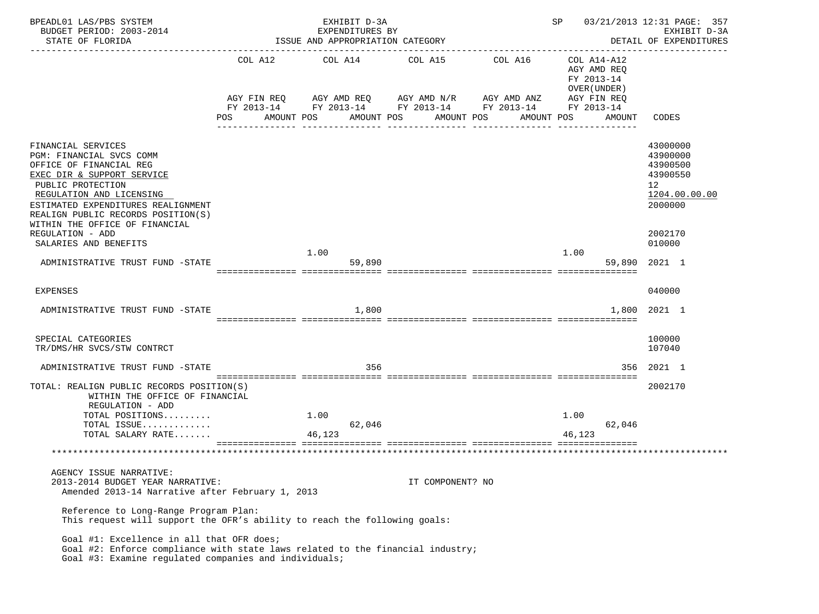| BPEADL01 LAS/PBS SYSTEM<br>BUDGET PERIOD: 2003-2014                                                                                                                                                                                                                                                                 |      | EXHIBIT D-3A<br>EXPENDITURES BY                                                          |                        |                                                                                               | SP                                                                                | 03/21/2013 12:31 PAGE: 357<br>EXHIBIT D-3A                                                          |
|---------------------------------------------------------------------------------------------------------------------------------------------------------------------------------------------------------------------------------------------------------------------------------------------------------------------|------|------------------------------------------------------------------------------------------|------------------------|-----------------------------------------------------------------------------------------------|-----------------------------------------------------------------------------------|-----------------------------------------------------------------------------------------------------|
| STATE OF FLORIDA                                                                                                                                                                                                                                                                                                    |      | ISSUE AND APPROPRIATION CATEGORY                                                         | DETAIL OF EXPENDITURES |                                                                                               |                                                                                   |                                                                                                     |
|                                                                                                                                                                                                                                                                                                                     | POS. | COL A12 COL A14 COL A15<br>AGY FIN REQ AGY AMD REQ AGY AMD N/R AGY AMD ANZ<br>AMOUNT POS | AMOUNT POS             | COL A16<br>FY 2013-14 FY 2013-14 FY 2013-14 FY 2013-14 FY 2013-14<br>AMOUNT POS<br>AMOUNT POS | COL A14-A12<br>AGY AMD REQ<br>FY 2013-14<br>OVER (UNDER)<br>AGY FIN REQ<br>AMOUNT | CODES                                                                                               |
| FINANCIAL SERVICES<br>PGM: FINANCIAL SVCS COMM<br>OFFICE OF FINANCIAL REG<br>EXEC DIR & SUPPORT SERVICE<br>PUBLIC PROTECTION<br>REGULATION AND LICENSING<br>ESTIMATED EXPENDITURES REALIGNMENT<br>REALIGN PUBLIC RECORDS POSITION(S)<br>WITHIN THE OFFICE OF FINANCIAL<br>REGULATION - ADD<br>SALARIES AND BENEFITS |      |                                                                                          |                        |                                                                                               |                                                                                   | 43000000<br>43900000<br>43900500<br>43900550<br>12<br>1204.00.00.00<br>2000000<br>2002170<br>010000 |
|                                                                                                                                                                                                                                                                                                                     |      | 1.00                                                                                     |                        |                                                                                               | 1.00                                                                              |                                                                                                     |
| ADMINISTRATIVE TRUST FUND -STATE                                                                                                                                                                                                                                                                                    |      | 59,890                                                                                   |                        |                                                                                               |                                                                                   | 59,890 2021 1                                                                                       |
| EXPENSES                                                                                                                                                                                                                                                                                                            |      |                                                                                          |                        |                                                                                               |                                                                                   | 040000                                                                                              |
| ADMINISTRATIVE TRUST FUND -STATE                                                                                                                                                                                                                                                                                    |      | 1,800                                                                                    |                        |                                                                                               | 1,800                                                                             | 2021 1                                                                                              |
| SPECIAL CATEGORIES<br>TR/DMS/HR SVCS/STW CONTRCT                                                                                                                                                                                                                                                                    |      |                                                                                          |                        |                                                                                               |                                                                                   | 100000<br>107040                                                                                    |
| ADMINISTRATIVE TRUST FUND -STATE                                                                                                                                                                                                                                                                                    |      | 356                                                                                      |                        |                                                                                               |                                                                                   | 356 2021 1                                                                                          |
| TOTAL: REALIGN PUBLIC RECORDS POSITION(S)<br>WITHIN THE OFFICE OF FINANCIAL<br>REGULATION - ADD<br>TOTAL POSITIONS<br>TOTAL ISSUE<br>TOTAL SALARY RATE                                                                                                                                                              |      | 1.00<br>62,046<br>46,123                                                                 |                        |                                                                                               | 1.00<br>62,046<br>46,123                                                          | 2002170                                                                                             |
|                                                                                                                                                                                                                                                                                                                     |      |                                                                                          |                        |                                                                                               |                                                                                   |                                                                                                     |
| AGENCY ISSUE NARRATIVE:<br>2013-2014 BUDGET YEAR NARRATIVE:<br>Amended 2013-14 Narrative after February 1, 2013<br>Reference to Long-Range Program Plan:<br>This request will support the OFR's ability to reach the following goals:                                                                               |      |                                                                                          | IT COMPONENT? NO       |                                                                                               |                                                                                   |                                                                                                     |
| Goal #1: Excellence in all that OFR does;<br>Goal #2: Enforce compliance with state laws related to the financial industry;<br>Goal #3: Examine regulated companies and individuals;                                                                                                                                |      |                                                                                          |                        |                                                                                               |                                                                                   |                                                                                                     |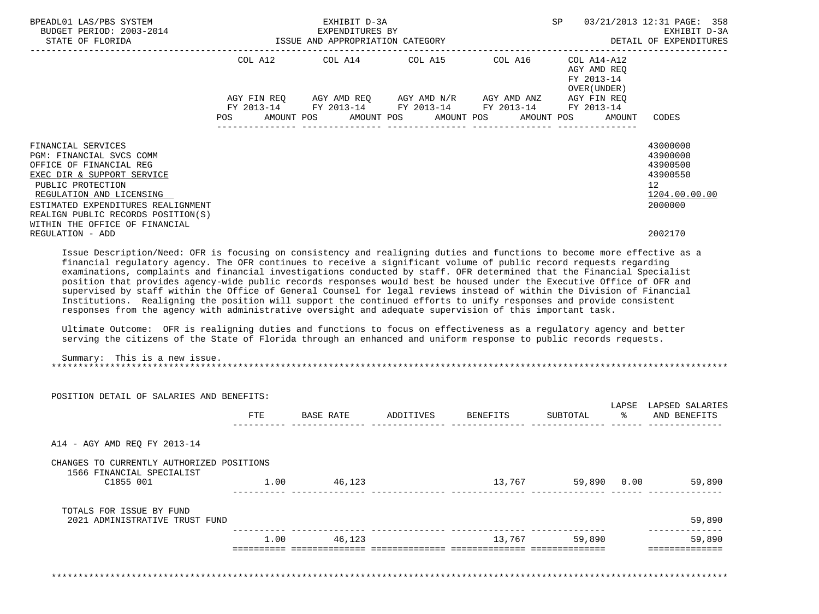| BPEADL01 LAS/PBS SYSTEM<br>BUDGET PERIOD: 2003-2014<br>STATE OF FLORIDA                                                                                                                                                                                                                                                                                                                                                                                                                                                                                                                                                                                                                                                                                                                                                                                                                                                                                                                                                                                                                                                                                          | EXHIBIT D-3A<br>EXPENDITURES BY<br>ISSUE AND APPROPRIATION CATEGORY |                                                                                                                                                                              |  |                                           |                                           | SP<br>03/21/2013 12:31 PAGE: 358<br>EXHIBIT D-3A<br>DETAIL OF EXPENDITURES |                                                                                             |  |
|------------------------------------------------------------------------------------------------------------------------------------------------------------------------------------------------------------------------------------------------------------------------------------------------------------------------------------------------------------------------------------------------------------------------------------------------------------------------------------------------------------------------------------------------------------------------------------------------------------------------------------------------------------------------------------------------------------------------------------------------------------------------------------------------------------------------------------------------------------------------------------------------------------------------------------------------------------------------------------------------------------------------------------------------------------------------------------------------------------------------------------------------------------------|---------------------------------------------------------------------|------------------------------------------------------------------------------------------------------------------------------------------------------------------------------|--|-------------------------------------------|-------------------------------------------|----------------------------------------------------------------------------|---------------------------------------------------------------------------------------------|--|
|                                                                                                                                                                                                                                                                                                                                                                                                                                                                                                                                                                                                                                                                                                                                                                                                                                                                                                                                                                                                                                                                                                                                                                  | POS                                                                 | COL A12 COL A14<br>AGY FIN REQ AGY AMD REQ AGY AMD N/R AGY AMD ANZ AGY FIN REQ<br>FY 2013-14 FY 2013-14 FY 2013-14 FY 2013-14 FY 2013-14<br>AMOUNT POS AMOUNT POS AMOUNT POS |  | COL A15 COL A16 COL A14-A12<br>AMOUNT POS | AGY AMD REO<br>FY 2013-14<br>OVER (UNDER) | AMOUNT                                                                     | CODES                                                                                       |  |
| FINANCIAL SERVICES<br>PGM: FINANCIAL SVCS COMM<br>OFFICE OF FINANCIAL REG<br>EXEC DIR & SUPPORT SERVICE<br>PUBLIC PROTECTION<br>REGULATION AND LICENSING<br>ESTIMATED EXPENDITURES REALIGNMENT<br>REALIGN PUBLIC RECORDS POSITION(S)<br>WITHIN THE OFFICE OF FINANCIAL                                                                                                                                                                                                                                                                                                                                                                                                                                                                                                                                                                                                                                                                                                                                                                                                                                                                                           |                                                                     |                                                                                                                                                                              |  |                                           |                                           |                                                                            | 43000000<br>43900000<br>43900500<br>43900550<br>12 <sup>°</sup><br>1204.00.00.00<br>2000000 |  |
| REGULATION - ADD<br>Issue Description/Need: OFR is focusing on consistency and realigning duties and functions to become more effective as a<br>financial requlatory agency. The OFR continues to receive a significant volume of public record requests regarding<br>examinations, complaints and financial investigations conducted by staff. OFR determined that the Financial Specialist<br>position that provides agency-wide public records responses would best be housed under the Executive Office of OFR and<br>supervised by staff within the Office of General Counsel for legal reviews instead of within the Division of Financial<br>Institutions. Realigning the position will support the continued efforts to unify responses and provide consistent<br>responses from the agency with administrative oversight and adequate supervision of this important task.<br>Ultimate Outcome: OFR is realigning duties and functions to focus on effectiveness as a regulatory agency and better<br>serving the citizens of the State of Florida through an enhanced and uniform response to public records requests.<br>Summary: This is a new issue. |                                                                     |                                                                                                                                                                              |  |                                           |                                           |                                                                            | 2002170                                                                                     |  |
| POSITION DETAIL OF SALARIES AND BENEFITS:                                                                                                                                                                                                                                                                                                                                                                                                                                                                                                                                                                                                                                                                                                                                                                                                                                                                                                                                                                                                                                                                                                                        |                                                                     |                                                                                                                                                                              |  |                                           |                                           |                                                                            |                                                                                             |  |
|                                                                                                                                                                                                                                                                                                                                                                                                                                                                                                                                                                                                                                                                                                                                                                                                                                                                                                                                                                                                                                                                                                                                                                  | FTE                                                                 | BASE RATE ADDITIVES BENEFITS                                                                                                                                                 |  |                                           | SUBTOTAL                                  | ిన                                                                         | LAPSE LAPSED SALARIES<br>AND BENEFITS                                                       |  |
| A14 - AGY AMD REO FY 2013-14                                                                                                                                                                                                                                                                                                                                                                                                                                                                                                                                                                                                                                                                                                                                                                                                                                                                                                                                                                                                                                                                                                                                     |                                                                     |                                                                                                                                                                              |  |                                           |                                           |                                                                            |                                                                                             |  |

CHANGES TO CURRENTLY AUTHORIZED POSITIONS

 1566 FINANCIAL SPECIALIST C1855 001 1.00 46,123 13,767 59,890 0.00 59,890 ---------- -------------- -------------- -------------- -------------- ------ -------------- TOTALS FOR ISSUE BY FUND 2021 ADMINISTRATIVE TRUST FUND 59,890

|                        |                 |  |      | --------------------<br>---- |
|------------------------|-----------------|--|------|------------------------------|
| - - - - - -            |                 |  |      |                              |
| 890<br>ה:              | 89 C<br>∶ ∩.    |  | 1.00 |                              |
| ____<br>______________ | _______________ |  |      |                              |

\*\*\*\*\*\*\*\*\*\*\*\*\*\*\*\*\*\*\*\*\*\*\*\*\*\*\*\*\*\*\*\*\*\*\*\*\*\*\*\*\*\*\*\*\*\*\*\*\*\*\*\*\*\*\*\*\*\*\*\*\*\*\*\*\*\*\*\*\*\*\*\*\*\*\*\*\*\*\*\*\*\*\*\*\*\*\*\*\*\*\*\*\*\*\*\*\*\*\*\*\*\*\*\*\*\*\*\*\*\*\*\*\*\*\*\*\*\*\*\*\*\*\*\*\*\*\*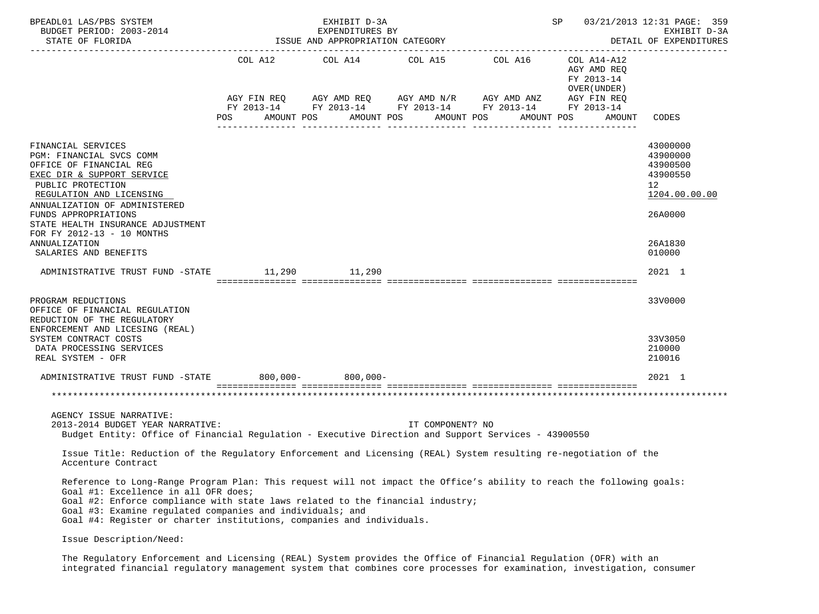| CODES                                                                                                                 |
|-----------------------------------------------------------------------------------------------------------------------|
| 43000000<br>43900000<br>43900500<br>43900550<br>1204.00.00.00<br>26A0000<br>26A1830<br>010000                         |
| 2021 1                                                                                                                |
| 33V0000<br>33V3050<br>210000<br>210016                                                                                |
| 2021 1                                                                                                                |
|                                                                                                                       |
|                                                                                                                       |
|                                                                                                                       |
| Reference to Long-Range Program Plan: This request will not impact the Office's ability to reach the following goals: |
|                                                                                                                       |

 The Regulatory Enforcement and Licensing (REAL) System provides the Office of Financial Regulation (OFR) with an integrated financial regulatory management system that combines core processes for examination, investigation, consumer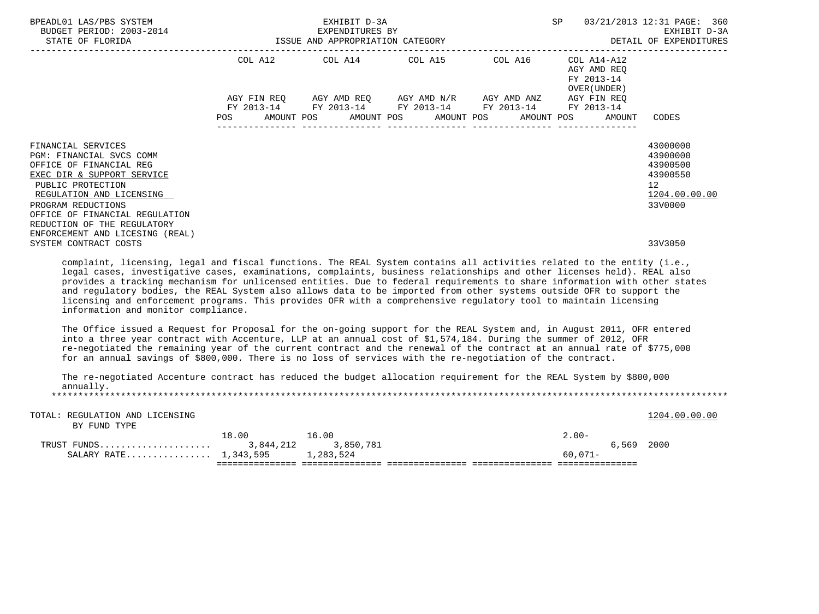| COL A15 COL A16 COL A14-A12<br>COL A12<br>COL A14<br>AGY AMD REO<br>FY 2013-14<br>OVER (UNDER)<br>AGY AMD REQ AGY AMD $N/R$ AGY AMD ANZ AGY FIN REQ<br>AGY FIN REQ<br>FY 2013-14 FY 2013-14 FY 2013-14 FY 2013-14 FY 2013-14<br>AMOUNT POS<br>POS<br>AMOUNT POS<br>AMOUNT POS<br>AMOUNT POS<br><b>AMOUNT</b><br>CODES<br>43000000<br>FINANCIAL SERVICES<br>43900000<br>PGM: FINANCIAL SVCS COMM<br>OFFICE OF FINANCIAL REG<br>43900500<br>43900550<br>EXEC DIR & SUPPORT SERVICE<br>PUBLIC PROTECTION<br>$12 \overline{ }$<br>REGULATION AND LICENSING<br>1204.00.00.00<br>33V0000<br>PROGRAM REDUCTIONS<br>OFFICE OF FINANCIAL REGULATION<br>REDUCTION OF THE REGULATORY<br>ENFORCEMENT AND LICESING (REAL)<br>SYSTEM CONTRACT COSTS<br>33V3050<br>complaint, licensing, legal and fiscal functions. The REAL System contains all activities related to the entity (i.e.,<br>legal cases, investigative cases, examinations, complaints, business relationships and other licenses held). REAL also<br>provides a tracking mechanism for unlicensed entities. Due to federal requirements to share information with other states<br>and regulatory bodies, the REAL System also allows data to be imported from other systems outside OFR to support the<br>licensing and enforcement programs. This provides OFR with a comprehensive regulatory tool to maintain licensing<br>information and monitor compliance.<br>The Office issued a Request for Proposal for the on-going support for the REAL System and, in August 2011, OFR entered<br>into a three year contract with Accenture, LLP at an annual cost of \$1,574,184. During the summer of 2012, OFR<br>re-negotiated the remaining year of the current contract and the renewal of the contract at an annual rate of \$775,000<br>for an annual savings of \$800,000. There is no loss of services with the re-negotiation of the contract.<br>The re-negotiated Accenture contract has reduced the budget allocation requirement for the REAL System by \$800,000<br>annually.<br>TOTAL: REGULATION AND LICENSING<br>1204.00.00.00<br>BY FUND TYPE<br>18.00<br>16.00<br>$2.00 -$<br>3,850,781<br>6,569 2000<br>SALARY RATE 1,343,595<br>1,283,524<br>$60.071 -$ | BPEADL01 LAS/PBS SYSTEM<br>BUDGET PERIOD: 2003-2014<br>STATE OF FLORIDA | EXHIBIT D-3A<br>EXPENDITURES BY<br>ISSUE AND APPROPRIATION CATEGORY | SP | 03/21/2013 12:31 PAGE: 360<br>EXHIBIT D-3A<br>DETAIL OF EXPENDITURES |  |
|--------------------------------------------------------------------------------------------------------------------------------------------------------------------------------------------------------------------------------------------------------------------------------------------------------------------------------------------------------------------------------------------------------------------------------------------------------------------------------------------------------------------------------------------------------------------------------------------------------------------------------------------------------------------------------------------------------------------------------------------------------------------------------------------------------------------------------------------------------------------------------------------------------------------------------------------------------------------------------------------------------------------------------------------------------------------------------------------------------------------------------------------------------------------------------------------------------------------------------------------------------------------------------------------------------------------------------------------------------------------------------------------------------------------------------------------------------------------------------------------------------------------------------------------------------------------------------------------------------------------------------------------------------------------------------------------------------------------------------------------------------------------------------------------------------------------------------------------------------------------------------------------------------------------------------------------------------------------------------------------------------------------------------------------------------------------------------------------------------------------------------------------------------------------------------------------------------------------------------|-------------------------------------------------------------------------|---------------------------------------------------------------------|----|----------------------------------------------------------------------|--|
|                                                                                                                                                                                                                                                                                                                                                                                                                                                                                                                                                                                                                                                                                                                                                                                                                                                                                                                                                                                                                                                                                                                                                                                                                                                                                                                                                                                                                                                                                                                                                                                                                                                                                                                                                                                                                                                                                                                                                                                                                                                                                                                                                                                                                                |                                                                         |                                                                     |    |                                                                      |  |
|                                                                                                                                                                                                                                                                                                                                                                                                                                                                                                                                                                                                                                                                                                                                                                                                                                                                                                                                                                                                                                                                                                                                                                                                                                                                                                                                                                                                                                                                                                                                                                                                                                                                                                                                                                                                                                                                                                                                                                                                                                                                                                                                                                                                                                |                                                                         |                                                                     |    |                                                                      |  |
|                                                                                                                                                                                                                                                                                                                                                                                                                                                                                                                                                                                                                                                                                                                                                                                                                                                                                                                                                                                                                                                                                                                                                                                                                                                                                                                                                                                                                                                                                                                                                                                                                                                                                                                                                                                                                                                                                                                                                                                                                                                                                                                                                                                                                                |                                                                         |                                                                     |    |                                                                      |  |
|                                                                                                                                                                                                                                                                                                                                                                                                                                                                                                                                                                                                                                                                                                                                                                                                                                                                                                                                                                                                                                                                                                                                                                                                                                                                                                                                                                                                                                                                                                                                                                                                                                                                                                                                                                                                                                                                                                                                                                                                                                                                                                                                                                                                                                |                                                                         |                                                                     |    |                                                                      |  |
|                                                                                                                                                                                                                                                                                                                                                                                                                                                                                                                                                                                                                                                                                                                                                                                                                                                                                                                                                                                                                                                                                                                                                                                                                                                                                                                                                                                                                                                                                                                                                                                                                                                                                                                                                                                                                                                                                                                                                                                                                                                                                                                                                                                                                                |                                                                         |                                                                     |    |                                                                      |  |
|                                                                                                                                                                                                                                                                                                                                                                                                                                                                                                                                                                                                                                                                                                                                                                                                                                                                                                                                                                                                                                                                                                                                                                                                                                                                                                                                                                                                                                                                                                                                                                                                                                                                                                                                                                                                                                                                                                                                                                                                                                                                                                                                                                                                                                |                                                                         |                                                                     |    |                                                                      |  |
|                                                                                                                                                                                                                                                                                                                                                                                                                                                                                                                                                                                                                                                                                                                                                                                                                                                                                                                                                                                                                                                                                                                                                                                                                                                                                                                                                                                                                                                                                                                                                                                                                                                                                                                                                                                                                                                                                                                                                                                                                                                                                                                                                                                                                                |                                                                         |                                                                     |    |                                                                      |  |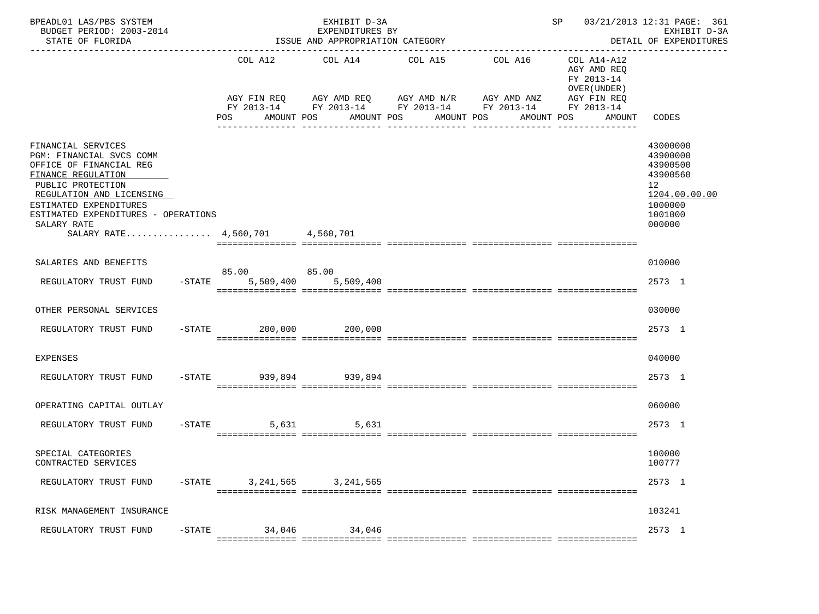| BPEADL01 LAS/PBS SYSTEM<br>BUDGET PERIOD: 2003-2014<br>STATE OF FLORIDA                                                                                                                                                                                             |           |                              | EXHIBIT D-3A<br>EXPENDITURES BY<br>ISSUE AND APPROPRIATION CATEGORY<br>------------------------ |                                     |                                                                      | SP                                                                                              | 03/21/2013 12:31 PAGE: 361<br>EXHIBIT D-3A<br>DETAIL OF EXPENDITURES<br>-------------               |
|---------------------------------------------------------------------------------------------------------------------------------------------------------------------------------------------------------------------------------------------------------------------|-----------|------------------------------|-------------------------------------------------------------------------------------------------|-------------------------------------|----------------------------------------------------------------------|-------------------------------------------------------------------------------------------------|-----------------------------------------------------------------------------------------------------|
|                                                                                                                                                                                                                                                                     |           | COL A12<br>POS<br>AMOUNT POS | COL A14<br>AGY FIN REQ AGY AMD REQ AGY AMD N/R AGY AMD ANZ                                      | COL A15<br>AMOUNT POS<br>AMOUNT POS | COL A16<br>FY 2013-14 FY 2013-14 FY 2013-14 FY 2013-14<br>AMOUNT POS | COL A14-A12<br>AGY AMD REQ<br>FY 2013-14<br>OVER (UNDER)<br>AGY FIN REQ<br>FY 2013-14<br>AMOUNT | CODES                                                                                               |
| FINANCIAL SERVICES<br>PGM: FINANCIAL SVCS COMM<br>OFFICE OF FINANCIAL REG<br>FINANCE REGULATION<br>PUBLIC PROTECTION<br>REGULATION AND LICENSING<br>ESTIMATED EXPENDITURES<br>ESTIMATED EXPENDITURES - OPERATIONS<br>SALARY RATE<br>SALARY RATE 4,560,701 4,560,701 |           |                              |                                                                                                 |                                     |                                                                      |                                                                                                 | 43000000<br>43900000<br>43900500<br>43900560<br>12<br>1204.00.00.00<br>1000000<br>1001000<br>000000 |
| SALARIES AND BENEFITS                                                                                                                                                                                                                                               |           | 85.00 85.00                  |                                                                                                 |                                     |                                                                      |                                                                                                 | 010000                                                                                              |
| REGULATORY TRUST FUND                                                                                                                                                                                                                                               | $-$ STATE | 5,509,400                    | 5,509,400                                                                                       |                                     |                                                                      |                                                                                                 | 2573 1                                                                                              |
| OTHER PERSONAL SERVICES                                                                                                                                                                                                                                             |           |                              |                                                                                                 |                                     |                                                                      |                                                                                                 | 030000                                                                                              |
| REGULATORY TRUST FUND                                                                                                                                                                                                                                               |           | $-$ STATE 200,000            | 200,000                                                                                         |                                     |                                                                      |                                                                                                 | 2573 1                                                                                              |
| EXPENSES                                                                                                                                                                                                                                                            |           |                              |                                                                                                 |                                     |                                                                      |                                                                                                 | 040000                                                                                              |
| REGULATORY TRUST FUND                                                                                                                                                                                                                                               |           | $-$ STATE 939,894            | 939,894                                                                                         |                                     |                                                                      |                                                                                                 | 2573 1                                                                                              |
| OPERATING CAPITAL OUTLAY                                                                                                                                                                                                                                            |           |                              |                                                                                                 |                                     |                                                                      |                                                                                                 | 060000                                                                                              |
| REGULATORY TRUST FUND                                                                                                                                                                                                                                               |           | $-$ STATE<br>5,631           | 5,631                                                                                           |                                     |                                                                      |                                                                                                 | 2573 1                                                                                              |
| SPECIAL CATEGORIES<br>CONTRACTED SERVICES                                                                                                                                                                                                                           |           |                              |                                                                                                 |                                     |                                                                      |                                                                                                 | 100000<br>100777                                                                                    |
| REGULATORY TRUST FUND                                                                                                                                                                                                                                               | $-$ STATE | 3,241,565                    | 3, 241, 565                                                                                     |                                     |                                                                      |                                                                                                 | 2573 1                                                                                              |
| RISK MANAGEMENT INSURANCE                                                                                                                                                                                                                                           |           |                              |                                                                                                 |                                     |                                                                      |                                                                                                 | 103241                                                                                              |
| REGULATORY TRUST FUND                                                                                                                                                                                                                                               | $-$ STATE | 34,046                       | 34,046                                                                                          |                                     |                                                                      |                                                                                                 | 2573 1                                                                                              |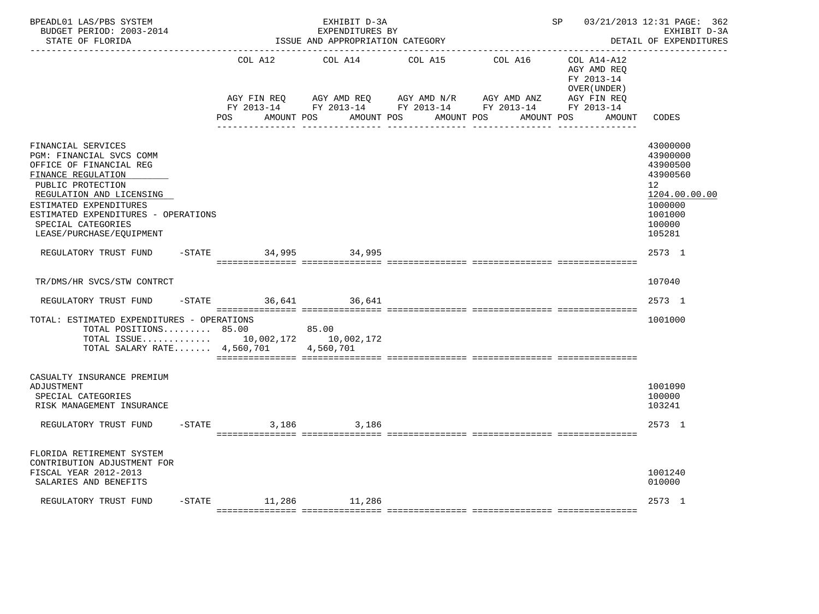| BPEADL01 LAS/PBS SYSTEM<br>BUDGET PERIOD: 2003-2014<br>STATE OF FLORIDA                                                                                                                                                                                             |           |                          | EXHIBIT D-3A<br>EXPENDITURES BY<br>ISSUE AND APPROPRIATION CATEGORY |                                                                                         | ------------------------ | SP                                                                      | 03/21/2013 12:31 PAGE: 362<br>EXHIBIT D-3A<br>DETAIL OF EXPENDITURES                                          |
|---------------------------------------------------------------------------------------------------------------------------------------------------------------------------------------------------------------------------------------------------------------------|-----------|--------------------------|---------------------------------------------------------------------|-----------------------------------------------------------------------------------------|--------------------------|-------------------------------------------------------------------------|---------------------------------------------------------------------------------------------------------------|
|                                                                                                                                                                                                                                                                     |           | COL A12<br>AGY FIN REO   | COL A14<br>AGY AMD REQ                                              | COL A15<br>AGY AMD N/R                                                                  | COL A16<br>AGY AMD ANZ   | COL A14-A12<br>AGY AMD REO<br>FY 2013-14<br>OVER (UNDER)<br>AGY FIN REQ |                                                                                                               |
|                                                                                                                                                                                                                                                                     |           | <b>POS</b><br>AMOUNT POS | AMOUNT POS                                                          | FY 2013-14 FY 2013-14 FY 2013-14 FY 2013-14 FY 2013-14<br>AMOUNT POS<br>il littististis | AMOUNT POS               | AMOUNT                                                                  | CODES                                                                                                         |
| FINANCIAL SERVICES<br>PGM: FINANCIAL SVCS COMM<br>OFFICE OF FINANCIAL REG<br>FINANCE REGULATION<br>PUBLIC PROTECTION<br>REGULATION AND LICENSING<br>ESTIMATED EXPENDITURES<br>ESTIMATED EXPENDITURES - OPERATIONS<br>SPECIAL CATEGORIES<br>LEASE/PURCHASE/EQUIPMENT |           |                          |                                                                     |                                                                                         |                          |                                                                         | 43000000<br>43900000<br>43900500<br>43900560<br>12<br>1204.00.00.00<br>1000000<br>1001000<br>100000<br>105281 |
| REGULATORY TRUST FUND                                                                                                                                                                                                                                               |           | -STATE 34,995 34,995     |                                                                     |                                                                                         |                          |                                                                         | 2573 1                                                                                                        |
| TR/DMS/HR SVCS/STW CONTRCT<br>REGULATORY TRUST FUND                                                                                                                                                                                                                 | $-$ STATE |                          | 36,641 36,641                                                       |                                                                                         |                          |                                                                         | 107040<br>2573 1                                                                                              |
| TOTAL: ESTIMATED EXPENDITURES - OPERATIONS<br>TOTAL POSITIONS $85.00$<br>TOTAL ISSUE 10,002,172 10,002,172<br>TOTAL SALARY RATE $4,560,701$                                                                                                                         |           |                          | 85.00<br>4,560,701                                                  |                                                                                         |                          |                                                                         | 1001000                                                                                                       |
| CASUALTY INSURANCE PREMIUM<br>ADJUSTMENT<br>SPECIAL CATEGORIES<br>RISK MANAGEMENT INSURANCE                                                                                                                                                                         |           |                          |                                                                     |                                                                                         |                          |                                                                         | 1001090<br>100000<br>103241                                                                                   |
| REGULATORY TRUST FUND                                                                                                                                                                                                                                               |           | $-STATE$<br>3,186        | 3,186                                                               |                                                                                         |                          |                                                                         | 2573 1                                                                                                        |
| FLORIDA RETIREMENT SYSTEM<br>CONTRIBUTION ADJUSTMENT FOR<br>FISCAL YEAR 2012-2013<br>SALARIES AND BENEFITS                                                                                                                                                          |           |                          |                                                                     |                                                                                         |                          |                                                                         | 1001240<br>010000                                                                                             |
| REGULATORY TRUST FUND                                                                                                                                                                                                                                               |           | $-STATE$ 11,286          | 11,286                                                              |                                                                                         |                          |                                                                         | 2573 1                                                                                                        |
|                                                                                                                                                                                                                                                                     |           |                          |                                                                     |                                                                                         |                          |                                                                         |                                                                                                               |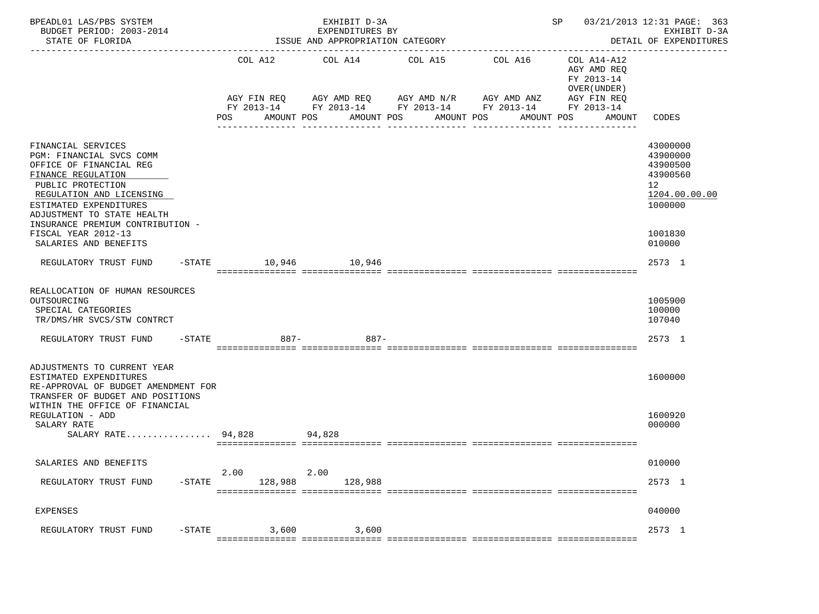| BPEADL01 LAS/PBS SYSTEM<br>BUDGET PERIOD: 2003-2014<br>STATE OF FLORIDA                                                                                                                                                                                                                      |           |                                                                                                                                     |         |            | EXHIBIT D-3A<br>EXPENDITURES BY<br>ISSUE AND APPROPRIATION CATEGORY |                                                  |         |            |                                                                          | SP 03/21/2013 12:31 PAGE: 363<br>EXHIBIT D-3A<br>DETAIL OF EXPENDITURES                                           |
|----------------------------------------------------------------------------------------------------------------------------------------------------------------------------------------------------------------------------------------------------------------------------------------------|-----------|-------------------------------------------------------------------------------------------------------------------------------------|---------|------------|---------------------------------------------------------------------|--------------------------------------------------|---------|------------|--------------------------------------------------------------------------|-------------------------------------------------------------------------------------------------------------------|
|                                                                                                                                                                                                                                                                                              |           | AGY FIN REQ AGY AMD REQ AGY AMD N/R AGY AMD ANZ AGY FIN REQ<br>FY 2013-14 FY 2013-14 FY 2013-14 FY 2013-14 FY 2013-14<br><b>POS</b> |         | AMOUNT POS |                                                                     | COL A12 COL A14 COL A15<br>AMOUNT POS AMOUNT POS | COL A16 | AMOUNT POS | COL A14-A12<br>AGY AMD REO<br>FY 2013-14<br>OVER (UNDER)<br>AMOUNT CODES |                                                                                                                   |
| FINANCIAL SERVICES<br>PGM: FINANCIAL SVCS COMM<br>OFFICE OF FINANCIAL REG<br>FINANCE REGULATION<br>PUBLIC PROTECTION<br>REGULATION AND LICENSING<br>ESTIMATED EXPENDITURES<br>ADJUSTMENT TO STATE HEALTH<br>INSURANCE PREMIUM CONTRIBUTION -<br>FISCAL YEAR 2012-13<br>SALARIES AND BENEFITS |           |                                                                                                                                     |         |            |                                                                     |                                                  |         |            |                                                                          | 43000000<br>43900000<br>43900500<br>43900560<br>12 <sup>12</sup><br>1204.00.00.00<br>1000000<br>1001830<br>010000 |
| REGULATORY TRUST FUND                                                                                                                                                                                                                                                                        |           | -STATE 10,946 10,946                                                                                                                |         |            |                                                                     |                                                  |         |            |                                                                          | 2573 1                                                                                                            |
| REALLOCATION OF HUMAN RESOURCES<br>OUTSOURCING<br>SPECIAL CATEGORIES<br>TR/DMS/HR SVCS/STW CONTRCT<br>REGULATORY TRUST FUND                                                                                                                                                                  |           | -STATE 887- 887-                                                                                                                    |         |            |                                                                     |                                                  |         |            |                                                                          | 1005900<br>100000<br>107040<br>2573 1                                                                             |
| ADJUSTMENTS TO CURRENT YEAR<br>ESTIMATED EXPENDITURES<br>RE-APPROVAL OF BUDGET AMENDMENT FOR<br>TRANSFER OF BUDGET AND POSITIONS<br>WITHIN THE OFFICE OF FINANCIAL                                                                                                                           |           |                                                                                                                                     |         |            |                                                                     |                                                  |         |            |                                                                          | 1600000                                                                                                           |
| REGULATION - ADD<br>SALARY RATE<br>SALARY RATE 94,828 94,828                                                                                                                                                                                                                                 |           |                                                                                                                                     |         |            |                                                                     |                                                  |         |            |                                                                          | 1600920<br>000000                                                                                                 |
| SALARIES AND BENEFITS                                                                                                                                                                                                                                                                        |           |                                                                                                                                     |         |            |                                                                     |                                                  |         |            |                                                                          | 010000                                                                                                            |
| REGULATORY TRUST FUND                                                                                                                                                                                                                                                                        | $-STATE$  | 2.00                                                                                                                                | 128,988 | 2.00       | 128,988                                                             |                                                  |         |            |                                                                          | 2573 1                                                                                                            |
| <b>EXPENSES</b>                                                                                                                                                                                                                                                                              |           |                                                                                                                                     |         |            |                                                                     |                                                  |         |            |                                                                          | 040000                                                                                                            |
| REGULATORY TRUST FUND                                                                                                                                                                                                                                                                        | $-$ STATE |                                                                                                                                     | 3,600   |            | 3,600                                                               |                                                  |         |            |                                                                          | 2573 1                                                                                                            |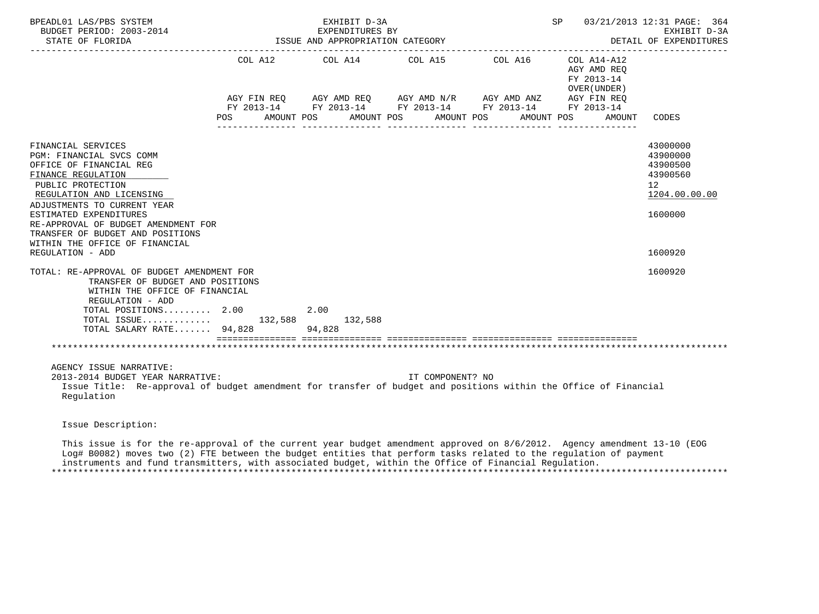| BPEADL01 LAS/PBS SYSTEM<br>BUDGET PERIOD: 2003-2014<br>STATE OF FLORIDA                                                                                                                                                                                                                                                |                | EXHIBIT D-3A<br>EXPENDITURES BY<br>ISSUE AND APPROPRIATION CATEGORY |                       | SP 03/21/2013 12:31 PAGE: 364                                     | EXHIBIT D-3A<br>DETAIL OF EXPENDITURES                                                      |
|------------------------------------------------------------------------------------------------------------------------------------------------------------------------------------------------------------------------------------------------------------------------------------------------------------------------|----------------|---------------------------------------------------------------------|-----------------------|-------------------------------------------------------------------|---------------------------------------------------------------------------------------------|
|                                                                                                                                                                                                                                                                                                                        | POS AMOUNT POS | COL A12 COL A14 COL A15 COL A16 COL A14-A12                         | AMOUNT POS AMOUNT POS | AGY AMD REO<br>FY 2013-14<br>OVER (UNDER)<br>AMOUNT POS<br>AMOUNT | CODES                                                                                       |
| FINANCIAL SERVICES<br>PGM: FINANCIAL SVCS COMM<br>OFFICE OF FINANCIAL REG<br>FINANCE REGULATION<br>PUBLIC PROTECTION<br>REGULATION AND LICENSING<br>ADJUSTMENTS TO CURRENT YEAR<br>ESTIMATED EXPENDITURES<br>RE-APPROVAL OF BUDGET AMENDMENT FOR<br>TRANSFER OF BUDGET AND POSITIONS<br>WITHIN THE OFFICE OF FINANCIAL |                |                                                                     |                       |                                                                   | 43000000<br>43900000<br>43900500<br>43900560<br>12 <sup>°</sup><br>1204.00.00.00<br>1600000 |
| REGULATION - ADD                                                                                                                                                                                                                                                                                                       |                |                                                                     |                       |                                                                   | 1600920                                                                                     |
| TOTAL: RE-APPROVAL OF BUDGET AMENDMENT FOR<br>TRANSFER OF BUDGET AND POSITIONS<br>WITHIN THE OFFICE OF FINANCIAL<br>REGULATION - ADD<br>TOTAL POSITIONS 2.00<br>TOTAL ISSUE 132,588 132,588<br>TOTAL SALARY RATE 94,828 94,828                                                                                         |                | 2.00                                                                |                       |                                                                   | 1600920                                                                                     |
|                                                                                                                                                                                                                                                                                                                        |                |                                                                     |                       |                                                                   |                                                                                             |
| AGENCY ISSUE NARRATIVE:<br>2013-2014 BUDGET YEAR NARRATIVE:<br>Issue Title: Re-approval of budget amendment for transfer of budget and positions within the Office of Financial<br>Regulation                                                                                                                          |                |                                                                     | IT COMPONENT? NO      |                                                                   |                                                                                             |
| Issue Description:                                                                                                                                                                                                                                                                                                     |                |                                                                     |                       |                                                                   |                                                                                             |
| This issue is for the re-approval of the current year budget amendment approved on 8/6/2012. Agency amendment 13-10 (EOG                                                                                                                                                                                               |                |                                                                     |                       |                                                                   |                                                                                             |

 Log# B0082) moves two (2) FTE between the budget entities that perform tasks related to the regulation of payment instruments and fund transmitters, with associated budget, within the Office of Financial Regulation. \*\*\*\*\*\*\*\*\*\*\*\*\*\*\*\*\*\*\*\*\*\*\*\*\*\*\*\*\*\*\*\*\*\*\*\*\*\*\*\*\*\*\*\*\*\*\*\*\*\*\*\*\*\*\*\*\*\*\*\*\*\*\*\*\*\*\*\*\*\*\*\*\*\*\*\*\*\*\*\*\*\*\*\*\*\*\*\*\*\*\*\*\*\*\*\*\*\*\*\*\*\*\*\*\*\*\*\*\*\*\*\*\*\*\*\*\*\*\*\*\*\*\*\*\*\*\*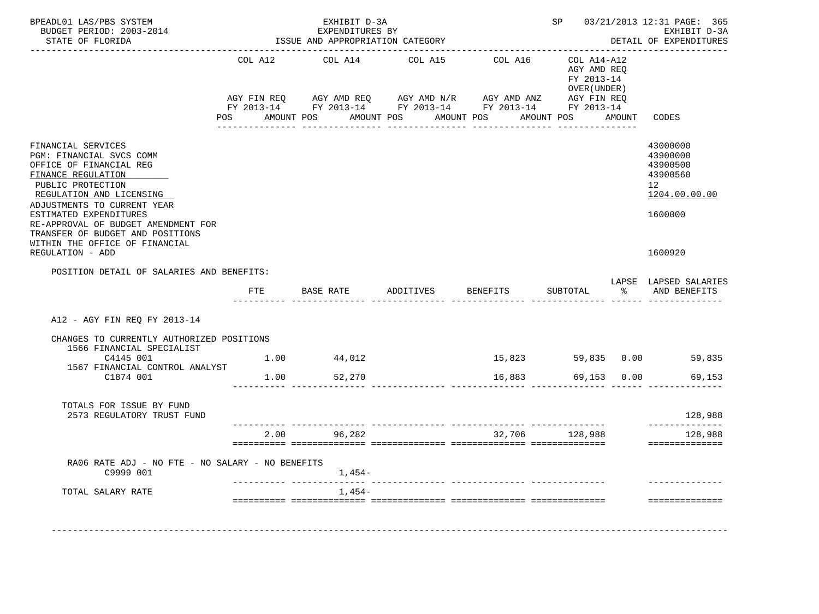| BPEADL01 LAS/PBS SYSTEM<br>BUDGET PERIOD: 2003-2014<br>STATE OF FLORIDA                                                                                                                                                                                                                                                                    |                | EXHIBIT D-3A<br>EXPENDITURES BY<br>ISSUE AND APPROPRIATION CATEGORY |                                                                                                                                  |                                   |                                                           |        | SP 03/21/2013 12:31 PAGE: 365<br>EXHIBIT D-3A<br>DETAIL OF EXPENDITURES                   |
|--------------------------------------------------------------------------------------------------------------------------------------------------------------------------------------------------------------------------------------------------------------------------------------------------------------------------------------------|----------------|---------------------------------------------------------------------|----------------------------------------------------------------------------------------------------------------------------------|-----------------------------------|-----------------------------------------------------------|--------|-------------------------------------------------------------------------------------------|
|                                                                                                                                                                                                                                                                                                                                            | COL A12<br>POS | COL A14<br>AMOUNT POS<br>AMOUNT POS                                 | COL A15<br>AGY FIN REQ AGY AMD REQ AGY AMD N/R AGY AMD ANZ AGY FIN REQ<br>FY 2013-14 FY 2013-14 FY 2013-14 FY 2013-14 FY 2013-14 | COL A16 COL A14-A12<br>AMOUNT POS | AGY AMD REO<br>FY 2013-14<br>OVER ( UNDER )<br>AMOUNT POS | AMOUNT | CODES                                                                                     |
| FINANCIAL SERVICES<br>PGM: FINANCIAL SVCS COMM<br>OFFICE OF FINANCIAL REG<br>FINANCE REGULATION<br>PUBLIC PROTECTION<br>REGULATION AND LICENSING<br>ADJUSTMENTS TO CURRENT YEAR<br>ESTIMATED EXPENDITURES<br>RE-APPROVAL OF BUDGET AMENDMENT FOR<br>TRANSFER OF BUDGET AND POSITIONS<br>WITHIN THE OFFICE OF FINANCIAL<br>REGULATION - ADD |                |                                                                     |                                                                                                                                  |                                   |                                                           |        | 43000000<br>43900000<br>43900500<br>43900560<br>12<br>1204.00.00.00<br>1600000<br>1600920 |
| POSITION DETAIL OF SALARIES AND BENEFITS:                                                                                                                                                                                                                                                                                                  | ETE            | <b>BASE RATE</b>                                                    | ADDITIVES                                                                                                                        | <b>BENEFITS</b>                   | SUBTOTAL                                                  |        | LAPSE LAPSED SALARIES<br>% AND BENEFITS                                                   |
|                                                                                                                                                                                                                                                                                                                                            |                |                                                                     |                                                                                                                                  |                                   |                                                           |        |                                                                                           |
| A12 - AGY FIN REO FY 2013-14                                                                                                                                                                                                                                                                                                               |                |                                                                     |                                                                                                                                  |                                   |                                                           |        |                                                                                           |
| CHANGES TO CURRENTLY AUTHORIZED POSITIONS<br>1566 FINANCIAL SPECIALIST                                                                                                                                                                                                                                                                     |                |                                                                     |                                                                                                                                  |                                   |                                                           |        |                                                                                           |
| C4145 001                                                                                                                                                                                                                                                                                                                                  |                | $1.00$ $44,012$                                                     |                                                                                                                                  |                                   |                                                           |        | 15,823 59,835 0.00 59,835                                                                 |
| 1567 FINANCIAL CONTROL ANALYST<br>C1874 001                                                                                                                                                                                                                                                                                                | 1.00           | 52,270                                                              |                                                                                                                                  | 16,883                            | 69,153 0.00                                               |        | 69,153                                                                                    |
| TOTALS FOR ISSUE BY FUND<br>2573 REGULATORY TRUST FUND                                                                                                                                                                                                                                                                                     |                |                                                                     |                                                                                                                                  |                                   |                                                           |        | 128,988                                                                                   |
|                                                                                                                                                                                                                                                                                                                                            |                | 2.00 96,282                                                         |                                                                                                                                  |                                   | 32,706 128,988                                            |        | --------------<br>128,988<br>==============                                               |
| RA06 RATE ADJ - NO FTE - NO SALARY - NO BENEFITS<br>C9999 001                                                                                                                                                                                                                                                                              |                | $1,454-$                                                            |                                                                                                                                  |                                   |                                                           |        |                                                                                           |
| TOTAL SALARY RATE                                                                                                                                                                                                                                                                                                                          |                | 1,454-                                                              |                                                                                                                                  |                                   |                                                           |        |                                                                                           |
|                                                                                                                                                                                                                                                                                                                                            |                |                                                                     |                                                                                                                                  |                                   |                                                           |        |                                                                                           |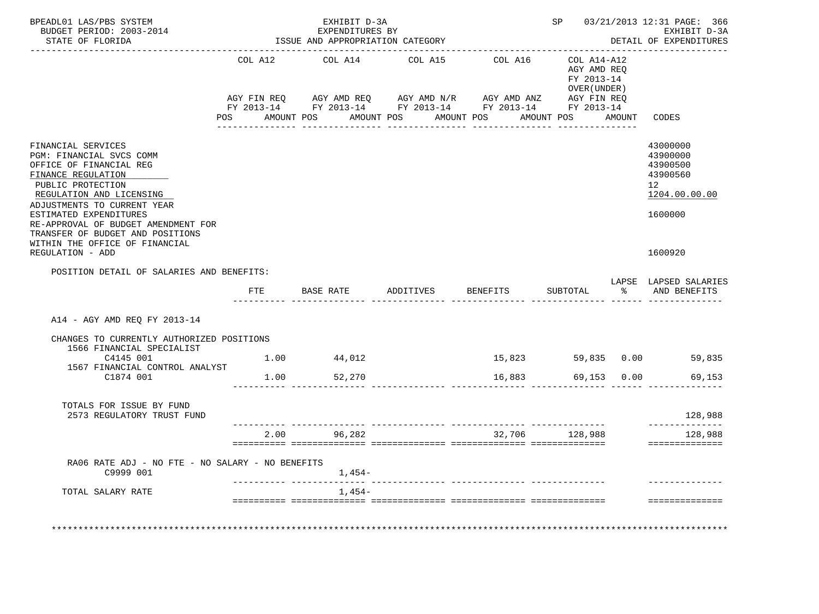| BPEADL01 LAS/PBS SYSTEM<br>BUDGET PERIOD: 2003-2014<br>STATE OF FLORIDA                                                                                                                                                                                                                                                                    |                |            | EXHIBIT D-3A<br>EXPENDITURES BY | ISSUE AND APPROPRIATION CATEGORY |            |                                      |                                                                                                                                                                                                          |             | SP 03/21/2013 12:31 PAGE: 366<br>EXHIBIT D-3A<br>DETAIL OF EXPENDITURES                   |
|--------------------------------------------------------------------------------------------------------------------------------------------------------------------------------------------------------------------------------------------------------------------------------------------------------------------------------------------|----------------|------------|---------------------------------|----------------------------------|------------|--------------------------------------|----------------------------------------------------------------------------------------------------------------------------------------------------------------------------------------------------------|-------------|-------------------------------------------------------------------------------------------|
|                                                                                                                                                                                                                                                                                                                                            | COL A12<br>POS | AMOUNT POS | COL A14<br>AMOUNT POS           | COL A15                          | AMOUNT POS |                                      | COL A16 COL A14-A12<br>AGY AMD REO<br>FY 2013-14<br>OVER (UNDER )<br>AGY FIN REQ AGY AMD REQ AGY AMD N/R AGY AMD ANZ AGY FIN REQ<br>FY 2013-14 FY 2013-14 FY 2013-14 FY 2013-14 FY 2013-14<br>AMOUNT POS | AMOUNT      | CODES                                                                                     |
| FINANCIAL SERVICES<br>PGM: FINANCIAL SVCS COMM<br>OFFICE OF FINANCIAL REG<br>FINANCE REGULATION<br>PUBLIC PROTECTION<br>REGULATION AND LICENSING<br>ADJUSTMENTS TO CURRENT YEAR<br>ESTIMATED EXPENDITURES<br>RE-APPROVAL OF BUDGET AMENDMENT FOR<br>TRANSFER OF BUDGET AND POSITIONS<br>WITHIN THE OFFICE OF FINANCIAL<br>REGULATION - ADD |                |            |                                 |                                  |            |                                      |                                                                                                                                                                                                          |             | 43000000<br>43900000<br>43900500<br>43900560<br>12<br>1204.00.00.00<br>1600000<br>1600920 |
| POSITION DETAIL OF SALARIES AND BENEFITS:                                                                                                                                                                                                                                                                                                  |                |            |                                 |                                  |            |                                      |                                                                                                                                                                                                          |             |                                                                                           |
|                                                                                                                                                                                                                                                                                                                                            | ETE            |            | <b>BASE RATE</b>                | ADDITIVES                        |            | <b>BENEFITS</b>                      | SUBTOTAL                                                                                                                                                                                                 |             | LAPSE LAPSED SALARIES<br>% AND BENEFITS                                                   |
| A14 - AGY AMD REQ FY 2013-14                                                                                                                                                                                                                                                                                                               |                |            |                                 |                                  |            |                                      |                                                                                                                                                                                                          |             |                                                                                           |
| CHANGES TO CURRENTLY AUTHORIZED POSITIONS                                                                                                                                                                                                                                                                                                  |                |            |                                 |                                  |            |                                      |                                                                                                                                                                                                          |             |                                                                                           |
| 1566 FINANCIAL SPECIALIST<br>C4145 001                                                                                                                                                                                                                                                                                                     | 1.00           |            | 44,012                          |                                  |            |                                      |                                                                                                                                                                                                          |             | 15,823 59,835 0.00 59,835                                                                 |
| 1567 FINANCIAL CONTROL ANALYST<br>C1874 001                                                                                                                                                                                                                                                                                                | 1.00           |            | 52,270                          |                                  |            | 16,883                               |                                                                                                                                                                                                          | 69,153 0.00 | 69,153                                                                                    |
| TOTALS FOR ISSUE BY FUND<br>2573 REGULATORY TRUST FUND                                                                                                                                                                                                                                                                                     |                |            |                                 |                                  |            |                                      |                                                                                                                                                                                                          |             | 128,988                                                                                   |
|                                                                                                                                                                                                                                                                                                                                            |                |            | 2.00 96,282                     |                                  |            |                                      | 32,706 128,988                                                                                                                                                                                           |             | --------------<br>128,988<br>==============                                               |
| RA06 RATE ADJ - NO FTE - NO SALARY - NO BENEFITS<br>C9999 001                                                                                                                                                                                                                                                                              |                |            | 1,454–                          |                                  |            |                                      |                                                                                                                                                                                                          |             |                                                                                           |
| TOTAL SALARY RATE                                                                                                                                                                                                                                                                                                                          |                |            | 1,454-                          |                                  |            | ____________ ________________ ______ |                                                                                                                                                                                                          |             |                                                                                           |
|                                                                                                                                                                                                                                                                                                                                            |                |            |                                 |                                  |            |                                      |                                                                                                                                                                                                          |             | --------------                                                                            |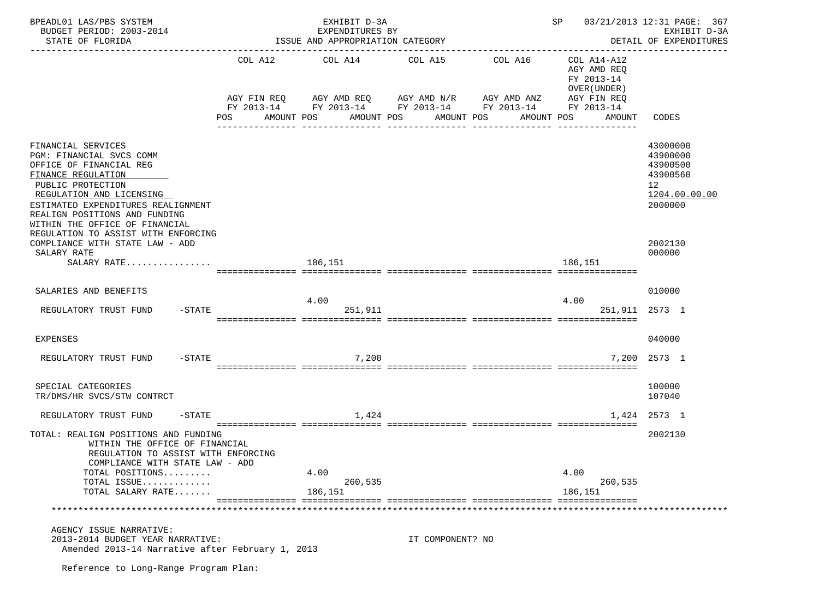| BPEADL01 LAS/PBS SYSTEM                                                                                                                                                                                                                                                                                                             |                | EXHIBIT D-3A                                                                                                                       |                                     |                       | 03/21/2013 12:31 PAGE: 367<br>SP<br>EXHIBIT D-3A                                   |                                                                                           |  |  |
|-------------------------------------------------------------------------------------------------------------------------------------------------------------------------------------------------------------------------------------------------------------------------------------------------------------------------------------|----------------|------------------------------------------------------------------------------------------------------------------------------------|-------------------------------------|-----------------------|------------------------------------------------------------------------------------|-------------------------------------------------------------------------------------------|--|--|
| BUDGET PERIOD: 2003-2014<br>STATE OF FLORIDA                                                                                                                                                                                                                                                                                        |                | EXPENDITURES BY<br>ISSUE AND APPROPRIATION CATEGORY                                                                                |                                     |                       |                                                                                    | DETAIL OF EXPENDITURES                                                                    |  |  |
|                                                                                                                                                                                                                                                                                                                                     | COL A12<br>POS | COL A14<br>AGY FIN REQ AGY AMD REQ AGY AMD N/R AGY AMD ANZ<br>FY 2013-14 FY 2013-14 FY 2013-14 FY 2013-14 FY 2013-14<br>AMOUNT POS | COL A15<br>AMOUNT POS<br>AMOUNT POS | COL A16<br>AMOUNT POS | COL A14-A12<br>AGY AMD REO<br>FY 2013-14<br>OVER (UNDER )<br>AGY FIN REQ<br>AMOUNT | <b>CODES</b>                                                                              |  |  |
| FINANCIAL SERVICES<br>PGM: FINANCIAL SVCS COMM<br>OFFICE OF FINANCIAL REG<br>FINANCE REGULATION<br>PUBLIC PROTECTION<br>REGULATION AND LICENSING<br>ESTIMATED EXPENDITURES REALIGNMENT<br>REALIGN POSITIONS AND FUNDING<br>WITHIN THE OFFICE OF FINANCIAL<br>REGULATION TO ASSIST WITH ENFORCING<br>COMPLIANCE WITH STATE LAW - ADD |                |                                                                                                                                    |                                     |                       |                                                                                    | 43000000<br>43900000<br>43900500<br>43900560<br>12<br>1204.00.00.00<br>2000000<br>2002130 |  |  |
| SALARY RATE                                                                                                                                                                                                                                                                                                                         |                |                                                                                                                                    |                                     |                       |                                                                                    | 000000                                                                                    |  |  |
| SALARY RATE                                                                                                                                                                                                                                                                                                                         |                | 186,151                                                                                                                            |                                     |                       | 186,151                                                                            |                                                                                           |  |  |
| SALARIES AND BENEFITS<br>$-$ STATE<br>REGULATORY TRUST FUND                                                                                                                                                                                                                                                                         |                | 4.00<br>251,911                                                                                                                    |                                     |                       | 4.00                                                                               | 010000<br>251,911 2573 1                                                                  |  |  |
| EXPENSES                                                                                                                                                                                                                                                                                                                            |                |                                                                                                                                    |                                     |                       |                                                                                    | 040000                                                                                    |  |  |
| $-$ STATE<br>REGULATORY TRUST FUND                                                                                                                                                                                                                                                                                                  |                | 7,200                                                                                                                              |                                     |                       |                                                                                    | 7,200 2573 1                                                                              |  |  |
| SPECIAL CATEGORIES<br>TR/DMS/HR SVCS/STW CONTRCT                                                                                                                                                                                                                                                                                    |                |                                                                                                                                    |                                     |                       |                                                                                    | 100000<br>107040                                                                          |  |  |
| $-$ STATE<br>REGULATORY TRUST FUND                                                                                                                                                                                                                                                                                                  |                | 1,424                                                                                                                              |                                     |                       |                                                                                    | 1,424 2573 1                                                                              |  |  |
| TOTAL: REALIGN POSITIONS AND FUNDING<br>WITHIN THE OFFICE OF FINANCIAL<br>REGULATION TO ASSIST WITH ENFORCING<br>COMPLIANCE WITH STATE LAW - ADD                                                                                                                                                                                    |                |                                                                                                                                    |                                     |                       |                                                                                    | 2002130                                                                                   |  |  |
| TOTAL POSITIONS<br>TOTAL ISSUE                                                                                                                                                                                                                                                                                                      |                | 4.00<br>260,535                                                                                                                    |                                     |                       | 4.00<br>260,535                                                                    |                                                                                           |  |  |
| TOTAL SALARY RATE                                                                                                                                                                                                                                                                                                                   |                | 186,151                                                                                                                            |                                     |                       | 186,151                                                                            |                                                                                           |  |  |
|                                                                                                                                                                                                                                                                                                                                     |                |                                                                                                                                    |                                     |                       |                                                                                    |                                                                                           |  |  |
| AGENCY ISSUE NARRATIVE:<br>2013-2014 BUDGET YEAR NARRATIVE:<br>Amended 2013-14 Narrative after February 1, 2013                                                                                                                                                                                                                     |                |                                                                                                                                    | IT COMPONENT? NO                    |                       |                                                                                    |                                                                                           |  |  |
| Reference to Long-Range Program Plan:                                                                                                                                                                                                                                                                                               |                |                                                                                                                                    |                                     |                       |                                                                                    |                                                                                           |  |  |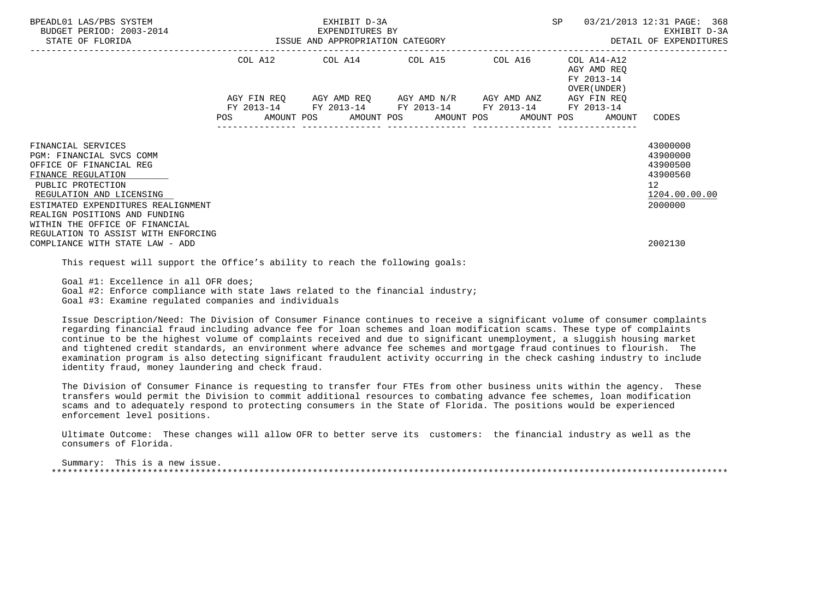| BPEADL01 LAS/PBS SYSTEM<br>BUDGET PERIOD: 2003-2014<br>STATE OF FLORIDA                                                                                                                                                                                   | EXHIBIT D-3A<br>EXPENDITURES BY<br>3-2014 EXPENDITURES BY<br>ISSUE AND APPROPRIATION CATEGORY |  |  |  |  |  |  |                                                                                                                                                                      | SP |                                                           | 03/21/2013 12:31 PAGE: 368<br>EXHIBIT D-3A<br>DETAIL OF EXPENDITURES                        |  |
|-----------------------------------------------------------------------------------------------------------------------------------------------------------------------------------------------------------------------------------------------------------|-----------------------------------------------------------------------------------------------|--|--|--|--|--|--|----------------------------------------------------------------------------------------------------------------------------------------------------------------------|----|-----------------------------------------------------------|---------------------------------------------------------------------------------------------|--|
|                                                                                                                                                                                                                                                           |                                                                                               |  |  |  |  |  |  | COL A12 COL A14 COL A15 COL A16                                                                                                                                      |    | COL A14-A12<br>AGY AMD REO<br>FY 2013-14<br>OVER (UNDER ) |                                                                                             |  |
|                                                                                                                                                                                                                                                           |                                                                                               |  |  |  |  |  |  | AGY FIN REQ AGY AMD REQ AGY AMD N/R AGY AMD ANZ AGY FIN REQ<br>FY 2013-14 FY 2013-14 FY 2013-14 FY 2013-14<br>POS AMOUNT POS AMOUNT POS AMOUNT POS AMOUNT POS AMOUNT |    | FY 2013-14                                                | CODES                                                                                       |  |
| FINANCIAL SERVICES<br>PGM: FINANCIAL SVCS COMM<br>OFFICE OF FINANCIAL REG<br>FINANCE REGULATION<br>PUBLIC PROTECTION<br>REGULATION AND LICENSING<br>ESTIMATED EXPENDITURES REALIGNMENT<br>REALIGN POSITIONS AND FUNDING<br>WITHIN THE OFFICE OF FINANCIAL |                                                                                               |  |  |  |  |  |  |                                                                                                                                                                      |    |                                                           | 43000000<br>43900000<br>43900500<br>43900560<br>12 <sup>°</sup><br>1204.00.00.00<br>2000000 |  |
| REGULATION TO ASSIST WITH ENFORCING<br>COMPLIANCE WITH STATE LAW - ADD                                                                                                                                                                                    |                                                                                               |  |  |  |  |  |  |                                                                                                                                                                      |    |                                                           | 2002130                                                                                     |  |

This request will support the Office's ability to reach the following goals:

Goal #1: Excellence in all OFR does;

Goal #2: Enforce compliance with state laws related to the financial industry;

Goal #3: Examine regulated companies and individuals

 Issue Description/Need: The Division of Consumer Finance continues to receive a significant volume of consumer complaints regarding financial fraud including advance fee for loan schemes and loan modification scams. These type of complaints continue to be the highest volume of complaints received and due to significant unemployment, a sluggish housing market and tightened credit standards, an environment where advance fee schemes and mortgage fraud continues to flourish. The examination program is also detecting significant fraudulent activity occurring in the check cashing industry to include identity fraud, money laundering and check fraud.

 The Division of Consumer Finance is requesting to transfer four FTEs from other business units within the agency. These transfers would permit the Division to commit additional resources to combating advance fee schemes, loan modification scams and to adequately respond to protecting consumers in the State of Florida. The positions would be experienced enforcement level positions.

 Ultimate Outcome: These changes will allow OFR to better serve its customers: the financial industry as well as the consumers of Florida.

 Summary: This is a new issue. \*\*\*\*\*\*\*\*\*\*\*\*\*\*\*\*\*\*\*\*\*\*\*\*\*\*\*\*\*\*\*\*\*\*\*\*\*\*\*\*\*\*\*\*\*\*\*\*\*\*\*\*\*\*\*\*\*\*\*\*\*\*\*\*\*\*\*\*\*\*\*\*\*\*\*\*\*\*\*\*\*\*\*\*\*\*\*\*\*\*\*\*\*\*\*\*\*\*\*\*\*\*\*\*\*\*\*\*\*\*\*\*\*\*\*\*\*\*\*\*\*\*\*\*\*\*\*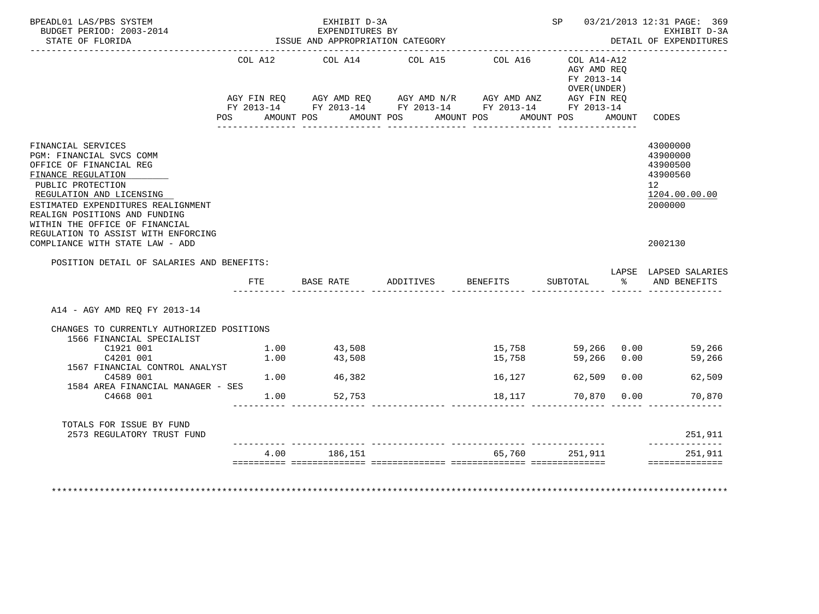| BPEADL01 LAS/PBS SYSTEM<br>BUDGET PERIOD: 2003-2014<br>STATE OF FLORIDA                                                                                                                                                                                   |     | EXHIBIT D-3A<br>EXPENDITURES BY<br>ISSUE AND APPROPRIATION CATEGORY |                                                                                                                       |            |                                                           |             | SP 03/21/2013 12:31 PAGE: 369<br>EXHIBIT D-3A<br>DETAIL OF EXPENDITURES                     |
|-----------------------------------------------------------------------------------------------------------------------------------------------------------------------------------------------------------------------------------------------------------|-----|---------------------------------------------------------------------|-----------------------------------------------------------------------------------------------------------------------|------------|-----------------------------------------------------------|-------------|---------------------------------------------------------------------------------------------|
|                                                                                                                                                                                                                                                           |     | COL A12 COL A14 COL A15                                             | AGY FIN REQ AGY AMD REQ AGY AMD N/R AGY AMD ANZ AGY FIN REQ<br>FY 2013-14 FY 2013-14 FY 2013-14 FY 2013-14 FY 2013-14 | COL A16    | COL A14-A12<br>AGY AMD REO<br>FY 2013-14<br>OVER (UNDER ) |             |                                                                                             |
|                                                                                                                                                                                                                                                           | POS | AMOUNT POS AMOUNT POS                                               |                                                                                                                       | AMOUNT POS | AMOUNT POS                                                | AMOUNT      | CODES                                                                                       |
| FINANCIAL SERVICES<br>PGM: FINANCIAL SVCS COMM<br>OFFICE OF FINANCIAL REG<br>FINANCE REGULATION<br>PUBLIC PROTECTION<br>REGULATION AND LICENSING<br>ESTIMATED EXPENDITURES REALIGNMENT<br>REALIGN POSITIONS AND FUNDING<br>WITHIN THE OFFICE OF FINANCIAL |     |                                                                     |                                                                                                                       |            |                                                           |             | 43000000<br>43900000<br>43900500<br>43900560<br>12 <sup>°</sup><br>1204.00.00.00<br>2000000 |
|                                                                                                                                                                                                                                                           |     |                                                                     |                                                                                                                       |            |                                                           |             |                                                                                             |
| REGULATION TO ASSIST WITH ENFORCING<br>COMPLIANCE WITH STATE LAW - ADD                                                                                                                                                                                    |     |                                                                     |                                                                                                                       |            |                                                           |             | 2002130                                                                                     |
| POSITION DETAIL OF SALARIES AND BENEFITS:                                                                                                                                                                                                                 |     |                                                                     |                                                                                                                       |            |                                                           |             | LAPSE LAPSED SALARIES                                                                       |
|                                                                                                                                                                                                                                                           | FTE | BASE RATE ADDITIVES                                                 |                                                                                                                       | BENEFITS   | SUBTOTAL                                                  |             | % AND BENEFITS                                                                              |
| A14 - AGY AMD REQ FY 2013-14                                                                                                                                                                                                                              |     |                                                                     |                                                                                                                       |            |                                                           |             |                                                                                             |
| CHANGES TO CURRENTLY AUTHORIZED POSITIONS                                                                                                                                                                                                                 |     |                                                                     |                                                                                                                       |            |                                                           |             |                                                                                             |
| 1566 FINANCIAL SPECIALIST<br>C1921 001                                                                                                                                                                                                                    |     | 1.00 43,508                                                         |                                                                                                                       |            | 15,758 59,266 0.00                                        |             | 59,266                                                                                      |
| C4201 001                                                                                                                                                                                                                                                 |     | $1.00$ $43,508$                                                     |                                                                                                                       | 15,758     | 59,266 0.00                                               |             | 59,266                                                                                      |
| 1567 FINANCIAL CONTROL ANALYST<br>C4589 001                                                                                                                                                                                                               |     | $1.00$ 46,382                                                       |                                                                                                                       | 16,127     |                                                           | 62,509 0.00 | 62,509                                                                                      |
| 1584 AREA FINANCIAL MANAGER - SES<br>C4668 001                                                                                                                                                                                                            |     | $1.00$ 52,753                                                       |                                                                                                                       | 18,117     | 70,870 0.00                                               |             | 70,870                                                                                      |
| TOTALS FOR ISSUE BY FUND                                                                                                                                                                                                                                  |     |                                                                     |                                                                                                                       |            |                                                           |             |                                                                                             |
| 2573 REGULATORY TRUST FUND                                                                                                                                                                                                                                |     |                                                                     |                                                                                                                       |            |                                                           |             | 251,911<br>______________                                                                   |

\*\*\*\*\*\*\*\*\*\*\*\*\*\*\*\*\*\*\*\*\*\*\*\*\*\*\*\*\*\*\*\*\*\*\*\*\*\*\*\*\*\*\*\*\*\*\*\*\*\*\*\*\*\*\*\*\*\*\*\*\*\*\*\*\*\*\*\*\*\*\*\*\*\*\*\*\*\*\*\*\*\*\*\*\*\*\*\*\*\*\*\*\*\*\*\*\*\*\*\*\*\*\*\*\*\*\*\*\*\*\*\*\*\*\*\*\*\*\*\*\*\*\*\*\*\*\*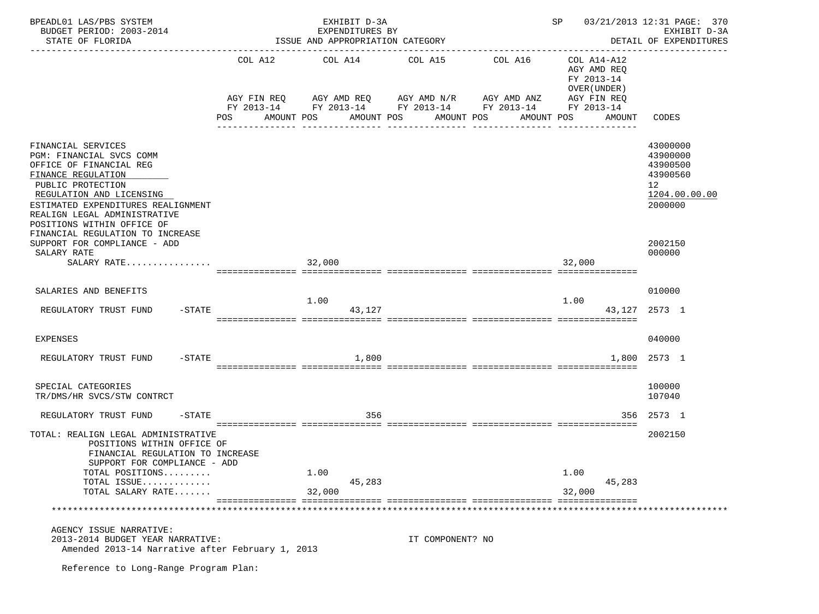| BPEADL01 LAS/PBS SYSTEM<br>BUDGET PERIOD: 2003-2014<br>STATE OF FLORIDA                                                                                                                                                                                                                                                  |                   | EXHIBIT D-3A<br>EXPENDITURES BY<br>ISSUE AND APPROPRIATION CATEGORY        |                          |                                                                                 | 03/21/2013 12:31 PAGE: 370<br>SP<br>EXHIBIT D-3A<br>DETAIL OF EXPENDITURES        |                                                                                           |  |  |
|--------------------------------------------------------------------------------------------------------------------------------------------------------------------------------------------------------------------------------------------------------------------------------------------------------------------------|-------------------|----------------------------------------------------------------------------|--------------------------|---------------------------------------------------------------------------------|-----------------------------------------------------------------------------------|-------------------------------------------------------------------------------------------|--|--|
|                                                                                                                                                                                                                                                                                                                          | POS<br>AMOUNT POS | COL A12 COL A14 COL A15<br>AGY FIN REQ AGY AMD REQ AGY AMD N/R AGY AMD ANZ | AMOUNT POS<br>AMOUNT POS | COL A16<br>FY 2013-14 FY 2013-14 FY 2013-14 FY 2013-14 FY 2013-14<br>AMOUNT POS | COL A14-A12<br>AGY AMD REQ<br>FY 2013-14<br>OVER (UNDER)<br>AGY FIN REQ<br>AMOUNT | CODES                                                                                     |  |  |
| FINANCIAL SERVICES<br>PGM: FINANCIAL SVCS COMM<br>OFFICE OF FINANCIAL REG<br>FINANCE REGULATION<br>PUBLIC PROTECTION<br>REGULATION AND LICENSING<br>ESTIMATED EXPENDITURES REALIGNMENT<br>REALIGN LEGAL ADMINISTRATIVE<br>POSITIONS WITHIN OFFICE OF<br>FINANCIAL REGULATION TO INCREASE<br>SUPPORT FOR COMPLIANCE - ADD |                   |                                                                            |                          |                                                                                 |                                                                                   | 43000000<br>43900000<br>43900500<br>43900560<br>12<br>1204.00.00.00<br>2000000<br>2002150 |  |  |
| SALARY RATE<br>SALARY RATE                                                                                                                                                                                                                                                                                               |                   | 32,000                                                                     |                          |                                                                                 | 32,000                                                                            | 000000                                                                                    |  |  |
|                                                                                                                                                                                                                                                                                                                          |                   |                                                                            |                          |                                                                                 |                                                                                   |                                                                                           |  |  |
| SALARIES AND BENEFITS                                                                                                                                                                                                                                                                                                    |                   | 1.00                                                                       |                          |                                                                                 | 1.00                                                                              | 010000                                                                                    |  |  |
| $-$ STATE<br>REGULATORY TRUST FUND                                                                                                                                                                                                                                                                                       |                   | 43,127                                                                     |                          |                                                                                 |                                                                                   | 43, 127 2573 1                                                                            |  |  |
| EXPENSES                                                                                                                                                                                                                                                                                                                 |                   |                                                                            |                          |                                                                                 |                                                                                   | 040000                                                                                    |  |  |
| $-$ STATE<br>REGULATORY TRUST FUND                                                                                                                                                                                                                                                                                       |                   | 1,800                                                                      |                          |                                                                                 |                                                                                   | 1,800 2573 1                                                                              |  |  |
| SPECIAL CATEGORIES<br>TR/DMS/HR SVCS/STW CONTRCT                                                                                                                                                                                                                                                                         |                   |                                                                            |                          |                                                                                 |                                                                                   | 100000<br>107040                                                                          |  |  |
| REGULATORY TRUST FUND<br>$-$ STATE                                                                                                                                                                                                                                                                                       |                   | 356                                                                        |                          |                                                                                 |                                                                                   | 356 2573 1                                                                                |  |  |
| TOTAL: REALIGN LEGAL ADMINISTRATIVE<br>POSITIONS WITHIN OFFICE OF<br>FINANCIAL REGULATION TO INCREASE<br>SUPPORT FOR COMPLIANCE - ADD<br>TOTAL POSITIONS<br>TOTAL ISSUE<br>TOTAL SALARY RATE                                                                                                                             |                   | 1.00<br>45,283<br>32,000                                                   |                          |                                                                                 | 1.00<br>45,283<br>32,000                                                          | 2002150                                                                                   |  |  |
|                                                                                                                                                                                                                                                                                                                          |                   |                                                                            |                          |                                                                                 |                                                                                   |                                                                                           |  |  |
| AGENCY ISSUE NARRATIVE:<br>2013-2014 BUDGET YEAR NARRATIVE:<br>Amended 2013-14 Narrative after February 1, 2013<br>Reference to Long-Range Program Plan:                                                                                                                                                                 |                   |                                                                            | IT COMPONENT? NO         |                                                                                 |                                                                                   |                                                                                           |  |  |
|                                                                                                                                                                                                                                                                                                                          |                   |                                                                            |                          |                                                                                 |                                                                                   |                                                                                           |  |  |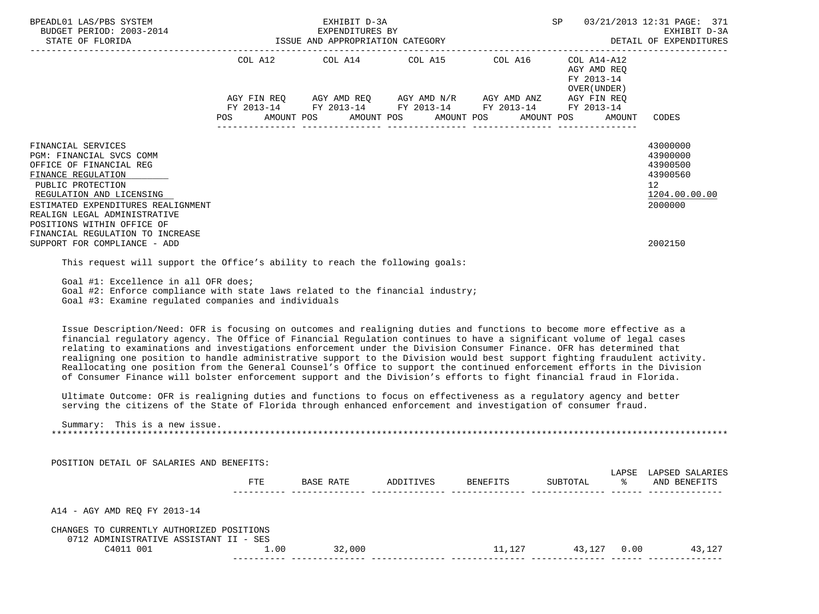| BPEADL01 LAS/PBS SYSTEM<br>BUDGET PERIOD: 2003-2014<br>STATE OF FLORIDA                                                                                                                                                                                                                                                                                                                                                                                                                                                                                                                                                                                                                                                                                                                                                                                                         | 03/21/2013 12:31 PAGE: 371<br>EXHIBIT D-3A<br>SP<br>EXPENDITURES BY<br>ISSUE AND APPROPRIATION CATEGORY<br>DETAIL OF EXPENDITURES |            |                                       |                                                                                                              |                                                                                       |        |                                                                                                        |  |
|---------------------------------------------------------------------------------------------------------------------------------------------------------------------------------------------------------------------------------------------------------------------------------------------------------------------------------------------------------------------------------------------------------------------------------------------------------------------------------------------------------------------------------------------------------------------------------------------------------------------------------------------------------------------------------------------------------------------------------------------------------------------------------------------------------------------------------------------------------------------------------|-----------------------------------------------------------------------------------------------------------------------------------|------------|---------------------------------------|--------------------------------------------------------------------------------------------------------------|---------------------------------------------------------------------------------------|--------|--------------------------------------------------------------------------------------------------------|--|
|                                                                                                                                                                                                                                                                                                                                                                                                                                                                                                                                                                                                                                                                                                                                                                                                                                                                                 | COL A12<br>POS<br>AMOUNT POS                                                                                                      | AMOUNT POS | COL A14 COL A15 COL A16<br>AMOUNT POS | AGY FIN REQ AGY AMD REQ AGY AMD N/R AGY AMD ANZ<br>FY 2013-14 FY 2013-14 FY 2013-14 FY 2013-14<br>AMOUNT POS | COL A14-A12<br>AGY AMD REQ<br>FY 2013-14<br>OVER (UNDER)<br>AGY FIN REQ<br>FY 2013-14 | AMOUNT | CODES                                                                                                  |  |
| FINANCIAL SERVICES<br>PGM: FINANCIAL SVCS COMM<br>OFFICE OF FINANCIAL REG<br>FINANCE REGULATION<br>PUBLIC PROTECTION<br>REGULATION AND LICENSING<br>ESTIMATED EXPENDITURES REALIGNMENT<br>REALIGN LEGAL ADMINISTRATIVE<br>POSITIONS WITHIN OFFICE OF<br>FINANCIAL REGULATION TO INCREASE<br>SUPPORT FOR COMPLIANCE - ADD                                                                                                                                                                                                                                                                                                                                                                                                                                                                                                                                                        |                                                                                                                                   |            |                                       |                                                                                                              |                                                                                       |        | 43000000<br>43900000<br>43900500<br>43900560<br>12 <sup>°</sup><br>1204.00.00.00<br>2000000<br>2002150 |  |
| This request will support the Office's ability to reach the following goals:                                                                                                                                                                                                                                                                                                                                                                                                                                                                                                                                                                                                                                                                                                                                                                                                    |                                                                                                                                   |            |                                       |                                                                                                              |                                                                                       |        |                                                                                                        |  |
| Goal #1: Excellence in all OFR does;<br>Goal #2: Enforce compliance with state laws related to the financial industry;<br>Goal #3: Examine regulated companies and individuals                                                                                                                                                                                                                                                                                                                                                                                                                                                                                                                                                                                                                                                                                                  |                                                                                                                                   |            |                                       |                                                                                                              |                                                                                       |        |                                                                                                        |  |
| Issue Description/Need: OFR is focusing on outcomes and realigning duties and functions to become more effective as a<br>financial regulatory agency. The Office of Financial Regulation continues to have a significant volume of legal cases<br>relating to examinations and investigations enforcement under the Division Consumer Finance. OFR has determined that<br>realigning one position to handle administrative support to the Division would best support fighting fraudulent activity.<br>Reallocating one position from the General Counsel's Office to support the continued enforcement efforts in the Division<br>of Consumer Finance will bolster enforcement support and the Division's efforts to fight financial fraud in Florida.<br>Ultimate Outcome: OFR is realigning duties and functions to focus on effectiveness as a regulatory agency and better |                                                                                                                                   |            |                                       |                                                                                                              |                                                                                       |        |                                                                                                        |  |
| serving the citizens of the State of Florida through enhanced enforcement and investigation of consumer fraud.<br>Summary: This is a new issue.                                                                                                                                                                                                                                                                                                                                                                                                                                                                                                                                                                                                                                                                                                                                 |                                                                                                                                   |            |                                       |                                                                                                              |                                                                                       |        |                                                                                                        |  |
|                                                                                                                                                                                                                                                                                                                                                                                                                                                                                                                                                                                                                                                                                                                                                                                                                                                                                 |                                                                                                                                   |            |                                       |                                                                                                              |                                                                                       |        |                                                                                                        |  |
| POSITION DETAIL OF SALARIES AND BENEFITS:                                                                                                                                                                                                                                                                                                                                                                                                                                                                                                                                                                                                                                                                                                                                                                                                                                       |                                                                                                                                   |            |                                       |                                                                                                              |                                                                                       |        | LAPSE LAPSED SALARIES                                                                                  |  |
|                                                                                                                                                                                                                                                                                                                                                                                                                                                                                                                                                                                                                                                                                                                                                                                                                                                                                 | <b>FTE</b>                                                                                                                        | BASE RATE  | ADDITIVES                             | BENEFITS                                                                                                     | SUBTOTAL                                                                              | °≈     | AND BENEFITS                                                                                           |  |
| A14 - AGY AMD REO FY 2013-14                                                                                                                                                                                                                                                                                                                                                                                                                                                                                                                                                                                                                                                                                                                                                                                                                                                    |                                                                                                                                   |            |                                       |                                                                                                              |                                                                                       |        |                                                                                                        |  |
| CHANGES TO CURRENTLY AUTHORIZED POSITIONS<br>0712 ADMINISTRATIVE ASSISTANT II - SES<br>C4011 001                                                                                                                                                                                                                                                                                                                                                                                                                                                                                                                                                                                                                                                                                                                                                                                | 1.00                                                                                                                              | 32,000     |                                       |                                                                                                              |                                                                                       |        | 11, 127   43, 127   0.00   43, 127                                                                     |  |
|                                                                                                                                                                                                                                                                                                                                                                                                                                                                                                                                                                                                                                                                                                                                                                                                                                                                                 |                                                                                                                                   |            |                                       |                                                                                                              |                                                                                       |        |                                                                                                        |  |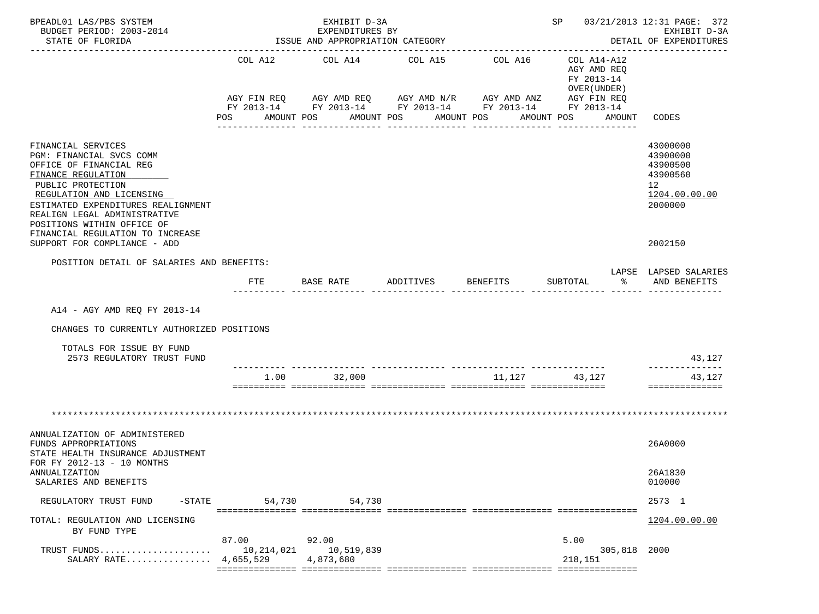| BPEADL01 LAS/PBS SYSTEM<br>BUDGET PERIOD: 2003-2014<br>STATE OF FLORIDA                                                                                                                                                                                                                                                  |                              | EXHIBIT D-3A<br>EXPENDITURES BY<br>ISSUE AND APPROPRIATION CATEGORY<br>_____________________________________ | ________________________________                                                                                                                                     | SP 03/21/2013 12:31 PAGE: 372<br>EXHIBIT D-3A<br>DETAIL OF EXPENDITURES |                                                                                                                    |                                                                                           |
|--------------------------------------------------------------------------------------------------------------------------------------------------------------------------------------------------------------------------------------------------------------------------------------------------------------------------|------------------------------|--------------------------------------------------------------------------------------------------------------|----------------------------------------------------------------------------------------------------------------------------------------------------------------------|-------------------------------------------------------------------------|--------------------------------------------------------------------------------------------------------------------|-------------------------------------------------------------------------------------------|
|                                                                                                                                                                                                                                                                                                                          | COL A12<br>POS<br>AMOUNT POS | COL A14<br>----------------                                                                                  | COL A15<br>AGY FIN REQ AGY AMD REQ AGY AMD N/R AGY AMD ANZ<br>FY 2013-14 FY 2013-14 FY 2013-14 FY 2013-14 FY 2013-14<br>AMOUNT POS<br>AMOUNT POS<br>________________ | COL A16<br>---------------                                              | COL A14-A12<br>AGY AMD REO<br>FY 2013-14<br>OVER (UNDER)<br>AGY FIN REQ<br>AMOUNT POS<br>AMOUNT<br>--------------- | CODES                                                                                     |
| FINANCIAL SERVICES<br>PGM: FINANCIAL SVCS COMM<br>OFFICE OF FINANCIAL REG<br>FINANCE REGULATION<br>PUBLIC PROTECTION<br>REGULATION AND LICENSING<br>ESTIMATED EXPENDITURES REALIGNMENT<br>REALIGN LEGAL ADMINISTRATIVE<br>POSITIONS WITHIN OFFICE OF<br>FINANCIAL REGULATION TO INCREASE<br>SUPPORT FOR COMPLIANCE - ADD |                              |                                                                                                              |                                                                                                                                                                      |                                                                         |                                                                                                                    | 43000000<br>43900000<br>43900500<br>43900560<br>12<br>1204.00.00.00<br>2000000<br>2002150 |
| POSITION DETAIL OF SALARIES AND BENEFITS:                                                                                                                                                                                                                                                                                |                              |                                                                                                              |                                                                                                                                                                      |                                                                         |                                                                                                                    |                                                                                           |
|                                                                                                                                                                                                                                                                                                                          |                              | FTE BASE RATE                                                                                                | ADDITIVES                                                                                                                                                            | BENEFITS                                                                | SUBTOTAL<br>ႜႂ                                                                                                     | LAPSE LAPSED SALARIES<br>AND BENEFITS                                                     |
| A14 - AGY AMD REQ FY 2013-14<br>CHANGES TO CURRENTLY AUTHORIZED POSITIONS<br>TOTALS FOR ISSUE BY FUND<br>2573 REGULATORY TRUST FUND                                                                                                                                                                                      | 1.00                         | 32,000                                                                                                       |                                                                                                                                                                      | 11,127                                                                  | 43,127                                                                                                             | 43,127<br>43,127<br>==============                                                        |
|                                                                                                                                                                                                                                                                                                                          |                              |                                                                                                              |                                                                                                                                                                      |                                                                         |                                                                                                                    |                                                                                           |
| ANNUALIZATION OF ADMINISTERED<br>FUNDS APPROPRIATIONS<br>STATE HEALTH INSURANCE ADJUSTMENT<br>FOR FY 2012-13 - 10 MONTHS<br>ANNUALIZATION                                                                                                                                                                                |                              |                                                                                                              |                                                                                                                                                                      |                                                                         |                                                                                                                    | 26A0000<br>26A1830                                                                        |
| SALARIES AND BENEFITS<br>REGULATORY TRUST FUND                                                                                                                                                                                                                                                                           | -STATE 54,730 54,730         |                                                                                                              |                                                                                                                                                                      |                                                                         |                                                                                                                    | 010000<br>2573 1                                                                          |
| TOTAL: REGULATION AND LICENSING                                                                                                                                                                                                                                                                                          |                              |                                                                                                              |                                                                                                                                                                      |                                                                         |                                                                                                                    | 1204.00.00.00                                                                             |
| BY FUND TYPE<br>TRUST FUNDS<br>SALARY RATE 4,655,529                                                                                                                                                                                                                                                                     | 87.00<br>10,214,021          | 92.00<br>10,519,839<br>4,873,680                                                                             |                                                                                                                                                                      |                                                                         | 5.00<br>305,818 2000<br>218,151                                                                                    |                                                                                           |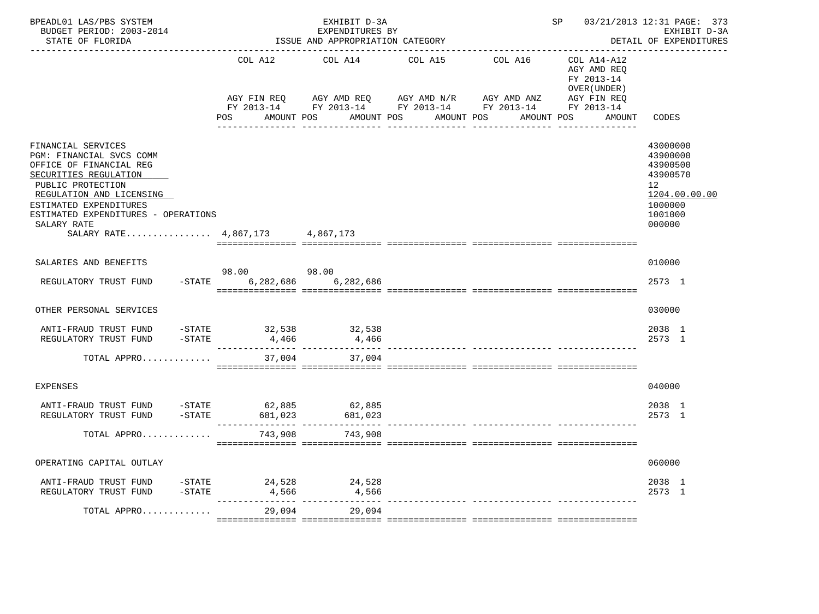| BPEADL01 LAS/PBS SYSTEM<br>BUDGET PERIOD: 2003-2014<br>STATE OF FLORIDA                                                                                                                                                                                        |                                             | EXHIBIT D-3A<br>EXPENDITURES BY<br>ISSUE AND APPROPRIATION CATEGORY | 03/21/2013 12:31 PAGE: 373<br>SP<br>EXHIBIT D-3A<br>DETAIL OF EXPENDITURES                                                                                      |                                                                                   |                                                                                                     |
|----------------------------------------------------------------------------------------------------------------------------------------------------------------------------------------------------------------------------------------------------------------|---------------------------------------------|---------------------------------------------------------------------|-----------------------------------------------------------------------------------------------------------------------------------------------------------------|-----------------------------------------------------------------------------------|-----------------------------------------------------------------------------------------------------|
|                                                                                                                                                                                                                                                                | COL A12<br>AGY FIN REQ<br>POS FOR           | COL A14<br>AGY AMD REQ AGY AMD N/R<br>AMOUNT POS                    | ------------------------<br>COL A15<br>COL A16 COL A14-A12<br>AGY AMD ANZ<br>FY 2013-14 FY 2013-14 FY 2013-14 FY 2013-14 FY 2013-14<br>AMOUNT POS<br>AMOUNT POS | AGY AMD REO<br>FY 2013-14<br>OVER (UNDER )<br>AGY FIN REQ<br>AMOUNT POS<br>AMOUNT | CODES                                                                                               |
| FINANCIAL SERVICES<br>PGM: FINANCIAL SVCS COMM<br>OFFICE OF FINANCIAL REG<br>SECURITIES REGULATION<br>PUBLIC PROTECTION<br>REGULATION AND LICENSING<br>ESTIMATED EXPENDITURES<br>ESTIMATED EXPENDITURES - OPERATIONS<br>SALARY RATE<br>SALARY RATE $4,867,173$ |                                             | 4,867,173                                                           |                                                                                                                                                                 |                                                                                   | 43000000<br>43900000<br>43900500<br>43900570<br>12<br>1204.00.00.00<br>1000000<br>1001000<br>000000 |
| SALARIES AND BENEFITS                                                                                                                                                                                                                                          |                                             | 98.00                                                               |                                                                                                                                                                 |                                                                                   | 010000                                                                                              |
| REGULATORY TRUST FUND                                                                                                                                                                                                                                          | 98.00<br>$-$ STATE<br>6,282,686             | 6,282,686                                                           |                                                                                                                                                                 |                                                                                   | 2573 1                                                                                              |
| OTHER PERSONAL SERVICES                                                                                                                                                                                                                                        |                                             |                                                                     |                                                                                                                                                                 |                                                                                   | 030000                                                                                              |
| ANTI-FRAUD TRUST FUND<br>$-STATE$<br>REGULATORY TRUST FUND                                                                                                                                                                                                     | -STATE 32,538 32,538<br>4,466               | 4,466                                                               |                                                                                                                                                                 |                                                                                   | 2038 1<br>2573 1                                                                                    |
| TOTAL APPRO                                                                                                                                                                                                                                                    |                                             | 37,004 37,004                                                       |                                                                                                                                                                 |                                                                                   |                                                                                                     |
| <b>EXPENSES</b>                                                                                                                                                                                                                                                |                                             |                                                                     |                                                                                                                                                                 |                                                                                   | 040000                                                                                              |
| ANTI-FRAUD TRUST FUND<br>REGULATORY TRUST FUND                                                                                                                                                                                                                 | STATE 62,885 62,885 - 57ATE 681,023 681,023 |                                                                     |                                                                                                                                                                 |                                                                                   | 2038 1<br>2573 1                                                                                    |
| TOTAL APPRO                                                                                                                                                                                                                                                    | 743,908                                     | 743,908                                                             |                                                                                                                                                                 |                                                                                   |                                                                                                     |
| OPERATING CAPITAL OUTLAY                                                                                                                                                                                                                                       |                                             |                                                                     |                                                                                                                                                                 |                                                                                   | 060000                                                                                              |
| ANTI-FRAUD TRUST FUND<br>REGULATORY TRUST FUND<br>$-$ STATE                                                                                                                                                                                                    | $-STATE$ 24,528<br>4,566                    | 24,528<br>4,566                                                     |                                                                                                                                                                 |                                                                                   | 2038 1<br>2573 1                                                                                    |
| TOTAL APPRO                                                                                                                                                                                                                                                    | 29,094                                      | 29,094                                                              | ------------- ---------------- --                                                                                                                               |                                                                                   |                                                                                                     |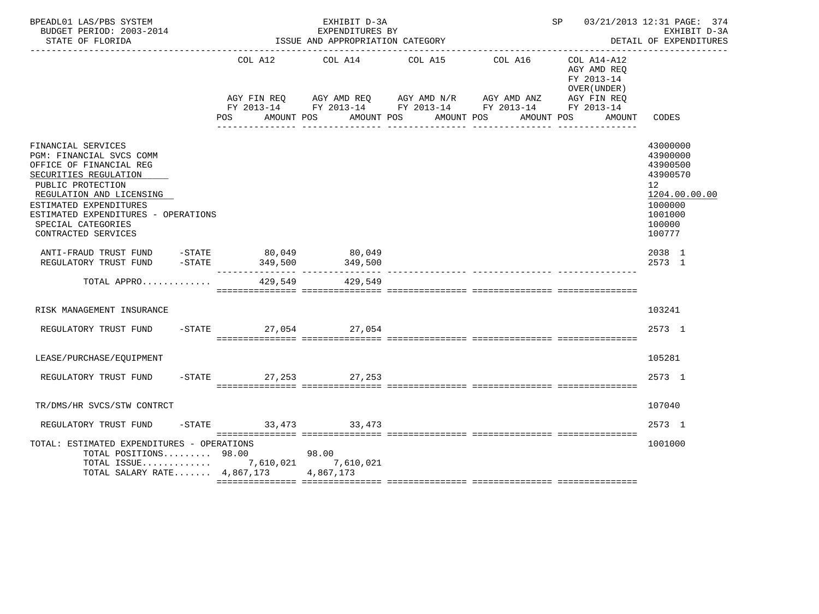| BPEADL01 LAS/PBS SYSTEM<br>BUDGET PERIOD: 2003-2014<br>STATE OF FLORIDA                                                                                                                                                                                           |                        | EXHIBIT D-3A<br>EXPENDITURES BY<br>ISSUE AND APPROPRIATION CATEGORY | SP 03/21/2013 12:31 PAGE: 374<br>EXHIBIT D-3A<br>DETAIL OF EXPENDITURES                                                                   |                                                           |                                                                                                               |
|-------------------------------------------------------------------------------------------------------------------------------------------------------------------------------------------------------------------------------------------------------------------|------------------------|---------------------------------------------------------------------|-------------------------------------------------------------------------------------------------------------------------------------------|-----------------------------------------------------------|---------------------------------------------------------------------------------------------------------------|
|                                                                                                                                                                                                                                                                   |                        | COL A12 COL A14                                                     | COL A15<br>COL A16                                                                                                                        | COL A14-A12<br>AGY AMD REO<br>FY 2013-14<br>OVER (UNDER ) |                                                                                                               |
|                                                                                                                                                                                                                                                                   |                        |                                                                     | AGY FIN REQ      AGY AMD REQ      AGY AMD N/R      AGY AMD ANZ      AGY FIN REQ<br>FY 2013-14 FY 2013-14 FY 2013-14 FY 2013-14 FY 2013-14 |                                                           |                                                                                                               |
|                                                                                                                                                                                                                                                                   | <b>POS</b>             | AMOUNT POS<br>AMOUNT POS                                            | AMOUNT POS                                                                                                                                | AMOUNT POS<br>AMOUNT                                      | CODES                                                                                                         |
| FINANCIAL SERVICES<br>PGM: FINANCIAL SVCS COMM<br>OFFICE OF FINANCIAL REG<br>SECURITIES REGULATION<br>PUBLIC PROTECTION<br>REGULATION AND LICENSING<br>ESTIMATED EXPENDITURES<br>ESTIMATED EXPENDITURES - OPERATIONS<br>SPECIAL CATEGORIES<br>CONTRACTED SERVICES |                        |                                                                     |                                                                                                                                           |                                                           | 43000000<br>43900000<br>43900500<br>43900570<br>12<br>1204.00.00.00<br>1000000<br>1001000<br>100000<br>100777 |
| ANTI-FRAUD TRUST FUND -STATE 80,049<br>REGULATORY TRUST FUND -STATE                                                                                                                                                                                               | 349,500                | 80,049<br>349,500                                                   |                                                                                                                                           |                                                           | 2038 1<br>2573 1                                                                                              |
| TOTAL APPRO                                                                                                                                                                                                                                                       |                        | 429,549 429,549                                                     |                                                                                                                                           |                                                           |                                                                                                               |
| RISK MANAGEMENT INSURANCE                                                                                                                                                                                                                                         |                        |                                                                     |                                                                                                                                           |                                                           | 103241                                                                                                        |
| REGULATORY TRUST FUND                                                                                                                                                                                                                                             | -STATE 27,054 27,054   |                                                                     |                                                                                                                                           |                                                           | 2573 1                                                                                                        |
| LEASE/PURCHASE/EQUIPMENT                                                                                                                                                                                                                                          |                        |                                                                     |                                                                                                                                           |                                                           | 105281                                                                                                        |
| REGULATORY TRUST FUND                                                                                                                                                                                                                                             | -STATE 27, 253 27, 253 |                                                                     |                                                                                                                                           |                                                           | 2573 1                                                                                                        |
| TR/DMS/HR SVCS/STW CONTRCT                                                                                                                                                                                                                                        |                        |                                                                     |                                                                                                                                           |                                                           | 107040                                                                                                        |
| REGULATORY TRUST FUND                                                                                                                                                                                                                                             | -STATE 33,473 33,473   |                                                                     |                                                                                                                                           |                                                           | 2573 1                                                                                                        |
| TOTAL: ESTIMATED EXPENDITURES - OPERATIONS<br>TOTAL POSITIONS 98.00<br>TOTAL ISSUE 7,610,021 7,610,021<br>TOTAL SALARY RATE 4,867,173 4,867,173                                                                                                                   |                        | 98.00                                                               |                                                                                                                                           |                                                           | 1001000                                                                                                       |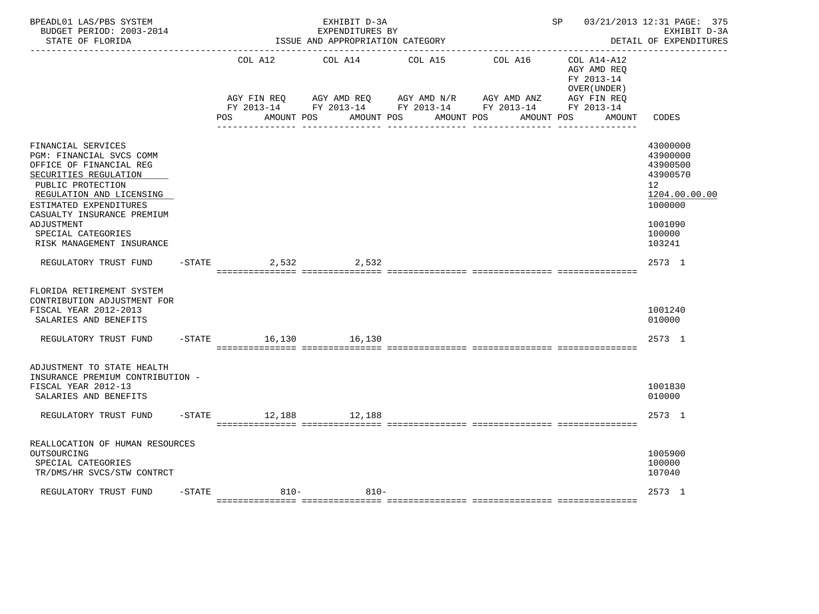| BPEADL01 LAS/PBS SYSTEM<br>BUDGET PERIOD: 2003-2014<br>STATE OF FLORIDA                                                                                                                                                                         |           |                      | EXHIBIT D-3A<br>EXPENDITURES BY<br>ISSUE AND APPROPRIATION CATEGORY |                       |                                                                                               | SP and the set of the set of the set of the set of the set of the set of the set of the set of the set of the set of the set of the set of the set of the set of the set of the set of the set of the set of the set of the se | 03/21/2013 12:31 PAGE: 375<br>EXHIBIT D-3A<br>DETAIL OF EXPENDITURES                                             |
|-------------------------------------------------------------------------------------------------------------------------------------------------------------------------------------------------------------------------------------------------|-----------|----------------------|---------------------------------------------------------------------|-----------------------|-----------------------------------------------------------------------------------------------|--------------------------------------------------------------------------------------------------------------------------------------------------------------------------------------------------------------------------------|------------------------------------------------------------------------------------------------------------------|
|                                                                                                                                                                                                                                                 |           | COL A12              | COL A14                                                             | COL A15               | COL A16                                                                                       | COL A14-A12<br>AGY AMD REO<br>FY 2013-14<br>OVER (UNDER)                                                                                                                                                                       |                                                                                                                  |
|                                                                                                                                                                                                                                                 |           | AGY FIN REO<br>POS   | AMOUNT POS                                                          | AMOUNT POS AMOUNT POS | AGY AMD REQ AGY AMD N/R AGY AMD ANZ<br>FY 2013-14 FY 2013-14 FY 2013-14 FY 2013-14 FY 2013-14 | AGY FIN REO<br>AMOUNT POS<br>AMOUNT                                                                                                                                                                                            | CODES                                                                                                            |
| FINANCIAL SERVICES<br>PGM: FINANCIAL SVCS COMM<br>OFFICE OF FINANCIAL REG<br>SECURITIES REGULATION<br>PUBLIC PROTECTION<br>REGULATION AND LICENSING<br>ESTIMATED EXPENDITURES<br>CASUALTY INSURANCE PREMIUM<br>ADJUSTMENT<br>SPECIAL CATEGORIES |           |                      |                                                                     |                       |                                                                                               |                                                                                                                                                                                                                                | 43000000<br>43900000<br>43900500<br>43900570<br>12 <sup>°</sup><br>1204.00.00.00<br>1000000<br>1001090<br>100000 |
| RISK MANAGEMENT INSURANCE<br>REGULATORY TRUST FUND                                                                                                                                                                                              |           | $-STATE$<br>2,532    | 2,532                                                               |                       |                                                                                               |                                                                                                                                                                                                                                | 103241<br>2573 1                                                                                                 |
| FLORIDA RETIREMENT SYSTEM<br>CONTRIBUTION ADJUSTMENT FOR<br>FISCAL YEAR 2012-2013<br>SALARIES AND BENEFITS<br>REGULATORY TRUST FUND                                                                                                             |           | -STATE 16,130 16,130 |                                                                     |                       |                                                                                               |                                                                                                                                                                                                                                | 1001240<br>010000<br>2573 1                                                                                      |
| ADJUSTMENT TO STATE HEALTH<br>INSURANCE PREMIUM CONTRIBUTION -<br>FISCAL YEAR 2012-13<br>SALARIES AND BENEFITS                                                                                                                                  |           |                      |                                                                     |                       |                                                                                               |                                                                                                                                                                                                                                | 1001830<br>010000                                                                                                |
| REGULATORY TRUST FUND                                                                                                                                                                                                                           |           | -STATE 12,188 12,188 |                                                                     |                       |                                                                                               |                                                                                                                                                                                                                                | 2573 1                                                                                                           |
| REALLOCATION OF HUMAN RESOURCES<br>OUTSOURCING<br>SPECIAL CATEGORIES<br>TR/DMS/HR SVCS/STW CONTRCT                                                                                                                                              |           |                      |                                                                     |                       |                                                                                               |                                                                                                                                                                                                                                | 1005900<br>100000<br>107040                                                                                      |
| REGULATORY TRUST FUND                                                                                                                                                                                                                           | $-$ STATE | $810-$               | $810 -$                                                             |                       |                                                                                               |                                                                                                                                                                                                                                | 2573 1                                                                                                           |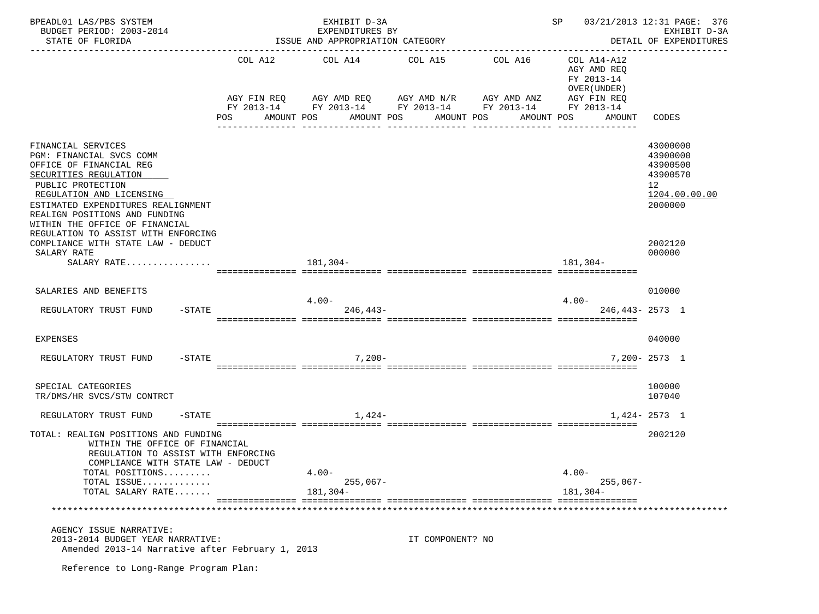| BPEADL01 LAS/PBS SYSTEM<br>BUDGET PERIOD: 2003-2014<br>STATE OF FLORIDA                                                                                                                                                                                                                                                                   |     | EXHIBIT D-3A<br>EXPENDITURES BY<br>ISSUE AND APPROPRIATION CATEGORY                                                                                              |                  | SP 03/21/2013 12:31 PAGE: 376<br>EXHIBIT D-3A<br>DETAIL OF EXPENDITURES |                                                                                   |                                                                                           |
|-------------------------------------------------------------------------------------------------------------------------------------------------------------------------------------------------------------------------------------------------------------------------------------------------------------------------------------------|-----|------------------------------------------------------------------------------------------------------------------------------------------------------------------|------------------|-------------------------------------------------------------------------|-----------------------------------------------------------------------------------|-------------------------------------------------------------------------------------------|
|                                                                                                                                                                                                                                                                                                                                           | POS | COL A12 COL A14 COL A15<br>AGY FIN REQ AGY AMD REQ AGY AMD N/R AGY AMD ANZ<br>FY 2013-14 FY 2013-14 FY 2013-14 FY 2013-14 FY 2013-14<br>AMOUNT POS<br>AMOUNT POS | AMOUNT POS       | COL A16<br>AMOUNT POS                                                   | COL A14-A12<br>AGY AMD REQ<br>FY 2013-14<br>OVER (UNDER)<br>AGY FIN REQ<br>AMOUNT | CODES                                                                                     |
| FINANCIAL SERVICES<br>PGM: FINANCIAL SVCS COMM<br>OFFICE OF FINANCIAL REG<br>SECURITIES REGULATION<br>PUBLIC PROTECTION<br>REGULATION AND LICENSING<br>ESTIMATED EXPENDITURES REALIGNMENT<br>REALIGN POSITIONS AND FUNDING<br>WITHIN THE OFFICE OF FINANCIAL<br>REGULATION TO ASSIST WITH ENFORCING<br>COMPLIANCE WITH STATE LAW - DEDUCT |     |                                                                                                                                                                  |                  |                                                                         |                                                                                   | 43000000<br>43900000<br>43900500<br>43900570<br>12<br>1204.00.00.00<br>2000000<br>2002120 |
| SALARY RATE<br>SALARY RATE                                                                                                                                                                                                                                                                                                                |     | 181,304-                                                                                                                                                         |                  |                                                                         | 181,304-                                                                          | 000000                                                                                    |
|                                                                                                                                                                                                                                                                                                                                           |     |                                                                                                                                                                  |                  |                                                                         |                                                                                   |                                                                                           |
| SALARIES AND BENEFITS                                                                                                                                                                                                                                                                                                                     |     | $4.00-$                                                                                                                                                          |                  |                                                                         | $4.00 -$                                                                          | 010000                                                                                    |
| $-$ STATE<br>REGULATORY TRUST FUND                                                                                                                                                                                                                                                                                                        |     | $246.443-$                                                                                                                                                       |                  |                                                                         | $246.443 - 2573$ 1                                                                |                                                                                           |
| EXPENSES                                                                                                                                                                                                                                                                                                                                  |     |                                                                                                                                                                  |                  |                                                                         |                                                                                   | 040000                                                                                    |
| $- \text{STATE}$<br>REGULATORY TRUST FUND                                                                                                                                                                                                                                                                                                 |     | $7,200-$                                                                                                                                                         |                  |                                                                         |                                                                                   | $7.200 - 2573$ 1                                                                          |
|                                                                                                                                                                                                                                                                                                                                           |     |                                                                                                                                                                  |                  |                                                                         |                                                                                   |                                                                                           |
| SPECIAL CATEGORIES<br>TR/DMS/HR SVCS/STW CONTRCT                                                                                                                                                                                                                                                                                          |     |                                                                                                                                                                  |                  |                                                                         |                                                                                   | 100000<br>107040                                                                          |
| REGULATORY TRUST FUND<br>$-$ STATE                                                                                                                                                                                                                                                                                                        |     | 1,424-                                                                                                                                                           |                  |                                                                         |                                                                                   | $1,424 - 2573$ 1                                                                          |
| TOTAL: REALIGN POSITIONS AND FUNDING<br>WITHIN THE OFFICE OF FINANCIAL<br>REGULATION TO ASSIST WITH ENFORCING<br>COMPLIANCE WITH STATE LAW - DEDUCT                                                                                                                                                                                       |     |                                                                                                                                                                  |                  |                                                                         |                                                                                   | 2002120                                                                                   |
| TOTAL POSITIONS<br>TOTAL ISSUE                                                                                                                                                                                                                                                                                                            |     | $4.00 -$<br>$255,067-$                                                                                                                                           |                  |                                                                         | $4.00 -$<br>$255,067-$                                                            |                                                                                           |
| TOTAL SALARY RATE                                                                                                                                                                                                                                                                                                                         |     | $181.304-$                                                                                                                                                       |                  |                                                                         | $181, 304 -$                                                                      |                                                                                           |
|                                                                                                                                                                                                                                                                                                                                           |     |                                                                                                                                                                  |                  |                                                                         |                                                                                   |                                                                                           |
| AGENCY ISSUE NARRATIVE:<br>2013-2014 BUDGET YEAR NARRATIVE:<br>Amended 2013-14 Narrative after February 1, 2013                                                                                                                                                                                                                           |     |                                                                                                                                                                  | IT COMPONENT? NO |                                                                         |                                                                                   |                                                                                           |
| Reference to Long-Range Program Plan:                                                                                                                                                                                                                                                                                                     |     |                                                                                                                                                                  |                  |                                                                         |                                                                                   |                                                                                           |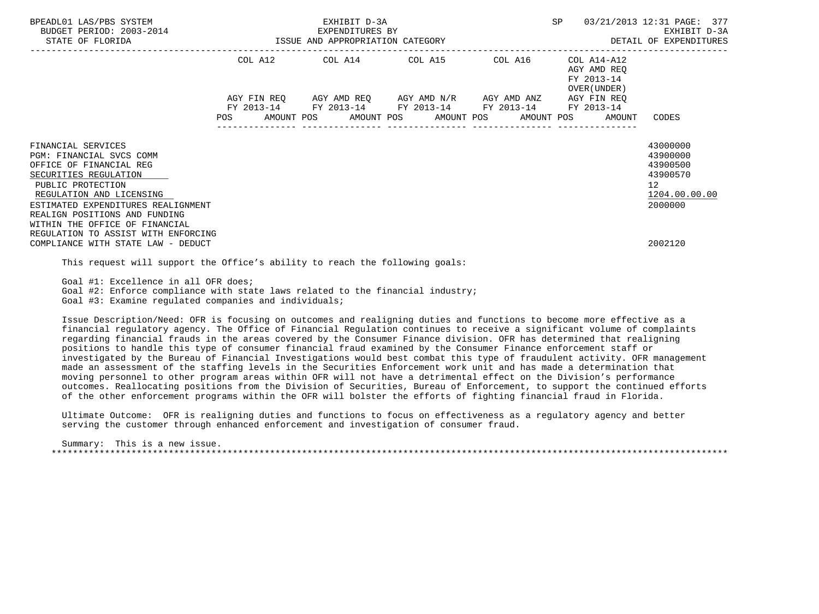| BPEADL01 LAS/PBS SYSTEM<br>BUDGET PERIOD: 2003-2014<br>STATE OF FLORIDA                                                                                                                                                                                      | EXHIBIT D-3A<br>3-2014 EXPENDITURES BY<br>ISSUE AND APPROPRIATION CATEGORY                                                                                           | SP<br>DETAIL OF EXPENDITURES | 03/21/2013 12:31 PAGE: 377<br>EXHIBIT D-3A               |                                                                                             |
|--------------------------------------------------------------------------------------------------------------------------------------------------------------------------------------------------------------------------------------------------------------|----------------------------------------------------------------------------------------------------------------------------------------------------------------------|------------------------------|----------------------------------------------------------|---------------------------------------------------------------------------------------------|
|                                                                                                                                                                                                                                                              | COL A12 COL A14 COL A15 COL A16                                                                                                                                      |                              | COL A14-A12<br>AGY AMD REO<br>FY 2013-14<br>OVER (UNDER) |                                                                                             |
|                                                                                                                                                                                                                                                              | AGY FIN REQ AGY AMD REQ AGY AMD N/R AGY AMD ANZ AGY FIN REQ<br>FY 2013-14 FY 2013-14 FY 2013-14 FY 2013-14<br>POS AMOUNT POS AMOUNT POS AMOUNT POS AMOUNT POS AMOUNT |                              | FY 2013-14                                               | CODES                                                                                       |
| FINANCIAL SERVICES<br>PGM: FINANCIAL SVCS COMM<br>OFFICE OF FINANCIAL REG<br>SECURITIES REGULATION<br>PUBLIC PROTECTION<br>REGULATION AND LICENSING<br>ESTIMATED EXPENDITURES REALIGNMENT<br>REALIGN POSITIONS AND FUNDING<br>WITHIN THE OFFICE OF FINANCIAL |                                                                                                                                                                      |                              |                                                          | 43000000<br>43900000<br>43900500<br>43900570<br>12 <sup>°</sup><br>1204.00.00.00<br>2000000 |
| REGULATION TO ASSIST WITH ENFORCING<br>COMPLIANCE WITH STATE LAW - DEDUCT                                                                                                                                                                                    |                                                                                                                                                                      |                              |                                                          | 2002120                                                                                     |

This request will support the Office's ability to reach the following goals:

Goal #1: Excellence in all OFR does;

Goal #2: Enforce compliance with state laws related to the financial industry;

Goal #3: Examine regulated companies and individuals;

 Issue Description/Need: OFR is focusing on outcomes and realigning duties and functions to become more effective as a financial regulatory agency. The Office of Financial Regulation continues to receive a significant volume of complaints regarding financial frauds in the areas covered by the Consumer Finance division. OFR has determined that realigning positions to handle this type of consumer financial fraud examined by the Consumer Finance enforcement staff or investigated by the Bureau of Financial Investigations would best combat this type of fraudulent activity. OFR management made an assessment of the staffing levels in the Securities Enforcement work unit and has made a determination that moving personnel to other program areas within OFR will not have a detrimental effect on the Division's performance outcomes. Reallocating positions from the Division of Securities, Bureau of Enforcement, to support the continued efforts of the other enforcement programs within the OFR will bolster the efforts of fighting financial fraud in Florida.

 Ultimate Outcome: OFR is realigning duties and functions to focus on effectiveness as a regulatory agency and better serving the customer through enhanced enforcement and investigation of consumer fraud.

 Summary: This is a new issue. \*\*\*\*\*\*\*\*\*\*\*\*\*\*\*\*\*\*\*\*\*\*\*\*\*\*\*\*\*\*\*\*\*\*\*\*\*\*\*\*\*\*\*\*\*\*\*\*\*\*\*\*\*\*\*\*\*\*\*\*\*\*\*\*\*\*\*\*\*\*\*\*\*\*\*\*\*\*\*\*\*\*\*\*\*\*\*\*\*\*\*\*\*\*\*\*\*\*\*\*\*\*\*\*\*\*\*\*\*\*\*\*\*\*\*\*\*\*\*\*\*\*\*\*\*\*\*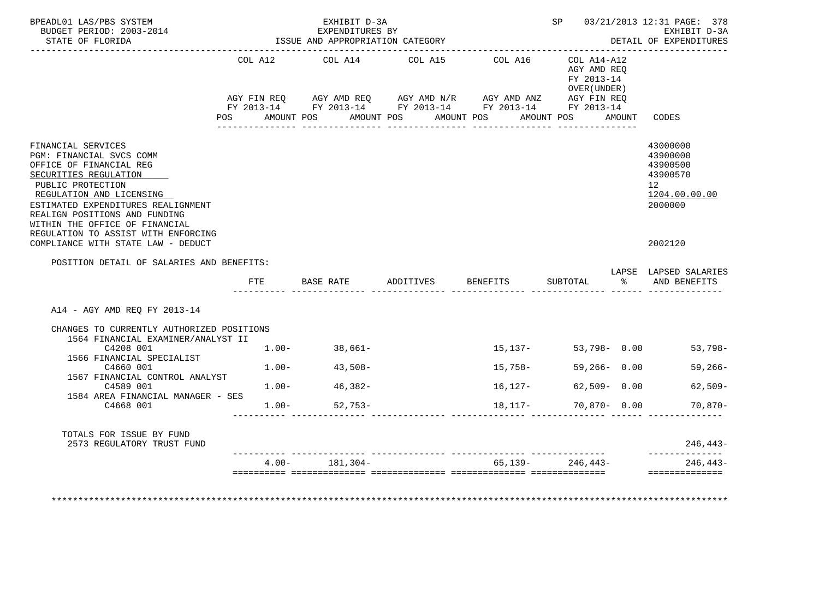| BPEADL01 LAS/PBS SYSTEM<br>BUDGET PERIOD: 2003-2014<br>STATE OF FLORIDA                                                                                                                                                                                      | ISSUE AND APPROPRIATION CATEGORY | SP 03/21/2013 12:31 PAGE: 378<br>EXHIBIT D-3A<br>DETAIL OF EXPENDITURES |                                                                                                                                                            |            |                                                              |        |                                                                                |
|--------------------------------------------------------------------------------------------------------------------------------------------------------------------------------------------------------------------------------------------------------------|----------------------------------|-------------------------------------------------------------------------|------------------------------------------------------------------------------------------------------------------------------------------------------------|------------|--------------------------------------------------------------|--------|--------------------------------------------------------------------------------|
|                                                                                                                                                                                                                                                              |                                  | COL A12 COL A14                                                         | COL A15                                                                                                                                                    | COL A16    | $COL A14 - A12$<br>AGY AMD REO<br>FY 2013-14<br>OVER (UNDER) |        |                                                                                |
|                                                                                                                                                                                                                                                              |                                  |                                                                         | $\verb AGY\text{ FIN REQ} \qquad \verb AGY\text{ AMD REQ} \qquad \verb AGY\text{ AMD N/R} \qquad \verb AGY\text{ AMD ANZ} \qquad \verb AGY\text{ FIN REQ}$ |            |                                                              |        |                                                                                |
|                                                                                                                                                                                                                                                              | POS                              | AMOUNT POS                                                              | FY 2013-14 FY 2013-14 FY 2013-14 FY 2013-14 FY 2013-14<br>AMOUNT POS AMOUNT POS                                                                            |            | AMOUNT POS                                                   | AMOUNT | CODES                                                                          |
|                                                                                                                                                                                                                                                              |                                  |                                                                         |                                                                                                                                                            |            |                                                              |        |                                                                                |
| FINANCIAL SERVICES<br>PGM: FINANCIAL SVCS COMM<br>OFFICE OF FINANCIAL REG<br>SECURITIES REGULATION<br>PUBLIC PROTECTION<br>REGULATION AND LICENSING<br>ESTIMATED EXPENDITURES REALIGNMENT<br>REALIGN POSITIONS AND FUNDING<br>WITHIN THE OFFICE OF FINANCIAL |                                  |                                                                         |                                                                                                                                                            |            |                                                              |        | 43000000<br>43900000<br>43900500<br>43900570<br>12<br>1204.00.00.00<br>2000000 |
| REGULATION TO ASSIST WITH ENFORCING<br>COMPLIANCE WITH STATE LAW - DEDUCT                                                                                                                                                                                    |                                  |                                                                         |                                                                                                                                                            |            |                                                              |        | 2002120                                                                        |
| POSITION DETAIL OF SALARIES AND BENEFITS:                                                                                                                                                                                                                    |                                  |                                                                         |                                                                                                                                                            |            |                                                              |        |                                                                                |
|                                                                                                                                                                                                                                                              | FTE                              | BASE RATE                                                               | ADDITIVES                                                                                                                                                  | BENEFITS   | SUBTOTAL                                                     | ော အော | LAPSE LAPSED SALARIES<br>AND BENEFITS                                          |
| A14 - AGY AMD REQ FY 2013-14                                                                                                                                                                                                                                 |                                  |                                                                         |                                                                                                                                                            |            |                                                              |        |                                                                                |
| CHANGES TO CURRENTLY AUTHORIZED POSITIONS<br>1564 FINANCIAL EXAMINER/ANALYST II                                                                                                                                                                              |                                  |                                                                         |                                                                                                                                                            |            |                                                              |        |                                                                                |
| C4208 001<br>1566 FINANCIAL SPECIALIST                                                                                                                                                                                                                       |                                  | $1.00 - 38,661 -$                                                       |                                                                                                                                                            |            | $15,137-53,798-0.00$                                         |        | 53,798-                                                                        |
| C4660 001<br>1567 FINANCIAL CONTROL ANALYST                                                                                                                                                                                                                  |                                  | $1.00 - 43,508 -$                                                       |                                                                                                                                                            | 15,758-    | $59,266 - 0.00$                                              |        | $59,266-$                                                                      |
| C4589 001<br>1584 AREA FINANCIAL MANAGER - SES                                                                                                                                                                                                               | $1.00-$                          | $46,382-$                                                               |                                                                                                                                                            | 16,127-    | $62,509 - 0.00$                                              |        | $62,509-$                                                                      |
| C4668 001                                                                                                                                                                                                                                                    |                                  | $1.00 - 52,753 -$                                                       |                                                                                                                                                            | 18,117-    | $70,870 - 0.00$                                              |        | $70,870-$                                                                      |
| TOTALS FOR ISSUE BY FUND<br>2573 REGULATORY TRUST FUND                                                                                                                                                                                                       |                                  |                                                                         |                                                                                                                                                            |            |                                                              |        | 246,443-                                                                       |
|                                                                                                                                                                                                                                                              | $4.00 -$                         | 181,304-                                                                |                                                                                                                                                            | $65.139 -$ | 246,443-                                                     |        | $246, 443-$                                                                    |
| *******************                                                                                                                                                                                                                                          |                                  |                                                                         |                                                                                                                                                            |            |                                                              |        | ==============                                                                 |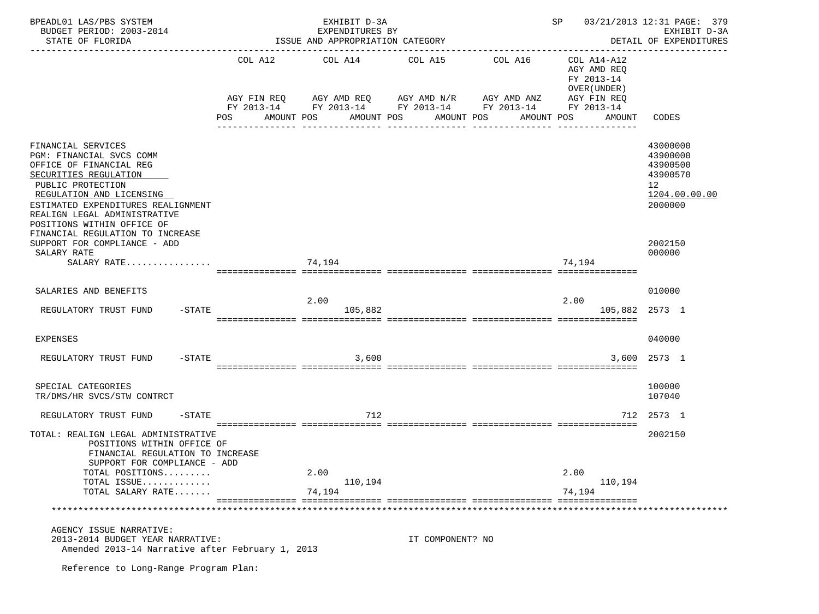| BPEADL01 LAS/PBS SYSTEM<br>BUDGET PERIOD: 2003-2014<br>STATE OF FLORIDA                                                                                                                                                                                                                                                     |     | EXHIBIT D-3A<br>EXPENDITURES BY<br>ISSUE AND APPROPRIATION CATEGORY                                                                                                     |                  | 03/21/2013 12:31 PAGE: 379<br>SP<br>EXHIBIT D-3A<br>DETAIL OF EXPENDITURES |                                                                                   |                                                                                           |
|-----------------------------------------------------------------------------------------------------------------------------------------------------------------------------------------------------------------------------------------------------------------------------------------------------------------------------|-----|-------------------------------------------------------------------------------------------------------------------------------------------------------------------------|------------------|----------------------------------------------------------------------------|-----------------------------------------------------------------------------------|-------------------------------------------------------------------------------------------|
|                                                                                                                                                                                                                                                                                                                             | POS | COL A12 COL A14 COL A15<br>AGY FIN REQ 6 AGY AMD REQ 6 AGY AMD N/R 66 AGY AMD ANZ<br>FY 2013-14 FY 2013-14 FY 2013-14 FY 2013-14 FY 2013-14<br>AMOUNT POS<br>AMOUNT POS | AMOUNT POS       | COL A16<br>AMOUNT POS                                                      | COL A14-A12<br>AGY AMD REQ<br>FY 2013-14<br>OVER (UNDER)<br>AGY FIN REQ<br>AMOUNT | CODES                                                                                     |
| FINANCIAL SERVICES<br>PGM: FINANCIAL SVCS COMM<br>OFFICE OF FINANCIAL REG<br>SECURITIES REGULATION<br>PUBLIC PROTECTION<br>REGULATION AND LICENSING<br>ESTIMATED EXPENDITURES REALIGNMENT<br>REALIGN LEGAL ADMINISTRATIVE<br>POSITIONS WITHIN OFFICE OF<br>FINANCIAL REGULATION TO INCREASE<br>SUPPORT FOR COMPLIANCE - ADD |     |                                                                                                                                                                         |                  |                                                                            |                                                                                   | 43000000<br>43900000<br>43900500<br>43900570<br>12<br>1204.00.00.00<br>2000000<br>2002150 |
| SALARY RATE                                                                                                                                                                                                                                                                                                                 |     |                                                                                                                                                                         |                  |                                                                            |                                                                                   | 000000                                                                                    |
| SALARY RATE                                                                                                                                                                                                                                                                                                                 |     | 74,194                                                                                                                                                                  |                  |                                                                            | 74.194                                                                            |                                                                                           |
| SALARIES AND BENEFITS                                                                                                                                                                                                                                                                                                       |     | 2.00                                                                                                                                                                    |                  |                                                                            | 2.00                                                                              | 010000                                                                                    |
| $-$ STATE<br>REGULATORY TRUST FUND                                                                                                                                                                                                                                                                                          |     | 105,882                                                                                                                                                                 |                  |                                                                            |                                                                                   | 105,882 2573 1                                                                            |
| EXPENSES                                                                                                                                                                                                                                                                                                                    |     |                                                                                                                                                                         |                  |                                                                            |                                                                                   | 040000                                                                                    |
| REGULATORY TRUST FUND<br>$-$ STATE                                                                                                                                                                                                                                                                                          |     | 3,600                                                                                                                                                                   |                  |                                                                            |                                                                                   | 3,600 2573 1                                                                              |
|                                                                                                                                                                                                                                                                                                                             |     |                                                                                                                                                                         |                  |                                                                            |                                                                                   |                                                                                           |
| SPECIAL CATEGORIES<br>TR/DMS/HR SVCS/STW CONTRCT                                                                                                                                                                                                                                                                            |     |                                                                                                                                                                         |                  |                                                                            |                                                                                   | 100000<br>107040                                                                          |
| REGULATORY TRUST FUND<br>$-$ STATE                                                                                                                                                                                                                                                                                          |     | 712                                                                                                                                                                     |                  |                                                                            |                                                                                   | 712 2573 1                                                                                |
| TOTAL: REALIGN LEGAL ADMINISTRATIVE<br>POSITIONS WITHIN OFFICE OF<br>FINANCIAL REGULATION TO INCREASE<br>SUPPORT FOR COMPLIANCE - ADD                                                                                                                                                                                       |     |                                                                                                                                                                         |                  |                                                                            |                                                                                   | 2002150                                                                                   |
| TOTAL POSITIONS<br>TOTAL ISSUE                                                                                                                                                                                                                                                                                              |     | 2.00                                                                                                                                                                    |                  |                                                                            | 2.00                                                                              |                                                                                           |
| TOTAL SALARY RATE                                                                                                                                                                                                                                                                                                           |     | 110,194<br>74,194                                                                                                                                                       |                  |                                                                            | 110,194<br>74,194                                                                 |                                                                                           |
|                                                                                                                                                                                                                                                                                                                             |     |                                                                                                                                                                         |                  |                                                                            |                                                                                   |                                                                                           |
| AGENCY ISSUE NARRATIVE:<br>2013-2014 BUDGET YEAR NARRATIVE:<br>Amended 2013-14 Narrative after February 1, 2013                                                                                                                                                                                                             |     |                                                                                                                                                                         | IT COMPONENT? NO |                                                                            |                                                                                   |                                                                                           |
| Reference to Long-Range Program Plan:                                                                                                                                                                                                                                                                                       |     |                                                                                                                                                                         |                  |                                                                            |                                                                                   |                                                                                           |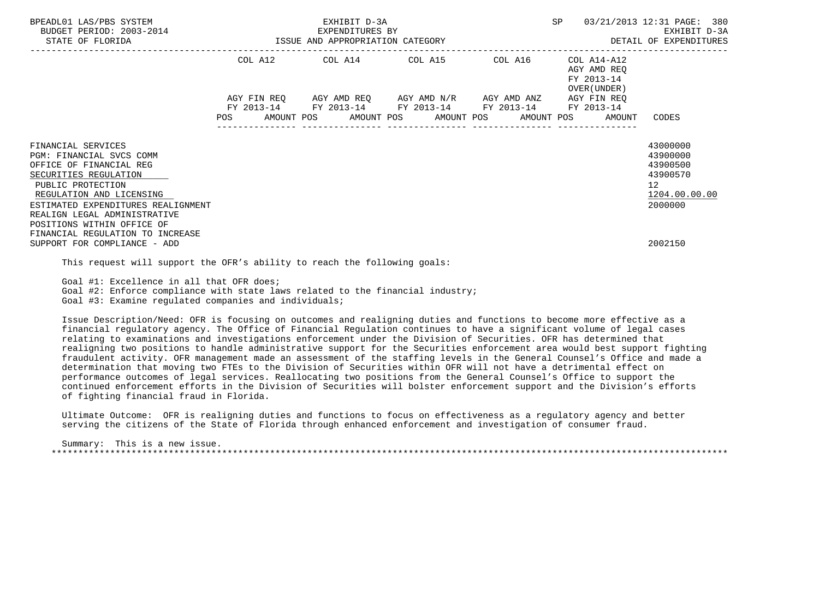| BPEADL01 LAS/PBS SYSTEM<br>BUDGET PERIOD: 2003-2014<br>STATE OF FLORIDA                                                                                                                                                                                 | EXHIBIT D-3A<br>EXPENDITURES BY<br>3-2014 EXPENDITURES BY<br>ISSUE AND APPROPRIATION CATEGORY |  |  |  |  |  |  | SP                                                                                                                                                                   |  | 03/21/2013 12:31 PAGE: 380<br>EXHIBIT D-3A<br>DETAIL OF EXPENDITURES |                                                                                |
|---------------------------------------------------------------------------------------------------------------------------------------------------------------------------------------------------------------------------------------------------------|-----------------------------------------------------------------------------------------------|--|--|--|--|--|--|----------------------------------------------------------------------------------------------------------------------------------------------------------------------|--|----------------------------------------------------------------------|--------------------------------------------------------------------------------|
|                                                                                                                                                                                                                                                         |                                                                                               |  |  |  |  |  |  | COL A12 COL A14 COL A15 COL A16                                                                                                                                      |  | COL A14-A12<br>AGY AMD REO<br>FY 2013-14<br>OVER (UNDER )            |                                                                                |
|                                                                                                                                                                                                                                                         |                                                                                               |  |  |  |  |  |  | AGY FIN REQ AGY AMD REQ AGY AMD N/R AGY AMD ANZ AGY FIN REQ<br>FY 2013-14 FY 2013-14 FY 2013-14 FY 2013-14<br>POS AMOUNT POS AMOUNT POS AMOUNT POS AMOUNT POS AMOUNT |  | FY 2013-14                                                           | CODES                                                                          |
| FINANCIAL SERVICES<br>PGM: FINANCIAL SVCS COMM<br>OFFICE OF FINANCIAL REG<br>SECURITIES REGULATION<br>PUBLIC PROTECTION<br>REGULATION AND LICENSING<br>ESTIMATED EXPENDITURES REALIGNMENT<br>REALIGN LEGAL ADMINISTRATIVE<br>POSITIONS WITHIN OFFICE OF |                                                                                               |  |  |  |  |  |  |                                                                                                                                                                      |  |                                                                      | 43000000<br>43900000<br>43900500<br>43900570<br>12<br>1204.00.00.00<br>2000000 |
| FINANCIAL REGULATION TO INCREASE<br>SUPPORT FOR COMPLIANCE - ADD                                                                                                                                                                                        |                                                                                               |  |  |  |  |  |  |                                                                                                                                                                      |  |                                                                      | 2002150                                                                        |

This request will support the OFR's ability to reach the following goals:

Goal #1: Excellence in all that OFR does;

Goal #2: Enforce compliance with state laws related to the financial industry;

Goal #3: Examine regulated companies and individuals;

 Issue Description/Need: OFR is focusing on outcomes and realigning duties and functions to become more effective as a financial regulatory agency. The Office of Financial Regulation continues to have a significant volume of legal cases relating to examinations and investigations enforcement under the Division of Securities. OFR has determined that realigning two positions to handle administrative support for the Securities enforcement area would best support fighting fraudulent activity. OFR management made an assessment of the staffing levels in the General Counsel's Office and made a determination that moving two FTEs to the Division of Securities within OFR will not have a detrimental effect on performance outcomes of legal services. Reallocating two positions from the General Counsel's Office to support the continued enforcement efforts in the Division of Securities will bolster enforcement support and the Division's efforts of fighting financial fraud in Florida.

 Ultimate Outcome: OFR is realigning duties and functions to focus on effectiveness as a regulatory agency and better serving the citizens of the State of Florida through enhanced enforcement and investigation of consumer fraud.

 Summary: This is a new issue. \*\*\*\*\*\*\*\*\*\*\*\*\*\*\*\*\*\*\*\*\*\*\*\*\*\*\*\*\*\*\*\*\*\*\*\*\*\*\*\*\*\*\*\*\*\*\*\*\*\*\*\*\*\*\*\*\*\*\*\*\*\*\*\*\*\*\*\*\*\*\*\*\*\*\*\*\*\*\*\*\*\*\*\*\*\*\*\*\*\*\*\*\*\*\*\*\*\*\*\*\*\*\*\*\*\*\*\*\*\*\*\*\*\*\*\*\*\*\*\*\*\*\*\*\*\*\*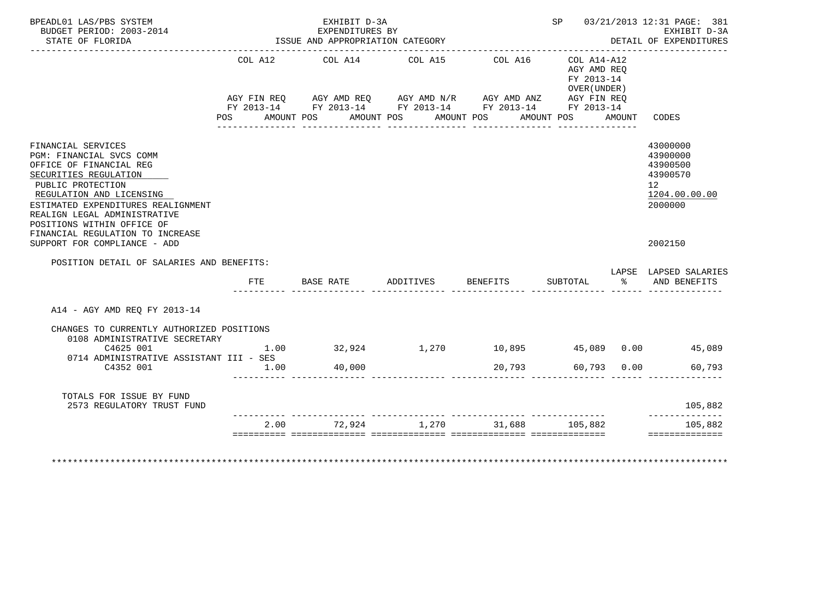| BPEADL01 LAS/PBS SYSTEM<br>BUDGET PERIOD: 2003-2014<br>STATE OF FLORIDA                                                                                                                                                                                 |                                                                                                                | EXHIBIT D-3A<br>EXPENDITURES BY<br>ISSUE AND APPROPRIATION CATEGORY                                                                                            | SP 03/21/2013 12:31 PAGE: 381<br>EXHIBIT D-3A<br>DETAIL OF EXPENDITURES |                       |                                                                         |  |                                                                                |
|---------------------------------------------------------------------------------------------------------------------------------------------------------------------------------------------------------------------------------------------------------|----------------------------------------------------------------------------------------------------------------|----------------------------------------------------------------------------------------------------------------------------------------------------------------|-------------------------------------------------------------------------|-----------------------|-------------------------------------------------------------------------|--|--------------------------------------------------------------------------------|
|                                                                                                                                                                                                                                                         | POS FOR THE POST OF THE STATE STATE STATE STATE STATE STATE STATE STATE STATE STATE STATE STATE STATE STATE ST | COL A12 COL A14 COL A15<br>AGY FIN REQ AGY AMD REQ AGY AMD N/R AGY AMD ANZ AGY FIN REQ<br>FY 2013-14 FY 2013-14 FY 2013-14 FY 2013-14 FY 2013-14<br>AMOUNT POS | AMOUNT POS                                                              | COL A16<br>AMOUNT POS | COL A14-A12<br>AGY AMD REO<br>FY 2013-14<br>OVER (UNDER )<br>AMOUNT POS |  | AMOUNT CODES                                                                   |
| FINANCIAL SERVICES<br>PGM: FINANCIAL SVCS COMM<br>OFFICE OF FINANCIAL REG<br>SECURITIES REGULATION<br>PUBLIC PROTECTION<br>REGULATION AND LICENSING<br>ESTIMATED EXPENDITURES REALIGNMENT<br>REALIGN LEGAL ADMINISTRATIVE<br>POSITIONS WITHIN OFFICE OF |                                                                                                                |                                                                                                                                                                |                                                                         |                       |                                                                         |  | 43000000<br>43900000<br>43900500<br>43900570<br>12<br>1204.00.00.00<br>2000000 |
| FINANCIAL REGULATION TO INCREASE<br>SUPPORT FOR COMPLIANCE - ADD<br>POSITION DETAIL OF SALARIES AND BENEFITS:                                                                                                                                           |                                                                                                                |                                                                                                                                                                |                                                                         |                       |                                                                         |  | 2002150                                                                        |
|                                                                                                                                                                                                                                                         | FTE                                                                                                            | BASE RATE ADDITIVES                                                                                                                                            |                                                                         | BENEFITS              | SUBTOTAL<br>__________ _____                                            |  | LAPSE LAPSED SALARIES<br>% AND BENEFITS                                        |
| A14 - AGY AMD REO FY 2013-14                                                                                                                                                                                                                            |                                                                                                                |                                                                                                                                                                |                                                                         |                       |                                                                         |  |                                                                                |
| CHANGES TO CURRENTLY AUTHORIZED POSITIONS<br>0108 ADMINISTRATIVE SECRETARY<br>C4625 001                                                                                                                                                                 | 1.00                                                                                                           |                                                                                                                                                                | $32,924$ $1,270$ $10,895$ $45,089$ $0.00$ $45,089$                      |                       |                                                                         |  |                                                                                |
| 0714 ADMINISTRATIVE ASSISTANT III - SES<br>C4352 001                                                                                                                                                                                                    | 1.00                                                                                                           | 40,000                                                                                                                                                         |                                                                         | 20,793                | 60,793 0.00                                                             |  | 60,793                                                                         |
| TOTALS FOR ISSUE BY FUND<br>2573 REGULATORY TRUST FUND                                                                                                                                                                                                  |                                                                                                                |                                                                                                                                                                |                                                                         |                       |                                                                         |  | 105,882<br>--------------                                                      |
|                                                                                                                                                                                                                                                         |                                                                                                                | $2.00$ $72.924$ $1.270$ $31.688$ $105.882$                                                                                                                     |                                                                         |                       |                                                                         |  | 105,882                                                                        |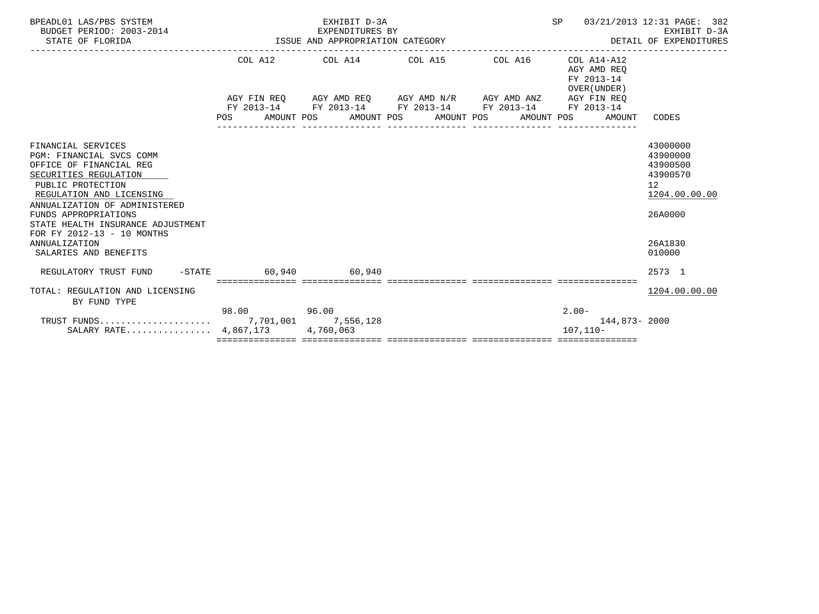| BPEADL01 LAS/PBS SYSTEM<br>BUDGET PERIOD: 2003-2014<br>STATE OF FLORIDA                                                                                                                                                                                                                                 | ISSUE AND APPROPRIATION CATEGORY | EXHIBIT D-3A<br>EXPENDITURES BY | SP<br>03/21/2013 12:31 PAGE: 382<br>EXHIBIT D-3A<br>DETAIL OF EXPENDITURES                                                                                    |  |                                                          |                                                                                           |
|---------------------------------------------------------------------------------------------------------------------------------------------------------------------------------------------------------------------------------------------------------------------------------------------------------|----------------------------------|---------------------------------|---------------------------------------------------------------------------------------------------------------------------------------------------------------|--|----------------------------------------------------------|-------------------------------------------------------------------------------------------|
|                                                                                                                                                                                                                                                                                                         |                                  |                                 | COL A12 COL A14 COL A15 COL A16                                                                                                                               |  | COL A14-A12<br>AGY AMD REO<br>FY 2013-14<br>OVER (UNDER) |                                                                                           |
|                                                                                                                                                                                                                                                                                                         |                                  |                                 | AGY FIN REO AGY AMD REO AGY AMD N/R AGY AMD ANZ AGY FIN REO<br>FY 2013-14 FY 2013-14 FY 2013-14 FY 2013-14<br>POS AMOUNT POS AMOUNT POS AMOUNT POS AMOUNT POS |  | FY 2013-14<br>AMOUNT                                     | CODES                                                                                     |
| FINANCIAL SERVICES<br><b>PGM: FINANCIAL SVCS COMM</b><br>OFFICE OF FINANCIAL REG<br>SECURITIES REGULATION<br>PUBLIC PROTECTION<br>REGULATION AND LICENSING<br>ANNUALIZATION OF ADMINISTERED<br>FUNDS APPROPRIATIONS<br>STATE HEALTH INSURANCE ADJUSTMENT<br>FOR FY 2012-13 - 10 MONTHS<br>ANNUALIZATION |                                  |                                 |                                                                                                                                                               |  |                                                          | 43000000<br>43900000<br>43900500<br>43900570<br>12<br>1204.00.00.00<br>26A0000<br>26A1830 |
| SALARIES AND BENEFITS<br>REGULATORY TRUST FUND -STATE 60.940 60.940                                                                                                                                                                                                                                     |                                  |                                 |                                                                                                                                                               |  |                                                          | 010000<br>2573 1                                                                          |
| TOTAL: REGULATION AND LICENSING<br>BY FUND TYPE                                                                                                                                                                                                                                                         |                                  |                                 |                                                                                                                                                               |  |                                                          | 1204.00.00.00                                                                             |
| SALARY RATE 4,867,173                                                                                                                                                                                                                                                                                   | 98.00 96.00                      | 4,760,063                       |                                                                                                                                                               |  | $2.00-$<br>144,873-2000<br>$107, 110 -$                  |                                                                                           |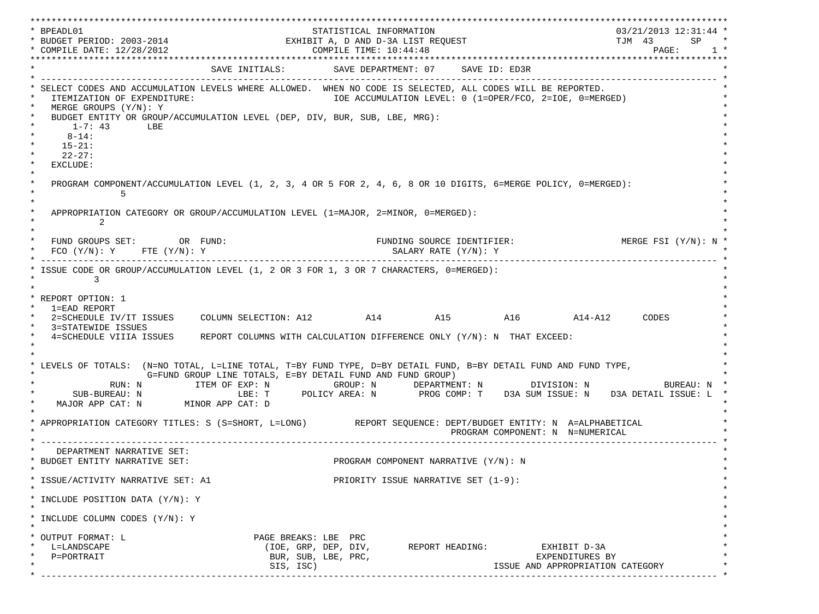\*\*\*\*\*\*\*\*\*\*\*\*\*\*\*\*\*\*\*\*\*\*\*\*\*\*\*\*\*\*\*\*\*\*\*\*\*\*\*\*\*\*\*\*\*\*\*\*\*\*\*\*\*\*\*\*\*\*\*\*\*\*\*\*\*\*\*\*\*\*\*\*\*\*\*\*\*\*\*\*\*\*\*\*\*\*\*\*\*\*\*\*\*\*\*\*\*\*\*\*\*\*\*\*\*\*\*\*\*\*\*\*\*\*\*\*\*\*\*\*\*\*\*\*\*\*\*\*\*\*\* \* BPEADL01 STATISTICAL INFORMATION 03/21/2013 12:31:44 \* \* BUDGET PERIOD: 2003-2014 EXHIBIT A, D AND D-3A LIST REQUEST TJM 43 SP \* \* COMPILE DATE: 12/28/2012 COMPILE TIME: 10:44:48 PAGE: 1 \* \*\*\*\*\*\*\*\*\*\*\*\*\*\*\*\*\*\*\*\*\*\*\*\*\*\*\*\*\*\*\*\*\*\*\*\*\*\*\*\*\*\*\*\*\*\*\*\*\*\*\*\*\*\*\*\*\*\*\*\*\*\*\*\*\*\*\*\*\*\*\*\*\*\*\*\*\*\*\*\*\*\*\*\*\*\*\*\*\*\*\*\*\*\*\*\*\*\*\*\*\*\*\*\*\*\*\*\*\*\*\*\*\*\*\*\*\*\*\*\*\*\*\*\*\*\*\*\*\*\*\* SAVE INITIALS: SAVE DEPARTMENT: 07 SAVE ID: ED3R \* ------------------------------------------------------------------------------------------------------------------------------- \* SELECT CODES AND ACCUMULATION LEVELS WHERE ALLOWED. WHEN NO CODE IS SELECTED, ALL CODES WILL BE REPORTED. ITEMIZATION OF EXPENDITURE:  $\overline{10E}$  accumulation level: 0 (1=OPER/FCO, 2=IOE, 0=MERGED) MERGE GROUPS (Y/N): Y BUDGET ENTITY OR GROUP/ACCUMULATION LEVEL (DEP, DIV, BUR, SUB, LBE, MRG):  $*$  1-7: 43 LBE  $*$  $*$  8-14: \*  $*$  15-21: \*  $*$  22-27: \* \* EXCLUDE: \*  $\star$   $\star$  \* PROGRAM COMPONENT/ACCUMULATION LEVEL (1, 2, 3, 4 OR 5 FOR 2, 4, 6, 8 OR 10 DIGITS, 6=MERGE POLICY, 0=MERGED): \*  $\star$  5  $\star$  $\star$   $\star$ APPROPRIATION CATEGORY OR GROUP/ACCUMULATION LEVEL (1=MAJOR, 2=MINOR, 0=MERGED):  $\star$  2  $\star$  $\star$   $\star$ FUND GROUPS SET: OR FUND: THE SOURCE IDENTIFIER: MERGE FSI (Y/N): N  $FCO (Y/N): Y$  FTE  $(Y/N): Y$  SALARY RATE  $(Y/N): Y$  \* ------------------------------------------------------------------------------------------------------------------------------- \* ISSUE CODE OR GROUP/ACCUMULATION LEVEL (1, 2 OR 3 FOR 1, 3 OR 7 CHARACTERS, 0=MERGED):  $\star$  3  $\star$   $\star$  \* REPORT OPTION: 1 \* \* 1=EAD REPORT \* \* 2=SCHEDULE IV/IT ISSUES COLUMN SELECTION: A12 A14 A15 A16 A14-A12 CODES \* 3=STATEWIDE ISSUES \* 4=SCHEDULE VIIIA ISSUES REPORT COLUMNS WITH CALCULATION DIFFERENCE ONLY (Y/N): N THAT EXCEED: \*  $\star$   $\star$  $\star$   $\star$ LEVELS OF TOTALS: (N=NO TOTAL, L=LINE TOTAL, T=BY FUND TYPE, D=BY DETAIL FUND, B=BY DETAIL FUND AND FUND TYPE, G=FUND GROUP LINE TOTALS, E=BY DETAIL FUND AND FUND GROUP)  $RUN: \verb| N | & \verb|IFEM OF EXP: N | & \verb|GROUP: N | & \verb|DEPARTMENT: N | & \verb|DIVISION: N | & \verb|BUREAU: N | \ \verb|DIVISION: N | & \verb|DIVATION: N | & \verb|DIVATION: N | & \verb|DIVATION: N | & \verb|DIVATION: N | & \verb|DIVATION: N | & \verb|DIVATION: N | & \verb|DIVATION: N | & \verb|DIVATION: N | & \verb|DIVATION: N | & \verb|DIVATION: N | & \verb|DIVATION: N | & \verb|DIVATION: N | & \verb|DIVATION: N | & \verb|DIVATION: N | & \verb|DIVATION: N | &$  \* SUB-BUREAU: N LBE: T POLICY AREA: N PROG COMP: T D3A SUM ISSUE: N D3A DETAIL ISSUE: L \* MAJOR APP CAT: N MINOR APP CAT: D  $\star$   $\star$ APPROPRIATION CATEGORY TITLES: S (S=SHORT, L=LONG) REPORT SEQUENCE: DEPT/BUDGET ENTITY: N A=ALPHABETICAL PROGRAM COMPONENT: N N=NUMERICAL \* ------------------------------------------------------------------------------------------------------------------------------- \* DEPARTMENT NARRATIVE SET: BUDGET ENTITY NARRATIVE SET:  $PROGRAM COMPONENT NARRATIVE (Y/N): N$  $\star$   $\star$  \* ISSUE/ACTIVITY NARRATIVE SET: A1 PRIORITY ISSUE NARRATIVE SET (1-9): \*  $\star$   $\star$  \* INCLUDE POSITION DATA (Y/N): Y \*  $\star$   $\star$ INCLUDE COLUMN CODES  $(Y/N): Y$  $\star$   $\star$  \* OUTPUT FORMAT: L PAGE BREAKS: LBE PRC \* \* L=LANDSCAPE (IOE, GRP, DEP, DIV, REPORT HEADING: EXHIBIT D-3A \* \* P=PORTRAIT BUR, SUB, LBE, PRC, EXPENDITURES BY \* SIS, ISC) ISSUE AND APPROPRIATION CATEGORY \* ------------------------------------------------------------------------------------------------------------------------------- \*